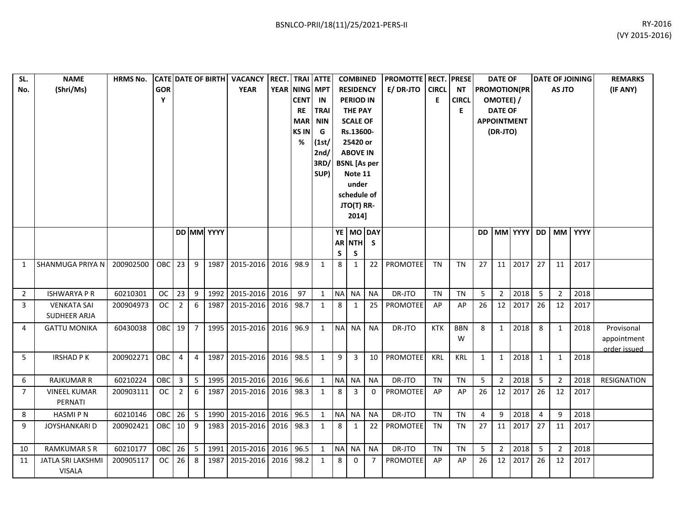| SL.<br>No.     | <b>NAME</b><br>(Shri/Ms)           | <b>HRMS No.</b> | <b>GOR</b><br>Y |                         |                         |            | CATE DATE OF BIRTH VACANCY<br><b>YEAR</b> | <b>RECT.</b> TRAI ATTE<br>YEAR NING MPT | <b>CENT</b><br>RE<br><b>MAR</b><br><b>KSIN</b><br>% | IN<br>TRAI<br><b>NIN</b><br>G<br>(1st/<br>2nd/<br>3RD/<br>SUP) |           | <b>COMBINED</b><br><b>RESIDENCY</b><br><b>PERIOD IN</b><br><b>THE PAY</b><br><b>SCALE OF</b><br>Rs.13600-<br>25420 or<br><b>ABOVE IN</b><br><b>BSNL</b> [As per<br>Note 11<br>under<br>schedule of<br>JTO(T) RR-<br>2014] |           | <b>PROMOTTE RECT. PRESE</b><br>E/DR-JTO | <b>CIRCL</b><br>E | <b>NT</b><br><b>CIRCL</b><br>E. |              | <b>DATE OF</b><br>OMOTEE) /<br><b>DATE OF</b><br>(DR-JTO) | <b>PROMOTION(PR</b><br><b>APPOINTMENT</b> |              | AS JTO         | <b>DATE OF JOINING</b> | <b>REMARKS</b><br>(IF ANY)                |
|----------------|------------------------------------|-----------------|-----------------|-------------------------|-------------------------|------------|-------------------------------------------|-----------------------------------------|-----------------------------------------------------|----------------------------------------------------------------|-----------|---------------------------------------------------------------------------------------------------------------------------------------------------------------------------------------------------------------------------|-----------|-----------------------------------------|-------------------|---------------------------------|--------------|-----------------------------------------------------------|-------------------------------------------|--------------|----------------|------------------------|-------------------------------------------|
|                |                                    |                 |                 |                         |                         | DD MM YYYY |                                           |                                         |                                                     |                                                                | S         | YE MO DAY<br>AR NTH S<br>S                                                                                                                                                                                                |           |                                         |                   |                                 | <b>DD</b>    |                                                           | MM YYYY DD MM                             |              |                | YYYY                   |                                           |
| $\mathbf{1}$   | SHANMUGA PRIYA N                   | 200902500       | OBC 23          |                         | 9                       |            | 1987 2015-2016 2016 98.9                  |                                         |                                                     | $\mathbf{1}$                                                   | 8         | 1                                                                                                                                                                                                                         | 22        | PROMOTEE                                | <b>TN</b>         | <b>TN</b>                       | 27           | 11                                                        | 2017                                      | 27           | 11             | 2017                   |                                           |
| $\overline{2}$ | <b>ISHWARYA P R</b>                | 60210301        | <b>OC</b>       | 23                      | 9                       | 1992       | 2015-2016 2016                            |                                         | 97                                                  | $\mathbf{1}$                                                   | <b>NA</b> | NA                                                                                                                                                                                                                        | <b>NA</b> | DR-JTO                                  | <b>TN</b>         | <b>TN</b>                       | 5            | $2^{\circ}$                                               | 2018                                      | 5            | $\overline{2}$ | 2018                   |                                           |
| 3              | <b>VENKATA SAI</b><br>SUDHEER ARJA | 200904973       | $_{\rm OC}$     | $\overline{2}$          | 6                       | 1987       | 2015-2016                                 | 2016 98.7                               |                                                     | $\mathbf{1}$                                                   | 8         | $\mathbf{1}$                                                                                                                                                                                                              | 25        | PROMOTEE                                | AP                | AP                              | 26           | 12                                                        | 2017                                      | 26           | 12             | 2017                   |                                           |
| 4              | <b>GATTU MONIKA</b>                | 60430038        | OBC             | 19                      | $\overline{7}$          | 1995       | 2015-2016 2016 96.9                       |                                         |                                                     | $\mathbf{1}$                                                   | <b>NA</b> | <b>NA</b>                                                                                                                                                                                                                 | <b>NA</b> | DR-JTO                                  | KTK               | <b>BBN</b><br>W                 | 8            | $\mathbf{1}$                                              | 2018                                      | 8            | $\mathbf{1}$   | 2018                   | Provisonal<br>appointment<br>order issued |
| 5              | <b>IRSHAD PK</b>                   | 200902271       | OBC             | $\overline{4}$          | $\overline{4}$          |            | 1987 2015-2016 2016 98.5                  |                                         |                                                     | $\mathbf{1}$                                                   | 9         | $\overline{3}$                                                                                                                                                                                                            | 10        | PROMOTEE                                | KRL               | KRL                             | $\mathbf{1}$ | 1                                                         | 2018                                      | $\mathbf{1}$ | 1              | 2018                   |                                           |
| 6              | <b>RAJKUMAR R</b>                  | 60210224        | <b>OBC</b>      | $\overline{\mathbf{3}}$ | 5                       |            | 1995 2015-2016 2016 96.6                  |                                         |                                                     | $\mathbf{1}$                                                   | <b>NA</b> | NA                                                                                                                                                                                                                        | <b>NA</b> | DR-JTO                                  | <b>TN</b>         | <b>TN</b>                       | 5            | $2^{\circ}$                                               | 2018                                      | 5            | $\overline{2}$ | 2018                   | <b>RESIGNATION</b>                        |
| $\overline{7}$ | <b>VINEEL KUMAR</b><br>PERNATI     | 200903111       | $_{\rm OC}$     | $\overline{2}$          | 6                       |            | 1987 2015-2016 2016 98.3                  |                                         |                                                     | $\mathbf{1}$                                                   | 8         | 3                                                                                                                                                                                                                         | 0         | PROMOTEE                                | AP                | AP                              | 26           | 12                                                        | 2017                                      | 26           | 12             | 2017                   |                                           |
| 8              | <b>HASMIPN</b>                     | 60210146        | <b>OBC</b>      | 26                      | $\overline{\mathbf{5}}$ | 1990       | 2015-2016 2016 96.5                       |                                         |                                                     | $\mathbf{1}$                                                   | <b>NA</b> | <b>NA</b>                                                                                                                                                                                                                 | <b>NA</b> | DR-JTO                                  | TN                | <b>TN</b>                       | 4            | 9                                                         | 2018                                      | 4            | 9              | 2018                   |                                           |
| 9              | JOYSHANKARI D                      | 200902421       | <b>OBC</b>      | 10                      | 9                       | 1983       | 2015-2016 2016 98.3                       |                                         |                                                     | $\mathbf{1}$                                                   | 8         | 1                                                                                                                                                                                                                         | 22        | PROMOTEE                                | TN                | ΤN                              | 27           | 11                                                        | 2017                                      | 27           | 11             | 2017                   |                                           |
| 10             | <b>RAMKUMAR S R</b>                | 60210177        | OBC             | 26                      | $\overline{\mathbf{5}}$ | 1991       | 2015-2016                                 | 2016 96.5                               |                                                     | $\mathbf{1}$                                                   | <b>NA</b> | <b>NA</b>                                                                                                                                                                                                                 | <b>NA</b> | DR-JTO                                  | <b>TN</b>         | <b>TN</b>                       | 5            | $2^{\circ}$                                               | 2018                                      | 5            | $\overline{2}$ | 2018                   |                                           |
| 11             | JATLA SRI LAKSHMI<br><b>VISALA</b> | 200905117       | oc <sub>1</sub> | 26                      | 8                       | 1987       | 2015-2016 2016 98.2                       |                                         |                                                     | $\mathbf{1}$                                                   | 8         | 0                                                                                                                                                                                                                         | 7         | PROMOTEE                                | AP                | AP                              | 26           | 12                                                        | 2017                                      | 26           | 12             | 2017                   |                                           |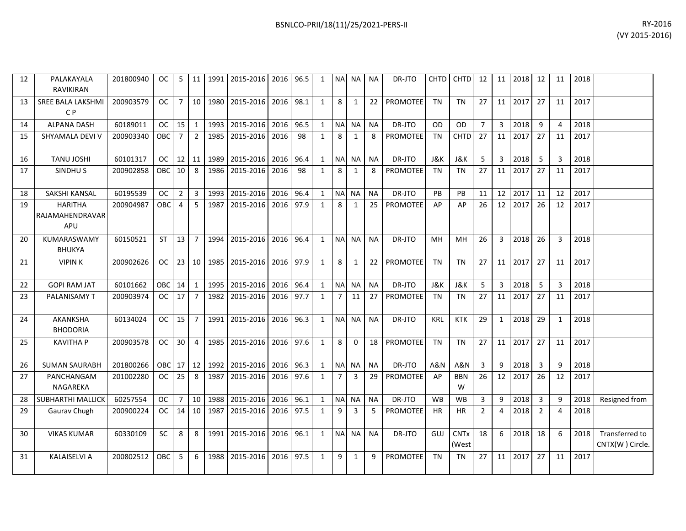| 12 | PALAKAYALA<br><b>RAVIKIRAN</b>                  | 201800940 | OC.        | -5              | 11              | 1991 | 2015-2016 | 2016 96.5 |      | 1              | <b>NAI</b>     | <b>NA</b>      | <b>NA</b> | DR-JTO          | <b>CHTD</b>    | <b>CHTD</b>          | 12             | 11              | 2018 | 12             | 11             | 2018 |                                   |
|----|-------------------------------------------------|-----------|------------|-----------------|-----------------|------|-----------|-----------|------|----------------|----------------|----------------|-----------|-----------------|----------------|----------------------|----------------|-----------------|------|----------------|----------------|------|-----------------------------------|
| 13 | <b>SREE BALA LAKSHMI</b><br>C <sub>P</sub>      | 200903579 | OC.        | 7 <sup>1</sup>  | 10 <sup>1</sup> | 1980 | 2015-2016 | 2016      | 98.1 | 1              | 8              | 1              | 22        | <b>PROMOTEE</b> | <b>TN</b>      | <b>TN</b>            | 27             | 11              | 2017 | 27             | 11             | 2017 |                                   |
| 14 | <b>ALPANA DASH</b>                              | 60189011  | OC         | 15              | 1               | 1993 | 2015-2016 | 2016      | 96.5 | 1              | <b>NA</b>      | <b>NA</b>      | <b>NA</b> | DR-JTO          | OD             | O <sub>D</sub>       | $\overline{7}$ | $\overline{3}$  | 2018 | 9              | $\Delta$       | 2018 |                                   |
| 15 | SHYAMALA DEVI V                                 | 200903340 | OBC        | $\overline{7}$  | $\overline{2}$  | 1985 | 2015-2016 | 2016      | 98   | $\mathbf{1}$   | 8              | $\mathbf{1}$   | 8         | PROMOTEE        | <b>TN</b>      | CHTD                 | 27             | 11              | 2017 | 27             | 11             | 2017 |                                   |
| 16 | <b>TANU JOSHI</b>                               | 60101317  | OC .       | 12 11           |                 | 1989 | 2015-2016 | 2016      | 96.4 | 1              | <b>NA</b>      | <b>NA</b>      | <b>NA</b> | DR-JTO          | <b>J&amp;K</b> | J&K                  | 5              | 3               | 2018 | 5              | $\overline{3}$ | 2018 |                                   |
| 17 | SINDHU <sub>S</sub>                             | 200902858 | OBC        | 10 <sup>1</sup> | 8               | 1986 | 2015-2016 | 2016      | 98   | $\mathbf{1}$   | 8              | 1              | 8         | <b>PROMOTEE</b> | <b>TN</b>      | <b>TN</b>            | 27             | 11              | 2017 | 27             | 11             | 2017 |                                   |
| 18 | SAKSHI KANSAL                                   | 60195539  | <b>OC</b>  | 2 <sup>1</sup>  | $\overline{3}$  | 1993 | 2015-2016 | 2016      | 96.4 | $\mathbf{1}$   | <b>NA</b>      | <b>NA</b>      | <b>NA</b> | DR-JTO          | <b>PB</b>      | PB                   | 11             | 12              | 2017 | 11             | 12             | 2017 |                                   |
| 19 | <b>HARITHA</b><br>RAJAMAHENDRAVAR<br><b>APU</b> | 200904987 | <b>OBC</b> | $\overline{a}$  | 5               | 1987 | 2015-2016 | 2016 97.9 |      | $\overline{1}$ | 8              | $\overline{1}$ | 25        | <b>PROMOTEE</b> | AP             | AP                   | 26             | 12              | 2017 | 26             | 12             | 2017 |                                   |
| 20 | KUMARASWAMY<br><b>BHUKYA</b>                    | 60150521  | <b>ST</b>  | 13              | $\overline{7}$  | 1994 | 2015-2016 | 2016 96.4 |      | 1              | <b>NA</b>      | <b>NA</b>      | <b>NA</b> | DR-JTO          | MH             | <b>MH</b>            | 26             | $\overline{3}$  | 2018 | 26             | 3              | 2018 |                                   |
| 21 | <b>VIPINK</b>                                   | 200902626 | OC .       |                 | $23$ 10         | 1985 | 2015-2016 | 2016 97.9 |      | $\mathbf{1}$   | 8              | $\mathbf{1}$   | 22        | <b>PROMOTEE</b> | <b>TN</b>      | <b>TN</b>            | 27             | 11              | 2017 | 27             | 11             | 2017 |                                   |
| 22 | <b>GOPI RAM JAT</b>                             | 60101662  | OBC        | 14              | 1               | 1995 | 2015-2016 | 2016 96.4 |      | 1              | <b>NA</b>      | <b>NA</b>      | <b>NA</b> | DR-JTO          | J&K            | J&K                  | 5              | 3               | 2018 | 5              | 3              | 2018 |                                   |
| 23 | PALANISAMY T                                    | 200903974 | OC         | 17              | $\overline{7}$  | 1982 | 2015-2016 | 2016 97.7 |      | $\mathbf{1}$   | $\overline{7}$ | 11             | 27        | PROMOTEE        | <b>TN</b>      | <b>TN</b>            | 27             | 11              | 2017 | 27             | 11             | 2017 |                                   |
| 24 | AKANKSHA<br><b>BHODORIA</b>                     | 60134024  | OC.        | 15              | $\overline{7}$  | 1991 | 2015-2016 | 2016 96.3 |      | 1              | <b>NA</b>      | <b>NA</b>      | <b>NA</b> | DR-JTO          | <b>KRL</b>     | <b>KTK</b>           | 29             | 1               | 2018 | 29             | $\mathbf{1}$   | 2018 |                                   |
| 25 | <b>KAVITHA P</b>                                | 200903578 | OC         | 30 <sup>1</sup> | $\overline{4}$  | 1985 | 2015-2016 | 2016 97.6 |      | $\mathbf{1}$   | 8              | $\Omega$       | 18        | <b>PROMOTEE</b> | <b>TN</b>      | <b>TN</b>            | 27             | 11 <sup>1</sup> | 2017 | 27             | 11             | 2017 |                                   |
| 26 | <b>SUMAN SAURABH</b>                            | 201800266 | OBCI       | $17$ 12         |                 | 1992 | 2015-2016 | 2016 96.3 |      | 1              | <b>NA</b>      | <b>NA</b>      | <b>NA</b> | DR-JTO          | <b>A&amp;N</b> | A&N                  | $\overline{3}$ | 9               | 2018 | $\overline{3}$ | q              | 2018 |                                   |
| 27 | PANCHANGAM<br>NAGAREKA                          | 201002280 | OC.        | 25              | 8               | 1987 | 2015-2016 | 2016 97.6 |      | 1              | $\overline{7}$ | 3              | 29        | <b>PROMOTEE</b> | AP             | <b>BBN</b><br>W      | 26             | 12              | 2017 | 26             | 12             | 2017 |                                   |
| 28 | SUBHARTHI MALLICK                               | 60257554  | OC.        | 7 <sup>1</sup>  | 10              | 1988 | 2015-2016 | 2016      | 96.1 | $\mathbf{1}$   | <b>NA</b>      | <b>NA</b>      | <b>NA</b> | DR-JTO          | <b>WB</b>      | <b>WB</b>            | $\overline{3}$ | 9               | 2018 | $\overline{3}$ | q              | 2018 | Resigned from                     |
| 29 | Gaurav Chugh                                    | 200900224 | OC .       | 14 10           |                 | 1987 | 2015-2016 | 2016      | 97.5 | $\mathbf{1}$   | 9              | 3              | 5         | <b>PROMOTEE</b> | <b>HR</b>      | <b>HR</b>            | $\overline{2}$ | 4               | 2018 | $\overline{2}$ | $\overline{4}$ | 2018 |                                   |
| 30 | <b>VIKAS KUMAR</b>                              | 60330109  | SC         | 8               | 8               | 1991 | 2015-2016 | 2016      | 96.1 | 1              | <b>NA</b>      | <b>NA</b>      | <b>NA</b> | DR-JTO          | GUJ            | <b>CNTx</b><br>(West | 18             | 6               | 2018 | 18             | 6              | 2018 | Transferred to<br>CNTX(W) Circle. |
| 31 | <b>KALAISELVI A</b>                             | 200802512 | OBC        | 5               | 6               | 1988 | 2015-2016 | 2016      | 97.5 | $\mathbf{1}$   | 9              | 1              | 9         | <b>PROMOTEE</b> | <b>TN</b>      | <b>TN</b>            | 27             | 11              | 2017 | 27             | 11             | 2017 |                                   |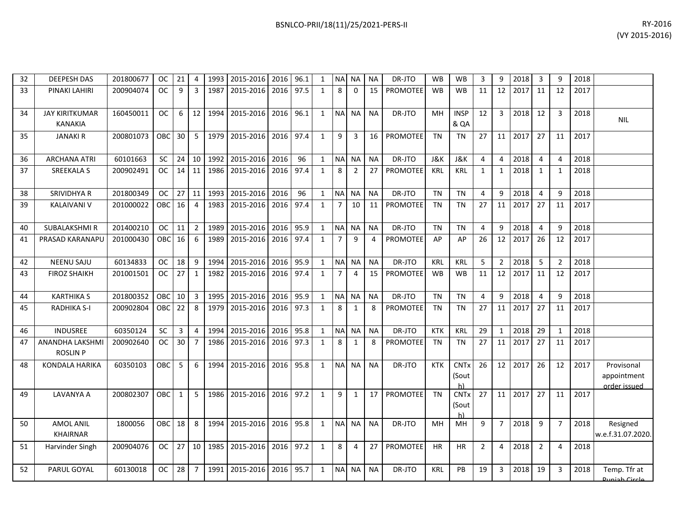| 32 | <b>DEEPESH DAS</b>                        | 201800677 | <b>OC</b>  | 21              | 4                       | 1993 | 2015-2016      | 2016 | 96.1 | 1            | <b>NA</b>      | <b>NA</b>      | <b>NA</b> | DR-JTO          | <b>WB</b>  | <b>WB</b>                  | 3              | 9              | 2018 | 3              | 9              | 2018 |                                           |
|----|-------------------------------------------|-----------|------------|-----------------|-------------------------|------|----------------|------|------|--------------|----------------|----------------|-----------|-----------------|------------|----------------------------|----------------|----------------|------|----------------|----------------|------|-------------------------------------------|
| 33 | PINAKI LAHIRI                             | 200904074 | <b>OC</b>  | 9               | $\overline{3}$          | 1987 | 2015-2016      | 2016 | 97.5 | $\mathbf{1}$ | 8              | $\Omega$       | 15        | <b>PROMOTEE</b> | <b>WB</b>  | <b>WB</b>                  | 11             | 12             | 2017 | 11             | 12             | 2017 |                                           |
| 34 | <b>JAY KIRITKUMAR</b><br><b>KANAKIA</b>   | 160450011 | <b>OC</b>  | 6               | 12                      | 1994 | 2015-2016      | 2016 | 96.1 | $\mathbf{1}$ | <b>NA</b>      | <b>NA</b>      | <b>NA</b> | DR-JTO          | MH         | <b>INSP</b><br>& QA        | 12             | 3              | 2018 | 12             | 3              | 2018 | <b>NIL</b>                                |
| 35 | <b>JANAKI R</b>                           | 200801073 | OBC        | 30 <sup>°</sup> | 5                       |      | 1979 2015-2016 | 2016 | 97.4 | $\mathbf{1}$ | 9              | 3              | 16        | PROMOTEE        | <b>TN</b>  | <b>TN</b>                  | 27             | 11             | 2017 | 27             | 11             | 2017 |                                           |
| 36 | <b>ARCHANA ATRI</b>                       | 60101663  | <b>SC</b>  | 24              | 10                      | 1992 | 2015-2016      | 2016 | 96   | $\mathbf{1}$ | $\sf NA$       | <b>NA</b>      | <b>NA</b> | DR-JTO          | J&K        | J&K                        | 4              | 4              | 2018 | 4              | 4              | 2018 |                                           |
| 37 | <b>SREEKALA S</b>                         | 200902491 | <b>OC</b>  | 14              | 11                      | 1986 | 2015-2016      | 2016 | 97.4 | $\mathbf{1}$ | 8              | $\overline{2}$ | 27        | PROMOTEE        | <b>KRL</b> | <b>KRL</b>                 | $\mathbf{1}$   | $\mathbf{1}$   | 2018 | 1              | 1              | 2018 |                                           |
| 38 | <b>SRIVIDHYA R</b>                        | 201800349 | <b>OC</b>  | 27              | 11                      | 1993 | 2015-2016      | 2016 | 96   | $\mathbf{1}$ | <b>NA</b>      | <b>NA</b>      | <b>NA</b> | DR-JTO          | <b>TN</b>  | <b>TN</b>                  | 4              | 9              | 2018 | 4              | 9              | 2018 |                                           |
| 39 | KALAIVANI V                               | 201000022 | <b>OBC</b> | 16              | $\overline{4}$          | 1983 | 2015-2016      | 2016 | 97.4 | $\mathbf{1}$ | 7              | 10             | 11        | <b>PROMOTEE</b> | <b>TN</b>  | <b>TN</b>                  | 27             | 11             | 2017 | 27             | 11             | 2017 |                                           |
| 40 | <b>SUBALAKSHMIR</b>                       | 201400210 | <b>OC</b>  | 11              | $\overline{2}$          | 1989 | 2015-2016      | 2016 | 95.9 | $\mathbf{1}$ | <b>NA</b>      | <b>NA</b>      | <b>NA</b> | DR-JTO          | <b>TN</b>  | <b>TN</b>                  | 4              | 9              | 2018 | 4              | 9              | 2018 |                                           |
| 41 | PRASAD KARANAPL                           | 201000430 | OBC        | 16              | 6                       | 1989 | 2015-2016      | 2016 | 97.4 | $\mathbf{1}$ | $\overline{7}$ | 9              | 4         | <b>PROMOTEE</b> | AP         | AP                         | 26             | 12             | 2017 | 26             | 12             | 2017 |                                           |
| 42 | <b>NEENU SAJU</b>                         | 60134833  | <b>OC</b>  | 18              | 9                       | 1994 | 2015-2016      | 2016 | 95.9 | $\mathbf{1}$ | N <sub>A</sub> | <b>NA</b>      | <b>NA</b> | DR-JTO          | KRL        | KRL                        | 5              | $\overline{2}$ | 2018 | 5              | $\overline{2}$ | 2018 |                                           |
| 43 | <b>FIROZ SHAIKH</b>                       | 201001501 | <b>OC</b>  | 27              | $\mathbf{1}$            | 1982 | 2015-2016      | 2016 | 97.4 | $\mathbf{1}$ | $\overline{7}$ | 4              | 15        | <b>PROMOTEE</b> | <b>WB</b>  | <b>WB</b>                  | 11             | 12             | 2017 | 11             | 12             | 2017 |                                           |
| 44 | <b>KARTHIKA S</b>                         | 201800352 | OBC        | 10              | $\overline{\mathbf{3}}$ | 1995 | 2015-2016      | 2016 | 95.9 | $\mathbf{1}$ | <b>NA</b>      | <b>NA</b>      | <b>NA</b> | DR-JTO          | <b>TN</b>  | <b>TN</b>                  | $\overline{4}$ | 9              | 2018 | $\overline{4}$ | 9              | 2018 |                                           |
| 45 | <b>RADHIKA S-I</b>                        | 200902804 | OBC        | 22              | 8                       | 1979 | 2015-2016      | 2016 | 97.3 | $\mathbf{1}$ | 8              | 1              | 8         | <b>PROMOTEE</b> | <b>TN</b>  | <b>TN</b>                  | 27             | 11             | 2017 | 27             | 11             | 2017 |                                           |
| 46 | <b>INDUSREE</b>                           | 60350124  | SC         | 3               | $\overline{4}$          | 1994 | 2015-2016      | 2016 | 95.8 | $\mathbf{1}$ | <b>NA</b>      | <b>NA</b>      | <b>NA</b> | DR-JTO          | <b>KTK</b> | <b>KRL</b>                 | 29             | $\mathbf{1}$   | 2018 | 29             | $\mathbf{1}$   | 2018 |                                           |
| 47 | <b>ANANDHA LAKSHMI</b><br><b>ROSLIN P</b> | 200902640 | <b>OC</b>  | 30              | $\overline{7}$          | 1986 | 2015-2016      | 2016 | 97.3 | $\mathbf{1}$ | 8              | 1              | 8         | PROMOTEE        | <b>TN</b>  | <b>TN</b>                  | 27             | 11             | 2017 | 27             | 11             | 2017 |                                           |
| 48 | KONDALA HARIKA                            | 60350103  | OBC        | 5               | 6                       | 1994 | 2015-2016      | 2016 | 95.8 | $\mathbf{1}$ | <b>NA</b>      | <b>NA</b>      | <b>NA</b> | DR-JTO          | <b>KTK</b> | <b>CNTx</b><br>(Sout<br>h) | 26             | 12             | 2017 | 26             | 12             | 2017 | Provisonal<br>appointment<br>order issued |
| 49 | LAVANYA A                                 | 200802307 | OBC        | $\mathbf{1}$    | 5                       | 1986 | 2015-2016      | 2016 | 97.2 | 1            | 9              | 1              | 17        | PROMOTEE        | <b>TN</b>  | <b>CNTx</b><br>(Sout<br>h) | 27             | 11             | 2017 | 27             | 11             | 2017 |                                           |
| 50 | <b>AMOL ANIL</b><br><b>KHAIRNAR</b>       | 1800056   | OBC        | 18              | 8                       |      | 1994 2015-2016 | 2016 | 95.8 | $\mathbf{1}$ | <b>NA</b>      | <b>NA</b>      | <b>NA</b> | DR-JTO          | <b>MH</b>  | MН                         | 9              | $\overline{7}$ | 2018 | 9              | $\overline{7}$ | 2018 | Resigned<br>w.e.f.31.07.2020.             |
| 51 | Harvinder Singh                           | 200904076 | <b>OC</b>  | 27              | 10                      | 1985 | 2015-2016      | 2016 | 97.2 | $\mathbf{1}$ | 8              | 4              | 27        | <b>PROMOTEE</b> | <b>HR</b>  | <b>HR</b>                  | $\overline{2}$ | 4              | 2018 | $\overline{2}$ | 4              | 2018 |                                           |
| 52 | PARUL GOYAL                               | 60130018  | <b>OC</b>  | 28              | $\overline{7}$          | 1991 | 2015-2016      | 2016 | 95.7 | $\mathbf{1}$ | <b>NA</b>      | <b>NA</b>      | <b>NA</b> | DR-JTO          | <b>KRL</b> | PB                         | 19             | 3              | 2018 | 19             | 3              | 2018 | Temp. Tfr at<br>Duniah Circle             |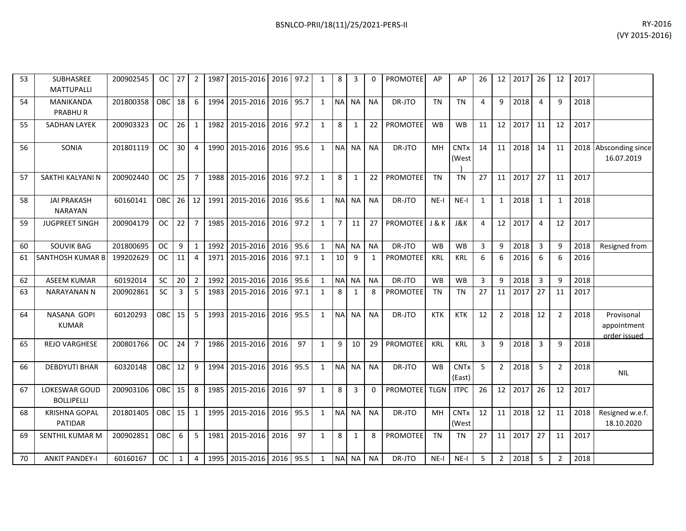| 53 | SUBHASREE<br><b>MATTUPALLI</b>         | 200902545 | OC.           | 27              | 2              | 1987 | 2015-2016                | 2016 | 97.2 | 1            | 8              | 3              | 0           | PROMOTEE        | AP             | AP                    | 26             | 12             | 2017    | 26             | 12             | 2017 |                                           |
|----|----------------------------------------|-----------|---------------|-----------------|----------------|------|--------------------------|------|------|--------------|----------------|----------------|-------------|-----------------|----------------|-----------------------|----------------|----------------|---------|----------------|----------------|------|-------------------------------------------|
| 54 | <b>MANIKANDA</b><br><b>PRABHUR</b>     | 201800358 | OBC           | 18              | 6              | 1994 | 2015-2016                | 2016 | 95.7 | $\mathbf{1}$ | <b>NA</b>      | <b>NA</b>      | <b>NA</b>   | DR-JTO          | <b>TN</b>      | <b>TN</b>             | 4              | 9              | 2018    | $\overline{4}$ | 9              | 2018 |                                           |
| 55 | <b>SADHAN LAYEK</b>                    | 200903323 | <b>OC</b>     | 26              | 1              | 1982 | 2015-2016                | 2016 | 97.2 | $\mathbf{1}$ | 8              | $\mathbf{1}$   | 22          | <b>PROMOTEE</b> | <b>WB</b>      | <b>WB</b>             | 11             | 12             | 2017    | 11             | 12             | 2017 |                                           |
| 56 | SONIA                                  | 201801119 | <b>OC</b>     | 30 <sup>°</sup> | $\overline{4}$ |      | 1990 2015-2016 2016 95.6 |      |      | $\mathbf{1}$ | <b>NA</b>      | <b>NA</b>      | <b>NA</b>   | DR-JTO          | <b>MH</b>      | <b>CNTx</b><br>(West  | 14             |                | 11 2018 | 14             | 11             |      | 2018 Absconding since<br>16.07.2019       |
| 57 | SAKTHI KALYANI N                       | 200902440 | <b>OC</b>     | 25              | $\overline{7}$ | 1988 | 2015-2016                | 2016 | 97.2 | $\mathbf{1}$ | 8              | $\mathbf{1}$   | 22          | <b>PROMOTEE</b> | <b>TN</b>      | <b>TN</b>             | 27             | 11             | 2017    | 27             | 11             | 2017 |                                           |
| 58 | <b>JAI PRAKASH</b><br>NARAYAN          | 60160141  | OBC           | 26              | 12             | 1991 | 2015-2016 2016           |      | 95.6 | $\mathbf{1}$ | <b>NA</b>      | <b>NA</b>      | <b>NA</b>   | DR-JTO          | $NE-I$         | NE-I                  | $\mathbf{1}$   | $\mathbf{1}$   | 2018    | 1              | $\mathbf{1}$   | 2018 |                                           |
| 59 | <b>JUGPREET SINGH</b>                  | 200904179 | <b>OC</b>     | 22              | $\overline{7}$ | 1985 | 2015-2016                | 2016 | 97.2 | $\mathbf{1}$ | $\overline{7}$ | 11             | 27          | <b>PROMOTEE</b> | <b>J&amp;K</b> | J&K                   | 4              | 12             | 2017    | $\overline{4}$ | 12             | 2017 |                                           |
| 60 | <b>SOUVIK BAG</b>                      | 201800695 | <b>OC</b>     | 9               | $\mathbf{1}$   | 1992 | 2015-2016                | 2016 | 95.6 | $\mathbf{1}$ | <b>NA</b>      | <b>NA</b>      | <b>NA</b>   | DR-JTO          | <b>WB</b>      | <b>WB</b>             | 3              | 9              | 2018    | $\overline{3}$ | 9              | 2018 | Resigned from                             |
| 61 | SANTHOSH KUMAR B                       | 199202629 | <sub>OC</sub> | 11              | $\overline{4}$ | 1971 | 2015-2016                | 2016 | 97.1 | 1            | 10             | 9              | 1           | <b>PROMOTEE</b> | <b>KRL</b>     | <b>KRL</b>            | 6              | 6              | 2016    | -6             | 6              | 2016 |                                           |
| 62 | <b>ASEEM KUMAR</b>                     | 60192014  | <b>SC</b>     | 20              | $\overline{2}$ | 1992 | 2015-2016                | 2016 | 95.6 | $\mathbf{1}$ | <b>NA</b>      | <b>NA</b>      | <b>NA</b>   | DR-JTO          | <b>WB</b>      | <b>WB</b>             | 3              | 9              | 2018    | $\overline{3}$ | 9              | 2018 |                                           |
| 63 | NARAYANAN N                            | 200902861 | <b>SC</b>     | 3               | 5              | 1983 | 2015-2016                | 2016 | 97.1 | $\mathbf{1}$ | 8              | $\mathbf{1}$   | 8           | <b>PROMOTEE</b> | <b>TN</b>      | <b>TN</b>             | 27             | 11             | 2017    | 27             | 11             | 2017 |                                           |
| 64 | NASANA GOPI<br><b>KUMAR</b>            | 60120293  | OBC           | 15              | 5              | 1993 | 2015-2016                | 2016 | 95.5 | $\mathbf{1}$ | <b>NA</b>      | <b>NA</b>      | <b>NA</b>   | DR-JTO          | <b>KTK</b>     | <b>KTK</b>            | 12             | $\overline{2}$ | 2018    | 12             | $\overline{2}$ | 2018 | Provisonal<br>appointment<br>order issued |
| 65 | <b>REJO VARGHESE</b>                   | 200801766 | <b>OC</b>     | 24              | $\overline{7}$ | 1986 | 2015-2016                | 2016 | 97   | $\mathbf{1}$ | 9              | 10             | 29          | PROMOTEE        | KRL            | <b>KRL</b>            | $\overline{3}$ | 9              | 2018    | $\overline{3}$ | 9              | 2018 |                                           |
| 66 | <b>DEBDYUTI BHAR</b>                   | 60320148  | OBC           | 12              | 9              | 1994 | 2015-2016 2016           |      | 95.5 | $\mathbf{1}$ | <b>NA</b>      | <b>NA</b>      | <b>NA</b>   | DR-JTO          | <b>WB</b>      | <b>CNTx</b><br>(East) | 5              | $\overline{2}$ | 2018    | -5             | $\overline{2}$ | 2018 | <b>NIL</b>                                |
| 67 | LOKESWAR GOUD<br><b>BOLLIPELLI</b>     | 200903106 | <b>OBC</b>    | 15              | 8              | 1985 | 2015-2016                | 2016 | 97   | $\mathbf{1}$ | 8              | $\overline{3}$ | $\mathbf 0$ | <b>PROMOTEE</b> | <b>TLGN</b>    | <b>ITPC</b>           | 26             | 12             | 2017    | 26             | 12             | 2017 |                                           |
| 68 | <b>KRISHNA GOPAL</b><br><b>PATIDAR</b> | 201801405 | <b>OBC</b>    | 15              | 1              | 1995 | 2015-2016                | 2016 | 95.5 | $\mathbf{1}$ | <b>NA</b>      | <b>NA</b>      | <b>NA</b>   | DR-JTO          | MH             | <b>CNTx</b><br>(West  | 12             | 11             | 2018    | 12             | 11             | 2018 | Resigned w.e.f.<br>18.10.2020             |
| 69 | SENTHIL KUMAR M                        | 200902851 | OBC           | 6               | 5              | 1981 | 2015-2016                | 2016 | 97   | $\mathbf{1}$ | 8              | $\mathbf{1}$   | 8           | PROMOTEE        | <b>TN</b>      | TN                    | 27             | 11             | 2017    | 27             | 11             | 2017 |                                           |
| 70 | <b>ANKIT PANDEY-I</b>                  | 60160167  | <b>OC</b>     | $\mathbf{1}$    | $\overline{4}$ |      | 1995 2015-2016 2016      |      | 95.5 | $\mathbf{1}$ | <b>NA</b>      | <b>NA</b>      | <b>NA</b>   | DR-JTO          | $NE-I$         | $NE-I$                | 5              | $\overline{2}$ | 2018    | -5             | $\overline{2}$ | 2018 |                                           |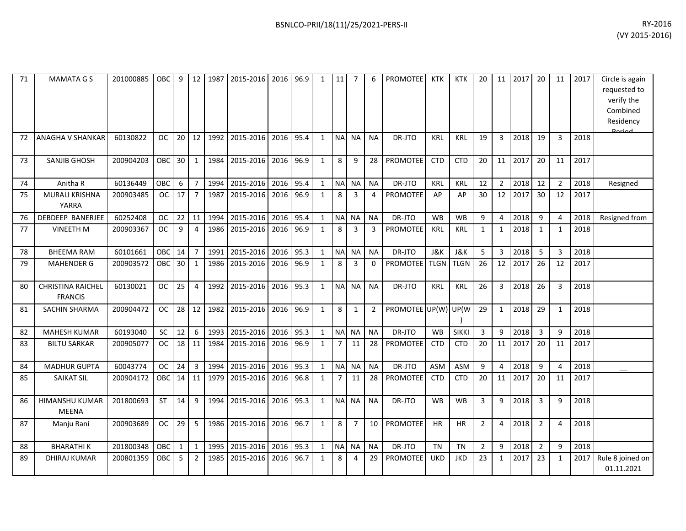| 71 | <b>MAMATA G S</b>                          | 201000885 | <b>OBC</b> | 9  | 12               | 1987 | 2015-2016           | 2016 96.9 |      | $\mathbf{1}$ | 11             | $\overline{7}$ | 6              | <b>PROMOTEE</b> | <b>KTK</b>     | <b>KTK</b>     | 20             | 11             | 2017 | 20             | 11             | 2017 | Circle is again<br>requested to<br>verify the<br>Combined<br>Residency<br>Doriad |
|----|--------------------------------------------|-----------|------------|----|------------------|------|---------------------|-----------|------|--------------|----------------|----------------|----------------|-----------------|----------------|----------------|----------------|----------------|------|----------------|----------------|------|----------------------------------------------------------------------------------|
| 72 | ANAGHA V SHANKAR                           | 60130822  | <b>OC</b>  | 20 | 12               | 1992 | 2015-2016           | 2016      | 95.4 | $\mathbf{1}$ | <b>NA</b>      | <b>NA</b>      | <b>NA</b>      | DR-JTO          | <b>KRL</b>     | <b>KRL</b>     | 19             | 3              | 2018 | 19             | 3              | 2018 |                                                                                  |
| 73 | SANJIB GHOSH                               | 200904203 | OBC        | 30 | $\mathbf{1}$     | 1984 | 2015-2016 2016 96.9 |           |      | $\mathbf{1}$ | 8              | 9              | 28             | PROMOTEE        | <b>CTD</b>     | <b>CTD</b>     | 20             | 11             | 2017 | 20             | 11             | 2017 |                                                                                  |
| 74 | Anitha R                                   | 60136449  | OBC        | 6  | $\overline{7}$   | 1994 | 2015-2016           | 2016      | 95.4 | $\mathbf{1}$ | <b>NA</b>      | <b>NA</b>      | <b>NA</b>      | DR-JTO          | KRL            | <b>KRL</b>     | 12             | $\overline{2}$ | 2018 | 12             | $\overline{2}$ | 2018 | Resigned                                                                         |
| 75 | MURALI KRISHNA<br>YARRA                    | 200903485 | <b>OC</b>  | 17 | $\overline{7}$   | 1987 | 2015-2016           | 2016      | 96.9 | $\mathbf{1}$ | 8              | 3              | 4              | <b>PROMOTEE</b> | AP             | AP             | 30             | 12             | 2017 | 30             | 12             | 2017 |                                                                                  |
| 76 | DEBDEEP BANERJEE                           | 60252408  | <b>OC</b>  | 22 | 11               | 1994 | 2015-2016           | 2016      | 95.4 | $\mathbf{1}$ | <b>NA</b>      | <b>NA</b>      | <b>NA</b>      | DR-JTO          | <b>WB</b>      | WB             | 9              | $\overline{4}$ | 2018 | 9              | $\overline{4}$ | 2018 | Resigned from                                                                    |
| 77 | <b>VINEETH M</b>                           | 200903367 | <b>OC</b>  | 9  | 4                | 1986 | 2015-2016           | 2016      | 96.9 | $\mathbf{1}$ | 8              | 3              | 3              | <b>PROMOTEE</b> | <b>KRL</b>     | <b>KRL</b>     | 1              | 1              | 2018 | 1              | 1              | 2018 |                                                                                  |
| 78 | <b>BHEEMA RAM</b>                          | 60101661  | OBC        | 14 | $\overline{7}$   | 1991 | 2015-2016           | 2016      | 95.3 | $\mathbf{1}$ | $\sf NA$       | NA             | <b>NA</b>      | DR-JTO          | <b>J&amp;K</b> | <b>J&amp;K</b> | 5              | 3              | 2018 | 5              | 3              | 2018 |                                                                                  |
| 79 | <b>MAHENDER G</b>                          | 200903572 | OBC        | 30 | $\mathbf{1}$     | 1986 | 2015-2016           | 2016      | 96.9 | $\mathbf{1}$ | 8              | $\overline{3}$ | $\Omega$       | <b>PROMOTEE</b> | <b>TLGN</b>    | <b>TLGN</b>    | 26             | 12             | 2017 | 26             | 12             | 2017 |                                                                                  |
| 80 | <b>CHRISTINA RAICHEL</b><br><b>FRANCIS</b> | 60130021  | <b>OC</b>  | 25 | $\overline{4}$   | 1992 | 2015-2016           | 2016      | 95.3 | $\mathbf{1}$ | <b>NA</b>      | <b>NA</b>      | <b>NA</b>      | DR-JTO          | <b>KRL</b>     | <b>KRL</b>     | 26             | 3              | 2018 | 26             | 3              | 2018 |                                                                                  |
| 81 | SACHIN SHARMA                              | 200904472 | <b>OC</b>  | 28 | 12               | 1982 | 2015-2016           | 2016 96.9 |      | $\mathbf{1}$ | 8              | 1              | $\overline{2}$ | PROMOTEE UP(W)  |                | UP(W           | 29             | 1              | 2018 | 29             | $\mathbf{1}$   | 2018 |                                                                                  |
| 82 | <b>MAHESH KUMAR</b>                        | 60193040  | SC         | 12 | $\boldsymbol{6}$ | 1993 | 2015-2016           | 2016      | 95.3 | $\mathbf{1}$ | <b>NA</b>      | <b>NA</b>      | <b>NA</b>      | DR-JTO          | <b>WB</b>      | <b>SIKKI</b>   | 3              | 9              | 2018 | 3              | 9              | 2018 |                                                                                  |
| 83 | <b>BILTU SARKAR</b>                        | 200905077 | <b>OC</b>  | 18 | 11               | 1984 | 2015-2016           | 2016      | 96.9 | $\mathbf{1}$ | $\overline{7}$ | 11             | 28             | <b>PROMOTEE</b> | <b>CTD</b>     | <b>CTD</b>     | 20             | 11             | 2017 | 20             | 11             | 2017 |                                                                                  |
| 84 | <b>MADHUR GUPTA</b>                        | 60043774  | <b>OC</b>  | 24 | $\overline{3}$   | 1994 | 2015-2016           | 2016      | 95.3 | $\mathbf{1}$ | <b>NA</b>      | <b>NA</b>      | <b>NA</b>      | DR-JTO          | <b>ASM</b>     | <b>ASM</b>     | 9              | $\overline{4}$ | 2018 | 9              | 4              | 2018 |                                                                                  |
| 85 | <b>SAIKAT SIL</b>                          | 200904172 | OBC        | 14 | 11               | 1979 | 2015-2016           | 2016      | 96.8 | $\mathbf{1}$ | $\overline{7}$ | 11             | 28             | <b>PROMOTEE</b> | <b>CTD</b>     | <b>CTD</b>     | 20             | 11             | 2017 | 20             | 11             | 2017 |                                                                                  |
| 86 | HIMANSHU KUMAR<br><b>MEENA</b>             | 201800693 | <b>ST</b>  | 14 | 9                | 1994 | 2015-2016           | 2016      | 95.3 | $\mathbf{1}$ | N <sub>A</sub> | NA             | <b>NA</b>      | DR-JTO          | <b>WB</b>      | <b>WB</b>      | 3              | 9              | 2018 | $\overline{3}$ | 9              | 2018 |                                                                                  |
| 87 | Manju Rani                                 | 200903689 | <b>OC</b>  | 29 | 5                | 1986 | 2015-2016           | 2016      | 96.7 | $\mathbf{1}$ | 8              | $\overline{7}$ | 10             | <b>PROMOTEE</b> | <b>HR</b>      | <b>HR</b>      | $\overline{2}$ | 4              | 2018 | $\overline{2}$ | 4              | 2018 |                                                                                  |
| 88 | <b>BHARATHIK</b>                           | 201800348 | OBC        | 1  | $\mathbf{1}$     | 1995 | 2015-2016           | 2016      | 95.3 | $\mathbf{1}$ | <b>NA</b>      | NA.            | <b>NA</b>      | DR-JTO          | <b>TN</b>      | <b>TN</b>      | $\overline{2}$ | 9              | 2018 | $\overline{2}$ | 9              | 2018 |                                                                                  |
| 89 | DHIRAJ KUMAR                               | 200801359 | OBC        | 5  | $\overline{2}$   | 1985 | 2015-2016           | 2016      | 96.7 | $\mathbf{1}$ | 8              | 4              | 29             | <b>PROMOTEE</b> | <b>UKD</b>     | <b>JKD</b>     | 23             | $\mathbf{1}$   | 2017 | 23             | 1              | 2017 | Rule 8 joined on<br>01.11.2021                                                   |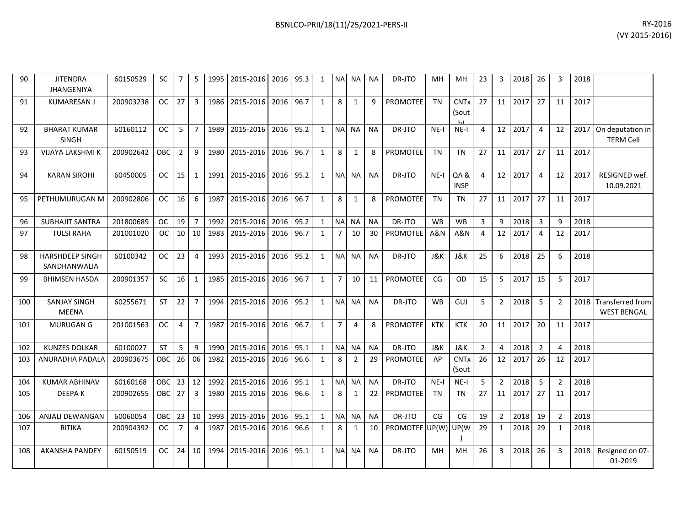| 90  | <b>JITENDRA</b><br><b>JHANGENIYA</b>   | 60150529  | <b>SC</b>     | $\overline{7}$ | 5              | 1995 | 2015-2016      | 2016 | 95.3 |              | <b>NA</b>      | <b>NA</b>      | NA        | DR-JTO               | MН                   | MН                              | 23             | 3              | 2018 | 26             | 3              | 2018 |                                             |
|-----|----------------------------------------|-----------|---------------|----------------|----------------|------|----------------|------|------|--------------|----------------|----------------|-----------|----------------------|----------------------|---------------------------------|----------------|----------------|------|----------------|----------------|------|---------------------------------------------|
| 91  | <b>KUMARESAN J</b>                     | 200903238 | <b>OC</b>     | 27             | 3              | 1986 | 2015-2016      | 2016 | 96.7 | $\mathbf{1}$ | 8              | 1              | q         | <b>PROMOTEE</b>      | <b>TN</b>            | <b>CNTx</b><br>(Sout            | 27             | 11             | 2017 | 27             | 11             | 2017 |                                             |
| 92  | <b>BHARAT KUMAR</b><br><b>SINGH</b>    | 60160112  | <b>OC</b>     | 5              | $\overline{7}$ | 1989 | 2015-2016      | 2016 | 95.2 | $\mathbf{1}$ | <b>NA</b>      | <b>NA</b>      | <b>NA</b> | DR-JTO               | $NE-I$               | $NE-I$                          | 4              | 12             | 2017 | $\overline{a}$ | 12             | 2017 | On deputation in<br><b>TERM Cell</b>        |
| 93  | <b>VIJAYA LAKSHMI K</b>                | 200902642 | <b>OBC</b>    | 2              | 9              | 1980 | 2015-2016      | 2016 | 96.7 | $\mathbf{1}$ | 8              | $\mathbf{1}$   | 8         | PROMOTEE             | <b>TN</b>            | <b>TN</b>                       | 27             | 11             | 2017 | 27             | 11             | 2017 |                                             |
| 94  | <b>KARAN SIROHI</b>                    | 60450005  | <sub>OC</sub> | 15             | 1              | 1991 | 2015-2016      | 2016 | 95.2 | $\mathbf{1}$ |                | NA NA          | <b>NA</b> | DR-JTO               | $NE-I$               | QA &<br><b>INSP</b>             | $\overline{4}$ | 12             | 2017 | $\overline{4}$ | 12             | 2017 | RESIGNED wef.<br>10.09.2021                 |
| 95  | PETHUMURUGAN M                         | 200902806 | <b>OC</b>     | 16             | 6              | 1987 | 2015-2016      | 2016 | 96.7 | $\mathbf{1}$ | 8              | 1              | 8         | <b>PROMOTEE</b>      | <b>TN</b>            | <b>TN</b>                       | 27             | 11             | 2017 | 27             | 11             | 2017 |                                             |
| 96  | <b>SUBHAJIT SANTRA</b>                 | 201800689 | <sub>OC</sub> | 19             | $\overline{7}$ | 1992 | 2015-2016      | 2016 | 95.2 | 1            | <b>NA</b>      | <b>NA</b>      | <b>NA</b> | DR-JTO               | <b>W<sub>B</sub></b> | <b>WB</b>                       | 3              | $\mathbf{q}$   | 2018 | $\overline{3}$ | 9              | 2018 |                                             |
| 97  | <b>TULSI RAHA</b>                      | 201001020 | <b>OC</b>     | 10             | 10             | 1983 | 2015-2016      | 2016 | 96.7 | 1            | $\overline{7}$ | 10             | 30        | <b>PROMOTEE</b>      | A&N                  | A&N                             | 4              | 12             | 2017 | 4              | 12             | 2017 |                                             |
| 98  | <b>HARSHDEEP SINGH</b><br>SANDHANWALIA | 60100342  | <b>OC</b>     | 23             | 4              | 1993 | 2015-2016      | 2016 | 95.2 | $\mathbf{1}$ | <b>NA</b>      | <b>NA</b>      | <b>NA</b> | DR-JTO               | J&K                  | J&K                             | 25             | 6              | 2018 | 25             | 6              | 2018 |                                             |
| 99  | <b>BHIMSEN HASDA</b>                   | 200901357 | <b>SC</b>     | 16             | 1              | 1985 | 2015-2016      | 2016 | 96.7 | $\mathbf{1}$ | $\overline{7}$ | 10             | 11        | <b>PROMOTEE</b>      | CG                   | <b>OD</b>                       | 15             | 5              | 2017 | 15             | 5              | 2017 |                                             |
| 100 | <b>SANJAY SINGH</b><br><b>MEENA</b>    | 60255671  | <b>ST</b>     | 22             | $\overline{7}$ | 1994 | 2015-2016      | 2016 | 95.2 | $\mathbf{1}$ | NA NA          |                | <b>NA</b> | DR-JTO               | <b>WB</b>            | GUJ                             | 5              | $\overline{2}$ | 2018 | 5              | $\overline{2}$ |      | 2018 Transferred from<br><b>WEST BENGAL</b> |
| 101 | <b>MURUGAN G</b>                       | 201001563 | <b>OC</b>     | 4              | $\overline{7}$ | 1987 | 2015-2016      | 2016 | 96.7 | $\mathbf{1}$ | $\overline{7}$ | $\overline{4}$ | 8         | <b>PROMOTEE</b>      | <b>KTK</b>           | <b>KTK</b>                      | 20             | 11             | 2017 | 20             | 11             | 2017 |                                             |
| 102 | <b>KUNZES DOLKAR</b>                   | 60100027  | <b>ST</b>     | 5              | 9              | 1990 | 2015-2016      | 2016 | 95.1 | 1            | <b>NA</b>      | <b>NA</b>      | <b>NA</b> | DR-JTO               | J&K                  | J&K                             | $\overline{2}$ | 4              | 2018 | $\overline{2}$ | $\overline{a}$ | 2018 |                                             |
| 103 | ANURADHA PADALA                        | 200903675 | OBC           | 26             | 06             | 1982 | 2015-2016      | 2016 | 96.6 | 1            | 8              | 2              | 29        | <b>PROMOTEE</b>      | AP                   | <b>CNT<sub>x</sub></b><br>(Sout | 26             | 12             | 2017 | 26             | 12             | 2017 |                                             |
| 104 | <b>KUMAR ABHINAV</b>                   | 60160168  | <b>OBC</b>    | 23             | 12             | 1992 | 2015-2016      | 2016 | 95.1 | $\mathbf{1}$ | <b>NA</b>      | <b>NA</b>      | <b>NA</b> | DR-JTO               | $NE-I$               | $NE-I$                          | -5             | $\overline{2}$ | 2018 | 5              | $\overline{2}$ | 2018 |                                             |
| 105 | <b>DEEPAK</b>                          | 200902655 | <b>OBC</b>    | 27             | 3              | 1980 | 2015-2016      | 2016 | 96.6 | 1            | 8              | 1              | 22        | <b>PROMOTEE</b>      | <b>TN</b>            | <b>TN</b>                       | 27             | 11             | 2017 | 27             | 11             | 2017 |                                             |
| 106 | ANJALI DEWANGAN                        | 60060054  | <b>OBC</b>    | 23             | 10             | 1993 | 2015-2016      | 2016 | 95.1 | 1            | <b>NA</b>      | <b>NA</b>      | <b>NA</b> | DR-JTO               | CG                   | $\mathsf{CG}\phantom{.}$        | 19             | $\overline{2}$ | 2018 | 19             | $\overline{2}$ | 2018 |                                             |
| 107 | <b>RITIKA</b>                          | 200904392 | <b>OC</b>     | $\overline{7}$ | $\overline{4}$ | 1987 | 2015-2016 2016 |      | 96.6 | $\mathbf{1}$ | 8              | 1              | 10        | PROMOTEE UP(W) UP(W) |                      |                                 | 29             | $\mathbf{1}$   | 2018 | 29             | $\mathbf{1}$   | 2018 |                                             |

108 AKANSHA PANDEY 60150519 OC 24 10 1994 2015-2016 2016 95.1 1 NA NA NA DR-JTO MH MH 26 3 2018 26 3 2018 Resigned on 07-

)

01-2019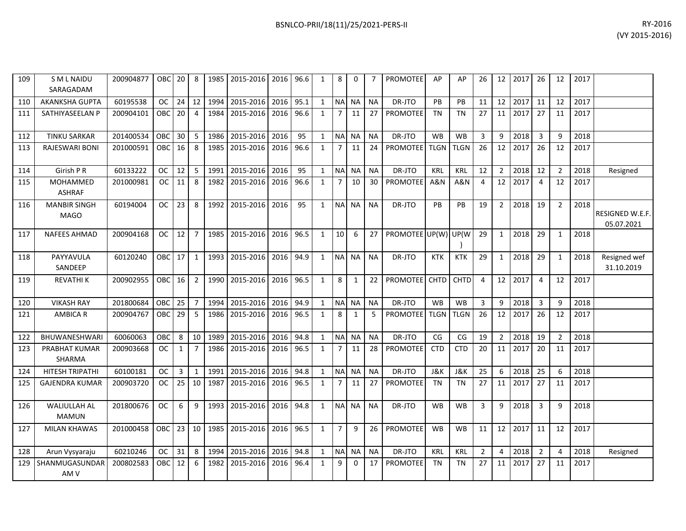| 109 | <b>SML NAIDU</b><br>SARAGADAM       | 200904877 | OBC 20            |              | 8              |      | 1985   2015-2016   2016   96.6 |      |      | 1            | 8              | 0            |           | <b>PROMOTEE</b> | AP          | AP             | 26             | 12 <sup>1</sup> | 2017 | 26             | 12             | 2017 |                               |
|-----|-------------------------------------|-----------|-------------------|--------------|----------------|------|--------------------------------|------|------|--------------|----------------|--------------|-----------|-----------------|-------------|----------------|----------------|-----------------|------|----------------|----------------|------|-------------------------------|
| 110 | <b>AKANKSHA GUPTA</b>               | 60195538  | OC                | 24           | 12             | 1994 | 2015-2016                      | 2016 | 95.1 | $\mathbf{1}$ |                | NA NA        | <b>NA</b> | DR-JTO          | PB          | <b>PB</b>      | 11             | 12              | 2017 | 11             | 12             | 2017 |                               |
| 111 | SATHIYASEELAN P                     | 200904101 | OBC.              | 20           | $\overline{4}$ | 1984 | 2015-2016                      | 2016 | 96.6 | $\mathbf{1}$ | 7              | 11           | 27        | <b>PROMOTEE</b> | <b>TN</b>   | <b>TN</b>      | 27             | 11              | 2017 | 27             | 11             | 2017 |                               |
| 112 | <b>TINKU SARKAR</b>                 | 201400534 | ОВС               | 30           | 5              | 1986 | 2015-2016                      | 2016 | 95   | $\mathbf{1}$ |                | NA NA        | <b>NA</b> | DR-JTO          | <b>WB</b>   | WB             | 3              | 9               | 2018 | 3              | 9              | 2018 |                               |
| 113 | RAJESWARI BONI                      | 201000591 | <b>OBC</b>        | 16           | 8              | 1985 | 2015-2016                      | 2016 | 96.6 | $\mathbf{1}$ | 7 <sup>1</sup> | 11           | 24        | <b>PROMOTEE</b> | <b>TLGN</b> | <b>TLGN</b>    | 26             | 12              | 2017 | 26             | 12             | 2017 |                               |
| 114 | Girish P R                          | 60133222  | <b>OC</b>         | 12           | 5              | 1991 | 2015-2016                      | 2016 | 95   | $\mathbf{1}$ |                | NA NA        | <b>NA</b> | DR-JTO          | <b>KRL</b>  | <b>KRL</b>     | 12             | $2^{\circ}$     | 2018 | 12             | $\overline{2}$ | 2018 | Resigned                      |
| 115 | MOHAMMED<br><b>ASHRAF</b>           | 201000981 | <b>OC</b>         | 11           | 8              |      | 1982 2015-2016                 | 2016 | 96.6 | $\mathbf{1}$ | 7 <sup>1</sup> | 10           | 30        | <b>PROMOTEE</b> | A&N         | A&N            | $\overline{4}$ | 12              | 2017 | 4              | 12             | 2017 |                               |
| 116 | <b>MANBIR SINGH</b><br><b>MAGO</b>  | 60194004  | <b>OC</b>         | 23           | 8              |      | 1992 2015-2016 2016            |      | 95   | $\mathbf{1}$ |                | NA NA        | <b>NA</b> | DR-JTO          | PB          | PB             | 19             | $2^{\circ}$     | 2018 | 19             | $\overline{2}$ | 2018 | RESIGNED W.E.F.<br>05.07.2021 |
| 117 | <b>NAFEES AHMAD</b>                 | 200904168 | <b>OC</b>         | 12           | $\overline{7}$ |      | 1985 2015-2016                 | 2016 | 96.5 | $\mathbf{1}$ | 10             | 6            | 27        | PROMOTEE UP(W)  |             | UP(W           | 29             | $\mathbf{1}$    | 2018 | 29             | $\mathbf{1}$   | 2018 |                               |
| 118 | PAYYAVULA<br>SANDEEP                | 60120240  | OBC <sub>17</sub> |              | $\mathbf{1}$   |      | 1993 2015-2016                 | 2016 | 94.9 | $\mathbf{1}$ |                | NA NA        | <b>NA</b> | DR-JTO          | <b>KTK</b>  | <b>KTK</b>     | 29             | $\mathbf{1}$    | 2018 | 29             | 1              | 2018 | Resigned wef<br>31.10.2019    |
| 119 | REVATHI K                           | 200902955 | OBC               | 16           | $\overline{2}$ |      | 1990 2015-2016                 | 2016 | 96.5 | $\mathbf{1}$ | 8              | $\mathbf{1}$ | 22        | <b>PROMOTEE</b> | <b>CHTD</b> | <b>CHTD</b>    | 4              | 12              | 2017 | 4              | 12             | 2017 |                               |
| 120 | <b>VIKASH RAY</b>                   | 201800684 | OBC               | 25           | $\overline{7}$ | 1994 | 2015-2016                      | 2016 | 94.9 | $\mathbf{1}$ |                | NA NA        | <b>NA</b> | DR-JTO          | <b>WB</b>   | <b>WB</b>      | 3              | 9               | 2018 | 3              | 9              | 2018 |                               |
| 121 | <b>AMBICA R</b>                     | 200904767 | OBC.              | 29           | 5              |      | 1986 2015-2016                 | 2016 | 96.5 | $\mathbf{1}$ | 8              | $\mathbf{1}$ | 5         | <b>PROMOTEE</b> | <b>TLGN</b> | <b>TLGN</b>    | 26             | 12              | 2017 | 26             | 12             | 2017 |                               |
| 122 | <b>BHUWANESHWAR</b>                 | 60060063  | OBC               | 8            | 10             | 1989 | 2015-2016                      | 2016 | 94.8 | $\mathbf{1}$ |                | NA NA        | <b>NA</b> | DR-JTO          | CG          | CG             | 19             | $2^{\circ}$     | 2018 | 19             | $\overline{2}$ | 2018 |                               |
| 123 | PRABHAT KUMAR<br>SHARMA             | 200903668 | OC.               | $\mathbf{1}$ | $\overline{7}$ |      | 1986 2015-2016                 | 2016 | 96.5 | $\mathbf{1}$ | $7^{\circ}$    | 11           | 28        | <b>PROMOTEE</b> | <b>CTD</b>  | <b>CTD</b>     | 20             | 11              | 2017 | 20             | 11             | 2017 |                               |
| 124 | HITESH TRIPATHI                     | 60100181  | <b>OC</b>         | 3            | $\mathbf{1}$   | 1991 | 2015-2016                      | 2016 | 94.8 | $\mathbf{1}$ | <b>NA</b>      | <b>NA</b>    | <b>NA</b> | DR-JTO          | J&K         | <b>J&amp;K</b> | 25             | 6               | 2018 | 25             | 6              | 2018 |                               |
| 125 | <b>GAJENDRA KUMAR</b>               | 200903720 | OC.               | 25           | 10             | 1987 | 2015-2016                      | 2016 | 96.5 | $\mathbf{1}$ | $\overline{7}$ | 11           | 27        | PROMOTEE        | <b>TN</b>   | <b>TN</b>      | 27             | 11              | 2017 | 27             | 11             | 2017 |                               |
| 126 | <b>WALIULLAH AL</b><br><b>MAMUN</b> | 201800676 | <b>OC</b>         | 6            | 9              | 1993 | 2015-2016                      | 2016 | 94.8 | $\mathbf{1}$ |                | NA NA        | <b>NA</b> | DR-JTO          | <b>WB</b>   | <b>WB</b>      | 3              | 9               | 2018 | 3              | 9              | 2018 |                               |
| 127 | <b>MILAN KHAWAS</b>                 | 201000458 | OBC               | 23           | 10             |      | 1985 2015-2016                 | 2016 | 96.5 | $\mathbf{1}$ | 7 <sup>7</sup> | 9            | 26        | <b>PROMOTEE</b> | <b>WB</b>   | <b>WB</b>      | 11             | 12              | 2017 | 11             | 12             | 2017 |                               |
| 128 | Arun Vysyaraju                      | 60210246  | <b>OC</b>         | 31           | 8              | 1994 | 2015-2016                      | 2016 | 94.8 | $\mathbf{1}$ | <b>NA</b>      | <b>NA</b>    | <b>NA</b> | DR-JTO          | <b>KRL</b>  | <b>KRL</b>     | $\overline{2}$ | 4               | 2018 | $\overline{2}$ | 4              | 2018 | Resigned                      |
| 129 | SHANMUGASUNDAR<br>AM <sub>V</sub>   | 200802583 | OBC.              | 12           | 6              | 1982 | 2015-2016                      | 2016 | 96.4 | $\mathbf{1}$ | 9              | 0            | 17        | <b>PROMOTEE</b> | <b>TN</b>   | TN             | 27             | 11              | 2017 | 27             | 11             | 2017 |                               |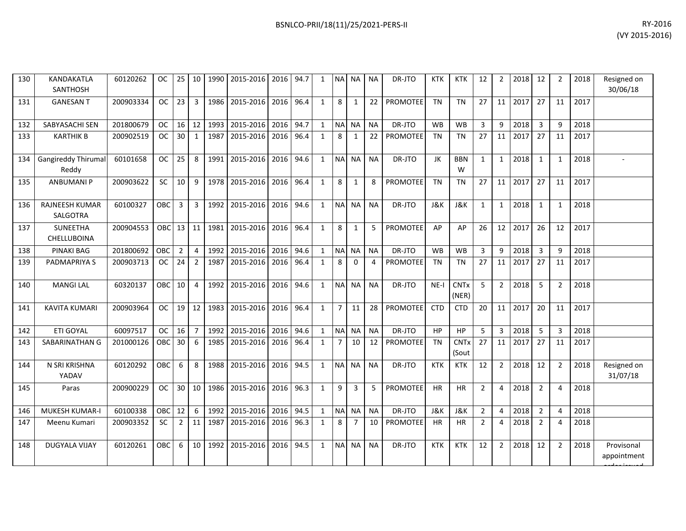| 130 | KANDAKATLA<br><b>SANTHOSH</b>       | 60120262  | OC                  | 25              | 10             | 1990 | 2015-2016                           | 2016 | 94.7 | 1            | <b>NA</b>      | <b>NA</b>      | <b>NA</b>      | DR-JTO          | <b>KTK</b> | <b>KTK</b>           | 12             | $\overline{2}$ | 2018 | 12                      | 2              | 2018 | Resigned on<br>30/06/18 |
|-----|-------------------------------------|-----------|---------------------|-----------------|----------------|------|-------------------------------------|------|------|--------------|----------------|----------------|----------------|-----------------|------------|----------------------|----------------|----------------|------|-------------------------|----------------|------|-------------------------|
| 131 | <b>GANESAN T</b>                    | 200903334 | OC                  | 23              | $\overline{3}$ | 1986 | 2015-2016                           | 2016 | 96.4 | $\mathbf{1}$ | 8              | 1              | 22             | <b>PROMOTEE</b> | <b>TN</b>  | <b>TN</b>            | 27             | 11             | 2017 | 27                      | 11             | 2017 |                         |
| 132 | SABYASACHI SEN                      | 201800679 | oc l                | 16              | 12             | 1993 | 2015-2016                           | 2016 | 94.7 | 1            | <b>NA</b>      | NA             | <b>NA</b>      | DR-JTO          | <b>WB</b>  | <b>WB</b>            | $\mathbf{3}$   | 9              | 2018 | $\overline{\mathbf{3}}$ | q              | 2018 |                         |
| 133 | <b>KARTHIK B</b>                    | 200902519 | OC                  | 30              | 1              | 1987 | 2015-2016                           | 2016 | 96.4 | $\mathbf{1}$ | 8              | 1              | 22             | <b>PROMOTEE</b> | <b>TN</b>  | <b>TN</b>            | 27             | 11             | 2017 | 27                      | 11             | 2017 |                         |
| 134 | <b>Gangireddy Thirumal</b><br>Reddy | 60101658  | $OC$ $\blacksquare$ | 25              | -8             | 1991 | 2015-2016                           | 2016 | 94.6 | 1            | NA NA          |                | <b>NA</b>      | DR-JTO          | JK         | <b>BBN</b><br>W      | $\mathbf{1}$   | 1              | 2018 | 1                       | $\mathbf{1}$   | 2018 |                         |
| 135 | <b>ANBUMANIP</b>                    | 200903622 | <b>SC</b>           | 10              | -9             | 1978 | 2015-2016                           | 2016 | 96.4 | $\mathbf{1}$ | 8              | $\mathbf{1}$   | 8              | <b>PROMOTEE</b> | <b>TN</b>  | <b>TN</b>            | 27             | 11             | 2017 | 27                      | 11             | 2017 |                         |
| 136 | <b>RAJNEESH KUMAR</b><br>SALGOTRA   | 60100327  | OBC <sup>1</sup>    | 3               | 3              | 1992 | 2015-2016                           | 2016 | 94.6 | $\mathbf{1}$ |                | NA NA          | <b>NA</b>      | DR-JTO          | J&K        | J&K                  | $\mathbf{1}$   | 1              | 2018 | 1                       | $\mathbf 1$    | 2018 |                         |
| 137 | <b>SUNEETHA</b><br>CHELLUBOINA      | 200904553 | OBC 13 11           |                 |                | 1981 | 2015-2016                           | 2016 | 96.4 | $\mathbf{1}$ | 8              | 1              | 5              | PROMOTEE        | AP         | AP                   | 26             | 12             | 2017 | 26                      | 12             | 2017 |                         |
| 138 | <b>PINAKI BAG</b>                   | 201800692 | OBC I               | $\overline{2}$  | $\overline{4}$ | 1992 | 2015-2016                           | 2016 | 94.6 | 1            | <b>NA</b>      | <b>NA</b>      | <b>NA</b>      | DR-JTO          | <b>WB</b>  | <b>WB</b>            | 3              | 9              | 2018 | $\overline{3}$          | q              | 2018 |                         |
| 139 | PADMAPRIYA S                        | 200903713 | oc I                | 24              | $\overline{2}$ | 1987 | 2015-2016                           | 2016 | 96.4 | $\mathbf{1}$ | 8              | $\Omega$       | $\overline{4}$ | <b>PROMOTEE</b> | <b>TN</b>  | <b>TN</b>            | 27             | 11             | 2017 | 27                      | 11             | 2017 |                         |
| 140 | <b>MANGILAL</b>                     | 60320137  | OBC <sup>I</sup>    | 10              | $\overline{4}$ | 1992 | 2015-2016                           | 2016 | 94.6 | $\mathbf{1}$ | <b>NA</b>      | <b>NA</b>      | <b>NA</b>      | DR-JTO          | $NE-I$     | <b>CNTx</b><br>(NER) | 5 <sup>1</sup> | $\overline{2}$ | 2018 | 5                       | $\overline{2}$ | 2018 |                         |
| 141 | <b>KAVITA KUMARI</b>                | 200903964 | OC                  | 19 <sup>1</sup> | 12             | 1983 | 2015-2016                           | 2016 | 96.4 | 1            | $\overline{7}$ | 11             | 28             | <b>PROMOTEE</b> | <b>CTD</b> | <b>CTD</b>           | 20             | 11             | 2017 | 20                      | 11             | 2017 |                         |
| 142 | <b>ETI GOYAL</b>                    | 60097517  | oc I                | 16              | $\overline{7}$ | 1992 | 2015-2016                           | 2016 | 94.6 | $\mathbf{1}$ | <b>INA</b>     | <b>NA</b>      | <b>NA</b>      | DR-JTO          | <b>HP</b>  | <b>HP</b>            | 5 <sup>5</sup> | 3              | 2018 | -5                      | 3              | 2018 |                         |
| 143 | SABARINATHAN G                      | 201000126 | OBC <sup>1</sup>    | 30              | 6              | 1985 | 2015-2016                           | 2016 | 96.4 | $\mathbf{1}$ | $\overline{7}$ | 10             | 12             | PROMOTEE        | <b>TN</b>  | <b>CNTx</b><br>(Sout | 27             | 11             | 2017 | 27                      | 11             | 2017 |                         |
| 144 | N SRI KRISHNA<br>YADAV              | 60120292  | OBC <sup>1</sup>    | -6              | 8              | 1988 | 2015-2016                           | 2016 | 94.5 | 1            | NA NA          |                | <b>NA</b>      | DR-JTO          | <b>KTK</b> | <b>KTK</b>           | 12             | 2              | 2018 | 12                      | 2              | 2018 | Resigned on<br>31/07/18 |
| 145 | Paras                               | 200900229 | $OC$ $\blacksquare$ | 30 <sup>1</sup> |                |      | 10   1986   2015-2016   2016   96.3 |      |      |              | 9              | $\overline{3}$ | 5              | <b>PROMOTEE</b> | <b>HR</b>  | <b>HR</b>            | $\overline{2}$ | $\overline{4}$ | 2018 | 2                       | $\overline{4}$ | 2018 |                         |

| 137 | SUNEETHA<br><b>CHELLUBOINA</b> | 200904553 | <b>OBC</b> | $13$ 11        |                | 1981 | 2015-2016 | 2016 | 96.4 |              | 8              |           | 5         | <b>PROMOTEE</b> | AP         | AP                   | 26             | 12             | 2017 | 26             | 12             | 2017 |                           |
|-----|--------------------------------|-----------|------------|----------------|----------------|------|-----------|------|------|--------------|----------------|-----------|-----------|-----------------|------------|----------------------|----------------|----------------|------|----------------|----------------|------|---------------------------|
|     |                                |           |            |                |                |      |           |      |      |              |                |           |           |                 |            |                      |                |                |      |                |                |      |                           |
| 138 | PINAKI BAG                     | 201800692 | OBC        | $\overline{2}$ | $\overline{4}$ | 1992 | 2015-2016 | 2016 | 94.6 | $\mathbf{1}$ |                | NA NA     | <b>NA</b> | DR-JTO          | <b>WB</b>  | <b>WB</b>            | $\overline{3}$ | 9              | 2018 | 3              | 9              | 2018 |                           |
| 139 | PADMAPRIYA S                   | 200903713 | <b>OC</b>  | 24             | 2              | 1987 | 2015-2016 | 2016 | 96.4 |              | 8              | $\Omega$  | 4         | <b>PROMOTEE</b> | <b>TN</b>  | <b>TN</b>            | 27             | 11             | 2017 | 27             | 11             | 2017 |                           |
| 140 | <b>MANGILAL</b>                | 60320137  | OBC        | 10             | $\overline{4}$ | 1992 | 2015-2016 | 2016 | 94.6 | $\mathbf{1}$ | <b>NA</b>      | <b>NA</b> | <b>NA</b> | DR-JTO          | $NE-I$     | <b>CNTx</b><br>(NER) | 5 <sup>1</sup> | $\overline{2}$ | 2018 | 5              | $\overline{2}$ | 2018 |                           |
| 141 | <b>KAVITA KUMARI</b>           | 200903964 | <b>OC</b>  | 19             | 12             | 1983 | 2015-2016 | 2016 | 96.4 | $\mathbf{1}$ | $\overline{7}$ | 11        | 28        | <b>PROMOTEE</b> | <b>CTD</b> | <b>CTD</b>           | 20             | 11             | 2017 | 20             | 11             | 2017 |                           |
| 142 | <b>ETI GOYAL</b>               | 60097517  | <b>OC</b>  | 16             |                | 1992 | 2015-2016 | 2016 | 94.6 | $\mathbf{1}$ | <b>NA</b>      | <b>NA</b> | <b>NA</b> | DR-JTO          | HP         | HP                   | 5              | 3              | 2018 | 5              | $\overline{3}$ | 2018 |                           |
| 143 | SABARINATHAN G                 | 201000126 | OBC        | 30             | 6              | 1985 | 2015-2016 | 2016 | 96.4 |              |                | 10        | 12        | <b>PROMOTEE</b> | <b>TN</b>  | <b>CNTx</b><br>(Sout | 27             | 11             | 2017 | 27             | 11             | 2017 |                           |
| 144 | N SRI KRISHNA<br>YADAV         | 60120292  | OBC        | 6              | 8              | 1988 | 2015-2016 | 2016 | 94.5 |              |                | NA NA     | <b>NA</b> | DR-JTO          | <b>KTK</b> | <b>KTK</b>           | 12             | $\overline{2}$ | 2018 | 12             | $\overline{2}$ | 2018 | Resigned on<br>31/07/18   |
| 145 | Paras                          | 200900229 | <b>OC</b>  | 30             | 10             | 1986 | 2015-2016 | 2016 | 96.3 |              | 9              | 3         | 5         | <b>PROMOTEE</b> | <b>HR</b>  | <b>HR</b>            | $\overline{2}$ | 4              | 2018 | $\overline{2}$ | 4              | 2018 |                           |
| 146 | MUKESH KUMAR-I                 | 60100338  | <b>OBC</b> | 12             | 6              | 1992 | 2015-2016 | 2016 | 94.5 |              |                | NA NA     | <b>NA</b> | DR-JTO          | J&K        | <b>J&amp;K</b>       | $\overline{2}$ | 4              | 2018 | $\overline{2}$ | 4              | 2018 |                           |
| 147 | Meenu Kumari                   | 200903352 | <b>SC</b>  | $\overline{2}$ | 11             | 1987 | 2015-2016 | 2016 | 96.3 | 1            | 8              |           | 10        | <b>PROMOTEE</b> | <b>HR</b>  | <b>HR</b>            | $\overline{2}$ | 4              | 2018 | 2              | 4              | 2018 |                           |
| 148 | <b>DUGYALA VIJAY</b>           | 60120261  | OBC        | 6              | 10             | 1992 | 2015-2016 | 2016 | 94.5 | $\mathbf{1}$ | <b>NAI</b>     | <b>NA</b> | <b>NA</b> | DR-JTO          | <b>KTK</b> | <b>KTK</b>           | 12             | $\overline{2}$ | 2018 | 12             | $\overline{2}$ | 2018 | Provisonal<br>appointment |
|     |                                |           |            |                |                |      |           |      |      |              |                |           |           |                 |            |                      |                |                |      |                |                |      |                           |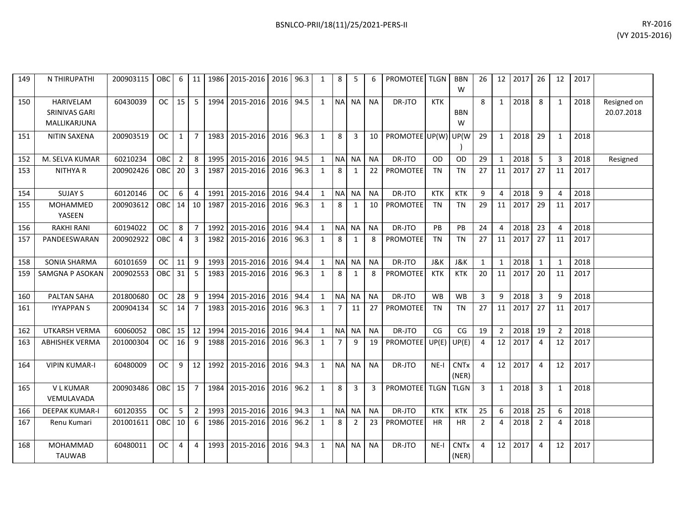| 149 | N THIRUPATHI                               | 200903115 | <b>OBC</b> | 6              | 11             |      | 1986 2015-2016 | 2016 | 96.3 | $\mathbf{1}$ | 8              | -5             | 6         | <b>PROMOTEE</b> TLGN |            | <b>BBN</b><br>W      | 26             | 12             | 2017 | 26             | 12             | 2017 |                           |
|-----|--------------------------------------------|-----------|------------|----------------|----------------|------|----------------|------|------|--------------|----------------|----------------|-----------|----------------------|------------|----------------------|----------------|----------------|------|----------------|----------------|------|---------------------------|
| 150 | HARIVELAM<br>SRINIVAS GARI<br>MALLIKARJUNA | 60430039  | <b>OC</b>  | 15             | 5              |      | 1994 2015-2016 | 2016 | 94.5 | $\mathbf{1}$ | <b>NA</b>      | <b>NA</b>      | <b>NA</b> | DR-JTO               | <b>KTK</b> | BBN<br>W             | 8              | 1              | 2018 | 8              | $\mathbf{1}$   | 2018 | Resigned on<br>20.07.2018 |
| 151 | NITIN SAXENA                               | 200903519 | OC.        | 1              | $\overline{7}$ | 1983 | 2015-2016      | 2016 | 96.3 | $\mathbf{1}$ | 8              | 3              | 10        | PROMOTEE UP(W)       |            | UP(W                 | 29             | 1              | 2018 | 29             | 1              | 2018 |                           |
| 152 | M. SELVA KUMAR                             | 60210234  | OBC        | $\overline{2}$ | 8              |      | 1995 2015-2016 | 2016 | 94.5 | $\mathbf{1}$ | <b>NA</b>      | NA             | <b>NA</b> | DR-JTO               | 0D         | <b>OD</b>            | 29             | $\mathbf{1}$   | 2018 | 5              | 3              | 2018 | Resigned                  |
| 153 | <b>NITHYAR</b>                             | 200902426 | <b>OBC</b> | 20             | 3              | 1987 | 2015-2016      | 2016 | 96.3 | $\mathbf{1}$ | 8              | 1              | 22        | PROMOTEE             | TN         | TN                   | 27             | 11             | 2017 | 27             | 11             | 2017 |                           |
| 154 | <b>SUJAY S</b>                             | 60120146  | <b>OC</b>  | 6              | $\overline{4}$ | 1991 | 2015-2016      | 2016 | 94.4 | $\mathbf{1}$ | <b>NA</b>      | <b>NA</b>      | <b>NA</b> | DR-JTO               | <b>KTK</b> | <b>KTK</b>           | 9              | 4              | 2018 | 9              | 4              | 2018 |                           |
| 155 | <b>MOHAMMED</b><br>YASEEN                  | 200903612 | OBC        | 14             | 10             | 1987 | 2015-2016      | 2016 | 96.3 | $\mathbf{1}$ | 8              | 1              | 10        | PROMOTEE             | <b>TN</b>  | TN                   | 29             | 11             | 2017 | 29             | 11             | 2017 |                           |
| 156 | <b>RAKHI RANI</b>                          | 60194022  | <b>OC</b>  | 8              | $\overline{7}$ |      | 1992 2015-2016 | 2016 | 94.4 | $\mathbf{1}$ | <b>NA</b>      | <b>NA</b>      | <b>NA</b> | DR-JTO               | PB         | <b>PB</b>            | 24             | $\overline{4}$ | 2018 | 23             | $\overline{4}$ | 2018 |                           |
| 157 | PANDEESWARAN                               | 200902922 | OBC        | 4              | 3              | 1982 | 2015-2016      | 2016 | 96.3 | $\mathbf{1}$ | 8              | 1              | 8         | <b>PROMOTEE</b>      | TN         | TN                   | 27             | 11             | 2017 | 27             | 11             | 2017 |                           |
| 158 | <b>SONIA SHARMA</b>                        | 60101659  | <b>OC</b>  | 11             | 9              | 1993 | 2015-2016      | 2016 | 94.4 | $\mathbf{1}$ | <b>NA</b>      | <b>NA</b>      | <b>NA</b> | DR-JTO               | J&K        | J&K                  | $\mathbf{1}$   | $\mathbf{1}$   | 2018 | $\mathbf{1}$   | $\mathbf{1}$   | 2018 |                           |
| 159 | SAMGNA P ASOKAN                            | 200902553 | OBC        | 31             | -5             | 1983 | 2015-2016      | 2016 | 96.3 | $\mathbf{1}$ | 8              | 1              | 8         | <b>PROMOTEE</b>      | <b>KTK</b> | <b>KTK</b>           | 20             | 11             | 2017 | 20             | 11             | 2017 |                           |
| 160 | PALTAN SAHA                                | 201800680 | <b>OC</b>  | 28             | 9              | 1994 | 2015-2016      | 2016 | 94.4 | $\mathbf{1}$ | <b>NA</b>      | <b>NA</b>      | <b>NA</b> | DR-JTO               | <b>WB</b>  | <b>WB</b>            | 3              | 9              | 2018 | $\overline{3}$ | 9              | 2018 |                           |
| 161 | <b>IYYAPPANS</b>                           | 200904134 | <b>SC</b>  | 14             | $\overline{7}$ | 1983 | 2015-2016      | 2016 | 96.3 | $\mathbf{1}$ | $\overline{7}$ | 11             | 27        | PROMOTEE             | <b>TN</b>  | TN                   | 27             | 11             | 2017 | 27             | 11             | 2017 |                           |
| 162 | <b>UTKARSH VERMA</b>                       | 60060052  | OBC        | $15 \mid$      | 12             | 1994 | 2015-2016      | 2016 | 94.4 | $\mathbf{1}$ | <b>NA</b>      | <b>NA</b>      | <b>NA</b> | DR-JTO               | CG         | CG                   | 19             | $\overline{2}$ | 2018 | 19             | $\overline{2}$ | 2018 |                           |
| 163 | <b>ABHISHEK VERMA</b>                      | 201000304 | OC.        | 16             | 9              | 1988 | 2015-2016      | 2016 | 96.3 | $\mathbf{1}$ | $\overline{7}$ | 9              | 19        | <b>PROMOTEE</b>      | UP(E)      | UP(E)                | 4              | 12             | 2017 | $\overline{4}$ | 12             | 2017 |                           |
| 164 | <b>VIPIN KUMAR-I</b>                       | 60480009  | <b>OC</b>  | 9              | 12             |      | 1992 2015-2016 | 2016 | 94.3 | $\mathbf{1}$ | <b>NA</b>      | <b>NA</b>      | <b>NA</b> | DR-JTO               | $NE-I$     | <b>CNTx</b><br>(NER) | $\overline{4}$ | 12             | 2017 | 4              | 12             | 2017 |                           |
| 165 | <b>VLKUMAR</b><br>VEMULAVADA               | 200903486 | <b>OBC</b> | 15             | $\overline{7}$ |      | 1984 2015-2016 | 2016 | 96.2 | $\mathbf{1}$ | 8              | $\overline{3}$ | 3         | <b>PROMOTEE</b>      | TLGN TLGN  |                      | 3              | $\mathbf{1}$   | 2018 | 3              | 1              | 2018 |                           |
| 166 | <b>DEEPAK KUMAR-I</b>                      | 60120355  | <b>OC</b>  | 5              | $\overline{2}$ | 1993 | 2015-2016      | 2016 | 94.3 | $\mathbf{1}$ | <b>NA</b>      | <b>NA</b>      | <b>NA</b> | DR-JTO               | <b>KTK</b> | <b>KTK</b>           | 25             | 6              | 2018 | 25             | 6              | 2018 |                           |
| 167 | Renu Kumari                                | 201001611 | OBC        | 10             | 6              |      | 1986 2015-2016 | 2016 | 96.2 | $\mathbf{1}$ | 8              | $\overline{2}$ | 23        | PROMOTEE             | HR         | HR                   | $\overline{2}$ | 4              | 2018 | $\overline{2}$ | 4              | 2018 |                           |
| 168 | <b>MOHAMMAD</b><br><b>TAUWAB</b>           | 60480011  | OC.        | 4              | 4              | 1993 | 2015-2016      | 2016 | 94.3 | $\mathbf{1}$ | <b>NA</b>      | <b>NA</b>      | <b>NA</b> | DR-JTO               | $NE-I$     | <b>CNTx</b><br>(NER) | 4              | 12             | 2017 | $\overline{4}$ | 12             | 2017 |                           |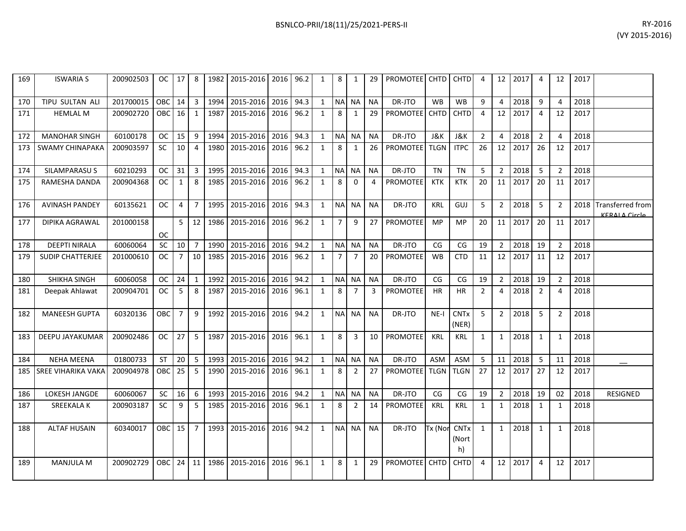| 169 | <b>ISWARIA S</b>          | 200902503 |                 |                  |                |           | 0C   17   8   1982   2015-2016   2016   96.2 |           |      | 1              | 8              | 1              | 29        | <b>PROMOTEE CHTD CHTD</b> |                      |                            | $\overline{a}$ |                | 12 2017 | 4              | 12             | 2017 |                                          |
|-----|---------------------------|-----------|-----------------|------------------|----------------|-----------|----------------------------------------------|-----------|------|----------------|----------------|----------------|-----------|---------------------------|----------------------|----------------------------|----------------|----------------|---------|----------------|----------------|------|------------------------------------------|
| 170 | TIPU SULTAN ALI           | 201700015 | OBC I           | 14 I             | $\overline{3}$ | 1994      | 2015-2016                                    | 2016      | 94.3 | 1              | <b>NA</b>      | <b>NA</b>      | <b>NA</b> | DR-JTO                    | <b>W<sub>B</sub></b> | <b>WB</b>                  | 9              | $\overline{4}$ | 2018    | 9              | $\overline{4}$ | 2018 |                                          |
| 171 | <b>HEMLAL M</b>           | 200902720 | OBC I           | 16 <sup>1</sup>  | 1              | 1987      | 2015-2016                                    | 2016 96.2 |      | 1              | 8              | 1              | 29        | <b>PROMOTEE</b> CHTD      |                      | <b>CHTD</b>                | $\overline{a}$ | 12             | 2017    | $\overline{a}$ | 12             | 2017 |                                          |
| 172 | <b>MANOHAR SINGH</b>      | 60100178  | OC .            | $15 \mid$        | -9             | 1994      | 2015-2016                                    | 2016      | 94.3 | 1              | <b>NA</b>      | <b>NA</b>      | <b>NA</b> | DR-JTO                    | J&K                  | J&K                        | $\overline{2}$ | 4              | 2018    | 2              | $\overline{4}$ | 2018 |                                          |
|     | 173 SWAMY CHINAPAKA       | 200903597 | SC              | 10 <sup>1</sup>  | $\overline{4}$ | 1980      | 2015-2016                                    | 2016      | 96.2 | 1              | 8              | 1              | 26        | <b>PROMOTEE</b> TLGN      |                      | <b>ITPC</b>                | 26             | 12             | 2017    | 26             | 12             | 2017 |                                          |
| 174 | SILAMPARASU S             | 60210293  | oc <sub>1</sub> | $31 \mid 3$      |                | 1995      | 2015-2016                                    | 2016      | 94.3 | 1              | <b>NA</b>      | <b>NA</b>      | <b>NA</b> | DR-JTO                    | <b>TN</b>            | <b>TN</b>                  | 5              | $\overline{2}$ | 2018    | 5              | $\overline{2}$ | 2018 |                                          |
| 175 | RAMESHA DANDA             | 200904368 | OC              | 1                | 8              | 1985      | 2015-2016                                    | 2016 96.2 |      | 1              | 8              | $\Omega$       | 4         | PROMOTEE                  | <b>KTK</b>           | <b>KTK</b>                 | 20             | 11             | 2017    | 20             | 11             | 2017 |                                          |
| 176 | <b>AVINASH PANDEY</b>     | 60135621  | OC              | $4 \mid$         | $\overline{7}$ | 1995      | 2015-2016                                    | 2016      | 94.3 | 1              | <b>NAI</b>     | <b>NA</b>      | <b>NA</b> | DR-JTO                    | KRL                  | GUJ                        | 5              | $\overline{2}$ | 2018    | 5              | $\overline{2}$ | 2018 | <b>Transferred from</b><br>KERALA Circle |
| 177 | DIPIKA AGRAWAL            | 201000158 | <b>OC</b>       |                  |                | 5 12 1986 | 2015-2016                                    | 2016 96.2 |      | 1              | $\overline{7}$ | 9              | 27        | <b>PROMOTEE</b>           | <b>MP</b>            | <b>MP</b>                  | 20             | 11             | 2017    | 20             | 11             | 2017 |                                          |
| 178 | <b>DEEPTI NIRALA</b>      | 60060064  | SC              | $10\overline{7}$ |                | 1990      | 2015-2016                                    | 2016      | 94.2 | 1              | <b>NA</b>      | <b>NA</b>      | <b>NA</b> | DR-JTO                    | CG                   | CG                         | 19             | 2              | 2018    | 19             | $\overline{2}$ | 2018 |                                          |
| 179 | <b>SUDIP CHATTERJEE</b>   | 201000610 | <b>OC</b>       |                  |                | 7 10 1985 | 2015-2016                                    | 2016 96.2 |      | 1              | $\overline{7}$ | $\overline{7}$ | 20        | <b>PROMOTEE</b>           | <b>WB</b>            | <b>CTD</b>                 | 11             | 12             | 2017    | 11             | 12             | 2017 |                                          |
| 180 | SHIKHA SINGH              | 60060058  | OC .            | 24               | 1              | 1992      | 2015-2016                                    | 2016 94.2 |      | $\mathbf{1}$   | <b>NA</b>      | <b>NA</b>      | <b>NA</b> | DR-JTO                    | CG                   | CG                         | 19             | 2              | 2018    | 19             | $\overline{2}$ | 2018 |                                          |
| 181 | Deepak Ahlawat            | 200904701 | OC.             | 5 <sub>1</sub>   | 8              | 1987      | 2015-2016                                    | 2016 96.1 |      | 1              | 8              | $\overline{7}$ | 3         | <b>PROMOTEE</b>           | HR                   | HR                         | $\overline{2}$ | 4              | 2018    | 2              | 4              | 2018 |                                          |
| 182 | <b>MANEESH GUPTA</b>      | 60320136  | OBC.            | 7 <sup>1</sup>   | 9              | 1992      | 2015-2016                                    | 2016      | 94.2 | 1              | <b>NA</b>      | <b>NA</b>      | <b>NA</b> | DR-JTO                    | $NE-I$               | CNTx<br>(NER)              | 5              | $\overline{2}$ | 2018    | 5              | $\overline{2}$ | 2018 |                                          |
| 183 | DEEPU JAYAKUMAR           | 200902486 | oc <sub>1</sub> | 27               | -5             | 1987      | 2015-2016                                    | 2016 96.1 |      | 1              | 8              | 3              | 10        | <b>PROMOTEE</b>           | <b>KRL</b>           | KRL                        | $\mathbf{1}$   | 1              | 2018    | $\mathbf{1}$   | $\mathbf{1}$   | 2018 |                                          |
| 184 | <b>NEHA MEENA</b>         | 01800733  | ST              | 20               | - 5            | 1993      | 2015-2016                                    | 2016      | 94.2 | $\mathbf{1}$   | <b>NA</b>      | <b>NA</b>      | <b>NA</b> | DR-JTO                    | ASM                  | ASM                        | 5              | 11             | 2018    | 5              | 11             | 2018 |                                          |
| 185 | <b>SREE VIHARIKA VAKA</b> | 200904978 | OBC I           | 25               | - 5            |           | 1990 2015-2016                               | 2016 96.1 |      | 1              | 8              | $\overline{2}$ | 27        | <b>PROMOTEE</b> TLGN      |                      | <b>TLGN</b>                | 27             | 12             | 2017    | 27             | 12             | 2017 |                                          |
| 186 | LOKESH JANGDE             | 60060067  | SC.             | 16               | -6             | 1993      | 2015-2016                                    | 2016      | 94.2 | $\overline{1}$ | <b>NA</b>      | <b>NA</b>      | <b>NA</b> | DR-JTO                    | CG                   | CG                         | 19             | $\overline{2}$ | 2018    | 19             | 02             | 2018 | <b>RESIGNED</b>                          |
| 187 | SREEKALA K                | 200903187 | <b>SC</b>       | 9 <sup>1</sup>   | 5              | 1985      | 2015-2016                                    | 2016      | 96.1 | 1              | 8              | $\overline{2}$ | 14        | <b>PROMOTEE</b>           | KRL                  | <b>KRL</b>                 | $\mathbf{1}$   | $\mathbf{1}$   | 2018    | $\mathbf{1}$   | 1              | 2018 |                                          |
| 188 | <b>ALTAF HUSAIN</b>       | 60340017  | OBC             | 15               | $\overline{7}$ |           | 1993 2015-2016                               | 2016 94.2 |      | 1              |                | NA NA          | <b>NA</b> | DR-JTO                    | Tx (Nor              | <b>CNTx</b><br>(Nort<br>h) | $\mathbf{1}$   | $\mathbf{1}$   | 2018    | $\mathbf{1}$   | 1              | 2018 |                                          |
| 189 | MANJULA M                 | 200902729 | OBC             |                  | $24$ 11        |           | 1986 2015-2016                               | 2016      | 96.1 | 1              | 8              | 1              | 29        | PROMOTEE CHTD             |                      | CHTD                       | $\overline{4}$ | 12             | 2017    | $\overline{4}$ | 12             | 2017 |                                          |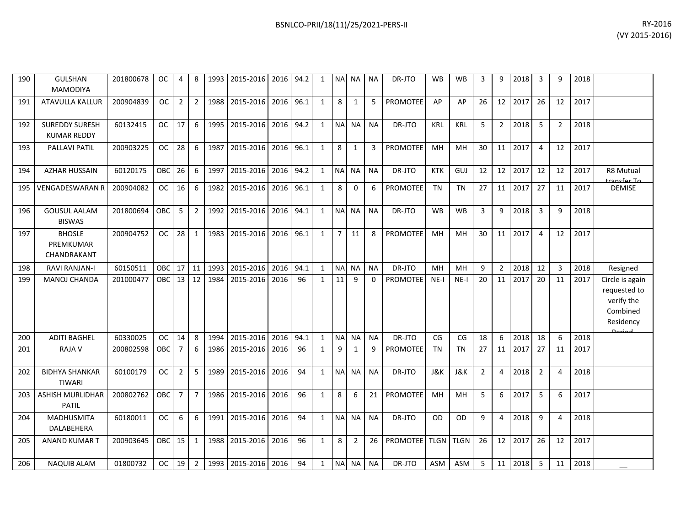| RY-2016        |
|----------------|
| (VY 2015-2016) |

| 190 | <b>GULSHAN</b><br>MAMODIYA                  | 201800678 | <b>OC</b>        | 4              | 8              | 1993 | 2015-2016      | 2016      | 94.2 | 1            |                | NA NA          | <b>NA</b> | DR-JTO          | <b>WB</b>      | <b>WB</b>      | 3              | 9               | 2018    | 3              | q              | 2018 |                                                                                  |
|-----|---------------------------------------------|-----------|------------------|----------------|----------------|------|----------------|-----------|------|--------------|----------------|----------------|-----------|-----------------|----------------|----------------|----------------|-----------------|---------|----------------|----------------|------|----------------------------------------------------------------------------------|
| 191 | ATAVULLA KALLUR                             | 200904839 | OC               | $\overline{2}$ | 2              | 1988 | 2015-2016      | 2016      | 96.1 | $\mathbf{1}$ | 8              | $\mathbf{1}$   | 5         | <b>PROMOTEE</b> | AP             | AP             | 26             | 12 <sub>1</sub> | 2017    | 26             | 12             | 2017 |                                                                                  |
| 192 | <b>SUREDDY SURESH</b><br><b>KUMAR REDDY</b> | 60132415  | <b>OC</b>        | 17             | 6              | 1995 | 2015-2016      | 2016      | 94.2 | 1            |                | NA NA          | <b>NA</b> | DR-JTO          | <b>KRL</b>     | <b>KRL</b>     | 5              | $2^{\circ}$     | 2018    | 5              | $\overline{2}$ | 2018 |                                                                                  |
| 193 | PALLAVI PATIL                               | 200903225 | <b>OC</b>        | 28             | 6              | 1987 | 2015-2016      | 2016      | 96.1 | $\mathbf{1}$ | 8              | 1              | 3         | <b>PROMOTEE</b> | MH             | MH             | 30             |                 | 11 2017 | $\overline{4}$ | 12             | 2017 |                                                                                  |
| 194 | <b>AZHAR HUSSAIN</b>                        | 60120175  | OBC              | 26             | 6              | 1997 | 2015-2016      | 2016      | 94.2 | $\mathbf{1}$ | NA NA          |                | <b>NA</b> | DR-JTO          | <b>KTK</b>     | GUJ            | 12             |                 | 12 2017 | 12             | 12             | 2017 | R8 Mutual<br>ancfor To                                                           |
| 195 | <b>VENGADESWARAN R</b>                      | 200904082 | <b>OC</b>        | 16             | 6              | 1982 | 2015-2016      | 2016      | 96.1 | $\mathbf{1}$ | 8              | $\Omega$       | 6         | <b>PROMOTEE</b> | <b>TN</b>      | <b>TN</b>      | 27             |                 | 11 2017 | 27             | 11             | 2017 | <b>DEMISE</b>                                                                    |
| 196 | <b>GOUSUL AALAM</b><br><b>BISWAS</b>        | 201800694 | OBC              | 5              | $\overline{2}$ | 1992 | 2015-2016      | 2016 94.1 |      | 1            | NA NA          |                | <b>NA</b> | DR-JTO          | <b>WB</b>      | <b>WB</b>      | 3              | 9               | 2018    | $\overline{3}$ | 9              | 2018 |                                                                                  |
| 197 | <b>BHOSLE</b><br>PREMKUMAR<br>CHANDRAKANT   | 200904752 | <b>OC</b>        | 28             | $\mathbf{1}$   | 1983 | 2015-2016      | 2016      | 96.1 | $\mathbf{1}$ | $\overline{7}$ | 11             | 8         | PROMOTEE        | MH             | <b>MH</b>      | 30             |                 | 11 2017 | $\overline{4}$ | 12             | 2017 |                                                                                  |
| 198 | <b>RAVI RANJAN-I</b>                        | 60150511  | OBC              | 17             | 11             | 1993 | 2015-2016      | 2016      | 94.1 | $\mathbf{1}$ | NA NA          |                | <b>NA</b> | DR-JTO          | MH             | <b>MH</b>      | 9              | $\overline{2}$  | 2018    | 12             | 3              | 2018 | Resigned                                                                         |
| 199 | MANOJ CHANDA                                | 201000477 | OBC              |                | $13 \mid 12$   | 1984 | 2015-2016      | 2016      | 96   | $\mathbf{1}$ | 11             | $\mathsf{q}$   | $\Omega$  | <b>PROMOTEE</b> | $NE-I$         | $NE-I$         | 20             | 11 <sup>1</sup> | 2017    | 20             | 11             | 2017 | Circle is again<br>requested to<br>verify the<br>Combined<br>Residency<br>Doriad |
| 200 | <b>ADITI BAGHEL</b>                         | 60330025  | <b>OC</b>        | 14             | 8              | 1994 | 2015-2016      | 2016      | 94.1 | $\mathbf{1}$ |                | NA NA          | <b>NA</b> | DR-JTO          | CG             | CG             | 18             | 6               | 2018    | 18             | 6              | 2018 |                                                                                  |
| 201 | <b>RAJA V</b>                               | 200802598 | OBC              | 7              | 6              | 1986 | 2015-2016      | 2016      | 96   | 1            | 9              | 1              | 9         | PROMOTEE        | <b>TN</b>      | <b>TN</b>      | 27             | 11              | 2017    | 27             | 11             | 2017 |                                                                                  |
| 202 | <b>BIDHYA SHANKAR</b><br><b>TIWARI</b>      | 60100179  | <b>OC</b>        | $\overline{2}$ | 5              | 1989 | 2015-2016      | 2016      | 94   | $\mathbf{1}$ |                | NA NA          | <b>NA</b> | DR-JTO          | <b>J&amp;K</b> | <b>J&amp;K</b> | $\overline{2}$ | 4               | 2018    | $\overline{2}$ | $\overline{4}$ | 2018 |                                                                                  |
| 203 | ASHISH MURLIDHAR<br><b>PATIL</b>            | 200802762 | OBC              | $\overline{7}$ | $\overline{7}$ | 1986 | 2015-2016      | 2016      | 96   | $\mathbf{1}$ | 8              | 6              | 21        | <b>PROMOTEE</b> | MH             | MH             | 5              | 6               | 2017    | 5              | 6              | 2017 |                                                                                  |
| 204 | <b>MADHUSMITA</b><br>DALABEHERA             | 60180011  | <b>OC</b>        | 6              | 6              | 1991 | 2015-2016      | 2016      | 94   | $\mathbf{1}$ |                | NA NA          | <b>NA</b> | DR-JTO          | <b>OD</b>      | <b>OD</b>      | 9              | 4               | 2018    | 9              | $\overline{4}$ | 2018 |                                                                                  |
| 205 | <b>ANAND KUMAR T</b>                        | 200903645 | OBC <sup>I</sup> | 15             | 1              | 1988 | 2015-2016      | 2016      | 96   | $\mathbf{1}$ | 8              | $\overline{2}$ | 26        | PROMOTEE TLGN   |                | <b>TLGN</b>    | 26             | 12 <sup>1</sup> | 2017    | 26             | 12             | 2017 |                                                                                  |
| 206 | <b>NAQUIB ALAM</b>                          | 01800732  | <b>OC</b>        | 19             | $2^{\circ}$    |      | 1993 2015-2016 | 2016      | 94   | 1            |                | NA NA          | <b>NA</b> | DR-JTO          | <b>ASM</b>     | ASM            | 5              |                 | 11 2018 | 5              | 11             | 2018 |                                                                                  |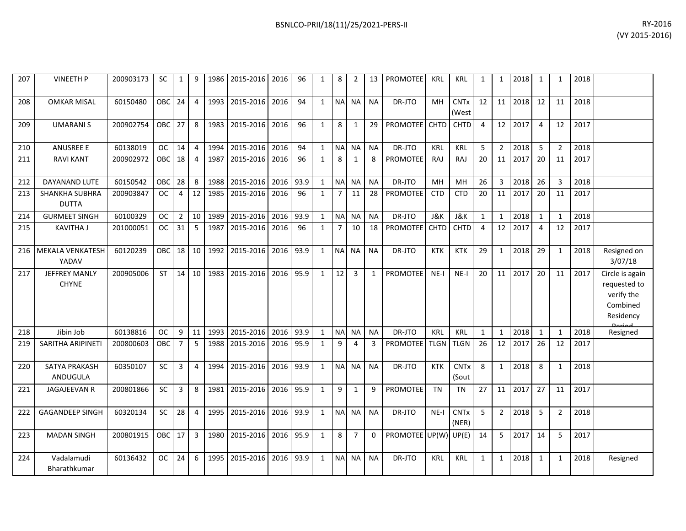| 207 | <b>VINEETH P</b>                     | 200903173 | SC         | $\mathbf{1}$   | 9              | 1986 | 2015-2016      | 2016      | 96   | $\mathbf{1}$ | 8              | $\overline{2}$ | 13        | PROMOTEE             | <b>KRL</b>  | <b>KRL</b>           | $\mathbf{1}$   | 1              | 2018    | $\mathbf{1}$   | $\mathbf{1}$   | 2018 |                                                                                         |
|-----|--------------------------------------|-----------|------------|----------------|----------------|------|----------------|-----------|------|--------------|----------------|----------------|-----------|----------------------|-------------|----------------------|----------------|----------------|---------|----------------|----------------|------|-----------------------------------------------------------------------------------------|
| 208 | <b>OMKAR MISAL</b>                   | 60150480  | <b>OBC</b> | 24             | 4              | 1993 | 2015-2016      | 2016      | 94   | $\mathbf{1}$ |                | NA NA          | <b>NA</b> | DR-JTO               | MH          | <b>CNTx</b><br>(West | 12             | 11             | 2018    | 12             | 11             | 2018 |                                                                                         |
| 209 | <b>UMARANIS</b>                      | 200902754 | <b>OBC</b> | 27             | 8              |      | 1983 2015-2016 | 2016      | 96   | $\mathbf{1}$ | 8              | 1              | 29        | PROMOTEE CHTD        |             | <b>CHTD</b>          | $\overline{4}$ |                | 12 2017 | $\overline{4}$ | 12             | 2017 |                                                                                         |
| 210 | <b>ANUSREE E</b>                     | 60138019  | <b>OC</b>  | 14             | 4              | 1994 | 2015-2016      | 2016      | 94   | $\mathbf{1}$ | <b>NA</b>      | <b>NA</b>      | <b>NA</b> | DR-JTO               | <b>KRL</b>  | <b>KRL</b>           | 5              | 2              | 2018    | 5              | $\overline{2}$ | 2018 |                                                                                         |
| 211 | <b>RAVI KANT</b>                     | 200902972 | <b>OBC</b> | 18             | $\overline{4}$ | 1987 | 2015-2016      | 2016      | 96   | $\mathbf{1}$ | 8              | $\mathbf{1}$   | 8         | <b>PROMOTEE</b>      | RAJ         | RAJ                  | 20             | 11             | 2017    | 20             | 11             | 2017 |                                                                                         |
| 212 | DAYANAND LUTE                        | 60150542  | <b>OBC</b> | 28             | 8              | 1988 | 2015-2016      | 2016      | 93.9 | $\mathbf{1}$ | <b>NA</b>      | <b>NA</b>      | <b>NA</b> | DR-JTO               | MH          | MH                   | 26             | $\overline{3}$ | 2018    | 26             | 3              | 2018 |                                                                                         |
| 213 | SHANKHA SUBHRA<br><b>DUTTA</b>       | 200903847 | <b>OC</b>  | 4              | 12             | 1985 | 2015-2016      | 2016      | 96   | $\mathbf{1}$ | $\overline{7}$ | 11             | 28        | PROMOTEE             | <b>CTD</b>  | <b>CTD</b>           | 20             | 11             | 2017    | 20             | 11             | 2017 |                                                                                         |
| 214 | <b>GURMEET SINGH</b>                 | 60100329  | <b>OC</b>  | $\overline{2}$ | 10             | 1989 | 2015-2016      | 2016      | 93.9 | $\mathbf{1}$ | NA NA          |                | <b>NA</b> | DR-JTO               | J&K         | <b>J&amp;K</b>       | $\mathbf{1}$   | 1              | 2018    | $\mathbf{1}$   | $\mathbf{1}$   | 2018 |                                                                                         |
| 215 | <b>KAVITHA J</b>                     | 201000051 | <b>OC</b>  | 31             | 5              | 1987 | 2015-2016      | 2016      | 96   | $\mathbf{1}$ | $\overline{7}$ | 10             | 18        | PROMOTEE             | <b>CHTD</b> | <b>CHTD</b>          | $\overline{4}$ | 12             | 2017    | 4              | 12             | 2017 |                                                                                         |
| 216 | <b>MEKALA VENKATESH</b><br>YADAV     | 60120239  | OBC        | 18             | 10             | 1992 | 2015-2016      | 2016 93.9 |      | $\mathbf{1}$ | N <sub>A</sub> | <b>NA</b>      | <b>NA</b> | DR-JTO               | <b>KTK</b>  | <b>KTK</b>           | 29             | $\mathbf{1}$   | 2018    | 29             | 1              | 2018 | Resigned on<br>3/07/18                                                                  |
| 217 | <b>JEFFREY MANLY</b><br><b>CHYNE</b> | 200905006 | ST         | 14             | 10             |      | 1983 2015-2016 | 2016      | 95.9 | $\mathbf{1}$ | 12             | 3              | 1         | <b>PROMOTEE</b>      | $NE-I$      | $NE-I$               | 20             | 11             | 2017    | 20             | 11             | 2017 | Circle is again<br>requested to<br>verify the<br>Combined<br>Residency<br><b>Doriod</b> |
| 218 | Jibin Job                            | 60138816  | <b>OC</b>  | 9              | 11             | 1993 | 2015-2016      | 2016      | 93.9 | 1            | <b>NA</b>      | <b>NA</b>      | <b>NA</b> | DR-JTO               | <b>KRL</b>  | <b>KRL</b>           | $\mathbf{1}$   | 1              | 2018    | $\mathbf{1}$   | $\mathbf{1}$   | 2018 | Resigned                                                                                |
| 219 | SARITHA ARIPINETI                    | 200800603 | OBC        | 7              | 5              | 1988 | 2015-2016      | 2016      | 95.9 | 1            | 9              | 4              | 3         | <b>PROMOTEE</b>      | <b>TLGN</b> | <b>TLGN</b>          | 26             | 12             | 2017    | 26             | 12             | 2017 |                                                                                         |
| 220 | SATYA PRAKASH<br><b>ANDUGULA</b>     | 60350107  | <b>SC</b>  | 3              | $\overline{4}$ | 1994 | 2015-2016      | 2016      | 93.9 | $\mathbf{1}$ | <b>NA</b>      | <b>NA</b>      | <b>NA</b> | DR-JTO               | <b>KTK</b>  | <b>CNTx</b><br>(Sout | 8              | $\mathbf{1}$   | 2018    | 8              | 1              | 2018 |                                                                                         |
| 221 | <b>JAGAJEEVAN R</b>                  | 200801866 | SC         | 3              | 8              | 1981 | 2015-2016      | 2016      | 95.9 | $\mathbf{1}$ | 9              | $\mathbf{1}$   | 9         | <b>PROMOTEE</b>      | <b>TN</b>   | <b>TN</b>            | 27             | 11             | 2017    | 27             | 11             | 2017 |                                                                                         |
| 222 | <b>GAGANDEEP SINGH</b>               | 60320134  | SC         | 28             | $\overline{4}$ | 1995 | 2015-2016      | 2016      | 93.9 | $\mathbf{1}$ | <b>NA</b>      | <b>NA</b>      | <b>NA</b> | DR-JTO               | $NE-I$      | <b>CNTx</b><br>(NER) | 5              | $\overline{2}$ | 2018    | 5              | 2              | 2018 |                                                                                         |
| 223 | <b>MADAN SINGH</b>                   | 200801915 | OBC        | 17             | $\overline{3}$ | 1980 | 2015-2016      | 2016 95.9 |      | $\mathbf{1}$ | 8              | $\overline{7}$ | 0         | PROMOTEE UP(W) UP(E) |             |                      | 14             | 5              | 2017    | 14             | 5              | 2017 |                                                                                         |
| 224 | Vadalamudi<br>Bharathkumar           | 60136432  | <b>OC</b>  | 24             | 6              | 1995 | 2015-2016      | 2016      | 93.9 | $\mathbf{1}$ | NA NA          |                | <b>NA</b> | DR-JTO               | <b>KRL</b>  | <b>KRL</b>           | $\mathbf{1}$   | $\mathbf{1}$   | 2018    | 1              | $\mathbf{1}$   | 2018 | Resigned                                                                                |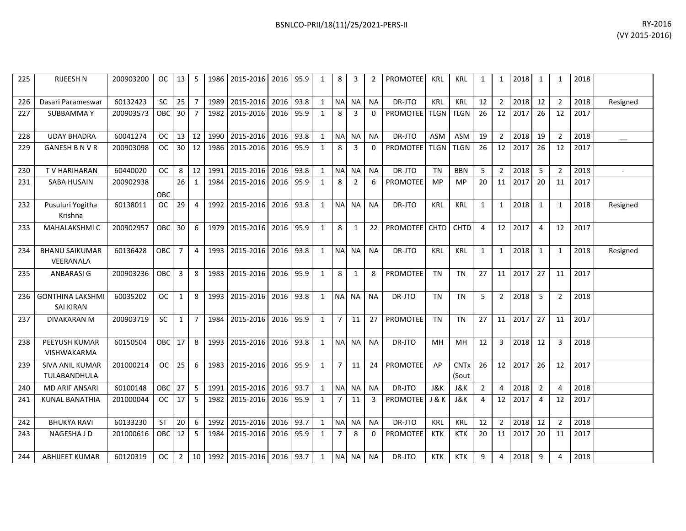| 225 | RIJEESH N                                   | 200903200 | OC .       | 13 <sup>1</sup> | 5              |            | 1986   2015-2016   2016   95.9      |           |      | 1            | 8              | 3            | $\mathfrak{p}$ | <b>PROMOTEE</b>       | <b>KRL</b>  | KRL                  | 1              |                | 1 2018        | 1              | $\mathbf{1}$   | 2018 |                |
|-----|---------------------------------------------|-----------|------------|-----------------|----------------|------------|-------------------------------------|-----------|------|--------------|----------------|--------------|----------------|-----------------------|-------------|----------------------|----------------|----------------|---------------|----------------|----------------|------|----------------|
| 226 | Dasari Parameswar                           | 60132423  | SC         | 25              |                | 1989       | 2015-2016                           | 2016      | 93.8 | 1            | <b>NA</b>      | <b>NA</b>    | <b>NA</b>      | DR-JTO                | <b>KRL</b>  | <b>KRL</b>           | 12             | $\overline{2}$ | 2018          | 12             | $\overline{2}$ | 2018 | Resigned       |
| 227 | <b>SUBBAMMAY</b>                            | 200903573 | OBC        | 30 <sup>1</sup> | $\overline{7}$ | 1982       | 2015-2016                           | 2016      | 95.9 | 1            | 8              | 3            | $\Omega$       | <b>PROMOTEE</b>       | <b>TLGN</b> | <b>TLGN</b>          | 26             | 12             | 2017          | 26             | 12             | 2017 |                |
| 228 | <b>UDAY BHADRA</b>                          | 60041274  | OC.        | $13 \mid 12$    |                | 1990       | 2015-2016                           | 2016      | 93.8 | 1            | <b>NA</b>      | <b>NA</b>    | <b>NA</b>      | DR-JTO                | <b>ASM</b>  | ASM                  | 19             | $\overline{2}$ | 2018          | 19             | 2              | 2018 |                |
| 229 | <b>GANESH B N V R</b>                       | 200903098 | OC         |                 |                | 30 12 1986 | 2015-2016                           | 2016 95.9 |      | 1            | 8              | 3            | $\Omega$       | <b>PROMOTEE</b>       | <b>TLGN</b> | <b>TLGN</b>          | 26             | 12             | 2017          | 26             | 12             | 2017 |                |
| 230 | TV HARIHARAN                                | 60440020  | OC         | 8 <sup>1</sup>  | 12             | 1991       | 2015-2016                           | 2016      | 93.8 | $\mathbf{1}$ | <b>NA</b>      | <b>NA</b>    | <b>NA</b>      | DR-JTO                | <b>TN</b>   | <b>BBN</b>           | -5             | 2              | 2018          | 5              | $\mathcal{L}$  | 2018 | $\blacksquare$ |
| 231 | <b>SABA HUSAIN</b>                          | 200902938 | OBC        | 26              | 1              | 1984       | 2015-2016                           | 2016      | 95.9 | 1            | 8              | 2            | 6              | <b>PROMOTEE</b>       | <b>MP</b>   | <b>MP</b>            | 20             | 11             | 2017          | 20             | 11             | 2017 |                |
| 232 | Pusuluri Yogitha<br>Krishna                 | 60138011  | OC.        | 29              | 4              | 1992       | 2015-2016                           | 2016 93.8 |      | 1            |                | NA NA        | <b>NA</b>      | DR-JTO                | <b>KRL</b>  | <b>KRL</b>           | 1              | $\mathbf{1}$   | 2018          | 1              | 1              | 2018 | Resigned       |
| 233 | MAHALAKSHMI C                               | 200902957 | <b>OBC</b> | 30              | 6              | 1979       | 2015-2016                           | 2016 95.9 |      | $\mathbf{1}$ | 8              | $\mathbf{1}$ | 22             | <b>PROMOTEE</b>       | <b>CHTD</b> | <b>CHTD</b>          | $\overline{4}$ |                | 12 2017       | $\overline{4}$ | 12             | 2017 |                |
| 234 | <b>BHANU SAIKUMAR</b><br>VEERANALA          | 60136428  | <b>OBC</b> | $\overline{7}$  | 4              | 1993       | 2015-2016                           | 2016 93.8 |      | 1            | <b>NA</b>      | <b>NA</b>    | <b>NA</b>      | DR-JTO                | KRL         | <b>KRL</b>           | 1              |                | $1 \mid 2018$ | 1              | 1              | 2018 | Resigned       |
| 235 | ANBARASI G                                  | 200903236 | OBC        | $\overline{3}$  | 8              | 1983       | 2015-2016                           | 2016 95.9 |      | 1            | 8              | $\mathbf{1}$ | 8              | <b>PROMOTEE</b>       | <b>TN</b>   | <b>TN</b>            | 27             |                | 11 2017       | 27             | 11             | 2017 |                |
| 236 | <b>GONTHINA LAKSHMI</b><br><b>SAI KIRAN</b> | 60035202  | <b>OC</b>  | $\mathbf{1}$    | 8              | 1993       | 2015-2016                           | 2016 93.8 |      | $\mathbf{1}$ | NA NA          |              | <b>NA</b>      | DR-JTO                | <b>TN</b>   | <b>TN</b>            | 5              | $\overline{2}$ | 2018          | 5              | $\overline{2}$ | 2018 |                |
| 237 | <b>DIVAKARAN M</b>                          | 200903719 | <b>SC</b>  | $\mathbf{1}$    | $\overline{7}$ | 1984       | 2015-2016                           | 2016 95.9 |      | $\mathbf{1}$ | $\overline{7}$ | 11           | 27             | PROMOTEE              | <b>TN</b>   | <b>TN</b>            | 27             |                | 11 2017       | 27             | 11             | 2017 |                |
| 238 | PEEYUSH KUMAR<br><b>VISHWAKARMA</b>         | 60150504  | <b>OBC</b> | 17              | 8              | 1993       | 2015-2016                           | 2016      | 93.8 | 1            | <b>NA</b>      | <b>NA</b>    | <b>NA</b>      | DR-JTO                | MН          | <b>MH</b>            | 12             | 3              | 2018          | 12             | 3              | 2018 |                |
| 239 | SIVA ANIL KUMAR<br>TULABANDHULA             | 201000214 | OC.        | 25              | 6              | 1983       | 2015-2016                           | 2016      | 95.9 | 1            | $\overline{7}$ | 11           | 24             | <b>PROMOTEE</b>       | AP          | <b>CNTx</b><br>(Sout | 26             |                | 12 2017       | 26             | 12             | 2017 |                |
| 240 | <b>MD ARIF ANSARI</b>                       | 60100148  | OBC        | 27              | 5              | 1991       | 2015-2016                           | 2016 93.7 |      | 1            | $\sf NA$       | <b>NA</b>    | <b>NA</b>      | DR-JTO                | J&K         | <b>J&amp;K</b>       | $\overline{2}$ | 4              | 2018          | $\overline{2}$ | $\Delta$       | 2018 |                |
| 241 | <b>KUNAL BANATHIA</b>                       | 201000044 | OC .       | 17              | 5              | 1982       | 2015-2016                           | 2016 95.9 |      | 1            | $\overline{7}$ | 11           | 3              | <b>PROMOTEE</b> J & K |             | J&K                  | $\overline{4}$ | 12             | 2017          | $\overline{4}$ | 12             | 2017 |                |
| 242 | <b>BHUKYA RAVI</b>                          | 60133230  | <b>ST</b>  | 20              | 6              | 1992       | 2015-2016                           | 2016      | 93.7 | 1            | <b>NA</b>      | <b>NA</b>    | <b>NA</b>      | DR-JTO                | <b>KRL</b>  | <b>KRL</b>           | 12             | $\overline{2}$ | 2018          | 12             | $\overline{2}$ | 2018 |                |
| 243 | NAGESHA J D                                 | 201000616 | <b>OBC</b> | 12 <sup>1</sup> | 5              | 1984       | 2015-2016                           | 2016      | 95.9 | 1            | $\overline{7}$ | 8            | $\Omega$       | <b>PROMOTEE</b>       | KTK         | <b>KTK</b>           | 20             | 11             | 2017          | 20             | 11             | 2017 |                |
| 244 | ABHIJEET KUMAR                              | 60120319  | OC .       | 2 <sup>1</sup>  |                |            | 10   1992   2015-2016   2016   93.7 |           |      | 1            |                | NA NA        | <b>NA</b>      | DR-JTO                | <b>KTK</b>  | <b>KTK</b>           | 9              | 4              | 2018          | 9              | 4              | 2018 |                |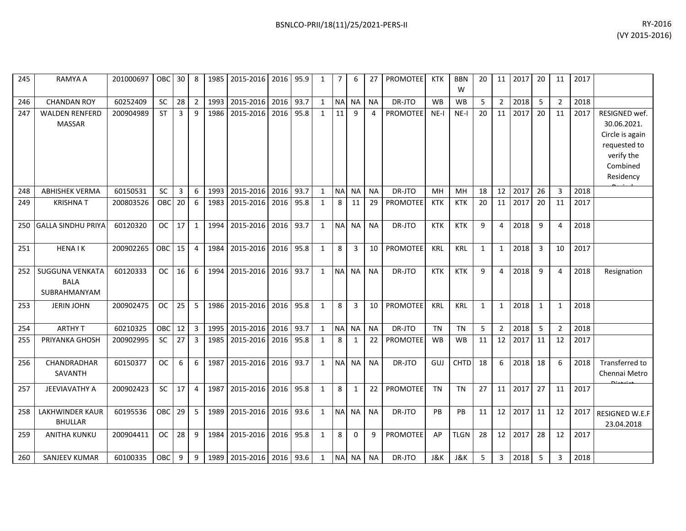| 245 | RAMYA A                                               | 201000697 | OBC        | 30 <sub>1</sub> | 8              | 1985 | 2015-2016   2016   95.9 |      |      | 1            | $\overline{7}$ | 6            | 27        | <b>PROMOTEE</b> | <b>KTK</b> | <b>BBN</b><br>W | 20           | 11             | 2017 | 20           | 11             | 2017 |                                                                                                        |
|-----|-------------------------------------------------------|-----------|------------|-----------------|----------------|------|-------------------------|------|------|--------------|----------------|--------------|-----------|-----------------|------------|-----------------|--------------|----------------|------|--------------|----------------|------|--------------------------------------------------------------------------------------------------------|
| 246 | <b>CHANDAN ROY</b>                                    | 60252409  | SC         | 28              | $\overline{2}$ | 1993 | 2015-2016               | 2016 | 93.7 | $\mathbf{1}$ | <b>NA</b>      | <b>NA</b>    | <b>NA</b> | DR-JTO          | <b>WB</b>  | <b>WB</b>       | 5            | $\overline{2}$ | 2018 | 5            | $\overline{2}$ | 2018 |                                                                                                        |
| 247 | <b>WALDEN RENFERD</b><br><b>MASSAR</b>                | 200904989 | <b>ST</b>  | 3               | 9              | 1986 | 2015-2016               | 2016 | 95.8 | 1            | 11             | 9            | 4         | PROMOTEE        | NE-I       | $NE-I$          | 20           | 11             | 2017 | 20           | 11             | 2017 | RESIGNED wef.<br>30.06.2021.<br>Circle is again<br>requested to<br>verify the<br>Combined<br>Residency |
| 248 | <b>ABHISHEK VERMA</b>                                 | 60150531  | SC         | $\overline{3}$  | 6              | 1993 | 2015-2016               | 2016 | 93.7 | 1            | <b>NA</b>      | <b>NA</b>    | <b>NA</b> | DR-JTO          | MH         | <b>MH</b>       | 18           | 12             | 2017 | 26           | 3              | 2018 |                                                                                                        |
| 249 | <b>KRISHNAT</b>                                       | 200803526 | <b>OBC</b> | 20              | 6              | 1983 | 2015-2016               | 2016 | 95.8 | 1            | 8              | 11           | 29        | <b>PROMOTEE</b> | <b>KTK</b> | <b>KTK</b>      | 20           | 11             | 2017 | 20           | 11             | 2017 |                                                                                                        |
| 250 | <b>GALLA SINDHU PRIYA</b>                             | 60120320  | <b>OC</b>  | 17              | $\mathbf{1}$   | 1994 | 2015-2016               | 2016 | 93.7 | $\mathbf{1}$ | <b>NA</b>      | <b>NA</b>    | <b>NA</b> | DR-JTO          | <b>KTK</b> | <b>KTK</b>      | 9            | 4              | 2018 | 9            | 4              | 2018 |                                                                                                        |
| 251 | <b>HENAIK</b>                                         | 200902265 | <b>OBC</b> | 15              | 4              | 1984 | 2015-2016               | 2016 | 95.8 | 1            | 8              | 3            | 10        | PROMOTEE        | KRL        | <b>KRL</b>      | $\mathbf{1}$ | $\mathbf{1}$   | 2018 | 3            | 10             | 2017 |                                                                                                        |
| 252 | <b>SUGGUNA VENKATA</b><br><b>BALA</b><br>SUBRAHMANYAM | 60120333  | <b>OC</b>  | 16              | 6              | 1994 | 2015-2016               | 2016 | 93.7 | $\mathbf{1}$ | <b>NA</b>      | <b>NA</b>    | <b>NA</b> | DR-JTO          | <b>KTK</b> | <b>KTK</b>      | 9            | 4              | 2018 | q            | 4              | 2018 | Resignation                                                                                            |
| 253 | <b>JERIN JOHN</b>                                     | 200902475 | <b>OC</b>  | 25              | 5              | 1986 | 2015-2016               | 2016 | 95.8 | $\mathbf{1}$ | 8              | 3            | 10        | <b>PROMOTEE</b> | KRL        | <b>KRL</b>      | $\mathbf{1}$ | $\mathbf{1}$   | 2018 | $\mathbf{1}$ | $\mathbf{1}$   | 2018 |                                                                                                        |
| 254 | <b>ARTHY T</b>                                        | 60210325  | <b>OBC</b> | 12              | 3              | 1995 | 2015-2016               | 2016 | 93.7 | $\mathbf{1}$ |                | NA NA        | <b>NA</b> | DR-JTO          | <b>TN</b>  | <b>TN</b>       | 5            | $\overline{2}$ | 2018 | 5            | $\overline{2}$ | 2018 |                                                                                                        |
| 255 | PRIYANKA GHOSH                                        | 200902995 | <b>SC</b>  | 27              | 3              | 1985 | 2015-2016               | 2016 | 95.8 | 1            | 8              | $\mathbf{1}$ | 22        | <b>PROMOTEE</b> | <b>WB</b>  | <b>WB</b>       | 11           | 12             | 2017 | 11           | 12             | 2017 |                                                                                                        |
| 256 | CHANDRADHAR<br>SAVANTH                                | 60150377  | <b>OC</b>  | 6               | 6              | 1987 | 2015-2016               | 2016 | 93.7 | 1            |                | NA NA        | <b>NA</b> | DR-JTO          | GUJ        | <b>CHTD</b>     | 18           | 6              | 2018 | 18           | 6              | 2018 | Transferred to<br>Chennai Metro                                                                        |
| 257 | <b>JEEVIAVATHY A</b>                                  | 200902423 | SC         | 17              | $\overline{4}$ | 1987 | 2015-2016               | 2016 | 95.8 | $\mathbf{1}$ | 8              | $\mathbf{1}$ | 22        | <b>PROMOTEE</b> | <b>TN</b>  | <b>TN</b>       | 27           | 11             | 2017 | 27           | 11             | 2017 |                                                                                                        |
| 258 | <b>LAKHWINDER KAUR</b><br><b>BHULLAR</b>              | 60195536  | <b>OBC</b> | 29              | 5              | 1989 | 2015-2016               | 2016 | 93.6 | $\mathbf{1}$ | <b>NA</b>      | <b>NA</b>    | <b>NA</b> | DR-JTO          | PB         | PB              | 11           | 12             | 2017 | 11           | 12             | 2017 | RESIGNED W.E.F<br>23.04.2018                                                                           |
| 259 | <b>ANITHA KUNKU</b>                                   | 200904411 | <b>OC</b>  | 28              | 9              | 1984 | 2015-2016               | 2016 | 95.8 | $\mathbf{1}$ | 8              | $\Omega$     | 9         | PROMOTEE        | AP         | <b>TLGN</b>     | 28           | 12             | 2017 | 28           | 12             | 2017 |                                                                                                        |
| 260 | <b>SANJEEV KUMAR</b>                                  | 60100335  | OBC        | 9               | 9              | 1989 | 2015-2016               | 2016 | 93.6 | $\mathbf{1}$ |                | NA NA        | <b>NA</b> | DR-JTO          | J&K        | <b>J&amp;K</b>  | 5            | 3              | 2018 | 5            | 3              | 2018 |                                                                                                        |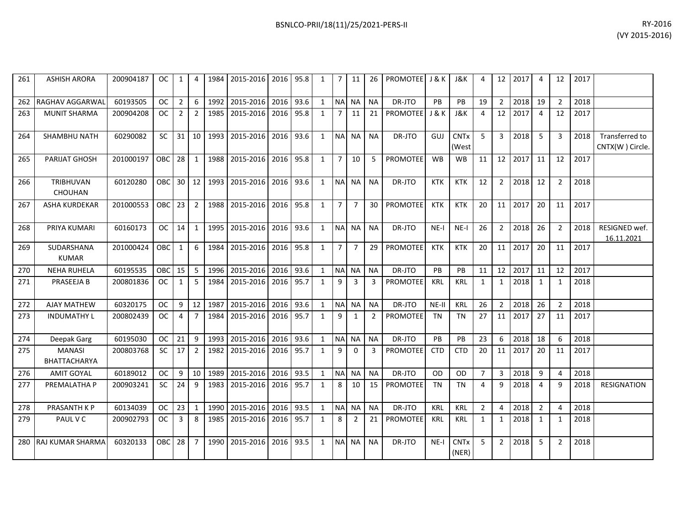| BSNLCO-PRII/18(11)/25/2021-PERS-II | RY-2016        |
|------------------------------------|----------------|
|                                    | (VY 2015-2016) |

| 261 | <b>ASHISH ARORA</b>                  | 200904187 | OC.        | $\mathbf{1}$   | 4              |      | 1984 2015-2016 2016 95.8 |      |      | 1            | $\overline{7}$ | 11             | 26             | PROMOTEE J & K  |                  | J&K                  | $\Delta$       | 12             | 2017 | 4              | 12             | 2017 |                                   |
|-----|--------------------------------------|-----------|------------|----------------|----------------|------|--------------------------|------|------|--------------|----------------|----------------|----------------|-----------------|------------------|----------------------|----------------|----------------|------|----------------|----------------|------|-----------------------------------|
| 262 | RAGHAV AGGARWAL                      | 60193505  | <b>OC</b>  | $\overline{2}$ | 6              | 1992 | 2015-2016                | 2016 | 93.6 | 1            | NA NA          |                | <b>NA</b>      | DR-JTO          | <b>PB</b>        | <b>PB</b>            | 19             | $\overline{2}$ | 2018 | 19             | $\overline{2}$ | 2018 |                                   |
| 263 | <b>MUNIT SHARMA</b>                  | 200904208 | <b>OC</b>  | $\overline{2}$ | 2              | 1985 | 2015-2016                | 2016 | 95.8 | $\mathbf{1}$ | $\overline{7}$ | 11             | 21             | <b>PROMOTEE</b> | <b>J &amp; K</b> | J&K                  | 4              | 12             | 2017 | 4              | 12             | 2017 |                                   |
| 264 | <b>SHAMBHU NATH</b>                  | 60290082  | <b>SC</b>  | 31             | 10             | 1993 | 2015-2016                | 2016 | 93.6 | $\mathbf{1}$ | NA NA          |                | <b>NA</b>      | DR-JTO          | GUJ              | <b>CNTx</b><br>(West | 5              | 3              | 2018 | 5              | 3              | 2018 | Transferred to<br>CNTX(W) Circle. |
| 265 | <b>PARIJAT GHOSH</b>                 | 201000197 | <b>OBC</b> | 28             | $\mathbf{1}$   |      | 1988 2015-2016           | 2016 | 95.8 | $\mathbf{1}$ | 7 <sup>1</sup> | 10             | 5              | <b>PROMOTEE</b> | <b>WB</b>        | <b>WB</b>            | 11             | 12             | 2017 | 11             | 12             | 2017 |                                   |
| 266 | TRIBHUVAN<br><b>CHOUHAN</b>          | 60120280  | <b>OBC</b> | $30 \mid 12$   |                |      | 1993 2015-2016           | 2016 | 93.6 | $\mathbf{1}$ |                | NA NA          | <b>NA</b>      | DR-JTO          | <b>KTK</b>       | <b>KTK</b>           | 12             | $\overline{2}$ | 2018 | 12             | $\overline{2}$ | 2018 |                                   |
| 267 | <b>ASHA KURDEKAR</b>                 | 201000553 | $OBC$ 23   |                | $\overline{2}$ |      | 1988 2015-2016           | 2016 | 95.8 | 1            | 7 <sup>1</sup> | $\overline{7}$ | 30             | <b>PROMOTEE</b> | <b>KTK</b>       | <b>KTK</b>           | 20             | 11             | 2017 | 20             | 11             | 2017 |                                   |
| 268 | PRIYA KUMARI                         | 60160173  | <b>OC</b>  | 14             | 1              |      | 1995 2015-2016           | 2016 | 93.6 | 1            |                | NA NA          | <b>NA</b>      | DR-JTO          | $NE-I$           | $NE-I$               | 26             | $\overline{2}$ | 2018 | 26             | $\overline{2}$ | 2018 | RESIGNED wef.<br>16.11.2021       |
| 269 | SUDARSHANA<br><b>KUMAR</b>           | 201000424 | OBC        | 1              | 6              | 1984 | 2015-2016                | 2016 | 95.8 | $\mathbf{1}$ | 7 <sup>1</sup> | $\overline{7}$ | 29             | <b>PROMOTEE</b> | <b>KTK</b>       | <b>KTK</b>           | 20             | 11             | 2017 | 20             | 11             | 2017 |                                   |
| 270 | <b>NEHA RUHELA</b>                   | 60195535  | OBC        | 15             | 5              | 1996 | 2015-2016                | 2016 | 93.6 | 1            | <b>NA</b>      | <b>NA</b>      | <b>NA</b>      | DR-JTO          | PB               | PB                   | 11             | 12             | 2017 | 11             | 12             | 2017 |                                   |
| 271 | PRASEEJA B                           | 200801836 | <b>OC</b>  | 1              | 5              | 1984 | 2015-2016                | 2016 | 95.7 | 1            | 9              | 3              | 3              | <b>PROMOTEE</b> | <b>KRL</b>       | <b>KRL</b>           | 1              | 1              | 2018 | 1              | -1             | 2018 |                                   |
| 272 | <b>AJAY MATHEW</b>                   | 60320175  | <b>OC</b>  | 9              | 12             | 1987 | 2015-2016                | 2016 | 93.6 | 1            |                | NA NA          | <b>NA</b>      | DR-JTO          | $NE-II$          | <b>KRL</b>           | 26             | $\overline{2}$ | 2018 | 26             | $\overline{2}$ | 2018 |                                   |
| 273 | <b>INDUMATHY L</b>                   | 200802439 | <b>OC</b>  | 4              | $\overline{7}$ |      | 1984 2015-2016           | 2016 | 95.7 | $\mathbf{1}$ | 9              | 1              | $\overline{2}$ | <b>PROMOTEE</b> | <b>TN</b>        | <b>TN</b>            | 27             | 11             | 2017 | 27             | 11             | 2017 |                                   |
| 274 | Deepak Garg                          | 60195030  | <b>OC</b>  | 21             | 9              | 1993 | 2015-2016                | 2016 | 93.6 | 1            | NA NA          |                | <b>NA</b>      | DR-JTO          | PB               | <b>PB</b>            | 23             | 6              | 2018 | 18             | 6              | 2018 |                                   |
| 275 | <b>MANASI</b><br><b>BHATTACHARYA</b> | 200803768 | <b>SC</b>  | 17             | $\overline{2}$ | 1982 | 2015-2016                | 2016 | 95.7 | $\mathbf{1}$ | 9              | $\Omega$       | 3              | <b>PROMOTEE</b> | <b>CTD</b>       | <b>CTD</b>           | 20             | 11             | 2017 | 20             | 11             | 2017 |                                   |
| 276 | <b>AMIT GOYAL</b>                    | 60189012  | <b>OC</b>  | 9              | 10             | 1989 | 2015-2016                | 2016 | 93.5 | 1            | <b>NA</b>      | <b>NA</b>      | <b>NA</b>      | DR-JTO          | <b>OD</b>        | <b>OD</b>            | $\overline{7}$ | $\overline{3}$ | 2018 | 9              | $\overline{a}$ | 2018 |                                   |
| 277 | PREMALATHA P                         | 200903241 | <b>SC</b>  | 24             | 9              | 1983 | 2015-2016                | 2016 | 95.7 | 1            | 8              | 10             | 15             | <b>PROMOTEE</b> | <b>TN</b>        | <b>TN</b>            | 4              | 9              | 2018 | 4              | 9              | 2018 | <b>RESIGNATION</b>                |
| 278 | PRASANTH K P                         | 60134039  | <b>OC</b>  | 23             | $\mathbf{1}$   | 1990 | 2015-2016                | 2016 | 93.5 | $\mathbf{1}$ |                | NA NA          | <b>NA</b>      | DR-JTO          | <b>KRL</b>       | <b>KRL</b>           | $\overline{2}$ | 4              | 2018 | $\overline{2}$ | $\overline{a}$ | 2018 |                                   |
| 279 | PAUL V C                             | 200902793 | <b>OC</b>  | 3              | 8              |      | 1985 2015-2016           | 2016 | 95.7 | $\mathbf{1}$ | 8              | $\overline{2}$ | 21             | <b>PROMOTEE</b> | <b>KRL</b>       | <b>KRL</b>           | 1              | 1              | 2018 | $\mathbf{1}$   | $\mathbf{1}$   | 2018 |                                   |
| 280 | <b>RAJ KUMAR SHARMA</b>              | 60320133  | OBC        | 28             | $\overline{7}$ | 1990 | 2015-2016                | 2016 | 93.5 | 1            | NA NA          |                | <b>NA</b>      | DR-JTO          | $NE-I$           | <b>CNTx</b><br>(NER) | 5              | $\overline{2}$ | 2018 | 5              | $\overline{2}$ | 2018 |                                   |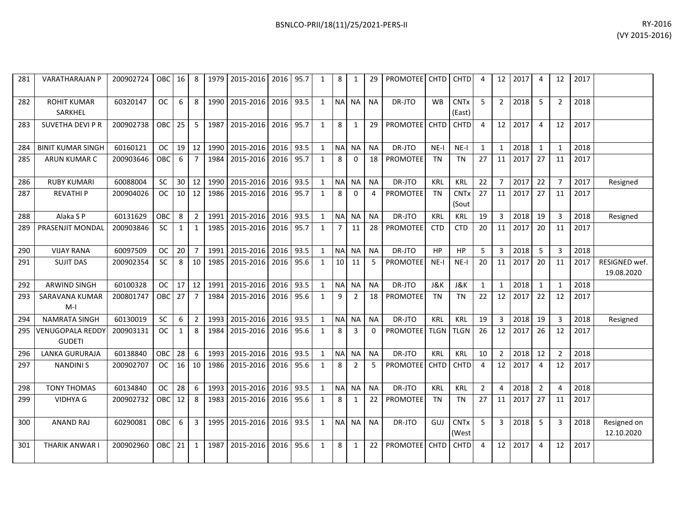| 281 | <b>VARATHARAJAN P</b>                | 200902724 | <b>OBC</b> | 16           | 8              | 1979 | 2015-2016 2016 |      | 95.7 | 1            | 8               | 1              | 29           | <b>PROMOTEE</b> | <b>CHTD</b> | <b>CHTD</b>                      | 4              | 12             | 2017 | $\overline{4}$ | 12             | 2017 |                             |
|-----|--------------------------------------|-----------|------------|--------------|----------------|------|----------------|------|------|--------------|-----------------|----------------|--------------|-----------------|-------------|----------------------------------|----------------|----------------|------|----------------|----------------|------|-----------------------------|
| 282 | <b>ROHIT KUMAR</b><br><b>SARKHEL</b> | 60320147  | ОC         | 6            | 8              | 1990 | 2015-2016      | 2016 | 93.5 | $\mathbf{1}$ | NA NA           |                | <b>NA</b>    | DR-JTO          | <b>WB</b>   | <b>CNT<sub>x</sub></b><br>(East) | 5              | $\overline{2}$ | 2018 | 5              | $\overline{2}$ | 2018 |                             |
| 283 | SUVETHA DEVI P R                     | 200902738 | <b>OBC</b> | 25           | 5              | 1987 | 2015-2016      | 2016 | 95.7 | 1            | 8               | 1              | 29           | <b>PROMOTEE</b> | <b>CHTD</b> | <b>CHTD</b>                      | 4              | 12             | 2017 | $\overline{4}$ | 12             | 2017 |                             |
| 284 | <b>BINIT KUMAR SINGH</b>             | 60160121  | OC.        | 19           | 12             | 1990 | 2015-2016      | 2016 | 93.5 | $\mathbf{1}$ | <b>NA</b>       | <b>NA</b>      | <b>NA</b>    | DR-JTO          | $NE-I$      | $NE-I$                           | $\mathbf{1}$   | $\mathbf{1}$   | 2018 | 1              | $\mathbf 1$    | 2018 |                             |
| 285 | ARUN KUMAR C                         | 200903646 | ОВС        | 6            | $\overline{7}$ | 1984 | 2015-2016      | 2016 | 95.7 | $\mathbf{1}$ | 8               | 0              | 18           | <b>PROMOTEE</b> | <b>TN</b>   | <b>TN</b>                        | 27             | 11             | 2017 | 27             | 11             | 2017 |                             |
| 286 | <b>RUBY KUMARI</b>                   | 60088004  | <b>SC</b>  | 30           | 12             | 1990 | 2015-2016      | 2016 | 93.5 | $\mathbf{1}$ | NA              | <b>NA</b>      | <b>NA</b>    | DR-JTO          | KRL         | <b>KRL</b>                       | 22             | $\overline{7}$ | 2017 | 22             | $\overline{7}$ | 2017 | Resigned                    |
| 287 | <b>REVATHIP</b>                      | 200904026 | <b>OC</b>  | 10           | 12             | 1986 | 2015-2016      | 2016 | 95.7 | $\mathbf{1}$ | 8               | $\mathbf 0$    | 4            | PROMOTEE        | <b>TN</b>   | <b>CNTx</b><br>(Sout             | 27             | 11             | 2017 | 27             | 11             | 2017 |                             |
| 288 | Alaka S P                            | 60131629  | <b>OBC</b> | 8            | $\overline{2}$ | 1991 | 2015-2016      | 2016 | 93.5 | $\mathbf{1}$ | <b>NA</b>       | <b>NA</b>      | <b>NA</b>    | DR-JTO          | KRL         | KRL                              | 19             | 3              | 2018 | 19             | 3              | 2018 | Resigned                    |
| 289 | PRASENJIT MONDAL                     | 200903846 | <b>SC</b>  | 1            | 1              | 1985 | 2015-2016      | 2016 | 95.7 | $\mathbf{1}$ | $\overline{7}$  | 11             | 28           | <b>PROMOTEE</b> | <b>CTD</b>  | <b>CTD</b>                       | 20             | 11             | 2017 | 20             | 11             | 2017 |                             |
| 290 | <b>VIJAY RANA</b>                    | 60097509  | 0C         | 20           | $\overline{7}$ | 1991 | 2015-2016      | 2016 | 93.5 | $\mathbf{1}$ | <b>NA</b>       | <b>NA</b>      | <b>NA</b>    | DR-JTO          | <b>HP</b>   | HP                               | 5              | 3              | 2018 | -5             | 3              | 2018 |                             |
| 291 | <b>SUJIT DAS</b>                     | 200902354 | <b>SC</b>  | 8            | 10             | 1985 | 2015-2016      | 2016 | 95.6 | $\mathbf{1}$ | 10 <sup>1</sup> | 11             | 5            | <b>PROMOTEE</b> | $NE-I$      | NE-I                             | 20             | 11             | 2017 | 20             | 11             | 2017 | RESIGNED wef.<br>19.08.2020 |
| 292 | <b>ARWIND SINGH</b>                  | 60100328  | ОC         | 17           | 12             | 1991 | 2015-2016      | 2016 | 93.5 | $\mathbf{1}$ | <b>NA</b>       | <b>NA</b>      | <b>NA</b>    | DR-JTO          | J&K         | J&K                              | $\mathbf{1}$   | $\mathbf{1}$   | 2018 | $\mathbf{1}$   | $\mathbf{1}$   | 2018 |                             |
| 293 | SARAVANA KUMAR<br>$M-I$              | 200801747 | OBC        | 27           | $\overline{7}$ | 1984 | 2015-2016      | 2016 | 95.6 | $\mathbf{1}$ | 9               | $\overline{2}$ | 18           | <b>PROMOTEE</b> | TN          | TN                               | 22             | 12             | 2017 | 22             | 12             | 2017 |                             |
| 294 | <b>NAMRATA SINGH</b>                 | 60130019  | <b>SC</b>  | 6            | $\overline{2}$ | 1993 | 2015-2016      | 2016 | 93.5 | $\mathbf{1}$ | <b>NA</b>       | NA.            | ΝA           | DR-JTO          | KRL         | KRL                              | 19             | 3              | 2018 | 19             | 3              | 2018 | Resigned                    |
| 295 | VENUGOPALA REDDY<br><b>GUDETI</b>    | 200903131 | <b>OC</b>  | $\mathbf{1}$ | 8              | 1984 | 2015-2016      | 2016 | 95.6 | $\mathbf{1}$ | 8               | 3              | $\mathbf{0}$ | <b>PROMOTEE</b> | <b>TLGN</b> | <b>TLGN</b>                      | 26             | 12             | 2017 | 26             | 12             | 2017 |                             |
| 296 | <b>LANKA GURURAJA</b>                | 60138840  | <b>OBC</b> | 28           | 6              | 1993 | 2015-2016      | 2016 | 93.5 | $\mathbf{1}$ |                 | NA NA          | ΝA           | DR-JTO          | <b>KRL</b>  | <b>KRL</b>                       | 10             | $\overline{2}$ | 2018 | 12             | $\overline{2}$ | 2018 |                             |
| 297 | <b>NANDINIS</b>                      | 200902707 | OC.        | 16           | 10             | 1986 | 2015-2016      | 2016 | 95.6 | $\mathbf{1}$ | 8               | $\overline{2}$ | 5            | <b>PROMOTEE</b> | <b>CHTD</b> | <b>CHTD</b>                      | 4              | 12             | 2017 | $\overline{4}$ | 12             | 2017 |                             |
| 298 | <b>TONY THOMAS</b>                   | 60134840  | ОC         | 28           | 6              | 1993 | 2015-2016      | 2016 | 93.5 | 1            | <b>NA</b>       | NA.            | <b>NA</b>    | DR-JTO          | <b>KRL</b>  | KRL                              | $\overline{2}$ | 4              | 2018 | $\overline{2}$ | 4              | 2018 |                             |
| 299 | <b>VIDHYA G</b>                      | 200902732 | OBC        | 12           | 8              | 1983 | 2015-2016      | 2016 | 95.6 | $\mathbf{1}$ | 8               | $\mathbf{1}$   | 22           | <b>PROMOTEE</b> | TN          | TN                               | 27             | 11             | 2017 | 27             | 11             | 2017 |                             |
| 300 | <b>ANAND RAJ</b>                     | 60290081  | OBC        | 6            | 3              | 1995 | 2015-2016      | 2016 | 93.5 | $\mathbf{1}$ | <b>NA</b>       | <b>NA</b>      | <b>NA</b>    | DR-JTO          | GUJ         | <b>CNTx</b><br>(West             | 5              | $\overline{3}$ | 2018 | -5             | 3              | 2018 | Resigned on<br>12.10.2020   |
| 301 | THARIK ANWAR I                       | 200902960 | OBC        | 21           | $\mathbf{1}$   | 1987 | 2015-2016      | 2016 | 95.6 | $\mathbf{1}$ | 8               | 1              | 22           | PROMOTEE        | <b>CHTD</b> | <b>CHTD</b>                      | 4              | 12             | 2017 | $\overline{4}$ | 12             | 2017 |                             |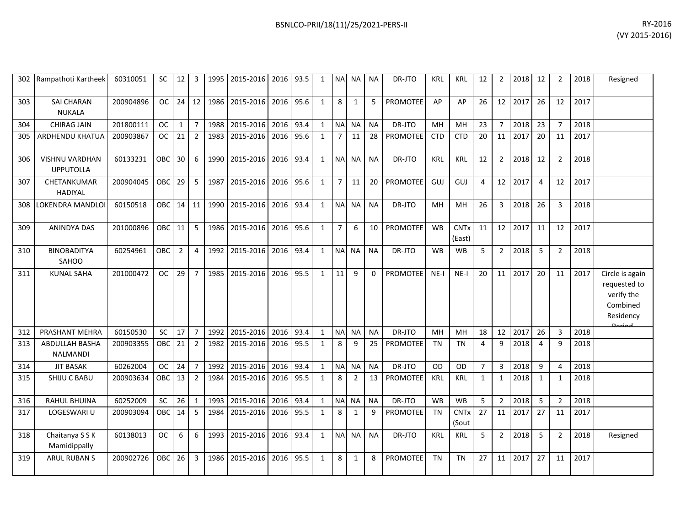|     | 302 Rampathoti Kartheek            | 60310051  | SC         | 12 I            | 3              |      | 1995   2015-2016   2016   93.5 |           |      | 1            |                | NA NA NA       |           | DR-JTO          | KRL        | KRL                             | 12             | $\overline{2}$  | 2018 | 12           | 2              | 2018 | Resigned                                                                          |
|-----|------------------------------------|-----------|------------|-----------------|----------------|------|--------------------------------|-----------|------|--------------|----------------|----------------|-----------|-----------------|------------|---------------------------------|----------------|-----------------|------|--------------|----------------|------|-----------------------------------------------------------------------------------|
| 303 | SAI CHARAN<br><b>NUKALA</b>        | 200904896 | OC         | $24$ 12         |                | 1986 | 2015-2016                      | 2016      | 95.6 | $\mathbf{1}$ | 8              | 1              | 5         | <b>PROMOTEE</b> | AP         | AP                              | 26             | 12              | 2017 | 26           | 12             | 2017 |                                                                                   |
| 304 | <b>CHIRAG JAIN</b>                 | 201800111 | <b>OC</b>  | $\mathbf{1}$    | $\overline{7}$ | 1988 | 2015-2016                      | 2016      | 93.4 | $\mathbf{1}$ | <b>NA</b>      | <b>NA</b>      | <b>NA</b> | DR-JTO          | MH         | <b>MH</b>                       | 23             | $\overline{7}$  | 2018 | 23           | $\overline{7}$ | 2018 |                                                                                   |
| 305 | ARDHENDU KHATUA                    | 200903867 | OC .       | 21              | $\overline{2}$ | 1983 | 2015-2016                      | 2016      | 95.6 | 1            | $\overline{7}$ | 11             | 28        | <b>PROMOTEE</b> | <b>CTD</b> | <b>CTD</b>                      | 20             | 11              | 2017 | 20           | 11             | 2017 |                                                                                   |
| 306 | VISHNU VARDHAN<br><b>UPPUTOLLA</b> | 60133231  | OBC        | 30 <sup>°</sup> | 6              | 1990 | 2015-2016                      | 2016      | 93.4 | 1            | NA NA          |                | <b>NA</b> | DR-JTO          | <b>KRL</b> | <b>KRL</b>                      | 12             | $\overline{2}$  | 2018 | 12           | $\overline{2}$ | 2018 |                                                                                   |
| 307 | CHETANKUMAR<br><b>HADIYAL</b>      | 200904045 | OBC        | 29              | 5              | 1987 | 2015-2016                      | 2016 95.6 |      | 1            | $\overline{7}$ | 11             | 20        | <b>PROMOTEE</b> | GUJ        | GUJ                             | $\overline{4}$ | 12              | 2017 | 4            | 12             | 2017 |                                                                                   |
| 308 | LOKENDRA MANDLOI                   | 60150518  | OBC 14 11  |                 |                | 1990 | 2015-2016                      | 2016 93.4 |      | $\mathbf{1}$ | NA NA          |                | <b>NA</b> | DR-JTO          | MH         | MН                              | 26             | $\overline{3}$  | 2018 | 26           | 3              | 2018 |                                                                                   |
| 309 | <b>ANINDYA DAS</b>                 | 201000896 | OBC        | 11              | 5              | 1986 | 2015-2016                      | 2016      | 95.6 | $\mathbf{1}$ | $\overline{7}$ | 6              | 10        | <b>PROMOTEE</b> | <b>WB</b>  | <b>CNTx</b><br>(East)           | 11             | 12 <sup>1</sup> | 2017 | 11           | 12             | 2017 |                                                                                   |
| 310 | <b>BINOBADITYA</b><br>SAHOO        | 60254961  | <b>OBC</b> | $\overline{2}$  | 4              | 1992 | 2015-2016                      | 2016      | 93.4 | $\mathbf{1}$ | <b>NA</b>      | <b>NA</b>      | <b>NA</b> | DR-JTO          | <b>WB</b>  | <b>WB</b>                       | 5              | $\overline{2}$  | 2018 | 5            | 2              | 2018 |                                                                                   |
| 311 | <b>KUNAL SAHA</b>                  | 201000472 | OC         | 29              | 7              | 1985 | 2015-2016                      | 2016 95.5 |      | 1            | 11             | 9              | 0         | <b>PROMOTEE</b> | $NE-I$     | $NE-I$                          | 20             | 11              | 2017 | 20           | 11             | 2017 | Circle is again<br>requested to<br>verify the<br>Combined<br>Residency<br>لممنعمه |
| 312 | PRASHANT MEHRA                     | 60150530  | <b>SC</b>  | 17              | $\overline{7}$ | 1992 | 2015-2016                      | 2016      | 93.4 | 1            | <b>NA</b>      | <b>NA</b>      | <b>NA</b> | DR-JTO          | MH         | <b>MH</b>                       | 18             | 12              | 2017 | 26           | 3              | 2018 |                                                                                   |
| 313 | ABDULLAH BASHA<br>NALMANDI         | 200903355 | OBC 21     |                 | $\overline{2}$ | 1982 | 2015-2016                      | 2016 95.5 |      | 1            | 8              | 9              | 25        | PROMOTEE        | <b>TN</b>  | <b>TN</b>                       | 4              | 9               | 2018 | 4            | 9              | 2018 |                                                                                   |
| 314 | <b>JIT BASAK</b>                   | 60262004  | OC.        | 24              | $\overline{7}$ | 1992 | 2015-2016                      | 2016      | 93.4 | $\mathbf{1}$ | <b>NA</b>      | <b>NA</b>      | <b>NA</b> | DR-JTO          | <b>OD</b>  | OD                              | $\overline{7}$ | $\overline{3}$  | 2018 | 9            | $\overline{4}$ | 2018 |                                                                                   |
| 315 | SHIJU C BABU                       | 200903634 | OBC        | 13              | $\overline{2}$ | 1984 | 2015-2016                      | 2016      | 95.5 | 1            | 8              | $\overline{2}$ | 13        | <b>PROMOTEE</b> | <b>KRL</b> | <b>KRL</b>                      | $\mathbf{1}$   | 1               | 2018 | $\mathbf{1}$ | $\mathbf{1}$   | 2018 |                                                                                   |
| 316 | <b>RAHUL BHUINA</b>                | 60252009  | SC         | $26 \mid 1$     |                | 1993 | 2015-2016                      | 2016      | 93.4 | $\mathbf{1}$ | <b>NA</b>      | <b>NA</b>      | <b>NA</b> | DR-JTO          | <b>WB</b>  | WB                              | 5              | $\overline{2}$  | 2018 | 5            | $\overline{2}$ | 2018 |                                                                                   |
| 317 | LOGESWARI U                        | 200903094 | <b>OBC</b> | 14              | 5              | 1984 | 2015-2016                      | 2016      | 95.5 | 1            | 8              | 1              | q         | <b>PROMOTEE</b> | <b>TN</b>  | <b>CNT<sub>x</sub></b><br>(Sout | 27             | 11              | 2017 | 27           | 11             | 2017 |                                                                                   |
| 318 | Chaitanya S S K<br>Mamidippally    | 60138013  | <b>OC</b>  | 6               | 6              | 1993 | 2015-2016                      | 2016 93.4 |      | 1            |                | NA NA          | <b>NA</b> | DR-JTO          | <b>KRL</b> | KRL                             | 5              | $\overline{2}$  | 2018 | 5            | $\overline{2}$ | 2018 | Resigned                                                                          |
| 319 | <b>ARUL RUBAN S</b>                | 200902726 | OBC        | 26              | 3              | 1986 | 2015-2016                      | 2016      | 95.5 | 1            | 8              | 1              | 8         | PROMOTEE        | <b>TN</b>  | <b>TN</b>                       | 27             | 11              | 2017 | 27           | 11             | 2017 |                                                                                   |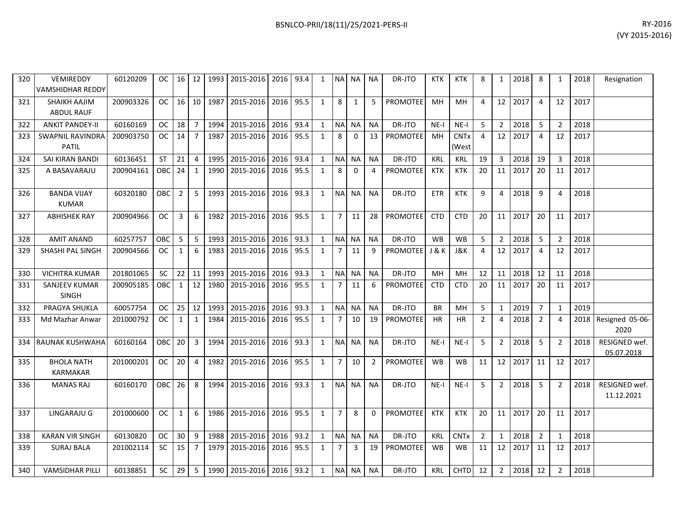| 320 | VEMIREDDY<br>VAMSHIDHAR REDDY            | 60120209  | OC.        | 16             | 12             |      | 1993 2015-2016                 | 2016      | 93.4 | 1            | NA NA          |                | <b>NA</b>      | DR-JTO          | <b>KTK</b>       | <b>KTK</b>             | 8              | $\mathbf{1}$    | 2018    | 8              | 1              | 2018 | Resignation                 |
|-----|------------------------------------------|-----------|------------|----------------|----------------|------|--------------------------------|-----------|------|--------------|----------------|----------------|----------------|-----------------|------------------|------------------------|----------------|-----------------|---------|----------------|----------------|------|-----------------------------|
| 321 | <b>SHAIKH AAJIM</b><br><b>ABDUL RAUF</b> | 200903326 | OC.        | 16             | 10             | 1987 | 2015-2016                      | 2016 95.5 |      | 1            | 8              | 1              | 5              | <b>PROMOTEE</b> | MH               | MH                     | 4              | 12 <sup>1</sup> | 2017    | $\overline{4}$ | 12             | 2017 |                             |
| 322 | <b>ANKIT PANDEY-II</b>                   | 60160169  | <b>OC</b>  | 18             | $\overline{7}$ |      | 1994 2015-2016                 | 2016      | 93.4 | $\mathbf{1}$ |                | NA NA          | <b>NA</b>      | DR-JTO          | $NE-I$           | $NE-I$                 | 5              | $\overline{2}$  | 2018    | 5              | $\overline{2}$ | 2018 |                             |
| 323 | <b>SWAPNIL RAVINDRA</b><br><b>PATIL</b>  | 200903750 | OC.        | 14             | $\overline{7}$ | 1987 | 2015-2016                      | 2016      | 95.5 | 1            | 8              | $\Omega$       | 13             | <b>PROMOTEE</b> | MН               | <b>CNTx</b><br>(West   | 4              | 12 <sup>1</sup> | 2017    | 4              | 12             | 2017 |                             |
| 324 | SAI KIRAN BANDI                          | 60136451  | <b>ST</b>  | 21             | $\overline{4}$ | 1995 | 2015-2016                      | 2016      | 93.4 | 1            |                | NA NA          | <b>NA</b>      | DR-JTO          | KRL              | KRL                    | 19             | 3               | 2018    | 19             | 3              | 2018 |                             |
| 325 | A BASAVARAJU                             | 200904161 | OBC        | 24             | $\mathbf{1}$   | 1990 | 2015-2016                      | 2016      | 95.5 | 1            | 8              | $\mathbf 0$    | 4              | <b>PROMOTEE</b> | KTK              | KTK                    | 20             | 11              | 2017    | 20             | 11             | 2017 |                             |
| 326 | <b>BANDA VIJAY</b><br><b>KUMAR</b>       | 60320180  | <b>OBC</b> | $\overline{2}$ | 5              |      | 1993 2015-2016                 | 2016      | 93.3 | 1            |                | NA NA          | <b>NA</b>      | DR-JTO          | ETR              | <b>KTK</b>             | 9              | 4               | 2018    | 9              | 4              | 2018 |                             |
| 327 | <b>ABHISHEK RAY</b>                      | 200904966 | OC.        | 3              | 6              | 1982 | 2015-2016                      | 2016      | 95.5 | 1            | 7 <sup>1</sup> | 11             | 28             | <b>PROMOTEE</b> | <b>CTD</b>       | <b>CTD</b>             | 20             | 11 <sup>1</sup> | 2017    | 20             | 11             | 2017 |                             |
| 328 | <b>AMIT ANAND</b>                        | 60257757  | <b>OBC</b> | 5              | 5              | 1993 | 2015-2016                      | 2016      | 93.3 | $\mathbf{1}$ | NA NA          |                | <b>NA</b>      | DR-JTO          | <b>WB</b>        | <b>WB</b>              | 5              | $\overline{2}$  | 2018    | -5             | $\overline{2}$ | 2018 |                             |
| 329 | SHASHI PAL SINGH                         | 200904566 | OC.        | 1              | 6              | 1983 | 2015-2016                      | 2016      | 95.5 | 1            | 7              | 11             | 9              | <b>PROMOTEE</b> | <b>J &amp; K</b> | J&K                    | 4              | 12              | 2017    | 4              | 12             | 2017 |                             |
| 330 | <b>VICHITRA KUMAR</b>                    | 201801065 | <b>SC</b>  | 22             | 11             | 1993 | 2015-2016                      | 2016      | 93.3 | 1            |                | NA NA          | <b>NA</b>      | DR-JTO          | MH               | MH                     | 12             | 11              | 2018    | 12             | 11             | 2018 |                             |
| 331 | SANJEEV KUMAR<br><b>SINGH</b>            | 200905185 | OBC        | $\mathbf{1}$   | 12             | 1980 | 2015-2016                      | 2016      | 95.5 | $\mathbf{1}$ | 7 <sup>1</sup> | 11             | 6              | <b>PROMOTEE</b> | <b>CTD</b>       | <b>CTD</b>             | 20             | 11              | 2017    | 20             | 11             | 2017 |                             |
| 332 | PRAGYA SHUKLA                            | 60057754  | <b>OC</b>  | 25             | 12             | 1993 | 2015-2016                      | 2016      | 93.3 | 1            | NA NA          |                | <b>NA</b>      | DR-JTO          | <b>BR</b>        | MH                     | 5              | 1               | 2019    | $\overline{7}$ | $\mathbf{1}$   | 2019 |                             |
| 333 | Md Mazhar Anwar                          | 201000792 | <b>OC</b>  | $\mathbf{1}$   | $\mathbf{1}$   | 1984 | 2015-2016                      | 2016      | 95.5 | $\mathbf{1}$ | $7^{\circ}$    | 10             | 19             | <b>PROMOTEE</b> | <b>HR</b>        | <b>HR</b>              | $\overline{2}$ | 4               | 2018    | $\overline{2}$ | 4              | 2018 | Resigned 05-06-<br>2020     |
| 334 | <b>RAUNAK KUSHWAHA</b>                   | 60160164  | <b>OBC</b> | 20             | $\overline{3}$ |      | 1994 2015-2016                 | 2016      | 93.3 | $\mathbf{1}$ |                | NA NA          | <b>NA</b>      | DR-JTO          | $NE-I$           | $NE-I$                 | 5              | $\overline{2}$  | 2018    | -5             | $\overline{2}$ | 2018 | RESIGNED wef.<br>05.07.2018 |
| 335 | <b>BHOLA NATH</b><br><b>KARMAKAR</b>     | 201000201 | OC.        | 20             | $\overline{4}$ |      | 1982 2015-2016                 | 2016      | 95.5 | $\mathbf{1}$ | 7 <sup>1</sup> | 10             | $\overline{2}$ | <b>PROMOTEE</b> | <b>WB</b>        | <b>WB</b>              | 11             | 12 <sub>1</sub> | 2017    | 11             | 12             | 2017 |                             |
| 336 | <b>MANAS RAJ</b>                         | 60160170  | OBC        | 26             | 8              |      | 1994 2015-2016                 | 2016 93.3 |      | 1            |                | NA NA          | <b>NA</b>      | DR-JTO          | $NE-I$           | $NE-I$                 | 5              | $\overline{2}$  | 2018    | -5             | 2              | 2018 | RESIGNED wef.<br>11.12.2021 |
| 337 | LINGARAJU G                              | 201000600 | OC.        | $\mathbf{1}$   | 6              |      | 1986 2015-2016                 | 2016      | 95.5 | 1            | $\overline{7}$ | 8              | $\mathbf{0}$   | PROMOTEE        | KTK              | <b>KTK</b>             | 20             |                 | 11 2017 | 20             | 11             | 2017 |                             |
| 338 | <b>KARAN VIR SINGH</b>                   | 60130820  | OC.        | 30             | 9              | 1988 | 2015-2016                      | 2016 l    | 93.2 | 1            |                | NA NA          | <b>NA</b>      | DR-JTO          | KRL              | <b>CNT<sub>x</sub></b> | 2              | 1               | 2018    | $\overline{2}$ | 1              | 2018 |                             |
| 339 | <b>SURAJ BALA</b>                        | 201002114 | <b>SC</b>  | 15             | $\overline{7}$ | 1979 | 2015-2016                      | 2016      | 95.5 | 1            | $\overline{7}$ | $\overline{3}$ | 19             | PROMOTEE        | WB               | WB                     | 11             | 12              | 2017    | 11             | 12             | 2017 |                             |
| 340 | <b>VAMSIDHAR PILLI</b>                   | 60138851  | <b>SC</b>  | 29             | 5              |      | 1990   2015-2016   2016   93.2 |           |      | $\mathbf{1}$ |                | NA NA          | <b>NA</b>      | DR-JTO          | <b>KRL</b>       | <b>CHTD</b>            | 12             | $\overline{2}$  | 2018    | 12             | 2              | 2018 |                             |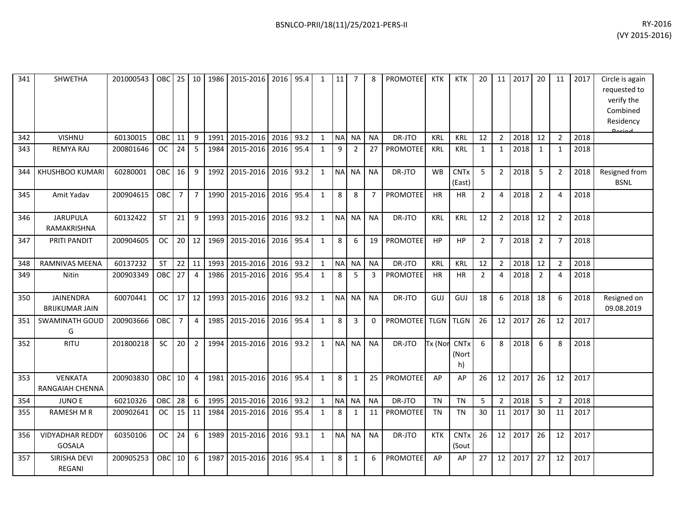| RY-2016        |
|----------------|
| (VY 2015-2016) |
|                |

| 341 | SHWETHA                            | 201000543 | OBC        | 25              | 10             | 1986 | 2015-2016 2016 |      | 95.4 | 1            | 11        | 7              | 8              | PROMOTEE           | KTK        | <b>KTK</b>                 | 20             | 11             | 2017 | 20             | 11             | 2017 | Circle is again<br>requested to<br>verify the<br>Combined<br>Residency<br>لممنعما |
|-----|------------------------------------|-----------|------------|-----------------|----------------|------|----------------|------|------|--------------|-----------|----------------|----------------|--------------------|------------|----------------------------|----------------|----------------|------|----------------|----------------|------|-----------------------------------------------------------------------------------|
| 342 | <b>VISHNU</b>                      | 60130015  | <b>OBC</b> | 11              | 9              | 1991 | 2015-2016      | 2016 | 93.2 | $\mathbf{1}$ |           | NA NA          | <b>NA</b>      | DR-JTO             | <b>KRL</b> | <b>KRL</b>                 | 12             | $\overline{2}$ | 2018 | 12             | $\overline{2}$ | 2018 |                                                                                   |
| 343 | <b>REMYA RAJ</b>                   | 200801646 | <b>OC</b>  | 24              | 5              | 1984 | 2015-2016      | 2016 | 95.4 | $\mathbf{1}$ | 9         | $\overline{2}$ | 27             | PROMOTEE           | <b>KRL</b> | <b>KRL</b>                 | 1              | $\mathbf{1}$   | 2018 | 1              | 1              | 2018 |                                                                                   |
| 344 | KHUSHBOO KUMARI                    | 60280001  | <b>OBC</b> | 16              | 9              | 1992 | 2015-2016 2016 |      | 93.2 | $\mathbf{1}$ | <b>NA</b> | <b>NA</b>      | <b>NA</b>      | DR-JTO             | <b>WB</b>  | <b>CNTx</b><br>(East)      | 5              | $\overline{2}$ | 2018 | -5             | $\overline{2}$ | 2018 | Resigned from<br><b>BSNL</b>                                                      |
| 345 | Amit Yadav                         | 200904615 | <b>OBC</b> | $\overline{7}$  | $\overline{7}$ | 1990 | 2015-2016      | 2016 | 95.4 | $\mathbf{1}$ | 8         | 8              | $\overline{7}$ | <b>PROMOTEE</b>    | <b>HR</b>  | <b>HR</b>                  | $\overline{2}$ | 4              | 2018 | $\overline{2}$ | 4              | 2018 |                                                                                   |
| 346 | <b>JARUPULA</b><br>RAMAKRISHNA     | 60132422  | <b>ST</b>  | 21              | 9              | 1993 | 2015-2016      | 2016 | 93.2 | $\mathbf{1}$ | <b>NA</b> | <b>NA</b>      | <b>NA</b>      | DR-JTO             | <b>KRL</b> | <b>KRL</b>                 | 12             | $\overline{2}$ | 2018 | 12             | $\overline{2}$ | 2018 |                                                                                   |
| 347 | PRITI PANDIT                       | 200904605 | <b>OC</b>  | 20 <sup>1</sup> | 12             | 1969 | 2015-2016      | 2016 | 95.4 | $\mathbf{1}$ | 8         | 6              | 19             | PROMOTEE           | <b>HP</b>  | <b>HP</b>                  | $\overline{2}$ | $\overline{7}$ | 2018 | $\overline{2}$ | $\overline{7}$ | 2018 |                                                                                   |
| 348 | RAMNIVAS MEENA                     | 60137232  | <b>ST</b>  | 22              | 11             | 1993 | 2015-2016 2016 |      | 93.2 | $\mathbf{1}$ | <b>NA</b> | <b>NA</b>      | <b>NA</b>      | DR-JTO             | <b>KRL</b> | <b>KRL</b>                 | 12             | $\overline{2}$ | 2018 | 12             | $\overline{2}$ | 2018 |                                                                                   |
| 349 | Nitin                              | 200903349 | <b>OBC</b> | 27              | $\overline{4}$ | 1986 | 2015-2016      | 2016 | 95.4 | $\mathbf{1}$ | 8         | 5              | 3              | PROMOTEE           | <b>HR</b>  | <b>HR</b>                  | $\overline{2}$ | $\overline{4}$ | 2018 | $\overline{2}$ | 4              | 2018 |                                                                                   |
| 350 | JAINENDRA<br><b>BRIJKUMAR JAIN</b> | 60070441  | <b>OC</b>  | 17              | 12             | 1993 | 2015-2016 2016 |      | 93.2 | $\mathbf{1}$ | <b>NA</b> | <b>NA</b>      | <b>NA</b>      | DR-JTO             | <b>GUJ</b> | GUJ                        | 18             | 6              | 2018 | 18             | 6              | 2018 | Resigned on<br>09.08.2019                                                         |
| 351 | <b>SWAMINATH GOUD</b><br>G         | 200903666 | <b>OBC</b> | 7 <sup>1</sup>  | $\overline{4}$ |      | 1985 2015-2016 | 2016 | 95.4 | $\mathbf{1}$ | 8         | 3              | 0              | PROMOTEE TLGN TLGN |            |                            | 26             | 12             | 2017 | 26             | 12             | 2017 |                                                                                   |
| 352 | <b>RITU</b>                        | 201800218 | SC         | 20              | $\overline{2}$ | 1994 | 2015-2016      | 2016 | 93.2 | $\mathbf{1}$ | <b>NA</b> | <b>NA</b>      | <b>NA</b>      | DR-JTO             | Tx (Nor    | <b>CNTx</b><br>(Nort<br>h) | 6              | 8              | 2018 | 6              | 8              | 2018 |                                                                                   |
| 353 | VENKATA<br>RANGAIAH CHENNA         | 200903830 | OBC        | 10              | $\overline{4}$ | 1981 | 2015-2016      | 2016 | 95.4 | $\mathbf{1}$ | 8         | $\mathbf{1}$   | 25             | PROMOTEE           | AP         | AP                         | 26             | 12             | 2017 | 26             | 12             | 2017 |                                                                                   |
| 354 | <b>JUNO E</b>                      | 60210326  | <b>OBC</b> | 28              | 6              | 1995 | 2015-2016      | 2016 | 93.2 | $\mathbf{1}$ |           | NA NA          | <b>NA</b>      | DR-JTO             | <b>TN</b>  | <b>TN</b>                  | 5              | $\overline{2}$ | 2018 | 5              | 2              | 2018 |                                                                                   |
| 355 | RAMESH M R                         | 200902641 | OC.        | 15              | 11             | 1984 | 2015-2016      | 2016 | 95.4 | $\mathbf{1}$ | 8         | 1              | 11             | <b>PROMOTEE</b>    | <b>TN</b>  | <b>TN</b>                  | 30             | 11             | 2017 | 30             | 11             | 2017 |                                                                                   |
| 356 | <b>VIDYADHAR REDDY</b><br>GOSALA   | 60350106  | <b>OC</b>  | 24              | 6              | 1989 | 2015-2016      | 2016 | 93.1 | $\mathbf{1}$ | <b>NA</b> | <b>NA</b>      | <b>NA</b>      | DR-JTO             | <b>KTK</b> | <b>CNTx</b><br>(Sout       | 26             | 12             | 2017 | 26             | 12             | 2017 |                                                                                   |
| 357 | SIRISHA DEVI<br>REGANI             | 200905253 | OBC        | 10              | 6              | 1987 | 2015-2016      | 2016 | 95.4 | $\mathbf{1}$ | 8         | 1              | 6              | PROMOTEE           | AP         | AP                         | 27             | 12             | 2017 | 27             | 12             | 2017 |                                                                                   |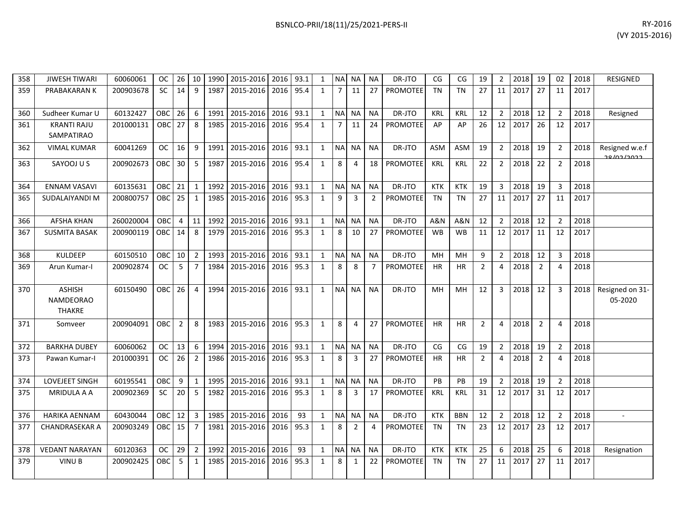| 358 | <b>JIWESH TIWARI</b>                               | 60060061  | <b>OC</b>  | 26             | 10             | 1990 | 2015-2016 | 2016 | 93.1 | 1            | NA             | <b>NA</b>      | <b>NA</b>      | DR-JTO          | CG             | CG             | 19             | $\overline{2}$ | 2018 | 19             | 02             | 2018 | <b>RESIGNED</b>                |
|-----|----------------------------------------------------|-----------|------------|----------------|----------------|------|-----------|------|------|--------------|----------------|----------------|----------------|-----------------|----------------|----------------|----------------|----------------|------|----------------|----------------|------|--------------------------------|
| 359 | PRABAKARAN K                                       | 200903678 | <b>SC</b>  | 14             | 9              | 1987 | 2015-2016 | 2016 | 95.4 | 1            | $\overline{7}$ | 11             | 27             | <b>PROMOTEE</b> | <b>TN</b>      | <b>TN</b>      | 27             | 11             | 2017 | 27             | 11             | 2017 |                                |
| 360 | Sudheer Kumar U                                    | 60132427  | OBC        | 26             | 6              | 1991 | 2015-2016 | 2016 | 93.1 | $\mathbf{1}$ | <b>NA</b>      | NA             | <b>NA</b>      | DR-JTO          | <b>KRL</b>     | <b>KRL</b>     | 12             | $\overline{2}$ | 2018 | 12             | 2              | 2018 | Resigned                       |
| 361 | <b>KRANTI RAJU</b><br>SAMPATIRAO                   | 201000131 | <b>OBC</b> | 27             | 8              | 1985 | 2015-2016 | 2016 | 95.4 | $\mathbf{1}$ | $\overline{7}$ | 11             | 24             | PROMOTEE        | AP             | AP             | 26             | 12             | 2017 | 26             | 12             | 2017 |                                |
| 362 | <b>VIMAL KUMAR</b>                                 | 60041269  | <b>OC</b>  | 16             | 9              | 1991 | 2015-2016 | 2016 | 93.1 | 1            | <b>NA</b>      | <b>NA</b>      | <b>NA</b>      | DR-JTO          | <b>ASM</b>     | <b>ASM</b>     | 19             | $\overline{2}$ | 2018 | 19             | $\overline{2}$ | 2018 | Resigned w.e.f<br>حجمج احما وج |
| 363 | SAYOOJ U S                                         | 200902673 | <b>OBC</b> | 30             | 5              | 1987 | 2015-2016 | 2016 | 95.4 | $\mathbf{1}$ | 8              | 4              | 18             | <b>PROMOTEE</b> | <b>KRL</b>     | <b>KRL</b>     | 22             | $\overline{2}$ | 2018 | 22             | $\overline{2}$ | 2018 |                                |
| 364 | <b>ENNAM VASAVI</b>                                | 60135631  | OBC        | 21             | $\mathbf{1}$   | 1992 | 2015-2016 | 2016 | 93.1 | $\mathbf{1}$ | N <sub>A</sub> | <b>NA</b>      | <b>NA</b>      | DR-JTO          | <b>KTK</b>     | <b>KTK</b>     | 19             | 3              | 2018 | 19             | 3              | 2018 |                                |
| 365 | SUDALAIYANDI M                                     | 200800757 | <b>OBC</b> | 25             | 1              | 1985 | 2015-2016 | 2016 | 95.3 | $\mathbf{1}$ | 9              | 3              | $\overline{2}$ | PROMOTEE        | <b>TN</b>      | <b>TN</b>      | 27             | 11             | 2017 | 27             | 11             | 2017 |                                |
| 366 | <b>AFSHA KHAN</b>                                  | 260020004 | <b>OBC</b> | $\overline{4}$ | 11             | 1992 | 2015-2016 | 2016 | 93.1 | $\mathbf{1}$ | <b>NA</b>      | <b>NA</b>      | <b>NA</b>      | DR-JTO          | <b>A&amp;N</b> | <b>A&amp;N</b> | 12             | $\overline{2}$ | 2018 | 12             | $\overline{2}$ | 2018 |                                |
| 367 | <b>SUSMITA BASAK</b>                               | 200900119 | OBC        | 14             | 8              | 1979 | 2015-2016 | 2016 | 95.3 | $\mathbf{1}$ | 8              | 10             | 27             | PROMOTEE        | <b>WB</b>      | <b>WB</b>      | 11             | 12             | 2017 | 11             | 12             | 2017 |                                |
| 368 | <b>KULDEEP</b>                                     | 60150510  | OBC        | 10             | $\overline{2}$ | 1993 | 2015-2016 | 2016 | 93.1 | $\mathbf{1}$ | <b>NA</b>      | <b>NA</b>      | <b>NA</b>      | DR-JTO          | MH             | MH             | 9              | $\overline{2}$ | 2018 | 12             | 3              | 2018 |                                |
| 369 | Arun Kumar-I                                       | 200902874 | <b>OC</b>  | 5              | $\overline{7}$ | 1984 | 2015-2016 | 2016 | 95.3 | $\mathbf{1}$ | 8              | 8              | $\overline{7}$ | <b>PROMOTEE</b> | <b>HR</b>      | <b>HR</b>      | 2              | 4              | 2018 | $\overline{2}$ | 4              | 2018 |                                |
| 370 | <b>ASHISH</b><br><b>NAMDEORAO</b><br><b>THAKRE</b> | 60150490  | <b>OBC</b> | 26             | $\overline{4}$ | 1994 | 2015-2016 | 2016 | 93.1 | $\mathbf{1}$ | <b>NA</b>      | <b>NA</b>      | <b>NA</b>      | DR-JTO          | MH             | MH             | 12             | 3              | 2018 | 12             | 3              | 2018 | Resigned on 31-<br>05-2020     |
| 371 | Somveer                                            | 200904091 | <b>OBC</b> | $\overline{2}$ | 8              | 1983 | 2015-2016 | 2016 | 95.3 | $\mathbf{1}$ | 8              | 4              | 27             | PROMOTEE        | <b>HR</b>      | <b>HR</b>      | $\overline{2}$ | 4              | 2018 | $\overline{2}$ | 4              | 2018 |                                |
| 372 | <b>BARKHA DUBEY</b>                                | 60060062  | <b>OC</b>  | 13             | 6              | 1994 | 2015-2016 | 2016 | 93.1 | $\mathbf{1}$ | N <sub>A</sub> | <b>NA</b>      | <b>NA</b>      | DR-JTO          | CG             | CG             | 19             | $\overline{2}$ | 2018 | 19             | $\overline{2}$ | 2018 |                                |
| 373 | Pawan Kumar-I                                      | 201000391 | <b>OC</b>  | 26             | $\overline{2}$ | 1986 | 2015-2016 | 2016 | 95.3 | $\mathbf{1}$ | 8              | 3              | 27             | <b>PROMOTEE</b> | <b>HR</b>      | HR             | 2              | 4              | 2018 | $\overline{2}$ | 4              | 2018 |                                |
| 374 | LOVEJEET SINGH                                     | 60195541  | OBC        | 9              | $\mathbf{1}$   | 1995 | 2015-2016 | 2016 | 93.1 | $\mathbf{1}$ | <b>NA</b>      | <b>NA</b>      | <b>NA</b>      | DR-JTO          | PB             | PB             | 19             | $\overline{2}$ | 2018 | 19             | $\overline{2}$ | 2018 |                                |
| 375 | MRIDULA A A                                        | 200902369 | <b>SC</b>  | 20             | 5              | 1982 | 2015-2016 | 2016 | 95.3 | $\mathbf{1}$ | 8              | 3              | 17             | <b>PROMOTEE</b> | <b>KRL</b>     | <b>KRL</b>     | 31             | 12             | 2017 | 31             | 12             | 2017 |                                |
| 376 | <b>HARIKA AENNAM</b>                               | 60430044  | OBC        | 12             | 3              | 1985 | 2015-2016 | 2016 | 93   | $\mathbf{1}$ | <b>NA</b>      | <b>NA</b>      | <b>NA</b>      | DR-JTO          | <b>KTK</b>     | <b>BBN</b>     | 12             | $\overline{2}$ | 2018 | 12             | $\overline{2}$ | 2018 |                                |
| 377 | CHANDRASEKAR A                                     | 200903249 | OBC        | 15             | $\overline{7}$ | 1981 | 2015-2016 | 2016 | 95.3 | $\mathbf{1}$ | 8              | $\overline{2}$ | 4              | PROMOTEE        | <b>TN</b>      | <b>TN</b>      | 23             | 12             | 2017 | 23             | 12             | 2017 |                                |
| 378 | <b>VEDANT NARAYAN</b>                              | 60120363  | <b>OC</b>  | 29             | $\overline{2}$ | 1992 | 2015-2016 | 2016 | 93   | $\mathbf{1}$ | NA             | NA             | <b>NA</b>      | DR-JTO          | <b>KTK</b>     | <b>KTK</b>     | 25             | 6              | 2018 | 25             | 6              | 2018 | Resignation                    |
| 379 | <b>VINUB</b>                                       | 200902425 | OBC        | 5              | $\mathbf{1}$   | 1985 | 2015-2016 | 2016 | 95.3 | $\mathbf{1}$ | 8              | 1              | 22             | <b>PROMOTEE</b> | TN             | TN             | 27             | 11             | 2017 | 27             | 11             | 2017 |                                |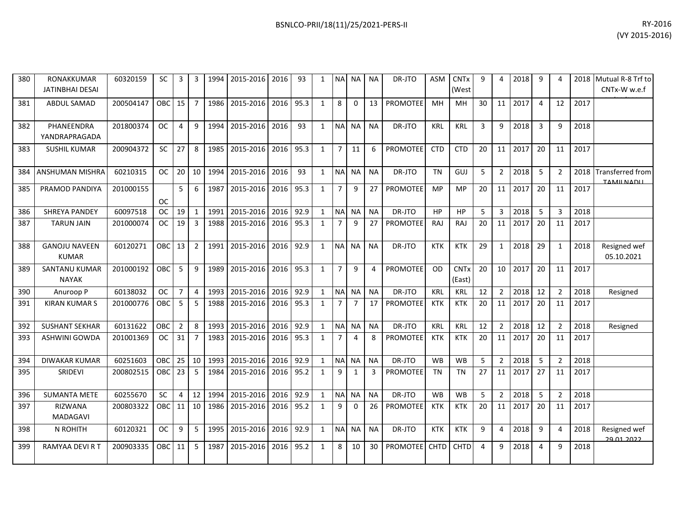| 380 | <b>RONAKKUMAR</b><br><b>JATINBHAI DESAI</b> | 60320159  | <b>SC</b>  | 3              | 3              | 1994 | 2015-2016 | 2016 | 93   | 1            | <b>NA</b>      | NA.       | <b>NA</b> | DR-JTO          | <b>ASM</b>  | <b>CNTx</b><br>(West  | 9  | 4              | 2018 | 9        |                |      | 2018 Mutual R-8 Trf to<br>CNTx-W w.e.f |
|-----|---------------------------------------------|-----------|------------|----------------|----------------|------|-----------|------|------|--------------|----------------|-----------|-----------|-----------------|-------------|-----------------------|----|----------------|------|----------|----------------|------|----------------------------------------|
| 381 | ABDUL SAMAD                                 | 200504147 | OBC        | 15             | $\overline{7}$ | 1986 | 2015-2016 | 2016 | 95.3 | $\mathbf{1}$ | 8              | 0         | 13        | PROMOTEE        | MH          | MН                    | 30 | 11             | 2017 | 4        | 12             | 2017 |                                        |
| 382 | PHANEENDRA<br>YANDRAPRAGADA                 | 201800374 | <b>OC</b>  | 4              | 9              | 1994 | 2015-2016 | 2016 | 93   | $\mathbf{1}$ | <b>NA</b>      | <b>NA</b> | <b>NA</b> | DR-JTO          | <b>KRL</b>  | <b>KRL</b>            | 3  | 9              | 2018 | 3        | 9              | 2018 |                                        |
| 383 | <b>SUSHIL KUMAR</b>                         | 200904372 | <b>SC</b>  | 27             | 8              | 1985 | 2015-2016 | 2016 | 95.3 | $\mathbf{1}$ | $\overline{7}$ | 11        | 6         | <b>PROMOTEE</b> | <b>CTD</b>  | <b>CTD</b>            | 20 | 11             | 2017 | 20       | 11             | 2017 |                                        |
| 384 | ANSHUMAN MISHRA                             | 60210315  | <b>OC</b>  | 20             | 10             | 1994 | 2015-2016 | 2016 | 93   | $\mathbf{1}$ | <b>NA</b>      | <b>NA</b> | <b>NA</b> | DR-JTO          | <b>TN</b>   | GUJ                   | 5  | $\overline{2}$ | 2018 | 5        | 2              | 2018 | Transferred from<br>TAMILNADLL         |
| 385 | PRAMOD PANDIYA                              | 201000155 | <b>OC</b>  | 5              | 6              | 1987 | 2015-2016 | 2016 | 95.3 | $\mathbf{1}$ | $\overline{7}$ | 9         | 27        | <b>PROMOTEE</b> | MP          | <b>MP</b>             | 20 | 11             | 2017 | 20       | 11             | 2017 |                                        |
| 386 | <b>SHREYA PANDEY</b>                        | 60097518  | <b>OC</b>  | 19             | $\mathbf{1}$   | 1991 | 2015-2016 | 2016 | 92.9 | 1            | <b>NA</b>      | <b>NA</b> | <b>NA</b> | DR-JTO          | HP          | <b>HP</b>             | 5  | 3              | 2018 | 5        | 3              | 2018 |                                        |
| 387 | <b>TARUN JAIN</b>                           | 201000074 | OC.        | 19             | 3              | 1988 | 2015-2016 | 2016 | 95.3 | $\mathbf{1}$ | $\overline{7}$ | 9         | 27        | <b>PROMOTEE</b> | <b>RAJ</b>  | <b>RAJ</b>            | 20 | 11             | 2017 | 20       | 11             | 2017 |                                        |
| 388 | <b>GANOJU NAVEEN</b><br><b>KUMAR</b>        | 60120271  | OBC        | 13             | $\overline{2}$ | 1991 | 2015-2016 | 2016 | 92.9 | $\mathbf{1}$ | <b>NA</b>      | <b>NA</b> | <b>NA</b> | DR-JTO          | <b>KTK</b>  | <b>KTK</b>            | 29 | 1              | 2018 | 29       | 1              | 2018 | Resigned wef<br>05.10.2021             |
| 389 | SANTANU KUMAR<br><b>NAYAK</b>               | 201000192 | OBC        | 5              | 9              | 1989 | 2015-2016 | 2016 | 95.3 | $\mathbf{1}$ | $\overline{7}$ | 9         | 4         | <b>PROMOTEE</b> | <b>OD</b>   | <b>CNTx</b><br>(East) | 20 | 10             | 2017 | 20       | 11             | 2017 |                                        |
| 390 | Anuroop P                                   | 60138032  | <b>OC</b>  | $\overline{7}$ | $\overline{4}$ | 1993 | 2015-2016 | 2016 | 92.9 | $\mathbf{1}$ | N <sub>A</sub> | <b>NA</b> | <b>NA</b> | DR-JTO          | <b>KRL</b>  | <b>KRL</b>            | 12 | $\overline{2}$ | 2018 | 12       | $\overline{2}$ | 2018 | Resigned                               |
| 391 | KIRAN KUMAR S                               | 201000776 | OBC        | 5              | 5              | 1988 | 2015-2016 | 2016 | 95.3 | $\mathbf{1}$ | 7              | 7         | 17        | PROMOTEE        | KTK         | KTK                   | 20 | 11             | 2017 | 20       | 11             | 2017 |                                        |
| 392 | <b>SUSHANT SEKHAR</b>                       | 60131622  | OBC        | $\overline{2}$ | 8              | 1993 | 2015-2016 | 2016 | 92.9 | $\mathbf{1}$ | <b>NA</b>      | <b>NA</b> | <b>NA</b> | DR-JTO          | KRL         | KRL                   | 12 | $\overline{2}$ | 2018 | 12       | $\overline{2}$ | 2018 | Resigned                               |
| 393 | ASHWINI GOWDA                               | 201001369 | <b>OC</b>  | 31             | $\overline{7}$ | 1983 | 2015-2016 | 2016 | 95.3 | $\mathbf{1}$ | $\overline{7}$ | 4         | 8         | <b>PROMOTEE</b> | <b>KTK</b>  | <b>KTK</b>            | 20 | 11             | 2017 | 20       | 11             | 2017 |                                        |
| 394 | <b>DIWAKAR KUMAR</b>                        | 60251603  | OBC        | 25             | 10             | 1993 | 2015-2016 | 2016 | 92.9 | $\mathbf{1}$ | <b>NA</b>      | <b>NA</b> | <b>NA</b> | DR-JTO          | <b>WB</b>   | <b>WB</b>             | 5  | $\overline{2}$ | 2018 | 5        | $\overline{2}$ | 2018 |                                        |
| 395 | SRIDEVI                                     | 200802515 | OBC        | 23             | 5              | 1984 | 2015-2016 | 2016 | 95.2 | $\mathbf{1}$ | 9              | 1         | 3         | PROMOTEE        | TN          | TN                    | 27 | 11             | 2017 | 27       | 11             | 2017 |                                        |
| 396 | <b>SUMANTA METE</b>                         | 60255670  | <b>SC</b>  | $\overline{4}$ | 12             | 1994 | 2015-2016 | 2016 | 92.9 | $\mathbf{1}$ | N <sub>A</sub> | <b>NA</b> | <b>NA</b> | DR-JTO          | <b>WB</b>   | <b>WB</b>             | 5  | $\overline{2}$ | 2018 | 5        | $\overline{2}$ | 2018 |                                        |
| 397 | <b>RIZWANA</b><br><b>MADAGAVI</b>           | 200803322 | OBC        | 11             | 10             | 1986 | 2015-2016 | 2016 | 95.2 | $\mathbf{1}$ | 9              | 0         | 26        | <b>PROMOTEE</b> | <b>KTK</b>  | <b>KTK</b>            | 20 | 11             | 2017 | 20       | 11             | 2017 |                                        |
| 398 | N ROHITH                                    | 60120321  | <b>OC</b>  | 9              | 5              | 1995 | 2015-2016 | 2016 | 92.9 | $\mathbf{1}$ | N <sub>A</sub> | <b>NA</b> | <b>NA</b> | DR-JTO          | <b>KTK</b>  | <b>KTK</b>            | 9  | 4              | 2018 | 9        | 4              | 2018 | Resigned wef<br>29.01.2022             |
| 399 | RAMYAA DEVI R T                             | 200903335 | <b>OBC</b> | 11             | 5              | 1987 | 2015-2016 | 2016 | 95.2 | $\mathbf{1}$ | 8              | 10        | 30        | <b>PROMOTEE</b> | <b>CHTD</b> | <b>CHTD</b>           | 4  | 9              | 2018 | $\Delta$ | 9              | 2018 |                                        |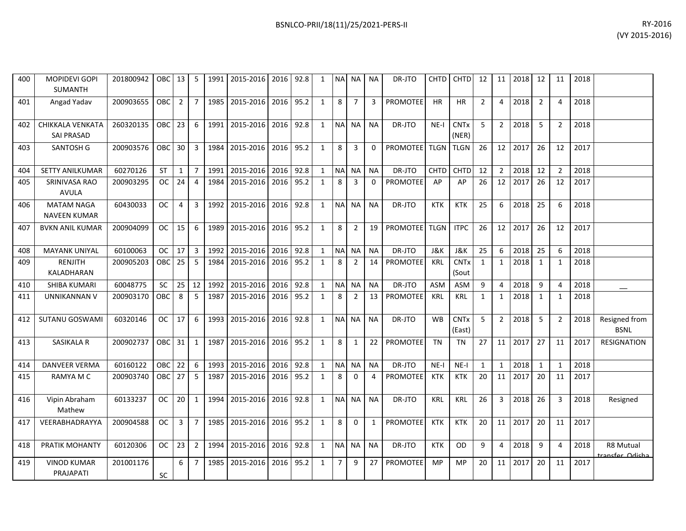| 400 | <b>MOPIDEVI GOPI</b><br>SUMANTH          | 201800942 | OBC I      | 13             | -5             | 1991 | 2015-2016      | 2016      | 92.8 | 1            |                | NA NA          | <b>NA</b>    | DR-JTO             | <b>CHTD</b>    | <b>CHTD</b>           | 12             | 11             | 2018    | 12           | 11             | 2018 |                              |
|-----|------------------------------------------|-----------|------------|----------------|----------------|------|----------------|-----------|------|--------------|----------------|----------------|--------------|--------------------|----------------|-----------------------|----------------|----------------|---------|--------------|----------------|------|------------------------------|
| 401 | Angad Yadav                              | 200903655 | <b>OBC</b> | $\overline{2}$ | $\overline{7}$ |      | 1985 2015-2016 | 2016      | 95.2 | $\mathbf{1}$ | 8              | $\overline{7}$ | 3            | <b>PROMOTEE</b>    | <b>HR</b>      | HR                    | $\overline{2}$ | 4              | 2018    | 2            | 4              | 2018 |                              |
| 402 | CHIKKALA VENKATA<br><b>SAI PRASAD</b>    | 260320135 | <b>OBC</b> | 23             | 6              | 1991 | 2015-2016      | 2016      | 92.8 | $\mathbf{1}$ |                | NA NA          | <b>NA</b>    | DR-JTO             | $NE-I$         | <b>CNTx</b><br>(NER)  | 5              | $\overline{2}$ | 2018    | 5            | 2              | 2018 |                              |
| 403 | SANTOSH G                                | 200903576 | <b>OBC</b> | 30             | $\mathbf{3}$   |      | 1984 2015-2016 | 2016      | 95.2 | $\mathbf{1}$ | 8              | $\overline{3}$ | $\Omega$     | PROMOTEE TLGN TLGN |                |                       | 26             |                | 12 2017 | 26           | 12             | 2017 |                              |
| 404 | SETTY ANILKUMAR                          | 60270126  | <b>ST</b>  | $\mathbf{1}$   | $\overline{7}$ | 1991 | 2015-2016      | 2016      | 92.8 | $\mathbf{1}$ | <b>NA</b>      | <b>NA</b>      | <b>NA</b>    | DR-JTO             | CHTD           | CHTD                  | 12             | $\overline{2}$ | 2018    | 12           | $\overline{2}$ | 2018 |                              |
| 405 | SRINIVASA RAO<br><b>AVULA</b>            | 200903295 | OC.        | 24             | 4              | 1984 | 2015-2016      | 2016      | 95.2 | $\mathbf{1}$ | 8              | 3              | 0            | <b>PROMOTEE</b>    | AP             | AP                    | 26             | 12             | 2017    | 26           | 12             | 2017 |                              |
| 406 | <b>MATAM NAGA</b><br><b>NAVEEN KUMAR</b> | 60430033  | OC.        | $\overline{4}$ | 3              |      | 1992 2015-2016 | 2016      | 92.8 | $\mathbf{1}$ | NA NA          |                | <b>NA</b>    | DR-JTO             | <b>KTK</b>     | <b>KTK</b>            | 25             | 6              | 2018    | 25           | 6              | 2018 |                              |
| 407 | <b>BVKN ANIL KUMAR</b>                   | 200904099 | <b>OC</b>  | 15             | 6              | 1989 | 2015-2016      | 2016      | 95.2 | $\mathbf{1}$ | 8              | $\overline{2}$ | 19           | <b>PROMOTEE</b>    | <b>TLGN</b>    | <b>ITPC</b>           | 26             |                | 12 2017 | 26           | 12             | 2017 |                              |
| 408 | <b>MAYANK UNIYAL</b>                     | 60100063  | <b>OC</b>  | 17             | $\overline{3}$ | 1992 | 2015-2016      | 2016      | 92.8 | $\mathbf{1}$ |                | NA NA          | <b>NA</b>    | DR-JTO             | <b>J&amp;K</b> | <b>J&amp;K</b>        | 25             | 6              | 2018    | 25           | 6              | 2018 |                              |
| 409 | RENJITH<br>KALADHARAN                    | 200905203 | <b>OBC</b> | 25             | 5              |      | 1984 2015-2016 | 2016      | 95.2 | $\mathbf{1}$ | 8              | $\overline{2}$ | 14           | <b>PROMOTEE</b>    | <b>KRL</b>     | <b>CNTx</b><br>(Sout  | 1              | $\mathbf{1}$   | 2018    | 1            | $\mathbf{1}$   | 2018 |                              |
| 410 | SHIBA KUMARI                             | 60048775  | SC         | 25             | 12             | 1992 | 2015-2016      | 2016      | 92.8 | $\mathbf{1}$ | <b>NA</b>      | <b>NA</b>      | <b>NA</b>    | DR-JTO             | <b>ASM</b>     | ASM                   | 9              | 4              | 2018    | 9            | $\Delta$       | 2018 |                              |
| 411 | UNNIKANNAN V                             | 200903170 | <b>OBC</b> | 8              | -5             | 1987 | 2015-2016      | 2016 95.2 |      | 1            | 8              | $\overline{2}$ | 13           | <b>PROMOTEE</b>    | KRL            | <b>KRL</b>            | 1              | $\mathbf{1}$   | 2018    | 1            | 1              | 2018 |                              |
| 412 | SUTANU GOSWAMI                           | 60320146  | <b>OC</b>  | 17             | 6              |      | 1993 2015-2016 | 2016      | 92.8 | $\mathbf{1}$ |                | NA NA          | <b>NA</b>    | DR-JTO             | <b>WB</b>      | <b>CNTx</b><br>(East) | 5              | $\overline{2}$ | 2018    | 5            | 2              | 2018 | Resigned from<br><b>BSNL</b> |
| 413 | SASIKALA R                               | 200902737 | OBC        | 31             | 1              |      | 1987 2015-2016 | 2016      | 95.2 | $\mathbf{1}$ | 8              | $\mathbf{1}$   | 22           | <b>PROMOTEE</b>    | <b>TN</b>      | <b>TN</b>             | 27             |                | 11 2017 | 27           | 11             | 2017 | <b>RESIGNATION</b>           |
| 414 | <b>DANVEER VERMA</b>                     | 60160122  | OBC        | 22             | 6              | 1993 | 2015-2016      | 2016      | 92.8 | $\mathbf{1}$ |                | NA NA          | NA           | DR-JTO             | $NE-I$         | NE-I                  | $\mathbf{1}$   | 1              | 2018    | $\mathbf{1}$ | 1              | 2018 |                              |
| 415 | RAMYA M C                                | 200903740 | <b>OBC</b> | 27             | 5              |      | 1987 2015-2016 | 2016      | 95.2 | $\mathbf{1}$ | 8              | $\mathbf 0$    | 4            | PROMOTEE           | <b>KTK</b>     | <b>KTK</b>            | 20             | 11             | 2017    | 20           | 11             | 2017 |                              |
| 416 | Vipin Abraham<br>Mathew                  | 60133237  | OC.        | 20             | $\mathbf{1}$   |      | 1994 2015-2016 | 2016      | 92.8 | $\mathbf{1}$ |                | NA NA          | <b>NA</b>    | DR-JTO             | <b>KRL</b>     | <b>KRL</b>            | 26             | $\mathbf{3}$   | 2018    | 26           | 3              | 2018 | Resigned                     |
| 417 | VEERABHADRAYYA                           | 200904588 | OC.        | $\overline{3}$ | $\overline{7}$ | 1985 | 2015-2016      | 2016 95.2 |      | $\mathbf{1}$ | 8              | $\Omega$       | $\mathbf{1}$ | PROMOTEE           | <b>KTK</b>     | <b>KTK</b>            | 20             |                | 11 2017 | 20           | 11             | 2017 |                              |
| 418 | PRATIK MOHANTY                           | 60120306  | <b>OC</b>  | 23             | $\overline{2}$ |      | 1994 2015-2016 | 2016      | 92.8 | $\mathbf{1}$ |                | NA NA          | <b>NA</b>    | DR-JTO             | <b>KTK</b>     | OD                    | 9              | 4              | 2018    | 9            | 4              | 2018 | R8 Mutual<br>rancfor Odicha  |
| 419 | <b>VINOD KUMAR</b><br>PRAJAPATI          | 201001176 | SC         | 6              | 7              |      | 1985 2015-2016 | 2016      | 95.2 | $\mathbf{1}$ | $\overline{7}$ | 9              | 27           | PROMOTEE           | <b>MP</b>      | <b>MP</b>             | 20             | 11             | 2017    | 20           | 11             | 2017 |                              |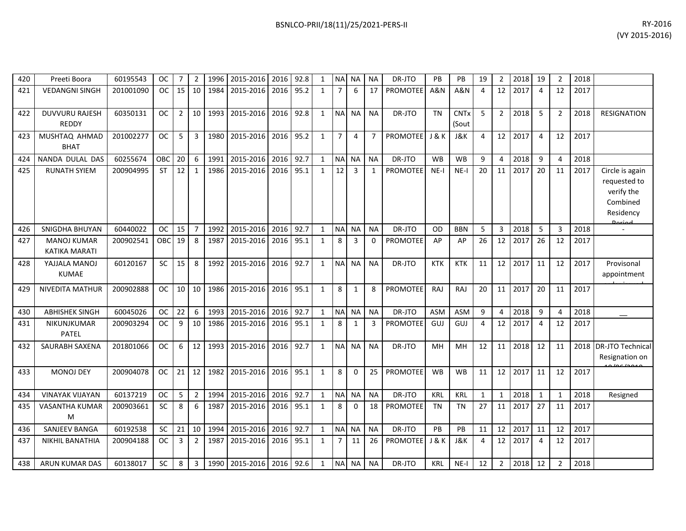| 420 | Preeti Boora                               | 60195543  | ОC        | 7              | 2              | 1996 | 2015-2016 | 2016 | 92.8 | 1            |                | NA NA          | <b>NA</b>      | DR-JTO          | PB             | PB                   | 19           | $\overline{2}$ | 2018 | 19             | $\overline{2}$ | 2018 |                                                                        |
|-----|--------------------------------------------|-----------|-----------|----------------|----------------|------|-----------|------|------|--------------|----------------|----------------|----------------|-----------------|----------------|----------------------|--------------|----------------|------|----------------|----------------|------|------------------------------------------------------------------------|
| 421 | <b>VEDANGNI SINGH</b>                      | 201001090 | <b>OC</b> | 15             | 10             | 1984 | 2015-2016 | 2016 | 95.2 | $\mathbf{1}$ | $\overline{7}$ | 6              | 17             | <b>PROMOTEE</b> | <b>A&amp;N</b> | <b>A&amp;N</b>       | 4            | 12             | 2017 | 4              | 12             | 2017 |                                                                        |
| 422 | <b>DUVVURU RAJESH</b><br><b>REDDY</b>      | 60350131  | <b>OC</b> | $\overline{2}$ | 10             | 1993 | 2015-2016 | 2016 | 92.8 | $\mathbf{1}$ | <b>NA</b>      | <b>NA</b>      | <b>NA</b>      | DR-JTO          | <b>TN</b>      | <b>CNTx</b><br>(Sout | 5            | $\overline{2}$ | 2018 | 5              | $\overline{2}$ | 2018 | <b>RESIGNATION</b>                                                     |
| 423 | MUSHTAQ AHMAD<br><b>BHAT</b>               | 201002277 | <b>OC</b> | 5              | 3              | 1980 | 2015-2016 | 2016 | 95.2 | $\mathbf{1}$ | $\overline{7}$ | $\overline{4}$ | $\overline{7}$ | <b>PROMOTEE</b> | <b>J&amp;K</b> | J&K                  | 4            | 12             | 2017 | 4              | 12             | 2017 |                                                                        |
| 424 | NANDA DULAL DAS                            | 60255674  | OBC       | 20             | 6              | 1991 | 2015-2016 | 2016 | 92.7 | $\mathbf{1}$ |                | NA NA          | <b>NA</b>      | DR-JTO          | <b>WB</b>      | <b>WB</b>            | 9            | $\overline{4}$ | 2018 | 9              | 4              | 2018 |                                                                        |
| 425 | <b>RUNATH SYIEM</b>                        | 200904995 | <b>ST</b> | 12             | $\mathbf{1}$   | 1986 | 2015-2016 | 2016 | 95.1 | $\mathbf{1}$ | 12             | 3              | 1              | <b>PROMOTEE</b> | $NE-I$         | $NE-I$               | 20           | 11             | 2017 | 20             | 11             | 2017 | Circle is again<br>requested to<br>verify the<br>Combined<br>Residency |
| 426 | <b>SNIGDHA BHUYAN</b>                      | 60440022  | ОC        | 15             | $\overline{7}$ | 1992 | 2015-2016 | 2016 | 92.7 | $\mathbf{1}$ | $\sf NA$       | <b>NA</b>      | <b>NA</b>      | DR-JTO          | OD             | <b>BBN</b>           | 5            | 3              | 2018 | 5              | 3              | 2018 |                                                                        |
| 427 | <b>MANOJ KUMAR</b><br><b>KATIKA MARATI</b> | 200902541 | OBC       | 19             | 8              | 1987 | 2015-2016 | 2016 | 95.1 | $\mathbf{1}$ | 8              | 3              | $\Omega$       | <b>PROMOTEE</b> | AP             | AP                   | 26           | 12             | 2017 | 26             | 12             | 2017 |                                                                        |
| 428 | YAJJALA MANOJ<br><b>KUMAE</b>              | 60120167  | <b>SC</b> | 15             | 8              | 1992 | 2015-2016 | 2016 | 92.7 | $\mathbf{1}$ | <b>NA</b>      | <b>NA</b>      | <b>NA</b>      | DR-JTO          | <b>KTK</b>     | <b>KTK</b>           | 11           | 12             | 2017 | 11             | 12             | 2017 | Provisonal<br>appointment                                              |
| 429 | <b>NIVEDITA MATHUR</b>                     | 200902888 | <b>OC</b> | 10             | 10             | 1986 | 2015-2016 | 2016 | 95.1 | $\mathbf{1}$ | 8              | $\mathbf{1}$   | 8              | <b>PROMOTEE</b> | <b>RAJ</b>     | RAJ                  | 20           | 11             | 2017 | 20             | 11             | 2017 |                                                                        |
| 430 | <b>ABHISHEK SINGH</b>                      | 60045026  | <b>OC</b> | 22             | 6              | 1993 | 2015-2016 | 2016 | 92.7 | $\mathbf{1}$ | <b>NA</b>      | <b>NA</b>      | <b>NA</b>      | DR-JTO          | <b>ASM</b>     | <b>ASM</b>           | 9            | 4              | 2018 | 9              | $\Delta$       | 2018 |                                                                        |
| 431 | NIKUNJKUMAR<br>PATEL                       | 200903294 | <b>OC</b> | 9              | 10             | 1986 | 2015-2016 | 2016 | 95.1 | $\mathbf{1}$ | 8              | $\mathbf{1}$   | 3              | <b>PROMOTEE</b> | GUJ            | GUJ                  | 4            | 12             | 2017 | $\overline{4}$ | 12             | 2017 |                                                                        |
| 432 | SAURABH SAXENA                             | 201801066 | <b>OC</b> | 6              | 12             | 1993 | 2015-2016 | 2016 | 92.7 | $\mathbf{1}$ | <b>NA</b>      | <b>NA</b>      | <b>NA</b>      | DR-JTO          | MH             | MH                   | 12           | 11             | 2018 | 12             | 11             | 2018 | <b>DR-JTO Technical</b><br>Resignation on<br>$0 \leq \frac{1}{2}$      |
| 433 | <b>MONOJ DEY</b>                           | 200904078 | <b>OC</b> | 21             | 12             | 1982 | 2015-2016 | 2016 | 95.1 | 1            | 8              | $\mathbf{0}$   | 25             | <b>PROMOTEE</b> | <b>WB</b>      | <b>WB</b>            | 11           | 12             | 2017 | 11             | 12             | 2017 |                                                                        |
| 434 | <b>VINAYAK VIJAYAN</b>                     | 60137219  | <b>OC</b> | 5              | $\overline{2}$ | 1994 | 2015-2016 | 2016 | 92.7 | $\mathbf{1}$ | <b>NA</b>      | <b>NA</b>      | <b>NA</b>      | DR-JTO          | <b>KRL</b>     | <b>KRL</b>           | $\mathbf{1}$ | $\mathbf{1}$   | 2018 | $\mathbf{1}$   | 1              | 2018 | Resigned                                                               |
| 435 | VASANTHA KUMAR<br>M                        | 200903661 | <b>SC</b> | 8              | 6              | 1987 | 2015-2016 | 2016 | 95.1 | $\mathbf{1}$ | 8              | $\Omega$       | 18             | <b>PROMOTEE</b> | <b>TN</b>      | <b>TN</b>            | 27           | 11             | 2017 | 27             | 11             | 2017 |                                                                        |
| 436 | SANJEEV BANGA                              | 60192538  | SC        | 21             | 10             | 1994 | 2015-2016 | 2016 | 92.7 | $\mathbf{1}$ | <b>NA</b>      | <b>NA</b>      | <b>NA</b>      | DR-JTO          | PB             | PB                   | 11           | 12             | 2017 | 11             | 12             | 2017 |                                                                        |
| 437 | <b>NIKHIL BANATHIA</b>                     | 200904188 | <b>OC</b> | 3              | $\mathbf 2$    | 1987 | 2015-2016 | 2016 | 95.1 | $\mathbf{1}$ | $\overline{7}$ | 11             | 26             | <b>PROMOTEE</b> | J & K          | J&K                  | 4            | 12             | 2017 | 4              | 12             | 2017 |                                                                        |
| 438 | <b>ARUN KUMAR DAS</b>                      | 60138017  | <b>SC</b> | 8              | 3              | 1990 | 2015-2016 | 2016 | 92.6 | $\mathbf{1}$ | <b>NAI</b>     | <b>NA</b>      | <b>NA</b>      | DR-JTO          | <b>KRL</b>     | $NE-I$               | 12           | $\overline{2}$ | 2018 | 12             | 2              | 2018 |                                                                        |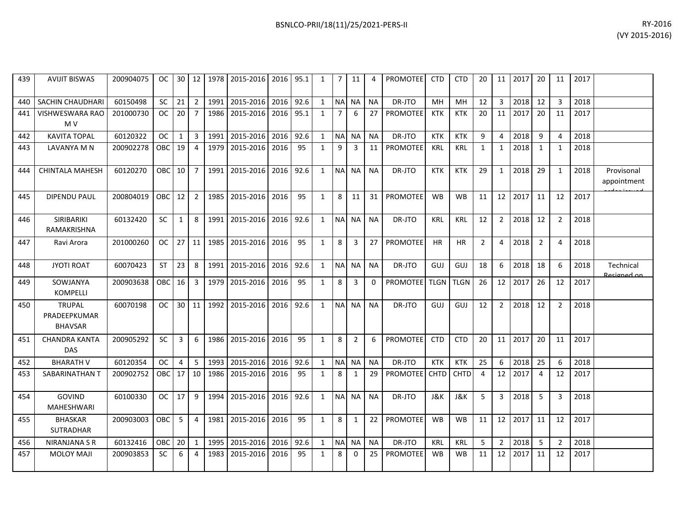| BSNLCO-PRII/18(11)/25/2021-PERS-II | RY-2016 |
|------------------------------------|---------|
|                                    |         |

| <b>AVIJIT BISWAS</b>                            | 200904075 | OC.        |                 |                |                                                                                                                                  |           |                                                                            |           | 1                                                                                                                                                  | 7         | 11                                                                                                   | 4                                   | <b>PROMOTEE</b> | <b>CTD</b>  | <b>CTD</b>  | 20             |                |      | 20             | 11             | 2017 |                           |
|-------------------------------------------------|-----------|------------|-----------------|----------------|----------------------------------------------------------------------------------------------------------------------------------|-----------|----------------------------------------------------------------------------|-----------|----------------------------------------------------------------------------------------------------------------------------------------------------|-----------|------------------------------------------------------------------------------------------------------|-------------------------------------|-----------------|-------------|-------------|----------------|----------------|------|----------------|----------------|------|---------------------------|
| <b>SACHIN CHAUDHARI</b>                         | 60150498  | SC         | 21              | $\overline{2}$ | 1991                                                                                                                             |           | 2016                                                                       |           | 1                                                                                                                                                  |           | <b>NA</b>                                                                                            | <b>NA</b>                           | DR-JTO          | <b>MH</b>   | <b>MH</b>   | 12             | $\overline{3}$ | 2018 | 12             | $\overline{3}$ | 2018 |                           |
| <b>VISHWESWARA RAO</b><br>M V                   | 201000730 | OC         | 20 <sup>1</sup> | $\overline{7}$ | 1986                                                                                                                             | 2015-2016 |                                                                            |           | 1                                                                                                                                                  |           | 6                                                                                                    | 27                                  | <b>PROMOTEE</b> | <b>KTK</b>  | <b>KTK</b>  | 20             | 11             | 2017 | 20             | 11             | 2017 |                           |
| <b>KAVITA TOPAL</b>                             | 60120322  | OC.        | $\mathbf{1}$    | 3              | 1991                                                                                                                             | 2015-2016 | 2016                                                                       | 92.6      | 1                                                                                                                                                  |           | <b>NA</b>                                                                                            | <b>NA</b>                           | DR-JTO          | <b>KTK</b>  | <b>KTK</b>  | 9              | 4              | 2018 | 9              | $\overline{4}$ | 2018 |                           |
| LAVANYA M N                                     | 200902278 | OBC        |                 | $\overline{4}$ | 1979                                                                                                                             | 2015-2016 | 2016                                                                       | 95        | $\mathbf{1}$                                                                                                                                       | 9         | $\overline{3}$                                                                                       | 11                                  | PROMOTEE        | <b>KRL</b>  | <b>KRL</b>  | $\mathbf{1}$   | 1              | 2018 | $\mathbf{1}$   | $\mathbf{1}$   | 2018 |                           |
| <b>CHINTALA MAHESH</b>                          | 60120270  |            |                 |                | 1991                                                                                                                             |           |                                                                            |           | 1                                                                                                                                                  |           |                                                                                                      | <b>NA</b>                           | DR-JTO          | <b>KTK</b>  | <b>KTK</b>  | 29             | 1              | 2018 | 29             | 1              | 2018 | Provisonal<br>appointment |
| <b>DIPENDU PAUL</b>                             | 200804019 | OBC        |                 | $\overline{2}$ | 1985                                                                                                                             | 2015-2016 | 2016                                                                       | 95        | $\mathbf{1}$                                                                                                                                       | 8         | 11                                                                                                   | 31                                  | <b>PROMOTEE</b> | <b>WB</b>   | <b>WB</b>   | 11             | 12             | 2017 | 11             | 12             | 2017 |                           |
| SIRIBARIKI<br>RAMAKRISHNA                       | 60132420  | SC         | $\mathbf{1}$    | 8              | 1991                                                                                                                             | 2015-2016 | 2016                                                                       | 92.6      | $\mathbf{1}$                                                                                                                                       |           | <b>NA</b>                                                                                            | <b>NA</b>                           | DR-JTO          | <b>KRL</b>  | KRL         | 12             | $\overline{2}$ | 2018 | 12             | $\overline{2}$ | 2018 |                           |
| Ravi Arora                                      | 201000260 | OC.        |                 |                | 1985                                                                                                                             |           | 2016                                                                       | 95        | $\mathbf{1}$                                                                                                                                       | 8         | 3                                                                                                    | 27                                  | <b>PROMOTEE</b> | HR.         | <b>HR</b>   | $\overline{2}$ | 4              | 2018 | $\overline{2}$ | $\overline{4}$ | 2018 |                           |
| <b>JYOTI ROAT</b>                               | 60070423  | <b>ST</b>  |                 | 8              | 1991                                                                                                                             | 2015-2016 | 2016                                                                       |           | 1                                                                                                                                                  |           |                                                                                                      | <b>NA</b>                           | DR-JTO          | GUJ         | GUJ         | 18             | 6              | 2018 | 18             | 6              | 2018 | Technical<br>Recigned on  |
| SOWJANYA<br><b>KOMPELLI</b>                     | 200903638 | OBC        | 16              | 3              | 1979                                                                                                                             | 2015-2016 | 2016                                                                       | 95        | 1                                                                                                                                                  | 8         | 3                                                                                                    | $\Omega$                            | <b>PROMOTEE</b> | <b>TLGN</b> | <b>TLGN</b> | 26             | 12             | 2017 | 26             | 12             | 2017 |                           |
| <b>TRUPAL</b><br>PRADEEPKUMAR<br><b>BHAVSAR</b> | 60070198  | OC.        |                 |                |                                                                                                                                  |           |                                                                            |           | 1                                                                                                                                                  |           |                                                                                                      | <b>NA</b>                           | DR-JTO          | GUJ         | GUJ         | 12             | $\overline{2}$ | 2018 | 12             | $\overline{2}$ | 2018 |                           |
| <b>CHANDRA KANTA</b><br><b>DAS</b>              | 200905292 | <b>SC</b>  | 3               | 6              | 1986                                                                                                                             | 2015-2016 | 2016                                                                       | 95        | 1                                                                                                                                                  | 8         | $\overline{2}$                                                                                       | 6                                   | <b>PROMOTEE</b> | <b>CTD</b>  | <b>CTD</b>  | 20             | 11             | 2017 | 20             | 11             | 2017 |                           |
| <b>BHARATH V</b>                                | 60120354  | <b>OC</b>  | $\overline{4}$  | 5              | 1993                                                                                                                             |           |                                                                            |           | 1                                                                                                                                                  |           | <b>NA</b>                                                                                            | <b>NA</b>                           | DR-JTO          | <b>KTK</b>  | <b>KTK</b>  | 25             | 6              | 2018 | 25             | 6              | 2018 |                           |
| SABARINATHAN T                                  | 200902752 | OBC        |                 |                | 1986                                                                                                                             |           | 2016                                                                       | 95        | 1                                                                                                                                                  | 8         | 1                                                                                                    | 29                                  | PROMOTEE        | <b>CHTD</b> | CHTD        | $\overline{a}$ | 12             | 2017 | 4              | 12             | 2017 |                           |
| <b>GOVIND</b><br><b>MAHESHWARI</b>              | 60100330  | OC.        | 17 <sup>1</sup> | 9              | 1994                                                                                                                             | 2015-2016 |                                                                            |           | 1                                                                                                                                                  | <b>NA</b> | <b>NA</b>                                                                                            | <b>NA</b>                           | DR-JTO          | J&K         | J&K         | 5              | 3              | 2018 | 5              | 3              | 2018 |                           |
| <b>BHASKAR</b><br>SUTRADHAR                     | 200903003 | <b>OBC</b> | 5 <sup>1</sup>  | $\overline{4}$ | 1981                                                                                                                             | 2015-2016 | 2016                                                                       | 95        | 1                                                                                                                                                  | 8         | 1                                                                                                    | 22                                  | <b>PROMOTEE</b> | <b>WB</b>   | <b>WB</b>   | 11             | 12             | 2017 | 11             | 12             | 2017 |                           |
| NIRANJANA S R                                   | 60132416  | OBC        |                 | 1              | 1995                                                                                                                             |           |                                                                            |           | 1                                                                                                                                                  |           | <b>NA</b>                                                                                            | <b>NA</b>                           | DR-JTO          | <b>KRL</b>  | <b>KRL</b>  | 5              | $\overline{2}$ | 2018 | 5              | $\overline{2}$ | 2018 |                           |
| <b>MOLOY MAJI</b>                               | 200903853 | <b>SC</b>  | 6               | $\overline{a}$ | 1983                                                                                                                             | 2015-2016 | 2016                                                                       | 95        | 1                                                                                                                                                  | 8         | $\mathbf{0}$                                                                                         | 25                                  | <b>PROMOTEE</b> | <b>WB</b>   | <b>WB</b>   | 11             | 12             | 2017 | 11             | 12             | 2017 |                           |
|                                                 |           |            |                 | OBC I          | 19<br>$10 \overline{\smash{\big)}\ 7}$<br>12 <sup>1</sup><br>$27$ 11<br>23 <sup>1</sup><br>30   11  <br>17 10<br>20 <sup>1</sup> | 1992      | 2015-2016<br>2015-2016<br>2015-2016<br>2015-2016<br>2015-2016<br>2015-2016 | 2015-2016 | 30   12   1978   2015-2016   2016   95.1<br>92.6<br>2016 95.1<br>92.6<br>2016<br>92.6<br>2016 92.6<br>92.6<br>2016<br>2016<br>92.6<br>2016<br>92.6 |           | <b>NA</b><br><b>NA</b><br><b>NA</b><br><b>NA</b><br><b>NA</b><br><b>NA</b><br><b>NA</b><br><b>NA</b> | <b>NA</b><br><b>NA</b><br><b>NA</b> |                 |             |             |                |                |      | 11 2017        |                |      |                           |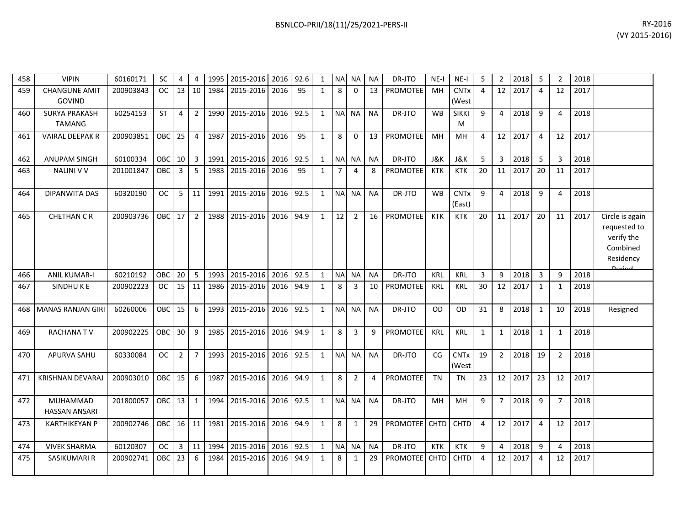| 458 | <b>VIPIN</b>                          | 60160171  | <b>SC</b>  | 4              | $\overline{4}$ | 1995 | 2015-2016           | 2016 | 92.6 | $\mathbf{1}$ | N <sub>A</sub> | <b>NA</b>      | <b>NA</b> | DR-JTO          | $NE-I$      | $NE-I$                           | 5            | $\overline{2}$ | 2018 | 5              | $\overline{2}$ | 2018 |                                                                                         |
|-----|---------------------------------------|-----------|------------|----------------|----------------|------|---------------------|------|------|--------------|----------------|----------------|-----------|-----------------|-------------|----------------------------------|--------------|----------------|------|----------------|----------------|------|-----------------------------------------------------------------------------------------|
| 459 | <b>CHANGUNE AMIT</b><br>GOVIND        | 200903843 | <b>OC</b>  | 13             | 10             | 1984 | 2015-2016           | 2016 | 95   | $\mathbf{1}$ | 8              | $\mathbf{0}$   | 13        | <b>PROMOTEE</b> | MH          | <b>CNTx</b><br>(West             | 4            | 12             | 2017 | $\overline{4}$ | 12             | 2017 |                                                                                         |
| 460 | <b>SURYA PRAKASH</b><br><b>TAMANG</b> | 60254153  | <b>ST</b>  | 4              | $\overline{2}$ | 1990 | 2015-2016           | 2016 | 92.5 | $\mathbf{1}$ | <b>NA</b>      | <b>NA</b>      | <b>NA</b> | DR-JTO          | <b>WB</b>   | <b>SIKKI</b><br>M                | 9            | $\overline{4}$ | 2018 | 9              | 4              | 2018 |                                                                                         |
| 461 | <b>VAIRAL DEEPAK R</b>                | 200903851 | OBC        | 25             | $\overline{4}$ | 1987 | 2015-2016           | 2016 | 95   | $\mathbf{1}$ | 8              | 0              | 13        | <b>PROMOTEE</b> | MH          | <b>MH</b>                        | 4            | 12             | 2017 | $\overline{4}$ | 12             | 2017 |                                                                                         |
| 462 | <b>ANUPAM SINGH</b>                   | 60100334  | OBC        | 10             | 3              | 1991 | 2015-2016 2016      |      | 92.5 | $\mathbf{1}$ | <b>NA</b>      | <b>NA</b>      | <b>NA</b> | DR-JTO          | J&K         | J&K                              | 5            | 3              | 2018 | 5              | 3              | 2018 |                                                                                         |
| 463 | <b>NALINI V V</b>                     | 201001847 | OBC        | 3              | 5              | 1983 | 2015-2016           | 2016 | 95   | $\mathbf{1}$ | $\overline{7}$ | 4              | 8         | PROMOTEE        | KTK         | <b>KTK</b>                       | 20           | 11             | 2017 | 20             | 11             | 2017 |                                                                                         |
| 464 | DIPANWITA DAS                         | 60320190  | <b>OC</b>  | 5              | 11             | 1991 | 2015-2016           | 2016 | 92.5 | $\mathbf{1}$ | N <sub>A</sub> | <b>NA</b>      | <b>NA</b> | DR-JTO          | <b>WB</b>   | <b>CNT<sub>x</sub></b><br>(East) | 9            | $\overline{4}$ | 2018 | 9              | 4              | 2018 |                                                                                         |
| 465 | <b>CHETHAN C R</b>                    | 200903736 | OBC        | 17             | $\overline{2}$ | 1988 | 2015-2016           | 2016 | 94.9 | $\mathbf{1}$ | 12             | $\overline{2}$ | 16        | PROMOTEE        | <b>KTK</b>  | <b>KTK</b>                       | 20           | 11             | 2017 | 20             | 11             | 2017 | Circle is again<br>requested to<br>verify the<br>Combined<br>Residency<br><b>Doriad</b> |
| 466 | <b>ANIL KUMAR-I</b>                   | 60210192  | OBC        | 20             | 5              | 1993 | 2015-2016           | 2016 | 92.5 | $\mathbf{1}$ | N <sub>A</sub> | NA             | <b>NA</b> | DR-JTO          | <b>KRL</b>  | <b>KRL</b>                       | 3            | 9              | 2018 | 3              | 9              | 2018 |                                                                                         |
| 467 | SINDHUKE                              | 200902223 | <b>OC</b>  | 15             | 11             | 1986 | 2015-2016           | 2016 | 94.9 | $\mathbf{1}$ | 8              | 3              | 10        | <b>PROMOTEE</b> | <b>KRL</b>  | <b>KRL</b>                       | 30           | 12             | 2017 | 1              | 1              | 2018 |                                                                                         |
| 468 | <b>MANAS RANJAN GIRI</b>              | 60260006  | <b>OBC</b> | 15             | 6              | 1993 | 2015-2016           | 2016 | 92.5 | $\mathbf{1}$ | <b>NA</b>      | <b>NA</b>      | <b>NA</b> | DR-JTO          | <b>OD</b>   | <b>OD</b>                        | 31           | 8              | 2018 | 1              | 10             | 2018 | Resigned                                                                                |
| 469 | <b>RACHANATV</b>                      | 200902225 | OBC        | 30             | 9              | 1985 | 2015-2016 2016      |      | 94.9 | $\mathbf{1}$ | 8              | 3              | 9         | <b>PROMOTEE</b> | <b>KRL</b>  | <b>KRL</b>                       | $\mathbf{1}$ | $\mathbf{1}$   | 2018 | 1              | 1              | 2018 |                                                                                         |
| 470 | <b>APURVA SAHU</b>                    | 60330084  | <b>OC</b>  | $\overline{2}$ | $\overline{7}$ | 1993 | 2015-2016           | 2016 | 92.5 | $\mathbf{1}$ | <b>NA</b>      | <b>NA</b>      | <b>NA</b> | DR-JTO          | CG          | <b>CNTx</b><br>(West             | 19           | $2^{\circ}$    | 2018 | 19             | 2              | 2018 |                                                                                         |
| 471 | <b>KRISHNAN DEVARAJ</b>               | 200903010 | OBC        | 15             | 6              | 1987 | 2015-2016           | 2016 | 94.9 | $\mathbf{1}$ | 8              | $\overline{2}$ | 4         | <b>PROMOTEE</b> | <b>TN</b>   | <b>TN</b>                        | 23           | 12             | 2017 | 23             | 12             | 2017 |                                                                                         |
| 472 | MUHAMMAD<br><b>HASSAN ANSARI</b>      | 201800057 | <b>OBC</b> | 13             | $\mathbf{1}$   |      | 1994 2015-2016      | 2016 | 92.5 | $\mathbf{1}$ | <b>NA</b>      | <b>NA</b>      | <b>NA</b> | DR-JTO          | MH          | MН                               | 9            | 7 <sup>7</sup> | 2018 | 9              | $\overline{7}$ | 2018 |                                                                                         |
| 473 | <b>KARTHIKEYAN P</b>                  | 200902746 | OBC 16     |                | 11             | 1981 | 2015-2016 2016 94.9 |      |      | $\mathbf{1}$ | 8              | 1              | 29        | PROMOTEE CHTD   |             | <b>CHTD</b>                      | 4            | 12             | 2017 | $\overline{4}$ | 12             | 2017 |                                                                                         |
| 474 | <b>VIVEK SHARMA</b>                   | 60120307  | <b>OC</b>  | 3              | 11             | 1994 | 2015-2016           | 2016 | 92.5 | $\mathbf{1}$ | <b>NA</b>      | NA.            | <b>NA</b> | DR-JTO          | KTK         | <b>KTK</b>                       | 9            | 4              | 2018 | 9              | 4              | 2018 |                                                                                         |
| 475 | SASIKUMARI R                          | 200902741 | OBC        | 23             | 6              | 1984 | 2015-2016           | 2016 | 94.9 | $\mathbf{1}$ | 8              | 1              | 29        | <b>PROMOTEE</b> | <b>CHTD</b> | CHTD                             | 4            | 12             | 2017 | $\overline{4}$ | 12             | 2017 |                                                                                         |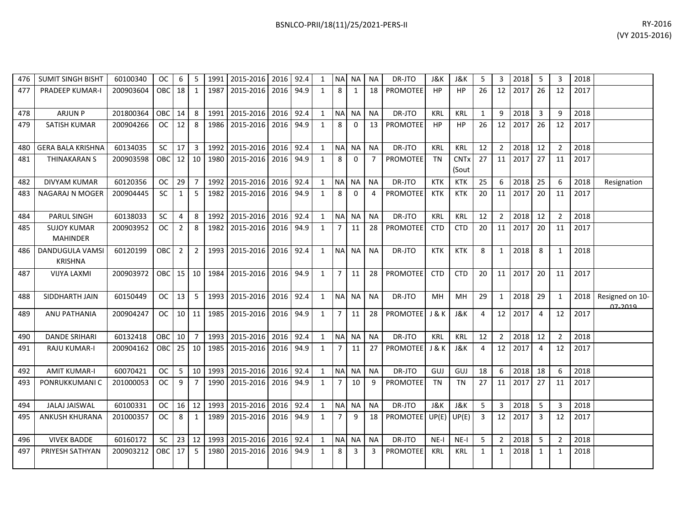| BSNLCO-PRII/18(11)/25/2021-PERS-II | RY-2016        |
|------------------------------------|----------------|
|                                    | (VY 2015-2016) |
|                                    |                |

| 476 | <b>SUMIT SINGH BISHT</b>                 | 60100340  | <b>OC</b>     | 6              | 5              | 1991 | 2015-2016 2016 |      | 92.4 | 1            | NA NA          |              | <b>NA</b>      | DR-JTO                | J&K            | <b>J&amp;K</b>       | 5              | 3              | 2018 | 5              | 3              | 2018 |                            |
|-----|------------------------------------------|-----------|---------------|----------------|----------------|------|----------------|------|------|--------------|----------------|--------------|----------------|-----------------------|----------------|----------------------|----------------|----------------|------|----------------|----------------|------|----------------------------|
| 477 | <b>PRADEEP KUMAR-I</b>                   | 200903604 | OBC.          | 18             | $\mathbf{1}$   | 1987 | 2015-2016      | 2016 | 94.9 | $\mathbf{1}$ | 8              | $\mathbf{1}$ | 18             | <b>PROMOTEE</b>       | HP             | HP                   | 26             | 12             | 2017 | 26             | 12             | 2017 |                            |
| 478 | <b>ARJUN P</b>                           | 201800364 | OBC           | 14             | 8              | 1991 | 2015-2016      | 2016 | 92.4 | $\mathbf{1}$ | NA NA          |              | <b>NA</b>      | DR-JTO                | <b>KRL</b>     | <b>KRL</b>           | 1              | $\mathbf{q}$   | 2018 | 3              | q              | 2018 |                            |
| 479 | <b>SATISH KUMAR</b>                      | 200904266 | OC.           | 12             | 8              | 1986 | 2015-2016      | 2016 | 94.9 | $\mathbf{1}$ | 8              | $\mathbf{0}$ | 13             | <b>PROMOTEE</b>       | HP             | HP                   | 26             | 12             | 2017 | 26             | 12             | 2017 |                            |
| 480 | <b>GERA BALA KRISHNA</b>                 | 60134035  | <b>SC</b>     | 17             | $\mathbf{3}$   | 1992 | 2015-2016      | 2016 | 92.4 | $\mathbf{1}$ | NA NA          |              | <b>NA</b>      | DR-JTO                | <b>KRL</b>     | <b>KRL</b>           | 12             | $\overline{2}$ | 2018 | 12             | $\overline{2}$ | 2018 |                            |
| 481 | THINAKARAN S                             | 200903598 | <b>OBC</b>    | 12             | 10             | 1980 | 2015-2016      | 2016 | 94.9 | $\mathbf{1}$ | 8              | $\mathbf 0$  | $\overline{7}$ | <b>PROMOTEE</b>       | <b>TN</b>      | <b>CNTx</b><br>(Sout | 27             | 11             | 2017 | 27             | 11             | 2017 |                            |
| 482 | <b>DIVYAM KUMAR</b>                      | 60120356  | <b>OC</b>     | 29             | $\overline{7}$ | 1992 | 2015-2016      | 2016 | 92.4 | $\mathbf{1}$ | NA NA          |              | <b>NA</b>      | DR-JTO                | <b>KTK</b>     | <b>KTK</b>           | 25             | 6              | 2018 | 25             | 6              | 2018 | Resignation                |
| 483 | NAGARAJ N MOGER                          | 200904445 | <b>SC</b>     | $\mathbf{1}$   | 5              | 1982 | 2015-2016      | 2016 | 94.9 | $\mathbf{1}$ | 8              | $\Omega$     | 4              | PROMOTEE              | <b>KTK</b>     | <b>KTK</b>           | 20             | 11             | 2017 | 20             | 11             | 2017 |                            |
| 484 | <b>PARUL SINGH</b>                       | 60138033  | <b>SC</b>     | 4              | 8              | 1992 | 2015-2016      | 2016 | 92.4 | $\mathbf{1}$ | NA NA          |              | <b>NA</b>      | DR-JTO                | <b>KRL</b>     | <b>KRL</b>           | 12             | $\overline{2}$ | 2018 | 12             | $\overline{2}$ | 2018 |                            |
| 485 | <b>SUJOY KUMAR</b><br><b>MAHINDER</b>    | 200903952 | <b>OC</b>     | $\overline{2}$ | 8              | 1982 | 2015-2016      | 2016 | 94.9 | 1            | 7              | 11           | 28             | <b>PROMOTEE</b>       | <b>CTD</b>     | <b>CTD</b>           | 20             | 11             | 2017 | 20             | 11             | 2017 |                            |
| 486 | <b>DANDUGULA VAMSI</b><br><b>KRISHNA</b> | 60120199  | <b>OBC</b>    | $\overline{2}$ | $\overline{2}$ | 1993 | 2015-2016      | 2016 | 92.4 | $\mathbf{1}$ |                | NA NA        | <b>NA</b>      | DR-JTO                | <b>KTK</b>     | <b>KTK</b>           | 8              | $\mathbf{1}$   | 2018 | 8              | $\mathbf{1}$   | 2018 |                            |
| 487 | <b>VIJYA LAXMI</b>                       | 200903972 | OBC I         | 15             | 10             | 1984 | 2015-2016      | 2016 | 94.9 | $\mathbf{1}$ | $\overline{7}$ | 11           | 28             | <b>PROMOTEE</b>       | <b>CTD</b>     | <b>CTD</b>           | 20             | 11             | 2017 | 20             | 11             | 2017 |                            |
| 488 | SIDDHARTH JAIN                           | 60150449  | OC            | 13             | 5              | 1993 | 2015-2016      | 2016 | 92.4 | $\mathbf{1}$ | NA NA          |              | <b>NA</b>      | DR-JTO                | <b>MH</b>      | <b>MH</b>            | 29             | 1              | 2018 | 29             | 1              | 2018 | Resigned on 10-<br>07.2010 |
| 489 | ANU PATHANIA                             | 200904247 | <b>OC</b>     |                | $10 \mid 11$   | 1985 | 2015-2016      | 2016 | 94.9 | 1            | $\overline{7}$ | 11           | 28             | <b>PROMOTEE</b> J & K |                | <b>J&amp;K</b>       | 4              | 12             | 2017 | $\overline{4}$ | 12             | 2017 |                            |
| 490 | <b>DANDE SRIHARI</b>                     | 60132418  | OBC.          | 10             | $\overline{7}$ | 1993 | 2015-2016      | 2016 | 92.4 | $\mathbf{1}$ |                | NA NA        | <b>NA</b>      | DR-JTO                | <b>KRL</b>     | <b>KRL</b>           | 12             | $\overline{2}$ | 2018 | 12             | $\overline{2}$ | 2018 |                            |
| 491 | <b>RAJU KUMAR-I</b>                      | 200904162 | <b>OBC</b>    | 25             | 10             | 1985 | 2015-2016      | 2016 | 94.9 | $\mathbf{1}$ | $\overline{7}$ | 11           | 27             | PROMOTEE J & K        |                | <b>J&amp;K</b>       | $\overline{4}$ | 12             | 2017 | $\overline{4}$ | 12             | 2017 |                            |
| 492 | <b>AMIT KUMAR-I</b>                      | 60070421  | <sub>OC</sub> | 5              | 10             | 1993 | 2015-2016      | 2016 | 92.4 | $\mathbf{1}$ | NA NA          |              | <b>NA</b>      | DR-JTO                | GUJ            | GUJ                  | 18             | 6              | 2018 | 18             | 6              | 2018 |                            |
| 493 | PONRUKKUMANI C                           | 201000053 | <b>OC</b>     | 9              | $\overline{7}$ | 1990 | 2015-2016      | 2016 | 94.9 | $\mathbf{1}$ | $\overline{7}$ | 10           | q              | <b>PROMOTEE</b>       | <b>TN</b>      | <b>TN</b>            | 27             | 11             | 2017 | 27             | 11             | 2017 |                            |
| 494 | <b>JALAJ JAISWAL</b>                     | 60100331  | $_{\rm OC}$   | $16\,$         | 12             | 1993 | 2015-2016      | 2016 | 92.4 | $\mathbf{1}$ | NA NA          |              | <b>NA</b>      | DR-JTO                | <b>J&amp;K</b> | <b>J&amp;K</b>       | 5              | 3              | 2018 | 5              | 3              | 2018 |                            |
| 495 | <b>ANKUSH KHURANA</b>                    | 201000357 | <b>OC</b>     | 8              | $\mathbf{1}$   | 1989 | 2015-2016      | 2016 | 94.9 | 1            | $\overline{7}$ | 9            | 18             | PROMOTEE UP(E)        |                | UP(E)                | $\overline{3}$ | 12             | 2017 | 3              | 12             | 2017 |                            |
| 496 | <b>VIVEK BADDE</b>                       | 60160172  | <b>SC</b>     | 23             | 12             | 1993 | 2015-2016      | 2016 | 92.4 | $\mathbf{1}$ | NA NA          |              | <b>NA</b>      | DR-JTO                | $NE-I$         | NE-I                 | -5             | $\overline{2}$ | 2018 | 5              | $\overline{2}$ | 2018 |                            |
| 497 | PRIYESH SATHYAN                          | 200903212 | OBC           | 17             | 5              | 1980 | 2015-2016      | 2016 | 94.9 | 1            | 8              | 3            | 3              | <b>PROMOTEE</b>       | <b>KRL</b>     | KRL                  | 1              | $\mathbf{1}$   | 2018 | $\mathbf{1}$   | 1              | 2018 |                            |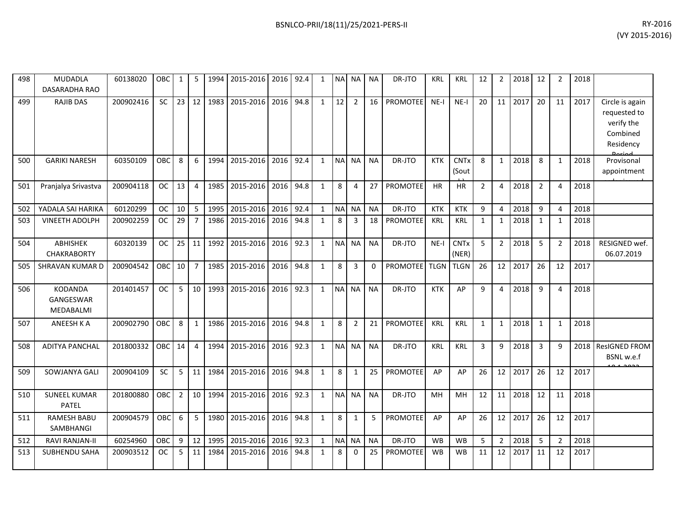| 498 | <b>MUDADLA</b><br><b>DASARADHA RAO</b>   | 60138020  | <b>OBC</b> | 1              | 5              | 1994 | 2015-2016 | 2016 | 92.4 | $\mathbf{1}$ | <b>NA</b>      | <b>NA</b>      | <b>NA</b> | DR-JTO          | <b>KRL</b>  | <b>KRL</b>           | 12             | $\overline{2}$ | 2018 | 12             | $\overline{2}$ | 2018 |                                                                        |
|-----|------------------------------------------|-----------|------------|----------------|----------------|------|-----------|------|------|--------------|----------------|----------------|-----------|-----------------|-------------|----------------------|----------------|----------------|------|----------------|----------------|------|------------------------------------------------------------------------|
| 499 | <b>RAJIB DAS</b>                         | 200902416 | <b>SC</b>  | 23             | 12             | 1983 | 2015-2016 | 2016 | 94.8 | $\mathbf{1}$ | 12             | $\overline{2}$ | 16        | <b>PROMOTEE</b> | $NE-I$      | $NE-I$               | 20             | 11             | 2017 | 20             | 11             | 2017 | Circle is again<br>requested to<br>verify the<br>Combined<br>Residency |
| 500 | <b>GARIKI NARESH</b>                     | 60350109  | OBC        | 8              | 6              | 1994 | 2015-2016 | 2016 | 92.4 | $\mathbf{1}$ | <b>NA</b>      | <b>NA</b>      | <b>NA</b> | DR-JTO          | <b>KTK</b>  | <b>CNTx</b><br>(Sout | 8              | $\mathbf{1}$   | 2018 | 8              | $\mathbf{1}$   | 2018 | Provisonal<br>appointment                                              |
| 501 | Pranjalya Srivastva                      | 200904118 | <b>OC</b>  | 13             | $\overline{4}$ | 1985 | 2015-2016 | 2016 | 94.8 | $\mathbf{1}$ | 8              | $\overline{4}$ | 27        | <b>PROMOTEE</b> | HR          | <b>HR</b>            | $\overline{2}$ | 4              | 2018 | $\overline{2}$ | 4              | 2018 |                                                                        |
| 502 | YADALA SAI HARIKA                        | 60120299  | <b>OC</b>  | 10             | 5              | 1995 | 2015-2016 | 2016 | 92.4 | $\mathbf{1}$ | <b>NA</b>      | NA             | <b>NA</b> | DR-JTO          | <b>KTK</b>  | <b>KTK</b>           | 9              | $\overline{4}$ | 2018 | 9              | 4              | 2018 |                                                                        |
| 503 | <b>VINEETH ADOLPH</b>                    | 200902259 | <b>OC</b>  | 29             | $\overline{7}$ | 1986 | 2015-2016 | 2016 | 94.8 | $\mathbf{1}$ | 8              | 3              | 18        | <b>PROMOTEE</b> | KRL         | <b>KRL</b>           | $\mathbf{1}$   | $\mathbf{1}$   | 2018 | $\mathbf{1}$   | 1              | 2018 |                                                                        |
| 504 | ABHISHEK<br><b>CHAKRABORTY</b>           | 60320139  | <b>OC</b>  | 25             | 11             | 1992 | 2015-2016 | 2016 | 92.3 | $\mathbf{1}$ | <b>NA</b>      | <b>NA</b>      | <b>NA</b> | DR-JTO          | $NE-I$      | <b>CNTx</b><br>(NER) | 5              | $\overline{2}$ | 2018 | 5              | $\overline{2}$ | 2018 | RESIGNED wef.<br>06.07.2019                                            |
| 505 | <b>SHRAVAN KUMAR D</b>                   | 200904542 | OBC        | 10             | $\overline{7}$ | 1985 | 2015-2016 | 2016 | 94.8 | $\mathbf{1}$ | 8              | 3              | $\Omega$  | <b>PROMOTEE</b> | <b>TLGN</b> | <b>TLGN</b>          | 26             | 12             | 2017 | 26             | 12             | 2017 |                                                                        |
| 506 | <b>KODANDA</b><br>GANGESWAR<br>MEDABALMI | 201401457 | <b>OC</b>  | 5              | 10             | 1993 | 2015-2016 | 2016 | 92.3 | $\mathbf{1}$ | <b>NA</b>      | <b>NA</b>      | <b>NA</b> | DR-JTO          | <b>KTK</b>  | AP                   | 9              | 4              | 2018 | 9              | $\overline{4}$ | 2018 |                                                                        |
| 507 | ANEESH K A                               | 200902790 | OBC        | 8              | $\mathbf{1}$   | 1986 | 2015-2016 | 2016 | 94.8 | $\mathbf{1}$ | 8              | $\overline{2}$ | 21        | PROMOTEE        | KRL         | KRL                  | $\mathbf{1}$   | $\mathbf{1}$   | 2018 | $\mathbf{1}$   | $\mathbf{1}$   | 2018 |                                                                        |
| 508 | <b>ADITYA PANCHAL</b>                    | 201800332 | <b>OBC</b> | 14             | $\overline{4}$ | 1994 | 2015-2016 | 2016 | 92.3 | $\mathbf{1}$ | N <sub>A</sub> | <b>NA</b>      | <b>NA</b> | DR-JTO          | <b>KRL</b>  | <b>KRL</b>           | 3              | 9              | 2018 | 3              | 9              |      | 2018 ResIGNED FROM<br>BSNL w.e.f                                       |
| 509 | SOWJANYA GALI                            | 200904109 | <b>SC</b>  | 5              | 11             | 1984 | 2015-2016 | 2016 | 94.8 | $\mathbf{1}$ | 8              | $\mathbf{1}$   | 25        | PROMOTEE        | AP          | AP                   | 26             | 12             | 2017 | 26             | 12             | 2017 |                                                                        |
| 510 | <b>SUNEEL KUMAR</b><br><b>PATEL</b>      | 201800880 | OBC        | $\overline{2}$ | 10             | 1994 | 2015-2016 | 2016 | 92.3 | $\mathbf{1}$ | <b>NA</b>      | <b>NA</b>      | <b>NA</b> | DR-JTO          | MH          | MH                   | 12             | 11             | 2018 | 12             | 11             | 2018 |                                                                        |
| 511 | <b>RAMESH BABU</b><br>SAMBHANGI          | 200904579 | OBC        | 6              | 5              | 1980 | 2015-2016 | 2016 | 94.8 | $\mathbf{1}$ | 8              | 1              | 5         | PROMOTEE        | AP          | AP                   | 26             | 12             | 2017 | 26             | 12             | 2017 |                                                                        |
| 512 | <b>RAVI RANJAN-II</b>                    | 60254960  | OBC        | 9              | 12             | 1995 | 2015-2016 | 2016 | 92.3 | $\mathbf{1}$ | N <sub>A</sub> | <b>NA</b>      | <b>NA</b> | DR-JTO          | <b>WB</b>   | <b>WB</b>            | 5              | $\overline{2}$ | 2018 | 5              | $\overline{2}$ | 2018 |                                                                        |
| 513 | SUBHENDU SAHA                            | 200903512 | <b>OC</b>  | 5              | 11             | 1984 | 2015-2016 | 2016 | 94.8 | $\mathbf{1}$ | 8              | $\mathbf{0}$   | 25        | <b>PROMOTEE</b> | <b>WB</b>   | <b>WB</b>            | 11             | 12             | 2017 | 11             | 12             | 2017 |                                                                        |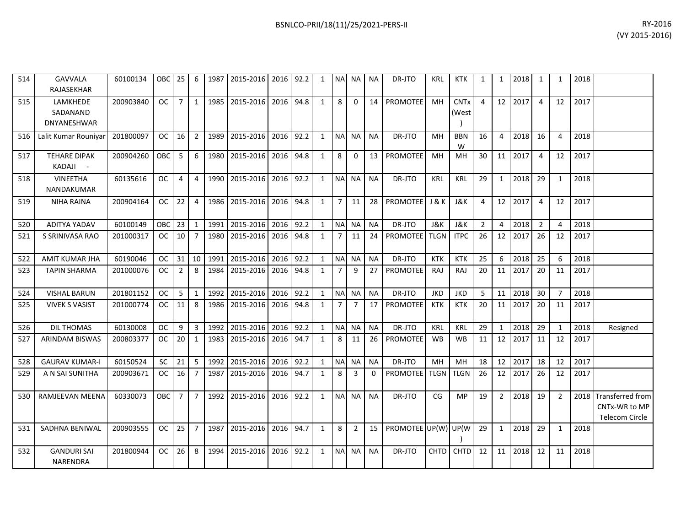| 514 | <b>GAVVALA</b><br>RAJASEKHAR                   | 60100134  | OBC 25        |                | 6              | 1987   | 2015-2016      | 2016 | 92.2 | 1            | <b>NAI</b>     | NA.            | <b>NA</b> | DR-JTO              | <b>KRL</b>     | <b>KTK</b>                      | $\mathbf{1}$   | 1              | 2018 | 1              | 1              | 2018 |                                                          |
|-----|------------------------------------------------|-----------|---------------|----------------|----------------|--------|----------------|------|------|--------------|----------------|----------------|-----------|---------------------|----------------|---------------------------------|----------------|----------------|------|----------------|----------------|------|----------------------------------------------------------|
| 515 | LAMKHEDE<br>SADANAND<br><b>DNYANESHWAR</b>     | 200903840 | <b>OC</b>     | $\overline{7}$ | $\mathbf{1}$   |        | 1985 2015-2016 | 2016 | 94.8 | 1            | 8              | $\Omega$       | 14        | <b>PROMOTEE</b>     | MH             | <b>CNT<sub>x</sub></b><br>(West | 4              | 12             | 2017 | $\overline{4}$ | 12             | 2017 |                                                          |
| 516 | Lalit Kumar Rouniyar                           | 201800097 | <sub>OC</sub> | 16             | 2              | 1989 L | 2015-2016      | 2016 | 92.2 | $\mathbf{1}$ | <b>NAI</b>     | <b>NA</b>      | <b>NA</b> | DR-JTO              | MH             | <b>BBN</b><br>W                 | 16             | 4              | 2018 | 16             | 4              | 2018 |                                                          |
| 517 | <b>TEHARE DIPAK</b><br>KADAJI<br>$\sim$ $\sim$ | 200904260 | OBC           | 5              | 6              |        | 1980 2015-2016 | 2016 | 94.8 | $\mathbf{1}$ | 8              | $\mathbf 0$    | 13        | <b>PROMOTEE</b>     | MH             | MН                              | 30             | 11             | 2017 | $\overline{4}$ | 12             | 2017 |                                                          |
| 518 | <b>VINEETHA</b><br>NANDAKUMAR                  | 60135616  | <sub>OC</sub> | 4              | $\overline{4}$ |        | 1990 2015-2016 | 2016 | 92.2 | $\mathbf{1}$ | <b>NA</b>      | <b>NA</b>      | <b>NA</b> | DR-JTO              | <b>KRL</b>     | KRL                             | 29             | 1              | 2018 | 29             | 1              | 2018 |                                                          |
| 519 | <b>NIHA RAINA</b>                              | 200904164 | <b>OC</b>     | 22             | $\overline{4}$ | 1986   | 2015-2016      | 2016 | 94.8 | $\mathbf{1}$ | $\overline{7}$ | 11             | 28        | <b>PROMOTEE</b>     | <b>J&amp;K</b> | J&K                             | 4              | 12             | 2017 | $\overline{4}$ | 12             | 2017 |                                                          |
| 520 | <b>ADITYA YADAV</b>                            | 60100149  | OBC           | 23             | $\mathbf{1}$   |        | 1991 2015-2016 | 2016 | 92.2 | $\mathbf{1}$ |                | NA NA          | <b>NA</b> | DR-JTO              | J&K            | J&K                             | $\overline{2}$ | 4              | 2018 | $\overline{2}$ | 4              | 2018 |                                                          |
| 521 | S SRINIVASA RAO                                | 201000317 | OC.           | 10             | $\overline{7}$ |        | 1980 2015-2016 | 2016 | 94.8 | 1            | 7              | 11             | 24        | <b>PROMOTEE</b>     | <b>TLGN</b>    | <b>ITPC</b>                     | 26             | 12             | 2017 | 26             | 12             | 2017 |                                                          |
| 522 | <b>AMIT KUMAR JHA</b>                          | 60190046  | <b>OC</b>     | 31             | 10             | 1991   | 2015-2016      | 2016 | 92.2 | $\mathbf{1}$ | N <sub>A</sub> | NA             | <b>NA</b> | DR-JTO              | <b>KTK</b>     | <b>KTK</b>                      | 25             | 6              | 2018 | 25             | 6              | 2018 |                                                          |
| 523 | <b>TAPIN SHARMA</b>                            | 201000076 | <b>OC</b>     | $\overline{2}$ | 8              | 1984   | 2015-2016      | 2016 | 94.8 | $\mathbf{1}$ | $\overline{7}$ | 9              | 27        | PROMOTEE            | <b>RAJ</b>     | RAJ                             | 20             | 11             | 2017 | 20             | 11             | 2017 |                                                          |
| 524 | <b>VISHAL BARUN</b>                            | 201801152 | <b>OC</b>     | 5              | $\mathbf{1}$   | 1992   | 2015-2016      | 2016 | 92.2 | $\mathbf{1}$ | <b>NA</b>      | NA             | <b>NA</b> | DR-JTO              | <b>JKD</b>     | <b>JKD</b>                      | -5             | 11             | 2018 | 30             | $\overline{7}$ | 2018 |                                                          |
| 525 | <b>VIVEK S VASIST</b>                          | 201000774 | <b>OC</b>     | 11             | 8              |        | 1986 2015-2016 | 2016 | 94.8 | $\mathbf{1}$ | $\overline{7}$ | $\overline{7}$ | 17        | <b>PROMOTEE</b>     | KTK            | <b>KTK</b>                      | 20             | 11             | 2017 | 20             | 11             | 2017 |                                                          |
| 526 | <b>DIL THOMAS</b>                              | 60130008  | <b>OC</b>     | 9              | $\overline{3}$ | 1992   | 2015-2016      | 2016 | 92.2 | 1            | <b>NA</b>      | <b>NA</b>      | <b>NA</b> | DR-JTO              | <b>KRL</b>     | <b>KRL</b>                      | 29             | 1              | 2018 | 29             | 1              | 2018 | Resigned                                                 |
| 527 | <b>ARINDAM BISWAS</b>                          | 200803377 | <sub>OC</sub> | 20             | 1              |        | 1983 2015-2016 | 2016 | 94.7 | $\mathbf{1}$ | 8              | 11             | 26        | <b>PROMOTEE</b>     | <b>WB</b>      | <b>WB</b>                       | 11             | 12             | 2017 | 11             | 12             | 2017 |                                                          |
| 528 | <b>GAURAV KUMAR-I</b>                          | 60150524  | <b>SC</b>     | 21             | 5              | 1992   | 2015-2016      | 2016 | 92.2 | $\mathbf{1}$ | <b>NA</b>      | <b>NA</b>      | <b>NA</b> | DR-JTO              | MH             | MH                              | 18             | 12             | 2017 | 18             | 12             | 2017 |                                                          |
| 529 | A N SAI SUNITHA                                | 200903671 | <b>OC</b>     | 16             | $\overline{7}$ |        | 1987 2015-2016 | 2016 | 94.7 | $\mathbf{1}$ | 8              | 3              | 0         | <b>PROMOTEE</b>     | <b>TLGN</b>    | <b>TLGN</b>                     | 26             | 12             | 2017 | 26             | 12             | 2017 |                                                          |
| 530 | RAMJEEVAN MEENA                                | 60330073  | OBC           | $\overline{7}$ | $\overline{7}$ |        | 1992 2015-2016 | 2016 | 92.2 | $\mathbf{1}$ | <b>NA</b>      | <b>NA</b>      | <b>NA</b> | DR-JTO              | CG             | <b>MP</b>                       | 19             | $\overline{2}$ | 2018 | 19             | $\overline{2}$ |      | 2018 Transferred from<br>CNTx-WR to MP<br>Telecom Circle |
| 531 | SADHNA BENIWAL                                 | 200903555 | OC .          | 25             | $\overline{7}$ | 1987   | 2015-2016      | 2016 | 94.7 | $\mathbf{1}$ | 8              | $\overline{2}$ | 15        | PROMOTEE UP(W) UP(W |                |                                 | 29             | 1              | 2018 | 29             | $\mathbf{1}$   | 2018 |                                                          |
| 532 | <b>GANDURI SAI</b><br><b>NARENDRA</b>          | 201800944 | <b>OC</b>     | 26             | 8              | 1994   | 2015-2016      | 2016 | 92.2 | $\mathbf{1}$ | <b>NAI</b>     | <b>NA</b>      | <b>NA</b> | DR-JTO              | <b>CHTD</b>    | <b>CHTD</b>                     | 12             | 11             | 2018 | 12             | 11             | 2018 |                                                          |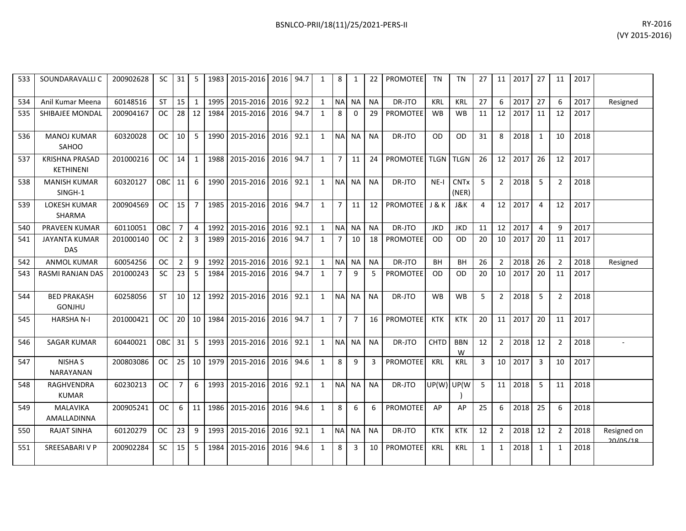| BSNLCO-PRII/18(11)/25/2021-PERS-II | RY-2016 |
|------------------------------------|---------|
|                                    |         |

| 533 | SOUNDARAVALLI C                    | 200902628 | SC.           | 31             | 5              |      | 1983 2015-2016 2016 94.7 |      |      | $\mathbf{1}$ | 8              | 1              | 22        | <b>PROMOTEE</b>       | TN         | TN                              | 27 | 11             | 2017 | 27             | 11             | 2017 |                         |
|-----|------------------------------------|-----------|---------------|----------------|----------------|------|--------------------------|------|------|--------------|----------------|----------------|-----------|-----------------------|------------|---------------------------------|----|----------------|------|----------------|----------------|------|-------------------------|
| 534 | Anil Kumar Meena                   | 60148516  | <b>ST</b>     | 15             | 1              | 1995 | 2015-2016                | 2016 | 92.2 | 1            | <b>NA</b>      | <b>NA</b>      | <b>NA</b> | DR-JTO                | <b>KRL</b> | <b>KRL</b>                      | 27 | 6              | 2017 | 27             | 6              | 2017 | Resigned                |
| 535 | <b>SHIBAJEE MONDAL</b>             | 200904167 | <sub>OC</sub> | 28             | 12             | 1984 | 2015-2016                | 2016 | 94.7 | $\mathbf{1}$ | 8              | $\Omega$       | 29        | <b>PROMOTEE</b>       | <b>WB</b>  | <b>WB</b>                       | 11 | 12             | 2017 | 11             | 12             | 2017 |                         |
| 536 | <b>MANOJ KUMAR</b><br>SAHOO        | 60320028  | OC            | 10             | 5              |      | 1990 2015-2016           | 2016 | 92.1 | $\mathbf{1}$ |                | NA NA          | <b>NA</b> | DR-JTO                | OD         | <b>OD</b>                       | 31 | 8              | 2018 | $\mathbf{1}$   | 10             | 2018 |                         |
| 537 | <b>KRISHNA PRASAD</b><br>KETHINENI | 201000216 | OC .          | 14             | 1              | 1988 | 2015-2016                | 2016 | 94.7 | $\mathbf{1}$ | $\overline{7}$ | 11             | 24        | PROMOTEE TLGN         |            | <b>TLGN</b>                     | 26 | 12             | 2017 | 26             | 12             | 2017 |                         |
| 538 | <b>MANISH KUMAR</b><br>SINGH-1     | 60320127  | OBC           | 11             | 6              | 1990 | 2015-2016                | 2016 | 92.1 | $\mathbf{1}$ | NA NA          |                | <b>NA</b> | DR-JTO                | $NE-I$     | <b>CNT<sub>x</sub></b><br>(NER) | 5  | $\overline{2}$ | 2018 | 5              | $\overline{2}$ | 2018 |                         |
| 539 | LOKESH KUMAR<br><b>SHARMA</b>      | 200904569 | OC .          | 15             | $\overline{7}$ | 1985 | 2015-2016                | 2016 | 94.7 | $\mathbf{1}$ | $\overline{7}$ | 11             | 12        | <b>PROMOTEE</b> J & K |            | J&K                             | 4  | 12             | 2017 | $\overline{4}$ | 12             | 2017 |                         |
| 540 | <b>PRAVEEN KUMAR</b>               | 60110051  | <b>OBC</b>    | $\overline{7}$ | 4              | 1992 | 2015-2016                | 2016 | 92.1 | 1            | <b>NA</b>      | NA             | <b>NA</b> | DR-JTO                | <b>JKD</b> | <b>JKD</b>                      | 11 | 12             | 2017 | $\overline{4}$ | 9              | 2017 |                         |
| 541 | <b>JAYANTA KUMAR</b><br><b>DAS</b> | 201000140 | <b>OC</b>     | $\overline{2}$ | 3              | 1989 | 2015-2016                | 2016 | 94.7 | 1            | $\overline{7}$ | 10             |           | 18 PROMOTEE           | <b>OD</b>  | <b>OD</b>                       | 20 | 10             | 2017 | 20             | 11             | 2017 |                         |
| 542 | <b>ANMOL KUMAR</b>                 | 60054256  | <b>OC</b>     | $\overline{2}$ | 9              | 1992 | 2015-2016                | 2016 | 92.1 | $\mathbf{1}$ | <b>NA</b>      | <b>NA</b>      | <b>NA</b> | DR-JTO                | <b>BH</b>  | <b>BH</b>                       | 26 | $\overline{2}$ | 2018 | 26             | $\overline{2}$ | 2018 | Resigned                |
| 543 | RASMI RANJAN DAS                   | 201000243 | SC.           | 23             | 5              | 1984 | 2015-2016                | 2016 | 94.7 | 1            | 7              | 9              | -5        | PROMOTEE              | 0D         | OD                              | 20 | 10             | 2017 | 20             | 11             | 2017 |                         |
| 544 | <b>BED PRAKASH</b><br>GONJHU       | 60258056  | <b>ST</b>     | 10             | 12             | 1992 | 2015-2016                | 2016 | 92.1 | $\mathbf{1}$ | NA NA          |                | <b>NA</b> | DR-JTO                | <b>WB</b>  | <b>WB</b>                       | 5  | $\overline{2}$ | 2018 | 5              | $\overline{2}$ | 2018 |                         |
| 545 | <b>HARSHA N-I</b>                  | 201000421 | <b>OC</b>     | 20             | 10             | 1984 | 2015-2016                | 2016 | 94.7 | $\mathbf{1}$ | $\overline{7}$ | $\overline{7}$ | 16        | <b>PROMOTEE</b>       | <b>KTK</b> | <b>KTK</b>                      | 20 | 11             | 2017 | 20             | 11             | 2017 |                         |
| 546 | <b>SAGAR KUMAR</b>                 | 60440021  | OBC I         | 31             | 5              | 1993 | 2015-2016                | 2016 | 92.1 | 1            | <b>NA</b>      | <b>NA</b>      | <b>NA</b> | DR-JTO                | CHTD       | <b>BBN</b><br>W                 | 12 | $\overline{2}$ | 2018 | 12             | $\overline{2}$ | 2018 |                         |
| 547 | NISHA S<br><b>NARAYANAN</b>        | 200803086 | OC .          | 25             | 10             | 1979 | 2015-2016                | 2016 | 94.6 | $\mathbf{1}$ | 8              | 9              | 3         | <b>PROMOTEE</b>       | <b>KRL</b> | <b>KRL</b>                      | 3  | 10             | 2017 | $\mathbf{3}$   | 10             | 2017 |                         |
| 548 | RAGHVENDRA<br><b>KUMAR</b>         | 60230213  | <b>OC</b>     | $\overline{7}$ | 6              | 1993 | 2015-2016                | 2016 | 92.1 | $\mathbf{1}$ |                | NA NA          | <b>NA</b> | DR-JTO                | UP(W) UP(W |                                 | 5  | 11             | 2018 | 5              | 11             | 2018 |                         |
| 549 | <b>MALAVIKA</b><br>AMALLADINNA     | 200905241 | OC.           | 6              | 11             |      | 1986 2015-2016           | 2016 | 94.6 | 1            | 8              | 6              | 6         | <b>PROMOTEE</b>       | AP         | AP                              | 25 | 6              | 2018 | 25             | 6              | 2018 |                         |
| 550 | <b>RAJAT SINHA</b>                 | 60120279  | OC.           | 23             | 9              |      | 1993 2015-2016           | 2016 | 92.1 | 1            | NA NA          |                | <b>NA</b> | DR-JTO                | <b>KTK</b> | <b>KTK</b>                      | 12 | 2              | 2018 | 12             | $\overline{2}$ | 2018 | Resigned on<br>20/05/18 |
| 551 | SREESABARI V P                     | 200902284 | <b>SC</b>     | 15             | 5              | 1984 | 2015-2016                | 2016 | 94.6 | $\mathbf{1}$ | 8              | 3              | 10        | <b>PROMOTEE</b>       | <b>KRL</b> | <b>KRL</b>                      | 1  | $\mathbf{1}$   | 2018 | $\mathbf{1}$   | $\mathbf{1}$   | 2018 |                         |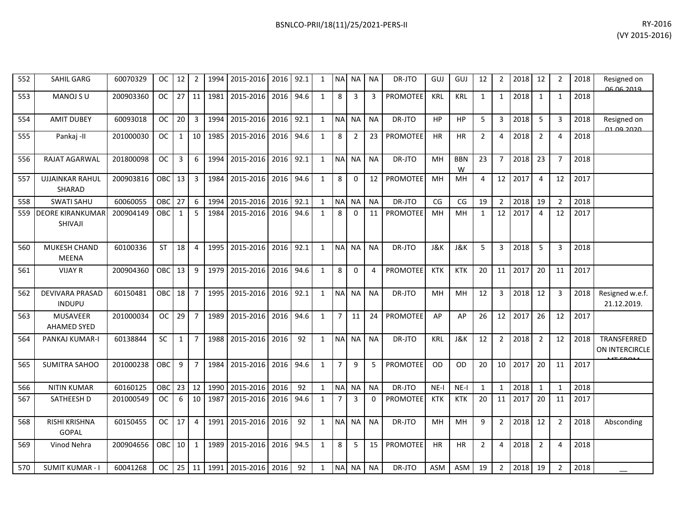| 552 | SAHIL GARG                              | 60070329  | <b>OC</b>  | 12              | 2                 | 1994 | 2015-2016   2016   92.1 |      |      | 1            |                | NA NA NA       |                | DR-JTO          | GUJ        | GUJ             | 12             | $\overline{2}$  | 2018 | 12             | 2              | 2018 | Resigned on<br>06.06.2019          |
|-----|-----------------------------------------|-----------|------------|-----------------|-------------------|------|-------------------------|------|------|--------------|----------------|----------------|----------------|-----------------|------------|-----------------|----------------|-----------------|------|----------------|----------------|------|------------------------------------|
| 553 | MANOJ S U                               | 200903360 | <b>OC</b>  | $\overline{27}$ | 11                | 1981 | 2015-2016               | 2016 | 94.6 | $\mathbf{1}$ | 8              | 3              | $\overline{3}$ | <b>PROMOTEE</b> | <b>KRL</b> | <b>KRL</b>      | $\mathbf{1}$   | 1               | 2018 | 1              | $\mathbf{1}$   | 2018 |                                    |
| 554 | <b>AMIT DUBEY</b>                       | 60093018  | <b>OC</b>  | 20              | $\overline{3}$    | 1994 | 2015-2016               | 2016 | 92.1 | 1            |                | NA NA          | <b>NA</b>      | DR-JTO          | <b>HP</b>  | <b>HP</b>       | 5              | 3               | 2018 | - 5            | 3              | 2018 | Resigned on<br><u>01.09.2020 -</u> |
| 555 | Pankaj -II                              | 201000030 | <b>OC</b>  | $\mathbf{1}$    | 10 <sup>1</sup>   | 1985 | 2015-2016               | 2016 | 94.6 | $\mathbf{1}$ | 8              | $\overline{2}$ | 23             | PROMOTEE        | <b>HR</b>  | HR              | $\overline{2}$ | 4               | 2018 | $\overline{2}$ | 4              | 2018 |                                    |
| 556 | RAJAT AGARWAL                           | 201800098 | <b>OC</b>  | 3               | 6                 | 1994 | 2015-2016               | 2016 | 92.1 | $\mathbf{1}$ |                | NA NA          | <b>NA</b>      | DR-JTO          | MH         | <b>BBN</b><br>W | 23             | $\overline{7}$  | 2018 | 23             | $\overline{7}$ | 2018 |                                    |
| 557 | <b>UJJAINKAR RAHUL</b><br>SHARAD        | 200903816 | OBC        | 13              | $\overline{3}$    | 1984 | 2015-2016               | 2016 | 94.6 | $\mathbf{1}$ | 8              | $\Omega$       | 12             | <b>PROMOTEE</b> | MH         | MH              | 4              | 12              | 2017 | $\overline{4}$ | 12             | 2017 |                                    |
| 558 | <b>SWATI SAHU</b>                       | 60060055  | OBC        | 27              | 6                 | 1994 | 2015-2016               | 2016 | 92.1 | $\mathbf{1}$ |                | NA NA          | <b>NA</b>      | DR-JTO          | CG         | CG              | 19             | $\overline{2}$  | 2018 | 19             | 2              | 2018 |                                    |
|     | 559 DEORE KIRANKUMAR<br>SHIVAJI         | 200904149 | OBC        | $\mathbf{1}$    | 5                 | 1984 | 2015-2016               | 2016 | 94.6 | $\mathbf{1}$ | 8              | $\Omega$       | 11             | <b>PROMOTEE</b> | MH         | MH              | $\mathbf{1}$   | 12              | 2017 | $\overline{4}$ | 12             | 2017 |                                    |
| 560 | MUKESH CHAND<br><b>MEENA</b>            | 60100336  | <b>ST</b>  | 18              | $\overline{4}$    | 1995 | 2015-2016               | 2016 | 92.1 | $\mathbf{1}$ |                | NA NA          | <b>NA</b>      | DR-JTO          | J&K        | J&K             | 5              | 3               | 2018 | -5             | 3              | 2018 |                                    |
| 561 | <b>VIJAY R</b>                          | 200904360 | OBC        | 13              | 9                 | 1979 | 2015-2016               | 2016 | 94.6 | $\mathbf{1}$ | 8              | $\Omega$       | 4              | <b>PROMOTEE</b> | <b>KTK</b> | <b>KTK</b>      | 20             | 11              | 2017 | 20             | 11             | 2017 |                                    |
| 562 | <b>DEVIVARA PRASAD</b><br><b>INDUPU</b> | 60150481  | <b>OBC</b> | 18              | $\overline{7}$    | 1995 | 2015-2016               | 2016 | 92.1 | $\mathbf{1}$ |                | NA NA          | <b>NA</b>      | DR-JTO          | MH         | MH              | 12             | 3               | 2018 | 12             | 3              | 2018 | Resigned w.e.f.<br>21.12.2019.     |
| 563 | MUSAVEER<br><b>AHAMED SYED</b>          | 201000034 | <b>OC</b>  | 29              | $\overline{7}$    | 1989 | 2015-2016               | 2016 | 94.6 | $\mathbf{1}$ | $\overline{7}$ | 11             | 24             | <b>PROMOTEE</b> | AP         | AP              | 26             | 12              | 2017 | 26             | 12             | 2017 |                                    |
| 564 | PANKAJ KUMAR-I                          | 60138844  | <b>SC</b>  | $\mathbf{1}$    | $\overline{7}$    | 1988 | 2015-2016               | 2016 | 92   | $\mathbf{1}$ |                | NA NA          | <b>NA</b>      | DR-JTO          | <b>KRL</b> | J&K             | 12             | $2^{\circ}$     | 2018 | $\overline{2}$ | 12             | 2018 | TRANSFERRED<br>ON INTERCIRCLE      |
| 565 | <b>SUMITRA SAHOO</b>                    | 201000238 | OBC        | 9               | $\overline{7}$    | 1984 | 2015-2016               | 2016 | 94.6 | $\mathbf{1}$ | $\overline{7}$ | 9              | 5              | <b>PROMOTEE</b> | <b>OD</b>  | O <sub>D</sub>  | 20             | 10 <sup>1</sup> | 2017 | 20             | 11             | 2017 |                                    |
| 566 | <b>NITIN KUMAR</b>                      | 60160125  | OBC        | 23              | 12                | 1990 | 2015-2016               | 2016 | 92   | $\mathbf{1}$ |                | NA NA          | <b>NA</b>      | DR-JTO          | $NE-I$     | $NE-I$          | $\mathbf{1}$   | $\mathbf{1}$    | 2018 | $\overline{1}$ | $\mathbf{1}$   | 2018 |                                    |
| 567 | SATHEESH D                              | 201000549 | OC.        | 6               | 10                | 1987 | 2015-2016               | 2016 | 94.6 | 1            | 7              | 3              | $\Omega$       | <b>PROMOTEE</b> | KTK        | <b>KTK</b>      | 20             | 11              | 2017 | 20             | 11             | 2017 |                                    |
| 568 | <b>RISHI KRISHNA</b><br><b>GOPAL</b>    | 60150455  | <b>OC</b>  | 17              | 4                 | 1991 | 2015-2016               | 2016 | 92   | $\mathbf{1}$ |                | NA NA          | <b>NA</b>      | DR-JTO          | MH         | MH              | 9              | $2^{\circ}$     | 2018 | 12             | $\overline{2}$ | 2018 | Absconding                         |
| 569 | Vinod Nehra                             | 200904656 | <b>OBC</b> | 10              | 1                 | 1989 | 2015-2016               | 2016 | 94.5 | $\mathbf{1}$ | 8              | 5              | 15             | <b>PROMOTEE</b> | <b>HR</b>  | <b>HR</b>       | $\overline{2}$ | $\overline{4}$  | 2018 | $\overline{2}$ | 4              | 2018 |                                    |
| 570 | <b>SUMIT KUMAR - I</b>                  | 60041268  | OC.        |                 | $25 \mid 11 \mid$ | 1991 | 2015-2016 2016          |      | 92   | $\mathbf{1}$ |                | NA NA          | <b>NA</b>      | DR-JTO          | <b>ASM</b> | ASM             | 19             | 2               | 2018 | 19             | $\overline{2}$ | 2018 |                                    |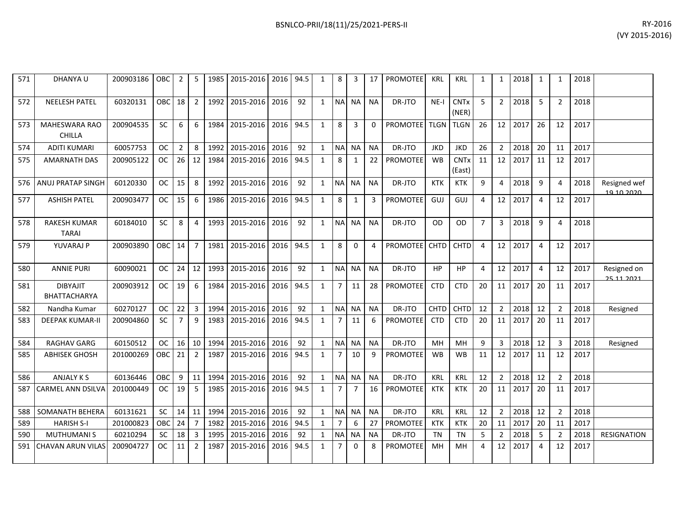| 571 | DHANYA U                              | 200903186 OBC |            | $\overline{2}$  | 5              |      | 1985 2015-2016 2016 94.5 |      |      | 1            | 8              | 3              | 17             | <b>PROMOTEE</b> | <b>KRL</b>  | <b>KRL</b>                      | 1              | 1              | 2018 | 1              | 1              | 2018 |                            |
|-----|---------------------------------------|---------------|------------|-----------------|----------------|------|--------------------------|------|------|--------------|----------------|----------------|----------------|-----------------|-------------|---------------------------------|----------------|----------------|------|----------------|----------------|------|----------------------------|
| 572 | <b>NEELESH PATEL</b>                  | 60320131      | OBC        | 18 l            | $\overline{2}$ | 1992 | 2015-2016                | 2016 | 92   | 1            | <b>NA</b>      | <b>NA</b>      | <b>NA</b>      | DR-JTO          | $NE-I$      | <b>CNT<sub>x</sub></b><br>(NER) | -5             | $\overline{2}$ | 2018 | 5              | 2              | 2018 |                            |
| 573 | <b>MAHESWARA RAO</b><br><b>CHILLA</b> | 200904535     | <b>SC</b>  | 6 <sup>1</sup>  | 6              | 1984 | 2015-2016                | 2016 | 94.5 | 1            | 8              | $\overline{3}$ | $\Omega$       | PROMOTEE   TLGN |             | <b>TLGN</b>                     | 26             | 12             | 2017 | 26             | 12             | 2017 |                            |
| 574 | <b>ADITI KUMARI</b>                   | 60057753      | OC.        | 2 <sup>1</sup>  | -8             | 1992 | 2015-2016                | 2016 | 92   | 1            | <b>NA</b>      | <b>NA</b>      | <b>NA</b>      | DR-JTO          | <b>JKD</b>  | <b>JKD</b>                      | 26             | $\overline{2}$ | 2018 | 20             | 11             | 2017 |                            |
| 575 | <b>AMARNATH DAS</b>                   | 200905122     | OC .       | $26$   12       |                | 1984 | 2015-2016                | 2016 | 94.5 | 1            | 8              | 1              | 22             | <b>PROMOTEE</b> | <b>WB</b>   | <b>CNTx</b><br>(East)           | 11             | 12             | 2017 | 11             | 12             | 2017 |                            |
|     | 576 ANUJ PRATAP SINGH                 | 60120330      | <b>OC</b>  | 15 <sup>1</sup> | 8              | 1992 | 2015-2016                | 2016 | 92   | 1            | <b>NA</b>      | <b>NA</b>      | <b>NA</b>      | DR-JTO          | <b>KTK</b>  | <b>KTK</b>                      | 9              | 4              | 2018 | 9              | 4              | 2018 | Resigned wef<br>10 10 2020 |
| 577 | <b>ASHISH PATEL</b>                   | 200903477     | OC         | 15 <sup>1</sup> | 6              | 1986 | 2015-2016                | 2016 | 94.5 | $\mathbf{1}$ | 8              | $\mathbf{1}$   | 3              | <b>PROMOTEE</b> | GUJ         | GUJ                             | 4              | 12             | 2017 | 4              | 12             | 2017 |                            |
| 578 | <b>RAKESH KUMAR</b><br><b>TARAI</b>   | 60184010      | SC.        | 8               | 4              | 1993 | 2015-2016                | 2016 | 92   | 1            | <b>NA</b>      | <b>NA</b>      | <b>NA</b>      | DR-JTO          | 0D.         | OD                              | $\overline{7}$ | 3              | 2018 | q              | $\Delta$       | 2018 |                            |
| 579 | YUVARAJ P                             | 200903890     | <b>OBC</b> | 14 <sup>1</sup> | 7              | 1981 | 2015-2016                | 2016 | 94.5 | 1            | 8              | $\mathbf{0}$   | $\overline{4}$ | PROMOTEE CHTD   |             | <b>CHTD</b>                     | $\overline{4}$ | 12             | 2017 | 4              | 12             | 2017 |                            |
| 580 | <b>ANNIE PURI</b>                     | 60090021      | OC         | $24$ 12         |                | 1993 | 2015-2016                | 2016 | 92   | 1            | <b>NA</b>      | <b>NA</b>      | <b>NA</b>      | DR-JTO          | <b>HP</b>   | <b>HP</b>                       | $\overline{4}$ | 12             | 2017 | $\overline{4}$ | 12             | 2017 | Resigned on<br>25 11 2021  |
| 581 | <b>DIBYAJIT</b><br>BHATTACHARYA       | 200903912     | OC.        | 19 <sup>1</sup> | 6              | 1984 | 2015-2016                | 2016 | 94.5 | 1            | $\overline{7}$ | 11             | 28             | <b>PROMOTEE</b> | <b>CTD</b>  | <b>CTD</b>                      | 20             | 11             | 2017 | 20             | 11             | 2017 |                            |
| 582 | Nandha Kumar                          | 60270127      | OC.        | 22 <sub>1</sub> | -3             | 1994 | 2015-2016                | 2016 | 92   | 1            | <b>NA</b>      | <b>NA</b>      | <b>NA</b>      | DR-JTO          | <b>CHTD</b> | CHTD                            | 12             | $\overline{2}$ | 2018 | 12             | $\overline{2}$ | 2018 | Resigned                   |
| 583 | <b>DEEPAK KUMAR-II</b>                | 200904860     | <b>SC</b>  | 7 <sup>1</sup>  | 9              | 1983 | 2015-2016                | 2016 | 94.5 | 1            | $\overline{7}$ | 11             | 6              | <b>PROMOTEE</b> | <b>CTD</b>  | <b>CTD</b>                      | 20             | 11             | 2017 | 20             | 11             | 2017 |                            |
| 584 | <b>RAGHAV GARG</b>                    | 60150512      | OC         | $16$   10       |                | 1994 | 2015-2016                | 2016 | 92   | $\mathbf{1}$ | <b>NA</b>      | <b>NA</b>      | <b>NA</b>      | DR-JTO          | MH          | <b>MH</b>                       | 9              | 3              | 2018 | 12             | 3              | 2018 | Resigned                   |
| 585 | <b>ABHISEK GHOSH</b>                  | 201000269     | OBC        | 21              | $\overline{2}$ | 1987 | 2015-2016                | 2016 | 94.5 | 1            | $\overline{7}$ | 10             | $\mathbf{q}$   | <b>PROMOTEE</b> | <b>WB</b>   | <b>WB</b>                       | 11             | 12             | 2017 | 11             | 12             | 2017 |                            |
| 586 | ANJALY K S                            | 60136446      | <b>OBC</b> |                 | $9$   11       | 1994 | 2015-2016                | 2016 | 92   | $\mathbf{1}$ | <b>NA</b>      | <b>NA</b>      | <b>NA</b>      | DR-JTO          | <b>KRL</b>  | <b>KRL</b>                      | 12             | $\overline{2}$ | 2018 | 12             | $\overline{2}$ | 2018 |                            |
|     | 587 CARMEL ANN DSILVA                 | 201000449     | <b>OC</b>  | 19 <sup>1</sup> | 5              | 1985 | 2015-2016                | 2016 | 94.5 | $\mathbf{1}$ | $\overline{7}$ | $\overline{7}$ | 16             | <b>PROMOTEE</b> | KTK         | <b>KTK</b>                      | 20             | 11             | 2017 | 20             | 11             | 2017 |                            |
| 588 | SOMANATH BEHERA                       | 60131621      | <b>SC</b>  | $14$   11       |                | 1994 | 2015-2016                | 2016 | 92   | 1            | <b>NA</b>      | <b>NA</b>      | <b>NA</b>      | DR-JTO          | <b>KRL</b>  | <b>KRL</b>                      | 12             | $\overline{2}$ | 2018 | 12             | $\overline{2}$ | 2018 |                            |
| 589 | <b>HARISH S-I</b>                     | 201000823     | OBC        | 24              | $\overline{7}$ | 1982 | 2015-2016                | 2016 | 94.5 | $\mathbf{1}$ | $\overline{7}$ | 6              | 27             | <b>PROMOTEE</b> | <b>KTK</b>  | <b>KTK</b>                      | 20             | 11             | 2017 | 20             | 11             | 2017 |                            |
| 590 | <b>MUTHUMANIS</b>                     | 60210294      | <b>SC</b>  | 18 <sup>1</sup> | 3              | 1995 | 2015-2016                | 2016 | 92   | $\mathbf{1}$ | <b>NA</b>      | <b>NA</b>      | <b>NA</b>      | DR-JTO          | <b>TN</b>   | <b>TN</b>                       | 5              | $\overline{2}$ | 2018 | 5              | $\overline{2}$ | 2018 | <b>RESIGNATION</b>         |
| 591 | <b>CHAVAN ARUN VILAS</b>              | 200904727     | <b>OC</b>  | 11              | 2              | 1987 | 2015-2016                | 2016 | 94.5 | 1            |                | 0              | 8              | PROMOTEE        | MH          | MH                              | 4              | 12             | 2017 | $\overline{4}$ | 12             | 2017 |                            |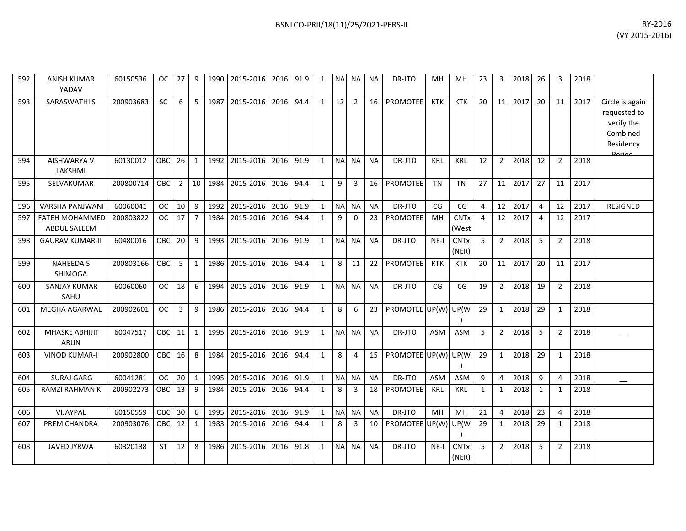| 592 | <b>ANISH KUMAR</b><br>YADAV           | 60150536  | OC.        | 27             | 9              | 1990 | 2015-2016      | 2016 | 91.9 | 1            | <b>NAI</b>     | <b>NA</b>      | <b>NA</b> | DR-JTO               | MH         | MH                              | 23             | 3              | 2018 | 26             | 3              | 2018 |                                                                                  |
|-----|---------------------------------------|-----------|------------|----------------|----------------|------|----------------|------|------|--------------|----------------|----------------|-----------|----------------------|------------|---------------------------------|----------------|----------------|------|----------------|----------------|------|----------------------------------------------------------------------------------|
| 593 | SARASWATHI S                          | 200903683 | SC         | 6              | 5              | 1987 | 2015-2016      | 2016 | 94.4 | $\mathbf{1}$ | 12             | $\overline{2}$ | 16        | <b>PROMOTEE</b>      | <b>KTK</b> | <b>KTK</b>                      | 20             | 11             | 2017 | 20             | 11             | 2017 | Circle is again<br>requested to<br>verify the<br>Combined<br>Residency<br>Dariad |
| 594 | <b>AISHWARYA V</b><br>LAKSHMI         | 60130012  | OBC        | 26             | $\mathbf{1}$   | 1992 | 2015-2016      | 2016 | 91.9 | $\mathbf{1}$ | <b>NA</b>      | <b>NA</b>      | <b>NA</b> | DR-JTO               | KRL        | <b>KRL</b>                      | 12             | $\overline{2}$ | 2018 | 12             | $\overline{2}$ | 2018 |                                                                                  |
| 595 | SELVAKUMAR                            | 200800714 | OBC        | $\overline{2}$ | 10             | 1984 | 2015-2016      | 2016 | 94.4 | $\mathbf{1}$ | 9              | $\overline{3}$ | 16        | <b>PROMOTEE</b>      | <b>TN</b>  | <b>TN</b>                       | 27             | 11             | 2017 | 27             | 11             | 2017 |                                                                                  |
| 596 | <b>VARSHA PANJWANI</b>                | 60060041  | <b>OC</b>  | 10             | 9              | 1992 | 2015-2016      | 2016 | 91.9 | $\mathbf{1}$ |                | NA NA          | <b>NA</b> | DR-JTO               | CG         | CG                              | 4              | 12             | 2017 | 4              | 12             | 2017 | <b>RESIGNED</b>                                                                  |
| 597 | <b>FATEH MOHAMMED</b><br>ABDUL SALEEM | 200803822 | <b>OC</b>  | 17             | $\overline{7}$ | 1984 | 2015-2016      | 2016 | 94.4 | $\mathbf{1}$ | 9              | $\Omega$       | 23        | <b>PROMOTEE</b>      | MH         | <b>CNTx</b><br>(West            | $\overline{4}$ | 12             | 2017 | $\overline{4}$ | 12             | 2017 |                                                                                  |
| 598 | <b>GAURAV KUMAR-II</b>                | 60480016  | OBC        | 20             | 9              | 1993 | 2015-2016      | 2016 | 91.9 | $\mathbf{1}$ | <b>NAI</b>     | <b>NA</b>      | <b>NA</b> | DR-JTO               | $NE-I$     | <b>CNTx</b><br>(NER)            | 5              | $\overline{2}$ | 2018 | 5              | $\overline{2}$ | 2018 |                                                                                  |
| 599 | <b>NAHEEDA S</b><br><b>SHIMOGA</b>    | 200803166 | OBC        | 5              | $\mathbf{1}$   | 1986 | 2015-2016      | 2016 | 94.4 | $\mathbf{1}$ | 8              | 11             | 22        | <b>PROMOTEE</b>      | <b>KTK</b> | <b>KTK</b>                      | 20             | 11             | 2017 | 20             | 11             | 2017 |                                                                                  |
| 600 | <b>SANJAY KUMAR</b><br>SAHU           | 60060060  | <b>OC</b>  | 18             | 6              | 1994 | 2015-2016      | 2016 | 91.9 | $\mathbf{1}$ | <b>NA</b>      | <b>NA</b>      | <b>NA</b> | DR-JTO               | CG         | $\mathsf{CG}\phantom{.}$        | 19             | $\overline{2}$ | 2018 | 19             | $2^{\circ}$    | 2018 |                                                                                  |
| 601 | <b>MEGHA AGARWAL</b>                  | 200902601 | <b>OC</b>  | $\overline{3}$ | 9              | 1986 | 2015-2016 2016 |      | 94.4 | $\mathbf{1}$ | 8              | 6              | 23        | PROMOTEE UP(W) UP(W) |            |                                 | 29             | 1              | 2018 | 29             | $\mathbf{1}$   | 2018 |                                                                                  |
| 602 | MHASKE ABHIJIT<br>ARUN                | 60047517  | OBC        | 11             | 1              | 1995 | 2015-2016      | 2016 | 91.9 | $\mathbf{1}$ |                | NA NA          | <b>NA</b> | DR-JTO               | <b>ASM</b> | <b>ASM</b>                      | 5              | $\overline{2}$ | 2018 | 5              | $\overline{2}$ | 2018 |                                                                                  |
| 603 | <b>VINOD KUMAR-I</b>                  | 200902800 | <b>OBC</b> | 16             | 8              | 1984 | 2015-2016      | 2016 | 94.4 | $\mathbf{1}$ | 8              | 4              | 15        | PROMOTEE UP(W) UP(W  |            |                                 | 29             | $\mathbf{1}$   | 2018 | 29             | $\mathbf{1}$   | 2018 |                                                                                  |
| 604 | <b>SURAJ GARG</b>                     | 60041281  | <b>OC</b>  | 20             | $\mathbf{1}$   | 1995 | 2015-2016      | 2016 | 91.9 | $\mathbf{1}$ | <b>NA</b>      | <b>NA</b>      | <b>NA</b> | DR-JTO               | <b>ASM</b> | <b>ASM</b>                      | 9              | 4              | 2018 | 9              | 4              | 2018 |                                                                                  |
| 605 | <b>RAMZI RAHMAN K</b>                 | 200902273 | OBC        | 13             | 9              | 1984 | 2015-2016      | 2016 | 94.4 | $\mathbf{1}$ | 8              | 3              | 18        | <b>PROMOTEE</b>      | <b>KRL</b> | <b>KRL</b>                      | $\mathbf{1}$   | $\mathbf{1}$   | 2018 | 1              | $\mathbf{1}$   | 2018 |                                                                                  |
| 606 | VIJAYPAL                              | 60150559  | OBC        | 30             | 6              | 1995 | 2015-2016      | 2016 | 91.9 | $\mathbf{1}$ | N <sub>A</sub> | <b>NA</b>      | <b>NA</b> | DR-JTO               | MH         | <b>MH</b>                       | 21             | 4              | 2018 | 23             | 4              | 2018 |                                                                                  |
| 607 | PREM CHANDRA                          | 200903076 | <b>OBC</b> | 12             | 1              | 1983 | 2015-2016      | 2016 | 94.4 | 1            | 8              | 3              | 10        | PROMOTEE UP(W)       |            | UP(W                            | 29             | 1              | 2018 | 29             | $\mathbf{1}$   | 2018 |                                                                                  |
| 608 | <b>JAVED JYRWA</b>                    | 60320138  | <b>ST</b>  | 12             | 8              | 1986 | 2015-2016      | 2016 | 91.8 | $\mathbf{1}$ | <b>NA</b>      | <b>NA</b>      | <b>NA</b> | DR-JTO               | $NE-I$     | <b>CNT<sub>x</sub></b><br>(NER) | 5              | $\overline{2}$ | 2018 | 5              | $\overline{2}$ | 2018 |                                                                                  |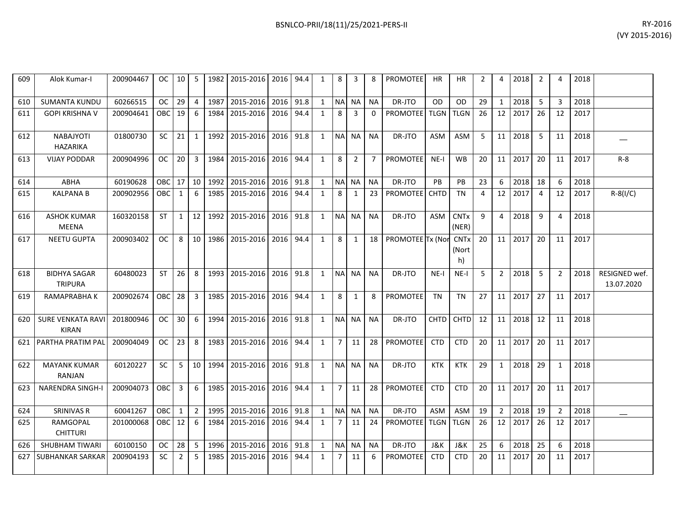| BSNLCO-PRII/18(11)/25/2021-PERS-II | RY-2016 |
|------------------------------------|---------|
|                                    |         |

| 609 | Alok Kumar-I                            | 200904467 | $OC$       | 10 I         | 5              |      | 1982 2015-2016 2016 94.4 |           |      | 1            | 8              | 3              | 8              | <b>PROMOTEE</b>        | HR             | HR                         | 2  | 4              | 2018           | 2              | 4              | 2018 |                             |
|-----|-----------------------------------------|-----------|------------|--------------|----------------|------|--------------------------|-----------|------|--------------|----------------|----------------|----------------|------------------------|----------------|----------------------------|----|----------------|----------------|----------------|----------------|------|-----------------------------|
| 610 | <b>SUMANTA KUNDU</b>                    | 60266515  | <b>OC</b>  | 29           | $\overline{4}$ | 1987 | 2015-2016                | 2016      | 91.8 | 1            | <b>NA</b>      | <b>NA</b>      | <b>NA</b>      | DR-JTO                 | <b>OD</b>      | <b>OD</b>                  | 29 | $\mathbf{1}$   | 2018           | 5              | $\overline{3}$ | 2018 |                             |
| 611 | <b>GOPI KRISHNA V</b>                   | 200904641 | <b>OBC</b> | 19           | 6              | 1984 | 2015-2016                | 2016      | 94.4 | 1            | 8              | 3              | $\Omega$       | PROMOTEE   TLGN   TLGN |                |                            | 26 | 12             | 2017           | 26             | 12             | 2017 |                             |
| 612 | <b>NABAJYOTI</b><br>HAZARIKA            | 01800730  | <b>SC</b>  | 21           | $\mathbf{1}$   | 1992 | 2015-2016                | 2016      | 91.8 | 1            | NA NA          |                | <b>NA</b>      | DR-JTO                 | <b>ASM</b>     | ASM                        | 5  | 11             | 2018           | 5              | 11             | 2018 |                             |
| 613 | <b>VIJAY PODDAR</b>                     | 200904996 | <b>OC</b>  | 20           | 3              | 1984 | 2015-2016                | 2016      | 94.4 | $\mathbf{1}$ | 8              | $\overline{2}$ | $\overline{7}$ | <b>PROMOTEE</b>        | $NE-I$         | <b>WB</b>                  | 20 |                | 11 2017        | 20             | 11             | 2017 | $R - 8$                     |
| 614 | <b>ABHA</b>                             | 60190628  | OBC        | 17           | 10             | 1992 | 2015-2016                | 2016      | 91.8 | 1            | NA NA          |                | <b>NA</b>      | DR-JTO                 | PB             | PB                         | 23 | 6              | 2018           | 18             | 6              | 2018 |                             |
| 615 | <b>KALPANA B</b>                        | 200902956 | OBC        | 1            | 6              | 1985 | 2015-2016                | 2016      | 94.4 | 1            | 8              | 1              | 23             | PROMOTEE CHTD          |                | <b>TN</b>                  | 4  | 12             | 2017           | $\overline{4}$ | 12             | 2017 | $R - 8(1/C)$                |
| 616 | <b>ASHOK KUMAR</b><br>MEENA             | 160320158 | <b>ST</b>  | $\mathbf{1}$ | 12             | 1992 | 2015-2016                | 2016      | 91.8 | 1            |                | NA NA          | NA             | DR-JTO                 | ASM            | <b>CNTx</b><br>(NER)       | 9  | 4              | 2018           | 9              | $\overline{4}$ | 2018 |                             |
| 617 | <b>NEETU GUPTA</b>                      | 200903402 | OC.        | 8            | 10             | 1986 | 2015-2016                | 2016 94.4 |      | $\mathbf{1}$ | 8              | 1              |                | 18 PROMOTEE Tx (Nor    |                | <b>CNTx</b><br>(Nort<br>h) | 20 |                | 11 2017        | 20             | 11             | 2017 |                             |
| 618 | <b>BIDHYA SAGAR</b><br><b>TRIPURA</b>   | 60480023  | <b>ST</b>  | 26           | 8              |      | 1993 2015-2016           | 2016 91.8 |      | 1            | <b>NA</b>      | <b>NA</b>      | <b>NA</b>      | DR-JTO                 | $NE-I$         | NE-I                       | -5 | $\overline{2}$ | 2018           | 5              | $\overline{2}$ | 2018 | RESIGNED wef.<br>13.07.2020 |
| 619 | RAMAPRABHA K                            | 200902674 | OBC I      | 28           | 3              | 1985 | 2015-2016                | 2016      | 94.4 | 1            | 8              | 1              | 8              | <b>PROMOTEE</b>        | <b>TN</b>      | <b>TN</b>                  | 27 |                | 11 2017        | 27             | 11             | 2017 |                             |
| 620 | <b>SURE VENKATA RAV</b><br><b>KIRAN</b> | 201800946 | <b>OC</b>  | 30           | 6              | 1994 | 2015-2016                | 2016 91.8 |      | $\mathbf{1}$ |                | NA NA          | <b>NA</b>      | DR-JTO                 | <b>CHTD</b>    | <b>CHTD</b>                | 12 |                | 11 2018        | 12             | 11             | 2018 |                             |
| 621 | <b>PARTHA PRATIM PAL</b>                | 200904049 | OC         | 23           | 8              |      | 1983 2015-2016           | 2016      | 94.4 | 1            | $\overline{7}$ | 11             | 28             | <b>PROMOTEE</b>        | <b>CTD</b>     | <b>CTD</b>                 | 20 |                | $11 \mid 2017$ | 20             | 11             | 2017 |                             |
| 622 | <b>MAYANK KUMAR</b><br>RANJAN           | 60120227  | <b>SC</b>  | 5            | 10             | 1994 | 2015-2016                | 2016 91.8 |      | 1            |                | NA NA          | <b>NA</b>      | DR-JTO                 | <b>KTK</b>     | KTK                        | 29 | 1              | 2018           | 29             | 1              | 2018 |                             |
| 623 | <b>NARENDRA SINGH-I</b>                 | 200904073 | OBC I      | 3            | 6              | 1985 | 2015-2016                | 2016      | 94.4 | $\mathbf{1}$ | $\overline{7}$ | 11             | 28             | <b>PROMOTEE</b>        | <b>CTD</b>     | <b>CTD</b>                 | 20 | 11             | 2017           | 20             | 11             | 2017 |                             |
| 624 | SRINIVAS R                              | 60041267  | OBC.       | 1            | $2^{\circ}$    | 1995 | 2015-2016                | 2016      | 91.8 | 1            | NA NA          |                | <b>NA</b>      | DR-JTO                 | <b>ASM</b>     | ASM                        | 19 | $\overline{2}$ | 2018           | 19             | $\overline{2}$ | 2018 |                             |
| 625 | RAMGOPAL<br><b>CHITTURI</b>             | 201000068 | OBC I      | 12           | 6              | 1984 | 2015-2016                | 2016      | 94.4 | 1            | $\overline{7}$ | 11             | 24             | <b>PROMOTEEI TLGN</b>  |                | <b>TLGN</b>                | 26 | 12             | 2017           | 26             | 12             | 2017 |                             |
| 626 | SHUBHAM TIWARI                          | 60100150  | OC.        | 28           | 5              | 1996 | 2015-2016 2016           |           | 91.8 | 1            | <b>NA</b>      | <b>NA</b>      | <b>NA</b>      | DR-JTO                 | <b>J&amp;K</b> | J&K                        | 25 | 6              | 2018           | 25             | 6              | 2018 |                             |
| 627 | SUBHANKAR SARKAR                        | 200904193 | SC         | 2            | 5              | 1985 | 2015-2016                | 2016      | 94.4 | 1            | 7              | 11             | -6             | <b>PROMOTEE</b>        | <b>CTD</b>     | <b>CTD</b>                 | 20 | 11             | 2017           | 20             | 11             | 2017 |                             |
|     |                                         |           |            |              |                |      |                          |           |      |              |                |                |                |                        |                |                            |    |                |                |                |                |      |                             |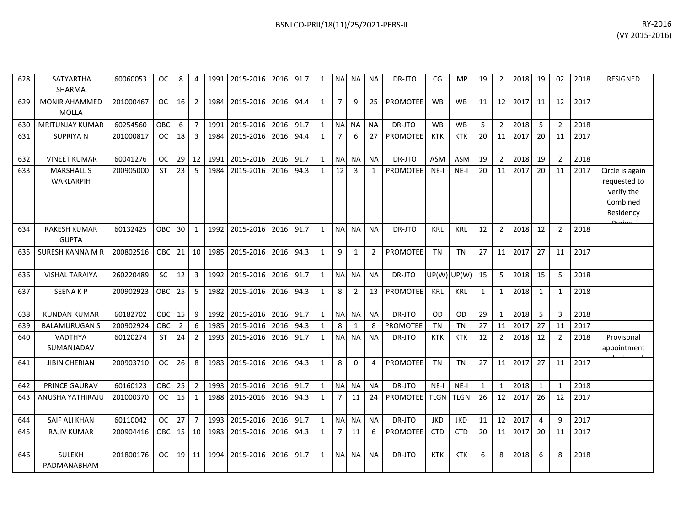| 628 | <b>SATYARTHA</b><br><b>SHARMA</b>    | 60060053  | <b>OC</b>     | 8               | $\overline{4}$ | 1991 | 2015-2016      | 2016 | 91.7 | 1            | <b>NAI</b>     | NA I           | <b>NA</b>      | DR-JTO          | CG            | <b>MP</b>   | 19           | 2              | 2018 | 19           | 02             | 2018 | <b>RESIGNED</b>                                                                  |
|-----|--------------------------------------|-----------|---------------|-----------------|----------------|------|----------------|------|------|--------------|----------------|----------------|----------------|-----------------|---------------|-------------|--------------|----------------|------|--------------|----------------|------|----------------------------------------------------------------------------------|
| 629 | <b>MONIR AHAMMED</b><br><b>MOLLA</b> | 201000467 | <sub>OC</sub> | 16              | $\overline{2}$ | 1984 | 2015-2016      | 2016 | 94.4 | $\mathbf{1}$ | 7 <sup>1</sup> | 9              | 25             | PROMOTEE        | <b>WB</b>     | <b>WB</b>   | 11           | 12             | 2017 | 11           | 12             | 2017 |                                                                                  |
| 630 | <b>MRITUNJAY KUMAR</b>               | 60254560  | OBC           | 6               | $\overline{7}$ | 1991 | 2015-2016      | 2016 | 91.7 | $\mathbf{1}$ |                | NA NA          | <b>NA</b>      | DR-JTO          | <b>WB</b>     | <b>WB</b>   | 5            | $\overline{2}$ | 2018 | 5            | 2              | 2018 |                                                                                  |
| 631 | <b>SUPRIYAN</b>                      | 201000817 | <b>OC</b>     | 18              | $\overline{3}$ | 1984 | 2015-2016      | 2016 | 94.4 | $\mathbf{1}$ | $7^{\circ}$    | 6              | 27             | <b>PROMOTEE</b> | KTK           | <b>KTK</b>  | 20           | 11             | 2017 | 20           | 11             | 2017 |                                                                                  |
| 632 | <b>VINEET KUMAR</b>                  | 60041276  | <b>OC</b>     | 29              | 12             | 1991 | 2015-2016 2016 |      | 91.7 | $\mathbf{1}$ | <b>NA</b>      | <b>NA</b>      | <b>NA</b>      | DR-JTO          | <b>ASM</b>    | <b>ASM</b>  | 19           | $\overline{2}$ | 2018 | 19           | $\overline{2}$ | 2018 |                                                                                  |
| 633 | <b>MARSHALL S</b><br>WARLARPIH       | 200905000 | <b>ST</b>     | 23              | 5              | 1984 | 2015-2016      | 2016 | 94.3 | $\mathbf{1}$ | 12             | $\overline{3}$ | 1              | <b>PROMOTEE</b> | $NE-I$        | $NE-I$      | 20           | 11             | 2017 | 20           | 11             | 2017 | Circle is again<br>requested to<br>verify the<br>Combined<br>Residency<br>Doriod |
| 634 | <b>RAKESH KUMAR</b><br><b>GUPTA</b>  | 60132425  | OBC           | 30 <sup>°</sup> | $\mathbf{1}$   | 1992 | 2015-2016      | 2016 | 91.7 | $\mathbf{1}$ | <b>NAI</b>     | <b>NA</b>      | <b>NA</b>      | DR-JTO          | KRL           | <b>KRL</b>  | 12           | $\overline{2}$ | 2018 | 12           | $\overline{2}$ | 2018 |                                                                                  |
| 635 | SURESH KANNA M R                     | 200802516 | OBC           | 21              | 10             | 1985 | 2015-2016      | 2016 | 94.3 | $\mathbf{1}$ | 9              | 1              | $\overline{2}$ | <b>PROMOTEE</b> | <b>TN</b>     | <b>TN</b>   | 27           | 11             | 2017 | 27           | 11             | 2017 |                                                                                  |
| 636 | <b>VISHAL TARAIYA</b>                | 260220489 | <b>SC</b>     | 12              | $\overline{3}$ | 1992 | 2015-2016 2016 |      | 91.7 | $\mathbf{1}$ | <b>NA</b>      | <b>NA</b>      | <b>NA</b>      | DR-JTO          | $UP(W)$ UP(W) |             | 15           | 5              | 2018 | 15           | 5              | 2018 |                                                                                  |
| 637 | <b>SEENAKP</b>                       | 200902923 | OBC           | 25              | 5              | 1982 | 2015-2016      | 2016 | 94.3 | $\mathbf{1}$ | 8              | $\overline{2}$ | 13             | PROMOTEE        | <b>KRL</b>    | <b>KRL</b>  | $\mathbf{1}$ | 1              | 2018 | 1            | -1             | 2018 |                                                                                  |
| 638 | <b>KUNDAN KUMAR</b>                  | 60182702  | OBC           | 15              | 9              | 1992 | 2015-2016      | 2016 | 91.7 | $\mathbf{1}$ | NA             | <b>NA</b>      | <b>NA</b>      | DR-JTO          | OD            | <b>OD</b>   | 29           | $\mathbf{1}$   | 2018 | 5            | 3              | 2018 |                                                                                  |
| 639 | <b>BALAMURUGAN S</b>                 | 200902924 | OBC           | $\overline{2}$  | 6              | 1985 | 2015-2016      | 2016 | 94.3 | $\mathbf{1}$ | 8              | $\mathbf{1}$   | 8              | <b>PROMOTEE</b> | <b>TN</b>     | <b>TN</b>   | 27           | 11             | 2017 | 27           | 11             | 2017 |                                                                                  |
| 640 | VADTHYA<br>SUMANJADAV                | 60120274  | <b>ST</b>     | 24              | $\overline{2}$ | 1993 | 2015-2016      | 2016 | 91.7 | $\mathbf{1}$ | <b>NAI</b>     | <b>NA</b>      | <b>NA</b>      | DR-JTO          | <b>KTK</b>    | <b>KTK</b>  | 12           | $\overline{2}$ | 2018 | 12           | 2              | 2018 | Provisonal<br>appointment                                                        |
| 641 | <b>JIBIN CHERIAN</b>                 | 200903710 | <b>OC</b>     | 26              | 8              | 1983 | 2015-2016      | 2016 | 94.3 | $\mathbf{1}$ | 8              | $\Omega$       | 4              | <b>PROMOTEE</b> | <b>TN</b>     | <b>TN</b>   | 27           | 11             | 2017 | 27           | 11             | 2017 |                                                                                  |
| 642 | PRINCE GAURAV                        | 60160123  | OBC           | 25              | $\overline{2}$ | 1993 | 2015-2016      | 2016 | 91.7 | $\mathbf{1}$ | NA             | <b>NA</b>      | <b>NA</b>      | DR-JTO          | $NE-I$        | $NE-I$      | $\mathbf{1}$ | $\mathbf{1}$   | 2018 | $\mathbf{1}$ | $\overline{1}$ | 2018 |                                                                                  |
| 643 | ANUSHA YATHIRAJU                     | 201000370 | <b>OC</b>     | 15              | 1              | 1988 | 2015-2016      | 2016 | 94.3 | $\mathbf{1}$ | $\overline{7}$ | 11             | 24             | <b>PROMOTEE</b> | <b>TLGN</b>   | <b>TLGN</b> | 26           | 12             | 2017 | 26           | 12             | 2017 |                                                                                  |
| 644 | <b>SAIF ALI KHAN</b>                 | 60110042  | <b>OC</b>     | 27              | $\overline{7}$ | 1993 | 2015-2016      | 2016 | 91.7 | $\mathbf{1}$ | <b>NAI</b>     | <b>NA</b>      | <b>NA</b>      | DR-JTO          | <b>JKD</b>    | <b>JKD</b>  | 11           | 12             | 2017 | 4            | q              | 2017 |                                                                                  |
| 645 | <b>RAJIV KUMAR</b>                   | 200904416 | OBC           | 15              | 10             | 1983 | 2015-2016      | 2016 | 94.3 | $\mathbf{1}$ | 7 <sup>1</sup> | 11             | 6              | PROMOTEE        | <b>CTD</b>    | <b>CTD</b>  | 20           | 11             | 2017 | 20           | 11             | 2017 |                                                                                  |
| 646 | <b>SULEKH</b><br>PADMANABHAM         | 201800176 | <b>OC</b>     | 19              | 11             | 1994 | 2015-2016      | 2016 | 91.7 | $\mathbf{1}$ | <b>NA</b>      | <b>NA</b>      | <b>NA</b>      | DR-JTO          | <b>KTK</b>    | <b>KTK</b>  | 6            | 8              | 2018 | 6            | 8              | 2018 |                                                                                  |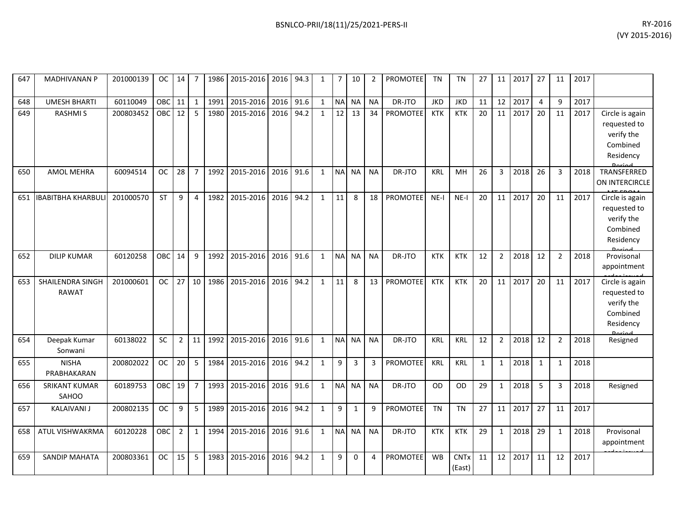| 647 | <b>MADHIVANAN P</b>              | 201000139 | OC.        | 14             | 7              |      | 1986 2015-2016 2016 |      | 94.3 | $\mathbf{1}$ | $\overline{7}$ | 10           | 2         | PROMOTEE        | TN         | TN                    | 27           |                | $11 \mid 2017$ | 27             | 11             | 2017 |                                                                                  |
|-----|----------------------------------|-----------|------------|----------------|----------------|------|---------------------|------|------|--------------|----------------|--------------|-----------|-----------------|------------|-----------------------|--------------|----------------|----------------|----------------|----------------|------|----------------------------------------------------------------------------------|
| 648 | <b>UMESH BHARTI</b>              | 60110049  | <b>OBC</b> | 11             | $\mathbf{1}$   | 1991 | 2015-2016           | 2016 | 91.6 | $\mathbf{1}$ | <b>NA</b>      | <b>NA</b>    | <b>NA</b> | DR-JTO          | <b>JKD</b> | <b>JKD</b>            | 11           | 12             | 2017           | $\overline{4}$ | q              | 2017 |                                                                                  |
| 649 | <b>RASHMIS</b>                   | 200803452 | <b>OBC</b> | 12             | 5              | 1980 | 2015-2016           | 2016 | 94.2 | $\mathbf{1}$ | 12             | 13           | 34        | PROMOTEE        | <b>KTK</b> | <b>KTK</b>            | 20           | 11             | 2017           | 20             | 11             | 2017 | Circle is again<br>requested to<br>verify the<br>Combined<br>Residency           |
| 650 | AMOL MEHRA                       | 60094514  | <b>OC</b>  | 28             | $\overline{7}$ | 1992 | 2015-2016           | 2016 | 91.6 | 1            | <b>NA</b>      | <b>NA</b>    | <b>NA</b> | DR-JTO          | <b>KRL</b> | MH                    | 26           | 3              | 2018           | 26             | 3              | 2018 | TRANSFERRED<br>ON INTERCIRCLE                                                    |
|     | 651   IBABITBHA KHARBULI         | 201000570 | <b>ST</b>  | 9              | 4              | 1982 | 2015-2016 2016      |      | 94.2 | $\mathbf{1}$ | 11             | 8            | 18        | PROMOTEE        | $NE-I$     | $NE-I$                | 20           | 11             | 2017           | 20             | 11             | 2017 | Circle is again<br>requested to<br>verify the<br>Combined<br>Residency<br>Doriod |
| 652 | <b>DILIP KUMAR</b>               | 60120258  | <b>OBC</b> | 14             | 9              | 1992 | 2015-2016 2016      |      | 91.6 | $\mathbf{1}$ | <b>NA</b>      | <b>NA</b>    | <b>NA</b> | DR-JTO          | <b>KTK</b> | <b>KTK</b>            | 12           | $\overline{2}$ | 2018           | 12             | $\overline{2}$ | 2018 | Provisonal<br>appointment                                                        |
| 653 | SHAILENDRA SINGH<br><b>RAWAT</b> | 201000601 | <b>OC</b>  | 27             | 10             | 1986 | 2015-2016           | 2016 | 94.2 | $\mathbf{1}$ | 11             | 8            | 13        | PROMOTEE        | <b>KTK</b> | <b>KTK</b>            | 20           | 11             | 2017           | 20             | 11             | 2017 | Circle is again<br>requested to<br>verify the<br>Combined<br>Residency           |
| 654 | Deepak Kumar<br>Sonwani          | 60138022  | SC         | $\overline{2}$ | 11             | 1992 | 2015-2016           | 2016 | 91.6 | $\mathbf{1}$ | <b>NA</b>      | <b>NA</b>    | <b>NA</b> | DR-JTO          | <b>KRL</b> | <b>KRL</b>            | 12           | $\overline{2}$ | 2018           | 12             | $\overline{2}$ | 2018 | Resigned                                                                         |
| 655 | <b>NISHA</b><br>PRABHAKARAN      | 200802022 | <b>OC</b>  | 20             | 5              | 1984 | 2015-2016 2016      |      | 94.2 | $\mathbf{1}$ | 9              | 3            | 3         | PROMOTEE        | KRL        | <b>KRL</b>            | $\mathbf{1}$ | $\mathbf{1}$   | 2018           | 1              | 1              | 2018 |                                                                                  |
| 656 | <b>SRIKANT KUMAR</b><br>SAHOO    | 60189753  | <b>OBC</b> | 19             | $\overline{7}$ | 1993 | 2015-2016 2016      |      | 91.6 | $\mathbf{1}$ | NA             | <b>NA</b>    | <b>NA</b> | DR-JTO          | <b>OD</b>  | <b>OD</b>             | 29           | $\mathbf{1}$   | 2018           | 5              | 3              | 2018 | Resigned                                                                         |
| 657 | <b>KALAIVANI J</b>               | 200802135 | <b>OC</b>  | 9              | 5              | 1989 | 2015-2016           | 2016 | 94.2 | $\mathbf{1}$ | 9              | $\mathbf{1}$ | 9         | <b>PROMOTEE</b> | <b>TN</b>  | <b>TN</b>             | 27           | 11             | 2017           | 27             | 11             | 2017 |                                                                                  |
| 658 | ATUL VISHWAKRMA                  | 60120228  | <b>OBC</b> | $\overline{2}$ | $\mathbf{1}$   |      | 1994 2015-2016 2016 |      | 91.6 | $\mathbf{1}$ | <b>NA</b>      | NA I         | <b>NA</b> | DR-JTO          | <b>KTK</b> | <b>KTK</b>            | 29           | $\mathbf{1}$   | 2018           | 29             | 1              | 2018 | Provisonal<br>appointment                                                        |
| 659 | <b>SANDIP MAHATA</b>             | 200803361 | <b>OC</b>  | 15             | 5              | 1983 | 2015-2016           | 2016 | 94.2 | $\mathbf{1}$ | 9              | $\Omega$     | 4         | PROMOTEE        | <b>WB</b>  | <b>CNTx</b><br>(East) | 11           | 12             | 2017           | 11             | 12             | 2017 |                                                                                  |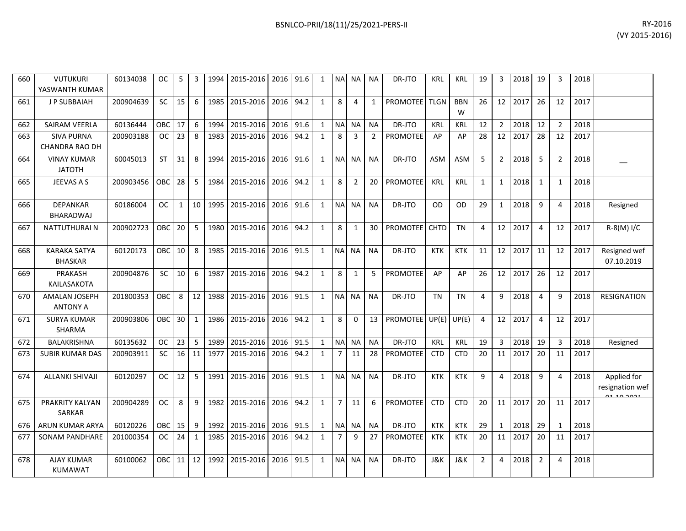| 660 | <b>VUTUKURI</b><br>YASWANTH KUMAR       | 60134038  | <b>OC</b>     | 5            | 3            | 1994 | 2015-2016 | 2016 | 91.6 | 1            | <b>NAI</b>     | NA I           | <b>NA</b>      | DR-JTO          | <b>KRL</b>     | <b>KRL</b>      | 19             | 3              | 2018 | 19             | 3            | 2018 |                                |
|-----|-----------------------------------------|-----------|---------------|--------------|--------------|------|-----------|------|------|--------------|----------------|----------------|----------------|-----------------|----------------|-----------------|----------------|----------------|------|----------------|--------------|------|--------------------------------|
| 661 | <b>JP SUBBAIAH</b>                      | 200904639 | SC            | 15           | 6            | 1985 | 2015-2016 | 2016 | 94.2 | $\mathbf{1}$ | 8              | 4              | 1              | <b>PROMOTEE</b> | <b>TLGN</b>    | <b>BBN</b><br>W | 26             | 12             | 2017 | 26             | 12           | 2017 |                                |
| 662 | <b>SAIRAM VEERLA</b>                    | 60136444  | OBC           | 17           | 6            | 1994 | 2015-2016 | 2016 | 91.6 | $\mathbf{1}$ |                | NA NA          | <b>NA</b>      | DR-JTO          | KRL            | KRL             | 12             | $\overline{2}$ | 2018 | 12             | 2            | 2018 |                                |
| 663 | <b>SIVA PURNA</b><br>CHANDRA RAO DH     | 200903188 | OC            | 23           | 8            | 1983 | 2015-2016 | 2016 | 94.2 | $\mathbf{1}$ | 8              | 3              | $\overline{2}$ | <b>PROMOTEE</b> | AP             | AP              | 28             | 12             | 2017 | 28             | 12           | 2017 |                                |
| 664 | <b>VINAY KUMAR</b><br><b>JATOTH</b>     | 60045013  | <b>ST</b>     | 31           | 8            | 1994 | 2015-2016 | 2016 | 91.6 | $\mathbf{1}$ | <b>NAI</b>     | <b>NA</b>      | <b>NA</b>      | DR-JTO          | ASM            | <b>ASM</b>      | 5              | $\overline{2}$ | 2018 | 5              | 2            | 2018 |                                |
| 665 | JEEVAS A S                              | 200903456 | OBC           | 28           | 5            | 1984 | 2015-2016 | 2016 | 94.2 | $\mathbf{1}$ | 8              | $\overline{2}$ | 20             | <b>PROMOTEE</b> | <b>KRL</b>     | <b>KRL</b>      | $\mathbf{1}$   | $\mathbf{1}$   | 2018 | $\mathbf{1}$   | $\mathbf{1}$ | 2018 |                                |
| 666 | <b>DEPANKAR</b><br><b>BHARADWAJ</b>     | 60186004  | <b>OC</b>     | $\mathbf{1}$ | 10           | 1995 | 2015-2016 | 2016 | 91.6 | $\mathbf{1}$ | <b>NA</b>      | <b>NA</b>      | <b>NA</b>      | DR-JTO          | OD             | <b>OD</b>       | 29             | $\mathbf{1}$   | 2018 | 9              | Δ            | 2018 | Resigned                       |
| 667 | NATTUTHURAI N                           | 200902723 | <b>OBC</b>    | 20           | 5            | 1980 | 2015-2016 | 2016 | 94.2 | $\mathbf{1}$ | 8              | $\mathbf{1}$   | 30             | <b>PROMOTEE</b> | <b>CHTD</b>    | <b>TN</b>       | $\overline{4}$ | 12             | 2017 | $\overline{4}$ | 12           | 2017 | R-8(M) I/C                     |
| 668 | <b>KARAKA SATYA</b><br><b>BHASKAR</b>   | 60120173  | <b>OBC</b>    | 10           | 8            | 1985 | 2015-2016 | 2016 | 91.5 | $\mathbf{1}$ | <b>NA</b>      | <b>NA</b>      | <b>NA</b>      | DR-JTO          | <b>KTK</b>     | <b>KTK</b>      | 11             | 12             | 2017 | 11             | 12           | 2017 | Resigned wef<br>07.10.2019     |
| 669 | <b>PRAKASH</b><br>KAILASAKOTA           | 200904876 | <b>SC</b>     | 10           | 6            | 1987 | 2015-2016 | 2016 | 94.2 | $\mathbf{1}$ | 8              | $\mathbf{1}$   | 5              | <b>PROMOTEE</b> | AP             | AP              | 26             | 12             | 2017 | 26             | 12           | 2017 |                                |
| 670 | <b>AMALAN JOSEPH</b><br><b>ANTONY A</b> | 201800353 | OBC           | 8            | 12           | 1988 | 2015-2016 | 2016 | 91.5 | $\mathbf{1}$ | NA             | <b>NA</b>      | <b>NA</b>      | DR-JTO          | <b>TN</b>      | <b>TN</b>       | $\overline{4}$ | 9              | 2018 | 4              | q            | 2018 | <b>RESIGNATION</b>             |
| 671 | <b>SURYA KUMAR</b><br><b>SHARMA</b>     | 200903806 | OBC           | 30           | $\mathbf{1}$ | 1986 | 2015-2016 | 2016 | 94.2 | $\mathbf{1}$ | 8              | $\Omega$       | 13             | <b>PROMOTEE</b> | UP(E)          | UP(E)           | $\overline{4}$ | 12             | 2017 | 4              | 12           | 2017 |                                |
| 672 | <b>BALAKRISHNA</b>                      | 60135632  | <sub>OC</sub> | 23           | 5            | 1989 | 2015-2016 | 2016 | 91.5 | $\mathbf{1}$ | <b>NA</b>      | <b>NA</b>      | <b>NA</b>      | DR-JTO          | <b>KRL</b>     | <b>KRL</b>      | 19             | 3              | 2018 | 19             | 3            | 2018 | Resigned                       |
| 673 | <b>SUBIR KUMAR DAS</b>                  | 200903911 | <b>SC</b>     | 16           | 11           | 1977 | 2015-2016 | 2016 | 94.2 | $\mathbf{1}$ | 7              | 11             | 28             | <b>PROMOTEE</b> | <b>CTD</b>     | <b>CTD</b>      | 20             | 11             | 2017 | 20             | 11           | 2017 |                                |
| 674 | <b>ALLANKI SHIVAJI</b>                  | 60120297  | <b>OC</b>     | 12           | 5            | 1991 | 2015-2016 | 2016 | 91.5 | $\mathbf{1}$ | <b>NA</b>      | <b>NA</b>      | <b>NA</b>      | DR-JTO          | <b>KTK</b>     | <b>KTK</b>      | 9              | 4              | 2018 | 9              | 4            | 2018 | Applied for<br>resignation wef |
| 675 | PRAKRITY KALYAN<br><b>SARKAR</b>        | 200904289 | <b>OC</b>     | 8            | 9            | 1982 | 2015-2016 | 2016 | 94.2 | $\mathbf{1}$ | $\overline{7}$ | 11             | 6              | <b>PROMOTEE</b> | <b>CTD</b>     | <b>CTD</b>      | 20             | 11             | 2017 | 20             | 11           | 2017 |                                |
| 676 | <b>ARUN KUMAR ARYA</b>                  | 60120226  | OBC           | 15           | 9            | 1992 | 2015-2016 | 2016 | 91.5 | $\mathbf{1}$ | <b>NA</b>      | <b>NA</b>      | <b>NA</b>      | DR-JTO          | <b>KTK</b>     | <b>KTK</b>      | 29             | 1              | 2018 | 29             | $\mathbf{1}$ | 2018 |                                |
| 677 | SONAM PANDHARE                          | 201000354 | <b>OC</b>     | 24           | $\mathbf{1}$ | 1985 | 2015-2016 | 2016 | 94.2 | $\mathbf{1}$ | $\overline{7}$ | 9              | 27             | PROMOTEE        | <b>KTK</b>     | <b>KTK</b>      | 20             | 11             | 2017 | 20             | 11           | 2017 |                                |
| 678 | <b>AJAY KUMAR</b><br><b>KUMAWAT</b>     | 60100062  | <b>OBC</b>    | 11           | 12           | 1992 | 2015-2016 | 2016 | 91.5 | $\mathbf{1}$ | <b>NA</b>      | <b>NA</b>      | <b>NA</b>      | DR-JTO          | <b>J&amp;K</b> | <b>J&amp;K</b>  | $\overline{2}$ | $\Delta$       | 2018 | $\overline{2}$ | Δ            | 2018 |                                |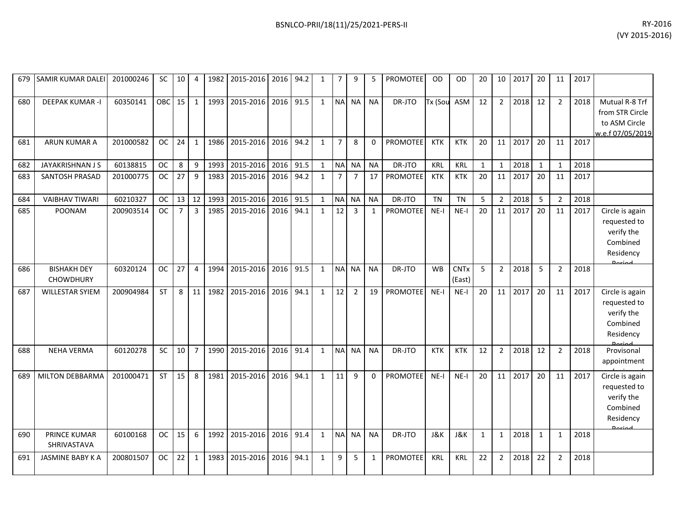| RY-2016        |
|----------------|
| (VY 2015-2016) |

| 679 | SAMIR KUMAR DALEI                      | 201000246 | <b>SC</b> | 10             | $\overline{4}$ | 1982 | 2015-2016 | 2016 | 94.2 | 1            | $\overline{7}$ | 9              | 5            | <b>PROMOTEE</b> | OD             | OD                    | 20           | 10             | 2017 | 20           | 11             | 2017 |                                                                                   |
|-----|----------------------------------------|-----------|-----------|----------------|----------------|------|-----------|------|------|--------------|----------------|----------------|--------------|-----------------|----------------|-----------------------|--------------|----------------|------|--------------|----------------|------|-----------------------------------------------------------------------------------|
| 680 | <b>DEEPAK KUMAR -I</b>                 | 60350141  | OBC       | 15             | 1              | 1993 | 2015-2016 | 2016 | 91.5 | $\mathbf{1}$ | <b>NA</b>      | <b>NA</b>      | <b>NA</b>    | DR-JTO          | Tx (Sou        | ASM                   | 12           | $\overline{2}$ | 2018 | 12           | 2              | 2018 | Mutual R-8 Trf<br>from STR Circle<br>to ASM Circle<br>w.e.f 07/05/2019            |
| 681 | ARUN KUMAR A                           | 201000582 | <b>OC</b> | 24             | $\mathbf{1}$   | 1986 | 2015-2016 | 2016 | 94.2 | $\mathbf{1}$ | $\overline{7}$ | 8              | $\Omega$     | <b>PROMOTEE</b> | <b>KTK</b>     | <b>KTK</b>            | 20           | 11             | 2017 | 20           | 11             | 2017 |                                                                                   |
| 682 | JAYAKRISHNAN J S                       | 60138815  | <b>OC</b> | 8              | 9              | 1993 | 2015-2016 | 2016 | 91.5 | $\mathbf{1}$ | <b>NA</b>      | <b>NA</b>      | <b>NA</b>    | DR-JTO          | <b>KRL</b>     | <b>KRL</b>            | 1            | 1              | 2018 | $\mathbf{1}$ | $\mathbf{1}$   | 2018 |                                                                                   |
| 683 | SANTOSH PRASAD                         | 201000775 | <b>OC</b> | 27             | 9              | 1983 | 2015-2016 | 2016 | 94.2 | $\mathbf{1}$ | $\overline{7}$ | $\overline{7}$ | 17           | <b>PROMOTEE</b> | <b>KTK</b>     | <b>KTK</b>            | 20           | 11             | 2017 | 20           | 11             | 2017 |                                                                                   |
| 684 | <b>VAIBHAV TIWARI</b>                  | 60210327  | <b>OC</b> | 13             | 12             | 1993 | 2015-2016 | 2016 | 91.5 | $\mathbf{1}$ | <b>NA</b>      | <b>NA</b>      | <b>NA</b>    | DR-JTO          | <b>TN</b>      | <b>TN</b>             | 5            | $\overline{2}$ | 2018 | 5            | $\overline{2}$ | 2018 |                                                                                   |
| 685 | <b>POONAM</b>                          | 200903514 | <b>OC</b> | $\overline{7}$ | $\overline{3}$ | 1985 | 2015-2016 | 2016 | 94.1 | $\mathbf{1}$ | 12             | 3              | $\mathbf{1}$ | <b>PROMOTEE</b> | $NE-I$         | $NE-I$                | 20           | 11             | 2017 | 20           | 11             | 2017 | Circle is again<br>requested to<br>verify the<br>Combined<br>Residency<br>لممنعمه |
| 686 | <b>BISHAKH DEY</b><br><b>CHOWDHURY</b> | 60320124  | <b>OC</b> | 27             | $\overline{4}$ | 1994 | 2015-2016 | 2016 | 91.5 | $\mathbf{1}$ | <b>NA</b>      | <b>NA</b>      | <b>NA</b>    | DR-JTO          | <b>WB</b>      | <b>CNTx</b><br>(East) | 5            | 2              | 2018 | 5            | $\overline{2}$ | 2018 |                                                                                   |
| 687 | <b>WILLESTAR SYIEM</b>                 | 200904984 | <b>ST</b> | 8              | 11             | 1982 | 2015-2016 | 2016 | 94.1 | $\mathbf{1}$ | 12             | $\overline{2}$ | 19           | <b>PROMOTEE</b> | $NE-I$         | $NE-I$                | 20           | 11             | 2017 | 20           | 11             | 2017 | Circle is again<br>requested to<br>verify the<br>Combined<br>Residency            |
| 688 | <b>NEHA VERMA</b>                      | 60120278  | SC        | 10             | $\overline{7}$ | 1990 | 2015-2016 | 2016 | 91.4 | $\mathbf{1}$ | <b>NA</b>      | <b>NA</b>      | <b>NA</b>    | DR-JTO          | <b>KTK</b>     | <b>KTK</b>            | 12           | $\overline{2}$ | 2018 | 12           | $\overline{2}$ | 2018 | Provisonal<br>appointment                                                         |
| 689 | MILTON DEBBARMA                        | 201000471 | <b>ST</b> | 15             | 8              | 1981 | 2015-2016 | 2016 | 94.1 | $\mathbf{1}$ | 11             | 9              | $\Omega$     | <b>PROMOTEE</b> | $NE-I$         | $NE-I$                | 20           | 11             | 2017 | 20           | 11             | 2017 | Circle is again<br>requested to<br>verify the<br>Combined<br>Residency<br>Doriad  |
| 690 | <b>PRINCE KUMAR</b><br>SHRIVASTAVA     | 60100168  | <b>OC</b> | 15             | 6              | 1992 | 2015-2016 | 2016 | 91.4 | $\mathbf{1}$ | <b>NA</b>      | <b>NA</b>      | <b>NA</b>    | DR-JTO          | <b>J&amp;K</b> | J&K                   | $\mathbf{1}$ | $\mathbf{1}$   | 2018 | $\mathbf{1}$ | $\mathbf{1}$   | 2018 |                                                                                   |
| 691 | <b>JASMINE BABY K A</b>                | 200801507 | <b>OC</b> | 22             | $\mathbf{1}$   | 1983 | 2015-2016 | 2016 | 94.1 | $\mathbf{1}$ | 9              | 5              | $\mathbf{1}$ | <b>PROMOTEE</b> | KRL            | <b>KRL</b>            | 22           | $\overline{2}$ | 2018 | 22           | $\overline{2}$ | 2018 |                                                                                   |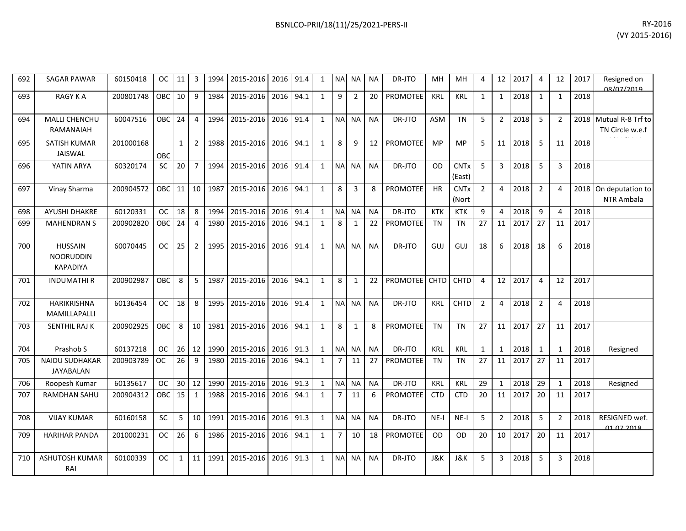| 692 | <b>SAGAR PAWAR</b>                                    | 60150418  | <b>OC</b> | 11           | 3              | 1994 | 2015-2016 | 2016 | 91.4 | $\mathbf{1}$ | <b>NA</b>      | <b>NA</b>      | <b>NA</b> | DR-JTO          | MH          | <b>MH</b>             | 4              | 12             | 2017 | $\overline{4}$ | 12             | 2017 | Resigned on<br>08/07/2019            |
|-----|-------------------------------------------------------|-----------|-----------|--------------|----------------|------|-----------|------|------|--------------|----------------|----------------|-----------|-----------------|-------------|-----------------------|----------------|----------------|------|----------------|----------------|------|--------------------------------------|
| 693 | <b>RAGY KA</b>                                        | 200801748 | OBC       | 10           | 9              | 1984 | 2015-2016 | 2016 | 94.1 | $\mathbf{1}$ | 9              | $\overline{2}$ | 20        | <b>PROMOTEE</b> | <b>KRL</b>  | <b>KRL</b>            | $\mathbf{1}$   | $\mathbf{1}$   | 2018 | 1              | $\mathbf{1}$   | 2018 |                                      |
| 694 | MALLI CHENCHU<br>RAMANAIAH                            | 60047516  | OBC       | 24           | $\overline{4}$ | 1994 | 2015-2016 | 2016 | 91.4 | $\mathbf{1}$ | <b>NA</b>      | <b>NA</b>      | <b>NA</b> | DR-JTO          | <b>ASM</b>  | <b>TN</b>             | 5              | $\overline{2}$ | 2018 | 5              | $\overline{2}$ | 2018 | Mutual R-8 Trf to<br>TN Circle w.e.f |
| 695 | <b>SATISH KUMAR</b><br>JAISWAL                        | 201000168 | OBC       | $\mathbf{1}$ | $\overline{2}$ | 1988 | 2015-2016 | 2016 | 94.1 | $\mathbf{1}$ | 8              | 9              | 12        | <b>PROMOTEE</b> | MP          | <b>MP</b>             | 5              | 11             | 2018 | 5              | 11             | 2018 |                                      |
| 696 | YATIN ARYA                                            | 60320174  | <b>SC</b> | 20           | $\overline{7}$ | 1994 | 2015-2016 | 2016 | 91.4 | $\mathbf{1}$ | <b>NA</b>      | <b>NA</b>      | <b>NA</b> | DR-JTO          | <b>OD</b>   | <b>CNTx</b><br>(East) | 5              | 3              | 2018 | 5              | 3              | 2018 |                                      |
| 697 | Vinay Sharma                                          | 200904572 | OBC       | 11           | 10             | 1987 | 2015-2016 | 2016 | 94.1 | $\mathbf{1}$ | 8              | 3              | 8         | <b>PROMOTEE</b> | <b>HR</b>   | <b>CNTx</b><br>(Nort  | $\overline{2}$ | 4              | 2018 | $\overline{2}$ | 4              | 2018 | On deputation to<br>NTR Ambala       |
| 698 | <b>AYUSHI DHAKRE</b>                                  | 60120331  | <b>OC</b> | 18           | 8              | 1994 | 2015-2016 | 2016 | 91.4 | $\mathbf{1}$ | <b>NA</b>      | <b>NA</b>      | <b>NA</b> | DR-JTO          | <b>KTK</b>  | <b>KTK</b>            | 9              | 4              | 2018 | 9              | 4              | 2018 |                                      |
| 699 | <b>MAHENDRAN S</b>                                    | 200902820 | OBC       | 24           | $\overline{4}$ | 1980 | 2015-2016 | 2016 | 94.1 | $\mathbf{1}$ | 8              | 1              | 22        | PROMOTEE        | <b>TN</b>   | <b>TN</b>             | 27             | 11             | 2017 | 27             | 11             | 2017 |                                      |
| 700 | <b>HUSSAIN</b><br><b>NOORUDDIN</b><br><b>KAPADIYA</b> | 60070445  | <b>OC</b> | 25           | $\overline{2}$ | 1995 | 2015-2016 | 2016 | 91.4 | $\mathbf{1}$ | <b>NA</b>      | <b>NA</b>      | <b>NA</b> | DR-JTO          | GUJ         | GUJ                   | 18             | 6              | 2018 | 18             | 6              | 2018 |                                      |
| 701 | <b>INDUMATHIR</b>                                     | 200902987 | OBC       | 8            | 5              | 1987 | 2015-2016 | 2016 | 94.1 | $\mathbf{1}$ | 8              | 1              | 22        | <b>PROMOTEE</b> | <b>CHTD</b> | CHTD                  | 4              | 12             | 2017 | 4              | 12             | 2017 |                                      |
| 702 | HARIKRISHNA<br>MAMILLAPALLI                           | 60136454  | <b>OC</b> | 18           | 8              | 1995 | 2015-2016 | 2016 | 91.4 | $\mathbf{1}$ | <b>NA</b>      | <b>NA</b>      | <b>NA</b> | DR-JTO          | <b>KRL</b>  | CHTD                  | $\overline{2}$ | 4              | 2018 | $\overline{2}$ | 4              | 2018 |                                      |
| 703 | <b>SENTHIL RAJ K</b>                                  | 200902925 | OBC       | 8            | 10             | 1981 | 2015-2016 | 2016 | 94.1 | $\mathbf{1}$ | 8              | 1              | 8         | PROMOTEE        | <b>TN</b>   | <b>TN</b>             | 27             | 11             | 2017 | 27             | 11             | 2017 |                                      |
| 704 | Prashob S                                             | 60137218  | <b>OC</b> | 26           | 12             | 1990 | 2015-2016 | 2016 | 91.3 | $\mathbf{1}$ | <b>NA</b>      | <b>NA</b>      | <b>NA</b> | DR-JTO          | <b>KRL</b>  | <b>KRL</b>            | 1              | 1              | 2018 | 1              | 1              | 2018 | Resigned                             |
| 705 | <b>NAIDU SUDHAKAR</b><br><b>JAYABALAN</b>             | 200903789 | <b>OC</b> | 26           | 9              | 1980 | 2015-2016 | 2016 | 94.1 | $\mathbf{1}$ | $\overline{7}$ | 11             | 27        | <b>PROMOTEE</b> | <b>TN</b>   | <b>TN</b>             | 27             | 11             | 2017 | 27             | 11             | 2017 |                                      |
| 706 | Roopesh Kumar                                         | 60135617  | <b>OC</b> | 30           | 12             | 1990 | 2015-2016 | 2016 | 91.3 | $\mathbf{1}$ | <b>NA</b>      | <b>NA</b>      | <b>NA</b> | DR-JTO          | <b>KRL</b>  | <b>KRL</b>            | 29             | $\mathbf{1}$   | 2018 | 29             | $\mathbf{1}$   | 2018 | Resigned                             |
| 707 | <b>RAMDHAN SAHU</b>                                   | 200904312 | OBC       | 15           | $\mathbf{1}$   | 1988 | 2015-2016 | 2016 | 94.1 | $\mathbf{1}$ | $\overline{7}$ | 11             | 6         | <b>PROMOTEE</b> | <b>CTD</b>  | <b>CTD</b>            | 20             | 11             | 2017 | 20             | 11             | 2017 |                                      |
| 708 | <b>VIJAY KUMAR</b>                                    | 60160158  | <b>SC</b> | 5            | 10             | 1991 | 2015-2016 | 2016 | 91.3 | $\mathbf{1}$ | <b>NA</b>      | <b>NA</b>      | <b>NA</b> | DR-JTO          | $NE-I$      | $NE-I$                | 5              | $\overline{2}$ | 2018 | 5              | $\overline{2}$ | 2018 | RESIGNED wef.<br>01.07.2018          |
| 709 | <b>HARIHAR PANDA</b>                                  | 201000231 | <b>OC</b> | 26           | 6              | 1986 | 2015-2016 | 2016 | 94.1 | $\mathbf{1}$ | $\overline{7}$ | 10             | 18        | PROMOTEE        | <b>OD</b>   | <b>OD</b>             | 20             | 10             | 2017 | 20             | 11             | 2017 |                                      |
| 710 | <b>ASHUTOSH KUMAR</b><br>RAI                          | 60100339  | <b>OC</b> | $\mathbf{1}$ | 11             | 1991 | 2015-2016 | 2016 | 91.3 | $\mathbf{1}$ | <b>NA</b>      | <b>NA</b>      | <b>NA</b> | DR-JTO          | J&K         | J&K                   | 5              | 3              | 2018 | 5              | 3              | 2018 |                                      |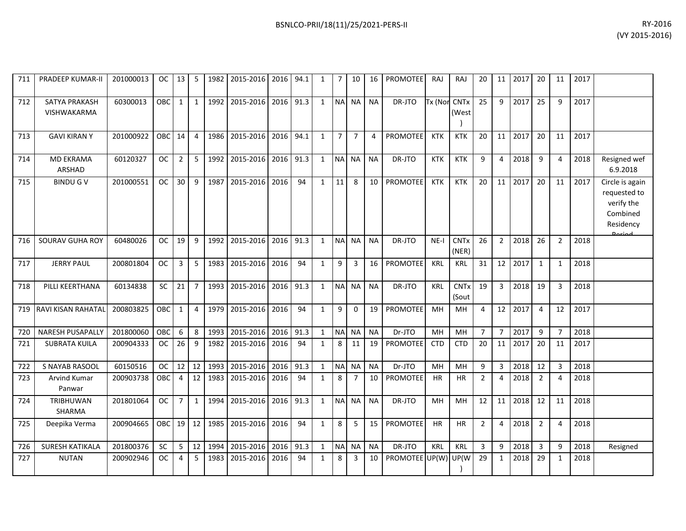| 711 | PRADEEP KUMAR-II             | 201000013 | OC.        | 13             | 5                | 1982 | 2015-2016      | 2016 | 94.1 | $\mathbf{1}$ | 7 <sup>1</sup> | 10             | 16        | PROMOTEE        | <b>RAJ</b> | RAJ                             | 20             | 11              | 2017 | 20                      | 11             | 2017 |                                                                                         |
|-----|------------------------------|-----------|------------|----------------|------------------|------|----------------|------|------|--------------|----------------|----------------|-----------|-----------------|------------|---------------------------------|----------------|-----------------|------|-------------------------|----------------|------|-----------------------------------------------------------------------------------------|
| 712 | SATYA PRAKASH<br>VISHWAKARMA | 60300013  | <b>OBC</b> | $\mathbf{1}$   | $\mathbf{1}$     | 1992 | 2015-2016      | 2016 | 91.3 | $\mathbf{1}$ | <b>NA</b>      | <b>NA</b>      | <b>NA</b> | DR-JTO          | Tx (Nor    | <b>CNTx</b><br>(West            | 25             | 9               | 2017 | 25                      | q              | 2017 |                                                                                         |
| 713 | <b>GAVI KIRAN Y</b>          | 201000922 | OBC        | 14             | $\overline{4}$   | 1986 | 2015-2016      | 2016 | 94.1 | $\mathbf{1}$ | 7 <sup>1</sup> | $\overline{7}$ | 4         | <b>PROMOTEE</b> | <b>KTK</b> | <b>KTK</b>                      | 20             | 11 <sup>1</sup> | 2017 | 20                      | 11             | 2017 |                                                                                         |
| 714 | <b>MD EKRAMA</b><br>ARSHAD   | 60120327  | <b>OC</b>  | $\overline{2}$ | 5                | 1992 | 2015-2016 2016 |      | 91.3 | $\mathbf{1}$ | N <sub>A</sub> | <b>NA</b>      | <b>NA</b> | DR-JTO          | KTK        | <b>KTK</b>                      | 9              | 4               | 2018 | 9                       | 4              | 2018 | Resigned wef<br>6.9.2018                                                                |
| 715 | <b>BINDU G V</b>             | 201000551 | <b>OC</b>  | 30             | $\boldsymbol{9}$ | 1987 | 2015-2016      | 2016 | 94   | $\mathbf{1}$ | 11             | 8              | 10        | PROMOTEE        | <b>KTK</b> | <b>KTK</b>                      | 20             | 11              | 2017 | 20                      | 11             | 2017 | Circle is again<br>requested to<br>verify the<br>Combined<br>Residency<br><b>Doriad</b> |
| 716 | SOURAV GUHA ROY              | 60480026  | ОC         | 19             | 9                | 1992 | 2015-2016      | 2016 | 91.3 | $\mathbf{1}$ | <b>NA</b>      | <b>NA</b>      | <b>NA</b> | DR-JTO          | $NE-I$     | <b>CNTx</b><br>(NER)            | 26             | $\overline{2}$  | 2018 | 26                      | $\overline{2}$ | 2018 |                                                                                         |
| 717 | <b>JERRY PAUL</b>            | 200801804 | <b>OC</b>  | 3              | 5                | 1983 | 2015-2016      | 2016 | 94   | $\mathbf{1}$ | 9              | 3              | 16        | PROMOTEE        | KRL        | <b>KRL</b>                      | 31             | 12              | 2017 | $\mathbf{1}$            | $\mathbf{1}$   | 2018 |                                                                                         |
| 718 | PILLI KEERTHANA              | 60134838  | <b>SC</b>  | 21             | $\overline{7}$   | 1993 | 2015-2016      | 2016 | 91.3 | $\mathbf{1}$ | <b>NA</b>      | <b>NA</b>      | <b>NA</b> | DR-JTO          | <b>KRL</b> | <b>CNT<sub>x</sub></b><br>(Sout | 19             | 3               | 2018 | 19                      | 3              | 2018 |                                                                                         |
| 719 | RAVI KISAN RAHATAL           | 200803825 | OBC        | $\mathbf{1}$   | $\overline{4}$   | 1979 | 2015-2016      | 2016 | 94   | $\mathbf{1}$ | 9              | 0              | 19        | PROMOTEE        | MH         | MН                              | 4              | 12              | 2017 | $\overline{4}$          | 12             | 2017 |                                                                                         |
| 720 | <b>NARESH PUSAPALLY</b>      | 201800060 | OBC        | 6              | 8                | 1993 | 2015-2016      | 2016 | 91.3 | $\mathbf{1}$ | <b>NA</b>      | <b>NA</b>      | <b>NA</b> | Dr-JTO          | MH         | MН                              | $\overline{7}$ | $\overline{7}$  | 2017 | 9                       | $\overline{7}$ | 2018 |                                                                                         |
| 721 | <b>SUBRATA KUILA</b>         | 200904333 | <b>OC</b>  | 26             | 9                | 1982 | 2015-2016      | 2016 | 94   | $\mathbf{1}$ | 8              | 11             | 19        | PROMOTEE        | <b>CTD</b> | <b>CTD</b>                      | 20             | 11              | 2017 | 20                      | 11             | 2017 |                                                                                         |
| 722 | S NAYAB RASOOL               | 60150516  | ОC         | 12             | 12               | 1993 | 2015-2016      | 2016 | 91.3 | $\mathbf{1}$ | <b>NA</b>      | <b>NA</b>      | <b>NA</b> | Dr-JTO          | MH         | <b>MH</b>                       | 9              | 3               | 2018 | 12                      | 3              | 2018 |                                                                                         |
| 723 | Arvind Kumar<br>Panwar       | 200903738 | OBC        | $\overline{4}$ | 12               | 1983 | 2015-2016      | 2016 | 94   | $\mathbf{1}$ | 8              | $\overline{7}$ | 10        | <b>PROMOTEE</b> | <b>HR</b>  | <b>HR</b>                       | $\overline{2}$ | 4               | 2018 | $\overline{2}$          | 4              | 2018 |                                                                                         |
| 724 | <b>TRIBHUWAN</b><br>SHARMA   | 201801064 | <b>OC</b>  | $\overline{7}$ | $\mathbf{1}$     | 1994 | 2015-2016      | 2016 | 91.3 | $\mathbf{1}$ | <b>NA</b>      | <b>NA</b>      | <b>NA</b> | DR-JTO          | MH         | MH                              | 12             | 11              | 2018 | 12                      | 11             | 2018 |                                                                                         |
| 725 | Deepika Verma                | 200904665 | OBC        | 19             | 12               | 1985 | 2015-2016 2016 |      | 94   | $\mathbf{1}$ | 8              | 5              | 15        | PROMOTEE        | <b>HR</b>  | <b>HR</b>                       | $\overline{2}$ | 4               | 2018 | $\overline{2}$          | 4              | 2018 |                                                                                         |
| 726 | <b>SURESH KATIKALA</b>       | 201800376 | <b>SC</b>  | 5              | 12               | 1994 | 2015-2016      | 2016 | 91.3 | $\mathbf{1}$ | <b>NA</b>      | <b>NA</b>      | <b>NA</b> | DR-JTO          | KRL        | <b>KRL</b>                      | 3              | 9               | 2018 | $\overline{\mathbf{3}}$ | 9              | 2018 | Resigned                                                                                |
| 727 | <b>NUTAN</b>                 | 200902946 | <b>OC</b>  | 4              | 5                | 1983 | 2015-2016      | 2016 | 94   | $\mathbf{1}$ | 8              | 3              | 10        | PROMOTEE UP(W)  |            | UP(W                            | 29             | $\mathbf{1}$    | 2018 | 29                      | 1              | 2018 |                                                                                         |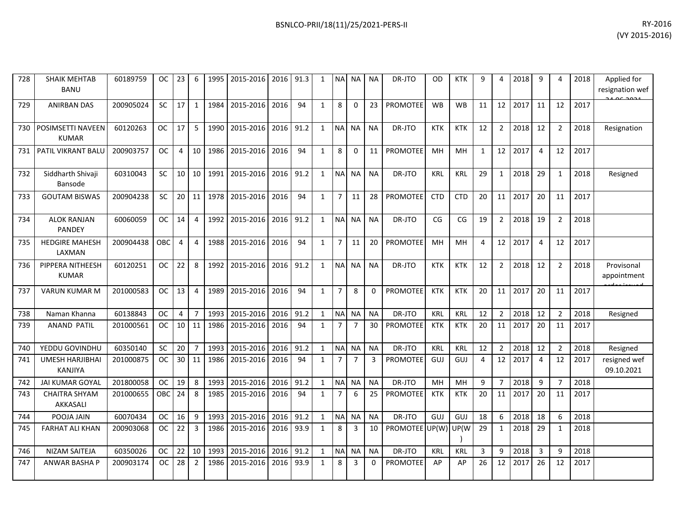| 728 | <b>SHAIK MEHTAB</b><br><b>BANU</b>       | 60189759  | ОC        | 23             | 6              | 1995 | 2015-2016      | 2016 | 91.3 | $\mathbf{1}$ | <b>NAI</b>     | <b>NA</b>      | <b>NA</b> | DR-JTO          | OD         | <b>KTK</b> | 9            | 4              | 2018 | 9              | Δ              | 2018 | Applied for<br>resignation wef |
|-----|------------------------------------------|-----------|-----------|----------------|----------------|------|----------------|------|------|--------------|----------------|----------------|-----------|-----------------|------------|------------|--------------|----------------|------|----------------|----------------|------|--------------------------------|
| 729 | <b>ANIRBAN DAS</b>                       | 200905024 | <b>SC</b> | 17             | $\mathbf{1}$   | 1984 | 2015-2016 2016 |      | 94   | $\mathbf{1}$ | 8              | $\Omega$       | 23        | <b>PROMOTEE</b> | <b>WB</b>  | <b>WB</b>  | 11           | 12             | 2017 | 11             | 12             | 2017 |                                |
| 730 | POSIMSETTI NAVEEN<br><b>KUMAR</b>        | 60120263  | <b>OC</b> | 17             | 5              | 1990 | 2015-2016      | 2016 | 91.2 | $\mathbf{1}$ | N <sub>A</sub> | <b>NA</b>      | <b>NA</b> | DR-JTO          | <b>KTK</b> | <b>KTK</b> | 12           | $\overline{2}$ | 2018 | 12             | 2              | 2018 | Resignation                    |
| 731 | PATIL VIKRANT BALU                       | 200903757 | <b>OC</b> | $\overline{4}$ | 10             | 1986 | 2015-2016      | 2016 | 94   | $\mathbf{1}$ | 8              | 0              | 11        | PROMOTEE        | MH         | MН         | $\mathbf{1}$ | 12             | 2017 | $\overline{4}$ | 12             | 2017 |                                |
| 732 | Siddharth Shivaji<br>Bansode             | 60310043  | <b>SC</b> | 10             | 10             | 1991 | 2015-2016      | 2016 | 91.2 | $\mathbf{1}$ | N <sub>A</sub> | <b>NA</b>      | <b>NA</b> | DR-JTO          | <b>KRL</b> | <b>KRL</b> | 29           | $\mathbf{1}$   | 2018 | 29             | 1              | 2018 | Resigned                       |
| 733 | <b>GOUTAM BISWAS</b>                     | 200904238 | <b>SC</b> | 20             | 11             | 1978 | 2015-2016      | 2016 | 94   | $\mathbf{1}$ | $\overline{7}$ | 11             | 28        | <b>PROMOTEE</b> | <b>CTD</b> | <b>CTD</b> | 20           | 11             | 2017 | 20             | 11             | 2017 |                                |
| 734 | <b>ALOK RANJAN</b><br><b>PANDEY</b>      | 60060059  | <b>OC</b> | 14             | 4              | 1992 | 2015-2016      | 2016 | 91.2 | $\mathbf{1}$ | <b>NA</b>      | <b>NA</b>      | <b>NA</b> | DR-JTO          | CG         | CG         | 19           | $\overline{2}$ | 2018 | 19             | $\overline{2}$ | 2018 |                                |
| 735 | <b>HEDGIRE MAHESH</b><br>LAXMAN          | 200904438 | OBC       | $\overline{4}$ | $\overline{4}$ | 1988 | 2015-2016      | 2016 | 94   | $\mathbf{1}$ | $\overline{7}$ | 11             | 20        | <b>PROMOTEE</b> | MH         | MН         | 4            | 12             | 2017 | $\overline{4}$ | 12             | 2017 |                                |
| 736 | PIPPERA NITHEESH<br><b>KUMAR</b>         | 60120251  | ОC        | 22             | 8              | 1992 | 2015-2016      | 2016 | 91.2 | $\mathbf{1}$ | <b>NA</b>      | <b>NA</b>      | <b>NA</b> | DR-JTO          | <b>KTK</b> | <b>KTK</b> | 12           | $\overline{2}$ | 2018 | 12             | $\overline{2}$ | 2018 | Provisonal<br>appointment      |
| 737 | <b>VARUN KUMAR M</b>                     | 201000583 | ОC        | 13             | $\overline{4}$ | 1989 | 2015-2016 2016 |      | 94   | $\mathbf{1}$ | $\overline{7}$ | 8              | 0         | PROMOTEE        | <b>KTK</b> | <b>KTK</b> | 20           | 11             | 2017 | 20             | 11             | 2017 |                                |
| 738 | Naman Khanna                             | 60138843  | OC.       | $\overline{4}$ | $\overline{7}$ | 1993 | 2015-2016      | 2016 | 91.2 | $\mathbf{1}$ | N <sub>A</sub> | <b>NA</b>      | <b>NA</b> | DR-JTO          | KRL        | <b>KRL</b> | 12           | $\overline{2}$ | 2018 | 12             | $\overline{2}$ | 2018 | Resigned                       |
| 739 | <b>ANAND PATIL</b>                       | 201000561 | <b>OC</b> | 10             | 11             | 1986 | 2015-2016      | 2016 | 94   | $\mathbf{1}$ | $\overline{7}$ | $\overline{7}$ | 30        | <b>PROMOTEE</b> | <b>KTK</b> | <b>KTK</b> | 20           | 11             | 2017 | 20             | 11             | 2017 |                                |
| 740 | YEDDU GOVINDHU                           | 60350140  | SC        | 20             | $\overline{7}$ | 1993 | 2015-2016      | 2016 | 91.2 | $\mathbf{1}$ | NA             | <b>NA</b>      | <b>NA</b> | DR-JTO          | KRL        | <b>KRL</b> | 12           | $\overline{2}$ | 2018 | 12             | $\overline{2}$ | 2018 | Resigned                       |
| 741 | <b>UMESH HARJIBHAI</b><br><b>KANJIYA</b> | 201000875 | <b>OC</b> | 30             | 11             | 1986 | 2015-2016      | 2016 | 94   | $\mathbf{1}$ | $\overline{7}$ | $\overline{7}$ | 3         | <b>PROMOTEE</b> | GUJ        | GUJ        | 4            | 12             | 2017 | $\overline{4}$ | 12             | 2017 | resigned wef<br>09.10.2021     |
| 742 | <b>JAI KUMAR GOYAL</b>                   | 201800058 | <b>OC</b> | 19             | 8              | 1993 | 2015-2016      | 2016 | 91.2 | $\mathbf{1}$ | <b>NA</b>      | <b>NA</b>      | <b>NA</b> | DR-JTO          | MH         | MH         | 9            | $\overline{7}$ | 2018 | 9              | $\overline{7}$ | 2018 |                                |
| 743 | <b>CHAITRA SHYAM</b><br>AKKASALI         | 201000655 | OBC       | 24             | 8              | 1985 | 2015-2016      | 2016 | 94   | $\mathbf{1}$ | $\overline{7}$ | 6              | 25        | <b>PROMOTEE</b> | <b>KTK</b> | <b>KTK</b> | 20           | 11             | 2017 | 20             | 11             | 2017 |                                |
| 744 | POOJA JAIN                               | 60070434  | <b>OC</b> | 16             | 9              | 1993 | 2015-2016      | 2016 | 91.2 | $\mathbf{1}$ | <b>NA</b>      | <b>NA</b>      | <b>NA</b> | DR-JTO          | <b>GUJ</b> | GUJ        | 18           | 6              | 2018 | 18             | 6              | 2018 |                                |
| 745 | <b>FARHAT ALI KHAN</b>                   | 200903068 | <b>OC</b> | 22             | $\overline{3}$ | 1986 | 2015-2016      | 2016 | 93.9 | $\mathbf{1}$ | 8              | $\overline{3}$ | 10        | PROMOTEE UP(W)  |            | UP(W       | 29           | 1              | 2018 | 29             | -1             | 2018 |                                |
| 746 | NIZAM SAITEJA                            | 60350026  | ОC        | 22             | 10             | 1993 | 2015-2016      | 2016 | 91.2 | $\mathbf{1}$ | <b>NA</b>      | <b>NA</b>      | <b>NA</b> | DR-JTO          | <b>KRL</b> | <b>KRL</b> | 3            | 9              | 2018 | $\overline{3}$ | 9              | 2018 |                                |
| 747 | ANWAR BASHA P                            | 200903174 | <b>OC</b> | 28             | $\overline{2}$ | 1986 | 2015-2016      | 2016 | 93.9 | $\mathbf{1}$ | 8              | 3              | 0         | <b>PROMOTEE</b> | AP         | AP         | 26           | 12             | 2017 | 26             | 12             | 2017 |                                |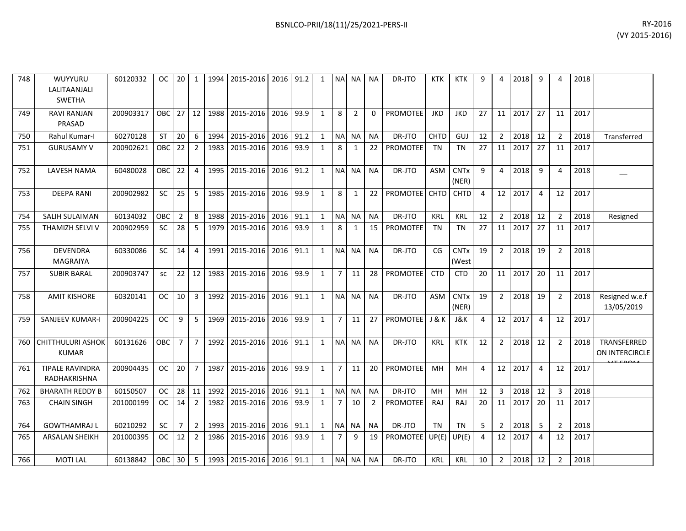| BSNLCO-PRII/18(11)/25/2021-PERS-II | RY-2016 |
|------------------------------------|---------|
|                                    |         |

| 748 | WUYYURU<br>LALITAANJALI<br><b>SWETHA</b> | 60120332  | OC.           | 20             | 1              |      | 1994 2015-2016 2016 91.2       |           |      | 1            |                | NA NA          | NA             | DR-JTO                | KTK         | KTK                             | 9              | 4              | 2018 | 9              | 4              | 2018 |                               |
|-----|------------------------------------------|-----------|---------------|----------------|----------------|------|--------------------------------|-----------|------|--------------|----------------|----------------|----------------|-----------------------|-------------|---------------------------------|----------------|----------------|------|----------------|----------------|------|-------------------------------|
| 749 | RAVI RANJAN<br>PRASAD                    | 200903317 | <b>OBC</b> 27 |                | 12             | 1988 | 2015-2016                      | 2016      | 93.9 | $\mathbf{1}$ | 8              | $\overline{2}$ | $\Omega$       | <b>PROMOTEE</b>       | <b>JKD</b>  | <b>JKD</b>                      | 27             | 11             | 2017 | 27             | 11             | 2017 |                               |
| 750 | Rahul Kumar-I                            | 60270128  | <b>ST</b>     | 20             | 6              | 1994 | 2015-2016                      | 2016      | 91.2 | $\mathbf{1}$ | <b>NA</b>      | <b>NA</b>      | <b>NA</b>      | DR-JTO                | <b>CHTD</b> | GUJ                             | 12             | 2              | 2018 | 12             | $\overline{2}$ | 2018 | Transferred                   |
| 751 | <b>GURUSAMY V</b>                        | 200902621 | OBC.          | 22             | $\overline{2}$ | 1983 | 2015-2016                      | 2016      | 93.9 | 1            | 8              | 1              | 22             | <b>PROMOTEE</b>       | <b>TN</b>   | <b>TN</b>                       | 27             | 11             | 2017 | 27             | 11             | 2017 |                               |
| 752 | LAVESH NAMA                              | 60480028  | OBC           | 22             | $\overline{4}$ | 1995 | 2015-2016                      | 2016 91.2 |      | $\mathbf{1}$ |                | NAI NA         | <b>NA</b>      | DR-JTO                | <b>ASM</b>  | <b>CNT<sub>x</sub></b><br>(NER) | 9              | 4              | 2018 | 9              | 4              | 2018 |                               |
| 753 | <b>DEEPA RANI</b>                        | 200902982 | SC            | 25             | 5              | 1985 | 2015-2016                      | 2016      | 93.9 | $\mathbf{1}$ | 8              | $\mathbf{1}$   | 22             | PROMOTEE CHTD         |             | <b>CHTD</b>                     | $\overline{4}$ | 12             | 2017 | $\overline{4}$ | 12             | 2017 |                               |
| 754 | SALIH SULAIMAN                           | 60134032  | OBC           | $\overline{2}$ | 8              | 1988 | 2015-2016                      | 2016      | 91.1 | $\mathbf{1}$ | <b>NA</b>      | <b>NA</b>      | <b>NA</b>      | DR-JTO                | KRL         | <b>KRL</b>                      | 12             | $\overline{2}$ | 2018 | 12             | $\overline{2}$ | 2018 | Resigned                      |
| 755 | <b>THAMIZH SELVI V</b>                   | 200902959 | <b>SC</b>     | 28             | 5              | 1979 | 2015-2016                      | 2016 93.9 |      | $\mathbf{1}$ | 8              | $\mathbf{1}$   | 15             | <b>PROMOTEE</b>       | <b>TN</b>   | <b>TN</b>                       | 27             | 11             | 2017 | 27             | 11             | 2017 |                               |
| 756 | <b>DEVENDRA</b><br>MAGRAIYA              | 60330086  | <b>SC</b>     | 14             | 4              | 1991 | 2015-2016                      | 2016      | 91.1 | 1            | <b>NA</b>      | <b>NA</b>      | <b>NA</b>      | DR-JTO                | CG          | <b>CNT<sub>x</sub></b><br>(West | 19             | $\overline{2}$ | 2018 | 19             | $\overline{2}$ | 2018 |                               |
| 757 | <b>SUBIR BARAL</b>                       | 200903747 | <b>SC</b>     | 22             | 12             | 1983 | 2015-2016                      | 2016      | 93.9 | $\mathbf{1}$ | $\overline{7}$ | 11             | 28             | <b>PROMOTEE</b>       | <b>CTD</b>  | <b>CTD</b>                      | 20             | 11             | 2017 | 20             | 11             | 2017 |                               |
| 758 | <b>AMIT KISHORE</b>                      | 60320141  | OC.           | 10             | 3              | 1992 | 2015-2016                      | 2016 91.1 |      | $\mathbf{1}$ | <b>NA</b>      | <b>NA</b>      | <b>NA</b>      | DR-JTO                | <b>ASM</b>  | <b>CNTx</b><br>(NER)            | 19             | $\overline{2}$ | 2018 | 19             | $\overline{2}$ | 2018 | Resigned w.e.f<br>13/05/2019  |
| 759 | SANJEEV KUMAR-I                          | 200904225 | <b>OC</b>     | 9              | 5              | 1969 | 2015-2016                      | 2016      | 93.9 | $\mathbf{1}$ | $\overline{7}$ | 11             | 27             | <b>PROMOTEE</b> J & K |             | J&K                             | $\overline{4}$ | 12             | 2017 | $\overline{4}$ | 12             | 2017 |                               |
| 760 | <b>CHITTHULURI ASHOK</b><br><b>KUMAR</b> | 60131626  | OBC.          | $\overline{7}$ | $\overline{7}$ | 1992 | 2015-2016                      | 2016 91.1 |      | $\mathbf{1}$ |                | NA NA          | <b>NA</b>      | DR-JTO                | <b>KRL</b>  | <b>KTK</b>                      | 12             | $\overline{2}$ | 2018 | 12             | $\overline{2}$ | 2018 | TRANSFERRED<br>ON INTERCIRCLE |
| 761 | <b>TIPALE RAVINDRA</b><br>RADHAKRISHNA   | 200904435 | OC.           | 20             | $\overline{7}$ | 1987 | 2015-2016                      | 2016      | 93.9 | $\mathbf{1}$ | $\overline{7}$ | 11             | 20             | <b>PROMOTEE</b>       | MH          | MH                              | 4              | 12             | 2017 | $\overline{4}$ | 12             | 2017 |                               |
| 762 | <b>BHARATH REDDY B</b>                   | 60150507  | <b>OC</b>     | 28             | 11             | 1992 | 2015-2016                      | 2016      | 91.1 | $\mathbf{1}$ | <b>NA</b>      | <b>NA</b>      | <b>NA</b>      | DR-JTO                | MH          | MH                              | 12             | 3              | 2018 | 12             | 3              | 2018 |                               |
| 763 | <b>CHAIN SINGH</b>                       | 201000199 | <b>OC</b>     | 14             | 2              | 1982 | 2015-2016                      | 2016      | 93.9 | $\mathbf{1}$ | $\overline{7}$ | 10             | $\overline{2}$ | <b>PROMOTEE</b>       | <b>RAJ</b>  | RAJ                             | 20             | 11             | 2017 | 20             | 11             | 2017 |                               |
| 764 | <b>GOWTHAMRAJ L</b>                      | 60210292  | <b>SC</b>     | $\overline{7}$ | $\overline{2}$ | 1993 | 2015-2016                      | 2016      | 91.1 | $\mathbf{1}$ | <b>NA</b>      | <b>NA</b>      | <b>NA</b>      | DR-JTO                | <b>TN</b>   | <b>TN</b>                       | 5              | $\overline{2}$ | 2018 | 5              | $\overline{2}$ | 2018 |                               |
| 765 | <b>ARSALAN SHEIKH</b>                    | 201000395 | OC.           | 12             | $\overline{2}$ | 1986 | 2015-2016                      | 2016 93.9 |      | $\mathbf{1}$ | $\overline{7}$ | 9              | 19             | PROMOTEE UP(E) UP(E)  |             |                                 | $\overline{4}$ | 12             | 2017 | $\overline{4}$ | 12             | 2017 |                               |
| 766 | <b>MOTILAL</b>                           | 60138842  | OBC I         | 30             | 5              |      | 1993   2015-2016   2016   91.1 |           |      | $\mathbf{1}$ |                | NA NA          | <b>NA</b>      | DR-JTO                | <b>KRL</b>  | <b>KRL</b>                      | 10             | 2              | 2018 | 12             | $\overline{2}$ | 2018 |                               |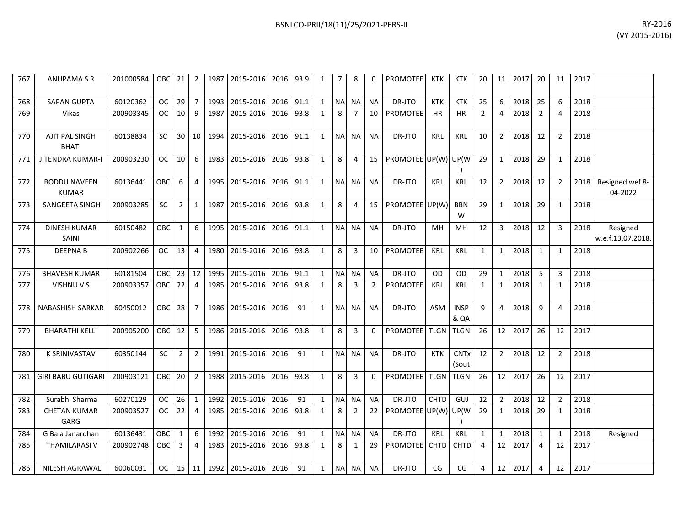| BSNLCO-PRII/18(11)/25/2021-PERS-II | RY-2016 |
|------------------------------------|---------|
|                                    | .       |

| 767 | ANUPAMA S R                         | 201000584 | OBC 21 2   |                 |                |      | 1987 2015-2016 2016 93.9 |           |      | 1            | $\overline{7}$ | 8              |           | <b>PROMOTEE</b>     | KTK         | KTK                  | 20             | 11 I            | 2017 | -20            | 11             | 2017 |                               |
|-----|-------------------------------------|-----------|------------|-----------------|----------------|------|--------------------------|-----------|------|--------------|----------------|----------------|-----------|---------------------|-------------|----------------------|----------------|-----------------|------|----------------|----------------|------|-------------------------------|
| 768 | <b>SAPAN GUPTA</b>                  | 60120362  | <b>OC</b>  | 29              | $\overline{7}$ | 1993 | 2015-2016                | 2016 91.1 |      | 1            | <b>NA</b>      | <b>NA</b>      | <b>NA</b> | DR-JTO              | <b>KTK</b>  | <b>KTK</b>           | 25             | 6               | 2018 | 25             | 6              | 2018 |                               |
| 769 | <b>Vikas</b>                        | 200903345 | OC .       | 10              | 9              | 1987 | 2015-2016                | 2016 93.8 |      | 1            | 8              | $\overline{7}$ | 10        | PROMOTEE            | <b>HR</b>   | <b>HR</b>            | $\overline{2}$ | 4               | 2018 | $\overline{2}$ | 4              | 2018 |                               |
| 770 | AJIT PAL SINGH<br><b>BHATI</b>      | 60138834  | <b>SC</b>  |                 | $30$   10      | 1994 | 2015-2016                | 2016 91.1 |      | 1            |                | NA NA          | <b>NA</b> | DR-JTO              | <b>KRL</b>  | <b>KRL</b>           | 10             | $\overline{2}$  | 2018 | 12             | $\overline{2}$ | 2018 |                               |
| 771 | <b>JITENDRA KUMAR-I</b>             | 200903230 | OC .       | 10 <sup>1</sup> | -6             |      | 1983 2015-2016           | 2016 93.8 |      | 1            | 8              | $\overline{4}$ | 15        | PROMOTEE UP(W) UP(W |             |                      | 29             | 1               | 2018 | 29             | 1              | 2018 |                               |
| 772 | <b>BODDU NAVEEN</b><br><b>KUMAR</b> | 60136441  | OBC        | 6               | 4              | 1995 | 2015-2016                | 2016 91.1 |      | 1            | <b>NA</b>      | <b>NA</b>      | <b>NA</b> | DR-JTO              | <b>KRL</b>  | KRL                  | 12             | $\overline{2}$  | 2018 | 12             | $\overline{2}$ | 2018 | Resigned wef 8-<br>04-2022    |
| 773 | SANGEETA SINGH                      | 200903285 | <b>SC</b>  | 2 <sup>1</sup>  | 1              | 1987 | 2015-2016                | 2016 93.8 |      | 1            | 8              | $\overline{a}$ | 15        | PROMOTEE UP(W)      |             | <b>BBN</b><br>W      | 29             | 1               | 2018 | 29             | 1              | 2018 |                               |
| 774 | <b>DINESH KUMAR</b><br>SAINI        | 60150482  | OBC        | $1\vert$        | 6              | 1995 | 2015-2016                | 2016 91.1 |      | 1            | <b>NA</b>      | <b>NA</b>      | <b>NA</b> | DR-JTO              | MН          | MН                   | 12             | 3               | 2018 | 12             | 3              | 2018 | Resigned<br>w.e.f.13.07.2018. |
| 775 | <b>DEEPNAB</b>                      | 200902266 | OC         | 13              | $\overline{4}$ |      | 1980 2015-2016           | 2016 93.8 |      | 1            | 8              | 3              | 10        | <b>PROMOTEE</b>     | <b>KRL</b>  | KRL                  | 1              | 1               | 2018 | $\mathbf{1}$   | 1              | 2018 |                               |
| 776 | <b>BHAVESH KUMAR</b>                | 60181504  | <b>OBC</b> | $23 \mid 12$    |                | 1995 | 2015-2016                | 2016 91.1 |      | 1            | <b>NA</b>      | <b>NA</b>      | <b>NA</b> | DR-JTO              | <b>OD</b>   | OD                   | 29             | $\mathbf{1}$    | 2018 | 5              | 3              | 2018 |                               |
| 777 | VISHNU V S                          | 200903357 | OBC I      | 22              | $\overline{4}$ | 1985 | 2015-2016                | 2016 93.8 |      | 1            | 8              | 3              | 2         | PROMOTEE            | KRL         | KRL                  | 1              | 1               | 2018 | 1              | 1              | 2018 |                               |
| 778 | <b>NABASHISH SARKAR</b>             | 60450012  | OBC        | 28              | 7              | 1986 | 2015-2016                | 2016      | 91   | 1            |                | NA NA          | <b>NA</b> | DR-JTO              | ASM         | <b>INSP</b><br>& QA  | 9              | $\overline{4}$  | 2018 | 9              | 4              | 2018 |                               |
| 779 | <b>BHARATHI KELLI</b>               | 200905200 | OBC        | 12              | - 5            |      | 1986 2015-2016           | 2016 93.8 |      | 1            | 8              | 3              | $\Omega$  | PROMOTEE TLGN       |             | <b>TLGN</b>          | 26             | 12              | 2017 | 26             | 12             | 2017 |                               |
| 780 | <b>K SRINIVASTAV</b>                | 60350144  | <b>SC</b>  | $2^{\circ}$     | $\overline{2}$ | 1991 | 2015-2016                | 2016      | 91   | 1            | NA             | <b>NA</b>      | <b>NA</b> | DR-JTO              | <b>KTK</b>  | <b>CNTx</b><br>(Sout | 12             | $\overline{2}$  | 2018 | 12             | $\overline{2}$ | 2018 |                               |
| 781 | <b>GIRI BABU GUTIGARI</b>           | 200903121 | OBC        | 20 <sup>1</sup> | $\overline{2}$ |      | 1988 2015-2016           | 2016 93.8 |      | 1            | 8              | 3              | $\Omega$  | PROMOTEE TLGN       |             | <b>TLGN</b>          | 26             | 12 <sup>1</sup> | 2017 | 26             | 12             | 2017 |                               |
| 782 | Surabhi Sharma                      | 60270129  | OC.        | $26 \quad 1$    |                | 1992 | 2015-2016                | 2016      | 91   | $\mathbf{1}$ | <b>NA</b>      | <b>NA</b>      | <b>NA</b> | DR-JTO              | <b>CHTD</b> | GUJ                  | 12             | $\overline{2}$  | 2018 | 12             | $\overline{2}$ | 2018 |                               |
| 783 | <b>CHETAN KUMAR</b><br>GARG         | 200903527 | OC.        | 22              | $\overline{4}$ |      | 1985 2015-2016           | 2016      | 93.8 | 1            | 8              | $\overline{2}$ | 22        | PROMOTEE UP(W)      |             | UP(W                 | 29             | $\mathbf{1}$    | 2018 | 29             | 1              | 2018 |                               |
| 784 | G Bala Janardhan                    | 60136431  | <b>OBC</b> | 1               | -6             | 1992 | 2015-2016                | 2016      | 91   | $\mathbf{1}$ | <b>NA</b>      | <b>NA</b>      | <b>NA</b> | DR-JTO              | <b>KRL</b>  | <b>KRL</b>           | $\mathbf{1}$   | $\mathbf{1}$    | 2018 | 1              | 1              | 2018 | Resigned                      |
| 785 | THAMILARASI V                       | 200902748 | <b>OBC</b> | $\overline{3}$  | $\overline{4}$ | 1983 | 2015-2016                | 2016      | 93.8 | 1            | 8              | 1              | 29        | <b>PROMOTEE</b>     | <b>CHTD</b> | CHTD                 | $\overline{4}$ | 12              | 2017 | 4              | 12             | 2017 |                               |
| 786 | NILESH AGRAWAL                      | 60060031  | OC         | $15$   11       |                |      | 1992 2015-2016 2016      |           | 91   | 1            | <b>NA</b>      | <b>NA</b>      | <b>NA</b> | DR-JTO              | CG          | CG                   | 4              | 12              | 2017 | $\overline{4}$ | 12             | 2017 |                               |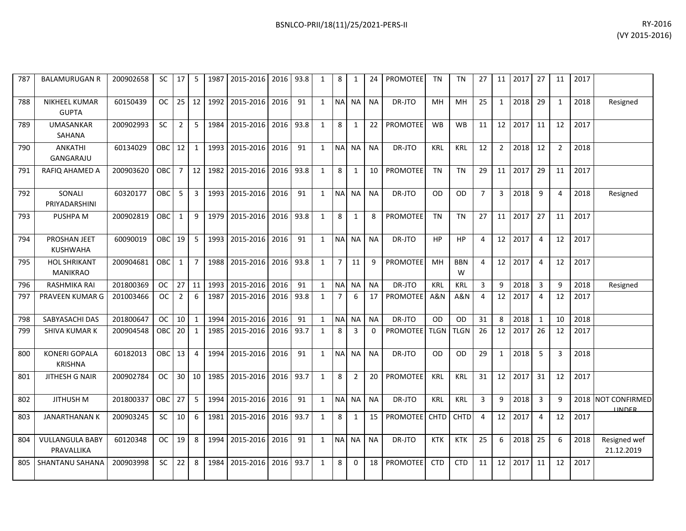| 787 | <b>BALAMURUGAN R</b>                   | 200902658 | SC         | 17              | 5               | 1987 | 2015-2016   2016   93.8 |           |      | 1            | 8              | 1              | 24        | <b>PROMOTEE</b> | TN.        | TN              | 27             |                 | 11 2017  | 27             | 11           | 2017 |                                     |
|-----|----------------------------------------|-----------|------------|-----------------|-----------------|------|-------------------------|-----------|------|--------------|----------------|----------------|-----------|-----------------|------------|-----------------|----------------|-----------------|----------|----------------|--------------|------|-------------------------------------|
| 788 | NIKHEEL KUMAR<br><b>GUPTA</b>          | 60150439  | <b>OC</b>  | 25              | 12              | 1992 | 2015-2016               | 2016      | 91   | $\mathbf{1}$ | N <sub>A</sub> | <b>NA</b>      | <b>NA</b> | DR-JTO          | <b>MH</b>  | <b>MH</b>       | 25             | $\mathbf{1}$    | 2018     | 29             | $\mathbf{1}$ | 2018 | Resigned                            |
| 789 | <b>UMASANKAR</b><br>SAHANA             | 200902993 | <b>SC</b>  | 2               | 5               | 1984 | 2015-2016               | 2016      | 93.8 | $\mathbf{1}$ | 8              | 1              | 22        | <b>PROMOTEE</b> | <b>WB</b>  | <b>WB</b>       | 11             | 12              | 2017     | 11             | 12           | 2017 |                                     |
| 790 | ANKATHI<br>GANGARAJU                   | 60134029  | OBC        | 12              | 1               | 1993 | 2015-2016               | 2016      | 91   | $\mathbf{1}$ | N <sub>A</sub> | <b>NA</b>      | <b>NA</b> | DR-JTO          | <b>KRL</b> | <b>KRL</b>      | 12             | $2^{\circ}$     | 2018     | 12             | 2            | 2018 |                                     |
| 791 | RAFIQ AHAMED A                         | 200903620 | <b>OBC</b> | 7 <sup>1</sup>  | 12 <sup>1</sup> | 1982 | 2015-2016               | 2016      | 93.8 | 1            | 8              | 1              | 10        | <b>PROMOTEE</b> | <b>TN</b>  | <b>TN</b>       | 29             | 11              | 2017     | 29             | 11           | 2017 |                                     |
| 792 | SONALI<br>PRIYADARSHINI                | 60320177  | <b>OBC</b> | 5               | 3               | 1993 | 2015-2016               | 2016      | 91   | $\mathbf{1}$ |                | NA NA          | <b>NA</b> | DR-JTO          | <b>OD</b>  | OD.             | $\overline{7}$ |                 | 3   2018 | 9              | 4            | 2018 | Resigned                            |
| 793 | PUSHPA M                               | 200902819 | OBC I      | 1               | 9               | 1979 | 2015-2016               | 2016      | 93.8 | 1            | 8              | 1              | 8         | <b>PROMOTEE</b> | <b>TN</b>  | <b>TN</b>       | 27             |                 | 11 2017  | 27             | 11           | 2017 |                                     |
| 794 | PROSHAN JEET<br><b>KUSHWAHA</b>        | 60090019  | <b>OBC</b> | 19              | 5               | 1993 | 2015-2016               | 2016      | 91   | $\mathbf{1}$ | N <sub>A</sub> | <b>NA</b>      | <b>NA</b> | DR-JTO          | <b>HP</b>  | HP              | 4              |                 | 12 2017  | $\overline{4}$ | 12           | 2017 |                                     |
| 795 | <b>HOL SHRIKANT</b><br><b>MANIKRAO</b> | 200904681 | OBC        | $\mathbf{1}$    | $\overline{7}$  | 1988 | 2015-2016               | 2016      | 93.8 | $\mathbf{1}$ | $\overline{7}$ | 11             | 9         | <b>PROMOTEE</b> | <b>MH</b>  | <b>BBN</b><br>W | $\overline{4}$ |                 | 12 2017  | $\overline{4}$ | 12           | 2017 |                                     |
| 796 | RASHMIKA RAI                           | 201800369 | OC .       | 27 <sup>1</sup> | 11              | 1993 | 2015-2016               | 2016      | 91   | 1            | <b>NA</b>      | <b>NA</b>      | <b>NA</b> | DR-JTO          | <b>KRL</b> | <b>KRL</b>      | 3              | 9               | 2018     | 3              | q            | 2018 | Resigned                            |
| 797 | PRAVEEN KUMAR G                        | 201003466 | OC         | $\overline{2}$  | 6               | 1987 | 2015-2016               | 2016      | 93.8 | 1            | $\overline{7}$ | 6              | 17        | <b>PROMOTEE</b> | A&N        | A&N             | 4              | 12 <sup>1</sup> | 2017     | 4              | 12           | 2017 |                                     |
| 798 | SABYASACHI DAS                         | 201800647 | OC         | 10 <sup>1</sup> | 1               | 1994 | 2015-2016               | 2016      | 91   | 1            | <b>NA</b>      | <b>NA</b>      | <b>NA</b> | DR-JTO          | 0D         | <b>OD</b>       | 31             | 8               | 2018     | $\mathbf{1}$   | 10           | 2018 |                                     |
| 799 | <b>SHIVA KUMAR K</b>                   | 200904548 | <b>OBC</b> | 20              | 1               | 1985 | 2015-2016               | 2016      | 93.7 | 1            | 8              | 3              | $\Omega$  | PROMOTEE TLGN   |            | <b>TLGN</b>     | 26             | 12              | 2017     | 26             | 12           | 2017 |                                     |
| 800 | <b>KONERI GOPALA</b><br><b>KRISHNA</b> | 60182013  | OBC        | 13              | 4               | 1994 | 2015-2016               | 2016      | 91   | 1            |                | NA NA          | <b>NA</b> | DR-JTO          | <b>OD</b>  | OD.             | 29             | $1 \quad$       | 2018     | 5              | 3            | 2018 |                                     |
| 801 | JITHESH G NAIR                         | 200902784 | OC .       | 30 <sup>1</sup> | 10 <sup>1</sup> | 1985 | 2015-2016               | 2016 93.7 |      | $\mathbf{1}$ | 8              | $\overline{2}$ | 20        | <b>PROMOTEE</b> | <b>KRL</b> | <b>KRL</b>      | 31             |                 | 12 2017  | 31             | 12           | 2017 |                                     |
| 802 | JITHUSH M                              | 201800337 | OBC        | 27              | 5               | 1994 | 2015-2016               | 2016      | 91   | $\mathbf{1}$ | NA NA          |                | <b>NA</b> | DR-JTO          | <b>KRL</b> | <b>KRL</b>      | 3              | 9               | 2018     | 3              | 9            |      | 2018 NOT CONFIRMED<br><b>IINDER</b> |
| 803 | <b>JANARTHANAN K</b>                   | 200903245 | SC         | 10              | 6               | 1981 | 2015-2016               | 2016      | 93.7 | $\mathbf{1}$ | 8              | 1              | 15        | PROMOTEE CHTD   |            | <b>CHTD</b>     | $\overline{4}$ |                 | 12 2017  | 4              | 12           | 2017 |                                     |
| 804 | <b>VULLANGULA BABY</b><br>PRAVALLIKA   | 60120348  | <b>OC</b>  | 19              | 8               | 1994 | 2015-2016               | 2016      | 91   | 1            | N <sub>A</sub> | <b>NA</b>      | <b>NA</b> | DR-JTO          | <b>KTK</b> | <b>KTK</b>      | 25             | 6               | 2018     | 25             | 6            | 2018 | Resigned wef<br>21.12.2019          |
| 805 | <b>SHANTANU SAHANA</b>                 | 200903998 | <b>SC</b>  | 22              | 8               | 1984 | 2015-2016               | 2016 93.7 |      | $\mathbf{1}$ | 8              | $\Omega$       | 18        | <b>PROMOTEE</b> | <b>CTD</b> | <b>CTD</b>      | 11             | 12              | 2017     | 11             | 12           | 2017 |                                     |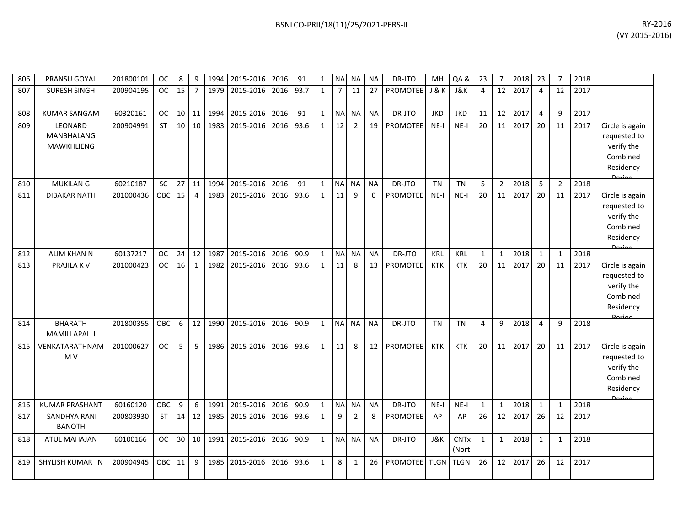| 806 | PRANSU GOYAL                               | 201800101 | <b>OC</b>  | 8               | 9               | 1994 | 2015-2016 2016 |      | 91   | 1            | NA NA          |                | <b>NA</b> | DR-JTO          | MН             | QA&                  | 23             | 7              | 2018 | 23             | 7              | 2018 |                                                                                   |
|-----|--------------------------------------------|-----------|------------|-----------------|-----------------|------|----------------|------|------|--------------|----------------|----------------|-----------|-----------------|----------------|----------------------|----------------|----------------|------|----------------|----------------|------|-----------------------------------------------------------------------------------|
| 807 | <b>SURESH SINGH</b>                        | 200904195 | OC         | 15              | $\overline{7}$  | 1979 | 2015-2016      | 2016 | 93.7 | $\mathbf{1}$ | $\overline{7}$ | 11             | 27        | <b>PROMOTEE</b> | <b>J&amp;K</b> | <b>J&amp;K</b>       | $\overline{4}$ | 12             | 2017 | $\overline{4}$ | 12             | 2017 |                                                                                   |
| 808 | <b>KUMAR SANGAM</b>                        | 60320161  | <b>OC</b>  | 10 <sup>1</sup> | 11              | 1994 | 2015-2016      | 2016 | 91   | $\mathbf{1}$ | <b>NA</b>      | <b>NA</b>      | <b>NA</b> | DR-JTO          | <b>JKD</b>     | <b>JKD</b>           | 11             | 12             | 2017 | $\overline{4}$ | 9              | 2017 |                                                                                   |
| 809 | LEONARD<br><b>MANBHALANG</b><br>MAWKHLIENG | 200904991 | <b>ST</b>  | 10 <sup>1</sup> | 10 <sup>1</sup> | 1983 | 2015-2016      | 2016 | 93.6 | $\mathbf{1}$ | 12             | $\overline{2}$ | 19        | <b>PROMOTEE</b> | $NE-I$         | $NE-I$               | 20             | 11             | 2017 | 20             | 11             | 2017 | Circle is again<br>requested to<br>verify the<br>Combined<br>Residency            |
| 810 | <b>MUKILAN G</b>                           | 60210187  | SC         | 27              | 11              | 1994 | 2015-2016      | 2016 | 91   | 1            | <b>NA</b>      | <b>NA</b>      | <b>NA</b> | DR-JTO          | <b>TN</b>      | <b>TN</b>            | 5              | $\overline{2}$ | 2018 | 5              | $\overline{2}$ | 2018 |                                                                                   |
| 811 | <b>DIBAKAR NATH</b>                        | 201000436 | <b>OBC</b> | 15              | $\overline{4}$  | 1983 | 2015-2016      | 2016 | 93.6 | $\mathbf{1}$ | 11             | q              | $\Omega$  | <b>PROMOTEE</b> | $NE-I$         | $NE-I$               | 20             | 11             | 2017 | 20             | 11             | 2017 | Circle is again<br>requested to<br>verify the<br>Combined<br>Residency            |
| 812 | <b>ALIM KHAN N</b>                         | 60137217  | <b>OC</b>  | 24              | 12              | 1987 | 2015-2016      | 2016 | 90.9 | 1            | <b>NA</b>      | <b>NA</b>      | <b>NA</b> | DR-JTO          | <b>KRL</b>     | <b>KRL</b>           | $\mathbf{1}$   | $\mathbf{1}$   | 2018 | $\mathbf{1}$   | $\mathbf{1}$   | 2018 |                                                                                   |
| 813 | PRAJILA K V                                | 201000423 | <b>OC</b>  | 16              | $\mathbf{1}$    | 1982 | 2015-2016      | 2016 | 93.6 | $\mathbf{1}$ | 11             | 8              | 13        | PROMOTEE        | <b>KTK</b>     | <b>KTK</b>           | 20             | 11             | 2017 | 20             | 11             | 2017 | Circle is again<br>requested to<br>verify the<br>Combined<br>Residency<br>Doriad  |
| 814 | <b>BHARATH</b><br>MAMILLAPALLI             | 201800355 | OBC        | 6               | 12              | 1990 | 2015-2016      | 2016 | 90.9 | $\mathbf{1}$ | <b>NA</b>      | <b>NA</b>      | <b>NA</b> | DR-JTO          | <b>TN</b>      | <b>TN</b>            | 4              | 9              | 2018 | 4              | 9              | 2018 |                                                                                   |
| 815 | VENKATARATHNAM<br>M <sub>V</sub>           | 201000627 | <b>OC</b>  | 5               | 5               | 1986 | 2015-2016      | 2016 | 93.6 | $\mathbf{1}$ | 11             | 8              | 12        | <b>PROMOTEE</b> | <b>KTK</b>     | <b>KTK</b>           | 20             | 11             | 2017 | 20             | 11             | 2017 | Circle is again<br>requested to<br>verify the<br>Combined<br>Residency<br>لممنعمه |
| 816 | <b>KUMAR PRASHANT</b>                      | 60160120  | OBC        | 9               | 6               | 1991 | 2015-2016      | 2016 | 90.9 | 1            | <b>NA</b>      | <b>NA</b>      | <b>NA</b> | DR-JTO          | $NE-I$         | $NE-I$               | $\mathbf{1}$   | $\mathbf{1}$   | 2018 | $\mathbf{1}$   | $\mathbf{1}$   | 2018 |                                                                                   |
| 817 | <b>SANDHYA RANI</b><br><b>BANOTH</b>       | 200803930 | <b>ST</b>  | 14              | 12              | 1985 | 2015-2016      | 2016 | 93.6 | $\mathbf{1}$ | 9              | $\overline{2}$ | 8         | <b>PROMOTEE</b> | AP             | AP                   | 26             | 12             | 2017 | 26             | 12             | 2017 |                                                                                   |
| 818 | <b>ATUL MAHAJAN</b>                        | 60100166  | <b>OC</b>  | 30 <sup>°</sup> | 10 <sup>1</sup> | 1991 | 2015-2016      | 2016 | 90.9 | $\mathbf{1}$ | <b>NA</b>      | <b>NA</b>      | <b>NA</b> | DR-JTO          | J&K            | <b>CNTx</b><br>(Nort | $\mathbf{1}$   | $\mathbf{1}$   | 2018 | 1              | 1              | 2018 |                                                                                   |
| 819 | SHYLISH KUMAR N                            | 200904945 | OBC        | 11              | 9               | 1985 | 2015-2016      | 2016 | 93.6 | $\mathbf{1}$ | 8              | $\mathbf{1}$   | 26        | <b>PROMOTEE</b> | <b>TLGN</b>    | <b>TLGN</b>          | 26             | 12             | 2017 | 26             | 12             | 2017 |                                                                                   |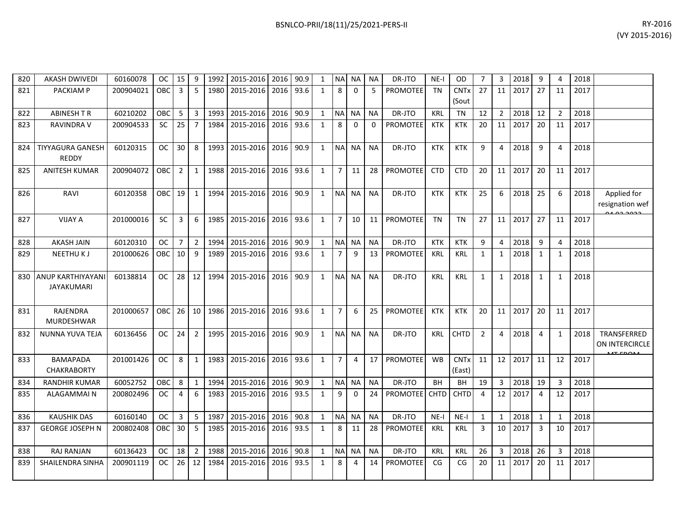| BSNLCO-PRII/18(11)/25/2021-PERS-II | RY-2016 |
|------------------------------------|---------|
|                                    | .       |

| 820 | <b>AKASH DWIVEDI</b>   | 60160078  | OC.           | 15             | 9              | 1992 | 2015-2016 2016 90.9 |      |      | 1            |                | NA NA          | NA        | DR-JTO          | $NE-I$      | <b>OD</b>              | $\overline{7}$ | 3              | 2018 | 9              | 4              | 2018 |                 |
|-----|------------------------|-----------|---------------|----------------|----------------|------|---------------------|------|------|--------------|----------------|----------------|-----------|-----------------|-------------|------------------------|----------------|----------------|------|----------------|----------------|------|-----------------|
| 821 | <b>PACKIAM P</b>       | 200904021 | OBC           | 3              | 5              | 1980 | 2015-2016           | 2016 | 93.6 | $\mathbf{1}$ | 8              | $\Omega$       | 5         | <b>PROMOTEE</b> | <b>TN</b>   | <b>CNT<sub>x</sub></b> | 27             | 11             | 2017 | 27             | 11             | 2017 |                 |
|     |                        |           |               |                |                |      |                     |      |      |              |                |                |           |                 |             | (Sout                  |                |                |      |                |                |      |                 |
| 822 | <b>ABINESH T R</b>     | 60210202  | OBC           | 5              | 3              | 1993 | 2015-2016           | 2016 | 90.9 | $\mathbf{1}$ | <b>NA</b>      | <b>NA</b>      | <b>NA</b> | DR-JTO          | <b>KRL</b>  | <b>TN</b>              | 12             | $\overline{2}$ | 2018 | 12             | $\overline{2}$ | 2018 |                 |
| 823 | <b>RAVINDRA V</b>      | 200904533 | <b>SC</b>     | 25             | $\overline{7}$ | 1984 | 2015-2016           | 2016 | 93.6 | 1            | 8              | $\Omega$       | $\Omega$  | <b>PROMOTEE</b> | <b>KTK</b>  | <b>KTK</b>             | 20             | 11             | 2017 | 20             | 11             | 2017 |                 |
|     |                        |           |               |                |                |      |                     |      |      |              |                |                |           |                 |             |                        |                |                |      |                |                |      |                 |
| 824 | TIYYAGURA GANESH       | 60120315  | <b>OC</b>     | 30             | 8              | 1993 | 2015-2016           | 2016 | 90.9 | $\mathbf{1}$ | <b>NA</b>      | <b>NA</b>      | <b>NA</b> | DR-JTO          | <b>KTK</b>  | <b>KTK</b>             | 9              | $\overline{a}$ | 2018 | 9              | 4              | 2018 |                 |
|     | REDDY                  |           |               |                |                |      |                     |      |      |              |                |                |           |                 |             |                        |                |                |      |                |                |      |                 |
| 825 | <b>ANITESH KUMAR</b>   | 200904072 | <b>OBC</b>    | 2              | $\mathbf{1}$   | 1988 | 2015-2016           | 2016 | 93.6 | $\mathbf{1}$ | $\overline{7}$ | 11             | 28        | PROMOTEE        | <b>CTD</b>  | <b>CTD</b>             | 20             | 11             | 2017 | 20             | 11             | 2017 |                 |
|     |                        |           |               |                |                |      |                     |      |      |              |                |                |           |                 |             |                        |                |                |      |                |                |      |                 |
| 826 | RAVI                   | 60120358  | OBC I         | 19             | 1              | 1994 | 2015-2016           | 2016 | 90.9 | $\mathbf{1}$ | <b>NA</b>      | <b>NA</b>      | <b>NA</b> | DR-JTO          | <b>KTK</b>  | <b>KTK</b>             | 25             | 6              | 2018 | 25             | 6              | 2018 | Applied for     |
|     |                        |           |               |                |                |      |                     |      |      |              |                |                |           |                 |             |                        |                |                |      |                |                |      | resignation wef |
| 827 | <b>VIJAY A</b>         | 201000016 | SC            | 3              | 6              | 1985 | 2015-2016           | 2016 | 93.6 | $\mathbf{1}$ | $\overline{7}$ | 10             | 11        | <b>PROMOTEE</b> | <b>TN</b>   | <b>TN</b>              | 27             | 11             | 2017 | 27             | 11             | 2017 |                 |
|     |                        |           |               |                |                |      |                     |      |      |              |                |                |           |                 |             |                        |                |                |      |                |                |      |                 |
| 828 | <b>AKASH JAIN</b>      | 60120310  | <b>OC</b>     | $\overline{7}$ | $\overline{2}$ | 1994 | 2015-2016           | 2016 | 90.9 | $\mathbf{1}$ | <b>NA</b>      | <b>NA</b>      | <b>NA</b> | DR-JTO          | <b>KTK</b>  | <b>KTK</b>             | 9              | $\overline{4}$ | 2018 | 9              | $\overline{4}$ | 2018 |                 |
| 829 | <b>NEETHUKJ</b>        | 201000626 | OBC.          | 10             | 9              | 1989 | 2015-2016           | 2016 | 93.6 | $\mathbf{1}$ | $\overline{7}$ | 9              | 13        | <b>PROMOTEE</b> | <b>KRL</b>  | <b>KRL</b>             | 1              | 1              | 2018 | 1              | 1              | 2018 |                 |
|     |                        |           |               |                |                |      |                     |      |      |              |                |                |           |                 |             |                        |                |                |      |                |                |      |                 |
| 830 | ANUP KARTHIYAYANI      | 60138814  | <b>OC</b>     | 28             | 12             | 1994 | 2015-2016           | 2016 | 90.9 | $\mathbf{1}$ | <b>NA</b>      | <b>NA</b>      | <b>NA</b> | DR-JTO          | <b>KRL</b>  | <b>KRL</b>             | $\mathbf{1}$   | $\mathbf{1}$   | 2018 | 1              | $\mathbf{1}$   | 2018 |                 |
|     | JAYAKUMARI             |           |               |                |                |      |                     |      |      |              |                |                |           |                 |             |                        |                |                |      |                |                |      |                 |
|     |                        |           |               |                |                |      |                     |      |      |              |                |                |           |                 |             |                        |                |                |      |                |                |      |                 |
| 831 | <b>RAJENDRA</b>        | 201000657 | OBC I         | 26             | 10             | 1986 | 2015-2016           | 2016 | 93.6 | $\mathbf{1}$ | $\overline{7}$ | 6              | 25        | <b>PROMOTEE</b> | KTK         | <b>KTK</b>             | 20             | 11             | 2017 | 20             | 11             | 2017 |                 |
|     | <b>MURDESHWAR</b>      |           |               |                |                |      |                     |      |      |              |                |                |           |                 |             |                        |                |                |      |                |                |      |                 |
| 832 | NUNNA YUVA TEJA        | 60136456  | <b>OC</b>     | 24             | $\overline{2}$ | 1995 | 2015-2016           | 2016 | 90.9 | $\mathbf{1}$ | <b>NA</b>      | <b>NA</b>      | <b>NA</b> | DR-JTO          | <b>KRL</b>  | <b>CHTD</b>            | $\overline{2}$ | $\overline{a}$ | 2018 | 4              | $\mathbf{1}$   | 2018 | TRANSFERRED     |
|     |                        |           |               |                |                |      |                     |      |      |              |                |                |           |                 |             |                        |                |                |      |                |                |      | ON INTERCIRCLE  |
|     | <b>BAMAPADA</b>        | 201001426 | <b>OC</b>     | 8              | $\mathbf{1}$   | 1983 | 2015-2016           | 2016 | 93.6 | $\mathbf{1}$ | $\overline{7}$ | $\overline{4}$ | 17        | <b>PROMOTEE</b> | <b>WB</b>   | <b>CNTx</b>            | 11             | 12             | 2017 | 11             | 12             |      |                 |
| 833 | <b>CHAKRABORTY</b>     |           |               |                |                |      |                     |      |      |              |                |                |           |                 |             | (East)                 |                |                |      |                |                | 2017 |                 |
| 834 | <b>RANDHIR KUMAR</b>   | 60052752  | OBC           | 8              | $\mathbf{1}$   | 1994 | 2015-2016           | 2016 | 90.9 | $\mathbf{1}$ | <b>NA</b>      | <b>NA</b>      | <b>NA</b> | DR-JTO          | BH          | BH                     | 19             | 3              | 2018 | 19             | $\overline{3}$ | 2018 |                 |
|     |                        |           |               |                | 6              |      | 2015-2016           | 2016 | 93.5 |              | 9              | $\Omega$       |           | <b>PROMOTEE</b> |             | <b>CHTD</b>            | $\overline{4}$ |                | 2017 | $\overline{4}$ | 12             |      |                 |
| 835 | <b>ALAGAMMAIN</b>      | 200802496 | <sub>OC</sub> | 4              |                | 1983 |                     |      |      | $\mathbf{1}$ |                |                | 24        |                 | <b>CHTD</b> |                        |                | 12             |      |                |                | 2017 |                 |
|     | <b>KAUSHIK DAS</b>     | 60160140  | <b>OC</b>     | 3              | 5              | 1987 | 2015-2016           | 2016 | 90.8 |              | <b>NA</b>      | <b>NA</b>      | <b>NA</b> | DR-JTO          | $NE-I$      | $NE-I$                 | 1              | $\mathbf{1}$   | 2018 | $\mathbf{1}$   | $\mathbf{1}$   | 2018 |                 |
| 836 | <b>GEORGE JOSEPH N</b> |           |               |                |                |      |                     |      |      | $\mathbf{1}$ |                |                |           |                 |             |                        |                |                |      |                |                |      |                 |
| 837 |                        | 200802408 | OBC.          | 30             | 5              | 1985 | 2015-2016           | 2016 | 93.5 | $\mathbf{1}$ | 8              | 11             | 28        | <b>PROMOTEE</b> | <b>KRL</b>  | <b>KRL</b>             | 3              | 10             | 2017 | 3              | 10             | 2017 |                 |
|     |                        |           |               |                |                |      |                     | 2016 |      |              |                |                |           |                 |             |                        |                |                |      |                |                |      |                 |
| 838 | <b>RAJ RANJAN</b>      | 60136423  | ОC            | 18<br>26       | 2<br>12        | 1988 | 2015-2016           |      | 90.8 | 1            | <b>NA</b><br>8 | NA             | <b>NA</b> | DR-JTO          | <b>KRL</b>  | <b>KRL</b>             | 26             | 3              | 2018 | 26             | 3              | 2018 |                 |
| 839 | SHAILENDRA SINHA       | 200901119 | ОC            |                |                | 1984 | 2015-2016           | 2016 | 93.5 | 1            |                | 4              | 14        | <b>PROMOTEE</b> | CG          | CG                     | 20             | 11             | 2017 | 20             | 11             | 2017 |                 |
|     |                        |           |               |                |                |      |                     |      |      |              |                |                |           |                 |             |                        |                |                |      |                |                |      |                 |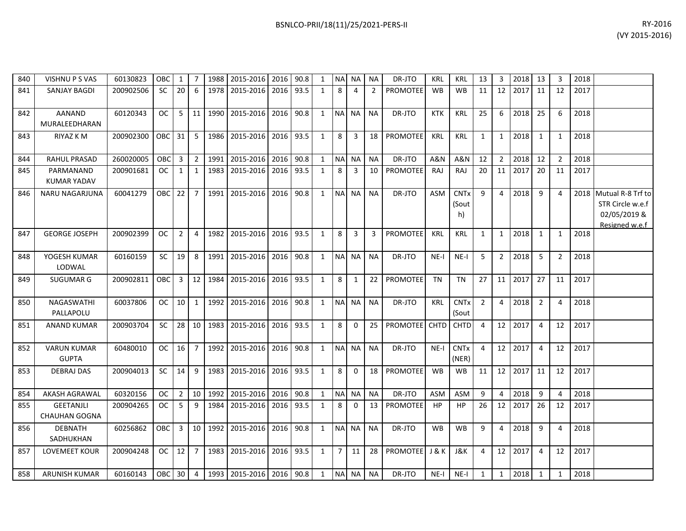| 840 | VISHNU P S VAS                           | 60130823  | <b>OBC</b> | 1               | 7               |      | 1988 2015-2016 2016 90.8 |           |      | 1            |                | NA NA NA     |                 | DR-JTO          | <b>KRL</b> | <b>KRL</b>                            | 13             | 3              | 2018 13 |                | 3              | 2018 |                                                                         |
|-----|------------------------------------------|-----------|------------|-----------------|-----------------|------|--------------------------|-----------|------|--------------|----------------|--------------|-----------------|-----------------|------------|---------------------------------------|----------------|----------------|---------|----------------|----------------|------|-------------------------------------------------------------------------|
| 841 | SANJAY BAGDI                             | 200902506 | <b>SC</b>  | 20              | 6               |      | 1978 2015-2016           | 2016      | 93.5 | 1            | 8              | 4            | $\overline{2}$  | <b>PROMOTEE</b> | <b>WB</b>  | <b>WB</b>                             | 11             | 12             | 2017    | 11             | 12             | 2017 |                                                                         |
| 842 | <b>AANAND</b><br>MURALEEDHARAN           | 60120343  | <b>OC</b>  | 5               | 11              | 1990 | 2015-2016                | 2016 90.8 |      | $\mathbf{1}$ | NA NA          |              | <b>NA</b>       | DR-JTO          | <b>KTK</b> | <b>KRL</b>                            | 25             | 6              | 2018    | 25             | 6              | 2018 |                                                                         |
| 843 | RIYAZ K M                                | 200902300 | OBC        | 31              | -5              | 1986 | 2015-2016                | 2016      | 93.5 | $\mathbf{1}$ | 8              | 3            | 18              | <b>PROMOTEE</b> | <b>KRL</b> | <b>KRL</b>                            | 1              | 1              | 2018    | 1              | 1              | 2018 |                                                                         |
| 844 | <b>RAHUL PRASAD</b>                      | 260020005 | OBC        | $\overline{3}$  | $\overline{2}$  | 1991 | 2015-2016                | 2016      | 90.8 | 1            |                | NA NA        | <b>NA</b>       | DR-JTO          | A&N        | <b>A&amp;N</b>                        | 12             | $\overline{2}$ | 2018    | 12             | $\overline{2}$ | 2018 |                                                                         |
| 845 | PARMANAND<br><b>KUMAR YADAV</b>          | 200901681 | <b>OC</b>  | $\mathbf{1}$    | $\mathbf{1}$    | 1983 | 2015-2016                | 2016      | 93.5 | 1            | 8              | 3            | 10              | PROMOTEE        | RAJ        | RAJ                                   | 20             | 11             | 2017    | 20             | 11             | 2017 |                                                                         |
| 846 | NARU NAGARJUNA                           | 60041279  | <b>OBC</b> | 22              | $\overline{7}$  |      | 1991 2015-2016           | 2016      | 90.8 | $\mathbf{1}$ |                | NA NA        | <b>NA</b>       | DR-JTO          | ASM        | <b>CNT<sub>x</sub></b><br>(Sout<br>h) | 9              | 4              | 2018    | 9              | $\overline{4}$ | 2018 | Mutual R-8 Trf to<br>STR Circle w.e.f<br>02/05/2019 &<br>Resigned w.e.f |
| 847 | <b>GEORGE JOSEPH</b>                     | 200902399 | OC.        | $\overline{2}$  | $\overline{4}$  | 1982 | 2015-2016                | 2016      | 93.5 | 1            | 8              | 3            | 3               | <b>PROMOTEE</b> | <b>KRL</b> | <b>KRL</b>                            | 1              | 1              | 2018    | $\mathbf{1}$   | 1              | 2018 |                                                                         |
| 848 | YOGESH KUMAR<br>LODWAL                   | 60160159  | <b>SC</b>  | 19              | 8               | 1991 | 2015-2016                | 2016      | 90.8 | 1            |                | NA NA        | <b>NA</b>       | DR-JTO          | $NE-I$     | $NE-I$                                | 5              | $\overline{2}$ | 2018    | 5              | $\overline{2}$ | 2018 |                                                                         |
| 849 | <b>SUGUMAR G</b>                         | 200902811 | <b>OBC</b> | 3               | 12              |      | 1984 2015-2016           | 2016      | 93.5 | $\mathbf{1}$ | 8              | 1            | 22              | <b>PROMOTEE</b> | <b>TN</b>  | <b>TN</b>                             | 27             | 11             | 2017    | 27             | 11             | 2017 |                                                                         |
| 850 | NAGASWATHI<br>PALLAPOLU                  | 60037806  | <b>OC</b>  | 10 <sup>1</sup> | $\mathbf{1}$    |      | 1992 2015-2016 2016      |           | 90.8 | $\mathbf{1}$ |                | NA NA        | <b>NA</b>       | DR-JTO          | <b>KRL</b> | <b>CNT<sub>x</sub></b><br>(Sout       | $\overline{2}$ | 4              | 2018    | $\overline{2}$ | $\overline{4}$ | 2018 |                                                                         |
| 851 | <b>ANAND KUMAR</b>                       | 200903704 | <b>SC</b>  | 28              | 10 <sup>1</sup> |      | 1983 2015-2016 2016 93.5 |           |      | $\mathbf{1}$ | 8              | $\mathbf{0}$ | 25              | PROMOTEE CHTD   |            | <b>CHTD</b>                           | 4              | 12             | 2017    | 4              | 12             | 2017 |                                                                         |
| 852 | <b>VARUN KUMAR</b><br><b>GUPTA</b>       | 60480010  | OC.        | 16              | $\overline{7}$  |      | 1992 2015-2016 2016      |           | 90.8 | $\mathbf{1}$ |                | NA NA        | <b>NA</b>       | DR-JTO          | $NE-I$     | <b>CNT<sub>x</sub></b><br>(NER)       | $\overline{4}$ | 12             | 2017    | 4              | 12             | 2017 |                                                                         |
| 853 | <b>DEBRAJ DAS</b>                        | 200904013 | <b>SC</b>  | 14              | 9               | 1983 | 2015-2016                | 2016      | 93.5 | $\mathbf{1}$ | 8              | $\Omega$     | 18              | <b>PROMOTEE</b> | <b>WB</b>  | <b>WB</b>                             | 11             | 12             | 2017    | 11             | 12             | 2017 |                                                                         |
| 854 | <b>AKASH AGRAWAL</b>                     | 60320156  | <b>OC</b>  | $\overline{2}$  | 10              | 1992 | 2015-2016                | 2016      | 90.8 | $\mathbf{1}$ |                | NA NA        | <b>NA</b>       | DR-JTO          | <b>ASM</b> | ASM                                   | 9              | 4              | 2018    | 9              | $\overline{4}$ | 2018 |                                                                         |
| 855 | <b>GEETANJLI</b><br><b>CHAUHAN GOGNA</b> | 200904265 | <b>OC</b>  | 5               | 9               | 1984 | 2015-2016                | 2016      | 93.5 | 1            | 8              | $\Omega$     | 13              | <b>PROMOTEE</b> | HP         | HP                                    | 26             | 12             | 2017    | 26             | 12             | 2017 |                                                                         |
| 856 | <b>DEBNATH</b><br>SADHUKHAN              | 60256862  | <b>OBC</b> | 3               | 10              |      | 1992 2015-2016 2016 90.8 |           |      | $\mathbf{1}$ | NA NA          |              | <b>NA</b>       | DR-JTO          | <b>WB</b>  | <b>WB</b>                             | 9              | $\overline{a}$ | 2018    | 9              | $\overline{4}$ | 2018 |                                                                         |
| 857 | LOVEMEET KOUR                            | 200904248 | OC .       | 12              | $\overline{7}$  |      | 1983 2015-2016 2016 93.5 |           |      | $\mathbf{1}$ | $\overline{7}$ | 11           | 28 <sup>1</sup> | PROMOTEE J & K  |            | J&K                                   | 4              | 12             | 2017    | $\overline{4}$ | 12             | 2017 |                                                                         |
| 858 | <b>ARUNISH KUMAR</b>                     | 60160143  | OBC 30     |                 | $\overline{4}$  |      | 1993 2015-2016 2016 90.8 |           |      | 1            |                | NA NA        | <b>NA</b>       | DR-JTO          | $NE-I$     | $NE-I$                                | 1              | 1              | 2018    | $\mathbf{1}$   | $\mathbf{1}$   | 2018 |                                                                         |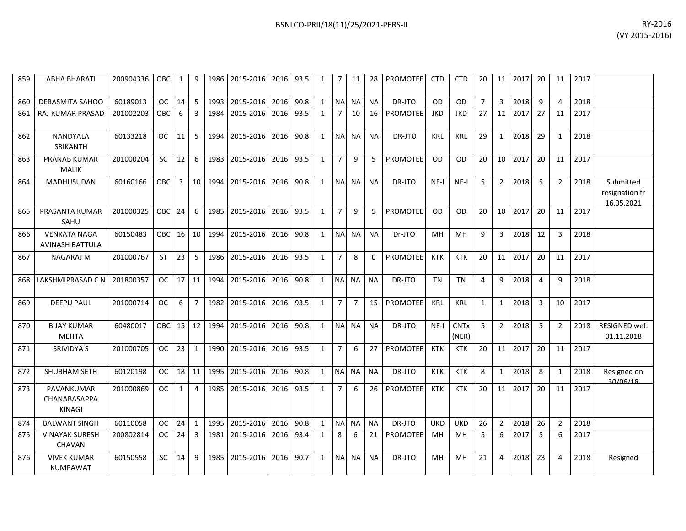| 859 | ABHA BHARATI           | 200904336 | OBC I         |                 | 9  |        | 1986 2015-2016                 | 2016 93.5 |      |   | 7 | 11    | 28              | <b>PROMOTEE</b> | <b>CTD</b> | <b>CTD</b> | 20 | 11              | 2017 | -20 | 11 | 2017 |  |
|-----|------------------------|-----------|---------------|-----------------|----|--------|--------------------------------|-----------|------|---|---|-------|-----------------|-----------------|------------|------------|----|-----------------|------|-----|----|------|--|
| 860 | DEBASMITA SAHOO        | 60189013  | OC I          | 14 I            |    |        | 1993 2015-2016                 | 2016      | 90.8 | 1 |   | NA NA | NA.             | DR-JTO          | <b>OD</b>  | OD         |    |                 | 2018 |     | 4  | 2018 |  |
|     | 861   RAJ KUMAR PRASAD | 201002203 | OBC I         | 6               | 3  | 1984 L | 2015-2016                      | 2016      | 93.5 |   |   | 10    | 16 <sup>1</sup> | PROMOTEE        | <b>JKD</b> | <b>JKD</b> | 27 | 11              | 2017 | 27  | 11 | 2017 |  |
| 862 | NANDYALA<br>SRIKANTH   | 60133218  | <sub>OC</sub> | 11 I            | 5. |        | 1994 2015-2016                 | 2016      | 90.8 | 1 |   | NA NA | <b>NA</b>       | DR-JTO          | <b>KRL</b> | <b>KRL</b> | 29 |                 | 2018 | -29 |    | 2018 |  |
| 863 | <b>PRANAB KUMAR</b>    | 201000204 | SC I          | 12 <sub>1</sub> | 6  |        | 1983   2015-2016   2016   93.5 |           |      |   |   | 9     |                 | <b>PROMOTEE</b> | <b>OD</b>  | OD         | 20 | 10 <sup>1</sup> | 2017 | -20 | 11 | 2017 |  |

| 860 | <b>DEBASMITA SAHOO</b>                        | 60189013  | <b>OC</b>  | 14              | 5               | 1993 | 2015-2016 | 2016 | 90.8 | 1            | <b>NA</b>      | <b>NA</b>      | <b>NA</b> | DR-JTO          | <b>OD</b>  | <b>OD</b>                       | $\overline{7}$ | 3              | 2018 | 9              | 4              | 2018 |                                           |
|-----|-----------------------------------------------|-----------|------------|-----------------|-----------------|------|-----------|------|------|--------------|----------------|----------------|-----------|-----------------|------------|---------------------------------|----------------|----------------|------|----------------|----------------|------|-------------------------------------------|
| 861 | <b>RAJ KUMAR PRASAD</b>                       | 201002203 | <b>OBC</b> | 6               | 3               | 1984 | 2015-2016 | 2016 | 93.5 | $\mathbf{1}$ | $\overline{7}$ | 10             | 16        | <b>PROMOTEE</b> | <b>JKD</b> | <b>JKD</b>                      | 27             | 11             | 2017 | 27             | 11             | 2017 |                                           |
| 862 | <b>NANDYALA</b><br>SRIKANTH                   | 60133218  | OC.        | 11              | 5.              | 1994 | 2015-2016 | 2016 | 90.8 | $\mathbf{1}$ | <b>NA</b>      | <b>NA</b>      | <b>NA</b> | DR-JTO          | KRL        | <b>KRL</b>                      | 29             | $\mathbf{1}$   | 2018 | 29             | 1              | 2018 |                                           |
| 863 | <b>PRANAB KUMAR</b><br><b>MALIK</b>           | 201000204 | <b>SC</b>  | 12              | 6               | 1983 | 2015-2016 | 2016 | 93.5 | 1            | $\overline{7}$ | q              | .5        | <b>PROMOTEE</b> | 0D         | OD                              | 20             | 10             | 2017 | 20             | 11             | 2017 |                                           |
| 864 | <b>MADHUSUDAN</b>                             | 60160166  | <b>OBC</b> | $\mathbf{3}$    | 10 <sup>1</sup> | 1994 | 2015-2016 | 2016 | 90.8 | $\mathbf{1}$ | <b>NA</b>      | <b>NA</b>      | <b>NA</b> | DR-JTO          | $NF-I$     | $NE-I$                          | 5              | 2              | 2018 | -5             | 2              | 2018 | Submitted<br>resignation fr<br>16.05.2021 |
| 865 | PRASANTA KUMAR<br>SAHU                        | 201000325 | OBC        | 24              | 6               | 1985 | 2015-2016 | 2016 | 93.5 | 1            | $\overline{7}$ | $\mathsf{q}$   | 5         | <b>PROMOTEE</b> | <b>OD</b>  | <b>OD</b>                       | 20             | 10             | 2017 | 20             | 11             | 2017 |                                           |
| 866 | <b>VENKATA NAGA</b><br><b>AVINASH BATTULA</b> | 60150483  | <b>OBC</b> | 16              | 10              | 1994 | 2015-2016 | 2016 | 90.8 | $\mathbf{1}$ | <b>NA</b>      | <b>NA</b>      | <b>NA</b> | Dr-JTO          | MН         | MН                              | 9              | 3              | 2018 | 12             | 3              | 2018 |                                           |
| 867 | <b>NAGARAJ M</b>                              | 201000767 | <b>ST</b>  | 23              | 5               | 1986 | 2015-2016 | 2016 | 93.5 | $\mathbf{1}$ | $\overline{7}$ | 8              | $\Omega$  | <b>PROMOTEE</b> | <b>KTK</b> | <b>KTK</b>                      | 20             | 11             | 2017 | 20             | 11             | 2017 |                                           |
| 868 | LAKSHMIPRASAD C N                             | 201800357 | OC         | 17 <sup>1</sup> | 11 <sup>1</sup> | 1994 | 2015-2016 | 2016 | 90.8 | 1            | <b>NA</b>      | <b>NA</b>      | <b>NA</b> | DR-JTO          | <b>TN</b>  | <b>TN</b>                       | 4              | 9              | 2018 | $\overline{4}$ | q              | 2018 |                                           |
| 869 | <b>DEEPU PAUL</b>                             | 201000714 | <b>OC</b>  | 6               | $\overline{7}$  | 1982 | 2015-2016 | 2016 | 93.5 | 1            | $\overline{7}$ | $\overline{7}$ | 15        | <b>PROMOTEE</b> | <b>KRL</b> | <b>KRL</b>                      | $\mathbf{1}$   | $\mathbf{1}$   | 2018 | 3              | 10             | 2017 |                                           |
| 870 | <b>BIJAY KUMAR</b><br><b>MEHTA</b>            | 60480017  | OBC        | 15              | 12 <sup>1</sup> | 1994 | 2015-2016 | 2016 | 90.8 | 1            | <b>NA</b>      | <b>NA</b>      | <b>NA</b> | DR-JTO          | $NE-I$     | <b>CNT<sub>x</sub></b><br>(NER) | 5              | $\overline{2}$ | 2018 | -5             | $\overline{2}$ | 2018 | RESIGNED wef.<br>01.11.2018               |
| 871 | SRIVIDYA S                                    | 201000705 | <b>OC</b>  | 23              | 1               | 1990 | 2015-2016 | 2016 | 93.5 | 1            | 7              | 6              | 27        | <b>PROMOTEE</b> | <b>KTK</b> | <b>KTK</b>                      | 20             | 11             | 2017 | 20             | 11             | 2017 |                                           |
| 872 | SHUBHAM SETH                                  | 60120198  | OC.        | 18              | 11              | 1995 | 2015-2016 | 2016 | 90.8 | 1            | <b>NA</b>      | <b>NA</b>      | <b>NA</b> | DR-JTO          | <b>KTK</b> | <b>KTK</b>                      | 8              | 1              | 2018 | 8              | 1              | 2018 | Resigned on<br>30/06/18                   |
| 873 | PAVANKUMAR<br>CHANABASAPPA<br><b>KINAGI</b>   | 201000869 | <b>OC</b>  | $\mathbf{1}$    | 4               | 1985 | 2015-2016 | 2016 | 93.5 | $\mathbf{1}$ | $\overline{7}$ | 6              | 26        | <b>PROMOTEE</b> | <b>KTK</b> | <b>KTK</b>                      | 20             | 11             | 2017 | 20             | 11             | 2017 |                                           |
| 874 | <b>BALWANT SINGH</b>                          | 60110058  | OC.        | 24              | $\mathbf{1}$    | 1995 | 2015-2016 | 2016 | 90.8 | $\mathbf{1}$ | <b>NA</b>      | <b>NA</b>      | <b>NA</b> | DR-JTO          | <b>UKD</b> | UKD                             | 26             | $\mathcal{P}$  | 2018 | 26             | $\overline{2}$ | 2018 |                                           |
| 875 | <b>VINAYAK SURESH</b><br><b>CHAVAN</b>        | 200802814 | <b>OC</b>  | 24              | 3               | 1981 | 2015-2016 | 2016 | 93.4 | 1            | 8              | 6              | 21        | <b>PROMOTEE</b> | MH         | MH                              | 5              | 6              | 2017 | 5              | 6              | 2017 |                                           |
| 876 | <b>VIVEK KUMAR</b><br><b>KUMPAWAT</b>         | 60150558  | <b>SC</b>  | 14              | 9               | 1985 | 2015-2016 | 2016 | 90.7 | $\mathbf{1}$ | <b>NA</b>      | <b>NA</b>      | <b>NA</b> | DR-JTO          | <b>MH</b>  | MH                              | 21             | 4              | 2018 | 23             | 4              | 2018 | Resigned                                  |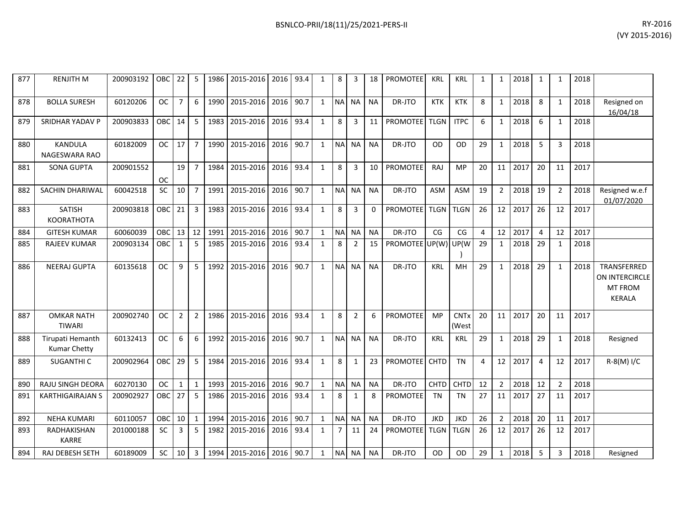| 877 | <b>RENJITH M</b>                        | 200903192 | OBC        | 22             | 5              | 1986 | 2015-2016 2016      |      | 93.4 | $\mathbf{1}$ | 8              | 3              | 18          | <b>PROMOTEE</b>      | <b>KRL</b>  | <b>KRL</b>           | $\mathbf{1}$ | $\mathbf{1}$   | 2018 | $\mathbf{1}$   |                | 2018 |                                                           |
|-----|-----------------------------------------|-----------|------------|----------------|----------------|------|---------------------|------|------|--------------|----------------|----------------|-------------|----------------------|-------------|----------------------|--------------|----------------|------|----------------|----------------|------|-----------------------------------------------------------|
| 878 | <b>BOLLA SURESH</b>                     | 60120206  | <b>OC</b>  | $\overline{7}$ | 6              | 1990 | 2015-2016           | 2016 | 90.7 | $\mathbf{1}$ |                | NA NA          | <b>NA</b>   | DR-JTO               | <b>KTK</b>  | <b>KTK</b>           | 8            | $\mathbf{1}$   | 2018 | 8              | $\mathbf{1}$   | 2018 | Resigned on<br>16/04/18                                   |
| 879 | SRIDHAR YADAV P                         | 200903833 | OBC        | 14             | 5              | 1983 | 2015-2016           | 2016 | 93.4 | $\mathbf{1}$ | 8              | 3              | 11          | <b>PROMOTEE</b>      | <b>TLGN</b> | <b>ITPC</b>          | 6            | $\mathbf{1}$   | 2018 | 6              | 1              | 2018 |                                                           |
| 880 | <b>KANDULA</b><br>NAGESWARA RAO         | 60182009  | <b>OC</b>  | 17             | $\overline{7}$ | 1990 | 2015-2016           | 2016 | 90.7 | $\mathbf{1}$ | <b>NA</b>      | <b>NA</b>      | <b>NA</b>   | DR-JTO               | OD          | <b>OD</b>            | 29           | $\mathbf{1}$   | 2018 | 5              | 3              | 2018 |                                                           |
| 881 | <b>SONA GUPTA</b>                       | 200901552 | <b>OC</b>  | 19             | $\overline{7}$ | 1984 | 2015-2016 2016      |      | 93.4 | $\mathbf{1}$ | 8              | 3              | 10          | PROMOTEE             | <b>RAJ</b>  | <b>MP</b>            | 20           | 11             | 2017 | 20             | 11             | 2017 |                                                           |
| 882 | SACHIN DHARIWAL                         | 60042518  | SC         | 10             | $\overline{7}$ | 1991 | 2015-2016           | 2016 | 90.7 | $\mathbf{1}$ | <b>NA</b>      | <b>NA</b>      | <b>NA</b>   | DR-JTO               | <b>ASM</b>  | <b>ASM</b>           | 19           | $\overline{2}$ | 2018 | 19             | $\overline{2}$ | 2018 | Resigned w.e.f<br>01/07/2020                              |
| 883 | <b>SATISH</b><br>KOORATHOTA             | 200903818 | <b>OBC</b> | 21             | 3              | 1983 | 2015-2016           | 2016 | 93.4 | $\mathbf{1}$ | 8              | 3              | $\mathbf 0$ | <b>PROMOTEE</b>      | <b>TLGN</b> | <b>TLGN</b>          | 26           | 12             | 2017 | 26             | 12             | 2017 |                                                           |
| 884 | <b>GITESH KUMAR</b>                     | 60060039  | <b>OBC</b> | 13             | 12             | 1991 | 2015-2016           | 2016 | 90.7 | $\mathbf{1}$ | <b>NA</b>      | <b>NA</b>      | <b>NA</b>   | DR-JTO               | CG          | CG                   | 4            | 12             | 2017 | $\overline{4}$ | 12             | 2017 |                                                           |
| 885 | <b>RAJEEV KUMAR</b>                     | 200903134 | OBC        | 1              | 5              | 1985 | 2015-2016           | 2016 | 93.4 | $\mathbf{1}$ | 8              | 2              | 15          | PROMOTEE UP(W) UP(W) |             |                      | 29           | $\mathbf{1}$   | 2018 | 29             | $\mathbf{1}$   | 2018 |                                                           |
| 886 | <b>NEERAJ GUPTA</b>                     | 60135618  | <b>OC</b>  | 9              | 5              | 1992 | 2015-2016           | 2016 | 90.7 | $\mathbf{1}$ | <b>NA</b>      | <b>NA</b>      | <b>NA</b>   | DR-JTO               | KRL         | MH                   | 29           | $\mathbf{1}$   | 2018 | 29             | $\mathbf{1}$   | 2018 | TRANSFERRED<br>ON INTERCIRCLE<br><b>MT FROM</b><br>KERALA |
| 887 | <b>OMKAR NATH</b><br><b>TIWARI</b>      | 200902740 | <b>OC</b>  | $\overline{2}$ | $\overline{2}$ | 1986 | 2015-2016           | 2016 | 93.4 | $\mathbf{1}$ | 8              | $\overline{2}$ | 6           | PROMOTEE             | <b>MP</b>   | <b>CNTx</b><br>(West | 20           | 11             | 2017 | 20             | 11             | 2017 |                                                           |
| 888 | Tirupati Hemanth<br><b>Kumar Chetty</b> | 60132413  | <b>OC</b>  | 6              | 6              | 1992 | 2015-2016           | 2016 | 90.7 | $\mathbf{1}$ | <b>NA</b>      | <b>NA</b>      | <b>NA</b>   | DR-JTO               | <b>KRL</b>  | KRL                  | 29           | $\mathbf{1}$   | 2018 | 29             | $\mathbf{1}$   | 2018 | Resigned                                                  |
| 889 | SUGANTHI C                              | 200902964 | OBC        | 29             | 5              | 1984 | 2015-2016           | 2016 | 93.4 | $\mathbf{1}$ | 8              | $\mathbf{1}$   | 23          | PROMOTEE CHTD        |             | <b>TN</b>            | 4            | 12             | 2017 | $\overline{4}$ | 12             | 2017 | R-8(M) I/C                                                |
| 890 | RAJU SINGH DEORA                        | 60270130  | <b>OC</b>  | $\mathbf{1}$   | $\mathbf{1}$   | 1993 | 2015-2016           | 2016 | 90.7 | $\mathbf{1}$ | <b>NA</b>      | <b>NA</b>      | <b>NA</b>   | DR-JTO               | <b>CHTD</b> | CHTD                 | 12           | $\overline{2}$ | 2018 | 12             | $\overline{2}$ | 2018 |                                                           |
| 891 | <b>KARTHIGAIRAJAN S</b>                 | 200902927 | <b>OBC</b> | 27             | 5              | 1986 | 2015-2016           | 2016 | 93.4 | $\mathbf{1}$ | 8              | $\mathbf{1}$   | 8           | <b>PROMOTEE</b>      | <b>TN</b>   | <b>TN</b>            | 27           | 11             | 2017 | 27             | 11             | 2017 |                                                           |
| 892 | <b>NEHA KUMARI</b>                      | 60110057  | <b>OBC</b> | 10             | $\mathbf{1}$   | 1994 | 2015-2016           | 2016 | 90.7 | $\mathbf{1}$ | <b>NA</b>      | <b>NA</b>      | <b>NA</b>   | DR-JTO               | <b>JKD</b>  | <b>JKD</b>           | 26           | $\overline{2}$ | 2018 | 20             | 11             | 2017 |                                                           |
| 893 | RADHAKISHAN<br><b>KARRE</b>             | 201000188 | SC         | 3              | 5              | 1982 | 2015-2016           | 2016 | 93.4 | $\mathbf{1}$ | 7 <sup>1</sup> | 11             | 24          | <b>PROMOTEE</b>      | <b>TLGN</b> | <b>TLGN</b>          | 26           | 12             | 2017 | 26             | 12             | 2017 |                                                           |
| 894 | RAJ DEBESH SETH                         | 60189009  | <b>SC</b>  | 10             | $\overline{3}$ |      | 1994 2015-2016 2016 |      | 90.7 | $\mathbf{1}$ | <b>NAI</b>     | <b>NA</b>      | <b>NA</b>   | DR-JTO               | <b>OD</b>   | <b>OD</b>            | 29           | $\mathbf{1}$   | 2018 | 5              | 3              | 2018 | Resigned                                                  |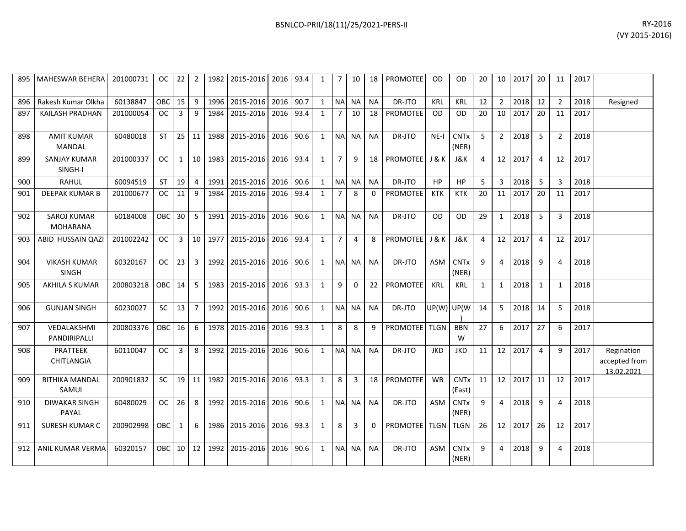|     | 895   MAHESWAR BEHERA                 | 201000731 | $OC$ 22    |                 |                  |         | 2   1982   2015-2016   2016   93.4 |           |           | 1            | 7 <sup>1</sup> | 10             |                 | 18   PROMOTEE              | <b>OD</b>   | OD.                              | 20           |                | 10 2017 20 |                | 11             | 2017 |                                           |
|-----|---------------------------------------|-----------|------------|-----------------|------------------|---------|------------------------------------|-----------|-----------|--------------|----------------|----------------|-----------------|----------------------------|-------------|----------------------------------|--------------|----------------|------------|----------------|----------------|------|-------------------------------------------|
| 896 | Rakesh Kumar Olkha                    | 60138847  | OBC        | 15              | 9                | 1996    | 2015-2016                          | 2016      | 90.7      | $\mathbf{1}$ | <b>NA</b>      | <b>NA</b>      | <b>NA</b>       | DR-JTO                     | <b>KRL</b>  | <b>KRL</b>                       | 12           | $\overline{2}$ | 2018       | 12             | $\overline{2}$ | 2018 | Resigned                                  |
| 897 | KAILASH PRADHAN                       | 201000054 | <b>OC</b>  | 3               | 9                | 1984    | 2015-2016                          | 2016      | 93.4      | 1            | $\overline{7}$ | 10             | 18              | <b>PROMOTEE</b>            | <b>OD</b>   | <b>OD</b>                        | 20           |                | 10 2017    | 20             | 11             | 2017 |                                           |
| 898 | <b>AMIT KUMAR</b><br>MANDAL           | 60480018  | <b>ST</b>  | 25              | 11               | 1988    | 2015-2016                          | 2016      | 90.6      | $\mathbf{1}$ | NA NA          |                | <b>NA</b>       | DR-JTO                     | $NE-I$      | <b>CNT<sub>x</sub></b><br>(NER)  | $5^{\circ}$  | $\overline{2}$ | 2018       | -5             | $\overline{2}$ | 2018 |                                           |
| 899 | <b>SANJAY KUMAR</b><br>SINGH-I        | 201000337 | <b>OC</b>  | $\mathbf{1}$    |                  | 10 1983 | 2015-2016                          | 2016 93.4 |           | 1            | $\overline{7}$ | 9              |                 | 18   PROMOTEE   J & K      |             | J&K                              | 4            |                | 12 2017    | $\overline{4}$ | 12             | 2017 |                                           |
| 900 | <b>RAHUL</b>                          | 60094519  | <b>ST</b>  | 19              | 4                | 1991    | 2015-2016                          | 2016 90.6 |           | 1            | NA NA          |                | <b>NA</b>       | DR-JTO                     | HP          | <b>HP</b>                        | 5            | 3              | 2018       | -5             | 3              | 2018 |                                           |
| 901 | DEEPAK KUMAR B                        | 201000677 | OC.        | 11              | 9                | 1984    | 2015-2016                          | 2016      | 93.4      | $\mathbf{1}$ | $\overline{7}$ | 8              | $\Omega$        | <b>PROMOTEE</b>            | <b>KTK</b>  | <b>KTK</b>                       | 20           | 11             | 2017       | 20             | 11             | 2017 |                                           |
| 902 | <b>SAROJ KUMAR</b><br><b>MOHARANA</b> | 60184008  | OBC        | 30 <sup>°</sup> | . <sub>5</sub> I | 1991    | 2015-2016                          | 2016 90.6 |           | 1            |                | NA NA          | <b>NA</b>       | DR-JTO                     | <b>OD</b>   | OD.                              | 29           | $\mathbf{1}$   | 2018       | -5             | 3              | 2018 |                                           |
| 903 | ABID HUSSAIN QAZI                     | 201002242 | OC.        | $\overline{3}$  |                  | 10 1977 | 2015-2016                          | 2016 93.4 |           | 1            | $\overline{7}$ | $\overline{a}$ | 8               | <b>PROMOTEEL J &amp; K</b> |             | J&K                              | 4            |                | 12 2017    | $\overline{4}$ | 12             | 2017 |                                           |
| 904 | <b>VIKASH KUMAR</b><br><b>SINGH</b>   | 60320167  | <b>OC</b>  | 23              | 3                | 1992    | 2015-2016                          | 2016 90.6 |           | 1            |                | NA NA          | <b>NA</b>       | DR-JTO                     | ASM         | <b>CNTx</b><br>(NER)             | 9            | 4              | 2018       | 9              | 4              | 2018 |                                           |
| 905 | <b>AKHILA S KUMAR</b>                 | 200803218 | <b>OBC</b> | 14              | 5                | 1983    | 2015-2016                          | 2016 93.3 |           | $\mathbf{1}$ | 9              | $\Omega$       |                 | 22 PROMOTEE                | <b>KRL</b>  | <b>KRL</b>                       | $\mathbf{1}$ | $\mathbf{1}$   | 2018       | 1              | $\mathbf{1}$   | 2018 |                                           |
| 906 | <b>GUNJAN SINGH</b>                   | 60230027  | SC         | 13              | $\overline{7}$   | 1992    | 2015-2016                          | 2016 90.6 |           | $\mathbf{1}$ |                | NA NA          | <b>NA</b>       | DR-JTO                     | UP(W) UP(W) |                                  | 14           | 5              | 2018       | 14             | 5              | 2018 |                                           |
| 907 | VEDALAKSHMI<br>PANDIRIPALLI           | 200803376 | OBC        | 16              | 6                | 1978    | 2015-2016                          | 2016 93.3 |           | $\mathbf{1}$ | 8              | 8              | q               | PROMOTEE TLGN              |             | <b>BBN</b><br>W                  | 27           | 6              | 2017       | 27             | 6              | 2017 |                                           |
| 908 | PRATTEEK<br>CHITLANGIA                | 60110047  | OC         | $\overline{3}$  | 8 I              | 1992    | 2015-2016                          | 2016 90.6 |           | 1            |                | NA NA          | <b>NA</b>       | DR-JTO                     | <b>JKD</b>  | <b>JKD</b>                       | 11           |                | 12 2017    | $\overline{4}$ | 9              | 2017 | Regination<br>accepted from<br>13.02.2021 |
| 909 | <b>BITHIKA MANDAL</b><br>SAMUI        | 200901832 | <b>SC</b>  | 19 <sup>1</sup> | 11 <sup>1</sup>  | 1982    | 2015-2016                          | 2016      | 93.3      | 1            | 8              | 3              | 18 <sup>1</sup> | <b>PROMOTEE</b>            | <b>WB</b>   | <b>CNT<sub>x</sub></b><br>(East) | 11           |                | 12 2017    | 11             | 12             | 2017 |                                           |
| 910 | <b>DIWAKAR SINGH</b><br>PAYAL         | 60480029  | OC .       | 26              | 8                | 1992    | 2015-2016                          | 2016 90.6 |           | 1            |                | NA NA          | <b>NA</b>       | DR-JTO                     | <b>ASM</b>  | <b>CNTx</b><br>(NER)             | 9            | 4              | 2018       | 9              | 4              | 2018 |                                           |
| 911 | SURESH KUMAR C                        | 200902998 | <b>OBC</b> | $\mathbf{1}$    | 6                | 1986    | 2015-2016                          |           | 2016 93.3 | $\mathbf{1}$ | 8              | 3              | $\Omega$        | PROMOTEE TLGN              |             | <b>TLGN</b>                      | 26           |                | 12 2017    | 26             | 12             | 2017 |                                           |
| 912 | ANIL KUMAR VERMA                      | 60320157  | <b>OBC</b> | 10 <sup>1</sup> | 12               | 1992    | 2015-2016                          | 2016 90.6 |           | 1            |                | NA NA          | <b>NA</b>       | DR-JTO                     | ASM         | <b>CNTx</b><br>(NER)             | 9            | 4              | 2018       | 9              | 4              | 2018 |                                           |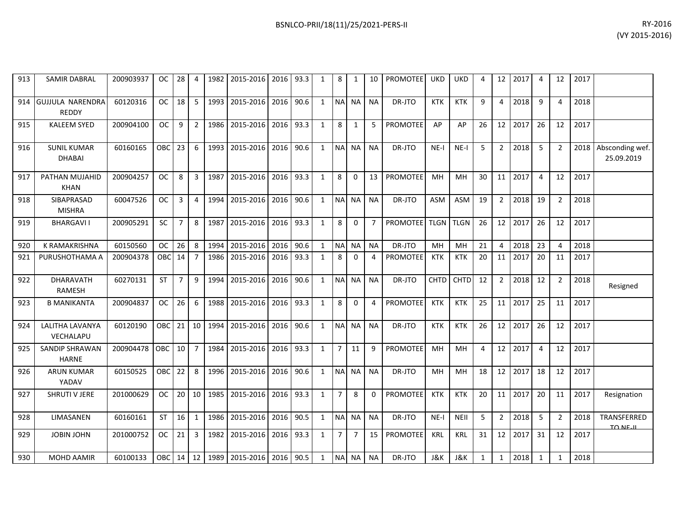| 913 | <b>SAMIR DABRAL</b>                     | 200903937 | <b>OC</b> | 28              | 4               | 1982 | 2015-2016 2016 93.3                |           |      | $\mathbf{1}$ | 8              | 1              | 10             | <b>PROMOTEE</b> | <b>UKD</b>  | <b>UKD</b>  | 4  |                         | 12 2017 | 4              | 12             | 2017 |                                |
|-----|-----------------------------------------|-----------|-----------|-----------------|-----------------|------|------------------------------------|-----------|------|--------------|----------------|----------------|----------------|-----------------|-------------|-------------|----|-------------------------|---------|----------------|----------------|------|--------------------------------|
| 914 | <b>GUJJULA NARENDRA</b><br><b>REDDY</b> | 60120316  | <b>OC</b> | 18              | 5               | 1993 | 2015-2016                          | 2016      | 90.6 | 1            | N <sub>A</sub> | <b>NA</b>      | <b>NA</b>      | DR-JTO          | <b>KTK</b>  | <b>KTK</b>  | 9  | 4                       | 2018    | 9              | Δ              | 2018 |                                |
| 915 | <b>KALEEM SYED</b>                      | 200904100 | <b>OC</b> | 9               | $\overline{2}$  | 1986 | 2015-2016                          | 2016      | 93.3 | 1            | 8              | 1              | 5              | <b>PROMOTEE</b> | AP          | AP          | 26 | 12 <sup>1</sup>         | 2017    | 26             | 12             | 2017 |                                |
| 916 | <b>SUNIL KUMAR</b><br><b>DHABAI</b>     | 60160165  | OBC       | 23              | 6               | 1993 | 2015-2016                          | 2016 90.6 |      | $\mathbf{1}$ |                | NA NA          | <b>NA</b>      | DR-JTO          | $NE-I$      | $NE-I$      | 5  | 2 <sup>1</sup>          | 2018    | 5              | 2              | 2018 | Absconding wef.<br>25.09.2019  |
| 917 | PATHAN MUJAHID<br><b>KHAN</b>           | 200904257 | <b>OC</b> | 8               | 3               | 1987 | 2015-2016                          | 2016      | 93.3 | 1            | 8              | 0              | 13             | <b>PROMOTEE</b> | MH          | MН          | 30 | 11 <sup>1</sup>         | 2017    | $\overline{4}$ | 12             | 2017 |                                |
| 918 | SIBAPRASAD<br><b>MISHRA</b>             | 60047526  | <b>OC</b> | 3               | 4               | 1994 | 2015-2016                          | 2016      | 90.6 | $\mathbf{1}$ | <b>NA</b>      | <b>NA</b>      | <b>NA</b>      | DR-JTO          | <b>ASM</b>  | ASM         | 19 | 2 <sup>1</sup>          | 2018    | 19             | $\mathfrak{D}$ | 2018 |                                |
| 919 | <b>BHARGAVII</b>                        | 200905291 | <b>SC</b> | $\overline{7}$  | 8               | 1987 | 2015-2016                          | 2016      | 93.3 | $\mathbf{1}$ | 8              | 0              | $\overline{7}$ | PROMOTEE TLGN   |             | <b>TLGN</b> | 26 |                         | 12 2017 | 26             | 12             | 2017 |                                |
| 920 | K RAMAKRISHNA                           | 60150560  | <b>OC</b> | 26              | 8               | 1994 | 2015-2016                          | 2016      | 90.6 | 1            | <b>NA</b>      | <b>NA</b>      | <b>NA</b>      | DR-JTO          | MH          | MH          | 21 | $\overline{\mathbf{A}}$ | 2018    | 23             |                | 2018 |                                |
| 921 | PURUSHOTHAMA A                          | 200904378 | OBC       | 14              | $\overline{7}$  | 1986 | 2015-2016                          | 2016      | 93.3 | 1            | 8              | $\Omega$       | Δ              | <b>PROMOTEE</b> | KTK         | <b>KTK</b>  | 20 | 11                      | 2017    | 20             | 11             | 2017 |                                |
| 922 | <b>DHARAVATH</b><br>RAMESH              | 60270131  | <b>ST</b> | $\overline{7}$  | 9               | 1994 | 2015-2016                          | 2016      | 90.6 | 1            |                | NA NA          | <b>NA</b>      | DR-JTO          | <b>CHTD</b> | <b>CHTD</b> | 12 | 2 <sup>1</sup>          | 2018    | 12             | $\overline{2}$ | 2018 | Resigned                       |
| 923 | <b>B MANIKANTA</b>                      | 200904837 | <b>OC</b> | 26              | 6               | 1988 | 2015-2016                          | 2016 93.3 |      | $\mathbf{1}$ | 8              | $\Omega$       | $\Delta$       | <b>PROMOTEE</b> | <b>KTK</b>  | <b>KTK</b>  | 25 |                         | 11 2017 | 25             | 11             | 2017 |                                |
| 924 | LALITHA LAVANYA<br>VECHALAPU            | 60120190  | OBC       | 21              | 10 <sup>1</sup> | 1994 | 2015-2016                          | 2016      | 90.6 | 1            | <b>NA</b>      | NA             | <b>NA</b>      | DR-JTO          | <b>KTK</b>  | <b>KTK</b>  | 26 |                         | 12 2017 | 26             | 12             | 2017 |                                |
| 925 | SANDIP SHRAWAN<br><b>HARNE</b>          | 200904478 | OBC       | 10 <sup>1</sup> | $\overline{7}$  | 1984 | 2015-2016                          | 2016 93.3 |      | $\mathbf{1}$ | $\overline{7}$ | 11             | 9              | <b>PROMOTEE</b> | MH          | <b>MH</b>   | 4  |                         | 12 2017 | $\overline{4}$ | 12             | 2017 |                                |
| 926 | <b>ARUN KUMAR</b><br>YADAV              | 60150525  | OBC       | 22              | 8               | 1996 | 2015-2016                          | 2016      | 90.6 | $\mathbf{1}$ |                | NA NA          | <b>NA</b>      | DR-JTO          | <b>MH</b>   | <b>MH</b>   | 18 |                         | 12 2017 | 18             | 12             | 2017 |                                |
| 927 | SHRUTI V JERE                           | 201000629 | OC        | 20 <sup>1</sup> | 10 <sup>1</sup> | 1985 | 2015-2016                          | 2016      | 93.3 | $\mathbf{1}$ | $\overline{7}$ | 8              | $\Omega$       | <b>PROMOTEE</b> | KTK         | <b>KTK</b>  | 20 | 11 <sup>1</sup>         | 2017    | 20             | 11             | 2017 | Resignation                    |
| 928 | LIMASANEN                               | 60160161  | <b>ST</b> | 16              | $\mathbf{1}$    | 1986 | 2015-2016                          | 2016      | 90.5 | $\mathbf{1}$ | <b>NA</b>      | <b>NA</b>      | <b>NA</b>      | DR-JTO          | $NE-I$      | <b>NEII</b> | 5  | $\overline{2}$          | 2018    | 5              | 2              | 2018 | TRANSFERRED<br><b>TO NE-IL</b> |
| 929 | <b>JOBIN JOHN</b>                       | 201000752 | OC.       | 21              | 3               | 1982 | 2015-2016                          | 2016      | 93.3 | $\mathbf{1}$ | $\overline{7}$ | $\overline{7}$ | 15             | <b>PROMOTEE</b> | <b>KRL</b>  | <b>KRL</b>  | 31 |                         | 12 2017 | 31             | 12             | 2017 |                                |
| 930 | MOHD AAMIR                              | 60100133  |           |                 |                 |      | OBC 14 12 1989 2015-2016 2016 90.5 |           |      | $\mathbf{1}$ |                | NA NA          | <b>NA</b>      | DR-JTO          | J&K         | J&K         | 1  | $\mathbf{1}$            | 2018    | 1              | 1              | 2018 |                                |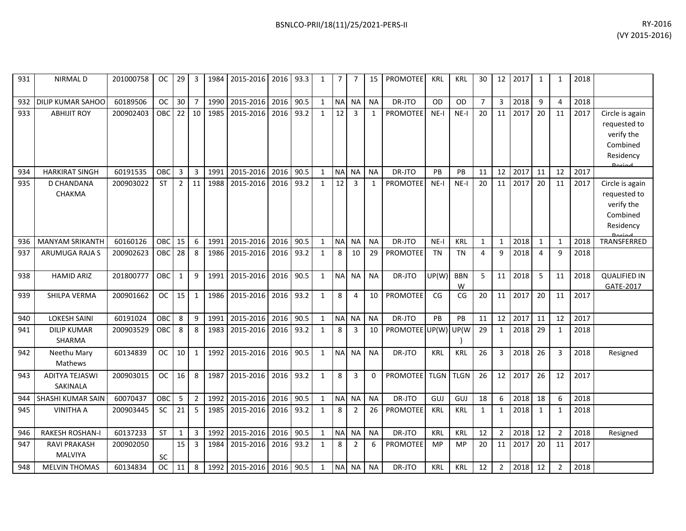| 931 | <b>NIRMALD</b>                      | 201000758 | OС            | 29             | 3              | 1984 | 2015-2016   2016   93.3  |      |      | 1            | $\overline{7}$ | 7              | 15           | PROMOTEE            | <b>KRL</b> | <b>KRL</b>      | 30             |                | 12 2017 | 1              | 1              | 2018 |                                                                        |
|-----|-------------------------------------|-----------|---------------|----------------|----------------|------|--------------------------|------|------|--------------|----------------|----------------|--------------|---------------------|------------|-----------------|----------------|----------------|---------|----------------|----------------|------|------------------------------------------------------------------------|
| 932 | DILIP KUMAR SAHOO                   | 60189506  | <b>OC</b>     | 30             | $\overline{7}$ | 1990 | 2015-2016                | 2016 | 90.5 | $\mathbf{1}$ | $\sf NA$       | <b>NA</b>      | <b>NA</b>    | DR-JTO              | OD         | <b>OD</b>       | $\overline{7}$ | 3              | 2018    | 9              | $\Delta$       | 2018 |                                                                        |
| 933 | <b>ABHIJIT ROY</b>                  | 200902403 | <b>OBC</b>    | 22             | 10             | 1985 | 2015-2016                | 2016 | 93.2 | 1            | 12             | 3              | $\mathbf{1}$ | <b>PROMOTEE</b>     | $NE-I$     | $NE-I$          | 20             | 11             | 2017    | 20             | 11             | 2017 | Circle is again<br>requested to<br>verify the<br>Combined<br>Residency |
| 934 | <b>HARKIRAT SINGH</b>               | 60191535  | OBC           | 3              | 3              | 1991 | 2015-2016                | 2016 | 90.5 | 1            | <b>NA</b>      | <b>NA</b>      | <b>NA</b>    | DR-JTO              | PB         | <b>PB</b>       | 11             | 12             | 2017    | 11             | 12             | 2017 |                                                                        |
| 935 | D CHANDANA<br>CHAKMA                | 200903022 | <b>ST</b>     | $\overline{2}$ | 11             | 1988 | 2015-2016                | 2016 | 93.2 | 1            | 12             | 3              | 1            | PROMOTEE            | $NE-I$     | $NE-I$          | 20             | 11             | 2017    | 20             | 11             | 2017 | Circle is again<br>requested to<br>verify the<br>Combined<br>Residency |
| 936 | <b>MANYAM SRIKANTH</b>              | 60160126  | OBC           | 15             | 6              | 1991 | 2015-2016                | 2016 | 90.5 | 1            | <b>NA</b>      | <b>NA</b>      | <b>NA</b>    | DR-JTO              | $NE-I$     | <b>KRL</b>      | 1              | $\mathbf{1}$   | 2018    | $\mathbf{1}$   | $\mathbf{1}$   | 2018 | TRANSFERRED                                                            |
| 937 | <b>ARUMUGA RAJA S</b>               | 200902623 | OBC           | 28             | 8              | 1986 | 2015-2016                | 2016 | 93.2 | 1            | 8              | 10             | 29           | <b>PROMOTEE</b>     | <b>TN</b>  | <b>TN</b>       | 4              | 9              | 2018    | $\overline{4}$ | 9              | 2018 |                                                                        |
| 938 | <b>HAMID ARIZ</b>                   | 201800777 | <b>OBC</b>    | $\mathbf{1}$   | 9              | 1991 | 2015-2016                | 2016 | 90.5 | $\mathbf{1}$ | <b>NA</b>      | <b>NA</b>      | <b>NA</b>    | DR-JTO              | UP(W)      | <b>BBN</b><br>W | 5              |                | 11 2018 | -5             | 11             | 2018 | <b>QUALIFIED IN</b><br>GATE-2017                                       |
| 939 | SHILPA VERMA                        | 200901662 | <b>OC</b>     | 15             | $\mathbf{1}$   | 1986 | 2015-2016                | 2016 | 93.2 | 1            | 8              | 4              | 10           | <b>PROMOTEE</b>     | CG         | CG              | 20             | 11             | 2017    | 20             | 11             | 2017 |                                                                        |
| 940 | <b>LOKESH SAINI</b>                 | 60191024  | OBC           | 8              | 9              | 1991 | 2015-2016                | 2016 | 90.5 | $\mathbf{1}$ | <b>NA</b>      | <b>NA</b>      | <b>NA</b>    | DR-JTO              | <b>PB</b>  | PB              | 11             | 12             | 2017    | 11             | 12             | 2017 |                                                                        |
| 941 | <b>DILIP KUMAR</b><br><b>SHARMA</b> | 200903529 | OBC           | 8              | 8              | 1983 | 2015-2016                | 2016 | 93.2 | 1            | 8              | 3              | 10           | PROMOTEE UP(W) UP(W |            |                 | 29             | 1              | 2018    | 29             | -1             | 2018 |                                                                        |
| 942 | Neethu Mary<br>Mathews              | 60134839  | <b>OC</b>     | 10             | $\mathbf{1}$   | 1992 | 2015-2016                | 2016 | 90.5 | 1            | N <sub>A</sub> | <b>NA</b>      | <b>NA</b>    | DR-JTO              | KRL        | <b>KRL</b>      | 26             | 3              | 2018    | 26             | 3              | 2018 | Resigned                                                               |
| 943 | <b>ADITYA TEJASWI</b><br>SAKINALA   | 200903015 | <b>OC</b>     | 16             | 8              | 1987 | 2015-2016                | 2016 | 93.2 | 1            | 8              | 3              | $\Omega$     | PROMOTEE TLGN       |            | <b>TLGN</b>     | 26             | 12             | 2017    | 26             | 12             | 2017 |                                                                        |
| 944 | SHASHI KUMAR SAIN                   | 60070437  | OBC           | 5              | $\overline{2}$ | 1992 | 2015-2016                | 2016 | 90.5 | 1            | $\sf NA$       | <b>NA</b>      | <b>NA</b>    | DR-JTO              | GUJ        | GUJ             | 18             | 6              | 2018    | 18             | 6              | 2018 |                                                                        |
| 945 | <b>VINITHA A</b>                    | 200903445 | SC            | 21             | 5              | 1985 | 2015-2016                | 2016 | 93.2 | 1            | 8              | $\overline{2}$ | 26           | PROMOTEE            | KRL        | <b>KRL</b>      | $\mathbf{1}$   | $\mathbf{1}$   | 2018    | 1              | $\mathbf 1$    | 2018 |                                                                        |
| 946 | <b>RAKESH ROSHAN-I</b>              | 60137233  | ST            | $\mathbf{1}$   | 3              | 1992 | 2015-2016                | 2016 | 90.5 | 1            | <b>NA</b>      | <b>NA</b>      | <b>NA</b>    | DR-JTO              | KRL        | <b>KRL</b>      | 12             | $\overline{2}$ | 2018    | 12             | $\overline{2}$ | 2018 | Resigned                                                               |
| 947 | RAVI PRAKASH<br>MALVIYA             | 200902050 | SC            | 15             | 3              | 1984 | 2015-2016                | 2016 | 93.2 | 1            | 8              | $\overline{2}$ | 6            | <b>PROMOTEE</b>     | <b>MP</b>  | <b>MP</b>       | 20             | 11             | 2017    | 20             | 11             | 2017 |                                                                        |
| 948 | <b>MELVIN THOMAS</b>                | 60134834  | <sub>OC</sub> | 11             | 8              |      | 1992 2015-2016 2016 90.5 |      |      | $\mathbf{1}$ | <b>NA</b>      | NA             | <b>NA</b>    | DR-JTO              | <b>KRL</b> | <b>KRL</b>      | 12             | 2              | 2018    | 12             | $\overline{2}$ | 2018 |                                                                        |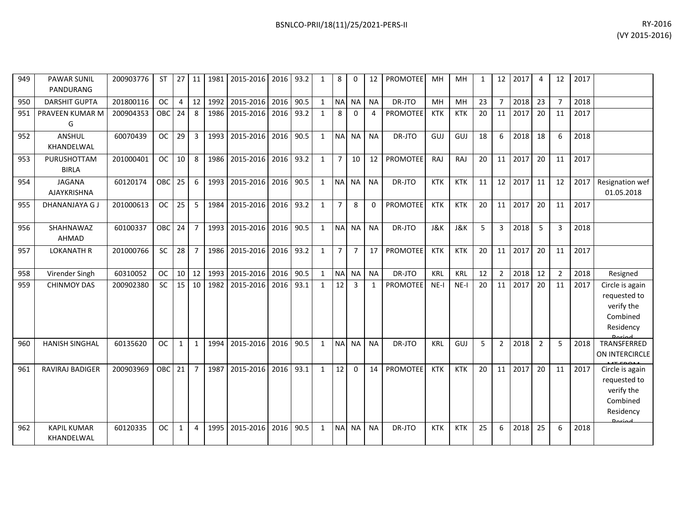| 949 | <b>PAWAR SUNIL</b><br>PANDURANG  | 200903776 | <b>ST</b>     | 27 <sup>1</sup> | 11             |      | 1981 2015-2016 2016 93.2 |      |      | 1            | 8              | $\Omega$       | 12             | <b>PROMOTEE</b> | MH             | MH             | 1  | 12             | 2017 | 4              | 12             | 2017 |                                                                                         |
|-----|----------------------------------|-----------|---------------|-----------------|----------------|------|--------------------------|------|------|--------------|----------------|----------------|----------------|-----------------|----------------|----------------|----|----------------|------|----------------|----------------|------|-----------------------------------------------------------------------------------------|
| 950 | <b>DARSHIT GUPTA</b>             | 201800116 | <b>OC</b>     |                 | $4 \mid 12$    | 1992 | 2015-2016                | 2016 | 90.5 | $\mathbf{1}$ | <b>NA</b>      | <b>NA</b>      | <b>NA</b>      | DR-JTO          | MH             | MH             | 23 | $\overline{7}$ | 2018 | 23             | $\overline{7}$ | 2018 |                                                                                         |
| 951 | PRAVEEN KUMAR M<br>G             | 200904353 | OBC           | 24              | 8              | 1986 | 2015-2016                | 2016 | 93.2 | 1            | 8              | $\Omega$       | $\overline{4}$ | <b>PROMOTEE</b> | <b>KTK</b>     | <b>KTK</b>     | 20 | 11             | 2017 | 20             | 11             | 2017 |                                                                                         |
| 952 | ANSHUL<br>KHANDELWAL             | 60070439  | <b>OC</b>     | 29              | $\overline{3}$ | 1993 | 2015-2016                | 2016 | 90.5 | 1            | <b>NA</b>      | <b>NA</b>      | <b>NA</b>      | DR-JTO          | GUJ            | GUJ            | 18 | 6              | 2018 | 18             | 6              | 2018 |                                                                                         |
| 953 | PURUSHOTTAM<br><b>BIRLA</b>      | 201000401 | OC            | 10 <sup>1</sup> | 8              | 1986 | 2015-2016                | 2016 | 93.2 | $\mathbf{1}$ | $\overline{7}$ | 10             | 12             | <b>PROMOTEE</b> | RAJ            | RAJ            | 20 | 11             | 2017 | 20             | 11             | 2017 |                                                                                         |
| 954 | <b>JAGANA</b><br>AJAYKRISHNA     | 60120174  | <b>OBC</b>    | 25              | 6              |      | 1993 2015-2016           | 2016 | 90.5 | 1            | NA NA          |                | <b>NA</b>      | DR-JTO          | <b>KTK</b>     | <b>KTK</b>     | 11 | 12             | 2017 | 11             | 12             | 2017 | Resignation wef<br>01.05.2018                                                           |
| 955 | DHANANJAYA G J                   | 201000613 | <b>OC</b>     | 25              | -5             | 1984 | 2015-2016                | 2016 | 93.2 | $\mathbf{1}$ | $\overline{7}$ | 8              | $\Omega$       | <b>PROMOTEE</b> | <b>KTK</b>     | <b>KTK</b>     | 20 | 11             | 2017 | 20             | 11             | 2017 |                                                                                         |
| 956 | SHAHNAWAZ<br><b>AHMAD</b>        | 60100337  | OBC           | 24              | $\overline{7}$ |      | 1993 2015-2016           | 2016 | 90.5 | $\mathbf{1}$ | <b>NA</b>      | <b>NA</b>      | <b>NA</b>      | DR-JTO          | <b>J&amp;K</b> | <b>J&amp;K</b> | 5  | 3              | 2018 | 5              | 3              | 2018 |                                                                                         |
| 957 | <b>LOKANATH R</b>                | 201000766 | <b>SC</b>     | 28 <sup>1</sup> | $\overline{7}$ | 1986 | 2015-2016                | 2016 | 93.2 | 1            | $\overline{7}$ | $\overline{7}$ | 17             | <b>PROMOTEE</b> | <b>KTK</b>     | <b>KTK</b>     | 20 | 11             | 2017 | 20             | 11             | 2017 |                                                                                         |
| 958 | Virender Singh                   | 60310052  | OC            | $10$   12       |                | 1993 | 2015-2016                | 2016 | 90.5 | $\mathbf{1}$ | <b>NA</b>      | <b>NA</b>      | <b>NA</b>      | DR-JTO          | KRL            | <b>KRL</b>     | 12 | $\overline{2}$ | 2018 | 12             | $\overline{2}$ | 2018 | Resigned                                                                                |
| 959 | <b>CHINMOY DAS</b>               | 200902380 | <b>SC</b>     | $15$   10       |                | 1982 | 2015-2016                | 2016 | 93.1 | 1            | 12             | $\overline{3}$ | 1              | <b>PROMOTEE</b> | $NE-I$         | $NE-I$         | 20 | 11             | 2017 | 20             | 11             | 2017 | Circle is again<br>requested to<br>verify the<br>Combined<br>Residency                  |
| 960 | <b>HANISH SINGHAL</b>            | 60135620  | <sub>OC</sub> | 1               | $\mathbf{1}$   | 1994 | 2015-2016                | 2016 | 90.5 | $\mathbf{1}$ | <b>NA</b>      | <b>NA</b>      | <b>NA</b>      | DR-JTO          | KRL            | GUJ            | 5  | $\overline{2}$ | 2018 | $\overline{2}$ | 5              | 2018 | TRANSFERRED<br>ON INTERCIRCLE                                                           |
| 961 | RAVIRAJ BADIGER                  | 200903969 | OBC           | 21              | $\overline{7}$ | 1987 | 2015-2016                | 2016 | 93.1 | 1            | 12             | $\Omega$       | 14             | <b>PROMOTEE</b> | <b>KTK</b>     | <b>KTK</b>     | 20 | 11             | 2017 | 20             | 11             | 2017 | Circle is again<br>requested to<br>verify the<br>Combined<br>Residency<br><b>Doripd</b> |
| 962 | <b>KAPIL KUMAR</b><br>KHANDELWAL | 60120335  | <b>OC</b>     | $\mathbf{1}$    | $\overline{4}$ | 1995 | 2015-2016                | 2016 | 90.5 | 1            | <b>NA</b>      | <b>NA</b>      | <b>NA</b>      | DR-JTO          | <b>KTK</b>     | <b>KTK</b>     | 25 | 6              | 2018 | 25             | 6              | 2018 |                                                                                         |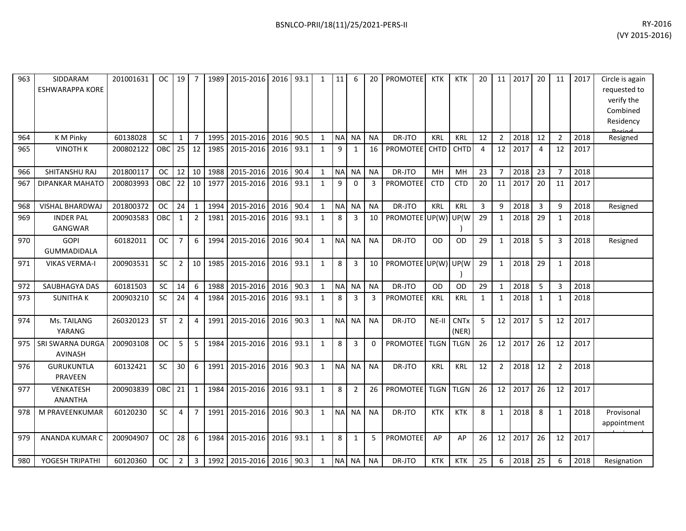| 963 | SIDDARAM<br><b>ESHWARAPPA KORE</b>  | 201001631 | <b>OC</b> | 19             | $\overline{7}$ | 1989 | 2015-2016      | 2016 | 93.1 | $\mathbf{1}$ | 11        | 6              | 20           | <b>PROMOTEE</b>     | <b>KTK</b>  | <b>KTK</b>           | 20           | 11             | 2017 | 20             | 11             | 2017 | Circle is again<br>requested to<br>verify the<br>Combined<br>Residency<br><b>Dorigal</b> |
|-----|-------------------------------------|-----------|-----------|----------------|----------------|------|----------------|------|------|--------------|-----------|----------------|--------------|---------------------|-------------|----------------------|--------------|----------------|------|----------------|----------------|------|------------------------------------------------------------------------------------------|
| 964 | K M Pinky                           | 60138028  | <b>SC</b> | 1              | $\overline{7}$ | 1995 | 2015-2016      | 2016 | 90.5 | $\mathbf{1}$ | <b>NA</b> | <b>NA</b>      | <b>NA</b>    | DR-JTO              | KRL         | <b>KRL</b>           | 12           | $\overline{2}$ | 2018 | 12             | $\overline{2}$ | 2018 | Resigned                                                                                 |
| 965 | <b>VINOTH K</b>                     | 200802122 | OBC       | 25             | 12             | 1985 | 2015-2016      | 2016 | 93.1 | $\mathbf{1}$ | 9         | 1              | 16           | <b>PROMOTEE</b>     | <b>CHTD</b> | <b>CHTD</b>          | 4            | 12             | 2017 | 4              | 12             | 2017 |                                                                                          |
| 966 | SHITANSHU RAJ                       | 201800117 | <b>OC</b> | 12             | 10             | 1988 | 2015-2016      | 2016 | 90.4 | $\mathbf{1}$ | $\sf NA$  | <b>NA</b>      | <b>NA</b>    | DR-JTO              | MH          | MH                   | 23           | $\overline{7}$ | 2018 | 23             | $\overline{7}$ | 2018 |                                                                                          |
| 967 | <b>DIPANKAR MAHATO</b>              | 200803993 | OBC       | 22             | 10             | 1977 | 2015-2016      | 2016 | 93.1 | $\mathbf{1}$ | 9         | $\Omega$       | 3            | PROMOTEE            | <b>CTD</b>  | <b>CTD</b>           | 20           | 11             | 2017 | 20             | 11             | 2017 |                                                                                          |
| 968 | <b>VISHAL BHARDWAJ</b>              | 201800372 | <b>OC</b> | 24             | $\mathbf{1}$   | 1994 | 2015-2016      | 2016 | 90.4 | $\mathbf{1}$ | <b>NA</b> | <b>NA</b>      | <b>NA</b>    | DR-JTO              | KRL         | <b>KRL</b>           | $\mathbf{3}$ | 9              | 2018 | $\overline{3}$ | 9              | 2018 | Resigned                                                                                 |
| 969 | <b>INDER PAL</b><br><b>GANGWAR</b>  | 200903583 | OBC       | 1              | $\overline{2}$ | 1981 | 2015-2016      | 2016 | 93.1 | $\mathbf{1}$ | 8         | 3              | 10           | PROMOTEE UP(W)      |             | UP(W                 | 29           | $\mathbf{1}$   | 2018 | 29             | $\mathbf{1}$   | 2018 |                                                                                          |
| 970 | <b>GOPI</b><br>GUMMADIDALA          | 60182011  | <b>OC</b> | $\overline{7}$ | 6              | 1994 | 2015-2016      | 2016 | 90.4 | $\mathbf{1}$ | <b>NA</b> | <b>NA</b>      | <b>NA</b>    | DR-JTO              | OD          | OD                   | 29           | $\mathbf{1}$   | 2018 | 5              | 3              | 2018 | Resigned                                                                                 |
| 971 | <b>VIKAS VERMA-I</b>                | 200903531 | SC        | $\overline{2}$ | 10             | 1985 | 2015-2016      | 2016 | 93.1 | $\mathbf{1}$ | 8         | 3              | 10           | PROMOTEE UP(W) UP(W |             |                      | 29           | $\mathbf{1}$   | 2018 | 29             | $\mathbf{1}$   | 2018 |                                                                                          |
| 972 | SAUBHAGYA DAS                       | 60181503  | SC        | 14             | 6              | 1988 | 2015-2016      | 2016 | 90.3 | $\mathbf{1}$ | <b>NA</b> | <b>NA</b>      | <b>NA</b>    | DR-JTO              | <b>OD</b>   | <b>OD</b>            | 29           | $\mathbf{1}$   | 2018 | 5              | 3              | 2018 |                                                                                          |
| 973 | <b>SUNITHAK</b>                     | 200903210 | <b>SC</b> | 24             | $\overline{4}$ | 1984 | 2015-2016      | 2016 | 93.1 | $\mathbf{1}$ | 8         | 3              | 3            | <b>PROMOTEE</b>     | KRL         | <b>KRL</b>           | $\mathbf{1}$ | 1              | 2018 | 1              | 1              | 2018 |                                                                                          |
| 974 | Ms. TAILANG<br>YARANG               | 260320123 | ST        | 2              | $\overline{4}$ | 1991 | 2015-2016      | 2016 | 90.3 | $\mathbf{1}$ | <b>NA</b> | <b>NA</b>      | <b>NA</b>    | DR-JTO              | NE-II       | <b>CNTx</b><br>(NER) | 5            | 12             | 2017 | 5              | 12             | 2017 |                                                                                          |
| 975 | SRI SWARNA DURGA<br><b>AVINASH</b>  | 200903108 | <b>OC</b> | 5              | 5              | 1984 | 2015-2016      | 2016 | 93.1 | $\mathbf{1}$ | 8         | 3              | $\mathbf{0}$ | <b>PROMOTEE</b>     | <b>TLGN</b> | <b>TLGN</b>          | 26           | 12             | 2017 | 26             | 12             | 2017 |                                                                                          |
| 976 | <b>GURUKUNTLA</b><br><b>PRAVEEN</b> | 60132421  | SC        | 30             | 6              | 1991 | 2015-2016      | 2016 | 90.3 | $\mathbf{1}$ | <b>NA</b> | <b>NA</b>      | <b>NA</b>    | DR-JTO              | <b>KRL</b>  | <b>KRL</b>           | 12           | $\overline{2}$ | 2018 | 12             | $\overline{2}$ | 2018 |                                                                                          |
| 977 | <b>VENKATESH</b><br><b>ANANTHA</b>  | 200903839 | OBC       | 21             | $\mathbf{1}$   | 1984 | 2015-2016      | 2016 | 93.1 | $\mathbf{1}$ | 8         | $\overline{2}$ | 26           | <b>PROMOTEE</b>     | <b>TLGN</b> | <b>TLGN</b>          | 26           | 12             | 2017 | 26             | 12             | 2017 |                                                                                          |
| 978 | M PRAVEENKUMAR                      | 60120230  | SC        | $\overline{4}$ | $\overline{7}$ | 1991 | 2015-2016      | 2016 | 90.3 | $\mathbf{1}$ | <b>NA</b> | <b>NA</b>      | <b>NA</b>    | DR-JTO              | <b>KTK</b>  | <b>KTK</b>           | 8            | $\mathbf{1}$   | 2018 | 8              | $\mathbf{1}$   | 2018 | Provisonal<br>appointment                                                                |
| 979 | <b>ANANDA KUMAR C</b>               | 200904907 | <b>OC</b> | 28             | 6              | 1984 | 2015-2016      | 2016 | 93.1 | $\mathbf{1}$ | 8         | 1              | 5            | <b>PROMOTEE</b>     | AP          | AP                   | 26           | 12             | 2017 | 26             | 12             | 2017 |                                                                                          |
| 980 | YOGESH TRIPATHI                     | 60120360  | <b>OC</b> | $\overline{2}$ | 3              | 1992 | 2015-2016 2016 |      | 90.3 | 1            | <b>NA</b> | <b>NA</b>      | <b>NA</b>    | DR-JTO              | <b>KTK</b>  | <b>KTK</b>           | 25           | 6              | 2018 | 25             | 6              | 2018 | Resignation                                                                              |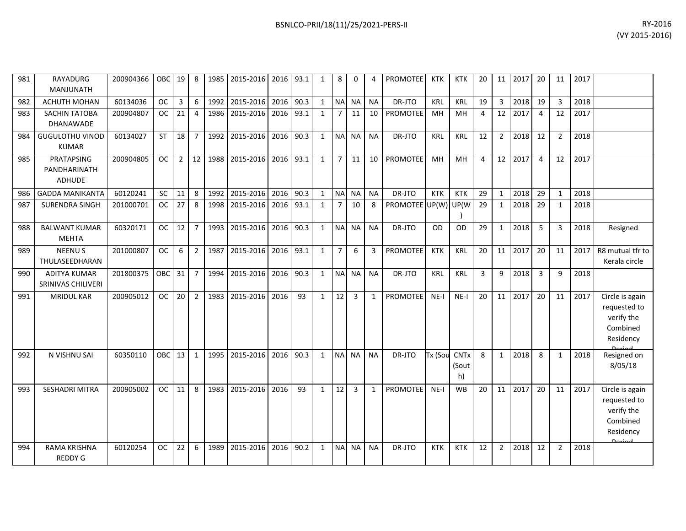| BSNLCO-PRII/18(11)/25/2021-PERS-II | RY-2016 |
|------------------------------------|---------|
|                                    |         |

| 981 | RAYADURG<br>MANJUNATH                       | 200904366 | <b>OBC</b> | 19              | 8              |         | 1985   2015-2016   2016   93.1 |           |      | 1            | 8              | 0              | 4            | <b>PROMOTEE</b>     | KTK        | <b>KTK</b>          | 20             | 11             | 2017 | 20             | 11             | 2017 |                                                                                   |
|-----|---------------------------------------------|-----------|------------|-----------------|----------------|---------|--------------------------------|-----------|------|--------------|----------------|----------------|--------------|---------------------|------------|---------------------|----------------|----------------|------|----------------|----------------|------|-----------------------------------------------------------------------------------|
| 982 | <b>ACHUTH MOHAN</b>                         | 60134036  | ОC         | 3 <sup>1</sup>  | 6              | 1992    | 2015-2016                      | 2016      | 90.3 | $\mathbf{1}$ | <b>NA</b>      | <b>NA</b>      | <b>NA</b>    | DR-JTO              | <b>KRL</b> | <b>KRL</b>          | 19             | 3              | 2018 | 19             | 3              | 2018 |                                                                                   |
| 983 | <b>SACHIN TATOBA</b><br><b>DHANAWADE</b>    | 200904807 | OC.        | 21              | $\overline{4}$ | 1986    | 2015-2016                      | 2016 93.1 |      | 1            | $\overline{7}$ | 11             | 10           | <b>PROMOTEE</b>     | <b>MH</b>  | <b>MH</b>           | $\overline{4}$ | 12             | 2017 | 4              | 12             | 2017 |                                                                                   |
| 984 | <b>GUGULOTHU VINOD</b><br><b>KUMAR</b>      | 60134027  | <b>ST</b>  | 18 <sup>1</sup> | $\overline{7}$ | 1992    | 2015-2016                      | 2016      | 90.3 | 1            | <b>NA</b>      | <b>NA</b>      | <b>NA</b>    | DR-JTO              | <b>KRL</b> | <b>KRL</b>          | 12             | $\overline{2}$ | 2018 | 12             | $\overline{2}$ | 2018 |                                                                                   |
| 985 | PRATAPSING<br>PANDHARINATH<br><b>ADHUDE</b> | 200904805 | OC.        | 2 <sup>1</sup>  |                | 12 1988 | 2015-2016                      | 2016 93.1 |      | 1            | $\overline{7}$ | 11             | 10           | <b>PROMOTEE</b>     | <b>MH</b>  | <b>MH</b>           | 4              | 12             | 2017 | $\overline{4}$ | 12             | 2017 |                                                                                   |
| 986 | <b>GADDA MANIKANTA</b>                      | 60120241  | SC         | 11              | 8              | 1992    | 2015-2016                      | 2016      | 90.3 | 1            | <b>NA</b>      | <b>NA</b>      | <b>NA</b>    | DR-JTO              | <b>KTK</b> | <b>KTK</b>          | 29             | $\mathbf{1}$   | 2018 | 29             | 1              | 2018 |                                                                                   |
| 987 | SURENDRA SINGH                              | 201000701 | OC         | 27              | 8              | 1998    | 2015-2016                      | 2016 93.1 |      | 1            | $\overline{7}$ | 10             | 8            | PROMOTEE UP(W) UP(W |            |                     | 29             | 1              | 2018 | 29             | 1              | 2018 |                                                                                   |
| 988 | <b>BALWANT KUMAR</b><br><b>MEHTA</b>        | 60320171  | OC.        | 12 <sup>1</sup> | $\overline{7}$ | 1993    | 2015-2016                      | 2016      | 90.3 | $\mathbf{1}$ | <b>NA</b>      | <b>NA</b>      | <b>NA</b>    | DR-JTO              | <b>OD</b>  | <b>OD</b>           | 29             | $\mathbf{1}$   | 2018 | 5              | 3              | 2018 | Resigned                                                                          |
| 989 | <b>NEENUS</b><br>THULASEEDHARAN             | 201000807 | OC.        | 6               | $\overline{2}$ | 1987    | 2015-2016                      | 2016 93.1 |      | 1            | $\overline{7}$ | 6              | 3            | <b>PROMOTEE</b>     | <b>KTK</b> | <b>KRL</b>          | 20             | 11             | 2017 | 20             | 11             | 2017 | R8 mutual tfr to<br>Kerala circle                                                 |
| 990 | <b>ADITYA KUMAR</b><br>SRINIVAS CHILIVERI   | 201800375 | OBC        | 31              | $\overline{7}$ | 1994    | 2015-2016                      | 2016      | 90.3 | $\mathbf{1}$ | <b>NA</b>      | <b>NA</b>      | <b>NA</b>    | DR-JTO              | <b>KRL</b> | <b>KRL</b>          | 3              | 9              | 2018 | $\overline{3}$ | 9              | 2018 |                                                                                   |
| 991 | <b>MRIDUL KAR</b>                           | 200905012 | OC.        | 20 <sup>1</sup> | $\overline{2}$ | 1983    | 2015-2016                      | 2016      | 93   | $\mathbf{1}$ | 12             | $\overline{3}$ | $\mathbf{1}$ | <b>PROMOTEE</b>     | $NE-I$     | $NE-I$              | 20             | 11             | 2017 | 20             | 11             | 2017 | Circle is again<br>requested to<br>verify the<br>Combined<br>Residency<br>Doriad  |
| 992 | N VISHNU SAI                                | 60350110  | OBC        | 13              | 1              | 1995    | 2015-2016                      | 2016      | 90.3 | 1            | <b>NA</b>      | <b>NA</b>      | <b>NA</b>    | DR-JTO              | Tx (Sou    | CNTx<br>(Sout<br>h) | 8              | 1              | 2018 | 8              | $\mathbf{1}$   | 2018 | Resigned on<br>8/05/18                                                            |
| 993 | SESHADRI MITRA                              | 200905002 | OC.        | 11              | 8              | 1983    | 2015-2016                      | 2016      | 93   | $\mathbf{1}$ | 12             | 3              | $\mathbf{1}$ | <b>PROMOTEE</b>     | $NE-I$     | WB                  | 20             | 11             | 2017 | 20             | 11             | 2017 | Circle is again<br>requested to<br>verify the<br>Combined<br>Residency<br>لممنعمه |
| 994 | <b>RAMA KRISHNA</b><br><b>REDDY G</b>       | 60120254  | <b>OC</b>  | 22              | 6              | 1989    | 2015-2016                      | 2016      | 90.2 | 1            | <b>NA</b>      | <b>NA</b>      | <b>NA</b>    | DR-JTO              | <b>KTK</b> | <b>KTK</b>          | 12             | $\overline{2}$ | 2018 | 12             | $\overline{2}$ | 2018 |                                                                                   |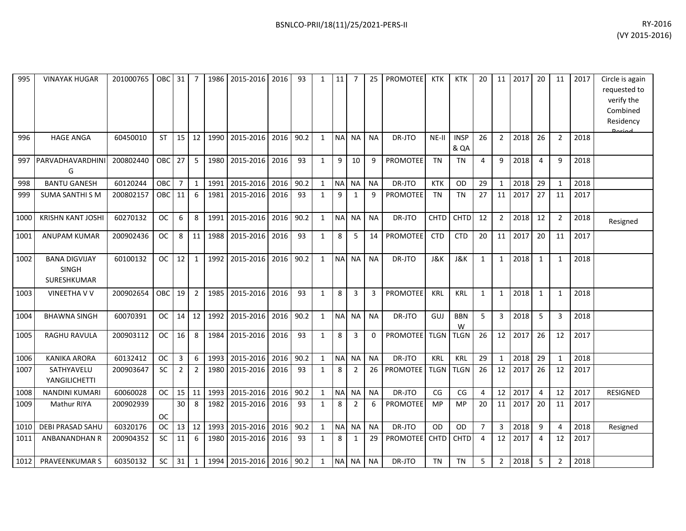| RY-2016        |
|----------------|
| (VY 2015-2016) |

| 995  | <b>VINAYAK HUGAR</b>                                | 201000765 | OBC       | 31             | 7              | 1986 | 2015-2016 | 2016 | 93   | 1            | 11        | 7              | 25             | <b>PROMOTEE</b>      | <b>KTK</b>  | <b>KTK</b>          | 20             | 11             | 2017    | 20             | 11             | 2017 | Circle is again<br>requested to<br>verify the<br>Combined<br>Residency |
|------|-----------------------------------------------------|-----------|-----------|----------------|----------------|------|-----------|------|------|--------------|-----------|----------------|----------------|----------------------|-------------|---------------------|----------------|----------------|---------|----------------|----------------|------|------------------------------------------------------------------------|
| 996  | <b>HAGE ANGA</b>                                    | 60450010  | <b>ST</b> | 15             | 12             | 1990 | 2015-2016 | 2016 | 90.2 | $\mathbf{1}$ | <b>NA</b> | NA I           | <b>NA</b>      | DR-JTO               | NE-II       | <b>INSP</b><br>& QA | 26             | $\overline{2}$ | 2018    | 26             | $\overline{2}$ | 2018 |                                                                        |
| 997  | PARVADHAVARDHINI<br>G                               | 200802440 | OBC       | 27             | 5              | 1980 | 2015-2016 | 2016 | 93   | $\mathbf{1}$ | 9         | 10             | 9              | <b>PROMOTEE</b>      | <b>TN</b>   | <b>TN</b>           | $\overline{a}$ | 9              | 2018    | $\overline{4}$ | q              | 2018 |                                                                        |
| 998  | <b>BANTU GANESH</b>                                 | 60120244  | OBC       | $\overline{7}$ | $\mathbf{1}$   | 1991 | 2015-2016 | 2016 | 90.2 | $\mathbf{1}$ | NA NA     |                | <b>NA</b>      | DR-JTO               | <b>KTK</b>  | OD                  | 29             | $\mathbf{1}$   | 2018    | 29             | $\mathbf{1}$   | 2018 |                                                                        |
| 999  | <b>SUMA SANTHI S M</b>                              | 200802157 | OBC       | 11             | 6              | 1981 | 2015-2016 | 2016 | 93   | $\mathbf{1}$ | 9         | $\mathbf{1}$   | 9              | <b>PROMOTEE</b>      | <b>TN</b>   | <b>TN</b>           | 27             | 11             | 2017    | 27             | 11             | 2017 |                                                                        |
| 1000 | <b>KRISHN KANT JOSHI</b>                            | 60270132  | <b>OC</b> | 6              | 8              | 1991 | 2015-2016 | 2016 | 90.2 | $\mathbf{1}$ |           | NA NA          | <b>NA</b>      | DR-JTO               | CHTD        | CHTD                | 12             | $\overline{2}$ | 2018    | 12             | $\overline{2}$ | 2018 | Resigned                                                               |
| 1001 | <b>ANUPAM KUMAR</b>                                 | 200902436 | <b>OC</b> | 8              | 11             | 1988 | 2015-2016 | 2016 | 93   | $\mathbf{1}$ | 8         | 5              | 14             | <b>PROMOTEE</b>      | <b>CTD</b>  | <b>CTD</b>          | 20             | 11             | 2017    | 20             | 11             | 2017 |                                                                        |
| 1002 | <b>BANA DIGVIJAY</b><br><b>SINGH</b><br>SURESHKUMAR | 60100132  | <b>OC</b> | 12             | 1              | 1992 | 2015-2016 | 2016 | 90.2 | $\mathbf{1}$ |           | NA NA          | <b>NA</b>      | DR-JTO               | J&K         | J&K                 | 1              | $\mathbf{1}$   | 2018    | $\mathbf{1}$   | 1              | 2018 |                                                                        |
| 1003 | <b>VINEETHA V V</b>                                 | 200902654 | OBC       | 19             | $\overline{2}$ | 1985 | 2015-2016 | 2016 | 93   | $\mathbf{1}$ | $\,8\,$   | 3              | $\overline{3}$ | PROMOTEE             | <b>KRL</b>  | <b>KRL</b>          | 1              | $\mathbf{1}$   | 2018    | $\mathbf{1}$   | 1              | 2018 |                                                                        |
| 1004 | <b>BHAWNA SINGH</b>                                 | 60070391  | OC.       | 14             | 12             | 1992 | 2015-2016 | 2016 | 90.2 | $\mathbf{1}$ |           | NA NA          | <b>NA</b>      | DR-JTO               | GUJ         | <b>BBN</b><br>W     | 5              | 3              | 2018    | 5              | 3              | 2018 |                                                                        |
| 1005 | <b>RAGHU RAVULA</b>                                 | 200903112 | <b>OC</b> | 16             | 8              | 1984 | 2015-2016 | 2016 | 93   | $\mathbf{1}$ | 8         | 3              | $\Omega$       | <b>PROMOTEE</b> TLGN |             | <b>TLGN</b>         | 26             |                | 12 2017 | 26             | 12             | 2017 |                                                                        |
| 1006 | <b>KANIKA ARORA</b>                                 | 60132412  | <b>OC</b> | $\mathbf{3}$   | 6              | 1993 | 2015-2016 | 2016 | 90.2 | $\mathbf{1}$ |           | NA NA          | <b>NA</b>      | DR-JTO               | KRL         | <b>KRL</b>          | 29             | $\mathbf{1}$   | 2018    | 29             | 1              | 2018 |                                                                        |
| 1007 | SATHYAVELU<br>YANGILICHETTI                         | 200903647 | <b>SC</b> | $\overline{2}$ | $\overline{2}$ | 1980 | 2015-2016 | 2016 | 93   | $\mathbf{1}$ | 8         | $\overline{2}$ | 26             | <b>PROMOTEE</b>      | <b>TLGN</b> | <b>TLGN</b>         | 26             | 12             | 2017    | 26             | 12             | 2017 |                                                                        |
| 1008 | <b>NANDINI KUMARI</b>                               | 60060028  | <b>OC</b> | 15             | 11             | 1993 | 2015-2016 | 2016 | 90.2 | $\mathbf{1}$ |           | NA NA          | <b>NA</b>      | DR-JTO               | CG          | CG                  | $\overline{4}$ | 12             | 2017    | $\overline{4}$ | 12             | 2017 | <b>RESIGNED</b>                                                        |
| 1009 | Mathur RIYA                                         | 200902939 | <b>OC</b> | 30             | 8              | 1982 | 2015-2016 | 2016 | 93   | $\mathbf{1}$ | 8         | $\overline{2}$ | 6              | <b>PROMOTEE</b>      | MP          | <b>MP</b>           | 20             | 11             | 2017    | 20             | 11             | 2017 |                                                                        |
| 1010 | <b>DEBI PRASAD SAHU</b>                             | 60320176  | <b>OC</b> | 13             | 12             | 1993 | 2015-2016 | 2016 | 90.2 | $\mathbf{1}$ | <b>NA</b> | <b>NA</b>      | <b>NA</b>      | DR-JTO               | OD          | <b>OD</b>           | $\overline{7}$ | $\overline{3}$ | 2018    | 9              | $\Delta$       | 2018 | Resigned                                                               |
| 1011 | ANBANANDHAN R                                       | 200904352 | <b>SC</b> | 11             | 6              | 1980 | 2015-2016 | 2016 | 93   | $\mathbf{1}$ | 8         | 1              | 29             | <b>PROMOTEE</b> CHTD |             | <b>CHTD</b>         | $\overline{4}$ | 12             | 2017    | $\overline{4}$ | 12             | 2017 |                                                                        |
| 1012 | <b>PRAVEENKUMAR S</b>                               | 60350132  | <b>SC</b> | 31             | $\mathbf{1}$   | 1994 | 2015-2016 | 2016 | 90.2 | 1            | NA NA     |                | <b>NA</b>      | DR-JTO               | <b>TN</b>   | <b>TN</b>           | 5              | $\overline{2}$ | 2018    | 5              | 2              | 2018 |                                                                        |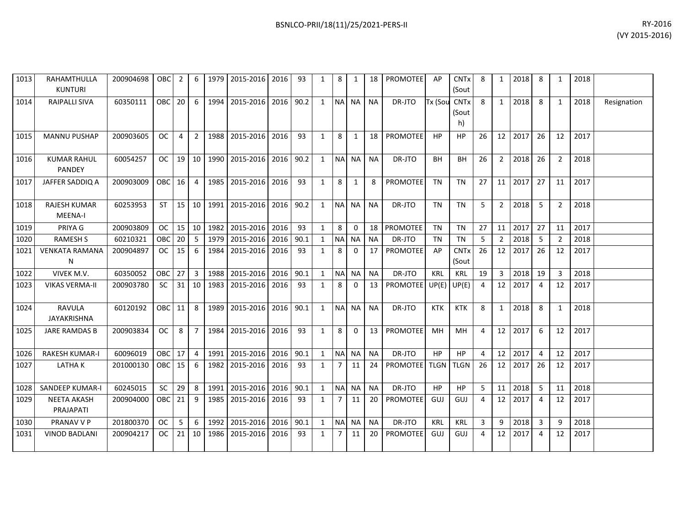| RY-2016        |
|----------------|
| (VY 2015-2016) |

| 1013 | RAHAMTHULLA<br><b>KUNTURI</b>         | 200904698 | OBC       | 2               | 6               | 1979 | 2015-2016 2016 |           | 93   | 1            | 8          | 1            | 18              | <b>PROMOTEE</b>      | AP         | <b>CNTx</b><br>(Sout       | 8              | 1               | 2018    | 8              | 1              | 2018 |             |
|------|---------------------------------------|-----------|-----------|-----------------|-----------------|------|----------------|-----------|------|--------------|------------|--------------|-----------------|----------------------|------------|----------------------------|----------------|-----------------|---------|----------------|----------------|------|-------------|
| 1014 | <b>RAIPALLI SIVA</b>                  | 60350111  | OBC       | 20              | 6               | 1994 | 2015-2016      | 2016 90.2 |      | $\mathbf{1}$ |            | NA NA        | <b>NA</b>       | DR-JTO               | Tx (Sou    | <b>CNTx</b><br>(Sout<br>h) | 8              | $\mathbf{1}$    | 2018    | 8              | 1              | 2018 | Resignation |
| 1015 | <b>MANNU PUSHAP</b>                   | 200903605 | OC.       | 4               | $\overline{2}$  |      | 1988 2015-2016 | 2016      | 93   | 1            | 8          | 1            | 18 <sup>1</sup> | <b>PROMOTEE</b>      | HP         | HP.                        | 26             |                 | 12 2017 | 26             | 12             | 2017 |             |
| 1016 | <b>KUMAR RAHUL</b><br><b>PANDEY</b>   | 60054257  | OC.       | 19 <sup>1</sup> | 10              |      | 1990 2015-2016 | 2016      | 90.2 | 1            |            | NA NA        | <b>NA</b>       | DR-JTO               | <b>BH</b>  | BН                         | 26             | $\overline{2}$  | 2018    | 26             | 2              | 2018 |             |
| 1017 | JAFFER SADDIQ A                       | 200903009 | OBC 16    |                 | $\overline{4}$  | 1985 | 2015-2016      | 2016      | 93   | $\mathbf{1}$ | 8          | 1            | 8               | <b>PROMOTEE</b>      | <b>TN</b>  | <b>TN</b>                  | 27             | 11 <sup>1</sup> | 2017    | 27             | 11             | 2017 |             |
| 1018 | <b>RAJESH KUMAR</b><br><b>MEENA-I</b> | 60253953  | ST I      | 15 <sup>1</sup> | 10 I            |      | 1991 2015-2016 | 2016      | 90.2 | $\mathbf{1}$ |            | NA NA        | <b>NA</b>       | DR-JTO               | <b>TN</b>  | <b>TN</b>                  | 5              | $\overline{2}$  | 2018    | - 5            | $\overline{2}$ | 2018 |             |
| 1019 | PRIYA G                               | 200903809 | <b>OC</b> | 15              | 10 <sup>1</sup> | 1982 | 2015-2016      | 2016      | 93   | 1            | 8          | $\Omega$     |                 | 18 PROMOTEE          | <b>TN</b>  | <b>TN</b>                  | 27             | 11              | 2017    | 27             | 11             | 2017 |             |
| 1020 | <b>RAMESH S</b>                       | 60210321  | OBC       | 20              | 5               | 1979 | 2015-2016      | 2016      | 90.1 | 1            | <b>NAI</b> | <b>NA</b>    | NA.             | DR-JTO               | TN         | TN                         | 5              | 2               | 2018    | -5             | 2              | 2018 |             |
| 1021 | <b>VENKATA RAMANA</b><br>N            | 200904897 | <b>OC</b> | 15              | 6               | 1984 | 2015-2016      | 2016      | 93   | 1            | 8          | $\Omega$     | 17              | <b>PROMOTEE</b>      | AP         | <b>CNTx</b><br>(Sout       | 26             |                 | 12 2017 | 26             | 12             | 2017 |             |
| 1022 | VIVEK M.V.                            | 60350052  | OBC       | 27              | 3 <sup>1</sup>  | 1988 | 2015-2016      | 2016      | 90.1 | $\mathbf{1}$ |            | NA NA        | <b>NA</b>       | DR-JTO               | <b>KRL</b> | <b>KRL</b>                 | 19             | 3               | 2018    | 19             | 3              | 2018 |             |
| 1023 | <b>VIKAS VERMA-II</b>                 | 200903780 | <b>SC</b> | 31              | 10              | 1983 | 2015-2016      | 2016      | 93   | 1            | 8          | $\mathbf{0}$ | 13              | PROMOTEE UP(E) UP(E) |            |                            | $\overline{4}$ | 12 <sup>1</sup> | 2017    | $\overline{4}$ | 12             | 2017 |             |
| 1024 | <b>RAVULA</b><br><b>JAYAKRISHNA</b>   | 60120192  | OBC I     | 11              | 8               | 1989 | 2015-2016      | 2016      | 90.1 | 1            |            | NA NA        | <b>NA</b>       | DR-JTO               | <b>KTK</b> | <b>KTK</b>                 | 8              | 1               | 2018    | 8              | 1              | 2018 |             |
| 1025 | <b>JARE RAMDAS B</b>                  | 200903834 | OC.       | 8               | $\overline{7}$  | 1984 | 2015-2016      | 2016      | 93   | 1            | 8          | $\Omega$     | 13 <sup>1</sup> | <b>PROMOTEE</b>      | MH         | MH                         | 4              |                 | 12 2017 | 6              | 12             | 2017 |             |
| 1026 | <b>RAKESH KUMAR-I</b>                 | 60096019  | OBC       | 17              | $\overline{4}$  | 1991 | 2015-2016      | 2016      | 90.1 | 1            |            | NA NA        | <b>NA</b>       | DR-JTO               | HP         | <b>HP</b>                  | 4              |                 | 12 2017 | 4              | 12             | 2017 |             |
| 1027 | <b>LATHAK</b>                         | 201000130 | OBC 15    |                 | 6               |      | 1982 2015-2016 | 2016      | 93   | 1            | 7          | 11           | 24              | PROMOTEE TLGN        |            | <b>TLGN</b>                | 26             |                 | 12 2017 | 26             | 12             | 2017 |             |
| 1028 | <b>SANDEEP KUMAR-I</b>                | 60245015  | <b>SC</b> | 29              | 8               | 1991 | 2015-2016      | 2016      | 90.1 | 1            |            | NA NA        | <b>NA</b>       | DR-JTO               | HP         | HP.                        | 5              | 11              | 2018    | -5             | 11             | 2018 |             |
| 1029 | <b>NEETA AKASH</b><br>PRAJAPATI       | 200904000 | ОВС       | 21              | 9               | 1985 | 2015-2016      | 2016      | 93   | 1            | 7          | 11           | 20              | <b>PROMOTEE</b>      | GUJ        | GUJ                        | 4              | 12 <sup>1</sup> | 2017    | 4              | 12             | 2017 |             |
| 1030 | PRANAV V P                            | 201800370 | OC.       | 5               | 6               | 1992 | 2015-2016      | 2016      | 90.1 | 1            | <b>NAI</b> | NA I         | NA.             | DR-JTO               | KRL        | KRL                        | 3              | 9               | 2018    | 3              | 9              | 2018 |             |
| 1031 | <b>VINOD BADLANI</b>                  | 200904217 | <b>OC</b> | 21              | 10              | 1986 | 2015-2016      | 2016      | 93   | 1            | 7          | 11           | 20              | PROMOTEE             | GUJ        | GUJ                        | 4              | 12 <sup>1</sup> | 2017    | 4              | 12             | 2017 |             |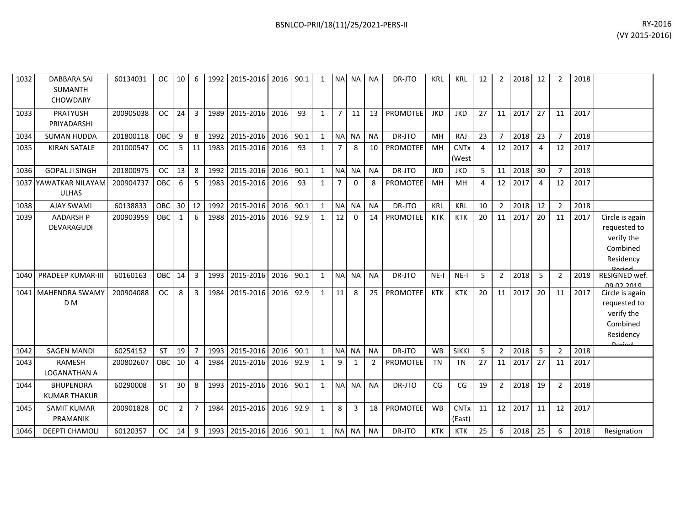| 1032 | <b>DABBARA SAI</b><br><b>SUMANTH</b><br><b>CHOWDARY</b> | 60134031  | <b>OC</b> | 10             | 6              | 1992 | 2015-2016 2016 90.1 |      |      | $\mathbf{1}$ | <b>NA</b>      | NA NA        |                | DR-JTO          | <b>KRL</b> | <b>KRL</b>                       | 12 | 2              | 2018 | 12             | 2              | 2018 |                                                                                         |
|------|---------------------------------------------------------|-----------|-----------|----------------|----------------|------|---------------------|------|------|--------------|----------------|--------------|----------------|-----------------|------------|----------------------------------|----|----------------|------|----------------|----------------|------|-----------------------------------------------------------------------------------------|
| 1033 | <b>PRATYUSH</b><br>PRIYADARSHI                          | 200905038 | <b>OC</b> | 24             | $\overline{3}$ | 1989 | 2015-2016           | 2016 | 93   | $\mathbf{1}$ | $\overline{7}$ | 11           | 13             | <b>PROMOTEE</b> | <b>JKD</b> | <b>JKD</b>                       | 27 | 11             | 2017 | 27             | 11             | 2017 |                                                                                         |
| 1034 | <b>SUMAN HUDDA</b>                                      | 201800118 | OBC       | 9              | 8              | 1992 | 2015-2016           | 2016 | 90.1 | $\mathbf{1}$ | <b>NA</b>      | <b>NA</b>    | <b>NA</b>      | DR-JTO          | MH         | <b>RAJ</b>                       | 23 | $7^{\circ}$    | 2018 | 23             | $\overline{7}$ | 2018 |                                                                                         |
| 1035 | <b>KIRAN SATALE</b>                                     | 201000547 | <b>OC</b> | 5              | 11             | 1983 | 2015-2016           | 2016 | 93   | $\mathbf{1}$ | $\overline{7}$ | 8            | 10             | PROMOTEE        | MH         | <b>CNTx</b><br>(West             | 4  | 12             | 2017 | $\overline{a}$ | 12             | 2017 |                                                                                         |
| 1036 | <b>GOPAL JI SINGH</b>                                   | 201800975 | <b>OC</b> | 13             | 8              | 1992 | 2015-2016           | 2016 | 90.1 | $\mathbf{1}$ | <b>NA</b>      | <b>NA</b>    | <b>NA</b>      | DR-JTO          | <b>JKD</b> | <b>JKD</b>                       | 5  | 11             | 2018 | 30             | $\overline{7}$ | 2018 |                                                                                         |
|      | 1037 YAWATKAR NILAYAM<br><b>ULHAS</b>                   | 200904737 | OBC       | 6              | 5              | 1983 | 2015-2016           | 2016 | 93   | $\mathbf{1}$ | $\overline{7}$ | 0            | 8              | <b>PROMOTEE</b> | MH         | MH                               | 4  | 12             | 2017 | 4              | 12             | 2017 |                                                                                         |
| 1038 | <b>AJAY SWAMI</b>                                       | 60138833  | OBC       | 30             | 12             | 1992 | 2015-2016           | 2016 | 90.1 | $\mathbf{1}$ | <b>NA</b>      | <b>NA</b>    | <b>NA</b>      | DR-JTO          | <b>KRL</b> | <b>KRL</b>                       | 10 | $2^{\circ}$    | 2018 | 12             | $\overline{2}$ | 2018 |                                                                                         |
| 1039 | <b>AADARSH P</b><br>DEVARAGUDI                          | 200903959 | OBC       | $\mathbf{1}$   | 6              | 1988 | 2015-2016           | 2016 | 92.9 | $\mathbf{1}$ | 12             | $\Omega$     | 14             | <b>PROMOTEE</b> | <b>KTK</b> | <b>KTK</b>                       | 20 | 11             | 2017 | 20             | 11             | 2017 | Circle is again<br>requested to<br>verify the<br>Combined<br>Residency<br><b>Doriod</b> |
| 1040 | <b>PRADEEP KUMAR-III</b>                                | 60160163  | OBC       | 14             | $\overline{3}$ | 1993 | 2015-2016           | 2016 | 90.1 | $\mathbf{1}$ | <b>NA</b>      | <b>NA</b>    | <b>NA</b>      | DR-JTO          | $NE-I$     | $NE-I$                           | 5  | $2^{\circ}$    | 2018 | 5              | $\overline{2}$ | 2018 | RESIGNED wef.<br><u>NO NO 2010</u>                                                      |
|      | 1041 MAHENDRA SWAMY<br>D <sub>M</sub>                   | 200904088 | <b>OC</b> | 8              | 3              | 1984 | 2015-2016           | 2016 | 92.9 | $\mathbf{1}$ | 11             | 8            | 25             | <b>PROMOTEE</b> | <b>KTK</b> | <b>KTK</b>                       | 20 | 11             | 2017 | 20             | 11             | 2017 | Circle is again<br>requested to<br>verify the<br>Combined<br>Residency<br>لممنعمه       |
| 1042 | <b>SAGEN MANDI</b>                                      | 60254152  | <b>ST</b> | 19             | $\overline{7}$ | 1993 | 2015-2016           | 2016 | 90.1 | $\mathbf{1}$ | N <sub>A</sub> | <b>NA</b>    | <b>NA</b>      | DR-JTO          | <b>WB</b>  | <b>SIKKI</b>                     | 5  | $\overline{2}$ | 2018 | 5              | $\overline{2}$ | 2018 |                                                                                         |
| 1043 | <b>RAMESH</b><br>LOGANATHAN A                           | 200802607 | OBC       | 10             | $\overline{4}$ | 1984 | 2015-2016           | 2016 | 92.9 | $\mathbf{1}$ | 9              | $\mathbf{1}$ | $\overline{2}$ | <b>PROMOTEE</b> | <b>TN</b>  | <b>TN</b>                        | 27 | 11             | 2017 | 27             | 11             | 2017 |                                                                                         |
| 1044 | <b>BHUPENDRA</b><br><b>KUMAR THAKUR</b>                 | 60290008  | ST        | 30             | 8              | 1993 | 2015-2016           | 2016 | 90.1 | $\mathbf{1}$ | <b>NA</b>      | <b>NA</b>    | <b>NA</b>      | DR-JTO          | CG         | CG                               | 19 | $\overline{2}$ | 2018 | 19             | $\overline{2}$ | 2018 |                                                                                         |
| 1045 | <b>SAMIT KUMAR</b><br>PRAMANIK                          | 200901828 | <b>OC</b> | $\overline{2}$ | $\overline{7}$ | 1984 | 2015-2016           | 2016 | 92.9 | $\mathbf{1}$ | 8              | 3            | 18             | PROMOTEE        | <b>WB</b>  | <b>CNT<sub>x</sub></b><br>(East) | 11 | 12             | 2017 | 11             | 12             | 2017 |                                                                                         |
| 1046 | <b>DEEPTI CHAMOLI</b>                                   | 60120357  | <b>OC</b> | 14             | 9              | 1993 | 2015-2016 2016 90.1 |      |      | $\mathbf{1}$ | <b>NA</b>      | <b>NA</b>    | <b>NA</b>      | DR-JTO          | <b>KTK</b> | <b>KTK</b>                       | 25 | 6              | 2018 | 25             | 6              | 2018 | Resignation                                                                             |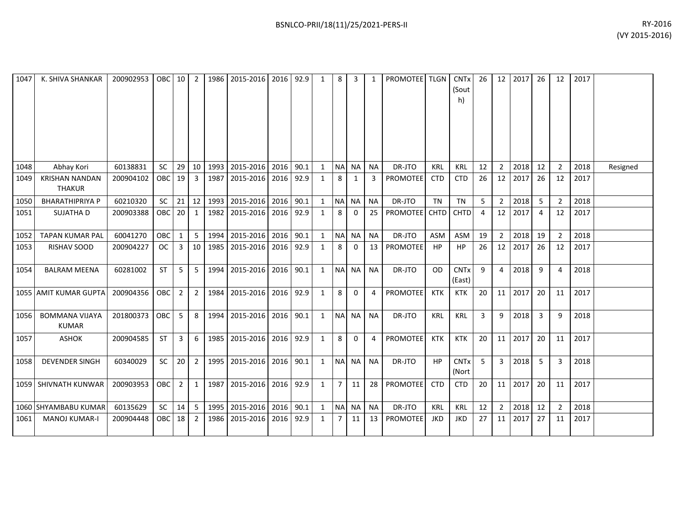| 1047 | K. SHIVA SHANKAR                       | 200902953 | <b>OBC</b> | 10             | $\overline{2}$ | 1986 | 2015-2016           | 2016 | 92.9 | 1            | 8              | 3            | 1         | <b>PROMOTEE</b>      | <b>TLGN</b> | <b>CNT<sub>x</sub></b><br>(Sout<br>h) | 26 | 12              | 2017 | 26                      | 12             | 2017 |          |
|------|----------------------------------------|-----------|------------|----------------|----------------|------|---------------------|------|------|--------------|----------------|--------------|-----------|----------------------|-------------|---------------------------------------|----|-----------------|------|-------------------------|----------------|------|----------|
| 1048 | Abhay Kori                             | 60138831  | <b>SC</b>  | 29             | 10             | 1993 | 2015-2016           | 2016 | 90.1 | $\mathbf{1}$ |                | NA NA        | <b>NA</b> | DR-JTO               | KRL         | KRL                                   | 12 | $\overline{2}$  | 2018 | 12                      | $\overline{2}$ | 2018 | Resigned |
| 1049 | <b>KRISHAN NANDAN</b><br><b>THAKUR</b> | 200904102 | <b>OBC</b> | 19             | $\overline{3}$ |      | 1987 2015-2016 2016 |      | 92.9 | $\mathbf{1}$ | 8              | 1            | 3         | <b>PROMOTEE</b>      | <b>CTD</b>  | <b>CTD</b>                            | 26 | 12              | 2017 | 26                      | 12             | 2017 |          |
| 1050 | <b>BHARATHIPRIYA P</b>                 | 60210320  | <b>SC</b>  | 21             | 12             |      | 1993 2015-2016 2016 |      | 90.1 | $\mathbf{1}$ |                | NA NA        | <b>NA</b> | DR-JTO               | <b>TN</b>   | <b>TN</b>                             | 5  | $\overline{2}$  | 2018 | 5                       | $\overline{2}$ | 2018 |          |
| 1051 | <b>SUJATHA D</b>                       | 200903388 | OBC        | 20             | 1              |      | 1982 2015-2016      | 2016 | 92.9 | $\mathbf{1}$ | 8              | $\mathbf{0}$ | 25        | <b>PROMOTEE</b> CHTD |             | <b>CHTD</b>                           | 4  | 12              | 2017 | $\overline{4}$          | 12             | 2017 |          |
| 1052 | <b>TAPAN KUMAR PAL</b>                 | 60041270  | OBC        | 1              | 5              | 1994 | 2015-2016           | 2016 | 90.1 | $\mathbf{1}$ |                | NA NA        | <b>NA</b> | DR-JTO               | <b>ASM</b>  | <b>ASM</b>                            | 19 | $\overline{2}$  | 2018 | 19                      | $\overline{2}$ | 2018 |          |
| 1053 | RISHAV SOOD                            | 200904227 | <b>OC</b>  | 3              | 10             |      | 1985 2015-2016 2016 |      | 92.9 | $\mathbf{1}$ | 8              | 0            | 13        | PROMOTEE             | HP          | HP                                    | 26 | 12              | 2017 | 26                      | 12             | 2017 |          |
| 1054 | <b>BALRAM MEENA</b>                    | 60281002  | <b>ST</b>  | 5              | 5              | 1994 | 2015-2016           | 2016 | 90.1 | $\mathbf{1}$ |                | NA NA        | <b>NA</b> | DR-JTO               | <b>OD</b>   | <b>CNTx</b><br>(East)                 | 9  | 4               | 2018 | 9                       | 4              | 2018 |          |
|      | 1055 AMIT KUMAR GUPTA                  | 200904356 | OBC        | $\overline{2}$ | $\overline{2}$ | 1984 | 2015-2016           | 2016 | 92.9 | 1            | 8              | $\Omega$     | 4         | PROMOTEE             | <b>KTK</b>  | <b>KTK</b>                            | 20 | 11 <sup>1</sup> | 2017 | 20                      | 11             | 2017 |          |
| 1056 | <b>BOMMANA VIJAYA</b><br><b>KUMAR</b>  | 201800373 | <b>OBC</b> | 5              | 8              | 1994 | 2015-2016           | 2016 | 90.1 | $\mathbf{1}$ |                | NA NA        | <b>NA</b> | DR-JTO               | KRL         | KRL                                   | 3  | 9               | 2018 | $\overline{\mathbf{3}}$ | 9              | 2018 |          |
| 1057 | <b>ASHOK</b>                           | 200904585 | <b>ST</b>  | 3              | 6              |      | 1985 2015-2016 2016 |      | 92.9 | $\mathbf{1}$ | 8              | 0            | 4         | <b>PROMOTEE</b>      | <b>KTK</b>  | <b>KTK</b>                            | 20 | 11              | 2017 | 20                      | 11             | 2017 |          |
| 1058 | <b>DEVENDER SINGH</b>                  | 60340029  | <b>SC</b>  | 20             | $\overline{2}$ | 1995 | 2015-2016           | 2016 | 90.1 | $\mathbf{1}$ |                | NA NA        | <b>NA</b> | DR-JTO               | HP          | <b>CNT<sub>x</sub></b><br>(Nort       | 5  | 3 <sup>1</sup>  | 2018 | 5                       | 3              | 2018 |          |
|      | 1059   SHIVNATH KUNWAR                 | 200903953 | <b>OBC</b> | $\overline{2}$ | 1              | 1987 | 2015-2016           | 2016 | 92.9 | $\mathbf{1}$ | $\overline{7}$ | 11           | 28        | PROMOTEE             | <b>CTD</b>  | <b>CTD</b>                            | 20 | 11 <sup>1</sup> | 2017 | 20                      | 11             | 2017 |          |
|      | 1060 SHYAMBABU KUMAR                   | 60135629  | SC         | 14             | 5              |      | 1995 2015-2016      | 2016 | 90.1 | $\mathbf{1}$ |                | NA NA        | <b>NA</b> | DR-JTO               | KRL         | <b>KRL</b>                            | 12 | $\overline{2}$  | 2018 | 12                      | $\overline{2}$ | 2018 |          |
| 1061 | <b>MANOJ KUMAR-I</b>                   | 200904448 | <b>OBC</b> | 18             | 2              | 1986 | 2015-2016           | 2016 | 92.9 | 1            | 7              | 11           | 13        | PROMOTEE             | JKD         | JKD                                   | 27 | 11              | 2017 | 27                      | 11             | 2017 |          |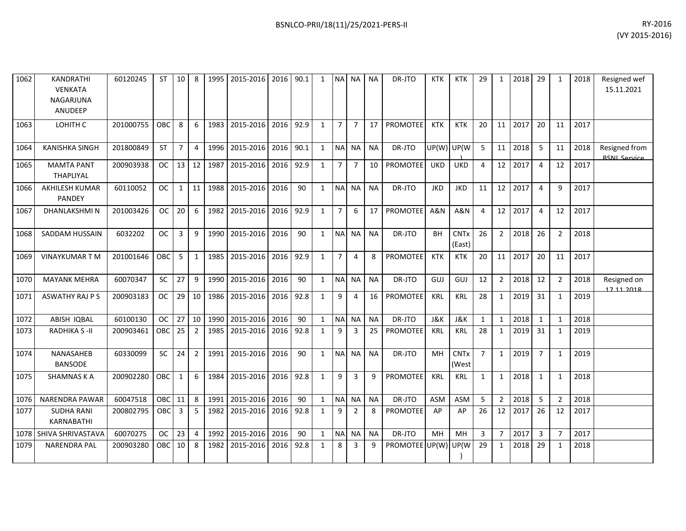| BSNLCO-PRII/18(11)/25/2021-PERS-II | RY-2016        |
|------------------------------------|----------------|
|                                    | (VY 2015-2016) |

| 1062 | KANDRATHI<br><b>VENKATA</b><br>NAGARJUNA<br>ANUDEEP | 60120245  | ST        | 10             | 8              | 1995 | 2015-2016 2016      |      | 90.1 | 1            | <b>NA</b>      | <b>NA</b>      | <b>NA</b>       | DR-JTO          | KTK        | KTK                   | 29             | 1               | 2018    | 29             | 1              | 2018 | Resigned wef<br>15.11.2021           |
|------|-----------------------------------------------------|-----------|-----------|----------------|----------------|------|---------------------|------|------|--------------|----------------|----------------|-----------------|-----------------|------------|-----------------------|----------------|-----------------|---------|----------------|----------------|------|--------------------------------------|
| 1063 | LOHITH C                                            | 201000755 | OBC       | 8              | 6              | 1983 | 2015-2016           | 2016 | 92.9 | 1            | 7 <sup>1</sup> | $\overline{7}$ | 17              | <b>PROMOTEE</b> | <b>KTK</b> | <b>KTK</b>            | 20             | 11 <sup>1</sup> | 2017    | 20             | 11             | 2017 |                                      |
| 1064 | <b>KANISHKA SINGH</b>                               | 201800849 | <b>ST</b> | $\overline{7}$ | $\overline{4}$ | 1996 | 2015-2016           | 2016 | 90.1 | $\mathbf{1}$ |                | NA NA          | NA              | DR-JTO          | UP(W) UP(W |                       | 5              | 11 <sup>1</sup> | 2018    | 5              | 11             | 2018 | Resigned from<br><b>RSNI Service</b> |
| 1065 | <b>MAMTA PANT</b><br>THAPLIYAL                      | 200903938 | OC.       | 13             | 12             | 1987 | 2015-2016 2016      |      | 92.9 | $\mathbf{1}$ | $7^{\circ}$    | $\overline{7}$ | 10 <sup>1</sup> | <b>PROMOTEE</b> | <b>UKD</b> | <b>UKD</b>            | 4              |                 | 12 2017 | $\overline{4}$ | 12             | 2017 |                                      |
| 1066 | <b>AKHILESH KUMAR</b><br>PANDEY                     | 60110052  | <b>OC</b> | $\mathbf{1}$   | 11             |      | 1988 2015-2016 2016 |      | 90   | 1            |                | NA NA          | <b>NA</b>       | DR-JTO          | <b>JKD</b> | <b>JKD</b>            | 11             |                 | 12 2017 | $\overline{4}$ | $\mathsf{q}$   | 2017 |                                      |
| 1067 | DHANLAKSHMI N                                       | 201003426 | OC        | 20             | 6              | 1982 | 2015-2016 2016      |      | 92.9 | 1            | 7 <sup>1</sup> | 6              | 17              | <b>PROMOTEE</b> | A&N        | <b>A&amp;N</b>        | 4              |                 | 12 2017 | $\overline{4}$ | 12             | 2017 |                                      |
| 1068 | SADDAM HUSSAIN                                      | 6032202   | <b>OC</b> | 3              | 9              | 1990 | 2015-2016           | 2016 | 90   | $\mathbf{1}$ |                | NA NA          | <b>NA</b>       | DR-JTO          | <b>BH</b>  | <b>CNTx</b><br>(East) | 26             | $\overline{2}$  | 2018    | 26             | $\overline{2}$ | 2018 |                                      |
| 1069 | <b>VINAYKUMAR T M</b>                               | 201001646 | OBC       | 5              | 1              | 1985 | 2015-2016   2016    |      | 92.9 | 1            | $7^{\circ}$    | 4              | 8               | <b>PROMOTEE</b> | KTK        | KTK                   | 20             | 11 <sup>1</sup> | 2017    | 20             | 11             | 2017 |                                      |
| 1070 | <b>MAYANK MEHRA</b>                                 | 60070347  | SC        | 27             | 9              | 1990 | 2015-2016 2016      |      | 90   | $\mathbf{1}$ |                | NA NA          | <b>NA</b>       | DR-JTO          | GUJ        | GUJ                   | 12             | 2 <sup>1</sup>  | 2018    | 12             | $\overline{2}$ | 2018 | Resigned on<br>17 11 2018            |
| 1071 | <b>ASWATHY RAJ P S</b>                              | 200903183 | <b>OC</b> | 29             | 10             | 1986 | 2015-2016           | 2016 | 92.8 | 1            | 9              | 4              | 16              | <b>PROMOTEE</b> | <b>KRL</b> | <b>KRL</b>            | 28             | $\mathbf{1}$    | 2019    | 31             | $\mathbf{1}$   | 2019 |                                      |
| 1072 | ABISH IQBAL                                         | 60100130  | <b>OC</b> | 27             | 10             | 1990 | 2015-2016 2016      |      | 90   | 1            |                | NA NA          | <b>NA</b>       | DR-JTO          | J&K        | <b>J&amp;K</b>        | 1              | 1               | 2018    | $\mathbf{1}$   | -1             | 2018 |                                      |
| 1073 | <b>RADHIKA S-II</b>                                 | 200903461 | OBC       | 25             | $\overline{2}$ | 1985 | 2015-2016           | 2016 | 92.8 | 1            | 9              | 3              | 25              | <b>PROMOTEE</b> | KRL        | <b>KRL</b>            | 28             | $\mathbf{1}$    | 2019    | 31             | 1              | 2019 |                                      |
| 1074 | NANASAHEB<br><b>BANSODE</b>                         | 60330099  | SC        | 24             | $\overline{2}$ |      | 1991 2015-2016 2016 |      | 90   | $\mathbf{1}$ |                | NA NA          | <b>NA</b>       | DR-JTO          | MH         | <b>CNTx</b><br>(West  | $\overline{7}$ | $1 \vert$       | 2019    | $\overline{7}$ | 1              | 2019 |                                      |
| 1075 | <b>SHAMNAS K A</b>                                  | 200902280 | OBC       | 1              | 6              | 1984 | 2015-2016 2016      |      | 92.8 | 1            | 9              | 3              | 9               | <b>PROMOTEE</b> | KRL        | KRL                   | 1              | $\mathbf{1}$    | 2018    | 1              | 1              | 2018 |                                      |
| 1076 | NARENDRA PAWAR                                      | 60047518  | OBC       | 11             | 8              | 1991 | 2015-2016           | 2016 | 90   | $\mathbf{1}$ |                | NA NA          | <b>NA</b>       | DR-JTO          | <b>ASM</b> | ASM                   | 5              | $\overline{2}$  | 2018    | 5              | $\overline{2}$ | 2018 |                                      |
| 1077 | <b>SUDHA RANI</b><br>KARNABATHI                     | 200802795 | OBC       | 3              | 5              | 1982 | 2015-2016           | 2016 | 92.8 | 1            | 9              | $\overline{2}$ | 8               | <b>PROMOTEE</b> | AP         | AP                    | 26             | 12 <sup>1</sup> | 2017    | 26             | 12             | 2017 |                                      |
| 1078 | SHIVA SHRIVASTAVA                                   | 60070275  | <b>OC</b> | 23             | 4              | 1992 | 2015-2016 2016      |      | 90   | 1            |                | NA NA          | <b>NA</b>       | DR-JTO          | MH         | MH                    | 3              | $\overline{7}$  | 2017    | 3              | $\overline{7}$ | 2017 |                                      |
| 1079 | <b>NARENDRA PAL</b>                                 | 200903280 | OBC       | 10             | 8              | 1982 | 2015-2016           | 2016 | 92.8 | $\mathbf{1}$ | 8              | 3              | 9               | PROMOTEE UP(W)  |            | UP(W                  | 29             | 1               | 2018    | 29             | -1             | 2018 |                                      |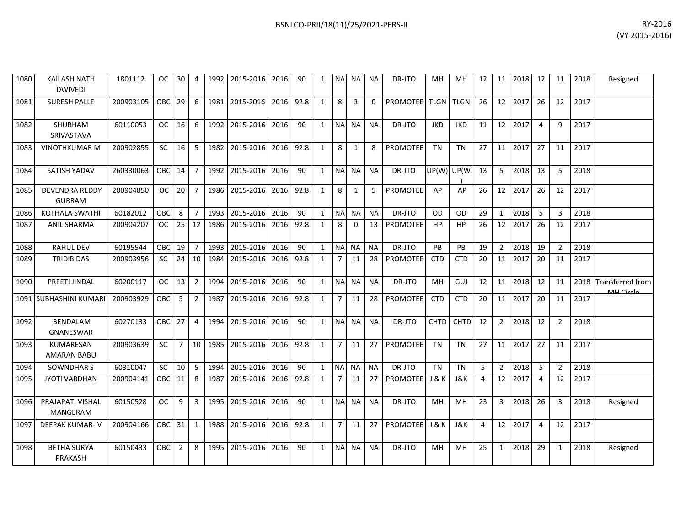| 1080 | <b>KAILASH NATH</b><br><b>DWIVEDI</b>  | 1801112   | OC.        | 30 <sup>1</sup> | 4               |      | 1992 2015-2016 2016 |           | 90   | $\mathbf{1}$ |                | NA NA NA       |           | DR-JTO          | MН               | MН          | 12 |                 | 11 2018 12 |                | 11             | 2018 | Resigned                      |
|------|----------------------------------------|-----------|------------|-----------------|-----------------|------|---------------------|-----------|------|--------------|----------------|----------------|-----------|-----------------|------------------|-------------|----|-----------------|------------|----------------|----------------|------|-------------------------------|
| 1081 | <b>SURESH PALLE</b>                    | 200903105 | <b>OBC</b> | 29              | 6               | 1981 | 2015-2016           | 2016      | 92.8 | $\mathbf{1}$ | 8              | $\overline{3}$ | $\Omega$  | PROMOTEE TLGN   |                  | <b>TLGN</b> | 26 | 12 <sup>1</sup> | 2017       | 26             | 12             | 2017 |                               |
| 1082 | SHUBHAM<br>SRIVASTAVA                  | 60110053  | <b>OC</b>  | 16              | 6               | 1992 | 2015-2016           | 2016      | 90   | $\mathbf{1}$ |                | NA NA          | <b>NA</b> | DR-JTO          | <b>JKD</b>       | <b>JKD</b>  | 11 |                 | 12 2017    | $\overline{4}$ | 9              | 2017 |                               |
| 1083 | <b>VINOTHKUMAR M</b>                   | 200902855 | <b>SC</b>  | 16              | 5               | 1982 | 2015-2016           | 2016      | 92.8 | $\mathbf{1}$ | 8              | 1              | 8         | <b>PROMOTEE</b> | TN               | <b>TN</b>   | 27 |                 | 11 2017    | 27             | 11             | 2017 |                               |
| 1084 | SATISH YADAV                           | 260330063 | <b>OBC</b> | 14              | 7 <sup>1</sup>  | 1992 | 2015-2016 2016      |           | 90   | 1            |                | NA NA          | NA.       | DR-JTO          | $UP(W)$ UP(W)    |             | 13 | 5               | 2018       | 13             | 5              | 2018 |                               |
| 1085 | <b>DEVENDRA REDDY</b><br><b>GURRAM</b> | 200904850 | <b>OC</b>  | 20              | $7^{\circ}$     | 1986 | 2015-2016           | 2016 92.8 |      | $\mathbf{1}$ | 8              | 1              | 5         | PROMOTEE        | AP               | AP          | 26 |                 | 12 2017    | 26             | 12             | 2017 |                               |
| 1086 | <b>KOTHALA SWATHI</b>                  | 60182012  | <b>OBC</b> | 8               | 7 <sup>1</sup>  | 1993 | 2015-2016 2016      |           | 90   | $\mathbf{1}$ |                | NA NA          | <b>NA</b> | DR-JTO          | OD               | 0D          | 29 | $\mathbf{1}$    | 2018       | 5              | 3              | 2018 |                               |
| 1087 | <b>ANIL SHARMA</b>                     | 200904207 | OC.        | 25              | 12              | 1986 | 2015-2016           | 2016      | 92.8 | $\mathbf{1}$ | 8              | $\Omega$       | 13        | PROMOTEE        | <b>HP</b>        | HP          | 26 | 12 <sup>1</sup> | 2017       | 26             | 12             | 2017 |                               |
| 1088 | <b>RAHUL DEV</b>                       | 60195544  | OBC        | 19              | $\overline{7}$  | 1993 | 2015-2016           | 2016      | 90   | $\mathbf{1}$ |                | NA NA          | <b>NA</b> | DR-JTO          | <b>PB</b>        | <b>PB</b>   | 19 | $\overline{2}$  | 2018       | 19             | 2              | 2018 |                               |
| 1089 | <b>TRIDIB DAS</b>                      | 200903956 | <b>SC</b>  | 24              | 10 <sup>1</sup> | 1984 | 2015-2016           | 2016      | 92.8 | $\mathbf{1}$ | 7              | 11             | 28        | <b>PROMOTEE</b> | <b>CTD</b>       | <b>CTD</b>  | 20 | 11              | 2017       | 20             | 11             | 2017 |                               |
| 1090 | PREETI JINDAL                          | 60200117  | OC.        | 13              | $\overline{2}$  | 1994 | 2015-2016           | 2016      | 90   | $1 \quad$    |                | NA NA          | NA.       | DR-JTO          | MН               | GUJ         | 12 | 11 <sup>1</sup> | 2018       | 12             | 11             | 2018 | Transferred from<br>MH Circle |
|      | 1091 SUBHASHINI KUMARI                 | 200903929 | OBC        | 5               | $\overline{2}$  | 1987 | 2015-2016           | 2016      | 92.8 | $\mathbf{1}$ | 7              | 11             | 28        | <b>PROMOTEE</b> | <b>CTD</b>       | <b>CTD</b>  | 20 | 11              | 2017       | 20             | 11             | 2017 |                               |
| 1092 | <b>BENDALAM</b><br>GNANESWAR           | 60270133  | <b>OBC</b> | 27              | $\overline{4}$  | 1994 | 2015-2016 2016      |           | 90   | $\mathbf{1}$ |                | NA NA          | <b>NA</b> | DR-JTO          | <b>CHTD</b>      | <b>CHTD</b> | 12 | $\overline{2}$  | 2018       | 12             | $\overline{2}$ | 2018 |                               |
| 1093 | KUMARESAN<br><b>AMARAN BABU</b>        | 200903639 | <b>SC</b>  | $7^{\circ}$     | 10 <sup>1</sup> | 1985 | 2015-2016           | 2016      | 92.8 | $\mathbf{1}$ | 7 <sup>1</sup> | 11             | 27        | PROMOTEE        | <b>TN</b>        | <b>TN</b>   | 27 |                 | 11 2017    | 27             | 11             | 2017 |                               |
| 1094 | <b>SOWNDHAR S</b>                      | 60310047  | SC         | 10              | 5               | 1994 | 2015-2016 2016      |           | 90   | $\mathbf{1}$ | NA             | I NA           | <b>NA</b> | DR-JTO          | <b>TN</b>        | <b>TN</b>   | 5  | 2               | 2018       | 5              | 2              | 2018 |                               |
| 1095 | <b>JYOTI VARDHAN</b>                   | 200904141 | <b>OBC</b> | 11              | 8               | 1987 | 2015-2016           | 2016      | 92.8 | $\mathbf{1}$ | $\overline{7}$ | 11             | 27        | PROMOTEE        | <b>J &amp; K</b> | J&K         | 4  |                 | 12 2017    | 4              | 12             | 2017 |                               |
| 1096 | PRAJAPATI VISHAL<br>MANGERAM           | 60150528  | <b>OC</b>  | 9               | $\overline{3}$  | 1995 | 2015-2016 2016      |           | 90   | $1 \quad$    |                | NA NA          | <b>NA</b> | DR-JTO          | MН               | <b>MH</b>   | 23 | 3               | 2018       | 26             | 3              | 2018 | Resigned                      |
| 1097 | DEEPAK KUMAR-IV                        | 200904166 | OBC        | 31              | $\mathbf{1}$    | 1988 | 2015-2016 2016      |           | 92.8 | $\mathbf{1}$ | $7^{\circ}$    | 11             | 27        | PROMOTEE J & K  |                  | J&K         | 4  |                 | 12 2017    | $\overline{4}$ | 12             | 2017 |                               |
| 1098 | <b>BETHA SURYA</b><br>PRAKASH          | 60150433  | <b>OBC</b> | $\overline{2}$  | 8               | 1995 | 2015-2016           | 2016      | 90   | $\mathbf{1}$ |                | NA NA          | <b>NA</b> | DR-JTO          | MН               | MH          | 25 | $\mathbf{1}$    | 2018       | 29             | 1              | 2018 | Resigned                      |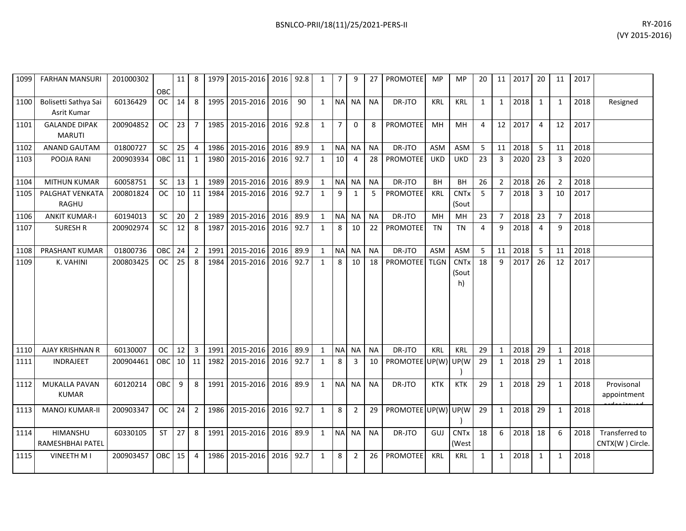| 1099 | <b>FARHAN MANSURI</b>                 | 201000302 | OBC        | 11              | 8              | 1979 | 2015-2016           | 2016 | 92.8 | 1            | $\overline{7}$ | 9              | 27        | <b>PROMOTEE</b>      | MP          | MP                              | 20             | 11             | 2017 | 20                      | 11             | 2017 |                                   |
|------|---------------------------------------|-----------|------------|-----------------|----------------|------|---------------------|------|------|--------------|----------------|----------------|-----------|----------------------|-------------|---------------------------------|----------------|----------------|------|-------------------------|----------------|------|-----------------------------------|
| 1100 | Bolisetti Sathya Sai<br>Asrit Kumar   | 60136429  | <b>OC</b>  | 14              | 8              |      | 1995 2015-2016      | 2016 | 90   | $\mathbf{1}$ | <b>NA</b>      | <b>NA</b>      | <b>NA</b> | DR-JTO               | <b>KRL</b>  | <b>KRL</b>                      | 1              | $\mathbf{1}$   | 2018 | 1                       | 1              | 2018 | Resigned                          |
| 1101 | <b>GALANDE DIPAK</b><br><b>MARUTI</b> | 200904852 | <b>OC</b>  | 23              | $\overline{7}$ | 1985 | 2015-2016           | 2016 | 92.8 | $\mathbf{1}$ | $\overline{7}$ | $\Omega$       | 8         | PROMOTEE             | MH          | <b>MH</b>                       | $\overline{4}$ | 12             | 2017 | $\overline{4}$          | 12             | 2017 |                                   |
| 1102 | <b>ANAND GAUTAM</b>                   | 01800727  | SC         | 25              | $\overline{4}$ | 1986 | 2015-2016 2016      |      | 89.9 | $\mathbf{1}$ | <b>NA</b>      | <b>NA</b>      | <b>NA</b> | DR-JTO               | <b>ASM</b>  | ASM                             | 5              | 11             | 2018 | 5                       | 11             | 2018 |                                   |
| 1103 | POOJA RANI                            | 200903934 | OBC        | 11              | $\mathbf{1}$   | 1980 | 2015-2016           | 2016 | 92.7 | $\mathbf{1}$ | 10             | $\overline{4}$ | 28        | PROMOTEE             | <b>UKD</b>  | <b>UKD</b>                      | 23             | $\overline{3}$ | 2020 | 23                      | 3              | 2020 |                                   |
| 1104 | <b>MITHUN KUMAR</b>                   | 60058751  | SC         | 13              | 1              | 1989 | 2015-2016           | 2016 | 89.9 | $\mathbf{1}$ | <b>NA</b>      | <b>NA</b>      | <b>NA</b> | DR-JTO               | <b>BH</b>   | BH                              | 26             | $\overline{2}$ | 2018 | 26                      | $\overline{2}$ | 2018 |                                   |
| 1105 | PALGHAT VENKATA<br>RAGHU              | 200801824 | <b>OC</b>  | 10              | 11             | 1984 | 2015-2016           | 2016 | 92.7 | $\mathbf{1}$ | 9              | $\mathbf{1}$   | 5         | PROMOTEE             | <b>KRL</b>  | <b>CNTx</b><br>(Sout            | 5              | $\overline{7}$ | 2018 | $\overline{\mathbf{3}}$ | 10             | 2017 |                                   |
| 1106 | <b>ANKIT KUMAR-I</b>                  | 60194013  | SC         | 20              | $\overline{2}$ | 1989 | 2015-2016           | 2016 | 89.9 | $\mathbf{1}$ | <b>NA</b>      | <b>NA</b>      | <b>NA</b> | DR-JTO               | MH          | MH                              | 23             | $\overline{7}$ | 2018 | 23                      | $\overline{7}$ | 2018 |                                   |
| 1107 | <b>SURESH R</b>                       | 200902974 | SC         | 12              | 8              | 1987 | 2015-2016           | 2016 | 92.7 | 1            | 8              | 10             | 22        | PROMOTEE             | TN          | <b>TN</b>                       | 4              | 9              | 2018 | $\overline{4}$          | 9              | 2018 |                                   |
| 1108 | PRASHANT KUMAR                        | 01800736  | OBC        | 24              | $\overline{2}$ | 1991 | 2015-2016           | 2016 | 89.9 | $\mathbf{1}$ | <b>NA</b>      | <b>NA</b>      | <b>NA</b> | DR-JTO               | <b>ASM</b>  | ASM                             | 5              | 11             | 2018 | -5                      | 11             | 2018 |                                   |
| 1109 | K. VAHINI                             | 200803425 | <b>OC</b>  | 25              | 8              | 1984 | 2015-2016           | 2016 | 92.7 | $\mathbf{1}$ | 8              | 10             | 18        | <b>PROMOTEE</b>      | <b>TLGN</b> | <b>CNTx</b><br>(Sout<br>h)      | 18             | 9              | 2017 | 26                      | 12             | 2017 |                                   |
| 1110 | AJAY KRISHNAN R                       | 60130007  | <b>OC</b>  | 12              | $\overline{3}$ | 1991 | 2015-2016 2016      |      | 89.9 | $\mathbf{1}$ |                | NA NA          | <b>NA</b> | DR-JTO               | KRL         | KRL                             | 29             | $\mathbf{1}$   | 2018 | 29                      | $\mathbf{1}$   | 2018 |                                   |
| 1111 | <b>INDRAJEET</b>                      | 200904461 | <b>OBC</b> | 10 <sup>1</sup> | 11             | 1982 | 2015-2016           | 2016 | 92.7 | $\mathbf{1}$ | 8              | 3              | 10        | PROMOTEE UP(W) UP(W  |             |                                 | 29             | $\mathbf{1}$   | 2018 | 29                      | $\mathbf{1}$   | 2018 |                                   |
| 1112 | <b>MUKALLA PAVAN</b><br><b>KUMAR</b>  | 60120214  | OBC        | 9               | 8              |      | 1991 2015-2016      | 2016 | 89.9 | $\mathbf{1}$ | <b>NAI</b>     | <b>NA</b>      | <b>NA</b> | DR-JTO               | <b>KTK</b>  | <b>KTK</b>                      | 29             | $\mathbf{1}$   | 2018 | 29                      | $\mathbf{1}$   | 2018 | Provisonal<br>appointment         |
| 1113 | <b>MANOJ KUMAR-II</b>                 | 200903347 | OC.        | 24              | $\overline{2}$ |      | 1986 2015-2016 2016 |      | 92.7 | $\mathbf{1}$ | 8              | $\overline{2}$ | 29        | PROMOTEE UP(W) UP(W) |             |                                 | 29             | $\mathbf{1}$   | 2018 | 29                      | $\mathbf{1}$   | 2018 |                                   |
| 1114 | <b>HIMANSHU</b><br>RAMESHBHAI PATEL   | 60330105  | <b>ST</b>  | 27              | 8              | 1991 | 2015-2016           | 2016 | 89.9 | $\mathbf{1}$ |                | NA NA          | <b>NA</b> | DR-JTO               | GUJ         | <b>CNT<sub>x</sub></b><br>(West | 18             | 6              | 2018 | 18                      | 6              | 2018 | Transferred to<br>CNTX(W) Circle. |
| 1115 | VINEETH M I                           | 200903457 | OBC        | 15              | 4              | 1986 | 2015-2016           | 2016 | 92.7 | $\mathbf{1}$ | 8              | $\overline{2}$ | 26        | PROMOTEE             | <b>KRL</b>  | <b>KRL</b>                      | $\mathbf{1}$   | $\mathbf{1}$   | 2018 | 1                       | $\mathbf{1}$   | 2018 |                                   |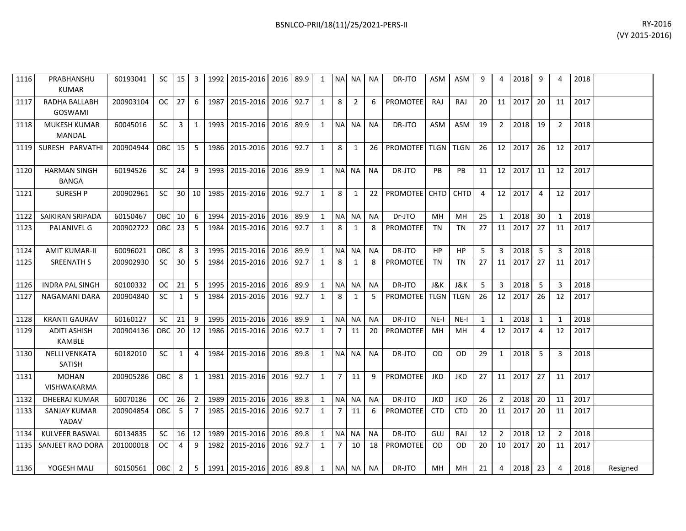| 1116 | PRABHANSHU<br><b>KUMAR</b>           | 60193041  | <b>SC</b>     | 15    | 3              |      | 1992 2015-2016 2016     |      | 89.9 | 1            | <b>NAI</b>     | NA I  | <b>NA</b> | DR-JTO               | <b>ASM</b>         | <b>ASM</b>  | 9              | 4              | 2018           | 9              | Δ             | 2018 |  |
|------|--------------------------------------|-----------|---------------|-------|----------------|------|-------------------------|------|------|--------------|----------------|-------|-----------|----------------------|--------------------|-------------|----------------|----------------|----------------|----------------|---------------|------|--|
| 1117 | <b>RADHA BALLABH</b><br>GOSWAMI      | 200903104 | <sub>OC</sub> | 27    | 6              | 1987 | 2015-2016               | 2016 | 92.7 | $\mathbf{1}$ | 8              | 2     | 6         | PROMOTEE             | <b>RAJ</b>         | RAJ         | 20             | 11             | 2017           | 20             | 11            | 2017 |  |
| 1118 | <b>MUKESH KUMAR</b><br>MANDAL        | 60045016  | <b>SC</b>     | 3     | 1              |      | 1993 2015-2016          | 2016 | 89.9 | $\mathbf{1}$ | <b>NA</b>      | NA.   | <b>NA</b> | DR-JTO               | <b>ASM</b>         | <b>ASM</b>  | 19             | $\overline{2}$ | 2018           | 19             | $\mathcal{P}$ | 2018 |  |
| 1119 | SURESH PARVATHI                      | 200904944 | OBC           | 15 I  | -5             |      | 1986 2015-2016          | 2016 | 92.7 | 1            | 8              | 1     | 26        | <b>PROMOTEE</b>      | <b>TLGN   TLGN</b> |             | 26             |                | 12 2017        | 26             | 12            | 2017 |  |
| 1120 | <b>HARMAN SINGH</b><br><b>BANGA</b>  | 60194526  | <b>SC</b>     | 24    | 9              |      | 1993 2015-2016          | 2016 | 89.9 | 1            |                | NA NA | <b>NA</b> | DR-JTO               | PB                 | <b>PB</b>   | 11             |                | $12 \mid 2017$ | 11             | 12            | 2017 |  |
| 1121 | <b>SURESH P</b>                      | 200902961 | <b>SC</b>     | -30 I | 10 I           |      | 1985   2015-2016   2016 |      | 92.7 | $\mathbf{1}$ | 8              | 1     | 22        | <b>PROMOTEE</b> CHTD |                    | <b>CHTD</b> | $\overline{4}$ |                | 12 2017        | $\overline{4}$ | 12            | 2017 |  |
| 1122 | SAIKIRAN SRIPADA                     | 60150467  | OBC           | 10    | 6              | 1994 | 2015-2016               | 2016 | 89.9 | $\mathbf{1}$ | NA             | NA    | <b>NA</b> | Dr-JTO               | MH                 | MH          | 25             |                | 2018           | 30             |               | 2018 |  |
| 1123 | <b>PALANIVEL G</b>                   | 200902722 | <b>OBC</b>    | 23    | -5             | 1984 | 2015-2016               | 2016 | 92.7 | 1            | 8              | 1     | 8         | <b>PROMOTEE</b>      | <b>TN</b>          | <b>TN</b>   | 27             | 11             | 2017           | 27             | 11            | 2017 |  |
| 1124 | <b>AMIT KUMAR-II</b>                 | 60096021  | OBC           | 8     | $\overline{3}$ |      | 1995 2015-2016 2016     |      | 89.9 | $\mathbf{1}$ |                | NA NA | <b>NA</b> | DR-JTO               | HP                 | <b>HP</b>   | 5              | $\overline{3}$ | 2018           | -5             | 3             | 2018 |  |
| 1125 | <b>SREENATH S</b>                    | 200902930 | <b>SC</b>     | 30    | -5             | 1984 | 2015-2016               | 2016 | 92.7 | 1            | 8              | 1     | 8         | <b>PROMOTEE</b>      | <b>TN</b>          | TN          | 27             | 11             | 2017           | 27             | 11            | 2017 |  |
| 1126 | <b>INDRA PAL SINGH</b>               | 60100332  | <b>OC</b>     | 21    | 5              |      | 1995 2015-2016          | 2016 | 89.9 | $\mathbf{1}$ |                | NA NA | <b>NA</b> | DR-JTO               | J&K                | J&K         | 5              | 3              | 2018           | 5              | 3             | 2018 |  |
| 1127 | NAGAMANI DARA                        | 200904840 | <b>SC</b>     | 1     | -5             |      | 1984 2015-2016          | 2016 | 92.7 | $\mathbf{1}$ | 8              | 1     | 5         | <b>PROMOTEE</b>      | <b>TLGN I TLGN</b> |             | 26             | 12             | 2017           | 26             | 12            | 2017 |  |
| 1128 | <b>KRANTI GAURAV</b>                 | 60160127  | <b>SC</b>     | 21    | 9              |      | 1995 2015-2016          | 2016 | 89.9 | 1            |                | NA NA | <b>NA</b> | DR-JTO               | $NE-I$             | $NE-I$      | 1              | $\mathbf{1}$   | 2018           | 1              |               | 2018 |  |
| 1129 | <b>ADITI ASHISH</b><br><b>KAMBLE</b> | 200904136 | <b>OBC</b>    | 20 l  | 12             |      | 1986 2015-2016          | 2016 | 92.7 | $\mathbf{1}$ | 7 I            | 11    | 20        | <b>PROMOTEE</b>      | MH                 | MH          | 4              | 12             | 2017           | 4              | 12            | 2017 |  |
| 1130 | <b>NELLI VENKATA</b><br>SATISH       | 60182010  | <b>SC</b>     | 1     | $\overline{4}$ | 1984 | 2015-2016 2016          |      | 89.8 | $\mathbf{1}$ |                | NA NA | <b>NA</b> | DR-JTO               | <b>OD</b>          | <b>OD</b>   | 29             | 1              | 2018           | -5             | ર             | 2018 |  |
| 1131 | <b>MOHAN</b><br>VISHWAKARMA          | 200905286 | OBC           | 8     | 1              | 1981 | 2015-2016               | 2016 | 92.7 | 1            | 7 <sup>1</sup> | 11    | 9         | <b>PROMOTEE</b>      | <b>JKD</b>         | <b>JKD</b>  | 27             | 11             | 2017           | 27             | 11            | 2017 |  |

200904854 | OBC | 5 | 7 | 1985 | 2015-2016 | 2016 | 92.7 | 1 | 7 | 11 | 6 | PROMOTEE | CTD | CTD | 20 | 11 |2017 | 20 | 11 | 2017

1132| DHEERAJ KUMAR | 60070186 | OC | 26 | 2 | 1989 | 2015-2016 | 2016 | 89.8 | 1 | NA | NA | NA | DR-JTO | JKD | JKD | 26 | 2 | 2018 | 20 | 11 | 2017

1134| KULVEER BASWAL | 60134835 | SC | 16|12|1989|2015-2016|2016|89.8| 1 |NA|NA | NA | DR-JTO | GUJ | RAJ | 12 | 2 |2018|12 | 2 |2018 1135 SANJEET RAO DORA 201000018 OC 4 9 1982 2015-2016 2016 92.7 1 7 10 18 PROMOTEE OD OD 20 10 2017 20 11 2017

1136| YOGESH MALI | 60150561 |OBC| 2 | 5 | 1991|2015-2016|2016|89.8| 1 |NA| NA | NA | DR-JTO | MH | MH | 21 | 4 |2018|23 | 4 | 2018| Resigned

1133 SANJAY KUMAR

YADAV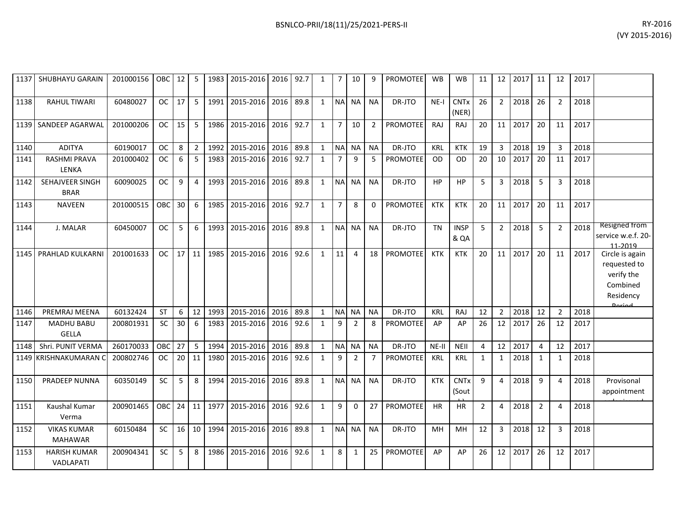|      | 1137 SHUBHAYU GARAIN                 | 201000156   OBC   12   5 |           |    |                 |      | 1983   2015-2016   2016   92.7 |      |      | $\mathbf{1}$ | 7 <sup>1</sup> | 10             | 9              | <b>PROMOTEE</b> | <b>WB</b>  | <b>WB</b>                       | 11             |                 | 12 2017 | 11             | 12             | 2017 |                                                                                         |
|------|--------------------------------------|--------------------------|-----------|----|-----------------|------|--------------------------------|------|------|--------------|----------------|----------------|----------------|-----------------|------------|---------------------------------|----------------|-----------------|---------|----------------|----------------|------|-----------------------------------------------------------------------------------------|
| 1138 | <b>RAHUL TIWARI</b>                  | 60480027                 | <b>OC</b> | 17 | -5              | 1991 | 2015-2016 2016                 |      | 89.8 | $\mathbf{1}$ |                | NA NA          | <b>NA</b>      | DR-JTO          | $NE-I$     | <b>CNTx</b><br>(NER)            | 26             | $\overline{2}$  | 2018    | 26             | $\overline{2}$ | 2018 |                                                                                         |
|      | 1139 SANDEEP AGARWAL                 | 201000206                | <b>OC</b> | 15 | 5               | 1986 | 2015-2016                      | 2016 | 92.7 | $\mathbf{1}$ | $\overline{7}$ | 10             | $\overline{2}$ | <b>PROMOTEE</b> | RAJ        | RAJ                             | 20             | 11              | 2017    | 20             | 11             | 2017 |                                                                                         |
| 1140 | <b>ADITYA</b>                        | 60190017                 | <b>OC</b> | 8  | 2 <sup>1</sup>  | 1992 | 2015-2016 2016                 |      | 89.8 | $\mathbf{1}$ | NA NA          |                | <b>NA</b>      | DR-JTO          | <b>KRL</b> | <b>KTK</b>                      | 19             | 3               | 2018    | 19             | 3              | 2018 |                                                                                         |
| 1141 | RASHMI PRAVA<br>LENKA                | 201000402                | <b>OC</b> | 6  | 5               | 1983 | 2015-2016                      | 2016 | 92.7 | $\mathbf{1}$ | 7              | q              | -5             | <b>PROMOTEE</b> | <b>OD</b>  | <b>OD</b>                       | 20             | 10              | 2017    | 20             | 11             | 2017 |                                                                                         |
| 1142 | SEHAJVEER SINGH<br><b>BRAR</b>       | 60090025                 | <b>OC</b> | 9  | 4               | 1993 | 2015-2016 2016                 |      | 89.8 |              | 1 NA NA        |                | <b>NA</b>      | DR-JTO          | <b>HP</b>  | <b>HP</b>                       | 5              | $\overline{3}$  | 2018    | 5              | 3              | 2018 |                                                                                         |
| 1143 | <b>NAVEEN</b>                        | 201000515                | OBC       | 30 | 6               | 1985 | 2015-2016                      | 2016 | 92.7 | $\mathbf{1}$ | $\overline{7}$ | 8              | $\Omega$       | <b>PROMOTEE</b> | <b>KTK</b> | <b>KTK</b>                      | 20             | 11              | 2017    | 20             | 11             | 2017 |                                                                                         |
| 1144 | J. MALAR                             | 60450007                 | <b>OC</b> | 5  | 6               | 1993 | 2015-2016 2016                 |      | 89.8 | $\mathbf{1}$ | NA NA          |                | <b>NA</b>      | DR-JTO          | <b>TN</b>  | <b>INSP</b><br>& QA             | 5              | 2               | 2018    | 5              | $\overline{2}$ | 2018 | Resigned from<br>service w.e.f. 20-<br>11-2019                                          |
|      | 1145   PRAHLAD KULKARNI              | 201001633                | <b>OC</b> | 17 | 11              | 1985 | 2015-2016                      | 2016 | 92.6 | $\mathbf{1}$ | 11             | 4              |                | 18 PROMOTEE     | <b>KTK</b> | <b>KTK</b>                      | 20             | 11 <sup>1</sup> | 2017    | 20             | 11             | 2017 | Circle is again<br>requested to<br>verify the<br>Combined<br>Residency<br><b>Dariad</b> |
| 1146 | PREMRAJ MEENA                        | 60132424                 | <b>ST</b> | 6  | 12              | 1993 | 2015-2016                      | 2016 | 89.8 | 1            | <b>NA</b>      | <b>NA</b>      | <b>NA</b>      | DR-JTO          | <b>KRL</b> | RAJ                             | 12             | $\overline{2}$  | 2018    | 12             | $\overline{2}$ | 2018 |                                                                                         |
| 1147 | <b>MADHU BABU</b><br><b>GELLA</b>    | 200801931                | SC        | 30 | 6               | 1983 | 2015-2016                      | 2016 | 92.6 | $\mathbf{1}$ | 9              | $\overline{2}$ | 8              | <b>PROMOTEE</b> | AP         | AP                              | 26             | 12              | 2017    | 26             | 12             | 2017 |                                                                                         |
| 1148 | Shri, PUNIT VERMA                    | 260170033                | OBC       | 27 | 5               | 1994 | 2015-2016                      | 2016 | 89.8 | $\mathbf{1}$ | NA NA          |                | <b>NA</b>      | DR-JTO          | $NE-II$    | <b>NEII</b>                     | $\overline{4}$ | 12              | 2017    | $\overline{4}$ | 12             | 2017 |                                                                                         |
|      | 1149 KRISHNAKUMARAN (                | 200802746                | <b>OC</b> | 20 | 11              | 1980 | 2015-2016                      | 2016 | 92.6 | $\mathbf{1}$ | 9              | $\overline{2}$ | 7              | <b>PROMOTEE</b> | KRL        | <b>KRL</b>                      | 1              | 1               | 2018    | 1              | 1              | 2018 |                                                                                         |
| 1150 | <b>PRADEEP NUNNA</b>                 | 60350149                 | <b>SC</b> | 5  | 8               | 1994 | 2015-2016                      | 2016 | 89.8 | $\mathbf{1}$ | NA NA          |                | <b>NA</b>      | DR-JTO          | <b>KTK</b> | <b>CNT<sub>x</sub></b><br>(Sout | 9              | $\overline{a}$  | 2018    | 9              | $\Delta$       | 2018 | Provisonal<br>appointment                                                               |
| 1151 | Kaushal Kumar<br>Verma               | 200901465                | OBC       |    | $24$ 11         | 1977 | 2015-2016 2016                 |      | 92.6 | $\mathbf{1}$ | 9              | $\Omega$       | 27             | <b>PROMOTEE</b> | <b>HR</b>  | ΗR                              | $\overline{2}$ | 4               | 2018    | $\overline{2}$ | $\Delta$       | 2018 |                                                                                         |
| 1152 | <b>VIKAS KUMAR</b><br><b>MAHAWAR</b> | 60150484                 | SC        | 16 | 10 <sup>1</sup> | 1994 | 2015-2016                      | 2016 | 89.8 | $\mathbf{1}$ | NA NA          |                | <b>NA</b>      | DR-JTO          | <b>MH</b>  | MН                              | 12             | 3               | 2018    | 12             | 3              | 2018 |                                                                                         |
| 1153 | <b>HARISH KUMAR</b><br>VADLAPATI     | 200904341                | SC        | 5  | 8               | 1986 | 2015-2016                      | 2016 | 92.6 | $\mathbf{1}$ | 8              | $\mathbf{1}$   | 25             | <b>PROMOTEE</b> | AP         | AP                              | 26             | 12              | 2017    | 26             | 12             | 2017 |                                                                                         |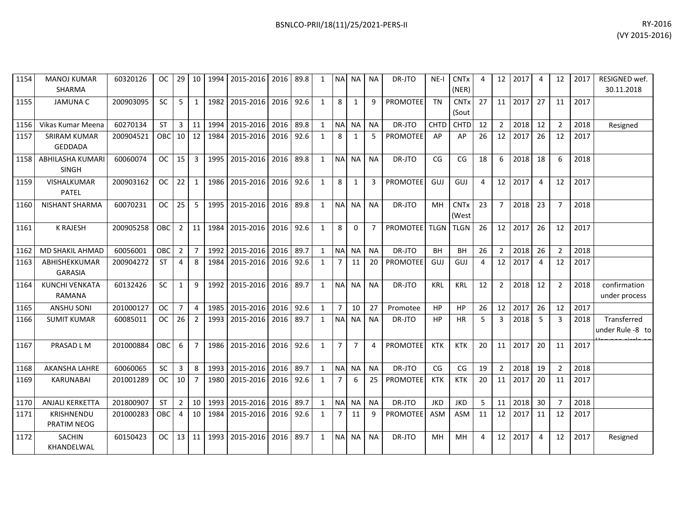1154

1157

1158

1159

1163

1164

1171 KRISHNENDU

1172 SACHIN

PRATIM NEOG

KHANDELWAL

| 1154 | <b>MANOJ KUMAR</b><br><b>SHARMA</b>     | 60320126  | OC.        | 29              | 10                      | 1994 | 2015-2016      | 2016 89.8 |           | 1            | N <sub>A</sub> | <b>NA</b>      | <b>NA</b>      | DR-JTO          | $NE-I$           | <b>CNT<sub>x</sub></b><br>(NER) | $\Delta$ | 12             | 2017 | -4             | 12             | 2017 | RESIGNED wef.<br>30.11.2018     |
|------|-----------------------------------------|-----------|------------|-----------------|-------------------------|------|----------------|-----------|-----------|--------------|----------------|----------------|----------------|-----------------|------------------|---------------------------------|----------|----------------|------|----------------|----------------|------|---------------------------------|
| 1155 | <b>JAMUNA C</b>                         | 200903095 | <b>SC</b>  | 5               | $\mathbf{1}$            | 1982 | 2015-2016      | 2016      | 92.6      | $\mathbf{1}$ | 8              | $\mathbf{1}$   | 9              | <b>PROMOTEE</b> | <b>TN</b>        | <b>CNT<sub>x</sub></b><br>(Sout | 27       | 11             | 2017 | 27             | 11             | 2017 |                                 |
| 1156 | <b>Vikas Kumar Meena</b>                | 60270134  | <b>ST</b>  | 3               | 11                      | 1994 | 2015-2016      | 2016      | 89.8      | 1            | <b>NA</b>      | <b>NA</b>      | <b>NA</b>      | DR-JTO          | <b>CHTD</b>      | <b>CHTD</b>                     | 12       | $2^{\circ}$    | 2018 | 12             | $\mathcal{P}$  | 2018 | Resigned                        |
| 1157 | <b>SRIRAM KUMAR</b><br><b>GEDDADA</b>   | 200904521 | OBC        |                 | $10$   12               | 1984 | 2015-2016      | 2016 92.6 |           | $\mathbf{1}$ | 8              | 1              | 5              | <b>PROMOTEE</b> | AP               | AP                              | 26       | 12             | 2017 | 26             | 12             | 2017 |                                 |
| 1158 | <b>ABHILASHA KUMARI</b><br><b>SINGH</b> | 60060074  | OC         | 15 <sub>1</sub> | $\overline{3}$          | 1995 | 2015-2016      | 2016 89.8 |           | $\mathbf{1}$ | <b>NA</b>      | <b>NA</b>      | <b>NA</b>      | DR-JTO          | CG               | CG                              | 18       | 6              | 2018 | 18             | 6              | 2018 |                                 |
| 1159 | VISHALKUMAR<br><b>PATEL</b>             | 200903162 | OC .       | 22              | 1                       | 1986 | 2015-2016      |           | 2016 92.6 | $\mathbf{1}$ | 8              | $\mathbf{1}$   | 3              | <b>PROMOTEE</b> | GUJ              | GUJ                             | $\Delta$ | 12             | 2017 | $\overline{a}$ | 12             | 2017 |                                 |
| 1160 | <b>NISHANT SHARMA</b>                   | 60070231  | OC.        | 25              | -5                      | 1995 | 2015-2016      | 2016 89.8 |           | $\mathbf{1}$ | <b>NA</b>      | <b>NA</b>      | <b>NA</b>      | DR-JTO          | MH               | <b>CNT<sub>x</sub></b><br>(West | 23       | 7 I            | 2018 | 23             | $\overline{7}$ | 2018 |                                 |
| 1161 | <b>K RAJESH</b>                         | 200905258 | OBC        | $\overline{2}$  | 11                      | 1984 | 2015-2016      | 2016      | 92.6      | $\mathbf{1}$ | 8              | $\Omega$       | $\overline{7}$ | <b>PROMOTEE</b> | <b>TLGN</b> TLGN |                                 | 26       | 12             | 2017 | 26             | 12             | 2017 |                                 |
| 1162 | <b>MD SHAKIL AHMAD</b>                  | 60056001  | <b>OBC</b> | $\overline{2}$  | $\overline{7}$          | 1992 | 2015-2016      | 2016      | 89.7      | 1            | <b>NA</b>      | <b>NA</b>      | <b>NA</b>      | DR-JTO          | <b>BH</b>        | <b>BH</b>                       | 26       | $\overline{2}$ | 2018 | 26             | $\mathfrak{D}$ | 2018 |                                 |
| 1163 | ABHISHEKKUMAR<br><b>GARASIA</b>         | 200904272 | <b>ST</b>  | 4               | 8                       | 1984 | 2015-2016      | 2016      | 92.6      | $\mathbf{1}$ | $\overline{7}$ | 11             | 20             | <b>PROMOTEE</b> | GUJ              | GUJ                             | 4        | 12             | 2017 | -4             | 12             | 2017 |                                 |
| 1164 | <b>KUNCHI VENKATA</b><br><b>RAMANA</b>  | 60132426  | <b>SC</b>  | $\mathbf{1}$    | 9                       | 1992 | 2015-2016      | 2016      | 89.7      | $\mathbf{1}$ | <b>NA</b>      | <b>NA</b>      | <b>NA</b>      | DR-JTO          | <b>KRL</b>       | <b>KRL</b>                      | 12       | $\overline{2}$ | 2018 | 12             | $\overline{2}$ | 2018 | confirmation<br>under process   |
| 1165 | <b>ANSHU SONI</b>                       | 201000127 | <b>OC</b>  |                 | $\overline{\mathbf{A}}$ | 1985 | 2015-2016      | 2016      | 92.6      | $\mathbf{1}$ | $\overline{7}$ | 10             | 27             | Promotee        | HP               | HP                              | 26       | 12             | 2017 | 26             | 12             | 2017 |                                 |
| 1166 | <b>SUMIT KUMAR</b>                      | 60085011  | <b>OC</b>  | 26              | $\overline{2}$          | 1993 | 2015-2016      | 2016      | 89.7      | $\mathbf{1}$ | <b>NA</b>      | <b>NA</b>      | <b>NA</b>      | DR-JTO          | HP               | <b>HR</b>                       | 5        | 3              | 2018 | -5             | 3              | 2018 | Transferred<br>under Rule -8 to |
| 1167 | PRASAD L M                              | 201000884 | <b>OBC</b> | 6               | $\overline{7}$          | 1986 | 2015-2016      | 2016      | 92.6      | $\mathbf{1}$ | $\overline{7}$ | $\overline{7}$ | 4              | <b>PROMOTEE</b> | <b>KTK</b>       | <b>KTK</b>                      | 20       | 11             | 2017 | 20             | 11             | 2017 |                                 |
| 1168 | <b>AKANSHA LAHRE</b>                    | 60060065  | <b>SC</b>  | 3               | 8                       | 1993 | 2015-2016      | 2016      | 89.7      | 1            | <b>NA</b>      | <b>NA</b>      | <b>NA</b>      | DR-JTO          | CG               | CG                              | 19       | $\overline{2}$ | 2018 | 19             | $\overline{2}$ | 2018 |                                 |
| 1169 | KARUNABAI                               | 201001289 | OC .       | 10              | $\overline{7}$          | 1980 | 2015-2016      | 2016      | 92.6      | $\mathbf{1}$ | $\overline{7}$ | 6              | 25             | <b>PROMOTEE</b> | <b>KTK</b>       | <b>KTK</b>                      | 20       | 11             | 2017 | 20             | 11             | 2017 |                                 |
| 1170 | <b>ANJALI KERKETTA</b>                  | 201800907 | <b>ST</b>  | $\overline{2}$  | 10 <sup>1</sup>         |      | 1993 2015-2016 | 2016 89.7 |           | $\mathbf{1}$ | <b>NA</b>      | <b>NA</b>      | <b>NA</b>      | DR-JTO          | <b>JKD</b>       | <b>JKD</b>                      | 5        | 11             | 2018 | 30             | $\overline{7}$ | 2018 |                                 |

201000283 OBC 4 | 10 | 1984 | 2015-2016 | 2016 | 92.6 | 1 | 7 | 11 | 9 | PROMOTEE | ASM | ASM | 11 | 12 | 2017 | 11 | 12 | 2017

60150423 | OC | 13 | 11 | 1993 | 2015-2016 | 2016 | 89.7 | 1 | NA | NA | NA | DR-JTO | MH | MH | 4 | 12 | 2017 | 4 | 12 | 2017 | Resigned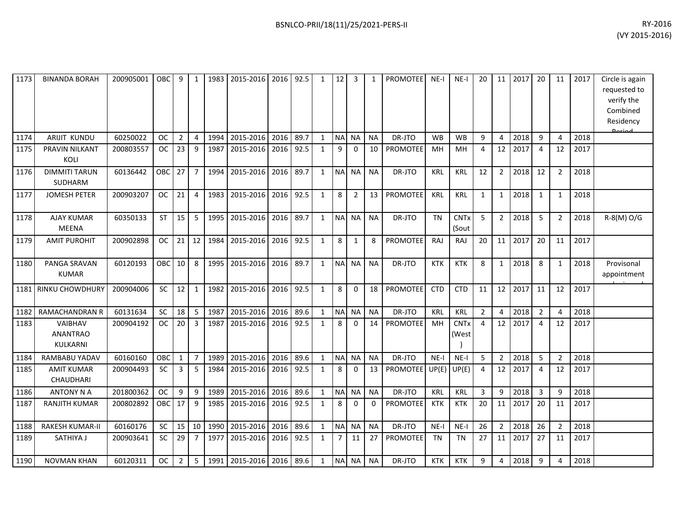| 1173 | <b>BINANDA BORAH</b>                          | 200905001 | <b>OBC</b> | 9              | 1              | 1983 | 2015-2016      | 2016 | 92.5 | $\mathbf{1}$ | 12             | $\overline{3}$ |           | <b>PROMOTEE</b> | $NE-I$     | $NE-I$                          | 20             | 11             | 2017 | 20             | 11             | 2017 | Circle is again<br>requested to<br>verify the<br>Combined<br>Residency<br>Doriad |
|------|-----------------------------------------------|-----------|------------|----------------|----------------|------|----------------|------|------|--------------|----------------|----------------|-----------|-----------------|------------|---------------------------------|----------------|----------------|------|----------------|----------------|------|----------------------------------------------------------------------------------|
| 1174 | <b>ARIJIT KUNDU</b>                           | 60250022  | <b>OC</b>  | $\overline{2}$ | $\overline{4}$ | 1994 | 2015-2016      | 2016 | 89.7 | $\mathbf{1}$ | <b>NAI</b>     | <b>NA</b>      | <b>NA</b> | DR-JTO          | <b>WB</b>  | <b>WB</b>                       | 9              | 4              | 2018 | 9              | 4              | 2018 |                                                                                  |
| 1175 | PRAVIN NILKANT<br>KOLI                        | 200803557 | <b>OC</b>  | 23             | 9              | 1987 | 2015-2016      | 2016 | 92.5 | $\mathbf{1}$ | 9              | 0              | 10        | PROMOTEE        | MH         | MH                              | 4              | 12             | 2017 | 4              | 12             | 2017 |                                                                                  |
| 1176 | <b>DIMMITI TARUN</b><br><b>SUDHARM</b>        | 60136442  | OBC        | 27             | $\overline{7}$ | 1994 | 2015-2016      | 2016 | 89.7 | $\mathbf{1}$ | <b>NA</b>      | <b>NA</b>      | <b>NA</b> | DR-JTO          | <b>KRL</b> | <b>KRL</b>                      | 12             | $\overline{2}$ | 2018 | 12             | $\overline{2}$ | 2018 |                                                                                  |
| 1177 | <b>JOMESH PETER</b>                           | 200903207 | <b>OC</b>  | 21             | $\overline{4}$ | 1983 | 2015-2016      | 2016 | 92.5 | $\mathbf{1}$ | 8              | $\overline{2}$ | 13        | PROMOTEE        | <b>KRL</b> | <b>KRL</b>                      | $\mathbf{1}$   | $\mathbf{1}$   | 2018 | $\mathbf{1}$   | 1              | 2018 |                                                                                  |
| 1178 | <b>AJAY KUMAR</b><br><b>MEENA</b>             | 60350133  | <b>ST</b>  | 15             | 5              | 1995 | 2015-2016      | 2016 | 89.7 | $\mathbf{1}$ | <b>NA</b>      | <b>NA</b>      | <b>NA</b> | DR-JTO          | <b>TN</b>  | <b>CNT<sub>x</sub></b><br>(Sout | 5              | $\overline{2}$ | 2018 | 5              | $\overline{2}$ | 2018 | R-8(M) O/G                                                                       |
| 1179 | <b>AMIT PUROHIT</b>                           | 200902898 | <b>OC</b>  | 21             | 12             | 1984 | 2015-2016      | 2016 | 92.5 | $\mathbf{1}$ | 8              | 1              | 8         | <b>PROMOTEE</b> | RAJ        | RAJ                             | 20             | 11             | 2017 | 20             | 11             | 2017 |                                                                                  |
| 1180 | PANGA SRAVAN<br><b>KUMAR</b>                  | 60120193  | OBC        | 10             | 8              |      | 1995 2015-2016 | 2016 | 89.7 | $\mathbf{1}$ | <b>NA</b>      | <b>NA</b>      | <b>NA</b> | DR-JTO          | <b>KTK</b> | <b>KTK</b>                      | 8              | 1              | 2018 | 8              | 1              | 2018 | Provisonal<br>appointment                                                        |
| 1181 | <b>RINKU CHOWDHURY</b>                        | 200904006 | SC         | 12             | $\mathbf{1}$   | 1982 | 2015-2016      | 2016 | 92.5 | $\mathbf{1}$ | 8              | $\mathbf{0}$   | 18        | PROMOTEE        | <b>CTD</b> | <b>CTD</b>                      | 11             | 12             | 2017 | 11             | 12             | 2017 |                                                                                  |
| 1182 | <b>RAMACHANDRAN R</b>                         | 60131634  | <b>SC</b>  | 18             | 5              | 1987 | 2015-2016      | 2016 | 89.6 | $\mathbf{1}$ | N <sub>A</sub> | <b>NA</b>      | <b>NA</b> | DR-JTO          | <b>KRL</b> | <b>KRL</b>                      | $\overline{2}$ | 4              | 2018 | $\overline{2}$ | 4              | 2018 |                                                                                  |
| 1183 | <b>VAIBHAV</b><br><b>ANANTRAO</b><br>KULKARNI | 200904192 | <b>OC</b>  | 20             | 3              | 1987 | 2015-2016      | 2016 | 92.5 | $\mathbf{1}$ | 8              | $\mathbf{0}$   | 14        | <b>PROMOTEE</b> | MH         | <b>CNT<sub>x</sub></b><br>(West | 4              | 12             | 2017 | 4              | 12             | 2017 |                                                                                  |
| 1184 | <b>RAMBABU YADAV</b>                          | 60160160  | OBC        | $\mathbf{1}$   | $\overline{7}$ | 1989 | 2015-2016      | 2016 | 89.6 | $\mathbf{1}$ | N <sub>A</sub> | <b>NA</b>      | <b>NA</b> | DR-JTO          | $NE-I$     | $NE-I$                          | 5              | $\overline{2}$ | 2018 | 5              | $\overline{2}$ | 2018 |                                                                                  |
| 1185 | <b>AMIT KUMAR</b><br>CHAUDHARI                | 200904493 | <b>SC</b>  | 3              | 5              | 1984 | 2015-2016      | 2016 | 92.5 | $\mathbf{1}$ | 8              | 0              | 13        | <b>PROMOTEE</b> | UP(E)      | UP(E)                           | 4              | 12             | 2017 | 4              | 12             | 2017 |                                                                                  |
| 1186 | <b>ANTONY N A</b>                             | 201800362 | <b>OC</b>  | 9              | 9              | 1989 | 2015-2016      | 2016 | 89.6 | $\mathbf{1}$ | <b>NA</b>      | NA             | <b>NA</b> | DR-JTO          | KRL        | <b>KRL</b>                      | 3              | 9              | 2018 | 3              | 9              | 2018 |                                                                                  |
| 1187 | <b>RANJITH KUMAR</b>                          | 200802892 | OBC        | 17             | 9              | 1985 | 2015-2016      | 2016 | 92.5 | $\mathbf{1}$ | 8              | $\mathbf{0}$   | $\Omega$  | <b>PROMOTEE</b> | <b>KTK</b> | <b>KTK</b>                      | 20             | 11             | 2017 | 20             | 11             | 2017 |                                                                                  |
| 1188 | <b>RAKESH KUMAR-II</b>                        | 60160176  | SC         | 15             | 10             | 1990 | 2015-2016      | 2016 | 89.6 | $\mathbf{1}$ | <b>NA</b>      | <b>NA</b>      | <b>NA</b> | DR-JTO          | $NE-I$     | $NE-I$                          | 26             | $\overline{2}$ | 2018 | 26             | $\overline{2}$ | 2018 |                                                                                  |
| 1189 | SATHIYA J                                     | 200903641 | <b>SC</b>  | 29             | $\overline{7}$ | 1977 | 2015-2016      | 2016 | 92.5 | $\mathbf{1}$ | 7              | 11             | 27        | <b>PROMOTEE</b> | <b>TN</b>  | <b>TN</b>                       | 27             | 11             | 2017 | 27             | 11             | 2017 |                                                                                  |
| 1190 | <b>NOVMAN KHAN</b>                            | 60120311  | <b>OC</b>  | $\overline{2}$ | 5              | 1991 | 2015-2016 2016 |      | 89.6 | 1            | <b>NA</b>      | NA.            | <b>NA</b> | DR-JTO          | <b>KTK</b> | <b>KTK</b>                      | 9              | 4              | 2018 | 9              |                | 2018 |                                                                                  |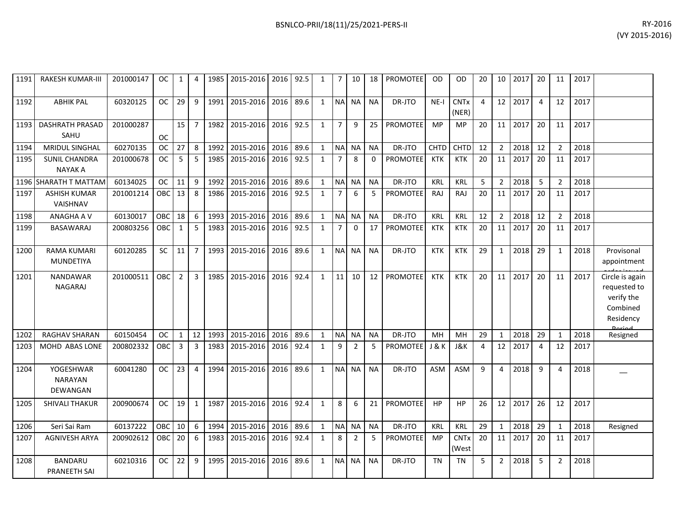| 1191 | <b>RAKESH KUMAR-III</b>                 | 201000147 | OС         | 1            | 4              | 1985 | 2015-2016   2016   92.5 |           |      | 1            | $\overline{7}$ | 10             | 18          | PROMOTEE        | 0D         | OD                   | 20             | 10 <sup>1</sup> | 2017 | 20             | 11             | 2017 |                                                                        |
|------|-----------------------------------------|-----------|------------|--------------|----------------|------|-------------------------|-----------|------|--------------|----------------|----------------|-------------|-----------------|------------|----------------------|----------------|-----------------|------|----------------|----------------|------|------------------------------------------------------------------------|
| 1192 | <b>ABHIK PAL</b>                        | 60320125  | <b>OC</b>  | 29           | 9              | 1991 | 2015-2016               | 2016      | 89.6 | $\mathbf{1}$ | <b>NA</b>      | <b>NA</b>      | <b>NA</b>   | DR-JTO          | $NE-I$     | <b>CNTx</b><br>(NER) | $\overline{4}$ | 12              | 2017 | $\overline{4}$ | 12             | 2017 |                                                                        |
| 1193 | <b>DASHRATH PRASAD</b><br>SAHU          | 201000287 | <b>OC</b>  | 15           | $\overline{7}$ | 1982 | 2015-2016               | 2016 92.5 |      | $\mathbf{1}$ | $\overline{7}$ | 9              | 25          | <b>PROMOTEE</b> | <b>MP</b>  | MP                   | 20             | 11              | 2017 | 20             | 11             | 2017 |                                                                        |
| 1194 | <b>MRIDUL SINGHAL</b>                   | 60270135  | <b>OC</b>  | 27           | 8              | 1992 | 2015-2016               | 2016      | 89.6 | $\mathbf{1}$ | <b>NA</b>      | <b>NA</b>      | <b>NA</b>   | DR-JTO          | CHTD       | <b>CHTD</b>          | 12             | $\overline{2}$  | 2018 | 12             | $\overline{2}$ | 2018 |                                                                        |
| 1195 | <b>SUNIL CHANDRA</b><br><b>NAYAK A</b>  | 201000678 | <b>OC</b>  | 5            | 5              | 1985 | 2015-2016               | 2016      | 92.5 | $\mathbf{1}$ | $\overline{7}$ | 8              | $\mathbf 0$ | <b>PROMOTEE</b> | KTK        | <b>KTK</b>           | 20             | 11              | 2017 | 20             | 11             | 2017 |                                                                        |
| 1196 | SHARATH T MATTAM                        | 60134025  | <b>OC</b>  | 11           | 9              | 1992 | 2015-2016               | 2016      | 89.6 | $\mathbf{1}$ | <b>NA</b>      | <b>NA</b>      | <b>NA</b>   | DR-JTO          | KRL        | KRL                  | 5              | $\overline{2}$  | 2018 | 5              | $\overline{2}$ | 2018 |                                                                        |
| 1197 | <b>ASHISH KUMAR</b><br>VAISHNAV         | 201001214 | OBC        | 13           | 8              | 1986 | 2015-2016               | 2016      | 92.5 | $\mathbf{1}$ | $\overline{7}$ | 6              | 5           | <b>PROMOTEE</b> | <b>RAJ</b> | <b>RAJ</b>           | 20             | 11              | 2017 | 20             | 11             | 2017 |                                                                        |
| 1198 | ANAGHA A V                              | 60130017  | OBC        | 18           | 6              | 1993 | 2015-2016               | 2016      | 89.6 | $\mathbf{1}$ | <b>NA</b>      | <b>NA</b>      | <b>NA</b>   | DR-JTO          | KRL        | <b>KRL</b>           | 12             | $\overline{2}$  | 2018 | 12             | $\overline{2}$ | 2018 |                                                                        |
| 1199 | BASAWARAJ                               | 200803256 | <b>OBC</b> | $\mathbf{1}$ | 5              | 1983 | 2015-2016               | 2016      | 92.5 | $\mathbf{1}$ | $\overline{7}$ | $\mathbf{0}$   | 17          | <b>PROMOTEE</b> | <b>KTK</b> | <b>KTK</b>           | 20             | 11              | 2017 | 20             | 11             | 2017 |                                                                        |
| 1200 | <b>RAMA KUMARI</b><br><b>MUNDETIYA</b>  | 60120285  | <b>SC</b>  | 11           | $\overline{7}$ | 1993 | 2015-2016               | 2016      | 89.6 | $\mathbf{1}$ | <b>NA</b>      | <b>NA</b>      | <b>NA</b>   | DR-JTO          | <b>KTK</b> | <b>KTK</b>           | 29             | 1               | 2018 | 29             | 1              | 2018 | Provisonal<br>appointment                                              |
| 1201 | NANDAWAR<br><b>NAGARAJ</b>              | 201000511 | OBC        | 2            | 3              | 1985 | 2015-2016               | 2016      | 92.4 | $\mathbf{1}$ | 11             | 10             | 12          | <b>PROMOTEE</b> | <b>KTK</b> | <b>KTK</b>           | 20             | 11              | 2017 | 20             | 11             | 2017 | Circle is again<br>requested to<br>verify the<br>Combined<br>Residency |
| 1202 | <b>RAGHAV SHARAN</b>                    | 60150454  | <b>OC</b>  | $\mathbf{1}$ | 12             | 1993 | 2015-2016               | 2016      | 89.6 | $\mathbf{1}$ | <b>NA</b>      | <b>NA</b>      | <b>NA</b>   | DR-JTO          | MH         | MH                   | 29             | $\mathbf{1}$    | 2018 | 29             | -1             | 2018 | Resigned                                                               |
| 1203 | MOHD ABAS LONE                          | 200802332 | <b>OBC</b> | 3            | 3              | 1983 | 2015-2016               | 2016      | 92.4 | $\mathbf{1}$ | 9              | $\overline{2}$ | 5           | <b>PROMOTEE</b> | J & K      | <b>J&amp;K</b>       | $\overline{4}$ | 12              | 2017 | $\overline{4}$ | 12             | 2017 |                                                                        |
| 1204 | YOGESHWAR<br><b>NARAYAN</b><br>DEWANGAN | 60041280  | <b>OC</b>  | 23           | $\overline{4}$ | 1994 | 2015-2016               | 2016      | 89.6 | $\mathbf{1}$ | <b>NA</b>      | <b>NA</b>      | <b>NA</b>   | DR-JTO          | <b>ASM</b> | ASM                  | 9              | 4               | 2018 | 9              | $\Delta$       | 2018 |                                                                        |
| 1205 | SHIVALI THAKUR                          | 200900674 | <b>OC</b>  | 19           | $\mathbf{1}$   | 1987 | 2015-2016               | 2016      | 92.4 | $\mathbf{1}$ | 8              | 6              | 21          | <b>PROMOTEE</b> | HP         | <b>HP</b>            | 26             | 12              | 2017 | 26             | 12             | 2017 |                                                                        |
| 1206 | Seri Sai Ram                            | 60137222  | OBC        | 10           | 6              | 1994 | 2015-2016               | 2016      | 89.6 | $\mathbf{1}$ | <b>NA</b>      | <b>NA</b>      | <b>NA</b>   | DR-JTO          | KRL        | <b>KRL</b>           | 29             | $\mathbf{1}$    | 2018 | 29             | $\mathbf 1$    | 2018 | Resigned                                                               |
| 1207 | <b>AGNIVESH ARYA</b>                    | 200902612 | OBC        | 20           | 6              | 1983 | 2015-2016               | 2016      | 92.4 | $\mathbf{1}$ | 8              | $\overline{2}$ | 5           | <b>PROMOTEE</b> | <b>MP</b>  | <b>CNTx</b><br>(West | 20             | 11              | 2017 | 20             | 11             | 2017 |                                                                        |
| 1208 | <b>BANDARU</b><br>PRANEETH SAI          | 60210316  | <b>OC</b>  | 22           | 9              | 1995 | 2015-2016               | 2016      | 89.6 | $\mathbf{1}$ | <b>NA</b>      | <b>NA</b>      | <b>NA</b>   | DR-JTO          | <b>TN</b>  | <b>TN</b>            | 5              | $\overline{2}$  | 2018 | 5              | $\overline{2}$ | 2018 |                                                                        |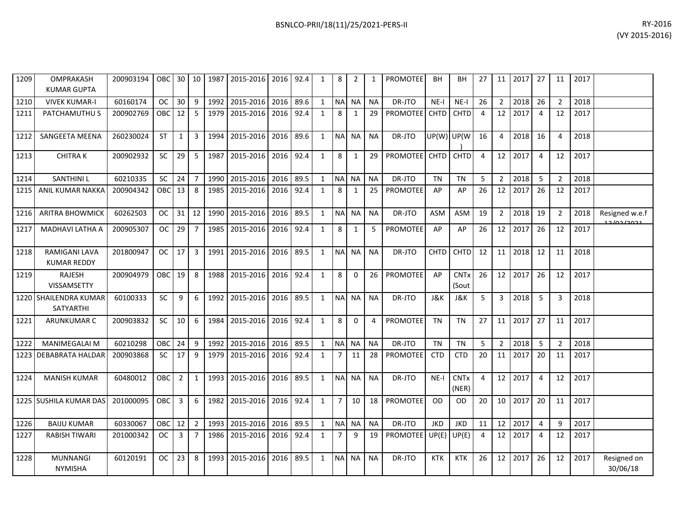| 1209 | OMPRAKASH<br><b>KUMAR GUPTA</b>           | 200903194 |            |                |                |      | OBC 30   10   1987   2015-2016   2016   92.4 |      |      | 1            | 8              | 2            |           | <b>PROMOTEE</b> | BH          | BН                              | 27             | 11             | 2017 | 27             | 11             | 2017 |                              |
|------|-------------------------------------------|-----------|------------|----------------|----------------|------|----------------------------------------------|------|------|--------------|----------------|--------------|-----------|-----------------|-------------|---------------------------------|----------------|----------------|------|----------------|----------------|------|------------------------------|
| 1210 | <b>VIVEK KUMAR-I</b>                      | 60160174  | <b>OC</b>  | 30             | 9              | 1992 | 2015-2016                                    | 2016 | 89.6 | $\mathbf{1}$ | <b>NA</b>      | <b>NA</b>    | <b>NA</b> | DR-JTO          | $NE-I$      | $NE-I$                          | 26             | $2^{\circ}$    | 2018 | 26             | $\overline{2}$ | 2018 |                              |
| 1211 | PATCHAMUTHU S                             | 200902769 | <b>OBC</b> | 12             | 5              | 1979 | 2015-2016                                    | 2016 | 92.4 | $\mathbf{1}$ | 8              | 1            | 29        | <b>PROMOTEE</b> | <b>CHTD</b> | <b>CHTD</b>                     | 4              | 12             | 2017 | $\overline{a}$ | 12             | 2017 |                              |
| 1212 | SANGEETA MEENA                            | 260230024 | <b>ST</b>  | $\mathbf{1}$   | 3              | 1994 | 2015-2016                                    | 2016 | 89.6 | $\mathbf{1}$ | <b>NA</b>      | <b>NA</b>    | <b>NA</b> | DR-JTO          |             | UP(W) UP(W                      | 16             | 4              | 2018 | 16             | 4              | 2018 |                              |
| 1213 | <b>CHITRAK</b>                            | 200902932 | SC         | 29             | 5              | 1987 | 2015-2016 2016 92.4                          |      |      | $\mathbf{1}$ | 8              | 1            | 29        | <b>PROMOTEE</b> | <b>CHTD</b> | <b>CHTD</b>                     | $\overline{4}$ | 12             | 2017 | 4              | 12             | 2017 |                              |
| 1214 | <b>SANTHINIL</b>                          | 60210335  | <b>SC</b>  | 24             | $\overline{7}$ | 1990 | 2015-2016                                    | 2016 | 89.5 | $\mathbf{1}$ | <b>NA</b>      | <b>NA</b>    | <b>NA</b> | DR-JTO          | <b>TN</b>   | <b>TN</b>                       | 5              | $\overline{2}$ | 2018 | 5              | $\overline{2}$ | 2018 |                              |
| 1215 | <b>ANIL KUMAR NAKKA</b>                   | 200904342 | <b>OBC</b> | 13             | 8              | 1985 | 2015-2016                                    | 2016 | 92.4 | $\mathbf{1}$ | 8              | $\mathbf{1}$ | 25        | PROMOTEE        | AP          | AP                              | 26             | 12             | 2017 | 26             | 12             | 2017 |                              |
| 1216 | <b>ARITRA BHOWMICK</b>                    | 60262503  | <b>OC</b>  | $31 \mid 12$   |                | 1990 | 2015-2016                                    | 2016 | 89.5 | $\mathbf{1}$ | <b>NA</b>      | <b>NA</b>    | <b>NA</b> | DR-JTO          | ASM         | <b>ASM</b>                      | 19             | $\overline{2}$ | 2018 | 19             | $\overline{2}$ | 2018 | Resigned w.e.f<br>12/02/2021 |
| 1217 | <b>MADHAVI LATHA A</b>                    | 200905307 | <b>OC</b>  | 29             | $\overline{7}$ |      | 1985 2015-2016                               | 2016 | 92.4 | $\mathbf{1}$ | 8              | 1            | 5         | PROMOTEE        | AP          | AP                              | 26             | 12             | 2017 | 26             | 12             | 2017 |                              |
| 1218 | RAMIGANI LAVA<br><b>KUMAR REDDY</b>       | 201800947 | <b>OC</b>  | 17             | 3              | 1991 | 2015-2016                                    | 2016 | 89.5 | $\mathbf{1}$ | <b>NA</b>      | <b>NA</b>    | <b>NA</b> | DR-JTO          | <b>CHTD</b> | <b>CHTD</b>                     | 12             | 11             | 2018 | 12             | 11             | 2018 |                              |
| 1219 | <b>RAJESH</b><br><b>VISSAMSETTY</b>       | 200904979 | OBC        | 19             | 8              | 1988 | 2015-2016                                    | 2016 | 92.4 | $\mathbf{1}$ | 8              | $\Omega$     | 26        | <b>PROMOTEE</b> | AP          | <b>CNT<sub>x</sub></b><br>(Sout | 26             | 12             | 2017 | 26             | 12             | 2017 |                              |
|      | 1220 SHAILENDRA KUMAR<br><b>SATYARTHI</b> | 60100333  | SC         | 9              | 6              | 1992 | 2015-2016                                    | 2016 | 89.5 | $\mathbf{1}$ | <b>NA</b>      | <b>NA</b>    | <b>NA</b> | DR-JTO          | J&K         | J&K                             | 5              | $\overline{3}$ | 2018 | 5              | 3              | 2018 |                              |
| 1221 | <b>ARUNKUMAR C</b>                        | 200903832 | SC         | 10             | 6              | 1984 | 2015-2016 2016 92.4                          |      |      | $\mathbf{1}$ | 8              | $\Omega$     | 4         | PROMOTEE        | <b>TN</b>   | <b>TN</b>                       | 27             | 11             | 2017 | 27             | 11             | 2017 |                              |
| 1222 | <b>MANIMEGALAI M</b>                      | 60210298  | OBC        | 24             | 9              | 1992 | 2015-2016 2016                               |      | 89.5 | $\mathbf{1}$ | <b>NA</b>      | <b>NA</b>    | <b>NA</b> | DR-JTO          | <b>TN</b>   | <b>TN</b>                       | 5              | $2^{\circ}$    | 2018 | 5              | $\overline{2}$ | 2018 |                              |
| 1223 | <b>DEBABRATA HALDAR</b>                   | 200903868 | <b>SC</b>  | 17             | 9              | 1979 | 2015-2016                                    | 2016 | 92.4 | $\mathbf{1}$ | $\overline{7}$ | 11           | 28        | PROMOTEE        | <b>CTD</b>  | <b>CTD</b>                      | 20             | 11             | 2017 | 20             | 11             | 2017 |                              |
| 1224 | <b>MANISH KUMAR</b>                       | 60480012  | <b>OBC</b> | $\overline{2}$ | $\mathbf{1}$   |      | 1993 2015-2016                               | 2016 | 89.5 | $\mathbf{1}$ | <b>NA</b>      | <b>NA</b>    | <b>NA</b> | DR-JTO          | $NE-I$      | <b>CNTx</b><br>(NER)            | 4              | 12             | 2017 | $\overline{a}$ | 12             | 2017 |                              |
|      | 1225 SUSHILA KUMAR DAS                    | 201000095 | OBC        | $\overline{3}$ | 6              | 1982 | 2015-2016 2016 92.4                          |      |      | $\mathbf{1}$ | $\overline{7}$ | 10           | 18        | <b>PROMOTEE</b> | <b>OD</b>   | OD.                             | 20             | 10             | 2017 | 20             | 11             | 2017 |                              |
| 1226 | <b>BAIJU KUMAR</b>                        | 60330067  | <b>OBC</b> | 12             | $\overline{2}$ | 1993 | 2015-2016                                    | 2016 | 89.5 | $\mathbf{1}$ | <b>NA</b>      | <b>NA</b>    | <b>NA</b> | DR-JTO          | <b>JKD</b>  | <b>JKD</b>                      | 11             | 12             | 2017 | 4              | 9              | 2017 |                              |
| 1227 | <b>RABISH TIWARI</b>                      | 201000342 | <b>OC</b>  | $\overline{3}$ | $\overline{7}$ | 1986 | 2015-2016                                    | 2016 | 92.4 | $\mathbf{1}$ | $\overline{7}$ | 9            | 19        | <b>PROMOTEE</b> | UP(E)       | UP(E)                           | 4              | 12             | 2017 | 4              | 12             | 2017 |                              |
| 1228 | <b>MUNNANGI</b><br><b>NYMISHA</b>         | 60120191  | <b>OC</b>  | 23             | 8              | 1993 | 2015-2016                                    | 2016 | 89.5 | $\mathbf{1}$ | <b>NA</b>      | <b>NA</b>    | <b>NA</b> | DR-JTO          | <b>KTK</b>  | <b>KTK</b>                      | 26             | 12             | 2017 | 26             | 12             | 2017 | Resigned on<br>30/06/18      |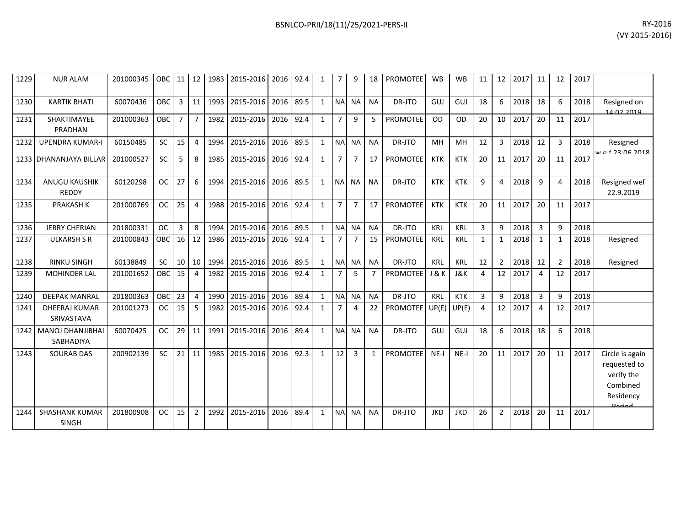| 1229 | <b>NUR ALAM</b>                      | 201000345 | OBC I     | 11             | 12             | 1983 | 2015-2016           | 2016 | 92.4 | $\mathbf{1}$ |                | 9              | 18             | <b>PROMOTEE</b> | <b>WB</b>  | <b>WB</b>  | 11 | 12              | 2017 | 11             | 12            | 2017 |                                                                                  |
|------|--------------------------------------|-----------|-----------|----------------|----------------|------|---------------------|------|------|--------------|----------------|----------------|----------------|-----------------|------------|------------|----|-----------------|------|----------------|---------------|------|----------------------------------------------------------------------------------|
| 1230 | <b>KARTIK BHATI</b>                  | 60070436  | OBC       | 3              | 11             | 1993 | 2015-2016 2016      |      | 89.5 | $\mathbf{1}$ | <b>NAI</b>     | <b>NA</b>      | <b>NA</b>      | DR-JTO          | GUJ        | GUJ        | 18 | 6               | 2018 | 18             | 6             | 2018 | Resigned on<br>14.02.2010                                                        |
| 1231 | SHAKTIMAYEE<br>PRADHAN               | 201000363 | OBC       | $\overline{7}$ | $\overline{7}$ |      | 1982 2015-2016      | 2016 | 92.4 | $\mathbf{1}$ | $\overline{7}$ | 9              | 5              | <b>PROMOTEE</b> | 0D         | <b>OD</b>  | 20 | 10              | 2017 | 20             | 11            | 2017 |                                                                                  |
| 1232 | <b>UPENDRA KUMAR-I</b>               | 60150485  | <b>SC</b> | 15             | $\overline{4}$ | 1994 | 2015-2016           | 2016 | 89.5 | $\mathbf{1}$ | <b>NA</b>      | <b>NA</b>      | <b>NA</b>      | DR-JTO          | MH         | MH         | 12 | 3               | 2018 | 12             | 3             | 2018 | Resigned<br>£ 22 06 2018                                                         |
| 1233 | <b>DHANANJAYA BILLAR</b>             | 201000527 | <b>SC</b> | 5              | 8              | 1985 | 2015-2016           | 2016 | 92.4 | $\mathbf{1}$ | $\overline{7}$ | $\overline{7}$ | 17             | <b>PROMOTEE</b> | <b>KTK</b> | <b>KTK</b> | 20 | 11 <sup>1</sup> | 2017 | 20             | 11            | 2017 |                                                                                  |
| 1234 | <b>ANUGU KAUSHIK</b><br>REDDY        | 60120298  | <b>OC</b> | 27             | 6              | 1994 | 2015-2016           | 2016 | 89.5 | $\mathbf{1}$ | N <sub>A</sub> | <b>NA</b>      | <b>NA</b>      | DR-JTO          | <b>KTK</b> | <b>KTK</b> | 9  | 4               | 2018 | 9              | $\Delta$      | 2018 | Resigned wef<br>22.9.2019                                                        |
| 1235 | <b>PRAKASH K</b>                     | 201000769 | <b>OC</b> | 25             | $\Delta$       | 1988 | 2015-2016           | 2016 | 92.4 | $\mathbf{1}$ | $\overline{7}$ | $\overline{7}$ | 17             | <b>PROMOTEE</b> | <b>KTK</b> | <b>KTK</b> | 20 | 11              | 2017 | 20             | 11            | 2017 |                                                                                  |
| 1236 | <b>JERRY CHERIAN</b>                 | 201800331 | <b>OC</b> | 3              | 8              | 1994 | 2015-2016           | 2016 | 89.5 | $\mathbf{1}$ | <b>NA</b>      | <b>NA</b>      | <b>NA</b>      | DR-JTO          | KRL        | <b>KRL</b> | 3  | 9               | 2018 | $\overline{3}$ | q             | 2018 |                                                                                  |
| 1237 | <b>ULKARSH S R</b>                   | 201000843 | OBC       | 16             | 12             | 1986 | 2015-2016           | 2016 | 92.4 | $\mathbf{1}$ |                |                | 15             | PROMOTEE        | <b>KRL</b> | <b>KRL</b> | 1  | $\mathbf{1}$    | 2018 | 1              | $\mathbf{1}$  | 2018 | Resigned                                                                         |
| 1238 | <b>RINKU SINGH</b>                   | 60138849  | <b>SC</b> | 10             | 10             | 1994 | 2015-2016           | 2016 | 89.5 | $\mathbf{1}$ | <b>NA</b>      | <b>NA</b>      | <b>NA</b>      | DR-JTO          | KRL        | <b>KRL</b> | 12 | $\mathcal{P}$   | 2018 | 12             | $\mathcal{P}$ | 2018 | Resigned                                                                         |
| 1239 | <b>MOHINDER LAL</b>                  | 201001652 | OBC       | 15             | $\overline{4}$ | 1982 | 2015-2016           | 2016 | 92.4 | $\mathbf{1}$ | 7 <sup>1</sup> | 5              | $\overline{7}$ | <b>PROMOTEE</b> | J & K      | J&K        | 4  | 12              | 2017 | 4              | 12            | 2017 |                                                                                  |
| 1240 | <b>DEEPAK MANRAL</b>                 | 201800363 | OBC       | 23             | $\overline{4}$ | 1990 | 2015-2016           | 2016 | 89.4 | $\mathbf{1}$ | NA             | <b>NA</b>      | <b>NA</b>      | DR-JTO          | KRL        | <b>KTK</b> | 3  | 9               | 2018 | $\overline{3}$ | q             | 2018 |                                                                                  |
| 1241 | <b>DHEERAJ KUMAR</b><br>SRIVASTAVA   | 201001273 | <b>OC</b> | 15             | 5              | 1982 | 2015-2016           | 2016 | 92.4 | $\mathbf{1}$ |                | 4              | 22             | PROMOTEE        | UP(E)      | UP(E)      |    | 12              | 2017 | $\overline{4}$ | 12            | 2017 |                                                                                  |
| 1242 | <b>MANOJ DHANJIBHAI</b><br>SABHADIYA | 60070425  | <b>OC</b> | 29             | 11             | 1991 | 2015-2016           | 2016 | 89.4 | $\mathbf{1}$ | <b>NA</b>      | <b>NA</b>      | <b>NA</b>      | DR-JTO          | GUJ        | GUJ        | 18 | 6               | 2018 | 18             | 6             | 2018 |                                                                                  |
| 1243 | <b>SOURAB DAS</b>                    | 200902139 | <b>SC</b> | 21             | 11             | 1985 | 2015-2016           | 2016 | 92.3 | $\mathbf{1}$ | 12             | $\mathbf{3}$   | $\mathbf{1}$   | <b>PROMOTEE</b> | $NE-I$     | $NE-I$     | 20 | 11              | 2017 | 20             | 11            | 2017 | Circle is again<br>requested to<br>verify the<br>Combined<br>Residency<br>Doriod |
| 1244 | <b>SHASHANK KUMAR</b>                | 201800908 | <b>OC</b> | 15             | $\overline{2}$ |      | 1992 2015-2016 2016 |      | 89.4 | $\mathbf{1}$ | <b>NAI</b>     | <b>NA</b>      | <b>NA</b>      | DR-JTO          | <b>JKD</b> | <b>JKD</b> | 26 | $\overline{2}$  | 2018 | 20             | 11            | 2017 |                                                                                  |

SINGH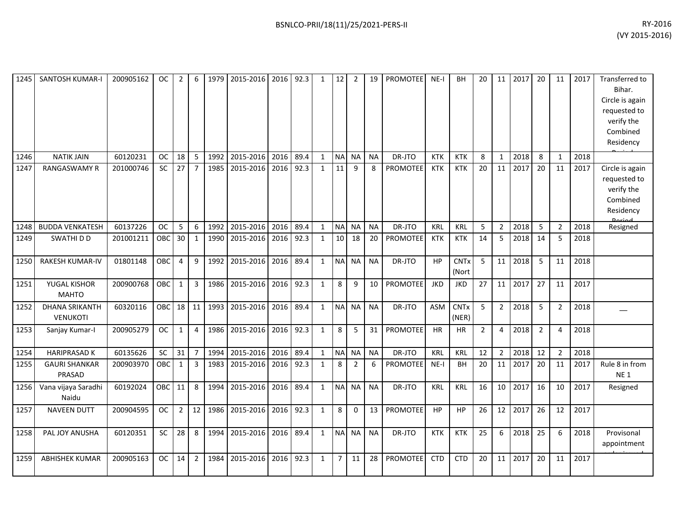| 1245 | SANTOSH KUMAR-I                          | 200905162 | OC.        | $\overline{2}$ | 6              | 1979 | 2015-2016 |           | 2016 92.3 | 1            | 12              | 2              | 19        | PROMOTEE        | $NE-I$     | BH                   | 20          | 11             | 2017 | 20             | 11             | 2017 | Transferred to<br>Bihar.<br>Circle is again<br>requested to<br>verify the<br>Combined<br>Residency |
|------|------------------------------------------|-----------|------------|----------------|----------------|------|-----------|-----------|-----------|--------------|-----------------|----------------|-----------|-----------------|------------|----------------------|-------------|----------------|------|----------------|----------------|------|----------------------------------------------------------------------------------------------------|
| 1246 | <b>NATIK JAIN</b>                        | 60120231  | <b>OC</b>  | 18             | -5             | 1992 | 2015-2016 | 2016      | 89.4      | $\mathbf{1}$ | <b>NA</b>       | <b>NA</b>      | <b>NA</b> | DR-JTO          | <b>KTK</b> | <b>KTK</b>           | 8           | $\mathbf{1}$   | 2018 | 8              | $\mathbf{1}$   | 2018 |                                                                                                    |
| 1247 | <b>RANGASWAMY R</b>                      | 201000746 | <b>SC</b>  | 27             | $\overline{7}$ | 1985 | 2015-2016 | 2016      | 92.3      | $\mathbf{1}$ | $\overline{11}$ | 9              | 8         | <b>PROMOTEE</b> | <b>KTK</b> | <b>KTK</b>           | 20          | 11             | 2017 | 20             | 11             | 2017 | Circle is again<br>requested to<br>verify the<br>Combined<br>Residency                             |
| 1248 | <b>BUDDA VENKATESH</b>                   | 60137226  | <b>OC</b>  | 5              | 6              | 1992 | 2015-2016 | 2016      | 89.4      | $\mathbf{1}$ | <b>NA</b>       | <b>NA</b>      | <b>NA</b> | DR-JTO          | KRL        | <b>KRL</b>           | 5           | $\overline{2}$ | 2018 | 5              | $\overline{2}$ | 2018 | Resigned                                                                                           |
| 1249 | SWATHI D D                               | 201001211 | OBC        | 30             | $\mathbf{1}$   | 1990 | 2015-2016 | 2016      | 92.3      | $\mathbf{1}$ | 10              | 18             | 20        | <b>PROMOTEE</b> | <b>KTK</b> | <b>KTK</b>           | 14          | 5              | 2018 | 14             | 5              | 2018 |                                                                                                    |
| 1250 | <b>RAKESH KUMAR-IV</b>                   | 01801148  | <b>OBC</b> | 4              | 9              | 1992 | 2015-2016 | 2016      | 89.4      | $\mathbf{1}$ | <b>NA</b>       | <b>NA</b>      | <b>NA</b> | DR-JTO          | HP         | <b>CNTx</b><br>(Nort | 5           | 11             | 2018 | 5              | 11             | 2018 |                                                                                                    |
| 1251 | YUGAL KISHOR<br><b>MAHTO</b>             | 200900768 | <b>OBC</b> | $\mathbf{1}$   | $\overline{3}$ | 1986 | 2015-2016 | 2016 92.3 |           | $\mathbf{1}$ | 8               | 9              | 10        | PROMOTEE        | <b>JKD</b> | <b>JKD</b>           | 27          | 11             | 2017 | 27             | 11             | 2017 |                                                                                                    |
| 1252 | <b>DHANA SRIKANTH</b><br><b>VENUKOTI</b> | 60320116  | <b>OBC</b> |                | 18 11          | 1993 | 2015-2016 |           | 2016 89.4 | $\mathbf{1}$ | <b>NA</b>       | <b>NA</b>      | <b>NA</b> | DR-JTO          | <b>ASM</b> | <b>CNTx</b><br>(NER) | 5           | $2^{\circ}$    | 2018 | 5              | $\overline{2}$ | 2018 |                                                                                                    |
| 1253 | Sanjay Kumar-I                           | 200905279 | <b>OC</b>  | $\mathbf{1}$   | $\overline{4}$ | 1986 | 2015-2016 |           | 2016 92.3 | $\mathbf{1}$ | 8               | 5              | 31        | <b>PROMOTEE</b> | <b>HR</b>  | <b>HR</b>            | $2^{\circ}$ | 4              | 2018 | $\overline{2}$ | $\overline{4}$ | 2018 |                                                                                                    |
| 1254 | <b>HARIPRASAD K</b>                      | 60135626  | <b>SC</b>  | 31             | $\overline{7}$ | 1994 | 2015-2016 | 2016      | 89.4      | $\mathbf{1}$ | <b>NA</b>       | <b>NA</b>      | <b>NA</b> | DR-JTO          | <b>KRL</b> | <b>KRL</b>           | 12          | $2^{\circ}$    | 2018 | 12             | $\overline{2}$ | 2018 |                                                                                                    |
| 1255 | <b>GAURI SHANKAR</b><br>PRASAD           | 200903970 | OBC        | $\mathbf{1}$   | 3              | 1983 | 2015-2016 | 2016      | 92.3      | 1            | 8               | $\overline{2}$ | 6         | PROMOTEE        | $NE-I$     | BH                   | 20          | 11             | 2017 | 20             | 11             | 2017 | Rule 8 in from<br><b>NE1</b>                                                                       |
| 1256 | Vana vijaya Saradhi<br>Naidu             | 60192024  | OBC        | 11             | 8              | 1994 | 2015-2016 | 2016      | 89.4      | $\mathbf{1}$ | <b>NA</b>       | <b>NA</b>      | <b>NA</b> | DR-JTO          | KRL        | <b>KRL</b>           | 16          | 10             | 2017 | 16             | 10             | 2017 | Resigned                                                                                           |
| 1257 | <b>NAVEEN DUTT</b>                       | 200904595 | <b>OC</b>  | $\overline{2}$ | 12             | 1986 | 2015-2016 |           | 2016 92.3 | 1            | 8               | $\mathbf{0}$   | 13        | <b>PROMOTEE</b> | HP         | HP                   | 26          | 12             | 2017 | 26             | 12             | 2017 |                                                                                                    |
| 1258 | PAL JOY ANUSHA                           | 60120351  | SC         | 28             | 8              | 1994 | 2015-2016 | 2016      | 89.4      | $\mathbf{1}$ | <b>NA</b>       | <b>NA</b>      | <b>NA</b> | DR-JTO          | <b>KTK</b> | <b>KTK</b>           | 25          | 6              | 2018 | 25             | 6              | 2018 | Provisonal<br>appointment                                                                          |
| 1259 | <b>ABHISHEK KUMAR</b>                    | 200905163 | <b>OC</b>  | 14             | $\overline{2}$ | 1984 | 2015-2016 | 2016      | 92.3      | $\mathbf{1}$ | $\overline{7}$  | 11             | 28        | <b>PROMOTEE</b> | <b>CTD</b> | <b>CTD</b>           | 20          | 11             | 2017 | 20             | 11             | 2017 |                                                                                                    |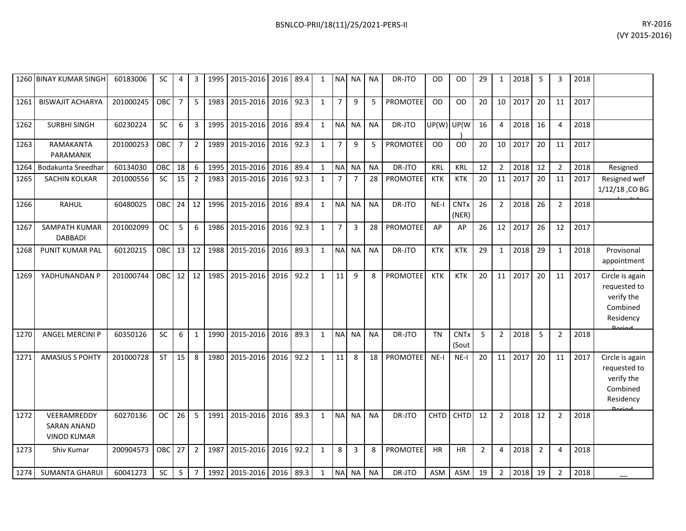|      | 1260 BINAY KUMAR SINGH                                  | 60183006  | <b>SC</b>  | 4              | 3              | 1995 | 2015-2016                | 2016 | 89.4 | 1            | <b>NA</b>      | <b>NA</b>      | <b>NA</b> | DR-JTO          | OD         | OD                              | 29             | 1              | 2018 | 5              | 3              | 2018 |                                                                                   |
|------|---------------------------------------------------------|-----------|------------|----------------|----------------|------|--------------------------|------|------|--------------|----------------|----------------|-----------|-----------------|------------|---------------------------------|----------------|----------------|------|----------------|----------------|------|-----------------------------------------------------------------------------------|
| 1261 | <b>BISWAJIT ACHARYA</b>                                 | 201000245 | OBC        | $\overline{7}$ | 5              | 1983 | 2015-2016                | 2016 | 92.3 | $\mathbf{1}$ | $\overline{7}$ | 9              | 5         | <b>PROMOTEE</b> | <b>OD</b>  | <b>OD</b>                       | 20             | 10             | 2017 | 20             | 11             | 2017 |                                                                                   |
| 1262 | <b>SURBHI SINGH</b>                                     | 60230224  | <b>SC</b>  | 6              | 3              | 1995 | 2015-2016                | 2016 | 89.4 | $\mathbf{1}$ | <b>NAI</b>     | <b>NA</b>      | <b>NA</b> | DR-JTO          | UP(W) UP(W |                                 | 16             | 4              | 2018 | 16             | 4              | 2018 |                                                                                   |
| 1263 | RAMAKANTA<br>PARAMANIK                                  | 201000253 | OBC        | $\overline{7}$ | $\overline{2}$ | 1989 | 2015-2016                | 2016 | 92.3 | $\mathbf{1}$ | $\overline{7}$ | 9              | 5         | <b>PROMOTEE</b> | OD         | OD                              | 20             | 10             | 2017 | 20             | 11             | 2017 |                                                                                   |
| 1264 | Bodakunta Sreedhar                                      | 60134030  | OBC        | 18             | 6              | 1995 | 2015-2016                | 2016 | 89.4 | $\mathbf{1}$ | <b>NA</b>      | <b>NA</b>      | <b>NA</b> | DR-JTO          | <b>KRL</b> | KRL                             | 12             | $\overline{2}$ | 2018 | 12             | 2              | 2018 | Resigned                                                                          |
| 1265 | <b>SACHIN KOLKAR</b>                                    | 201000556 | SC         | 15             | 2              | 1983 | 2015-2016                | 2016 | 92.3 | $\mathbf{1}$ | 7              | $\overline{7}$ | 28        | PROMOTEE        | <b>KTK</b> | <b>KTK</b>                      | 20             | 11             | 2017 | 20             | 11             | 2017 | Resigned wef<br>1/12/18, CO BG                                                    |
| 1266 | <b>RAHUL</b>                                            | 60480025  | OBC        | 24             | 12             | 1996 | 2015-2016                | 2016 | 89.4 | $\mathbf{1}$ | <b>NA</b>      | <b>NA</b>      | <b>NA</b> | DR-JTO          | $NE-I$     | <b>CNTx</b><br>(NER)            | 26             | $\overline{2}$ | 2018 | 26             | $\overline{2}$ | 2018 |                                                                                   |
| 1267 | SAMPATH KUMAR<br><b>DABBADI</b>                         | 201002099 | <b>OC</b>  | 5              | 6              | 1986 | 2015-2016                | 2016 | 92.3 | $\mathbf{1}$ | $\overline{7}$ | 3              | 28        | PROMOTEE        | AP         | AP                              | 26             | 12             | 2017 | 26             | 12             | 2017 |                                                                                   |
| 1268 | PUNIT KUMAR PAL                                         | 60120215  | <b>OBC</b> | 13             | 12             | 1988 | 2015-2016                | 2016 | 89.3 | $\mathbf{1}$ | <b>NA</b>      | <b>NA</b>      | <b>NA</b> | DR-JTO          | <b>KTK</b> | <b>KTK</b>                      | 29             | $\mathbf{1}$   | 2018 | 29             | $\mathbf{1}$   | 2018 | Provisonal<br>appointment                                                         |
| 1269 | YADHUNANDAN P                                           | 201000744 | OBC        | 12             | 12             | 1985 | 2015-2016                | 2016 | 92.2 | $\mathbf{1}$ | 11             | 9              | 8         | <b>PROMOTEE</b> | <b>KTK</b> | <b>KTK</b>                      | 20             | 11             | 2017 | 20             | 11             | 2017 | Circle is again<br>requested to<br>verify the<br>Combined<br>Residency            |
| 1270 | <b>ANGEL MERCINI P</b>                                  | 60350126  | SC         | 6              | $\mathbf{1}$   | 1990 | 2015-2016                | 2016 | 89.3 | $\mathbf{1}$ | <b>NA</b>      | <b>NA</b>      | <b>NA</b> | DR-JTO          | <b>TN</b>  | <b>CNT<sub>x</sub></b><br>(Sout | 5              | $\overline{2}$ | 2018 | 5              | $\mathfrak{p}$ | 2018 |                                                                                   |
| 1271 | <b>AMASIUS S POHTY</b>                                  | 201000728 | ST         | 15             | 8              | 1980 | 2015-2016                | 2016 | 92.2 | $\mathbf{1}$ | 11             | 8              | 18        | <b>PROMOTEE</b> | $NE-I$     | $NE-I$                          | 20             | 11             | 2017 | 20             | 11             | 2017 | Circle is again<br>requested to<br>verify the<br>Combined<br>Residency<br>لممنعمه |
| 1272 | VEERAMREDDY<br><b>SARAN ANAND</b><br><b>VINOD KUMAR</b> | 60270136  | <b>OC</b>  | 26             | 5              | 1991 | 2015-2016                | 2016 | 89.3 | 1            | <b>NA</b>      | <b>NA</b>      | <b>NA</b> | DR-JTO          | CHTD       | CHTD                            | 12             | $\overline{2}$ | 2018 | 12             | 2              | 2018 |                                                                                   |
| 1273 | Shiv Kumar                                              | 200904573 | OBC        | 27             | $\overline{2}$ | 1987 | 2015-2016                | 2016 | 92.2 | $\mathbf{1}$ | 8              | 3              | 8         | <b>PROMOTEE</b> | <b>HR</b>  | <b>HR</b>                       | $\overline{2}$ | 4              | 2018 | $\overline{2}$ | 4              | 2018 |                                                                                   |
| 1274 | <b>SUMANTA GHARUI</b>                                   | 60041273  | SC         | 5              | $\overline{7}$ |      | 1992 2015-2016 2016 89.3 |      |      | $\mathbf{1}$ |                | NA NA          | <b>NA</b> | DR-JTO          | <b>ASM</b> | ASM                             | 19             | $\overline{2}$ | 2018 | 19             | $\overline{2}$ | 2018 |                                                                                   |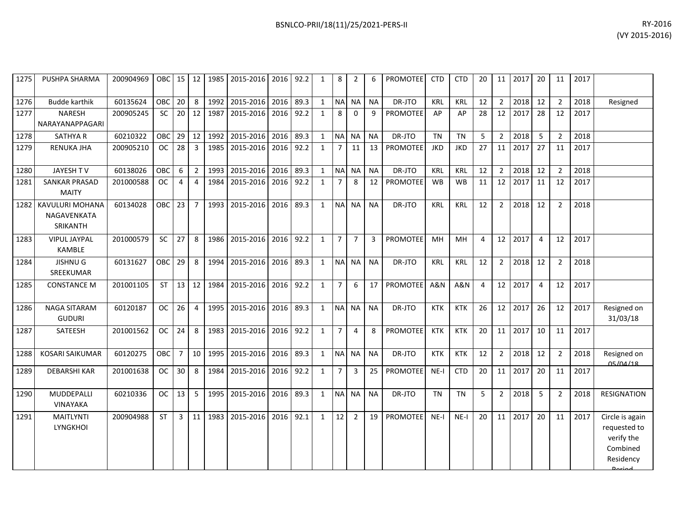| 1275 | PUSHPA SHARMA                                     | 200904969 |            |                |                         |      | OBC 15   12   1985   2015-2016   2016   92.2 |           |      | 1            | 8              | 2              | 6         | <b>PROMOTEE</b> | <b>CTD</b> | <b>CTD</b> | 20 |                 | 11 2017 | 20 l           | 11             | 2017 |                                                                                          |
|------|---------------------------------------------------|-----------|------------|----------------|-------------------------|------|----------------------------------------------|-----------|------|--------------|----------------|----------------|-----------|-----------------|------------|------------|----|-----------------|---------|----------------|----------------|------|------------------------------------------------------------------------------------------|
| 1276 | <b>Budde karthik</b>                              | 60135624  | <b>OBC</b> | 20             | 8                       | 1992 | 2015-2016                                    | 2016      | 89.3 | $\mathbf{1}$ |                | NA NA          | <b>NA</b> | DR-JTO          | KRL        | <b>KRL</b> | 12 | $\overline{2}$  | 2018    | 12             | $\overline{2}$ | 2018 | Resigned                                                                                 |
| 1277 | <b>NARESH</b><br>NARAYANAPPAGARI                  | 200905245 | <b>SC</b>  | 20             | 12                      | 1987 | 2015-2016                                    | 2016 92.2 |      | $\mathbf{1}$ | 8              | $\Omega$       | 9         | <b>PROMOTEE</b> | AP         | AP         | 28 | 12              | 2017    | 28             | 12             | 2017 |                                                                                          |
| 1278 | <b>SATHYA R</b>                                   | 60210322  | OBC        | 29             | 12                      | 1992 | 2015-2016                                    | 2016      | 89.3 | $\mathbf{1}$ | NA NA          |                | <b>NA</b> | DR-JTO          | <b>TN</b>  | <b>TN</b>  | 5  | $\overline{2}$  | 2018    | 5              | $\mathcal{P}$  | 2018 |                                                                                          |
| 1279 | <b>RENUKA JHA</b>                                 | 200905210 | <b>OC</b>  | 28             | $\overline{\mathbf{3}}$ | 1985 | 2015-2016                                    | 2016      | 92.2 | $\mathbf{1}$ | $\overline{7}$ | 11             | 13        | <b>PROMOTEE</b> | <b>JKD</b> | <b>JKD</b> | 27 | 11              | 2017    | 27             | 11             | 2017 |                                                                                          |
| 1280 | JAYESH TV                                         | 60138026  | OBC        | 6              | $2^{\circ}$             | 1993 | 2015-2016                                    | 2016      | 89.3 | $\mathbf{1}$ |                | NA NA          | <b>NA</b> | DR-JTO          | <b>KRL</b> | <b>KRL</b> | 12 | $\overline{2}$  | 2018    | 12             | $\overline{2}$ | 2018 |                                                                                          |
| 1281 | <b>SANKAR PRASAD</b><br><b>MAITY</b>              | 201000588 | <b>OC</b>  | $\overline{4}$ | $\overline{4}$          | 1984 | 2015-2016                                    | 2016 92.2 |      | $\mathbf{1}$ | $\overline{7}$ | 8              | 12        | <b>PROMOTEE</b> | <b>WB</b>  | <b>WB</b>  | 11 | 12              | 2017    | 11             | 12             | 2017 |                                                                                          |
|      | 1282   KAVULURI MOHANA<br>NAGAVENKATA<br>SRIKANTH | 60134028  | OBC        | 23             | $7^{\circ}$             | 1993 | 2015-2016                                    | 2016 89.3 |      | $\mathbf{1}$ |                | NA NA          | <b>NA</b> | DR-JTO          | <b>KRL</b> | <b>KRL</b> | 12 | $2^{\circ}$     | 2018    | 12             | $\overline{2}$ | 2018 |                                                                                          |
| 1283 | <b>VIPUL JAYPAL</b><br>KAMBLE                     | 201000579 | <b>SC</b>  | 27             | 8                       | 1986 | 2015-2016                                    | 2016      | 92.2 | $\mathbf{1}$ | $\overline{7}$ | $\overline{7}$ | 3         | <b>PROMOTEE</b> | MH         | MH         | 4  | 12              | 2017    | $\overline{4}$ | 12             | 2017 |                                                                                          |
| 1284 | <b>JISHNUG</b><br>SREEKUMAR                       | 60131627  | <b>OBC</b> | 29             | 8                       | 1994 | 2015-2016                                    | 2016 89.3 |      | $\mathbf{1}$ |                | NA NA          | <b>NA</b> | DR-JTO          | <b>KRL</b> | <b>KRL</b> | 12 | $\overline{2}$  | 2018    | 12             | 2              | 2018 |                                                                                          |
| 1285 | <b>CONSTANCE M</b>                                | 201001105 | <b>ST</b>  | 13             | 12                      | 1984 | 2015-2016                                    | 2016 92.2 |      | $\mathbf{1}$ | 7 <sup>7</sup> | 6              | 17        | <b>PROMOTEE</b> | A&N        | A&N        | 4  | 12              | 2017    | $\overline{4}$ | 12             | 2017 |                                                                                          |
| 1286 | NAGA SITARAM<br><b>GUDURI</b>                     | 60120187  | <b>OC</b>  | 26             | $\overline{4}$          | 1995 | 2015-2016                                    | 2016      | 89.3 | $\mathbf{1}$ |                | NA NA          | <b>NA</b> | DR-JTO          | <b>KTK</b> | <b>KTK</b> | 26 | 12              | 2017    | 26             | 12             | 2017 | Resigned on<br>31/03/18                                                                  |
| 1287 | SATEESH                                           | 201001562 | <b>OC</b>  | 24             | 8                       | 1983 | 2015-2016                                    | 2016 92.2 |      | $\mathbf{1}$ | $\overline{7}$ | 4              | 8         | <b>PROMOTEE</b> | KTK        | <b>KTK</b> | 20 |                 | 11 2017 | 10             | 11             | 2017 |                                                                                          |
| 1288 | <b>KOSARI SAIKUMAR</b>                            | 60120275  | <b>OBC</b> | $7^{\circ}$    | 10 <sup>1</sup>         | 1995 | 2015-2016                                    | 2016      | 89.3 | $\mathbf{1}$ | NA NA          |                | <b>NA</b> | DR-JTO          | <b>KTK</b> | <b>KTK</b> | 12 | $\overline{2}$  | 2018    | 12             | $\overline{2}$ | 2018 | Resigned on<br>05/04/18                                                                  |
| 1289 | <b>DEBARSHI KAR</b>                               | 201001638 | <b>OC</b>  | 30             | 8                       | 1984 | 2015-2016                                    | 2016      | 92.2 | $\mathbf{1}$ | $\overline{7}$ | 3              | 25        | <b>PROMOTEE</b> | $NE-I$     | <b>CTD</b> | 20 | 11 <sup>1</sup> | 2017    | 20             | 11             | 2017 |                                                                                          |
| 1290 | MUDDEPALLI<br><b>VINAYAKA</b>                     | 60210336  | <b>OC</b>  | 13             | 5                       | 1995 | 2015-2016                                    | 2016      | 89.3 | 1            |                | NA NA          | <b>NA</b> | DR-JTO          | <b>TN</b>  | <b>TN</b>  | 5  | $2^{\circ}$     | 2018    | 5              | $\overline{2}$ | 2018 | <b>RESIGNATION</b>                                                                       |
| 1291 | <b>MAITLYNTI</b><br><b>LYNGKHOI</b>               | 200904988 | <b>ST</b>  | 3              | 11                      | 1983 | 2015-2016                                    | 2016 92.1 |      | $\mathbf{1}$ | 12             | $\overline{2}$ | 19        | <b>PROMOTEE</b> | $NE-I$     | $NE-I$     | 20 | 11 <sup>1</sup> | 2017    | 20             | 11             | 2017 | Circle is again<br>requested to<br>verify the<br>Combined<br>Residency<br><b>Dorigal</b> |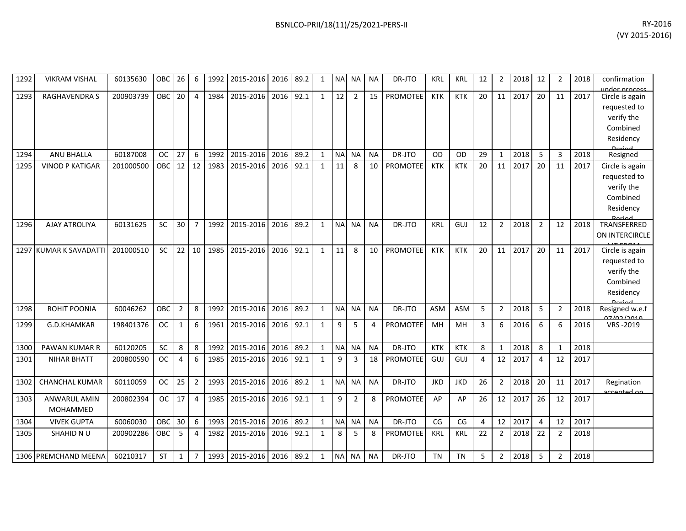| 1292 | <b>VIKRAM VISHAL</b>   | 60135630  | <b>OBC</b> | 26             | 6              | 1992 | 2015-2016           | 2016      | 89.2 | $\mathbf{1}$ | <b>NA</b>  | <b>NA</b>      | <b>NA</b> | DR-JTO          | <b>KRL</b> | <b>KRL</b> | 12 | $\overline{2}$ | 2018 | 12             | $\overline{2}$ | 2018 | confirmation                                               |
|------|------------------------|-----------|------------|----------------|----------------|------|---------------------|-----------|------|--------------|------------|----------------|-----------|-----------------|------------|------------|----|----------------|------|----------------|----------------|------|------------------------------------------------------------|
| 1293 | <b>RAGHAVENDRA S</b>   | 200903739 | <b>OBC</b> | 20             | $\overline{4}$ | 1984 | 2015-2016           | 2016      | 92.1 | $\mathbf{1}$ | 12         | $\overline{2}$ | 15        | <b>PROMOTEE</b> | <b>KTK</b> | <b>KTK</b> | 20 | 11             | 2017 | 20             | 11             | 2017 | inder process<br>Circle is again                           |
|      |                        |           |            |                |                |      |                     |           |      |              |            |                |           |                 |            |            |    |                |      |                |                |      | requested to                                               |
|      |                        |           |            |                |                |      |                     |           |      |              |            |                |           |                 |            |            |    |                |      |                |                |      | verify the                                                 |
|      |                        |           |            |                |                |      |                     |           |      |              |            |                |           |                 |            |            |    |                |      |                |                |      | Combined                                                   |
|      |                        |           |            |                |                |      |                     |           |      |              |            |                |           |                 |            |            |    |                |      |                |                |      | Residency                                                  |
|      |                        |           |            |                |                |      |                     |           |      |              |            |                |           |                 |            |            |    |                |      |                |                |      | <b>Dariad</b>                                              |
| 1294 | ANU BHALLA             | 60187008  | <b>OC</b>  | 27             | 6              | 1992 | 2015-2016           | 2016      | 89.2 | $\mathbf{1}$ | <b>NA</b>  | <b>NA</b>      | <b>NA</b> | DR-JTO          | OD         | OD         | 29 | 1              | 2018 | 5              | 3              | 2018 | Resigned                                                   |
| 1295 | <b>VINOD P KATIGAR</b> | 201000500 | OBC        | 12             | 12             | 1983 | 2015-2016           | 2016      | 92.1 | $\mathbf{1}$ | 11         | 8              | 10        | <b>PROMOTEE</b> | <b>KTK</b> | <b>KTK</b> | 20 | 11             | 2017 | 20             | 11             | 2017 | Circle is again                                            |
|      |                        |           |            |                |                |      |                     |           |      |              |            |                |           |                 |            |            |    |                |      |                |                |      | requested to                                               |
|      |                        |           |            |                |                |      |                     |           |      |              |            |                |           |                 |            |            |    |                |      |                |                |      | verify the                                                 |
|      |                        |           |            |                |                |      |                     |           |      |              |            |                |           |                 |            |            |    |                |      |                |                |      | Combined                                                   |
|      |                        |           |            |                |                |      |                     |           |      |              |            |                |           |                 |            |            |    |                |      |                |                |      | Residency                                                  |
| 1296 | <b>AJAY ATROLIYA</b>   | 60131625  | <b>SC</b>  | 30             | $\overline{7}$ | 1992 | 2015-2016           | 2016      | 89.2 | $\mathbf{1}$ | <b>NA</b>  | <b>NA</b>      | <b>NA</b> | DR-JTO          | <b>KRL</b> | GUJ        | 12 | $\overline{2}$ | 2018 | $\overline{2}$ | 12             | 2018 | TRANSFERRED                                                |
|      |                        |           |            |                |                |      |                     |           |      |              |            |                |           |                 |            |            |    |                |      |                |                |      | ON INTERCIRCLE                                             |
|      | 1297 KUMAR K SAVADATTI | 201000510 | <b>SC</b>  | 22             | 10             | 1985 | 2015-2016           | 2016      | 92.1 | $\mathbf{1}$ | 11         | 8              | 10        | <b>PROMOTEE</b> | <b>KTK</b> | <b>KTK</b> | 20 | 11             | 2017 | 20             | 11             | 2017 | Circle is again                                            |
|      |                        |           |            |                |                |      |                     |           |      |              |            |                |           |                 |            |            |    |                |      |                |                |      | requested to                                               |
|      |                        |           |            |                |                |      |                     |           |      |              |            |                |           |                 |            |            |    |                |      |                |                |      | verify the                                                 |
|      |                        |           |            |                |                |      |                     |           |      |              |            |                |           |                 |            |            |    |                |      |                |                |      | Combined                                                   |
|      |                        |           |            |                |                |      |                     |           |      |              |            |                |           |                 |            |            |    |                |      |                |                |      | Residency                                                  |
|      |                        |           |            |                |                |      |                     |           |      |              |            |                |           |                 |            |            |    |                |      |                |                |      |                                                            |
| 1298 | ROHIT POONIA           | 60046262  | OBC        | $\overline{2}$ | 8              | 1992 | 2015-2016           | 2016      | 89.2 | $\mathbf{1}$ | <b>NA</b>  | <b>NA</b>      | <b>NA</b> | DR-JTO          | <b>ASM</b> | <b>ASM</b> | 5  | $\overline{2}$ | 2018 | 5              | $\overline{2}$ | 2018 | Resigned w.e.f<br>مەمد <i>ا</i> دە <i>ل</i> <del>د</del> ە |
| 1299 | G.D.KHAMKAR            | 198401376 | <b>OC</b>  | 1              | 6              | 1961 | 2015-2016           | 2016      | 92.1 | $\mathbf{1}$ | 9          | 5              | 4         | PROMOTEE        | MН         | MН         | 3  | 6              | 2016 | 6              | 6              | 2016 | VRS-2019                                                   |
|      |                        |           |            |                |                |      |                     |           |      |              |            |                |           |                 |            |            |    |                |      |                |                |      |                                                            |
| 1300 | PAWAN KUMAR R          | 60120205  | SC         | 8              | 8              | 1992 | 2015-2016           | 2016      | 89.2 | $\mathbf{1}$ | <b>NA</b>  | <b>NA</b>      | <b>NA</b> | DR-JTO          | <b>KTK</b> | <b>KTK</b> | 8  | $\mathbf{1}$   | 2018 | 8              | $\mathbf{1}$   | 2018 |                                                            |
| 1301 | <b>NIHAR BHATT</b>     | 200800590 | <b>OC</b>  | 4              | 6              | 1985 | 2015-2016           | 2016      | 92.1 | $\mathbf{1}$ | 9          | $\overline{3}$ | 18        | <b>PROMOTEE</b> | GUJ        | GUJ        | 4  | 12             | 2017 | 4              | 12             | 2017 |                                                            |
|      |                        |           |            |                |                |      |                     |           |      |              |            |                |           |                 |            |            |    |                |      |                |                |      |                                                            |
| 1302 | <b>CHANCHAL KUMAR</b>  | 60110059  | <b>OC</b>  | 25             | 2              | 1993 | 2015-2016           | 2016      | 89.2 | $\mathbf{1}$ | <b>NA</b>  | <b>NA</b>      | <b>NA</b> | DR-JTO          | <b>JKD</b> | <b>JKD</b> | 26 | $\overline{2}$ | 2018 | 20             | 11             | 2017 | Regination                                                 |
|      | <b>ANWARUL AMIN</b>    |           | <b>OC</b>  | 17             | $\overline{4}$ | 1985 | 2015-2016           | 2016      | 92.1 |              | 9          |                |           | <b>PROMOTEE</b> | AP         |            |    | 12             | 2017 | 26             | 12             | 2017 | accented on                                                |
| 1303 | MOHAMMED               | 200802394 |            |                |                |      |                     |           |      | $\mathbf{1}$ |            | $\overline{2}$ | 8         |                 |            | AP         | 26 |                |      |                |                |      |                                                            |
|      |                        |           |            |                |                |      |                     |           |      |              |            |                |           |                 |            |            |    |                |      |                |                |      |                                                            |
| 1304 | <b>VIVEK GUPTA</b>     | 60060030  | OBC        | 30             | 6              | 1993 | 2015-2016           | 2016      | 89.2 | $\mathbf{1}$ | $\sf NA$   | <b>NA</b>      | <b>NA</b> | DR-JTO          | CG         | CG         | 4  | 12             | 2017 | 4              | 12             | 2017 |                                                            |
| 1305 | SHAHID N U             | 200902286 | OBC        | 5              | 4              | 1982 | 2015-2016           | 2016 92.1 |      | $\mathbf{1}$ | 8          | -5             | 8         | PROMOTEE        | KRL        | <b>KRL</b> | 22 | $\overline{2}$ | 2018 | 22             | 2              | 2018 |                                                            |
|      |                        |           |            |                |                |      |                     |           |      |              |            |                |           |                 |            |            |    |                |      |                |                |      |                                                            |
|      | 1306 PREMCHAND MEENA   | 60210317  | <b>ST</b>  | $\mathbf 1$    | $\overline{7}$ | 1993 | 2015-2016 2016 89.2 |           |      | $\mathbf{1}$ | <b>NAI</b> | NA.            | ΝA        | DR-JTO          | <b>TN</b>  | <b>TN</b>  | 5  | $\overline{2}$ | 2018 | 5              | 2              | 2018 |                                                            |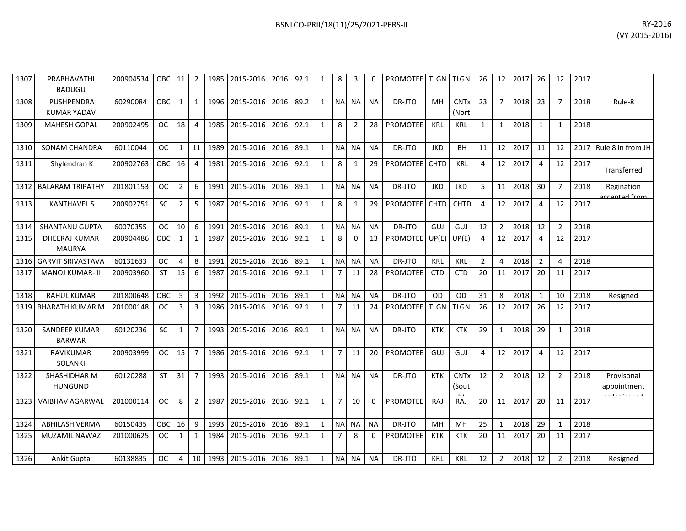| RY-2016        |
|----------------|
| (VY 2015-2016) |

| 1307 | PRABHAVATHI<br><b>BADUGU</b>            | 200904534 | OBC       | 11             | $\overline{2}$ | 1985 | 2015-2016 | 2016 | 92.1 | 1            | 8              | 3              |           | <b>PROMOTEE</b> TLGN |             | <b>TLGN</b>                     | 26             | 12              | 2017 | 26             | 12             | 2017 |                            |
|------|-----------------------------------------|-----------|-----------|----------------|----------------|------|-----------|------|------|--------------|----------------|----------------|-----------|----------------------|-------------|---------------------------------|----------------|-----------------|------|----------------|----------------|------|----------------------------|
| 1308 | <b>PUSHPENDRA</b><br><b>KUMAR YADAV</b> | 60290084  | OBC.      | $\mathbf{1}$   | $\mathbf{1}$   | 1996 | 2015-2016 | 2016 | 89.2 | $\mathbf{1}$ | <b>NAI</b>     | NA I           | <b>NA</b> | DR-JTO               | MН          | <b>CNT<sub>x</sub></b><br>(Nort | 23             | $\overline{7}$  | 2018 | 23             | 7              | 2018 | Rule-8                     |
| 1309 | <b>MAHESH GOPAL</b>                     | 200902495 | <b>OC</b> | 18             | $\overline{4}$ | 1985 | 2015-2016 | 2016 | 92.1 | $\mathbf{1}$ | 8              | $\overline{2}$ | 28        | <b>PROMOTEE</b>      | <b>KRL</b>  | <b>KRL</b>                      | 1              | $\mathbf{1}$    | 2018 | $\mathbf{1}$   | $\mathbf{1}$   | 2018 |                            |
| 1310 | SONAM CHANDRA                           | 60110044  | <b>OC</b> | $\mathbf{1}$   | 11             | 1989 | 2015-2016 | 2016 | 89.1 | $\mathbf{1}$ | N <sub>A</sub> | <b>NA</b>      | <b>NA</b> | DR-JTO               | <b>JKD</b>  | <b>BH</b>                       | 11             | 12              | 2017 | 11             | 12             | 2017 | Rule 8 in from JH          |
| 1311 | Shylendran K                            | 200902763 | OBC       | 16             | $\overline{4}$ | 1981 | 2015-2016 | 2016 | 92.1 | $\mathbf{1}$ | 8              | $\mathbf{1}$   | 29        | <b>PROMOTEE</b>      | <b>CHTD</b> | <b>KRL</b>                      | 4              | 12 <sup>1</sup> | 2017 | $\overline{4}$ | 12             | 2017 | Transferred                |
| 1312 | <b>BALARAM TRIPATHY</b>                 | 201801153 | <b>OC</b> | $\overline{2}$ | 6              | 1991 | 2015-2016 | 2016 | 89.1 | $\mathbf{1}$ | <b>NA</b>      | NA I           | <b>NA</b> | DR-JTO               | <b>JKD</b>  | <b>JKD</b>                      | 5              | 11 <sup>1</sup> | 2018 | 30             | $\overline{7}$ | 2018 | Regination<br>crented from |
| 1313 | <b>KANTHAVEL S</b>                      | 200902751 | <b>SC</b> | $\overline{2}$ | 5              | 1987 | 2015-2016 | 2016 | 92.1 | $\mathbf{1}$ | 8              | $\mathbf{1}$   | 29        | <b>PROMOTEE</b>      | <b>CHTD</b> | <b>CHTD</b>                     | $\overline{4}$ | 12              | 2017 | $\overline{4}$ | 12             | 2017 |                            |
| 1314 | <b>SHANTANU GUPTA</b>                   | 60070355  | <b>OC</b> | 10             | 6              | 1991 | 2015-2016 | 2016 | 89.1 | $\mathbf{1}$ | <b>NA</b>      | <b>NA</b>      | <b>NA</b> | DR-JTO               | GUJ         | GUJ                             | 12             | $\overline{2}$  | 2018 | 12             | $\overline{2}$ | 2018 |                            |
| 1315 | <b>DHEERAJ KUMAR</b><br><b>MAURYA</b>   | 200904486 | OBC       | $\mathbf{1}$   | $\mathbf{1}$   | 1987 | 2015-2016 | 2016 | 92.1 | $\mathbf{1}$ | 8              | $\mathbf{0}$   | 13        | PROMOTEE             | UP(E)       | UP(E)                           | $\overline{4}$ | 12              | 2017 | $\overline{4}$ | 12             | 2017 |                            |
| 1316 | <b>GARVIT SRIVASTAVA</b>                | 60131633  | <b>OC</b> | 4              | 8              | 1991 | 2015-2016 | 2016 | 89.1 | $\mathbf{1}$ | <b>NA</b>      | <b>NA</b>      | <b>NA</b> | DR-JTO               | <b>KRL</b>  | <b>KRL</b>                      | $\overline{2}$ | $\overline{4}$  | 2018 | $\overline{2}$ | $\overline{4}$ | 2018 |                            |
| 1317 | <b>MANOJ KUMAR-III</b>                  | 200903960 | <b>ST</b> | 15             | 6              | 1987 | 2015-2016 | 2016 | 92.1 | $\mathbf{1}$ | $\overline{7}$ | 11             | 28        | <b>PROMOTEE</b>      | <b>CTD</b>  | <b>CTD</b>                      | 20             | 11              | 2017 | 20             | 11             | 2017 |                            |
| 1318 | <b>RAHUL KUMAR</b>                      | 201800648 | OBC       | 5              | 3              | 1992 | 2015-2016 | 2016 | 89.1 | $\mathbf{1}$ | <b>NA</b>      | <b>NA</b>      | <b>NA</b> | DR-JTO               | <b>OD</b>   | <b>OD</b>                       | 31             | 8               | 2018 | $\mathbf{1}$   | 10             | 2018 | Resigned                   |
| 1319 | <b>BHARATH KUMAR M</b>                  | 201000148 | <b>OC</b> | 3              | 3              | 1986 | 2015-2016 | 2016 | 92.1 | $\mathbf{1}$ | 7              | 11             | 24        | <b>PROMOTEE</b>      | <b>TLGN</b> | <b>TLGN</b>                     | 26             | 12              | 2017 | 26             | 12             | 2017 |                            |
| 1320 | <b>SANDEEP KUMAR</b><br><b>BARWAR</b>   | 60120236  | <b>SC</b> | $\mathbf{1}$   | $\overline{7}$ | 1993 | 2015-2016 | 2016 | 89.1 | $\mathbf{1}$ | <b>NA</b>      | <b>NA</b>      | <b>NA</b> | DR-JTO               | <b>KTK</b>  | <b>KTK</b>                      | 29             | 1               | 2018 | 29             | $\mathbf{1}$   | 2018 |                            |
| 1321 | <b>RAVIKUMAR</b><br>SOLANKI             | 200903999 | <b>OC</b> | 15             | $\overline{7}$ | 1986 | 2015-2016 | 2016 | 92.1 | $\mathbf{1}$ | $\overline{7}$ | 11             | 20        | <b>PROMOTEE</b>      | GUJ         | GUJ                             | 4              | 12 <sup>1</sup> | 2017 | $\overline{4}$ | 12             | 2017 |                            |
| 1322 | SHASHIDHAR M<br><b>HUNGUND</b>          | 60120288  | <b>ST</b> | 31             | $\overline{7}$ | 1993 | 2015-2016 | 2016 | 89.1 | $\mathbf{1}$ |                | NA NA          | <b>NA</b> | DR-JTO               | <b>KTK</b>  | <b>CNT<sub>x</sub></b><br>(Sout | 12             | $\overline{2}$  | 2018 | 12             | $\overline{2}$ | 2018 | Provisonal<br>appointment  |
| 1323 | <b>VAIBHAV AGARWAL</b>                  | 201000114 | <b>OC</b> | 8              | $\overline{2}$ | 1987 | 2015-2016 | 2016 | 92.1 | $\mathbf{1}$ | $\overline{7}$ | 10             | $\Omega$  | <b>PROMOTEE</b>      | RAJ         | RAJ                             | 20             | 11 <sup>1</sup> | 2017 | 20             | 11             | 2017 |                            |
| 1324 | <b>ABHILASH VERMA</b>                   | 60150435  | OBC       | 16             | 9              | 1993 | 2015-2016 | 2016 | 89.1 | $\mathbf{1}$ | <b>NA</b>      | <b>NA</b>      | <b>NA</b> | DR-JTO               | MH          | MH                              | 25             | 1               | 2018 | 29             | $\mathbf{1}$   | 2018 |                            |
| 1325 | <b>MUZAMIL NAWAZ</b>                    | 201000625 | <b>OC</b> | $\mathbf{1}$   | $\mathbf{1}$   | 1984 | 2015-2016 | 2016 | 92.1 | $\mathbf{1}$ | $\overline{7}$ | 8              | $\Omega$  | <b>PROMOTEE</b>      | <b>KTK</b>  | <b>KTK</b>                      | 20             | 11              | 2017 | 20             | 11             | 2017 |                            |
| 1326 | Ankit Gupta                             | 60138835  | <b>OC</b> | 4              | 10             | 1993 | 2015-2016 | 2016 | 89.1 | $\mathbf{1}$ | <b>NA</b>      | <b>NA</b>      | <b>NA</b> | DR-JTO               | KRL         | <b>KRL</b>                      | 12             | $\overline{2}$  | 2018 | 12             | $\overline{2}$ | 2018 | Resigned                   |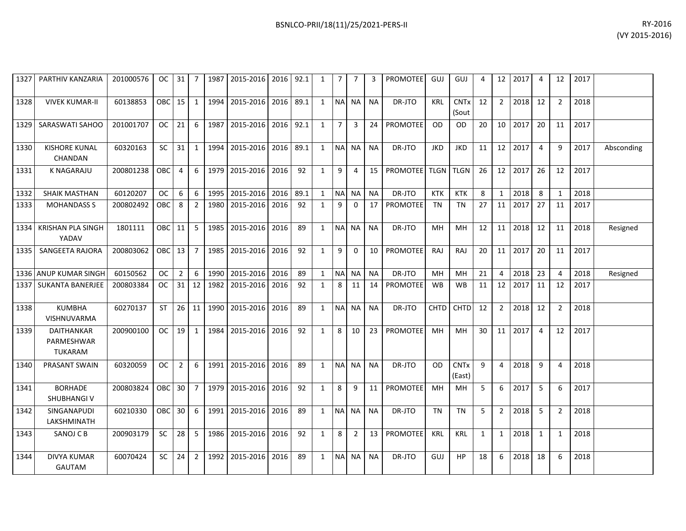|        | 1327   PARTHIV KANZARIA                | 201000576 |            |                 |                 |      | 0C   31   7   1987   2015-2016   2016   92.1 |      |      | 1 I          | 7 I         | 7           | 3               | PROMOTEE GUJ          |             | GUJ                             | 4  |                 | 12 2017            | 4              | 12             | 2017 |            |
|--------|----------------------------------------|-----------|------------|-----------------|-----------------|------|----------------------------------------------|------|------|--------------|-------------|-------------|-----------------|-----------------------|-------------|---------------------------------|----|-----------------|--------------------|----------------|----------------|------|------------|
| 1328   | <b>VIVEK KUMAR-II</b>                  | 60138853  | <b>OBC</b> | 15              | $1\vert$        | 1994 | 2015-2016 2016                               |      | 89.1 |              |             | 1 NA NA     | <b>NA</b>       | DR-JTO                | <b>KRL</b>  | <b>CNT<sub>x</sub></b><br>(Sout | 12 | $2^{\circ}$     | 2018               | 12             | $\overline{2}$ | 2018 |            |
| 1329 I | SARASWATI SAHOO                        | 201001707 | OC.        | 21              | 6               | 1987 | 2015-2016 2016 92.1                          |      |      | 1            | $7^{\circ}$ | 3           |                 | 24   PROMOTEE         | <b>OD</b>   | OD.                             | 20 |                 | 10 2017            | 20             | 11             | 2017 |            |
| 1330   | <b>KISHORE KUNAL</b><br><b>CHANDAN</b> | 60320163  | <b>SC</b>  | 31              | $\mathbf{1}$    | 1994 | 2015-2016                                    | 2016 | 89.1 |              |             | 1 NA NA     | <b>NA</b>       | DR-JTO                | <b>JKD</b>  | <b>JKD</b>                      | 11 |                 | 12 2017            | $\overline{4}$ | 9              | 2017 | Absconding |
| 1331   | K NAGARAJU                             | 200801238 | <b>OBC</b> | $\overline{4}$  | 6               | 1979 | 2015-2016 2016                               |      | 92   | $\mathbf{1}$ | 9           | 4           |                 | 15 PROMOTEE TLGN TLGN |             |                                 | 26 |                 | 12 2017            | 26             | 12             | 2017 |            |
| 1332   | SHAIK MASTHAN                          | 60120207  | 0C         | 6               | 6               | 1995 | 2015-2016 2016                               |      | 89.1 | 1            |             | NA NA       | <b>NA</b>       | DR-JTO                | KTK         | KTK                             | 8  | $\mathbf{1}$    | 2018               | 8              | $\mathbf 1$    | 2018 |            |
| 1333   | <b>MOHANDASS S</b>                     | 200802492 | OBC        | 8               | 2               | 1980 | 2015-2016 2016                               |      | 92   | $\mathbf{1}$ | 9           | $\Omega$    |                 | 17   PROMOTEE         | TN          | TN                              | 27 |                 | 11 2017            | 27             | 11             | 2017 |            |
|        | 1334 KRISHAN PLA SINGH<br>YADAV        | 1801111   | OBC        | 11              | 5               | 1985 | 2015-2016 2016                               |      | 89   | $\mathbf{1}$ |             | NA NA       | <b>NA</b>       | DR-JTO                | MН          | <b>MH</b>                       | 12 | 11 <sup>1</sup> | 2018               | 12             | 11             | 2018 | Resigned   |
|        | 1335 L SANGEETA RAJORA                 | 200803062 | OBC        | 13              | $7^{\circ}$     | 1985 | 2015-2016 2016                               |      | 92   | $\mathbf{1}$ | 9           | $\Omega$    |                 | 10   PROMOTEE         | RAJ         | RAJ                             | 20 |                 | 11 2017            | 20             | 11             | 2017 |            |
|        | 1336 ANUP KUMAR SINGH                  | 60150562  | OC.        | $2^{\circ}$     | 6               | 1990 | 2015-2016 2016                               |      | 89   | $\mathbf{1}$ |             | NA NA       | <b>NA</b>       | DR-JTO                | MH          | <b>MH</b>                       | 21 | 4               | 2018               | 23             | 4              | 2018 | Resigned   |
|        | 1337 I SUKANTA BANERJEE                | 200803384 | ОC         | 31              | 12 <sup>1</sup> | 1982 | 2015-2016                                    | 2016 | 92   | $\mathbf{1}$ | 8           | 11          | 14 <sup>1</sup> | <b>PROMOTEE</b>       | <b>WB</b>   | <b>WB</b>                       | 11 |                 | 12 2017            | 11             | 12             | 2017 |            |
| 1338   | <b>KUMBHA</b><br><b>VISHNUVARMA</b>    | 60270137  | <b>ST</b>  | 26              | 11 l            | 1990 | 2015-2016 2016                               |      | 89   |              |             | 1 NA NA NA  |                 | DR-JTO                | <b>CHTD</b> | <b>CHTD</b>                     | 12 | $\overline{2}$  | $\vert 2018 \vert$ | 12             | $\overline{2}$ | 2018 |            |
| 1339   | DAITHANKAR<br>PARMESHWAR<br>TUKARAM    | 200900100 | OC         | 19              | $1\vert$        | 1984 | 2015-2016 2016                               |      | 92   | 1            | 8           | 10          |                 | 23 PROMOTEE           | MH          | MН                              | 30 |                 | 11 2017            | $\overline{4}$ | 12             | 2017 |            |
| 1340   | PRASANT SWAIN                          | 60320059  | OC.        | $2^{\circ}$     | 6               | 1991 | 2015-2016 2016                               |      | 89   |              |             | 1 NA NA     | <b>NA</b>       | DR-JTO                | <b>OD</b>   | <b>CNTx</b><br>(East)           | 9  | 4               | 2018               | 9              | 4              | 2018 |            |
| 1341   | <b>BORHADE</b><br>SHUBHANGI V          | 200803824 | OBC        | 30 <sup>°</sup> | 7 I             | 1979 | 2015-2016 2016                               |      | 92   | $\mathbf{1}$ | 8           | 9           | 11              | PROMOTEE              | <b>MH</b>   | MН                              | 5  | 6               | 2017               | -5             | 6              | 2017 |            |
| 1342   | <b>SINGANAPUDI</b><br>LAKSHMINATH      | 60210330  | OBC I      | 30 <sub>1</sub> | 6               | 1991 | 2015-2016 2016                               |      | 89   |              |             | 1 INAINAINA |                 | DR-JTO                | TN          | TN                              | 5  | $\overline{2}$  | 2018               | - 5            | 2              | 2018 |            |
| 1343   | SANOJ C B                              | 200903179 | SC         | 28              | 5               |      | 1986 2015-2016 2016                          |      | 92   | $\mathbf{1}$ | 8           | 2           |                 | 13 PROMOTEE           | <b>KRL</b>  | KRL                             | 1  |                 | 1 2018             | $\overline{1}$ | 1              | 2018 |            |
| 1344   | DIVYA KUMAR<br><b>GAUTAM</b>           | 60070424  | <b>SC</b>  | 24              | $2^{\circ}$     |      | 1992 2015-2016 2016                          |      | 89   |              |             | 1 NA NA NA  |                 | DR-JTO                | GUJ         | <b>HP</b>                       | 18 | 6               | 2018               | 18             | 6              | 2018 |            |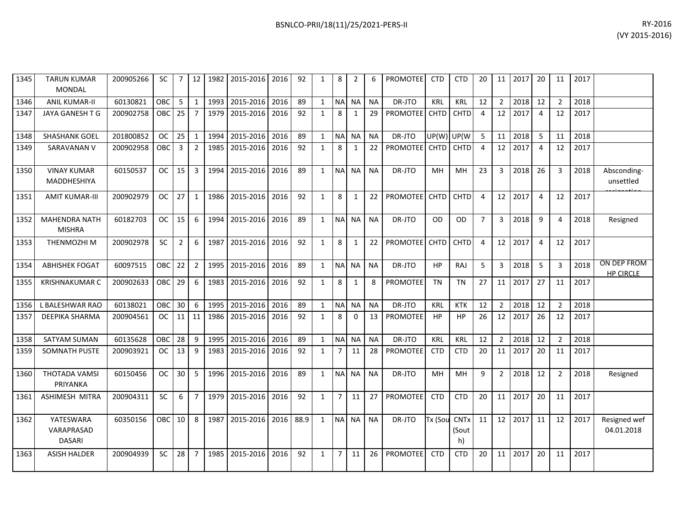| 1345 | <b>TARUN KUMAR</b><br><b>MONDAL</b>      | 200905266 | SC.        | 7              | 12 <sup>1</sup> |      | 1982 2015-2016 2016 |      | 92   | 1            | 8              | $\overline{2}$ | 6         | <b>PROMOTEE</b>      | <b>CTD</b>   | <b>CTD</b>  | 20             | 11              | 2017    | 20             | 11             | 2017 |                                 |
|------|------------------------------------------|-----------|------------|----------------|-----------------|------|---------------------|------|------|--------------|----------------|----------------|-----------|----------------------|--------------|-------------|----------------|-----------------|---------|----------------|----------------|------|---------------------------------|
| 1346 | <b>ANIL KUMAR-II</b>                     | 60130821  | <b>OBC</b> | 5              | $\mathbf{1}$    | 1993 | 2015-2016           | 2016 | 89   | 1            | <b>NA</b>      | NA             | NA        | DR-JTO               | <b>KRL</b>   | <b>KRL</b>  | 12             | $\overline{2}$  | 2018    | 12             | $\overline{2}$ | 2018 |                                 |
| 1347 | JAYA GANESH T G                          | 200902758 | <b>OBC</b> | 25             | $\overline{7}$  | 1979 | 2015-2016           | 2016 | 92   | $\mathbf{1}$ | 8              | 1              | 29        | PROMOTEE CHTD        |              | <b>CHTD</b> | 4              |                 | 12 2017 | $\overline{4}$ | 12             | 2017 |                                 |
| 1348 | <b>SHASHANK GOEL</b>                     | 201800852 | OC.        | 25             | 1               | 1994 | 2015-2016           | 2016 | 89   | 1            |                | NA NA          | <b>NA</b> | DR-JTO               | UP(W)        | UP(W        | 5              | 11              | 2018    | - 5            | 11             | 2018 |                                 |
| 1349 | SARAVANAN V                              | 200902958 | OBC        | $\overline{3}$ | $\overline{2}$  | 1985 | 2015-2016           | 2016 | 92   | $\mathbf{1}$ | 8              | 1              | 22        | PROMOTEE CHTD CHTD   |              |             | $\overline{4}$ |                 | 12 2017 | $\overline{4}$ | 12             | 2017 |                                 |
| 1350 | <b>VINAY KUMAR</b><br>MADDHESHIYA        | 60150537  | OC .       | 15             | $\overline{3}$  | 1994 | 2015-2016 2016      |      | 89   | $\mathbf{1}$ |                | NA NA          | <b>NA</b> | DR-JTO               | MН           | MН          | 23             | 3               | 2018    | 26             | 3              | 2018 | Absconding-<br>unsettled        |
| 1351 | <b>AMIT KUMAR-III</b>                    | 200902979 | OC.        | 27             | 1               | 1986 | 2015-2016           | 2016 | 92   | $\mathbf{1}$ | 8              | 1              | 22        | PROMOTEE CHTD        |              | <b>CHTD</b> | 4              | 12              | 2017    | $\overline{4}$ | 12             | 2017 |                                 |
| 1352 | <b>MAHENDRA NATH</b><br><b>MISHRA</b>    | 60182703  | OC.        | 15             | 6               | 1994 | 2015-2016           | 2016 | 89   | 1            |                | NA NA          | NA        | DR-JTO               | <b>OD</b>    | OD          | $\overline{7}$ | 3               | 2018    | 9              | 4              | 2018 | Resigned                        |
| 1353 | THENMOZHI M                              | 200902978 | <b>SC</b>  | $\overline{2}$ | 6               | 1987 | 2015-2016           | 2016 | 92   | $\mathbf{1}$ | 8              | 1              | 22        | <b>PROMOTEE</b> CHTD |              | <b>CHTD</b> | 4              | 12 <sub>1</sub> | 2017    | $\overline{a}$ | 12             | 2017 |                                 |
| 1354 | <b>ABHISHEK FOGAT</b>                    | 60097515  | OBC        | 22             | $\overline{2}$  | 1995 | 2015-2016           | 2016 | 89   | 1            |                | NA NA          | NA.       | DR-JTO               | HP           | RAJ         | 5              | 3               | 2018    | - 5            | 3              | 2018 | ON DEP FROM<br><b>HP CIRCLE</b> |
| 1355 | <b>KRISHNAKUMAR C</b>                    | 200902633 | OBC I      | 29             | 6               | 1983 | 2015-2016           | 2016 | 92   | $\mathbf{1}$ | 8              | 1              | 8         | <b>PROMOTEE</b>      | TN           | TN          | 27             | 11 <sup>1</sup> | 2017    | 27             | 11             | 2017 |                                 |
| 1356 | L BALESHWAR RAO                          | 60138021  | OBC.       | 30             | 6               | 1995 | 2015-2016           | 2016 | 89   | 1            |                | NA NA          | NA        | DR-JTO               | KRL          | KTK         | 12             | $\overline{2}$  | 2018    | 12             | 2              | 2018 |                                 |
| 1357 | DEEPIKA SHARMA                           | 200904561 | <b>OC</b>  | 11             | 11              | 1986 | 2015-2016           | 2016 | 92   | $\mathbf{1}$ | 8              | $\Omega$       | 13        | PROMOTEE             | HP           | <b>HP</b>   | 26             | 12              | 2017    | 26             | 12             | 2017 |                                 |
| 1358 | <b>SATYAM SUMAN</b>                      | 60135628  | OBC        | 28             | 9               | 1995 | 2015-2016           | 2016 | 89   | 1            |                | NA NA          | NA        | DR-JTO               | <b>KRL</b>   | KRL         | 12             | $\overline{2}$  | 2018    | 12             | 2              | 2018 |                                 |
| 1359 | SOMNATH PUSTE                            | 200903921 | <b>OC</b>  | 13             | 9               | 1983 | 2015-2016           | 2016 | 92   | $\mathbf{1}$ | $\overline{7}$ | 11             | 28        | <b>PROMOTEE</b>      | <b>CTD</b>   | <b>CTD</b>  | 20             |                 | 11 2017 | 20             | 11             | 2017 |                                 |
| 1360 | THOTADA VAMSI<br>PRIYANKA                | 60150456  | OC.        | 30             | 5               | 1996 | 2015-2016           | 2016 | 89   | 1            |                | NA NA          | <b>NA</b> | DR-JTO               | MH           | MН          | 9              | $\overline{2}$  | 2018    | 12             | 2              | 2018 | Resigned                        |
| 1361 | ASHIMESH MITRA                           | 200904311 | <b>SC</b>  | 6              | 7               | 1979 | 2015-2016           | 2016 | 92   | $\mathbf{1}$ | $\overline{7}$ | 11             | 27        | <b>PROMOTEE</b>      | <b>CTD</b>   | <b>CTD</b>  | 20             |                 | 11 2017 | 20             | 11             | 2017 |                                 |
| 1362 | YATESWARA<br>VARAPRASAD<br><b>DASARI</b> | 60350156  | <b>OBC</b> | 10             | 8               | 1987 | 2015-2016           | 2016 | 88.9 |              |                | 1 NA NA NA     |           | DR-JTO               | Tx (Sou CNTx | (Sout<br>h) | 11             |                 | 12 2017 | 11             | 12             | 2017 | Resigned wef<br>04.01.2018      |
| 1363 | <b>ASISH HALDER</b>                      | 200904939 | <b>SC</b>  | 28             | 7               | 1985 | 2015-2016           | 2016 | 92   | 1            | $\overline{7}$ | 11             | 26        | <b>PROMOTEE</b>      | <b>CTD</b>   | <b>CTD</b>  | 20             | 11 <sup>1</sup> | 2017    | 20             | 11             | 2017 |                                 |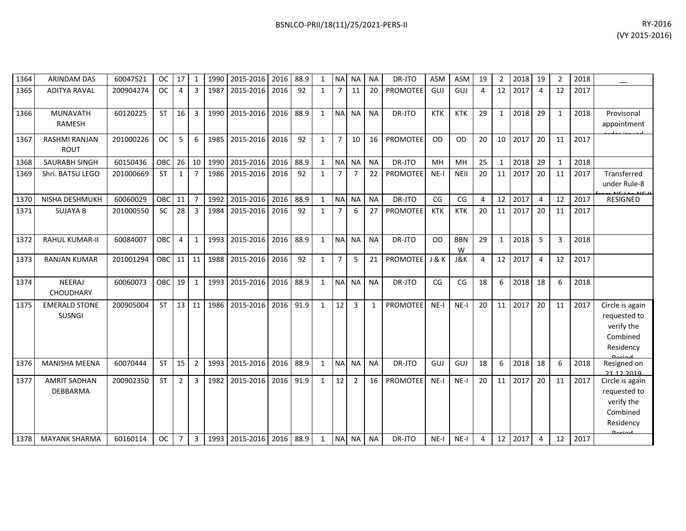| 1364 | <b>ARINDAM DAS</b>                    | 60047521  | <b>OC</b>  | 17             | 1              | 1990 | 2015-2016      | 2016 | 88.9 | 1            | <b>NAI</b>     | NA.            | <b>NA</b> | DR-JTO          | <b>ASM</b>     | <b>ASM</b>      | 19 | 2            | 2018 | 19             | $\overline{2}$ | 2018 |                                                                                   |
|------|---------------------------------------|-----------|------------|----------------|----------------|------|----------------|------|------|--------------|----------------|----------------|-----------|-----------------|----------------|-----------------|----|--------------|------|----------------|----------------|------|-----------------------------------------------------------------------------------|
| 1365 | <b>ADITYA RAVAL</b>                   | 200904274 | <b>OC</b>  | $\overline{4}$ | 3              | 1987 | 2015-2016      | 2016 | 92   | $\mathbf{1}$ | $\overline{7}$ | 11             | 20        | <b>PROMOTEE</b> | GUJ            | GUJ             | 4  | 12           | 2017 | $\overline{4}$ | 12             | 2017 |                                                                                   |
| 1366 | MUNAVATH<br><b>RAMESH</b>             | 60120225  | <b>ST</b>  | 16             | 3              | 1990 | 2015-2016      | 2016 | 88.9 | $\mathbf{1}$ | <b>NA</b>      | <b>NA</b>      | <b>NA</b> | DR-JTO          | <b>KTK</b>     | <b>KTK</b>      | 29 | 1            | 2018 | 29             | 1              | 2018 | Provisonal<br>appointment                                                         |
| 1367 | RASHMI RANJAN<br><b>ROUT</b>          | 201000226 | <b>OC</b>  | 5              | 6              | 1985 | 2015-2016      | 2016 | 92   | $\mathbf{1}$ | $\overline{7}$ | 10             | 16        | <b>PROMOTEE</b> | <b>OD</b>      | <b>OD</b>       | 20 | 10           | 2017 | 20             | 11             | 2017 |                                                                                   |
| 1368 | <b>SAURABH SINGH</b>                  | 60150436  | OBC        | 26             | 10             | 1990 | 2015-2016      | 2016 | 88.9 | $\mathbf{1}$ |                | NA NA          | <b>NA</b> | DR-JTO          | MH             | MH              | 25 | $\mathbf{1}$ | 2018 | 29             | $\mathbf{1}$   | 2018 |                                                                                   |
| 1369 | Shri. BATSU LEGO                      | 201000669 | <b>ST</b>  | 1              | $\overline{7}$ | 1986 | 2015-2016      | 2016 | 92   | $\mathbf{1}$ | $\overline{7}$ | $\overline{7}$ | 22        | <b>PROMOTEE</b> | $NE-I$         | <b>NEII</b>     | 20 | 11           | 2017 | 20             | 11             | 2017 | Transferred<br>under Rule-8                                                       |
| 1370 | NISHA DESHMUKH                        | 60060029  | OBC        | 11             | $\overline{7}$ | 1992 | 2015-2016      | 2016 | 88.9 | $\mathbf{1}$ |                | NA NA          | <b>NA</b> | DR-JTO          | CG             | CG              | 4  | 12           | 2017 | $\overline{4}$ | 12             | 2017 | RESIGNED                                                                          |
| 1371 | <b>SUJAYA B</b>                       | 201000550 | SC         | 28             | 3              | 1984 | 2015-2016      | 2016 | 92   | $\mathbf{1}$ | $\overline{7}$ | 6              | 27        | PROMOTEE        | <b>KTK</b>     | <b>KTK</b>      | 20 | 11           | 2017 | 20             | 11             | 2017 |                                                                                   |
| 1372 | <b>RAHUL KUMAR-II</b>                 | 60084007  | OBC        | $\overline{4}$ | $\mathbf{1}$   |      | 1993 2015-2016 | 2016 | 88.9 | $\mathbf{1}$ |                | NA NA          | <b>NA</b> | DR-JTO          | <b>OD</b>      | <b>BBN</b><br>W | 29 | $\mathbf{1}$ | 2018 | 5              | 3              | 2018 |                                                                                   |
| 1373 | <b>RANJAN KUMAR</b>                   | 201001294 | <b>OBC</b> | 11             | 11             | 1988 | 2015-2016      | 2016 | 92   | $\mathbf{1}$ | $\overline{7}$ | 5              | 21        | <b>PROMOTEE</b> | <b>J&amp;K</b> | <b>J&amp;K</b>  | 4  | 12           | 2017 | $\overline{4}$ | 12             | 2017 |                                                                                   |
| 1374 | <b>NEERAJ</b><br><b>CHOUDHARY</b>     | 60060073  | <b>OBC</b> | 19             | 1              | 1993 | 2015-2016      | 2016 | 88.9 | $\mathbf{1}$ | <b>NA</b>      | <b>NA</b>      | <b>NA</b> | DR-JTO          | CG             | CG              | 18 | 6            | 2018 | 18             | 6              | 2018 |                                                                                   |
| 1375 | <b>EMERALD STONE</b><br><b>SUSNGI</b> | 200905004 | <b>ST</b>  | 13             | 11             | 1986 | 2015-2016      | 2016 | 91.9 | $\mathbf{1}$ | 12             | $\overline{3}$ | 1         | <b>PROMOTEE</b> | $NE-I$         | $NE-I$          | 20 | 11           | 2017 | 20             | 11             | 2017 | Circle is again<br>requested to<br>verify the<br>Combined<br>Residency            |
| 1376 | <b>MANISHA MEENA</b>                  | 60070444  | <b>ST</b>  | 15             | $\overline{2}$ | 1993 | 2015-2016      | 2016 | 88.9 | $\mathbf{1}$ | <b>NA</b>      | <b>NA</b>      | <b>NA</b> | DR-JTO          | <b>GUJ</b>     | GUJ             | 18 | 6            | 2018 | 18             | 6              | 2018 | Resigned on<br>21 12 2019                                                         |
| 1377 | <b>AMRIT SADHAN</b><br>DEBBARMA       | 200902350 | <b>ST</b>  | $\overline{2}$ | 3              | 1982 | 2015-2016      | 2016 | 91.9 | $\mathbf{1}$ | 12             | $\overline{2}$ | 16        | <b>PROMOTEE</b> | $NE-I$         | $NE-I$          | 20 | 11           | 2017 | 20             | 11             | 2017 | Circle is again<br>requested to<br>verify the<br>Combined<br>Residency<br>لممنعمه |
| 1378 | <b>MAYANK SHARMA</b>                  | 60160114  | <b>OC</b>  | $\overline{7}$ | 3              | 1993 | 2015-2016      | 2016 | 88.9 | 1            |                | NA NA          | <b>NA</b> | DR-JTO          | $NE-I$         | NE-I            | 4  | 12           | 2017 | -4             | 12             | 2017 |                                                                                   |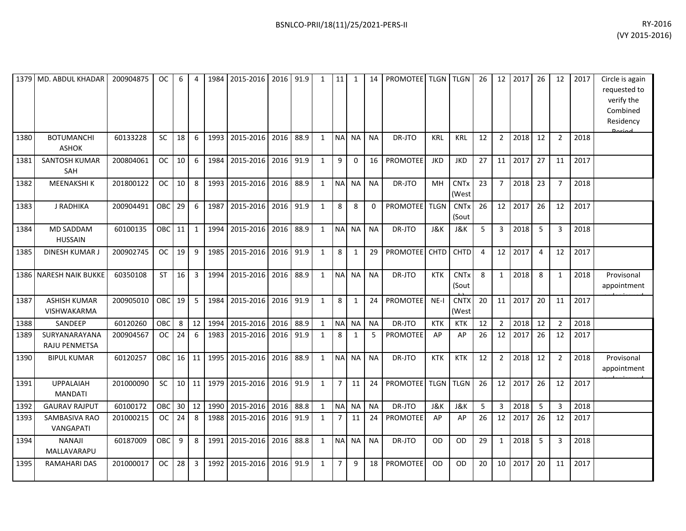| 1379 | MD. ABDUL KHADAR                          | 200904875 | OC.       | 6  | $\overline{4}$          | 1984 | 2015-2016 | 2016 91.9 |      | 1            | 11             | 1            | 14          | <b>PROMOTEE</b> |                | TLGN TLGN            | 26             | 12                      | 2017 | 26 | 12             | 2017 | Circle is again<br>requested to<br>verify the<br>Combined<br>Residency<br>Doriad |
|------|-------------------------------------------|-----------|-----------|----|-------------------------|------|-----------|-----------|------|--------------|----------------|--------------|-------------|-----------------|----------------|----------------------|----------------|-------------------------|------|----|----------------|------|----------------------------------------------------------------------------------|
| 1380 | <b>BOTUMANCHI</b><br><b>ASHOK</b>         | 60133228  | <b>SC</b> | 18 | 6                       | 1993 | 2015-2016 | 2016      | 88.9 | $\mathbf{1}$ | <b>NA</b>      | NA           | <b>NA</b>   | DR-JTO          | <b>KRL</b>     | <b>KRL</b>           | 12             | $\overline{2}$          | 2018 | 12 | $\overline{2}$ | 2018 |                                                                                  |
| 1381 | <b>SANTOSH KUMAR</b><br>SAH               | 200804061 | <b>OC</b> | 10 | 6                       | 1984 | 2015-2016 | 2016      | 91.9 | $\mathbf{1}$ | 9              | $\Omega$     | 16          | PROMOTEE        | <b>JKD</b>     | <b>JKD</b>           | 27             | 11                      | 2017 | 27 | 11             | 2017 |                                                                                  |
| 1382 | <b>MEENAKSHIK</b>                         | 201800122 | <b>OC</b> | 10 | 8                       | 1993 | 2015-2016 | 2016      | 88.9 | $\mathbf{1}$ | <b>NA</b>      | <b>NA</b>    | <b>NA</b>   | DR-JTO          | MH             | CNTx<br>(West        | 23             | $\overline{7}$          | 2018 | 23 | $\overline{7}$ | 2018 |                                                                                  |
| 1383 | J RADHIKA                                 | 200904491 | OBC       | 29 | 6                       | 1987 | 2015-2016 | 2016      | 91.9 | $\mathbf{1}$ | 8              | 8            | $\mathbf 0$ | PROMOTEE        | <b>TLGN</b>    | <b>CNTx</b><br>(Sout | 26             | 12                      | 2017 | 26 | 12             | 2017 |                                                                                  |
| 1384 | MD SADDAM<br><b>HUSSAIN</b>               | 60100135  | OBC       | 11 | 1                       | 1994 | 2015-2016 | 2016      | 88.9 | $\mathbf{1}$ | <b>NA</b>      | <b>NA</b>    | <b>NA</b>   | DR-JTO          | J&K            | J&K                  | 5 <sup>1</sup> | $\mathbf{3}$            | 2018 | 5  | 3              | 2018 |                                                                                  |
| 1385 | <b>DINESH KUMAR J</b>                     | 200902745 | <b>OC</b> | 19 | 9                       | 1985 | 2015-2016 | 2016      | 91.9 | $\mathbf{1}$ | $\,8\,$        | $\mathbf{1}$ | 29          | <b>PROMOTEE</b> | <b>CHTD</b>    | <b>CHTD</b>          | $\overline{4}$ | 12                      | 2017 | 4  | 12             | 2017 |                                                                                  |
| 1386 | <b>NARESH NAIK BUKKE</b>                  | 60350108  | ST        | 16 | $\overline{\mathbf{3}}$ | 1994 | 2015-2016 | 2016      | 88.9 | $\mathbf{1}$ | <b>NA</b>      | <b>NA</b>    | <b>NA</b>   | DR-JTO          | <b>KTK</b>     | <b>CNTx</b><br>(Sout | 8              | $\mathbf{1}$            | 2018 | 8  | $\mathbf{1}$   | 2018 | Provisonal<br>appointment                                                        |
| 1387 | <b>ASHISH KUMAR</b><br><b>VISHWAKARMA</b> | 200905010 | OBC       | 19 | -5                      | 1984 | 2015-2016 | 2016      | 91.9 | $\mathbf{1}$ | 8              | $\mathbf{1}$ | 24          | <b>PROMOTEE</b> | $NE-I$         | <b>CNTX</b><br>(West | 20             | 11                      | 2017 | 20 | 11             | 2017 |                                                                                  |
| 1388 | SANDEEP                                   | 60120260  | OBC       | 8  | 12                      | 1994 | 2015-2016 | 2016      | 88.9 | $\mathbf{1}$ | <b>NA</b>      | <b>NA</b>    | <b>NA</b>   | DR-JTO          | <b>KTK</b>     | <b>KTK</b>           | 12             | $2^{\circ}$             | 2018 | 12 | $\overline{2}$ | 2018 |                                                                                  |
| 1389 | SURYANARAYANA<br>RAJU PENMETSA            | 200904567 | <b>OC</b> | 24 | 6                       | 1983 | 2015-2016 | 2016      | 91.9 | $\mathbf{1}$ | 8              | $\mathbf{1}$ | 5           | <b>PROMOTEE</b> | AP             | AP                   | 26             | 12                      | 2017 | 26 | 12             | 2017 |                                                                                  |
| 1390 | <b>BIPUL KUMAR</b>                        | 60120257  | OBC 16    |    | 11                      | 1995 | 2015-2016 | 2016      | 88.9 | $\mathbf{1}$ | <b>NA</b>      | <b>NA</b>    | <b>NA</b>   | DR-JTO          | <b>KTK</b>     | <b>KTK</b>           | 12             | $\overline{2}$          | 2018 | 12 | $\overline{2}$ | 2018 | Provisonal<br>appointment                                                        |
| 1391 | <b>UPPALAIAH</b><br><b>MANDATI</b>        | 201000090 | <b>SC</b> | 10 | 11                      | 1979 | 2015-2016 | 2016      | 91.9 | $\mathbf{1}$ | $\overline{7}$ | 11           | 24          | PROMOTEE        | <b>TLGN</b>    | <b>TLGN</b>          | 26             | 12                      | 2017 | 26 | 12             | 2017 |                                                                                  |
| 1392 | <b>GAURAV RAJPUT</b>                      | 60100172  | OBC       | 30 | 12                      | 1990 | 2015-2016 | 2016      | 88.8 | $\mathbf{1}$ | <b>NA</b>      | <b>NA</b>    | <b>NA</b>   | DR-JTO          | <b>J&amp;K</b> | <b>J&amp;K</b>       | 5              | $\overline{\mathbf{3}}$ | 2018 | 5  | $\mathbf{3}$   | 2018 |                                                                                  |
| 1393 | SAMBASIVA RAO<br><b>VANGAPATI</b>         | 201000215 | <b>OC</b> | 24 | 8                       | 1988 | 2015-2016 | 2016      | 91.9 | 1            | $\overline{7}$ | 11           | 24          | <b>PROMOTEE</b> | AP             | AP                   | 26             | 12                      | 2017 | 26 | 12             | 2017 |                                                                                  |
| 1394 | <b>NANAJI</b><br>MALLAVARAPU              | 60187009  | OBC       | 9  | 8                       | 1991 | 2015-2016 | 2016      | 88.8 | $\mathbf{1}$ | <b>NA</b>      | <b>NA</b>    | <b>NA</b>   | DR-JTO          | <b>OD</b>      | <b>OD</b>            | 29             | $\mathbf{1}$            | 2018 | 5  | 3              | 2018 |                                                                                  |
| 1395 | RAMAHARI DAS                              | 201000017 | <b>OC</b> | 28 | $\overline{3}$          | 1992 | 2015-2016 | 2016      | 91.9 | $\mathbf{1}$ | $\overline{7}$ | 9            | 18          | PROMOTEE        | <b>OD</b>      | OD                   | 20             | 10                      | 2017 | 20 | 11             | 2017 |                                                                                  |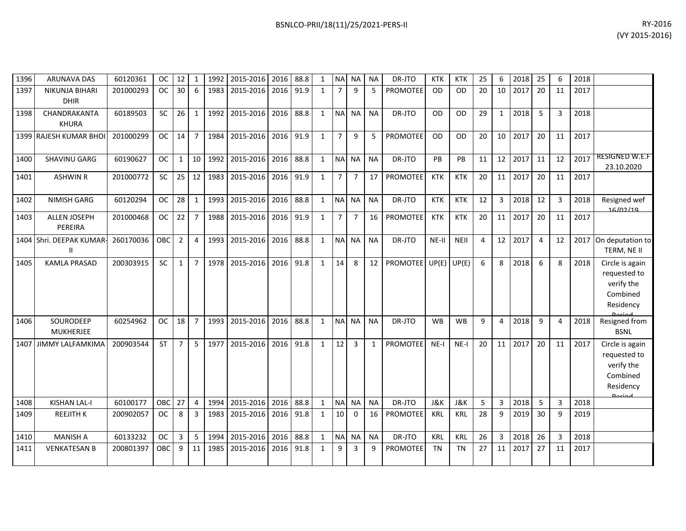| 1396 | <b>ARUNAVA DAS</b>                   | 60120361  | <b>OC</b>     | 12             | 1               | 1992 | 2015-2016 2016 |      | 88.8 | 1            |                 | NA NA          | NA           | DR-JTO               | <b>KTK</b>     | <b>KTK</b>  | 25 | 6               | 2018 | 25             | 6              | 2018 |                                                                                         |
|------|--------------------------------------|-----------|---------------|----------------|-----------------|------|----------------|------|------|--------------|-----------------|----------------|--------------|----------------------|----------------|-------------|----|-----------------|------|----------------|----------------|------|-----------------------------------------------------------------------------------------|
| 1397 | <b>NIKUNJA BIHARI</b><br><b>DHIR</b> | 201000293 | OC.           | 30             | 6               | 1983 | 2015-2016      | 2016 | 91.9 | $\mathbf{1}$ | 7               | q              | 5            | <b>PROMOTEE</b>      | <b>OD</b>      | <b>OD</b>   | 20 | 10              | 2017 | 20             | 11             | 2017 |                                                                                         |
| 1398 | CHANDRAKANTA<br><b>KHURA</b>         | 60189503  | <b>SC</b>     | 26             | 1               | 1992 | 2015-2016      | 2016 | 88.8 | $\mathbf{1}$ |                 | NA NA          | <b>NA</b>    | DR-JTO               | <b>OD</b>      | <b>OD</b>   | 29 | $\mathbf{1}$    | 2018 | 5              | 3              | 2018 |                                                                                         |
|      | 1399 RAJESH KUMAR BHOI               | 201000299 | OC.           | 14             | $7^{\circ}$     | 1984 | 2015-2016      | 2016 | 91.9 | $\mathbf{1}$ | $\overline{7}$  | 9              | 5            | <b>PROMOTEE</b>      | <b>OD</b>      | <b>OD</b>   | 20 | 10 <sup>1</sup> | 2017 | 20             | 11             | 2017 |                                                                                         |
| 1400 | SHAVINU GARG                         | 60190627  | OC.           | $\mathbf{1}$   | 10 <sup>1</sup> | 1992 | 2015-2016      | 2016 | 88.8 | $\mathbf{1}$ |                 | NAI NA         | <b>NA</b>    | DR-JTO               | PB             | PB          | 11 | 12 <sup>1</sup> | 2017 | 11             | 12             | 2017 | RESIGNED W.E.F<br>23.10.2020                                                            |
| 1401 | <b>ASHWIN R</b>                      | 201000772 | <b>SC</b>     | 25             | 12              | 1983 | 2015-2016      | 2016 | 91.9 | $\mathbf{1}$ | $\overline{7}$  | $\overline{7}$ | 17           | <b>PROMOTEE</b>      | <b>KTK</b>     | <b>KTK</b>  | 20 | 11 <sup>1</sup> | 2017 | 20             | 11             | 2017 |                                                                                         |
| 1402 | <b>NIMISH GARG</b>                   | 60120294  | <b>OC</b>     | 28             | $\mathbf{1}$    | 1993 | 2015-2016      | 2016 | 88.8 | $\mathbf{1}$ | NA NA           |                | <b>NA</b>    | DR-JTO               | <b>KTK</b>     | <b>KTK</b>  | 12 | 3               | 2018 | 12             | 3              | 2018 | Resigned wef<br>16/02/19                                                                |
| 1403 | <b>ALLEN JOSEPH</b><br>PEREIRA       | 201000468 | OC.           | 22             | $\overline{7}$  | 1988 | 2015-2016      | 2016 | 91.9 | $\mathbf{1}$ | $\overline{7}$  | $\overline{7}$ | 16           | <b>PROMOTEE</b>      | <b>KTK</b>     | <b>KTK</b>  | 20 | 11 <sup>1</sup> | 2017 | 20             | 11             | 2017 |                                                                                         |
|      | 1404 Shri. DEEPAK KUMAR<br>Ш         | 260170036 | OBC           | $\overline{2}$ | 4               | 1993 | 2015-2016      | 2016 | 88.8 | 1            |                 | NA NA          | <b>NA</b>    | DR-JTO               | NE-II          | <b>NEII</b> | 4  | 12              | 2017 | $\overline{4}$ | 12             | 2017 | On deputation to<br>TERM, NE II                                                         |
| 1405 | <b>KAMLA PRASAD</b>                  | 200303915 | <b>SC</b>     | $\mathbf{1}$   | $\overline{7}$  | 1978 | 2015-2016      | 2016 | 91.8 | $\mathbf{1}$ | 14 <sup>1</sup> | 8              | 12           | PROMOTEE UP(E) UP(E) |                |             | 6  | 8               | 2018 | 6              | 8              | 2018 | Circle is again<br>requested to<br>verify the<br>Combined<br>Residency                  |
| 1406 | SOURODEEP<br><b>MUKHERJEE</b>        | 60254962  | <b>OC</b>     | 18             | $\overline{7}$  | 1993 | 2015-2016      | 2016 | 88.8 | 1            |                 | NA NA          | <b>NA</b>    | DR-JTO               | <b>WB</b>      | <b>WB</b>   | 9  | 4               | 2018 | 9              | $\Delta$       | 2018 | Resigned from<br><b>BSNL</b>                                                            |
|      | 1407 JIMMY LALFAMKIMA                | 200903544 | <b>ST</b>     | $\overline{7}$ | 5               | 1977 | 2015-2016      | 2016 | 91.8 | $\mathbf{1}$ | 12              | $\overline{3}$ | 1            | <b>PROMOTEE</b>      | $NE-I$         | $NE-I$      | 20 | 11              | 2017 | 20             | 11             | 2017 | Circle is again<br>requested to<br>verify the<br>Combined<br>Residency<br><b>Doriad</b> |
| 1408 | <b>KISHAN LAL-I</b>                  | 60100177  | OBC           | 27             | $\overline{4}$  | 1994 | 2015-2016      | 2016 | 88.8 | $\mathbf{1}$ | <b>NA</b>       | <b>NA</b>      | <b>NA</b>    | DR-JTO               | <b>J&amp;K</b> | J&K         | 5  | $\overline{3}$  | 2018 | 5              | 3              | 2018 |                                                                                         |
| 1409 | <b>REEJITH K</b>                     | 200902057 | <sub>OC</sub> | 8              | 3               | 1983 | 2015-2016      | 2016 | 91.8 | 1            | 10              | $\Omega$       | 16           | <b>PROMOTEE</b>      | <b>KRL</b>     | <b>KRL</b>  | 28 | 9               | 2019 | 30             | q              | 2019 |                                                                                         |
| 1410 | <b>MANISH A</b>                      | 60133232  | <b>OC</b>     | $\mathbf{3}$   | 5 <sup>1</sup>  | 1994 | 2015-2016      | 2016 | 88.8 | $\mathbf{1}$ |                 | NA NA          | <b>NA</b>    | DR-JTO               | <b>KRL</b>     | <b>KRL</b>  | 26 | $\overline{3}$  | 2018 | 26             | $\overline{3}$ | 2018 |                                                                                         |
| 1411 | <b>VENKATESAN B</b>                  | 200801397 | OBC           | 9              | 11              | 1985 | 2015-2016      | 2016 | 91.8 | $\mathbf{1}$ | 9               | $\overline{3}$ | $\mathbf{q}$ | <b>PROMOTEE</b>      | <b>TN</b>      | <b>TN</b>   | 27 | 11              | 2017 | 27             | 11             | 2017 |                                                                                         |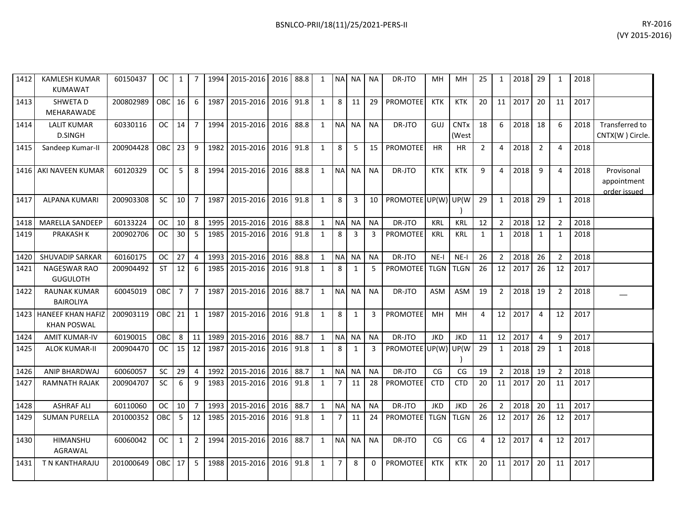| RY-2016        |
|----------------|
| (VY 2015-2016) |

| 1412 | <b>KAMLESH KUMAR</b><br><b>KUMAWAT</b>       | 60150437  | <b>OC</b>  | $\mathbf{1}$    | 7              | 1994 | 2015-2016 2016      |      | 88.8 | $\mathbf{1}$ |                | NA NA          | <b>NA</b>      | DR-JTO               | MH          | MH                   | 25             | $\mathbf{1}$    | 2018    | 29             | $\mathbf 1$    | 2018 |                                           |
|------|----------------------------------------------|-----------|------------|-----------------|----------------|------|---------------------|------|------|--------------|----------------|----------------|----------------|----------------------|-------------|----------------------|----------------|-----------------|---------|----------------|----------------|------|-------------------------------------------|
| 1413 | <b>SHWETAD</b><br>MEHARAWADE                 | 200802989 | OBC        | 16 <sup>1</sup> | 6              | 1987 | 2015-2016           | 2016 | 91.8 | 1            | 8 <sup>1</sup> | 11             | 29             | <b>PROMOTEE</b>      | <b>KTK</b>  | <b>KTK</b>           | 20             | 11 <sup>1</sup> | 2017    | 20             | 11             | 2017 |                                           |
| 1414 | <b>LALIT KUMAR</b><br><b>D.SINGH</b>         | 60330116  | OC.        | 14              | $\overline{7}$ |      | 1994 2015-2016      | 2016 | 88.8 | $\mathbf{1}$ |                | NA NA          | <b>NA</b>      | DR-JTO               | GUJ         | <b>CNTx</b><br>(West | 18             | 6               | 2018    | 18             | 6              | 2018 | <b>Transferred to</b><br>CNTX(W) Circle.  |
| 1415 | Sandeep Kumar-II                             | 200904428 | <b>OBC</b> | 23              | 9              | 1982 | 2015-2016           | 2016 | 91.8 | $\mathbf{1}$ | 8              | 5              | 15             | <b>PROMOTEE</b>      | <b>HR</b>   | <b>HR</b>            | $\overline{2}$ | $\overline{4}$  | 2018    | $\overline{2}$ | 4              | 2018 |                                           |
|      | 1416 AKI NAVEEN KUMAR                        | 60120329  | OC.        | 5               | 8              | 1994 | 2015-2016 2016 88.8 |      |      | $\mathbf{1}$ |                | NA NA          | <b>NA</b>      | DR-JTO               | <b>KTK</b>  | <b>KTK</b>           | 9              | $\overline{4}$  | 2018    | 9              | 4              | 2018 | Provisonal<br>appointment<br>order issued |
| 1417 | <b>ALPANA KUMARI</b>                         | 200903308 | <b>SC</b>  | 10              | $\overline{7}$ | 1987 | 2015-2016           | 2016 | 91.8 | 1            | 8              | 3              | 10             | PROMOTEE UP(W) UP(W) |             |                      | 29             | $\mathbf{1}$    | 2018    | 29             | $\mathbf{1}$   | 2018 |                                           |
| 1418 | <b>MARELLA SANDEEP</b>                       | 60133224  | <b>OC</b>  | 10              | 8              | 1995 | 2015-2016           | 2016 | 88.8 | 1            |                | NA NA          | <b>NA</b>      | DR-JTO               | <b>KRL</b>  | <b>KRL</b>           | 12             | $\overline{2}$  | 2018    | 12             | $\overline{2}$ | 2018 |                                           |
| 1419 | PRAKASH K                                    | 200902706 | <b>OC</b>  | 30              | 5              |      | 1985 2015-2016      | 2016 | 91.8 | $\mathbf{1}$ | 8              | $\overline{3}$ | $\overline{3}$ | <b>PROMOTEE</b>      | <b>KRL</b>  | KRL                  | $\mathbf{1}$   | $\mathbf{1}$    | 2018    | 1              | $\mathbf{1}$   | 2018 |                                           |
| 1420 | SHUVADIP SARKAR                              | 60160175  | <b>OC</b>  | 27              | $\overline{4}$ | 1993 | 2015-2016           | 2016 | 88.8 | $\mathbf{1}$ |                | NA NA          | <b>NA</b>      | DR-JTO               | $NE-I$      | $NE-I$               | 26             | $\overline{2}$  | 2018    | 26             | $\overline{2}$ | 2018 |                                           |
| 1421 | NAGESWAR RAO<br><b>GUGULOTH</b>              | 200904492 | <b>ST</b>  | 12              | 6              | 1985 | 2015-2016           | 2016 | 91.8 | $\mathbf{1}$ | 8              | $\mathbf{1}$   | 5              | <b>PROMOTEE</b>      | <b>TLGN</b> | <b>TLGN</b>          | 26             | 12              | 2017    | 26             | 12             | 2017 |                                           |
| 1422 | <b>RAUNAK KUMAR</b><br><b>BAIROLIYA</b>      | 60045019  | OBC        | $\overline{7}$  | $\overline{7}$ | 1987 | 2015-2016           | 2016 | 88.7 | $\mathbf{1}$ |                | NA NA          | <b>NA</b>      | DR-JTO               | <b>ASM</b>  | ASM                  | 19             | $\overline{2}$  | 2018    | 19             | $\overline{2}$ | 2018 |                                           |
|      | 1423 HANEEF KHAN HAFIZ<br><b>KHAN POSWAL</b> | 200903119 | OBC 21     |                 | $\mathbf{1}$   | 1987 | 2015-2016           | 2016 | 91.8 | $\mathbf{1}$ | 8              | $\mathbf{1}$   | $\overline{3}$ | <b>PROMOTEE</b>      | MH          | MH                   | 4              |                 | 12 2017 | $\overline{4}$ | 12             | 2017 |                                           |
| 1424 | <b>AMIT KUMAR-IV</b>                         | 60190015  | OBC        | 8               | 11             | 1989 | 2015-2016           | 2016 | 88.7 | 1            | NA NA          |                | <b>NA</b>      | DR-JTO               | <b>JKD</b>  | <b>JKD</b>           | 11             | 12              | 2017    | $\overline{4}$ | q              | 2017 |                                           |
| 1425 | <b>ALOK KUMAR-II</b>                         | 200904470 | <b>OC</b>  | 15              | 12             | 1987 | 2015-2016           | 2016 | 91.8 | $\mathbf{1}$ | 8              | 1              | 3              | PROMOTEE UP(W)       |             | UP(W                 | 29             | $\mathbf{1}$    | 2018    | 29             | $\mathbf{1}$   | 2018 |                                           |
| 1426 | <b>ANIP BHARDWAJ</b>                         | 60060057  | SC         | 29              | $\overline{4}$ |      | 1992 2015-2016      | 2016 | 88.7 | $\mathbf{1}$ |                | NA NA          | <b>NA</b>      | DR-JTO               | CG          | CG                   | 19             | $\overline{2}$  | 2018    | 19             | $\overline{2}$ | 2018 |                                           |
| 1427 | <b>RAMNATH RAJAK</b>                         | 200904707 | <b>SC</b>  | 6               | 9              | 1983 | 2015-2016           | 2016 | 91.8 | $\mathbf{1}$ | $\overline{7}$ | 11             | 28             | <b>PROMOTEE</b>      | <b>CTD</b>  | <b>CTD</b>           | 20             | 11              | 2017    | 20             | 11             | 2017 |                                           |
| 1428 | <b>ASHRAF ALI</b>                            | 60110060  | <b>OC</b>  | 10              | $\overline{7}$ | 1993 | 2015-2016 2016      |      | 88.7 | $\mathbf{1}$ | NA NA          |                | <b>NA</b>      | DR-JTO               | <b>JKD</b>  | <b>JKD</b>           | 26             | $\overline{2}$  | 2018    | 20             | 11             | 2017 |                                           |
| 1429 | <b>SUMAN PURELLA</b>                         | 201000352 | OBC        | 5               | 12             |      | 1985 2015-2016      | 2016 | 91.8 | 1            | $\overline{7}$ | 11             | 24             | PROMOTEE             | <b>TLGN</b> | <b>TLGN</b>          | 26             | 12              | 2017    | 26             | 12             | 2017 |                                           |
| 1430 | HIMANSHU<br>AGRAWAL                          | 60060042  | OC.        | $\mathbf{1}$    | $\overline{2}$ | 1994 | 2015-2016           | 2016 | 88.7 | $\mathbf{1}$ |                | NA NA          | <b>NA</b>      | DR-JTO               | CG          | CG                   | 4              |                 | 12 2017 | $\overline{4}$ | 12             | 2017 |                                           |
| 1431 | T N KANTHARAJU                               | 201000649 | <b>OBC</b> | 17              | 5              | 1988 | 2015-2016           | 2016 | 91.8 | $\mathbf{1}$ | 7 <sup>7</sup> | 8              | $\mathbf 0$    | <b>PROMOTEE</b>      | <b>KTK</b>  | <b>KTK</b>           | 20             | 11              | 2017    | 20             | 11             | 2017 |                                           |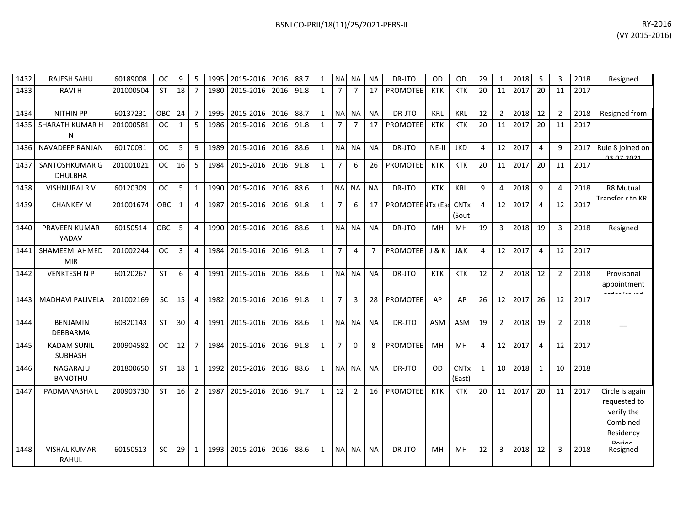| 1432 | RAJESH SAHU                          | 60189008  | <b>OC</b>  | 9            | 5              | 1995 | 2015-2016 2016 |      | 88.7 | $\mathbf{1}$ | <b>NA</b>      | NA             | <b>NA</b>      | DR-JTO            | <b>OD</b>  | <b>OD</b>             | 29           | 1              | 2018 | 5              | 3              | 2018 | Resigned                                                               |
|------|--------------------------------------|-----------|------------|--------------|----------------|------|----------------|------|------|--------------|----------------|----------------|----------------|-------------------|------------|-----------------------|--------------|----------------|------|----------------|----------------|------|------------------------------------------------------------------------|
| 1433 | <b>RAVIH</b>                         | 201000504 | <b>ST</b>  | 18           | $\overline{7}$ | 1980 | 2015-2016      | 2016 | 91.8 | $\mathbf{1}$ | $\overline{7}$ | $\overline{7}$ | 17             | PROMOTEE          | <b>KTK</b> | <b>KTK</b>            | 20           | 11             | 2017 | 20             | 11             | 2017 |                                                                        |
| 1434 | <b>NITHIN PP</b>                     | 60137231  | OBC        | 24           | $\overline{7}$ | 1995 | 2015-2016      | 2016 | 88.7 | $\mathbf{1}$ | <b>NA</b>      | <b>NA</b>      | <b>NA</b>      | DR-JTO            | <b>KRL</b> | <b>KRL</b>            | 12           | $\overline{2}$ | 2018 | 12             | $\overline{2}$ | 2018 | Resigned from                                                          |
| 1435 | SHARATH KUMAR H<br>N                 | 201000581 | <b>OC</b>  | $\mathbf{1}$ | 5              | 1986 | 2015-2016      | 2016 | 91.8 | $\mathbf{1}$ | $\overline{7}$ | $\overline{7}$ | 17             | <b>PROMOTEE</b>   | <b>KTK</b> | <b>KTK</b>            | 20           | 11             | 2017 | 20             | 11             | 2017 |                                                                        |
| 1436 | <b>NAVADEEP RANJAN</b>               | 60170031  | <b>OC</b>  | 5            | 9              | 1989 | 2015-2016      | 2016 | 88.6 | $\mathbf{1}$ | <b>NA</b>      | <b>NA</b>      | <b>NA</b>      | DR-JTO            | NE-II      | <b>JKD</b>            | 4            | 12             | 2017 | $\overline{4}$ | 9              | 2017 | Rule 8 joined on<br><u>በ3 በ7 2021 -</u>                                |
| 1437 | SANTOSHKUMAR G<br><b>DHULBHA</b>     | 201001021 | <b>OC</b>  | 16           | 5              | 1984 | 2015-2016      | 2016 | 91.8 | $\mathbf{1}$ | $\overline{7}$ | 6              | 26             | PROMOTEE          | <b>KTK</b> | <b>KTK</b>            | 20           | 11             | 2017 | 20             | 11             | 2017 |                                                                        |
| 1438 | <b>VISHNURAJ R V</b>                 | 60120309  | <b>OC</b>  | 5            | 1              | 1990 | 2015-2016      | 2016 | 88.6 | $\mathbf{1}$ | <b>NA</b>      | <b>NA</b>      | <b>NA</b>      | DR-JTO            | <b>KTK</b> | <b>KRL</b>            | 9            | 4              | 2018 | 9              | 4              | 2018 | R8 Mutual<br>Transfer r to KRL                                         |
| 1439 | <b>CHANKEY M</b>                     | 201001674 | <b>OBC</b> | $\mathbf{1}$ | $\overline{4}$ | 1987 | 2015-2016      | 2016 | 91.8 | $\mathbf{1}$ | $\overline{7}$ | 6              | 17             | PROMOTEE NTx (Eas |            | <b>CNTx</b><br>(Sout  | 4            | 12             | 2017 | 4              | 12             | 2017 |                                                                        |
| 1440 | <b>PRAVEEN KUMAR</b><br>YADAV        | 60150514  | <b>OBC</b> | 5            | $\overline{4}$ | 1990 | 2015-2016      | 2016 | 88.6 | $\mathbf{1}$ | <b>NA</b>      | <b>NA</b>      | <b>NA</b>      | DR-JTO            | MH         | <b>MH</b>             | 19           | $\mathbf{3}$   | 2018 | 19             | $\overline{3}$ | 2018 | Resigned                                                               |
| 1441 | SHAMEEM AHMED<br><b>MIR</b>          | 201002244 | <b>OC</b>  | 3            | $\overline{4}$ | 1984 | 2015-2016      | 2016 | 91.8 | $\mathbf{1}$ | $\overline{7}$ | 4              | $\overline{7}$ | <b>PROMOTEE</b>   | J&K        | J&K                   | 4            | 12             | 2017 | $\overline{4}$ | 12             | 2017 |                                                                        |
| 1442 | <b>VENKTESH N P</b>                  | 60120267  | <b>ST</b>  | 6            | $\overline{4}$ | 1991 | 2015-2016      | 2016 | 88.6 | $\mathbf{1}$ | N <sub>A</sub> | <b>NA</b>      | <b>NA</b>      | DR-JTO            | <b>KTK</b> | <b>KTK</b>            | 12           | $\overline{2}$ | 2018 | 12             | $\overline{2}$ | 2018 | Provisonal<br>appointment                                              |
| 1443 | MADHAVI PALIVELA                     | 201002169 | SC         | 15           | $\overline{4}$ | 1982 | 2015-2016      | 2016 | 91.8 | $\mathbf{1}$ | $\overline{7}$ | 3              | 28             | <b>PROMOTEE</b>   | AP         | AP                    | 26           | 12             | 2017 | 26             | 12             | 2017 |                                                                        |
| 1444 | <b>BENJAMIN</b><br><b>DEBBARMA</b>   | 60320143  | <b>ST</b>  | 30           | $\overline{4}$ | 1991 | 2015-2016      | 2016 | 88.6 | $\mathbf{1}$ | <b>NA</b>      | <b>NA</b>      | <b>NA</b>      | DR-JTO            | <b>ASM</b> | <b>ASM</b>            | 19           | $\overline{2}$ | 2018 | 19             | $\overline{2}$ | 2018 |                                                                        |
| 1445 | <b>KADAM SUNIL</b><br><b>SUBHASH</b> | 200904582 | <b>OC</b>  | 12           | $\overline{7}$ | 1984 | 2015-2016      | 2016 | 91.8 | $\mathbf{1}$ | $\overline{7}$ | $\Omega$       | 8              | <b>PROMOTEE</b>   | MH         | <b>MH</b>             | 4            | 12             | 2017 | $\overline{4}$ | 12             | 2017 |                                                                        |
| 1446 | NAGARAJU<br><b>BANOTHU</b>           | 201800650 | <b>ST</b>  | 18           | $\mathbf{1}$   | 1992 | 2015-2016      | 2016 | 88.6 | $\mathbf{1}$ | <b>NA</b>      | <b>NA</b>      | <b>NA</b>      | DR-JTO            | <b>OD</b>  | <b>CNTx</b><br>(East) | $\mathbf{1}$ | 10             | 2018 | $\mathbf{1}$   | 10             | 2018 |                                                                        |
| 1447 | PADMANABHA L                         | 200903730 | <b>ST</b>  | 16           | $\overline{2}$ | 1987 | 2015-2016      | 2016 | 91.7 | $\mathbf{1}$ | 12             | $\overline{2}$ | 16             | <b>PROMOTEE</b>   | <b>KTK</b> | <b>KTK</b>            | 20           | 11             | 2017 | 20             | 11             | 2017 | Circle is again<br>requested to<br>verify the<br>Combined<br>Residency |
| 1448 | <b>VISHAL KUMAR</b><br><b>RAHUL</b>  | 60150513  | SC         | 29           | $\mathbf{1}$   | 1993 | 2015-2016      | 2016 | 88.6 | $\mathbf{1}$ | <b>NA</b>      | <b>NA</b>      | <b>NA</b>      | DR-JTO            | <b>MH</b>  | MH                    | 12           | 3              | 2018 | 12             | $\overline{3}$ | 2018 | Resigned                                                               |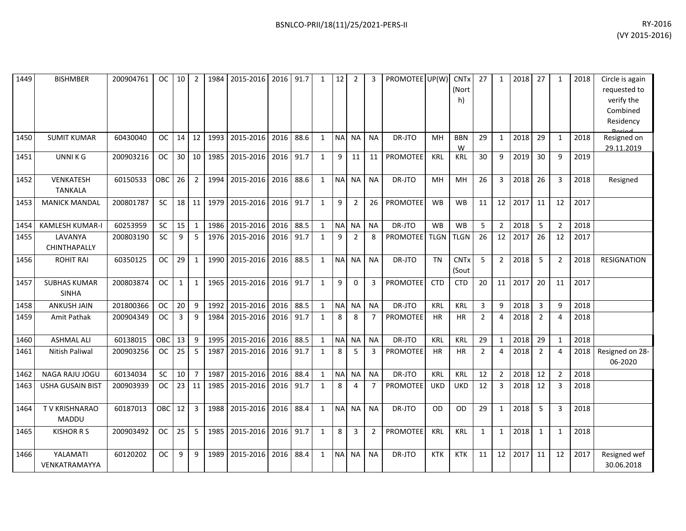| 1449 | <b>BISHMBER</b>                     | 200904761 | <b>OC</b>  | 10           | $\overline{2}$ | 1984 | 2015-2016 | 2016      | 91.7 | 1            | 12        | $\overline{2}$ | 3              | PROMOTEE UP(W)  |             | <b>CNT<sub>x</sub></b><br>(Nort<br>h) | 27             | 1              | 2018 | 27             | $\mathbf{1}$   | 2018 | Circle is again<br>requested to<br>verify the<br>Combined<br>Residency |
|------|-------------------------------------|-----------|------------|--------------|----------------|------|-----------|-----------|------|--------------|-----------|----------------|----------------|-----------------|-------------|---------------------------------------|----------------|----------------|------|----------------|----------------|------|------------------------------------------------------------------------|
| 1450 | <b>SUMIT KUMAR</b>                  | 60430040  | OC.        | 14           | 12             | 1993 | 2015-2016 | 2016      | 88.6 | 1            | <b>NA</b> | NA             | <b>NA</b>      | DR-JTO          | MH          | <b>BBN</b><br>W                       | 29             | $\mathbf{1}$   | 2018 | 29             | 1              | 2018 | Resigned on<br>29.11.2019                                              |
| 1451 | <b>UNNIKG</b>                       | 200903216 | <b>OC</b>  | 30           | 10             | 1985 | 2015-2016 | 2016      | 91.7 | $\mathbf{1}$ | 9         | 11             | 11             | <b>PROMOTEE</b> | <b>KRL</b>  | <b>KRL</b>                            | 30             | 9              | 2019 | 30             | 9              | 2019 |                                                                        |
| 1452 | VENKATESH<br><b>TANKALA</b>         | 60150533  | OBC        | 26           | $\overline{2}$ | 1994 | 2015-2016 | 2016      | 88.6 | $\mathbf{1}$ | <b>NA</b> | <b>NA</b>      | <b>NA</b>      | DR-JTO          | MH          | MH                                    | 26             | 3              | 2018 | 26             | 3              | 2018 | Resigned                                                               |
| 1453 | <b>MANICK MANDAL</b>                | 200801787 | <b>SC</b>  | 18           | 11             | 1979 | 2015-2016 | 2016      | 91.7 | $\mathbf{1}$ | 9         | $\overline{2}$ | 26             | PROMOTEE        | <b>WB</b>   | <b>WB</b>                             | 11             | 12             | 2017 | 11             | 12             | 2017 |                                                                        |
| 1454 | <b>KAMLESH KUMAR-I</b>              | 60253959  | <b>SC</b>  | 15           | $\mathbf{1}$   | 1986 | 2015-2016 | 2016      | 88.5 | $\mathbf{1}$ | <b>NA</b> | <b>NA</b>      | <b>NA</b>      | DR-JTO          | <b>WB</b>   | <b>WB</b>                             | 5              | $\overline{2}$ | 2018 | 5              | $\overline{2}$ | 2018 |                                                                        |
| 1455 | LAVANYA<br>CHINTHAPALLY             | 200803190 | <b>SC</b>  | 9            | 5              | 1976 | 2015-2016 | 2016      | 91.7 | 1            | 9         | 2              | 8              | <b>PROMOTEE</b> | <b>TLGN</b> | <b>TLGN</b>                           | 26             | 12             | 2017 | 26             | 12             | 2017 |                                                                        |
| 1456 | <b>ROHIT RAI</b>                    | 60350125  | OC.        | 29           | $\mathbf{1}$   | 1990 | 2015-2016 | 2016      | 88.5 | 1            | <b>NA</b> | <b>NA</b>      | <b>NA</b>      | DR-JTO          | <b>TN</b>   | <b>CNT<sub>x</sub></b><br>(Sout       | 5              | $\overline{2}$ | 2018 | 5              | $\overline{2}$ | 2018 | <b>RESIGNATION</b>                                                     |
| 1457 | <b>SUBHAS KUMAR</b><br><b>SINHA</b> | 200803874 | <b>OC</b>  | $\mathbf{1}$ | $\mathbf{1}$   | 1965 | 2015-2016 | 2016 91.7 |      | 1            | 9         | $\mathbf 0$    | 3              | PROMOTEE        | <b>CTD</b>  | <b>CTD</b>                            | 20             | 11             | 2017 | 20             | 11             | 2017 |                                                                        |
| 1458 | <b>ANKUSH JAIN</b>                  | 201800366 | <b>OC</b>  | 20           | 9              | 1992 | 2015-2016 | 2016      | 88.5 | $\mathbf{1}$ | <b>NA</b> | <b>NA</b>      | <b>NA</b>      | DR-JTO          | KRL         | <b>KRL</b>                            | 3              | 9              | 2018 | 3              | 9              | 2018 |                                                                        |
| 1459 | Amit Pathak                         | 200904349 | OC         | 3            | 9              | 1984 | 2015-2016 | 2016      | 91.7 | $\mathbf{1}$ | 8         | 8              | $\overline{7}$ | <b>PROMOTEE</b> | <b>HR</b>   | <b>HR</b>                             | $\overline{2}$ | $\overline{4}$ | 2018 | $\overline{2}$ | $\overline{4}$ | 2018 |                                                                        |
| 1460 | <b>ASHMAL ALI</b>                   | 60138015  | OBC        | 13           | 9              | 1995 | 2015-2016 | 2016      | 88.5 | $\mathbf{1}$ | NA        | <b>NA</b>      | <b>NA</b>      | DR-JTO          | KRL         | <b>KRL</b>                            | 29             | $\mathbf{1}$   | 2018 | 29             | $\mathbf{1}$   | 2018 |                                                                        |
| 1461 | Nitish Paliwal                      | 200903256 | OC         | 25           | 5              | 1987 | 2015-2016 | 2016      | 91.7 | 1            | 8         | 5              | 3              | PROMOTEE        | HR          | HR                                    | $\overline{2}$ | 4              | 2018 | $\overline{2}$ | $\overline{4}$ | 2018 | Resigned on 28-<br>06-2020                                             |
| 1462 | NAGA RAJU JOGU                      | 60134034  | SC         | 10           | $\overline{7}$ | 1987 | 2015-2016 | 2016      | 88.4 | $\mathbf{1}$ | <b>NA</b> | <b>NA</b>      | <b>NA</b>      | DR-JTO          | KRL         | KRL                                   | 12             | $\overline{2}$ | 2018 | 12             | $\overline{2}$ | 2018 |                                                                        |
| 1463 | <b>USHA GUSAIN BIST</b>             | 200903939 | <b>OC</b>  | 23           | 11             | 1985 | 2015-2016 | 2016      | 91.7 | $\mathbf{1}$ | 8         | $\overline{4}$ | $\overline{7}$ | PROMOTEE        | <b>UKD</b>  | <b>UKD</b>                            | 12             | 3              | 2018 | 12             | $\overline{3}$ | 2018 |                                                                        |
| 1464 | TV KRISHNARAO<br><b>MADDU</b>       | 60187013  | <b>OBC</b> | 12           | $\overline{3}$ | 1988 | 2015-2016 | 2016      | 88.4 | $\mathbf{1}$ | <b>NA</b> | <b>NA</b>      | <b>NA</b>      | DR-JTO          | <b>OD</b>   | OD                                    | 29             | $\mathbf{1}$   | 2018 | 5              | 3              | 2018 |                                                                        |
| 1465 | <b>KISHOR R S</b>                   | 200903492 | <b>OC</b>  | 25           | -5             | 1985 | 2015-2016 | 2016 91.7 |      | 1            | 8         | 3              | $\overline{2}$ | PROMOTEE        | <b>KRL</b>  | <b>KRL</b>                            | $\mathbf{1}$   | 1              | 2018 | $\mathbf{1}$   | $\mathbf{1}$   | 2018 |                                                                        |
| 1466 | YALAMATI<br>VENKATRAMAYYA           | 60120202  | <b>OC</b>  | 9            | 9              | 1989 | 2015-2016 | 2016      | 88.4 | 1            | <b>NA</b> | <b>NA</b>      | <b>NA</b>      | DR-JTO          | <b>KTK</b>  | <b>KTK</b>                            | 11             | 12             | 2017 | 11             | 12             | 2017 | Resigned wef<br>30.06.2018                                             |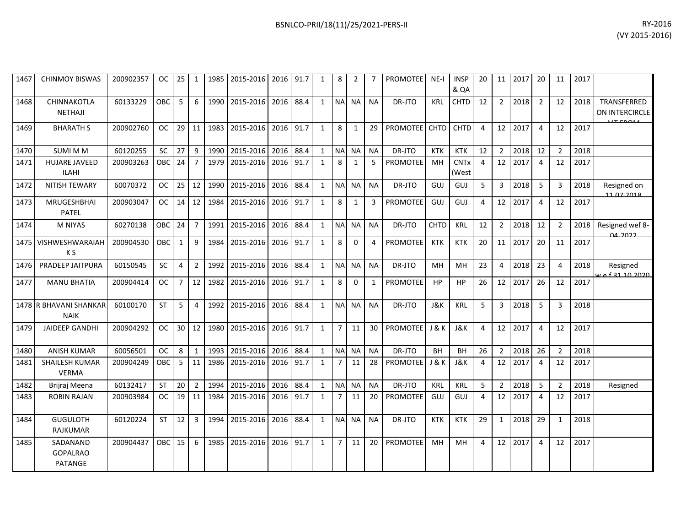1468

1471

1473

1475

1478

1481

1484

1485 SADANAND

GOPALRAO PATANGE

| 1467 | <b>CHINMOY BISWAS</b>                 | 200902357 | OC.        | 25           | 1               | 1985 | 2015-2016                | 2016      | 91.7 | $\mathbf{1}$ | 8              | 2            |              | <b>PROMOTEE</b> | $NE-I$      | <b>INSP</b><br>& QA             | 20             | 11              | 2017 | 20             | 11             | 2017 |                               |
|------|---------------------------------------|-----------|------------|--------------|-----------------|------|--------------------------|-----------|------|--------------|----------------|--------------|--------------|-----------------|-------------|---------------------------------|----------------|-----------------|------|----------------|----------------|------|-------------------------------|
| 1468 | CHINNAKOTLA<br><b>NETHAJI</b>         | 60133229  | <b>OBC</b> | 5            | 6               | 1990 | 2015-2016                | 2016      | 88.4 | $\mathbf{1}$ | <b>NA</b>      | <b>NA</b>    | <b>NA</b>    | DR-JTO          | <b>KRL</b>  | <b>CHTD</b>                     | 12             | $\overline{2}$  | 2018 | $\overline{2}$ | 12             | 2018 | TRANSFERRED<br>ON INTERCIRCLE |
| 1469 | <b>BHARATH S</b>                      | 200902760 | OC.        |              | $29$ 11         | 1983 | 2015-2016                | 2016 91.7 |      | $\mathbf{1}$ | 8              | 1            | 29           | PROMOTEE CHTD   |             | <b>CHTD</b>                     | $\overline{4}$ | 12              | 2017 | $\overline{4}$ | 12             | 2017 |                               |
| 1470 | <b>SUMI M M</b>                       | 60120255  | SC         | 27           | 9               | 1990 | 2015-2016                | 2016 88.4 |      | $\mathbf{1}$ | <b>NA</b>      | <b>NA</b>    | <b>NA</b>    | DR-JTO          | <b>KTK</b>  | <b>KTK</b>                      | 12             | $\overline{2}$  | 2018 | 12             | $\overline{2}$ | 2018 |                               |
| 1471 | <b>HUJARE JAVEED</b><br><b>ILAHI</b>  | 200903263 | $OBC$ 24   |              | $\overline{7}$  | 1979 | 2015-2016                | 2016 91.7 |      | $\mathbf{1}$ | 8              | $\mathbf{1}$ | 5            | <b>PROMOTEE</b> | <b>MH</b>   | <b>CNT<sub>x</sub></b><br>(West | $\overline{4}$ | 12 <sup>1</sup> | 2017 | $\overline{4}$ | 12             | 2017 |                               |
| 1472 | <b>NITISH TEWARY</b>                  | 60070372  | OC         | 25           | 12              | 1990 | 2015-2016                | 2016 88.4 |      | $\mathbf{1}$ | <b>NA</b>      | <b>NA</b>    | <b>NA</b>    | DR-JTO          | GUJ         | GUJ                             | 5              | $\mathbf{3}$    | 2018 | - 5            | 3              | 2018 | Resigned on<br>11.07.2018     |
| 1473 | MRUGESHBHAI<br><b>PATEL</b>           | 200903047 | OC.        |              | $14 \mid 12$    | 1984 | 2015-2016                | 2016 91.7 |      | $\mathbf{1}$ | 8              | $\mathbf{1}$ | 3            | PROMOTEE        | GUJ         | GUJ                             | 4              | 12              | 2017 | $\overline{4}$ | 12             | 2017 |                               |
| 1474 | <b>M NIYAS</b>                        | 60270138  | <b>OBC</b> | $24 \mid 7$  |                 | 1991 | 2015-2016                | 2016      | 88.4 | $\mathbf{1}$ | <b>NA</b>      | <b>NA</b>    | <b>NA</b>    | DR-JTO          | <b>CHTD</b> | <b>KRL</b>                      | 12             | $\overline{2}$  | 2018 | 12             | $\overline{2}$ | 2018 | Resigned wef 8-<br>വചാറാ      |
|      | 1475   VISHWESHWARAIAH<br>K S         | 200904530 | <b>OBC</b> | $\mathbf{1}$ | 9               | 1984 | 2015-2016                | 2016 91.7 |      | $\mathbf{1}$ | 8              | $\Omega$     | 4            | <b>PROMOTEE</b> | <b>KTK</b>  | <b>KTK</b>                      | 20             | 11              | 2017 | 20             | 11             | 2017 |                               |
| 1476 | <b>PRADEEP JAITPURA</b>               | 60150545  | <b>SC</b>  | 4            | $\overline{2}$  | 1992 | $\overline{2015} - 2016$ | 2016 88.4 |      | 1            | <b>NA</b>      | <b>NA</b>    | <b>NA</b>    | DR-JTO          | MH          | MH                              | 23             | $\overline{4}$  | 2018 | 23             | $\overline{a}$ | 2018 | Resigned                      |
| 1477 | <b>MANU BHATIA</b>                    | 200904414 | <b>OC</b>  | 7            | 12              | 1982 | 2015-2016                | 2016 91.7 |      | $\mathbf{1}$ | 8              | 0            | $\mathbf{1}$ | <b>PROMOTEE</b> | HP          | HP                              | 26             | 12              | 2017 | 26             | 12             | 2017 |                               |
|      | 1478 R BHAVANI SHANKAR<br><b>NAIK</b> | 60100170  | <b>ST</b>  | 5            | 4               | 1992 | 2015-2016                | 2016 88.4 |      | $\mathbf{1}$ | <b>NA</b>      | <b>NA</b>    | <b>NA</b>    | DR-JTO          | J&K         | <b>KRL</b>                      | 5              | 3 <sup>1</sup>  | 2018 | -5             | 3              | 2018 |                               |
| 1479 | <b>JAIDEEP GANDHI</b>                 | 200904292 | <b>OC</b>  |              | $30 \mid 12$    | 1980 | 2015-2016                | 2016 91.7 |      | $\mathbf{1}$ | $\overline{7}$ | 11           | 30           | PROMOTEE J & K  |             | J&K                             | 4              | 12              | 2017 | $\overline{4}$ | 12             | 2017 |                               |
| 1480 | <b>ANISH KUMAR</b>                    | 60056501  | <b>OC</b>  | 8            | 1               | 1993 | 2015-2016                | 2016      | 88.4 | 1            | <b>NA</b>      | <b>NA</b>    | <b>NA</b>    | DR-JTO          | <b>BH</b>   | <b>BH</b>                       | 26             | $\overline{2}$  | 2018 | 26             | 2              | 2018 |                               |
| 1481 | SHAILESH KUMAR<br><b>VERMA</b>        | 200904249 | <b>OBC</b> | -5           | 11              | 1986 | 2015-2016                | 2016 91.7 |      | $\mathbf{1}$ | $\overline{7}$ | 11           | 28           | <b>PROMOTEE</b> | J&K         | J&K                             | 4              | 12              | 2017 | $\overline{4}$ | 12             | 2017 |                               |
| 1482 | Brijraj Meena                         | 60132417  | <b>ST</b>  | 20           | $\overline{2}$  | 1994 | 2015-2016                | 2016      | 88.4 | 1            | <b>NA</b>      | <b>NA</b>    | <b>NA</b>    | DR-JTO          | <b>KRL</b>  | <b>KRL</b>                      | 5              | $\overline{2}$  | 2018 | -5             | $\overline{2}$ | 2018 | Resigned                      |
| 1483 | <b>ROBIN RAJAN</b>                    | 200903984 | OC.        | 19           | $\overline{11}$ | 1984 | 2015-2016                | 2016 91.7 |      | $\mathbf{1}$ | $\overline{7}$ | 11           | 20           | <b>PROMOTEE</b> | GUJ         | GUJ                             | 4              | 12              | 2017 | $\overline{4}$ | 12             | 2017 |                               |
| 1484 | <b>GUGULOTH</b><br>RAJKUMAR           | 60120224  | <b>ST</b>  | 12           | 3               | 1994 | 2015-2016                | 2016      | 88.4 | $\mathbf{1}$ | <b>NA</b>      | <b>NA</b>    | <b>NA</b>    | DR-JTO          | <b>KTK</b>  | <b>KTK</b>                      | 29             | 1               | 2018 | 29             | $\mathbf{1}$   | 2018 |                               |

200904437 OBC 15 6 1985 2015-2016 2016 91.7 1 7 11 20 PROMOTEE MH MH 4 12 2017 4 12 2017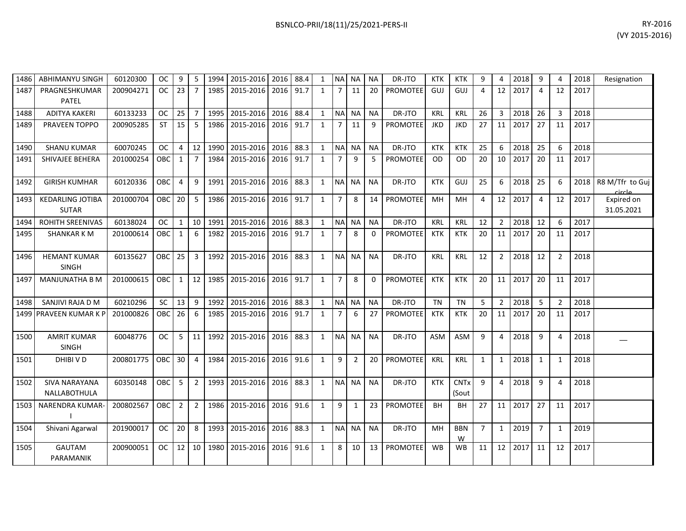| BSNLCO-PRII/18(11)/25/2021-PERS-II | RY-2016 |
|------------------------------------|---------|
|                                    |         |

| 1486 | <b>ABHIMANYU SINGH</b>                  | 60120300  | <b>OC</b>  | 9               | 5               | 1994 | 2015-2016 2016 88.4 |           |      | 1            |                | NA NA     | NA        | DR-JTO          | <b>KTK</b> | <b>KTK</b>                      | 9              | 4              | 2018 | 9              | $\overline{4}$ | 2018 | Resignation               |
|------|-----------------------------------------|-----------|------------|-----------------|-----------------|------|---------------------|-----------|------|--------------|----------------|-----------|-----------|-----------------|------------|---------------------------------|----------------|----------------|------|----------------|----------------|------|---------------------------|
| 1487 | PRAGNESHKUMAR<br><b>PATEL</b>           | 200904271 | <b>OC</b>  | 23              | 7               | 1985 | 2015-2016           | 2016      | 91.7 | 1            |                | 11        | 20        | <b>PROMOTEE</b> | GUJ        | GUJ                             | $\overline{4}$ | 12             | 2017 | 4              | 12             | 2017 |                           |
| 1488 | <b>ADITYA KAKERI</b>                    | 60133233  | OC.        | 25              | 7               | 1995 | 2015-2016           | 2016      | 88.4 | 1            | <b>NA</b>      | <b>NA</b> | <b>NA</b> | DR-JTO          | <b>KRL</b> | <b>KRL</b>                      | 26             | $\overline{3}$ | 2018 | 26             | 3              | 2018 |                           |
| 1489 | PRAVEEN TOPPO                           | 200905285 | <b>ST</b>  | 15              | 5               | 1986 | 2015-2016           | 2016      | 91.7 | $\mathbf{1}$ | $\overline{7}$ | 11        | 9         | PROMOTEE        | <b>JKD</b> | <b>JKD</b>                      | 27             | 11             | 2017 | 27             | 11             | 2017 |                           |
| 1490 | <b>SHANU KUMAR</b>                      | 60070245  | OC         | 4               | 12 <sup>1</sup> | 1990 | 2015-2016           | 2016      | 88.3 | 1            | <b>NA</b>      | <b>NA</b> | <b>NA</b> | DR-JTO          | <b>KTK</b> | <b>KTK</b>                      | 25             | 6              | 2018 | 25             | 6              | 2018 |                           |
| 1491 | SHIVAJEE BEHERA                         | 201000254 | OBC        | $\mathbf{1}$    | $\overline{7}$  | 1984 | 2015-2016           | 2016 91.7 |      | 1            | $\overline{7}$ | 9         | .5        | <b>PROMOTEE</b> | OD.        | OD.                             | 20             | 10             | 2017 | 20             | 11             | 2017 |                           |
| 1492 | <b>GIRISH KUMHAR</b>                    | 60120336  | OBC        | $\overline{4}$  | 9               | 1991 | 2015-2016           | 2016      | 88.3 | 1            | NA NA          |           | <b>NA</b> | DR-JTO          | <b>KTK</b> | GUJ                             | 25             | 6              | 2018 | 25             | 6              | 2018 | R8 M/Tfr to Guj<br>circle |
| 1493 | <b>KEDARLING JOTIBA</b><br><b>SUTAR</b> | 201000704 | <b>OBC</b> | 20 <sup>1</sup> | 5               | 1986 | 2015-2016           | 2016 91.7 |      | 1            | $\overline{7}$ | 8         | 14        | <b>PROMOTEE</b> | MН         | <b>MH</b>                       | $\overline{4}$ | 12             | 2017 | $\overline{4}$ | 12             | 2017 | Expired on<br>31.05.2021  |
| 1494 | <b>ROHITH SREENIVAS</b>                 | 60138024  | <b>OC</b>  | $\mathbf{1}$    | 10 <sup>1</sup> | 1991 | 2015-2016           | 2016 88.3 |      | 1            | <b>NA</b>      | <b>NA</b> | <b>NA</b> | DR-JTO          | <b>KRL</b> | <b>KRL</b>                      | 12             | $\overline{2}$ | 2018 | 12             | 6              | 2017 |                           |
| 1495 | <b>SHANKAR KM</b>                       | 201000614 | OBC        | $\mathbf{1}$    | 6               | 1982 | 2015-2016           | 2016      | 91.7 | 1            | $\overline{7}$ | 8         | $\Omega$  | <b>PROMOTEE</b> | <b>KTK</b> | <b>KTK</b>                      | 20             | 11             | 2017 | 20             | 11             | 2017 |                           |
| 1496 | <b>HEMANT KUMAR</b><br><b>SINGH</b>     | 60135627  | <b>OBC</b> | 25              | 3               | 1992 | 2015-2016           | 2016      | 88.3 | 1            | <b>NA</b>      | <b>NA</b> | <b>NA</b> | DR-JTO          | <b>KRL</b> | <b>KRL</b>                      | 12             | $\overline{2}$ | 2018 | 12             | $\overline{2}$ | 2018 |                           |
| 1497 | <b>MANJUNATHA B M</b>                   | 201000615 | OBC        | $1\phantom{0}$  | 12 <sub>1</sub> | 1985 | 2015-2016           | 2016 91.7 |      | 1            | 7              | -8        | 0         | <b>PROMOTEE</b> | <b>KTK</b> | <b>KTK</b>                      | 20             | 11             | 2017 | 20             | 11             | 2017 |                           |
| 1498 | SANJIVI RAJA D M                        | 60210296  | <b>SC</b>  | 13              | 9               | 1992 | 2015-2016           | 2016 88.3 |      | 1            | <b>NA</b>      | <b>NA</b> | <b>NA</b> | DR-JTO          | <b>TN</b>  | TN                              | 5              | 2              | 2018 | 5              | $\overline{2}$ | 2018 |                           |
|      | 1499 PRAVEEN KUMAR K F                  | 201000826 | OBC        | 26              | 6               | 1985 | 2015-2016           | 2016      | 91.7 | $\mathbf{1}$ | $\overline{7}$ | 6         | 27        | PROMOTEE        | <b>KTK</b> | <b>KTK</b>                      | 20             | 11             | 2017 | 20             | 11             | 2017 |                           |
| 1500 | <b>AMRIT KUMAR</b><br><b>SINGH</b>      | 60048776  | <b>OC</b>  | 5 <sup>5</sup>  | 11              | 1992 | 2015-2016           | 2016 88.3 |      | 1            | <b>NA</b>      | <b>NA</b> | <b>NA</b> | DR-JTO          | <b>ASM</b> | ASM                             | 9              | $\overline{4}$ | 2018 | 9              | $\overline{a}$ | 2018 |                           |
| 1501 | DHIBI V D                               | 200801775 | <b>OBC</b> | 30 <sup>1</sup> | $\overline{4}$  | 1984 | 2015-2016           | 2016 91.6 |      | 1            | 9              | 2         | 20        | <b>PROMOTEE</b> | <b>KRL</b> | <b>KRL</b>                      | $\mathbf{1}$   | 1              | 2018 | $\mathbf{1}$   | $\mathbf{1}$   | 2018 |                           |
| 1502 | <b>SIVA NARAYANA</b><br>NALLABOTHULA    | 60350148  | <b>OBC</b> | 5               | 2               | 1993 | 2015-2016           | 2016 88.3 |      | 1            |                | NA NA     | <b>NA</b> | DR-JTO          | <b>KTK</b> | <b>CNT<sub>x</sub></b><br>(Sout | 9              | $\overline{4}$ | 2018 | 9              | $\overline{4}$ | 2018 |                           |
| 1503 | <b>NARENDRA KUMAR-</b>                  | 200802567 | <b>OBC</b> | $2^{\circ}$     | 2               | 1986 | 2015-2016           | 2016 91.6 |      | 1            | 9              | 1         | 23        | <b>PROMOTEE</b> | <b>BH</b>  | BH                              | 27             | 11             | 2017 | 27             | 11             | 2017 |                           |
| 1504 | Shivani Agarwal                         | 201900017 | <b>OC</b>  | 20              | 8               | 1993 | 2015-2016           | 2016      | 88.3 | 1            | <b>NA</b>      | NA I      | <b>NA</b> | DR-JTO          | MН         | <b>BBN</b><br>W                 | $\overline{7}$ | 1              | 2019 | $\overline{7}$ | $\mathbf{1}$   | 2019 |                           |
| 1505 | GAUTAM<br>PARAMANIK                     | 200900051 | OC.        | 12              | 10 <sup>1</sup> | 1980 | 2015-2016           | 2016 91.6 |      | 1            | 8              | 10        | 13        | PROMOTEE        | <b>WB</b>  | WB                              | 11             | 12             | 2017 | 11             | 12             | 2017 |                           |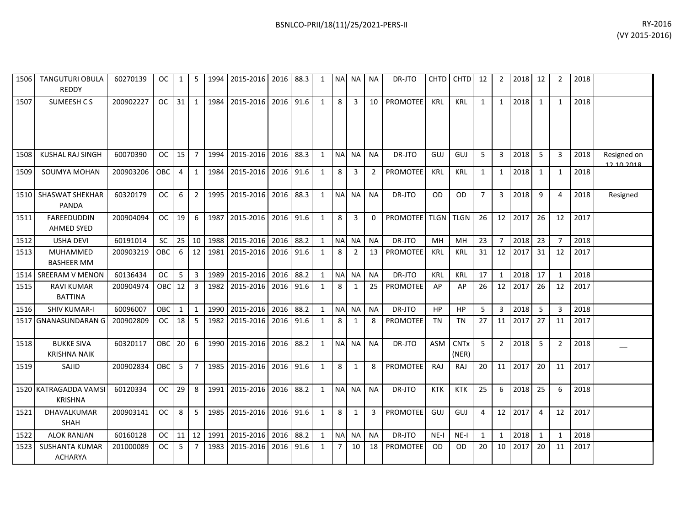| 1506 | <b>TANGUTURI OBULA</b><br><b>REDDY</b>   | 60270139  | <b>OC</b>     | 1            | 5              | 1994   | 2015-2016 2016      |      | 88.3 | 1            | <b>NA</b>      | NA.          | <b>NA</b>      | DR-JTO          | CHTD <sup>1</sup> | <b>CHTD</b>                     | 12           | 2              | 2018 | 12             | 2              | 2018 |                           |
|------|------------------------------------------|-----------|---------------|--------------|----------------|--------|---------------------|------|------|--------------|----------------|--------------|----------------|-----------------|-------------------|---------------------------------|--------------|----------------|------|----------------|----------------|------|---------------------------|
| 1507 | SUMEESH CS                               | 200902227 | <sub>OC</sub> | 31           | 1              |        | 1984 2015-2016      | 2016 | 91.6 | $\mathbf{1}$ | 8              | 3            | 10             | PROMOTEE        | <b>KRL</b>        | <b>KRL</b>                      | $\mathbf{1}$ | $\mathbf{1}$   | 2018 | 1              | 1              | 2018 |                           |
| 1508 | KUSHAL RAJ SINGH                         | 60070390  | OC.           | 15           | $\overline{7}$ |        | 1994 2015-2016      | 2016 | 88.3 | 1            | <b>NAI</b>     | NA.          | <b>NA</b>      | DR-JTO          | GUJ               | GUJ                             | 5            | $\mathbf{3}$   | 2018 | 5              | 3              | 2018 | Resigned on<br>12 10 2018 |
| 1509 | SOUMYA MOHAN                             | 200903206 | <b>OBC</b>    | 4            | 1              | 1984   | 2015-2016           | 2016 | 91.6 | $\mathbf{1}$ | 8              | 3            | $\overline{2}$ | <b>PROMOTEE</b> | <b>KRL</b>        | <b>KRL</b>                      | 1            | $\mathbf{1}$   | 2018 | 1              | $\mathbf{1}$   | 2018 |                           |
| 1510 | <b>SHASWAT SHEKHAR</b><br><b>PANDA</b>   | 60320179  | <b>OC</b>     | 6            | $\overline{2}$ |        | 1995 2015-2016      | 2016 | 88.3 | $\mathbf{1}$ | N <sub>A</sub> | <b>NA</b>    | <b>NA</b>      | DR-JTO          | OD                | <b>OD</b>                       | $7^{\circ}$  | $\mathbf{3}$   | 2018 | 9              | 4              | 2018 | Resigned                  |
| 1511 | <b>FAREEDUDDIN</b><br><b>AHMED SYED</b>  | 200904094 | <b>OC</b>     | 19           | 6              |        | 1987 2015-2016      | 2016 | 91.6 | $\mathbf{1}$ | 8              | 3            | $\Omega$       | <b>PROMOTEE</b> | <b>TLGN</b>       | <b>TLGN</b>                     | 26           | 12             | 2017 | 26             | 12             | 2017 |                           |
| 1512 | <b>USHA DEVI</b>                         | 60191014  | <b>SC</b>     | 25           | 10             |        | 1988 2015-2016 2016 |      | 88.2 | $\mathbf{1}$ | <b>NA</b>      | <b>NA</b>    | <b>NA</b>      | DR-JTO          | MH                | MН                              | 23           | $\overline{7}$ | 2018 | 23             | 7              | 2018 |                           |
| 1513 | <b>MUHAMMED</b><br><b>BASHEER MM</b>     | 200903219 | OBC           | 6            | 12             | 1981   | 2015-2016           | 2016 | 91.6 | $\mathbf{1}$ | 8              | 2            | 13             | <b>PROMOTEE</b> | <b>KRL</b>        | <b>KRL</b>                      | 31           | 12             | 2017 | 31             | 12             | 2017 |                           |
|      | 1514 SREERAM V MENON                     | 60136434  | <b>OC</b>     | 5            | $\overline{3}$ | 1989   | 2015-2016           | 2016 | 88.2 | $\mathbf{1}$ | <b>NA</b>      | <b>NA</b>    | <b>NA</b>      | DR-JTO          | <b>KRL</b>        | <b>KRL</b>                      | 17           | $\mathbf{1}$   | 2018 | 17             | $\mathbf{1}$   | 2018 |                           |
| 1515 | <b>RAVI KUMAR</b><br><b>BATTINA</b>      | 200904974 | OBC           | 12           | 3              | 1982   | 2015-2016           | 2016 | 91.6 | $\mathbf{1}$ | 8              | 1            | 25             | PROMOTEE        | AP                | AP                              | 26           | 12             | 2017 | -26            | 12             | 2017 |                           |
| 1516 | <b>SHIV KUMAR-I</b>                      | 60096007  | <b>OBC</b>    | $\mathbf{1}$ | $\mathbf{1}$   | 1990   | 2015-2016           | 2016 | 88.2 | $\mathbf{1}$ | <b>NA</b>      | <b>NA</b>    | <b>NA</b>      | DR-JTO          | HP                | <b>HP</b>                       | 5            | 3              | 2018 | 5              | 3              | 2018 |                           |
| 1517 | <b>GNANASUNDARAN G</b>                   | 200902809 | <b>OC</b>     | 18           | 5              | 1982   | 2015-2016           | 2016 | 91.6 | $\mathbf{1}$ | 8              | 1            | 8              | PROMOTEE        | TN                | TN                              | 27           | 11             | 2017 | 27             | 11             | 2017 |                           |
| 1518 | <b>BUKKE SIVA</b><br><b>KRISHNA NAIK</b> | 60320117  | OBC           | 20           | 6              | 1990 l | 2015-2016           | 2016 | 88.2 | $\mathbf{1}$ | <b>NA</b>      | NA           | <b>NA</b>      | DR-JTO          | <b>ASM</b>        | <b>CNT<sub>x</sub></b><br>(NER) | 5            | $\overline{2}$ | 2018 | 5              | $\overline{2}$ | 2018 |                           |
| 1519 | SAJID                                    | 200902834 | OBC           | 5            | $\overline{7}$ |        | 1985 2015-2016      | 2016 | 91.6 | $\mathbf{1}$ | 8              | 1            | 8              | PROMOTEE        | <b>RAJ</b>        | RAJ                             | 20           | 11             | 2017 | 20             | 11             | 2017 |                           |
|      | 1520 KATRAGADDA VAMSI<br><b>KRISHNA</b>  | 60120334  | <b>OC</b>     | 29           | 8              |        | 1991 2015-2016      | 2016 | 88.2 | $\mathbf{1}$ | <b>NA</b>      | <b>NA</b>    | <b>NA</b>      | DR-JTO          | <b>KTK</b>        | <b>KTK</b>                      | 25           | 6              | 2018 | 25             | 6              | 2018 |                           |
| 1521 | DHAVALKUMAR<br>SHAH                      | 200903141 | <b>OC</b>     | 8            | 5              | 1985   | 2015-2016           | 2016 | 91.6 | $\mathbf{1}$ | 8              | $\mathbf{1}$ | 3              | PROMOTEE        | GUJ               | GUJ                             | 4            | 12             | 2017 | $\overline{4}$ | 12             | 2017 |                           |
| 1522 | <b>ALOK RANJAN</b>                       | 60160128  | <b>OC</b>     | 11           | 12             | 1991   | 2015-2016           | 2016 | 88.2 | $\mathbf{1}$ | <b>NA</b>      | <b>NA</b>    | <b>NA</b>      | DR-JTO          | $NE-I$            | $NE-I$                          | $\mathbf{1}$ | $\mathbf{1}$   | 2018 | 1              | $\mathbf{1}$   | 2018 |                           |
| 1523 | <b>SUSHANTA KUMAR</b><br><b>ACHARYA</b>  | 201000089 | ОC            | 5            | 7              | 1983   | 2015-2016           | 2016 | 91.6 | 1            | 7              | 10           | 18             | PROMOTEE        | <b>OD</b>         | OD                              | 20           | 10             | 2017 | 20             | 11             | 2017 |                           |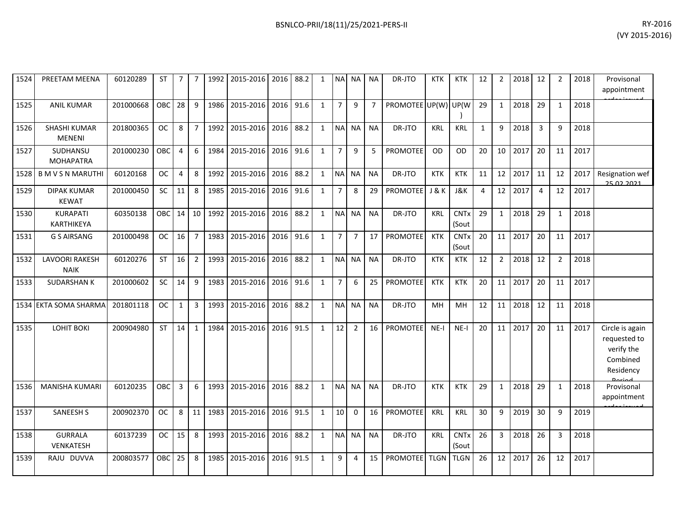| 1524 | PREETAM MEENA                        | 60120289  | ST         | 7  | 7              |      | 1992   2015-2016   2016   88.2 |      |      | 1            |                | NA NA NA       |                | DR-JTO              | KTK         | <b>KTK</b>                      | 12           | 2              | 2018 | 12             | 2              | 2018 | Provisonal<br>appointment                                              |
|------|--------------------------------------|-----------|------------|----|----------------|------|--------------------------------|------|------|--------------|----------------|----------------|----------------|---------------------|-------------|---------------------------------|--------------|----------------|------|----------------|----------------|------|------------------------------------------------------------------------|
| 1525 | <b>ANIL KUMAR</b>                    | 201000668 | OBC        | 28 | 9              | 1986 | 2015-2016                      | 2016 | 91.6 | $\mathbf{1}$ | $\overline{7}$ | 9              | $\overline{7}$ | PROMOTEE UP(W) UP(W |             |                                 | 29           | $\mathbf{1}$   | 2018 | 29             | $\mathbf{1}$   | 2018 |                                                                        |
| 1526 | <b>SHASHI KUMAR</b><br><b>MENENI</b> | 201800365 | <b>OC</b>  | 8  | $\overline{7}$ | 1992 | 2015-2016                      | 2016 | 88.2 | $\mathbf{1}$ | N <sub>A</sub> | <b>NA</b>      | <b>NA</b>      | DR-JTO              | <b>KRL</b>  | KRL                             | $\mathbf{1}$ | 9              | 2018 | 3              | 9              | 2018 |                                                                        |
| 1527 | <b>SUDHANSU</b><br><b>MOHAPATRA</b>  | 201000230 | <b>OBC</b> | 4  | 6              | 1984 | 2015-2016 2016                 |      | 91.6 | $\mathbf{1}$ | $\overline{7}$ | 9              | 5              | <b>PROMOTEE</b>     | <b>OD</b>   | <b>OD</b>                       | 20           | 10             | 2017 | 20             | 11             | 2017 |                                                                        |
| 1528 | <b>BMVSNMARUTHI</b>                  | 60120168  | <b>OC</b>  | 4  | 8              | 1992 | 2015-2016                      | 2016 | 88.2 | $\mathbf{1}$ | <b>NA</b>      | <b>NA</b>      | <b>NA</b>      | DR-JTO              | <b>KTK</b>  | <b>KTK</b>                      | 11           | 12             | 2017 | 11             | 12             | 2017 | Resignation wef<br>25.02.2021                                          |
| 1529 | <b>DIPAK KUMAR</b><br><b>KEWAT</b>   | 201000450 | <b>SC</b>  | 11 | 8              | 1985 | 2015-2016                      | 2016 | 91.6 | $\mathbf{1}$ | $\overline{7}$ | 8              | 29             | <b>PROMOTEE</b>     | J&K         | J&K                             | 4            | 12             | 2017 | $\overline{4}$ | 12             | 2017 |                                                                        |
| 1530 | KURAPATI<br>KARTHIKEYA               | 60350138  | <b>OBC</b> | 14 | 10             | 1992 | 2015-2016                      | 2016 | 88.2 | $\mathbf{1}$ | <b>NA</b>      | <b>NA</b>      | <b>NA</b>      | DR-JTO              | <b>KRL</b>  | <b>CNTx</b><br>(Sout            | 29           | $\mathbf{1}$   | 2018 | 29             | $\mathbf{1}$   | 2018 |                                                                        |
| 1531 | <b>G S AIRSANG</b>                   | 201000498 | <b>OC</b>  | 16 | $\overline{7}$ | 1983 | 2015-2016                      | 2016 | 91.6 | $\mathbf{1}$ | $\overline{7}$ | $\overline{7}$ | 17             | <b>PROMOTEE</b>     | <b>KTK</b>  | <b>CNT<sub>x</sub></b><br>(Sout | 20           | 11             | 2017 | 20             | 11             | 2017 |                                                                        |
| 1532 | <b>LAVOORI RAKESH</b><br><b>NAIK</b> | 60120276  | <b>ST</b>  | 16 | $\overline{2}$ | 1993 | 2015-2016                      | 2016 | 88.2 | $\mathbf{1}$ | <b>NA</b>      | <b>NA</b>      | <b>NA</b>      | DR-JTO              | <b>KTK</b>  | <b>KTK</b>                      | 12           | $\overline{2}$ | 2018 | 12             | $\overline{2}$ | 2018 |                                                                        |
| 1533 | <b>SUDARSHAN K</b>                   | 201000602 | SC         | 14 | 9              | 1983 | 2015-2016                      | 2016 | 91.6 | $\mathbf{1}$ | $\overline{7}$ | 6              | 25             | <b>PROMOTEE</b>     | <b>KTK</b>  | <b>KTK</b>                      | 20           | 11             | 2017 | 20             | 11             | 2017 |                                                                        |
|      | 1534 EKTA SOMA SHARMA                | 201801118 | <b>OC</b>  | 1  | 3              | 1993 | 2015-2016                      | 2016 | 88.2 | $\mathbf{1}$ | <b>NA</b>      | NA.            | <b>NA</b>      | DR-JTO              | <b>MH</b>   | <b>MH</b>                       | 12           | 11             | 2018 | 12             | 11             | 2018 |                                                                        |
| 1535 | LOHIT BOKI                           | 200904980 | ST         | 14 | $\mathbf{1}$   | 1984 | 2015-2016                      | 2016 | 91.5 | $\mathbf{1}$ | 12             | $\overline{2}$ | 16             | <b>PROMOTEE</b>     | $NE-I$      | $NE-I$                          | 20           | 11             | 2017 | 20             | 11             | 2017 | Circle is again<br>requested to<br>verify the<br>Combined<br>Residency |
| 1536 | <b>MANISHA KUMARI</b>                | 60120235  | OBC        | 3  | 6              | 1993 | 2015-2016                      | 2016 | 88.2 | $\mathbf{1}$ | <b>NA</b>      | <b>NA</b>      | <b>NA</b>      | DR-JTO              | <b>KTK</b>  | <b>KTK</b>                      | 29           | $\mathbf{1}$   | 2018 | 29             | $\mathbf{1}$   | 2018 | Provisonal<br>appointment                                              |
| 1537 | <b>SANEESH S</b>                     | 200902370 | <b>OC</b>  | 8  | 11             | 1983 | 2015-2016                      | 2016 | 91.5 | $\mathbf{1}$ | 10             | $\Omega$       | 16             | PROMOTEE            | KRL         | <b>KRL</b>                      | 30           | 9              | 2019 | 30             | 9              | 2019 |                                                                        |
| 1538 | <b>GURRALA</b><br>VENKATESH          | 60137239  | <b>OC</b>  | 15 | 8              | 1993 | 2015-2016                      | 2016 | 88.2 | $\mathbf{1}$ | <b>NA</b>      | <b>NA</b>      | <b>NA</b>      | DR-JTO              | <b>KRL</b>  | <b>CNTx</b><br>(Sout            | 26           | $\mathbf{3}$   | 2018 | 26             | 3              | 2018 |                                                                        |
| 1539 | RAJU DUVVA                           | 200803577 | OBC        | 25 | 8              | 1985 | 2015-2016                      | 2016 | 91.5 | $\mathbf{1}$ | 9              | 4              | 15             | <b>PROMOTEE</b>     | <b>TLGN</b> | <b>TLGN</b>                     | 26           | 12             | 2017 | 26             | 12             | 2017 |                                                                        |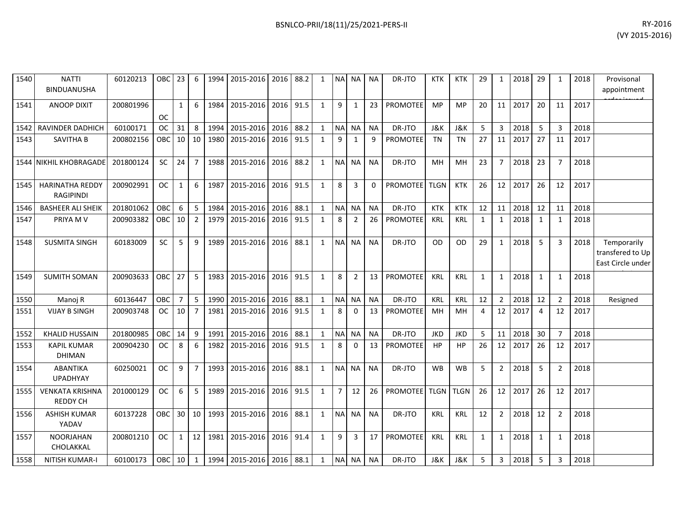| 1540 | <b>NATTI</b><br><b>BINDUANUSHA</b>         | 60120213  | OBC 23 6   |                 |                 |      | 1994   2015-2016   2016   88.2 |           |      | 1            |                |                | NA NA NA  | DR-JTO          | <b>KTK</b> | <b>KTK</b>     | 29           | 1               | $\mid$ 2018 | 29             | 1              | 2018 | Provisonal<br>appointment                            |
|------|--------------------------------------------|-----------|------------|-----------------|-----------------|------|--------------------------------|-----------|------|--------------|----------------|----------------|-----------|-----------------|------------|----------------|--------------|-----------------|-------------|----------------|----------------|------|------------------------------------------------------|
| 1541 | <b>ANOOP DIXIT</b>                         | 200801996 | <b>OC</b>  | $\mathbf{1}$    | 6               | 1984 | 2015-2016                      | 2016 91.5 |      | $\mathbf{1}$ | 9              | 1              | 23        | <b>PROMOTEE</b> | <b>MP</b>  | MP             | 20           | 11 <sup>1</sup> | 2017        | 20             | 11             | 2017 |                                                      |
|      | 1542 RAVINDER DADHICH                      | 60100171  | OC.        | 31              | 8               | 1994 | 2015-2016 2016                 |           | 88.2 | 1            |                | NA NA          | <b>NA</b> | DR-JTO          | J&K        | J&K            | 5            | 3               | 2018        | - 5            | 3              | 2018 |                                                      |
| 1543 | <b>SAVITHA B</b>                           | 200802156 | OBC        | 10 <sup>1</sup> | 10 I            | 1980 | 2015-2016                      | 2016 91.5 |      | 1            | 9              | 1              | 9         | <b>PROMOTEE</b> | TN         | <b>TN</b>      | 27           | 11              | 2017        | 27             | 11             | 2017 |                                                      |
|      | 1544 NIKHIL KHOBRAGADE                     | 201800124 | <b>SC</b>  | 24              | $\overline{7}$  | 1988 | 2015-2016                      | 2016      | 88.2 | $\mathbf{1}$ | <b>NAI</b>     | NA I           | <b>NA</b> | DR-JTO          | MH         | MH             | 23           | $\overline{7}$  | 2018        | 23             | $\overline{7}$ | 2018 |                                                      |
| 1545 | <b>HARINATHA REDDY</b><br><b>RAGIPINDI</b> | 200902991 | <b>OC</b>  | $\mathbf{1}$    | 6               | 1987 | 2015-2016                      | 2016 91.5 |      | $\mathbf{1}$ | 8              | 3              | $\Omega$  | PROMOTEE TLGN   |            | <b>KTK</b>     | 26           | 12 <sup>1</sup> | 2017        | 26             | 12             | 2017 |                                                      |
| 1546 | <b>BASHEER ALI SHEIK</b>                   | 201801062 | OBC        | 6               | 5               | 1984 | 2015-2016                      | 2016      | 88.1 | $\mathbf{1}$ | <b>NA</b>      | <b>NA</b>      | <b>NA</b> | DR-JTO          | <b>KTK</b> | <b>KTK</b>     | 12           | 11              | 2018        | 12             | 11             | 2018 |                                                      |
| 1547 | PRIYA M V                                  | 200903382 | <b>OBC</b> | 10              | $\overline{2}$  | 1979 | 2015-2016                      | 2016      | 91.5 | $\mathbf{1}$ | 8              | $\overline{2}$ | 26        | PROMOTEE        | KRL        | KRL            | $\mathbf{1}$ | $\mathbf{1}$    | 2018        | 1              | 1              | 2018 |                                                      |
| 1548 | <b>SUSMITA SINGH</b>                       | 60183009  | <b>SC</b>  | 5               | 9               | 1989 | 2015-2016                      | 2016 88.1 |      | $\mathbf{1}$ |                | NA NA          | <b>NA</b> | DR-JTO          | <b>OD</b>  | O <sub>D</sub> | 29           | $\mathbf{1}$    | 2018        | 5              | 3              | 2018 | Temporarily<br>transfered to Up<br>East Circle under |
| 1549 | <b>SUMITH SOMAN</b>                        | 200903633 | <b>OBC</b> | 27              | 5               | 1983 | 2015-2016                      | 2016      | 91.5 | 1            | 8              | $\overline{2}$ | 13        | PROMOTEE        | <b>KRL</b> | <b>KRL</b>     | 1            | 1               | 2018        | 1              | -1             | 2018 |                                                      |
| 1550 | Manoj R                                    | 60136447  | OBC        | $\overline{7}$  | 5               | 1990 | 2015-2016                      | 2016      | 88.1 | 1            | <b>NAI</b>     | ΝA             | <b>NA</b> | DR-JTO          | <b>KRL</b> | KRL            | 12           | 2               | 2018        | 12             | 2              | 2018 | Resigned                                             |
| 1551 | <b>VIJAY B SINGH</b>                       | 200903748 | OC.        | 10              | 7               | 1981 | 2015-2016                      | 2016      | 91.5 | 1            | 8              | $\Omega$       | 13        | <b>PROMOTEE</b> | MН         | MН             | 4            | 12 <sup>1</sup> | 2017        | $\overline{a}$ | 12             | 2017 |                                                      |
| 1552 | <b>KHALID HUSSAIN</b>                      | 201800985 | <b>OBC</b> | 14              | 9               | 1991 | 2015-2016 2016                 |           | 88.1 | $\mathbf{1}$ |                | NA NA          | <b>NA</b> | DR-JTO          | <b>JKD</b> | <b>JKD</b>     | 5            |                 | 11 2018     | 30             | $\overline{7}$ | 2018 |                                                      |
| 1553 | <b>KAPIL KUMAR</b><br><b>DHIMAN</b>        | 200904230 | OC.        | 8               | 6               | 1982 | 2015-2016                      | 2016 91.5 |      | $\mathbf{1}$ | 8              | $\mathbf 0$    | 13        | <b>PROMOTEE</b> | HP         | HP             | 26           |                 | 12 2017     | 26             | 12             | 2017 |                                                      |
| 1554 | <b>ABANTIKA</b><br><b>UPADHYAY</b>         | 60250021  | OC.        | 9               | $\overline{7}$  | 1993 | 2015-2016                      | 2016      | 88.1 | $\mathbf{1}$ |                | NA NA          | <b>NA</b> | DR-JTO          | <b>WB</b>  | <b>WB</b>      | 5            | $\overline{2}$  | 2018        | -5             | 2              | 2018 |                                                      |
| 1555 | <b>VENKATA KRISHNA</b><br><b>REDDY CH</b>  | 201000129 | <b>OC</b>  | 6               | $5^{\circ}$     | 1989 | 2015-2016                      | 2016 91.5 |      | $\mathbf{1}$ | $\overline{7}$ | 12             | 26        | PROMOTEE TLGN   |            | <b>TLGN</b>    | 26           | 12 <sup>1</sup> | 2017        | 26             | 12             | 2017 |                                                      |
| 1556 | <b>ASHISH KUMAR</b><br>YADAV               | 60137228  | OBC        | 30 <sup>1</sup> | 10 <sup>1</sup> | 1993 | 2015-2016                      | 2016      | 88.1 | 1            |                | NA NA          | <b>NA</b> | DR-JTO          | <b>KRL</b> | <b>KRL</b>     | 12           | $\overline{2}$  | 2018        | 12             | 2              | 2018 |                                                      |
| 1557 | <b>NOORJAHAN</b><br>CHOLAKKAL              | 200801210 | <b>OC</b>  | $\mathbf{1}$    | 12              | 1981 | 2015-2016                      | 2016      | 91.4 | $\mathbf{1}$ | 9              | 3              | 17        | PROMOTEE        | <b>KRL</b> | <b>KRL</b>     | 1            | $\mathbf{1}$    | 2018        | 1              | 1              | 2018 |                                                      |
| 1558 | <b>NITISH KUMAR-I</b>                      | 60100173  | OBC 10     |                 | 1               |      | 1994 2015-2016 2016 88.1       |           |      | 1            |                | NA NA          | <b>NA</b> | DR-JTO          | J&K        | J&K            | 5            | 3               | 2018        | 5              | 3              | 2018 |                                                      |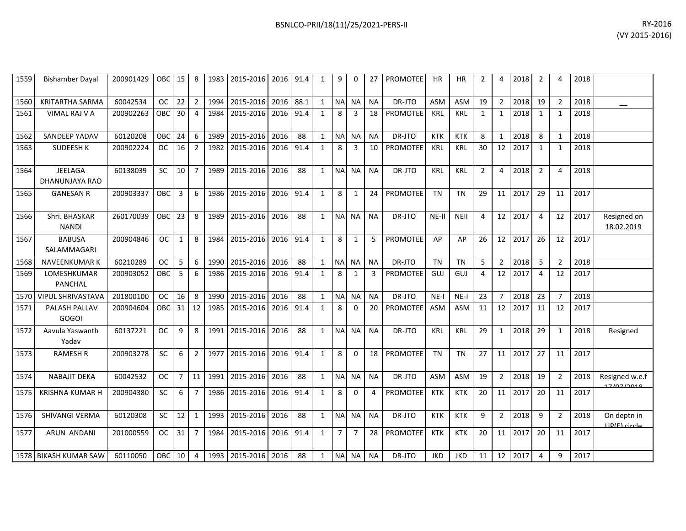| BSNLCO-PRII/18(11)/25/2021-PERS-II | RY-2016                                                                                                |
|------------------------------------|--------------------------------------------------------------------------------------------------------|
|                                    | $\mathbf{A} \times \mathbf{A} \times \mathbf{A} \times \mathbf{A} \times \mathbf{A} \times \mathbf{A}$ |

| 1559 | <b>Bishamber Dayal</b>               | 200901429 | OBC <sub>1</sub> | 15             | 8              | 1983 | 2015-2016 2016 91.4 |      |      | $\mathbf{1}$ | q              | $\Omega$       | 27        | <b>PROMOTEE</b> | <b>HR</b>  | HR.         | 2              | 4              | 2018 | $\overline{2}$ | $\Delta$       | 2018 |                              |
|------|--------------------------------------|-----------|------------------|----------------|----------------|------|---------------------|------|------|--------------|----------------|----------------|-----------|-----------------|------------|-------------|----------------|----------------|------|----------------|----------------|------|------------------------------|
| 1560 | <b>KRITARTHA SARMA</b>               | 60042534  | <b>OC</b>        | 22             | $\overline{2}$ | 1994 | 2015-2016           | 2016 | 88.1 | 1            | <b>NA</b>      | <b>NA</b>      | <b>NA</b> | DR-JTO          | <b>ASM</b> | <b>ASM</b>  | 19             | $\overline{2}$ | 2018 | 19             | $\overline{2}$ | 2018 |                              |
| 1561 | <b>VIMAL RAJ V A</b>                 | 200902263 | OBC.             | 30             | $\overline{4}$ | 1984 | 2015-2016           | 2016 | 91.4 | $\mathbf{1}$ | 8              | $\overline{3}$ | 18        | <b>PROMOTEE</b> | KRL        | <b>KRL</b>  | $\mathbf{1}$   | $\mathbf{1}$   | 2018 | $\mathbf{1}$   | $\mathbf{1}$   | 2018 |                              |
| 1562 | SANDEEP YADAV                        | 60120208  | OBC              | 24             | 6              | 1989 | 2015-2016           | 2016 | 88   | 1            | <b>NA</b>      | <b>NA</b>      | <b>NA</b> | DR-JTO          | <b>KTK</b> | KTK         | 8              | $\mathbf{1}$   | 2018 | 8              | $\mathbf{1}$   | 2018 |                              |
| 1563 | <b>SUDEESH K</b>                     | 200902224 | OC.              | 16             | $\overline{2}$ | 1982 | 2015-2016           | 2016 | 91.4 | 1            | 8              | 3              | 10        | PROMOTEE        | <b>KRL</b> | KRL         | 30             | 12             | 2017 | 1              | 1              | 2018 |                              |
| 1564 | <b>JEELAGA</b><br>DHANUNJAYA RAO     | 60138039  | <b>SC</b>        | 10             | $\overline{7}$ | 1989 | 2015-2016           | 2016 | 88   | $\mathbf{1}$ | <b>NA</b>      | <b>NA</b>      | <b>NA</b> | DR-JTO          | <b>KRL</b> | <b>KRL</b>  | $\overline{2}$ | 4              | 2018 | $\overline{2}$ | $\overline{4}$ | 2018 |                              |
| 1565 | <b>GANESAN R</b>                     | 200903337 | <b>OBC</b>       | $\overline{3}$ | 6              | 1986 | 2015-2016           | 2016 | 91.4 | $\mathbf{1}$ | 8              | $\mathbf{1}$   | 24        | <b>PROMOTEE</b> | <b>TN</b>  | <b>TN</b>   | 29             | 11             | 2017 | 29             | 11             | 2017 |                              |
| 1566 | Shri, BHASKAR<br><b>NANDI</b>        | 260170039 | OBC              | 23             | 8              | 1989 | 2015-2016           | 2016 | 88   | 1            |                | NA NA          | <b>NA</b> | DR-JTO          | NE-II      | <b>NEII</b> | $\overline{4}$ | 12             | 2017 | 4              | 12             | 2017 | Resigned on<br>18.02.2019    |
| 1567 | <b>BABUSA</b><br>SALAMMAGARI         | 200904846 | <b>OC</b>        | $\mathbf{1}$   | 8              | 1984 | 2015-2016           | 2016 | 91.4 | $\mathbf{1}$ | 8              | 1              | 5         | <b>PROMOTEE</b> | AP         | AP          | 26             | 12             | 2017 | 26             | 12             | 2017 |                              |
| 1568 | <b>NAVEENKUMAR K</b>                 | 60210289  | <b>OC</b>        | 5              | 6              | 1990 | 2015-2016           | 2016 | 88   | 1            | <b>NA</b>      | <b>NA</b>      | <b>NA</b> | DR-JTO          | <b>TN</b>  | <b>TN</b>   | 5              | $\overline{2}$ | 2018 | 5              | $\overline{2}$ | 2018 |                              |
| 1569 | LOMESHKUMAR<br><b>PANCHAL</b>        | 200903052 | OBC              | 5              | 6              | 1986 | 2015-2016           | 2016 | 91.4 | $\mathbf{1}$ | 8              | $\mathbf{1}$   | 3         | <b>PROMOTEE</b> | GUJ        | GUJ         | 4              | 12             | 2017 | $\overline{4}$ | 12             | 2017 |                              |
| 1570 | <b>VIPUL SHRIVASTAVA</b>             | 201800100 | <b>OC</b>        | 16             | 8              | 1990 | 2015-2016           | 2016 | 88   | 1            | <b>NA</b>      | <b>NA</b>      | <b>NA</b> | DR-JTO          | $NE-I$     | $NE-I$      | 23             | $\overline{7}$ | 2018 | 23             | $\overline{7}$ | 2018 |                              |
| 1571 | <b>PALASH PALLAV</b><br><b>GOGOI</b> | 200904604 | OBC              | 31             | 12             | 1985 | 2015-2016           | 2016 | 91.4 | $\mathbf{1}$ | 8              | $\Omega$       | 20        | <b>PROMOTEE</b> | ASM        | <b>ASM</b>  | 11             | 12             | 2017 | 11             | 12             | 2017 |                              |
| 1572 | Aavula Yaswanth<br>Yadav             | 60137221  | OC.              | 9              | 8              | 1991 | 2015-2016           | 2016 | 88   | $\mathbf{1}$ | <b>NA</b>      | <b>NA</b>      | <b>NA</b> | DR-JTO          | <b>KRL</b> | <b>KRL</b>  | 29             | $\mathbf{1}$   | 2018 | 29             | $\mathbf{1}$   | 2018 | Resigned                     |
| 1573 | <b>RAMESH R</b>                      | 200903278 | <b>SC</b>        | 6              | 2              | 1977 | 2015-2016           | 2016 | 91.4 | $\mathbf{1}$ | 8              | $\Omega$       | 18        | <b>PROMOTEE</b> | <b>TN</b>  | <b>TN</b>   | 27             | 11             | 2017 | 27             | 11             | 2017 |                              |
| 1574 | <b>NABAJIT DEKA</b>                  | 60042532  | <b>OC</b>        | $\overline{7}$ | 11             | 1991 | 2015-2016           | 2016 | 88   | $\mathbf{1}$ | <b>NA</b>      | <b>NA</b>      | <b>NA</b> | DR-JTO          | ASM        | <b>ASM</b>  | 19             | $\overline{2}$ | 2018 | 19             | $\overline{2}$ | 2018 | Resigned w.e.f<br>17/07/2010 |
| 1575 | <b>KRISHNA KUMAR H</b>               | 200904380 | <b>SC</b>        | 6              | $\overline{7}$ | 1986 | 2015-2016           | 2016 | 91.4 | $\mathbf{1}$ | 8              | $\Omega$       | 4         | <b>PROMOTEE</b> | <b>KTK</b> | <b>KTK</b>  | 20             | 11             | 2017 | 20             | 11             | 2017 |                              |
| 1576 | <b>SHIVANGI VERMA</b>                | 60120308  | <b>SC</b>        | 12             | $\mathbf{1}$   | 1993 | 2015-2016           | 2016 | 88   | $\mathbf{1}$ | <b>NA</b>      | <b>NA</b>      | <b>NA</b> | DR-JTO          | <b>KTK</b> | <b>KTK</b>  | 9              | $\overline{2}$ | 2018 | 9              | $\overline{2}$ | 2018 | On deptn in<br>IID(F) circle |
| 1577 | ARUN ANDANI                          | 201000559 | OC.              | 31             | $\overline{7}$ | 1984 | 2015-2016           | 2016 | 91.4 | 1            | $\overline{7}$ | $\overline{7}$ | 28        | <b>PROMOTEE</b> | <b>KTK</b> | <b>KTK</b>  | 20             | 11             | 2017 | 20             | 11             | 2017 |                              |
|      | 1578 BIKASH KUMAR SAW                | 60110050  | OBC              | 10             | 4              | 1993 | 2015-2016 2016      |      | 88   | 1            | <b>NA</b>      | <b>NA</b>      | <b>NA</b> | DR-JTO          | <b>JKD</b> | JKD         | 11             | 12             | 2017 | 4              | 9              | 2017 |                              |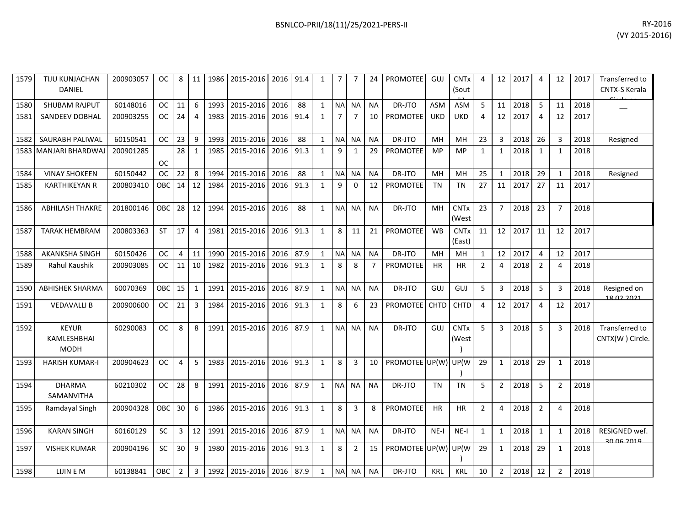| 1579 | <b>TIJU KUNJACHAN</b>                      | 200903057 | OC.        | 8              | 11             | 1986 | 2015-2016 2016           |      | 91.4 | 1            | 7              | 7              | 24             | <b>PROMOTEE</b> | <b>GUJ</b>  | <b>CNT<sub>x</sub></b> | 4              | 12              | 2017 | 4              | 12             | 2017 | Transferred to                    |
|------|--------------------------------------------|-----------|------------|----------------|----------------|------|--------------------------|------|------|--------------|----------------|----------------|----------------|-----------------|-------------|------------------------|----------------|-----------------|------|----------------|----------------|------|-----------------------------------|
|      | DANIEL                                     |           |            |                |                |      |                          |      |      |              |                |                |                |                 |             | (Sout                  |                |                 |      |                |                |      | CNTX-S Kerala                     |
| 1580 | <b>SHUBAM RAJPUT</b>                       | 60148016  | OC.        | 11             | 6              | 1993 | 2015-2016                | 2016 | 88   | $\mathbf{1}$ |                | NA NA          | <b>NA</b>      | DR-JTO          | <b>ASM</b>  | <b>ASM</b>             | 5              | 11              | 2018 | 5              | 11             | 2018 |                                   |
| 1581 | <b>SANDEEV DOBHAL</b>                      | 200903255 | <b>OC</b>  | 24             | $\overline{4}$ | 1983 | 2015-2016                | 2016 | 91.4 | $\mathbf{1}$ | $\overline{7}$ | $\overline{7}$ | 10             | PROMOTEE        | <b>UKD</b>  | <b>UKD</b>             | 4              | 12 <sup>1</sup> | 2017 | $\overline{4}$ | 12             | 2017 |                                   |
| 1582 | SAURABH PALIWAL                            | 60150541  | <b>OC</b>  | 23             | 9              | 1993 | 2015-2016                | 2016 | 88   | $\mathbf{1}$ | <b>NA</b>      | <b>NA</b>      | <b>NA</b>      | DR-JTO          | MH          | MH                     | 23             | 3               | 2018 | 26             | 3              | 2018 | Resigned                          |
|      | 1583 MANJARI BHARDWAJ                      | 200901285 | <b>OC</b>  | 28             | 1              | 1985 | 2015-2016                | 2016 | 91.3 | $\mathbf{1}$ | 9              | 1              | 29             | <b>PROMOTEE</b> | <b>MP</b>   | <b>MP</b>              | $\mathbf{1}$   | $\mathbf{1}$    | 2018 | 1              | $\mathbf{1}$   | 2018 |                                   |
| 1584 | <b>VINAY SHOKEEN</b>                       | 60150442  | <b>OC</b>  | 22             | 8              | 1994 | 2015-2016                | 2016 | 88   | $\mathbf{1}$ | N <sub>A</sub> | <b>NA</b>      | <b>NA</b>      | DR-JTO          | MH          | MH                     | 25             | 1               | 2018 | 29             | $\mathbf{1}$   | 2018 | Resigned                          |
| 1585 | <b>KARTHIKEYAN R</b>                       | 200803410 | OBC        | 14             | 12             | 1984 | 2015-2016                | 2016 | 91.3 | $\mathbf{1}$ | 9              | $\mathbf 0$    | 12             | PROMOTEE        | <b>TN</b>   | <b>TN</b>              | 27             | 11              | 2017 | 27             | 11             | 2017 |                                   |
| 1586 | <b>ABHILASH THAKRE</b>                     | 201800146 | OBC        | 28             | 12             | 1994 | 2015-2016                | 2016 | 88   | $\mathbf{1}$ | <b>NA</b>      | <b>NA</b>      | <b>NA</b>      | DR-JTO          | MH          | <b>CNTx</b><br>(West   | 23             | $\overline{7}$  | 2018 | 23             | 7              | 2018 |                                   |
| 1587 | <b>TARAK HEMBRAM</b>                       | 200803363 | <b>ST</b>  | 17             | $\overline{4}$ | 1981 | 2015-2016                | 2016 | 91.3 | $\mathbf{1}$ | 8              | 11             | 21             | PROMOTEE        | <b>WB</b>   | <b>CNTx</b><br>(East)  | 11             | 12              | 2017 | 11             | 12             | 2017 |                                   |
| 1588 | <b>AKANKSHA SINGH</b>                      | 60150426  | <b>OC</b>  | 4              | 11             | 1990 | 2015-2016                | 2016 | 87.9 | $\mathbf{1}$ | <b>NA</b>      | <b>NA</b>      | <b>NA</b>      | DR-JTO          | MH          | MH                     | $\mathbf{1}$   | 12              | 2017 | $\overline{4}$ | 12             | 2017 |                                   |
| 1589 | <b>Rahul Kaushik</b>                       | 200903085 | <b>OC</b>  | 11             | 10             | 1982 | 2015-2016                | 2016 | 91.3 | $\mathbf{1}$ | 8              | 8              | $\overline{7}$ | <b>PROMOTEE</b> | <b>HR</b>   | <b>HR</b>              | $\overline{2}$ | 4               | 2018 | $\overline{2}$ | 4              | 2018 |                                   |
| 1590 | <b>ABHISHEK SHARMA</b>                     | 60070369  | OBC        | 15             | $\mathbf{1}$   |      | 1991 2015-2016           | 2016 | 87.9 | $\mathbf{1}$ |                | NA NA          | <b>NA</b>      | DR-JTO          | GUJ         | <b>GUJ</b>             | 5              | 3               | 2018 | 5              | 3              | 2018 | Resigned on<br>18.02.2021         |
| 1591 | <b>VEDAVALLI B</b>                         | 200900600 | <b>OC</b>  | 21             | 3              | 1984 | 2015-2016                | 2016 | 91.3 | $\mathbf{1}$ | 8              | 6              | 23             | <b>PROMOTEE</b> | <b>CHTD</b> | <b>CHTD</b>            | 4              | 12              | 2017 | $\overline{4}$ | 12             | 2017 |                                   |
| 1592 | <b>KEYUR</b><br>KAMLESHBHAI<br><b>MODH</b> | 60290083  | ОC         | 8              | 8              | 1991 | 2015-2016                | 2016 | 87.9 | $\mathbf{1}$ | <b>NAI</b>     | <b>NA</b>      | <b>NA</b>      | DR-JTO          | GUJ         | <b>CNTx</b><br>(West   | 5              | 3               | 2018 | 5              | 3              | 2018 | Transferred to<br>CNTX(W) Circle. |
| 1593 | <b>HARISH KUMAR-I</b>                      | 200904623 | <b>OC</b>  | 4              | 5              | 1983 | 2015-2016                | 2016 | 91.3 | $\mathbf{1}$ | 8              | 3              | 10             | PROMOTEE UP(W)  |             | UP(W                   | 29             | 1               | 2018 | 29             | 1              | 2018 |                                   |
| 1594 | <b>DHARMA</b><br>SAMANVITHA                | 60210302  | <b>OC</b>  | 28             | 8              |      | 1991 2015-2016           | 2016 | 87.9 | $\mathbf{1}$ |                | NA NA          | <b>NA</b>      | DR-JTO          | <b>TN</b>   | <b>TN</b>              | 5              | $\overline{2}$  | 2018 | 5              | $\overline{2}$ | 2018 |                                   |
| 1595 | Ramdayal Singh                             | 200904328 | <b>OBC</b> | 30             | 6              | 1986 | 2015-2016 2016           |      | 91.3 | 1            | 8              | 3              | 8              | <b>PROMOTEE</b> | <b>HR</b>   | <b>HR</b>              | $\overline{2}$ | 4               | 2018 | $\overline{2}$ | 4              | 2018 |                                   |
| 1596 | <b>KARAN SINGH</b>                         | 60160129  | <b>SC</b>  | 3              | 12             | 1991 | 2015-2016                | 2016 | 87.9 | $\mathbf{1}$ | <b>NA</b>      | <b>NA</b>      | <b>NA</b>      | DR-JTO          | $NE-I$      | $NE-I$                 | $\mathbf{1}$   | $\mathbf{1}$    | 2018 | 1              | $\mathbf{1}$   | 2018 | RESIGNED wef.<br>30.06.2019       |
| 1597 | <b>VISHEK KUMAR</b>                        | 200904196 | SC         | 30             | 9              | 1980 | 2015-2016                | 2016 | 91.3 | $\mathbf{1}$ | 8              | $\overline{2}$ | 15             | PROMOTEE UP(W)  |             | UP(W                   | 29             | $\mathbf{1}$    | 2018 | 29             | $\mathbf{1}$   | 2018 |                                   |
| 1598 | LIJIN E M                                  | 60138841  | OBC        | $\overline{2}$ | $\overline{3}$ |      | 1992 2015-2016 2016 87.9 |      |      | $\mathbf{1}$ |                | NA NA          | <b>NA</b>      | DR-JTO          | <b>KRL</b>  | <b>KRL</b>             | 10             | $\overline{2}$  | 2018 | 12             | $\overline{2}$ | 2018 |                                   |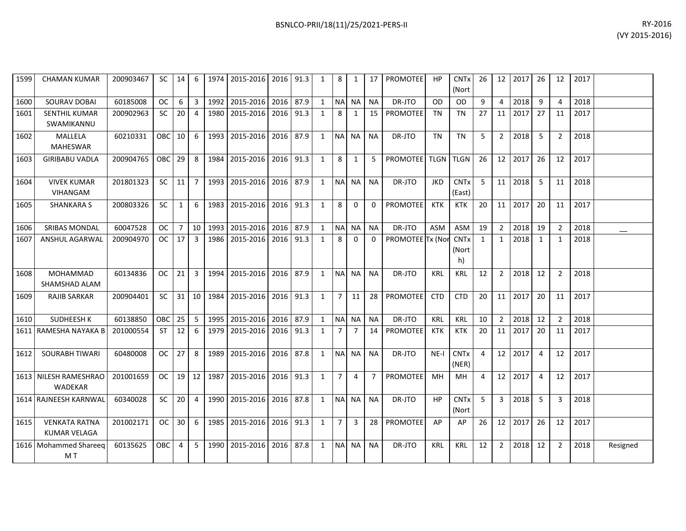| BSNLCO-PRII/18(11)/25/2021-PERS-II | RY-2016 |
|------------------------------------|---------|
|------------------------------------|---------|

| 1599 | <b>CHAMAN KUMAR</b>                         | 200903467 | SC I             | $14$ 6         |                |            | 1974   2015-2016   2016   91.3 |           | 1            | 8              | 1              | 17             | <b>PROMOTEE</b>           | <b>HP</b>  | <b>CNT<sub>x</sub></b><br>(Nort | 26             |                | 12 2017 26 |                | 12             | 2017 |          |
|------|---------------------------------------------|-----------|------------------|----------------|----------------|------------|--------------------------------|-----------|--------------|----------------|----------------|----------------|---------------------------|------------|---------------------------------|----------------|----------------|------------|----------------|----------------|------|----------|
| 1600 | <b>SOURAV DOBAI</b>                         | 60185008  | OC.              | 6              | $\overline{3}$ | 1992       | 2015-2016 2016 87.9            |           | 1            | <b>NA</b>      | <b>NA</b>      | <b>NA</b>      | DR-JTO                    | 0D.        | <b>OD</b>                       | 9              | $\Delta$       | 2018       | 9              | $\Delta$       | 2018 |          |
| 1601 | <b>SENTHIL KUMAR</b><br>SWAMIKANNU          | 200902963 | SC.              | 20             | $\overline{a}$ | 1980       | 2015-2016                      | 2016 91.3 | 1            | 8              | 1              | 15             | <b>PROMOTEE</b>           | TN         | <b>TN</b>                       | 27             | 11             | 2017       | 27             | 11             | 2017 |          |
| 1602 | MALLELA<br><b>MAHESWAR</b>                  | 60210331  | OBC.             | 10             | -6             | 1993       | 2015-2016                      | 2016 87.9 | 1            | <b>NA</b>      | <b>NA</b>      | NA.            | DR-JTO                    | <b>TN</b>  | <b>TN</b>                       | 5              | $\overline{2}$ | 2018       | 5              | $\overline{2}$ | 2018 |          |
| 1603 | <b>GIRIBABU VADLA</b>                       | 200904765 | OBC <sup>1</sup> | 29             | 8              |            | 1984 2015-2016 2016 91.3       |           | 1            | 8              | 1              | 5              | <b>PROMOTEE</b> TLGN TLGN |            |                                 | 26             | 12             | 2017       | 26             | 12             | 2017 |          |
| 1604 | <b>VIVEK KUMAR</b><br><b>VIHANGAM</b>       | 201801323 | <b>SC</b>        | 11             | $\overline{7}$ |            | 1993 2015-2016                 | 2016 87.9 | 1            | NA NA          |                | <b>NA</b>      | DR-JTO                    | <b>JKD</b> | <b>CNTx</b><br>(East)           | 5              |                | 11 2018    | -5             | 11             | 2018 |          |
| 1605 | <b>SHANKARA S</b>                           | 200803326 | <b>SC</b>        | $\mathbf{1}$   | 6              | 1983       | 2015-2016                      | 2016 91.3 | 1            | 8              | $\Omega$       | $\Omega$       | <b>PROMOTEE</b>           | <b>KTK</b> | <b>KTK</b>                      | 20             | 11             | 2017       | 20             | 11             | 2017 |          |
| 1606 | <b>SRIBAS MONDAL</b>                        | 60047528  | OC.              | $7^{\circ}$    |                | 10 1993    | 2015-2016                      | 2016 87.9 | 1            | <b>NA</b>      | <b>NA</b>      | <b>NA</b>      | DR-JTO                    | <b>ASM</b> | ASM                             | 19             | 2              | 2018       | 19             | $\overline{2}$ | 2018 |          |
| 1607 | <b>ANSHUL AGARWAL</b>                       | 200904970 | <b>OC</b>        | 17             | $\overline{3}$ | 1986       | 2015-2016                      | 2016 91.3 | 1            | 8              | $\Omega$       | 0              | PROMOTEE Tx (Nor          |            | <b>CNTx</b><br>(Nort<br>h)      | $\mathbf{1}$   | $\mathbf{1}$   | 2018       | 1              | $\mathbf{1}$   | 2018 |          |
| 1608 | MOHAMMAD<br>SHAMSHAD ALAM                   | 60134836  | OC .             | 21             | 3 I            |            | 1994 2015-2016 2016 87.9       |           | 1            |                | NA NA          | <b>NA</b>      | DR-JTO                    | KRL        | KRL                             | 12             | $\overline{2}$ | 2018 12    |                | $\overline{2}$ | 2018 |          |
| 1609 | <b>RAJIB SARKAR</b>                         | 200904401 | SC.              | 31             | 10 I           | 1984       | 2015-2016                      | 2016 91.3 | 1            | $\overline{7}$ | 11             | 28             | PROMOTEE                  | <b>CTD</b> | <b>CTD</b>                      | 20             | 11             | 2017       | 20             | 11             | 2017 |          |
| 1610 | SUDHEESH K                                  | 60138850  | <b>OBC</b>       | 25             | -5             | 1995       | 2015-2016 2016 87.9            |           | 1            | <b>NA</b>      | <b>NA</b>      | <b>NA</b>      | DR-JTO                    | <b>KRL</b> | <b>KRL</b>                      | 10             | $\overline{2}$ | 2018       | 12             | $\overline{2}$ | 2018 |          |
|      | 1611 RAMESHA NAYAKA B                       | 201000554 | ST               | 12             | - 6            | 1979       | 2015-2016                      | 2016 91.3 | 1            | $\overline{7}$ | 7              | 14             | <b>PROMOTEE</b>           | <b>KTK</b> | <b>KTK</b>                      | 20             | 11             | 2017       | 20             | 11             | 2017 |          |
| 1612 | <b>SOURABH TIWARI</b>                       | 60480008  | <b>OC</b>        | 27             | 8              | 1989       | 2015-2016                      | 2016 87.8 | 1            | NA NA          |                | NA.            | DR-JTO                    | $NE-I$     | <b>CNTx</b><br>(NER)            | $\overline{4}$ | 12             | 2017       | $\overline{4}$ | 12             | 2017 |          |
|      | 1613 NILESH RAMESHRAO<br><b>WADEKAR</b>     | 201001659 | <b>OC</b>        |                |                | 19 12 1987 | 2015-2016 2016 91.3            |           | 1            | $\overline{7}$ | 4              | $\overline{7}$ | <b>PROMOTEE</b>           | MH         | MH                              | 4              | 12             | 2017       | $\overline{4}$ | 12             | 2017 |          |
|      | 1614 RAJNEESH KARNWAL                       | 60340028  | <b>SC</b>        | 20             | $\overline{4}$ | 1990       | 2015-2016                      | 2016 87.8 | $\mathbf{1}$ | NA NA          |                | <b>NA</b>      | DR-JTO                    | <b>HP</b>  | <b>CNT<sub>x</sub></b><br>(Nort | 5              | 3              | 2018       | 5              | 3              | 2018 |          |
| 1615 | <b>VENKATA RATNA</b><br><b>KUMAR VELAGA</b> | 201002171 | <b>OC</b>        | 30             | -6             | 1985       | 2015-2016                      | 2016 91.3 | $\mathbf{1}$ | $\overline{7}$ | $\overline{3}$ | 28             | <b>PROMOTEE</b>           | AP         | AP                              | 26             | 12             | 2017       | 26             | 12             | 2017 |          |
|      | 1616 Mohammed Shareeq<br>M T                | 60135625  | OBC.             | $\overline{4}$ | - 5            |            | 1990 2015-2016                 | 2016 87.8 | 1            |                | NA NA          | <b>NA</b>      | DR-JTO                    | KRL        | KRL                             | 12             | 2              | 2018       | 12             | $\overline{2}$ | 2018 | Resigned |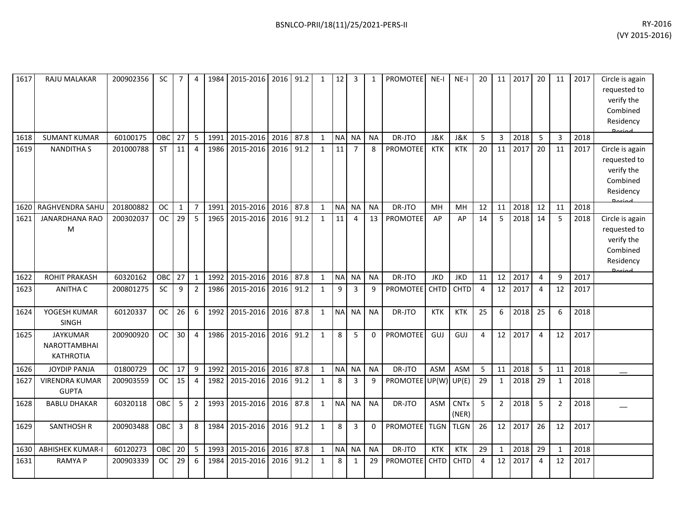| 1617 | RAJU MALAKAR                                               | 200902356 | SC        | $\overline{7}$ | 4              |      | 1984 2015-2016 2016 91.2 |      |      | 1            | 12 <sub>1</sub> | 3              | 1            | <b>PROMOTEE</b>      | $NE-I$      | NE-I                 | 20             | 11             | 2017 | 20             | 11             | 2017 | Circle is again<br>requested to<br>verify the<br>Combined<br>Residency<br><b>Dariad</b> |
|------|------------------------------------------------------------|-----------|-----------|----------------|----------------|------|--------------------------|------|------|--------------|-----------------|----------------|--------------|----------------------|-------------|----------------------|----------------|----------------|------|----------------|----------------|------|-----------------------------------------------------------------------------------------|
| 1618 | <b>SUMANT KUMAR</b>                                        | 60100175  | OBC       | 27             | 5 <sup>1</sup> | 1991 | 2015-2016                | 2016 | 87.8 | $\mathbf{1}$ | <b>NA</b>       | NA             | <b>NA</b>    | DR-JTO               | J&K         | J&K                  | 5              | 3              | 2018 | 5              | 3              | 2018 |                                                                                         |
| 1619 | <b>NANDITHA S</b>                                          | 201000788 | <b>ST</b> | 11             | 4              | 1986 | 2015-2016                | 2016 | 91.2 | $\mathbf{1}$ | 11              | $\overline{7}$ | 8            | <b>PROMOTEE</b>      | <b>KTK</b>  | <b>KTK</b>           | 20             | 11             | 2017 | 20             | 11             | 2017 | Circle is again<br>requested to<br>verify the<br>Combined<br>Residency<br>Doriad        |
| 1620 | RAGHVENDRA SAHL                                            | 201800882 | <b>OC</b> | $\mathbf{1}$   | $\overline{7}$ | 1991 | 2015-2016                | 2016 | 87.8 | 1            | <b>NA</b>       | <b>NA</b>      | <b>NA</b>    | DR-JTO               | MH          | MH                   | 12             | 11             | 2018 | 12             | 11             | 2018 |                                                                                         |
| 1621 | <b>JANARDHANA RAO</b><br>M                                 | 200302037 | <b>OC</b> | 29             | $\overline{5}$ | 1965 | 2015-2016                | 2016 | 91.2 | 1            | 11              | $\overline{a}$ | 13           | <b>PROMOTEE</b>      | AP          | AP                   | 14             | 5              | 2018 | 14             | 5              | 2018 | Circle is again<br>requested to<br>verify the<br>Combined<br>Residency<br><b>Doriod</b> |
| 1622 | <b>ROHIT PRAKASH</b>                                       | 60320162  | OBC       | 27             | $\mathbf{1}$   | 1992 | 2015-2016                | 2016 | 87.8 | $\mathbf{1}$ |                 | NA NA          | <b>NA</b>    | DR-JTO               | <b>JKD</b>  | <b>JKD</b>           | 11             | 12             | 2017 | $\overline{4}$ | 9              | 2017 |                                                                                         |
| 1623 | <b>ANITHA C</b>                                            | 200801275 | SC        | 9              | $\overline{2}$ | 1986 | 2015-2016                | 2016 | 91.2 | $\mathbf{1}$ | 9               | 3              | 9            | <b>PROMOTEE</b>      | CHTD        | CHTD                 | $\overline{4}$ | 12             | 2017 | $\overline{4}$ | 12             | 2017 |                                                                                         |
| 1624 | YOGESH KUMAR<br><b>SINGH</b>                               | 60120337  | <b>OC</b> | 26             | 6              | 1992 | 2015-2016                | 2016 | 87.8 | $\mathbf{1}$ | <b>NA</b>       | <b>NA</b>      | <b>NA</b>    | DR-JTO               | KTK         | <b>KTK</b>           | 25             | 6              | 2018 | 25             | 6              | 2018 |                                                                                         |
| 1625 | <b>JAYKUMAR</b><br><b>NAROTTAMBHAI</b><br><b>KATHROTIA</b> | 200900920 | <b>OC</b> | 30             | 4              | 1986 | 2015-2016                | 2016 | 91.2 | $\mathbf{1}$ | 8               | 5              | $\mathbf{0}$ | <b>PROMOTEE</b>      | GUJ         | GUJ                  | 4              | 12             | 2017 | 4              | 12             | 2017 |                                                                                         |
| 1626 | <b>JOYDIP PANJA</b>                                        | 01800729  | <b>OC</b> | 17             | 9              | 1992 | 2015-2016                | 2016 | 87.8 | $\mathbf{1}$ | <b>NA</b>       | <b>NA</b>      | <b>NA</b>    | DR-JTO               | <b>ASM</b>  | <b>ASM</b>           | 5              | 11             | 2018 | 5              | 11             | 2018 |                                                                                         |
| 1627 | <b>VIRENDRA KUMAR</b><br><b>GUPTA</b>                      | 200903559 | <b>OC</b> | 15             | $\overline{4}$ | 1982 | 2015-2016                | 2016 | 91.2 | 1            | 8               | 3              | 9            | PROMOTEE UP(W) UP(E) |             |                      | 29             | 1              | 2018 | 29             | 1              | 2018 |                                                                                         |
| 1628 | <b>BABLU DHAKAR</b>                                        | 60320118  | OBC       | 5              | $\mathbf{2}$   | 1993 | 2015-2016                | 2016 | 87.8 | 1            | <b>NA</b>       | <b>NA</b>      | <b>NA</b>    | DR-JTO               | <b>ASM</b>  | <b>CNTx</b><br>(NER) | 5              | $\overline{2}$ | 2018 | 5              | $\overline{2}$ | 2018 |                                                                                         |
| 1629 | <b>SANTHOSH R</b>                                          | 200903488 | OBC       | 3              | 8              | 1984 | 2015-2016                | 2016 | 91.2 | $\mathbf{1}$ | 8               | 3              | 0            | <b>PROMOTEE</b>      | <b>TLGN</b> | <b>TLGN</b>          | 26             | 12             | 2017 | 26             | 12             | 2017 |                                                                                         |
| 1630 | <b>ABHISHEK KUMAR-I</b>                                    | 60120273  | OBC       | 20             | 5              | 1993 | 2015-2016                | 2016 | 87.8 | $\mathbf{1}$ | <b>NA</b>       | <b>NA</b>      | <b>NA</b>    | DR-JTO               | <b>KTK</b>  | KTK                  | 29             | $\mathbf{1}$   | 2018 | 29             | $\mathbf{1}$   | 2018 |                                                                                         |
| 1631 | <b>RAMYAP</b>                                              | 200903339 | <b>OC</b> | 29             | 6              | 1984 | 2015-2016                | 2016 | 91.2 | 1            | 8               | 1              | 29           | PROMOTEE             | CHTD        | CHTD                 | 4              | 12             | 2017 | 4              | 12             | 2017 |                                                                                         |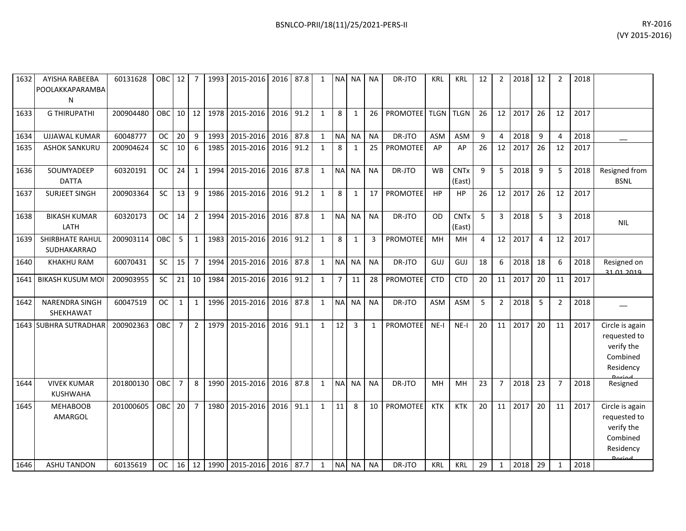| 1632 | AYISHA RABEEBA<br>POOLAKKAPARAMBA<br>N | 60131628  | OBC I      | 12 <sub>1</sub> | 7              |      | 1993 2015-2016 2016 87.8 |           |      | 1            |                | NA NA NA     |              | DR-JTO          | KRL         | KRL                   | 12 | 2              | 2018 | 12             |                | 2018 |                                                                        |
|------|----------------------------------------|-----------|------------|-----------------|----------------|------|--------------------------|-----------|------|--------------|----------------|--------------|--------------|-----------------|-------------|-----------------------|----|----------------|------|----------------|----------------|------|------------------------------------------------------------------------|
| 1633 | <b>G THIRUPATHI</b>                    | 200904480 | <b>OBC</b> | 10              | 12             | 1978 | 2015-2016                | 2016      | 91.2 | 1            | 8              | 1            | 26           | <b>PROMOTEE</b> | <b>TLGN</b> | <b>TLGN</b>           | 26 | 12             | 2017 | 26             | 12             | 2017 |                                                                        |
| 1634 | <b>UJJAWAL KUMAR</b>                   | 60048777  | <b>OC</b>  | 20              | 9              | 1993 | 2015-2016                | 2016      | 87.8 | 1            | NA             | <b>NA</b>    | <b>NA</b>    | DR-JTO          | <b>ASM</b>  | ASM                   | 9  | 4              | 2018 | 9              |                | 2018 |                                                                        |
| 1635 | <b>ASHOK SANKURU</b>                   | 200904624 | <b>SC</b>  | 10              | 6              | 1985 | 2015-2016                | 2016      | 91.2 | $\mathbf{1}$ | 8              | 1            | 25           | PROMOTEE        | AP          | AP                    | 26 | 12             | 2017 | 26             | 12             | 2017 |                                                                        |
| 1636 | SOUMYADEEP<br><b>DATTA</b>             | 60320191  | <b>OC</b>  | 24              | $\mathbf{1}$   | 1994 | 2015-2016                | 2016      | 87.8 | 1            | <b>NA</b>      | <b>NA</b>    | <b>NA</b>    | DR-JTO          | <b>WB</b>   | <b>CNTx</b><br>(East) | 9  | 5              | 2018 | 9              | 5              | 2018 | Resigned from<br><b>BSNL</b>                                           |
| 1637 | <b>SURJEET SINGH</b>                   | 200903364 | SC         | 13              | 9              | 1986 | 2015-2016                | 2016      | 91.2 | 1            | 8              | $\mathbf{1}$ | 17           | PROMOTEE        | HP          | <b>HP</b>             | 26 | 12             | 2017 | 26             | 12             | 2017 |                                                                        |
| 1638 | <b>BIKASH KUMAR</b><br>LATH            | 60320173  | <b>OC</b>  | 14              | $\overline{2}$ | 1994 | 2015-2016                | 2016      | 87.8 | 1            | <b>NA</b>      | <b>NA</b>    | <b>NA</b>    | DR-JTO          | OD          | <b>CNTx</b><br>(East) | 5  | 3              | 2018 | 5              | 3              | 2018 | <b>NIL</b>                                                             |
| 1639 | SHIRBHATE RAHUL<br><b>SUDHAKARRAO</b>  | 200903114 | <b>OBC</b> | 5               | 1              | 1983 | 2015-2016                | 2016 91.2 |      | 1            | 8              | 1            | 3            | <b>PROMOTEE</b> | MH          | MН                    | 4  | 12             | 2017 | $\overline{4}$ | 12             | 2017 |                                                                        |
| 1640 | <b>KHAKHU RAM</b>                      | 60070431  | SC         | 15              | $\overline{7}$ | 1994 | 2015-2016                | 2016      | 87.8 | $\mathbf{1}$ |                | NA NA        | <b>NA</b>    | DR-JTO          | GUJ         | GUJ                   | 18 | 6              | 2018 | 18             | 6              | 2018 | Resigned on<br>31 01 2019                                              |
| 1641 | <b>BIKASH KUSUM MOI</b>                | 200903955 | <b>SC</b>  | 21              | 10             | 1984 | 2015-2016                | 2016      | 91.2 | 1            | $\overline{7}$ | 11           | 28           | PROMOTEE        | <b>CTD</b>  | <b>CTD</b>            | 20 | 11             | 2017 | 20             | 11             | 2017 |                                                                        |
| 1642 | <b>NARENDRA SINGH</b><br>SHEKHAWAT     | 60047519  | <b>OC</b>  | $\mathbf{1}$    | $\mathbf{1}$   | 1996 | 2015-2016 2016           |           | 87.8 | 1            | N <sub>A</sub> | <b>NA</b>    | <b>NA</b>    | DR-JTO          | <b>ASM</b>  | ASM                   | 5  | $\overline{2}$ | 2018 | 5              | $\overline{2}$ | 2018 |                                                                        |
| 1643 | <b>SUBHRA SUTRADHAR</b>                | 200902363 | <b>OBC</b> | $\overline{7}$  | $\overline{2}$ | 1979 | 2015-2016                | 2016      | 91.1 | 1            | 12             | 3            | $\mathbf{1}$ | <b>PROMOTEE</b> | $NE-I$      | $NE-I$                | 20 | 11             | 2017 | 20             | 11             | 2017 | Circle is again<br>requested to<br>verify the<br>Combined<br>Residency |
| 1644 | <b>VIVEK KUMAR</b><br><b>KUSHWAHA</b>  | 201800130 | <b>OBC</b> | $\overline{7}$  | 8              | 1990 | 2015-2016                | 2016      | 87.8 | 1            | N <sub>A</sub> | <b>NA</b>    | <b>NA</b>    | DR-JTO          | MH          | MH                    | 23 | $\overline{7}$ | 2018 | 23             | $\overline{7}$ | 2018 | Resigned                                                               |
| 1645 | <b>MEHABOOB</b><br>AMARGOL             | 201000605 | OBC        | 20              | $\overline{7}$ | 1980 | 2015-2016                | 2016      | 91.1 | $\mathbf{1}$ | 11             | $\mathsf{R}$ | 10           | <b>PROMOTEE</b> | <b>KTK</b>  | <b>KTK</b>            | 20 | 11             | 2017 | 20             | 11             | 2017 | Circle is again<br>requested to<br>verify the<br>Combined<br>Residency |
| 1646 | <b>ASHU TANDON</b>                     | 60135619  | OC.        |                 | 16 12          |      | 1990 2015-2016 2016 87.7 |           |      | $\mathbf{1}$ |                | NA NA        | <b>NA</b>    | DR-JTO          | <b>KRL</b>  | <b>KRL</b>            | 29 | $\mathbf{1}$   | 2018 | 29             | 1              | 2018 |                                                                        |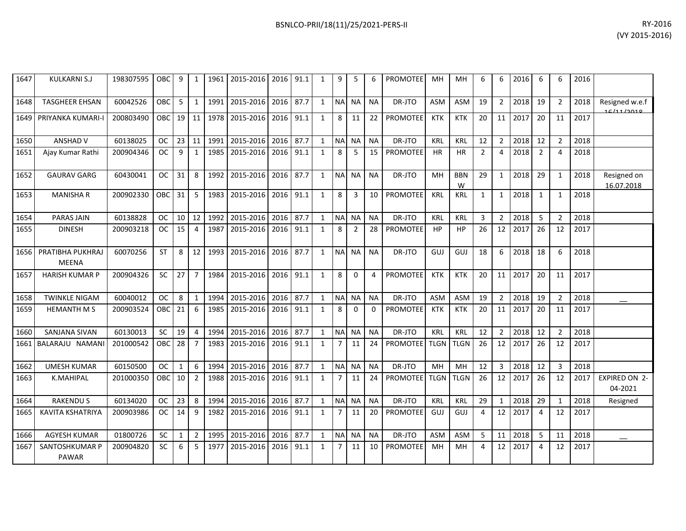| 1647 | <b>KULKARNI S.J</b>              | 198307595 | OBC I      | 9            | 1              | 1961 | 2015-2016 2016           |      | 91.1 | 1            | 9              | 5            | 6            | <b>PROMOTEE</b> | MН          | MН              | 6              | 6              | 2016 | 6              | 6              | 2016 |                                 |
|------|----------------------------------|-----------|------------|--------------|----------------|------|--------------------------|------|------|--------------|----------------|--------------|--------------|-----------------|-------------|-----------------|----------------|----------------|------|----------------|----------------|------|---------------------------------|
| 1648 | <b>TASGHEER EHSAN</b>            | 60042526  | <b>OBC</b> | 5            | 1              | 1991 | 2015-2016 2016           |      | 87.7 | $\mathbf{1}$ | <b>NA</b>      | <b>NA</b>    | <b>NA</b>    | DR-JTO          | <b>ASM</b>  | <b>ASM</b>      | 19             | $2^{\circ}$    | 2018 | 19             | $\overline{2}$ | 2018 | Resigned w.e.f<br>161112010     |
| 1649 | PRIYANKA KUMARI-I                | 200803490 | OBC        | 19 I         | 11             | 1978 | 2015-2016 2016           |      | 91.1 | $\mathbf{1}$ | 8              | 11           | 22           | <b>PROMOTEE</b> | <b>KTK</b>  | <b>KTK</b>      | 20             | 11             | 2017 | 20             | 11             | 2017 |                                 |
| 1650 | <b>ANSHAD V</b>                  | 60138025  | <b>OC</b>  | 23           | 11             | 1991 | 2015-2016                | 2016 | 87.7 | $\mathbf{1}$ | <b>NA</b>      | <b>NA</b>    | <b>NA</b>    | DR-JTO          | KRL         | <b>KRL</b>      | 12             | $2^{\circ}$    | 2018 | 12             | $\overline{2}$ | 2018 |                                 |
| 1651 | Ajay Kumar Rathi                 | 200904346 | <b>OC</b>  | 9            | 1              | 1985 | 2015-2016                | 2016 | 91.1 | $\mathbf{1}$ | 8              | 5            | 15           | PROMOTEE        | <b>HR</b>   | <b>HR</b>       | $\overline{2}$ | 4              | 2018 | $\overline{2}$ | 4              | 2018 |                                 |
| 1652 | <b>GAURAV GARG</b>               | 60430041  | <b>OC</b>  | 31           | 8              | 1992 | 2015-2016 2016           |      | 87.7 | $\mathbf{1}$ | <b>NA</b>      | <b>NA</b>    | <b>NA</b>    | DR-JTO          | MH          | <b>BBN</b><br>W | 29             | $\mathbf{1}$   | 2018 | 29             | $\mathbf{1}$   | 2018 | Resigned on<br>16.07.2018       |
| 1653 | <b>MANISHAR</b>                  | 200902330 | <b>OBC</b> | 31           | 5              | 1983 | 2015-2016 2016           |      | 91.1 | $\mathbf{1}$ | 8              | 3            | 10           | <b>PROMOTEE</b> | KRL         | <b>KRL</b>      | $\mathbf{1}$   | $\mathbf{1}$   | 2018 | $\mathbf{1}$   | $\mathbf{1}$   | 2018 |                                 |
| 1654 | <b>PARAS JAIN</b>                | 60138828  | <b>OC</b>  | 10           | 12             | 1992 | 2015-2016 2016           |      | 87.7 | $\mathbf{1}$ | $\sf NA$       | <b>NA</b>    | <b>NA</b>    | DR-JTO          | KRL         | <b>KRL</b>      | 3              | $\overline{2}$ | 2018 | 5              | $\overline{2}$ | 2018 |                                 |
| 1655 | <b>DINESH</b>                    | 200903218 | <b>OC</b>  | 15           | $\overline{4}$ | 1987 | 2015-2016 2016           |      | 91.1 | $\mathbf{1}$ | 8              | 2            | 28           | <b>PROMOTEE</b> | HP          | HP              | 26             | 12             | 2017 | 26             | 12             | 2017 |                                 |
| 1656 | PRATIBHA PUKHRAJ<br><b>MEENA</b> | 60070256  | <b>ST</b>  | 8            | 12             | 1993 | 2015-2016                | 2016 | 87.7 | $\mathbf{1}$ | <b>NA</b>      | <b>NA</b>    | <b>NA</b>    | DR-JTO          | GUJ         | GUJ             | 18             | 6              | 2018 | 18             | 6              | 2018 |                                 |
| 1657 | <b>HARISH KUMAR P</b>            | 200904326 | <b>SC</b>  | 27           | $\overline{7}$ | 1984 | 2015-2016                | 2016 | 91.1 | $\mathbf{1}$ | 8              | $\Omega$     | 4            | <b>PROMOTEE</b> | <b>KTK</b>  | <b>KTK</b>      | 20             | 11             | 2017 | 20             | 11             | 2017 |                                 |
| 1658 | <b>TWINKLE NIGAM</b>             | 60040012  | <b>OC</b>  | 8            | $\mathbf{1}$   | 1994 | 2015-2016 2016           |      | 87.7 | $\mathbf{1}$ | <b>NA</b>      | <b>NA</b>    | <b>NA</b>    | DR-JTO          | <b>ASM</b>  | <b>ASM</b>      | 19             | $\overline{2}$ | 2018 | 19             | $\overline{2}$ | 2018 |                                 |
| 1659 | <b>HEMANTH M S</b>               | 200903524 | OBC        | 21           | 6              | 1985 | 2015-2016                | 2016 | 91.1 | $\mathbf{1}$ | 8              | $\mathbf{0}$ | $\mathbf{0}$ | <b>PROMOTEE</b> | <b>KTK</b>  | <b>KTK</b>      | 20             | 11             | 2017 | 20             | 11             | 2017 |                                 |
| 1660 | <b>SANJANA SIVAN</b>             | 60130013  | <b>SC</b>  | 19           | $\overline{4}$ | 1994 | 2015-2016                | 2016 | 87.7 | $\mathbf{1}$ | <b>NA</b>      | <b>NA</b>    | <b>NA</b>    | DR-JTO          | KRL         | KRL             | 12             | $\overline{2}$ | 2018 | 12             | $\overline{2}$ | 2018 |                                 |
| 1661 | BALARAJU NAMANI                  | 201000542 | OBC        | 28           | $\overline{7}$ | 1983 | 2015-2016                | 2016 | 91.1 | $\mathbf{1}$ | $\overline{7}$ | 11           | 24           | <b>PROMOTEE</b> | <b>TLGN</b> | <b>TLGN</b>     | 26             | 12             | 2017 | 26             | 12             | 2017 |                                 |
| 1662 | <b>UMESH KUMAR</b>               | 60150500  | <b>OC</b>  | 1            | 6              | 1994 | 2015-2016                | 2016 | 87.7 | $\mathbf{1}$ | <b>NA</b>      | <b>NA</b>    | <b>NA</b>    | DR-JTO          | MH          | MH              | 12             | $\mathbf{3}$   | 2018 | 12             | 3              | 2018 |                                 |
| 1663 | <b>K.MAHIPAL</b>                 | 201000350 | OBC        | 10           | $\overline{2}$ | 1988 | 2015-2016                | 2016 | 91.1 | $\mathbf{1}$ | $\overline{7}$ | 11           | 24           | <b>PROMOTEE</b> | <b>TLGN</b> | <b>TLGN</b>     | 26             | 12             | 2017 | 26             | 12             | 2017 | <b>EXPIRED ON 2-</b><br>04-2021 |
| 1664 | <b>RAKENDUS</b>                  | 60134020  | <b>OC</b>  | 23           | 8              | 1994 | 2015-2016                | 2016 | 87.7 | $\mathbf{1}$ | $\sf NA$       | <b>NA</b>    | <b>NA</b>    | DR-JTO          | KRL         | KRL             | 29             | $\mathbf{1}$   | 2018 | 29             |                | 2018 | Resigned                        |
| 1665 | <b>KAVITA KSHATRIYA</b>          | 200903986 | <b>OC</b>  | 14           | 9              | 1982 | 2015-2016                | 2016 | 91.1 | $\mathbf{1}$ | $\overline{7}$ | 11           | 20           | <b>PROMOTEE</b> | GUJ         | GUJ             | 4              | 12             | 2017 | 4              | 12             | 2017 |                                 |
| 1666 | <b>AGYESH KUMAR</b>              | 01800726  | <b>SC</b>  | $\mathbf{1}$ | $\overline{2}$ |      | 1995 2015-2016 2016 87.7 |      |      | 1            | <b>NA</b>      | NA.          | <b>NA</b>    | DR-JTO          | <b>ASM</b>  | ASM             | 5              | 11             | 2018 | 5              | 11             | 2018 |                                 |

200904820 SC 6 5 1977 2015-2016 2016 91.1 1 7 11 10 PROMOTEE MH MH 4 12 2017 4 12 2017

1667 SANTOSHKUMAR P PAWAR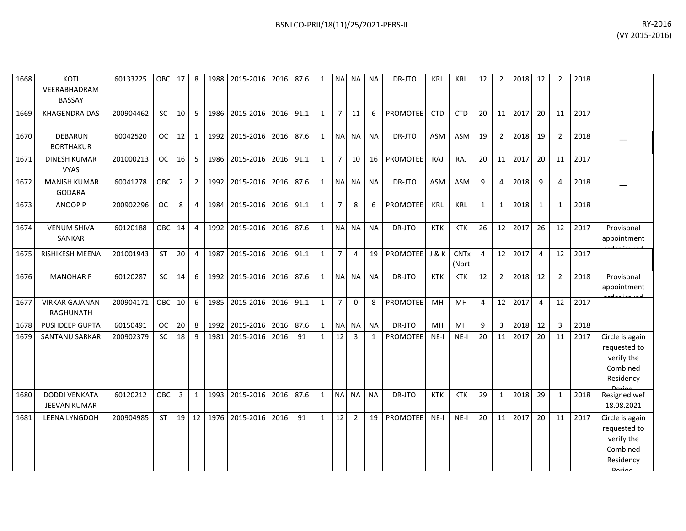| 1668 | KOTI<br>VEERABHADRAM<br><b>BASSAY</b>     | 60133225  | OBC 17     |                | 8              |      | 1988 2015-2016 2016 87.6 |           |      | $\mathbf{1}$ |                | NA NA NA       |                 | DR-JTO          | KRL        | <b>KRL</b>           | 12             | $\overline{2}$  | 2018    | 12             |                | 2018 |                                                                        |
|------|-------------------------------------------|-----------|------------|----------------|----------------|------|--------------------------|-----------|------|--------------|----------------|----------------|-----------------|-----------------|------------|----------------------|----------------|-----------------|---------|----------------|----------------|------|------------------------------------------------------------------------|
| 1669 | <b>KHAGENDRA DAS</b>                      | 200904462 | <b>SC</b>  | 10             | 5              | 1986 | 2015-2016                | 2016      | 91.1 | $\mathbf{1}$ | $\overline{7}$ | 11             | 6               | PROMOTEE        | <b>CTD</b> | <b>CTD</b>           | 20             | 11              | 2017    | 20             | 11             | 2017 |                                                                        |
| 1670 | <b>DEBARUN</b><br><b>BORTHAKUR</b>        | 60042520  | <b>OC</b>  | 12             | $\mathbf{1}$   | 1992 | 2015-2016                | 2016      | 87.6 | $\mathbf{1}$ | NA NA          |                | <b>NA</b>       | DR-JTO          | <b>ASM</b> | <b>ASM</b>           | 19             | $\overline{2}$  | 2018    | 19             | 2              | 2018 |                                                                        |
| 1671 | <b>DINESH KUMAR</b><br><b>VYAS</b>        | 201000213 | <b>OC</b>  | 16             | 5              | 1986 | 2015-2016                | 2016 91.1 |      | $\mathbf{1}$ | $\overline{7}$ | 10             | 16 <sup>1</sup> | PROMOTEE        | RAJ        | RAJ                  | 20             | 11              | 2017    | 20             | 11             | 2017 |                                                                        |
| 1672 | <b>MANISH KUMAR</b><br><b>GODARA</b>      | 60041278  | <b>OBC</b> | $\overline{2}$ | 2 <sup>1</sup> | 1992 | 2015-2016                | 2016      | 87.6 | $\mathbf{1}$ |                | NA NA          | <b>NA</b>       | DR-JTO          | <b>ASM</b> | <b>ASM</b>           | 9              | 4               | 2018    | 9              | 4              | 2018 |                                                                        |
| 1673 | ANOOP P                                   | 200902296 | <b>OC</b>  | 8              | $\overline{4}$ | 1984 | 2015-2016                | 2016      | 91.1 | $\mathbf{1}$ | $\overline{7}$ | 8              | 6               | PROMOTEE        | KRL        | KRL                  | $\mathbf{1}$   | $\mathbf{1}$    | 2018    | $\mathbf{1}$   | $\mathbf{1}$   | 2018 |                                                                        |
| 1674 | <b>VENUM SHIVA</b><br>SANKAR              | 60120188  | <b>OBC</b> | 14             | $\overline{4}$ | 1992 | 2015-2016                | 2016      | 87.6 | $\mathbf{1}$ |                | NA NA          | <b>NA</b>       | DR-JTO          | <b>KTK</b> | KTK                  | 26             | 12 <sup>1</sup> | 2017    | 26             | 12             | 2017 | Provisonal<br>appointment                                              |
| 1675 | RISHIKESH MEENA                           | 201001943 | <b>ST</b>  | 20             | $\overline{4}$ | 1987 | 2015-2016                | 2016 91.1 |      | $\mathbf{1}$ | $\overline{7}$ | $\overline{4}$ | 19              | PROMOTEE J & K  |            | <b>CNTx</b><br>(Nort | $\overline{4}$ | 12              | 2017    | $\overline{4}$ | 12             | 2017 |                                                                        |
| 1676 | <b>MANOHAR P</b>                          | 60120287  | <b>SC</b>  | 14             | 6              | 1992 | 2015-2016                | 2016      | 87.6 | $\mathbf{1}$ |                | NA NA          | <b>NA</b>       | DR-JTO          | <b>KTK</b> | <b>KTK</b>           | 12             | $\overline{2}$  | 2018    | 12             | 2              | 2018 | Provisonal<br>appointment                                              |
| 1677 | <b>VIRKAR GAJANAN</b><br><b>RAGHUNATH</b> | 200904171 | <b>OBC</b> | 10             | 6              | 1985 | 2015-2016                | 2016      | 91.1 | $\mathbf{1}$ | $\overline{7}$ | $\Omega$       | 8               | <b>PROMOTEE</b> | MH         | MH                   | 4              |                 | 12 2017 | $\overline{4}$ | 12             | 2017 |                                                                        |
| 1678 | PUSHDEEP GUPTA                            | 60150491  | <b>OC</b>  | 20             | 8              | 1992 | 2015-2016                | 2016      | 87.6 | $\mathbf{1}$ |                | NA NA          | <b>NA</b>       | DR-JTO          | MH         | MH                   | 9              | 3               | 2018    | 12             | $\overline{3}$ | 2018 |                                                                        |
| 1679 | SANTANU SARKAR                            | 200902379 | SC         | 18             | 9              | 1981 | 2015-2016                | 2016      | 91   | $\mathbf{1}$ | 12             | $\overline{3}$ | $\mathbf{1}$    | <b>PROMOTEE</b> | $NE-I$     | $NE-I$               | 20             | 11              | 2017    | 20             | 11             | 2017 | Circle is again<br>requested to<br>verify the<br>Combined<br>Residency |
| 1680 | <b>DODDI VENKATA</b><br>JEEVAN KUMAR      | 60120212  | <b>OBC</b> | $\mathbf{3}$   | $\mathbf{1}$   | 1993 | 2015-2016 2016           |           | 87.6 | $\mathbf{1}$ |                | NA NA          | <b>NA</b>       | DR-JTO          | <b>KTK</b> | <b>KTK</b>           | 29             | $\mathbf{1}$    | 2018    | 29             | $\mathbf{1}$   | 2018 | Resigned wef<br>18.08.2021                                             |
| 1681 | <b>LEENA LYNGDOH</b>                      | 200904985 | <b>ST</b>  | 19             | 12             | 1976 | 2015-2016                | 2016      | 91   | 1            | 12             | $\overline{2}$ | 19              | <b>PROMOTEE</b> | $NE-I$     | $NE-I$               | 20             | 11              | 2017    | 20             | 11             | 2017 | Circle is again<br>requested to<br>verify the<br>Combined<br>Residency |

Period.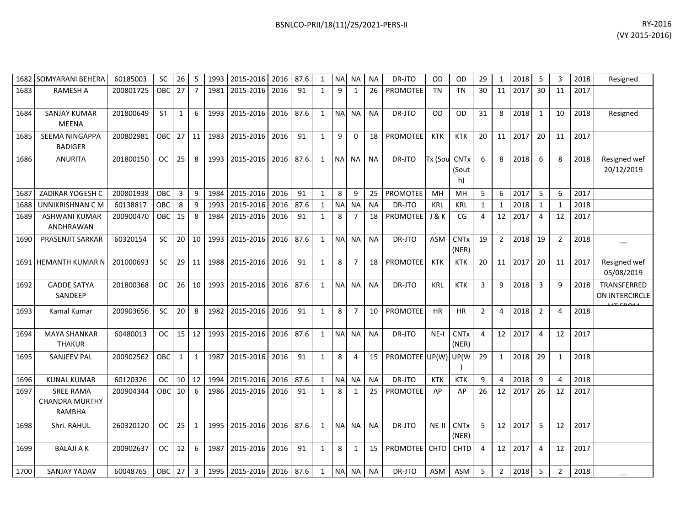|      | 1682 SOMYARANI BEHERA                                      | 60185003  | SC            | 26           | 5                          | 1993 | 2015-2016   2016   87.6  |      |      | 1            |            | NA NA NA       |           | DR-JTO               | OD               | <b>OD</b>                             | 29             | 1              | 2018 | 5              | 3  | 2018 | Resigned                      |
|------|------------------------------------------------------------|-----------|---------------|--------------|----------------------------|------|--------------------------|------|------|--------------|------------|----------------|-----------|----------------------|------------------|---------------------------------------|----------------|----------------|------|----------------|----|------|-------------------------------|
| 1683 | <b>RAMESH A</b>                                            | 200801725 | <b>OBC</b>    | 27           | $\overline{7}$             | 1981 | 2015-2016                | 2016 | 91   | 1            | 9          | 1              | 26        | <b>PROMOTEE</b>      | <b>TN</b>        | <b>TN</b>                             | 30             | 11             | 2017 | 30             | 11 | 2017 |                               |
| 1684 | <b>SANJAY KUMAR</b><br><b>MEENA</b>                        | 201800649 | <b>ST</b>     | $\mathbf{1}$ | 6                          | 1993 | 2015-2016                | 2016 | 87.6 | $\mathbf{1}$ | <b>NA</b>  | <b>NA</b>      | <b>NA</b> | DR-JTO               | <b>OD</b>        | <b>OD</b>                             | 31             | 8              | 2018 | 1              | 10 | 2018 | Resigned                      |
| 1685 | SEEMA NINGAPPA<br><b>BADIGER</b>                           | 200802981 | OBC           | 27           | 11                         | 1983 | 2015-2016                | 2016 | 91   | $\mathbf{1}$ | 9          | $\Omega$       | 18        | PROMOTEE             | <b>KTK</b>       | <b>KTK</b>                            | 20             | 11             | 2017 | 20             | 11 | 2017 |                               |
| 1686 | <b>ANURITA</b>                                             | 201800150 | <b>OC</b>     | 25           | 8                          | 1993 | 2015-2016                | 2016 | 87.6 | 1            | <b>NAI</b> | NA I           | <b>NA</b> | DR-JTO               | Tx (Sou          | <b>CNT<sub>x</sub></b><br>(Sout<br>h) | 6              | 8              | 2018 | 6              | 8  | 2018 | Resigned wef<br>20/12/2019    |
| 1687 | <b>ZADIKAR YOGESH C</b>                                    | 200801938 | OBC           | 3            | 9                          | 1984 | 2015-2016                | 2016 | 91   | 1            | 8          | 9              | 25        | <b>PROMOTEE</b>      | MH               | MН                                    | 5              | 6              | 2017 | 5              | 6  | 2017 |                               |
| 1688 | UNNIKRISHNAN C M                                           | 60138817  | OBC           | 8            | 9                          | 1993 | 2015-2016                | 2016 | 87.6 | 1            | <b>NAI</b> | <b>NA</b>      | <b>NA</b> | DR-JTO               | KRL              | KRL                                   | 1              | 1              | 2018 | -1             | -1 | 2018 |                               |
| 1689 | <b>ASHWANI KUMAR</b><br>ANDHRAWAN                          | 200900470 | <b>OBC</b>    | 15           | 8                          | 1984 | 2015-2016                | 2016 | 91   | 1            | 8          | $\overline{7}$ | 18        | <b>PROMOTEE</b>      | <b>J &amp; K</b> | CG                                    | 4              | 12             | 2017 | $\overline{4}$ | 12 | 2017 |                               |
| 1690 | PRASENJIT SARKAR                                           | 60320154  | SC            | 20           | 10                         | 1993 | 2015-2016                | 2016 | 87.6 | $\mathbf{1}$ | <b>NA</b>  | <b>NA</b>      | <b>NA</b> | DR-JTO               | <b>ASM</b>       | <b>CNTx</b><br>(NER)                  | 19             | $\overline{2}$ | 2018 | 19             | 2  | 2018 |                               |
| 1691 | <b>HEMANTH KUMAR N</b>                                     | 201000693 | SC            | 29           | 11                         | 1988 | 2015-2016                | 2016 | 91   | 1            | 8          | $\overline{7}$ | 18        | PROMOTEE             | <b>KTK</b>       | <b>KTK</b>                            | 20             | 11             | 2017 | 20             | 11 | 2017 | Resigned wef<br>05/08/2019    |
| 1692 | <b>GADDE SATYA</b><br>SANDEEP                              | 201800368 | <b>OC</b>     | 26           | 10                         | 1993 | 2015-2016                | 2016 | 87.6 | 1            | <b>NA</b>  | NA             | <b>NA</b> | DR-JTO               | <b>KRL</b>       | <b>KTK</b>                            | 3              | 9              | 2018 | $\overline{3}$ | q  | 2018 | TRANSFERRED<br>ON INTERCIRCLE |
| 1693 | Kamal Kumar                                                | 200903656 | SC            | 20           | 8                          | 1982 | 2015-2016                | 2016 | 91   | 1            | 8          | $\overline{7}$ | 10        | PROMOTEE             | <b>HR</b>        | HR                                    | $\overline{2}$ | 4              | 2018 | $\overline{2}$ | 4  | 2018 |                               |
| 1694 | <b>MAYA SHANKAR</b><br><b>THAKUR</b>                       | 60480013  | <b>OC</b>     | 15           | 12                         | 1993 | 2015-2016                | 2016 | 87.6 | 1            | <b>NA</b>  | <b>NA</b>      | <b>NA</b> | DR-JTO               | $NE-I$           | <b>CNTx</b><br>(NER)                  | 4              | 12             | 2017 | $\overline{4}$ | 12 | 2017 |                               |
| 1695 | <b>SANJEEV PAL</b>                                         | 200902562 | <b>OBC</b>    | $\mathbf{1}$ | $\mathbf{1}$               | 1987 | 2015-2016                | 2016 | 91   | 1            | 8          | 4              | 15        | PROMOTEE UP(W) UP(W) |                  |                                       | 29             | $\mathbf{1}$   | 2018 | 29             | -1 | 2018 |                               |
| 1696 | <b>KUNAL KUMAR</b>                                         | 60120326  | <b>OC</b>     | 10           | 12                         | 1994 | 2015-2016                | 2016 | 87.6 | $\mathbf{1}$ | <b>NA</b>  | <b>NA</b>      | <b>NA</b> | DR-JTO               | <b>KTK</b>       | <b>KTK</b>                            | 9              | 4              | 2018 | 9              |    | 2018 |                               |
| 1697 | <b>SREE RAMA</b><br><b>CHANDRA MURTHY</b><br><b>RAMBHA</b> | 200904344 | OBC.          | 10           | 6                          | 1986 | 2015-2016                | 2016 | 91   | 1            | 8          | 1              | 25        | <b>PROMOTEE</b>      | AP               | AP                                    | 26             | 12             | 2017 | 26             | 12 | 2017 |                               |
| 1698 | Shri. RAHUL                                                | 260320120 | <b>OC</b>     | 25           | $\mathbf{1}$               | 1995 | 2015-2016                | 2016 | 87.6 | 1            | <b>NA</b>  | <b>NA</b>      | <b>NA</b> | DR-JTO               | NE-II            | <b>CNTx</b><br>(NER)                  | 5              | 12             | 2017 | -5             | 12 | 2017 |                               |
| 1699 | <b>BALAJI A K</b>                                          | 200902637 | <b>OC</b>     | 12           | 6                          | 1987 | 2015-2016                | 2016 | 91   | $\mathbf{1}$ | 8          | $\mathbf{1}$   | 15        | PROMOTEE CHTD        |                  | CHTD                                  | 4              | 12             | 2017 | $\overline{4}$ | 12 | 2017 |                               |
| 1700 | SANJAY YADAV                                               | 60048765  | <b>OBC</b> 27 |              | $\overline{\phantom{a}}$ 3 |      | 1995 2015-2016 2016 87.6 |      |      | 1            |            | NA NA          | <b>NA</b> | DR-JTO               | <b>ASM</b>       | ASM                                   | 5              | $\overline{2}$ | 2018 | -5             | 2  | 2018 |                               |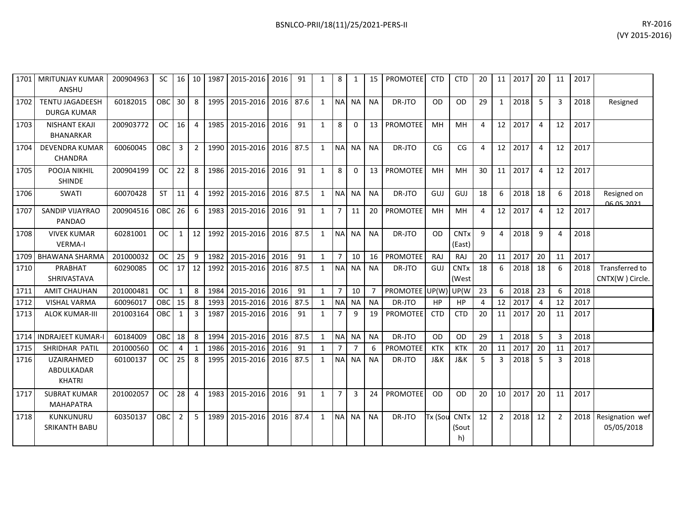|      | 1701   MRITUNJAY KUMAR<br><b>ANSHU</b>           | 200904963 | SC.        |                 |                | 16 10 1987 | 2015-2016 2016 |      | 91   | $\mathbf{1}$ | 8              | $\mathbf{1}$   | 15             | <b>PROMOTEE</b>     | <b>CTD</b>     | <b>CTD</b>                       | 20 |                | 11 2017 | 20                      | 11             | 2017 |                                          |
|------|--------------------------------------------------|-----------|------------|-----------------|----------------|------------|----------------|------|------|--------------|----------------|----------------|----------------|---------------------|----------------|----------------------------------|----|----------------|---------|-------------------------|----------------|------|------------------------------------------|
| 1702 | <b>TENTU JAGADEESH</b><br><b>DURGA KUMAR</b>     | 60182015  | <b>OBC</b> | 30 <sup>°</sup> | 8              | 1995       | 2015-2016      | 2016 | 87.6 | $\mathbf{1}$ | <b>NA</b>      | <b>NA</b>      | <b>NA</b>      | DR-JTO              | OD             | <b>OD</b>                        | 29 | 1              | 2018    | 5                       | 3              | 2018 | Resigned                                 |
| 1703 | <b>NISHANT EKAJI</b><br><b>BHANARKAR</b>         | 200903772 | <b>OC</b>  | 16              | $\overline{4}$ | 1985       | 2015-2016 2016 |      | 91   | $\mathbf{1}$ | 8              | 0              | 13             | PROMOTEE            | MH             | <b>MH</b>                        | 4  | 12             | 2017    | $\overline{4}$          | 12             | 2017 |                                          |
| 1704 | <b>DEVENDRA KUMAR</b><br><b>CHANDRA</b>          | 60060045  | OBC.       | 3               | $\overline{2}$ | 1990       | 2015-2016      | 2016 | 87.5 | $\mathbf{1}$ | <b>NA</b>      | <b>NA</b>      | <b>NA</b>      | DR-JTO              | CG             | CG                               | 4  | 12             | 2017    | $\overline{\mathbf{A}}$ | 12             | 2017 |                                          |
| 1705 | POOJA NIKHIL<br><b>SHINDE</b>                    | 200904199 | <b>OC</b>  | 22              | 8              | 1986       | 2015-2016      | 2016 | 91   | $\mathbf{1}$ | 8              | $\Omega$       | 13             | <b>PROMOTEE</b>     | MH             | <b>MH</b>                        | 30 | 11             | 2017    | $\overline{4}$          | 12             | 2017 |                                          |
| 1706 | SWATI                                            | 60070428  | <b>ST</b>  | 11              | $\overline{4}$ | 1992       | 2015-2016 2016 |      | 87.5 | $\mathbf{1}$ | <b>NA</b>      | <b>NA</b>      | <b>NA</b>      | DR-JTO              | <b>GUJ</b>     | GUJ                              | 18 | 6              | 2018    | 18                      | 6              | 2018 | Resigned on<br>06.05.2021                |
| 1707 | <b>SANDIP VIJAYRAO</b><br><b>PANDAO</b>          | 200904516 | OBC        | 26              | 6              | 1983       | 2015-2016      | 2016 | 91   | $\mathbf{1}$ | $\overline{7}$ | 11             | 20             | <b>PROMOTEE</b>     | MH             | <b>MH</b>                        | 4  | 12             | 2017    | $\overline{\mathbf{A}}$ | 12             | 2017 |                                          |
| 1708 | <b>VIVEK KUMAR</b><br><b>VERMA-I</b>             | 60281001  | <b>OC</b>  | $\mathbf{1}$    | 12             | 1992       | 2015-2016 2016 |      | 87.5 | $\mathbf{1}$ | <b>NA</b>      | <b>NA</b>      | <b>NA</b>      | DR-JTO              | OD             | <b>CNT<sub>x</sub></b><br>(East) | 9  | 4              | 2018    | 9                       | $\Lambda$      | 2018 |                                          |
| 1709 | <b>BHAWANA SHARMA</b>                            | 201000032 | <b>OC</b>  | 25              | 9              | 1982       | 2015-2016      | 2016 | 91   | $\mathbf{1}$ | $\overline{7}$ | 10             | 16             | PROMOTEE            | RAJ            | RAJ                              | 20 | 11             | 2017    | 20                      | 11             | 2017 |                                          |
| 1710 | PRABHAT<br><b>SHRIVASTAVA</b>                    | 60290085  | <b>OC</b>  | 17              | 12             | 1992       | 2015-2016      | 2016 | 87.5 | $\mathbf{1}$ | <b>NAI</b>     | <b>NA</b>      | <b>NA</b>      | DR-JTO              | GUJ            | <b>CNT<sub>x</sub></b><br>(West  | 18 | 6              | 2018    | 18                      | 6              | 2018 | <b>Transferred to</b><br>CNTX(W) Circle. |
| 1711 | <b>AMIT CHAUHAN</b>                              | 201000481 | <b>OC</b>  | $\mathbf{1}$    | 8              | 1984       | 2015-2016      | 2016 | 91   | $\mathbf{1}$ | $\overline{7}$ | 10             | $\overline{7}$ | PROMOTEE UP(W) UP(W |                |                                  | 23 | 6              | 2018    | 23                      | 6              | 2018 |                                          |
| 1712 | <b>VISHAL VARMA</b>                              | 60096017  | OBC        | 15              | 8              | 1993       | 2015-2016      | 2016 | 87.5 | $\mathbf{1}$ | <b>NA</b>      | NA.            | <b>NA</b>      | DR-JTO              | HP             | <b>HP</b>                        | 4  | 12             | 2017    | 4                       | 12             | 2017 |                                          |
| 1713 | <b>ALOK KUMAR-III</b>                            | 201003164 | OBC        | 1               | 3              | 1987       | 2015-2016      | 2016 | 91   | $\mathbf{1}$ | $\overline{7}$ | 9              | 19             | PROMOTEE            | <b>CTD</b>     | <b>CTD</b>                       | 20 | 11             | 2017    | 20                      | 11             | 2017 |                                          |
| 1714 | <b>INDRAJEET KUMAR-I</b>                         | 60184009  | <b>OBC</b> | 18              | 8              | 1994       | 2015-2016      | 2016 | 87.5 | $\mathbf{1}$ | <b>NA</b>      | <b>NA</b>      | <b>NA</b>      | DR-JTO              | <b>OD</b>      | <b>OD</b>                        | 29 | $\mathbf{1}$   | 2018    | 5                       |                | 2018 |                                          |
| 1715 | SHRIDHAR PATIL                                   | 201000560 | <b>OC</b>  | 4               | $\mathbf{1}$   | 1986       | 2015-2016      | 2016 | 91   | $\mathbf{1}$ | $\overline{7}$ | $\overline{7}$ | 6              | PROMOTEE            | <b>KTK</b>     | <b>KTK</b>                       | 20 | 11             | 2017    | 20                      | 11             | 2017 |                                          |
| 1716 | <b>UZAIRAHMED</b><br>ABDULKADAR<br><b>KHATRI</b> | 60100137  | <b>OC</b>  | 25              | 8              | 1995       | 2015-2016      | 2016 | 87.5 | $\mathbf{1}$ | <b>NA</b>      | <b>NA</b>      | <b>NA</b>      | DR-JTO              | J&K            | J&K                              | 5  | 3              | 2018    | - 5                     | 3              | 2018 |                                          |
| 1717 | <b>SUBRAT KUMAR</b><br><b>MAHAPATRA</b>          | 201002057 | <b>OC</b>  | 28              | $\overline{4}$ | 1983       | 2015-2016      | 2016 | 91   | $\mathbf{1}$ | $\overline{7}$ | 3              | 24             | <b>PROMOTEE</b>     | 0 <sub>D</sub> | <b>OD</b>                        | 20 | 10             | 2017    | 20                      | 11             | 2017 |                                          |
| 1718 | KUNKUNURU<br><b>SRIKANTH BABU</b>                | 60350137  | <b>OBC</b> | $\overline{2}$  | 5              | 1989       | 2015-2016      | 2016 | 87.4 | $\mathbf{1}$ | <b>NA</b>      | <b>NA</b>      | <b>NA</b>      | DR-JTO              | Tx (Sou        | <b>CNTx</b><br>(Sout<br>h)       | 12 | $\overline{2}$ | 2018    | 12                      | $\overline{2}$ | 2018 | Resignation wef<br>05/05/2018            |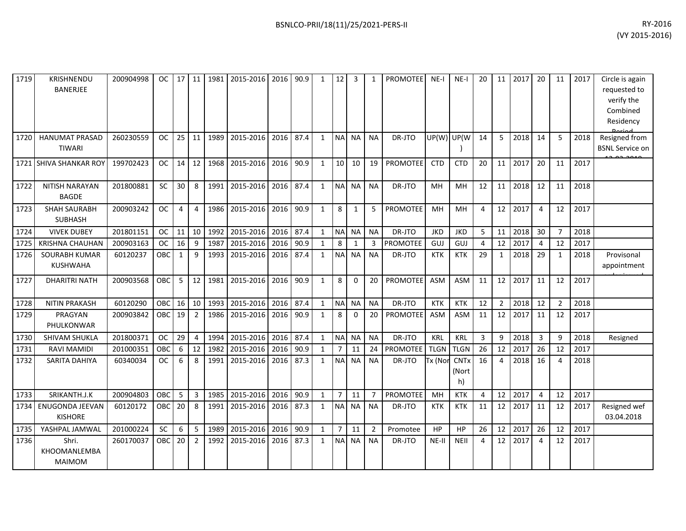| 1719 | KRISHNENDU<br><b>BANERJEE</b>            | 200904998 | OC.       | 17           | 11             | 1981 | 2015-2016        | 2016 | 90.9 | 1            | 12             | 3         | 1              | <b>PROMOTEE</b> | NE-I        | NE-I                       | 20           | 11             | 2017 | 20             | 11             | 2017 | Circle is again<br>requested to<br>verify the<br>Combined<br>Residency |
|------|------------------------------------------|-----------|-----------|--------------|----------------|------|------------------|------|------|--------------|----------------|-----------|----------------|-----------------|-------------|----------------------------|--------------|----------------|------|----------------|----------------|------|------------------------------------------------------------------------|
| 1720 | <b>HANUMAT PRASAD</b><br><b>TIWARI</b>   | 260230559 | OC.       | 25           | 11             | 1989 | 2015-2016   2016 |      | 87.4 | $\mathbf{1}$ | <b>NA</b>      | NA        | <b>NA</b>      | DR-JTO          | UP(W)       | UP(W                       | 14           | 5              | 2018 | 14             | 5              | 2018 | Resigned from<br><b>BSNL Service on</b>                                |
|      | 1721 SHIVA SHANKAR ROY                   | 199702423 | <b>OC</b> | 14           | 12             | 1968 | 2015-2016        | 2016 | 90.9 | $\mathbf{1}$ | 10             | 10        | 19             | PROMOTEE        | <b>CTD</b>  | <b>CTD</b>                 | 20           | 11             | 2017 | 20             | 11             | 2017 |                                                                        |
| 1722 | <b>NITISH NARAYAN</b><br><b>BAGDE</b>    | 201800881 | <b>SC</b> | 30           | 8              | 1991 | 2015-2016        | 2016 | 87.4 | $\mathbf{1}$ | <b>NA</b>      | <b>NA</b> | <b>NA</b>      | DR-JTO          | MH          | MH                         | 12           | 11             | 2018 | 12             | 11             | 2018 |                                                                        |
| 1723 | <b>SHAH SAURABH</b><br><b>SUBHASH</b>    | 200903242 | <b>OC</b> | 4            | $\overline{4}$ | 1986 | 2015-2016        | 2016 | 90.9 | $\mathbf{1}$ | 8              | 1         | 5              | <b>PROMOTEE</b> | MH          | MH                         | 4            | 12             | 2017 | $\overline{4}$ | 12             | 2017 |                                                                        |
| 1724 | <b>VIVEK DUBEY</b>                       | 201801151 | <b>OC</b> | 11           | 10             | 1992 | 2015-2016        | 2016 | 87.4 | $\mathbf{1}$ | <b>NA</b>      | <b>NA</b> | <b>NA</b>      | DR-JTO          | <b>JKD</b>  | <b>JKD</b>                 | 5            | 11             | 2018 | 30             | $\overline{7}$ | 2018 |                                                                        |
| 1725 | <b>KRISHNA CHAUHAN</b>                   | 200903163 | <b>OC</b> | 16           | 9              | 1987 | 2015-2016        | 2016 | 90.9 | $\mathbf{1}$ | 8              | 1         | 3              | PROMOTEE        | GUJ         | GUJ                        | 4            | 12             | 2017 | $\overline{4}$ | 12             | 2017 |                                                                        |
| 1726 | SOURABH KUMAR<br><b>KUSHWAHA</b>         | 60120237  | OBC       | $\mathbf{1}$ | 9              | 1993 | 2015-2016        | 2016 | 87.4 | $\mathbf{1}$ | N <sub>A</sub> | <b>NA</b> | <b>NA</b>      | DR-JTO          | <b>KTK</b>  | <b>KTK</b>                 | 29           | 1              | 2018 | 29             | 1              | 2018 | Provisonal<br>appointment                                              |
| 1727 | <b>DHARITRI NATH</b>                     | 200903568 | OBC       | 5            | 12             | 1981 | 2015-2016        | 2016 | 90.9 | $\mathbf{1}$ | 8              | $\Omega$  | 20             | <b>PROMOTEE</b> | ASM         | <b>ASM</b>                 | 11           | 12             | 2017 | 11             | 12             | 2017 |                                                                        |
| 1728 | <b>NITIN PRAKASH</b>                     | 60120290  | OBC       | 16           | 10             | 1993 | 2015-2016        | 2016 | 87.4 | $\mathbf{1}$ | <b>NA</b>      | <b>NA</b> | <b>NA</b>      | DR-JTO          | <b>KTK</b>  | <b>KTK</b>                 | 12           | $\overline{2}$ | 2018 | 12             | $\overline{2}$ | 2018 |                                                                        |
| 1729 | PRAGYAN<br>PHULKONWAR                    | 200903842 | OBC       | 19           | $\overline{2}$ | 1986 | 2015-2016        | 2016 | 90.9 | $\mathbf{1}$ | 8              | $\Omega$  | 20             | PROMOTEE        | ASM         | <b>ASM</b>                 | 11           | 12             | 2017 | 11             | 12             | 2017 |                                                                        |
| 1730 | <b>SHIVAM SHUKLA</b>                     | 201800371 | <b>OC</b> | 29           | $\overline{4}$ | 1994 | 2015-2016        | 2016 | 87.4 | $\mathbf{1}$ | <b>NA</b>      | <b>NA</b> | <b>NA</b>      | DR-JTO          | <b>KRL</b>  | <b>KRL</b>                 | $\mathbf{3}$ | 9              | 2018 | 3              | 9              | 2018 | Resigned                                                               |
| 1731 | RAVI MAMIDI                              | 201000351 | OBC       | 6            | 12             | 1982 | 2015-2016        | 2016 | 90.9 | $\mathbf{1}$ | $\overline{7}$ | 11        | 24             | PROMOTEE        | <b>TLGN</b> | <b>TLGN</b>                | 26           | 12             | 2017 | 26             | 12             | 2017 |                                                                        |
| 1732 | SARITA DAHIYA                            | 60340034  | <b>OC</b> | 6            | 8              | 1991 | 2015-2016        | 2016 | 87.3 | $\mathbf{1}$ | <b>NA</b>      | <b>NA</b> | <b>NA</b>      | DR-JTO          | Tx (Nor     | <b>CNTx</b><br>(Nort<br>h) | 16           | 4              | 2018 | 16             | 4              | 2018 |                                                                        |
| 1733 | SRIKANTH.J.K                             | 200904803 | OBC       | 5            | 3              | 1985 | 2015-2016        | 2016 | 90.9 | $\mathbf{1}$ | $\overline{7}$ | 11        | $\overline{7}$ | <b>PROMOTEE</b> | MH          | <b>KTK</b>                 | 4            | 12             | 2017 | $\overline{4}$ | 12             | 2017 |                                                                        |
| 1734 | <b>ENUGONDA JEEVAN</b><br><b>KISHORE</b> | 60120172  | OBC       | 20           | 8              | 1991 | 2015-2016        | 2016 | 87.3 | $\mathbf{1}$ | <b>NA</b>      | <b>NA</b> | <b>NA</b>      | DR-JTO          | <b>KTK</b>  | <b>KTK</b>                 | 11           | 12             | 2017 | 11             | 12             | 2017 | Resigned wef<br>03.04.2018                                             |
| 1735 | YASHPAL JAMWAL                           | 201000224 | <b>SC</b> | 6            | 5              | 1989 | 2015-2016 2016   |      | 90.9 | $\mathbf{1}$ | $\overline{7}$ | 11        | $\overline{2}$ | Promotee        | HP          | HP                         | 26           | 12             | 2017 | 26             | 12             | 2017 |                                                                        |
| 1736 | Shri.<br>KHOOMANLEMBA<br><b>MAIMOM</b>   | 260170037 | OBC       | 20           | 2              | 1992 | 2015-2016        | 2016 | 87.3 | $\mathbf{1}$ | <b>NA</b>      | <b>NA</b> | <b>NA</b>      | DR-JTO          | NE-II       | <b>NEII</b>                | 4            | 12             | 2017 | $\overline{4}$ | 12             | 2017 |                                                                        |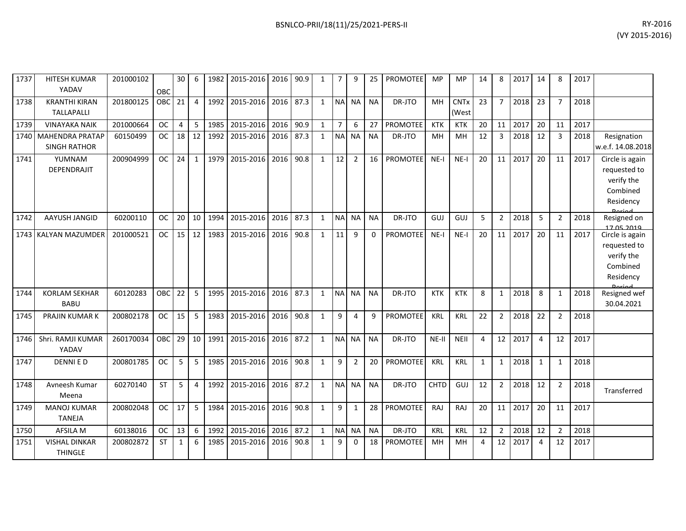| 1737 | HITESH KUMAR<br>YADAV                       | 201000102 | OBC           | 30 <sup>1</sup> | 6              |      | 1982 2015-2016 2016 |      | 90.9 | $\mathbf{1}$ | $\overline{7}$ | 9              | 25        | <b>PROMOTEE</b> | <b>MP</b>   | MP                              | 14 | 8              | 2017 | 14             | 8              | 2017 |                                                                        |
|------|---------------------------------------------|-----------|---------------|-----------------|----------------|------|---------------------|------|------|--------------|----------------|----------------|-----------|-----------------|-------------|---------------------------------|----|----------------|------|----------------|----------------|------|------------------------------------------------------------------------|
| 1738 | <b>KRANTHI KIRAN</b><br><b>TALLAPALLI</b>   | 201800125 | <b>OBC</b>    | 21              | $\overline{4}$ | 1992 | 2015-2016 2016      |      | 87.3 | $\mathbf{1}$ | <b>NA</b>      | NA I           | <b>NA</b> | DR-JTO          | MH          | <b>CNT<sub>x</sub></b><br>(West | 23 | $\overline{7}$ | 2018 | 23             | $\overline{7}$ | 2018 |                                                                        |
| 1739 | <b>VINAYAKA NAIK</b>                        | 201000664 | <b>OC</b>     | $\overline{4}$  | 5              | 1985 | 2015-2016           | 2016 | 90.9 | $\mathbf{1}$ | 7 <sup>1</sup> | 6              | 27        | <b>PROMOTEE</b> | <b>KTK</b>  | <b>KTK</b>                      | 20 | 11             | 2017 | 20             | 11             | 2017 |                                                                        |
|      | 1740 MAHENDRA PRATAP<br><b>SINGH RATHOR</b> | 60150499  | <sub>OC</sub> | 18              | 12             | 1992 | 2015-2016 2016      |      | 87.3 | $\mathbf{1}$ | <b>NA</b>      | <b>NA</b>      | <b>NA</b> | DR-JTO          | MH          | MH                              | 12 | $\overline{3}$ | 2018 | 12             | 3              | 2018 | Resignation<br>w.e.f. 14.08.2018                                       |
| 1741 | YUMNAM<br>DEPENDRAJIT                       | 200904999 | <b>OC</b>     | 24              | $\mathbf{1}$   | 1979 | 2015-2016           | 2016 | 90.8 | $\mathbf{1}$ | 12             | $\overline{2}$ | 16        | <b>PROMOTEE</b> | $NE-I$      | $NE-I$                          | 20 | 11             | 2017 | 20             | 11             | 2017 | Circle is again<br>requested to<br>verify the<br>Combined<br>Residency |
| 1742 | AAYUSH JANGID                               | 60200110  | <sub>OC</sub> | 20              | 10             | 1994 | 2015-2016           | 2016 | 87.3 | $\mathbf{1}$ | <b>NA</b>      | <b>NA</b>      | <b>NA</b> | DR-JTO          | GUJ         | GUJ                             | 5  | $\overline{2}$ | 2018 | 5              | $\overline{2}$ | 2018 | Resigned on<br>17.05.2019                                              |
| 1743 | <b>KALYAN MAZUMDER</b>                      | 201000521 | <sub>OC</sub> | 15              | 12             | 1983 | 2015-2016           | 2016 | 90.8 | $\mathbf{1}$ | 11             | 9              | 0         | <b>PROMOTEE</b> | $NE-I$      | $NE-I$                          | 20 | 11             | 2017 | 20             | 11             | 2017 | Circle is again<br>requested to<br>verify the<br>Combined<br>Residency |
| 1744 | <b>KORLAM SEKHAR</b><br><b>BABU</b>         | 60120283  | <b>OBC</b>    | 22              | 5              | 1995 | 2015-2016           | 2016 | 87.3 | $\mathbf{1}$ | <b>NA</b>      | <b>NA</b>      | <b>NA</b> | DR-JTO          | <b>KTK</b>  | <b>KTK</b>                      | 8  | $\mathbf{1}$   | 2018 | 8              | $\mathbf{1}$   | 2018 | Resigned wef<br>30.04.2021                                             |
| 1745 | <b>PRAJIN KUMAR K</b>                       | 200802178 | <b>OC</b>     | 15              | 5              | 1983 | 2015-2016 2016      |      | 90.8 | $\mathbf{1}$ | 9              | 4              | 9         | <b>PROMOTEE</b> | KRL         | <b>KRL</b>                      | 22 | $\overline{2}$ | 2018 | 22             | 2              | 2018 |                                                                        |
| 1746 | Shri. RAMJI KUMAR<br>YADAV                  | 260170034 | OBC           | 29              | 10             |      | 1991 2015-2016      | 2016 | 87.2 | $\mathbf{1}$ |                | NA NA          | <b>NA</b> | DR-JTO          | NE-II       | <b>NEII</b>                     | 4  | 12             | 2017 | $\overline{4}$ | 12             | 2017 |                                                                        |
| 1747 | <b>DENNIED</b>                              | 200801785 | <b>OC</b>     | 5               | 5              | 1985 | 2015-2016           | 2016 | 90.8 | $\mathbf{1}$ | 9              | $\overline{2}$ | 20        | <b>PROMOTEE</b> | KRL         | <b>KRL</b>                      | 1  | $\mathbf{1}$   | 2018 | 1              | -1             | 2018 |                                                                        |
| 1748 | Avneesh Kumar<br>Meena                      | 60270140  | <b>ST</b>     | 5               | $\overline{4}$ |      | 1992 2015-2016 2016 |      | 87.2 | $\mathbf{1}$ | <b>NA</b>      | NA             | <b>NA</b> | DR-JTO          | <b>CHTD</b> | GUJ                             | 12 | $\overline{2}$ | 2018 | 12             | $\overline{2}$ | 2018 | Transferred                                                            |
| 1749 | <b>MANOJ KUMAR</b><br><b>TANEJA</b>         | 200802048 | <sub>OC</sub> | 17              | 5              | 1984 | 2015-2016           | 2016 | 90.8 | $\mathbf{1}$ | 9              | 1              | 28        | <b>PROMOTEE</b> | <b>RAJ</b>  | RAJ                             | 20 | 11             | 2017 | 20             | 11             | 2017 |                                                                        |
| 1750 | AFSILA M                                    | 60138016  | <b>OC</b>     | 13              | 6              | 1992 | 2015-2016           | 2016 | 87.2 | $\mathbf{1}$ | <b>NA</b>      | <b>NA</b>      | <b>NA</b> | DR-JTO          | <b>KRL</b>  | KRL                             | 12 | $\overline{2}$ | 2018 | 12             | $\overline{2}$ | 2018 |                                                                        |
| 1751 | <b>VISHAL DINKAR</b><br><b>THINGLE</b>      | 200802872 | <b>ST</b>     | 1               | 6              | 1985 | 2015-2016           | 2016 | 90.8 | $\mathbf{1}$ | 9              | $\Omega$       | 18        | <b>PROMOTEE</b> | MH          | MH                              | 4  | 12             | 2017 | $\overline{a}$ | 12             | 2017 |                                                                        |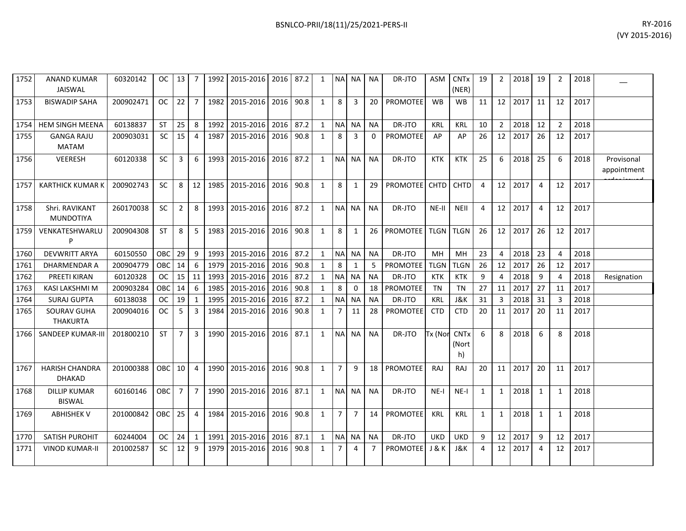| 1752 | <b>ANAND KUMAR</b><br><b>JAISWAL</b>   | 60320142  | OC I             | 13             | $\overline{7}$ | 1992 | 2015-2016 2016 87.2           |           |      | $\mathbf{1}$ | <b>NA</b>      | <b>NA</b>      | <b>NA</b>      | DR-JTO          | <b>ASM</b>  | <b>CNTx</b><br>(NER)       | 19             | $\overline{2}$ | 2018 | 19             | $\overline{2}$ | 2018 |                           |
|------|----------------------------------------|-----------|------------------|----------------|----------------|------|-------------------------------|-----------|------|--------------|----------------|----------------|----------------|-----------------|-------------|----------------------------|----------------|----------------|------|----------------|----------------|------|---------------------------|
| 1753 | <b>BISWADIP SAHA</b>                   | 200902471 | <b>OC</b>        | 22             | $\overline{7}$ | 1982 | 2015-2016 2016 90.8           |           |      | $\mathbf{1}$ | 8              | 3              | 20             | <b>PROMOTEE</b> | <b>WB</b>   | <b>WB</b>                  | 11             | 12             | 2017 | 11             | 12             | 2017 |                           |
| 1754 | <b>HEM SINGH MEENA</b>                 | 60138837  | <b>ST</b>        | 25             | 8              | 1992 | 2015-2016 2016                |           | 87.2 | $\mathbf{1}$ | <b>NA</b>      | <b>NA</b>      | <b>NA</b>      | DR-JTO          | <b>KRL</b>  | <b>KRL</b>                 | 10             | $\overline{2}$ | 2018 | 12             | $\overline{2}$ | 2018 |                           |
| 1755 | <b>GANGA RAJU</b><br><b>MATAM</b>      | 200903031 | SC               | 15             | $\overline{4}$ | 1987 | 2015-2016 2016                |           | 90.8 | $\mathbf{1}$ | 8              | 3              | $\mathbf 0$    | <b>PROMOTEE</b> | AP          | AP                         | 26             | 12             | 2017 | 26             | 12             | 2017 |                           |
| 1756 | VEERESH                                | 60120338  | <b>SC</b>        | 3              | 6              | 1993 | 2015-2016 2016 87.2           |           |      | $\mathbf{1}$ | <b>NA</b>      | <b>NA</b>      | <b>NA</b>      | DR-JTO          | KTK         | <b>KTK</b>                 | 25             | 6              | 2018 | 25             | 6              | 2018 | Provisonal<br>appointment |
| 1757 | <b>KARTHICK KUMAR K</b>                | 200902743 | <b>SC</b>        | 8              | 12             | 1985 | 2015-2016 2016 90.8           |           |      | 1            | 8              | $\mathbf{1}$   | 29             | PROMOTEE CHTD   |             | <b>CHTD</b>                | 4              | 12             | 2017 | $\overline{a}$ | 12             | 2017 |                           |
| 1758 | Shri. RAVIKANT<br><b>MUNDOTIYA</b>     | 260170038 | <b>SC</b>        | $\overline{2}$ | 8              | 1993 | 2015-2016 2016 87.2           |           |      | $\mathbf{1}$ | <b>NA</b>      | <b>NA</b>      | <b>NA</b>      | DR-JTO          | NE-II       | <b>NEII</b>                | $\overline{4}$ | 12             | 2017 | $\overline{a}$ | 12             | 2017 |                           |
| 1759 | VENKATESHWARLU                         | 200904308 | <b>ST</b>        | 8              | 5              | 1983 | 2015-2016 2016 90.8           |           |      | $\mathbf{1}$ | 8              | $\mathbf{1}$   | 26             | <b>PROMOTEE</b> | <b>TLGN</b> | <b>TLGN</b>                | 26             | 12             | 2017 | 26             | 12             | 2017 |                           |
| 1760 | <b>DEVWRITT ARYA</b>                   | 60150550  | OBC              | 29             | 9              | 1993 | 2015-2016 2016 87.2           |           |      | $\mathbf{1}$ | <b>NA</b>      | <b>NA</b>      | <b>NA</b>      | DR-JTO          | MH          | MH                         | 23             | $\overline{4}$ | 2018 | 23             | 4              | 2018 |                           |
| 1761 | <b>DHARMENDAR A</b>                    | 200904779 | OBC              | 14             | 6              | 1979 | 2015-2016 2016                |           | 90.8 | $\mathbf{1}$ | 8              | $\mathbf{1}$   | 5              | <b>PROMOTEE</b> | <b>TLGN</b> | <b>TLGN</b>                | 26             | 12             | 2017 | 26             | 12             | 2017 |                           |
| 1762 | PREETI KIRAN                           | 60120328  | OC.              | 15             | 11             | 1993 | 2015-2016 2016                |           | 87.2 | $\mathbf{1}$ | <b>NA</b>      | <b>NA</b>      | <b>NA</b>      | DR-JTO          | <b>KTK</b>  | KTK                        | 9              | 4              | 2018 | 9              | 4              | 2018 | Resignation               |
| 1763 | <b>KASI LAKSHMI M</b>                  | 200903284 | OBC              | 14             | 6              | 1985 | 2015-2016 2016                |           | 90.8 | $\mathbf{1}$ | 8              | $\Omega$       | 18             | <b>PROMOTEE</b> | <b>TN</b>   | <b>TN</b>                  | 27             | 11             | 2017 | 27             | 11             | 2017 |                           |
| 1764 | <b>SURAJ GUPTA</b>                     | 60138038  | <b>OC</b>        | 19             | 1              | 1995 | 2015-2016 2016                |           | 87.2 | $\mathbf{1}$ | $\sf NA$       | <b>NA</b>      | <b>NA</b>      | DR-JTO          | <b>KRL</b>  | J&K                        | 31             | 3              | 2018 | 31             | 3              | 2018 |                           |
| 1765 | SOURAV GUHA<br><b>THAKURTA</b>         | 200904016 | <b>OC</b>        | 5              | $\overline{3}$ | 1984 | 2015-2016 2016                |           | 90.8 | $\mathbf{1}$ | $\overline{7}$ | 11             | 28             | <b>PROMOTEE</b> | <b>CTD</b>  | <b>CTD</b>                 | 20             | 11             | 2017 | 20             | 11             | 2017 |                           |
| 1766 | SANDEEP KUMAR-III                      | 201800210 | <b>ST</b>        | $\overline{7}$ | 3              | 1990 | 2015-2016                     | 2016 87.1 |      | $\mathbf{1}$ | <b>NA</b>      | <b>NA</b>      | <b>NA</b>      | DR-JTO          | Tx (Nor     | <b>CNTx</b><br>(Nort<br>h) | 6              | 8              | 2018 | 6              | 8              | 2018 |                           |
| 1767 | <b>HARISH CHANDRA</b><br><b>DHAKAD</b> | 201000388 | OBC <sup>I</sup> | 10             | $\overline{4}$ | 1990 | 2015-2016 2016                |           | 90.8 | $\mathbf{1}$ | $\overline{7}$ | 9              | 18             | PROMOTEE        | RAJ         | RAJ                        | 20             | 11             | 2017 | 20             | 11             | 2017 |                           |
| 1768 | <b>DILLIP KUMAR</b><br><b>BISWAL</b>   | 60160146  | OBC <sup>1</sup> | $\overline{7}$ | $\overline{7}$ | 1990 | 2015-2016 2016                |           | 87.1 | $\mathbf{1}$ | <b>NA</b>      | <b>NA</b>      | <b>NA</b>      | DR-JTO          | $NE-I$      | $NE-I$                     | $\mathbf{1}$   | $\mathbf{1}$   | 2018 | $\mathbf{1}$   | $\mathbf{1}$   | 2018 |                           |
| 1769 | <b>ABHISHEK V</b>                      | 201000842 | OBC              | 25             | $\overline{4}$ | 1984 | 2015-2016 2016 90.8           |           |      | $\mathbf{1}$ | $\overline{7}$ | $\overline{7}$ | 14             | PROMOTEE        | <b>KRL</b>  | <b>KRL</b>                 | $\mathbf{1}$   | $\mathbf{1}$   | 2018 | 1              | $\mathbf{1}$   | 2018 |                           |
| 1770 | SATISH PUROHIT                         | 60244004  | <b>OC</b>        | 24             | $\mathbf{1}$   | 1991 | 2015-2016 2016                |           | 87.1 | $\mathbf{1}$ | <b>NA</b>      | <b>NA</b>      | <b>NA</b>      | DR-JTO          | <b>UKD</b>  | <b>UKD</b>                 | 9              | 12             | 2017 | 9              | 12             | 2017 |                           |
| 1771 | <b>VINOD KUMAR-II</b>                  | 201002587 | <b>SC</b>        |                |                |      | 12 9 1979 2015-2016 2016 90.8 |           |      | 1            | $\overline{7}$ | 4              | $\overline{7}$ | PROMOTEE J & K  |             | J&K                        | 4              | 12             | 2017 | $\overline{4}$ | 12             | 2017 |                           |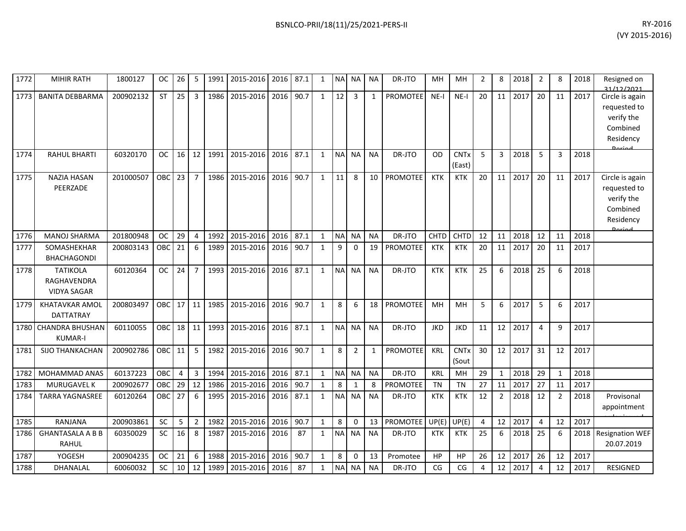| 1772 | <b>MIHIR RATH</b>                                    | 1800127   | <b>OC</b>  | 26              | 5              | 1991 | 2015-2016 | 2016 | 87.1 | $\mathbf{1}$ | <b>NA</b> | <b>NA</b>      | <b>NA</b>    | DR-JTO          | MН          | MH                               | $\overline{2}$ | 8              | 2018 | 2              | 8              | 2018 | Resigned on<br>31/12/2021                                                        |
|------|------------------------------------------------------|-----------|------------|-----------------|----------------|------|-----------|------|------|--------------|-----------|----------------|--------------|-----------------|-------------|----------------------------------|----------------|----------------|------|----------------|----------------|------|----------------------------------------------------------------------------------|
| 1773 | <b>BANITA DEBBARMA</b>                               | 200902132 | <b>ST</b>  | 25              | $\overline{3}$ | 1986 | 2015-2016 | 2016 | 90.7 | $\mathbf{1}$ | 12        | 3              | $\mathbf{1}$ | <b>PROMOTEE</b> | $NE-I$      | $NE-I$                           | 20             | 11             | 2017 | 20             | 11             | 2017 | Circle is again<br>requested to<br>verify the<br>Combined<br>Residency<br>Doriad |
| 1774 | <b>RAHUL BHARTI</b>                                  | 60320170  | <b>OC</b>  | 16              | 12             | 1991 | 2015-2016 | 2016 | 87.1 | $\mathbf{1}$ | <b>NA</b> | <b>NA</b>      | <b>NA</b>    | DR-JTO          | OD          | <b>CNT<sub>x</sub></b><br>(East) | 5              | 3              | 2018 | 5              | 3              | 2018 |                                                                                  |
| 1775 | <b>NAZIA HASAN</b><br>PEERZADE                       | 201000507 | <b>OBC</b> | 23              | $\overline{7}$ | 1986 | 2015-2016 | 2016 | 90.7 | $\mathbf{1}$ | 11        | 8              | 10           | <b>PROMOTEE</b> | <b>KTK</b>  | <b>KTK</b>                       | 20             | 11             | 2017 | 20             | 11             | 2017 | Circle is again<br>requested to<br>verify the<br>Combined<br>Residency<br>Dariad |
| 1776 | <b>MANOJ SHARMA</b>                                  | 201800948 | <b>OC</b>  | 29              | $\overline{4}$ | 1992 | 2015-2016 | 2016 | 87.1 | $\mathbf{1}$ | <b>NA</b> | <b>NA</b>      | <b>NA</b>    | DR-JTO          | <b>CHTD</b> | <b>CHTD</b>                      | 12             | 11             | 2018 | 12             | 11             | 2018 |                                                                                  |
| 1777 | SOMASHEKHAR<br><b>BHACHAGONDI</b>                    | 200803143 | OBC        | 21              | 6              | 1989 | 2015-2016 | 2016 | 90.7 | $\mathbf{1}$ | 9         | 0              | 19           | <b>PROMOTEE</b> | <b>KTK</b>  | <b>KTK</b>                       | 20             | 11             | 2017 | 20             | 11             | 2017 |                                                                                  |
| 1778 | <b>TATIKOLA</b><br>RAGHAVENDRA<br><b>VIDYA SAGAR</b> | 60120364  | <b>OC</b>  | 24              | $\overline{7}$ | 1993 | 2015-2016 | 2016 | 87.1 | $\mathbf{1}$ | <b>NA</b> | <b>NA</b>      | <b>NA</b>    | DR-JTO          | <b>KTK</b>  | <b>KTK</b>                       | 25             | 6              | 2018 | 25             | 6              | 2018 |                                                                                  |
| 1779 | <b>KHATAVKAR AMOL</b><br>DATTATRAY                   | 200803497 | OBC        | 17              | 11             | 1985 | 2015-2016 | 2016 | 90.7 | $\mathbf{1}$ | 8         | 6              | 18           | PROMOTEE        | <b>MH</b>   | <b>MH</b>                        | 5              | 6              | 2017 | 5              | 6              | 2017 |                                                                                  |
| 1780 | <b>CHANDRA BHUSHAN</b><br><b>KUMAR-I</b>             | 60110055  | <b>OBC</b> | 18 <sup>1</sup> | 11             | 1993 | 2015-2016 | 2016 | 87.1 | $\mathbf{1}$ | <b>NA</b> | <b>NA</b>      | <b>NA</b>    | DR-JTO          | <b>JKD</b>  | <b>JKD</b>                       | 11             | 12             | 2017 | 4              | q              | 2017 |                                                                                  |
| 1781 | <b>SIJO THANKACHAN</b>                               | 200902786 | <b>OBC</b> | 11              | 5              | 1982 | 2015-2016 | 2016 | 90.7 | $\mathbf{1}$ | 8         | $\overline{2}$ | 1            | <b>PROMOTEE</b> | <b>KRL</b>  | <b>CNTx</b><br>(Sout             | 30             | 12             | 2017 | 31             | 12             | 2017 |                                                                                  |
| 1782 | <b>MOHAMMAD ANAS</b>                                 | 60137223  | OBC        | $\overline{4}$  | 3              | 1994 | 2015-2016 | 2016 | 87.1 | $\mathbf{1}$ | <b>NA</b> | <b>NA</b>      | <b>NA</b>    | DR-JTO          | <b>KRL</b>  | <b>MH</b>                        | 29             | $\mathbf{1}$   | 2018 | 29             | $\mathbf{1}$   | 2018 |                                                                                  |
| 1783 | MURUGAVEL K                                          | 200902677 | OBC        | 29              | 12             | 1986 | 2015-2016 | 2016 | 90.7 | $\mathbf{1}$ | 8         | 1              | 8            | <b>PROMOTEE</b> | <b>TN</b>   | <b>TN</b>                        | 27             | 11             | 2017 | 27             | 11             | 2017 |                                                                                  |
| 1784 | <b>TARRA YAGNASREE</b>                               | 60120264  | OBC        | 27              | 6              | 1995 | 2015-2016 | 2016 | 87.1 | $\mathbf{1}$ | <b>NA</b> | <b>NA</b>      | <b>NA</b>    | DR-JTO          | <b>KTK</b>  | <b>KTK</b>                       | 12             | $\overline{2}$ | 2018 | 12             | $\overline{2}$ | 2018 | Provisonal<br>appointment                                                        |
| 1785 | RANJANA                                              | 200903861 | SC         | 5               | $\overline{2}$ | 1982 | 2015-2016 | 2016 | 90.7 | $\mathbf{1}$ | 8         | 0              | 13           | PROMOTEE        | UP(E)       | UP(E)                            | 4              | 12             | 2017 | $\overline{4}$ | 12             | 2017 |                                                                                  |
| 1786 | <b>GHANTASALA A B B</b><br>RAHUL                     | 60350029  | <b>SC</b>  | 16              | 8              | 1987 | 2015-2016 | 2016 | 87   | $\mathbf{1}$ | <b>NA</b> | <b>NA</b>      | <b>NA</b>    | DR-JTO          | <b>KTK</b>  | <b>KTK</b>                       | 25             | 6              | 2018 | 25             | 6              | 2018 | <b>Resignation WEF</b><br>20.07.2019                                             |
| 1787 | YOGESH                                               | 200904235 | <b>OC</b>  | 21              | 6              | 1988 | 2015-2016 | 2016 | 90.7 | $\mathbf{1}$ | 8         | $\Omega$       | 13           | Promotee        | HP          | HP                               | 26             | 12             | 2017 | 26             | 12             | 2017 |                                                                                  |
| 1788 | DHANALAL                                             | 60060032  | SC         | 10              | 12             | 1989 | 2015-2016 | 2016 | 87   | $\mathbf{1}$ | <b>NA</b> | <b>NA</b>      | <b>NA</b>    | DR-JTO          | CG          | CG                               | 4              | 12             | 2017 | $\overline{4}$ | 12             | 2017 | <b>RESIGNED</b>                                                                  |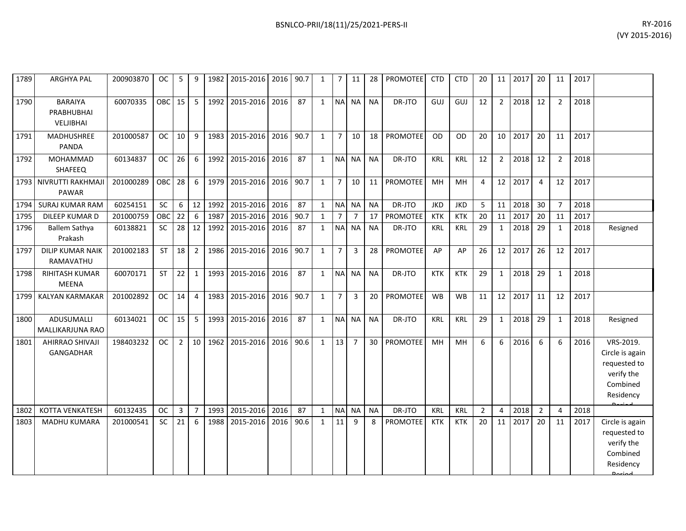| RY-2016        |
|----------------|
| (VY 2015-2016) |

| 1789 | ARGHYA PAL                                       | 200903870 | OC.       | 5              | 9              | 1982 | 2015-2016 | 2016 | 90.7 | 1            | 7              | 11             | 28        | <b>PROMOTEE</b> | <b>CTD</b> | <b>CTD</b> | 20             | 11             | 2017 | 20             | 11             | 2017 |                                                                                     |
|------|--------------------------------------------------|-----------|-----------|----------------|----------------|------|-----------|------|------|--------------|----------------|----------------|-----------|-----------------|------------|------------|----------------|----------------|------|----------------|----------------|------|-------------------------------------------------------------------------------------|
| 1790 | <b>BARAIYA</b><br>PRABHUBHAI<br><b>VELJIBHAI</b> | 60070335  | OBC       | 15             | 5              | 1992 | 2015-2016 | 2016 | 87   | $\mathbf{1}$ | N <sub>A</sub> | <b>NA</b>      | <b>NA</b> | DR-JTO          | GUJ        | GUJ        | 12             | $\overline{2}$ | 2018 | 12             | $\overline{2}$ | 2018 |                                                                                     |
| 1791 | MADHUSHREE<br><b>PANDA</b>                       | 201000587 | <b>OC</b> | 10             | 9              | 1983 | 2015-2016 | 2016 | 90.7 | $\mathbf{1}$ | $\overline{7}$ | 10             | 18        | <b>PROMOTEE</b> | OD         | OD         | 20             | 10             | 2017 | 20             | 11             | 2017 |                                                                                     |
| 1792 | MOHAMMAD<br>SHAFEEQ                              | 60134837  | <b>OC</b> | 26             | 6              | 1992 | 2015-2016 | 2016 | 87   | $\mathbf{1}$ |                | NA NA          | <b>NA</b> | DR-JTO          | <b>KRL</b> | <b>KRL</b> | 12             | $\overline{2}$ | 2018 | 12             | $\overline{2}$ | 2018 |                                                                                     |
| 1793 | NIVRUTTI RAKHMAJI<br>PAWAR                       | 201000289 | OBC       | 28             | 6              | 1979 | 2015-2016 | 2016 | 90.7 | $\mathbf{1}$ | 7              | 10             | 11        | <b>PROMOTEE</b> | MH         | MH         | 4              | 12             | 2017 | 4              | 12             | 2017 |                                                                                     |
| 1794 | <b>SURAJ KUMAR RAM</b>                           | 60254151  | <b>SC</b> | 6              | 12             | 1992 | 2015-2016 | 2016 | 87   | $\mathbf{1}$ | <b>NA</b>      | <b>NA</b>      | <b>NA</b> | DR-JTO          | <b>JKD</b> | <b>JKD</b> | 5              | 11             | 2018 | 30             | $\overline{7}$ | 2018 |                                                                                     |
| 1795 | DILEEP KUMAR D                                   | 201000759 | OBC       | 22             | 6              | 1987 | 2015-2016 | 2016 | 90.7 | $\mathbf{1}$ | $\overline{7}$ | $\overline{7}$ | 17        | <b>PROMOTEE</b> | <b>KTK</b> | <b>KTK</b> | 20             | 11             | 2017 | 20             | 11             | 2017 |                                                                                     |
| 1796 | <b>Ballem Sathya</b><br>Prakash                  | 60138821  | <b>SC</b> | 28             | 12             | 1992 | 2015-2016 | 2016 | 87   | $\mathbf{1}$ | <b>NA</b>      | <b>NA</b>      | <b>NA</b> | DR-JTO          | <b>KRL</b> | <b>KRL</b> | 29             | $\mathbf{1}$   | 2018 | 29             | 1              | 2018 | Resigned                                                                            |
| 1797 | <b>DILIP KUMAR NAIK</b><br>RAMAVATHU             | 201002183 | <b>ST</b> | 18             | $\overline{2}$ | 1986 | 2015-2016 | 2016 | 90.7 | $\mathbf{1}$ | $\overline{7}$ | $\overline{3}$ | 28        | <b>PROMOTEE</b> | AP         | AP         | 26             | 12             | 2017 | 26             | 12             | 2017 |                                                                                     |
| 1798 | <b>RIHITASH KUMAR</b><br><b>MEENA</b>            | 60070171  | <b>ST</b> | 22             | $\mathbf{1}$   | 1993 | 2015-2016 | 2016 | 87   | $\mathbf{1}$ |                | NA NA          | <b>NA</b> | DR-JTO          | <b>KTK</b> | <b>KTK</b> | 29             | $\mathbf{1}$   | 2018 | 29             | $\mathbf{1}$   | 2018 |                                                                                     |
| 1799 | KALYAN KARMAKAR                                  | 201002892 | OC        | 14             | $\overline{4}$ | 1983 | 2015-2016 | 2016 | 90.7 | $\mathbf{1}$ | $\overline{7}$ | 3              | 20        | <b>PROMOTEE</b> | <b>WB</b>  | <b>WB</b>  | 11             | 12             | 2017 | 11             | 12             | 2017 |                                                                                     |
| 1800 | ADUSUMALLI<br>MALLIKARJUNA RAO                   | 60134021  | <b>OC</b> | 15             | 5              | 1993 | 2015-2016 | 2016 | 87   | $\mathbf{1}$ |                | NA NA          | <b>NA</b> | DR-JTO          | <b>KRL</b> | KRL        | 29             | $\mathbf{1}$   | 2018 | 29             | $\mathbf{1}$   | 2018 | Resigned                                                                            |
| 1801 | AHIRRAO SHIVAJI<br>GANGADHAR                     | 198403232 | <b>OC</b> | $\overline{2}$ | 10             | 1962 | 2015-2016 | 2016 | 90.6 | $\mathbf{1}$ | 13             | $\overline{7}$ | 30        | <b>PROMOTEE</b> | MH         | MH         | 6              | 6              | 2016 | 6              | 6              | 2016 | VRS-2019.<br>Circle is again<br>requested to<br>verify the<br>Combined<br>Residency |
| 1802 | <b>KOTTA VENKATESH</b>                           | 60132435  | <b>OC</b> | $\mathsf 3$    | $\overline{7}$ | 1993 | 2015-2016 | 2016 | 87   | $\mathbf{1}$ | <b>NA</b>      | <b>NA</b>      | <b>NA</b> | DR-JTO          | <b>KRL</b> | <b>KRL</b> | $\overline{2}$ | $\overline{4}$ | 2018 | $\overline{2}$ | $\overline{4}$ | 2018 |                                                                                     |
| 1803 | <b>MADHU KUMARA</b>                              | 201000541 | SC        | 21             | 6              | 1988 | 2015-2016 | 2016 | 90.6 | $\mathbf{1}$ | 11             | 9              | 8         | <b>PROMOTEE</b> | <b>KTK</b> | <b>KTK</b> | 20             | 11             | 2017 | 20             | 11             | 2017 | Circle is again<br>requested to<br>verify the<br>Combined<br>Residency              |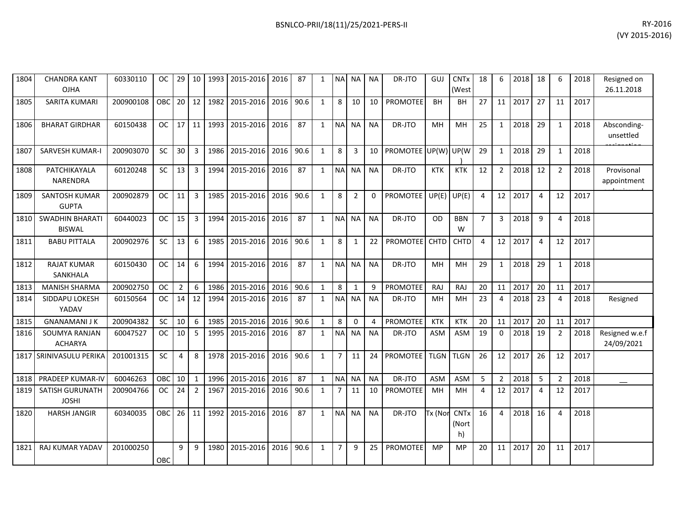| 1804 | <b>CHANDRA KANT</b><br><b>OJHA</b>      | 60330110  | OC.           |                 |                 |      | 29   10   1993   2015-2016   2016 |      | 87   | 1            |                | NA NA NA       |              | DR-JTO                  | GUJ              | <b>CNT<sub>x</sub></b><br>(West | 18             | 6              | 2018 18 |                |                | 2018 | Resigned on<br>26.11.2018    |
|------|-----------------------------------------|-----------|---------------|-----------------|-----------------|------|-----------------------------------|------|------|--------------|----------------|----------------|--------------|-------------------------|------------------|---------------------------------|----------------|----------------|---------|----------------|----------------|------|------------------------------|
| 1805 | SARITA KUMARI                           | 200900108 | <b>OBC</b>    | 20              | 12              | 1982 | 2015-2016                         | 2016 | 90.6 | $\mathbf{1}$ | 8              | 10             | 10           | <b>PROMOTEE</b>         | <b>BH</b>        | BH                              | 27             | 11             | 2017    | 27             | 11             | 2017 |                              |
| 1806 | <b>BHARAT GIRDHAR</b>                   | 60150438  | <b>OC</b>     | 17 <sup>1</sup> | 11 <sup>1</sup> | 1993 | 2015-2016                         | 2016 | 87   | $\mathbf{1}$ | <b>NA</b>      | NA I           | <b>NA</b>    | DR-JTO                  | MH               | MH                              | 25             | $\mathbf{1}$   | 2018    | 29             | $\mathbf{1}$   | 2018 | Absconding-<br>unsettled     |
| 1807 | <b>SARVESH KUMAR-I</b>                  | 200903070 | <b>SC</b>     | 30              | $\overline{3}$  | 1986 | 2015-2016                         | 2016 | 90.6 | $\mathbf{1}$ | 8              | 3              |              | 10 PROMOTEE UP(W) UP(W) |                  |                                 | 29             | $\mathbf{1}$   | 2018    | 29             | $\mathbf{1}$   | 2018 |                              |
| 1808 | PATCHIKAYALA<br>NARENDRA                | 60120248  | SC.           | 13              | $\overline{3}$  | 1994 | 2015-2016                         | 2016 | 87   | $\mathbf{1}$ |                | NA NA          | <b>NA</b>    | DR-JTO                  | <b>KTK</b>       | KTK                             | 12             | $\overline{2}$ | 2018    | 12             | $\overline{2}$ | 2018 | Provisonal<br>appointment    |
| 1809 | <b>SANTOSH KUMAR</b><br><b>GUPTA</b>    | 200902879 | OC .          | 11              | 3               | 1985 | 2015-2016                         | 2016 | 90.6 | $\mathbf{1}$ | 8              | $\overline{2}$ | $\mathbf{0}$ | <b>PROMOTEE</b>         | $UP(E)$ UP $(E)$ |                                 | 4              | 12             | 2017    | $\overline{4}$ | 12             | 2017 |                              |
| 1810 | <b>SWADHIN BHARATI</b><br><b>BISWAL</b> | 60440023  | <b>OC</b>     | 15              | $\overline{3}$  | 1994 | 2015-2016                         | 2016 | 87   | $\mathbf{1}$ | <b>NA</b>      | NA I           | <b>NA</b>    | DR-JTO                  | OD               | <b>BBN</b><br>W                 | $\overline{7}$ | $\overline{3}$ | 2018    | 9              | 4              | 2018 |                              |
| 1811 | <b>BABU PITTALA</b>                     | 200902976 | SC            | 13              | 6               | 1985 | 2015-2016                         | 2016 | 90.6 | $\mathbf{1}$ | 8              | $\mathbf{1}$   | 22           | PROMOTEE CHTD           |                  | <b>CHTD</b>                     | 4              | 12             | 2017    | $\overline{4}$ | 12             | 2017 |                              |
| 1812 | <b>RAJAT KUMAR</b><br>SANKHALA          | 60150430  | <b>OC</b>     | 14              | 6               | 1994 | 2015-2016                         | 2016 | 87   | $\mathbf{1}$ |                | NA NA          | <b>NA</b>    | DR-JTO                  | MH               | <b>MH</b>                       | 29             | $\mathbf{1}$   | 2018    | 29             | $\mathbf{1}$   | 2018 |                              |
| 1813 | <b>MANISH SHARMA</b>                    | 200902750 | <b>OC</b>     | $\overline{2}$  | 6               | 1986 | 2015-2016                         | 2016 | 90.6 | $\mathbf{1}$ | 8              | 1              | 9            | PROMOTEE                | <b>RAJ</b>       | RAJ                             | 20             | 11             | 2017    | 20             | 11             | 2017 |                              |
| 1814 | SIDDAPU LOKESH<br>YADAV                 | 60150564  | <b>OC</b>     | 14              | 12              | 1994 | 2015-2016                         | 2016 | 87   | $\mathbf{1}$ |                | NA NA          | <b>NA</b>    | DR-JTO                  | MH               | MН                              | 23             | 4              | 2018    | 23             | 4              | 2018 | Resigned                     |
| 1815 | <b>GNANAMANI J K</b>                    | 200904382 | <b>SC</b>     | 10              | 6               | 1985 | 2015-2016                         | 2016 | 90.6 | $\mathbf{1}$ | 8              | $\Omega$       | 4            | <b>PROMOTEE</b>         | <b>KTK</b>       | <b>KTK</b>                      | 20             | 11             | 2017    | 20             | 11             | 2017 |                              |
| 1816 | SOUMYA RANJAN<br><b>ACHARYA</b>         | 60047527  | <sub>OC</sub> | 10              | 5               | 1995 | 2015-2016                         | 2016 | 87   | $\mathbf{1}$ |                | NA NA          | <b>NA</b>    | DR-JTO                  | <b>ASM</b>       | <b>ASM</b>                      | 19             | $\Omega$       | 2018    | 19             | $\overline{2}$ | 2018 | Resigned w.e.f<br>24/09/2021 |
|      | 1817 SRINIVASULU PERIKA                 | 201001315 | <b>SC</b>     | $\overline{4}$  | 8               | 1978 | 2015-2016                         | 2016 | 90.6 | $\mathbf{1}$ | $\overline{7}$ | 11             | 24           | <b>PROMOTEE</b>         | TLGN TLGN        |                                 | 26             | 12             | 2017    | 26             | 12             | 2017 |                              |
| 1818 | <b>PRADEEP KUMAR-IV</b>                 | 60046263  | OBC           | 10              | $\mathbf{1}$    | 1996 | 2015-2016                         | 2016 | 87   | $\mathbf{1}$ |                | NA NA          | <b>NA</b>    | DR-JTO                  | <b>ASM</b>       | ASM                             | 5              | $\overline{2}$ | 2018    | -5             | $\overline{2}$ | 2018 |                              |
| 1819 | <b>SATISH GURUNATH</b><br><b>JOSHI</b>  | 200904766 | <b>OC</b>     | 24              | $\overline{2}$  | 1967 | 2015-2016                         | 2016 | 90.6 | $\mathbf{1}$ | $\overline{7}$ | 11             | 10           | <b>PROMOTEE</b>         | MH               | MH                              | 4              | 12             | 2017    | 4              | 12             | 2017 |                              |
| 1820 | <b>HARSH JANGIR</b>                     | 60340035  | <b>OBC</b>    | 26              | 11              | 1992 | 2015-2016                         | 2016 | 87   | $\mathbf{1}$ |                | NA NA          | <b>NA</b>    | DR-JTO                  | Tx (Nor          | <b>CNTx</b><br>(Nort<br>h)      | 16             | 4              | 2018    | 16             | 4              | 2018 |                              |
| 1821 | <b>RAJ KUMAR YADAV</b>                  | 201000250 | <b>OBC</b>    | 9               | 9               | 1980 | 2015-2016                         | 2016 | 90.6 | $\mathbf{1}$ | 7              | 9              | 25           | PROMOTEE                | <b>MP</b>        | <b>MP</b>                       | 20             | 11             | 2017    | 20             | 11             | 2017 |                              |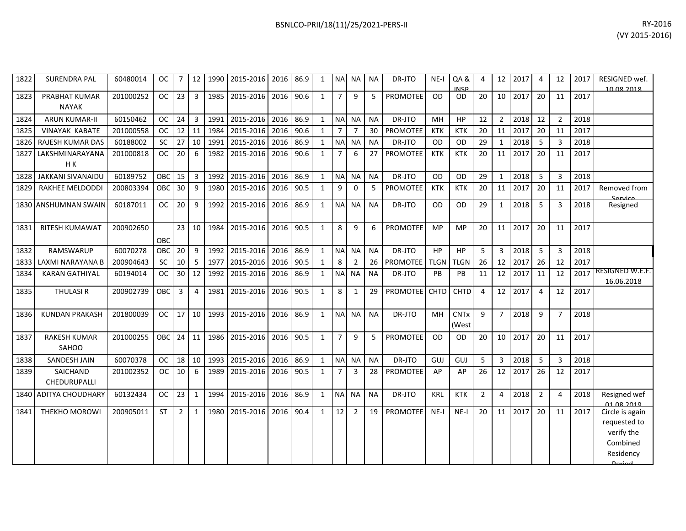| 1822 | <b>SURENDRA PAL</b>           | 60480014  | <b>OC</b>        | 7              | 12             | 1990 | 2015-2016      | 2016 | 86.9 | $\mathbf{1}$ | <b>NA</b>      | <b>NA</b>      | <b>NA</b> | DR-JTO          | $NE-I$      | QA&<br><b>INICD</b>  | $\Delta$       | 12             | 2017 | $\overline{4}$ | 12             | 2017 | RESIGNED wef.<br>10.08.2018                                            |
|------|-------------------------------|-----------|------------------|----------------|----------------|------|----------------|------|------|--------------|----------------|----------------|-----------|-----------------|-------------|----------------------|----------------|----------------|------|----------------|----------------|------|------------------------------------------------------------------------|
| 1823 | PRABHAT KUMAR<br><b>NAYAK</b> | 201000252 | <b>OC</b>        | 23             | $\overline{3}$ | 1985 | 2015-2016      | 2016 | 90.6 | $\mathbf{1}$ | $\overline{7}$ | 9              | 5         | <b>PROMOTEE</b> | OD          | <b>OD</b>            | 20             | 10             | 2017 | 20             | 11             | 2017 |                                                                        |
| 1824 | <b>ARUN KUMAR-II</b>          | 60150462  | <b>OC</b>        | 24             | $\overline{3}$ | 1991 | 2015-2016      | 2016 | 86.9 | $\mathbf{1}$ | <b>NA</b>      | <b>NA</b>      | <b>NA</b> | DR-JTO          | MH          | HP                   | 12             | $\overline{2}$ | 2018 | 12             | $\overline{2}$ | 2018 |                                                                        |
| 1825 | <b>VINAYAK KABATE</b>         | 201000558 | <b>OC</b>        | 12             | 11             | 1984 | 2015-2016      | 2016 | 90.6 | $\mathbf{1}$ | $\overline{7}$ | $\overline{7}$ | 30        | <b>PROMOTEE</b> | <b>KTK</b>  | <b>KTK</b>           | 20             | 11             | 2017 | 20             | 11             | 2017 |                                                                        |
| 1826 | RAJESH KUMAR DAS              | 60188002  | SC               | 27             | 10             | 1991 | 2015-2016      | 2016 | 86.9 | $\mathbf{1}$ | <b>NA</b>      | <b>NA</b>      | <b>NA</b> | DR-JTO          | OD          | <b>OD</b>            | 29             | $\mathbf{1}$   | 2018 | 5              | 3              | 2018 |                                                                        |
| 1827 | LAKSHMINARAYANA<br>H K        | 201000818 | <b>OC</b>        | 20             | 6              | 1982 | 2015-2016      | 2016 | 90.6 | $\mathbf{1}$ | $\overline{7}$ | 6              | 27        | PROMOTEE        | <b>KTK</b>  | <b>KTK</b>           | 20             | 11             | 2017 | 20             | 11             | 2017 |                                                                        |
| 1828 | <b>JAKKANI SIVANAIDU</b>      | 60189752  | <b>OBC</b>       | 15             | $\overline{3}$ | 1992 | 2015-2016      | 2016 | 86.9 | $\mathbf{1}$ | <b>NA</b>      | <b>NA</b>      | <b>NA</b> | DR-JTO          | OD          | <b>OD</b>            | 29             | $\mathbf{1}$   | 2018 | 5              | 3              | 2018 |                                                                        |
| 1829 | <b>RAKHEE MELDODDI</b>        | 200803394 | <b>OBC</b>       | 30             | 9              | 1980 | 2015-2016      | 2016 | 90.5 | $\mathbf{1}$ | 9              | 0              | 5         | <b>PROMOTEE</b> | KTK         | <b>KTK</b>           | 20             | 11             | 2017 | 20             | 11             | 2017 | Removed from<br>Sarvica                                                |
| 1830 | <b>ANSHUMNAN SWAIN</b>        | 60187011  | <b>OC</b>        | 20             | 9              | 1992 | 2015-2016      | 2016 | 86.9 | $\mathbf{1}$ | <b>NA</b>      | <b>NA</b>      | <b>NA</b> | DR-JTO          | OD          | <b>OD</b>            | 29             | $\mathbf{1}$   | 2018 | 5              | 3              | 2018 | Resigned                                                               |
| 1831 | RITESH KUMAWAT                | 200902650 | OBC              | 23             | 10             | 1984 | 2015-2016 2016 |      | 90.5 | $\mathbf{1}$ | 8              | 9              | 6         | PROMOTEE        | <b>MP</b>   | <b>MP</b>            | 20             | 11             | 2017 | 20             | 11             | 2017 |                                                                        |
| 1832 | RAMSWARUP                     | 60070278  | OBC              | 20             | 9              | 1992 | 2015-2016      | 2016 | 86.9 | $\mathbf{1}$ | <b>NA</b>      | <b>NA</b>      | <b>NA</b> | DR-JTO          | HP          | <b>HP</b>            | 5              | 3              | 2018 | 5              | 3              | 2018 |                                                                        |
| 1833 | LAXMI NARAYANA B              | 200904643 | <b>SC</b>        | 10             | 5              | 1977 | 2015-2016      | 2016 | 90.5 | $\mathbf{1}$ | 8              | 2              | 26        | <b>PROMOTEE</b> | <b>TLGN</b> | <b>TLGN</b>          | 26             | 12             | 2017 | 26             | 12             | 2017 |                                                                        |
| 1834 | <b>KARAN GATHIYAL</b>         | 60194014  | <b>OC</b>        | 30             | 12             | 1992 | 2015-2016 2016 |      | 86.9 | $\mathbf{1}$ | <b>NA</b>      | <b>NA</b>      | <b>NA</b> | DR-JTO          | PB          | <b>PB</b>            | 11             | 12             | 2017 | 11             | 12             | 2017 | RESIGNED W.E.F.<br>16.06.2018                                          |
| 1835 | <b>THULASIR</b>               | 200902739 | OBC              | 3              | $\overline{4}$ | 1981 | 2015-2016      | 2016 | 90.5 | $\mathbf{1}$ | 8              | 1              | 29        | <b>PROMOTEE</b> | <b>CHTD</b> | <b>CHTD</b>          | $\overline{4}$ | 12             | 2017 | $\overline{4}$ | 12             | 2017 |                                                                        |
| 1836 | <b>KUNDAN PRAKASH</b>         | 201800039 | <b>OC</b>        | 17             | 10             | 1993 | 2015-2016      | 2016 | 86.9 | $\mathbf{1}$ | N <sub>A</sub> | <b>NA</b>      | <b>NA</b> | DR-JTO          | MH          | <b>CNTx</b><br>(West | $\mathsf{q}$   | $\overline{7}$ | 2018 | 9              | $\overline{7}$ | 2018 |                                                                        |
| 1837 | <b>RAKESH KUMAR</b><br>SAHOO  | 201000255 | OBC <sub>1</sub> | 24             | 11             | 1986 | 2015-2016      | 2016 | 90.5 | $\mathbf{1}$ | $\overline{7}$ | 9              | 5         | <b>PROMOTEE</b> | OD          | <b>OD</b>            | 20             | 10             | 2017 | 20             | 11             | 2017 |                                                                        |
| 1838 | SANDESH JAIN                  | 60070378  | <b>OC</b>        | 18             | 10             | 1993 | 2015-2016      | 2016 | 86.9 | $\mathbf{1}$ | <b>NA</b>      | <b>NA</b>      | <b>NA</b> | DR-JTO          | GUJ         | GUJ                  | 5              | 3              | 2018 | 5              | $\overline{3}$ | 2018 |                                                                        |
| 1839 | SAICHAND<br>CHEDURUPALLI      | 201002352 | <b>OC</b>        | 10             | 6              | 1989 | 2015-2016      | 2016 | 90.5 | $\mathbf{1}$ | $\overline{7}$ | 3              | 28        | <b>PROMOTEE</b> | AP          | AP                   | 26             | 12             | 2017 | 26             | 12             | 2017 |                                                                        |
| 1840 | <b>ADITYA CHOUDHARY</b>       | 60132434  | <b>OC</b>        | 23             | 1              | 1994 | 2015-2016      | 2016 | 86.9 | $\mathbf{1}$ | <b>NA</b>      | <b>NA</b>      | <b>NA</b> | DR-JTO          | <b>KRL</b>  | <b>KTK</b>           | $\overline{2}$ | 4              | 2018 | $\overline{2}$ | 4              | 2018 | Resigned wef<br><u>01.08.2010</u>                                      |
| 1841 | THEKHO MOROWI                 | 200905011 | <b>ST</b>        | $\overline{2}$ | 1              | 1980 | 2015-2016      | 2016 | 90.4 | $\mathbf{1}$ | 12             | 2              | 19        | <b>PROMOTEE</b> | $NE-I$      | $NE-I$               | 20             | 11             | 2017 | 20             | 11             | 2017 | Circle is again<br>requested to<br>verify the<br>Combined<br>Residency |

Period.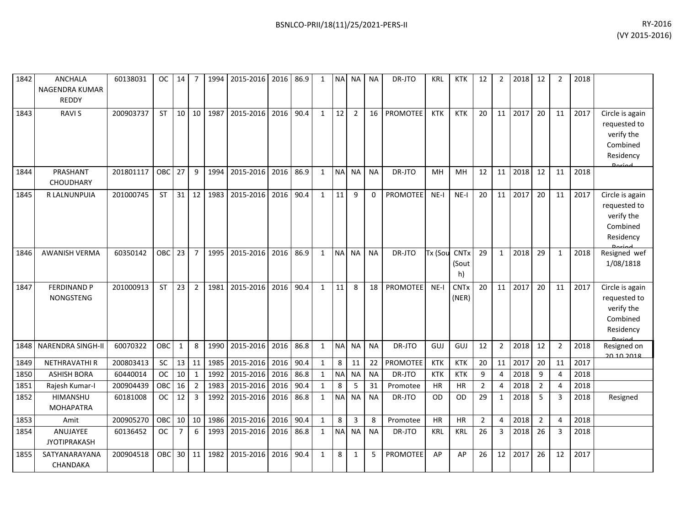| 1842 | <b>ANCHALA</b><br>NAGENDRA KUMAR<br><b>REDDY</b> | 60138031  | OC.        | 14             | 7              | 1994 | 2015-2016 | 2016 86.9 |      |              | <b>NA</b> | NA.            | NA        | DR-JTO          | KRL        | <b>KTK</b>                 | 12             | 2              | 2018 | 12             | 2              | 2018 |                                                                                         |
|------|--------------------------------------------------|-----------|------------|----------------|----------------|------|-----------|-----------|------|--------------|-----------|----------------|-----------|-----------------|------------|----------------------------|----------------|----------------|------|----------------|----------------|------|-----------------------------------------------------------------------------------------|
| 1843 | <b>RAVIS</b>                                     | 200903737 | <b>ST</b>  | 10             | 10             | 1987 | 2015-2016 | 2016      | 90.4 | $\mathbf{1}$ | 12        | $\overline{2}$ | 16        | <b>PROMOTEE</b> | <b>KTK</b> | <b>KTK</b>                 | 20             | 11             | 2017 | 20             | 11             | 2017 | Circle is again<br>requested to<br>verify the<br>Combined<br>Residency<br>لممنعها       |
| 1844 | PRASHANT<br><b>CHOUDHARY</b>                     | 201801117 | OBC        | 27             | 9              | 1994 | 2015-2016 | 2016      | 86.9 | $\mathbf{1}$ | <b>NA</b> | <b>NA</b>      | <b>NA</b> | DR-JTO          | MH         | MH                         | 12             | 11             | 2018 | 12             | 11             | 2018 |                                                                                         |
| 1845 | R LALNUNPUIA                                     | 201000745 | <b>ST</b>  | 31             | 12             | 1983 | 2015-2016 | 2016      | 90.4 | $\mathbf{1}$ | 11        | $\mathsf{q}$   | $\Omega$  | <b>PROMOTEE</b> | $NE-I$     | $NE-I$                     | 20             | 11             | 2017 | 20             | 11             | 2017 | Circle is again<br>requested to<br>verify the<br>Combined<br>Residency<br><b>Dariad</b> |
| 1846 | <b>AWANISH VERMA</b>                             | 60350142  | <b>OBC</b> | 23             | $\overline{7}$ | 1995 | 2015-2016 | 2016      | 86.9 | $\mathbf{1}$ | <b>NA</b> | <b>NA</b>      | <b>NA</b> | DR-JTO          | Tx (Soι    | <b>CNTx</b><br>(Sout<br>h) | 29             | $\mathbf{1}$   | 2018 | 29             | $\mathbf{1}$   | 2018 | Resigned wef<br>1/08/1818                                                               |
| 1847 | <b>FERDINAND P</b><br><b>NONGSTENG</b>           | 201000913 | <b>ST</b>  | 23             | $\overline{2}$ | 1981 | 2015-2016 | 2016      | 90.4 | $\mathbf{1}$ | 11        | 8              | 18        | <b>PROMOTEE</b> | $NE-I$     | <b>CNTx</b><br>(NER)       | 20             | 11             | 2017 | 20             | 11             | 2017 | Circle is again<br>requested to<br>verify the<br>Combined<br>Residency                  |
| 1848 | NARENDRA SINGH-II                                | 60070322  | OBC        | $\mathbf{1}$   | 8              | 1990 | 2015-2016 | 2016      | 86.8 | 1            | <b>NA</b> | <b>NA</b>      | <b>NA</b> | DR-JTO          | GUJ        | GUJ                        | 12             | $\overline{2}$ | 2018 | 12             | $\overline{2}$ | 2018 | Resigned on<br>20.10.2018                                                               |
| 1849 | <b>NETHRAVATHIR</b>                              | 200803413 | <b>SC</b>  | 13             | 11             | 1985 | 2015-2016 | 2016      | 90.4 | 1            | 8         | 11             | 22        | <b>PROMOTEE</b> | <b>KTK</b> | <b>KTK</b>                 | 20             | 11             | 2017 | 20             | 11             | 2017 |                                                                                         |
| 1850 | <b>ASHISH BORA</b>                               | 60440014  | <b>OC</b>  | 10             | $\mathbf{1}$   | 1992 | 2015-2016 | 2016      | 86.8 | 1            | <b>NA</b> | <b>NA</b>      | <b>NA</b> | DR-JTO          | <b>KTK</b> | <b>KTK</b>                 | 9              | $\overline{4}$ | 2018 | 9              | 4              | 2018 |                                                                                         |
| 1851 | Rajesh Kumar-I                                   | 200904439 | OBC        | 16             | $\overline{2}$ | 1983 | 2015-2016 | 2016      | 90.4 | $\mathbf{1}$ | 8         | 5              | 31        | Promotee        | <b>HR</b>  | <b>HR</b>                  | $\overline{2}$ | $\overline{4}$ | 2018 | $\overline{2}$ | $\overline{4}$ | 2018 |                                                                                         |
| 1852 | <b>HIMANSHU</b><br><b>MOHAPATRA</b>              | 60181008  | OC.        | 12             | 3              | 1992 | 2015-2016 | 2016      | 86.8 | 1            | <b>NA</b> | <b>NA</b>      | <b>NA</b> | DR-JTO          | OD.        | <b>OD</b>                  | 29             | $\mathbf{1}$   | 2018 | 5              | 3              | 2018 | Resigned                                                                                |
| 1853 | Amit                                             | 200905270 | <b>OBC</b> | 10             | 10             | 1986 | 2015-2016 | 2016      | 90.4 | $\mathbf{1}$ | 8         | 3              | 8         | Promotee        | <b>HR</b>  | HR                         | $\overline{2}$ | $\overline{4}$ | 2018 | $\overline{2}$ | 4              | 2018 |                                                                                         |
| 1854 | ANUJAYEE<br><b>JYOTIPRAKASH</b>                  | 60136452  | <b>OC</b>  | $\overline{7}$ | 6              | 1993 | 2015-2016 | 2016      | 86.8 | 1            | <b>NA</b> | <b>NA</b>      | <b>NA</b> | DR-JTO          | <b>KRL</b> | KRL                        | 26             | 3              | 2018 | 26             | 3              | 2018 |                                                                                         |

200904518 OBC 30 11 1982 2015-2016 2016 90.4 1 8 1 5 PROMOTEE AP AP 26 12 2017 26 12 2017

1855 SATYANARAYANA CHANDAKA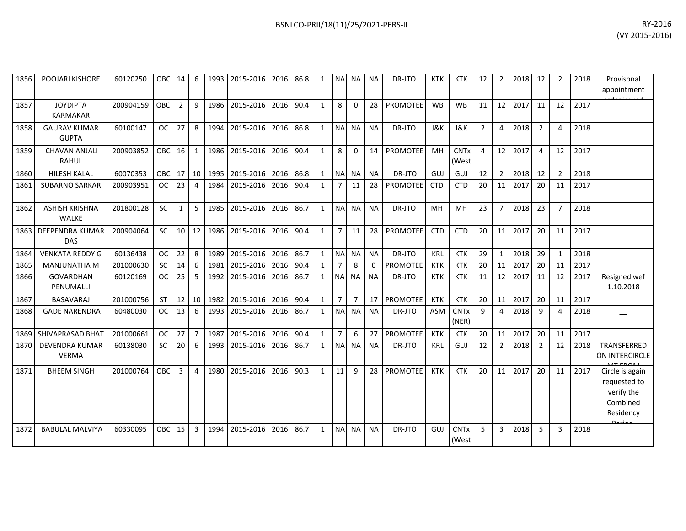| 1856 | POOJARI KISHORE                       | 60120250  | OBC       | 14              | 6              | 1993 | 2015-2016 | 2016 | 86.8 | 1            | <b>NA</b>      | NA.            | <b>NA</b> | DR-JTO          | <b>KTK</b>     | <b>KTK</b>                      | 12             | 2              | 2018 | 12             |                | 2018 | Provisonal<br>appointment                                              |
|------|---------------------------------------|-----------|-----------|-----------------|----------------|------|-----------|------|------|--------------|----------------|----------------|-----------|-----------------|----------------|---------------------------------|----------------|----------------|------|----------------|----------------|------|------------------------------------------------------------------------|
| 1857 | <b>JOYDIPTA</b><br><b>KARMAKAR</b>    | 200904159 | OBC       | $\overline{2}$  | 9              | 1986 | 2015-2016 | 2016 | 90.4 | $\mathbf{1}$ | 8              | $\Omega$       | 28        | <b>PROMOTEE</b> | <b>WB</b>      | <b>WB</b>                       | 11             | 12             | 2017 | 11             | 12             | 2017 |                                                                        |
| 1858 | <b>GAURAV KUMAR</b><br><b>GUPTA</b>   | 60100147  | <b>OC</b> | 27              | 8              | 1994 | 2015-2016 | 2016 | 86.8 | $\mathbf{1}$ | <b>NA</b>      | <b>NA</b>      | <b>NA</b> | DR-JTO          | <b>J&amp;K</b> | <b>J&amp;K</b>                  | $\overline{2}$ | 4              | 2018 | $\overline{2}$ | 4              | 2018 |                                                                        |
| 1859 | <b>CHAVAN ANJALI</b><br><b>RAHUL</b>  | 200903852 | OBC       | 16              | $\mathbf{1}$   | 1986 | 2015-2016 | 2016 | 90.4 | $\mathbf{1}$ | 8              | $\Omega$       | 14        | PROMOTEE        | MH             | <b>CNTx</b><br>(West            | 4              | 12             | 2017 | $\overline{4}$ | 12             | 2017 |                                                                        |
| 1860 | <b>HILESH KALAL</b>                   | 60070353  | OBC       | 17              | 10             | 1995 | 2015-2016 | 2016 | 86.8 | $\mathbf{1}$ | <b>NA</b>      | <b>NA</b>      | <b>NA</b> | DR-JTO          | GUJ            | GUJ                             | 12             | $\overline{2}$ | 2018 | 12             | $\overline{2}$ | 2018 |                                                                        |
| 1861 | <b>SUBARNO SARKAR</b>                 | 200903951 | <b>OC</b> | 23              | 4              | 1984 | 2015-2016 | 2016 | 90.4 | $\mathbf{1}$ | $\overline{7}$ | 11             | 28        | <b>PROMOTEE</b> | <b>CTD</b>     | <b>CTD</b>                      | 20             | 11             | 2017 | 20             | 11             | 2017 |                                                                        |
| 1862 | <b>ASHISH KRISHNA</b><br><b>WALKE</b> | 201800128 | <b>SC</b> | $\mathbf{1}$    | 5              | 1985 | 2015-2016 | 2016 | 86.7 | $\mathbf{1}$ | <b>NA</b>      | <b>NA</b>      | <b>NA</b> | DR-JTO          | MH             | MH                              | 23             | $7^{\circ}$    | 2018 | 23             | $\overline{7}$ | 2018 |                                                                        |
| 1863 | <b>DEEPENDRA KUMAR</b><br>DAS         | 200904064 | <b>SC</b> | 10 <sup>1</sup> | 12             | 1986 | 2015-2016 | 2016 | 90.4 | $\mathbf{1}$ | $\overline{7}$ | 11             | 28        | PROMOTEE        | <b>CTD</b>     | <b>CTD</b>                      | 20             | 11             | 2017 | 20             | 11             | 2017 |                                                                        |
| 1864 | <b>VENKATA REDDY G</b>                | 60136438  | <b>OC</b> | 22              | 8              | 1989 | 2015-2016 | 2016 | 86.7 | $\mathbf{1}$ |                | NA NA          | <b>NA</b> | DR-JTO          | KRL            | <b>KTK</b>                      | 29             | $\mathbf{1}$   | 2018 | 29             |                | 2018 |                                                                        |
| 1865 | <b>MANJUNATHA M</b>                   | 201000630 | <b>SC</b> | 14              | 6              | 1981 | 2015-2016 | 2016 | 90.4 | $\mathbf{1}$ | $\overline{7}$ | 8              | $\Omega$  | <b>PROMOTEE</b> | <b>KTK</b>     | <b>KTK</b>                      | 20             | 11             | 2017 | 20             | 11             | 2017 |                                                                        |
| 1866 | <b>GOVARDHAN</b><br>PENUMALLI         | 60120169  | <b>OC</b> | 25              | 5              | 1992 | 2015-2016 | 2016 | 86.7 | $\mathbf{1}$ |                | NA NA          | <b>NA</b> | DR-JTO          | <b>KTK</b>     | <b>KTK</b>                      | 11             | 12             | 2017 | 11             | 12             | 2017 | Resigned wef<br>1.10.2018                                              |
| 1867 | <b>BASAVARAJ</b>                      | 201000756 | <b>ST</b> | 12              | 10             | 1982 | 2015-2016 | 2016 | 90.4 | $\mathbf{1}$ | $\overline{7}$ | $\overline{7}$ | 17        | <b>PROMOTEE</b> | <b>KTK</b>     | <b>KTK</b>                      | 20             | 11             | 2017 | 20             | 11             | 2017 |                                                                        |
| 1868 | <b>GADE NARENDRA</b>                  | 60480030  | <b>OC</b> | 13              | 6              | 1993 | 2015-2016 | 2016 | 86.7 | $\mathbf{1}$ | <b>NA</b>      | <b>NA</b>      | <b>NA</b> | DR-JTO          | <b>ASM</b>     | <b>CNTx</b><br>(NER)            | 9              | 4              | 2018 | 9              | Δ              | 2018 |                                                                        |
| 1869 | SHIVAPRASAD BHAT                      | 201000661 | <b>OC</b> | 27              | $\overline{7}$ | 1987 | 2015-2016 | 2016 | 90.4 | $\mathbf{1}$ | $\overline{7}$ | 6              | 27        | <b>PROMOTEE</b> | <b>KTK</b>     | <b>KTK</b>                      | 20             | 11             | 2017 | 20             | 11             | 2017 |                                                                        |
| 1870 | <b>DEVENDRA KUMAR</b><br><b>VERMA</b> | 60138030  | <b>SC</b> | 20              | 6              | 1993 | 2015-2016 | 2016 | 86.7 | $\mathbf{1}$ | <b>NA</b>      | <b>NA</b>      | <b>NA</b> | DR-JTO          | KRL            | GUJ                             | 12             | $\overline{2}$ | 2018 | $\overline{2}$ | 12             | 2018 | TRANSFERRED<br>ON INTERCIRCLE                                          |
| 1871 | <b>BHEEM SINGH</b>                    | 201000764 | OBC       | 3               | 4              | 1980 | 2015-2016 | 2016 | 90.3 | $\mathbf{1}$ | 11             | 9              | 28        | <b>PROMOTEE</b> | <b>KTK</b>     | <b>KTK</b>                      | 20             | 11             | 2017 | 20             | 11             | 2017 | Circle is again<br>requested to<br>verify the<br>Combined<br>Residency |
| 1872 | <b>BABULAL MALVIYA</b>                | 60330095  | OBC       | 15              | $\overline{3}$ | 1994 | 2015-2016 | 2016 | 86.7 | $\mathbf{1}$ | <b>NA</b>      | <b>NA</b>      | <b>NA</b> | DR-JTO          | GUJ            | <b>CNT<sub>x</sub></b><br>(West | 5              | $\overline{3}$ | 2018 | 5              | 3              | 2018 |                                                                        |

)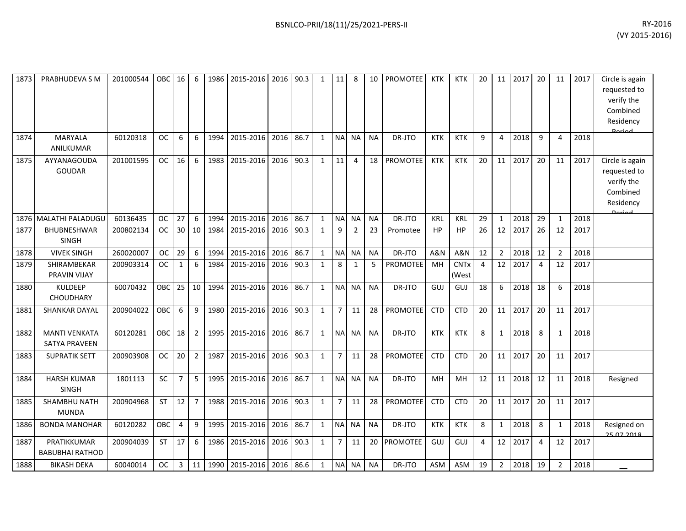| 1873 | PRABHUDEVA S M          | 201000544 | OBC       | 16             | 6              | 1986 | 2015-2016           | 2016 | 90.3 | 1            | 11             | 8              | 10        | <b>PROMOTEE</b> | <b>KTK</b>     | <b>KTK</b>             | 20             | 11             | 2017 | 20             | 11             | 2017 | Circle is again |
|------|-------------------------|-----------|-----------|----------------|----------------|------|---------------------|------|------|--------------|----------------|----------------|-----------|-----------------|----------------|------------------------|----------------|----------------|------|----------------|----------------|------|-----------------|
|      |                         |           |           |                |                |      |                     |      |      |              |                |                |           |                 |                |                        |                |                |      |                |                |      | requested to    |
|      |                         |           |           |                |                |      |                     |      |      |              |                |                |           |                 |                |                        |                |                |      |                |                |      | verify the      |
|      |                         |           |           |                |                |      |                     |      |      |              |                |                |           |                 |                |                        |                |                |      |                |                |      | Combined        |
|      |                         |           |           |                |                |      |                     |      |      |              |                |                |           |                 |                |                        |                |                |      |                |                |      | Residency       |
|      |                         |           |           |                |                |      |                     |      |      |              |                |                |           |                 |                |                        |                |                |      |                |                |      |                 |
| 1874 | <b>MARYALA</b>          | 60120318  | <b>OC</b> | 6              | 6              | 1994 | 2015-2016           | 2016 | 86.7 | 1            | <b>NA</b>      | <b>NA</b>      | <b>NA</b> | DR-JTO          | <b>KTK</b>     | <b>KTK</b>             | 9              | 4              | 2018 | 9              | 4              | 2018 |                 |
|      | ANILKUMAR               |           |           |                |                |      |                     |      |      |              |                |                |           |                 |                |                        |                |                |      |                |                |      |                 |
| 1875 | AYYANAGOUDA             | 201001595 | <b>OC</b> | 16             | 6              | 1983 | 2015-2016           | 2016 | 90.3 | $\mathbf{1}$ | 11             | 4              | 18        | <b>PROMOTEE</b> | <b>KTK</b>     | <b>KTK</b>             | 20             | 11             | 2017 | 20             | 11             | 2017 | Circle is again |
|      | <b>GOUDAR</b>           |           |           |                |                |      |                     |      |      |              |                |                |           |                 |                |                        |                |                |      |                |                |      | requested to    |
|      |                         |           |           |                |                |      |                     |      |      |              |                |                |           |                 |                |                        |                |                |      |                |                |      | verify the      |
|      |                         |           |           |                |                |      |                     |      |      |              |                |                |           |                 |                |                        |                |                |      |                |                |      | Combined        |
|      |                         |           |           |                |                |      |                     |      |      |              |                |                |           |                 |                |                        |                |                |      |                |                |      | Residency       |
| 1876 | <b>MALATHI PALADUGU</b> | 60136435  | <b>OC</b> | 27             | 6              | 1994 | 2015-2016           | 2016 | 86.7 | 1            | <b>NA</b>      | <b>NA</b>      | <b>NA</b> | DR-JTO          | KRL            | <b>KRL</b>             | 29             | $\mathbf{1}$   | 2018 | 29             | $\mathbf{1}$   | 2018 | <b>Dorigal</b>  |
| 1877 | BHUBNESHWAR             | 200802134 | <b>OC</b> | 30             | 10             | 1984 | 2015-2016           | 2016 | 90.3 | $\mathbf{1}$ | 9              | $\overline{2}$ | 23        | Promotee        | <b>HP</b>      | <b>HP</b>              | 26             | 12             | 2017 | 26             | 12             | 2017 |                 |
|      | <b>SINGH</b>            |           |           |                |                |      |                     |      |      |              |                |                |           |                 |                |                        |                |                |      |                |                |      |                 |
| 1878 | <b>VIVEK SINGH</b>      | 260020007 | OC        | 29             | 6              | 1994 | 2015-2016           | 2016 | 86.7 | $\mathbf{1}$ | <b>NA</b>      | <b>NA</b>      | <b>NA</b> | DR-JTO          | <b>A&amp;N</b> | <b>A&amp;N</b>         | 12             | $\overline{2}$ | 2018 | 12             | $\overline{2}$ | 2018 |                 |
| 1879 | SHIRAMBEKAR             | 200903314 | <b>OC</b> | 1              | 6              | 1984 | 2015-2016           | 2016 | 90.3 | 1            | 8              | 1              | 5         | <b>PROMOTEE</b> | MH             | <b>CNT<sub>x</sub></b> | $\overline{4}$ | 12             | 2017 | $\overline{4}$ | 12             | 2017 |                 |
|      | PRAVIN VIJAY            |           |           |                |                |      |                     |      |      |              |                |                |           |                 |                | (West                  |                |                |      |                |                |      |                 |
| 1880 | <b>KULDEEP</b>          | 60070432  | OBC       | 25             | 10             | 1994 | 2015-2016           | 2016 | 86.7 | $\mathbf{1}$ | <b>NA</b>      | <b>NA</b>      | <b>NA</b> | DR-JTO          | GUJ            | GUJ                    | 18             | 6              | 2018 | 18             | 6              | 2018 |                 |
|      | <b>CHOUDHARY</b>        |           |           |                |                |      |                     |      |      |              |                |                |           |                 |                |                        |                |                |      |                |                |      |                 |
| 1881 | <b>SHANKAR DAYAL</b>    | 200904022 | OBC       | 6              | 9              | 1980 | 2015-2016           | 2016 | 90.3 | $\mathbf{1}$ | $\overline{7}$ | 11             | 28        | <b>PROMOTEE</b> | <b>CTD</b>     | <b>CTD</b>             | 20             | 11             | 2017 | 20             | 11             | 2017 |                 |
|      |                         |           |           |                |                |      |                     |      |      |              |                |                |           |                 |                |                        |                |                |      |                |                |      |                 |
| 1882 | <b>MANTI VENKATA</b>    | 60120281  | OBC       | 18             | $\overline{2}$ | 1995 | 2015-2016           | 2016 | 86.7 | $\mathbf{1}$ | <b>NA</b>      | <b>NA</b>      | <b>NA</b> | DR-JTO          | <b>KTK</b>     | <b>KTK</b>             | 8              | $\mathbf{1}$   | 2018 | 8              | 1              | 2018 |                 |
|      | <b>SATYA PRAVEEN</b>    |           |           |                |                |      |                     |      |      |              |                |                |           |                 |                |                        |                |                |      |                |                |      |                 |
| 1883 | <b>SUPRATIK SETT</b>    | 200903908 | <b>OC</b> | 20             | $\overline{2}$ | 1987 | 2015-2016           | 2016 | 90.3 | $\mathbf{1}$ | $\overline{7}$ | 11             | 28        | <b>PROMOTEE</b> | <b>CTD</b>     | <b>CTD</b>             | 20             | 11             | 2017 | 20             | 11             | 2017 |                 |
|      |                         |           |           |                |                |      |                     |      |      |              |                |                |           |                 |                |                        |                |                |      |                |                |      |                 |
| 1884 | <b>HARSH KUMAR</b>      | 1801113   | SC        | $\overline{7}$ | 5              | 1995 | 2015-2016           | 2016 | 86.7 | $\mathbf{1}$ | <b>NA</b>      | <b>NA</b>      | <b>NA</b> | DR-JTO          | MH             | MH                     | 12             | 11             | 2018 | 12             | 11             | 2018 | Resigned        |
|      | <b>SINGH</b>            |           |           |                |                |      |                     |      |      |              |                |                |           |                 |                |                        |                |                |      |                |                |      |                 |
| 1885 | SHAMBHU NATH            | 200904968 | <b>ST</b> | 12             | $\overline{7}$ | 1988 | 2015-2016           | 2016 | 90.3 | $\mathbf{1}$ | $\overline{7}$ | 11             | 28        | <b>PROMOTEE</b> | <b>CTD</b>     | <b>CTD</b>             | 20             | 11             | 2017 | 20             | 11             | 2017 |                 |
|      | <b>MUNDA</b>            |           |           |                |                |      |                     |      |      |              |                |                |           |                 |                |                        |                |                |      |                |                |      |                 |
| 1886 | <b>BONDA MANOHAR</b>    | 60120282  | OBC       | 4              | 9              | 1995 | 2015-2016           | 2016 | 86.7 | 1            | <b>NA</b>      | <b>NA</b>      | <b>NA</b> | DR-JTO          | <b>KTK</b>     | <b>KTK</b>             | 8              | $\mathbf{1}$   | 2018 | 8              | 1              | 2018 | Resigned on     |
|      |                         |           |           |                |                |      |                     |      |      |              |                |                |           |                 |                |                        |                |                |      |                |                |      | 25.07.2018      |
| 1887 | PRATIKKUMAR             | 200904039 | <b>ST</b> | 17             | 6              | 1986 | 2015-2016           | 2016 | 90.3 | $\mathbf{1}$ | $\overline{7}$ | 11             | 20        | <b>PROMOTEE</b> | GUJ            | GUJ                    | 4              | 12             | 2017 | 4              | 12             | 2017 |                 |
|      | <b>BABUBHAI RATHOD</b>  |           |           |                |                |      |                     |      |      |              |                |                |           |                 |                |                        |                |                |      |                |                |      |                 |
| 1888 | <b>BIKASH DEKA</b>      | 60040014  | <b>OC</b> | 3              | 11             | 1990 | 2015-2016 2016 86.6 |      |      | 1            | <b>NA</b>      | <b>NA</b>      | <b>NA</b> | DR-JTO          | <b>ASM</b>     | ASM                    | 19             | $\overline{2}$ | 2018 | 19             | $\overline{2}$ | 2018 |                 |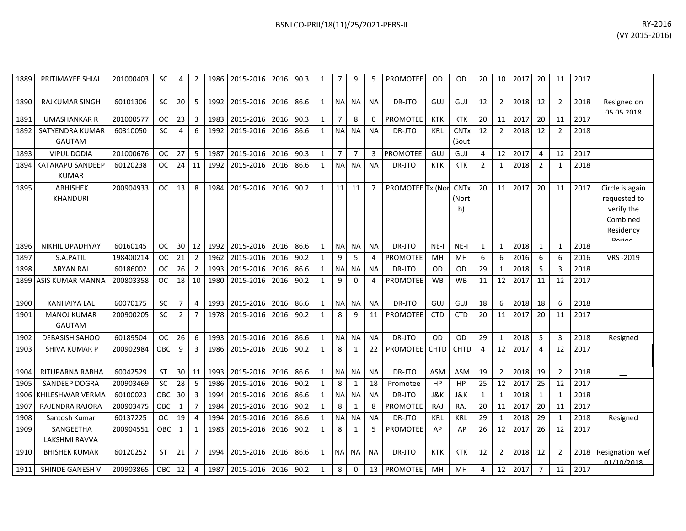| 1889 | PRITIMAYEE SHIAL                    | 201000403 | SC        | 4              | 2              | 1986 | 2015-2016   2016   90.3 |      |      | 1            | 7              | 9              | 5              | <b>PROMOTEE</b>  | 0D          | <b>OD</b>                  | 20             | 10 <sup>1</sup> | 2017 | 20             | 11             | 2017 |                                                                        |
|------|-------------------------------------|-----------|-----------|----------------|----------------|------|-------------------------|------|------|--------------|----------------|----------------|----------------|------------------|-------------|----------------------------|----------------|-----------------|------|----------------|----------------|------|------------------------------------------------------------------------|
| 1890 | <b>RAJKUMAR SINGH</b>               | 60101306  | SC        | 20             | 5              | 1992 | 2015-2016               | 2016 | 86.6 | $\mathbf{1}$ | <b>NA</b>      | <b>NA</b>      | <b>NA</b>      | DR-JTO           | GUJ         | GUJ                        | 12             | $\overline{2}$  | 2018 | 12             | $\overline{2}$ | 2018 | Resigned on<br>05 05 2018                                              |
| 1891 | <b>UMASHANKAR R</b>                 | 201000577 | <b>OC</b> | 23             | 3              | 1983 | 2015-2016               | 2016 | 90.3 | $\mathbf{1}$ | $\overline{7}$ | 8              | 0              | PROMOTEE         | <b>KTK</b>  | <b>KTK</b>                 | 20             | 11              | 2017 | 20             | 11             | 2017 |                                                                        |
| 1892 | SATYENDRA KUMAR<br><b>GAUTAM</b>    | 60310050  | SC        | $\overline{4}$ | 6              | 1992 | 2015-2016               | 2016 | 86.6 | $\mathbf{1}$ | <b>NA</b>      | <b>NA</b>      | <b>NA</b>      | DR-JTO           | <b>KRL</b>  | <b>CNTx</b><br>(Sout       | 12             | $\overline{2}$  | 2018 | 12             | $\overline{2}$ | 2018 |                                                                        |
| 1893 | <b>VIPUL DODIA</b>                  | 201000676 | <b>OC</b> | 27             | 5              | 1987 | 2015-2016               | 2016 | 90.3 | $\mathbf{1}$ | $\overline{7}$ | $\overline{7}$ | 3              | <b>PROMOTEE</b>  | GUJ         | GUJ                        | 4              | 12              | 2017 | $\overline{4}$ | 12             | 2017 |                                                                        |
| 1894 | KATARAPU SANDEEP<br><b>KUMAR</b>    | 60120238  | <b>OC</b> | 24             | 11             | 1992 | 2015-2016               | 2016 | 86.6 | $\mathbf{1}$ | <b>NA</b>      | <b>NA</b>      | <b>NA</b>      | DR-JTO           | <b>KTK</b>  | <b>KTK</b>                 | $\overline{2}$ | $\mathbf{1}$    | 2018 | $\overline{2}$ | $\mathbf{1}$   | 2018 |                                                                        |
| 1895 | <b>ABHISHEK</b><br><b>KHANDURI</b>  | 200904933 | <b>OC</b> | 13             | 8              | 1984 | 2015-2016               | 2016 | 90.2 | $\mathbf{1}$ | 11             | 11             | $\overline{7}$ | PROMOTEE Tx (Nor |             | <b>CNTx</b><br>(Nort<br>h) | 20             | 11              | 2017 | 20             | 11             | 2017 | Circle is again<br>requested to<br>verify the<br>Combined<br>Residency |
| 1896 | NIKHIL UPADHYAY                     | 60160145  | <b>OC</b> | 30             | 12             | 1992 | 2015-2016               | 2016 | 86.6 | $\mathbf{1}$ | <b>NA</b>      | <b>NA</b>      | <b>NA</b>      | DR-JTO           | $NE-I$      | $NE-I$                     | 1              | $\mathbf{1}$    | 2018 | $\mathbf{1}$   | $\mathbf{1}$   | 2018 |                                                                        |
| 1897 | S.A.PATIL                           | 198400214 | <b>OC</b> | 21             | $\overline{2}$ | 1962 | 2015-2016               | 2016 | 90.2 | $\mathbf{1}$ | 9              | 5              | 4              | PROMOTEE         | MH          | MH                         | 6              | 6               | 2016 | 6              | 6              | 2016 | VRS-2019                                                               |
| 1898 | <b>ARYAN RAJ</b>                    | 60186002  | ОC        | 26             | $\overline{2}$ | 1993 | 2015-2016               | 2016 | 86.6 | $\mathbf{1}$ | <b>NA</b>      | <b>NA</b>      | <b>NA</b>      | DR-JTO           | <b>OD</b>   | <b>OD</b>                  | 29             | 1               | 2018 | 5              |                | 2018 |                                                                        |
| 1899 | ASIS KUMAR MANNA                    | 200803358 | <b>OC</b> | 18             | 10             | 1980 | 2015-2016               | 2016 | 90.2 | $\mathbf{1}$ | 9              | $\mathbf 0$    | 4              | PROMOTEE         | <b>WB</b>   | <b>WB</b>                  | 11             | 12              | 2017 | 11             | 12             | 2017 |                                                                        |
| 1900 | <b>KANHAIYA LAL</b>                 | 60070175  | SC        | $\overline{7}$ | $\overline{4}$ | 1993 | 2015-2016               | 2016 | 86.6 | $\mathbf{1}$ | <b>NA</b>      | <b>NA</b>      | <b>NA</b>      | DR-JTO           | <b>GUJ</b>  | GUJ                        | 18             | 6               | 2018 | 18             | 6              | 2018 |                                                                        |
| 1901 | <b>MANOJ KUMAR</b><br><b>GAUTAM</b> | 200900205 | <b>SC</b> | $\overline{2}$ | $\overline{7}$ | 1978 | 2015-2016               | 2016 | 90.2 | $\mathbf{1}$ | 8              | 9              | 11             | <b>PROMOTEE</b>  | <b>CTD</b>  | <b>CTD</b>                 | 20             | 11              | 2017 | 20             | 11             | 2017 |                                                                        |
| 1902 | <b>DEBASISH SAHOO</b>               | 60189504  | <b>OC</b> | 26             | 6              | 1993 | 2015-2016               | 2016 | 86.6 | $\mathbf{1}$ | $\sf NA$       | <b>NA</b>      | <b>NA</b>      | DR-JTO           | <b>OD</b>   | <b>OD</b>                  | 29             | $\mathbf{1}$    | 2018 | 5              | 3              | 2018 | Resigned                                                               |
| 1903 | <b>SHIVA KUMAR P</b>                | 200902984 | OBC       | 9              | 3              | 1986 | 2015-2016               | 2016 | 90.2 | $\mathbf{1}$ | 8              | 1              | 22             | <b>PROMOTEE</b>  | <b>CHTD</b> | <b>CHTD</b>                | 4              | 12              | 2017 | $\overline{4}$ | 12             | 2017 |                                                                        |
| 1904 | RITUPARNA RABHA                     | 60042529  | <b>ST</b> | 30             | 11             | 1993 | 2015-2016               | 2016 | 86.6 | $\mathbf{1}$ | N <sub>A</sub> | <b>NA</b>      | <b>NA</b>      | DR-JTO           | <b>ASM</b>  | <b>ASM</b>                 | 19             | $\overline{2}$  | 2018 | 19             | $\overline{2}$ | 2018 |                                                                        |
| 1905 | SANDEEP DOGRA                       | 200903469 | <b>SC</b> | 28             | 5              | 1986 | 2015-2016               | 2016 | 90.2 | $\mathbf{1}$ | 8              | $\mathbf{1}$   | 18             | Promotee         | HP          | HP                         | 25             | 12              | 2017 | 25             | 12             | 2017 |                                                                        |
| 1906 | KHILESHWAR VERMA                    | 60100023  | OBC       | 30             | 3              | 1994 | 2015-2016               | 2016 | 86.6 | $\mathbf{1}$ | <b>NA</b>      | <b>NA</b>      | <b>NA</b>      | DR-JTO           | J&K         | J&K                        | $\mathbf{1}$   | $\mathbf{1}$    | 2018 | 1              | 1              | 2018 |                                                                        |
| 1907 | RAJENDRA RAJORA                     | 200903475 | OBC       | $\mathbf{1}$   | $\overline{7}$ | 1984 | 2015-2016               | 2016 | 90.2 | $\mathbf{1}$ | 8              | $\mathbf{1}$   | 8              | <b>PROMOTEE</b>  | <b>RAJ</b>  | RAJ                        | 20             | 11              | 2017 | 20             | 11             | 2017 |                                                                        |
| 1908 | Santosh Kumar                       | 60137225  | <b>OC</b> | 19             | $\overline{4}$ | 1994 | 2015-2016               | 2016 | 86.6 | $\mathbf{1}$ | <b>NA</b>      | <b>NA</b>      | <b>NA</b>      | DR-JTO           | <b>KRL</b>  | <b>KRL</b>                 | 29             | 1               | 2018 | 29             |                | 2018 | Resigned                                                               |
| 1909 | SANGEETHA<br>LAKSHMI RAVVA          | 200904551 | OBC       | $\mathbf 1$    | $\mathbf{1}$   | 1983 | 2015-2016               | 2016 | 90.2 | $\mathbf{1}$ | 8              | 1              | 5              | <b>PROMOTEE</b>  | AP          | AP                         | 26             | 12              | 2017 | 26             | 12             | 2017 |                                                                        |
| 1910 | <b>BHISHEK KUMAR</b>                | 60120252  | <b>ST</b> | 21             | $\overline{7}$ | 1994 | 2015-2016               | 2016 | 86.6 | $\mathbf{1}$ | <b>NA</b>      | <b>NA</b>      | <b>NA</b>      | DR-JTO           | <b>KTK</b>  | <b>KTK</b>                 | 12             | $\overline{2}$  | 2018 | 12             | $\overline{2}$ | 2018 | Resignation wef<br>01/10/2018                                          |
| 1911 | SHINDE GANESH V                     | 200903865 | OBC       | 12             | $\overline{4}$ | 1987 | 2015-2016               | 2016 | 90.2 | $\mathbf{1}$ | 8              | 0              | 13             | <b>PROMOTEE</b>  | MH          | <b>MH</b>                  | 4              | 12              | 2017 | $\overline{7}$ | 12             | 2017 |                                                                        |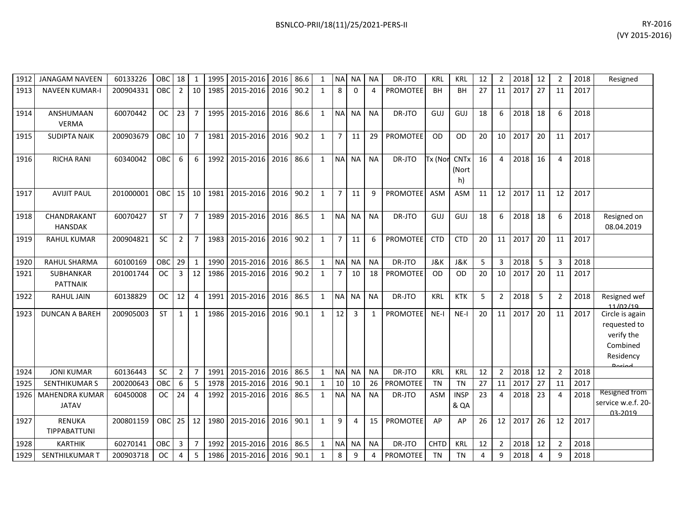| BSNLCO-PRII/18(11)/25/2021-PERS-II | RY-2016        |
|------------------------------------|----------------|
|                                    | (VY 2015-2016) |
|                                    |                |

| 1912 | <b>JANAGAM NAVEEN</b>                 | 60133226  | OBC        | 18             | 1              | 1995 | 2015-2016      | 2016 | 86.6 | 1            | <b>NA</b>      | <b>NA</b> | <b>NA</b> | DR-JTO          | <b>KRL</b> | <b>KRL</b>                     | 12 | $\overline{2}$ | 2018 | 12 | $\overline{2}$ | 2018 | Resigned                                                                          |
|------|---------------------------------------|-----------|------------|----------------|----------------|------|----------------|------|------|--------------|----------------|-----------|-----------|-----------------|------------|--------------------------------|----|----------------|------|----|----------------|------|-----------------------------------------------------------------------------------|
| 1913 | <b>NAVEEN KUMAR-I</b>                 | 200904331 | <b>OBC</b> | $\overline{2}$ | 10             | 1985 | 2015-2016      | 2016 | 90.2 | $\mathbf{1}$ | 8              | $\Omega$  | 4         | <b>PROMOTEE</b> | <b>BH</b>  | <b>BH</b>                      | 27 | 11             | 2017 | 27 | 11             | 2017 |                                                                                   |
| 1914 | ANSHUMAAN<br><b>VERMA</b>             | 60070442  | OC.        | 23             | $\overline{7}$ | 1995 | 2015-2016      | 2016 | 86.6 | $\mathbf{1}$ | NA NA          |           | <b>NA</b> | DR-JTO          | GUJ        | GUJ                            | 18 | 6              | 2018 | 18 | 6              | 2018 |                                                                                   |
| 1915 | <b>SUDIPTA NAIK</b>                   | 200903679 | OBC        | 10             | $\overline{7}$ | 1981 | 2015-2016      | 2016 | 90.2 | 1            | $\overline{7}$ | 11        | 29        | <b>PROMOTEE</b> | <b>OD</b>  | OD                             | 20 | 10             | 2017 | 20 | 11             | 2017 |                                                                                   |
| 1916 | <b>RICHA RANI</b>                     | 60340042  | <b>OBC</b> | 6              | 6              | 1992 | 2015-2016      | 2016 | 86.6 | $\mathbf{1}$ | <b>NA</b>      | <b>NA</b> | <b>NA</b> | DR-JTO          | Tx (Nor    | <b>CNTx</b><br>(Nort<br>h)     | 16 | $\overline{a}$ | 2018 | 16 | $\overline{4}$ | 2018 |                                                                                   |
| 1917 | <b>AVIJIT PAUL</b>                    | 201000001 | OBC I      | 15             | 10             | 1981 | 2015-2016      | 2016 | 90.2 | 1            | $\overline{7}$ | 11        | 9         | <b>PROMOTEE</b> | <b>ASM</b> | ASM                            | 11 | 12             | 2017 | 11 | 12             | 2017 |                                                                                   |
| 1918 | CHANDRAKANT<br><b>HANSDAK</b>         | 60070427  | <b>ST</b>  | $\overline{7}$ | $\overline{7}$ | 1989 | 2015-2016      | 2016 | 86.5 | 1            |                | NA NA     | <b>NA</b> | DR-JTO          | GUJ        | GUJ                            | 18 | 6              | 2018 | 18 | 6              | 2018 | Resigned on<br>08.04.2019                                                         |
| 1919 | <b>RAHUL KUMAR</b>                    | 200904821 | <b>SC</b>  | $\overline{2}$ | $\overline{7}$ | 1983 | 2015-2016      | 2016 | 90.2 | $\mathbf{1}$ | $\overline{7}$ | 11        | 6         | <b>PROMOTEE</b> | <b>CTD</b> | <b>CTD</b>                     | 20 | 11             | 2017 | 20 | 11             | 2017 |                                                                                   |
| 1920 | RAHUL SHARMA                          | 60100169  | OBC        | 29             | $\mathbf{1}$   | 1990 | 2015-2016      | 2016 | 86.5 | $\mathbf{1}$ | $\sf NA$       | <b>NA</b> | <b>NA</b> | DR-JTO          | J&K        | <b>J&amp;K</b>                 | 5  | 3              | 2018 | 5  | 3              | 2018 |                                                                                   |
| 1921 | <b>SUBHANKAR</b><br><b>PATTNAIK</b>   | 201001744 | <b>OC</b>  | 3              | 12             | 1986 | 2015-2016      | 2016 | 90.2 | $\mathbf{1}$ | $\overline{7}$ | 10        | 18        | <b>PROMOTEE</b> | <b>OD</b>  | OD                             | 20 | 10             | 2017 | 20 | 11             | 2017 |                                                                                   |
| 1922 | <b>RAHUL JAIN</b>                     | 60138829  | <b>OC</b>  | 12             | 4              | 1991 | 2015-2016      | 2016 | 86.5 | 1            | <b>NA</b>      | <b>NA</b> | <b>NA</b> | DR-JTO          | <b>KRL</b> | <b>KTK</b>                     | 5  | $\overline{2}$ | 2018 | 5  | $\overline{2}$ | 2018 | Resigned wef<br>11/02/10                                                          |
| 1923 | <b>DUNCAN A BAREH</b>                 | 200905003 | ST         | $\mathbf{1}$   | $\mathbf{1}$   | 1986 | 2015-2016      | 2016 | 90.1 | $\mathbf{1}$ | 12             | 3         |           | PROMOTEE        | $NE-I$     | $NE-I$                         | 20 | 11             | 2017 | 20 | 11             | 2017 | Circle is again<br>requested to<br>verify the<br>Combined<br>Residency<br>لممنعمه |
| 1924 | <b>JONI KUMAR</b>                     | 60136443  | <b>SC</b>  | $\overline{2}$ | $\overline{7}$ | 1991 | 2015-2016      | 2016 | 86.5 | $\mathbf{1}$ | NA NA          |           | <b>NA</b> | DR-JTO          | <b>KRL</b> | <b>KRL</b>                     | 12 | $\overline{2}$ | 2018 | 12 | $\overline{2}$ | 2018 |                                                                                   |
| 1925 | <b>SENTHIKUMAR S</b>                  | 200200643 | OBC        | 6              | 5              | 1978 | 2015-2016      | 2016 | 90.1 | 1            | 10             | 10        | 26        | PROMOTEE        | <b>TN</b>  | <b>TN</b>                      | 27 | 11             | 2017 | 27 | 11             | 2017 |                                                                                   |
| 1926 | <b>MAHENDRA KUMAR</b><br><b>JATAV</b> | 60450008  | OC.        | 24             | 4              | 1992 | 2015-2016      | 2016 | 86.5 | 1            | NAI            | l NA      | <b>NA</b> | DR-JTO          | <b>ASM</b> | <b>INSP</b><br><b>&amp; QA</b> | 23 | $\Delta$       | 2018 | 23 | 4              | 2018 | <b>Resigned from</b><br>service w.e.f. 20-<br>03-2019                             |
| 1927 | RENUKA<br>TIPPABATTUNI                | 200801159 | OBCI       | 25             | 12             | 1980 | 2015-2016      | 2016 | 90.1 | $\mathbf{1}$ | 9              | 4         | 15        | <b>PROMOTEE</b> | AP         | AP                             | 26 | 12             | 2017 | 26 | 12             | 2017 |                                                                                   |
| 1928 | <b>KARTHIK</b>                        | 60270141  | OBC        | 3              | $\overline{7}$ | 1992 | 2015-2016      | 2016 | 86.5 | 1            | <b>NA</b>      | <b>NA</b> | <b>NA</b> | DR-JTO          | CHTD       | <b>KRL</b>                     | 12 | $\overline{2}$ | 2018 | 12 | $\overline{2}$ | 2018 |                                                                                   |
| 1929 | SENTHILKUMAR T                        | 200903718 | <b>OC</b>  | 4              | 5              | 1986 | 2015-2016 2016 |      | 90.1 | 1            | 8              | 9         | 4         | <b>PROMOTEE</b> | TN         | <b>TN</b>                      | 4  | 9              | 2018 | 4  | 9              | 2018 |                                                                                   |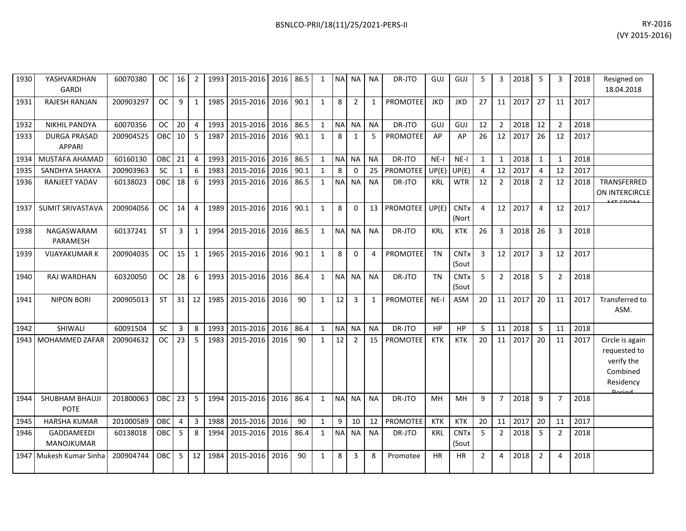| 1930 | YASHVARDHAN<br><b>GARDI</b>          | 60070380  | $OC$ $\blacksquare$ | 16 I         | 2              |      | 1993   2015-2016   2016   86.5 |      |      | 1            |           | NA NA NA       |              | DR-JTO          | GUJ        | GUJ                             | 5              | 3              | 2018 | 5              | 3              | 2018 | Resigned on<br>18.04.2018                                                         |
|------|--------------------------------------|-----------|---------------------|--------------|----------------|------|--------------------------------|------|------|--------------|-----------|----------------|--------------|-----------------|------------|---------------------------------|----------------|----------------|------|----------------|----------------|------|-----------------------------------------------------------------------------------|
| 1931 | <b>RAJESH RANJAN</b>                 | 200903297 | <b>OC</b>           | 9            | $\mathbf{1}$   | 1985 | 2015-2016                      | 2016 | 90.1 | $\mathbf{1}$ | 8         | $\overline{2}$ | $\mathbf{1}$ | <b>PROMOTEE</b> | <b>JKD</b> | <b>JKD</b>                      | 27             | 11             | 2017 | 27             | 11             | 2017 |                                                                                   |
| 1932 | <b>NIKHIL PANDYA</b>                 | 60070356  | OC.                 | 20           | 4              | 1993 | 2015-2016 2016                 |      | 86.5 | $\mathbf{1}$ |           | NA NA          | <b>NA</b>    | DR-JTO          | GUJ        | GUJ                             | 12             | $\overline{2}$ | 2018 | 12             | $\overline{2}$ | 2018 |                                                                                   |
| 1933 | <b>DURGA PRASAD</b><br><b>APPARI</b> | 200904525 | OBC                 | 10           | 5              | 1987 | 2015-2016                      | 2016 | 90.1 | $\mathbf{1}$ | 8         | $\mathbf{1}$   | 5            | PROMOTEE        | AP         | AP                              | 26             | 12             | 2017 | 26             | 12             | 2017 |                                                                                   |
| 1934 | MUSTAFA AHAMAD                       | 60160130  | OBC                 | 21           | $\overline{4}$ | 1993 | 2015-2016                      | 2016 | 86.5 | $\mathbf{1}$ | NA NA     |                | <b>NA</b>    | DR-JTO          | $NE-I$     | $NE-I$                          | $\mathbf{1}$   | $\mathbf{1}$   | 2018 | 1              | $\mathbf{1}$   | 2018 |                                                                                   |
| 1935 | SANDHYA SHAKYA                       | 200903963 | <b>SC</b>           | $\mathbf{1}$ | 6              | 1983 | 2015-2016                      | 2016 | 90.1 | $\mathbf{1}$ | 8         | $\Omega$       | 25           | <b>PROMOTEE</b> | UP(E)      | UP(E)                           | $\overline{4}$ | 12             | 2017 | $\overline{4}$ | 12             | 2017 |                                                                                   |
| 1936 | RANJEET YADAV                        | 60138023  | <b>OBC</b>          | 18           | 6              | 1993 | 2015-2016                      | 2016 | 86.5 | 1            | <b>NA</b> | <b>NA</b>      | <b>NA</b>    | DR-JTO          | <b>KRL</b> | <b>WTR</b>                      | 12             | 2              | 2018 | $\overline{2}$ | 12             | 2018 | TRANSFERRED<br>ON INTERCIRCLE                                                     |
| 1937 | <b>SUMIT SRIVASTAVA</b>              | 200904056 | <b>OC</b>           | 14           | 4              | 1989 | 2015-2016                      | 2016 | 90.1 | 1            | 8         | $\mathbf{0}$   | 13           | PROMOTEE UP(E)  |            | <b>CNTx</b><br>(Nort            | $\overline{4}$ | 12             | 2017 | $\overline{4}$ | 12             | 2017 |                                                                                   |
| 1938 | NAGASWARAM<br>PARAMESH               | 60137241  | <b>ST</b>           | 3            | 1              | 1994 | 2015-2016 2016                 |      | 86.5 | $\mathbf{1}$ |           | NA NA          | <b>NA</b>    | DR-JTO          | <b>KRL</b> | <b>KTK</b>                      | 26             | 3              | 2018 | 26             | 3              | 2018 |                                                                                   |
| 1939 | <b>VIJAYAKUMAR K</b>                 | 200904035 | <b>OC</b>           | 15           | 1              | 1965 | 2015-2016                      | 2016 | 90.1 | 1            | 8         | $\Omega$       | 4            | <b>PROMOTEE</b> | <b>TN</b>  | <b>CNT<sub>x</sub></b><br>(Sout | 3              | 12             | 2017 | 3              | 12             | 2017 |                                                                                   |
| 1940 | RAJ WARDHAN                          | 60320050  | <b>OC</b>           | 28           | 6              | 1993 | 2015-2016                      | 2016 | 86.4 | $\mathbf{1}$ | <b>NA</b> | <b>NA</b>      | <b>NA</b>    | DR-JTO          | <b>TN</b>  | <b>CNT<sub>x</sub></b><br>(Sout | 5              | $2^{\circ}$    | 2018 | 5              | $\overline{2}$ | 2018 |                                                                                   |
| 1941 | <b>NIPON BORI</b>                    | 200905013 | <b>ST</b>           | 31           | 12             | 1985 | 2015-2016 2016                 |      | 90   | $\mathbf{1}$ | 12        | 3              | $\mathbf{1}$ | <b>PROMOTEE</b> | $NE-I$     | <b>ASM</b>                      | 20             | 11             | 2017 | 20             | 11             | 2017 | Transferred to<br>ASM.                                                            |
| 1942 | SHIWALI                              | 60091504  | SC                  | $\mathbf{3}$ | 8              | 1993 | 2015-2016                      | 2016 | 86.4 | $\mathbf{1}$ |           | NA NA          | <b>NA</b>    | DR-JTO          | <b>HP</b>  | HP                              | 5              | 11             | 2018 | 5              | 11             | 2018 |                                                                                   |
| 1943 | <b>MOHAMMED ZAFAR</b>                | 200904632 | <b>OC</b>           | 23           | 5 <sup>5</sup> | 1983 | 2015-2016                      | 2016 | 90   | $\mathbf{1}$ | 12        | $\overline{2}$ | 15           | <b>PROMOTEE</b> | <b>KTK</b> | <b>KTK</b>                      | 20             | 11             | 2017 | 20             | 11             | 2017 | Circle is again<br>requested to<br>verify the<br>Combined<br>Residency<br>لممنعمه |
| 1944 | SHUBHAM BHAUJI<br><b>POTE</b>        | 201800063 | <b>OBC</b>          | 23           | 5              | 1994 | 2015-2016                      | 2016 | 86.4 | 1            | <b>NA</b> | <b>NA</b>      | <b>NA</b>    | DR-JTO          | MH         | MH                              | 9              | $\overline{7}$ | 2018 | -9             | $\overline{7}$ | 2018 |                                                                                   |
| 1945 | <b>HARSHA KUMAR</b>                  | 201000589 | <b>OBC</b>          | 4            | 3              | 1988 | 2015-2016                      | 2016 | 90   | $\mathbf{1}$ | 9         | 10             | 12           | PROMOTEE        | <b>KTK</b> | <b>KTK</b>                      | 20             | 11             | 2017 | 20             | 11             | 2017 |                                                                                   |
| 1946 | GADDAMEEDI<br><b>MANOJKUMAR</b>      | 60138018  | OBC                 | 5            | 8              | 1994 | 2015-2016                      | 2016 | 86.4 | $\mathbf{1}$ | <b>NA</b> | <b>NA</b>      | <b>NA</b>    | DR-JTO          | KRL        | <b>CNTx</b><br>(Sout            | 5              | $\overline{2}$ | 2018 | 5              | $\overline{2}$ | 2018 |                                                                                   |
|      | 1947   Mukesh Kumar Sinha            | 200904744 | OBC                 | 5            | 12             | 1984 | 2015-2016                      | 2016 | 90   | $\mathbf{1}$ | 8         | 3              | 8            | Promotee        | <b>HR</b>  | <b>HR</b>                       | $\overline{2}$ | 4              | 2018 | $\overline{2}$ | 4              | 2018 |                                                                                   |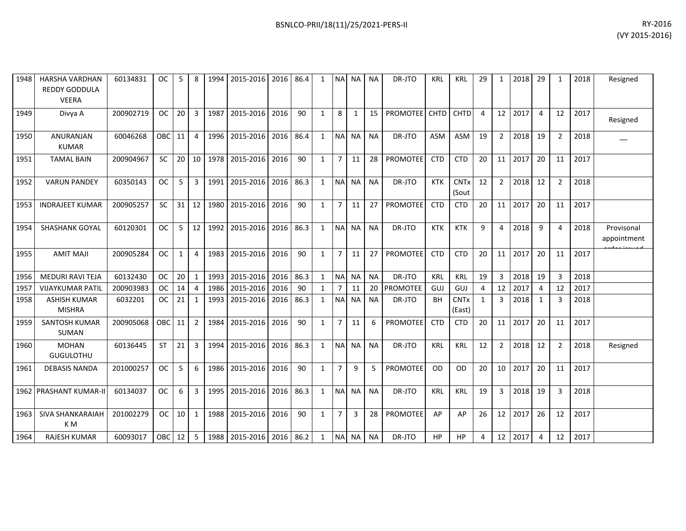| 1948 | <b>HARSHA VARDHAN</b><br><b>REDDY GODDULA</b><br><b>VEERA</b> | 60134831  | <b>OC</b>         | 5            | 8              |      | 1994 2015-2016 2016 86.4 |      |      | 1            |                | NA NA NA     |           | DR-JTO          | <b>KRL</b>  | <b>KRL</b>                       | 29           | $\mathbf{1}$    | 2018 | 29             | $\mathbf{1}$   | 2018 | Resigned                  |
|------|---------------------------------------------------------------|-----------|-------------------|--------------|----------------|------|--------------------------|------|------|--------------|----------------|--------------|-----------|-----------------|-------------|----------------------------------|--------------|-----------------|------|----------------|----------------|------|---------------------------|
| 1949 | Divya A                                                       | 200902719 | <b>OC</b>         | 20           | $\overline{3}$ | 1987 | 2015-2016                | 2016 | 90   | $\mathbf{1}$ | 8              | $\mathbf{1}$ | 15        | <b>PROMOTEE</b> | <b>CHTD</b> | <b>CHTD</b>                      | 4            | 12 <sup>2</sup> | 2017 | 4              | 12             | 2017 | Resigned                  |
| 1950 | <b>ANURANJAN</b><br><b>KUMAR</b>                              | 60046268  | OBC <sup>I</sup>  | 11           | $\overline{4}$ | 1996 | 2015-2016                | 2016 | 86.4 | $\mathbf{1}$ | <b>NA</b>      | <b>NA</b>    | <b>NA</b> | DR-JTO          | ASM         | <b>ASM</b>                       | 19           | $\overline{2}$  | 2018 | 19             | $\overline{2}$ | 2018 |                           |
| 1951 | <b>TAMAL BAIN</b>                                             | 200904967 | <b>SC</b>         | 20           | 10             | 1978 | 2015-2016                | 2016 | 90   | $\mathbf{1}$ | $\overline{7}$ | 11           | 28        | PROMOTEE        | <b>CTD</b>  | <b>CTD</b>                       | 20           | 11              | 2017 | 20             | 11             | 2017 |                           |
| 1952 | <b>VARUN PANDEY</b>                                           | 60350143  | <b>OC</b>         | 5            | $\overline{3}$ | 1991 | 2015-2016                | 2016 | 86.3 | $\mathbf{1}$ | <b>NA</b>      | <b>NA</b>    | <b>NA</b> | DR-JTO          | <b>KTK</b>  | <b>CNT<sub>x</sub></b><br>(Sout  | 12           | $\overline{2}$  | 2018 | 12             | $\overline{2}$ | 2018 |                           |
| 1953 | <b>INDRAJEET KUMAR</b>                                        | 200905257 | <b>SC</b>         | 31           | 12             | 1980 | 2015-2016                | 2016 | 90   | $\mathbf{1}$ | $\overline{7}$ | 11           | 27        | <b>PROMOTEE</b> | <b>CTD</b>  | <b>CTD</b>                       | 20           | 11              | 2017 | 20             | 11             | 2017 |                           |
| 1954 | <b>SHASHANK GOYAL</b>                                         | 60120301  | <b>OC</b>         | 5            | 12             | 1992 | 2015-2016                | 2016 | 86.3 | $\mathbf{1}$ | <b>NA</b>      | <b>NA</b>    | <b>NA</b> | DR-JTO          | <b>KTK</b>  | <b>KTK</b>                       | 9            | $\overline{4}$  | 2018 | 9              | 4              | 2018 | Provisonal<br>appointment |
| 1955 | <b>AMIT MAJI</b>                                              | 200905284 | <b>OC</b>         | $\mathbf{1}$ | $\overline{4}$ | 1983 | 2015-2016                | 2016 | 90   | $\mathbf{1}$ | $\overline{7}$ | 11           | 27        | <b>PROMOTEE</b> | <b>CTD</b>  | <b>CTD</b>                       | 20           | 11              | 2017 | 20             | 11             | 2017 |                           |
| 1956 | MEDURI RAVI TEJA                                              | 60132430  | <b>OC</b>         | 20           | 1              | 1993 | 2015-2016                | 2016 | 86.3 | $\mathbf{1}$ | <b>NA</b>      | <b>NA</b>    | <b>NA</b> | DR-JTO          | <b>KRL</b>  | <b>KRL</b>                       | 19           | 3               | 2018 | 19             | 3              | 2018 |                           |
| 1957 | <b>VIJAYKUMAR PATIL</b>                                       | 200903983 | <b>OC</b>         | 14           | $\overline{4}$ | 1986 | 2015-2016                | 2016 | 90   | $\mathbf{1}$ | $\overline{7}$ | 11           | 20        | <b>PROMOTEE</b> | GUJ         | GUJ                              | 4            | 12              | 2017 | 4              | 12             | 2017 |                           |
| 1958 | <b>ASHISH KUMAR</b><br><b>MISHRA</b>                          | 6032201   | <b>OC</b>         | 21           | 1              | 1993 | 2015-2016                | 2016 | 86.3 | $\mathbf{1}$ | <b>NA</b>      | <b>NA</b>    | <b>NA</b> | DR-JTO          | <b>BH</b>   | <b>CNT<sub>x</sub></b><br>(East) | $\mathbf{1}$ | $\overline{3}$  | 2018 | 1              | 3              | 2018 |                           |
| 1959 | <b>SANTOSH KUMAR</b><br><b>SUMAN</b>                          | 200905068 | OBC               | 11           | $\overline{2}$ | 1984 | 2015-2016                | 2016 | 90   | $\mathbf{1}$ | $\overline{7}$ | 11           | 6         | PROMOTEE        | <b>CTD</b>  | <b>CTD</b>                       | 20           | 11              | 2017 | 20             | 11             | 2017 |                           |
| 1960 | <b>MOHAN</b><br><b>GUGULOTHU</b>                              | 60136445  | <b>ST</b>         | 21           | $\overline{3}$ | 1994 | 2015-2016                | 2016 | 86.3 | $\mathbf{1}$ | N <sub>A</sub> | <b>NA</b>    | <b>NA</b> | DR-JTO          | <b>KRL</b>  | <b>KRL</b>                       | 12           | $\overline{2}$  | 2018 | 12             | $\overline{2}$ | 2018 | Resigned                  |
| 1961 | <b>DEBASIS NANDA</b>                                          | 201000257 | <b>OC</b>         | 5            | 6              | 1986 | 2015-2016                | 2016 | 90   | $\mathbf{1}$ | $\overline{7}$ | 9            | 5         | PROMOTEE        | OD          | OD                               | 20           | 10              | 2017 | 20             | 11             | 2017 |                           |
|      | 1962 PRASHANT KUMAR-II                                        | 60134037  | <b>OC</b>         | 6            | $\overline{3}$ | 1995 | 2015-2016                | 2016 | 86.3 | $\mathbf{1}$ | N <sub>A</sub> | <b>NA</b>    | <b>NA</b> | DR-JTO          | <b>KRL</b>  | <b>KRL</b>                       | 19           | $\mathbf{3}$    | 2018 | 19             | 3              | 2018 |                           |
| 1963 | SIVA SHANKARAIAH<br>K M                                       | 201002279 | <b>OC</b>         | 10           | $\mathbf{1}$   | 1988 | 2015-2016                | 2016 | 90   | $\mathbf{1}$ | $\overline{7}$ | 3            | 28        | PROMOTEE        | AP          | AP                               | 26           | 12              | 2017 | 26             | 12             | 2017 |                           |
| 1964 | <b>RAJESH KUMAR</b>                                           | 60093017  | OBC <sub>12</sub> |              | 5              | 1988 | 2015-2016 2016 86.2      |      |      | $\mathbf{1}$ | <b>NA</b>      | <b>NA</b>    | <b>NA</b> | DR-JTO          | <b>HP</b>   | <b>HP</b>                        | 4            | 12              | 2017 | $\overline{4}$ | 12             | 2017 |                           |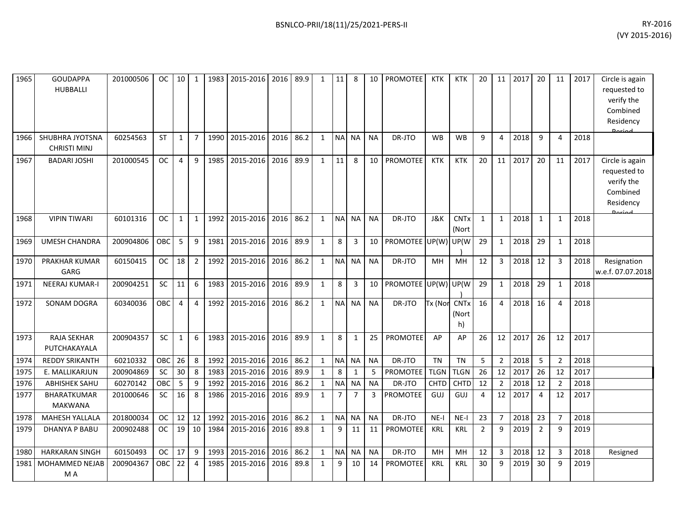| 1965 | <b>GOUDAPPA</b><br><b>HUBBALLI</b>     | 201000506 | OC.        | 10             | 1              | 1983 | 2015-2016 | 2016 | 89.9 | $\mathbf{1}$ | 11             | 8              | 10             | PROMOTEE             | KTK         | KTK                             | 20             | 11             | 2017 | 20             | 11             | 2017 | Circle is again<br>requested to<br>verify the<br>Combined<br>Residency |
|------|----------------------------------------|-----------|------------|----------------|----------------|------|-----------|------|------|--------------|----------------|----------------|----------------|----------------------|-------------|---------------------------------|----------------|----------------|------|----------------|----------------|------|------------------------------------------------------------------------|
| 1966 | SHUBHRA JYOTSNA<br><b>CHRISTI MINJ</b> | 60254563  | <b>ST</b>  | $\mathbf{1}$   | $\overline{7}$ | 1990 | 2015-2016 | 2016 | 86.2 | $\mathbf{1}$ | <b>NA</b>      | <b>NA</b>      | <b>NA</b>      | DR-JTO               | <b>WB</b>   | <b>WB</b>                       | 9              | 4              | 2018 | 9              | 4              | 2018 |                                                                        |
| 1967 | <b>BADARI JOSHI</b>                    | 201000545 | <b>OC</b>  | 4              | 9              | 1985 | 2015-2016 | 2016 | 89.9 | $\mathbf{1}$ | 11             | 8              | 10             | <b>PROMOTEE</b>      | <b>KTK</b>  | <b>KTK</b>                      | 20             | 11             | 2017 | 20             | 11             | 2017 | Circle is again<br>requested to<br>verify the<br>Combined<br>Residency |
| 1968 | <b>VIPIN TIWARI</b>                    | 60101316  | <b>OC</b>  | $\mathbf{1}$   | $\mathbf 1$    | 1992 | 2015-2016 | 2016 | 86.2 | $\mathbf{1}$ | <b>NA</b>      | <b>NA</b>      | <b>NA</b>      | DR-JTO               | J&K         | <b>CNT<sub>x</sub></b><br>(Nort | $\mathbf{1}$   | $\mathbf{1}$   | 2018 | 1              | 1              | 2018 |                                                                        |
| 1969 | <b>UMESH CHANDRA</b>                   | 200904806 | OBC        | 5              | 9              | 1981 | 2015-2016 | 2016 | 89.9 | $\mathbf{1}$ | 8              | $\mathbf{3}$   | 10             | PROMOTEE UP(W) UP(W) |             |                                 | 29             | $\mathbf{1}$   | 2018 | 29             | $\mathbf{1}$   | 2018 |                                                                        |
| 1970 | PRAKHAR KUMAR<br>GARG                  | 60150415  | <b>OC</b>  | 18             | $\overline{2}$ | 1992 | 2015-2016 | 2016 | 86.2 | $\mathbf{1}$ | <b>NA</b>      | <b>NA</b>      | <b>NA</b>      | DR-JTO               | MH          | <b>MH</b>                       | 12             | 3              | 2018 | 12             | 3              | 2018 | Resignation<br>w.e.f. 07.07.2018                                       |
| 1971 | <b>NEERAJ KUMAR-I</b>                  | 200904251 | SC         | 11             | 6              | 1983 | 2015-2016 | 2016 | 89.9 | $\mathbf{1}$ | 8              | 3              | 10             | PROMOTEE UP(W) UP(W  |             |                                 | 29             | $\mathbf{1}$   | 2018 | 29             | 1              | 2018 |                                                                        |
| 1972 | SONAM DOGRA                            | 60340036  | <b>OBC</b> | $\overline{4}$ | $\overline{4}$ | 1992 | 2015-2016 | 2016 | 86.2 | $\mathbf{1}$ | N <sub>A</sub> | <b>NA</b>      | <b>NA</b>      | DR-JTO               | Tx (Nor     | <b>CNTx</b><br>(Nort<br>h)      | 16             | 4              | 2018 | 16             | 4              | 2018 |                                                                        |
| 1973 | <b>RAJA SEKHAR</b><br>PUTCHAKAYALA     | 200904357 | SC         | $\mathbf{1}$   | 6              | 1983 | 2015-2016 | 2016 | 89.9 | $\mathbf{1}$ | 8              | 1              | 25             | <b>PROMOTEE</b>      | AP          | AP                              | 26             | 12             | 2017 | 26             | 12             | 2017 |                                                                        |
| 1974 | <b>REDDY SRIKANTH</b>                  | 60210332  | OBC        | 26             | 8              | 1992 | 2015-2016 | 2016 | 86.2 | $\mathbf{1}$ | N <sub>A</sub> | <b>NA</b>      | <b>NA</b>      | DR-JTO               | <b>TN</b>   | <b>TN</b>                       | 5              | $2^{\circ}$    | 2018 | 5              | $\mathfrak{p}$ | 2018 |                                                                        |
| 1975 | E. MALLIKARJUN                         | 200904869 | <b>SC</b>  | 30             | 8              | 1983 | 2015-2016 | 2016 | 89.9 | $\mathbf{1}$ | 8              | 1              | 5              | <b>PROMOTEE</b>      | <b>TLGN</b> | <b>TLGN</b>                     | 26             | 12             | 2017 | 26             | 12             | 2017 |                                                                        |
| 1976 | <b>ABHISHEK SAHU</b>                   | 60270142  | OBC        | 5              | 9              | 1992 | 2015-2016 | 2016 | 86.2 | $\mathbf{1}$ | <b>NA</b>      | NA             | <b>NA</b>      | DR-JTO               | CHTD        | <b>CHTD</b>                     | 12             | $\overline{2}$ | 2018 | 12             | $\overline{2}$ | 2018 |                                                                        |
| 1977 | <b>BHARATKUMAR</b><br><b>MAKWANA</b>   | 201000646 | SC         | 16             | 8              | 1986 | 2015-2016 | 2016 | 89.9 | $\mathbf{1}$ | $\overline{7}$ | $\overline{7}$ | $\overline{3}$ | <b>PROMOTEE</b>      | GUJ         | GUJ                             | 4              | 12             | 2017 | $\overline{4}$ | 12             | 2017 |                                                                        |
| 1978 | <b>MAHESH YALLALA</b>                  | 201800034 | <b>OC</b>  | 12             | 12             | 1992 | 2015-2016 | 2016 | 86.2 | $\mathbf{1}$ | N <sub>A</sub> | NA             | <b>NA</b>      | DR-JTO               | $NE-I$      | $NE-I$                          | 23             | $\overline{7}$ | 2018 | 23             |                | 2018 |                                                                        |
| 1979 | <b>DHANYA P BABU</b>                   | 200902488 | <b>OC</b>  | 19             | 10             | 1984 | 2015-2016 | 2016 | 89.8 | $\mathbf{1}$ | 9              | 11             | 11             | <b>PROMOTEE</b>      | KRL         | KRL                             | $\overline{2}$ | 9              | 2019 | $\overline{2}$ | 9              | 2019 |                                                                        |
| 1980 | <b>HARKARAN SINGH</b>                  | 60150493  | <b>OC</b>  | 17             | 9              | 1993 | 2015-2016 | 2016 | 86.2 | $\mathbf{1}$ | NA             | NA             | <b>NA</b>      | DR-JTO               | MH          | MН                              | 12             | $\mathbf{3}$   | 2018 | 12             | 3              | 2018 | Resigned                                                               |
| 1981 | MOHAMMED NEJAB<br>M A                  | 200904367 | OBC        | 22             | $\overline{4}$ | 1985 | 2015-2016 | 2016 | 89.8 | $\mathbf{1}$ | 9              | 10             | 14             | <b>PROMOTEE</b>      | KRL         | <b>KRL</b>                      | 30             | 9              | 2019 | 30             | 9              | 2019 |                                                                        |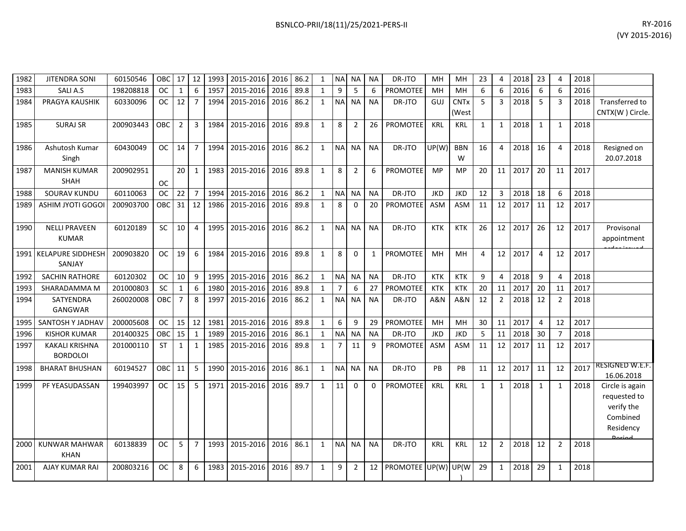| BSNLCO-PRII/18(11)/25/2021-PERS-II | RY-2016 |
|------------------------------------|---------|
|                                    | .       |

| 1982 | <b>JITENDRA SONI</b>                     | 60150546  | <b>OBC</b>    | 17             | 12             | 1993 | 2015-2016 | 2016 86.2 |      | 1            | <b>NA</b>      | NA             | ΝA           | DR-JTO               | MH         | MH                   | 23             | 4              | 2018 | 23             | 4              | 2018 |                                                                                         |
|------|------------------------------------------|-----------|---------------|----------------|----------------|------|-----------|-----------|------|--------------|----------------|----------------|--------------|----------------------|------------|----------------------|----------------|----------------|------|----------------|----------------|------|-----------------------------------------------------------------------------------------|
| 1983 | <b>SALIA.S</b>                           | 198208818 | <b>OC</b>     | $\mathbf{1}$   | 6              | 1957 | 2015-2016 | 2016      | 89.8 | $\mathbf{1}$ | 9              | 5              | 6            | <b>PROMOTEE</b>      | MH         | MH                   | 6              | 6              | 2016 | 6              | 6              | 2016 |                                                                                         |
| 1984 | PRAGYA KAUSHIK                           | 60330096  | ОC            | 12             | $\overline{7}$ | 1994 | 2015-2016 | 2016      | 86.2 | 1            | <b>NA</b>      | <b>NA</b>      | <b>NA</b>    | DR-JTO               | GUJ        | <b>CNTx</b><br>(West | -5             | 3              | 2018 | 5              | 3              | 2018 | Transferred to<br>CNTX(W) Circle.                                                       |
| 1985 | <b>SURAJ SR</b>                          | 200903443 | ОВС           | $\overline{2}$ | 3              | 1984 | 2015-2016 | 2016      | 89.8 | 1            | 8              | 2              | 26           | PROMOTEE             | <b>KRL</b> | <b>KRL</b>           | $\mathbf{1}$   | 1              | 2018 | 1              | $\mathbf{1}$   | 2018 |                                                                                         |
| 1986 | Ashutosh Kumar<br>Singh                  | 60430049  | OC.           | 14             | $\overline{7}$ | 1994 | 2015-2016 | 2016      | 86.2 | 1            | N <sub>A</sub> | <b>NA</b>      | <b>NA</b>    | DR-JTO               | UP(W)      | <b>BBN</b><br>W      | 16             | 4              | 2018 | 16             | $\overline{4}$ | 2018 | Resigned on<br>20.07.2018                                                               |
| 1987 | <b>MANISH KUMAR</b><br><b>SHAH</b>       | 200902951 | <b>OC</b>     | 20             | 1              | 1983 | 2015-2016 | 2016      | 89.8 | 1            | 8              | $\overline{2}$ | 6            | <b>PROMOTEE</b>      | <b>MP</b>  | MP                   | 20             | 11             | 2017 | 20             | 11             | 2017 |                                                                                         |
| 1988 | <b>SOURAV KUNDU</b>                      | 60110063  | <b>OC</b>     | 22             | $\overline{7}$ | 1994 | 2015-2016 | 2016      | 86.2 | $\mathbf{1}$ | <b>NA</b>      | <b>NA</b>      | <b>NA</b>    | DR-JTO               | <b>JKD</b> | <b>JKD</b>           | 12             | 3              | 2018 | 18             | 6              | 2018 |                                                                                         |
| 1989 | <b>ASHIM JYOTI GOGO</b>                  | 200903700 | OBC           | 31             | 12             | 1986 | 2015-2016 | 2016      | 89.8 | 1            | 8              | $\Omega$       | 20           | <b>PROMOTEE</b>      | <b>ASM</b> | ASM                  | 11             | 12             | 2017 | 11             | 12             | 2017 |                                                                                         |
| 1990 | <b>NELLI PRAVEEN</b><br><b>KUMAR</b>     | 60120189  | <b>SC</b>     | 10             | $\overline{4}$ | 1995 | 2015-2016 | 2016      | 86.2 | 1            | N <sub>A</sub> | <b>NA</b>      | <b>NA</b>    | DR-JTO               | <b>KTK</b> | KTK                  | 26             | 12             | 2017 | 26             | 12             | 2017 | Provisonal<br>appointment                                                               |
|      | 1991   KELAPURE SIDDHESH<br>SANJAY       | 200903820 | ОC            | 19             | 6              | 1984 | 2015-2016 | 2016      | 89.8 | 1            | 8              | $\Omega$       | $\mathbf{1}$ | <b>PROMOTEE</b>      | MH         | <b>MH</b>            | $\overline{4}$ | 12             | 2017 | $\overline{4}$ | 12             | 2017 |                                                                                         |
| 1992 | SACHIN RATHORE                           | 60120302  | <b>OC</b>     | 10             | 9              | 1995 | 2015-2016 | 2016      | 86.2 | 1            | <b>NA</b>      | <b>NA</b>      | <b>NA</b>    | DR-JTO               | <b>KTK</b> | <b>KTK</b>           | 9              | $\overline{4}$ | 2018 | 9              | $\overline{4}$ | 2018 |                                                                                         |
| 1993 | SHARADAMMA M                             | 201000803 | <b>SC</b>     | $\mathbf{1}$   | 6              | 1980 | 2015-2016 | 2016      | 89.8 | 1            | $\overline{7}$ | 6              | 27           | PROMOTEE             | <b>KTK</b> | <b>KTK</b>           | 20             | 11             | 2017 | 20             | 11             | 2017 |                                                                                         |
| 1994 | SATYENDRA<br>GANGWAR                     | 260020008 | OBC           | $\overline{7}$ | 8              | 1997 | 2015-2016 | 2016      | 86.2 | 1            | <b>NA</b>      | <b>NA</b>      | <b>NA</b>    | DR-JTO               | A&N        | A&N                  | 12             | $\overline{2}$ | 2018 | 12             | $\overline{2}$ | 2018 |                                                                                         |
| 1995 | SANTOSH Y JADHAV                         | 200005608 | <b>OC</b>     | 15             | 12             | 1981 | 2015-2016 | 2016      | 89.8 | $\mathbf{1}$ | 6              | 9              | 29           | <b>PROMOTEE</b>      | MH         | MH                   | 30             | 11             | 2017 | $\overline{4}$ | 12             | 2017 |                                                                                         |
| 1996 | <b>KISHOR KUMAR</b>                      | 201400325 | OBC           | 15             | 1              | 1989 | 2015-2016 | 2016      | 86.1 | 1            | <b>NA</b>      | <b>NA</b>      | <b>NA</b>    | DR-JTO               | <b>JKD</b> | <b>JKD</b>           | 5              | 11             | 2018 | 30             | $\overline{7}$ | 2018 |                                                                                         |
| 1997 | <b>KAKALI KRISHNA</b><br><b>BORDOLOI</b> | 201000110 | <b>ST</b>     | $\mathbf{1}$   | 1              | 1985 | 2015-2016 | 2016      | 89.8 | $\mathbf{1}$ | $\overline{7}$ | 11             | 9            | <b>PROMOTEE</b>      | <b>ASM</b> | ASM                  | 11             | 12             | 2017 | 11             | 12             | 2017 |                                                                                         |
| 1998 | <b>BHARAT BHUSHAN</b>                    | 60194527  | OBC           | 11             | 5              | 1990 | 2015-2016 | 2016      | 86.1 | 1            | <b>NA</b>      | <b>NA</b>      | <b>NA</b>    | DR-JTO               | <b>PB</b>  | <b>PB</b>            | 11             | 12             | 2017 | 11             | 12             | 2017 | RESIGNED W.E.F.<br>16.06.2018                                                           |
| 1999 | PF YEASUDASSAN                           | 199403997 | OC.           | 15             | -5             | 1971 | 2015-2016 | 2016      | 89.7 | 1            | 11             | $\mathbf{0}$   | 0            | PROMOTEE             | <b>KRL</b> | <b>KRL</b>           | 1              | 1              | 2018 | 1              | 1              | 2018 | Circle is again<br>requested to<br>verify the<br>Combined<br>Residency<br><b>Doriad</b> |
| 2000 | <b>KUNWAR MAHWAR</b><br><b>KHAN</b>      | 60138839  | <sub>OC</sub> | 5              | $\overline{7}$ | 1993 | 2015-2016 | 2016      | 86.1 | 1            | N <sub>A</sub> | <b>NA</b>      | <b>NA</b>    | DR-JTO               | <b>KRL</b> | <b>KRL</b>           | 12             | 2              | 2018 | 12             | $\overline{2}$ | 2018 |                                                                                         |
| 2001 | AJAY KUMAR RAI                           | 200803216 | ОC            | 8              | 6              | 1983 | 2015-2016 | 2016      | 89.7 | 1            | 9              | 2              | 12           | PROMOTEE UP(W) UP(W) |            |                      | 29             | 1              | 2018 | 29             | 1              | 2018 |                                                                                         |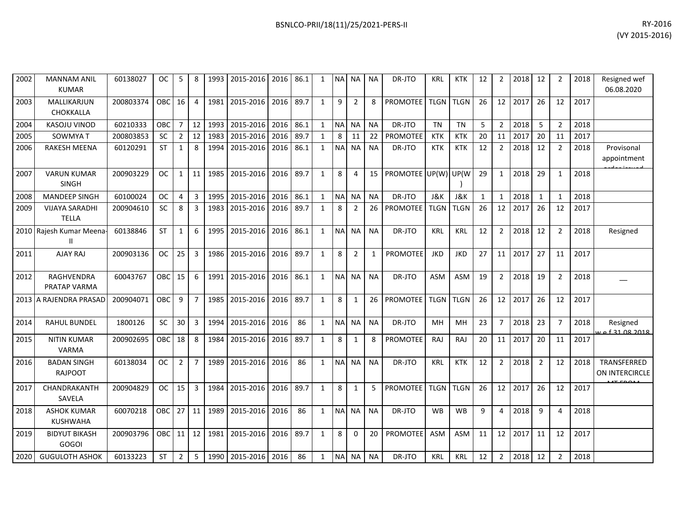| 2002 | <b>MANNAM ANIL</b><br><b>KUMAR</b>    | 60138027  | OC.        | 5              | 8              |      | 1993   2015-2016   2016   86.1 |      |      | $\mathbf{1}$ |           | NA NA          | <b>NA</b>    | DR-JTO              | <b>KRL</b>  | <b>KTK</b>  | 12 | $\overline{2}$ | 2018 | 12             | $\overline{2}$ | 2018 | Resigned wef<br>06.08.2020    |
|------|---------------------------------------|-----------|------------|----------------|----------------|------|--------------------------------|------|------|--------------|-----------|----------------|--------------|---------------------|-------------|-------------|----|----------------|------|----------------|----------------|------|-------------------------------|
| 2003 | MALLIKARJUN<br>CHOKKALLA              | 200803374 | <b>OBC</b> | 16             | $\overline{4}$ | 1981 | 2015-2016                      | 2016 | 89.7 | $\mathbf{1}$ | 9         | 2              | 8            | <b>PROMOTEE</b>     | TLGN TLGN   |             | 26 | 12             | 2017 | 26             | 12             | 2017 |                               |
| 2004 | <b>KASOJU VINOD</b>                   | 60210333  | OBC        | $\overline{7}$ | 12             | 1993 | 2015-2016                      | 2016 | 86.1 | $\mathbf{1}$ |           | NA NA          | <b>NA</b>    | DR-JTO              | <b>TN</b>   | <b>TN</b>   | 5  | $\overline{2}$ | 2018 | 5              | $\overline{2}$ | 2018 |                               |
| 2005 | <b>SOWMYAT</b>                        | 200803853 | <b>SC</b>  | $\overline{2}$ | 12             | 1983 | 2015-2016                      | 2016 | 89.7 | $\mathbf{1}$ | 8         | 11             | 22           | <b>PROMOTEE</b>     | <b>KTK</b>  | <b>KTK</b>  | 20 | 11             | 2017 | 20             | 11             | 2017 |                               |
| 2006 | <b>RAKESH MEENA</b>                   | 60120291  | <b>ST</b>  | 1              | 8              |      | 1994 2015-2016 2016            |      | 86.1 | 1            | <b>NA</b> | <b>NA</b>      | <b>NA</b>    | DR-JTO              | <b>KTK</b>  | <b>KTK</b>  | 12 | $\overline{2}$ | 2018 | 12             | $\overline{2}$ | 2018 | Provisonal<br>appointment     |
| 2007 | <b>VARUN KUMAR</b><br><b>SINGH</b>    | 200903229 | <b>OC</b>  | $\mathbf{1}$   | 11             | 1985 | 2015-2016                      | 2016 | 89.7 | $\mathbf{1}$ | 8         | $\overline{4}$ | 15           | PROMOTEE UP(W) UP(W |             |             | 29 | $\mathbf{1}$   | 2018 | 29             | $\mathbf{1}$   | 2018 |                               |
| 2008 | <b>MANDEEP SINGH</b>                  | 60100024  | <b>OC</b>  | $\overline{4}$ | $\mathbf{3}$   | 1995 | 2015-2016                      | 2016 | 86.1 | $\mathbf{1}$ |           | NA NA          | <b>NA</b>    | DR-JTO              | J&K         | J&K         | 1  | 1              | 2018 | 1              | $\mathbf{1}$   | 2018 |                               |
| 2009 | <b>VIJAYA SARADHI</b><br><b>TELLA</b> | 200904610 | SC         | 8              | 3              | 1983 | 2015-2016                      | 2016 | 89.7 | 1            | 8         | $\overline{2}$ | 26           | PROMOTEE            | <b>TLGN</b> | <b>TLGN</b> | 26 | 12             | 2017 | 26             | 12             | 2017 |                               |
|      | 2010 Rajesh Kumar Meena-<br>Ш         | 60138846  | <b>ST</b>  | $\mathbf{1}$   | 6              | 1995 | 2015-2016 2016                 |      | 86.1 | 1            | <b>NA</b> | <b>NA</b>      | <b>NA</b>    | DR-JTO              | <b>KRL</b>  | <b>KRL</b>  | 12 | $\overline{2}$ | 2018 | 12             | $\overline{2}$ | 2018 | Resigned                      |
| 2011 | AJAY RAJ                              | 200903136 | <b>OC</b>  | 25             | $\overline{3}$ | 1986 | 2015-2016                      | 2016 | 89.7 | $\mathbf{1}$ | 8         | $\overline{2}$ | $\mathbf{1}$ | <b>PROMOTEE</b>     | <b>JKD</b>  | <b>JKD</b>  | 27 | 11             | 2017 | 27             | 11             | 2017 |                               |
| 2012 | RAGHVENDRA<br>PRATAP VARMA            | 60043767  | <b>OBC</b> | 15             | 6              | 1991 | 2015-2016                      | 2016 | 86.1 | 1            | <b>NA</b> | <b>NA</b>      | <b>NA</b>    | DR-JTO              | <b>ASM</b>  | ASM         | 19 | $\overline{2}$ | 2018 | 19             | $\overline{2}$ | 2018 |                               |
|      | 2013 A RAJENDRA PRASAD                | 200904071 | OBC        | 9              | $\overline{7}$ |      | 1985 2015-2016                 | 2016 | 89.7 | $\mathbf{1}$ | 8         | 1              | 26           | <b>PROMOTEE</b>     |             | TLGN TLGN   | 26 | 12             | 2017 | 26             | 12             | 2017 |                               |
| 2014 | <b>RAHUL BUNDEL</b>                   | 1800126   | <b>SC</b>  | 30             | $\overline{3}$ | 1994 | 2015-2016                      | 2016 | 86   | $\mathbf{1}$ |           | NA NA          | <b>NA</b>    | DR-JTO              | <b>MH</b>   | <b>MH</b>   | 23 | $7^{\circ}$    | 2018 | 23             | $\overline{7}$ | 2018 | Resigned<br>e f 31 08 2018    |
| 2015 | <b>NITIN KUMAR</b><br>VARMA           | 200902695 | <b>OBC</b> | 18             | 8              | 1984 | 2015-2016                      | 2016 | 89.7 | 1            | 8         | 1              | 8            | <b>PROMOTEE</b>     | RAJ         | RAJ         | 20 | 11             | 2017 | 20             | 11             | 2017 |                               |
| 2016 | <b>BADAN SINGH</b><br><b>RAJPOOT</b>  | 60138034  | <b>OC</b>  | $\overline{2}$ | $\overline{7}$ | 1989 | 2015-2016                      | 2016 | 86   | $\mathbf{1}$ |           | NA NA          | <b>NA</b>    | DR-JTO              | KRL         | <b>KTK</b>  | 12 | $\overline{2}$ | 2018 | $\overline{2}$ | 12             | 2018 | TRANSFERRED<br>ON INTERCIRCLE |
| 2017 | CHANDRAKANTH<br>SAVELA                | 200904829 | <b>OC</b>  | 15             | 3              | 1984 | 2015-2016 2016                 |      | 89.7 | $\mathbf{1}$ | 8         | 1              | 5            | PROMOTEE            | TLGN TLGN   |             | 26 | 12             | 2017 | 26             | 12             | 2017 |                               |
| 2018 | <b>ASHOK KUMAR</b><br><b>KUSHWAHA</b> | 60070218  | <b>OBC</b> | 27             | 11             | 1989 | 2015-2016                      | 2016 | 86   | 1            | <b>NA</b> | <b>NA</b>      | <b>NA</b>    | DR-JTO              | <b>WB</b>   | <b>WB</b>   | 9  | 4              | 2018 | 9              | 4              | 2018 |                               |
| 2019 | <b>BIDYUT BIKASH</b><br><b>GOGOI</b>  | 200903796 | OBC        | 11             | 12             | 1981 | 2015-2016                      | 2016 | 89.7 | $\mathbf{1}$ | 8         | $\Omega$       | 20           | <b>PROMOTEE</b>     | <b>ASM</b>  | <b>ASM</b>  | 11 | 12             | 2017 | 11             | 12             | 2017 |                               |
| 2020 | <b>GUGULOTH ASHOK</b>                 | 60133223  | ST         | $\overline{2}$ | 5              |      | 1990 2015-2016 2016            |      | 86   | $\mathbf{1}$ | <b>NA</b> | NA             | <b>NA</b>    | DR-JTO              | <b>KRL</b>  | <b>KRL</b>  | 12 | $\overline{2}$ | 2018 | 12             | $\overline{2}$ | 2018 |                               |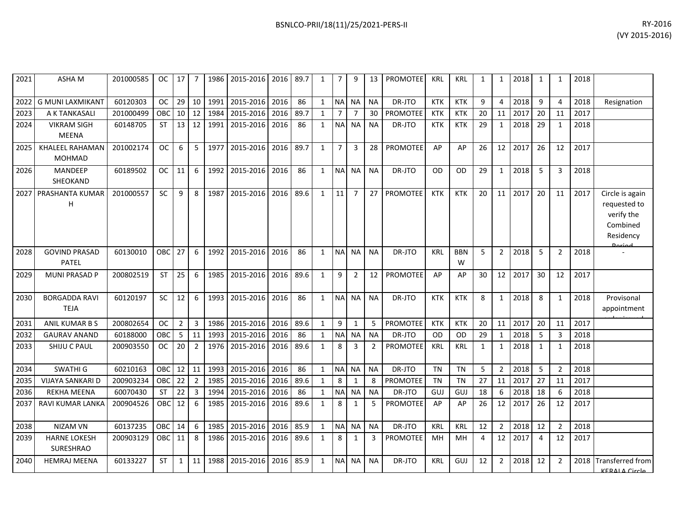| 2021 | ASHA M                                  | 201000585 | OC.           | 17             | 7              | 1986 | 2015-2016 2016 |      | 89.7 | 1            | 7              | 9              | 13        | PROMOTEE        | KRL        | KRL             | 1  | 1              | 2018 | 1            | 1              | 2018 |                                                                        |
|------|-----------------------------------------|-----------|---------------|----------------|----------------|------|----------------|------|------|--------------|----------------|----------------|-----------|-----------------|------------|-----------------|----|----------------|------|--------------|----------------|------|------------------------------------------------------------------------|
| 2022 | <b>G MUNI LAXMIKANT</b>                 | 60120303  | <b>OC</b>     | 29             | 10             | 1991 | 2015-2016      | 2016 | 86   | $\mathbf{1}$ | NA             | <b>NA</b>      | <b>NA</b> | DR-JTO          | <b>KTK</b> | <b>KTK</b>      | 9  | 4              | 2018 | 9            | 4              | 2018 | Resignation                                                            |
| 2023 | A K TANKASALI                           | 201000499 | OBC           | 10             | 12             | 1984 | 2015-2016      | 2016 | 89.7 | 1            | 7              |                | 30        | PROMOTEE        | KTK        | <b>KTK</b>      | 20 | 11             | 2017 | 20           | 11             | 2017 |                                                                        |
| 2024 | <b>VIKRAM SIGH</b><br><b>MEENA</b>      | 60148705  | <b>ST</b>     | 13             | 12             | 1991 | 2015-2016      | 2016 | 86   | $\mathbf{1}$ | <b>NA</b>      | <b>NA</b>      | <b>NA</b> | DR-JTO          | <b>KTK</b> | <b>KTK</b>      | 29 | 1              | 2018 | 29           | 1              | 2018 |                                                                        |
| 2025 | <b>KHALEEL RAHAMAN</b><br><b>MOHMAD</b> | 201002174 | <b>OC</b>     | 6              | 5              | 1977 | 2015-2016      | 2016 | 89.7 | $\mathbf{1}$ | $\overline{7}$ | 3              | 28        | <b>PROMOTEE</b> | AP         | AP              | 26 | 12             | 2017 | 26           | 12             | 2017 |                                                                        |
| 2026 | <b>MANDEEP</b><br>SHEOKAND              | 60189502  | <b>OC</b>     | 11             | 6              | 1992 | 2015-2016      | 2016 | 86   | $\mathbf{1}$ | <b>NA</b>      | <b>NA</b>      | <b>NA</b> | DR-JTO          | OD         | <b>OD</b>       | 29 | $\mathbf{1}$   | 2018 | 5            | 3              | 2018 |                                                                        |
| 2027 | PRASHANTA KUMAR<br>H                    | 201000557 | <b>SC</b>     | 9              | 8              | 1987 | 2015-2016      | 2016 | 89.6 | $\mathbf{1}$ | 11             | $\overline{7}$ | 27        | PROMOTEE        | <b>KTK</b> | <b>KTK</b>      | 20 | 11             | 2017 | 20           | 11             | 2017 | Circle is again<br>requested to<br>verify the<br>Combined<br>Residency |
| 2028 | <b>GOVIND PRASAD</b><br>PATEL           | 60130010  | OBC           | 27             | 6              | 1992 | 2015-2016      | 2016 | 86   | $\mathbf{1}$ | <b>NA</b>      | <b>NA</b>      | <b>NA</b> | DR-JTO          | <b>KRL</b> | <b>BBN</b><br>W | 5  | $\overline{2}$ | 2018 | 5            | $\overline{2}$ | 2018 |                                                                        |
| 2029 | <b>MUNI PRASAD P</b>                    | 200802519 | <b>ST</b>     | 25             | 6              | 1985 | 2015-2016      | 2016 | 89.6 | $\mathbf{1}$ | 9              | $\overline{2}$ | 12        | <b>PROMOTEE</b> | AP         | AP              | 30 | 12             | 2017 | 30           | 12             | 2017 |                                                                        |
| 2030 | <b>BORGADDA RAVI</b><br><b>TEJA</b>     | 60120197  | <b>SC</b>     | 12             | 6              | 1993 | 2015-2016      | 2016 | 86   | $\mathbf{1}$ | <b>NA</b>      | <b>NA</b>      | <b>NA</b> | DR-JTO          | <b>KTK</b> | <b>KTK</b>      | 8  | $\mathbf{1}$   | 2018 | $\mathbf{8}$ | $\mathbf{1}$   | 2018 | Provisonal<br>appointment                                              |
| 2031 | ANIL KUMAR B S                          | 200802654 | OC            | $\overline{2}$ | 3              | 1986 | 2015-2016      | 2016 | 89.6 | $\mathbf{1}$ | 9              | $\mathbf{1}$   | 5         | PROMOTEE        | <b>KTK</b> | <b>KTK</b>      | 20 | 11             | 2017 | 20           | 11             | 2017 |                                                                        |
| 2032 | <b>GAURAV ANAND</b>                     | 60188000  | OBC           | 5              | 11             | 1993 | 2015-2016      | 2016 | 86   | $\mathbf{1}$ | <b>NA</b>      | <b>NA</b>      | <b>NA</b> | DR-JTO          | OD         | <b>OD</b>       | 29 | 1              | 2018 | 5            | 3              | 2018 |                                                                        |
| 2033 | SHIJU C PAUL                            | 200903550 | <sub>OC</sub> | 20             | $\overline{2}$ | 1976 | 2015-2016      | 2016 | 89.6 | 1            | 8              | 3              | 2         | <b>PROMOTEE</b> | <b>KRL</b> | <b>KRL</b>      | 1  | 1              | 2018 | 1            | $\mathbf{1}$   | 2018 |                                                                        |
| 2034 | <b>SWATHI G</b>                         | 60210163  | OBC           | 12             | 11             | 1993 | 2015-2016      | 2016 | 86   | $\mathbf{1}$ | <b>NA</b>      | <b>NA</b>      | <b>NA</b> | DR-JTO          | <b>TN</b>  | <b>TN</b>       | 5  | $\overline{2}$ | 2018 | 5            | $\overline{2}$ | 2018 |                                                                        |
| 2035 | VIJAYA SANKARI D                        | 200903234 | OBC           | 22             | $2^{\circ}$    | 1985 | 2015-2016      | 2016 | 89.6 | $\mathbf{1}$ | $\,8\,$        | $\mathbf{1}$   | 8         | PROMOTEE        | <b>TN</b>  | <b>TN</b>       | 27 | 11             | 2017 | 27           | 11             | 2017 |                                                                        |
| 2036 | <b>REKHA MEENA</b>                      | 60070430  | <b>ST</b>     | 22             | 3              | 1994 | 2015-2016      | 2016 | 86   | 1            | <b>NA</b>      | <b>NA</b>      | <b>NA</b> | DR-JTO          | GUJ        | GUJ             | 18 | 6              | 2018 | 18           | 6              | 2018 |                                                                        |
| 2037 | RAVI KUMAR LANKA                        | 200904526 | OBC           | 12             | 6              | 1985 | 2015-2016      | 2016 | 89.6 | $\mathbf{1}$ | 8              | $\mathbf{1}$   | 5         | <b>PROMOTEE</b> | AP         | AP              | 26 | 12             | 2017 | 26           | 12             | 2017 |                                                                        |
| 2038 | <b>NIZAM VN</b>                         | 60137235  | OBC           | 14             | 6              | 1985 | 2015-2016      | 2016 | 85.9 | $\mathbf{1}$ | <b>NA</b>      | <b>NA</b>      | <b>NA</b> | DR-JTO          | KRL        | <b>KRL</b>      | 12 | $\overline{2}$ | 2018 | 12           | $\overline{2}$ | 2018 |                                                                        |
| 2039 | <b>HARNE LOKESH</b><br>SURESHRAO        | 200903129 | <b>OBC</b>    | 11             | 8              | 1986 | 2015-2016      | 2016 | 89.6 | $\mathbf{1}$ | $\,8\,$        | 1              | 3         | PROMOTEE        | MH         | MН              | 4  | 12             | 2017 | 4            | 12             | 2017 |                                                                        |
| 2040 | <b>HEMRAJ MEENA</b>                     | 60133227  | <b>ST</b>     | $\mathbf{1}$   | 11             | 1988 | 2015-2016      | 2016 | 85.9 | 1            | <b>NA</b>      | <b>NA</b>      | <b>NA</b> | DR-JTO          | <b>KRL</b> | GUJ             | 12 | $\overline{2}$ | 2018 | 12           | $\overline{2}$ |      | 2018 Transferred from<br>KERALA Circle                                 |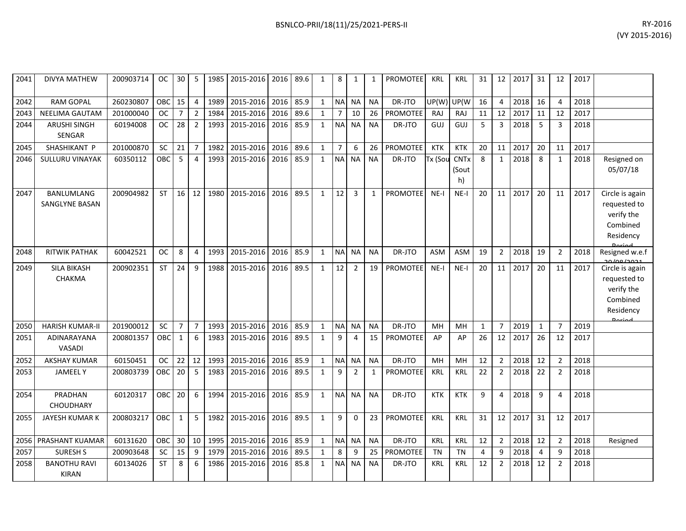|           |      |   |                          |  |   |  | BSNLCO-PRII/18(11)/25/2021-PERS-II |     |     |    |    |      |    |    |      | (VY 2015-2016) | RY-2016 |
|-----------|------|---|--------------------------|--|---|--|------------------------------------|-----|-----|----|----|------|----|----|------|----------------|---------|
|           |      |   |                          |  |   |  |                                    |     |     |    |    |      |    |    |      |                |         |
| <b>OC</b> | 30 I | 5 | 1985 2015-2016 2016 89.6 |  | 8 |  | <b>PROMOTEE</b>                    | KRL | KRL | 31 | 12 | 2017 | 31 | 12 | 2017 |                |         |

| 2041 | <b>DIVYA MATHEW</b>                 | 200903714 | <b>OC</b>  | 30             | 5              | 1985 | 2015-2016 | 2016 | 89.6 | $\mathbf{1}$ | 8              | $\mathbf{1}$   | 1            | <b>PROMOTEE</b> | KRL        | <b>KRL</b>                 | 31           | 12             | 2017 | 31           | 12             | 2017 |                                                                                        |
|------|-------------------------------------|-----------|------------|----------------|----------------|------|-----------|------|------|--------------|----------------|----------------|--------------|-----------------|------------|----------------------------|--------------|----------------|------|--------------|----------------|------|----------------------------------------------------------------------------------------|
| 2042 | <b>RAM GOPAL</b>                    | 260230807 | OBC        | 15             | $\overline{4}$ | 1989 | 2015-2016 | 2016 | 85.9 | $\mathbf{1}$ | <b>NA</b>      | <b>NA</b>      | <b>NA</b>    | DR-JTO          | UP(W)      | UP(W                       | 16           | 4              | 2018 | 16           | 4              | 2018 |                                                                                        |
| 2043 | NEELIMA GAUTAM                      | 201000040 | <b>OC</b>  | $\overline{7}$ | $\overline{2}$ | 1984 | 2015-2016 | 2016 | 89.6 | $\mathbf{1}$ | $\overline{7}$ | 10             | 26           | <b>PROMOTEE</b> | <b>RAJ</b> | <b>RAJ</b>                 | 11           | 12             | 2017 | 11           | 12             | 2017 |                                                                                        |
| 2044 | <b>ARUSHI SINGH</b><br>SENGAR       | 60194008  | <b>OC</b>  | 28             | $\overline{2}$ | 1993 | 2015-2016 | 2016 | 85.9 | $\mathbf{1}$ | <b>NA</b>      | <b>NA</b>      | <b>NA</b>    | DR-JTO          | GUJ        | GUJ                        | 5            | 3              | 2018 | 5            | 3              | 2018 |                                                                                        |
| 2045 | SHASHIKANT P                        | 201000870 | <b>SC</b>  | 21             | $\overline{7}$ | 1982 | 2015-2016 | 2016 | 89.6 | $\mathbf{1}$ | $\overline{7}$ | 6              | 26           | <b>PROMOTEE</b> | <b>KTK</b> | <b>KTK</b>                 | 20           | 11             | 2017 | 20           | 11             | 2017 |                                                                                        |
| 2046 | SULLURU VINAYAK                     | 60350112  | OBC        | 5              | $\overline{4}$ | 1993 | 2015-2016 | 2016 | 85.9 | $\mathbf{1}$ | <b>NA</b>      | <b>NA</b>      | <b>NA</b>    | DR-JTO          | Tx (Sou    | <b>CNTx</b><br>(Sout<br>h) | 8            | $\mathbf{1}$   | 2018 | 8            | 1              | 2018 | Resigned on<br>05/07/18                                                                |
| 2047 | <b>BANLUMLANG</b><br>SANGLYNE BASAN | 200904982 | <b>ST</b>  | 16             | 12             | 1980 | 2015-2016 | 2016 | 89.5 | $\mathbf{1}$ | 12             | 3              | $\mathbf{1}$ | <b>PROMOTEE</b> | $NE-I$     | $NE-I$                     | 20           | 11             | 2017 | 20           | 11             | 2017 | Circle is again<br>requested to<br>verify the<br>Combined<br>Residency                 |
| 2048 | <b>RITWIK PATHAK</b>                | 60042521  | <b>OC</b>  | 8              | $\overline{4}$ | 1993 | 2015-2016 | 2016 | 85.9 | $\mathbf{1}$ | <b>NA</b>      | <b>NA</b>      | <b>NA</b>    | DR-JTO          | <b>ASM</b> | <b>ASM</b>                 | 19           | $\overline{2}$ | 2018 | 19           | $\overline{2}$ | 2018 | Resigned w.e.f                                                                         |
| 2049 | <b>SILA BIKASH</b><br>CHAKMA        | 200902351 | <b>ST</b>  | 24             | 9              | 1988 | 2015-2016 | 2016 | 89.5 | $\mathbf{1}$ | 12             | $\overline{2}$ | 19           | <b>PROMOTEE</b> | $NE-I$     | $NE-I$                     | 20           | 11             | 2017 | 20           | 11             | 2017 | وجودا عوا ود<br>Circle is again<br>requested to<br>verify the<br>Combined<br>Residency |
| 2050 | <b>HARISH KUMAR-II</b>              | 201900012 | SC         | $\overline{7}$ | $\overline{7}$ | 1993 | 2015-2016 | 2016 | 85.9 | $\mathbf{1}$ | <b>NA</b>      | <b>NA</b>      | <b>NA</b>    | DR-JTO          | MH         | MH                         | $\mathbf{1}$ | $\overline{7}$ | 2019 | $\mathbf{1}$ | $\overline{7}$ | 2019 |                                                                                        |
| 2051 | ADINARAYANA<br><b>VASADI</b>        | 200801357 | <b>OBC</b> | $\mathbf{1}$   | 6              | 1983 | 2015-2016 | 2016 | 89.5 | $\mathbf{1}$ | 9              | 4              | 15           | <b>PROMOTEE</b> | AP         | AP                         | 26           | 12             | 2017 | 26           | 12             | 2017 |                                                                                        |
| 2052 | <b>AKSHAY KUMAR</b>                 | 60150451  | <b>OC</b>  | 22             | 12             | 1993 | 2015-2016 | 2016 | 85.9 | $\mathbf{1}$ | <b>NA</b>      | <b>NA</b>      | <b>NA</b>    | DR-JTO          | MH         | MH                         | 12           | $\overline{2}$ | 2018 | 12           | $\overline{2}$ | 2018 |                                                                                        |
| 2053 | <b>JAMEELY</b>                      | 200803739 | OBC        | 20             | 5              | 1983 | 2015-2016 | 2016 | 89.5 | $\mathbf{1}$ | 9              | 2              | $\mathbf{1}$ | <b>PROMOTEE</b> | KRL        | <b>KRL</b>                 | 22           | $\overline{2}$ | 2018 | 22           | $\overline{2}$ | 2018 |                                                                                        |
| 2054 | PRADHAN<br><b>CHOUDHARY</b>         | 60120317  | <b>OBC</b> | 20             | 6              | 1994 | 2015-2016 | 2016 | 85.9 | $\mathbf{1}$ | <b>NA</b>      | <b>NA</b>      | <b>NA</b>    | DR-JTO          | <b>KTK</b> | <b>KTK</b>                 | 9            | 4              | 2018 | 9            | $\Delta$       | 2018 |                                                                                        |
| 2055 | JAYESH KUMAR K                      | 200803217 | <b>OBC</b> | $\mathbf{1}$   | 5              | 1982 | 2015-2016 | 2016 | 89.5 | $\mathbf{1}$ | 9              | $\mathbf 0$    | 23           | <b>PROMOTEE</b> | <b>KRL</b> | <b>KRL</b>                 | 31           | 12             | 2017 | 31           | 12             | 2017 |                                                                                        |
| 2056 | PRASHANT KUAMAR                     | 60131620  | OBC        | 30             | 10             | 1995 | 2015-2016 | 2016 | 85.9 | $\mathbf{1}$ | <b>NA</b>      | <b>NA</b>      | <b>NA</b>    | DR-JTO          | KRL        | <b>KRL</b>                 | 12           | $\overline{2}$ | 2018 | 12           | $\overline{2}$ | 2018 | Resigned                                                                               |
| 2057 | <b>SURESH S</b>                     | 200903648 | <b>SC</b>  | 15             | 9              | 1979 | 2015-2016 | 2016 | 89.5 | $\mathbf{1}$ | 8              | 9              | 25           | <b>PROMOTEE</b> | <b>TN</b>  | <b>TN</b>                  | 4            | 9              | 2018 | 4            | 9              | 2018 |                                                                                        |
| 2058 | <b>BANOTHU RAVI</b><br><b>KIRAN</b> | 60134026  | <b>ST</b>  | 8              | 6              | 1986 | 2015-2016 | 2016 | 85.8 | $\mathbf{1}$ | <b>NA</b>      | <b>NA</b>      | <b>NA</b>    | DR-JTO          | KRL        | <b>KRL</b>                 | 12           | $\overline{2}$ | 2018 | 12           | 2              | 2018 |                                                                                        |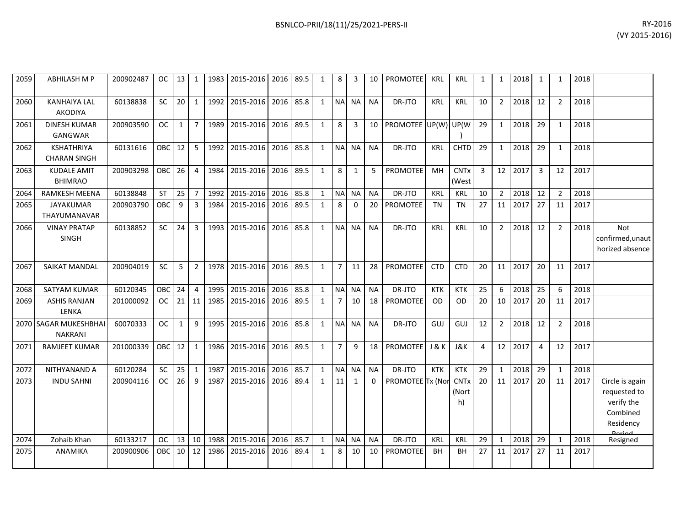| 2059 | <b>ABHILASH M P</b>                      | 200902487 | ОC            | 13           | 1              | 1983 | 2015-2016 2016 |      | 89.5 | 1            | 8              | 3         | 10        | <b>PROMOTEE</b>      | <b>KRL</b> | <b>KRL</b>                 | 1              | 1              | 2018 | 1              | 1              | 2018 |                                                                                  |
|------|------------------------------------------|-----------|---------------|--------------|----------------|------|----------------|------|------|--------------|----------------|-----------|-----------|----------------------|------------|----------------------------|----------------|----------------|------|----------------|----------------|------|----------------------------------------------------------------------------------|
| 2060 | <b>KANHAIYA LAL</b><br><b>AKODIYA</b>    | 60138838  | <b>SC</b>     | 20           | 1              | 1992 | 2015-2016      | 2016 | 85.8 | $\mathbf{1}$ |                | NA NA     | <b>NA</b> | DR-JTO               | <b>KRL</b> | <b>KRL</b>                 | 10             | $\overline{2}$ | 2018 | 12             | $\overline{2}$ | 2018 |                                                                                  |
| 2061 | <b>DINESH KUMAR</b><br>GANGWAR           | 200903590 | <b>OC</b>     | $\mathbf{1}$ | $\overline{7}$ | 1989 | 2015-2016 2016 |      | 89.5 | $\mathbf{1}$ | 8              | 3         | 10        | PROMOTEE UP(W) UP(W) |            |                            | 29             | 1              | 2018 | 29             | $\mathbf{1}$   | 2018 |                                                                                  |
| 2062 | <b>KSHATHRIYA</b><br><b>CHARAN SINGH</b> | 60131616  | OBC           | 12           | 5              | 1992 | 2015-2016      | 2016 | 85.8 | 1            | <b>NA</b>      | <b>NA</b> | <b>NA</b> | DR-JTO               | <b>KRL</b> | <b>CHTD</b>                | 29             | 1              | 2018 | 29             | $\mathbf{1}$   | 2018 |                                                                                  |
| 2063 | <b>KUDALE AMIT</b><br><b>BHIMRAO</b>     | 200903298 | <b>OBC</b>    | 26           | $\overline{4}$ | 1984 | 2015-2016      | 2016 | 89.5 | 1            | 8              | 1         | 5         | <b>PROMOTEE</b>      | MH         | <b>CNTx</b><br>(West       | $\overline{3}$ | 12             | 2017 | 3              | 12             | 2017 |                                                                                  |
| 2064 | <b>RAMKESH MEENA</b>                     | 60138848  | ST            | 25           | $\overline{7}$ | 1992 | 2015-2016      | 2016 | 85.8 | $\mathbf{1}$ | <b>NA</b>      | <b>NA</b> | <b>NA</b> | DR-JTO               | KRL        | <b>KRL</b>                 | 10             | $\overline{2}$ | 2018 | 12             | 2              | 2018 |                                                                                  |
| 2065 | <b>JAYAKUMAR</b><br>THAYUMANAVAR         | 200903790 | <b>OBC</b>    | 9            | 3              | 1984 | 2015-2016 2016 |      | 89.5 | 1            | 8              | $\Omega$  | 20        | PROMOTEE             | <b>TN</b>  | <b>TN</b>                  | 27             | 11             | 2017 | 27             | 11             | 2017 |                                                                                  |
| 2066 | <b>VINAY PRATAP</b><br><b>SINGH</b>      | 60138852  | SC            | 24           | $\overline{3}$ | 1993 | 2015-2016      | 2016 | 85.8 | 1            | <b>NA</b>      | <b>NA</b> | <b>NA</b> | DR-JTO               | KRL        | <b>KRL</b>                 | 10             | $\overline{2}$ | 2018 | 12             | 2              | 2018 | Not<br>confirmed, unaut<br>horized absence                                       |
| 2067 | <b>SAIKAT MANDAL</b>                     | 200904019 | <b>SC</b>     | 5            | $\overline{2}$ | 1978 | 2015-2016      | 2016 | 89.5 | $\mathbf{1}$ | $7^{\circ}$    | 11        | 28        | PROMOTEE             | <b>CTD</b> | <b>CTD</b>                 | 20             | 11             | 2017 | 20             | 11             | 2017 |                                                                                  |
| 2068 | SATYAM KUMAR                             | 60120345  | <b>OBC</b>    | 24           | 4              | 1995 | 2015-2016      | 2016 | 85.8 | 1            | <b>NA</b>      | <b>NA</b> | <b>NA</b> | DR-JTO               | <b>KTK</b> | <b>KTK</b>                 | 25             | 6              | 2018 | 25             | 6              | 2018 |                                                                                  |
| 2069 | <b>ASHIS RANJAN</b><br>LENKA             | 201000092 | OC.           | 21           | 11             | 1985 | 2015-2016 2016 |      | 89.5 | 1            | 7              | 10        | 18        | PROMOTEE             | <b>OD</b>  | <b>OD</b>                  | 20             | 10             | 2017 | 20             | 11             | 2017 |                                                                                  |
|      | 2070 SAGAR MUKESHBHAI<br><b>NAKRANI</b>  | 60070333  | <b>OC</b>     | $\mathbf{1}$ | 9              | 1995 | 2015-2016      | 2016 | 85.8 | $\mathbf{1}$ |                | NA NA     | <b>NA</b> | DR-JTO               | GUJ        | GUJ                        | 12             | $\overline{2}$ | 2018 | 12             | $\overline{2}$ | 2018 |                                                                                  |
| 2071 | <b>RAMJEET KUMAR</b>                     | 201000339 | <b>OBC</b>    | 12           | $\mathbf{1}$   | 1986 | 2015-2016      | 2016 | 89.5 | $\mathbf{1}$ | $\overline{7}$ | 9         | 18        | <b>PROMOTEE</b>      | J & K      | J&K                        | 4              | 12             | 2017 | $\overline{4}$ | 12             | 2017 |                                                                                  |
| 2072 | NITHYANAND A                             | 60120284  | SC            | 25           | $\mathbf{1}$   | 1987 | 2015-2016      | 2016 | 85.7 | $\mathbf{1}$ | <b>NA</b>      | <b>NA</b> | <b>NA</b> | DR-JTO               | <b>KTK</b> | <b>KTK</b>                 | 29             | 1              | 2018 | 29             | $\mathbf{1}$   | 2018 |                                                                                  |
| 2073 | <b>INDU SAHNI</b>                        | 200904116 | OC.           | 26           | 9              | 1987 | 2015-2016      | 2016 | 89.4 | 1            | 11             | 1         | 0         | PROMOTEE Tx (Nor     |            | <b>CNTx</b><br>(Nort<br>h) | 20             | 11             | 2017 | 20             | 11             | 2017 | Circle is again<br>requested to<br>verify the<br>Combined<br>Residency<br>Dariad |
| 2074 | Zohaib Khan                              | 60133217  | <sub>OC</sub> | 13           | 10             | 1988 | 2015-2016      | 2016 | 85.7 | 1            | N <sub>A</sub> | <b>NA</b> | <b>NA</b> | DR-JTO               | KRL        | <b>KRL</b>                 | 29             | 1              | 2018 | 29             | 1              | 2018 | Resigned                                                                         |
| 2075 | ANAMIKA                                  | 200900906 | <b>OBC</b>    | 10           | 12             | 1986 | 2015-2016      | 2016 | 89.4 | 1            | 8              | 10        | 10        | PROMOTEE             | BH         | BН                         | 27             | 11             | 2017 | 27             | -11            | 2017 |                                                                                  |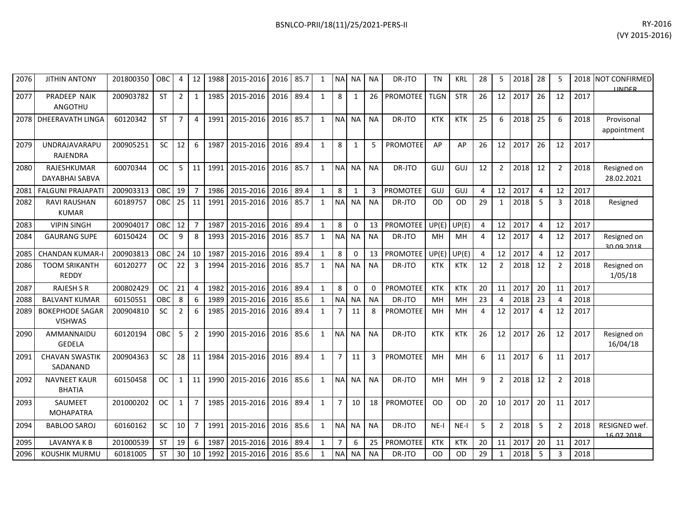| 2076 | <b>JITHIN ANTONY</b>                    | 201800350 | OBC       | 4              | 12              | 1988 | 2015-2016 | 2016 | 85.7 | $\mathbf{1}$ | NΑ            | <b>NA</b>    | <b>NA</b>      | DR-JTO          | <b>TN</b>   | <b>KRL</b> | 28             | 5              | 2018 | 28             | 5              | 2018 | <b>NOT CONFIRMED</b><br><b>IINDER</b> |
|------|-----------------------------------------|-----------|-----------|----------------|-----------------|------|-----------|------|------|--------------|---------------|--------------|----------------|-----------------|-------------|------------|----------------|----------------|------|----------------|----------------|------|---------------------------------------|
| 2077 | PRADEEP NAIK<br>ANGOTHU                 | 200903782 | <b>ST</b> | $\overline{2}$ |                 | 1985 | 2015-2016 | 2016 | 89.4 |              | 8             |              | 26             | <b>PROMOTEE</b> | <b>TLGN</b> | <b>STR</b> | 26             | 12             | 2017 | 26             | 12             | 2017 |                                       |
| 2078 | DHEERAVATH LINGA                        | 60120342  | <b>ST</b> | $\overline{7}$ | $\Delta$        | 1991 | 2015-2016 | 2016 | 85.7 | $\mathbf{1}$ | <b>NA</b>     | <b>NA</b>    | <b>NA</b>      | DR-JTO          | <b>KTK</b>  | <b>KTK</b> | 25             | 6              | 2018 | 25             | 6              | 2018 | Provisonal<br>appointment             |
| 2079 | <b>UNDRAJAVARAPU</b><br><b>RAJENDRA</b> | 200905251 | <b>SC</b> | 12             | 6               | 1987 | 2015-2016 | 2016 | 89.4 | $\mathbf{1}$ | 8             | $\mathbf{1}$ | 5              | <b>PROMOTEE</b> | AP          | AP         | 26             | 12             | 2017 | 26             | 12             | 2017 |                                       |
| 2080 | RAJESHKUMAR<br>DAYABHAI SABVA           | 60070344  | <b>OC</b> | 5              | 11              | 1991 | 2015-2016 | 2016 | 85.7 | $\mathbf{1}$ | <b>NA</b>     | <b>NA</b>    | <b>NA</b>      | DR-JTO          | GUJ         | GUJ        | 12             | $\overline{2}$ | 2018 | 12             | $\overline{2}$ | 2018 | Resigned on<br>28.02.2021             |
| 2081 | <b>FALGUNI PRAJAPATI</b>                | 200903313 | OBC       | 19             |                 | 1986 | 2015-2016 | 2016 | 89.4 | $\mathbf{1}$ | 8             | 1            | $\overline{3}$ | <b>PROMOTEE</b> | GUJ         | GUJ        |                | 12             | 2017 | $\overline{4}$ | 12             | 2017 |                                       |
| 2082 | <b>RAVI RAUSHAN</b><br><b>KUMAR</b>     | 60189757  | OBC.      | 25             | 11              | 1991 | 2015-2016 | 2016 | 85.7 | $\mathbf{1}$ | <b>NA</b>     | <b>NA</b>    | <b>NA</b>      | DR-JTO          | <b>OD</b>   | <b>OD</b>  | 29             | 1              | 2018 | 5              | $\overline{3}$ | 2018 | Resigned                              |
| 2083 | <b>VIPIN SINGH</b>                      | 200904017 | OBC       | 12             |                 | 1987 | 2015-2016 | 2016 | 89.4 | $\mathbf{1}$ | 8             | $\Omega$     | 13             | <b>PROMOTEE</b> | UP(E)       | UP(E)      | Δ              | 12             | 2017 | $\overline{4}$ | 12             | 2017 |                                       |
| 2084 | <b>GAURANG SUPE</b>                     | 60150424  | <b>OC</b> | 9              | 8               | 1993 | 2015-2016 | 2016 | 85.7 | $\mathbf{1}$ | <b>NA</b>     | <b>NA</b>    | <b>NA</b>      | DR-JTO          | MH          | MH         |                | 12             | 2017 | 4              | 12             | 2017 | Resigned on<br>20.00.2018             |
| 2085 | <b>CHANDAN KUMAR-I</b>                  | 200903813 | OBC       | 24             | 10 <sup>1</sup> | 1987 | 2015-2016 | 2016 | 89.4 | $\mathbf{1}$ | 8             | 0            | 13             | <b>PROMOTEE</b> | UP(E)       | UP(E)      | $\overline{4}$ | 12             | 2017 | 4              | 12             | 2017 |                                       |
| 2086 | <b>TOOM SRIKANTH</b><br><b>REDDY</b>    | 60120277  | <b>OC</b> | 22             | 3               | 1994 | 2015-2016 | 2016 | 85.7 | $\mathbf{1}$ | <b>NA</b>     | <b>NA</b>    | <b>NA</b>      | DR-JTO          | <b>KTK</b>  | <b>KTK</b> | 12             |                | 2018 | 12             | $\overline{2}$ | 2018 | Resigned on<br>1/05/18                |
| 2087 | <b>RAJESH S R</b>                       | 200802429 | <b>OC</b> | 21             | $\overline{4}$  | 1982 | 2015-2016 | 2016 | 89.4 | $\mathbf{1}$ | 8             | $\Omega$     | $\Omega$       | <b>PROMOTEE</b> | <b>KTK</b>  | <b>KTK</b> | 20             | 11             | 2017 | 20             | 11             | 2017 |                                       |
| 2088 | <b>BALVANT KUMAR</b>                    | 60150551  | OBC       | 8              | 6               | 1989 | 2015-2016 | 2016 | 85.6 | $\mathbf{1}$ | <b>NA</b>     | <b>NA</b>    | <b>NA</b>      | DR-JTO          | MH          | MH         | 23             |                | 2018 | 23             | $\overline{4}$ | 2018 |                                       |
| 2089 | <b>BOKEPHODE SAGAR</b><br>MCHIMAC       | 200904810 | <b>SC</b> | $\mathfrak{p}$ | 6               | 1985 | 2015-2016 | 2016 | 89.4 | $\mathbf 1$  | $\mathcal{I}$ | 11           | 8              | <b>PROMOTEE</b> | MH          | MH         |                | 12             | 2017 | 4              | 12             | 2017 |                                       |

| 2082 | <b>RAVI RAUSHAN</b><br><b>KUMAR</b>      | 60189757  | OBC       |    | 11             | 1991 | 2015-2016      | 2016 | 85.7 | $\mathbf{1}$ | <b>NA</b>      | <b>NA</b>    | <b>NA</b> | DR-JTO          | OD         | <b>OD</b>  | 29 | $\mathbf{1}$   | 2018 |    | 3              | 2018 | Resigned                    |
|------|------------------------------------------|-----------|-----------|----|----------------|------|----------------|------|------|--------------|----------------|--------------|-----------|-----------------|------------|------------|----|----------------|------|----|----------------|------|-----------------------------|
| 2083 | <b>VIPIN SINGH</b>                       | 200904017 | OBC       | 12 | $\overline{7}$ | 1987 | 2015-2016      | 2016 | 89.4 | $\mathbf{1}$ | 8              | $\mathbf{0}$ | 13        | PROMOTEE        | UP(E)      | UP(E)      | 4  | 12             | 2017 | 4  | 12             | 2017 |                             |
| 2084 | <b>GAURANG SUPE</b>                      | 60150424  | <b>OC</b> | 9  | 8              | 1993 | 2015-2016      | 2016 | 85.7 | $\mathbf{1}$ | <b>NA</b>      | <b>NA</b>    | <b>NA</b> | DR-JTO          | MH         | MH         | 4  | 12             | 2017 | 4  | 12             | 2017 | Resigned on<br>20.00.2018   |
| 2085 | <b>CHANDAN KUMAR-I</b>                   | 200903813 | OBC       | 24 | 10             | 1987 | 2015-2016      | 2016 | 89.4 | $\mathbf{1}$ | 8              | 0            | 13        | <b>PROMOTEE</b> | UP(E)      | UP(E)      | 4  | 12             | 2017 | 4  | 12             | 2017 |                             |
| 2086 | <b>TOOM SRIKANTH</b><br><b>REDDY</b>     | 60120277  | <b>OC</b> | 22 | 3              | 1994 | 2015-2016      | 2016 | 85.7 | 1            | <b>NA</b>      | <b>NA</b>    | <b>NA</b> | DR-JTO          | <b>KTK</b> | <b>KTK</b> | 12 | $\overline{2}$ | 2018 | 12 | $\overline{2}$ | 2018 | Resigned on<br>1/05/18      |
| 2087 | <b>RAJESH S R</b>                        | 200802429 | <b>OC</b> | 21 | $\Delta$       | 1982 | 2015-2016      | 2016 | 89.4 | $\mathbf{1}$ | 8              | $\mathbf{0}$ | $\Omega$  | <b>PROMOTEE</b> | <b>KTK</b> | <b>KTK</b> | 20 | 11             | 2017 | 20 | 11             | 2017 |                             |
| 2088 | <b>BALVANT KUMAR</b>                     | 60150551  | OBC       | 8  | 6              | 1989 | 2015-2016 2016 |      | 85.6 | $\mathbf{1}$ | <b>NA</b>      | <b>NA</b>    | <b>NA</b> | DR-JTO          | MH         | MH         | 23 | 4              | 2018 | 23 | 4              | 2018 |                             |
| 2089 | <b>BOKEPHODE SAGAR</b><br><b>VISHWAS</b> | 200904810 | <b>SC</b> | 2  | 6              | 1985 | 2015-2016      | 2016 | 89.4 | $\mathbf{1}$ | $\overline{7}$ | 11           | 8         | <b>PROMOTEE</b> | MH         | MH         | 4  | 12             | 2017 | 4  | 12             | 2017 |                             |
| 2090 | AMMANNAIDU<br><b>GEDELA</b>              | 60120194  | OBC       | 5  | $\overline{2}$ | 1990 | 2015-2016      | 2016 | 85.6 | $\mathbf{1}$ | <b>NA</b>      | <b>NA</b>    | <b>NA</b> | DR-JTO          | <b>KTK</b> | <b>KTK</b> | 26 | 12             | 2017 | 26 | 12             | 2017 | Resigned on<br>16/04/18     |
| 2091 | <b>CHAVAN SWASTIK</b><br>SADANAND        | 200904363 | <b>SC</b> | 28 | 11             | 1984 | 2015-2016      | 2016 | 89.4 | $\mathbf{1}$ | $\overline{7}$ | 11           | 3         | <b>PROMOTEE</b> | MH         | MH         | 6  | 11             | 2017 | 6  | 11             | 2017 |                             |
| 2092 | <b>NAVNEET KAUR</b><br><b>BHATIA</b>     | 60150458  | <b>OC</b> |    | 11             | 1990 | 2015-2016      | 2016 | 85.6 | $\mathbf{1}$ | <b>NA</b>      | <b>NA</b>    | <b>NA</b> | DR-JTO          | MH         | MH         | 9  | $\overline{2}$ | 2018 | 12 | $\overline{2}$ | 2018 |                             |
| 2093 | <b>SAUMEET</b><br><b>MOHAPATRA</b>       | 201000202 | <b>OC</b> | -1 | $\overline{7}$ | 1985 | 2015-2016      | 2016 | 89.4 | $\mathbf{1}$ | $\overline{7}$ | 10           | 18        | <b>PROMOTEE</b> | <b>OD</b>  | $\Omega$   | 20 | 10             | 2017 | 20 | 11             | 2017 |                             |
| 2094 | <b>BABLOO SAROJ</b>                      | 60160162  | <b>SC</b> | 10 | $\overline{7}$ | 1991 | 2015-2016      | 2016 | 85.6 | $\mathbf{1}$ | <b>NA</b>      | <b>NA</b>    | <b>NA</b> | DR-JTO          | $NE-I$     | $NE-I$     | 5  | $\overline{2}$ | 2018 | 5  | $\overline{2}$ | 2018 | RESIGNED wef.<br>16.07.2018 |
| 2095 | LAVANYA K B                              | 201000539 | <b>ST</b> | 19 | 6              | 1987 | 2015-2016 2016 |      | 89.4 | $\mathbf{1}$ | $\overline{7}$ | 6            | 25        | <b>PROMOTEE</b> | <b>KTK</b> | <b>KTK</b> | 20 | 11             | 2017 | 20 | 11             | 2017 |                             |
| 2096 | <b>KOUSHIK MURMU</b>                     | 60181005  | <b>ST</b> | 30 | 10             | 1992 | 2015-2016 2016 |      | 85.6 | 1            | <b>NA</b>      | <b>NA</b>    | <b>NA</b> | DR-JTO          | OD         | <b>OD</b>  | 29 | 1              | 2018 | 5  | 3              | 2018 |                             |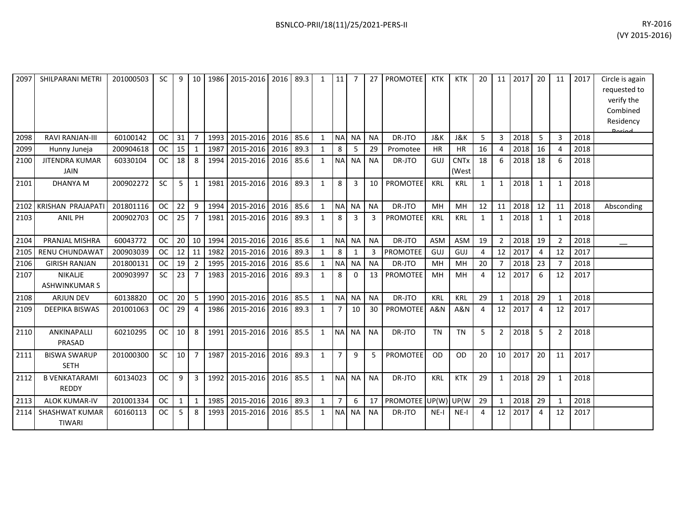| 2097 | SHILPARANI METRI                       | 201000503 | <b>SC</b> | 9  | 10             | 1986 | 2015-2016 | 2016 | 89.3 | $\mathbf{1}$ | 11             |           | 27        | <b>PROMOTEE</b> | <b>KTK</b>     | <b>KTK</b>                      | 20           | 11             | 2017 | -20                   | 11             | 2017 | Circle is again<br>requested to<br>verify the<br>Combined<br>Residency |
|------|----------------------------------------|-----------|-----------|----|----------------|------|-----------|------|------|--------------|----------------|-----------|-----------|-----------------|----------------|---------------------------------|--------------|----------------|------|-----------------------|----------------|------|------------------------------------------------------------------------|
| 2098 | <b>RAVI RANJAN-III</b>                 | 60100142  | <b>OC</b> | 31 | $\overline{7}$ | 1993 | 2015-2016 | 2016 | 85.6 | $\mathbf{1}$ | <b>NA</b>      | <b>NA</b> | <b>NA</b> | DR-JTO          | J&K            | J&K                             | 5            | $\mathbf{3}$   | 2018 | 5                     | 3              | 2018 | لممنعمه                                                                |
| 2099 | Hunny Juneja                           | 200904618 | <b>OC</b> | 15 | $\mathbf{1}$   | 1987 | 2015-2016 | 2016 | 89.3 | $\mathbf{1}$ | 8              | 5         | 29        | Promotee        | HR             | <b>HR</b>                       | 16           | 4              | 2018 | 16                    | 4              | 2018 |                                                                        |
| 2100 | <b>JITENDRA KUMAR</b><br><b>JAIN</b>   | 60330104  | <b>OC</b> | 18 | 8              | 1994 | 2015-2016 | 2016 | 85.6 | $\mathbf{1}$ | <b>NA</b>      | <b>NA</b> | <b>NA</b> | DR-JTO          | GUJ            | <b>CNT<sub>x</sub></b><br>(West | 18           | 6              | 2018 | 18                    | 6              | 2018 |                                                                        |
| 2101 | <b>DHANYA M</b>                        | 200902272 | <b>SC</b> | 5  | 1              | 1981 | 2015-2016 | 2016 | 89.3 | $\mathbf{1}$ | 8              | 3         | 10        | <b>PROMOTEE</b> | KRL            | <b>KRL</b>                      | $\mathbf{1}$ | $\mathbf{1}$   | 2018 | 1                     | 1              | 2018 |                                                                        |
| 2102 | <b>KRISHAN PRAJAPATI</b>               | 201801116 | <b>OC</b> | 22 | 9              | 1994 | 2015-2016 | 2016 | 85.6 | $\mathbf{1}$ | <b>NA</b>      | NA        | <b>NA</b> | DR-JTO          | MH             | MH                              | 12           | 11             | 2018 | 12                    | 11             | 2018 | Absconding                                                             |
| 2103 | <b>ANIL PH</b>                         | 200902703 | <b>OC</b> | 25 | $\overline{7}$ | 1981 | 2015-2016 | 2016 | 89.3 | 1            | 8              | 3         | 3         | <b>PROMOTEE</b> | KRL            | <b>KRL</b>                      | $\mathbf{1}$ | 1              | 2018 | 1                     | 1              | 2018 |                                                                        |
| 2104 | PRANJAL MISHRA                         | 60043772  | <b>OC</b> | 20 | 10             | 1994 | 2015-2016 | 2016 | 85.6 | $\mathbf{1}$ | <b>NA</b>      | <b>NA</b> | <b>NA</b> | DR-JTO          | <b>ASM</b>     | <b>ASM</b>                      | 19           | $\overline{2}$ | 2018 | 19                    | $\overline{2}$ | 2018 |                                                                        |
| 2105 | <b>RENU CHUNDAWAT</b>                  | 200903039 | <b>OC</b> | 12 | 11             | 1982 | 2015-2016 | 2016 | 89.3 | $\mathbf{1}$ | 8              | 1         | 3         | <b>PROMOTEE</b> | GUJ            | GUJ                             | 4            | 12             | 2017 | $\boldsymbol{\Delta}$ | 12             | 2017 |                                                                        |
| 2106 | <b>GIRISH RANJAN</b>                   | 201800131 | <b>OC</b> | 19 | $\overline{2}$ | 1995 | 2015-2016 | 2016 | 85.6 | $\mathbf{1}$ | <b>NA</b>      | <b>NA</b> | <b>NA</b> | DR-JTO          | MH             | MH                              | 20           | $\overline{7}$ | 2018 | 23                    |                | 2018 |                                                                        |
| 2107 | <b>NIKALIE</b><br><b>ASHWINKUMAR S</b> | 200903997 | <b>SC</b> | 23 | $\overline{7}$ | 1983 | 2015-2016 | 2016 | 89.3 | $\mathbf{1}$ | 8              | $\Omega$  | 13        | <b>PROMOTEE</b> | MH             | MH                              | 4            | 12             | 2017 | 6                     | 12             | 2017 |                                                                        |
| 2108 | <b>ARJUN DEV</b>                       | 60138820  | <b>OC</b> | 20 | 5              | 1990 | 2015-2016 | 2016 | 85.5 | $\mathbf{1}$ | <b>NA</b>      | <b>NA</b> | <b>NA</b> | DR-JTO          | KRL            | <b>KRL</b>                      | 29           | $\mathbf{1}$   | 2018 | 29                    | $\mathbf{1}$   | 2018 |                                                                        |
| 2109 | <b>DEEPIKA BISWAS</b>                  | 201001063 | <b>OC</b> | 29 | $\overline{4}$ | 1986 | 2015-2016 | 2016 | 89.3 | $\mathbf{1}$ | $\overline{7}$ | 10        | 30        | <b>PROMOTEE</b> | <b>A&amp;N</b> | <b>A&amp;N</b>                  | 4            | 12             | 2017 | $\overline{4}$        | 12             | 2017 |                                                                        |
| 2110 | ANKINAPALLI<br><b>PRASAD</b>           | 60210295  | <b>OC</b> | 10 | 8              | 1991 | 2015-2016 | 2016 | 85.5 | $\mathbf{1}$ | <b>NA</b>      | <b>NA</b> | <b>NA</b> | DR-JTO          | <b>TN</b>      | <b>TN</b>                       | 5            | $\overline{2}$ | 2018 | 5                     | $\overline{2}$ | 2018 |                                                                        |
| 2111 | <b>BISWA SWARUP</b><br><b>SETH</b>     | 201000300 | <b>SC</b> | 10 | $\overline{7}$ | 1987 | 2015-2016 | 2016 | 89.3 | $\mathbf{1}$ | $\overline{7}$ | 9         | 5         | <b>PROMOTEE</b> | <b>OD</b>      | <b>OD</b>                       | 20           | 10             | 2017 | 20                    | 11             | 2017 |                                                                        |
| 2112 | <b>B VENKATARAMI</b><br><b>REDDY</b>   | 60134023  | <b>OC</b> | 9  | 3              | 1992 | 2015-2016 | 2016 | 85.5 | $\mathbf{1}$ | <b>NA</b>      | <b>NA</b> | <b>NA</b> | DR-JTO          | KRL            | <b>KTK</b>                      | 29           | 1              | 2018 | 29                    | 1              | 2018 |                                                                        |
| 2113 | <b>ALOK KUMAR-IV</b>                   | 201001334 | <b>OC</b> | 1  | $\mathbf{1}$   | 1985 | 2015-2016 | 2016 | 89.3 | $\mathbf{1}$ | $\overline{7}$ | 6         | 17        | PROMOTEE UP(W)  |                | UP(W                            | 29           | $\mathbf{1}$   | 2018 | 29                    | 1              | 2018 |                                                                        |
| 2114 | <b>SHASHWAT KUMAR</b><br><b>TIWARI</b> | 60160113  | <b>OC</b> | 5  | 8              | 1993 | 2015-2016 | 2016 | 85.5 | $\mathbf{1}$ | <b>NA</b>      | <b>NA</b> | <b>NA</b> | DR-JTO          | $NE-I$         | $NE-I$                          | 4            | 12             | 2017 | 4                     | 12             | 2017 |                                                                        |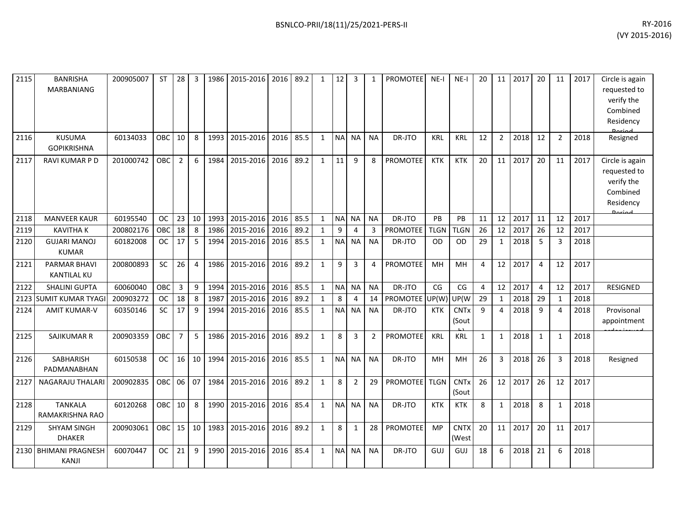| 2115 | <b>BANRISHA</b><br>MARBANIANG             | 200905007 | <b>ST</b>  | 28              | 3              | 1986 | 2015-2016 | 2016 | 89.2 | $\mathbf{1}$ | 12             | 3         | $\mathbf{1}$   | <b>PROMOTEE</b> | $NE-I$      | $NE-I$                          | 20           | 11             | 2017 | 20             | 11             | 2017 | Circle is again<br>requested to<br>verify the<br>Combined<br>Residency                  |
|------|-------------------------------------------|-----------|------------|-----------------|----------------|------|-----------|------|------|--------------|----------------|-----------|----------------|-----------------|-------------|---------------------------------|--------------|----------------|------|----------------|----------------|------|-----------------------------------------------------------------------------------------|
| 2116 | <b>KUSUMA</b><br><b>GOPIKRISHNA</b>       | 60134033  | OBC        | 10              | 8              | 1993 | 2015-2016 | 2016 | 85.5 | $\mathbf{1}$ | <b>NA</b>      | <b>NA</b> | <b>NA</b>      | DR-JTO          | <b>KRL</b>  | <b>KRL</b>                      | 12           | $\overline{2}$ | 2018 | 12             | $\overline{2}$ | 2018 | Resigned                                                                                |
| 2117 | RAVI KUMAR P D                            | 201000742 | OBC        | $\overline{2}$  | 6              | 1984 | 2015-2016 | 2016 | 89.2 | $\mathbf{1}$ | 11             | 9         | 8              | <b>PROMOTEE</b> | <b>KTK</b>  | <b>KTK</b>                      | 20           | 11             | 2017 | 20             | 11             | 2017 | Circle is again<br>requested to<br>verify the<br>Combined<br>Residency<br><b>Doriad</b> |
| 2118 | <b>MANVEER KAUR</b>                       | 60195540  | <b>OC</b>  | 23              | 10             | 1993 | 2015-2016 | 2016 | 85.5 | $\mathbf{1}$ | N <sub>A</sub> | <b>NA</b> | <b>NA</b>      | DR-JTO          | PB          | PB                              | 11           | 12             | 2017 | 11             | 12             | 2017 |                                                                                         |
| 2119 | <b>KAVITHAK</b>                           | 200802176 | OBC        | 18              | 8              | 1986 | 2015-2016 | 2016 | 89.2 | $\mathbf{1}$ | 9              | 4         | 3              | <b>PROMOTEE</b> | <b>TLGN</b> | <b>TLGN</b>                     | 26           | 12             | 2017 | 26             | 12             | 2017 |                                                                                         |
| 2120 | <b>GUJARI MANOJ</b><br><b>KUMAR</b>       | 60182008  | <b>OC</b>  | 17              | 5              | 1994 | 2015-2016 | 2016 | 85.5 | $\mathbf{1}$ | <b>NA</b>      | <b>NA</b> | <b>NA</b>      | DR-JTO          | <b>OD</b>   | <b>OD</b>                       | 29           | 1              | 2018 | 5              | 3              | 2018 |                                                                                         |
| 2121 | <b>PARMAR BHAVI</b><br><b>KANTILAL KU</b> | 200800893 | SC         | 26              | $\overline{4}$ | 1986 | 2015-2016 | 2016 | 89.2 | $\mathbf{1}$ | 9              | 3         | 4              | PROMOTEE        | MH          | MH                              | 4            | 12             | 2017 | $\overline{4}$ | 12             | 2017 |                                                                                         |
| 2122 | <b>SHALINI GUPTA</b>                      | 60060040  | OBC        | 3               | 9              | 1994 | 2015-2016 | 2016 | 85.5 | $\mathbf{1}$ | <b>NA</b>      | <b>NA</b> | <b>NA</b>      | DR-JTO          | CG          | CG                              | 4            | 12             | 2017 | 4              | 12             | 2017 | <b>RESIGNED</b>                                                                         |
| 2123 | <b>SUMIT KUMAR TYAGI</b>                  | 200903272 | <b>OC</b>  | 18              | 8              | 1987 | 2015-2016 | 2016 | 89.2 | $\mathbf{1}$ | 8              | 4         | 14             | PROMOTEE UP(W)  |             | UP(W                            | 29           | $\mathbf{1}$   | 2018 | 29             | $\mathbf{1}$   | 2018 |                                                                                         |
| 2124 | <b>AMIT KUMAR-V</b>                       | 60350146  | <b>SC</b>  | 17              | 9              | 1994 | 2015-2016 | 2016 | 85.5 | $\mathbf{1}$ | <b>NA</b>      | <b>NA</b> | <b>NA</b>      | DR-JTO          | <b>KTK</b>  | <b>CNT<sub>x</sub></b><br>(Sout | 9            | 4              | 2018 | 9              | 4              | 2018 | Provisonal<br>appointment                                                               |
| 2125 | SAJIKUMAR R                               | 200903359 | OBC        | 7               | 5              | 1986 | 2015-2016 | 2016 | 89.2 | $\mathbf{1}$ | 8              | 3         | $\overline{2}$ | PROMOTEE        | <b>KRL</b>  | <b>KRL</b>                      | $\mathbf{1}$ | $\mathbf{1}$   | 2018 | $\mathbf{1}$   | 1              | 2018 |                                                                                         |
| 2126 | SABHARISH<br>PADMANABHAN                  | 60150538  | <b>OC</b>  | 16              | 10             | 1994 | 2015-2016 | 2016 | 85.5 | $\mathbf{1}$ | <b>NA</b>      | <b>NA</b> | <b>NA</b>      | DR-JTO          | MH          | MH                              | 26           | $\mathbf{3}$   | 2018 | 26             | 3              | 2018 | Resigned                                                                                |
| 2127 | <b>NAGARAJU THALARI</b>                   | 200902835 | OBC        | 06 07           |                | 1984 | 2015-2016 | 2016 | 89.2 | $\mathbf{1}$ | 8              | 2         | 29             | <b>PROMOTEE</b> | <b>TLGN</b> | <b>CNTx</b><br>(Sout            | 26           | 12             | 2017 | 26             | 12             | 2017 |                                                                                         |
| 2128 | <b>TANKALA</b><br>RAMAKRISHNA RAO         | 60120268  | OBC        | 10 <sup>1</sup> | 8              | 1990 | 2015-2016 | 2016 | 85.4 | $\mathbf{1}$ | N <sub>A</sub> | <b>NA</b> | <b>NA</b>      | DR-JTO          | <b>KTK</b>  | KTK                             | 8            | 1              | 2018 | 8              | 1              | 2018 |                                                                                         |
| 2129 | <b>SHYAM SINGH</b><br><b>DHAKER</b>       | 200903061 | <b>OBC</b> | 15 <sup>1</sup> | 10             | 1983 | 2015-2016 | 2016 | 89.2 | $\mathbf{1}$ | 8              | 1         | 28             | PROMOTEE        | <b>MP</b>   | <b>CNTX</b><br>(West            | 20           | 11             | 2017 | 20             | 11             | 2017 |                                                                                         |
|      | 2130 BHIMANI PRAGNESH<br>KANJI            | 60070447  | ОC         | 21              | 9              | 1990 | 2015-2016 | 2016 | 85.4 | $\mathbf{1}$ | <b>NA</b>      | NA        | <b>NA</b>      | DR-JTO          | GUJ         | GUJ                             | 18           | 6              | 2018 | 21             | 6              | 2018 |                                                                                         |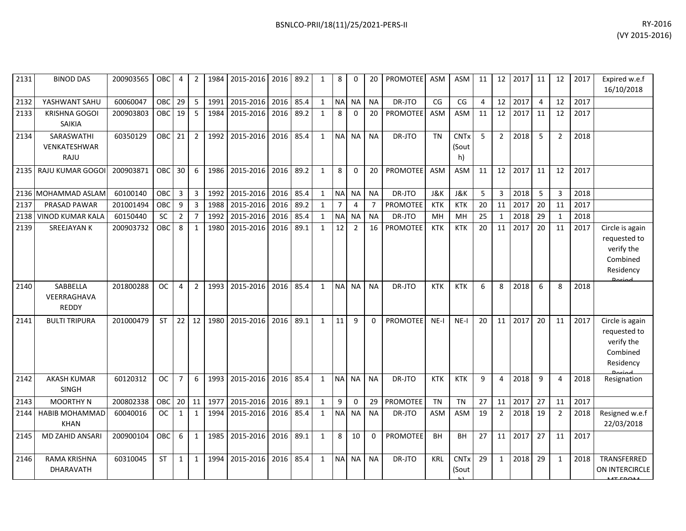| BSNLCO-PRII/18(11)/25/2021-PERS-II | RY-2016         |
|------------------------------------|-----------------|
|                                    | $(VI2015-2016)$ |

| 2131 | <b>BINOD DAS</b>                      | 200903565 | <b>OBC</b> | 4              | 2              | 1984 | 2015-2016 2016 |      | 89.2 | 1            | 8              | 0              | 20             | <b>PROMOTEE</b> | <b>ASM</b>     | ASM                        | 11             | 12             | 2017 | 11             | 12             | 2017 | Expired w.e.f<br>16/10/2018                                                      |
|------|---------------------------------------|-----------|------------|----------------|----------------|------|----------------|------|------|--------------|----------------|----------------|----------------|-----------------|----------------|----------------------------|----------------|----------------|------|----------------|----------------|------|----------------------------------------------------------------------------------|
| 2132 | YASHWANT SAHU                         | 60060047  | OBC        | 29             | 5              | 1991 | 2015-2016      | 2016 | 85.4 | $\mathbf{1}$ | <b>NA</b>      | <b>NA</b>      | <b>NA</b>      | DR-JTO          | CG             | CG                         | $\overline{4}$ | 12             | 2017 | $\overline{4}$ | 12             | 2017 |                                                                                  |
| 2133 | <b>KRISHNA GOGOI</b><br><b>SAIKIA</b> | 200903803 | OBC        | 19             | 5              | 1984 | 2015-2016      | 2016 | 89.2 | $\mathbf{1}$ | 8              | $\Omega$       | 20             | <b>PROMOTEE</b> | <b>ASM</b>     | ASM                        | 11             | 12             | 2017 | 11             | 12             | 2017 |                                                                                  |
| 2134 | SARASWATHI<br>VENKATESHWAR<br>RAJU    | 60350129  | <b>OBC</b> | 21             | 2              | 1992 | 2015-2016      | 2016 | 85.4 | $\mathbf{1}$ | <b>NA</b>      | <b>NA</b>      | <b>NA</b>      | DR-JTO          | <b>TN</b>      | <b>CNTx</b><br>(Sout<br>h) | 5              | $\overline{2}$ | 2018 | 5              | $\overline{2}$ | 2018 |                                                                                  |
|      | 2135 RAJU KUMAR GOGOI                 | 200903871 | OBC        | 30             | 6              | 1986 | 2015-2016      | 2016 | 89.2 | $\mathbf{1}$ | 8              | $\Omega$       | 20             | <b>PROMOTEE</b> | <b>ASM</b>     | ASM                        | 11             | 12             | 2017 | 11             | 12             | 2017 |                                                                                  |
|      | 2136 MOHAMMAD ASLAM                   | 60100140  | OBC        | 3              | $\mathbf{3}$   | 1992 | 2015-2016      | 2016 | 85.4 | 1            | <b>NA</b>      | <b>NA</b>      | <b>NA</b>      | DR-JTO          | <b>J&amp;K</b> | J&K                        | 5              | 3              | 2018 | 5              | 3              | 2018 |                                                                                  |
| 2137 | PRASAD PAWAR                          | 201001494 | OBC        | 9              | $\overline{3}$ | 1988 | 2015-2016      | 2016 | 89.2 | $\mathbf{1}$ | $\overline{7}$ | $\overline{4}$ | $\overline{7}$ | <b>PROMOTEE</b> | <b>KTK</b>     | <b>KTK</b>                 | 20             | 11             | 2017 | 20             | 11             | 2017 |                                                                                  |
| 2138 | <b>VINOD KUMAR KALA</b>               | 60150440  | <b>SC</b>  | $\overline{2}$ | $\overline{7}$ | 1992 | 2015-2016      | 2016 | 85.4 | $\mathbf{1}$ | <b>NA</b>      | <b>NA</b>      | <b>NA</b>      | DR-JTO          | MH             | MH                         | 25             | 1              | 2018 | 29             | $\mathbf{1}$   | 2018 |                                                                                  |
| 2139 | <b>SREEJAYAN K</b>                    | 200903732 | OBC        | 8              | $\mathbf{1}$   | 1980 | 2015-2016      | 2016 | 89.1 | $\mathbf{1}$ | 12             | $\overline{2}$ | 16             | <b>PROMOTEE</b> | <b>KTK</b>     | <b>KTK</b>                 | 20             | 11             | 2017 | 20             | 11             | 2017 | Circle is again<br>requested to<br>verify the<br>Combined<br>Residency<br>Doriod |
| 2140 | SABBELLA<br>VEERRAGHAVA<br>REDDY      | 201800288 | <b>OC</b>  | $\overline{4}$ | $\overline{2}$ | 1993 | 2015-2016      | 2016 | 85.4 | $\mathbf{1}$ | <b>NA</b>      | <b>NA</b>      | <b>NA</b>      | DR-JTO          | <b>KTK</b>     | <b>KTK</b>                 | 6              | 8              | 2018 | 6              | 8              | 2018 |                                                                                  |
| 2141 | <b>BULTI TRIPURA</b>                  | 201000479 | <b>ST</b>  | 22             | 12             | 1980 | 2015-2016      | 2016 | 89.1 | $\mathbf{1}$ | 11             | $\mathbf{q}$   | $\Omega$       | <b>PROMOTEE</b> | $NE-I$         | $NE-I$                     | 20             | 11             | 2017 | 20             | 11             | 2017 | Circle is again<br>requested to<br>verify the<br>Combined<br>Residency           |
| 2142 | <b>AKASH KUMAR</b><br>SINGH           | 60120312  | <b>OC</b>  | $\overline{7}$ | 6              | 1993 | 2015-2016      | 2016 | 85.4 | $\mathbf{1}$ | NA NA          |                | <b>NA</b>      | DR-JTO          | <b>KTK</b>     | <b>KTK</b>                 | 9              | 4              | 2018 | 9              | 4              | 2018 | Resignation                                                                      |
| 2143 | <b>MOORTHY N</b>                      | 200802338 | OBC        | 20             | 11             | 1977 | 2015-2016      | 2016 | 89.1 | $\mathbf{1}$ | 9              | $\mathbf 0$    | 29             | PROMOTEE        | <b>TN</b>      | <b>TN</b>                  | 27             | 11             | 2017 | 27             | 11             | 2017 |                                                                                  |
| 2144 | HABIB MOHAMMAD<br><b>KHAN</b>         | 60040016  | OC.        | $\mathbf{1}$   | $\mathbf{1}$   | 1994 | 2015-2016      | 2016 | 85.4 | $\mathbf{1}$ | <b>NA</b>      | NA             | <b>NA</b>      | DR-JTO          | <b>ASM</b>     | <b>ASM</b>                 | 19             | $\overline{2}$ | 2018 | 19             | $\overline{2}$ | 2018 | Resigned w.e.f<br>22/03/2018                                                     |
| 2145 | MD ZAHID ANSARI                       | 200900104 | <b>OBC</b> | 6              | $\mathbf{1}$   | 1985 | 2015-2016      | 2016 | 89.1 | $\mathbf{1}$ | 8              | 10             | $\Omega$       | <b>PROMOTEE</b> | <b>BH</b>      | BH                         | 27             | 11             | 2017 | 27             | 11             | 2017 |                                                                                  |
| 2146 | RAMA KRISHNA<br>DHARAVATH             | 60310045  | <b>ST</b>  | $\mathbf{1}$   | $\mathbf{1}$   | 1994 | 2015-2016      | 2016 | 85.4 | $\mathbf{1}$ | <b>NA</b>      | <b>NA</b>      | <b>NA</b>      | DR-JTO          | <b>KRL</b>     | <b>CNTx</b><br>(Sout       | 29             | $\mathbf{1}$   | 2018 | 29             | $\mathbf{1}$   | 2018 | TRANSFERRED<br>ON INTERCIRCLE<br>MTFROA4                                         |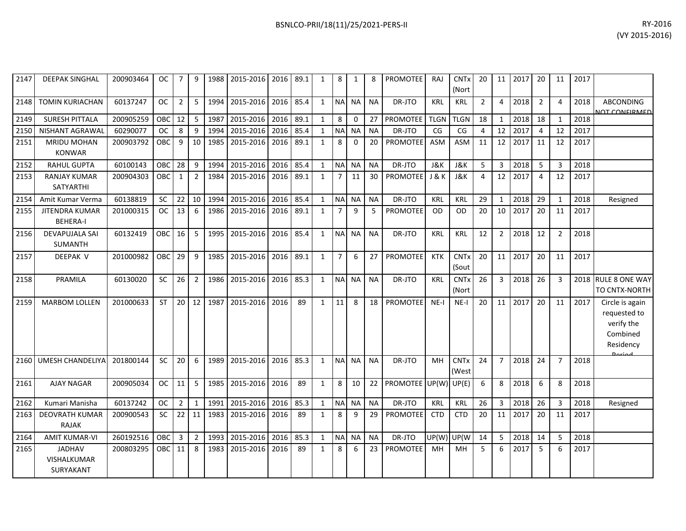| BSNLCO-PRII/18(11)/25/2021-PERS-II | RY-2016 |
|------------------------------------|---------|
|------------------------------------|---------|

| 2147 | <b>DEEPAK SINGHAL</b>                     | 200903464 | OC.        | 7              | 9              | 1988 | 2015-2016   2016   89.1 |      |      | 1            | 8              | 1            |           | <b>PROMOTEE</b>             | <b>RAJ</b>     | <b>CNT<sub>x</sub></b><br>(Nort | 20             |                | 11 2017 | 20             | 11             | 2017 |                                                                                  |
|------|-------------------------------------------|-----------|------------|----------------|----------------|------|-------------------------|------|------|--------------|----------------|--------------|-----------|-----------------------------|----------------|---------------------------------|----------------|----------------|---------|----------------|----------------|------|----------------------------------------------------------------------------------|
| 2148 | <b>TOMIN KURIACHAN</b>                    | 60137247  | <b>OC</b>  | $\overline{2}$ | 5              | 1994 | 2015-2016               | 2016 | 85.4 | $\mathbf{1}$ | <b>NA</b>      | <b>NA</b>    | <b>NA</b> | DR-JTO                      | <b>KRL</b>     | <b>KRL</b>                      | $\overline{2}$ | $\overline{4}$ | 2018    | $\overline{2}$ | $\overline{4}$ | 2018 | <b>ABCONDING</b><br><b>NOT CONFIRMED</b>                                         |
| 2149 | <b>SURESH PITTALA</b>                     | 200905259 | OBC        | 12             | 5              | 1987 | 2015-2016               | 2016 | 89.1 | $\mathbf{1}$ | 8              | $\Omega$     | 27        | <b>PROMOTEE</b>             | <b>TLGN</b>    | <b>TLGN</b>                     | 18             | $\mathbf{1}$   | 2018    | 18             | $\overline{1}$ | 2018 |                                                                                  |
| 2150 | NISHANT AGRAWAI                           | 60290077  | <b>OC</b>  | 8              | 9              | 1994 | 2015-2016               | 2016 | 85.4 | $\mathbf{1}$ | <b>NA</b>      | <b>NA</b>    | <b>NA</b> | DR-JTO                      | CG             | CG                              | $\overline{4}$ | 12             | 2017    | $\overline{4}$ | 12             | 2017 |                                                                                  |
| 2151 | MRIDU MOHAN<br><b>KONWAR</b>              | 200903792 | OBC        | 9              | 10             | 1985 | 2015-2016               | 2016 | 89.1 | $\mathbf{1}$ | 8              | $\mathbf{0}$ | 20        | <b>PROMOTEE</b>             | <b>ASM</b>     | <b>ASM</b>                      | 11             | 12             | 2017    | 11             | 12             | 2017 |                                                                                  |
| 2152 | <b>RAHUL GUPTA</b>                        | 60100143  | OBC        | 28             | 9              | 1994 | 2015-2016               | 2016 | 85.4 | $\mathbf{1}$ | <b>NA</b>      | <b>NA</b>    | <b>NA</b> | DR-JTO                      | <b>J&amp;K</b> | <b>J&amp;K</b>                  | 5              | $\overline{3}$ | 2018    | 5              | $\overline{3}$ | 2018 |                                                                                  |
| 2153 | <b>RANJAY KUMAR</b><br><b>SATYARTHI</b>   | 200904303 | OBC        | $\mathbf{1}$   | $\overline{2}$ | 1984 | 2015-2016               | 2016 | 89.1 | $\mathbf{1}$ | $\overline{7}$ | 11           | 30        | <b>PROMOTEE</b>             | J & K          | <b>J&amp;K</b>                  | $\overline{4}$ | 12             | 2017    | $\overline{4}$ | 12             | 2017 |                                                                                  |
| 2154 | Amit Kumar Verma                          | 60138819  | SC         | 22             | 10             | 1994 | 2015-2016               | 2016 | 85.4 | $\mathbf{1}$ | <b>NA</b>      | <b>NA</b>    | <b>NA</b> | DR-JTO                      | KRL            | <b>KRL</b>                      | 29             | $\mathbf{1}$   | 2018    | 29             | $\mathbf{1}$   | 2018 | Resigned                                                                         |
| 2155 | <b>JITENDRA KUMAR</b><br><b>BEHERA-I</b>  | 201000315 | <b>OC</b>  | 13             | 6              | 1986 | 2015-2016               | 2016 | 89.1 | $\mathbf{1}$ | $\overline{7}$ | $\mathsf{q}$ | 5         | <b>PROMOTEE</b>             | <b>OD</b>      | <b>OD</b>                       | 20             | 10             | 2017    | 20             | 11             | 2017 |                                                                                  |
| 2156 | <b>DEVAPUJALA SAI</b><br><b>SUMANTH</b>   | 60132419  | <b>OBC</b> | 16             | 5              | 1995 | 2015-2016               | 2016 | 85.4 | $\mathbf{1}$ | N <sub>A</sub> | <b>NA</b>    | <b>NA</b> | DR-JTO                      | <b>KRL</b>     | <b>KRL</b>                      | 12             | $\overline{2}$ | 2018    | 12             | $\overline{2}$ | 2018 |                                                                                  |
| 2157 | <b>DEEPAK V</b>                           | 201000982 | <b>OBC</b> | 29             | 9              | 1985 | 2015-2016               | 2016 | 89.1 | $\mathbf{1}$ | $\overline{7}$ | 6            | 27        | <b>PROMOTEE</b>             | KTK            | <b>CNT<sub>x</sub></b><br>(Sout | 20             | 11             | 2017    | 20             | 11             | 2017 |                                                                                  |
| 2158 | PRAMILA                                   | 60130020  | SC         | 26             | $\overline{2}$ | 1986 | 2015-2016               | 2016 | 85.3 | $\mathbf{1}$ |                | NA NA        | <b>NA</b> | DR-JTO                      | <b>KRL</b>     | <b>CNT<sub>x</sub></b><br>(Nort | 26             | $\overline{3}$ | 2018    | 26             | $\overline{3}$ | 2018 | <b>RULE 8 ONE WAY</b><br>TO CNTX-NORTH                                           |
| 2159 | <b>MARBOM LOLLEN</b>                      | 201000633 | <b>ST</b>  | 20             | 12             | 1987 | 2015-2016               | 2016 | 89   | $\mathbf{1}$ | 11             | 8            | 18        | <b>PROMOTEE</b>             | $NE-I$         | $NE-I$                          | 20             | 11             | 2017    | 20             | 11             | 2017 | Circle is again<br>requested to<br>verify the<br>Combined<br>Residency<br>Dariad |
| 2160 | <b>UMESH CHANDELIYA</b>                   | 201800144 | SC         | 20             | 6              | 1989 | 2015-2016               | 2016 | 85.3 | $\mathbf{1}$ | <b>NA</b>      | <b>NA</b>    | <b>NA</b> | DR-JTO                      | MH             | <b>CNTx</b><br>(West            | 24             | $\overline{7}$ | 2018    | 24             | $\overline{7}$ | 2018 |                                                                                  |
| 2161 | <b>AJAY NAGAR</b>                         | 200905034 | <b>OC</b>  | 11             | 5              | 1985 | 2015-2016               | 2016 | 89   | $\mathbf{1}$ | 8              | 10           | 22        | <b>PROMOTEE</b> UP(W) UP(E) |                |                                 | 6              | 8              | 2018    | 6              | 8              | 2018 |                                                                                  |
| 2162 | Kumari Manisha                            | 60137242  | <b>OC</b>  | $\overline{2}$ | $\mathbf{1}$   | 1991 | 2015-2016               | 2016 | 85.3 | $\mathbf{1}$ | <b>NA</b>      | <b>NA</b>    | <b>NA</b> | DR-JTO                      | <b>KRL</b>     | <b>KRL</b>                      | 26             | 3              | 2018    | 26             | $\overline{3}$ | 2018 | Resigned                                                                         |
| 2163 | <b>DEOVRATH KUMAR</b><br>RAJAK            | 200900543 | <b>SC</b>  | 22             | 11             | 1983 | 2015-2016               | 2016 | 89   | $\mathbf{1}$ | 8              | 9            | 29        | <b>PROMOTEE</b>             | <b>CTD</b>     | <b>CTD</b>                      | 20             | 11             | 2017    | 20             | 11             | 2017 |                                                                                  |
| 2164 | <b>AMIT KUMAR-VI</b>                      | 260192516 | OBC        | 3              | $\overline{2}$ | 1993 | 2015-2016               | 2016 | 85.3 | 1            | <b>NA</b>      | <b>NA</b>    | <b>NA</b> | DR-JTO                      | UP(W)          | UP(W                            | 14             | 5              | 2018    | 14             | 5              | 2018 |                                                                                  |
| 2165 | <b>JADHAV</b><br>VISHALKUMAR<br>SURYAKANT | 200803295 | OBC.       | 11             | 8              | 1983 | 2015-2016               | 2016 | 89   | $\mathbf{1}$ | 8              | 6            | 23        | <b>PROMOTEE</b>             | MH             | <b>MH</b>                       | 5              | 6              | 2017    | 5              | 6              | 2017 |                                                                                  |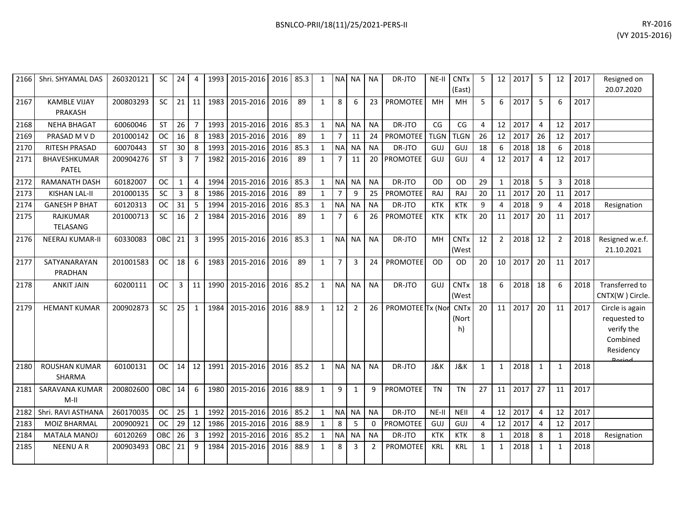| 2166 | Shri. SHYAMAL DAS                     | 260320121 | <b>SC</b>  | 24           | 4              | 1993 | 2015-2016 | 2016 | 85.3 | $\mathbf{1}$ | <b>NA</b>      | <b>NA</b>      | <b>NA</b>    | DR-JTO           | NE-II       | <b>CNT<sub>x</sub></b><br>(East) | 5  | 12             | 2017 | -5             | 12             | 2017 | Resigned on<br>20.07.2020                                              |
|------|---------------------------------------|-----------|------------|--------------|----------------|------|-----------|------|------|--------------|----------------|----------------|--------------|------------------|-------------|----------------------------------|----|----------------|------|----------------|----------------|------|------------------------------------------------------------------------|
| 2167 | <b>KAMBLE VIJAY</b><br><b>PRAKASH</b> | 200803293 | <b>SC</b>  | 21           | 11             | 1983 | 2015-2016 | 2016 | 89   | $\mathbf{1}$ | 8              | 6              | 23           | PROMOTEE         | MH          | MH                               | 5  | 6              | 2017 | -5             | 6              | 2017 |                                                                        |
| 2168 | <b>NEHA BHAGAT</b>                    | 60060046  | <b>ST</b>  | 26           | $\overline{7}$ | 1993 | 2015-2016 | 2016 | 85.3 | $\mathbf{1}$ | <b>NA</b>      | <b>NA</b>      | <b>NA</b>    | DR-JTO           | CG          | CG                               | 4  | 12             | 2017 | $\overline{4}$ | 12             | 2017 |                                                                        |
| 2169 | PRASAD M V D                          | 201000142 | <b>OC</b>  | 16           | 8              | 1983 | 2015-2016 | 2016 | 89   | $\mathbf{1}$ | $\overline{7}$ | 11             | 24           | PROMOTEE         | <b>TLGN</b> | <b>TLGN</b>                      | 26 | 12             | 2017 | 26             | 12             | 2017 |                                                                        |
| 2170 | RITESH PRASAD                         | 60070443  | <b>ST</b>  | 30           | 8              | 1993 | 2015-2016 | 2016 | 85.3 | $\mathbf{1}$ | <b>NA</b>      | <b>NA</b>      | <b>NA</b>    | DR-JTO           | <b>GUJ</b>  | GUJ                              | 18 | 6              | 2018 | 18             | 6              | 2018 |                                                                        |
| 2171 | BHAVESHKUMAR<br><b>PATEL</b>          | 200904276 | <b>ST</b>  | 3            | $\overline{7}$ | 1982 | 2015-2016 | 2016 | 89   | $\mathbf{1}$ | $\overline{7}$ | 11             | 20           | <b>PROMOTEE</b>  | GUJ         | GUJ                              | 4  | 12             | 2017 | $\overline{4}$ | 12             | 2017 |                                                                        |
| 2172 | <b>RAMANATH DASH</b>                  | 60182007  | <b>OC</b>  | $\mathbf{1}$ | $\overline{4}$ | 1994 | 2015-2016 | 2016 | 85.3 | $\mathbf{1}$ | <b>NA</b>      | <b>NA</b>      | <b>NA</b>    | DR-JTO           | OD          | <b>OD</b>                        | 29 | $\mathbf{1}$   | 2018 | 5              | 3              | 2018 |                                                                        |
| 2173 | <b>KISHAN LAL-II</b>                  | 201000135 | <b>SC</b>  | 3            | 8              | 1986 | 2015-2016 | 2016 | 89   | $\mathbf{1}$ |                | 9              | 25           | <b>PROMOTEE</b>  | RAJ         | <b>RAJ</b>                       | 20 | 11             | 2017 | 20             | 11             | 2017 |                                                                        |
| 2174 | <b>GANESH P BHAT</b>                  | 60120313  | <b>OC</b>  | 31           | 5              | 1994 | 2015-2016 | 2016 | 85.3 | $\mathbf{1}$ | NA             | NA             | <b>NA</b>    | DR-JTO           | <b>KTK</b>  | <b>KTK</b>                       | 9  | $\overline{4}$ | 2018 | 9              | $\Delta$       | 2018 | Resignation                                                            |
| 2175 | RAJKUMAR<br>TELASANG                  | 201000713 | SC         | 16           | $\overline{2}$ | 1984 | 2015-2016 | 2016 | 89   | $\mathbf{1}$ | $\overline{7}$ | 6              | 26           | <b>PROMOTEE</b>  | <b>KTK</b>  | <b>KTK</b>                       | 20 | 11             | 2017 | 20             | 11             | 2017 |                                                                        |
| 2176 | <b>NEERAJ KUMAR-II</b>                | 60330083  | <b>OBC</b> | 21           | $\overline{3}$ | 1995 | 2015-2016 | 2016 | 85.3 | $\mathbf{1}$ | <b>NA</b>      | <b>NA</b>      | <b>NA</b>    | DR-JTO           | MH          | <b>CNTx</b><br>(West             | 12 | $\overline{2}$ | 2018 | 12             | $\overline{2}$ | 2018 | Resigned w.e.f.<br>21.10.2021                                          |
| 2177 | SATYANARAYAN<br>PRADHAN               | 201001583 | <b>OC</b>  | 18           | 6              | 1983 | 2015-2016 | 2016 | 89   | $\mathbf{1}$ | $\overline{7}$ | 3              | 24           | PROMOTEE         | <b>OD</b>   | OD                               | 20 | 10             | 2017 | 20             | 11             | 2017 |                                                                        |
| 2178 | <b>ANKIT JAIN</b>                     | 60200111  | <b>OC</b>  | 3            | 11             | 1990 | 2015-2016 | 2016 | 85.2 | $\mathbf{1}$ | <b>NA</b>      | <b>NA</b>      | <b>NA</b>    | DR-JTO           | GUJ         | <b>CNTx</b><br>(West             | 18 | 6              | 2018 | 18             | 6              | 2018 | Transferred to<br>CNTX(W) Circle.                                      |
| 2179 | <b>HEMANT KUMAR</b>                   | 200902873 | SC         | 25           | $\mathbf{1}$   | 1984 | 2015-2016 | 2016 | 88.9 | $\mathbf{1}$ | 12             | $\overline{2}$ | 26           | PROMOTEE Tx (Nor |             | <b>CNTx</b><br>(Nort<br>h)       | 20 | 11             | 2017 | 20             | 11             | 2017 | Circle is again<br>requested to<br>verify the<br>Combined<br>Residency |
| 2180 | <b>ROUSHAN KUMAR</b><br>SHARMA        | 60100131  | <b>OC</b>  | 14           | 12             | 1991 | 2015-2016 | 2016 | 85.2 | $\mathbf{1}$ | <b>NAI</b>     | <b>NA</b>      | <b>NA</b>    | DR-JTO           | J&K         | <b>J&amp;K</b>                   | 1  | $\mathbf{1}$   | 2018 | 1              | $\mathbf{1}$   | 2018 |                                                                        |
| 2181 | SARAVANA KUMAR<br>$M-H$               | 200802600 | OBC        | 14           | 6              | 1980 | 2015-2016 | 2016 | 88.9 | $\mathbf{1}$ | 9              | $\mathbf{1}$   | 9            | <b>PROMOTEE</b>  | <b>TN</b>   | <b>TN</b>                        | 27 | 11             | 2017 | 27             | 11             | 2017 |                                                                        |
| 2182 | Shri. RAVI ASTHANA                    | 260170035 | <b>OC</b>  | 25           | $\mathbf{1}$   | 1992 | 2015-2016 | 2016 | 85.2 | $\mathbf{1}$ | <b>NA</b>      | <b>NA</b>      | <b>NA</b>    | DR-JTO           | $NE-II$     | NEII                             | 4  | 12             | 2017 | $\overline{4}$ | 12             | 2017 |                                                                        |
| 2183 | MOIZ BHARMAL                          | 200900921 | <b>OC</b>  | 29           | 12             | 1986 | 2015-2016 | 2016 | 88.9 | $\mathbf{1}$ | 8              | 5              | $\mathbf{0}$ | <b>PROMOTEE</b>  | GUJ         | GUJ                              | 4  | 12             | 2017 | $\overline{4}$ | 12             | 2017 |                                                                        |
| 2184 | MATALA MANOJ                          | 60120269  | OBC        | 26           | 3              | 1992 | 2015-2016 | 2016 | 85.2 | $\mathbf{1}$ | NA             | <b>NA</b>      | <b>NA</b>    | DR-JTO           | <b>KTK</b>  | <b>KTK</b>                       | 8  | 1              | 2018 | 8              | -1             | 2018 | Resignation                                                            |
| 2185 | <b>NEENU A R</b>                      | 200903493 | OBC        | 21           | 9              | 1984 | 2015-2016 | 2016 | 88.9 | $\mathbf{1}$ | 8              | 3              | 2            | PROMOTEE         | <b>KRL</b>  | <b>KRL</b>                       | 1  | 1              | 2018 | 1              | -1             | 2018 |                                                                        |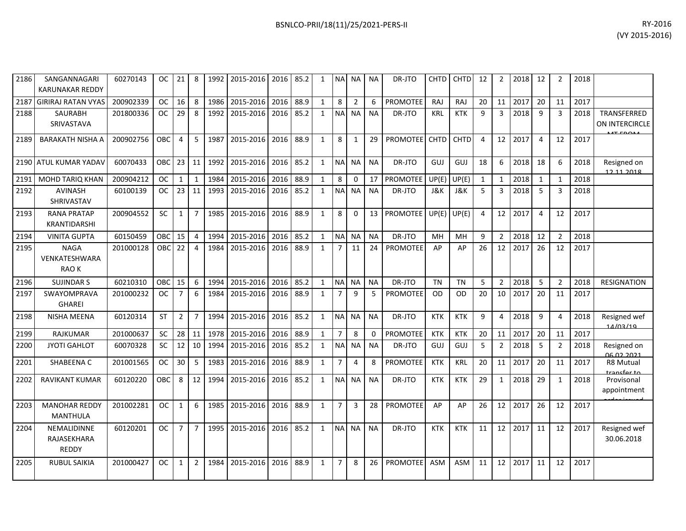| 2186 | SANGANNAGARI<br><b>KARUNAKAR REDDY</b>     | 60270143  | OC.        | 21 <sub>1</sub> | 8              | 1992 | 2015-2016   2016   85.2 |      |      | 1            |                | NA NA NA       |           | DR-JTO          |                | CHTD CHTD   | 12 | $\overline{2}$  | 2018 | 12             |                | 2018 |                                  |
|------|--------------------------------------------|-----------|------------|-----------------|----------------|------|-------------------------|------|------|--------------|----------------|----------------|-----------|-----------------|----------------|-------------|----|-----------------|------|----------------|----------------|------|----------------------------------|
| 2187 | <b>GIRIRAJ RATAN VYAS</b>                  | 200902339 | <b>OC</b>  | 16              | 8              | 1986 | 2015-2016               | 2016 | 88.9 | $\mathbf{1}$ | 8              | $\overline{2}$ | 6         | <b>PROMOTEE</b> | RAJ            | RAJ         | 20 | 11              | 2017 | 20             | 11             | 2017 |                                  |
| 2188 | <b>SAURABH</b><br>SRIVASTAVA               | 201800336 | OC.        | 29              | -8             | 1992 | 2015-2016               | 2016 | 85.2 | 1            | <b>NAI</b>     | NA I           | <b>NA</b> | DR-JTO          | <b>KRL</b>     | <b>KTK</b>  | 9  | 3               | 2018 | -9             | 3              | 2018 | TRANSFERRED<br>ON INTERCIRCLE    |
| 2189 | <b>BARAKATH NISHA A</b>                    | 200902756 | OBC.       | $\overline{4}$  | 5              | 1987 | 2015-2016               | 2016 | 88.9 | $\mathbf{1}$ | 8              | 1              | 29        | PROMOTEE CHTD   |                | <b>CHTD</b> | 4  | 12 <sup>1</sup> | 2017 | $\overline{4}$ | 12             | 2017 |                                  |
|      | 2190   ATUL KUMAR YADAV                    | 60070433  | <b>OBC</b> | 23              | 11             | 1992 | 2015-2016               | 2016 | 85.2 | $\mathbf{1}$ |                | NA NA          | NA.       | DR-JTO          | GUJ            | GUJ         | 18 | 6               | 2018 | 18             | 6              | 2018 | Resigned on<br>12 11 2018        |
| 2191 | <b>MOHD TARIO KHAN</b>                     | 200904212 | <b>OC</b>  | $\mathbf{1}$    | $\mathbf{1}$   | 1984 | 2015-2016               | 2016 | 88.9 | $\mathbf{1}$ | 8              | $\Omega$       | 17        | <b>PROMOTEE</b> | UP(E)          | UP(E)       | 1  | 1               | 2018 | 1              | 1              | 2018 |                                  |
| 2192 | <b>AVINASH</b><br>SHRIVASTAV               | 60100139  | <b>OC</b>  | 23              | 11             | 1993 | 2015-2016               | 2016 | 85.2 | $\mathbf{1}$ |                | NA NA          | <b>NA</b> | DR-JTO          | <b>J&amp;K</b> | J&K         | 5  | 3               | 2018 | 5              | 3              | 2018 |                                  |
| 2193 | <b>RANA PRATAP</b><br><b>KRANTIDARSHI</b>  | 200904552 | <b>SC</b>  | $\mathbf{1}$    | $\overline{7}$ | 1985 | 2015-2016               | 2016 | 88.9 | $\mathbf{1}$ | 8              | $\mathbf{0}$   |           | 13 PROMOTEE     | UP(E)          | UP(E)       | 4  | 12              | 2017 | $\overline{4}$ | 12             | 2017 |                                  |
| 2194 | <b>VINITA GUPTA</b>                        | 60150459  | OBC        | 15              | $\overline{4}$ | 1994 | 2015-2016               | 2016 | 85.2 | 1            | <b>NA</b>      | <b>NA</b>      | <b>NA</b> | DR-JTO          | MH             | MH          | 9  | $\overline{2}$  | 2018 | 12             | $\mathfrak{p}$ | 2018 |                                  |
| 2195 | <b>NAGA</b><br>VENKATESHWARA<br>RAO K      | 201000128 | OBC        | 22              | 4              | 1984 | 2015-2016               | 2016 | 88.9 | 1            | $\overline{7}$ | 11             | 24        | <b>PROMOTEE</b> | AP             | AP          | 26 | 12              | 2017 | 26             | 12             | 2017 |                                  |
| 2196 | <b>SUJINDAR S</b>                          | 60210310  | OBC        | 15              | 6              | 1994 | 2015-2016               | 2016 | 85.2 | 1            | NA NA          |                | <b>NA</b> | DR-JTO          | <b>TN</b>      | <b>TN</b>   | 5  | $\overline{2}$  | 2018 | 5              | $\overline{2}$ | 2018 | <b>RESIGNATION</b>               |
| 2197 | SWAYOMPRAVA<br><b>GHAREI</b>               | 201000232 | <b>OC</b>  | $\overline{7}$  | 6              | 1984 | 2015-2016               | 2016 | 88.9 | $\mathbf{1}$ | $\overline{7}$ | 9              | 5         | <b>PROMOTEE</b> | .OD            | OD          | 20 | 10              | 2017 | 20             | 11             | 2017 |                                  |
| 2198 | <b>NISHA MEENA</b>                         | 60120314  | <b>ST</b>  | $\overline{2}$  | $\overline{7}$ | 1994 | 2015-2016               | 2016 | 85.2 | $\mathbf{1}$ | NAI NA         |                | <b>NA</b> | DR-JTO          | <b>KTK</b>     | <b>KTK</b>  | 9  | 4               | 2018 | 9              | 4              | 2018 | Resigned wef<br>14/03/19         |
| 2199 | <b>RAJKUMAR</b>                            | 201000637 | <b>SC</b>  | 28              | 11             | 1978 | 2015-2016               | 2016 | 88.9 | 1            | $\overline{7}$ | 8              | $\Omega$  | <b>PROMOTEE</b> | <b>KTK</b>     | <b>KTK</b>  | 20 | 11              | 2017 | 20             | 11             | 2017 |                                  |
| 2200 | <b>JYOTI GAHLOT</b>                        | 60070328  | <b>SC</b>  | 12              | 10             | 1994 | 2015-2016               | 2016 | 85.2 | $\mathbf{1}$ | <b>NAI</b>     | NA I           | <b>NA</b> | DR-JTO          | GUJ            | GUJ         | 5  | $\overline{2}$  | 2018 | 5              | $\overline{2}$ | 2018 | Resigned on<br><u>NG 02 2021</u> |
| 2201 | SHABEENA C                                 | 201001565 | <b>OC</b>  | 30              | 5              | 1983 | 2015-2016               | 2016 | 88.9 | $\mathbf{1}$ | $\overline{7}$ | $\overline{4}$ | 8         | <b>PROMOTEE</b> | <b>KTK</b>     | <b>KRL</b>  | 20 | 11              | 2017 | 20             | 11             | 2017 | R8 Mutual<br>transfer to         |
| 2202 | <b>RAVIKANT KUMAR</b>                      | 60120220  | OBC        | 8               | 12             | 1994 | 2015-2016               | 2016 | 85.2 | $\mathbf{1}$ | <b>NA</b>      | NA I           | <b>NA</b> | DR-JTO          | <b>KTK</b>     | <b>KTK</b>  | 29 | $\mathbf{1}$    | 2018 | 29             | $\mathbf{1}$   | 2018 | Provisonal<br>appointment        |
| 2203 | <b>MANOHAR REDDY</b><br><b>MANTHULA</b>    | 201002281 | <b>OC</b>  | $\mathbf{1}$    | 6              | 1985 | 2015-2016               | 2016 | 88.9 | $\mathbf{1}$ | $\overline{7}$ | 3              | 28        | <b>PROMOTEE</b> | AP             | AP          | 26 | 12              | 2017 | 26             | 12             | 2017 |                                  |
| 2204 | NEMALIDINNE<br>RAJASEKHARA<br><b>REDDY</b> | 60120201  | OC.        | $\overline{7}$  | $\overline{7}$ | 1995 | 2015-2016               | 2016 | 85.2 | $\mathbf{1}$ | NA NA          |                | <b>NA</b> | DR-JTO          | <b>KTK</b>     | <b>KTK</b>  | 11 | 12              | 2017 | 11             | 12             | 2017 | Resigned wef<br>30.06.2018       |
| 2205 | <b>RUBUL SAIKIA</b>                        | 201000427 | <b>OC</b>  | $\mathbf{1}$    | $\overline{2}$ | 1984 | 2015-2016               | 2016 | 88.9 | $\mathbf{1}$ | $\overline{7}$ | 8              | 26        | <b>PROMOTEE</b> | <b>ASM</b>     | ASM         | 11 | 12              | 2017 | 11             | 12             | 2017 |                                  |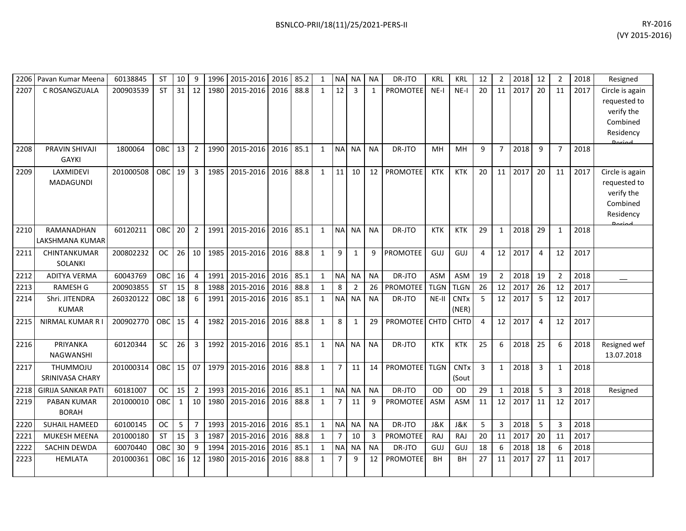| <b>ST</b><br>31<br>12<br>88.8<br>12<br>2017<br>2207<br>C ROSANGZUALA<br>200903539<br>1980<br>2015-2016<br>2016<br>3<br><b>PROMOTEE</b><br>$NE-I$<br>20<br>11<br>20<br>2017<br>$\mathbf{1}$<br>$\mathbf{1}$<br>$NE-I$<br>11<br>PRAVIN SHIVAJI<br><b>OBC</b><br>13<br>2<br>2015-2016<br>85.1<br>2208<br>1800064<br>1990<br>2016<br><b>NA</b><br><b>NA</b><br>DR-JTO<br>9<br>$\overline{7}$<br>2018<br>9<br>2018<br>$\mathbf{1}$<br>NA.<br>MН<br>MН<br>7<br><b>GAYKI</b><br>LAXMIDEVI<br>201000508<br><b>OBC</b><br>19<br>3<br>2015-2016<br>2016<br>88.8<br>11<br><b>PROMOTEE</b><br>2017<br>20<br>2209<br>1985<br>10<br>12 <sup>2</sup><br>KTK<br><b>KTK</b><br>20<br>11<br>11<br>2017<br>$\mathbf{1}$<br>MADAGUNDI | Circle is again<br>requested to<br>verify the<br>Combined<br>Residency<br>Circle is again<br>requested to<br>verify the<br>Combined<br>Residency |
|-------------------------------------------------------------------------------------------------------------------------------------------------------------------------------------------------------------------------------------------------------------------------------------------------------------------------------------------------------------------------------------------------------------------------------------------------------------------------------------------------------------------------------------------------------------------------------------------------------------------------------------------------------------------------------------------------------------------|--------------------------------------------------------------------------------------------------------------------------------------------------|
|                                                                                                                                                                                                                                                                                                                                                                                                                                                                                                                                                                                                                                                                                                                   |                                                                                                                                                  |
|                                                                                                                                                                                                                                                                                                                                                                                                                                                                                                                                                                                                                                                                                                                   |                                                                                                                                                  |
|                                                                                                                                                                                                                                                                                                                                                                                                                                                                                                                                                                                                                                                                                                                   |                                                                                                                                                  |
|                                                                                                                                                                                                                                                                                                                                                                                                                                                                                                                                                                                                                                                                                                                   |                                                                                                                                                  |
|                                                                                                                                                                                                                                                                                                                                                                                                                                                                                                                                                                                                                                                                                                                   |                                                                                                                                                  |
|                                                                                                                                                                                                                                                                                                                                                                                                                                                                                                                                                                                                                                                                                                                   |                                                                                                                                                  |
|                                                                                                                                                                                                                                                                                                                                                                                                                                                                                                                                                                                                                                                                                                                   |                                                                                                                                                  |
|                                                                                                                                                                                                                                                                                                                                                                                                                                                                                                                                                                                                                                                                                                                   |                                                                                                                                                  |
|                                                                                                                                                                                                                                                                                                                                                                                                                                                                                                                                                                                                                                                                                                                   |                                                                                                                                                  |
|                                                                                                                                                                                                                                                                                                                                                                                                                                                                                                                                                                                                                                                                                                                   |                                                                                                                                                  |
|                                                                                                                                                                                                                                                                                                                                                                                                                                                                                                                                                                                                                                                                                                                   |                                                                                                                                                  |
| 2210<br>RAMANADHAN<br>60120211<br>OBC<br>20<br>$\overline{2}$<br>2015-2016<br>2016<br>85.1<br>29<br>2018<br>29<br>1991<br>$\mathbf{1}$<br><b>NA</b><br><b>NA</b><br><b>NA</b><br>DR-JTO<br><b>KTK</b><br><b>KTK</b><br>$\mathbf{1}$<br>2018<br>$\mathbf 1$                                                                                                                                                                                                                                                                                                                                                                                                                                                        |                                                                                                                                                  |
| LAKSHMANA KUMAR                                                                                                                                                                                                                                                                                                                                                                                                                                                                                                                                                                                                                                                                                                   |                                                                                                                                                  |
| 26<br>88.8<br>9<br>200802232<br><b>OC</b><br>10<br>2015-2016<br>2016<br><b>PROMOTEE</b><br>12<br>2017<br>2017<br>2211<br>CHINTANKUMAR<br>1985<br>9<br>GUJ<br>GUJ<br>$\overline{4}$<br>12<br>$\mathbf{1}$<br>1<br>4<br>SOLANKI                                                                                                                                                                                                                                                                                                                                                                                                                                                                                     |                                                                                                                                                  |
| <b>ADITYA VERMA</b><br>60043769<br>OBC<br>16<br>2015-2016<br>2016<br>85.1<br><b>NA</b><br><b>NA</b><br>DR-JTO<br><b>ASM</b><br><b>ASM</b><br>19<br>$\overline{2}$<br>2018<br>19<br>2018<br>2212<br>$\overline{4}$<br>1991<br>$\mathbf{1}$<br><b>NA</b><br>2                                                                                                                                                                                                                                                                                                                                                                                                                                                       |                                                                                                                                                  |
| <b>RAMESH G</b><br>200903855<br><b>ST</b><br>15<br>2015-2016<br>2016<br>88.8<br>8<br><b>PROMOTEE</b><br><b>TLGN</b><br><b>TLGN</b><br>26<br>12<br>2017<br>2213<br>8<br>1988<br>2<br>26<br>26<br>12<br>2017<br>$\mathbf{1}$                                                                                                                                                                                                                                                                                                                                                                                                                                                                                        |                                                                                                                                                  |
| 85.1<br>5<br>12<br>2017<br>Shri. JITENDRA<br>260320122<br>OBC<br>18<br>6<br>2015-2016<br>2016<br><b>NA</b><br>NE-II<br><b>CNTx</b><br>5<br>12<br>2017<br>2214<br>1991<br>$\mathbf{1}$<br><b>NA</b><br><b>NA</b><br>DR-JTO                                                                                                                                                                                                                                                                                                                                                                                                                                                                                         |                                                                                                                                                  |
| <b>KUMAR</b><br>(NER)                                                                                                                                                                                                                                                                                                                                                                                                                                                                                                                                                                                                                                                                                             |                                                                                                                                                  |
| <b>OBC</b><br>15<br>1982<br>2015-2016<br>2016<br>88.8<br>8<br><b>PROMOTEE</b><br><b>CHTD</b><br>12<br>2017<br>2017<br><b>NIRMAL KUMAR R I</b><br>200902770<br>$\overline{4}$<br>$\mathbf{1}$<br>29<br><b>CHTD</b><br>$\overline{4}$<br>12<br>2215<br>$\mathbf{1}$<br>4                                                                                                                                                                                                                                                                                                                                                                                                                                            |                                                                                                                                                  |
|                                                                                                                                                                                                                                                                                                                                                                                                                                                                                                                                                                                                                                                                                                                   |                                                                                                                                                  |
| PRIYANKA<br>SC<br>26<br>2015-2016<br>85.1<br><b>NA</b><br>25<br>60120344<br>3<br>1992<br>2016<br><b>NA</b><br>DR-JTO<br><b>KTK</b><br><b>KTK</b><br>25<br>6<br>2018<br>2018<br>2216<br>$\mathbf{1}$<br><b>NA</b><br>6                                                                                                                                                                                                                                                                                                                                                                                                                                                                                             | Resigned wef                                                                                                                                     |
| <b>NAGWANSHI</b>                                                                                                                                                                                                                                                                                                                                                                                                                                                                                                                                                                                                                                                                                                  | 13.07.2018                                                                                                                                       |
| OBC<br>15<br>07<br>2015-2016<br>88.8<br><b>PROMOTEE</b><br><b>CNTx</b><br>2018<br>THUMMOJU<br>201000314<br>1979<br>2016<br>$\overline{7}$<br>11<br><b>TLGN</b><br>3<br>3<br>2018<br>2217<br>$\mathbf{1}$<br>14<br>$\mathbf{1}$<br>1<br>SRINIVASA CHARY<br>(Sout                                                                                                                                                                                                                                                                                                                                                                                                                                                   |                                                                                                                                                  |
| 60181007<br>15<br>2015-2016<br>85.1<br><b>NA</b><br>DR-JTO<br>29<br>2018<br>5<br><b>GIRIJA SANKAR PATI</b><br><b>OC</b><br>$\overline{2}$<br>1993<br>2016<br>$\mathbf{1}$<br><b>NA</b><br><b>NA</b><br><b>OD</b><br><b>OD</b><br>$\mathbf{1}$<br>2018<br>2218<br>3                                                                                                                                                                                                                                                                                                                                                                                                                                                | Resigned                                                                                                                                         |
| 10<br>2015-2016<br>88.8<br>11<br>12<br>2219<br>PABAN KUMAR<br>201000010<br>OBC<br>$\mathbf{1}$<br>1980<br>2016<br>$\overline{7}$<br>9<br><b>PROMOTEE</b><br><b>ASM</b><br><b>ASM</b><br>2017<br>11<br>12<br>2017<br>$\mathbf{1}$<br>11                                                                                                                                                                                                                                                                                                                                                                                                                                                                            |                                                                                                                                                  |
| <b>BORAH</b>                                                                                                                                                                                                                                                                                                                                                                                                                                                                                                                                                                                                                                                                                                      |                                                                                                                                                  |
| SUHAIL HAMEED<br><b>OC</b><br>5<br>$\overline{7}$<br>2015-2016<br>2016<br>85.1<br><b>NA</b><br><b>NA</b><br><b>J&amp;K</b><br><b>J&amp;K</b><br>$\mathbf{3}$<br>2018<br>5<br>2018<br>60100145<br>1993<br>$\mathbf{1}$<br><b>NA</b><br>DR-JTO<br>5<br>2220<br>3                                                                                                                                                                                                                                                                                                                                                                                                                                                    |                                                                                                                                                  |
| <b>ST</b><br>15<br>88.8<br>2221<br><b>MUKESH MEENA</b><br>201000180<br>1987<br>2015-2016<br>2016<br>10<br>PROMOTEE<br>20<br>11<br>2017<br>20<br>2017<br>3<br>$\mathbf{1}$<br>7<br>3<br>RAJ<br>RAJ<br>11                                                                                                                                                                                                                                                                                                                                                                                                                                                                                                           |                                                                                                                                                  |
| 30<br>85.1<br>2222<br>SACHIN DEWDA<br>60070440<br>OBC<br>9<br>1994<br>2015-2016<br>2016<br><b>NA</b><br>DR-JTO<br>18<br>2018<br>18<br>2018<br>$\mathbf{1}$<br><b>NA</b><br><b>NA</b><br>GUJ<br>GUJ<br>6<br>6                                                                                                                                                                                                                                                                                                                                                                                                                                                                                                      |                                                                                                                                                  |
| <b>OBC</b><br>88.8<br>2017<br>27<br>2223<br><b>HEMLATA</b><br>201000361<br>16<br>12<br>1980<br>2015-2016<br>2016<br>$\overline{7}$<br>9<br>12<br><b>PROMOTEE</b><br>BH<br>11<br>2017<br>$\mathbf{1}$<br>BН<br>27<br>11                                                                                                                                                                                                                                                                                                                                                                                                                                                                                            |                                                                                                                                                  |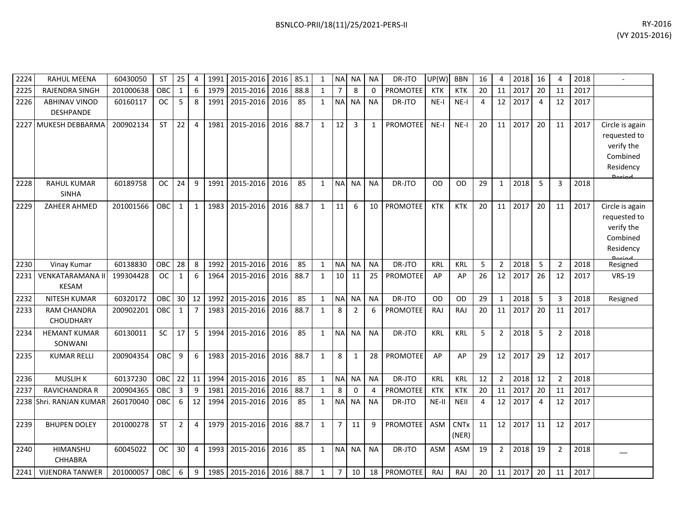| BSNLCO-PRII/18(11)/25/2021-PERS-II | RY-2016        |
|------------------------------------|----------------|
|                                    | (VY 2015-2016) |
|                                    |                |

| 2224 | <b>RAHUL MEENA</b>                 | 60430050  | <b>ST</b>  | 25             | 4                |      | 1991 2015-2016 2016 |      | 85.1 | 1            |                | NA NA          | ΝA          | DR-JTO          | UP(W)      | <b>BBN</b>           | 16 | 4              | 2018 | 16 | 4              | 2018 |                                                                                         |
|------|------------------------------------|-----------|------------|----------------|------------------|------|---------------------|------|------|--------------|----------------|----------------|-------------|-----------------|------------|----------------------|----|----------------|------|----|----------------|------|-----------------------------------------------------------------------------------------|
| 2225 | RAJENDRA SINGH                     | 201000638 | OBC        | $\mathbf{1}$   | $\boldsymbol{6}$ | 1979 | 2015-2016           | 2016 | 88.8 | $\mathbf{1}$ | $\overline{7}$ | 8              | $\mathbf 0$ | <b>PROMOTEE</b> | <b>KTK</b> | <b>KTK</b>           | 20 | 11             | 2017 | 20 | 11             | 2017 |                                                                                         |
| 2226 | <b>ABHINAV VINOD</b><br>DESHPANDE  | 60160117  | <b>OC</b>  | 5              | 8                | 1991 | 2015-2016           | 2016 | 85   | $\mathbf{1}$ | N <sub>A</sub> | <b>NA</b>      | <b>NA</b>   | DR-JTO          | $NE-I$     | NE-I                 | 4  | 12             | 2017 | 4  | 12             | 2017 |                                                                                         |
|      | 2227 MUKESH DEBBARMA               | 200902134 | <b>ST</b>  | 22             | 4                | 1981 | 2015-2016           | 2016 | 88.7 | $\mathbf{1}$ | 12             | $\overline{3}$ | 1           | <b>PROMOTEE</b> | NE-I       | NE-I                 | 20 | 11             | 2017 | 20 | 11             | 2017 | Circle is again<br>requested to<br>verify the<br>Combined<br>Residency<br><b>Dorios</b> |
| 2228 | <b>RAHUL KUMAR</b><br><b>SINHA</b> | 60189758  | <b>OC</b>  | 24             | 9                | 1991 | 2015-2016           | 2016 | 85   | $\mathbf{1}$ | <b>NA</b>      | NA             | <b>NA</b>   | DR-JTO          | OD         | OD                   | 29 | $\mathbf{1}$   | 2018 | 5  | $\overline{3}$ | 2018 |                                                                                         |
| 2229 | ZAHEER AHMED                       | 201001566 | OBC        | $\mathbf{1}$   | $\mathbf{1}$     | 1983 | 2015-2016           | 2016 | 88.7 | $\mathbf{1}$ | 11             | 6              | 10          | PROMOTEE        | <b>KTK</b> | <b>KTK</b>           | 20 | 11             | 2017 | 20 | 11             | 2017 | Circle is again<br>requested to<br>verify the<br>Combined<br>Residency<br>ممنعما        |
| 2230 | Vinay Kumar                        | 60138830  | <b>OBC</b> | 28             | 8                | 1992 | 2015-2016           | 2016 | 85   | $\mathbf{1}$ | <b>NA</b>      | <b>NA</b>      | <b>NA</b>   | DR-JTO          | KRL        | KRL                  | 5  | $\overline{2}$ | 2018 | 5  | $\overline{2}$ | 2018 | Resigned                                                                                |
| 2231 | VENKATARAMANA II<br><b>KESAM</b>   | 199304428 | OC.        | 1              | 6                | 1964 | 2015-2016           | 2016 | 88.7 | 1            | 10             | 11             | 25          | <b>PROMOTEE</b> | AP         | AP                   | 26 | 12             | 2017 | 26 | 12             | 2017 | <b>VRS-19</b>                                                                           |
| 2232 | <b>NITESH KUMAR</b>                | 60320172  | OBC        | 30             | 12               | 1992 | 2015-2016           | 2016 | 85   | $\mathbf{1}$ | N <sub>A</sub> | NA.            | <b>NA</b>   | DR-JTO          | <b>OD</b>  | OD                   | 29 | 1              | 2018 | 5  | 3              | 2018 | Resigned                                                                                |
| 2233 | <b>RAM CHANDRA</b><br>CHOUDHARY    | 200902201 | OBC        | $\mathbf{1}$   | $\overline{7}$   | 1983 | 2015-2016           | 2016 | 88.7 | $\mathbf{1}$ | 8              | $\overline{2}$ | 6           | <b>PROMOTEE</b> | <b>RAJ</b> | RAJ                  | 20 | 11             | 2017 | 20 | 11             | 2017 |                                                                                         |
| 2234 | <b>HEMANT KUMAR</b><br>SONWANI     | 60130011  | <b>SC</b>  | 17             | 5                | 1994 | 2015-2016           | 2016 | 85   | $\mathbf{1}$ |                | NA NA          | <b>NA</b>   | DR-JTO          | <b>KRL</b> | KRL                  | 5  | $\overline{2}$ | 2018 | 5  | $\overline{2}$ | 2018 |                                                                                         |
| 2235 | <b>KUMAR RELLI</b>                 | 200904354 | OBC        | 9              | 6                | 1983 | 2015-2016           | 2016 | 88.7 | $\mathbf{1}$ | 8              | 1              | 28          | <b>PROMOTEE</b> | AP         | AP                   | 29 | 12             | 2017 | 29 | 12             | 2017 |                                                                                         |
| 2236 | <b>MUSLIH K</b>                    | 60137230  | <b>OBC</b> | 22             | 11               | 1994 | 2015-2016           | 2016 | 85   | $\mathbf{1}$ | N <sub>A</sub> | <b>NA</b>      | <b>NA</b>   | DR-JTO          | <b>KRL</b> | <b>KRL</b>           | 12 | $\overline{2}$ | 2018 | 12 | $\overline{2}$ | 2018 |                                                                                         |
| 2237 | RAVICHANDRA R                      | 200904365 | OBC        | 3              | 9                | 1981 | 2015-2016           | 2016 | 88.7 | $\mathbf{1}$ | 8              | 0              | 4           | <b>PROMOTEE</b> | <b>KTK</b> | <b>KTK</b>           | 20 | 11             | 2017 | 20 | 11             | 2017 |                                                                                         |
| 2238 | Shri. RANJAN KUMAR                 | 260170040 | OBC        | 6              | 12               | 1994 | 2015-2016           | 2016 | 85   | $\mathbf{1}$ | <b>NA</b>      | <b>NA</b>      | <b>NA</b>   | DR-JTO          | NE-II      | <b>NEII</b>          | 4  | 12             | 2017 | 4  | 12             | 2017 |                                                                                         |
| 2239 | <b>BHUPEN DOLEY</b>                | 201000278 | <b>ST</b>  | $\overline{2}$ | 4                | 1979 | 2015-2016           | 2016 | 88.7 | $\mathbf{1}$ | $\overline{7}$ | 11             | 9           | <b>PROMOTEE</b> | ASM        | <b>CNTx</b><br>(NER) | 11 | 12             | 2017 | 11 | 12             | 2017 |                                                                                         |
| 2240 | HIMANSHU<br>CHHABRA                | 60045022  | OC.        | 30             | 4                | 1993 | 2015-2016           | 2016 | 85   | $\mathbf{1}$ |                | NA NA          | <b>NA</b>   | DR-JTO          | <b>ASM</b> | ASM                  | 19 | $\overline{2}$ | 2018 | 19 | $\overline{2}$ | 2018 |                                                                                         |
| 2241 | <b>VIJENDRA TANWER</b>             | 201000057 | <b>OBC</b> | 6              | 9                |      | 1985 2015-2016 2016 |      | 88.7 | $\mathbf{1}$ | $\overline{7}$ | 10             |             | 18 PROMOTEE     | RAJ        | RAJ                  | 20 | 11             | 2017 | 20 | 11             | 2017 |                                                                                         |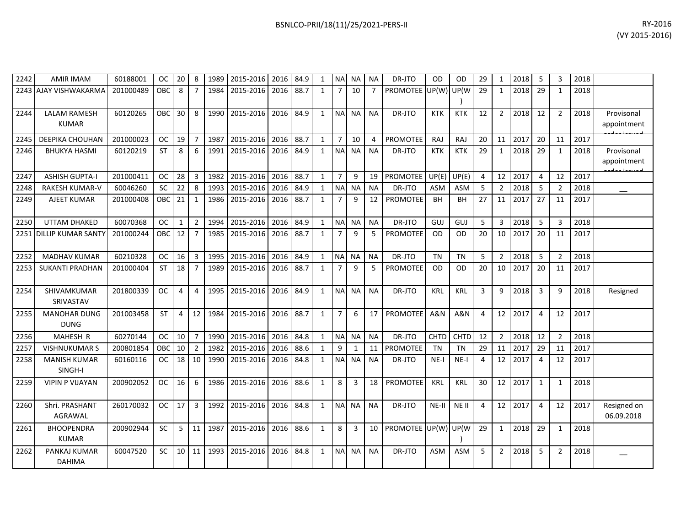| 2242 | <b>AMIR IMAM</b>                    | 60188001  | <b>OC</b>  | 20           | 8              | 1989   | 2015-2016      | 2016 | 84.9 | 1            | <b>NAI</b>     | ΝA        | <b>NA</b>      | DR-JTO              | OD             | <b>OD</b>   | 29 | 1              | 2018 | -5             | 3              | 2018 |                           |
|------|-------------------------------------|-----------|------------|--------------|----------------|--------|----------------|------|------|--------------|----------------|-----------|----------------|---------------------|----------------|-------------|----|----------------|------|----------------|----------------|------|---------------------------|
|      | 2243 AJAY VISHWAKARMA               | 201000489 | OBC        | 8            | $\overline{7}$ | 1984   | 2015-2016      | 2016 | 88.7 | $\mathbf{1}$ | $\overline{7}$ | 10        | $\overline{7}$ | <b>PROMOTEE</b>     | UP(W)          | UP(W        | 29 | $\mathbf{1}$   | 2018 | 29             | $\mathbf{1}$   | 2018 |                           |
| 2244 | <b>LALAM RAMESH</b><br><b>KUMAR</b> | 60120265  | <b>OBC</b> | 30           | 8              | 1990   | 2015-2016      | 2016 | 84.9 | $\mathbf{1}$ | <b>NA</b>      | <b>NA</b> | <b>NA</b>      | DR-JTO              | <b>KTK</b>     | <b>KTK</b>  | 12 | $\overline{2}$ | 2018 | 12             | $\overline{2}$ | 2018 | Provisonal<br>appointment |
| 2245 | <b>DEEPIKA CHOUHAN</b>              | 201000023 | <b>OC</b>  | 19           | $\overline{7}$ | 1987   | 2015-2016      | 2016 | 88.7 | $\mathbf{1}$ | $\overline{7}$ | 10        | 4              | <b>PROMOTEE</b>     | RAJ            | RAJ         | 20 | 11             | 2017 | 20             | 11             | 2017 |                           |
| 2246 | <b>BHUKYA HASMI</b>                 | 60120219  | <b>ST</b>  | 8            | 6              | 1991   | 2015-2016      | 2016 | 84.9 | $\mathbf{1}$ | <b>NA</b>      | <b>NA</b> | <b>NA</b>      | DR-JTO              | <b>KTK</b>     | <b>KTK</b>  | 29 | 1              | 2018 | 29             | 1              | 2018 | Provisonal<br>appointment |
| 2247 | <b>ASHISH GUPTA-I</b>               | 201000411 | <b>OC</b>  | 28           | $\overline{3}$ | 1982   | 2015-2016      | 2016 | 88.7 | $\mathbf{1}$ | $\overline{7}$ | 9         | 19             | <b>PROMOTEE</b>     | UP(E)          | UP(E)       | 4  | 12             | 2017 | $\overline{4}$ | 12             | 2017 |                           |
| 2248 | <b>RAKESH KUMAR-V</b>               | 60046260  | <b>SC</b>  | 22           | 8              | 1993   | 2015-2016      | 2016 | 84.9 | $\mathbf{1}$ | <b>NA</b>      | <b>NA</b> | <b>NA</b>      | DR-JTO              | <b>ASM</b>     | <b>ASM</b>  | -5 | $\overline{2}$ | 2018 | -5             | 2              | 2018 |                           |
| 2249 | AJEET KUMAR                         | 201000408 | OBC        | 21           | $\mathbf{1}$   | 1986   | 2015-2016      | 2016 | 88.7 | $\mathbf{1}$ | 7              | 9         | 12             | PROMOTEE            | <b>BH</b>      | BН          | 27 | 11             | 2017 | 27             | 11             | 2017 |                           |
| 2250 | UTTAM DHAKED                        | 60070368  | <b>OC</b>  | $\mathbf{1}$ | $\overline{2}$ | 1994   | 2015-2016      | 2016 | 84.9 | $\mathbf{1}$ | <b>NA</b>      | <b>NA</b> | <b>NA</b>      | DR-JTO              | GUJ            | GUJ         | 5  | 3              | 2018 | 5              | 3              | 2018 |                           |
| 2251 | <b>DILLIP KUMAR SANTY</b>           | 201000244 | OBC        | 12           | $\overline{7}$ | 1985   | 2015-2016      | 2016 | 88.7 | $\mathbf{1}$ | $\overline{7}$ | 9         | 5              | <b>PROMOTEE</b>     | <b>OD</b>      | <b>OD</b>   | 20 | 10             | 2017 | 20             | 11             | 2017 |                           |
| 2252 | <b>MADHAV KUMAR</b>                 | 60210328  | <b>OC</b>  | 16           | $\overline{3}$ | 1995   | 2015-2016      | 2016 | 84.9 | $\mathbf{1}$ | NA             | <b>NA</b> | <b>NA</b>      | DR-JTO              | <b>TN</b>      | <b>TN</b>   | 5  | $\overline{2}$ | 2018 | 5              | 2              | 2018 |                           |
| 2253 | <b>SUKANTI PRADHAN</b>              | 201000404 | <b>ST</b>  | 18           | $\overline{7}$ | 1989   | 2015-2016      | 2016 | 88.7 | $\mathbf{1}$ | 7              | 9         | 5              | <b>PROMOTEE</b>     | <b>OD</b>      | <b>OD</b>   | 20 | 10             | 2017 | 20             | 11             | 2017 |                           |
| 2254 | SHIVAMKUMAR<br>SRIVASTAV            | 201800339 | <b>OC</b>  | 4            | $\overline{4}$ | 1995   | 2015-2016      | 2016 | 84.9 | $\mathbf{1}$ | <b>NA</b>      | <b>NA</b> | <b>NA</b>      | DR-JTO              | <b>KRL</b>     | <b>KRL</b>  | 3  | 9              | 2018 | 3              | 9              | 2018 | Resigned                  |
| 2255 | <b>MANOHAR DUNG</b><br><b>DUNG</b>  | 201003458 | <b>ST</b>  | 4            | 12             | 1984   | 2015-2016      | 2016 | 88.7 | $\mathbf{1}$ | $\overline{7}$ | 6         | 17             | <b>PROMOTEE</b>     | <b>A&amp;N</b> | A&N         | 4  | 12             | 2017 | $\overline{4}$ | 12             | 2017 |                           |
| 2256 | MAHESH R                            | 60270144  | <b>OC</b>  | 10           | $\overline{7}$ |        | 1990 2015-2016 | 2016 | 84.8 | $\mathbf{1}$ | N <sub>A</sub> | <b>NA</b> | <b>NA</b>      | DR-JTO              | <b>CHTD</b>    | <b>CHTD</b> | 12 | $\overline{2}$ | 2018 | 12             | 2              | 2018 |                           |
| 2257 | <b>VISHNUKUMAR S</b>                | 200801854 | OBC        | 10           | $\overline{2}$ | 1982   | 2015-2016      | 2016 | 88.6 | $\mathbf{1}$ | 9              | 1         | 11             | PROMOTEE            | <b>TN</b>      | <b>TN</b>   | 29 | 11             | 2017 | 29             | 11             | 2017 |                           |
| 2258 | <b>MANISH KUMAR</b><br>SINGH-I      | 60160116  | <b>OC</b>  | 18           | 10             | 1990   | 2015-2016      | 2016 | 84.8 | $\mathbf{1}$ | <b>NA</b>      | <b>NA</b> | <b>NA</b>      | DR-JTO              | $NE-I$         | NE-I        | 4  | 12             | 2017 | 4              | 12             | 2017 |                           |
| 2259 | <b>VIPIN P VIJAYAN</b>              | 200902052 | <b>OC</b>  | 16           | 6              | 1986   | 2015-2016      | 2016 | 88.6 | $\mathbf{1}$ | 8              | 3         | 18             | <b>PROMOTEE</b>     | <b>KRL</b>     | <b>KRL</b>  | 30 | 12             | 2017 | $\mathbf{1}$   | $\mathbf{1}$   | 2018 |                           |
| 2260 | Shri. PRASHANT<br>AGRAWAL           | 260170032 | <b>OC</b>  | 17           | 3              | 1992   | 2015-2016      | 2016 | 84.8 | $\mathbf{1}$ | N <sub>A</sub> | <b>NA</b> | <b>NA</b>      | DR-JTO              | $NE-II$        | NE II       | 4  | 12             | 2017 | 4              | 12             | 2017 | Resigned on<br>06.09.2018 |
| 2261 | <b>BHOOPENDRA</b><br><b>KUMAR</b>   | 200902944 | SC         | 5            | 11             | 1987   | 2015-2016      | 2016 | 88.6 | $\mathbf{1}$ | 8              | 3         | 10             | PROMOTEE UP(W) UP(W |                |             | 29 | $\mathbf{1}$   | 2018 | 29             | $\mathbf{1}$   | 2018 |                           |
| 2262 | PANKAJ KUMAR<br><b>DAHIMA</b>       | 60047520  | <b>SC</b>  | $10$   11    |                | 1993 L | 2015-2016      | 2016 | 84.8 | $\mathbf{1}$ | <b>NA</b>      | <b>NA</b> | <b>NA</b>      | DR-JTO              | <b>ASM</b>     | <b>ASM</b>  | 5  | $\overline{2}$ | 2018 | 5              | 2              | 2018 |                           |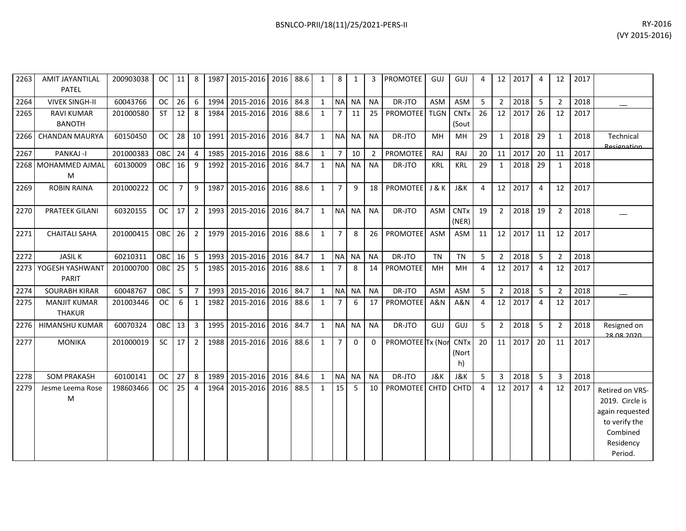| 2263 | <b>AMIT JAYANTILAL</b><br>PATEL      | 200903038 | OC.               | 11             | 8              | 1987 | 2015-2016                | 2016      | 88.6 | $\mathbf{1}$ | 8              | 1            | 3              | <b>PROMOTEE</b>  | <b>GUJ</b>     | GUJ                        | 4  | 12              | 2017 | 4              | 12             | 2017 |                                                                                                            |
|------|--------------------------------------|-----------|-------------------|----------------|----------------|------|--------------------------|-----------|------|--------------|----------------|--------------|----------------|------------------|----------------|----------------------------|----|-----------------|------|----------------|----------------|------|------------------------------------------------------------------------------------------------------------|
| 2264 | <b>VIVEK SINGH-II</b>                | 60043766  | <b>OC</b>         | 26             | 6              |      | 1994 2015-2016 2016 84.8 |           |      | $\mathbf{1}$ |                | NA NA        | <b>NA</b>      | DR-JTO           | <b>ASM</b>     | <b>ASM</b>                 | 5  | 2 <sup>1</sup>  | 2018 | 5              | 2              | 2018 |                                                                                                            |
| 2265 | <b>RAVI KUMAR</b><br><b>BANOTH</b>   | 201000580 | <b>ST</b>         | 12             | 8              | 1984 | 2015-2016 2016 88.6      |           |      | $\mathbf{1}$ | 7              | 11           | 25             | PROMOTEE TLGN    |                | <b>CNTx</b><br>(Sout       | 26 | 12              | 2017 | 26             | 12             | 2017 |                                                                                                            |
| 2266 | <b>CHANDAN MAURYA</b>                | 60150450  | <b>OC</b>         | 28             | 10             | 1991 | 2015-2016 2016           |           | 84.7 | $\mathbf{1}$ | <b>NA</b>      | <b>NA</b>    | <b>NA</b>      | DR-JTO           | MH             | <b>MH</b>                  | 29 | $\mathbf{1}$    | 2018 | 29             | 1              | 2018 | Technical<br>Resignation                                                                                   |
| 2267 | PANKAJ -I                            | 201000383 | OBC               | 24             | 4              | 1985 | 2015-2016                | 2016      | 88.6 | $\mathbf{1}$ | $7^{\circ}$    | 10           | $\overline{2}$ | <b>PROMOTEE</b>  | RAJ            | RAJ                        | 20 | 11              | 2017 | 20             | 11             | 2017 |                                                                                                            |
|      | 2268 MOHAMMED AJMAL<br>М             | 60130009  | OBC               | 16             | 9              | 1992 | 2015-2016 2016 84.7      |           |      | $\mathbf{1}$ | <b>NA</b>      | <b>NA</b>    | <b>NA</b>      | DR-JTO           | <b>KRL</b>     | <b>KRL</b>                 | 29 | $\mathbf{1}$    | 2018 | 29             | 1              | 2018 |                                                                                                            |
| 2269 | <b>ROBIN RAINA</b>                   | 201000222 | <b>OC</b>         | $\overline{7}$ | 9              |      | 1987 2015-2016 2016 88.6 |           |      | $\mathbf{1}$ | $7^{\circ}$    | 9            | 18             | PROMOTEE J & K   |                | J&K                        | 4  | 12 <sup>1</sup> | 2017 | $\overline{4}$ | 12             | 2017 |                                                                                                            |
| 2270 | <b>PRATEEK GILANI</b>                | 60320155  | <b>OC</b>         | 17             | $\overline{2}$ | 1993 | 2015-2016 2016           |           | 84.7 | $\mathbf{1}$ | <b>NA</b>      | <b>NA</b>    | <b>NA</b>      | DR-JTO           | <b>ASM</b>     | <b>CNTx</b><br>(NER)       | 19 | $2^{\circ}$     | 2018 | 19             | 2              | 2018 |                                                                                                            |
| 2271 | <b>CHAITALI SAHA</b>                 | 201000415 | OBC <sub>26</sub> |                | 2              | 1979 | 2015-2016 2016 88.6      |           |      | $\mathbf{1}$ | $\overline{7}$ | 8            | 26             | <b>PROMOTEE</b>  | <b>ASM</b>     | <b>ASM</b>                 | 11 | 12 <sup>1</sup> | 2017 | 11             | 12             | 2017 |                                                                                                            |
| 2272 | <b>JASILK</b>                        | 60210311  | <b>OBC</b>        | 16             | 5              | 1993 | 2015-2016 2016           |           | 84.7 | $\mathbf{1}$ | N <sub>A</sub> | <b>NA</b>    | <b>NA</b>      | DR-JTO           | <b>TN</b>      | <b>TN</b>                  | 5  | $2^{\circ}$     | 2018 | 5              | $\overline{2}$ | 2018 |                                                                                                            |
| 2273 | YOGESH YASHWANT<br>PARIT             | 201000700 | OBC               | 25             | 5              | 1985 | 2015-2016                | 2016      | 88.6 | $\mathbf{1}$ | $\overline{7}$ | 8            | 14             | PROMOTEE         | MH             | MH                         | 4  | 12              | 2017 | $\overline{4}$ | 12             | 2017 |                                                                                                            |
| 2274 | <b>SOURABH KIRAR</b>                 | 60048767  | OBC               | 5              | $\overline{7}$ | 1993 | 2015-2016 2016           |           | 84.7 | $\mathbf{1}$ | <b>NA</b>      | <b>NA</b>    | <b>NA</b>      | DR-JTO           | <b>ASM</b>     | <b>ASM</b>                 | 5  | $\overline{2}$  | 2018 | 5              | $\overline{2}$ | 2018 |                                                                                                            |
| 2275 | <b>MANJIT KUMAR</b><br><b>THAKUR</b> | 201003446 | <b>OC</b>         | 6              | 1              | 1982 | 2015-2016                | 2016 88.6 |      | $\mathbf{1}$ | $\overline{7}$ | 6            | 17             | <b>PROMOTEE</b>  | A&N            | A&N                        | 4  | 12              | 2017 | 4              | 12             | 2017 |                                                                                                            |
| 2276 | HIMANSHU KUMAR                       | 60070324  | OBC               | 13             | 3              | 1995 | 2015-2016                | 2016      | 84.7 | $\mathbf{1}$ | <b>NA</b>      | <b>NA</b>    | <b>NA</b>      | DR-JTO           | <b>GUJ</b>     | GUJ                        | 5  | $2^{\circ}$     | 2018 | 5              | 2              | 2018 | Resigned on<br>28 US 2020                                                                                  |
| 2277 | <b>MONIKA</b>                        | 201000019 | <b>SC</b>         | 17             | $\overline{2}$ | 1988 | 2015-2016 2016           |           | 88.6 | $\mathbf{1}$ | $\overline{7}$ | $\mathbf{0}$ | $\Omega$       | PROMOTEE Tx (Nor |                | <b>CNTx</b><br>(Nort<br>h) | 20 | 11 <sup>1</sup> | 2017 | 20             | 11             | 2017 |                                                                                                            |
| 2278 | <b>SOM PRAKASH</b>                   | 60100141  | <b>OC</b>         | 27             | 8              | 1989 | 2015-2016 2016           |           | 84.6 | $\mathbf{1}$ | <b>NA</b>      | <b>NA</b>    | <b>NA</b>      | DR-JTO           | <b>J&amp;K</b> | <b>J&amp;K</b>             | 5  | 3 <sup>7</sup>  | 2018 | 5              | 3              | 2018 |                                                                                                            |
| 2279 | Jesme Leema Rose<br>M                | 198603466 | <b>OC</b>         | 25             | 4              | 1964 | 2015-2016                | 2016      | 88.5 | $\mathbf{1}$ | 15             | 5            | 10             | <b>PROMOTEE</b>  | <b>CHTD</b>    | <b>CHTD</b>                | 4  | 12              | 2017 | $\overline{4}$ | 12             | 2017 | Retired on VRS-<br>2019. Circle is<br>again requested<br>to verify the<br>Combined<br>Residency<br>Period. |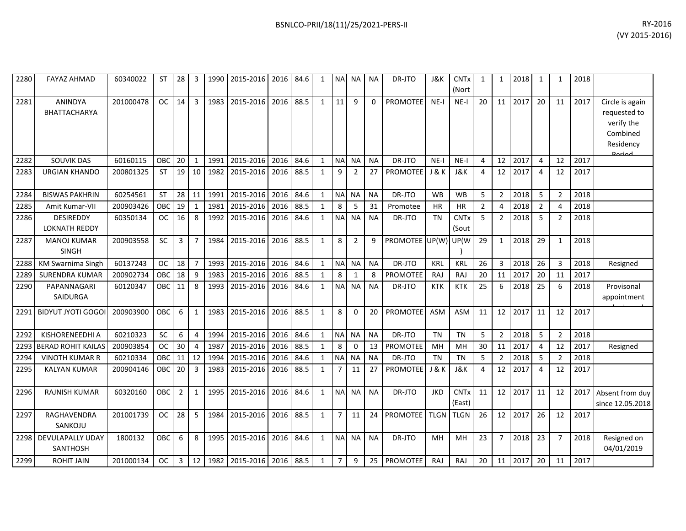| 2280 | <b>FAYAZ AHMAD</b>                       | 60340022  | <b>ST</b> | 28             | 3              | 1990 | 2015-2016 | 2016 | 84.6 | $\mathbf{1}$ | <b>NA</b>      | <b>NA</b>      | <b>NA</b> | DR-JTO          | J&K            | <b>CNT<sub>x</sub></b><br>(Nort  | 1              | 1              | 2018 | 1              |                | 2018 |                                                                                   |
|------|------------------------------------------|-----------|-----------|----------------|----------------|------|-----------|------|------|--------------|----------------|----------------|-----------|-----------------|----------------|----------------------------------|----------------|----------------|------|----------------|----------------|------|-----------------------------------------------------------------------------------|
| 2281 | ANINDYA<br><b>BHATTACHARYA</b>           | 201000478 | <b>OC</b> | 14             | $\overline{3}$ | 1983 | 2015-2016 | 2016 | 88.5 | $\mathbf{1}$ | 11             | 9              | 0         | <b>PROMOTEE</b> | $NE-I$         | NE-I                             | 20             | 11             | 2017 | 20             | 11             | 2017 | Circle is again<br>requested to<br>verify the<br>Combined<br>Residency<br>لممنعمه |
| 2282 | <b>SOUVIK DAS</b>                        | 60160115  | OBC       | 20             | $\mathbf{1}$   | 1991 | 2015-2016 | 2016 | 84.6 | $\mathbf{1}$ | <b>NA</b>      | <b>NA</b>      | <b>NA</b> | DR-JTO          | $NE-I$         | $NE-I$                           | 4              | 12             | 2017 | 4              | 12             | 2017 |                                                                                   |
| 2283 | <b>URGIAN KHANDO</b>                     | 200801325 | <b>ST</b> | 19             | 10             | 1982 | 2015-2016 | 2016 | 88.5 | $\mathbf{1}$ | 9              | $\overline{2}$ | 27        | <b>PROMOTEE</b> | J & K          | <b>J&amp;K</b>                   | 4              | 12             | 2017 | $\overline{4}$ | 12             | 2017 |                                                                                   |
| 2284 | <b>BISWAS PAKHRIN</b>                    | 60254561  | <b>ST</b> | 28             | 11             | 1991 | 2015-2016 | 2016 | 84.6 | $\mathbf{1}$ | <b>NA</b>      | <b>NA</b>      | <b>NA</b> | DR-JTO          | <b>WB</b>      | <b>WB</b>                        | 5              | $\overline{2}$ | 2018 | 5              | $\mathfrak{p}$ | 2018 |                                                                                   |
| 2285 | Amit Kumar-VII                           | 200903426 | OBC       | 19             | $\mathbf{1}$   | 1981 | 2015-2016 | 2016 | 88.5 | $\mathbf{1}$ | 8              | 5              | 31        | Promotee        | <b>HR</b>      | HR                               | $\overline{2}$ | 4              | 2018 | $\overline{2}$ | 4              | 2018 |                                                                                   |
| 2286 | <b>DESIREDDY</b><br><b>LOKNATH REDDY</b> | 60350134  | <b>OC</b> | 16             | 8              | 1992 | 2015-2016 | 2016 | 84.6 | $\mathbf{1}$ | N <sub>A</sub> | <b>NA</b>      | <b>NA</b> | DR-JTO          | <b>TN</b>      | <b>CNTx</b><br>(Sout             | 5              | $\overline{2}$ | 2018 | 5              | $\mathfrak{p}$ | 2018 |                                                                                   |
| 2287 | <b>MANOJ KUMAR</b><br><b>SINGH</b>       | 200903558 | <b>SC</b> | 3              | $\overline{7}$ | 1984 | 2015-2016 | 2016 | 88.5 | $\mathbf{1}$ | 8              | 2              | 9         | PROMOTEE UP(W)  |                | UP(W                             | 29             | $\mathbf{1}$   | 2018 | 29             | $\mathbf{1}$   | 2018 |                                                                                   |
| 2288 | <b>KM Swarnima Singh</b>                 | 60137243  | <b>OC</b> | 18             | $\overline{7}$ | 1993 | 2015-2016 | 2016 | 84.6 | $\mathbf{1}$ | <b>NA</b>      | <b>NA</b>      | <b>NA</b> | DR-JTO          | <b>KRL</b>     | <b>KRL</b>                       | 26             | 3              | 2018 | 26             | 3              | 2018 | Resigned                                                                          |
| 2289 | <b>SURENDRA KUMAR</b>                    | 200902734 | OBC       | 18             | 9              | 1983 | 2015-2016 | 2016 | 88.5 | $\mathbf{1}$ | 8              | 1              | 8         | <b>PROMOTEE</b> | <b>RAJ</b>     | RAJ                              | 20             | 11             | 2017 | 20             | 11             | 2017 |                                                                                   |
| 2290 | PAPANNAGARI<br><b>SAIDURGA</b>           | 60120347  | OBC       | 11             | 8              | 1993 | 2015-2016 | 2016 | 84.6 | $\mathbf{1}$ | <b>NA</b>      | <b>NA</b>      | <b>NA</b> | DR-JTO          | <b>KTK</b>     | <b>KTK</b>                       | 25             | 6              | 2018 | 25             | 6              | 2018 | Provisonal<br>appointment                                                         |
| 2291 | <b>BIDYUT JYOTI GOGOI</b>                | 200903900 | OBC       | 6              | $\mathbf{1}$   | 1983 | 2015-2016 | 2016 | 88.5 | $\mathbf{1}$ | 8              | $\Omega$       | 20        | <b>PROMOTEE</b> | <b>ASM</b>     | <b>ASM</b>                       | 11             | 12             | 2017 | 11             | 12             | 2017 |                                                                                   |
| 2292 | KISHORENEEDHI A                          | 60210323  | SC        | 6              | $\overline{4}$ | 1994 | 2015-2016 | 2016 | 84.6 | $\mathbf{1}$ | <b>NA</b>      | NA             | <b>NA</b> | DR-JTO          | <b>TN</b>      | <b>TN</b>                        | 5              | $\overline{2}$ | 2018 | 5              | $\overline{2}$ | 2018 |                                                                                   |
| 2293 | <b>BERAD ROHIT KAILAS</b>                | 200903854 | <b>OC</b> | 30             | $\overline{4}$ | 1987 | 2015-2016 | 2016 | 88.5 | $\mathbf{1}$ | 8              | $\mathbf 0$    | 13        | <b>PROMOTEE</b> | MH             | MH                               | 30             | 11             | 2017 | 4              | 12             | 2017 | Resigned                                                                          |
| 2294 | <b>VINOTH KUMAR R</b>                    | 60210334  | OBC       | 11             | 12             | 1994 | 2015-2016 | 2016 | 84.6 | $\mathbf{1}$ | <b>NA</b>      | <b>NA</b>      | <b>NA</b> | DR-JTO          | <b>TN</b>      | <b>TN</b>                        | 5              | 2              | 2018 | 5              | $\mathcal{P}$  | 2018 |                                                                                   |
| 2295 | <b>KALYAN KUMAR</b>                      | 200904146 | OBC       | 20             | $\overline{3}$ | 1983 | 2015-2016 | 2016 | 88.5 | $\mathbf{1}$ | 7              | 11             | 27        | PROMOTEE        | <b>J&amp;K</b> | <b>J&amp;K</b>                   | 4              | 12             | 2017 | $\overline{4}$ | 12             | 2017 |                                                                                   |
| 2296 | <b>RAJNISH KUMAR</b>                     | 60320160  | OBC       | $\overline{2}$ | $\mathbf{1}$   | 1995 | 2015-2016 | 2016 | 84.6 | $\mathbf{1}$ | <b>NA</b>      | <b>NA</b>      | <b>NA</b> | DR-JTO          | <b>JKD</b>     | <b>CNT<sub>x</sub></b><br>(East) | 11             | 12             | 2017 | 11             | 12             | 2017 | Absent from duy<br>since 12.05.2018                                               |
| 2297 | RAGHAVENDRA<br>SANKOJU                   | 201001739 | <b>OC</b> | 28             | 5              | 1984 | 2015-2016 | 2016 | 88.5 | $\mathbf{1}$ | $\overline{7}$ | 11             | 24        | <b>PROMOTEE</b> | <b>TLGN</b>    | <b>TLGN</b>                      | 26             | 12             | 2017 | 26             | 12             | 2017 |                                                                                   |
| 2298 | DEVULAPALLY UDAY<br><b>SANTHOSH</b>      | 1800132   | OBC       | 6              | 8              | 1995 | 2015-2016 | 2016 | 84.6 | $\mathbf{1}$ | <b>NAI</b>     | <b>NA</b>      | <b>NA</b> | DR-JTO          | MH             | MH                               | 23             | $\overline{7}$ | 2018 | 23             | $\overline{7}$ | 2018 | Resigned on<br>04/01/2019                                                         |
| 2299 | <b>ROHIT JAIN</b>                        | 201000134 | <b>OC</b> | 3              | 12             | 1982 | 2015-2016 | 2016 | 88.5 | $\mathbf{1}$ | $\overline{7}$ | 9              | 25        | <b>PROMOTEE</b> | <b>RAJ</b>     | RAJ                              | 20             | 11             | 2017 | 20             | 11             | 2017 |                                                                                   |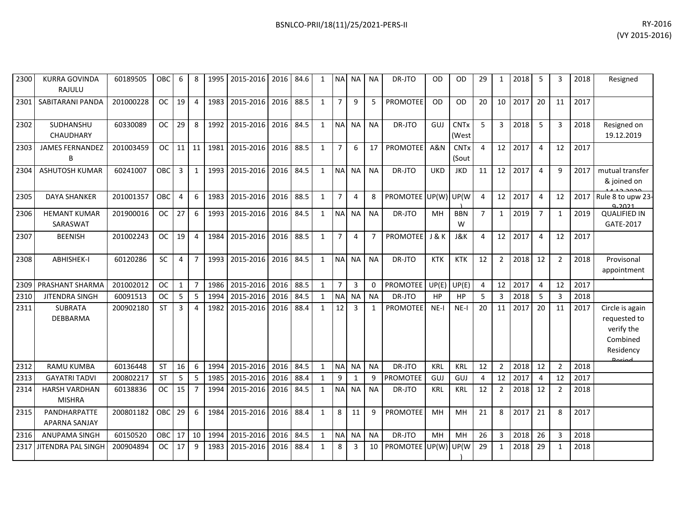| 2300 | <b>KURRA GOVINDA</b><br>RAJULU        | 60189505  | <b>OBC</b> | 6              | 8              | 1995 | 2015-2016 2016 84.6 |      |      | 1            | <b>NAI</b>     | NA I         | <b>NA</b>      | DR-JTO               | OD               | OD                              | 29             | $\mathbf{1}$   | 2018 | 5              |               | 2018 | Resigned                                                                         |
|------|---------------------------------------|-----------|------------|----------------|----------------|------|---------------------|------|------|--------------|----------------|--------------|----------------|----------------------|------------------|---------------------------------|----------------|----------------|------|----------------|---------------|------|----------------------------------------------------------------------------------|
| 2301 | SABITARANI PANDA                      | 201000228 | <b>OC</b>  | 19             | $\overline{4}$ | 1983 | 2015-2016           | 2016 | 88.5 | 1            | $\overline{7}$ | 9            | 5              | <b>PROMOTEE</b>      | <b>OD</b>        | <b>OD</b>                       | 20             | 10             | 2017 | 20             | 11            | 2017 |                                                                                  |
| 2302 | SUDHANSHU<br>CHAUDHARY                | 60330089  | <b>OC</b>  | 29             | 8              | 1992 | 2015-2016           | 2016 | 84.5 | 1            | <b>NA</b>      | <b>NA</b>    | <b>NA</b>      | DR-JTO               | GUJ              | <b>CNTx</b><br>(West            | 5              | $\overline{3}$ | 2018 | 5              | 3             | 2018 | Resigned on<br>19.12.2019                                                        |
| 2303 | <b>JAMES FERNANDEZ</b><br>B           | 201003459 | <b>OC</b>  | 11             | 11             | 1981 | 2015-2016           | 2016 | 88.5 | $\mathbf{1}$ | $\overline{7}$ | 6            | 17             | <b>PROMOTEE</b>      | <b>A&amp;N</b>   | <b>CNT<sub>x</sub></b><br>(Sout | 4              | 12             | 2017 | $\overline{4}$ | 12            | 2017 |                                                                                  |
| 2304 | <b>ASHUTOSH KUMAR</b>                 | 60241007  | <b>OBC</b> | 3              | $\mathbf{1}$   | 1993 | 2015-2016           | 2016 | 84.5 | $\mathbf{1}$ | <b>NA</b>      | <b>NA</b>    | <b>NA</b>      | DR-JTO               | <b>UKD</b>       | <b>JKD</b>                      | 11             | 12             | 2017 | $\overline{4}$ | q             | 2017 | mutual transfer<br>& joined on                                                   |
| 2305 | <b>DAYA SHANKER</b>                   | 201001357 | OBC        | $\overline{4}$ | 6              | 1983 | 2015-2016           | 2016 | 88.5 | 1            | $\overline{7}$ | 4            | 8              | PROMOTEE UP(W) UP(W) |                  |                                 | 4              | 12             | 2017 | $\overline{4}$ | 12            | 2017 | Rule 8 to upw 23-<br>വാറാ                                                        |
| 2306 | <b>HEMANT KUMAR</b><br>SARASWAT       | 201900016 | <b>OC</b>  | 27             | 6              | 1993 | 2015-2016           | 2016 | 84.5 | $\mathbf{1}$ | <b>NA</b>      | <b>NA</b>    | <b>NA</b>      | DR-JTO               | MH               | <b>BBN</b><br>W                 | $\overline{7}$ | $\mathbf{1}$   | 2019 | $\overline{7}$ | 1             | 2019 | <b>QUALIFIED IN</b><br>GATE-2017                                                 |
| 2307 | <b>BEENISH</b>                        | 201002243 | <b>OC</b>  | 19             | 4              | 1984 | 2015-2016           | 2016 | 88.5 | 1            | $\overline{7}$ | 4            | $\overline{7}$ | <b>PROMOTEE</b>      | <b>J &amp; K</b> | <b>J&amp;K</b>                  | 4              | 12             | 2017 | 4              | 12            | 2017 |                                                                                  |
| 2308 | ABHISHEK-I                            | 60120286  | SC         | 4              | $\overline{7}$ | 1993 | 2015-2016           | 2016 | 84.5 | 1            | <b>NA</b>      | NA.          | <b>NA</b>      | DR-JTO               | <b>KTK</b>       | <b>KTK</b>                      | 12             | $\overline{2}$ | 2018 | 12             | 2             | 2018 | Provisonal<br>appointment                                                        |
| 2309 | PRASHANT SHARMA                       | 201002012 | <b>OC</b>  | $\mathbf{1}$   | $\overline{7}$ | 1986 | 2015-2016           | 2016 | 88.5 | 1            | $\overline{7}$ | 3            | 0              | PROMOTEE             | $UP(E)$ UP(E)    |                                 | 4              | 12             | 2017 | $\overline{4}$ | 12            | 2017 |                                                                                  |
| 2310 | <b>JITENDRA SINGH</b>                 | 60091513  | <b>OC</b>  | 5              | 5              | 1994 | 2015-2016           | 2016 | 84.5 | $\mathbf{1}$ | <b>NA</b>      | <b>NA</b>    | <b>NA</b>      | DR-JTO               | HP               | HP                              | 5              | 3              | 2018 | -5             | 3             | 2018 |                                                                                  |
| 2311 | <b>SUBRATA</b><br>DEBBARMA            | 200902180 | <b>ST</b>  | 3              | 4              | 1982 | 2015-2016           | 2016 | 88.4 | 1            | 12             | 3            | $\mathbf{1}$   | <b>PROMOTEE</b>      | $NE-I$           | $NE-I$                          | 20             | 11             | 2017 | 20             | 11            | 2017 | Circle is again<br>requested to<br>verify the<br>Combined<br>Residency<br>Doriad |
| 2312 | <b>RAMU KUMBA</b>                     | 60136448  | <b>ST</b>  | 16             | 6              | 1994 | 2015-2016           | 2016 | 84.5 | $\mathbf{1}$ | <b>NA</b>      | <b>NA</b>    | <b>NA</b>      | DR-JTO               | KRL              | KRL                             | 12             | $\overline{2}$ | 2018 | 12             | $\mathcal{P}$ | 2018 |                                                                                  |
| 2313 | <b>GAYATRI TADVI</b>                  | 200802217 | <b>ST</b>  | 5              | 5              | 1985 | 2015-2016           | 2016 | 88.4 | 1            | 9              | $\mathbf{1}$ | 9              | <b>PROMOTEE</b>      | <b>GUJ</b>       | GUJ                             | 4              | 12             | 2017 | $\overline{4}$ | 12            | 2017 |                                                                                  |
| 2314 | <b>HARSH VARDHAN</b><br><b>MISHRA</b> | 60138836  | <b>OC</b>  | 15             | $\overline{7}$ | 1994 | 2015-2016           | 2016 | 84.5 | 1            | <b>NA</b>      | <b>NA</b>    | <b>NA</b>      | DR-JTO               | <b>KRL</b>       | <b>KRL</b>                      | 12             | $\overline{2}$ | 2018 | 12             | 2             | 2018 |                                                                                  |
| 2315 | PANDHARPATTE<br><b>APARNA SANJAY</b>  | 200801182 | <b>OBC</b> | 29             | 6              | 1984 | 2015-2016           | 2016 | 88.4 | $\mathbf{1}$ | 8              | 11           | 9              | <b>PROMOTEE</b>      | MH               | MH                              | 21             | 8              | 2017 | 21             | 8             | 2017 |                                                                                  |
| 2316 | <b>ANUPAMA SINGH</b>                  | 60150520  | <b>OBC</b> | 17             | 10             | 1994 | 2015-2016           | 2016 | 84.5 | $\mathbf{1}$ | NA NA          |              | <b>NA</b>      | DR-JTO               | MH               | MH                              | 26             | $\mathbf{3}$   | 2018 | 26             | 3             | 2018 |                                                                                  |
| 2317 | JITENDRA PAL SINGH                    | 200904894 | <b>OC</b>  | 17             | 9              | 1983 | 2015-2016           | 2016 | 88.4 | 1            | 8              | 3            | 10             | PROMOTEE UP(W) UP(W  |                  |                                 | 29             | 1              | 2018 | 29             |               | 2018 |                                                                                  |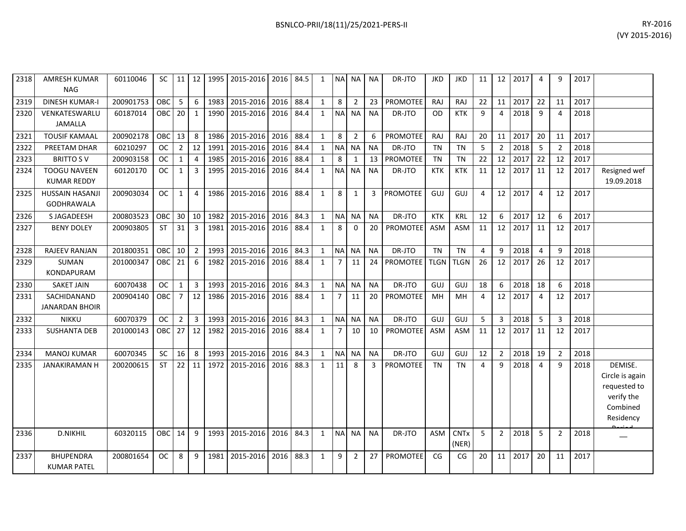| 2318 | <b>AMRESH KUMAR</b><br><b>NAG</b> | 60110046  | <b>SC</b>  | 11             | 12             | 1995 | 2015-2016                      | 2016 | 84.5 | $\mathbf{1}$ | <b>NA</b> | NA             | <b>NA</b> | DR-JTO          | <b>JKD</b>  | <b>JKD</b>  | 11             | 12              | 2017 | 4              | q              | 2017 |                            |
|------|-----------------------------------|-----------|------------|----------------|----------------|------|--------------------------------|------|------|--------------|-----------|----------------|-----------|-----------------|-------------|-------------|----------------|-----------------|------|----------------|----------------|------|----------------------------|
| 2319 | <b>DINESH KUMAR-I</b>             | 200901753 | OBC        | 5              | 6              | 1983 | 2015-2016                      | 2016 | 88.4 | $\mathbf{1}$ | 8         | $\overline{2}$ | 23        | <b>PROMOTEE</b> | <b>RAJ</b>  | RAJ         | 22             | 11              | 2017 | 22             | 11             | 2017 |                            |
| 2320 | VENKATESWARLU                     | 60187014  | OBC        | 20             | $\mathbf{1}$   | 1990 | 2015-2016                      | 2016 | 84.4 | $\mathbf{1}$ | <b>NA</b> | <b>NA</b>      | <b>NA</b> | DR-JTO          | OD          | <b>KTK</b>  | 9              | 4               | 2018 | 9              | $\Delta$       | 2018 |                            |
|      | <b>JAMALLA</b>                    |           |            |                |                |      |                                |      |      |              |           |                |           |                 |             |             |                |                 |      |                |                |      |                            |
| 2321 | <b>TOUSIF KAMAAL</b>              | 200902178 | OBC        | 13             | 8              | 1986 | 2015-2016                      | 2016 | 88.4 | $\mathbf{1}$ | 8         | $\overline{2}$ | 6         | PROMOTEE        | <b>RAJ</b>  | <b>RAJ</b>  | 20             | 11              | 2017 | 20             | 11             | 2017 |                            |
| 2322 | PREETAM DHAR                      | 60210297  | <b>OC</b>  | $\overline{2}$ | 12             | 1991 | 2015-2016                      | 2016 | 84.4 | $\mathbf{1}$ |           | NA NA          | <b>NA</b> | DR-JTO          | <b>TN</b>   | <b>TN</b>   | 5              | $\overline{2}$  | 2018 | 5              | $\overline{2}$ | 2018 |                            |
| 2323 | <b>BRITTO SV</b>                  | 200903158 | <b>OC</b>  | 1              | 4              | 1985 | 2015-2016                      | 2016 | 88.4 | $\mathbf{1}$ | 8         | -1             | 13        | PROMOTEE        | <b>TN</b>   | <b>TN</b>   | 22             | 12              | 2017 | 22             | 12             | 2017 |                            |
| 2324 | <b>TOOGU NAVEEN</b>               | 60120170  | <b>OC</b>  | 1              | 3              | 1995 | 2015-2016                      | 2016 | 84.4 | $\mathbf{1}$ | <b>NA</b> | <b>NA</b>      | <b>NA</b> | DR-JTO          | <b>KTK</b>  | <b>KTK</b>  | 11             | 12              | 2017 | 11             | 12             | 2017 | Resigned wef               |
|      | <b>KUMAR REDDY</b>                |           |            |                |                |      |                                |      |      |              |           |                |           |                 |             |             |                |                 |      |                |                |      | 19.09.2018                 |
| 2325 | <b>HUSSAIN HASANJI</b>            | 200903034 | <b>OC</b>  | $\mathbf{1}$   | 4              | 1986 | 2015-2016                      | 2016 | 88.4 | $\mathbf{1}$ | 8         | $\mathbf{1}$   | 3         | <b>PROMOTEE</b> | GUJ         | GUJ         | $\overline{a}$ | 12              | 2017 | $\overline{4}$ | 12             | 2017 |                            |
|      | <b>GODHRAWALA</b>                 |           |            |                |                |      |                                |      |      |              |           |                |           |                 |             |             |                |                 |      |                |                |      |                            |
| 2326 | S JAGADEESH                       | 200803523 | <b>OBC</b> | 30             | 10             | 1982 | 2015-2016                      | 2016 | 84.3 | $\mathbf{1}$ |           | NA NA          | <b>NA</b> | DR-JTO          | <b>KTK</b>  | KRL         | 12             | 6               | 2017 | 12             | 6              | 2017 |                            |
| 2327 | <b>BENY DOLEY</b>                 | 200903805 | <b>ST</b>  | 31             | 3              | 1981 | 2015-2016                      | 2016 | 88.4 | $\mathbf{1}$ | 8         | $\Omega$       | 20        | PROMOTEE        | <b>ASM</b>  | <b>ASM</b>  | 11             | 12              | 2017 | 11             | 12             | 2017 |                            |
|      |                                   |           |            |                |                |      |                                |      |      |              |           |                |           |                 |             |             |                |                 |      |                |                |      |                            |
| 2328 | <b>RAJEEV RANJAN</b>              | 201800351 | OBC        | 10             | $\overline{2}$ | 1993 | 2015-2016                      | 2016 | 84.3 | $\mathbf{1}$ |           | NA NA          | <b>NA</b> | DR-JTO          | <b>TN</b>   | <b>TN</b>   | $\overline{4}$ | 9               | 2018 | $\overline{4}$ | q              | 2018 |                            |
| 2329 | SUMAN                             | 201000347 | OBC        | 21             | 6              | 1982 | 2015-2016                      | 2016 | 88.4 | $\mathbf{1}$ | 7         | 11             | 24        | <b>PROMOTEE</b> | <b>TLGN</b> | <b>TLGN</b> | 26             | 12              | 2017 | 26             | 12             | 2017 |                            |
|      | <b>KONDAPURAM</b>                 |           |            |                |                |      |                                |      |      |              |           |                |           |                 |             |             |                |                 |      |                |                |      |                            |
| 2330 | <b>SAKET JAIN</b>                 | 60070438  | <b>OC</b>  | 1              | $\overline{3}$ | 1993 | 2015-2016                      | 2016 | 84.3 | $\mathbf{1}$ |           | NA NA          | <b>NA</b> | DR-JTO          | GUJ         | GUJ         | 18             | 6               | 2018 | 18             | 6              | 2018 |                            |
| 2331 | SACHIDANAND                       | 200904140 | OBC        | 7              | 12             | 1986 | 2015-2016                      | 2016 | 88.4 | $\mathbf{1}$ | 7         | 11             | 20        | <b>PROMOTEE</b> | MH          | MH          | 4              | 12 <sup>1</sup> | 2017 | 4              | 12             | 2017 |                            |
|      | <b>JANARDAN BHOIR</b>             |           |            |                |                |      |                                |      |      |              |           |                |           |                 |             |             |                |                 |      |                |                |      |                            |
| 2332 | <b>NIKKU</b>                      | 60070379  | <b>OC</b>  | $\overline{2}$ | 3              | 1993 | 2015-2016                      | 2016 | 84.3 | $\mathbf{1}$ |           | NA NA          | <b>NA</b> | DR-JTO          | GUJ         | GUJ         | 5              | 3               | 2018 | 5              | 3              | 2018 |                            |
| 2333 | <b>SUSHANTA DEB</b>               | 201000143 | OBC        | 27             | 12             | 1982 | 2015-2016                      | 2016 | 88.4 | 1            | 7         | 10             | 10        | <b>PROMOTEE</b> | <b>ASM</b>  | <b>ASM</b>  | 11             | 12              | 2017 | 11             | 12             | 2017 |                            |
|      |                                   |           |            |                |                |      |                                |      |      |              |           |                |           |                 |             |             |                |                 |      |                |                |      |                            |
| 2334 | <b>MANOJ KUMAR</b>                | 60070345  | <b>SC</b>  | 16             | 8              | 1993 | 2015-2016                      | 2016 | 84.3 | $\mathbf{1}$ |           | NA NA          | <b>NA</b> | DR-JTO          | GUJ         | GUJ         | 12             | $\overline{2}$  | 2018 | 19             | $\overline{2}$ | 2018 |                            |
| 2335 | <b>JANAKIRAMAN H</b>              | 200200615 | <b>ST</b>  | 22             | 11             | 1972 | 2015-2016                      | 2016 | 88.3 | $\mathbf{1}$ | 11        | 8              | 3         | <b>PROMOTEE</b> | <b>TN</b>   | <b>TN</b>   | $\overline{4}$ | 9               | 2018 | $\overline{4}$ | q              | 2018 | DEMISE.                    |
|      |                                   |           |            |                |                |      |                                |      |      |              |           |                |           |                 |             |             |                |                 |      |                |                |      | Circle is again            |
|      |                                   |           |            |                |                |      |                                |      |      |              |           |                |           |                 |             |             |                |                 |      |                |                |      | requested to<br>verify the |
|      |                                   |           |            |                |                |      |                                |      |      |              |           |                |           |                 |             |             |                |                 |      |                |                |      | Combined                   |
|      |                                   |           |            |                |                |      |                                |      |      |              |           |                |           |                 |             |             |                |                 |      |                |                |      | Residency                  |
|      |                                   |           |            |                |                |      |                                |      |      |              |           |                |           |                 |             |             |                |                 |      |                |                |      |                            |
| 2336 | <b>D.NIKHIL</b>                   | 60320115  | OBC        | 14             | 9              |      | 1993   2015-2016   2016   84.3 |      |      | 1            |           | NA NA          | <b>NA</b> | DR-JTO          | ASM         | <b>CNTx</b> | 5              | $\overline{2}$  | 2018 | 5              | $\overline{2}$ | 2018 |                            |

200801654 OC 8 9 1981 2015-2016 2016 88.3 1 9 2 27 PROMOTEE CG CG 20 11 2017 20 11 2017

2337 BHUPENDRA

KUMAR PATEL

(NER)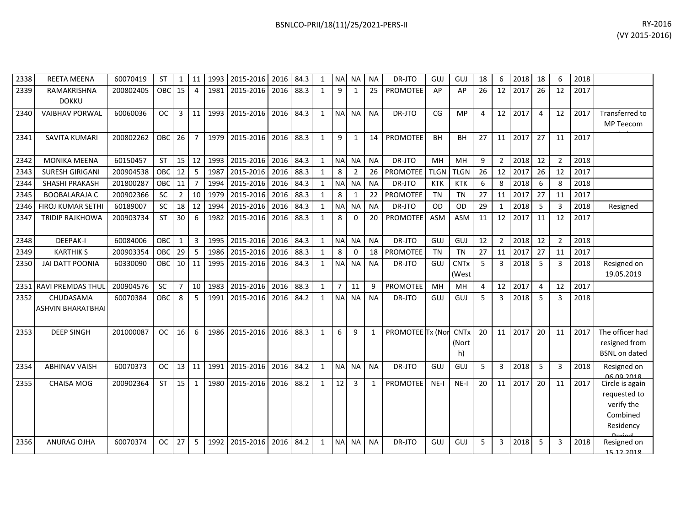| 2338 | <b>REETA MEENA</b>                    | 60070419  | <b>ST</b>  | 1              | 11                      | 1993 | 2015-2016 | 2016 | 84.3 | 1            | <b>NA</b>      | NА             | <b>NA</b> | DR-JTO           | GUJ         | GUJ                             | 18 | 6              | 2018 | 18 | 6              | 2018 |                                                                        |
|------|---------------------------------------|-----------|------------|----------------|-------------------------|------|-----------|------|------|--------------|----------------|----------------|-----------|------------------|-------------|---------------------------------|----|----------------|------|----|----------------|------|------------------------------------------------------------------------|
| 2339 | RAMAKRISHNA<br><b>DOKKU</b>           | 200802405 | OBC        | 15             | $\overline{4}$          | 1981 | 2015-2016 | 2016 | 88.3 | $\mathbf{1}$ | 9              | 1              | 25        | <b>PROMOTEE</b>  | AP          | AP                              | 26 | 12             | 2017 | 26 | 12             | 2017 |                                                                        |
| 2340 | <b>VAIBHAV PORWAL</b>                 | 60060036  | <b>OC</b>  | 3              | 11                      | 1993 | 2015-2016 | 2016 | 84.3 | $\mathbf{1}$ | <b>NA</b>      | <b>NA</b>      | <b>NA</b> | DR-JTO           | CG          | <b>MP</b>                       | 4  | 12             | 2017 | 4  | 12             | 2017 | <b>Transferred to</b><br>MP Teecom                                     |
| 2341 | <b>SAVITA KUMARI</b>                  | 200802262 | OBC        | 26             | $\overline{7}$          | 1979 | 2015-2016 | 2016 | 88.3 | $\mathbf{1}$ | 9              | 1              | 14        | <b>PROMOTEE</b>  | <b>BH</b>   | BН                              | 27 | 11             | 2017 | 27 | 11             | 2017 |                                                                        |
| 2342 | <b>MONIKA MEENA</b>                   | 60150457  | <b>ST</b>  | 15             | 12                      | 1993 | 2015-2016 | 2016 | 84.3 | $\mathbf{1}$ | <b>NA</b>      | <b>NA</b>      | <b>NA</b> | DR-JTO           | MH          | <b>MH</b>                       | 9  | $\overline{2}$ | 2018 | 12 | $\overline{2}$ | 2018 |                                                                        |
| 2343 | <b>SURESH GIRIGANI</b>                | 200904538 | OBC        | 12             | 5                       | 1987 | 2015-2016 | 2016 | 88.3 | $\mathbf{1}$ | 8              | $\overline{2}$ | 26        | <b>PROMOTEE</b>  | <b>TLGN</b> | <b>TLGN</b>                     | 26 | 12             | 2017 | 26 | 12             | 2017 |                                                                        |
| 2344 | <b>SHASHI PRAKASH</b>                 | 201800287 | OBC        | 11             | $\overline{7}$          | 1994 | 2015-2016 | 2016 | 84.3 | $\mathbf{1}$ | <b>NA</b>      | <b>NA</b>      | <b>NA</b> | DR-JTO           | <b>KTK</b>  | <b>KTK</b>                      | 6  | 8              | 2018 | 6  | 8              | 2018 |                                                                        |
| 2345 | <b>BOOBALARAJA C</b>                  | 200902366 | SC         | $\overline{2}$ | 10                      | 1979 | 2015-2016 | 2016 | 88.3 | $\mathbf{1}$ | 8              | 1              | 22        | PROMOTEE         | <b>TN</b>   | <b>TN</b>                       | 27 | 11             | 2017 | 27 | 11             | 2017 |                                                                        |
| 2346 | <b>FIROJ KUMAR SETHI</b>              | 60189007  | SC         | 18             | 12                      | 1994 | 2015-2016 | 2016 | 84.3 | $\mathbf{1}$ | <b>NA</b>      | <b>NA</b>      | <b>NA</b> | DR-JTO           | OD          | <b>OD</b>                       | 29 | 1              | 2018 | 5  | 3              | 2018 | Resigned                                                               |
| 2347 | <b>TRIDIP RAJKHOWA</b>                | 200903734 | <b>ST</b>  | 30             | 6                       | 1982 | 2015-2016 | 2016 | 88.3 | $\mathbf{1}$ | 8              | $\Omega$       | 20        | <b>PROMOTEE</b>  | <b>ASM</b>  | <b>ASM</b>                      | 11 | 12             | 2017 | 11 | 12             | 2017 |                                                                        |
| 2348 | <b>DEEPAK-I</b>                       | 60084006  | <b>OBC</b> | $\mathbf{1}$   | $\overline{\mathbf{3}}$ | 1995 | 2015-2016 | 2016 | 84.3 | $\mathbf{1}$ | <b>NA</b>      | <b>NA</b>      | <b>NA</b> | DR-JTO           | <b>GUJ</b>  | GUJ                             | 12 | $\overline{2}$ | 2018 | 12 | $\overline{2}$ | 2018 |                                                                        |
| 2349 | <b>KARTHIK S</b>                      | 200903354 | OBC        | 29             | 5                       | 1986 | 2015-2016 | 2016 | 88.3 | $\mathbf{1}$ | 8              | 0              | 18        | <b>PROMOTEE</b>  | <b>TN</b>   | <b>TN</b>                       | 27 | 11             | 2017 | 27 | 11             | 2017 |                                                                        |
| 2350 | <b>JAI DATT POONIA</b>                | 60330090  | OBC        | 10             | 11                      | 1995 | 2015-2016 | 2016 | 84.3 | $\mathbf{1}$ | <b>NA</b>      | <b>NA</b>      | <b>NA</b> | DR-JTO           | GUJ         | <b>CNT<sub>x</sub></b><br>(West | 5  | 3              | 2018 | 5  | 3              | 2018 | Resigned on<br>19.05.2019                                              |
|      | 2351 RAVI PREMDAS THUL                | 200904576 | <b>SC</b>  | $\overline{7}$ | 10                      | 1983 | 2015-2016 | 2016 | 88.3 | $\mathbf{1}$ | $\overline{7}$ | 11             | 9         | <b>PROMOTEE</b>  | MH          | MН                              | 4  | 12             | 2017 | 4  | 12             | 2017 |                                                                        |
| 2352 | CHUDASAMA<br><b>ASHVIN BHARATBHAI</b> | 60070384  | OBC        | 8              | 5                       | 1991 | 2015-2016 | 2016 | 84.2 | 1            | <b>NA</b>      | <b>NA</b>      | <b>NA</b> | DR-JTO           | GUJ         | GUJ                             | 5  | 3              | 2018 | -5 | 3              | 2018 |                                                                        |
| 2353 | <b>DEEP SINGH</b>                     | 201000087 | <b>OC</b>  | 16             | 6                       | 1986 | 2015-2016 | 2016 | 88.3 | $\mathbf{1}$ | 6              | 9              | 1         | PROMOTEE Tx (Nor |             | <b>CNTx</b><br>(Nort<br>h)      | 20 | 11             | 2017 | 20 | 11             | 2017 | The officer had<br>resigned from<br><b>BSNL on dated</b>               |
| 2354 | <b>ABHINAV VAISH</b>                  | 60070373  | <b>OC</b>  | 13             | 11                      | 1991 | 2015-2016 | 2016 | 84.2 | $\mathbf{1}$ | <b>NA</b>      | <b>NA</b>      | <b>NA</b> | DR-JTO           | GUJ         | GUJ                             | 5  | 3              | 2018 | 5  | 3              | 2018 | Resigned on<br><u>QG QQ 2018</u>                                       |
| 2355 | <b>CHAISA MOG</b>                     | 200902364 | <b>ST</b>  | 15             | $\mathbf{1}$            | 1980 | 2015-2016 | 2016 | 88.2 | $\mathbf{1}$ | 12             | 3              | 1         | <b>PROMOTEE</b>  | $NE-I$      | $NE-I$                          | 20 | 11             | 2017 | 20 | 11             | 2017 | Circle is again<br>requested to<br>verify the<br>Combined<br>Residency |
| 2356 | <b>ANURAG OJHA</b>                    | 60070374  | <b>OC</b>  | 27             | 5                       | 1992 | 2015-2016 | 2016 | 84.2 | 1            | <b>NA</b>      | <b>NA</b>      | <b>NA</b> | DR-JTO           | GUJ         | GUJ                             | 5  | 3              | 2018 | 5  | 3              | 2018 | Resigned on<br>15 12 2018                                              |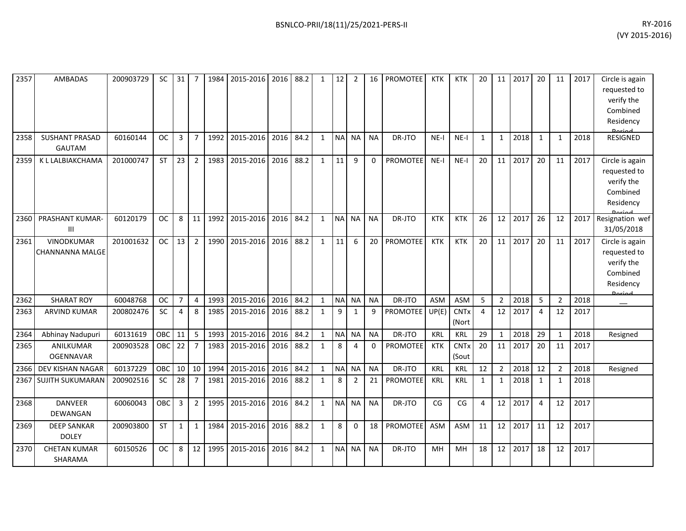| 2357 | AMBADAS                                     | 200903729 | <b>SC</b> | $31 \mid$      | $\overline{7}$ |      | 1984 2015-2016 2016 88.2 |      |      | $\mathbf{1}$ | 12        | $\overline{2}$ | 16 <sup>1</sup> | <b>PROMOTEE</b> | <b>KTK</b> | <b>KTK</b>           | 20             | 11             | 2017 | 20             | 11             | 2017 | Circle is again<br>requested to<br>verify the<br>Combined<br>Residency |
|------|---------------------------------------------|-----------|-----------|----------------|----------------|------|--------------------------|------|------|--------------|-----------|----------------|-----------------|-----------------|------------|----------------------|----------------|----------------|------|----------------|----------------|------|------------------------------------------------------------------------|
| 2358 | <b>SUSHANT PRASAD</b><br><b>GAUTAM</b>      | 60160144  | <b>OC</b> | $\mathbf{3}$   | $\overline{7}$ | 1992 | 2015-2016                | 2016 | 84.2 | $\mathbf{1}$ |           | NA NA          | <b>NA</b>       | DR-JTO          | $NE-I$     | $NE-I$               | $\mathbf{1}$   | $\mathbf{1}$   | 2018 | 1              | $\mathbf{1}$   | 2018 | <b>RESIGNED</b>                                                        |
| 2359 | K L LALBIAKCHAMA                            | 201000747 | <b>ST</b> | 23             | $\overline{2}$ | 1983 | 2015-2016                | 2016 | 88.2 | $\mathbf{1}$ | 11        | 9              | $\Omega$        | <b>PROMOTEE</b> | $NE-I$     | $NE-I$               | 20             | 11             | 2017 | 20             | 11             | 2017 | Circle is again<br>requested to<br>verify the<br>Combined<br>Residency |
| 2360 | PRASHANT KUMAR-<br>Ш                        | 60120179  | <b>OC</b> | 8              | 11             | 1992 | 2015-2016                | 2016 | 84.2 | $\mathbf{1}$ |           | NA NA          | <b>NA</b>       | DR-JTO          | <b>KTK</b> | <b>KTK</b>           | 26             | 12             | 2017 | 26             | 12             | 2017 | Resignation wef<br>31/05/2018                                          |
| 2361 | <b>VINODKUMAR</b><br><b>CHANNANNA MALGE</b> | 201001632 | OC        | 13             | $\overline{2}$ | 1990 | 2015-2016                | 2016 | 88.2 | $\mathbf{1}$ | 11        | 6              | 20              | PROMOTEE        | <b>KTK</b> | <b>KTK</b>           | 20             | 11             | 2017 | 20             | 11             | 2017 | Circle is again<br>requested to<br>verify the<br>Combined<br>Residency |
| 2362 | <b>SHARAT ROY</b>                           | 60048768  | <b>OC</b> | $\overline{7}$ | 4              | 1993 | 2015-2016                | 2016 | 84.2 | $\mathbf{1}$ |           | NA NA          | <b>NA</b>       | DR-JTO          | <b>ASM</b> | <b>ASM</b>           | 5              | $\overline{2}$ | 2018 | 5              | $\overline{2}$ | 2018 | <b>Doriad</b>                                                          |
| 2363 | <b>ARVIND KUMAR</b>                         | 200802476 | SC        | $\overline{4}$ | 8              | 1985 | 2015-2016                | 2016 | 88.2 | $\mathbf{1}$ | 9         | $\mathbf{1}$   | 9               | PROMOTEE        | UP(E)      | <b>CNTx</b><br>(Nort | $\overline{4}$ | 12             | 2017 | 4              | 12             | 2017 |                                                                        |
| 2364 | Abhinay Nadupuri                            | 60131619  | OBC       | 11             | 5              | 1993 | 2015-2016                | 2016 | 84.2 | 1            | <b>NA</b> | <b>NA</b>      | <b>NA</b>       | DR-JTO          | <b>KRL</b> | <b>KRL</b>           | 29             | $\mathbf{1}$   | 2018 | 29             | $\mathbf{1}$   | 2018 | Resigned                                                               |
| 2365 | ANILKUMAR<br><b>OGENNAVAR</b>               | 200903528 | OBC       | 22             | $\overline{7}$ | 1983 | 2015-2016                | 2016 | 88.2 | $\mathbf{1}$ | 8         | 4              | 0               | PROMOTEE        | <b>KTK</b> | <b>CNTx</b><br>(Sout | 20             | 11             | 2017 | 20             | 11             | 2017 |                                                                        |
|      | 2366 DEV KISHAN NAGAR                       | 60137229  | OBC       | 10             | 10             | 1994 | 2015-2016                | 2016 | 84.2 | $\mathbf{1}$ |           | NA NA          | <b>NA</b>       | DR-JTO          | <b>KRL</b> | KRL                  | 12             | $\overline{2}$ | 2018 | 12             | $\overline{2}$ | 2018 | Resigned                                                               |
|      | 2367 SUJITH SUKUMARAN                       | 200902516 | <b>SC</b> | 28             | $\overline{7}$ | 1981 | 2015-2016                | 2016 | 88.2 | $\mathbf{1}$ | 8         | $\overline{2}$ | 21              | <b>PROMOTEE</b> | <b>KRL</b> | <b>KRL</b>           | $\mathbf{1}$   | $\mathbf{1}$   | 2018 | 1              | $\mathbf{1}$   | 2018 |                                                                        |
| 2368 | <b>DANVEER</b><br>DEWANGAN                  | 60060043  | OBC       | 3              | $\overline{2}$ | 1995 | 2015-2016                | 2016 | 84.2 | $\mathbf{1}$ |           | NA NA          | <b>NA</b>       | DR-JTO          | CG         | CG                   | 4              | 12             | 2017 | $\overline{4}$ | 12             | 2017 |                                                                        |
| 2369 | <b>DEEP SANKAR</b><br><b>DOLEY</b>          | 200903800 | <b>ST</b> | $\mathbf{1}$   | $\mathbf{1}$   | 1984 | 2015-2016                | 2016 | 88.2 | $\mathbf{1}$ | 8         | $\Omega$       | 18              | <b>PROMOTEE</b> | <b>ASM</b> | <b>ASM</b>           | 11             | 12             | 2017 | 11             | 12             | 2017 |                                                                        |
| 2370 | <b>CHETAN KUMAR</b><br>SHARAMA              | 60150526  | <b>OC</b> | 8              | 12             | 1995 | 2015-2016                | 2016 | 84.2 | $\mathbf{1}$ | NA        | <b>NA</b>      | <b>NA</b>       | DR-JTO          | <b>MH</b>  | <b>MH</b>            | 18             | 12             | 2017 | 18             | 12             | 2017 |                                                                        |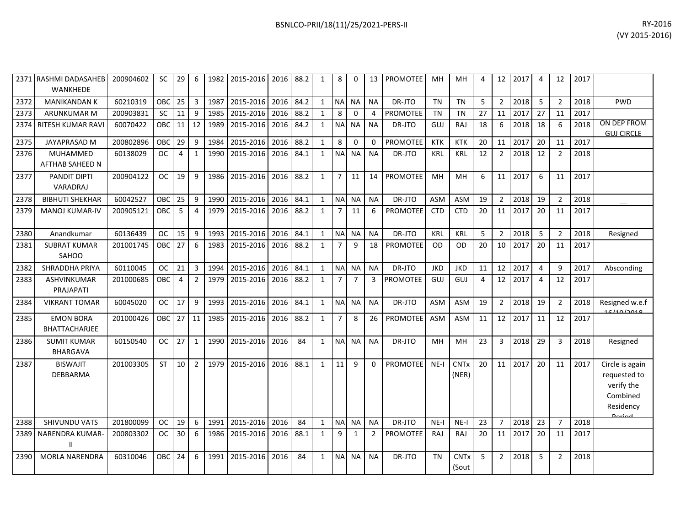|      | 2371 RASHMI DADASAHEB<br><b>WANKHEDE</b> | 200904602 | SC.        | 29 | 6              |      | 1982   2015-2016   2016   88.2 |      |      | 1            | 8              | 0              | 13             | <b>PROMOTEE</b> | MН         | MН                   | 4  | 12             | 2017 | 4  | 12             | 2017 |                                                                                  |
|------|------------------------------------------|-----------|------------|----|----------------|------|--------------------------------|------|------|--------------|----------------|----------------|----------------|-----------------|------------|----------------------|----|----------------|------|----|----------------|------|----------------------------------------------------------------------------------|
| 2372 | <b>MANIKANDAN K</b>                      | 60210319  | OBC        | 25 | $\overline{3}$ | 1987 | 2015-2016                      | 2016 | 84.2 | $\mathbf{1}$ | <b>NA</b>      | <b>NA</b>      | <b>NA</b>      | DR-JTO          | <b>TN</b>  | <b>TN</b>            | 5  | $\overline{2}$ | 2018 | 5  | $\overline{2}$ | 2018 | <b>PWD</b>                                                                       |
| 2373 | ARUNKUMAR M                              | 200903831 | SC         | 11 | 9              | 1985 | 2015-2016                      | 2016 | 88.2 | $\mathbf{1}$ | 8              | 0              | 4              | PROMOTEE        | <b>TN</b>  | <b>TN</b>            | 27 | 11             | 2017 | 27 | 11             | 2017 |                                                                                  |
| 2374 | <b>RITESH KUMAR RAVI</b>                 | 60070422  | <b>OBC</b> | 11 | 12             | 1989 | 2015-2016                      | 2016 | 84.2 | $\mathbf{1}$ | <b>NA</b>      | <b>NA</b>      | <b>NA</b>      | DR-JTO          | GUJ        | RAJ                  | 18 | 6              | 2018 | 18 | 6              | 2018 | ON DEP FROM<br><b>GUJ CIRCLE</b>                                                 |
| 2375 | <b>JAYAPRASAD M</b>                      | 200802896 | OBC        | 29 | 9              | 1984 | 2015-2016                      | 2016 | 88.2 | $\mathbf{1}$ | 8              | $\Omega$       | $\Omega$       | <b>PROMOTEE</b> | <b>KTK</b> | <b>KTK</b>           | 20 | 11             | 2017 | 20 | 11             | 2017 |                                                                                  |
| 2376 | MUHAMMED<br>AFTHAB SAHEED N              | 60138029  | <b>OC</b>  | 4  | $\mathbf{1}$   | 1990 | 2015-2016                      | 2016 | 84.1 | $\mathbf{1}$ | <b>NA</b>      | <b>NA</b>      | <b>NA</b>      | DR-JTO          | <b>KRL</b> | <b>KRL</b>           | 12 | $\overline{2}$ | 2018 | 12 | $\overline{2}$ | 2018 |                                                                                  |
| 2377 | PANDIT DIPTI<br>VARADRAJ                 | 200904122 | <b>OC</b>  | 19 | 9              | 1986 | 2015-2016                      | 2016 | 88.2 | $\mathbf{1}$ | $\overline{7}$ | 11             | 14             | <b>PROMOTEE</b> | MH         | MH                   | 6  | 11             | 2017 | 6  | 11             | 2017 |                                                                                  |
| 2378 | <b>BIBHUTI SHEKHAR</b>                   | 60042527  | OBC        | 25 | 9              | 1990 | 2015-2016                      | 2016 | 84.1 | $\mathbf{1}$ | <b>NA</b>      | <b>NA</b>      | <b>NA</b>      | DR-JTO          | <b>ASM</b> | <b>ASM</b>           | 19 | $\overline{2}$ | 2018 | 19 | $\overline{2}$ | 2018 |                                                                                  |
| 2379 | <b>MANOJ KUMAR-IV</b>                    | 200905121 | OBC        | 5  | $\overline{4}$ | 1979 | 2015-2016                      | 2016 | 88.2 | $\mathbf{1}$ | $\overline{7}$ | 11             | 6              | <b>PROMOTEE</b> | <b>CTD</b> | <b>CTD</b>           | 20 | 11             | 2017 | 20 | 11             | 2017 |                                                                                  |
| 2380 | Anandkumar                               | 60136439  | <b>OC</b>  | 15 | $9$            | 1993 | 2015-2016                      | 2016 | 84.1 | $\mathbf{1}$ | <b>NA</b>      | <b>NA</b>      | <b>NA</b>      | DR-JTO          | <b>KRL</b> | <b>KRL</b>           | 5  | $\overline{2}$ | 2018 | 5  | $\overline{2}$ | 2018 | Resigned                                                                         |
| 2381 | <b>SUBRAT KUMAR</b><br>SAHOO             | 201001745 | <b>OBC</b> | 27 | 6              | 1983 | 2015-2016                      | 2016 | 88.2 | $\mathbf{1}$ | $\overline{7}$ | 9              | 18             | PROMOTEE        | <b>OD</b>  | <b>OD</b>            | 20 | 10             | 2017 | 20 | 11             | 2017 |                                                                                  |
| 2382 | <b>SHRADDHA PRIYA</b>                    | 60110045  | <b>OC</b>  | 21 | $\overline{3}$ | 1994 | 2015-2016                      | 2016 | 84.1 | $\mathbf{1}$ | N <sub>A</sub> | <b>NA</b>      | <b>NA</b>      | DR-JTO          | <b>JKD</b> | <b>JKD</b>           | 11 | 12             | 2017 | 4  | $\mathsf{q}$   | 2017 | Absconding                                                                       |
| 2383 | ASHVINKUMAR<br>PRAJAPATI                 | 201000685 | OBC        | 4  | $\overline{2}$ | 1979 | 2015-2016                      | 2016 | 88.2 | $\mathbf{1}$ | $\overline{7}$ | $\overline{7}$ | 3              | PROMOTEE        | GUJ        | GUJ                  | 4  | 12             | 2017 | 4  | 12             | 2017 |                                                                                  |
| 2384 | <b>VIKRANT TOMAR</b>                     | 60045020  | <b>OC</b>  | 17 | 9              | 1993 | 2015-2016                      | 2016 | 84.1 | $\mathbf{1}$ | <b>NA</b>      | <b>NA</b>      | <b>NA</b>      | DR-JTO          | <b>ASM</b> | <b>ASM</b>           | 19 | $\overline{2}$ | 2018 | 19 | $\overline{2}$ | 2018 | Resigned w.e.f<br>10110100                                                       |
| 2385 | <b>EMON BORA</b><br><b>BHATTACHARJEE</b> | 201000426 | OBC        | 27 | 11             | 1985 | 2015-2016                      | 2016 | 88.2 | $\mathbf{1}$ | $\overline{7}$ | 8              | 26             | <b>PROMOTEE</b> | ASM        | <b>ASM</b>           | 11 | 12             | 2017 | 11 | 12             | 2017 |                                                                                  |
| 2386 | <b>SUMIT KUMAR</b><br>BHARGAVA           | 60150540  | <b>OC</b>  | 27 | $\mathbf{1}$   | 1990 | 2015-2016                      | 2016 | 84   | $\mathbf{1}$ | <b>NA</b>      | <b>NA</b>      | <b>NA</b>      | DR-JTO          | MH         | MH                   | 23 | 3              | 2018 | 29 | $\overline{3}$ | 2018 | Resigned                                                                         |
| 2387 | <b>BISWAJIT</b><br>DEBBARMA              | 201003305 | <b>ST</b>  | 10 | $\overline{2}$ | 1979 | 2015-2016                      | 2016 | 88.1 | $\mathbf{1}$ | 11             | 9              | 0              | <b>PROMOTEE</b> | $NE-I$     | <b>CNTx</b><br>(NER) | 20 | 11             | 2017 | 20 | 11             | 2017 | Circle is again<br>requested to<br>verify the<br>Combined<br>Residency<br>Dariad |
| 2388 | SHIVUNDU VATS                            | 201800099 | <b>OC</b>  | 19 | 6              | 1991 | 2015-2016                      | 2016 | 84   | $\mathbf{1}$ | <b>NA</b>      | <b>NA</b>      | <b>NA</b>      | DR-JTO          | $NE-I$     | $NE-I$               | 23 | $\overline{7}$ | 2018 | 23 | $\overline{7}$ | 2018 |                                                                                  |
| 2389 | NARENDRA KUMAR-<br>Ш                     | 200803302 | <b>OC</b>  | 30 | 6              | 1986 | 2015-2016                      | 2016 | 88.1 | $\mathbf{1}$ | 9              | 1              | $\overline{2}$ | <b>PROMOTEE</b> | <b>RAJ</b> | RAJ                  | 20 | 11             | 2017 | 20 | 11             | 2017 |                                                                                  |
| 2390 | <b>MORLA NARENDRA</b>                    | 60310046  | OBC        | 24 | 6              | 1991 | 2015-2016                      | 2016 | 84   | $\mathbf{1}$ | <b>NA</b>      | <b>NA</b>      | <b>NA</b>      | DR-JTO          | <b>TN</b>  | <b>CNTx</b><br>(Sout | 5  | $\overline{2}$ | 2018 | 5  | $\overline{2}$ | 2018 |                                                                                  |

h)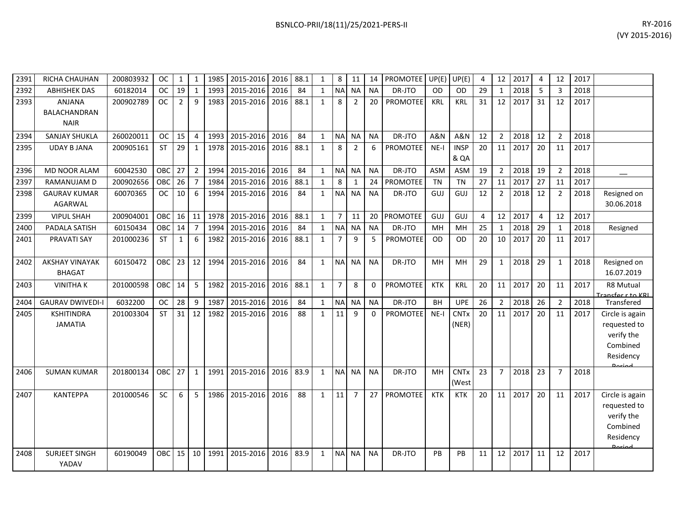| BSNLCO-PRII/18(11)/25/2021-PERS-II | RY-2016                                                                                                |
|------------------------------------|--------------------------------------------------------------------------------------------------------|
|                                    | $\mathbf{A} \times \mathbf{A} \times \mathbf{A} \times \mathbf{A} \times \mathbf{A} \times \mathbf{A}$ |

| 2391 | RICHA CHAUHAN                                       | 200803932 | <b>OC</b>  | 1              | 1              | 1985 | 2015-2016 | 2016 | 88.1 | $\mathbf{1}$ | 8              | 11             | 14           | <b>PROMOTEE</b> | UP(E)      | UP(E)                           | 4  | 12              | 2017 | $\overline{4}$ | 12             | 2017 |                                                                        |
|------|-----------------------------------------------------|-----------|------------|----------------|----------------|------|-----------|------|------|--------------|----------------|----------------|--------------|-----------------|------------|---------------------------------|----|-----------------|------|----------------|----------------|------|------------------------------------------------------------------------|
| 2392 | <b>ABHISHEK DAS</b>                                 | 60182014  | <b>OC</b>  | 19             | $\overline{1}$ | 1993 | 2015-2016 | 2016 | 84   | $\mathbf{1}$ | <b>NA</b>      | <b>NA</b>      | <b>NA</b>    | DR-JTO          | <b>OD</b>  | <b>OD</b>                       | 29 | $\mathbf{1}$    | 2018 | 5              | 3              | 2018 |                                                                        |
| 2393 | <b>ANJANA</b><br><b>BALACHANDRAN</b><br><b>NAIR</b> | 200902789 | <b>OC</b>  | $\overline{2}$ | 9              | 1983 | 2015-2016 | 2016 | 88.1 | $\mathbf{1}$ | 8              | $\overline{2}$ | 20           | <b>PROMOTEE</b> | <b>KRL</b> | <b>KRL</b>                      | 31 | 12              | 2017 | 31             | 12             | 2017 |                                                                        |
| 2394 | <b>SANJAY SHUKLA</b>                                | 260020011 | <b>OC</b>  | 15             | $\overline{4}$ | 1993 | 2015-2016 | 2016 | 84   | $\mathbf{1}$ | <b>NA</b>      | <b>NA</b>      | <b>NA</b>    | DR-JTO          | A&N        | <b>A&amp;N</b>                  | 12 | $\overline{2}$  | 2018 | 12             | $\overline{2}$ | 2018 |                                                                        |
| 2395 | <b>UDAY B JANA</b>                                  | 200905161 | <b>ST</b>  | 29             | $\mathbf{1}$   | 1978 | 2015-2016 | 2016 | 88.1 | $\mathbf{1}$ | 8              | 2              | 6            | PROMOTEE        | $NE-I$     | <b>INSP</b><br>& QA             | 20 | 11              | 2017 | 20             | 11             | 2017 |                                                                        |
| 2396 | <b>MD NOOR ALAM</b>                                 | 60042530  | OBC        | 27             | $\overline{2}$ | 1994 | 2015-2016 | 2016 | 84   | $\mathbf{1}$ | <b>NA</b>      | <b>NA</b>      | <b>NA</b>    | DR-JTO          | <b>ASM</b> | <b>ASM</b>                      | 19 | $\overline{2}$  | 2018 | 19             | $\overline{2}$ | 2018 |                                                                        |
| 2397 | RAMANUJAM D                                         | 200902656 | OBC        | 26             | $\overline{7}$ | 1984 | 2015-2016 | 2016 | 88.1 | $\mathbf{1}$ | 8              | $\mathbf{1}$   | 24           | <b>PROMOTEE</b> | <b>TN</b>  | <b>TN</b>                       | 27 | 11              | 2017 | 27             | 11             | 2017 |                                                                        |
| 2398 | <b>GAURAV KUMAR</b><br><b>AGARWAL</b>               | 60070365  | <b>OC</b>  | 10             | 6              | 1994 | 2015-2016 | 2016 | 84   | $\mathbf{1}$ | <b>NA</b>      | <b>NA</b>      | <b>NA</b>    | DR-JTO          | GUJ        | GUJ                             | 12 | $\overline{2}$  | 2018 | 12             | 2              | 2018 | Resigned on<br>30.06.2018                                              |
| 2399 | <b>VIPUL SHAH</b>                                   | 200904001 | <b>OBC</b> | 16             | 11             | 1978 | 2015-2016 | 2016 | 88.1 | $\mathbf{1}$ | 7              | 11             | 20           | <b>PROMOTEE</b> | GUJ        | GUJ                             | 4  | 12              | 2017 | $\overline{4}$ | 12             | 2017 |                                                                        |
| 2400 | PADALA SATISH                                       | 60150434  | OBC        | 14             | $\overline{7}$ | 1994 | 2015-2016 | 2016 | 84   | $\mathbf{1}$ | <b>NA</b>      | <b>NA</b>      | <b>NA</b>    | DR-JTO          | MH         | MH                              | 25 | $\mathbf{1}$    | 2018 | 29             | 1              | 2018 | Resigned                                                               |
| 2401 | <b>PRAVATI SAY</b>                                  | 201000236 | <b>ST</b>  | 1              | 6              | 1982 | 2015-2016 | 2016 | 88.1 | $\mathbf{1}$ | $\overline{7}$ | 9              | 5            | <b>PROMOTEE</b> | <b>OD</b>  | OD                              | 20 | 10 <sup>1</sup> | 2017 | 20             | 11             | 2017 |                                                                        |
| 2402 | <b>AKSHAY VINAYAK</b><br><b>BHAGAT</b>              | 60150472  | OBC        | 23             | 12             | 1994 | 2015-2016 | 2016 | 84   | $\mathbf{1}$ | <b>NA</b>      | <b>NA</b>      | <b>NA</b>    | DR-JTO          | MH         | <b>MH</b>                       | 29 | $\mathbf{1}$    | 2018 | 29             | 1              | 2018 | Resigned on<br>16.07.2019                                              |
| 2403 | <b>VINITHAK</b>                                     | 201000598 | OBC        | 14             | 5              | 1982 | 2015-2016 | 2016 | 88.1 | $\mathbf{1}$ | $\overline{7}$ | 8              | 0            | <b>PROMOTEE</b> | <b>KTK</b> | <b>KRL</b>                      | 20 | 11              | 2017 | 20             | 11             | 2017 | <b>R8 Mutual</b><br>Francfor r to KRL                                  |
| 2404 | <b>GAURAV DWIVEDI-I</b>                             | 6032200   | <b>OC</b>  | 28             | 9              | 1987 | 2015-2016 | 2016 | 84   | $\mathbf{1}$ | <b>NA</b>      | <b>NA</b>      | <b>NA</b>    | DR-JTO          | <b>BH</b>  | <b>UPE</b>                      | 26 | $\overline{2}$  | 2018 | 26             | $\overline{2}$ | 2018 | Transfered                                                             |
| 2405 | <b>KSHITINDRA</b><br><b>JAMATIA</b>                 | 201003304 | <b>ST</b>  | 31             | 12             | 1982 | 2015-2016 | 2016 | 88   | $\mathbf{1}$ | 11             | 9              | $\mathbf{0}$ | PROMOTEE        | $NE-I$     | <b>CNTx</b><br>(NER)            | 20 | 11              | 2017 | 20             | 11             | 2017 | Circle is again<br>requested to<br>verify the<br>Combined<br>Residency |
| 2406 | <b>SUMAN KUMAR</b>                                  | 201800134 | OBC I      | 27             | $\mathbf{1}$   | 1991 | 2015-2016 | 2016 | 83.9 | $\mathbf{1}$ | <b>NA</b>      | <b>NA</b>      | <b>NA</b>    | DR-JTO          | MH         | <b>CNT<sub>x</sub></b><br>(West | 23 | $\overline{7}$  | 2018 | 23             | $\overline{7}$ | 2018 |                                                                        |
| 2407 | <b>KANTEPPA</b>                                     | 201000546 | <b>SC</b>  | 6              | 5              | 1986 | 2015-2016 | 2016 | 88   | $\mathbf{1}$ | 11             | $\overline{7}$ | 27           | <b>PROMOTEE</b> | <b>KTK</b> | <b>KTK</b>                      | 20 | 11 <sup>1</sup> | 2017 | 20             | 11             | 2017 | Circle is again<br>requested to<br>verify the<br>Combined<br>Residency |
| 2408 | <b>SURJEET SINGH</b><br>YADAV                       | 60190049  | OBC.       | 15             | 10             | 1991 | 2015-2016 | 2016 | 83.9 | $\mathbf{1}$ | <b>NA</b>      | <b>NA</b>      | <b>NA</b>    | DR-JTO          | PB         | PB                              | 11 | 12              | 2017 | 11             | 12             | 2017 |                                                                        |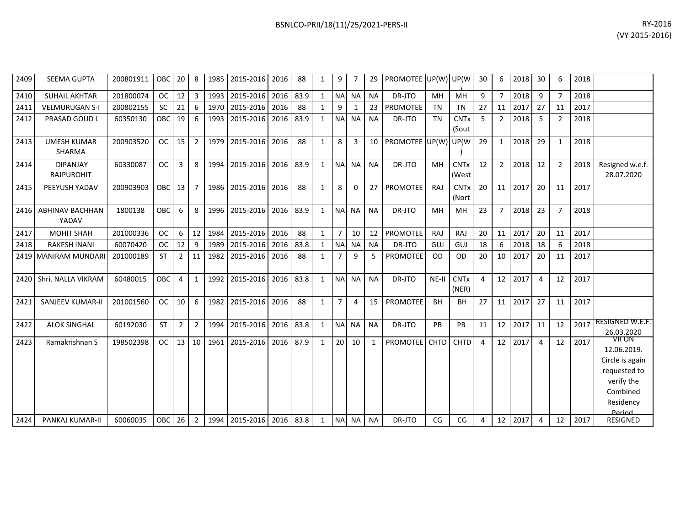| 2409 | <b>SEEMA GUPTA</b>                   | 200801911 | <b>OBC</b> | 20             | 8              | 1985 | 2015-2016 2016           |           | 88   | 1            | 9              |              | 29           | PROMOTEE UP(W) UP(W) |             |                                 | 30             | 6              | 2018 | 30             | 6              | 2018 |                                                                                                          |
|------|--------------------------------------|-----------|------------|----------------|----------------|------|--------------------------|-----------|------|--------------|----------------|--------------|--------------|----------------------|-------------|---------------------------------|----------------|----------------|------|----------------|----------------|------|----------------------------------------------------------------------------------------------------------|
| 2410 | <b>SUHAIL AKHTAR</b>                 | 201800074 | OC         | 12             | $\overline{3}$ | 1993 | 2015-2016 2016           |           | 83.9 | $\mathbf{1}$ | <b>NA</b>      | <b>NA</b>    | <b>NA</b>    | DR-JTO               | MH          | MH                              | 9              | $\overline{7}$ | 2018 | 9              | $\overline{7}$ | 2018 |                                                                                                          |
| 2411 | <b>VELMURUGAN S-I</b>                | 200802155 | <b>SC</b>  | 21             | 6              | 1970 | 2015-2016                | 2016      | 88   | $\mathbf{1}$ | 9              | $\mathbf{1}$ | 23           | <b>PROMOTEE</b>      | <b>TN</b>   | <b>TN</b>                       | 27             | 11             | 2017 | 27             | 11             | 2017 |                                                                                                          |
| 2412 | <b>PRASAD GOUD L</b>                 | 60350130  | OBC        | 19             | 6              | 1993 | 2015-2016                | 2016 83.9 |      | $\mathbf{1}$ | <b>NA</b>      | <b>NA</b>    | <b>NA</b>    | DR-JTO               | <b>TN</b>   | <b>CNT<sub>x</sub></b><br>(Sout | 5 <sup>1</sup> | $\overline{2}$ | 2018 | 5              | $\overline{2}$ | 2018 |                                                                                                          |
| 2413 | <b>UMESH KUMAR</b><br><b>SHARMA</b>  | 200903520 | <b>OC</b>  | 15             | $\overline{2}$ | 1979 | 2015-2016 2016           |           | 88   | 1            | 8              | 3            | 10           | PROMOTEE UP(W)       |             | UP(W                            | 29             | $\mathbf{1}$   | 2018 | 29             | 1              | 2018 |                                                                                                          |
| 2414 | <b>DIPANJAY</b><br><b>RAJPUROHIT</b> | 60330087  | <b>OC</b>  | 3              | 8              | 1994 | 2015-2016 2016 83.9      |           |      | $\mathbf{1}$ | <b>NA</b>      | <b>NA</b>    | <b>NA</b>    | DR-JTO               | MH          | <b>CNTx</b><br>(West            | 12             | $2^{\circ}$    | 2018 | 12             | $\overline{2}$ | 2018 | Resigned w.e.f.<br>28.07.2020                                                                            |
| 2415 | PEEYUSH YADAV                        | 200903903 | OBC 13     |                | $\overline{7}$ | 1986 | 2015-2016 2016           |           | 88   | $\mathbf{1}$ | 8              | 0            | 27           | <b>PROMOTEE</b>      | RAJ         | <b>CNT<sub>x</sub></b><br>(Nort | 20             | 11             | 2017 | 20             | 11             | 2017 |                                                                                                          |
| 2416 | <b>ABHINAV BACHHAN</b><br>YADAV      | 1800138   | OBC        | 6              | 8              | 1996 | 2015-2016 2016           |           | 83.9 | $\mathbf{1}$ | <b>NA</b>      | NA           | <b>NA</b>    | DR-JTO               | MH          | MH                              | 23             | $\overline{7}$ | 2018 | 23             | $\overline{7}$ | 2018 |                                                                                                          |
| 2417 | <b>MOHIT SHAH</b>                    | 201000336 | <b>OC</b>  | 6              | 12             | 1984 | 2015-2016                | 2016      | 88   | $\mathbf{1}$ | $\overline{7}$ | 10           | 12           | <b>PROMOTEE</b>      | RAJ         | <b>RAJ</b>                      | 20             | 11             | 2017 | 20             | 11             | 2017 |                                                                                                          |
| 2418 | <b>RAKESH INANI</b>                  | 60070420  | <b>OC</b>  | 12             | 9              | 1989 | 2015-2016                | 2016      | 83.8 | 1            | <b>NA</b>      | <b>NA</b>    | <b>NA</b>    | DR-JTO               | GUJ         | GUJ                             | 18             | 6              | 2018 | 18             | 6              | 2018 |                                                                                                          |
|      | 2419 MANIRAM MUNDARI                 | 201000189 | <b>ST</b>  | $\overline{2}$ | 11             | 1982 | 2015-2016                | 2016      | 88   | $\mathbf{1}$ | $\overline{7}$ | 9            | 5            | <b>PROMOTEE</b>      | <b>OD</b>   | <b>OD</b>                       | 20             | 10             | 2017 | 20             | 11             | 2017 |                                                                                                          |
| 2420 | Shri, NALLA VIKRAM                   | 60480015  | OBC        | 4              | 1              | 1992 | 2015-2016 2016           |           | 83.8 | $\mathbf{1}$ | <b>NA</b>      | <b>NA</b>    | <b>NA</b>    | DR-JTO               | NE-II       | <b>CNTx</b><br>(NER)            | $\overline{4}$ | 12             | 2017 | 4              | 12             | 2017 |                                                                                                          |
| 2421 | <b>SANJEEV KUMAR-II</b>              | 201001560 | <b>OC</b>  | 10             | 6              | 1982 | 2015-2016                | 2016      | 88   | $\mathbf{1}$ | $\overline{7}$ | 4            | 15           | <b>PROMOTEE</b>      | <b>BH</b>   | <b>BH</b>                       | 27             | 11             | 2017 | 27             | 11             | 2017 |                                                                                                          |
| 2422 | <b>ALOK SINGHAL</b>                  | 60192030  | <b>ST</b>  | 2              | $\overline{2}$ | 1994 | 2015-2016                | 2016      | 83.8 | $\mathbf{1}$ | <b>NA</b>      | <b>NA</b>    | <b>NA</b>    | DR-JTO               | PB          | PB                              | 11             | 12             | 2017 | 11             | 12             | 2017 | <b>RESIGNED W.E.F.</b><br>26.03.2020                                                                     |
| 2423 | Ramakrishnan S                       | 198502398 | <b>OC</b>  | 13             | 10             | 1961 | 2015-2016 2016 87.9      |           |      | $\mathbf{1}$ | 20             | 10           | $\mathbf{1}$ | <b>PROMOTEE</b>      | <b>CHTD</b> | <b>CHTD</b>                     | $\overline{4}$ | 12             | 2017 | $\overline{a}$ | 12             | 2017 | VR ON<br>12.06.2019.<br>Circle is again<br>requested to<br>verify the<br>Combined<br>Residency<br>Period |
| 2424 | PANKAJ KUMAR-II                      | 60060035  | OBC 26     |                | $\overline{2}$ |      | 1994 2015-2016 2016 83.8 |           |      | 1            |                | NA NA        | <b>NA</b>    | DR-JTO               | CG          | CG                              | 4              | 12             | 2017 | 4              | 12             | 2017 | RESIGNED                                                                                                 |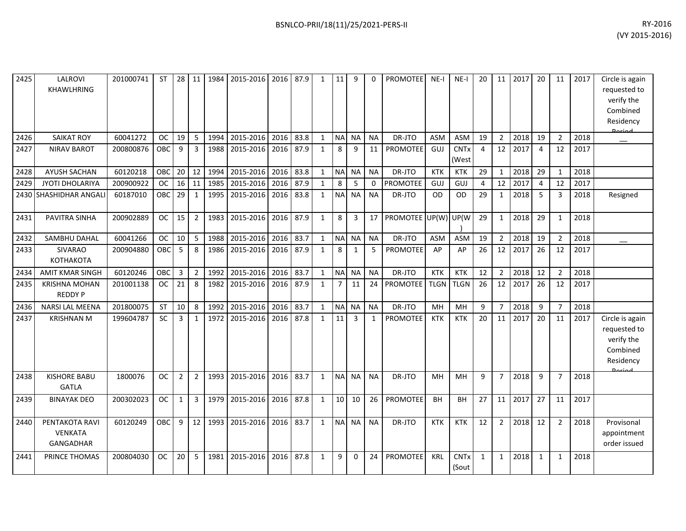| 2425 | LALROVI<br><b>KHAWLHRING</b>                         | 201000741 | <b>ST</b> | 28             | 11             | 1984 | 2015-2016 | 2016 | 87.9 | 1            | 11              | 9              | 0         | <b>PROMOTEE</b> | $NE-I$      | $NE-I$               | 20             | 11             | 2017 | 20             | 11             | 2017 | Circle is again<br>requested to<br>verify the<br>Combined<br>Residency |
|------|------------------------------------------------------|-----------|-----------|----------------|----------------|------|-----------|------|------|--------------|-----------------|----------------|-----------|-----------------|-------------|----------------------|----------------|----------------|------|----------------|----------------|------|------------------------------------------------------------------------|
| 2426 | <b>SAIKAT ROY</b>                                    | 60041272  | <b>OC</b> | 19             | 5              | 1994 | 2015-2016 | 2016 | 83.8 | $\mathbf{1}$ | <b>NA</b>       | <b>NA</b>      | <b>NA</b> | DR-JTO          | <b>ASM</b>  | ASM                  | 19             | $\overline{2}$ | 2018 | 19             | $\overline{2}$ | 2018 |                                                                        |
| 2427 | <b>NIRAV BAROT</b>                                   | 200800876 | OBC       | 9              | 3              | 1988 | 2015-2016 | 2016 | 87.9 | $\mathbf{1}$ | 8               | 9              | 11        | PROMOTEE        | GUJ         | <b>CNTx</b><br>(West | $\overline{4}$ | 12             | 2017 | $\overline{4}$ | 12             | 2017 |                                                                        |
| 2428 | <b>AYUSH SACHAN</b>                                  | 60120218  | OBC       | 20             | 12             | 1994 | 2015-2016 | 2016 | 83.8 | $\mathbf{1}$ | <b>NA</b>       | <b>NA</b>      | <b>NA</b> | DR-JTO          | <b>KTK</b>  | KTK                  | 29             | $\mathbf{1}$   | 2018 | 29             | $\mathbf{1}$   | 2018 |                                                                        |
| 2429 | JYOTI DHOLARIYA                                      | 200900922 | <b>OC</b> | 16             | 11             | 1985 | 2015-2016 | 2016 | 87.9 | $\mathbf{1}$ | 8               | 5              | 0         | PROMOTEE        | GUJ         | GUJ                  | 4              | 12             | 2017 | $\overline{4}$ | 12             | 2017 |                                                                        |
| 2430 | SHASHIDHAR ANGALI                                    | 60187010  | OBC       | 29             | $\mathbf{1}$   | 1995 | 2015-2016 | 2016 | 83.8 | $\mathbf{1}$ | <b>NA</b>       | <b>NA</b>      | <b>NA</b> | DR-JTO          | <b>OD</b>   | <b>OD</b>            | 29             | $\mathbf{1}$   | 2018 | -5             | 3              | 2018 | Resigned                                                               |
| 2431 | PAVITRA SINHA                                        | 200902889 | <b>OC</b> | 15             | $\overline{2}$ | 1983 | 2015-2016 | 2016 | 87.9 | $\mathbf{1}$ | 8               | 3              | 17        | PROMOTEE UP(W)  |             | UP(W                 | 29             | $\mathbf{1}$   | 2018 | 29             | $\mathbf 1$    | 2018 |                                                                        |
| 2432 | SAMBHU DAHAL                                         | 60041266  | <b>OC</b> | 10             | 5              | 1988 | 2015-2016 | 2016 | 83.7 | $\mathbf{1}$ | <b>NA</b>       | <b>NA</b>      | <b>NA</b> | DR-JTO          | <b>ASM</b>  | <b>ASM</b>           | 19             | $\overline{2}$ | 2018 | 19             | $\overline{2}$ | 2018 |                                                                        |
| 2433 | SIVARAO<br><b>КОТНАКОТА</b>                          | 200904880 | OBC       | 5              | 8              | 1986 | 2015-2016 | 2016 | 87.9 | $\mathbf{1}$ | 8               | $\mathbf{1}$   | 5         | PROMOTEE        | AP          | AP                   | 26             | 12             | 2017 | 26             | 12             | 2017 |                                                                        |
| 2434 | <b>AMIT KMAR SINGH</b>                               | 60120246  | OBC       | $\overline{3}$ | $\overline{2}$ | 1992 | 2015-2016 | 2016 | 83.7 | $\mathbf{1}$ | <b>NA</b>       | <b>NA</b>      | <b>NA</b> | DR-JTO          | <b>KTK</b>  | <b>KTK</b>           | 12             | $\overline{2}$ | 2018 | 12             | $\overline{2}$ | 2018 |                                                                        |
| 2435 | <b>KRISHNA MOHAN</b><br><b>REDDY P</b>               | 201001138 | <b>OC</b> | 21             | 8              | 1982 | 2015-2016 | 2016 | 87.9 | $\mathbf{1}$ | $\overline{7}$  | 11             | 24        | <b>PROMOTEE</b> | <b>TLGN</b> | <b>TLGN</b>          | 26             | 12             | 2017 | 26             | 12             | 2017 |                                                                        |
| 2436 | <b>NARSI LAL MEENA</b>                               | 201800075 | ST        | 10             | 8              | 1992 | 2015-2016 | 2016 | 83.7 | $\mathbf{1}$ |                 | NA NA          | <b>NA</b> | DR-JTO          | MH          | <b>MH</b>            | $\overline{9}$ | $\overline{7}$ | 2018 | $\overline{9}$ | $\overline{7}$ | 2018 |                                                                        |
| 2437 | <b>KRISHNAN M</b>                                    | 199604787 | <b>SC</b> | 3              | $\mathbf{1}$   | 1972 | 2015-2016 | 2016 | 87.8 | $\mathbf{1}$ | 11              | $\overline{3}$ | 1         | <b>PROMOTEE</b> | <b>KTK</b>  | <b>KTK</b>           | 20             | 11             | 2017 | 20             | 11             | 2017 | Circle is again<br>requested to<br>verify the<br>Combined<br>Residency |
| 2438 | <b>KISHORE BABU</b><br><b>GATLA</b>                  | 1800076   | <b>OC</b> | $\overline{2}$ | $\overline{2}$ | 1993 | 2015-2016 | 2016 | 83.7 | $\mathbf{1}$ | <b>NA</b>       | <b>NA</b>      | <b>NA</b> | DR-JTO          | MH          | MH                   | 9              | $\overline{7}$ | 2018 | 9              | $\overline{7}$ | 2018 |                                                                        |
| 2439 | <b>BINAYAK DEO</b>                                   | 200302023 | <b>OC</b> | 1              | $\overline{3}$ | 1979 | 2015-2016 | 2016 | 87.8 | $\mathbf{1}$ | 10 <sup>1</sup> | 10             | 26        | <b>PROMOTEE</b> | <b>BH</b>   | BH                   | 27             | 11             | 2017 | 27             | 11             | 2017 |                                                                        |
| 2440 | PENTAKOTA RAVI<br><b>VENKATA</b><br><b>GANGADHAR</b> | 60120249  | OBC       | 9              | 12             | 1993 | 2015-2016 | 2016 | 83.7 | $\mathbf{1}$ | <b>NA</b>       | <b>NA</b>      | <b>NA</b> | DR-JTO          | <b>KTK</b>  | <b>KTK</b>           | 12             | $\overline{2}$ | 2018 | 12             | $\overline{2}$ | 2018 | Provisonal<br>appointment<br>order issued                              |
| 2441 | PRINCE THOMAS                                        | 200804030 | <b>OC</b> | 20             | 5              | 1981 | 2015-2016 | 2016 | 87.8 | $\mathbf{1}$ | 9               | 0              | 24        | PROMOTEE        | KRL         | <b>CNTx</b><br>(Sout | 1              | $\mathbf{1}$   | 2018 | $\mathbf{1}$   | $\mathbf 1$    | 2018 |                                                                        |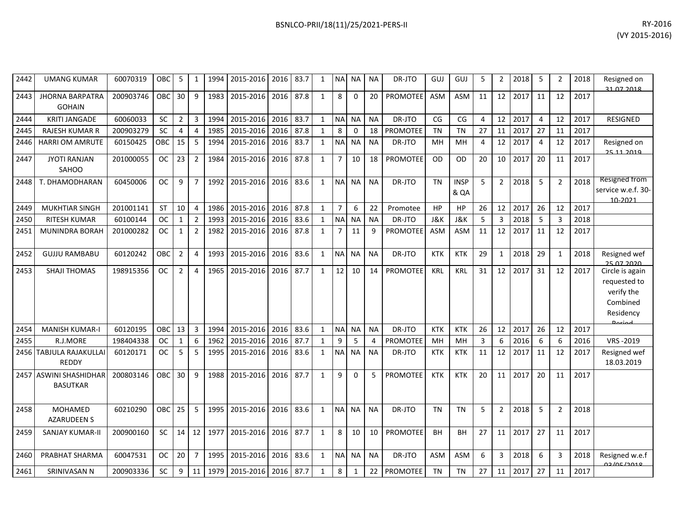| 2442 | <b>UMANG KUMAR</b>                        | 60070319  | OBC        | 5              | $\mathbf{1}$   | 1994 | 2015-2016 | 2016 | 83.7 | $\mathbf{1}$ | <b>NA</b>      | <b>NA</b>    | <b>NA</b> | DR-JTO          | GUJ        | GUJ                 | 5  | 2              | 2018 | 5              | $\overline{2}$ | 2018 | Resigned on<br>31 07 2018                                                               |
|------|-------------------------------------------|-----------|------------|----------------|----------------|------|-----------|------|------|--------------|----------------|--------------|-----------|-----------------|------------|---------------------|----|----------------|------|----------------|----------------|------|-----------------------------------------------------------------------------------------|
| 2443 | <b>JHORNA BARPATRA</b><br><b>GOHAIN</b>   | 200903746 | OBC        | 30             | 9              | 1983 | 2015-2016 | 2016 | 87.8 | $\mathbf{1}$ | 8              | $\Omega$     | 20        | <b>PROMOTEE</b> | <b>ASM</b> | ASM                 | 11 | 12             | 2017 | 11             | 12             | 2017 |                                                                                         |
| 2444 | <b>KRITI JANGADE</b>                      | 60060033  | <b>SC</b>  | $\overline{2}$ | 3              | 1994 | 2015-2016 | 2016 | 83.7 | $\mathbf{1}$ | <b>NA</b>      | <b>NA</b>    | <b>NA</b> | DR-JTO          | CG         | CG                  | 4  | 12             | 2017 | $\overline{4}$ | 12             | 2017 | <b>RESIGNED</b>                                                                         |
| 2445 | <b>RAJESH KUMAR R</b>                     | 200903279 | SC         | 4              | $\overline{4}$ | 1985 | 2015-2016 | 2016 | 87.8 | $\mathbf{1}$ | 8              | $\mathbf 0$  | 18        | <b>PROMOTEE</b> | <b>TN</b>  | <b>TN</b>           | 27 | 11             | 2017 | 27             | 11             | 2017 |                                                                                         |
| 2446 | <b>HARRI OM AMRUTE</b>                    | 60150425  | <b>OBC</b> | 15             | 5              | 1994 | 2015-2016 | 2016 | 83.7 | $\mathbf{1}$ | <b>NA</b>      | <b>NA</b>    | <b>NA</b> | DR-JTO          | MH         | MH                  | 4  | 12             | 2017 | $\overline{4}$ | 12             | 2017 | Resigned on<br>25.11.2010                                                               |
| 2447 | <b>JYOTI RANJAN</b><br>SAHOO              | 201000055 | <b>OC</b>  | 23             | $\overline{2}$ | 1984 | 2015-2016 | 2016 | 87.8 | $\mathbf{1}$ | $\overline{7}$ | 10           | 18        | <b>PROMOTEE</b> | <b>OD</b>  | <b>OD</b>           | 20 | 10             | 2017 | 20             | 11             | 2017 |                                                                                         |
| 2448 | T. DHAMODHARAN                            | 60450006  | <b>OC</b>  | 9              | $\overline{7}$ | 1992 | 2015-2016 | 2016 | 83.6 | $\mathbf{1}$ | <b>NA</b>      | <b>NA</b>    | <b>NA</b> | DR-JTO          | <b>TN</b>  | <b>INSP</b><br>& QA | 5  | $\overline{2}$ | 2018 | 5              | 2              | 2018 | Resigned from<br>service w.e.f. 30-<br>10-2021                                          |
| 2449 | <b>MUKHTIAR SINGH</b>                     | 201001141 | <b>ST</b>  | 10             | $\overline{4}$ | 1986 | 2015-2016 | 2016 | 87.8 | $\mathbf{1}$ | $\overline{7}$ | 6            | 22        | Promotee        | <b>HP</b>  | HP                  | 26 | 12             | 2017 | 26             | 12             | 2017 |                                                                                         |
| 2450 | <b>RITESH KUMAR</b>                       | 60100144  | <b>OC</b>  | 1              | $\overline{2}$ | 1993 | 2015-2016 | 2016 | 83.6 | $\mathbf{1}$ | <b>NA</b>      | <b>NA</b>    | <b>NA</b> | DR-JTO          | J&K        | <b>J&amp;K</b>      | 5  | 3              | 2018 | -5             | 3              | 2018 |                                                                                         |
| 2451 | <b>MUNINDRA BORAH</b>                     | 201000282 | <b>OC</b>  | 1              | $\overline{2}$ | 1982 | 2015-2016 | 2016 | 87.8 | $\mathbf{1}$ | $\overline{7}$ | 11           | 9         | PROMOTEE        | <b>ASM</b> | <b>ASM</b>          | 11 | 12             | 2017 | 11             | 12             | 2017 |                                                                                         |
| 2452 | <b>GUJJU RAMBABU</b>                      | 60120242  | OBC        | $\overline{2}$ | $\overline{4}$ | 1993 | 2015-2016 | 2016 | 83.6 | $\mathbf{1}$ | N <sub>A</sub> | <b>NA</b>    | <b>NA</b> | DR-JTO          | <b>KTK</b> | <b>KTK</b>          | 29 | $\mathbf{1}$   | 2018 | 29             | 1              | 2018 | Resigned wef<br>מכחב דח פכ                                                              |
| 2453 | <b>SHAJI THOMAS</b>                       | 198915356 | <b>OC</b>  | $\overline{2}$ | $\overline{4}$ | 1965 | 2015-2016 | 2016 | 87.7 | $\mathbf{1}$ | 12             | 10           | 14        | <b>PROMOTEE</b> | KRL        | <b>KRL</b>          | 31 | 12             | 2017 | 31             | 12             | 2017 | Circle is again<br>requested to<br>verify the<br>Combined<br>Residency<br><b>Doriad</b> |
| 2454 | <b>MANISH KUMAR-I</b>                     | 60120195  | OBC        | 13             | 3              | 1994 | 2015-2016 | 2016 | 83.6 | $\mathbf{1}$ | <b>NA</b>      | <b>NA</b>    | <b>NA</b> | DR-JTO          | <b>KTK</b> | <b>KTK</b>          | 26 | 12             | 2017 | 26             | 12             | 2017 |                                                                                         |
| 2455 | R.J.MORE                                  | 198404338 | <b>OC</b>  | $\mathbf{1}$   | 6              | 1962 | 2015-2016 | 2016 | 87.7 | $\mathbf{1}$ | 9              | 5            | 4         | <b>PROMOTEE</b> | MH         | MH                  | 3  | 6              | 2016 | 6              | 6              | 2016 | VRS-2019                                                                                |
| 2456 | TABJULA RAJAKULLAI<br><b>REDDY</b>        | 60120171  | <b>OC</b>  | 5              | 5              | 1995 | 2015-2016 | 2016 | 83.6 | $\mathbf{1}$ | <b>NA</b>      | <b>NA</b>    | <b>NA</b> | DR-JTO          | <b>KTK</b> | <b>KTK</b>          | 11 | 12             | 2017 | 11             | 12             | 2017 | Resigned wef<br>18.03.2019                                                              |
|      | 2457 ASWINI SHASHIDHAR<br><b>BASUTKAR</b> | 200803146 | OBC        | 30             | 9              | 1988 | 2015-2016 | 2016 | 87.7 | $\mathbf{1}$ | 9              | $\Omega$     | 5         | <b>PROMOTEE</b> | <b>KTK</b> | <b>KTK</b>          | 20 | 11             | 2017 | 20             | 11             | 2017 |                                                                                         |
| 2458 | <b>MOHAMED</b><br><b>AZARUDEEN S</b>      | 60210290  | OBC        | 25             | 5              | 1995 | 2015-2016 | 2016 | 83.6 | $\mathbf{1}$ | <b>NA</b>      | <b>NA</b>    | <b>NA</b> | DR-JTO          | <b>TN</b>  | <b>TN</b>           | 5  | $\overline{2}$ | 2018 | 5              | $\mathfrak{p}$ | 2018 |                                                                                         |
| 2459 | <b>SANJAY KUMAR-II</b>                    | 200900160 | <b>SC</b>  | 14             | 12             | 1977 | 2015-2016 | 2016 | 87.7 | $\mathbf{1}$ | 8              | 10           | 10        | <b>PROMOTEE</b> | <b>BH</b>  | BH                  | 27 | 11             | 2017 | 27             | 11             | 2017 |                                                                                         |
| 2460 | PRABHAT SHARMA                            | 60047531  | <b>OC</b>  | 20             | $\overline{7}$ | 1995 | 2015-2016 | 2016 | 83.6 | $\mathbf{1}$ | <b>NA</b>      | <b>NA</b>    | <b>NA</b> | DR-JTO          | <b>ASM</b> | <b>ASM</b>          | 6  | 3              | 2018 | 6              | 3              | 2018 | Resigned w.e.f<br>02/05/2010                                                            |
| 2461 | SRINIVASAN N                              | 200903336 | <b>SC</b>  | 9              | 11             | 1979 | 2015-2016 | 2016 | 87.7 | $\mathbf{1}$ | 8              | $\mathbf{1}$ | 22        | PROMOTEE        | <b>TN</b>  | <b>TN</b>           | 27 | 11             | 2017 | 27             | 11             | 2017 |                                                                                         |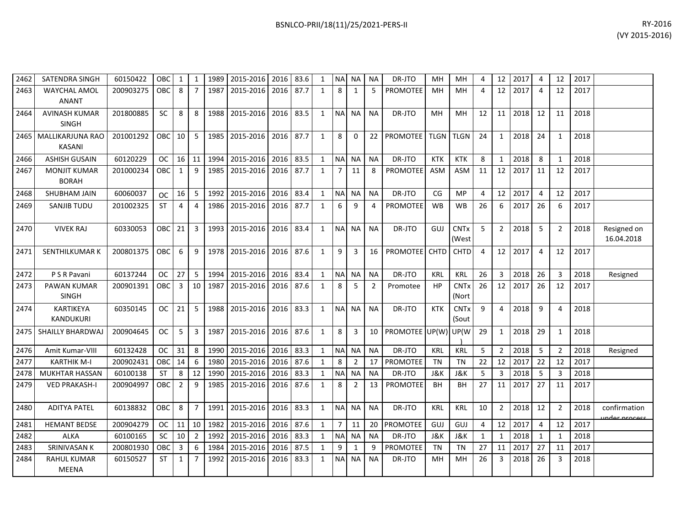| 2462 | <b>SATENDRA SINGH</b>                    | 60150422  | OBC        | $\mathbf{1}$   | $\mathbf{1}$   | 1989   | 2015-2016      | 2016 | 83.6 | 1            | <b>NA</b>      | NА             | <b>NA</b>      | DR-JTO          | MH          | MH                              | 4  | 12             | 2017 | 4              | 12             | 2017 |                               |
|------|------------------------------------------|-----------|------------|----------------|----------------|--------|----------------|------|------|--------------|----------------|----------------|----------------|-----------------|-------------|---------------------------------|----|----------------|------|----------------|----------------|------|-------------------------------|
| 2463 | <b>WAYCHAL AMOL</b><br><b>ANANT</b>      | 200903275 | OBC        | 8              | $\overline{7}$ | 1987   | 2015-2016      | 2016 | 87.7 | $\mathbf{1}$ | 8              | 1              | 5              | <b>PROMOTEE</b> | MН          | MH                              | 4  | 12             | 2017 | 4              | 12             | 2017 |                               |
| 2464 | <b>AVINASH KUMAR</b><br><b>SINGH</b>     | 201800885 | <b>SC</b>  | 8              | 8              | 1988   | 2015-2016      | 2016 | 83.5 | $\mathbf{1}$ | <b>NA</b>      | <b>NA</b>      | <b>NA</b>      | DR-JTO          | MH          | MН                              | 12 | 11             | 2018 | 12             | 11             | 2018 |                               |
| 2465 | <b>MALLIKARJUNA RAO</b><br><b>KASANI</b> | 201001292 | <b>OBC</b> | 10             | 5              |        | 1985 2015-2016 | 2016 | 87.7 | $\mathbf{1}$ | 8              | 0              | 22             | <b>PROMOTEE</b> | <b>TLGN</b> | <b>TLGN</b>                     | 24 | $\mathbf{1}$   | 2018 | 24             | $\mathbf{1}$   | 2018 |                               |
| 2466 | <b>ASHISH GUSAIN</b>                     | 60120229  | <b>OC</b>  | 16             | 11             | 1994   | 2015-2016      | 2016 | 83.5 | $\mathbf{1}$ | N <sub>A</sub> | <b>NA</b>      | <b>NA</b>      | DR-JTO          | <b>KTK</b>  | <b>KTK</b>                      | 8  | 1              | 2018 | 8              | $\mathbf{1}$   | 2018 |                               |
| 2467 | <b>MONJIT KUMAR</b><br><b>BORAH</b>      | 201000234 | OBC        | 1              | 9              | 1985   | 2015-2016      | 2016 | 87.7 | $\mathbf{1}$ | 7              | 11             | 8              | <b>PROMOTEE</b> | <b>ASM</b>  | <b>ASM</b>                      | 11 | 12             | 2017 | 11             | 12             | 2017 |                               |
| 2468 | SHUBHAM JAIN                             | 60060037  | <b>OC</b>  | 16             | 5              | 1992   | 2015-2016      | 2016 | 83.4 | $\mathbf{1}$ | <b>NA</b>      | <b>NA</b>      | <b>NA</b>      | DR-JTO          | CG          | <b>MP</b>                       | 4  | 12             | 2017 | $\overline{4}$ | 12             | 2017 |                               |
| 2469 | SANJIB TUDU                              | 201002325 | <b>ST</b>  | 4              | 4              | 1986   | 2015-2016      | 2016 | 87.7 | $\mathbf{1}$ | 6              | 9              | 4              | <b>PROMOTEE</b> | <b>WB</b>   | WB                              | 26 | 6              | 2017 | 26             | 6              | 2017 |                               |
| 2470 | <b>VIVEK RAJ</b>                         | 60330053  | OBC        | 21             | 3              | 1993 L | 2015-2016      | 2016 | 83.4 | $\mathbf{1}$ | <b>NA</b>      | <b>NA</b>      | <b>NA</b>      | DR-JTO          | GUJ         | <b>CNTx</b><br>(West            | 5  | $\overline{2}$ | 2018 | -5             | $\overline{2}$ | 2018 | Resigned on<br>16.04.2018     |
| 2471 | SENTHILKUMAR K                           | 200801375 | OBC        | 6              | 9              |        | 1978 2015-2016 | 2016 | 87.6 | 1            | 9              | 3              | 16             | <b>PROMOTEE</b> | <b>CHTD</b> | <b>CHTD</b>                     | 4  | 12             | 2017 | 4              | 12             | 2017 |                               |
| 2472 | P S R Pavani                             | 60137244  | <b>OC</b>  | 27             | 5              | 1994   | 2015-2016      | 2016 | 83.4 | $\mathbf{1}$ | <b>NA</b>      | <b>NA</b>      | <b>NA</b>      | DR-JTO          | <b>KRL</b>  | <b>KRL</b>                      | 26 | 3              | 2018 | 26             | 3              | 2018 | Resigned                      |
| 2473 | PAWAN KUMAR<br><b>SINGH</b>              | 200901391 | OBC        | 3              | 10             | 1987   | 2015-2016      | 2016 | 87.6 | $\mathbf{1}$ | 8              | 5              | $\overline{2}$ | Promotee        | HP          | <b>CNT<sub>x</sub></b><br>(Nort | 26 | 12             | 2017 | 26             | 12             | 2017 |                               |
| 2474 | <b>KARTIKEYA</b><br><b>KANDUKURI</b>     | 60350145  | OC.        | 21             | 5              | 1988   | 2015-2016      | 2016 | 83.3 | $\mathbf{1}$ | <b>NA</b>      | <b>NA</b>      | <b>NA</b>      | DR-JTO          | <b>KTK</b>  | <b>CNT<sub>x</sub></b><br>(Sout | 9  | 4              | 2018 | 9              | 4              | 2018 |                               |
| 2475 | <b>SHAILLY BHARDWAJ</b>                  | 200904645 | <b>OC</b>  | 5              | 3              | 1987   | 2015-2016      | 2016 | 87.6 | $\mathbf{1}$ | 8              | 3              | 10             | PROMOTEE UP(W)  |             | UP(W                            | 29 | 1              | 2018 | 29             | $\mathbf{1}$   | 2018 |                               |
| 2476 | Amit Kumar-VIII                          | 60132428  | <b>OC</b>  | 31             | 8              | 1990   | 2015-2016      | 2016 | 83.3 | $\mathbf{1}$ | <b>NA</b>      | <b>NA</b>      | <b>NA</b>      | DR-JTO          | <b>KRL</b>  | KRL                             | 5  | $\overline{2}$ | 2018 | -5             | $\overline{2}$ | 2018 | Resigned                      |
| 2477 | <b>KARTHIK M-I</b>                       | 200902431 | OBC        | -14            | 6              | 1980   | 2015-2016      | 2016 | 87.6 | 1            | 8              | $\overline{2}$ | 17             | PROMOTEE        | <b>TN</b>   | TN                              | 22 | 12             | 2017 | 22             | 12             | 2017 |                               |
| 2478 | <b>MUKHTAR HASSAN</b>                    | 60100138  | <b>ST</b>  | 8              | 12             | 1990   | 2015-2016      | 2016 | 83.3 | $\mathbf{1}$ | <b>NA</b>      | <b>NA</b>      | <b>NA</b>      | DR-JTO          | J&K         | J&K                             | 5  | 3              | 2018 | 5              | 3              | 2018 |                               |
| 2479 | <b>VED PRAKASH-I</b>                     | 200904997 | OBC        | $\overline{2}$ | 9              | 1985   | 2015-2016      | 2016 | 87.6 | $\mathbf{1}$ | 8              | $\overline{2}$ | 13             | <b>PROMOTEE</b> | BH          | BН                              | 27 | 11             | 2017 | 27             | 11             | 2017 |                               |
| 2480 | <b>ADITYA PATEL</b>                      | 60138832  | OBC        | 8              | $\overline{7}$ | 1991   | 2015-2016      | 2016 | 83.3 | $\mathbf{1}$ | <b>NA</b>      | NA             | NA             | DR-JTO          | KRL         | <b>KRL</b>                      | 10 | $\overline{2}$ | 2018 | 12             | 2              | 2018 | confirmation<br>under process |
| 2481 | <b>HEMANT BEDSE</b>                      | 200904279 | <b>OC</b>  | 11             | 10             | 1982   | 2015-2016      | 2016 | 87.6 | $\mathbf{1}$ | $7^{\circ}$    | 11             | 20             | PROMOTEE        | GUJ         | GUJ                             | 4  | 12             | 2017 | 4              | 12             | 2017 |                               |
| 2482 | <b>ALKA</b>                              | 60100165  | <b>SC</b>  | 10             | $\overline{2}$ | 1992   | 2015-2016      | 2016 | 83.3 | $\mathbf{1}$ | N <sub>A</sub> | NA             | <b>NA</b>      | DR-JTO          | J&K         | J&K                             | 1  | 1              | 2018 | 1              | 1              | 2018 |                               |
| 2483 | <b>SRINIVASAN K</b>                      | 200801930 | OBC        | 3              | 6              | 1984   | 2015-2016      | 2016 | 87.5 | $\mathbf{1}$ | 9              | 1              | 9              | <b>PROMOTEE</b> | <b>TN</b>   | TN                              | 27 | 11             | 2017 | 27             | 11             | 2017 |                               |
| 2484 | <b>RAHUL KUMAR</b><br><b>MEENA</b>       | 60150527  | <b>ST</b>  | 1              | 7              | 1992   | 2015-2016      | 2016 | 83.3 | 1            | <b>NA</b>      | NА             | <b>NA</b>      | DR-JTO          | MН          | MН                              | 26 | 3              | 2018 | 26             | 3              | 2018 |                               |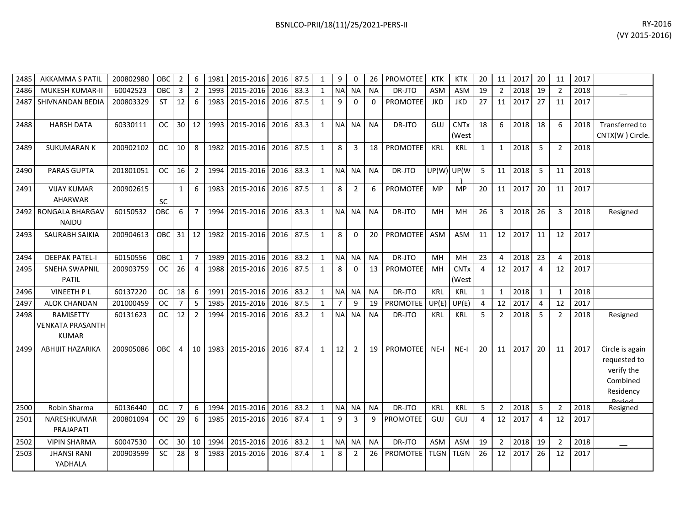| RY-2016                                                                                                                                                                                                                                                                                                                                                                                                                                                                                                                                                                                              | BSNLCO-PRII/18(11)/25/2021-PERS-II |
|------------------------------------------------------------------------------------------------------------------------------------------------------------------------------------------------------------------------------------------------------------------------------------------------------------------------------------------------------------------------------------------------------------------------------------------------------------------------------------------------------------------------------------------------------------------------------------------------------|------------------------------------|
| $\left\langle$ $\left\langle \right\rangle$ $\left\langle \right\rangle$ $\left\langle \right\rangle$ $\left\langle \right\rangle$ $\left\langle \right\rangle$ $\left\langle \right\rangle$ $\left\langle \right\rangle$ $\left\langle \right\rangle$ $\left\langle \right\rangle$ $\left\langle \right\rangle$ $\left\langle \right\rangle$ $\left\langle \right\rangle$ $\left\langle \right\rangle$ $\left\langle \right\rangle$ $\left\langle \right\rangle$ $\left\langle \right\rangle$ $\left\langle \right\rangle$ $\left\langle \right\rangle$ $\left\langle \right\rangle$ $\left\langle$ |                                    |

| 2485 | <b>AKKAMMA S PATIL</b>                                      | 200802980 | OBC           | $\overline{2}$  | 6               | 1981 | 2015-2016 | 2016      | 87.5 | $\mathbf{1}$ | 9              | 0              | 26        | <b>PROMOTEE</b> | <b>KTK</b>  | <b>KTK</b>           | 20             | 11             | 2017 | 20             | 11             | 2017 |                                                                        |
|------|-------------------------------------------------------------|-----------|---------------|-----------------|-----------------|------|-----------|-----------|------|--------------|----------------|----------------|-----------|-----------------|-------------|----------------------|----------------|----------------|------|----------------|----------------|------|------------------------------------------------------------------------|
| 2486 | MUKESH KUMAR-II                                             | 60042523  | OBC           | 3               | $\overline{2}$  | 1993 | 2015-2016 | 2016      | 83.3 | 1            | <b>NA</b>      | <b>NA</b>      | <b>NA</b> | DR-JTO          | <b>ASM</b>  | ASM                  | 19             | $\overline{2}$ | 2018 | 19             | $\overline{2}$ | 2018 |                                                                        |
| 2487 | SHIVNANDAN BEDIA                                            | 200803329 | ST            | 12              | - 6             | 1983 | 2015-2016 | 2016      | 87.5 | 1            | 9              | $\Omega$       | $\Omega$  | <b>PROMOTEE</b> | <b>JKD</b>  | <b>JKD</b>           | 27             | 11             | 2017 | 27             | 11             | 2017 |                                                                        |
| 2488 | <b>HARSH DATA</b>                                           | 60330111  | OC.           | 30 <sup>°</sup> | 12 <sup>1</sup> | 1993 | 2015-2016 | 2016      | 83.3 | $\mathbf{1}$ | <b>NA</b>      | <b>NA</b>      | <b>NA</b> | DR-JTO          | GUJ         | <b>CNTx</b><br>(West | 18             | 6              | 2018 | 18             | 6              | 2018 | Transferred to<br>CNTX(W) Circle.                                      |
| 2489 | <b>SUKUMARAN K</b>                                          | 200902102 | <b>OC</b>     | 10              | 8               | 1982 | 2015-2016 | 2016 87.5 |      | 1            | 8              | 3              | 18        | <b>PROMOTEE</b> | <b>KRL</b>  | KRL                  | 1              | 1              | 2018 | 5              | $\overline{2}$ | 2018 |                                                                        |
| 2490 | <b>PARAS GUPTA</b>                                          | 201801051 | OC.           | 16              | $\overline{2}$  | 1994 | 2015-2016 | 2016 83.3 |      | 1            |                | NA NA          | <b>NA</b> | DR-JTO          | UP(W)       | UP(W                 | -5             | 11             | 2018 | 5              | 11             | 2018 |                                                                        |
| 2491 | <b>VIJAY KUMAR</b><br>AHARWAR                               | 200902615 | <b>SC</b>     | $\mathbf{1}$    | 6               | 1983 | 2015-2016 | 2016 87.5 |      | 1            | 8              | $\overline{2}$ | 6         | <b>PROMOTEE</b> | <b>MP</b>   | <b>MP</b>            | 20             | 11             | 2017 | 20             | 11             | 2017 |                                                                        |
| 2492 | RONGALA BHARGAV<br><b>NAIDU</b>                             | 60150532  | <b>OBC</b>    | 6               | $\overline{7}$  | 1994 | 2015-2016 | 2016 83.3 |      | $\mathbf{1}$ | NA NA          |                | <b>NA</b> | DR-JTO          | MН          | MH                   | 26             | 3              | 2018 | 26             | 3              | 2018 | Resigned                                                               |
| 2493 | <b>SAURABH SAIKIA</b>                                       | 200904613 | OBC           | 31              | 12              | 1982 | 2015-2016 | 2016      | 87.5 | $\mathbf{1}$ | 8              | $\Omega$       | 20        | <b>PROMOTEE</b> | <b>ASM</b>  | <b>ASM</b>           | 11             | 12             | 2017 | 11             | 12             | 2017 |                                                                        |
| 2494 | <b>DEEPAK PATEL-I</b>                                       | 60150556  | OBC           | $\mathbf{1}$    | $\overline{7}$  | 1989 | 2015-2016 | 2016      | 83.2 | 1            | <b>NA</b>      | <b>NA</b>      | <b>NA</b> | DR-JTO          | MH          | MH                   | 23             | 4              | 2018 | 23             | $\overline{4}$ | 2018 |                                                                        |
| 2495 | <b>SNEHA SWAPNIL</b><br><b>PATIL</b>                        | 200903759 | <sub>OC</sub> | 26              | $\overline{a}$  | 1988 | 2015-2016 | 2016      | 87.5 | $\mathbf{1}$ | 8              | $\Omega$       | 13        | <b>PROMOTEE</b> | MH          | <b>CNTx</b><br>(West | $\overline{4}$ | 12             | 2017 | $\overline{4}$ | 12             | 2017 |                                                                        |
| 2496 | <b>VINEETH PL</b>                                           | 60137220  | OC.           | 18              | 6               | 1991 | 2015-2016 | 2016      | 83.2 | 1            | <b>NA</b>      | <b>NA</b>      | <b>NA</b> | DR-JTO          | KRL         | KRL                  | 1              | 1              | 2018 | 1              | 1              | 2018 |                                                                        |
| 2497 | <b>ALOK CHANDAN</b>                                         | 201000459 | <b>OC</b>     | $\overline{7}$  | 5               | 1985 | 2015-2016 | 2016      | 87.5 | $\mathbf{1}$ | $\overline{7}$ | 9              | 19        | <b>PROMOTEE</b> | UP(E)       | UP(E)                | $\overline{4}$ | 12             | 2017 | $\overline{4}$ | 12             | 2017 |                                                                        |
| 2498 | <b>RAMISETTY</b><br><b>VENKATA PRASANTH</b><br><b>KUMAR</b> | 60131623  | <b>OC</b>     | 12              | $\overline{2}$  | 1994 | 2015-2016 | 2016      | 83.2 | $\mathbf{1}$ | <b>NA</b>      | <b>NA</b>      | <b>NA</b> | DR-JTO          | KRL         | <b>KRL</b>           | 5              | $\overline{2}$ | 2018 | 5              | $\overline{2}$ | 2018 | Resigned                                                               |
| 2499 | <b>ABHIJIT HAZARIKA</b>                                     | 200905086 | OBC           | $\overline{4}$  | 10 <sup>1</sup> | 1983 | 2015-2016 | 2016      | 87.4 | 1            | 12             | $\overline{2}$ | 19        | <b>PROMOTEE</b> | $NE-I$      | $NE-I$               | 20             | 11             | 2017 | 20             | 11             | 2017 | Circle is again<br>requested to<br>verify the<br>Combined<br>Residency |
| 2500 | Robin Sharma                                                | 60136440  | ОC            | $\overline{7}$  | 6               | 1994 | 2015-2016 | 2016      | 83.2 | 1            | <b>NA</b>      | <b>NA</b>      | <b>NA</b> | DR-JTO          | <b>KRL</b>  | <b>KRL</b>           | 5              | $\overline{2}$ | 2018 | 5              | $\overline{2}$ | 2018 | Resigned                                                               |
| 2501 | NARESHKUMAR<br>PRAJAPATI                                    | 200801094 | OC.           | 29              | - 6             | 1985 | 2015-2016 | 2016      | 87.4 | 1            | 9              | 3              | q         | <b>PROMOTEE</b> | GUJ         | GUJ                  | 4              | 12             | 2017 | $\overline{4}$ | 12             | 2017 |                                                                        |
| 2502 | <b>VIPIN SHARMA</b>                                         | 60047530  | OC.           | 30              | 10 <sup>1</sup> | 1994 | 2015-2016 | 2016      | 83.2 | 1            | <b>NA</b>      | <b>NA</b>      | <b>NA</b> | DR-JTO          | <b>ASM</b>  | ASM                  | 19             | $\overline{2}$ | 2018 | 19             | $\overline{2}$ | 2018 |                                                                        |
| 2503 | <b>JHANSI RANI</b><br>YADHALA                               | 200903599 | <b>SC</b>     | 28              | 8               | 1983 | 2015-2016 | 2016      | 87.4 | 1            | 8              | 2              | 26        | <b>PROMOTEE</b> | <b>TLGN</b> | <b>TLGN</b>          | 26             | 12             | 2017 | 26             | 12             | 2017 |                                                                        |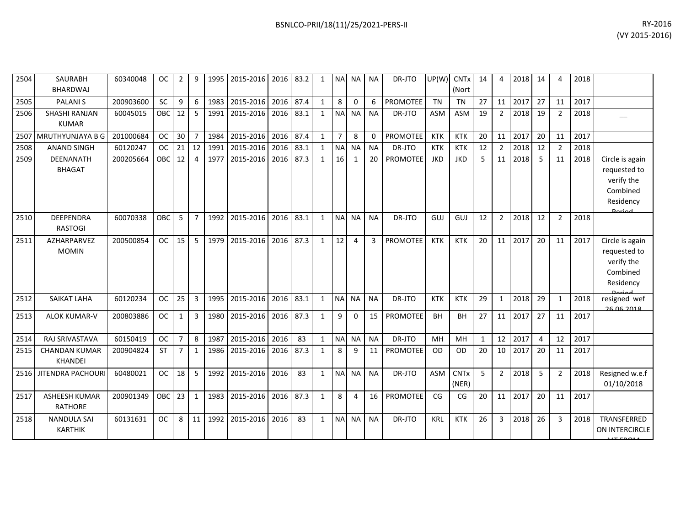| 2504 | <b>SAURABH</b><br><b>BHARDWAJ</b>      | 60340048  | <b>OC</b>     | 2              | 9              | 1995 | 2015-2016 | 2016 | 83.2 | 1            | <b>NA</b>      | <b>NA</b>      | <b>NA</b>    | DR-JTO          | UP(W)      | <b>CNT<sub>x</sub></b><br>(Nort | 14           | 4              | 2018 | 14       | Δ              | 2018 |                                                                                         |
|------|----------------------------------------|-----------|---------------|----------------|----------------|------|-----------|------|------|--------------|----------------|----------------|--------------|-----------------|------------|---------------------------------|--------------|----------------|------|----------|----------------|------|-----------------------------------------------------------------------------------------|
| 2505 | <b>PALANIS</b>                         | 200903600 | <b>SC</b>     | 9              | 6              | 1983 | 2015-2016 | 2016 | 87.4 | $\mathbf{1}$ | 8              | $\mathbf 0$    | 6            | <b>PROMOTEE</b> | <b>TN</b>  | <b>TN</b>                       | 27           | 11             | 2017 | 27       | 11             | 2017 |                                                                                         |
| 2506 | <b>SHASHI RANJAN</b><br><b>KUMAR</b>   | 60045015  | OBC           | 12             | -5             | 1991 | 2015-2016 | 2016 | 83.1 | 1            | <b>NA</b>      | <b>NA</b>      | <b>NA</b>    | DR-JTO          | <b>ASM</b> | <b>ASM</b>                      | 19           | $\overline{2}$ | 2018 | 19       | 2              | 2018 |                                                                                         |
| 2507 | <b>MRUTHYUNJAYA B G</b>                | 201000684 | <b>OC</b>     | 30             | $\overline{7}$ | 1984 | 2015-2016 | 2016 | 87.4 | 1            | $\overline{7}$ | 8              | $\mathbf{0}$ | PROMOTEE        | <b>KTK</b> | <b>KTK</b>                      | 20           | 11             | 2017 | 20       | 11             | 2017 |                                                                                         |
| 2508 | <b>ANAND SINGH</b>                     | 60120247  | <b>OC</b>     | 21             | 12             | 1991 | 2015-2016 | 2016 | 83.1 | 1            | <b>NA</b>      | <b>NA</b>      | <b>NA</b>    | DR-JTO          | <b>KTK</b> | <b>KTK</b>                      | 12           | $\overline{2}$ | 2018 | 12       | 2              | 2018 |                                                                                         |
| 2509 | <b>DEENANATH</b><br><b>BHAGAT</b>      | 200205664 | <b>OBC</b>    | 12             | 4              | 1977 | 2015-2016 | 2016 | 87.3 | $\mathbf{1}$ | 16             | 1              | 20           | <b>PROMOTEE</b> | <b>JKD</b> | <b>JKD</b>                      | 5            | 11             | 2018 | 5        | 11             | 2018 | Circle is again<br>requested to<br>verify the<br>Combined<br>Residency<br><b>Doriad</b> |
| 2510 | <b>DEEPENDRA</b><br><b>RASTOGI</b>     | 60070338  | <b>OBC</b>    | 5              | $\overline{7}$ | 1992 | 2015-2016 | 2016 | 83.1 | $\mathbf{1}$ | <b>NA</b>      | <b>NA</b>      | <b>NA</b>    | DR-JTO          | GUJ        | GUJ                             | 12           | $\overline{2}$ | 2018 | 12       | $\overline{2}$ | 2018 |                                                                                         |
| 2511 | AZHARPARVEZ<br><b>MOMIN</b>            | 200500854 | <b>OC</b>     | 15             | 5              | 1979 | 2015-2016 | 2016 | 87.3 | $\mathbf{1}$ | 12             | $\overline{4}$ | 3            | <b>PROMOTEE</b> | <b>KTK</b> | <b>KTK</b>                      | 20           | 11             | 2017 | 20       | 11             | 2017 | Circle is again<br>requested to<br>verify the<br>Combined<br>Residency<br><b>Doriod</b> |
| 2512 | <b>SAIKAT LAHA</b>                     | 60120234  | <b>OC</b>     | 25             | 3              | 1995 | 2015-2016 | 2016 | 83.1 | $\mathbf{1}$ | <b>NA</b>      | <b>NA</b>      | <b>NA</b>    | DR-JTO          | <b>KTK</b> | <b>KTK</b>                      | 29           | $\mathbf{1}$   | 2018 | 29       | 1              | 2018 | resigned wef<br>26.06.2018                                                              |
| 2513 | <b>ALOK KUMAR-V</b>                    | 200803886 | OC            | 1              | 3              | 1980 | 2015-2016 | 2016 | 87.3 | $\mathbf{1}$ | 9              | $\Omega$       | 15           | <b>PROMOTEE</b> | <b>BH</b>  | <b>BH</b>                       | 27           | 11             | 2017 | 27       | 11             | 2017 |                                                                                         |
| 2514 | RAJ SRIVASTAVA                         | 60150419  | <b>OC</b>     | $\overline{7}$ | 8              | 1987 | 2015-2016 | 2016 | 83   | $\mathbf{1}$ | <b>NA</b>      | <b>NA</b>      | <b>NA</b>    | DR-JTO          | MH         | MH                              | $\mathbf{1}$ | 12             | 2017 | $\Delta$ | 12             | 2017 |                                                                                         |
| 2515 | <b>CHANDAN KUMAR</b><br><b>KHANDEI</b> | 200904824 | <b>ST</b>     | $\overline{7}$ | 1              | 1986 | 2015-2016 | 2016 | 87.3 | 1            | 8              | 9              | 11           | <b>PROMOTEE</b> | <b>OD</b>  | <b>OD</b>                       | 20           | 10             | 2017 | 20       | 11             | 2017 |                                                                                         |
| 2516 | JITENDRA PACHOUR                       | 60480021  | <b>OC</b>     | 18             | 5              | 1992 | 2015-2016 | 2016 | 83   | 1            | <b>NA</b>      | <b>NA</b>      | <b>NA</b>    | DR-JTO          | <b>ASM</b> | <b>CNTx</b><br>(NER)            | 5            | $\overline{2}$ | 2018 | 5        | $\overline{2}$ | 2018 | Resigned w.e.f<br>01/10/2018                                                            |
| 2517 | <b>ASHEESH KUMAR</b><br><b>RATHORE</b> | 200901349 | OBC           | 23             | $\mathbf{1}$   | 1983 | 2015-2016 | 2016 | 87.3 | $\mathbf{1}$ | 8              | 4              | 16           | <b>PROMOTEE</b> | CG         | CG                              | 20           | 11             | 2017 | 20       | 11             | 2017 |                                                                                         |
| 2518 | <b>NANDULA SAI</b><br><b>KARTHIK</b>   | 60131631  | <sub>OC</sub> | 8              | 11             | 1992 | 2015-2016 | 2016 | 83   | $\mathbf{1}$ | <b>NA</b>      | <b>NA</b>      | <b>NA</b>    | DR-JTO          | <b>KRL</b> | <b>KTK</b>                      | 26           | 3              | 2018 | 26       | 3              | 2018 | TRANSFERRED<br>ON INTERCIRCLE                                                           |

 $MF$  from  $\ell$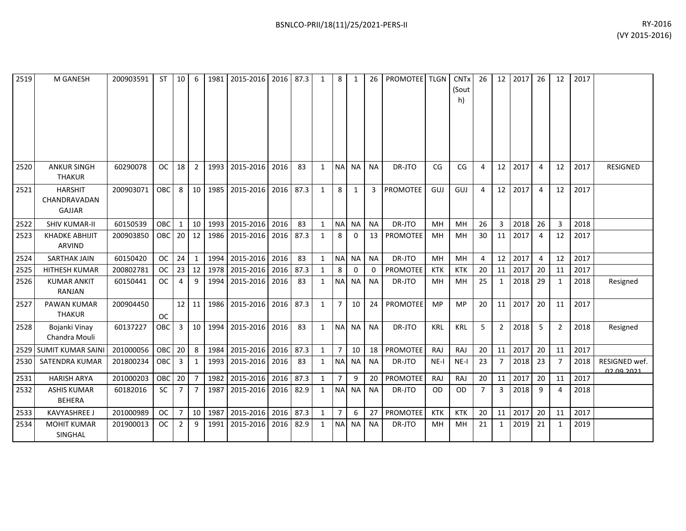| 2519 | M GANESH                                 | 200903591 | <b>ST</b>  | 10             | 6              | 1981 | 2015-2016 | 2016 | 87.3 | 1            | 8              | 1            | 26        | PROMOTEE TLGN   |            | <b>CNTx</b><br>(Sout<br>h) | 26             | 12 <sup>2</sup> | 2017 | 26             | 12             | 2017 |                                    |
|------|------------------------------------------|-----------|------------|----------------|----------------|------|-----------|------|------|--------------|----------------|--------------|-----------|-----------------|------------|----------------------------|----------------|-----------------|------|----------------|----------------|------|------------------------------------|
| 2520 | <b>ANKUR SINGH</b><br><b>THAKUR</b>      | 60290078  | <b>OC</b>  | 18             | $\overline{2}$ | 1993 | 2015-2016 | 2016 | 83   | 1            |                | NA NA        | <b>NA</b> | DR-JTO          | CG         | CG                         | 4              | 12              | 2017 | $\overline{4}$ | 12             | 2017 | <b>RESIGNED</b>                    |
| 2521 | <b>HARSHIT</b><br>CHANDRAVADAN<br>GAJJAR | 200903071 | OBC        | 8              | 10             | 1985 | 2015-2016 | 2016 | 87.3 | $\mathbf{1}$ | 8              | 1            | 3         | <b>PROMOTEE</b> | GUJ        | GUJ                        | 4              | 12              | 2017 | $\overline{4}$ | 12             | 2017 |                                    |
| 2522 | <b>SHIV KUMAR-II</b>                     | 60150539  | OBC        | $\mathbf{1}$   | 10             | 1993 | 2015-2016 | 2016 | 83   | $\mathbf{1}$ |                | NA NA        | <b>NA</b> | DR-JTO          | MH         | MH                         | 26             | 3               | 2018 | 26             | 3              | 2018 |                                    |
| 2523 | <b>KHADKE ABHIJIT</b><br><b>ARVIND</b>   | 200903850 | <b>OBC</b> | 20 l           | 12             | 1986 | 2015-2016 | 2016 | 87.3 | 1            | 8              | $\mathbf{0}$ | 13        | PROMOTEE        | MH         | MH                         | 30             | 11              | 2017 | $\overline{4}$ | 12             | 2017 |                                    |
| 2524 | <b>SARTHAK JAIN</b>                      | 60150420  | <b>OC</b>  | 24             | $\mathbf{1}$   | 1994 | 2015-2016 | 2016 | 83   | $\mathbf{1}$ |                | NA NA        | <b>NA</b> | DR-JTO          | MH         | MH                         | 4              | 12              | 2017 | $\overline{4}$ | 12             | 2017 |                                    |
| 2525 | <b>HITHESH KUMAR</b>                     | 200802781 | <b>OC</b>  | 23             | 12             | 1978 | 2015-2016 | 2016 | 87.3 | $\mathbf{1}$ | 8              | 0            | 0         | <b>PROMOTEE</b> | <b>KTK</b> | <b>KTK</b>                 | 20             | 11              | 2017 | 20             | 11             | 2017 |                                    |
| 2526 | <b>KUMAR ANKIT</b><br>RANJAN             | 60150441  | <b>OC</b>  | 4              | 9              | 1994 | 2015-2016 | 2016 | 83   | 1            | <b>NAI</b>     | NA.          | <b>NA</b> | DR-JTO          | MH         | MН                         | 25             | 1               | 2018 | 29             | -1             | 2018 | Resigned                           |
| 2527 | <b>PAWAN KUMAR</b><br><b>THAKUR</b>      | 200904450 | <b>OC</b>  | 12             | 11             | 1986 | 2015-2016 | 2016 | 87.3 | $\mathbf{1}$ | $\overline{7}$ | 10           | 24        | <b>PROMOTEE</b> | MP         | <b>MP</b>                  | 20             | 11              | 2017 | 20             | 11             | 2017 |                                    |
| 2528 | Bojanki Vinay<br>Chandra Mouli           | 60137227  | OBC        | 3              | 10             | 1994 | 2015-2016 | 2016 | 83   | $\mathbf{1}$ | <b>NA</b>      | NA           | <b>NA</b> | DR-JTO          | <b>KRL</b> | <b>KRL</b>                 | 5              | $\overline{2}$  | 2018 | 5              | $\overline{2}$ | 2018 | Resigned                           |
|      | 2529 SUMIT KUMAR SAIN                    | 201000056 | OBC        | 20             | 8              | 1984 | 2015-2016 | 2016 | 87.3 | $\mathbf{1}$ | $\overline{7}$ | 10           | 18        | PROMOTEE        | <b>RAJ</b> | RAJ                        | 20             | 11              | 2017 | 20             | 11             | 2017 |                                    |
| 2530 | <b>SATENDRA KUMAR</b>                    | 201800234 | <b>OBC</b> | 3              | 1              | 1993 | 2015-2016 | 2016 | 83   | $\mathbf{1}$ |                | NA NA        | <b>NA</b> | DR-JTO          | $NE-I$     | $NE-I$                     | 23             | $\overline{7}$  | 2018 | 23             | 7              | 2018 | RESIGNED wef.<br><u>ne na ener</u> |
| 2531 | <b>HARISH ARYA</b>                       | 201000203 | OBC        | 20             | $\overline{7}$ | 1982 | 2015-2016 | 2016 | 87.3 | $\mathbf{1}$ | $\overline{7}$ | 9            | 20        | <b>PROMOTEE</b> | <b>RAJ</b> | RAJ                        | 20             | 11              | 2017 | 20             | 11             | 2017 |                                    |
| 2532 | <b>ASHIS KUMAR</b><br><b>BEHERA</b>      | 60182016  | <b>SC</b>  | $\overline{7}$ | $\overline{7}$ | 1987 | 2015-2016 | 2016 | 82.9 | $\mathbf{1}$ | <b>NAI</b>     | <b>NA</b>    | <b>NA</b> | DR-JTO          | 0D         | <b>OD</b>                  | $\overline{7}$ | 3               | 2018 | 9              | Δ              | 2018 |                                    |
| 2533 | <b>KAVYASHREE J</b>                      | 201000989 | <b>OC</b>  | $\overline{7}$ | 10             | 1987 | 2015-2016 | 2016 | 87.3 | $\mathbf{1}$ | $\overline{7}$ | 6            | 27        | <b>PROMOTEE</b> | <b>KTK</b> | <b>KTK</b>                 | 20             | 11              | 2017 | 20             | 11             | 2017 |                                    |
| 2534 | <b>MOHIT KUMAR</b><br>SINGHAL            | 201900013 | <b>OC</b>  | 2              | 9              | 1991 | 2015-2016 | 2016 | 82.9 | 1            | <b>NA</b>      | NA.          | <b>NA</b> | DR-JTO          | MН         | MН                         | 21             | 1               | 2019 | 21             |                | 2019 |                                    |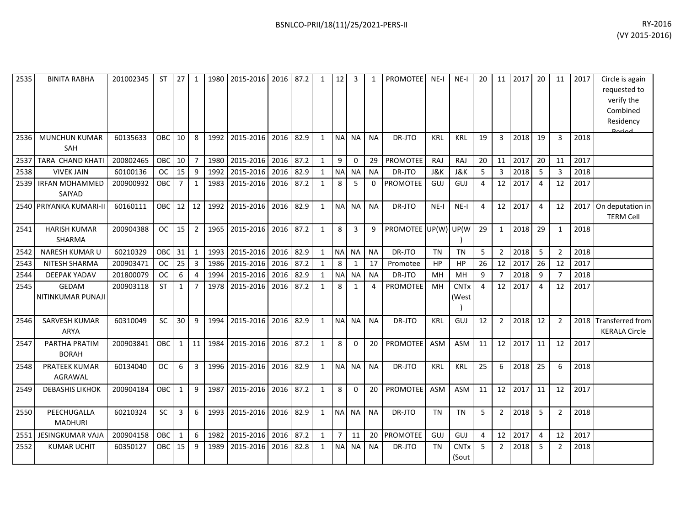| 2535 | <b>BINITA RABHA</b>                | 201002345 | <b>ST</b> | 27           | 1              | 1980 | 2015-2016 | 2016 | 87.2 | $\mathbf{1}$ | 12             | 3            | 1         | <b>PROMOTEE</b> | $NE-I$         | $NE-I$               | 20 | 11             | 2017 | 20             | 11             | 2017 | Circle is again<br>requested to<br>verify the<br>Combined<br>Residency<br>لممنعمه |
|------|------------------------------------|-----------|-----------|--------------|----------------|------|-----------|------|------|--------------|----------------|--------------|-----------|-----------------|----------------|----------------------|----|----------------|------|----------------|----------------|------|-----------------------------------------------------------------------------------|
| 2536 | <b>MUNCHUN KUMAR</b><br><b>SAH</b> | 60135633  | OBC       | 10           | 8              | 1992 | 2015-2016 | 2016 | 82.9 | $\mathbf{1}$ | <b>NA</b>      | <b>NA</b>    | <b>NA</b> | DR-JTO          | <b>KRL</b>     | <b>KRL</b>           | 19 | 3              | 2018 | 19             | 3              | 2018 |                                                                                   |
| 2537 | <b>TARA CHAND KHATI</b>            | 200802465 | OBC       | 10           | $\overline{7}$ | 1980 | 2015-2016 | 2016 | 87.2 | $\mathbf{1}$ | 9              | 0            | 29        | <b>PROMOTEE</b> | <b>RAJ</b>     | RAJ                  | 20 | 11             | 2017 | 20             | 11             | 2017 |                                                                                   |
| 2538 | <b>VIVEK JAIN</b>                  | 60100136  | <b>OC</b> | 15           | 9              | 1992 | 2015-2016 | 2016 | 82.9 | $\mathbf{1}$ | N <sub>A</sub> | <b>NA</b>    | <b>NA</b> | DR-JTO          | <b>J&amp;K</b> | <b>J&amp;K</b>       | 5  | $\overline{3}$ | 2018 | 5              | $\overline{3}$ | 2018 |                                                                                   |
| 2539 | <b>IRFAN MOHAMMED</b><br>SAIYAD    | 200900932 | OBC       | 7            | 1              | 1983 | 2015-2016 | 2016 | 87.2 | $\mathbf{1}$ | 8              | 5            | $\Omega$  | <b>PROMOTEE</b> | GUJ            | GUJ                  | 4  | 12             | 2017 | $\overline{4}$ | 12             | 2017 |                                                                                   |
| 2540 | PRIYANKA KUMARI-II                 | 60160111  | ОВС       | 12           | 12             | 1992 | 2015-2016 | 2016 | 82.9 | $\mathbf{1}$ | <b>NA</b>      | <b>NA</b>    | <b>NA</b> | DR-JTO          | $NE-I$         | $NE-I$               | 4  | 12             | 2017 | $\overline{4}$ | 12             | 2017 | On deputation in<br><b>TERM Cell</b>                                              |
| 2541 | <b>HARISH KUMAR</b><br>SHARMA      | 200904388 | <b>OC</b> | 15           | $\overline{2}$ | 1965 | 2015-2016 | 2016 | 87.2 | $\mathbf{1}$ | 8              | 3            | 9         | PROMOTEE UP(W)  |                | UP(W                 | 29 | $\mathbf{1}$   | 2018 | 29             | 1              | 2018 |                                                                                   |
| 2542 | NARESH KUMAR U                     | 60210329  | OBC       | 31           | $\mathbf{1}$   | 1993 | 2015-2016 | 2016 | 82.9 | $\mathbf{1}$ | <b>NA</b>      | <b>NA</b>    | <b>NA</b> | DR-JTO          | <b>TN</b>      | <b>TN</b>            | 5  | $\overline{2}$ | 2018 | 5              | $\overline{2}$ | 2018 |                                                                                   |
| 2543 | NITESH SHARMA                      | 200903471 | <b>OC</b> | 25           | 3              | 1986 | 2015-2016 | 2016 | 87.2 | $\mathbf{1}$ | 8              | $\mathbf{1}$ | 17        | Promotee        | HP             | HP                   | 26 | 12             | 2017 | 26             | 12             | 2017 |                                                                                   |
| 2544 | <b>DEEPAK YADAV</b>                | 201800079 | <b>OC</b> | 6            | 4              | 1994 | 2015-2016 | 2016 | 82.9 | $\mathbf{1}$ | <b>NA</b>      | <b>NA</b>    | <b>NA</b> | DR-JTO          | MH             | MH                   | 9  | 7              | 2018 | 9              | 7              | 2018 |                                                                                   |
| 2545 | GEDAM<br>NITINKUMAR PUNAJI         | 200903118 | <b>ST</b> | 1            | 7              | 1978 | 2015-2016 | 2016 | 87.2 | $\mathbf{1}$ | 8              | 1            | 4         | <b>PROMOTEE</b> | MH             | <b>CNTx</b><br>(West | 4  | 12             | 2017 | $\overline{4}$ | 12             | 2017 |                                                                                   |
| 2546 | SARVESH KUMAR<br><b>ARYA</b>       | 60310049  | SC        | 30           | 9              | 1994 | 2015-2016 | 2016 | 82.9 | $\mathbf{1}$ | <b>NA</b>      | <b>NA</b>    | <b>NA</b> | DR-JTO          | <b>KRL</b>     | GUJ                  | 12 | $\overline{2}$ | 2018 | 12             | $\overline{2}$ | 2018 | <b>Transferred from</b><br><b>KERALA Circle</b>                                   |
| 2547 | PARTHA PRATIM<br><b>BORAH</b>      | 200903841 | OBC       | $\mathbf{1}$ | 11             | 1984 | 2015-2016 | 2016 | 87.2 | $\mathbf{1}$ | 8              | $\Omega$     | 20        | <b>PROMOTEE</b> | <b>ASM</b>     | <b>ASM</b>           | 11 | 12             | 2017 | 11             | 12             | 2017 |                                                                                   |
| 2548 | PRATEEK KUMAR<br><b>AGRAWAL</b>    | 60134040  | <b>OC</b> | 6            | 3              | 1996 | 2015-2016 | 2016 | 82.9 | $\mathbf{1}$ | N <sub>A</sub> | <b>NA</b>    | <b>NA</b> | DR-JTO          | <b>KRL</b>     | <b>KRL</b>           | 25 | 6              | 2018 | 25             | 6              | 2018 |                                                                                   |
| 2549 | <b>DEBASHIS LIKHOK</b>             | 200904184 | OBC       | $\mathbf{1}$ | 9              | 1987 | 2015-2016 | 2016 | 87.2 | $\mathbf{1}$ | 8              | $\mathbf 0$  | 20        | <b>PROMOTEE</b> | ASM            | ASM                  | 11 | 12             | 2017 | 11             | 12             | 2017 |                                                                                   |
| 2550 | PEECHUGALLA<br><b>MADHURI</b>      | 60210324  | SC        | 3            | 6              | 1993 | 2015-2016 | 2016 | 82.9 | $\mathbf{1}$ | <b>NA</b>      | <b>NA</b>    | <b>NA</b> | DR-JTO          | <b>TN</b>      | <b>TN</b>            | 5  | $\overline{2}$ | 2018 | 5              | $\overline{2}$ | 2018 |                                                                                   |
| 2551 | JESINGKUMAR VAJA                   | 200904158 | OBC       | $\mathbf{1}$ | 6              | 1982 | 2015-2016 | 2016 | 87.2 | $\mathbf{1}$ | $\overline{7}$ | 11           | 20        | PROMOTEE        | GUJ            | <b>GUJ</b>           | 4  | 12             | 2017 | 4              | 12             | 2017 |                                                                                   |
| 2552 | <b>KUMAR UCHIT</b>                 | 60350127  | OBC       | 15           | 9              | 1989 | 2015-2016 | 2016 | 82.8 | $\mathbf{1}$ | N <sub>A</sub> | NA           | <b>NA</b> | DR-JTO          | <b>TN</b>      | <b>CNTx</b><br>(Sout | 5  | $\overline{2}$ | 2018 | 5              | $\overline{2}$ | 2018 |                                                                                   |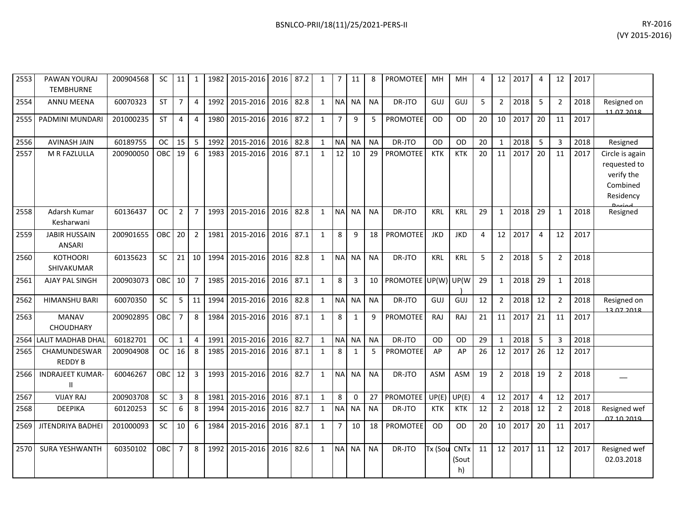| 2553 | PAWAN YOURAJ<br><b>TEMBHURNE</b>        | 200904568 | SC         | 11             |                | 1982 | 2015-2016 | 2016 | 87.2 | 1            | 7              | 11           | 8         | <b>PROMOTEE</b> | MН         | MН                         | 4              | 12             | 2017 | 4              | 12             | 2017 |                                                                        |
|------|-----------------------------------------|-----------|------------|----------------|----------------|------|-----------|------|------|--------------|----------------|--------------|-----------|-----------------|------------|----------------------------|----------------|----------------|------|----------------|----------------|------|------------------------------------------------------------------------|
| 2554 | <b>ANNU MEENA</b>                       | 60070323  | <b>ST</b>  | $\overline{7}$ | $\overline{4}$ | 1992 | 2015-2016 | 2016 | 82.8 | $\mathbf{1}$ | <b>NA</b>      | <b>NA</b>    | <b>NA</b> | DR-JTO          | GUJ        | GUJ                        | 5              | $\overline{2}$ | 2018 | 5              | $\overline{2}$ | 2018 | Resigned on<br>11 07 2018                                              |
| 2555 | PADMINI MUNDARI                         | 201000235 | ST         | 4              | 4              | 1980 | 2015-2016 | 2016 | 87.2 | $\mathbf{1}$ | $\overline{7}$ | 9            | 5         | <b>PROMOTEE</b> | <b>OD</b>  | <b>OD</b>                  | 20             | 10             | 2017 | 20             | 11             | 2017 |                                                                        |
| 2556 | <b>AVINASH JAIN</b>                     | 60189755  | <b>OC</b>  | 15             | 5              | 1992 | 2015-2016 | 2016 | 82.8 | 1            | <b>NA</b>      | <b>NA</b>    | <b>NA</b> | DR-JTO          | <b>OD</b>  | <b>OD</b>                  | 20             | 1              | 2018 | 5              | 3              | 2018 | Resigned                                                               |
| 2557 | M R FAZLULLA                            | 200900050 | <b>OBC</b> | 19             | 6              | 1983 | 2015-2016 | 2016 | 87.1 | $\mathbf{1}$ | 12             | 10           | 29        | <b>PROMOTEE</b> | <b>KTK</b> | <b>KTK</b>                 | 20             | 11             | 2017 | 20             | 11             | 2017 | Circle is again<br>requested to<br>verify the<br>Combined<br>Residency |
| 2558 | Adarsh Kumar<br>Kesharwani              | 60136437  | <b>OC</b>  | $\overline{2}$ | $\overline{7}$ | 1993 | 2015-2016 | 2016 | 82.8 | $\mathbf{1}$ | NA NA          |              | <b>NA</b> | DR-JTO          | <b>KRL</b> | <b>KRL</b>                 | 29             | 1              | 2018 | 29             | $\mathbf{1}$   | 2018 | Resigned                                                               |
| 2559 | <b>JABIR HUSSAIN</b><br><b>ANSARI</b>   | 200901655 | <b>OBC</b> | 20             | $\overline{2}$ | 1981 | 2015-2016 | 2016 | 87.1 | $\mathbf{1}$ | 8              | 9            | 18        | <b>PROMOTEE</b> | <b>JKD</b> | <b>JKD</b>                 | 4              | 12             | 2017 | 4              | 12             | 2017 |                                                                        |
| 2560 | <b>KOTHOORI</b><br>SHIVAKUMAR           | 60135623  | <b>SC</b>  | 21             | 10             | 1994 | 2015-2016 | 2016 | 82.8 | $\mathbf{1}$ | <b>NA</b>      | <b>NA</b>    | <b>NA</b> | DR-JTO          | <b>KRL</b> | <b>KRL</b>                 | 5              | $\overline{2}$ | 2018 | 5              | $\overline{2}$ | 2018 |                                                                        |
| 2561 | AJAY PAL SINGH                          | 200903073 | <b>OBC</b> | 10             | $\overline{7}$ | 1985 | 2015-2016 | 2016 | 87.1 | $\mathbf{1}$ | 8              | 3            | 10        | PROMOTEE UP(W)  |            | UP(W                       | 29             | $\mathbf{1}$   | 2018 | 29             | $\mathbf{1}$   | 2018 |                                                                        |
| 2562 | <b>HIMANSHU BARI</b>                    | 60070350  | SC         | 5              | 11             | 1994 | 2015-2016 | 2016 | 82.8 | $\mathbf{1}$ | <b>NA</b>      | <b>NA</b>    | <b>NA</b> | DR-JTO          | GUJ        | GUJ                        | 12             | $\overline{2}$ | 2018 | 12             | $\overline{2}$ | 2018 | Resigned on<br>13 07 2018                                              |
| 2563 | <b>MANAV</b><br><b>CHOUDHARY</b>        | 200902895 | <b>OBC</b> | $\overline{7}$ | 8              | 1984 | 2015-2016 | 2016 | 87.1 | $\mathbf{1}$ | 8              | $\mathbf{1}$ | q         | <b>PROMOTEE</b> | RAJ        | RAJ                        | 21             | 11             | 2017 | 21             | 11             | 2017 |                                                                        |
|      | 2564 LALIT MADHAB DHAL                  | 60182701  | <b>OC</b>  | $\mathbf{1}$   | 4              | 1991 | 2015-2016 | 2016 | 82.7 | $\mathbf{1}$ | <b>NA</b>      | <b>NA</b>    | <b>NA</b> | DR-JTO          | <b>OD</b>  | <b>OD</b>                  | 29             | 1              | 2018 | 5              | $\overline{3}$ | 2018 |                                                                        |
| 2565 | CHAMUNDESWAR<br><b>REDDY B</b>          | 200904908 | <b>OC</b>  | 16             | 8              | 1985 | 2015-2016 | 2016 | 87.1 | $\mathbf{1}$ | 8              | $\mathbf{1}$ | 5         | <b>PROMOTEE</b> | AP         | AP                         | 26             | 12             | 2017 | 26             | 12             | 2017 |                                                                        |
| 2566 | <b>INDRAJEET KUMAR-</b><br>$\mathbf{H}$ | 60046267  | <b>OBC</b> | 12             | 3              | 1993 | 2015-2016 | 2016 | 82.7 | $\mathbf{1}$ | <b>NA</b>      | <b>NA</b>    | <b>NA</b> | DR-JTO          | <b>ASM</b> | ASM                        | 19             | $\overline{2}$ | 2018 | 19             | $\overline{2}$ | 2018 |                                                                        |
| 2567 | <b>VIJAY RAJ</b>                        | 200903708 | SC         | $\overline{3}$ | 8              | 1981 | 2015-2016 | 2016 | 87.1 | $\mathbf{1}$ | 8              | $\Omega$     | 27        | <b>PROMOTEE</b> | UP(E)      | UP(E)                      | $\overline{4}$ | 12             | 2017 | $\overline{4}$ | 12             | 2017 |                                                                        |
| 2568 | <b>DEEPIKA</b>                          | 60120253  | <b>SC</b>  | 6              | 8              | 1994 | 2015-2016 | 2016 | 82.7 | $\mathbf{1}$ | <b>NA</b>      | <b>NA</b>    | <b>NA</b> | DR-JTO          | <b>KTK</b> | <b>KTK</b>                 | 12             | $\overline{2}$ | 2018 | 12             | $\overline{2}$ | 2018 | Resigned wef<br><u>07.10.2010</u>                                      |
| 2569 | JITENDRIYA BADHEI                       | 201000093 | SC         | 10             | 6              | 1984 | 2015-2016 | 2016 | 87.1 | $\mathbf{1}$ | $\overline{7}$ | 10           | 18        | <b>PROMOTEE</b> | <b>OD</b>  | <b>OD</b>                  | 20             | 10             | 2017 | 20             | 11             | 2017 |                                                                        |
| 2570 | <b>SURA YESHWANTH</b>                   | 60350102  | OBC        | $\overline{7}$ | 8              | 1992 | 2015-2016 | 2016 | 82.6 | $\mathbf{1}$ | <b>NA</b>      | <b>NA</b>    | <b>NA</b> | DR-JTO          | Tx (Sou    | <b>CNTx</b><br>(Sout<br>h) | 11             | 12             | 2017 | 11             | 12             | 2017 | Resigned wef<br>02.03.2018                                             |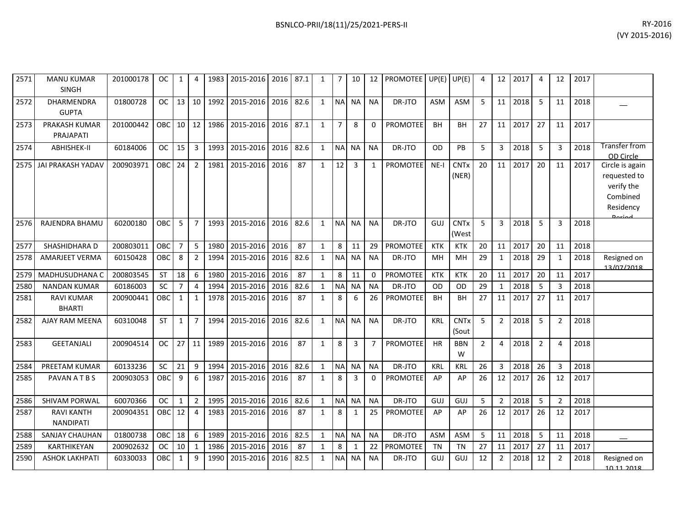| 2571 | <b>MANU KUMAR</b><br><b>SINGH</b>     | 201000178 | 0C        | 1              | 4              | 1983 | 2015-2016   2016   87.1 |      |      | 1            |                | 10           | 12        | PROMOTEE UP(E) UP(E) |            |                      | 4              | 12             | 2017 | 4              | 12             | 2017 |                                                                                  |
|------|---------------------------------------|-----------|-----------|----------------|----------------|------|-------------------------|------|------|--------------|----------------|--------------|-----------|----------------------|------------|----------------------|----------------|----------------|------|----------------|----------------|------|----------------------------------------------------------------------------------|
| 2572 | DHARMENDRA<br><b>GUPTA</b>            | 01800728  | <b>OC</b> | 13             | 10             | 1992 | 2015-2016               | 2016 | 82.6 | 1            |                | NA NA        | <b>NA</b> | DR-JTO               | <b>ASM</b> | ASM                  | 5              | 11             | 2018 | 5              | 11             | 2018 |                                                                                  |
| 2573 | PRAKASH KUMAR<br>PRAJAPATI            | 201000442 | OBC       | $10 \mid 12$   |                | 1986 | 2015-2016 2016          |      | 87.1 | $\mathbf{1}$ | $\overline{7}$ | 8            | 0         | <b>PROMOTEE</b>      | <b>BH</b>  | BH                   | 27             | 11             | 2017 | 27             | 11             | 2017 |                                                                                  |
| 2574 | ABHISHEK-II                           | 60184006  | <b>OC</b> | 15             | $\overline{3}$ |      | 1993 2015-2016          | 2016 | 82.6 | $\mathbf{1}$ |                | NA NA        | <b>NA</b> | DR-JTO               | OD         | PB                   | 5              | 3              | 2018 | 5              | 3              | 2018 | Transfer from<br>OD Circle                                                       |
| 2575 | JAI PRAKASH YADAV                     | 200903971 | OBC       | 24             | $\overline{2}$ |      | 1981 2015-2016 2016     |      | 87   | $\mathbf{1}$ | 12             | 3            | 1         | <b>PROMOTEE</b>      | $NE-I$     | <b>CNTx</b><br>(NER) | 20             | 11             | 2017 | 20             | 11             | 2017 | Circle is again<br>requested to<br>verify the<br>Combined<br>Residency<br>Doriod |
| 2576 | RAJENDRA BHAMU                        | 60200180  | OBC       | 5              | $\overline{7}$ | 1993 | 2015-2016               | 2016 | 82.6 | $\mathbf{1}$ | <b>NA</b>      | <b>NA</b>    | <b>NA</b> | DR-JTO               | GUJ        | <b>CNTx</b><br>(West | 5              | $\overline{3}$ | 2018 | 5              | 3              | 2018 |                                                                                  |
| 2577 | SHASHIDHARA D                         | 200803011 | OBC       | $\overline{7}$ | 5              | 1980 | 2015-2016 2016          |      | 87   | $\mathbf{1}$ | 8              | 11           | 29        | <b>PROMOTEE</b>      | <b>KTK</b> | <b>KTK</b>           | 20             | 11             | 2017 | 20             | 11             | 2018 |                                                                                  |
| 2578 | <b>AMARJEET VERMA</b>                 | 60150428  | OBC       | 8              | $\overline{2}$ | 1994 | 2015-2016               | 2016 | 82.6 | 1            |                | NA NA        | <b>NA</b> | DR-JTO               | MН         | <b>MH</b>            | 29             | 1              | 2018 | 29             | 1              | 2018 | Resigned on<br>13/07/2018                                                        |
| 2579 | <b>MADHUSUDHANA C</b>                 | 200803545 | <b>ST</b> | 18             | 6              | 1980 | 2015-2016               | 2016 | 87   | $\mathbf{1}$ | 8              | 11           | $\Omega$  | <b>PROMOTEE</b>      | <b>KTK</b> | <b>KTK</b>           | 20             | 11             | 2017 | 20             | 11             | 2017 |                                                                                  |
| 2580 | <b>NANDAN KUMAR</b>                   | 60186003  | <b>SC</b> | 7              | $\overline{4}$ | 1994 | 2015-2016               | 2016 | 82.6 | $\mathbf{1}$ |                | NA NA        | <b>NA</b> | DR-JTO               | <b>OD</b>  | OD                   | 29             | 1              | 2018 | 5              | 3              | 2018 |                                                                                  |
| 2581 | <b>RAVI KUMAR</b><br><b>BHARTI</b>    | 200900441 | OBC       | $\mathbf{1}$   | $\mathbf{1}$   | 1978 | 2015-2016               | 2016 | 87   | $\mathbf{1}$ | 8              | 6            | 26        | PROMOTEE             | <b>BH</b>  | BH                   | 27             | 11             | 2017 | 27             | 11             | 2017 |                                                                                  |
| 2582 | AJAY RAM MEENA                        | 60310048  | <b>ST</b> | $\mathbf{1}$   | $\overline{7}$ | 1994 | 2015-2016               | 2016 | 82.6 | 1            |                | NA NA        | <b>NA</b> | DR-JTO               | KRL        | <b>CNTx</b><br>(Sout | 5              | $\overline{2}$ | 2018 | 5              | $\overline{2}$ | 2018 |                                                                                  |
| 2583 | <b>GEETANJALI</b>                     | 200904514 | <b>OC</b> | 27             | 11             | 1989 | 2015-2016               | 2016 | 87   | 1            | 8              | 3            | 7         | <b>PROMOTEE</b>      | <b>HR</b>  | <b>BBN</b><br>W      | $\overline{2}$ | 4              | 2018 | $\overline{2}$ | 4              | 2018 |                                                                                  |
| 2584 | <b>PREETAM KUMAR</b>                  | 60133236  | SC        | 21             | 9              | 1994 | 2015-2016               | 2016 | 82.6 | $\mathbf{1}$ |                | NA NA        | <b>NA</b> | DR-JTO               | KRL        | <b>KRL</b>           | 26             | $\overline{3}$ | 2018 | 26             | $\overline{3}$ | 2018 |                                                                                  |
| 2585 | PAVAN A T B S                         | 200903053 | OBC       | 9              | 6              | 1987 | 2015-2016 2016          |      | 87   | 1            | 8              | 3            | $\Omega$  | PROMOTEE             | AP         | AP                   | 26             | 12             | 2017 | 26             | 12             | 2017 |                                                                                  |
| 2586 | SHIVAM PORWAL                         | 60070366  | <b>OC</b> | $\mathbf{1}$   | $\overline{2}$ | 1995 | 2015-2016 2016          |      | 82.6 | $\mathbf{1}$ | <b>NA</b>      | l NA         | <b>NA</b> | DR-JTO               | GUJ        | GUJ                  | 5              | $\overline{2}$ | 2018 | 5              | $\overline{2}$ | 2018 |                                                                                  |
| 2587 | <b>RAVI KANTH</b><br><b>NANDIPATI</b> | 200904351 | OBC       | 12             | $\overline{4}$ | 1983 | 2015-2016               | 2016 | 87   | $\mathbf{1}$ | 8              | $\mathbf{1}$ | 25        | PROMOTEE             | AP         | AP                   | 26             | 12             | 2017 | 26             | 12             | 2017 |                                                                                  |
| 2588 | SANJAY CHAUHAN                        | 01800738  | OBC       | 18             | 6              | 1989 | 2015-2016               | 2016 | 82.5 | $\mathbf{1}$ |                | NA NA        | <b>NA</b> | DR-JTO               | <b>ASM</b> | <b>ASM</b>           | 5              | 11             | 2018 | 5              | 11             | 2018 |                                                                                  |
| 2589 | KARTHIKEYAN                           | 200902632 | <b>OC</b> | 10             | 1              | 1986 | 2015-2016               | 2016 | 87   | 1            | 8              | 1            | 22        | PROMOTEE             | <b>TN</b>  | <b>TN</b>            | 27             | 11             | 2017 | 27             | 11             | 2017 |                                                                                  |
| 2590 | <b>ASHOK LAKHPATI</b>                 | 60330033  | OBC       | 1              | 9              | 1990 | 2015-2016               | 2016 | 82.5 | 1            |                | NA NA        | <b>NA</b> | DR-JTO               | GUJ        | GUJ                  | 12             | $\overline{2}$ | 2018 | 12             | $\overline{2}$ | 2018 | Resigned on<br>10 11 2018                                                        |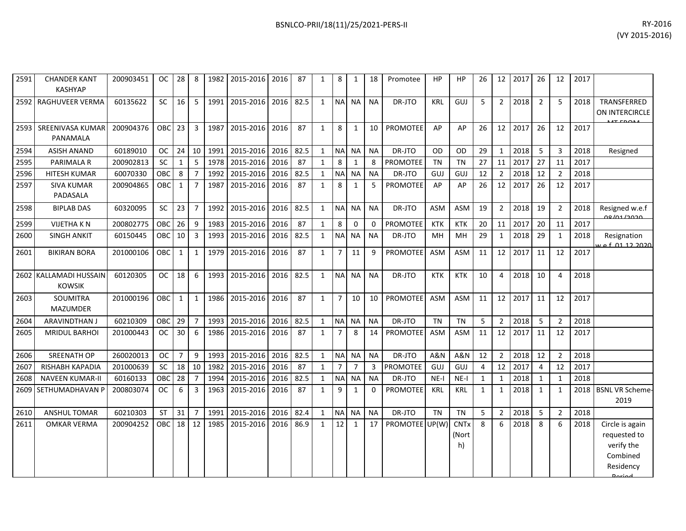| RY-2016        |
|----------------|
| (VY 2015-2016) |

| 2591 | <b>CHANDER KANT</b><br><b>KASHYAP</b>   | 200903451 | <b>OC</b>  | 28             | 8              | 1982 | 2015-2016 | 2016 | 87   | $\mathbf{1}$ | 8              | 1              | 18           | Promotee        | <b>HP</b>      | <b>HP</b>                  | 26             | 12 <sup>1</sup>  | 2017 | 26             | 12             | 2017 |                                                                        |
|------|-----------------------------------------|-----------|------------|----------------|----------------|------|-----------|------|------|--------------|----------------|----------------|--------------|-----------------|----------------|----------------------------|----------------|------------------|------|----------------|----------------|------|------------------------------------------------------------------------|
| 2592 | RAGHUVEER VERMA                         | 60135622  | <b>SC</b>  | 16             | 5              | 1991 | 2015-2016 | 2016 | 82.5 | 1            |                | NA NA          | <b>NA</b>    | DR-JTO          | <b>KRL</b>     | GUJ                        | 5              | $\overline{2}$   | 2018 | $\overline{2}$ | 5              | 2018 | TRANSFERRED<br>ON INTERCIRCLE                                          |
| 2593 | <b>SREENIVASA KUMAR</b><br>PANAMALA     | 200904376 | OBC        | 23             | $\overline{3}$ | 1987 | 2015-2016 | 2016 | 87   | $\mathbf{1}$ | 8              | $\mathbf{1}$   | 10           | <b>PROMOTEE</b> | AP             | AP                         | 26             | 12 <sup>1</sup>  | 2017 | 26             | 12             | 2017 |                                                                        |
| 2594 | <b>ASISH ANAND</b>                      | 60189010  | <b>OC</b>  | 24             | 10             | 1991 | 2015-2016 | 2016 | 82.5 | 1            | <b>NA</b>      | <b>NA</b>      | <b>NA</b>    | DR-JTO          | OD             | <b>OD</b>                  | 29             | $\mathbf{1}$     | 2018 | 5              | 3              | 2018 | Resigned                                                               |
| 2595 | PARIMALA R                              | 200902813 | <b>SC</b>  | $\mathbf{1}$   | 5              | 1978 | 2015-2016 | 2016 | 87   | $\mathbf{1}$ | 8              | $\mathbf{1}$   | 8            | <b>PROMOTEE</b> | <b>TN</b>      | <b>TN</b>                  | 27             | 11               | 2017 | 27             | 11             | 2017 |                                                                        |
| 2596 | <b>HITESH KUMAR</b>                     | 60070330  | OBC        | 8              | $\overline{7}$ | 1992 | 2015-2016 | 2016 | 82.5 | $\mathbf{1}$ | <b>NA</b>      | <b>NA</b>      | <b>NA</b>    | DR-JTO          | GUJ            | GUJ                        | 12             | $\overline{2}$   | 2018 | 12             | $\overline{2}$ | 2018 |                                                                        |
| 2597 | <b>SIVA KUMAR</b><br>PADASALA           | 200904865 | OBC        | 1              | $\overline{7}$ | 1987 | 2015-2016 | 2016 | 87   | $\mathbf{1}$ | 8              | 1              | 5            | PROMOTEE        | AP             | AP                         | 26             | 12               | 2017 | 26             | 12             | 2017 |                                                                        |
| 2598 | <b>BIPLAB DAS</b>                       | 60320095  | <b>SC</b>  | 23             | $\overline{7}$ | 1992 | 2015-2016 | 2016 | 82.5 | $\mathbf{1}$ | NA NA          |                | <b>NA</b>    | DR-JTO          | <b>ASM</b>     | <b>ASM</b>                 | 19             | $\overline{2}$   | 2018 | 19             | $\overline{2}$ | 2018 | Resigned w.e.f<br>0.0101/2020                                          |
| 2599 | <b>VIJETHA KN</b>                       | 200802775 | OBC        | 26             | 9              | 1983 | 2015-2016 | 2016 | 87   | $\mathbf{1}$ | 8              | 0              | 0            | <b>PROMOTEE</b> | <b>KTK</b>     | <b>KTK</b>                 | 20             | 11               | 2017 | 20             | 11             | 2017 |                                                                        |
| 2600 | <b>SINGH ANKIT</b>                      | 60150445  | <b>OBC</b> | 10             | 3              | 1993 | 2015-2016 | 2016 | 82.5 | $\mathbf{1}$ | <b>NA</b>      | <b>NA</b>      | <b>NA</b>    | DR-JTO          | MH             | MH                         | 29             | $\mathbf{1}$     | 2018 | 29             | 1              | 2018 | Resignation<br>e f 01 12 2020                                          |
| 2601 | <b>BIKIRAN BORA</b>                     | 201000106 | OBC        | 1              | $\mathbf{1}$   | 1979 | 2015-2016 | 2016 | 87   | 1            | 7              | 11             | 9            | <b>PROMOTEE</b> | <b>ASM</b>     | <b>ASM</b>                 | 11             | 12 <sup>12</sup> | 2017 | 11             | 12             | 2017 |                                                                        |
|      | 2602 KALLAMADI HUSSAIN<br><b>KOWSIK</b> | 60120305  | <b>OC</b>  | 18             | 6              | 1993 | 2015-2016 | 2016 | 82.5 | $\mathbf{1}$ | NA NA          |                | <b>NA</b>    | DR-JTO          | <b>KTK</b>     | <b>KTK</b>                 | 10             | 4                | 2018 | 10             | $\Delta$       | 2018 |                                                                        |
| 2603 | SOUMITRA<br><b>MAZUMDER</b>             | 201000196 | OBC        | 1              | $\mathbf{1}$   | 1986 | 2015-2016 | 2016 | 87   | $\mathbf{1}$ | $\overline{7}$ | 10             | 10           | <b>PROMOTEE</b> | <b>ASM</b>     | ASM                        | 11             | 12               | 2017 | 11             | 12             | 2017 |                                                                        |
| 2604 | <b>ARAVINDTHAN J</b>                    | 60210309  | OBC        | 29             | $\overline{7}$ | 1993 | 2015-2016 | 2016 | 82.5 | 1            | <b>NA</b>      | <b>NA</b>      | <b>NA</b>    | DR-JTO          | <b>TN</b>      | <b>TN</b>                  | 5              | $\overline{2}$   | 2018 | 5              | $\overline{2}$ | 2018 |                                                                        |
| 2605 | <b>MRIDUL BARHOI</b>                    | 201000443 | <b>OC</b>  | 30             | 6              | 1986 | 2015-2016 | 2016 | 87   | $\mathbf{1}$ | $\overline{7}$ | 8              | 14           | <b>PROMOTEE</b> | <b>ASM</b>     | <b>ASM</b>                 | 11             | 12               | 2017 | 11             | 12             | 2017 |                                                                        |
| 2606 | <b>SREENATH OP</b>                      | 260020013 | <b>OC</b>  | $\overline{7}$ | 9              | 1993 | 2015-2016 | 2016 | 82.5 | $\mathbf{1}$ | NA NA          |                | <b>NA</b>    | DR-JTO          | <b>A&amp;N</b> | <b>A&amp;N</b>             | 12             | $\overline{2}$   | 2018 | 12             | $\overline{2}$ | 2018 |                                                                        |
| 2607 | RISHABH KAPADIA                         | 201000639 | <b>SC</b>  | 18             | 10             | 1982 | 2015-2016 | 2016 | 87   | $\mathbf{1}$ | 7              | $\overline{7}$ | 3            | <b>PROMOTEE</b> | GUJ            | GUJ                        | $\overline{4}$ | 12               | 2017 | $\overline{4}$ | 12             | 2017 |                                                                        |
| 2608 | <b>NAVEEN KUMAR-II</b>                  | 60160133  | OBC        | 28             | $\overline{7}$ | 1994 | 2015-2016 | 2016 | 82.5 | 1            | <b>NA</b>      | NA             | <b>NA</b>    | DR-JTO          | $NE-I$         | NE-I                       | 1              | 1                | 2018 | $\mathbf{1}$   | $\mathbf{1}$   | 2018 |                                                                        |
| 2609 | SETHUMADHAVAN P                         | 200803074 | <b>OC</b>  | 6              | $\overline{3}$ | 1963 | 2015-2016 | 2016 | 87   | $\mathbf{1}$ | 9              | $\mathbf{1}$   | $\mathbf{0}$ | PROMOTEE        | <b>KRL</b>     | <b>KRL</b>                 | 1              | 1                | 2018 | 1              | -1             | 2018 | <b>BSNL VR Scheme</b><br>2019                                          |
| 2610 | <b>ANSHUL TOMAR</b>                     | 60210303  | <b>ST</b>  | 31             | $\overline{7}$ | 1991 | 2015-2016 | 2016 | 82.4 | $\mathbf{1}$ | N <sub>A</sub> | <b>NA</b>      | <b>NA</b>    | DR-JTO          | <b>TN</b>      | <b>TN</b>                  | 5              | $\overline{2}$   | 2018 | 5              | $\overline{2}$ | 2018 |                                                                        |
| 2611 | <b>OMKAR VERMA</b>                      | 200904252 | OBC        | 18             | 12             | 1985 | 2015-2016 | 2016 | 86.9 | 1            | 12             | $\mathbf{1}$   | 17           | PROMOTEE UP(W   |                | <b>CNTx</b><br>(Nort<br>h) | 8              | 6                | 2018 | 8              | 6              | 2018 | Circle is again<br>requested to<br>verify the<br>Combined<br>Residency |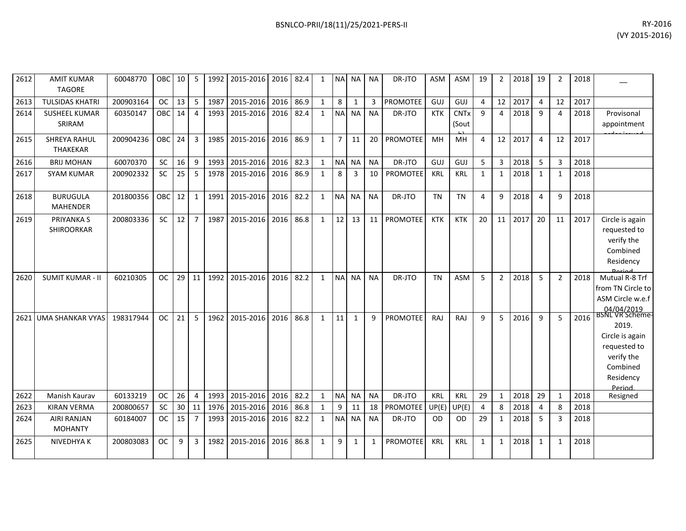| 2612 | <b>AMIT KUMAR</b><br><b>TAGORE</b>     | 60048770  | OBC 10        |    | 5              |      | 1992 2015-2016 2016 82.4 |      |      | 1            |                | NA NA NA       |           | DR-JTO          | ASM        | ASM                  | 19           | $\overline{2}$ | 2018 | 19             | $\mathcal{P}$  | 2018 |                                                                                                                     |
|------|----------------------------------------|-----------|---------------|----|----------------|------|--------------------------|------|------|--------------|----------------|----------------|-----------|-----------------|------------|----------------------|--------------|----------------|------|----------------|----------------|------|---------------------------------------------------------------------------------------------------------------------|
| 2613 | <b>TULSIDAS KHATRI</b>                 | 200903164 | <b>OC</b>     | 13 | 5              | 1987 | 2015-2016 2016           |      | 86.9 | $\mathbf{1}$ | 8              | 1              | 3         | PROMOTEE        | GUJ        | GUJ                  | 4            | 12             | 2017 | $\overline{4}$ | 12             | 2017 |                                                                                                                     |
| 2614 | <b>SUSHEEL KUMAR</b><br>SRIRAM         | 60350147  | OBC           | 14 | $\overline{4}$ | 1993 | 2015-2016                | 2016 | 82.4 | $\mathbf{1}$ | <b>NA</b>      | <b>NA</b>      | <b>NA</b> | DR-JTO          | <b>KTK</b> | <b>CNTx</b><br>(Sout | 9            | 4              | 2018 | -9             | 4              | 2018 | Provisonal<br>appointment                                                                                           |
| 2615 | <b>SHREYA RAHUL</b><br><b>THAKEKAR</b> | 200904236 | OBC           | 24 | 3              | 1985 | 2015-2016                | 2016 | 86.9 | $\mathbf{1}$ | $\overline{7}$ | 11             | 20        | <b>PROMOTEE</b> | MH         | MH                   | 4            | 12             | 2017 | $\overline{4}$ | 12             | 2017 |                                                                                                                     |
| 2616 | <b>BRIJ MOHAN</b>                      | 60070370  | <b>SC</b>     | 16 | 9              | 1993 | 2015-2016                | 2016 | 82.3 | 1            | <b>NA</b>      | <b>NA</b>      | <b>NA</b> | DR-JTO          | GUJ        | GUJ                  | 5            | 3              | 2018 | 5              |                | 2018 |                                                                                                                     |
| 2617 | <b>SYAM KUMAR</b>                      | 200902332 | <b>SC</b>     | 25 | 5              | 1978 | 2015-2016                | 2016 | 86.9 | 1            | 8              | $\overline{3}$ | 10        | <b>PROMOTEE</b> | KRL        | KRL                  | 1            | 1              | 2018 | 1              | -1             | 2018 |                                                                                                                     |
| 2618 | <b>BURUGULA</b><br><b>MAHENDER</b>     | 201800356 | <b>OBC</b>    | 12 | 1              | 1991 | 2015-2016                | 2016 | 82.2 | $\mathbf{1}$ | NA NA          |                | <b>NA</b> | DR-JTO          | <b>TN</b>  | <b>TN</b>            | 4            | 9              | 2018 | $\overline{4}$ | 9              | 2018 |                                                                                                                     |
| 2619 | PRIYANKA S<br><b>SHIROORKAR</b>        | 200803336 | <b>SC</b>     | 12 | $\overline{7}$ | 1987 | 2015-2016                | 2016 | 86.8 | $\mathbf{1}$ | 12             | 13             | 11        | <b>PROMOTEE</b> | <b>KTK</b> | KTK                  | 20           | 11             | 2017 | 20             | 11             | 2017 | Circle is again<br>requested to<br>verify the<br>Combined<br>Residency                                              |
| 2620 | <b>SUMIT KUMAR - II</b>                | 60210305  | <sub>OC</sub> | 29 | 11             | 1992 | 2015-2016                | 2016 | 82.2 | $\mathbf{1}$ |                | NA NA          | <b>NA</b> | DR-JTO          | <b>TN</b>  | <b>ASM</b>           | 5            | $\overline{2}$ | 2018 | 5              | $\overline{2}$ | 2018 | Mutual R-8 Trf<br>from TN Circle to<br>ASM Circle w.e.f<br>04/04/2019                                               |
|      | 2621 UMA SHANKAR VYAS                  | 198317944 | <b>OC</b>     | 21 | 5              | 1962 | 2015-2016                | 2016 | 86.8 | $\mathbf{1}$ | 11             | $\mathbf{1}$   | 9         | <b>PROMOTEE</b> | RAJ        | RAJ                  | 9            | 5              | 2016 | 9              | 5              | 2016 | <b>BSNL VK Scheme-</b><br>2019.<br>Circle is again<br>requested to<br>verify the<br>Combined<br>Residency<br>Period |
| 2622 | Manish Kaurav                          | 60133219  | <b>OC</b>     | 26 | $\overline{4}$ | 1993 | 2015-2016                | 2016 | 82.2 | $\mathbf{1}$ | NA NA          |                | <b>NA</b> | DR-JTO          | KRL        | KRL                  | 29           | 1              | 2018 | 29             | $\mathbf{1}$   | 2018 | Resigned                                                                                                            |
| 2623 | <b>KIRAN VERMA</b>                     | 200800657 | <b>SC</b>     | 30 | 11             | 1976 | 2015-2016                | 2016 | 86.8 | 1            | 9              | 11             | 18        | <b>PROMOTEE</b> | UP(E)      | UP(E)                | 4            | 8              | 2018 | $\overline{4}$ | Я              | 2018 |                                                                                                                     |
| 2624 | <b>AIRI RANJAN</b><br><b>MOHANTY</b>   | 60184007  | <b>OC</b>     | 15 | $\overline{7}$ | 1993 | 2015-2016                | 2016 | 82.2 | $\mathbf{1}$ |                | NA NA          | <b>NA</b> | DR-JTO          | OD.        | OD                   | 29           | 1              | 2018 | -5             | 3              | 2018 |                                                                                                                     |
| 2625 | NIVEDHYA K                             | 200803083 | <b>OC</b>     | 9  | 3              | 1982 | 2015-2016                | 2016 | 86.8 | $\mathbf{1}$ | 9              | $\mathbf{1}$   | 1         | <b>PROMOTEE</b> | <b>KRL</b> | KRL                  | $\mathbf{1}$ | $\mathbf{1}$   | 2018 | 1              | 1              | 2018 |                                                                                                                     |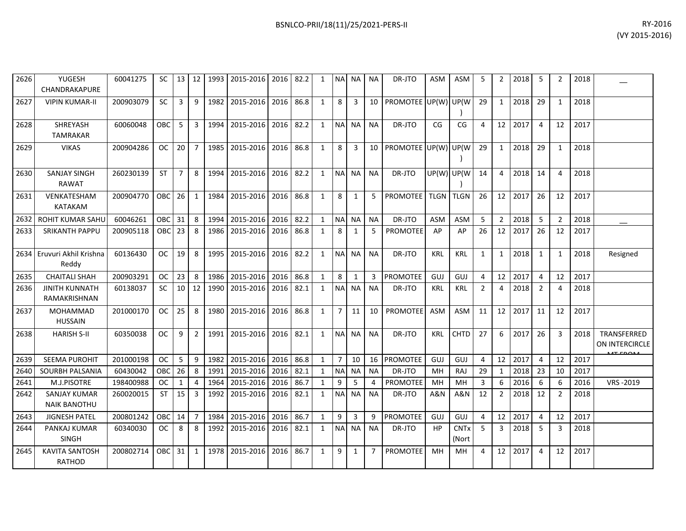| 2626 | YUGESH<br>CHANDRAKAPURE                    | 60041275  | SC         | 13 I            | 12             |      | 1993 2015-2016 | 2016 | 82.2 | 1            |                | NA NA     | ΝA              | DR-JTO                        | ASM           | ASM                             | 5  | $\overline{2}$  | 2018    | -5             | $\mathcal{P}$  | 2018 |                                         |
|------|--------------------------------------------|-----------|------------|-----------------|----------------|------|----------------|------|------|--------------|----------------|-----------|-----------------|-------------------------------|---------------|---------------------------------|----|-----------------|---------|----------------|----------------|------|-----------------------------------------|
| 2627 | <b>VIPIN KUMAR-II</b>                      | 200903079 | <b>SC</b>  | 3               | 9              |      | 1982 2015-2016 | 2016 | 86.8 | $\mathbf{1}$ | 8              | 3         | 10 <sup>1</sup> | PROMOTEE UP(W) UP(W)          |               |                                 | 29 | $\mathbf{1}$    | 2018    | 29             | $\mathbf{1}$   | 2018 |                                         |
| 2628 | SHREYASH<br><b>TAMRAKAR</b>                | 60060048  | OBC        | 5               | 3              |      | 1994 2015-2016 | 2016 | 82.2 | $\mathbf{1}$ |                | NA NA     | <b>NA</b>       | DR-JTO                        | CG            | CG                              | 4  | 12 <sup>1</sup> | 2017    | $\overline{4}$ | 12             | 2017 |                                         |
| 2629 | <b>VIKAS</b>                               | 200904286 | OC         | 20              | $\overline{7}$ |      | 1985 2015-2016 | 2016 | 86.8 | $\mathbf{1}$ | 8              | 3         | 10 I            | PROMOTEE UP(W) UP(W)          |               |                                 | 29 | 1               | 2018    | 29             | $\overline{1}$ | 2018 |                                         |
| 2630 | <b>SANJAY SINGH</b><br><b>RAWAT</b>        | 260230139 | <b>ST</b>  | $\overline{7}$  | 8              |      | 1994 2015-2016 | 2016 | 82.2 | $\mathbf{1}$ | <b>NA</b>      | <b>NA</b> | <b>NA</b>       | DR-JTO                        | $UP(W)$ UP(W) |                                 | 14 | 4               | 2018    | 14             | 4              | 2018 |                                         |
| 2631 | VENKATESHAM<br><b>KATAKAM</b>              | 200904770 | OBC        | <b>26</b>       | 1              |      | 1984 2015-2016 | 2016 | 86.8 | 1            | 8              | 1         | 5               | <b>PROMOTEE   TLGN   TLGN</b> |               |                                 | 26 | 12 <sup>1</sup> | 2017    | 26             | 12             | 2017 |                                         |
| 2632 | <b>ROHIT KUMAR SAHU</b>                    | 60046261  | OBC        | 31              | 8              | 1994 | 2015-2016      | 2016 | 82.2 | 1            |                | NA NA     | NA              | DR-JTO                        | <b>ASM</b>    | ASM                             | -5 | $\overline{2}$  | 2018    | -5             | 2              | 2018 |                                         |
| 2633 | <b>SRIKANTH PAPPU</b>                      | 200905118 | <b>OBC</b> | 23              | 8              |      | 1986 2015-2016 | 2016 | 86.8 | $\mathbf{1}$ | 8              | 1         | 5               | <b>PROMOTEE</b>               | AP            | AP                              | 26 | 12              | 2017    | 26             | 12             | 2017 |                                         |
| 2634 | Eruvuri Akhil Krishna<br>Reddy             | 60136430  | <b>OC</b>  | 19              | 8              |      | 1995 2015-2016 | 2016 | 82.2 | $\mathbf{1}$ |                | NA NA     | <b>NA</b>       | DR-JTO                        | KRL           | KRL                             | 1  | $\mathbf{1}$    | 2018    | 1              | $\mathbf{1}$   | 2018 | Resigned                                |
| 2635 | <b>CHAITALI SHAH</b>                       | 200903291 | <b>OC</b>  | 23              | 8              | 1986 | 2015-2016      | 2016 | 86.8 | $\mathbf{1}$ | 8              | 1         | $3-1$           | <b>PROMOTEE</b>               | GUJ           | GUJ                             | 4  | 12              | 2017    | 4              | 12             | 2017 |                                         |
| 2636 | <b>JINITH KUNNATH</b><br>RAMAKRISHNAN      | 60138037  | <b>SC</b>  | 10 <sup>1</sup> | 12             | 1990 | 2015-2016      | 2016 | 82.1 | $\mathbf{1}$ | <b>NA</b>      | <b>NA</b> | <b>NA</b>       | DR-JTO                        | KRL           | <b>KRL</b>                      | 2  | 4               | 2018    | $\overline{2}$ | 4              | 2018 |                                         |
| 2637 | <b>MOHAMMAD</b><br><b>HUSSAIN</b>          | 201000170 | OC.        | 25              | 8              |      | 1980 2015-2016 | 2016 | 86.8 | 1            | $\overline{7}$ | 11        | 10              | <b>PROMOTEE</b>               | <b>ASM</b>    | <b>ASM</b>                      | 11 | 12              | 2017    | 11             | 12             | 2017 |                                         |
| 2638 | <b>HARISH S-II</b>                         | 60350038  | ОC         | 9               | 2              |      | 1991 2015-2016 | 2016 | 82.1 | 1            | <b>NAI</b>     | <b>NA</b> | <b>NA</b>       | DR-JTO                        | <b>KRL</b>    | <b>CHTD</b>                     | 27 | 6               | 2017    | 26             | 3              | 2018 | TRANSFERRED<br>ON INTERCIRCLE<br>17.501 |
| 2639 | <b>SEEMA PUROHIT</b>                       | 201000198 | <b>OC</b>  | 5               | 9              | 1982 | 2015-2016 2016 |      | 86.8 | $\mathbf{1}$ | $\overline{7}$ | 10        | 16              | PROMOTEE                      | GUJ           | GUJ                             | 4  |                 | 12 2017 | $\overline{4}$ | 12             | 2017 |                                         |
| 2640 | SOURBH PALSANIA                            | 60430042  | OBC        | 26              | 8              | 1991 | 2015-2016      | 2016 | 82.1 | $\mathbf{1}$ |                | NA NA     | <b>NA</b>       | DR-JTO                        | MH            | RAJ                             | 29 | $\mathbf{1}$    | 2018    | 23             | 10             | 2017 |                                         |
| 2641 | M.J.PISOTRE                                | 198400988 | <b>OC</b>  | $\mathbf{1}$    | $\overline{4}$ | 1964 | 2015-2016      | 2016 | 86.7 | $\mathbf{1}$ | 9              | 5         | 4               | PROMOTEE                      | MH            | MH                              | 3  | 6               | 2016    | 6              | 6              | 2016 | VRS-2019                                |
| 2642 | <b>SANJAY KUMAR</b><br><b>NAIK BANOTHU</b> | 260020015 | <b>ST</b>  | 15              | 3              |      | 1992 2015-2016 | 2016 | 82.1 | $\mathbf{1}$ | <b>NA</b>      | <b>NA</b> | <b>NA</b>       | DR-JTO                        | A&N           | A&N                             | 12 | $\overline{2}$  | 2018    | 12             | 2              | 2018 |                                         |
| 2643 | <b>JIGNESH PATEL</b>                       | 200801242 | OBC        | 14              | $\overline{7}$ | 1984 | 2015-2016      | 2016 | 86.7 | $\mathbf{1}$ | 9              | 3         | 9               | <b>PROMOTEE</b>               | GUJ           | GUJ                             | 4  | 12              | 2017    | 4              | 12             | 2017 |                                         |
| 2644 | PANKAJ KUMAR<br><b>SINGH</b>               | 60340030  | <b>OC</b>  | 8               | 8              |      | 1992 2015-2016 | 2016 | 82.1 | $\mathbf{1}$ |                | NA NA     | <b>NA</b>       | DR-JTO                        | HP            | <b>CNT<sub>x</sub></b><br>(Nort | -5 | 3               | 2018    | -5             | 3              | 2018 |                                         |
| 2645 | <b>KAVITA SANTOSH</b><br><b>RATHOD</b>     | 200802714 | OBC        | 31              | $\mathbf{1}$   | 1978 | 2015-2016      | 2016 | 86.7 | $\mathbf{1}$ | 9              | 1         | 7               | <b>PROMOTEE</b>               | MH            | MН                              | Δ  | 12              | 2017    | 4              | 12             | 2017 |                                         |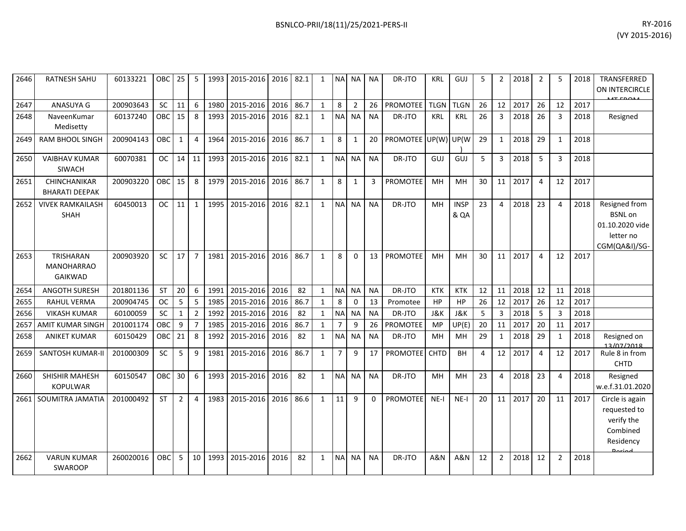| RY-2016        |
|----------------|
| (VY 2015-2016) |

| 2646 | RATNESH SAHU                                            | 60133221  | OBC I      | 25             | -5             | 1993   | 2015-2016      | 2016 | 82.1 | 1            | <b>NA</b>      | <b>NA</b>      | <b>NA</b> | DR-JTO          | <b>KRL</b>  | GUJ                 | 5  | 2              | 2018 | $\overline{2}$ | 5  | 2018 | TRANSFERRED<br>ON INTERCIRCLE                                                            |
|------|---------------------------------------------------------|-----------|------------|----------------|----------------|--------|----------------|------|------|--------------|----------------|----------------|-----------|-----------------|-------------|---------------------|----|----------------|------|----------------|----|------|------------------------------------------------------------------------------------------|
| 2647 | ANASUYA G                                               | 200903643 | <b>SC</b>  | 11             | 6              | 1980   | 2015-2016      | 2016 | 86.7 | $\mathbf{1}$ | 8              | $\overline{2}$ | 26        | PROMOTEE        | <b>TLGN</b> | <b>TLGN</b>         | 26 | 12             | 2017 | 26             | 12 | 2017 |                                                                                          |
| 2648 | NaveenKumar<br>Medisetty                                | 60137240  | <b>OBC</b> | 15             | 8              | 1993   | 2015-2016      | 2016 | 82.1 | $\mathbf{1}$ | <b>NA</b>      | <b>NA</b>      | <b>NA</b> | DR-JTO          | <b>KRL</b>  | <b>KRL</b>          | 26 | $\overline{3}$ | 2018 | 26             | 3  | 2018 | Resigned                                                                                 |
| 2649 | <b>RAM BHOOL SINGH</b>                                  | 200904143 | <b>OBC</b> | 1              | 4              | 1964   | 2015-2016      | 2016 | 86.7 | $\mathbf{1}$ | 8              | 1              | 20        | <b>PROMOTEE</b> | UP(W)       | UP(W                | 29 | 1              | 2018 | 29             | 1  | 2018 |                                                                                          |
| 2650 | <b>VAIBHAV KUMAR</b><br>SIWACH                          | 60070381  | <b>OC</b>  | $14$ 11        |                | 1993   | 2015-2016      | 2016 | 82.1 | $\mathbf{1}$ | <b>NA</b>      | <b>NA</b>      | <b>NA</b> | DR-JTO          | GUJ         | GUJ                 | 5  | 3              | 2018 | 5              | 3  | 2018 |                                                                                          |
| 2651 | <b>CHINCHANIKAR</b><br><b>BHARATI DEEPAK</b>            | 200903220 | OBC        | 15             | 8              | 1979 L | 2015-2016      | 2016 | 86.7 | $\mathbf{1}$ | 8              | 1              | 3         | <b>PROMOTEE</b> | MH          | MН                  | 30 | 11             | 2017 | 4              | 12 | 2017 |                                                                                          |
| 2652 | <b>VIVEK RAMKAILASH</b><br><b>SHAH</b>                  | 60450013  | <b>OC</b>  | 11             | $\mathbf{1}$   | 1995   | 2015-2016      | 2016 | 82.1 | $\mathbf{1}$ | N <sub>A</sub> | <b>NA</b>      | <b>NA</b> | DR-JTO          | MH          | <b>INSP</b><br>& QA | 23 | 4              | 2018 | 23             | 4  | 2018 | Resigned from<br><b>BSNL</b> on<br>01.10.2020 vide<br>letter no<br>CGM(QA&I)/SG-         |
| 2653 | <b>TRISHARAN</b><br><b>MANOHARRAO</b><br><b>GAIKWAD</b> | 200903920 | SC.        | 17             | $\overline{7}$ | 1981   | 2015-2016      | 2016 | 86.7 | $\mathbf{1}$ | 8              | 0              | 13        | <b>PROMOTEE</b> | MH          | MH                  | 30 | 11             | 2017 | 4              | 12 | 2017 |                                                                                          |
| 2654 | <b>ANGOTH SURESH</b>                                    | 201801136 | <b>ST</b>  | 20             | 6              | 1991   | 2015-2016      | 2016 | 82   | $\mathbf{1}$ | N <sub>A</sub> | <b>NA</b>      | <b>NA</b> | DR-JTO          | <b>KTK</b>  | <b>KTK</b>          | 12 | 11             | 2018 | 12             | 11 | 2018 |                                                                                          |
| 2655 | <b>RAHUL VERMA</b>                                      | 200904745 | <b>OC</b>  | 5              | 5              | 1985   | 2015-2016      | 2016 | 86.7 | $\mathbf{1}$ | 8              | $\Omega$       | 13        | Promotee        | HP          | HP                  | 26 | 12             | 2017 | 26             | 12 | 2017 |                                                                                          |
| 2656 | <b>VIKASH KUMAR</b>                                     | 60100059  | SC         | 1              | $\overline{2}$ | 1992   | 2015-2016      | 2016 | 82   | $\mathbf{1}$ | N <sub>A</sub> | <b>NA</b>      | <b>NA</b> | DR-JTO          | J&K         | J&K                 | 5  | $\overline{3}$ | 2018 | -5             | 3  | 2018 |                                                                                          |
| 2657 | <b>AMIT KUMAR SINGH</b>                                 | 201001174 | OBC        | 9              | 7              | 1985   | 2015-2016      | 2016 | 86.7 | $\mathbf{1}$ |                | 9              | 26        | PROMOTEE        | MP          | UP(E)               | 20 | 11             | 2017 | 20             | 11 | 2017 |                                                                                          |
| 2658 | <b>ANIKET KUMAR</b>                                     | 60150429  | <b>OBC</b> | 21             | 8              | 1992   | 2015-2016      | 2016 | 82   | $\mathbf{1}$ | <b>NA</b>      | <b>NA</b>      | <b>NA</b> | DR-JTO          | MH          | MH                  | 29 | 1              | 2018 | 29             | 1  | 2018 | Resigned on<br>13/07/2018                                                                |
| 2659 | <b>SANTOSH KUMAR-II</b>                                 | 201000309 | <b>SC</b>  | 5              | 9              | 1981   | 2015-2016      | 2016 | 86.7 | $\mathbf{1}$ | $\overline{7}$ | 9              | 17        | <b>PROMOTEE</b> | <b>CHTD</b> | BH                  | 4  | 12             | 2017 | 4              | 12 | 2017 | Rule 8 in from<br><b>CHTD</b>                                                            |
| 2660 | SHISHIR MAHESH<br><b>KOPULWAR</b>                       | 60150547  | OBC        | 30             | 6              | 1993   | 2015-2016      | 2016 | 82   | $\mathbf{1}$ | <b>NA</b>      | <b>NA</b>      | <b>NA</b> | DR-JTO          | MH          | MH                  | 23 | 4              | 2018 | 23             | 4  | 2018 | Resigned<br>w.e.f.31.01.2020                                                             |
| 2661 | SOUMITRA JAMATIA                                        | 201000492 | <b>ST</b>  | $\overline{2}$ | $\overline{4}$ |        | 1983 2015-2016 | 2016 | 86.6 | $\mathbf{1}$ | 11             | 9              | $\Omega$  | <b>PROMOTEE</b> | $NE-I$      | $NE-I$              | 20 | 11             | 2017 | 20             | 11 | 2017 | Circle is again<br>requested to<br>verify the<br>Combined<br>Residency<br><b>Dorigal</b> |
| 2662 | <b>VARUN KUMAR</b><br><b>SWAROOP</b>                    | 260020016 | OBC        | 5              | 10             | 1993   | 2015-2016      | 2016 | 82   | 1            | <b>NA</b>      | <b>NA</b>      | NA        | DR-JTO          | A&N         | A&N                 | 12 | $\overline{2}$ | 2018 | 12             | 2  | 2018 |                                                                                          |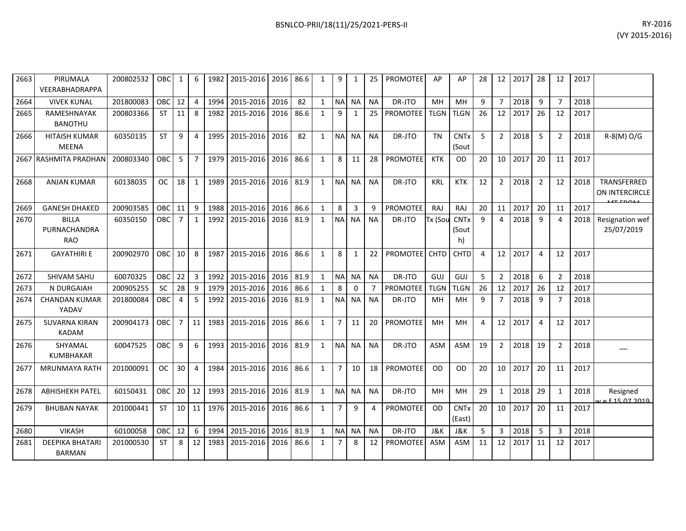| BSNLCO-PRII/18(11)/25/2021-PERS-II | RY-2016 |
|------------------------------------|---------|
|------------------------------------|---------|

| 2663 | PIRUMALA<br>VEERABHADRAPPA                 | 200802532 | <b>OBC</b> | 1              | 6              |      | 1982   2015-2016   2016   86.6 |      |      | 1            | 9              |              | 25             | <b>PROMOTEE</b> | AP          | AP                               | 28             | 12             | 2017 | 28             | 12             | 2017 |                                        |
|------|--------------------------------------------|-----------|------------|----------------|----------------|------|--------------------------------|------|------|--------------|----------------|--------------|----------------|-----------------|-------------|----------------------------------|----------------|----------------|------|----------------|----------------|------|----------------------------------------|
| 2664 | <b>VIVEK KUNAL</b>                         | 201800083 | <b>OBC</b> | 12             | 4              | 1994 | 2015-2016                      | 2016 | 82   | 1            | <b>NA</b>      | <b>NA</b>    | <b>NA</b>      | DR-JTO          | MH          | <b>MH</b>                        | 9              | $\overline{7}$ | 2018 | 9              | $\overline{7}$ | 2018 |                                        |
| 2665 | RAMESHNAYAK<br><b>BANOTHU</b>              | 200803366 | <b>ST</b>  | 11             | 8              | 1982 | 2015-2016                      | 2016 | 86.6 | $\mathbf{1}$ | 9              | $\mathbf{1}$ | 25             | <b>PROMOTEE</b> | <b>TLGN</b> | <b>TLGN</b>                      | 26             | 12             | 2017 | 26             | 12             | 2017 |                                        |
| 2666 | <b>HITAISH KUMAR</b><br><b>MEENA</b>       | 60350135  | <b>ST</b>  | 9              | 4              | 1995 | 2015-2016                      | 2016 | 82   | 1            | <b>NA</b>      | NA           | <b>NA</b>      | DR-JTO          | TN          | <b>CNT<sub>x</sub></b><br>(Sout  | -5             | 2              | 2018 | 5              | $\overline{2}$ | 2018 | $R-S(M)O/G$                            |
|      | 2667 RASHMITA PRADHAN                      | 200803340 | OBC        | 5              | $\overline{7}$ | 1979 | 2015-2016                      | 2016 | 86.6 | 1            | 8              | 11           | 28             | <b>PROMOTEE</b> | KTK         | OD.                              | 20             | 10             | 2017 | 20             | 11             | 2017 |                                        |
| 2668 | <b>ANJAN KUMAR</b>                         | 60138035  | <b>OC</b>  | 18             | 1              | 1989 | 2015-2016                      | 2016 | 81.9 | $\mathbf{1}$ | N <sub>A</sub> | <b>NA</b>    | <b>NA</b>      | DR-JTO          | <b>KRL</b>  | <b>KTK</b>                       | 12             | 2              | 2018 | $\overline{2}$ | 12             | 2018 | TRANSFERRED<br><b>ON INTERCIRCLE</b>   |
| 2669 | <b>GANESH DHAKED</b>                       | 200903585 | <b>OBC</b> | 11             | 9              | 1988 | 2015-2016                      | 2016 | 86.6 | 1            | 8              | 3            | 9              | <b>PROMOTEE</b> | RAJ         | RAJ                              | 20             | 11             | 2017 | 20             | 11             | 2017 |                                        |
| 2670 | <b>BILLA</b><br>PURNACHANDRA<br><b>RAO</b> | 60350150  | <b>OBC</b> | $\overline{7}$ | $\mathbf{1}$   | 1992 | 2015-2016                      | 2016 | 81.9 | $\mathbf{1}$ | <b>NA</b>      | <b>NA</b>    | <b>NA</b>      | DR-JTO          | Tx (Sou     | <b>CNTx</b><br>(Sout<br>h)       | $\mathbf{q}$   | 4              | 2018 | 9              | 4              | 2018 | Resignation wef<br>25/07/2019          |
| 2671 | <b>GAYATHIRI E</b>                         | 200902970 | <b>OBC</b> | 10             | 8              | 1987 | 2015-2016                      | 2016 | 86.6 | 1            | 8              | $\mathbf{1}$ | 22             | <b>PROMOTEE</b> | <b>CHTD</b> | <b>CHTD</b>                      | $\overline{4}$ | 12             | 2017 | 4              | 12             | 2017 |                                        |
| 2672 | SHIVAM SAHU                                | 60070325  | <b>OBC</b> | 22             | $\mathbf{3}$   | 1992 | 2015-2016                      | 2016 | 81.9 | 1            | <b>NA</b>      | <b>NA</b>    | <b>NA</b>      | DR-JTO          | GUJ         | GUJ                              | 5              | $\overline{2}$ | 2018 | 6              | $\overline{2}$ | 2018 |                                        |
| 2673 | N DURGAIAH                                 | 200905255 | <b>SC</b>  | 28             | 9              | 1979 | 2015-2016                      | 2016 | 86.6 | 1            | 8              | $\Omega$     | $\overline{7}$ | <b>PROMOTEE</b> | <b>TLGN</b> | <b>TLGN</b>                      | 26             | 12             | 2017 | 26             | 12             | 2017 |                                        |
| 2674 | <b>CHANDAN KUMAR</b><br>YADAV              | 201800084 | OBC        | 4              | 5              | 1992 | 2015-2016                      | 2016 | 81.9 | $\mathbf{1}$ | <b>NA</b>      | <b>NA</b>    | <b>NA</b>      | DR-JTO          | MH          | MН                               | 9              | $\overline{7}$ | 2018 | 9              | $\overline{7}$ | 2018 |                                        |
| 2675 | <b>SUVARNA KIRAN</b><br><b>KADAM</b>       | 200904173 | <b>OBC</b> | $\overline{7}$ | 11             | 1983 | 2015-2016                      | 2016 | 86.6 | $\mathbf{1}$ | $\overline{7}$ | 11           | 20             | <b>PROMOTEE</b> | MH          | MН                               | 4              | 12             | 2017 | 4              | 12             | 2017 |                                        |
| 2676 | SHYAMAL<br><b>KUMBHAKAR</b>                | 60047525  | <b>OBC</b> | 9              | 6              | 1993 | 2015-2016                      | 2016 | 81.9 | $\mathbf{1}$ | <b>NA</b>      | <b>NA</b>    | <b>NA</b>      | DR-JTO          | ASM         | ASM                              | 19             | 2              | 2018 | 19             | $\overline{2}$ | 2018 |                                        |
| 2677 | <b>MRUNMAYA RATH</b>                       | 201000091 | <b>OC</b>  | 30             | 4              | 1984 | 2015-2016                      | 2016 | 86.6 | $\mathbf{1}$ | 7              | 10           | 18             | <b>PROMOTEE</b> | OD          | 0D                               | 20             | 10             | 2017 | 20             | 11             | 2017 |                                        |
| 2678 | <b>ABHISHEKH PATEL</b>                     | 60150431  | OBC.       | 20             | 12             | 1993 | 2015-2016                      | 2016 | 81.9 | 1            | <b>NA</b>      | <b>NA</b>    | <b>NA</b>      | DR-JTO          | MH          | MН                               | 29             | $\mathbf{1}$   | 2018 | 29             | 1              | 2018 | Resigned<br><u> 4 14 15 16 2019 لو</u> |
| 2679 | <b>BHUBAN NAYAK</b>                        | 201000441 | <b>ST</b>  | 10             | 11             | 1976 | 2015-2016                      | 2016 | 86.6 | $\mathbf{1}$ | $\overline{7}$ | 9            | $\Delta$       | <b>PROMOTEE</b> | <b>OD</b>   | <b>CNT<sub>x</sub></b><br>(East) | 20             | 10             | 2017 | 20             | 11             | 2017 |                                        |
| 2680 | <b>VIKASH</b>                              | 60100058  | OBC.       | 12             | 6              | 1994 | 2015-2016                      | 2016 | 81.9 | 1            | <b>NA</b>      | <b>NA</b>    | <b>NA</b>      | DR-JTO          | J&K         | J&K                              | 5              | 3              | 2018 | 5              | 3              | 2018 |                                        |
| 2681 | <b>DEEPIKA BHATARI</b><br><b>BARMAN</b>    | 201000530 | <b>ST</b>  | 8              | 12             | 1983 | 2015-2016                      | 2016 | 86.6 | 1            | $\overline{7}$ | 8            | 12             | <b>PROMOTEE</b> | <b>ASM</b>  | <b>ASM</b>                       | 11             | 12             | 2017 | 11             | 12             | 2017 |                                        |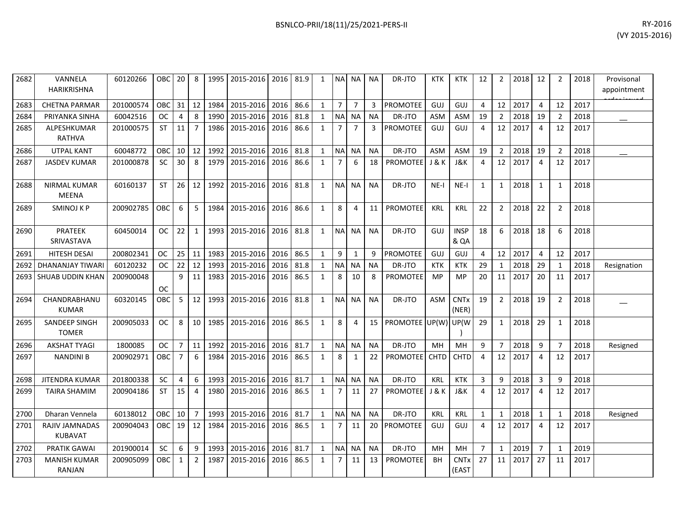| 2682 | VANNELA<br>HARIKRISHNA              | 60120266  | OBC       | 20               | 8                | 1995 | 2015-2016      | 2016 | 81.9 | $\mathbf{1}$ |                | NA NA          | <b>NA</b> | DR-JTO          | <b>KTK</b>       | <b>KTK</b>           | 12             | $\overline{2}$ | 2018 | 12             | $\overline{2}$ | 2018 | Provisonal<br>appointment |
|------|-------------------------------------|-----------|-----------|------------------|------------------|------|----------------|------|------|--------------|----------------|----------------|-----------|-----------------|------------------|----------------------|----------------|----------------|------|----------------|----------------|------|---------------------------|
| 2683 | <b>CHETNA PARMAR</b>                | 201000574 | OBC       | 31               | 12               | 1984 | 2015-2016      | 2016 | 86.6 | $\mathbf{1}$ | $\overline{7}$ | $\overline{7}$ | 3         | <b>PROMOTEE</b> | GUJ              | GUJ                  | 4              | 12             | 2017 | $\overline{4}$ | 12             | 2017 |                           |
| 2684 | PRIYANKA SINHA                      | 60042516  | <b>OC</b> | $\overline{4}$   | 8                | 1990 | 2015-2016      | 2016 | 81.8 | $\mathbf{1}$ | <b>NA</b>      | <b>NA</b>      | <b>NA</b> | DR-JTO          | <b>ASM</b>       | <b>ASM</b>           | 19             | $\overline{2}$ | 2018 | 19             | $\overline{2}$ | 2018 |                           |
| 2685 | ALPESHKUMAR<br>RATHVA               | 201000575 | <b>ST</b> | 11               | $\overline{7}$   | 1986 | 2015-2016      | 2016 | 86.6 | $\mathbf{1}$ | 7              | $\overline{7}$ | 3         | <b>PROMOTEE</b> | GUJ              | GUJ                  | 4              | 12             | 2017 | $\overline{4}$ | 12             | 2017 |                           |
| 2686 | <b>UTPAL KANT</b>                   | 60048772  | OBC       | 10               | 12               | 1992 | 2015-2016      | 2016 | 81.8 | $\mathbf{1}$ | NA NA          |                | <b>NA</b> | DR-JTO          | <b>ASM</b>       | <b>ASM</b>           | 19             | $\overline{2}$ | 2018 | 19             | $\overline{2}$ | 2018 |                           |
| 2687 | <b>JASDEV KUMAR</b>                 | 201000878 | <b>SC</b> | 30               | 8                | 1979 | 2015-2016      | 2016 | 86.6 | $\mathbf{1}$ | $\overline{7}$ | 6              | 18        | PROMOTEE        | J&K              | J&K                  | 4              | 12             | 2017 | $\overline{4}$ | 12             | 2017 |                           |
| 2688 | <b>NIRMAL KUMAR</b><br><b>MEENA</b> | 60160137  | <b>ST</b> | 26               | 12               | 1992 | 2015-2016      | 2016 | 81.8 | $\mathbf{1}$ | <b>NA</b>      | <b>NA</b>      | <b>NA</b> | DR-JTO          | $NE-I$           | NE-I                 | $\mathbf{1}$   | $\mathbf{1}$   | 2018 | 1              | 1              | 2018 |                           |
| 2689 | SMINOJ K P                          | 200902785 | OBC       | 6                | 5                | 1984 | 2015-2016      | 2016 | 86.6 | $\mathbf{1}$ | 8              | $\overline{4}$ | 11        | <b>PROMOTEE</b> | KRL              | <b>KRL</b>           | 22             | $\overline{2}$ | 2018 | 22             | $\overline{2}$ | 2018 |                           |
| 2690 | PRATEEK<br>SRIVASTAVA               | 60450014  | <b>OC</b> | 22               | $\mathbf{1}$     | 1993 | 2015-2016      | 2016 | 81.8 | $\mathbf{1}$ | <b>NA</b>      | <b>NA</b>      | <b>NA</b> | DR-JTO          | GUJ              | <b>INSP</b><br>& QA  | 18             | 6              | 2018 | 18             | 6              | 2018 |                           |
| 2691 | <b>HITESH DESAI</b>                 | 200802341 | <b>OC</b> | 25               | 11               |      | 1983 2015-2016 | 2016 | 86.5 | $\mathbf{1}$ | 9              | $\mathbf{1}$   | 9         | <b>PROMOTEE</b> | GUJ              | GUJ                  | 4              | 12             | 2017 | $\overline{4}$ | 12             | 2017 |                           |
| 2692 | DHANANJAY TIWARI                    | 60120232  | <b>OC</b> | 22               | 12               | 1993 | 2015-2016      | 2016 | 81.8 | $\mathbf{1}$ | N <sub>A</sub> | NA             | <b>NA</b> | DR-JTO          | <b>KTK</b>       | <b>KTK</b>           | 29             | 1              | 2018 | 29             | -1             | 2018 | Resignation               |
| 2693 | <b>SHUAB UDDIN KHAN</b>             | 200900048 | <b>OC</b> | 9                | 11               | 1983 | 2015-2016      | 2016 | 86.5 | $\mathbf{1}$ | 8              | 10             | 8         | <b>PROMOTEE</b> | MP               | <b>MP</b>            | 20             | 11             | 2017 | 20             | 11             | 2017 |                           |
| 2694 | CHANDRABHANU<br><b>KUMAR</b>        | 60320145  | OBC       | 5                | 12               | 1993 | 2015-2016      | 2016 | 81.8 | 1            | <b>NA</b>      | <b>NA</b>      | <b>NA</b> | DR-JTO          | <b>ASM</b>       | <b>CNTx</b><br>(NER) | 19             | $\overline{2}$ | 2018 | 19             | $\overline{2}$ | 2018 |                           |
| 2695 | SANDEEP SINGH<br><b>TOMER</b>       | 200905033 | <b>OC</b> | 8                | 10               | 1985 | 2015-2016      | 2016 | 86.5 | $\mathbf{1}$ | 8              | 4              | 15        | PROMOTEE UP(W)  |                  | UP(W                 | 29             | 1              | 2018 | 29             | 1              | 2018 |                           |
| 2696 | <b>AKSHAT TYAGI</b>                 | 1800085   | ОC        | $\overline{7}$   | 11               | 1992 | 2015-2016      | 2016 | 81.7 | $\mathbf{1}$ |                | NA NA          | <b>NA</b> | DR-JTO          | MH               | MH                   | 9              | $\overline{7}$ | 2018 | 9              | $\overline{7}$ | 2018 | Resigned                  |
| 2697 | <b>NANDINI B</b>                    | 200902971 | OBC       | 7                | $\boldsymbol{6}$ | 1984 | 2015-2016      | 2016 | 86.5 | $\mathbf{1}$ | 8              | $\mathbf{1}$   | 22        | <b>PROMOTEE</b> | <b>CHTD</b>      | <b>CHTD</b>          | 4              | 12             | 2017 | $\overline{4}$ | 12             | 2017 |                           |
| 2698 | <b>JITENDRA KUMAR</b>               | 201800338 | SC        | $\overline{4}$   | 6                | 1993 | 2015-2016      | 2016 | 81.7 | $\mathbf{1}$ |                | NA NA          | <b>NA</b> | DR-JTO          | <b>KRL</b>       | <b>KTK</b>           | 3              | 9              | 2018 | $\overline{3}$ | 9              | 2018 |                           |
| 2699 | <b>TAIRA SHAMIM</b>                 | 200904186 | <b>ST</b> | 15               | $\overline{4}$   | 1980 | 2015-2016      | 2016 | 86.5 | $\mathbf{1}$ | $\overline{7}$ | 11             | 27        | <b>PROMOTEE</b> | <b>J &amp; K</b> | J&K                  | 4              | 12             | 2017 | $\overline{a}$ | 12             | 2017 |                           |
| 2700 | Dharan Vennela                      | 60138012  | OBC       | 10               | $\overline{7}$   | 1993 | 2015-2016      | 2016 | 81.7 | $\mathbf{1}$ | <b>NA</b>      | <b>NA</b>      | <b>NA</b> | DR-JTO          | KRL              | KRL                  | $\mathbf{1}$   | $\mathbf{1}$   | 2018 | $\mathbf{1}$   | $\mathbf{1}$   | 2018 | Resigned                  |
| 2701 | RAJIV JAMNADAS<br><b>KUBAVAT</b>    | 200904043 | OBC       | 19               | 12               | 1984 | 2015-2016      | 2016 | 86.5 | $\mathbf{1}$ | 7              | 11             | 20        | PROMOTEE        | GUJ              | GUJ                  | 4              | 12             | 2017 | $\overline{4}$ | 12             | 2017 |                           |
| 2702 | PRATIK GAWAI                        | 201900014 | SC        | $\boldsymbol{6}$ | 9                | 1993 | 2015-2016      | 2016 | 81.7 | $\mathbf{1}$ | N <sub>A</sub> | <b>NA</b>      | <b>NA</b> | DR-JTO          | MH               | MH                   | $\overline{7}$ | $\mathbf{1}$   | 2019 | $\overline{7}$ | -1             | 2019 |                           |
| 2703 | <b>MANISH KUMAR</b><br>RANJAN       | 200905099 | OBC       | 1                | $\overline{2}$   | 1987 | 2015-2016      | 2016 | 86.5 | $\mathbf{1}$ | $\overline{7}$ | 11             | 13        | <b>PROMOTEE</b> | BH               | <b>CNTx</b><br>(EAST | 27             | 11             | 2017 | 27             | 11             | 2017 |                           |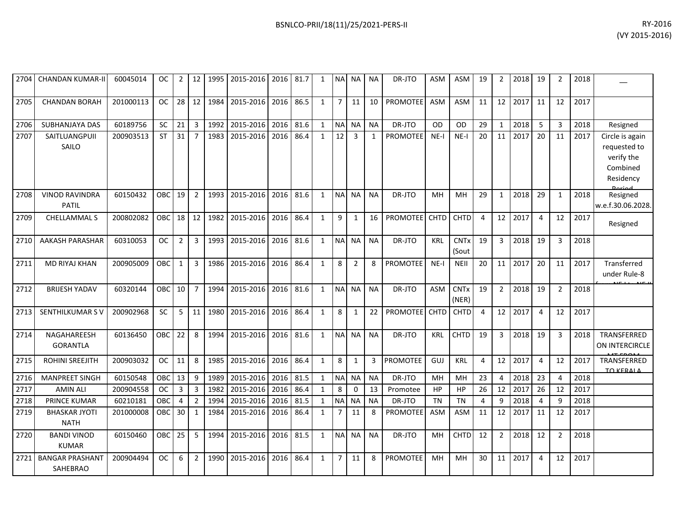| 2704 | <b>CHANDAN KUMAR-II</b>             | 60045014  | OC .       | 2              | 12 <sub>1</sub> | 1995 | 2015-2016   2016   81.7 |      |      | 1            |                | NA NA NA       |              | DR-JTO          | ASM         | ASM                             | 19 | $\overline{2}$ | 2018 19 |                | 2              | 2018 |                                                                                         |
|------|-------------------------------------|-----------|------------|----------------|-----------------|------|-------------------------|------|------|--------------|----------------|----------------|--------------|-----------------|-------------|---------------------------------|----|----------------|---------|----------------|----------------|------|-----------------------------------------------------------------------------------------|
| 2705 | <b>CHANDAN BORAH</b>                | 201000113 | <b>OC</b>  | 28             | 12              | 1984 | 2015-2016               | 2016 | 86.5 | $\mathbf{1}$ | $\overline{7}$ | 11             | 10           | <b>PROMOTEE</b> | <b>ASM</b>  | <b>ASM</b>                      | 11 | 12             | 2017    | 11             | 12             | 2017 |                                                                                         |
| 2706 | SUBHANJAYA DAS                      | 60189756  | SC         | 21             | 3               | 1992 | 2015-2016               | 2016 | 81.6 | $\mathbf{1}$ | <b>NA</b>      | <b>NA</b>      | <b>NA</b>    | DR-JTO          | OD          | <b>OD</b>                       | 29 | $\mathbf{1}$   | 2018    | 5              | 3              | 2018 | Resigned                                                                                |
| 2707 | SAITLUANGPUII<br>SAILO              | 200903513 | <b>ST</b>  | 31             | $\overline{7}$  | 1983 | 2015-2016               | 2016 | 86.4 | $\mathbf{1}$ | 12             | $\mathbf{3}$   | $\mathbf{1}$ | <b>PROMOTEE</b> | $NE-I$      | $NE-I$                          | 20 | 11             | 2017    | 20             | 11             | 2017 | Circle is again<br>requested to<br>verify the<br>Combined<br>Residency<br><b>Doriad</b> |
| 2708 | <b>VINOD RAVINDRA</b><br>PATIL      | 60150432  | OBC        | 19             | $\overline{2}$  | 1993 | 2015-2016               | 2016 | 81.6 | $\mathbf{1}$ | <b>NA</b>      | <b>NA</b>      | <b>NA</b>    | DR-JTO          | MН          | <b>MH</b>                       | 29 | $\mathbf{1}$   | 2018    | 29             | 1              | 2018 | Resigned<br>w.e.f.30.06.2028.                                                           |
| 2709 | CHELLAMMAL S                        | 200802082 | <b>OBC</b> | 18             | 12              | 1982 | 2015-2016               | 2016 | 86.4 | $\mathbf{1}$ | 9              | 1              | 16           | PROMOTEE        | <b>CHTD</b> | CHTD                            | 4  | 12             | 2017    | $\overline{4}$ | 12             | 2017 | Resigned                                                                                |
| 2710 | <b>AAKASH PARASHAR</b>              | 60310053  | <b>OC</b>  | 2              | 3               | 1993 | 2015-2016               | 2016 | 81.6 | 1            | <b>NA</b>      | <b>NA</b>      | <b>NA</b>    | DR-JTO          | <b>KRL</b>  | <b>CNT<sub>x</sub></b><br>(Sout | 19 | 3              | 2018    | 19             | 3              | 2018 |                                                                                         |
| 2711 | <b>MD RIYAJ KHAN</b>                | 200905009 | <b>OBC</b> | $\mathbf{1}$   | $\overline{3}$  | 1986 | 2015-2016               | 2016 | 86.4 | $\mathbf{1}$ | 8              | $\overline{2}$ | 8            | PROMOTEE        | $NE-I$      | <b>NEII</b>                     | 20 | 11             | 2017    | 20             | 11             | 2017 | Transferred<br>under Rule-8                                                             |
| 2712 | <b>BRIJESH YADAV</b>                | 60320144  | OBC I      | 10             | $\overline{7}$  | 1994 | 2015-2016               | 2016 | 81.6 | 1            | <b>NA</b>      | <b>NA</b>      | <b>NA</b>    | DR-JTO          | <b>ASM</b>  | <b>CNT<sub>x</sub></b><br>(NER) | 19 | $\overline{2}$ | 2018    | 19             | $\overline{2}$ | 2018 |                                                                                         |
| 2713 | SENTHILKUMAR SV                     | 200902968 | SC         | 5              | 11              | 1980 | 2015-2016               | 2016 | 86.4 | $\mathbf{1}$ | 8              | 1              | 22           | <b>PROMOTEE</b> | <b>CHTD</b> | CHTD                            | 4  | 12             | 2017    | $\overline{4}$ | 12             | 2017 |                                                                                         |
| 2714 | NAGAHAREESH<br><b>GORANTLA</b>      | 60136450  | OBC        | 22             | 8               | 1994 | 2015-2016               | 2016 | 81.6 | $\mathbf{1}$ | N <sub>A</sub> | <b>NA</b>      | <b>NA</b>    | DR-JTO          | <b>KRL</b>  | <b>CHTD</b>                     | 19 | 3              | 2018    | 19             | 3              | 2018 | TRANSFERRED<br>ON INTERCIRCLE                                                           |
| 2715 | ROHINI SREEJITH                     | 200903032 | <b>OC</b>  | 11             | 8               | 1985 | 2015-2016               | 2016 | 86.4 | $\mathbf{1}$ | 8              | $\mathbf{1}$   | 3            | <b>PROMOTEE</b> | <b>GUJ</b>  | <b>KRL</b>                      | 4  | 12             | 2017    | 4              | 12             | 2017 | TRANSFERRED<br><b>TO KERALA</b>                                                         |
| 2716 | <b>MANPREET SINGH</b>               | 60150548  | OBC        | 13             | 9               | 1989 | 2015-2016               | 2016 | 81.5 | $\mathbf{1}$ | NA NA          |                | <b>NA</b>    | DR-JTO          | MH          | MH                              | 23 | $\overline{4}$ | 2018    | 23             | 4              | 2018 |                                                                                         |
| 2717 | <b>AMIN ALI</b>                     | 200904558 | <b>OC</b>  | $\overline{3}$ | 3               | 1982 | 2015-2016               | 2016 | 86.4 | $\mathbf{1}$ | 8              | $\Omega$       | 13           | Promotee        | HP          | <b>HP</b>                       | 26 | 12             | 2017    | 26             | 12             | 2017 |                                                                                         |
| 2718 | <b>PRINCE KUMAR</b>                 | 60210181  | OBC        | 4              | $\overline{2}$  | 1994 | 2015-2016               | 2016 | 81.5 | 1            | <b>NA</b>      | <b>NA</b>      | <b>NA</b>    | DR-JTO          | <b>TN</b>   | <b>TN</b>                       | 4  | 9              | 2018    | 4              | q              | 2018 |                                                                                         |
| 2719 | <b>BHASKAR JYOTI</b><br><b>NATH</b> | 201000008 | <b>OBC</b> | 30             | $\mathbf{1}$    | 1984 | 2015-2016               | 2016 | 86.4 | $\mathbf{1}$ | $\overline{7}$ | 11             | 8            | <b>PROMOTEE</b> | <b>ASM</b>  | <b>ASM</b>                      | 11 | 12             | 2017    | 11             | 12             | 2017 |                                                                                         |
| 2720 | <b>BANDI VINOD</b><br><b>KUMAR</b>  | 60150460  | <b>OBC</b> | 25             | 5               | 1994 | 2015-2016               | 2016 | 81.5 | $\mathbf{1}$ | <b>NA</b>      | NA.            | <b>NA</b>    | DR-JTO          | MH          | <b>CHTD</b>                     | 12 | $\overline{2}$ | 2018    | 12             | $\overline{2}$ | 2018 |                                                                                         |
| 2721 | <b>BANGAR PRASHANT</b><br>SAHEBRAO  | 200904494 | <b>OC</b>  | 6              | $\overline{2}$  | 1990 | 2015-2016               | 2016 | 86.4 | $\mathbf{1}$ | $\overline{7}$ | 11             | 8            | <b>PROMOTEE</b> | MH          | MH                              | 30 | 11             | 2017    | 4              | 12             | 2017 |                                                                                         |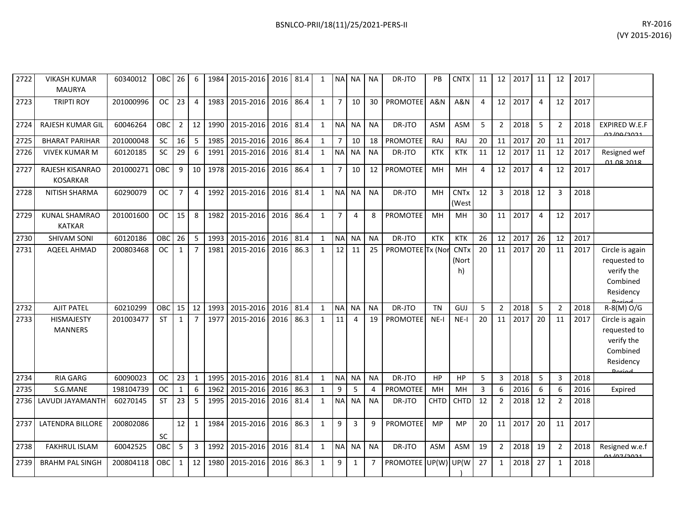|      |                                       |           |           |                |                |      |                |      |      |              |                |           |           |                  |            |                        |    |                |      |    |                |      | י-כב טביין,                                 |
|------|---------------------------------------|-----------|-----------|----------------|----------------|------|----------------|------|------|--------------|----------------|-----------|-----------|------------------|------------|------------------------|----|----------------|------|----|----------------|------|---------------------------------------------|
|      |                                       |           |           |                |                |      |                |      |      |              |                |           |           |                  |            |                        |    |                |      |    |                |      |                                             |
|      |                                       |           |           |                |                |      |                |      |      |              |                |           |           |                  |            |                        |    |                |      |    |                |      |                                             |
| 2722 | <b>VIKASH KUMAR</b><br>MAURYA         | 60340012  | OBC       | 26             | 6              | 1984 | 2015-2016 2016 |      | 81.4 |              | <b>NAI</b>     | <b>NA</b> | <b>NA</b> | DR-JTO           | PB         | <b>CNTX</b>            | 11 | 12             | 2017 | 11 | 12             | 2017 |                                             |
| 2723 | <b>TRIPTI ROY</b>                     | 201000996 | <b>OC</b> | 23             | $\overline{4}$ | 1983 | 2015-2016      | 2016 | 86.4 |              | $\overline{7}$ | 10        | 30        | <b>PROMOTEE</b>  | A&N        | A&N                    | 4  | 12             | 2017 |    | 12             | 2017 |                                             |
| 2724 | <b>RAJESH KUMAR GIL</b>               | 60046264  | OBC       | $\overline{2}$ | 12             | 1990 | 2015-2016 2016 |      | 81.4 | $\mathbf{1}$ | <b>NAI</b>     | <b>NA</b> | <b>NA</b> | DR-JTO           | <b>ASM</b> | <b>ASM</b>             | 5. | $\overline{2}$ | 2018 | 5  | $\overline{2}$ | 2018 | <b>EXPIRED W.E.F</b><br><u>na Inn Ianas</u> |
| 2725 | <b>BHARAT PARIHAR</b>                 | 201000048 | <b>SC</b> | 16             | 5              | 1985 | 2015-2016 2016 |      | 86.4 |              | $\overline{7}$ | 10        | 18        | PROMOTEE         | RAJ        | RAJ                    | 20 | 11             | 2017 | 20 | 11             | 2017 |                                             |
| 2726 | <b>VIVEK KUMAR M</b>                  | 60120185  | <b>SC</b> | 29             | 6              | 1991 | 2015-2016 2016 |      | 81.4 |              | <b>NA</b>      | <b>NA</b> | <b>NA</b> | DR-JTO           | <b>KTK</b> | <b>KTK</b>             | 11 | 12             | 2017 | 11 | 12             | 2017 | Resigned wef<br>01 08 2018                  |
| 2727 | RAJESH KISANRAO<br><b>KOSARKAR</b>    | 201000271 | OBC       | $\mathbf{q}$   | 10             | 1978 | 2015-2016 2016 |      | 86.4 |              | $\overline{7}$ | 10        | 12        | <b>PROMOTEE</b>  | MH         | MH                     | 4  | 12             | 2017 |    | 12             | 2017 |                                             |
| 2728 | NITISH SHARMA                         | 60290079  | <b>OC</b> |                | $\overline{4}$ | 1992 | 2015-2016      | 2016 | 81.4 | 1            | <b>NA</b>      | <b>NA</b> | <b>NA</b> | DR-JTO           | MH         | <b>CNTx</b><br>(West   | 12 | $\mathbf{3}$   | 2018 | 12 | 3              | 2018 |                                             |
| 2729 | <b>KUNAL SHAMRAO</b><br><b>KATKAR</b> | 201001600 | <b>OC</b> | 15             | 8              | 1982 | 2015-2016 2016 |      | 86.4 |              | $\overline{7}$ | 4         | 8         | PROMOTEE         | MH         | MH                     | 30 | 11             | 2017 |    | 12             | 2017 |                                             |
| 2730 | <b>SHIVAM SONI</b>                    | 60120186  | OBC       | 26             | 5              | 1993 | 2015-2016      | 2016 | 81.4 |              | <b>NAI</b>     | NA        | <b>NA</b> | DR-JTO           | <b>KTK</b> | <b>KTK</b>             | 26 | 12             | 2017 | 26 | 12             | 2017 |                                             |
| 2731 | AQEEL AHMAD                           | 200803468 | <b>OC</b> |                | 7              | 1981 | 2015-2016      | 2016 | 86.3 |              | 12             | 11        | 25        | PROMOTEE Tx (Nor |            | <b>CNTx</b><br>(Nort I | 20 | 11             | 2017 | 20 | 11             | 2017 | Circle is again<br>requested to             |

| 2731 | <b>AQEEL AHMAD</b>      | 200803468 | OC.        | 1            |                |      | 1981 2015-2016 2016 |      | 86.3 |              | 12 <sub>1</sub> | 11             | 25 <sub>1</sub> | PROMOTEE Tx (Nor CNTx |             |             | 20 | 11 | 2017 | 20 | 11             | 2017 | Circle is again              |
|------|-------------------------|-----------|------------|--------------|----------------|------|---------------------|------|------|--------------|-----------------|----------------|-----------------|-----------------------|-------------|-------------|----|----|------|----|----------------|------|------------------------------|
|      |                         |           |            |              |                |      |                     |      |      |              |                 |                |                 |                       |             | (Nort       |    |    |      |    |                |      | requested to                 |
|      |                         |           |            |              |                |      |                     |      |      |              |                 |                |                 |                       |             | h)          |    |    |      |    |                |      | verify the                   |
|      |                         |           |            |              |                |      |                     |      |      |              |                 |                |                 |                       |             |             |    |    |      |    |                |      | Combined                     |
|      |                         |           |            |              |                |      |                     |      |      |              |                 |                |                 |                       |             |             |    |    |      |    |                |      | Residency<br>Doriad          |
| 2732 | <b>AJIT PATEL</b>       | 60210299  | OBC        | 15           | 12             | 1993 | 2015-2016           | 2016 | 81.4 |              |                 | NA NA          | <b>NA</b>       | DR-JTO                | <b>TN</b>   | GUJ         | 5  |    | 2018 | 5  | $\overline{2}$ | 2018 | $R-S(M)O/G$                  |
| 2733 | <b>HISMAJESTY</b>       | 201003477 | <b>ST</b>  | $\mathbf{1}$ | $\overline{7}$ | 1977 | 2015-2016           | 2016 | 86.3 |              | 11              |                | 19              | <b>PROMOTEE</b>       | $NE-I$      | NE-I        | 20 | 11 | 2017 | 20 | 11             | 2017 | Circle is again              |
|      | <b>MANNERS</b>          |           |            |              |                |      |                     |      |      |              |                 |                |                 |                       |             |             |    |    |      |    |                |      | requested to                 |
|      |                         |           |            |              |                |      |                     |      |      |              |                 |                |                 |                       |             |             |    |    |      |    |                |      | verify the                   |
|      |                         |           |            |              |                |      |                     |      |      |              |                 |                |                 |                       |             |             |    |    |      |    |                |      | Combined                     |
|      |                         |           |            |              |                |      |                     |      |      |              |                 |                |                 |                       |             |             |    |    |      |    |                |      | Residency                    |
|      |                         |           |            |              |                |      |                     |      |      |              |                 |                |                 |                       |             |             |    |    |      |    |                |      | Doriod                       |
| 2734 | RIA GARG                | 60090023  | <b>OC</b>  | 23           |                | 1995 | 2015-2016           | 2016 | 81.4 |              |                 | NA NA          | <b>NA</b>       | DR-JTO                | HP          | HP          | 5  | 3  | 2018 | 5  | 3              | 2018 |                              |
| 2735 | S.G.MANE                | 198104739 | <b>OC</b>  | 1            | 6              | 1962 | 2015-2016           | 2016 | 86.3 |              | 9               | 5              |                 | <b>PROMOTEE</b>       | MH          | MH          | 3  | 6  | 2016 | 6  | 6              | 2016 | Expired                      |
|      | 2736 LAVUDI JAYAMANTH   | 60270145  | <b>ST</b>  | 23           | 5              | 1995 | 2015-2016           | 2016 | 81.4 |              |                 | NA NA          | <b>NA</b>       | DR-JTO                | <b>CHTD</b> | <b>CHTD</b> | 12 |    | 2018 | 12 | $\overline{2}$ | 2018 |                              |
| 2737 | <b>LATENDRA BILLORE</b> | 200802086 |            | 12           |                | 1984 | 2015-2016           | 2016 | 86.3 | $\mathbf{1}$ | 9               | $\overline{3}$ | q               | <b>PROMOTEE</b>       | MP          | MP          | 20 | 11 | 2017 | 20 | 11             | 2017 |                              |
|      |                         |           | <b>SC</b>  |              |                |      |                     |      |      |              |                 |                |                 |                       |             |             |    |    |      |    |                |      |                              |
| 2738 | <b>FAKHRUL ISLAM</b>    | 60042525  | <b>OBC</b> | 5            | 3              | 1992 | 2015-2016           | 2016 | 81.4 |              |                 | NA NA          | <b>NA</b>       | DR-JTO                | ASM         | ASM         | 19 |    | 2018 | 19 | $\overline{2}$ | 2018 | Resigned w.e.f<br>01/07/2021 |
| 2739 | <b>BRAHM PAL SINGH</b>  | 200804118 | OBC        | $\mathbf{1}$ | 12             | 1980 | 2015-2016           | 2016 | 86.3 |              | 9               |                |                 | PROMOTEE UP(W) UP(W   |             |             | 27 |    | 2018 | 27 |                | 2018 |                              |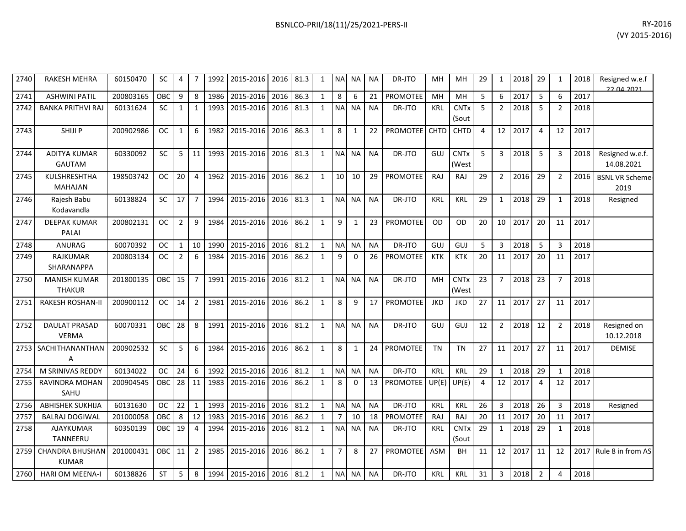| BSNLCO-PRII/18(11)/25/2021-PERS-II | RY-2016 |
|------------------------------------|---------|
|                                    |         |

| 2740 | <b>RAKESH MEHRA</b>                  | 60150470  | <b>SC</b>  | 4               |                 | 1992 | 2015-2016 2016 81.3      |           |      | 1            |                | NA NA NA     |           | DR-JTO          | MН         | MН                              | 29             | 1               | 2018 | 29             | 1              | 2018 | Resigned w.e.f<br>22.04.2021   |
|------|--------------------------------------|-----------|------------|-----------------|-----------------|------|--------------------------|-----------|------|--------------|----------------|--------------|-----------|-----------------|------------|---------------------------------|----------------|-----------------|------|----------------|----------------|------|--------------------------------|
| 2741 | <b>ASHWINI PATIL</b>                 | 200803165 | OBC        | 9               | 8               | 1986 | 2015-2016                | 2016      | 86.3 | $\mathbf{1}$ | 8              | 6            | 21        | <b>PROMOTEE</b> | <b>MH</b>  | <b>MH</b>                       | 5              | 6               | 2017 | 5              | 6              | 2017 |                                |
| 2742 | <b>BANKA PRITHVI RAJ</b>             | 60131624  | <b>SC</b>  | $\mathbf{1}$    | 1               | 1993 | 2015-2016                | 2016 81.3 |      | 1            | <b>NA</b>      | <b>NA</b>    | <b>NA</b> | DR-JTO          | <b>KRL</b> | <b>CNT<sub>x</sub></b><br>(Sout | 5              | $\overline{2}$  | 2018 | 5              | $\overline{2}$ | 2018 |                                |
| 2743 | SHIJI P                              | 200902986 | <b>OC</b>  | $\mathbf{1}$    | 6               | 1982 | 2015-2016                | 2016      | 86.3 | 1            | 8              | 1            | 22        | PROMOTEE CHTD   |            | CHTD                            | $\overline{4}$ | 12              | 2017 | $\overline{4}$ | 12             | 2017 |                                |
| 2744 | <b>ADITYA KUMAR</b><br><b>GAUTAM</b> | 60330092  | <b>SC</b>  | 5 <sup>7</sup>  | 11              | 1993 | 2015-2016                | 2016      | 81.3 | 1            | <b>NA</b>      | <b>NA</b>    | <b>NA</b> | DR-JTO          | GUJ        | <b>CNTx</b><br>(West            | 5              | $\overline{3}$  | 2018 | 5              | 3              | 2018 | Resigned w.e.f.<br>14.08.2021  |
| 2745 | KULSHRESHTHA<br><b>MAHAJAN</b>       | 198503742 | OC.        | 20 <sup>1</sup> | $\overline{4}$  | 1962 | 2015-2016                | 2016      | 86.2 | $\mathbf{1}$ | 10             | 10           | 29        | PROMOTEE        | RAJ        | RAJ                             | 29             | $\overline{2}$  | 2016 | 29             | $\overline{2}$ | 2016 | <b>BSNL VR Scheme-</b><br>2019 |
| 2746 | Rajesh Babu<br>Kodavandla            | 60138824  | <b>SC</b>  | 17              | $\overline{7}$  | 1994 | 2015-2016                | 2016 81.3 |      | $\mathbf{1}$ | <b>NA</b>      | <b>NA</b>    | <b>NA</b> | DR-JTO          | <b>KRL</b> | KRL                             | 29             | 1               | 2018 | 29             | $\mathbf{1}$   | 2018 | Resigned                       |
| 2747 | <b>DEEPAK KUMAR</b><br><b>PALAI</b>  | 200802131 | <b>OC</b>  | $\overline{2}$  | 9               | 1984 | 2015-2016                | 2016 86.2 |      | 1            | 9              | 1            | 23        | <b>PROMOTEE</b> | <b>OD</b>  | <b>OD</b>                       | 20             | 10              | 2017 | 20             | 11             | 2017 |                                |
| 2748 | ANURAG                               | 60070392  | OC.        | 1               | 10 <sup>1</sup> | 1990 | 2015-2016                | 2016      | 81.2 | 1            | <b>NA</b>      | <b>NA</b>    | <b>NA</b> | DR-JTO          | GUJ        | GUJ                             | 5              | $\overline{3}$  | 2018 | 5              | $\overline{3}$ | 2018 |                                |
| 2749 | <b>RAJKUMAR</b><br>SHARANAPPA        | 200803134 | <b>OC</b>  | $\overline{2}$  | 6               | 1984 | 2015-2016                | 2016      | 86.2 | $\mathbf{1}$ | 9              | $\Omega$     | 26        | PROMOTEE        | <b>KTK</b> | <b>KTK</b>                      | 20             | 11              | 2017 | 20             | 11             | 2017 |                                |
| 2750 | <b>MANISH KUMAR</b><br><b>THAKUR</b> | 201800135 | OBC        | 15              | $\overline{7}$  | 1991 | 2015-2016                | 2016      | 81.2 | $\mathbf{1}$ | <b>NA</b>      | <b>NA</b>    | <b>NA</b> | DR-JTO          | <b>MH</b>  | <b>CNT<sub>x</sub></b><br>(West | 23             | $\overline{7}$  | 2018 | 23             | $\overline{7}$ | 2018 |                                |
| 2751 | <b>RAKESH ROSHAN-II</b>              | 200900112 | <b>OC</b>  | 14              | $\overline{2}$  | 1981 | 2015-2016                | 2016 86.2 |      | $\mathbf{1}$ | 8              | q            | 17        | <b>PROMOTEE</b> | <b>JKD</b> | JKD                             | 27             | 11              | 2017 | 27             | 11             | 2017 |                                |
| 2752 | <b>DAULAT PRASAD</b><br><b>VERMA</b> | 60070331  | OBC        | 28              | 8               | 1991 | 2015-2016                | 2016 81.2 |      | $\mathbf{1}$ | <b>NA</b>      | <b>NA</b>    | <b>NA</b> | DR-JTO          | GUJ        | GUJ                             | 12             | $\overline{2}$  | 2018 | 12             | $\overline{2}$ | 2018 | Resigned on<br>10.12.2018      |
|      | 2753 SACHITHANANTHAN<br>A            | 200902532 | <b>SC</b>  | 5               | 6               | 1984 | 2015-2016                | 2016      | 86.2 | $\mathbf{1}$ | 8              | $\mathbf{1}$ | 24        | <b>PROMOTEE</b> | <b>TN</b>  | TN                              | 27             | 11              | 2017 | 27             | 11             | 2017 | DEMISE                         |
| 2754 | M SRINIVAS REDDY                     | 60134022  | <b>OC</b>  | 24              | 6               | 1992 | 2015-2016                | 2016      | 81.2 | $\mathbf{1}$ | <b>NA</b>      | <b>NA</b>    | <b>NA</b> | DR-JTO          | <b>KRL</b> | <b>KRL</b>                      | 29             | $\mathbf{1}$    | 2018 | 29             | $\mathbf{1}$   | 2018 |                                |
| 2755 | <b>RAVINDRA MOHAN</b><br>SAHU        | 200904545 | OBC        | 28              | 11 <sup>1</sup> | 1983 | 2015-2016                | 2016 86.2 |      | $\mathbf{1}$ | 8              | $\Omega$     | 13        | <b>PROMOTEE</b> | UP(E)      | UP(E)                           | 4              | 12              | 2017 | $\overline{4}$ | 12             | 2017 |                                |
| 2756 | <b>ABHISHEK SUKHIJA</b>              | 60131630  | <b>OC</b>  | 22              | 1               | 1993 | 2015-2016                | 2016      | 81.2 | 1            | <b>NA</b>      | <b>NA</b>    | <b>NA</b> | DR-JTO          | <b>KRL</b> | <b>KRL</b>                      | 26             | $\overline{3}$  | 2018 | 26             | $\overline{3}$ | 2018 | Resigned                       |
| 2757 | <b>BALRAJ DOGIWAL</b>                | 201000058 | OBC        | 8               | 12              | 1983 | 2015-2016                | 2016      | 86.2 | 1            | $\overline{7}$ | 10           | 18        | PROMOTEE        | RAJ        | RAJ                             | 20             | 11              | 2017 | 20             | 11             | 2017 |                                |
| 2758 | AJAYKUMAR<br>TANNEERU                | 60350139  | <b>OBC</b> | 19              | $\overline{4}$  | 1994 | 2015-2016                | 2016      | 81.2 | $\mathbf{1}$ | <b>NA</b>      | <b>NA</b>    | <b>NA</b> | DR-JTO          | <b>KRL</b> | <b>CNTx</b><br>(Sout            | 29             | 1               | 2018 | 29             | $\mathbf{1}$   | 2018 |                                |
|      | 2759 CHANDRA BHUSHAN<br><b>KUMAR</b> | 201000431 | OBC        | 11              | $\overline{2}$  | 1985 | 2015-2016                | 2016      | 86.2 | $\mathbf{1}$ | $\overline{7}$ | 8            | 27        | <b>PROMOTEE</b> | ASM        | <b>BH</b>                       | 11             | 12 <sup>1</sup> | 2017 | 11             | 12             | 2017 | Rule 8 in from AS              |
| 2760 | <b>HARI OM MEENA-I</b>               | 60138826  | <b>ST</b>  | 5 <sup>1</sup>  | 8               |      | 1994 2015-2016 2016 81.2 |           |      | $\mathbf{1}$ | <b>NA</b>      | <b>NA</b>    | <b>NA</b> | DR-JTO          | <b>KRL</b> | <b>KRL</b>                      | 31             | $\overline{3}$  | 2018 | $\overline{2}$ | $\overline{4}$ | 2018 |                                |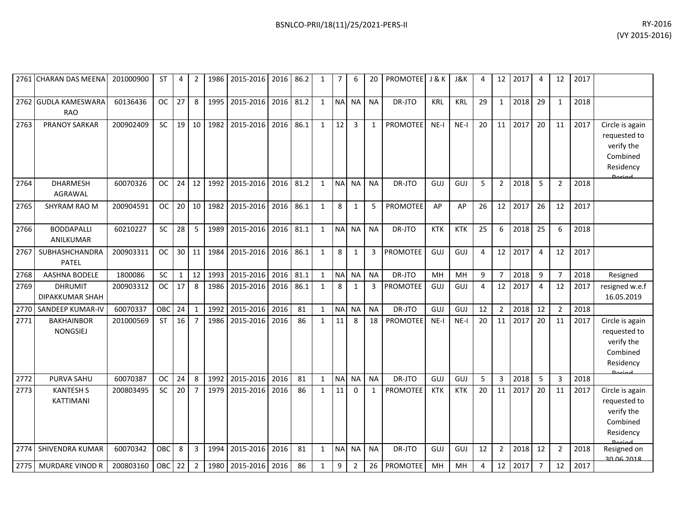| BSNLCO-PRII/18(11)/25/2021-PERS-II | RY-2016            |
|------------------------------------|--------------------|
|                                    | $(1/V)$ 2015-2016) |

|      | 2761 CHARAN DAS MEENA                | 201000900 | ST         | 4            | 2              | 1986 | 2015-2016   2016   86.2 |      |      | 1            | $\overline{7}$ | 6              | 20           | PROMOTEE J & K  |            | <b>J&amp;K</b> | 4              | 12             | 2017 | 4              | 12             | 2017 |                                                                                         |
|------|--------------------------------------|-----------|------------|--------------|----------------|------|-------------------------|------|------|--------------|----------------|----------------|--------------|-----------------|------------|----------------|----------------|----------------|------|----------------|----------------|------|-----------------------------------------------------------------------------------------|
|      | 2762 GUDLA KAMESWARA<br><b>RAO</b>   | 60136436  | <b>OC</b>  | 27           | 8              | 1995 | 2015-2016               | 2016 | 81.2 | $\mathbf{1}$ | <b>NA</b>      | <b>NA</b>      | <b>NA</b>    | DR-JTO          | KRL        | <b>KRL</b>     | 29             | $\mathbf{1}$   | 2018 | 29             | $\mathbf{1}$   | 2018 |                                                                                         |
| 2763 | <b>PRANOY SARKAR</b>                 | 200902409 | SC         | 19           | 10             | 1982 | 2015-2016               | 2016 | 86.1 | $\mathbf{1}$ | 12             | 3              |              | <b>PROMOTEE</b> | $NE-I$     | $NE-I$         | 20             | 11             | 2017 | 20             | 11             | 2017 | Circle is again<br>requested to<br>verify the<br>Combined<br>Residency<br>Doriad        |
| 2764 | <b>DHARMESH</b><br><b>AGRAWAL</b>    | 60070326  | <b>OC</b>  | 24           | 12             | 1992 | 2015-2016               | 2016 | 81.2 | $\mathbf{1}$ | <b>NA</b>      | <b>NA</b>      | <b>NA</b>    | DR-JTO          | GUJ        | GUJ            | 5              | $\overline{2}$ | 2018 | 5              | $\overline{2}$ | 2018 |                                                                                         |
| 2765 | SHYRAM RAO M                         | 200904591 | <b>OC</b>  | 20           | 10             | 1982 | 2015-2016               | 2016 | 86.1 | $\mathbf{1}$ | 8              | 1              | 5            | <b>PROMOTEE</b> | AP         | AP             | 26             | 12             | 2017 | 26             | 12             | 2017 |                                                                                         |
| 2766 | <b>BODDAPALLI</b><br>ANILKUMAR       | 60210227  | SC         | 28           | 5              | 1989 | 2015-2016               | 2016 | 81.1 | $\mathbf{1}$ | N <sub>A</sub> | <b>NA</b>      | <b>NA</b>    | DR-JTO          | <b>KTK</b> | <b>KTK</b>     | 25             | 6              | 2018 | 25             | 6              | 2018 |                                                                                         |
| 2767 | <b>SUBHASHCHANDRA</b><br>PATEL       | 200903311 | <b>OC</b>  |              | $30$ 11        | 1984 | 2015-2016               | 2016 | 86.1 | $\mathbf{1}$ | 8              | $\mathbf{1}$   | 3            | <b>PROMOTEE</b> | GUJ        | GUJ            | $\overline{4}$ | 12             | 2017 | $\overline{4}$ | 12             | 2017 |                                                                                         |
| 2768 | <b>AASHNA BODELE</b>                 | 1800086   | <b>SC</b>  | $\mathbf{1}$ | 12             | 1993 | 2015-2016               | 2016 | 81.1 | $\mathbf{1}$ | <b>NA</b>      | <b>NA</b>      | <b>NA</b>    | DR-JTO          | MH         | MH             | 9              | $\overline{7}$ | 2018 | 9              | $\overline{7}$ | 2018 | Resigned                                                                                |
| 2769 | <b>DHRUMIT</b><br>DIPAKKUMAR SHAH    | 200903312 | <b>OC</b>  | 17           | 8              | 1986 | 2015-2016               | 2016 | 86.1 | $\mathbf{1}$ | 8              | 1              | 3            | <b>PROMOTEE</b> | GUJ        | GUJ            | $\overline{4}$ | 12             | 2017 | $\overline{4}$ | 12             | 2017 | resigned w.e.f<br>16.05.2019                                                            |
| 2770 | SANDEEP KUMAR-IV                     | 60070337  | OBC        | 24           | $\mathbf{1}$   | 1992 | 2015-2016               | 2016 | 81   | $\mathbf{1}$ | <b>NA</b>      | <b>NA</b>      | <b>NA</b>    | DR-JTO          | GUJ        | GUJ            | 12             | $\overline{2}$ | 2018 | 12             | $\overline{2}$ | 2018 |                                                                                         |
| 2771 | <b>BAKHAINBOR</b><br><b>NONGSIEJ</b> | 201000569 | <b>ST</b>  | 16           | $\overline{7}$ | 1986 | 2015-2016               | 2016 | 86   | $\mathbf{1}$ | 11             | 8              | 18           | <b>PROMOTEE</b> | $NE-I$     | $NE-I$         | 20             | 11             | 2017 | 20             | 11             | 2017 | Circle is again<br>requested to<br>verify the<br>Combined<br>Residency<br><b>Dariad</b> |
| 2772 | PURVA SAHU                           | 60070387  | <b>OC</b>  | 24           | 8              | 1992 | 2015-2016               | 2016 | 81   | $\mathbf{1}$ | <b>NA</b>      | <b>NA</b>      | <b>NA</b>    | DR-JTO          | GUJ        | GUJ            | 5              | $\overline{3}$ | 2018 | 5              | $\overline{3}$ | 2018 |                                                                                         |
| 2773 | <b>KANTESH S</b><br><b>KATTIMANI</b> | 200803495 | <b>SC</b>  | 20           | $\overline{7}$ | 1979 | 2015-2016               | 2016 | 86   | $\mathbf{1}$ | 11             | $\Omega$       | $\mathbf{1}$ | <b>PROMOTEE</b> | <b>KTK</b> | <b>KTK</b>     | 20             | 11             | 2017 | 20             | 11             | 2017 | Circle is again<br>requested to<br>verify the<br>Combined<br>Residency                  |
| 2774 | <b>SHIVENDRA KUMAR</b>               | 60070342  | <b>OBC</b> | 8            | 3              | 1994 | 2015-2016               | 2016 | 81   | $\mathbf{1}$ | <b>NA</b>      | <b>NA</b>      | <b>NA</b>    | DR-JTO          | GUJ        | GUJ            | 12             | $\overline{2}$ | 2018 | 12             | $\overline{2}$ | 2018 | Resigned on<br>30.06.2018                                                               |
|      | 2775 MURDARE VINOD R                 | 200803160 | OBC        | 22           | $\overline{2}$ | 1980 | 2015-2016 2016          |      | 86   | $\mathbf{1}$ | 9              | $\overline{2}$ | 26           | PROMOTEE        | MH         | MH             | $\overline{4}$ | 12             | 2017 | $\overline{7}$ | 12             | 2017 |                                                                                         |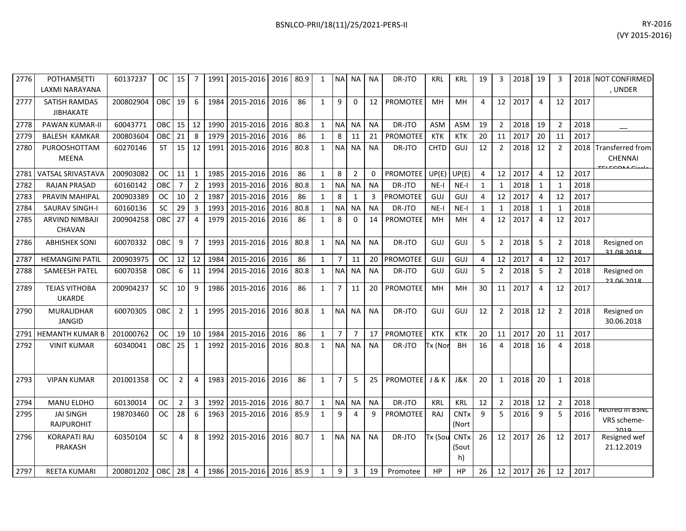| 2776 | <b>POTHAMSETTI</b><br>LAXMI NARAYANA     | 60137237  | OС         | 15             | 7              | 1991 | 2015-2016 2016      |      | 80.9 | 1            | <b>NAI</b>     | NA             | ΝA        | DR-JTO          | KRL            | KRL                                   | 19             | 3              | 2018 | 19 |                |      | 2018 NOT CONFIRMED<br>, UNDER          |
|------|------------------------------------------|-----------|------------|----------------|----------------|------|---------------------|------|------|--------------|----------------|----------------|-----------|-----------------|----------------|---------------------------------------|----------------|----------------|------|----|----------------|------|----------------------------------------|
| 2777 | <b>SATISH RAMDAS</b><br><b>JIBHAKATE</b> | 200802904 | <b>OBC</b> | 19             | 6              | 1984 | 2015-2016           | 2016 | 86   | $\mathbf{1}$ | 9              | $\mathbf 0$    | 12        | <b>PROMOTEE</b> | <b>MH</b>      | <b>MH</b>                             | $\overline{a}$ | 12             | 2017 | 4  | 12             | 2017 |                                        |
| 2778 | PAWAN KUMAR-II                           | 60043771  | OBC        | 15             | 12             | 1990 | 2015-2016           | 2016 | 80.8 | $\mathbf{1}$ | <b>NA</b>      | <b>NA</b>      | <b>NA</b> | DR-JTO          | ASM            | <b>ASM</b>                            | 19             | $\overline{2}$ | 2018 | 19 | $\overline{2}$ | 2018 |                                        |
| 2779 | <b>BALESH KAMKAR</b>                     | 200803604 | OBC        | 21             | 8              | 1979 | 2015-2016           | 2016 | 86   | $\mathbf{1}$ | 8              | 11             | 21        | <b>PROMOTEE</b> | <b>KTK</b>     | <b>KTK</b>                            | 20             | 11             | 2017 | 20 | 11             | 2017 |                                        |
| 2780 | PUROOSHOTTAM<br>MEENA                    | 60270146  | <b>ST</b>  | 15             | 12             | 1991 | 2015-2016           | 2016 | 80.8 | $\mathbf{1}$ | <b>NA</b>      | <b>NA</b>      | <b>NA</b> | DR-JTO          | <b>CHTD</b>    | GUJ                                   | 12             | $\overline{2}$ | 2018 | 12 | 2              | 2018 | <b>Transferred from</b><br>CHENNAI     |
| 2781 | VATSAL SRIVASTAVA                        | 200903082 | <b>OC</b>  | 11             | $\mathbf{1}$   | 1985 | 2015-2016           | 2016 | 86   | $\mathbf{1}$ | 8              | $\overline{2}$ | 0         | PROMOTEE        | UP(E)          | UP(E)                                 | $\overline{4}$ | 12             | 2017 | 4  | 12             | 2017 |                                        |
| 2782 | <b>RAJAN PRASAD</b>                      | 60160142  | OBC        | $\overline{7}$ | $\overline{2}$ | 1993 | 2015-2016           | 2016 | 80.8 | $\mathbf{1}$ | <b>NA</b>      | <b>NA</b>      | <b>NA</b> | DR-JTO          | $NE-I$         | $NE-I$                                | $\mathbf{1}$   | 1              | 2018 | 1  | $\mathbf 1$    | 2018 |                                        |
| 2783 | PRAVIN MAHIPAL                           | 200903389 | <b>OC</b>  | 10             | $\overline{2}$ | 1987 | 2015-2016           | 2016 | 86   | $\mathbf{1}$ | 8              | $\mathbf{1}$   | 3         | PROMOTEE        | GUJ            | <b>GUJ</b>                            | 4              | 12             | 2017 | 4  | 12             | 2017 |                                        |
| 2784 | <b>SAURAV SINGH-I</b>                    | 60160136  | SC         | 29             | 3              | 1993 | 2015-2016           | 2016 | 80.8 | $\mathbf{1}$ | <b>NA</b>      | NA             | <b>NA</b> | DR-JTO          | $NE-I$         | $NE-I$                                | 1              | $\mathbf{1}$   | 2018 | 1  | $\mathbf{1}$   | 2018 |                                        |
| 2785 | ARVIND NIMBAJI<br><b>CHAVAN</b>          | 200904258 | OBC        | 27             | $\overline{4}$ | 1979 | 2015-2016           | 2016 | 86   | $\mathbf{1}$ | 8              | 0              | 14        | <b>PROMOTEE</b> | MH             | MH                                    | 4              | 12             | 2017 | 4  | 12             | 2017 |                                        |
| 2786 | <b>ABHISHEK SONI</b>                     | 60070332  | OBC        | 9              | $\overline{7}$ | 1993 | 2015-2016           | 2016 | 80.8 | $\mathbf{1}$ | <b>NA</b>      | <b>NA</b>      | <b>NA</b> | DR-JTO          | GUJ            | GUJ                                   | 5              | $\overline{2}$ | 2018 | 5  | 2              | 2018 | Resigned on<br>21 08 2018              |
| 2787 | <b>HEMANGINI PATIL</b>                   | 200903975 | <b>OC</b>  | 12             | 12             | 1984 | 2015-2016           | 2016 | 86   | $\mathbf{1}$ | $\overline{7}$ | 11             | 20        | <b>PROMOTEE</b> | GUJ            | GUJ                                   | 4              | 12             | 2017 | 4  | 12             | 2017 |                                        |
| 2788 | SAMEESH PATEL                            | 60070358  | OBC        | 6              | 11             | 1994 | 2015-2016           | 2016 | 80.8 | $\mathbf{1}$ | <b>NA</b>      | <b>NA</b>      | <b>NA</b> | DR-JTO          | GUJ            | GUJ                                   | 5              | $\overline{2}$ | 2018 | 5  | $\overline{2}$ | 2018 | Resigned on<br>22 06 2018              |
| 2789 | <b>TEJAS VITHOBA</b><br><b>UKARDE</b>    | 200904237 | <b>SC</b>  | 10             | 9              | 1986 | 2015-2016           | 2016 | 86   | $\mathbf{1}$ | $\overline{7}$ | 11             | 20        | <b>PROMOTEE</b> | MH             | MH                                    | 30             | 11             | 2017 | 4  | 12             | 2017 |                                        |
| 2790 | <b>MURALIDHAR</b><br><b>JANGID</b>       | 60070305  | <b>OBC</b> | $\overline{2}$ | 1              | 1995 | 2015-2016           | 2016 | 80.8 | $\mathbf{1}$ | <b>NA</b>      | <b>NA</b>      | <b>NA</b> | DR-JTO          | GUJ            | GUJ                                   | 12             | $\overline{2}$ | 2018 | 12 | $\overline{2}$ | 2018 | Resigned on<br>30.06.2018              |
| 2791 | <b>HEMANTH KUMAR B</b>                   | 201000762 | <b>OC</b>  | 19             | 10             | 1984 | 2015-2016           | 2016 | 86   | $\mathbf{1}$ | $\overline{7}$ | $\overline{7}$ | 17        | PROMOTEE        | <b>KTK</b>     | <b>KTK</b>                            | 20             | 11             | 2017 | 20 | 11             | 2017 |                                        |
| 2792 | <b>VINIT KUMAR</b>                       | 60340041  | OBC        | 25             | 1              | 1992 | 2015-2016           | 2016 | 80.8 | $\mathbf{1}$ | <b>NA</b>      | <b>NA</b>      | <b>NA</b> | DR-JTO          | Tx (Nor        | BH                                    | 16             | 4              | 2018 | 16 | 4              | 2018 |                                        |
| 2793 | <b>VIPAN KUMAR</b>                       | 201001358 | <b>OC</b>  | $\overline{2}$ | $\overline{4}$ | 1983 | 2015-2016           | 2016 | 86   | $\mathbf{1}$ | $\overline{7}$ | 5              | 25        | <b>PROMOTEE</b> | <b>J&amp;K</b> | J&K                                   | 20             | $\mathbf{1}$   | 2018 | 20 | 1              | 2018 |                                        |
| 2794 | MANU ELDHO                               | 60130014  | <b>OC</b>  | $\overline{2}$ | 3              | 1992 | 2015-2016           | 2016 | 80.7 | $\mathbf{1}$ | $\sf NA$       | <b>NA</b>      | <b>NA</b> | DR-JTO          | <b>KRL</b>     | <b>KRL</b>                            | 12             | $\overline{2}$ | 2018 | 12 | $\overline{2}$ | 2018 |                                        |
| 2795 | <b>JAI SINGH</b><br><b>RAJPUROHIT</b>    | 198703460 | <b>OC</b>  | 28             | 6              | 1963 | 2015-2016           | 2016 | 85.9 | $\mathbf{1}$ | 9              | 4              | 9         | PROMOTEE        | RAJ            | <b>CNTx</b><br>(Nort                  | 9              | 5              | 2016 | 9  | 5              | 2016 | Retifed in BSNL<br>VRS scheme-<br>2010 |
| 2796 | <b>KORAPATI RAJ</b><br><b>PRAKASH</b>    | 60350104  | <b>SC</b>  | 4              | 8              | 1992 | 2015-2016           | 2016 | 80.7 | $\mathbf{1}$ | <b>NA</b>      | <b>NA</b>      | <b>NA</b> | DR-JTO          | Tx (Sou        | <b>CNT<sub>x</sub></b><br>(Sout<br>h) | 26             | 12             | 2017 | 26 | 12             | 2017 | Resigned wef<br>21.12.2019             |
| 2797 | <b>REETA KUMARI</b>                      | 200801202 | OBC I      | 28             | $\overline{4}$ | 1986 | 2015-2016 2016 85.9 |      |      | 1            | 9              | 3              | 19        | Promotee        | HP             | <b>HP</b>                             | 26             | 12             | 2017 | 26 | 12             | 2017 |                                        |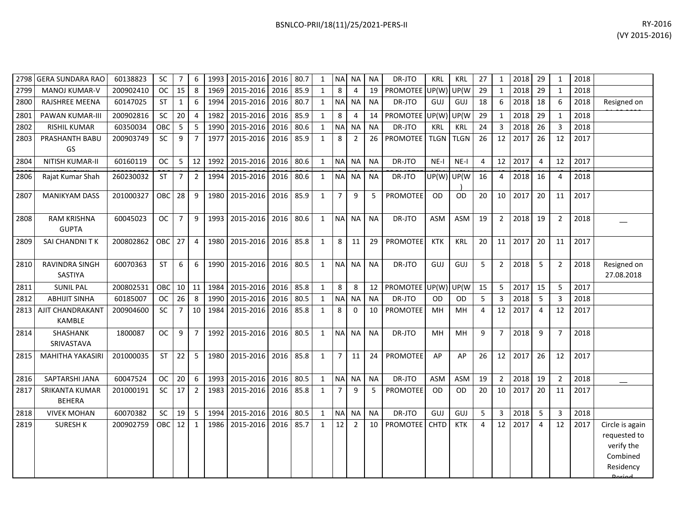| 2798 | <b>GERA SUNDARA RAO</b>            | 60138823  | <b>SC</b>     | $\overline{7}$ | 6              | 1993 | 2015-2016 2016 |      | 80.7 | $\mathbf{1}$ | <b>NA</b>      | NA             | <b>NA</b> | DR-JTO          | <b>KRL</b>  | <b>KRL</b>  | 27 | 1              | 2018 | 29             | $\mathbf{1}$   | 2018 |                                                                                   |
|------|------------------------------------|-----------|---------------|----------------|----------------|------|----------------|------|------|--------------|----------------|----------------|-----------|-----------------|-------------|-------------|----|----------------|------|----------------|----------------|------|-----------------------------------------------------------------------------------|
| 2799 | <b>MANOJ KUMAR-V</b>               | 200902410 | <sub>OC</sub> | 15             | 8              | 1969 | 2015-2016      | 2016 | 85.9 | $\mathbf{1}$ | 8              | 4              | 19        | PROMOTEE        | UP(W)       | UP(W        | 29 | 1              | 2018 | 29             | 1              | 2018 |                                                                                   |
| 2800 | <b>RAJSHREE MEENA</b>              | 60147025  | <b>ST</b>     | $\mathbf{1}$   | 6              | 1994 | 2015-2016      | 2016 | 80.7 | $\mathbf{1}$ | <b>NA</b>      | <b>NA</b>      | <b>NA</b> | DR-JTO          | GUJ         | GUJ         | 18 | 6              | 2018 | 18             | 6              | 2018 | Resigned on                                                                       |
| 2801 | PAWAN KUMAR-III                    | 200902816 | SC            | 20             | $\overline{4}$ | 1982 | 2015-2016      | 2016 | 85.9 | $\mathbf{1}$ | 8              | 4              | 14        | PROMOTEE UP(W)  |             | UP(W        | 29 | $\mathbf{1}$   | 2018 | 29             | $\mathbf{1}$   | 2018 |                                                                                   |
| 2802 | <b>RISHIL KUMAR</b>                | 60350034  | OBC           | 5              | 5              | 1990 | 2015-2016      | 2016 | 80.6 | $\mathbf{1}$ | <b>NA</b>      | <b>NA</b>      | <b>NA</b> | DR-JTO          | <b>KRL</b>  | <b>KRL</b>  | 24 | 3              | 2018 | 26             | 3              | 2018 |                                                                                   |
| 2803 | PRASHANTH BABU<br>GS               | 200903749 | SC            | 9              | $\overline{7}$ | 1977 | 2015-2016      | 2016 | 85.9 | $\mathbf{1}$ | 8              | $\overline{2}$ | 26        | <b>PROMOTEE</b> | <b>TLGN</b> | <b>TLGN</b> | 26 | 12             | 2017 | 26             | 12             | 2017 |                                                                                   |
| 2804 | NITISH KUMAR-II                    | 60160119  | <b>OC</b>     | 5              | 12             | 1992 | 2015-2016 2016 |      | 80.6 | $\mathbf{1}$ | <b>NA</b>      | <b>NA</b>      | <b>NA</b> | DR-JTO          | $NE-I$      | NE-I        | 4  | 12             | 2017 | $\overline{4}$ | 12             | 2017 |                                                                                   |
| 2806 | Rajat Kumar Shah                   | 260230032 | <b>ST</b>     | $\overline{7}$ | $\overline{2}$ | 1994 | 2015-2016      | 2016 | 80.6 | $\mathbf{1}$ | <b>NA</b>      | <b>NA</b>      | <b>NA</b> | DR-JTO          | UP(W) UP(W  |             | 16 | $\overline{4}$ | 2018 | 16             | 4              | 2018 |                                                                                   |
| 2807 | <b>MANIKYAM DASS</b>               | 201000327 | OBC           | 28             | 9              | 1980 | 2015-2016      | 2016 | 85.9 | $\mathbf{1}$ | $\overline{7}$ | 9              | 5         | PROMOTEE        | <b>OD</b>   | <b>OD</b>   | 20 | 10             | 2017 | 20             | 11             | 2017 |                                                                                   |
| 2808 | <b>RAM KRISHNA</b><br><b>GUPTA</b> | 60045023  | <b>OC</b>     | $\overline{7}$ | 9              | 1993 | 2015-2016 2016 |      | 80.6 | $\mathbf{1}$ | <b>NA</b>      | <b>NA</b>      | <b>NA</b> | DR-JTO          | <b>ASM</b>  | <b>ASM</b>  | 19 | $\overline{2}$ | 2018 | 19             | $\overline{2}$ | 2018 |                                                                                   |
| 2809 | SAI CHANDNITK                      | 200802862 | OBC 27        |                | $\overline{4}$ | 1980 | 2015-2016 2016 |      | 85.8 | $\mathbf{1}$ | 8              | 11             | 29        | <b>PROMOTEE</b> | <b>KTK</b>  | KRL         | 20 | 11             | 2017 | 20             | 11             | 2017 |                                                                                   |
| 2810 | RAVINDRA SINGH<br>SASTIYA          | 60070363  | <b>ST</b>     | 6              | 6              | 1990 | 2015-2016 2016 |      | 80.5 | $\mathbf{1}$ | <b>NA</b>      | <b>NA</b>      | <b>NA</b> | DR-JTO          | <b>GUJ</b>  | GUJ         | 5  | $\overline{2}$ | 2018 | 5              | 2              | 2018 | Resigned on<br>27.08.2018                                                         |
| 2811 | <b>SUNIL PAL</b>                   | 200802531 | OBC           | 10             | 11             | 1984 | 2015-2016 2016 |      | 85.8 | $\mathbf{1}$ | 8              | 8              | 12        | <b>PROMOTEE</b> | UP(W)       | UP(W        | 15 | 5              | 2017 | 15             | 5              | 2017 |                                                                                   |
| 2812 | <b>ABHIJIT SINHA</b>               | 60185007  | <b>OC</b>     | 26             | 8              | 1990 | 2015-2016      | 2016 | 80.5 | $\mathbf{1}$ | <b>NA</b>      | <b>NA</b>      | <b>NA</b> | DR-JTO          | <b>OD</b>   | <b>OD</b>   | 5  | 3              | 2018 | -5             | 3              | 2018 |                                                                                   |
| 2813 | AJIT CHANDRAKANT<br><b>KAMBLE</b>  | 200904600 | SC            | $\overline{7}$ | 10             | 1984 | 2015-2016      | 2016 | 85.8 | $\mathbf{1}$ | 8              | $\mathbf 0$    | 10        | <b>PROMOTEE</b> | MH          | MH          | 4  | 12             | 2017 | $\overline{4}$ | 12             | 2017 |                                                                                   |
| 2814 | SHASHANK<br>SRIVASTAVA             | 1800087   | <b>OC</b>     | 9              | $\overline{7}$ | 1992 | 2015-2016 2016 |      | 80.5 | $\mathbf{1}$ | <b>NA</b>      | <b>NA</b>      | <b>NA</b> | DR-JTO          | MH          | MH          | 9  | $7^{\circ}$    | 2018 | 9              | $\overline{7}$ | 2018 |                                                                                   |
| 2815 | <b>MAHITHA YAKASIRI</b>            | 201000035 | <b>ST</b>     | 22             | -5             | 1980 | 2015-2016 2016 |      | 85.8 | $\mathbf{1}$ | $\overline{7}$ | 11             | 24        | PROMOTEE        | AP          | AP          | 26 | 12             | 2017 | 26             | 12             | 2017 |                                                                                   |
| 2816 | SAPTARSHI JANA                     | 60047524  | <b>OC</b>     | 20             | 6              | 1993 | 2015-2016      | 2016 | 80.5 | $\mathbf{1}$ | <b>NA</b>      | <b>NA</b>      | <b>NA</b> | DR-JTO          | <b>ASM</b>  | <b>ASM</b>  | 19 | $\overline{2}$ | 2018 | 19             | 2              | 2018 |                                                                                   |
| 2817 | SRIKANTA KUMAR<br><b>BEHERA</b>    | 201000191 | SC            | 17             | $\overline{2}$ | 1983 | 2015-2016 2016 |      | 85.8 | $\mathbf{1}$ | $\overline{7}$ | 9              | 5         | PROMOTEE        | <b>OD</b>   | OD          | 20 | 10             | 2017 | 20             | 11             | 2017 |                                                                                   |
| 2818 | <b>VIVEK MOHAN</b>                 | 60070382  | SC            | 19             | -5             | 1994 | 2015-2016      | 2016 | 80.5 | $\mathbf{1}$ | <b>NA</b>      | <b>NA</b>      | <b>NA</b> | DR-JTO          | GUJ         | GUJ         | 5  | $\mathbf{3}$   | 2018 | 5              | 3              | 2018 |                                                                                   |
| 2819 | <b>SURESH K</b>                    | 200902759 | OBC           | 12             | $\mathbf{1}$   | 1986 | 2015-2016      | 2016 | 85.7 | $\mathbf{1}$ | 12             | $\overline{2}$ | 10        | <b>PROMOTEE</b> | <b>CHTD</b> | <b>KTK</b>  | 4  | 12             | 2017 | $\overline{4}$ | 12             | 2017 | Circle is again<br>requested to<br>verify the<br>Combined<br>Residency<br>لمهنعها |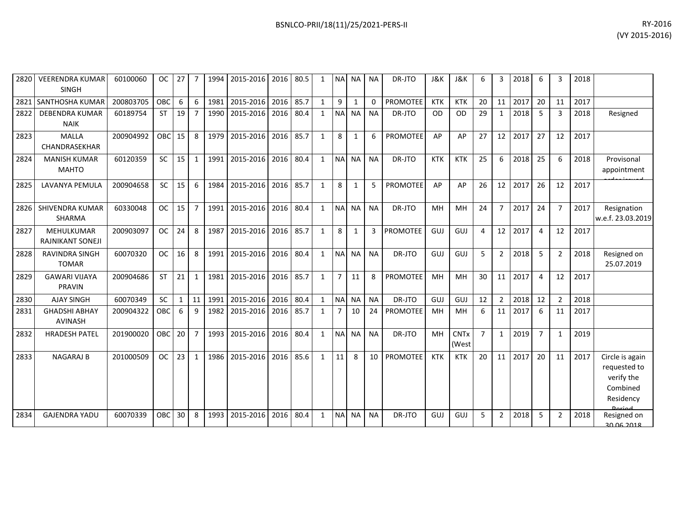| 2820 | <b>VEERENDRA KUMAR</b><br><b>SINGH</b>  | 60100060  | <b>OC</b>  | 27 | 7              | 1994 | 2015-2016 | 2016 | 80.5 | 1            | <b>NA</b>      | <b>NA</b>    | <b>NA</b>    | DR-JTO          | J&K        | <b>J&amp;K</b>       | 6              | 3              | 2018    | 6              | 3              | 2018 |                                                                        |
|------|-----------------------------------------|-----------|------------|----|----------------|------|-----------|------|------|--------------|----------------|--------------|--------------|-----------------|------------|----------------------|----------------|----------------|---------|----------------|----------------|------|------------------------------------------------------------------------|
| 2821 | SANTHOSHA KUMAR                         | 200803705 | <b>OBC</b> | 6  | 6              | 1981 | 2015-2016 | 2016 | 85.7 | $\mathbf{1}$ | 9              | 1            | $\mathbf{0}$ | <b>PROMOTEE</b> | <b>KTK</b> | <b>KTK</b>           | 20             | 11             | 2017    | 20             | 11             | 2017 |                                                                        |
| 2822 | <b>DEBENDRA KUMAR</b><br><b>NAIK</b>    | 60189754  | <b>ST</b>  | 19 | $\overline{7}$ | 1990 | 2015-2016 | 2016 | 80.4 | $\mathbf{1}$ | <b>NAI</b>     | <b>NA</b>    | <b>NA</b>    | DR-JTO          | <b>OD</b>  | <b>OD</b>            | 29             | 1              | 2018    | 5              | Э              | 2018 | Resigned                                                               |
| 2823 | <b>MALLA</b><br>CHANDRASEKHAR           | 200904992 | OBC        | 15 | 8              | 1979 | 2015-2016 | 2016 | 85.7 | $\mathbf{1}$ | 8              | $\mathbf{1}$ | 6            | <b>PROMOTEE</b> | AP         | AP                   | 27             |                | 12 2017 | 27             | 12             | 2017 |                                                                        |
| 2824 | <b>MANISH KUMAR</b><br><b>MAHTO</b>     | 60120359  | <b>SC</b>  | 15 | 1              | 1991 | 2015-2016 | 2016 | 80.4 | $\mathbf{1}$ | <b>NAI</b>     | <b>NA</b>    | <b>NA</b>    | DR-JTO          | <b>KTK</b> | <b>KTK</b>           | 25             | 6              | 2018    | 25             | 6              | 2018 | Provisonal<br>appointment                                              |
| 2825 | <b>LAVANYA PEMULA</b>                   | 200904658 | <b>SC</b>  | 15 | 6              | 1984 | 2015-2016 | 2016 | 85.7 | $\mathbf{1}$ | 8              | 1            | 5            | PROMOTEE        | AP         | AP                   | 26             | 12             | 2017    | 26             | 12             | 2017 |                                                                        |
| 2826 | <b>SHIVENDRA KUMAR</b><br><b>SHARMA</b> | 60330048  | <b>OC</b>  | 15 | $\overline{7}$ | 1991 | 2015-2016 | 2016 | 80.4 | $\mathbf{1}$ | <b>NA</b>      | <b>NA</b>    | <b>NA</b>    | DR-JTO          | MH         | MH                   | 24             | $\overline{7}$ | 2017    | 24             | 7              | 2017 | Resignation<br>w.e.f. 23.03.2019                                       |
| 2827 | MEHULKUMAR<br><b>RAJNIKANT SONEJI</b>   | 200903097 | <b>OC</b>  | 24 | 8              | 1987 | 2015-2016 | 2016 | 85.7 | $\mathbf{1}$ | 8              | $\mathbf{1}$ | 3            | <b>PROMOTEE</b> | <b>GUJ</b> | GUJ                  | $\overline{a}$ |                | 12 2017 | $\overline{4}$ | 12             | 2017 |                                                                        |
| 2828 | <b>RAVINDRA SINGH</b><br><b>TOMAR</b>   | 60070320  | <b>OC</b>  | 16 | 8              | 1991 | 2015-2016 | 2016 | 80.4 | $\mathbf{1}$ | <b>NA</b>      | <b>NA</b>    | <b>NA</b>    | DR-JTO          | GUJ        | GUJ                  | 5              | $\overline{2}$ | 2018    | 5              | $\overline{2}$ | 2018 | Resigned on<br>25.07.2019                                              |
| 2829 | <b>GAWARI VIJAYA</b><br>PRAVIN          | 200904686 | <b>ST</b>  | 21 | $\mathbf{1}$   | 1981 | 2015-2016 | 2016 | 85.7 | $\mathbf{1}$ | $\overline{7}$ | 11           | 8            | <b>PROMOTEE</b> | MH         | MH                   | 30             | 11             | 2017    | $\overline{4}$ | 12             | 2017 |                                                                        |
| 2830 | <b>AJAY SINGH</b>                       | 60070349  | <b>SC</b>  | 1  | 11             | 1991 | 2015-2016 | 2016 | 80.4 | $\mathbf{1}$ | <b>NAI</b>     | <b>NA</b>    | <b>NA</b>    | DR-JTO          | GUJ        | GUJ                  | 12             | $\overline{2}$ | 2018    | 12             | $\overline{2}$ | 2018 |                                                                        |
| 2831 | <b>GHADSHI ABHAY</b><br><b>AVINASH</b>  | 200904322 | OBC        | 6  | 9              | 1982 | 2015-2016 | 2016 | 85.7 | $\mathbf{1}$ |                | 10           | 24           | <b>PROMOTEE</b> | MH         | MH                   | 6              | 11             | 2017    | 6              | 11             | 2017 |                                                                        |
| 2832 | <b>HRADESH PATEL</b>                    | 201900020 | OBC        | 20 | $\overline{7}$ | 1993 | 2015-2016 | 2016 | 80.4 | $\mathbf{1}$ | <b>NAI</b>     | <b>NA</b>    | <b>NA</b>    | DR-JTO          | MH         | <b>CNTx</b><br>(West | $\overline{7}$ | $\mathbf{1}$   | 2019    | $\overline{7}$ | -1             | 2019 |                                                                        |
| 2833 | <b>NAGARAJ B</b>                        | 201000509 | <b>OC</b>  | 23 | $\mathbf{1}$   | 1986 | 2015-2016 | 2016 | 85.6 | $\mathbf{1}$ | 11             | 8            | 10           | <b>PROMOTEE</b> | <b>KTK</b> | <b>KTK</b>           | 20             | 11             | 2017    | 20             | 11             | 2017 | Circle is again<br>requested to<br>verify the<br>Combined<br>Residency |

2834 GAJENDRA YADU 60070339 OBC 30 8 1993 2015-2016 2016 80.4 1 NA NA NA DR-JTO GUJ GUJ 5 2 2018 5 2 2018

Resigned on

30.06.2018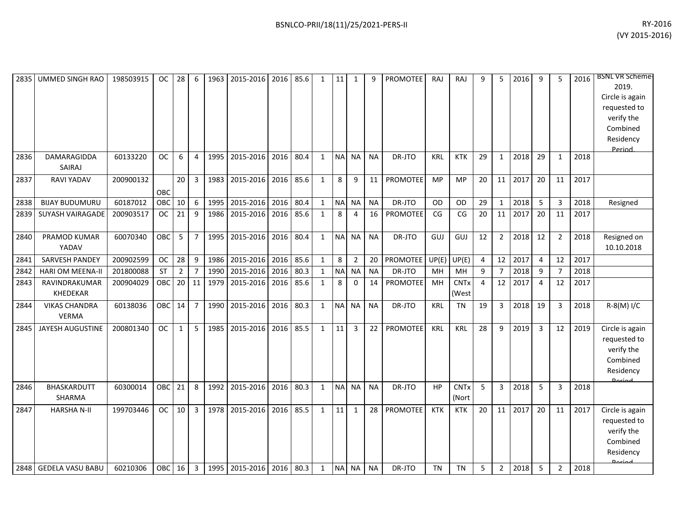|      | 2835 UMMED SINGH RAO                 | 198503915 | <b>OC</b>  | 28             | 6                | 1963 | 2015-2016      | 2016 | 85.6 | $\mathbf{1}$ | 11        | 1              | 9         | PROMOTEE        | RAJ        | <b>RAJ</b>           | 9  | 5              | 2016 | 9  | 5              | 2016 | <b>BSNL VR Scheme-</b><br>2019.<br>Circle is again<br>requested to<br>verify the<br>Combined<br>Residency<br>Period |
|------|--------------------------------------|-----------|------------|----------------|------------------|------|----------------|------|------|--------------|-----------|----------------|-----------|-----------------|------------|----------------------|----|----------------|------|----|----------------|------|---------------------------------------------------------------------------------------------------------------------|
| 2836 | DAMARAGIDDA<br>SAIRAJ                | 60133220  | <b>OC</b>  | 6              | $\overline{4}$   | 1995 | 2015-2016      | 2016 | 80.4 | $\mathbf{1}$ | <b>NA</b> | <b>NA</b>      | <b>NA</b> | DR-JTO          | <b>KRL</b> | <b>KTK</b>           | 29 | $\mathbf{1}$   | 2018 | 29 | 1              | 2018 |                                                                                                                     |
| 2837 | <b>RAVI YADAV</b>                    | 200900132 | OBC        | 20             | $\overline{3}$   | 1983 | 2015-2016      | 2016 | 85.6 | $\mathbf{1}$ | 8         | 9              | 11        | <b>PROMOTEE</b> | <b>MP</b>  | <b>MP</b>            | 20 | 11             | 2017 | 20 | 11             | 2017 |                                                                                                                     |
| 2838 | <b>BIJAY BUDUMURU</b>                | 60187012  | OBC        | 10             | 6                | 1995 | 2015-2016      | 2016 | 80.4 | $\mathbf{1}$ | $\sf NA$  | NA             | <b>NA</b> | DR-JTO          | <b>OD</b>  | OD                   | 29 | 1              | 2018 | 5  | 3              | 2018 | Resigned                                                                                                            |
| 2839 | SUYASH VAIRAGADE                     | 200903517 | <b>OC</b>  | 21             | 9                | 1986 | 2015-2016      | 2016 | 85.6 | $\mathbf{1}$ | 8         | 4              | 16        | PROMOTEE        | CG         | CG                   | 20 | 11             | 2017 | 20 | 11             | 2017 |                                                                                                                     |
| 2840 | PRAMOD KUMAR<br>YADAV                | 60070340  | OBC        | 5              | $\overline{7}$   | 1995 | 2015-2016      | 2016 | 80.4 | $\mathbf{1}$ | <b>NA</b> | <b>NA</b>      | <b>NA</b> | DR-JTO          | GUJ        | GUJ                  | 12 | $\overline{2}$ | 2018 | 12 | 2              | 2018 | Resigned on<br>10.10.2018                                                                                           |
| 2841 | SARVESH PANDEY                       | 200902599 | <b>OC</b>  | 28             | $\boldsymbol{9}$ | 1986 | 2015-2016      | 2016 | 85.6 | $\mathbf{1}$ | 8         | $\overline{2}$ | 20        | PROMOTEE        | UP(E)      | UP(E)                | 4  | 12             | 2017 | 4  | 12             | 2017 |                                                                                                                     |
| 2842 | <b>HARI OM MEENA-II</b>              | 201800088 | <b>ST</b>  | $\overline{2}$ | $\overline{7}$   | 1990 | 2015-2016      | 2016 | 80.3 | $\mathbf{1}$ | $\sf NA$  | <b>NA</b>      | <b>NA</b> | DR-JTO          | MH         | <b>MH</b>            | 9  | $\overline{7}$ | 2018 | 9  | $\overline{7}$ | 2018 |                                                                                                                     |
| 2843 | RAVINDRAKUMAR<br>KHEDEKAR            | 200904029 | OBC        | 20             | 11               | 1979 | 2015-2016      | 2016 | 85.6 | $\mathbf{1}$ | 8         | 0              | 14        | PROMOTEE        | MH         | <b>CNTx</b><br>(West | 4  | 12             | 2017 | 4  | 12             | 2017 |                                                                                                                     |
| 2844 | <b>VIKAS CHANDRA</b><br><b>VERMA</b> | 60138036  | <b>OBC</b> | 14             | $\overline{7}$   | 1990 | 2015-2016      | 2016 | 80.3 | $\mathbf{1}$ | <b>NA</b> | <b>NA</b>      | <b>NA</b> | DR-JTO          | <b>KRL</b> | <b>TN</b>            | 19 | 3              | 2018 | 19 | 3              | 2018 | $R-S(M)$ I/C                                                                                                        |
| 2845 | JAYESH AUGUSTINE                     | 200801340 | <b>OC</b>  | $\mathbf{1}$   | 5                | 1985 | 2015-2016      | 2016 | 85.5 | $\mathbf{1}$ | 11        | 3              | 22        | PROMOTEE        | <b>KRL</b> | KRL                  | 28 | 9              | 2019 | 3  | 12             | 2019 | Circle is again<br>requested to<br>verify the<br>Combined<br>Residency                                              |
| 2846 | <b>BHASKARDUTT</b><br>SHARMA         | 60300014  | OBC        | 21             | 8                | 1992 | 2015-2016      | 2016 | 80.3 | $\mathbf{1}$ | <b>NA</b> | <b>NA</b>      | <b>NA</b> | DR-JTO          | HP         | <b>CNTx</b><br>(Nort | 5  | 3              | 2018 | 5  | з              | 2018 |                                                                                                                     |
| 2847 | <b>HARSHA N-II</b>                   | 199703446 | <b>OC</b>  | 10             | $\overline{3}$   | 1978 | 2015-2016      | 2016 | 85.5 | $\mathbf{1}$ | 11        | $\mathbf{1}$   | 28        | <b>PROMOTEE</b> | <b>KTK</b> | <b>KTK</b>           | 20 | 11             | 2017 | 20 | 11             | 2017 | Circle is again<br>requested to<br>verify the<br>Combined<br>Residency<br><b>Doriad</b>                             |
|      | 2848 GEDELA VASU BABU                | 60210306  | OBC        | 16             | $\overline{3}$   | 1995 | 2015-2016 2016 |      | 80.3 | $\mathbf{1}$ | <b>NA</b> | <b>NA</b>      | <b>NA</b> | DR-JTO          | <b>TN</b>  | <b>TN</b>            | 5  | $\overline{2}$ | 2018 | 5  | 2              | 2018 |                                                                                                                     |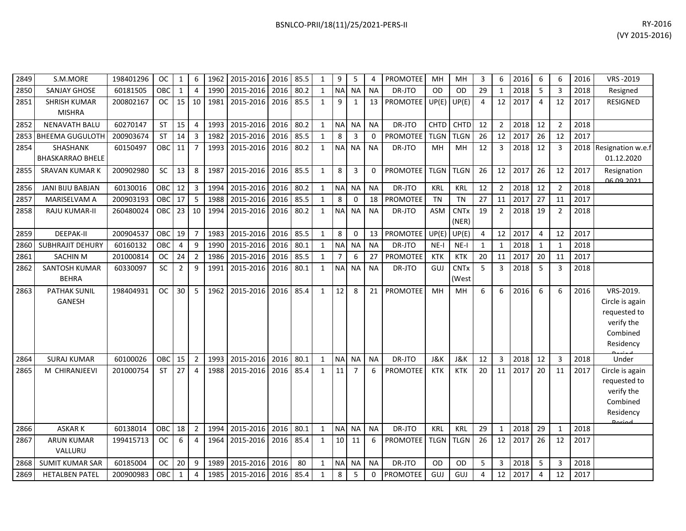| BSNLCO-PRII/18(11)/25/2021-PERS-II | RY-2016 |
|------------------------------------|---------|
|                                    | .       |

| 2849 | S.M.MORE                             | 198401296 | <b>OC</b> | 1               | 6              | 1962 | 2015-2016           | 2016 | 85.5 | 1            | 9              | 5              | 4           | <b>PROMOTEE</b> | MH             | MН                   | 3              | 6              | 2016 | 6  | 6              | 2016 | VRS-2019                                                                            |
|------|--------------------------------------|-----------|-----------|-----------------|----------------|------|---------------------|------|------|--------------|----------------|----------------|-------------|-----------------|----------------|----------------------|----------------|----------------|------|----|----------------|------|-------------------------------------------------------------------------------------|
| 2850 | <b>SANJAY GHOSE</b>                  | 60181505  | OBC       | $\mathbf{1}$    | 4              | 1990 | 2015-2016           | 2016 | 80.2 | 1            | <b>NA</b>      | <b>NA</b>      | <b>NA</b>   | DR-JTO          | OD             | <b>OD</b>            | 29             | $\mathbf{1}$   | 2018 | 5  | 3              | 2018 | Resigned                                                                            |
| 2851 | <b>SHRISH KUMAR</b><br><b>MISHRA</b> | 200802167 | OC        | 15              | 10             | 1981 | 2015-2016           | 2016 | 85.5 | $\mathbf{1}$ | 9              | $\mathbf{1}$   | 13          | <b>PROMOTEE</b> | UP(E)          | UP(E)                | $\overline{4}$ | 12             | 2017 | 4  | 12             | 2017 | RESIGNED                                                                            |
| 2852 | <b>NENAVATH BALU</b>                 | 60270147  | ST        | 15              | $\overline{4}$ | 1993 | 2015-2016           | 2016 | 80.2 | 1            | <b>NA</b>      | <b>NA</b>      | <b>NA</b>   | DR-JTO          | <b>CHTD</b>    | <b>CHTD</b>          | 12             | $\overline{2}$ | 2018 | 12 | $\overline{2}$ | 2018 |                                                                                     |
| 2853 | <b>BHEEMA GUGULOTH</b>               | 200903674 | ST        | 14              | 3              | 1982 | 2015-2016           | 2016 | 85.5 | 1            | 8              | 3              | 0           | PROMOTEE        | <b>TLGN</b>    | <b>TLGN</b>          | 26             | 12             | 2017 | 26 | 12             | 2017 |                                                                                     |
| 2854 | SHASHANK<br><b>BHASKARRAO BHELE</b>  | 60150497  | OBC       | 11              | $\overline{7}$ | 1993 | 2015-2016           | 2016 | 80.2 | 1            | <b>NA</b>      | <b>NA</b>      | <b>NA</b>   | DR-JTO          | MH             | MH                   | 12             | 3              | 2018 | 12 | $\mathbf{3}$   |      | 2018 Resignation w.e.f<br>01.12.2020                                                |
| 2855 | <b>SRAVAN KUMAR K</b>                | 200902980 | SC        | 13              | 8              | 1987 | 2015-2016           | 2016 | 85.5 | $\mathbf{1}$ | 8              | $\overline{3}$ | $\mathbf 0$ | <b>PROMOTEE</b> | <b>TLGN</b>    | <b>TLGN</b>          | 26             | 12             | 2017 | 26 | 12             | 2017 | Resignation<br><u>NG NO 2021</u>                                                    |
| 2856 | JANI BIJU BABJAN                     | 60130016  | OBC       | $\overline{12}$ | $\overline{3}$ | 1994 | 2015-2016           | 2016 | 80.2 | $\mathbf{1}$ | <b>NA</b>      | <b>NA</b>      | <b>NA</b>   | DR-JTO          | <b>KRL</b>     | <b>KRL</b>           | 12             | $\overline{2}$ | 2018 | 12 | $\overline{2}$ | 2018 |                                                                                     |
| 2857 | <b>MARISELVAM A</b>                  | 200903193 | OBC       | 17              | 5              | 1988 | 2015-2016           | 2016 | 85.5 | 1            | 8              | 0              | 18          | <b>PROMOTEE</b> | <b>TN</b>      | TN                   | 27             | 11             | 2017 | 27 | 11             | 2017 |                                                                                     |
| 2858 | RAJU KUMAR-II                        | 260480024 | OBC       | 23              | 10             | 1994 | 2015-2016           | 2016 | 80.2 | $\mathbf{1}$ | <b>NA</b>      | <b>NA</b>      | <b>NA</b>   | DR-JTO          | ASM            | <b>CNTx</b><br>(NER) | 19             | $\overline{2}$ | 2018 | 19 | $\overline{2}$ | 2018 |                                                                                     |
| 2859 | <b>DEEPAK-II</b>                     | 200904537 | OBC       | 19              | $\overline{7}$ | 1983 | 2015-2016           | 2016 | 85.5 | $\mathbf{1}$ | 8              | $\mathbf 0$    | 13          | <b>PROMOTEE</b> | UP(E)          | UP(E)                | $\overline{4}$ | 12             | 2017 | 4  | 12             | 2017 |                                                                                     |
| 2860 | <b>SUBHRAJIT DEHURY</b>              | 60160132  | OBC       | $\overline{4}$  | 9              | 1990 | 2015-2016           | 2016 | 80.1 | $\mathbf{1}$ | <b>NA</b>      | <b>NA</b>      | <b>NA</b>   | DR-JTO          | $NE-I$         | $NE-I$               | 1              | 1              | 2018 | 1  | 1              | 2018 |                                                                                     |
| 2861 | <b>SACHIN M</b>                      | 201000814 | <b>OC</b> | 24              | $\overline{2}$ | 1986 | 2015-2016           | 2016 | 85.5 | 1            | $\overline{7}$ | 6              | 27          | <b>PROMOTEE</b> | <b>KTK</b>     | <b>KTK</b>           | 20             | 11             | 2017 | 20 | 11             | 2017 |                                                                                     |
| 2862 | SANTOSH KUMAR<br><b>BEHRA</b>        | 60330097  | <b>SC</b> | $\overline{2}$  | 9              | 1991 | 2015-2016           | 2016 | 80.1 | $\mathbf{1}$ | <b>NA</b>      | <b>NA</b>      | <b>NA</b>   | DR-JTO          | GUJ            | <b>CNTx</b><br>(West | 5              | 3              | 2018 | 5  | 3              | 2018 |                                                                                     |
| 2863 | <b>PATHAK SUNIL</b><br><b>GANESH</b> | 198404931 | <b>OC</b> | 30              | 5              | 1962 | 2015-2016           | 2016 | 85.4 | $\mathbf{1}$ | 12             | 8              | 21          | <b>PROMOTEE</b> | MH             | <b>MH</b>            | 6              | 6              | 2016 | 6  | 6              | 2016 | VRS-2019.<br>Circle is again<br>requested to<br>verify the<br>Combined<br>Residency |
| 2864 | <b>SURAJ KUMAR</b>                   | 60100026  | OBC       | 15              | $\overline{2}$ | 1993 | 2015-2016           | 2016 | 80.1 | 1            | <b>NA</b>      | <b>NA</b>      | <b>NA</b>   | DR-JTO          | <b>J&amp;K</b> | <b>J&amp;K</b>       | 12             | 3              | 2018 | 12 | $\overline{3}$ | 2018 | Under                                                                               |
| 2865 | M CHIRANJEEVI                        | 201000754 | ST        | $\overline{27}$ | $\overline{4}$ | 1988 | 2015-2016           | 2016 | 85.4 | $\mathbf{1}$ | 11             | $\overline{7}$ | 6           | <b>PROMOTEE</b> | <b>KTK</b>     | <b>KTK</b>           | 20             | 11             | 2017 | 20 | 11             | 2017 | Circle is again<br>requested to<br>verify the<br>Combined<br>Residency<br>Doriad    |
| 2866 | <b>ASKARK</b>                        | 60138014  | OBC       | 18              | $\overline{2}$ | 1994 | 2015-2016           | 2016 | 80.1 | 1            | <b>NA</b>      | <b>NA</b>      | <b>NA</b>   | DR-JTO          | KRL            | <b>KRL</b>           | 29             | $\mathbf{1}$   | 2018 | 29 | $\mathbf{1}$   | 2018 |                                                                                     |
| 2867 | <b>ARUN KUMAR</b><br>VALLURU         | 199415713 | <b>OC</b> | 6               | $\overline{4}$ | 1964 | 2015-2016           | 2016 | 85.4 | $\mathbf{1}$ | 10             | 11             | 6           | <b>PROMOTEE</b> | <b>TLGN</b>    | <b>TLGN</b>          | 26             | 12             | 2017 | 26 | 12             | 2017 |                                                                                     |
|      | 2868 SUMIT KUMAR SAR                 | 60185004  | OC.       | 20              | $\mathsf{q}$   |      | 1989 2015-2016 2016 |      | 80   | $\mathbf{1}$ | <b>NA</b>      | <b>NA</b>      | <b>NA</b>   | DR-JTO          | <b>OD</b>      | <b>OD</b>            | 5              | $\overline{3}$ | 2018 | 5  | 3              | 2018 |                                                                                     |

2869 HETALBEN PATEL 200900983 OBC 1 4 1985 2015-2016 2016 85.4 1 8 5 0 PROMOTEE GUJ GUJ 4 12 2017 4 12 2017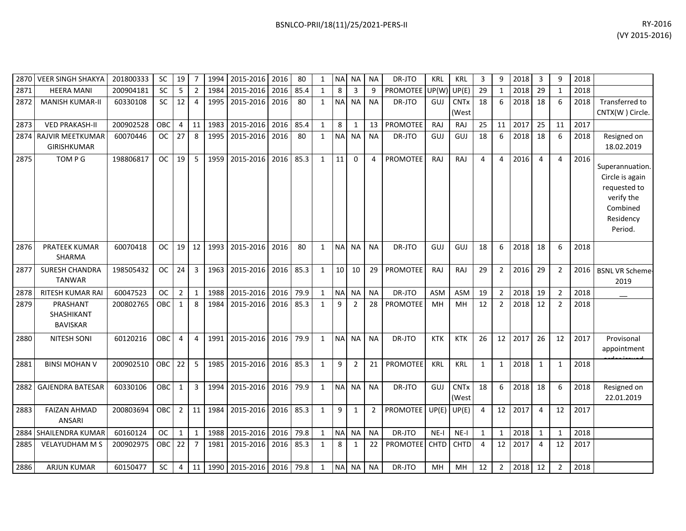| 2870 | <b>VEER SINGH SHAKYA</b>                    | 201800333 | <b>SC</b>  | 19             |    | 1994 | 2015-2016      | 2016 | 80   | 1            | N <sub>A</sub>  | <b>NA</b>      | <b>NA</b> | DR-JTO          | <b>KRL</b> | KRL                             | 3  | 9              | 2018 | 3  | 9              | 2018 |                                                                                                      |
|------|---------------------------------------------|-----------|------------|----------------|----|------|----------------|------|------|--------------|-----------------|----------------|-----------|-----------------|------------|---------------------------------|----|----------------|------|----|----------------|------|------------------------------------------------------------------------------------------------------|
| 2871 | <b>HEERA MANI</b>                           | 200904181 | <b>SC</b>  | 5              | 2  | 1984 | 2015-2016      | 2016 | 85.4 | $\mathbf{1}$ | 8               | 3              | q         | PROMOTEE        | UP(W)      | UP(E)                           | 29 |                | 2018 | 29 |                | 2018 |                                                                                                      |
| 2872 | <b>MANISH KUMAR-II</b>                      | 60330108  | <b>SC</b>  | 12             | 4  | 1995 | 2015-2016      | 2016 | 80   | $\mathbf{1}$ | NA <sup>I</sup> | <b>NA</b>      | <b>NA</b> | DR-JTO          | GUJ        | <b>CNT<sub>x</sub></b><br>(West | 18 | 6              | 2018 | 18 | 6              | 2018 | Transferred to<br>CNTX(W) Circle.                                                                    |
| 2873 | <b>VED PRAKASH-II</b>                       | 200902528 | OBC        | $\overline{4}$ | 11 | 1983 | 2015-2016      | 2016 | 85.4 | $\mathbf{1}$ | 8               |                | 13        | <b>PROMOTEE</b> | <b>RAJ</b> | <b>RAJ</b>                      | 25 | 11             | 2017 | 25 | 11             | 2017 |                                                                                                      |
|      | 2874 RAJVIR MEETKUMAR<br><b>GIRISHKUMAR</b> | 60070446  | <b>OC</b>  | 27             | 8  | 1995 | 2015-2016      | 2016 | 80   | $\mathbf{1}$ | NA              | <b>NA</b>      | <b>NA</b> | DR-JTO          | GUJ        | GUJ                             | 18 | 6              | 2018 | 18 | 6              | 2018 | Resigned on<br>18.02.2019                                                                            |
| 2875 | TOM P G                                     | 198806817 | <b>OC</b>  | 19             | 5  | 1959 | 2015-2016      | 2016 | 85.3 | $\mathbf{1}$ | 11              | $\Omega$       | $\Delta$  | <b>PROMOTEE</b> | RAJ        | <b>RAJ</b>                      | 4  | $\overline{4}$ | 2016 | 4  | $\overline{4}$ | 2016 | Superannuation.<br>Circle is again<br>requested to<br>verify the<br>Combined<br>Residency<br>Period. |
| 2876 | <b>PRATEEK KUMAR</b><br><b>SHARMA</b>       | 60070418  | <b>OC</b>  | 19             | 12 | 1993 | 2015-2016      | 2016 | 80   | -1           | <b>NA</b>       | <b>NA</b>      | <b>NA</b> | DR-JTO          | GUJ        | GUJ                             | 18 | 6              | 2018 | 18 | 6              | 2018 |                                                                                                      |
| 2877 | <b>SURESH CHANDRA</b><br><b>TANWAR</b>      | 198505432 | <b>OC</b>  | 24             | 3  | 1963 | 2015-2016      | 2016 | 85.3 | $\mathbf{1}$ | 10              | 10             | 29        | <b>PROMOTEE</b> | RAJ        | RAJ                             | 29 | $\overline{2}$ | 2016 | 29 | $\overline{2}$ | 2016 | <b>BSNL VR Scheme-</b><br>2019                                                                       |
| 2878 | <b>RITESH KUMAR RAI</b>                     | 60047523  | <b>OC</b>  | $\overline{2}$ | 1  | 1988 | 2015-2016      | 2016 | 79.9 | -1           | <b>NA</b>       | <b>NA</b>      | <b>NA</b> | DR-JTO          | <b>ASM</b> | <b>ASM</b>                      | 19 | $\overline{2}$ | 2018 | 19 | $\overline{2}$ | 2018 | $\overline{\phantom{m}}$                                                                             |
| 2879 | PRASHANT<br>SHASHIKANT<br><b>BAVISKAR</b>   | 200802765 | <b>OBC</b> | 1              | 8  | 1984 | 2015-2016      | 2016 | 85.3 |              | 9               | $\overline{2}$ | 28        | <b>PROMOTEE</b> | MH         | MH                              | 12 | $\overline{2}$ | 2018 | 12 | $\overline{2}$ | 2018 |                                                                                                      |
| 2880 | <b>NITESH SONI</b>                          | 60120216  | <b>OBC</b> | $\overline{4}$ | 4  | 1991 | 2015-2016 2016 |      | 79.9 | 1            |                 | NA NA          | <b>NA</b> | DR-JTO          | <b>KTK</b> | <b>KTK</b>                      | 26 | 12             | 2017 | 26 | 12             | 2017 | Provisonal                                                                                           |

ORDER ISSUED 200902510 OBC 22 5 1985 2015-2016 2016 85.3 1 9 2 21 PROMOTEE KRL KRL 1 1 2018 1 1 2018

2884 SHAILENDRA KUMAR 60160124 OC 1 1 1 1 1988 2015-2016 2016 79.8 1 NA NA NA NA DR-JTO NE-I NE-I 1 1 1 2018 1 1 1 2018 2885| VELAYUDHAM M S | 200902975 | OBC| 22| 7 | 1981|2015-2016|2016|85.3| 1 | 8| 1 | 22|PROMOTEE| CHTD| CHTD| 4 | 12|2017| 4 | 12|2017

2886| ARJUN KUMAR |60150477 |SC |4 |11 |1990 |2015-2016 |2016 |79.8 | 1 |NA|NA |NA |NA |DR-JTO |MH |MH |12 |2 |2018 |12 | 2 |2018

200803694 OBC 2 11 1984 2015-2016 2016 85.3 1 9 1 2 PROMOTEE UP(E) UP(E) 4 12 2017 4 12 2017

(West  $UP(E)$ 

2882 GAJENDRA BATESAR 60330106 OBC 1 3 1994 2015-2016 2016 79.9 1 NA NA NA NA DR-JTO GUJ CNTx

2883 FAIZAN AHMAD

ANSARI

appointment

22.01.2019

18 6 2018 18 6 2018 Resigned on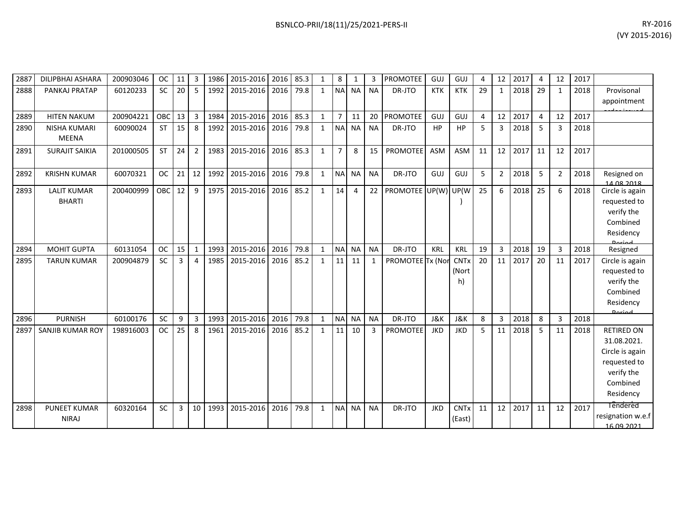| 2887 | <b>DILIPBHAI ASHARA</b> | 200903046 | <b>OC</b>  | 11               | 3              | 1986 | 2015-2016 2016 |      | 85.3 | 1            | 8              | $\mathbf{1}$ | 3            | <b>PROMOTEE</b>         | GUJ        | GUJ                    | 4  | 12             | 2017 | 4              | 12           | 2017 |                               |
|------|-------------------------|-----------|------------|------------------|----------------|------|----------------|------|------|--------------|----------------|--------------|--------------|-------------------------|------------|------------------------|----|----------------|------|----------------|--------------|------|-------------------------------|
| 2888 | PANKAJ PRATAP           | 60120233  | <b>SC</b>  | 20               | 5              | 1992 | 2015-2016      | 2016 | 79.8 | 1            |                | NA NA        | <b>NA</b>    | DR-JTO                  | <b>KTK</b> | <b>KTK</b>             | 29 | $\mathbf{1}$   | 2018 | 29             | $\mathbf{1}$ | 2018 | Provisonal                    |
|      |                         |           |            |                  |                |      |                |      |      |              |                |              |              |                         |            |                        |    |                |      |                |              |      | appointment                   |
| 2889 | <b>HITEN NAKUM</b>      | 200904221 | OBC        | 13               | 3              | 1984 | 2015-2016      | 2016 | 85.3 | $\mathbf{1}$ | $\overline{7}$ | 11           | 20           | <b>PROMOTEE</b>         | GUJ        | GUJ                    | 4  | 12             | 2017 | $\overline{4}$ | 12           | 2017 |                               |
| 2890 | <b>NISHA KUMARI</b>     | 60090024  | <b>ST</b>  | 15               | 8              | 1992 | 2015-2016      | 2016 | 79.8 | $\mathbf{1}$ |                | NA NA        | <b>NA</b>    | DR-JTO                  | HP         | <b>HP</b>              | 5  | 3              | 2018 | 5              | 3            | 2018 |                               |
|      | <b>MEENA</b>            |           |            |                  |                |      |                |      |      |              |                |              |              |                         |            |                        |    |                |      |                |              |      |                               |
| 2891 | <b>SURAJIT SAIKIA</b>   | 201000505 | <b>ST</b>  | 24               | $\overline{2}$ | 1983 | 2015-2016      | 2016 | 85.3 | $\mathbf{1}$ | $\overline{7}$ | 8            | 15           | <b>PROMOTEE</b>         | <b>ASM</b> | ASM                    | 11 | 12             | 2017 | 11             | 12           | 2017 |                               |
|      |                         |           |            |                  |                |      |                |      |      |              |                |              |              |                         |            |                        |    |                |      |                |              |      |                               |
| 2892 | <b>KRISHN KUMAR</b>     | 60070321  | <b>OC</b>  | 21               | 12             | 1992 | 2015-2016      | 2016 | 79.8 | 1            | NA             | <b>NA</b>    | <b>NA</b>    | DR-JTO                  | GUJ        | GUJ                    | 5  | $\overline{2}$ | 2018 | 5              | 2            | 2018 | Resigned on                   |
| 2893 | <b>LALIT KUMAR</b>      | 200400999 | <b>OBC</b> | 12               | 9              | 1975 | 2015-2016      | 2016 | 85.2 | $\mathbf{1}$ | 14             | 4            |              | 22 PROMOTEE UP(W) UP(W) |            |                        | 25 | 6              | 2018 | 25             | 6            | 2018 | 14.08.2018<br>Circle is again |
|      | <b>BHARTI</b>           |           |            |                  |                |      |                |      |      |              |                |              |              |                         |            |                        |    |                |      |                |              |      | requested to                  |
|      |                         |           |            |                  |                |      |                |      |      |              |                |              |              |                         |            |                        |    |                |      |                |              |      | verify the                    |
|      |                         |           |            |                  |                |      |                |      |      |              |                |              |              |                         |            |                        |    |                |      |                |              |      | Combined                      |
|      |                         |           |            |                  |                |      |                |      |      |              |                |              |              |                         |            |                        |    |                |      |                |              |      | Residency                     |
| 2894 | <b>MOHIT GUPTA</b>      | 60131054  | <b>OC</b>  | 15               | $\mathbf{1}$   | 1993 | 2015-2016      | 2016 | 79.8 | 1            | N <sub>A</sub> | <b>NA</b>    | <b>NA</b>    | DR-JTO                  | KRL        | KRL                    | 19 | 3              | 2018 | 19             | 3            | 2018 | Resigned                      |
| 2895 | <b>TARUN KUMAR</b>      | 200904879 | <b>SC</b>  | 3                | 4              | 1985 | 2015-2016      | 2016 | 85.2 | $\mathbf{1}$ | 11             | 11           | $\mathbf{1}$ | PROMOTEE Tx (Nor        |            | <b>CNTx</b>            | 20 | 11             | 2017 | 20             | 11           | 2017 | Circle is again               |
|      |                         |           |            |                  |                |      |                |      |      |              |                |              |              |                         |            | (Nort                  |    |                |      |                |              |      | requested to                  |
|      |                         |           |            |                  |                |      |                |      |      |              |                |              |              |                         |            | h)                     |    |                |      |                |              |      | verify the                    |
|      |                         |           |            |                  |                |      |                |      |      |              |                |              |              |                         |            |                        |    |                |      |                |              |      | Combined                      |
|      |                         |           |            |                  |                |      |                |      |      |              |                |              |              |                         |            |                        |    |                |      |                |              |      | Residency                     |
| 2896 | <b>PURNISH</b>          | 60100176  | SC         | $\boldsymbol{9}$ | $\overline{3}$ | 1993 | 2015-2016      | 2016 | 79.8 | 1            | NA NA          |              | <b>NA</b>    | DR-JTO                  | J&K        | J&K                    | 8  | 3              | 2018 | 8              | 3            | 2018 | <b>Dorigal</b>                |
| 2897 | <b>SANJIB KUMAR ROY</b> | 198916003 | <b>OC</b>  | 25               | 8              | 1961 | 2015-2016      | 2016 | 85.2 | $\mathbf{1}$ | 11             | 10           | 3            | <b>PROMOTEE</b>         | JKD        | <b>JKD</b>             | 5  | 11             | 2018 | -5             | 11           | 2018 | <b>RETIRED ON</b>             |
|      |                         |           |            |                  |                |      |                |      |      |              |                |              |              |                         |            |                        |    |                |      |                |              |      | 31.08.2021.                   |
|      |                         |           |            |                  |                |      |                |      |      |              |                |              |              |                         |            |                        |    |                |      |                |              |      | Circle is again               |
|      |                         |           |            |                  |                |      |                |      |      |              |                |              |              |                         |            |                        |    |                |      |                |              |      | requested to                  |
|      |                         |           |            |                  |                |      |                |      |      |              |                |              |              |                         |            |                        |    |                |      |                |              |      | verify the                    |
|      |                         |           |            |                  |                |      |                |      |      |              |                |              |              |                         |            |                        |    |                |      |                |              |      | Combined                      |
|      |                         |           |            |                  |                |      |                |      |      |              |                |              |              |                         |            |                        |    |                |      |                |              |      | Residency                     |
| 2898 | <b>PUNEET KUMAR</b>     | 60320164  | <b>SC</b>  | 3                | 10             | 1993 | 2015-2016      | 2016 | 79.8 | 1            | NA             | <b>NA</b>    | <b>NA</b>    | DR-JTO                  | <b>JKD</b> | <b>CNT<sub>x</sub></b> | 11 | 12             | 2017 | 11             | 12           | 2017 | <b>Tendered</b>               |
|      | <b>NIRAJ</b>            |           |            |                  |                |      |                |      |      |              |                |              |              |                         |            | (East)                 |    |                |      |                |              |      | resignation w.e.f             |
|      |                         |           |            |                  |                |      |                |      |      |              |                |              |              |                         |            |                        |    |                |      |                |              |      | 16.09.2021                    |

(VY 2015-2016)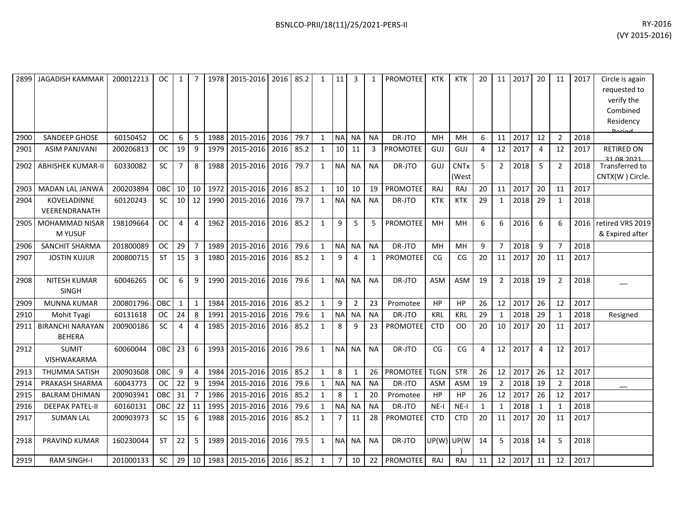| 2899 | <b>JAGADISH KAMMAR</b>                   | 200012213 | <b>OC</b> | 1              | 7              | 1978 | 2015-2016                | 2016 | 85.2 | $\mathbf{1}$ | 11             | 3              | 1            | <b>PROMOTEE</b> | <b>KTK</b>  | <b>KTK</b>           | 20           | 11             | 2017 | 20             | 11             | 2017 | Circle is again<br>requested to<br>verify the<br>Combined<br>Residency<br>Doriod |
|------|------------------------------------------|-----------|-----------|----------------|----------------|------|--------------------------|------|------|--------------|----------------|----------------|--------------|-----------------|-------------|----------------------|--------------|----------------|------|----------------|----------------|------|----------------------------------------------------------------------------------|
| 2900 | <b>SANDEEP GHOSE</b>                     | 60150452  | <b>OC</b> | 6              | 5              | 1988 | 2015-2016                | 2016 | 79.7 | $\mathbf{1}$ | <b>NA</b>      | <b>NA</b>      | <b>NA</b>    | DR-JTO          | MН          | MH                   | 6            | 11             | 2017 | 12             | $\overline{2}$ | 2018 |                                                                                  |
| 2901 | <b>ASIM PANJVANI</b>                     | 200206813 | <b>OC</b> | 19             | 9              | 1979 | 2015-2016                | 2016 | 85.2 | $\mathbf{1}$ | 10             | 11             | 3            | <b>PROMOTEE</b> | GUJ         | GUJ                  | 4            | 12             | 2017 | $\overline{4}$ | 12             | 2017 | <b>RETIRED ON</b><br>21 08 2021                                                  |
| 2902 | <b>ABHISHEK KUMAR-II</b>                 | 60330082  | SC        | $\overline{7}$ | 8              | 1988 | 2015-2016                | 2016 | 79.7 | $\mathbf{1}$ | <b>NA</b>      | <b>NA</b>      | <b>NA</b>    | DR-JTO          | GUJ         | <b>CNTx</b><br>(West | 5            | $\overline{2}$ | 2018 | 5              | $\overline{2}$ | 2018 | Transferred to<br>CNTX(W) Circle.                                                |
| 2903 | <b>MADAN LAL JANWA</b>                   | 200203894 | OBC       | 10             | 10             | 1972 | 2015-2016                | 2016 | 85.2 | $\mathbf{1}$ | 10             | 10             | 19           | <b>PROMOTEE</b> | RAJ         | RAJ                  | 20           | 11             | 2017 | 20             | 11             | 2017 |                                                                                  |
| 2904 | <b>KOVELADINNE</b><br>VEERENDRANATH      | 60120243  | <b>SC</b> | 10             | 12             | 1990 | 2015-2016                | 2016 | 79.7 | $\mathbf{1}$ | <b>NA</b>      | <b>NA</b>      | <b>NA</b>    | DR-JTO          | KTK         | <b>KTK</b>           | 29           | $\mathbf{1}$   | 2018 | 29             | 1              | 2018 |                                                                                  |
| 2905 | MOHAMMAD NISAR<br>M YUSUF                | 198109664 | <b>OC</b> | $\overline{4}$ | $\overline{4}$ | 1962 | 2015-2016                | 2016 | 85.2 | $\mathbf{1}$ | 9              | 5              | 5            | <b>PROMOTEE</b> | MH          | MH                   | 6            | 6              | 2016 | 6              | 6              | 2016 | retired VRS 2019<br>& Expired after                                              |
| 2906 | <b>SANCHIT SHARMA</b>                    | 201800089 | <b>OC</b> | 29             | $\overline{7}$ | 1989 | 2015-2016                | 2016 | 79.6 | $\mathbf{1}$ | NA             | <b>NA</b>      | <b>NA</b>    | DR-JTO          | MH          | MH                   | 9            | $\overline{7}$ | 2018 | 9              | $\overline{7}$ | 2018 |                                                                                  |
| 2907 | <b>JOSTIN KUJUR</b>                      | 200800715 | <b>ST</b> | 15             | 3              | 1980 | 2015-2016                | 2016 | 85.2 | $\mathbf{1}$ | 9              | 4              | $\mathbf{1}$ | PROMOTEE        | CG          | CG                   | 20           | 11             | 2017 | 20             | 11             | 2017 |                                                                                  |
| 2908 | NITESH KUMAR<br><b>SINGH</b>             | 60046265  | <b>OC</b> | 6              | 9              | 1990 | 2015-2016                | 2016 | 79.6 | $\mathbf{1}$ | <b>NA</b>      | <b>NA</b>      | <b>NA</b>    | DR-JTO          | ASM         | ASM                  | 19           | $\overline{2}$ | 2018 | 19             | $\overline{2}$ | 2018 |                                                                                  |
| 2909 | <b>MUNNA KUMAR</b>                       | 200801796 | OBC       | $\mathbf{1}$   | $\mathbf{1}$   | 1984 | 2015-2016                | 2016 | 85.2 | $\mathbf{1}$ | 9              | $\overline{2}$ | 23           | Promotee        | HP          | HP                   | 26           | 12             | 2017 | 26             | 12             | 2017 |                                                                                  |
| 2910 | Mohit Tyagi                              | 60131618  | <b>OC</b> | 24             | 8              | 1991 | 2015-2016                | 2016 | 79.6 | $\mathbf{1}$ | <b>NA</b>      | <b>NA</b>      | <b>NA</b>    | DR-JTO          | <b>KRL</b>  | <b>KRL</b>           | 29           | 1              | 2018 | 29             | $\mathbf{1}$   | 2018 | Resigned                                                                         |
| 2911 | <b>BIRANCHI NARAYAN</b><br><b>BEHERA</b> | 200900186 | <b>SC</b> | 4              | 4              | 1985 | 2015-2016                | 2016 | 85.2 | $\mathbf{1}$ | 8              | 9              | 23           | <b>PROMOTEE</b> | <b>CTD</b>  | <b>OD</b>            | 20           | 10             | 2017 | 20             | 11             | 2017 |                                                                                  |
| 2912 | <b>SUMIT</b><br><b>VISHWAKARMA</b>       | 60060044  | OBC       | 23             | 6              | 1993 | 2015-2016                | 2016 | 79.6 | $\mathbf{1}$ | <b>NA</b>      | <b>NA</b>      | <b>NA</b>    | DR-JTO          | CG          | CG                   | 4            | 12             | 2017 | 4              | 12             | 2017 |                                                                                  |
| 2913 | <b>THUMMA SATISH</b>                     | 200903608 | OBC       | 9              | $\overline{4}$ | 1984 | 2015-2016                | 2016 | 85.2 | $\mathbf{1}$ | 8              | 1              | 26           | <b>PROMOTEE</b> | <b>TLGN</b> | <b>STR</b>           | 26           | 12             | 2017 | 26             | 12             | 2017 |                                                                                  |
| 2914 | PRAKASH SHARMA                           | 60043773  | <b>OC</b> | 22             | 9              | 1994 | 2015-2016                | 2016 | 79.6 | $\mathbf{1}$ | $\sf NA$       | <b>NA</b>      | <b>NA</b>    | DR-JTO          | ASM         | <b>ASM</b>           | 19           | $\overline{2}$ | 2018 | 19             | 2              | 2018 |                                                                                  |
| 2915 | <b>BALRAM DHIMAN</b>                     | 200903941 | OBC       | 31             | $\overline{7}$ | 1986 | 2015-2016                | 2016 | 85.2 | $\mathbf{1}$ | 8              | 1              | 20           | Promotee        | HP          | HP                   | 26           | 12             | 2017 | 26             | 12             | 2017 |                                                                                  |
| 2916 | <b>DEEPAK PATEL-II</b>                   | 60160131  | OBC       | 22             | 11             | 1995 | 2015-2016                | 2016 | 79.6 | $\mathbf{1}$ | <b>NA</b>      | <b>NA</b>      | <b>NA</b>    | DR-JTO          | $NE-I$      | $NE-I$               | $\mathbf{1}$ | $\mathbf{1}$   | 2018 | $\mathbf{1}$   | 1              | 2018 |                                                                                  |
| 2917 | <b>SUMAN LAL</b>                         | 200903973 | SC        | 15             | 6              | 1988 | 2015-2016                | 2016 | 85.2 | $\mathbf{1}$ | $\overline{7}$ | 11             | 28           | <b>PROMOTEE</b> | <b>CTD</b>  | <b>CTD</b>           | 20           | 11             | 2017 | 20             | 11             | 2017 |                                                                                  |
| 2918 | PRAVIND KUMAR                            | 160230044 | <b>ST</b> | 22             | 5              | 1989 | 2015-2016                | 2016 | 79.5 | $\mathbf{1}$ | <b>NA</b>      | <b>NA</b>      | <b>NA</b>    | DR-JTO          | UP(W)       | UP(W                 | 14           | 5              | 2018 | 14             | 5              | 2018 |                                                                                  |
| 2919 | <b>RAM SINGH-I</b>                       | 201000133 | <b>SC</b> | 29             | 10             |      | 1983 2015-2016 2016 85.2 |      |      | $\mathbf{1}$ | $\overline{7}$ | 10             | 22           | PROMOTEE        | RAJ         | <b>RAJ</b>           | 11           | 12             | 2017 | 11             | 12             | 2017 |                                                                                  |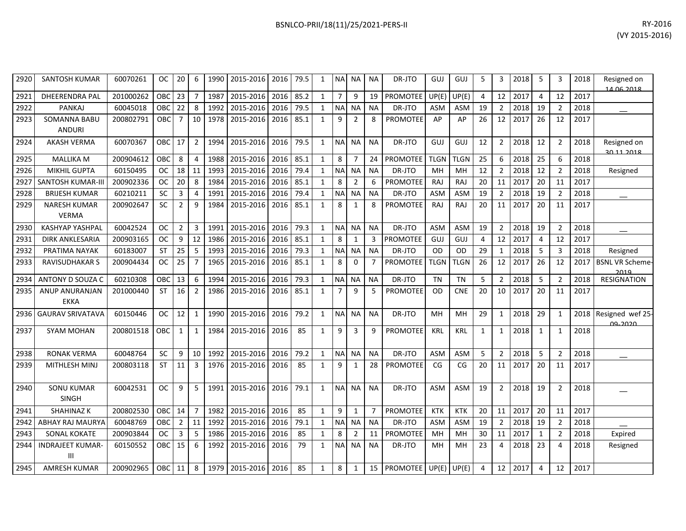| RY-2016        | BSNLCO-PRII/18(11)/25/2021-PERS-II |
|----------------|------------------------------------|
| (VY 2015-2016) |                                    |
|                |                                    |

| 2920 | <b>SANTOSH KUMAR</b>                 | 60070261  | OC.        | 20             | 6              | 1990 | 2015-2016 | 2016 | 79.5 | 1            | NA             | ΝA             | NA        | DR-JTO            | GUJ         | GUJ        | 5              | 3              | 2018 | 5            | 3              | 2018 | Resigned on<br>14.06.2018       |
|------|--------------------------------------|-----------|------------|----------------|----------------|------|-----------|------|------|--------------|----------------|----------------|-----------|-------------------|-------------|------------|----------------|----------------|------|--------------|----------------|------|---------------------------------|
| 2921 | <b>DHEERENDRA PAL</b>                | 201000262 | OBC        | 23             | $\overline{7}$ | 1987 | 2015-2016 | 2016 | 85.2 | $\mathbf{1}$ | $\overline{7}$ | 9              | 19        | PROMOTEE          | UP(E)       | UP(E)      | $\overline{4}$ | 12             | 2017 | 4            | 12             | 2017 |                                 |
| 2922 | <b>PANKAJ</b>                        | 60045018  | OBC        | 22             | 8              | 1992 | 2015-2016 | 2016 | 79.5 | $\mathbf{1}$ | <b>NA</b>      | <b>NA</b>      | <b>NA</b> | DR-JTO            | ASM         | ASM        | 19             | $\overline{2}$ | 2018 | 19           | $\overline{2}$ | 2018 |                                 |
| 2923 | <b>SOMANNA BABU</b><br><b>ANDURI</b> | 200802791 | OBC        | $\overline{7}$ | 10             | 1978 | 2015-2016 | 2016 | 85.1 | $\mathbf{1}$ | 9              | $\overline{2}$ | 8         | PROMOTEE          | AP          | AP         | 26             | 12             | 2017 | 26           | 12             | 2017 |                                 |
| 2924 | <b>AKASH VERMA</b>                   | 60070367  | <b>OBC</b> | 17             | $\overline{2}$ | 1994 | 2015-2016 | 2016 | 79.5 | $\mathbf{1}$ | <b>NA</b>      | <b>NA</b>      | <b>NA</b> | DR-JTO            | GUJ         | GUJ        | 12             | 2              | 2018 | 12           | $\overline{2}$ | 2018 | Resigned on<br>2011 2018        |
| 2925 | <b>MALLIKA M</b>                     | 200904612 | OBC        | 8              | $\overline{4}$ | 1988 | 2015-2016 | 2016 | 85.1 | $\mathbf{1}$ | 8              | $\overline{7}$ | 24        | PROMOTEE          | <b>TLGN</b> | TLGN       | 25             | 6              | 2018 | 25           | 6              | 2018 |                                 |
| 2926 | <b>MIKHIL GUPTA</b>                  | 60150495  | <b>OC</b>  | 18             | 11             | 1993 | 2015-2016 | 2016 | 79.4 | $\mathbf{1}$ | <b>NA</b>      | ΝA             | <b>NA</b> | DR-JTO            | MH          | MH         | 12             | $\overline{2}$ | 2018 | 12           | $\overline{2}$ | 2018 | Resigned                        |
| 2927 | <b>SANTOSH KUMAR-III</b>             | 200902336 | <b>OC</b>  | 20             | 8              | 1984 | 2015-2016 | 2016 | 85.1 | $\mathbf{1}$ | 8              | $\overline{2}$ | 6         | <b>PROMOTEE</b>   | <b>RAJ</b>  | RAJ        | 20             | 11             | 2017 | 20           | 11             | 2017 |                                 |
| 2928 | <b>BRIJESH KUMAR</b>                 | 60210211  | SC         | 3              | 4              | 1991 | 2015-2016 | 2016 | 79.4 | $\mathbf{1}$ | <b>NA</b>      | <b>NA</b>      | <b>NA</b> | DR-JTO            | <b>ASM</b>  | ASM        | 19             | $\overline{2}$ | 2018 | 19           | $\overline{2}$ | 2018 |                                 |
| 2929 | <b>NARESH KUMAR</b><br><b>VERMA</b>  | 200902647 | <b>SC</b>  | $\overline{2}$ | 9              | 1984 | 2015-2016 | 2016 | 85.1 | $\mathbf{1}$ | 8              | $\mathbf{1}$   | 8         | <b>PROMOTEE</b>   | <b>RAJ</b>  | RAJ        | 20             | 11             | 2017 | 20           | 11             | 2017 |                                 |
| 2930 | <b>KASHYAP YASHPAL</b>               | 60042524  | <b>OC</b>  | $\overline{2}$ | 3              | 1991 | 2015-2016 | 2016 | 79.3 | $\mathbf{1}$ | <b>NA</b>      | <b>NA</b>      | <b>NA</b> | DR-JTO            | ASM         | ASM        | 19             | $\overline{2}$ | 2018 | 19           | $\overline{2}$ | 2018 |                                 |
| 2931 | DIRK ANKLESARIA                      | 200903165 | <b>OC</b>  | 9              | 12             | 1986 | 2015-2016 | 2016 | 85.1 | $\mathbf{1}$ | 8              | 1              | 3         | <b>PROMOTEE</b>   | GUJ         | GUJ        | 4              | 12             | 2017 | 4            | 12             | 2017 |                                 |
| 2932 | PRATIMA NAYAK                        | 60183007  | <b>ST</b>  | 25             | 5              | 1993 | 2015-2016 | 2016 | 79.3 | 1            | <b>NA</b>      | NA             | <b>NA</b> | DR-JTO            | <b>OD</b>   | OD         | 29             | 1              | 2018 | 5            | 3              | 2018 | Resigned                        |
| 2933 | RAVISUDHAKAR S                       | 200904434 | <b>OC</b>  | 25             | $\overline{7}$ | 1965 | 2015-2016 | 2016 | 85.1 | $\mathbf{1}$ | 8              | $\Omega$       | 7         | <b>PROMOTEE</b>   | <b>TLGN</b> | TLGN       | 26             | 12             | 2017 | 26           | 12             | 2017 | <b>BSNL VR Scheme</b><br>2019   |
| 2934 | ANTONY D SOUZA C                     | 60210308  | OBC        | 13             | 6              | 1994 | 2015-2016 | 2016 | 79.3 | $\mathbf{1}$ | <b>NA</b>      | NA             | <b>NA</b> | DR-JTO            | <b>TN</b>   | <b>TN</b>  | 5              | $\overline{2}$ | 2018 | 5            | $\overline{2}$ | 2018 | <b>RESIGNATION</b>              |
| 2935 | ANUP ANURANJAN<br><b>EKKA</b>        | 201000440 | ST         | 16             | 2              | 1986 | 2015-2016 | 2016 | 85.1 | $\mathbf{1}$ | $\overline{7}$ | 9              | 5         | PROMOTEE          | <b>OD</b>   | <b>CNE</b> | 20             | 10             | 2017 | 20           | 11             | 2017 |                                 |
| 2936 | <b>GAURAV SRIVATAVA</b>              | 60150446  | <b>OC</b>  | 12             | 1              | 1990 | 2015-2016 | 2016 | 79.2 | $\mathbf{1}$ | <b>NA</b>      | <b>NA</b>      | <b>NA</b> | DR-JTO            | MН          | <b>MH</b>  | 29             | 1              | 2018 | 29           | 1              | 2018 | Resigned wef 25<br><u>രാറാറ</u> |
| 2937 | <b>SYAM MOHAN</b>                    | 200801518 | <b>OBC</b> | $\mathbf{1}$   | $\mathbf{1}$   | 1984 | 2015-2016 | 2016 | 85   | $\mathbf{1}$ | 9              | 3              | 9         | PROMOTEE          | KRL         | KRL        | 1              | 1              | 2018 | $\mathbf{1}$ | 1              | 2018 |                                 |
| 2938 | <b>RONAK VERMA</b>                   | 60048764  | <b>SC</b>  | 9              | 10             | 1992 | 2015-2016 | 2016 | 79.2 | $\mathbf{1}$ | <b>NA</b>      | <b>NA</b>      | <b>NA</b> | DR-JTO            | ASM         | ASM        | 5              | $\overline{2}$ | 2018 | 5            | $\overline{2}$ | 2018 |                                 |
| 2939 | MITHLESH MINJ                        | 200803118 | <b>ST</b>  | 11             | 3              | 1976 | 2015-2016 | 2016 | 85   | $\mathbf{1}$ | 9              | 1              | 28        | <b>PROMOTEE</b>   | CG          | CG         | 20             | 11             | 2017 | 20           | 11             | 2017 |                                 |
| 2940 | <b>SONU KUMAR</b><br><b>SINGH</b>    | 60042531  | ОC         | 9              | 5              | 1991 | 2015-2016 | 2016 | 79.1 | $\mathbf{1}$ | <b>NA</b>      | <b>NA</b>      | <b>NA</b> | DR-JTO            | <b>ASM</b>  | <b>ASM</b> | 19             | $\overline{2}$ | 2018 | 19           | $\overline{2}$ | 2018 |                                 |
| 2941 | <b>SHAHINAZ K</b>                    | 200802530 | <b>OBC</b> | 14             | $\overline{7}$ | 1982 | 2015-2016 | 2016 | 85   | $\mathbf{1}$ | 9              | $\mathbf{1}$   | 7         | <b>PROMOTEE</b>   | <b>KTK</b>  | <b>KTK</b> | 20             | 11             | 2017 | 20           | 11             | 2017 |                                 |
| 2942 | ABHAY RAJ MAURYA                     | 60048769  | <b>OBC</b> | $\overline{2}$ | 11             | 1992 | 2015-2016 | 2016 | 79.1 | 1            | <b>NA</b>      | <b>NA</b>      | <b>NA</b> | DR-JTO            | ASM         | ASM        | 19             | $\overline{2}$ | 2018 | 19           | $\overline{2}$ | 2018 |                                 |
| 2943 | SONAL KOKATE                         | 200903844 | ОC         | 3              | 5              | 1986 | 2015-2016 | 2016 | 85   | $\mathbf{1}$ | 8              | 2              | 11        | <b>PROMOTEE</b>   | MH          | MH         | 30             | 11             | 2017 | $\mathbf{1}$ | $\overline{2}$ | 2018 | Expired                         |
| 2944 | <b>INDRAJEET KUMAR</b><br>Ш          | 60150552  | <b>OBC</b> | 15             | 6              | 1992 | 2015-2016 | 2016 | 79   | $\mathbf{1}$ | N <sub>A</sub> | NA             | NA        | DR-JTO            | MН          | MH         | 23             | 4              | 2018 | 23           | 4              | 2018 | Resigned                        |
| 2945 | <b>AMRESH KUMAR</b>                  | 200902965 | <b>OBC</b> | 11             | 8              | 1979 | 2015-2016 | 2016 | 85   | $\mathbf{1}$ | 8              | 1              |           | 15 PROMOTEE UP(E) |             | UP(E)      | $\overline{4}$ | 12             | 2017 | 4            | 12             | 2017 |                                 |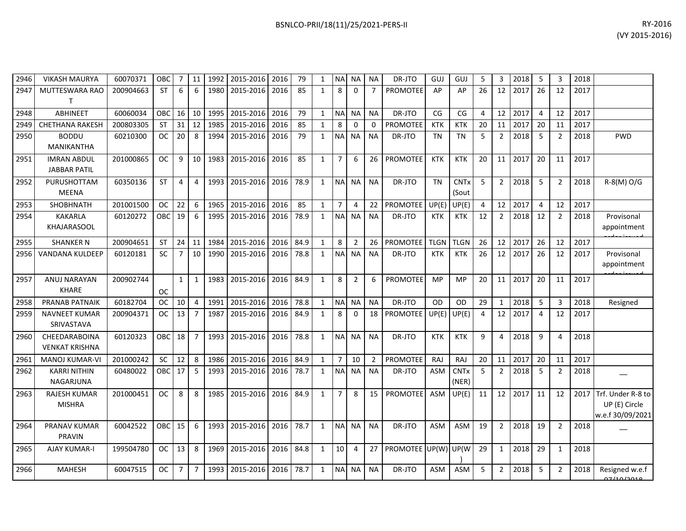| 2946 | <b>VIKASH MAURYA</b>                      | 60070371  | OBC        | 7              | 11             | 1992 | 2015-2016      | 2016 | 79   | $\mathbf{1}$ | <b>NA</b>      | <b>NA</b>      | <b>NA</b>      | DR-JTO               | GUJ         | GUJ                  | 5  | 3              | 2018 | 5              | 3              | 2018 |                                                        |
|------|-------------------------------------------|-----------|------------|----------------|----------------|------|----------------|------|------|--------------|----------------|----------------|----------------|----------------------|-------------|----------------------|----|----------------|------|----------------|----------------|------|--------------------------------------------------------|
| 2947 | <b>MUTTESWARA RAO</b><br>т                | 200904663 | <b>ST</b>  | 6              | 6              | 1980 | 2015-2016      | 2016 | 85   | $\mathbf{1}$ | 8              | $\Omega$       | $\overline{7}$ | <b>PROMOTEE</b>      | AP          | AP                   | 26 | 12             | 2017 | 26             | 12             | 2017 |                                                        |
| 2948 | <b>ABHINEET</b>                           | 60060034  | OBC        | 16             | 10             | 1995 | 2015-2016      | 2016 | 79   | $\mathbf{1}$ | <b>NA</b>      | <b>NA</b>      | <b>NA</b>      | DR-JTO               | CG          | CG                   | 4  | 12             | 2017 | 4              | 12             | 2017 |                                                        |
| 2949 | <b>CHETHANA RAKESH</b>                    | 200803305 | <b>ST</b>  | 31             | 12             | 1985 | 2015-2016      | 2016 | 85   | $\mathbf{1}$ | 8              | 0              | $\Omega$       | <b>PROMOTEE</b>      | <b>KTK</b>  | <b>KTK</b>           | 20 | 11             | 2017 | 20             | 11             | 2017 |                                                        |
| 2950 | <b>BODDU</b><br><b>MANIKANTHA</b>         | 60210300  | <b>OC</b>  | 20             | 8              | 1994 | 2015-2016      | 2016 | 79   | $\mathbf{1}$ | <b>NA</b>      | <b>NA</b>      | <b>NA</b>      | DR-JTO               | <b>TN</b>   | <b>TN</b>            | 5  | $\overline{2}$ | 2018 | 5              | $\overline{2}$ | 2018 | <b>PWD</b>                                             |
| 2951 | <b>IMRAN ABDUL</b><br><b>JABBAR PATIL</b> | 201000865 | <b>OC</b>  | 9              | 10             | 1983 | 2015-2016      | 2016 | 85   | $\mathbf{1}$ | $\overline{7}$ | 6              | 26             | <b>PROMOTEE</b>      | <b>KTK</b>  | <b>KTK</b>           | 20 | 11             | 2017 | 20             | 11             | 2017 |                                                        |
| 2952 | PURUSHOTTAM<br><b>MEENA</b>               | 60350136  | <b>ST</b>  | 4              | $\overline{4}$ | 1993 | 2015-2016      | 2016 | 78.9 | $\mathbf{1}$ | <b>NA</b>      | <b>NA</b>      | <b>NA</b>      | DR-JTO               | <b>TN</b>   | <b>CNTx</b><br>(Sout | 5  | $\overline{2}$ | 2018 | 5              | $\overline{2}$ | 2018 | R-8(M) O/G                                             |
| 2953 | SHOBHNATH                                 | 201001500 | <b>OC</b>  | 22             | 6              | 1965 | 2015-2016      | 2016 | 85   | $\mathbf{1}$ | $\overline{7}$ | 4              | 22             | PROMOTEE             | UP(E)       | UP(E)                | 4  | 12             | 2017 | $\overline{4}$ | 12             | 2017 |                                                        |
| 2954 | <b>KAKARLA</b><br>KHAJARASOOL             | 60120272  | OBC        | 19             | 6              | 1995 | 2015-2016      | 2016 | 78.9 | 1            | <b>NA</b>      | <b>NA</b>      | <b>NA</b>      | DR-JTO               | <b>KTK</b>  | KTK                  | 12 | $\overline{2}$ | 2018 | 12             | $\overline{2}$ | 2018 | Provisonal<br>appointment                              |
| 2955 | <b>SHANKER N</b>                          | 200904651 | <b>ST</b>  | 24             | 11             | 1984 | 2015-2016      | 2016 | 84.9 | $\mathbf{1}$ | 8              | $\overline{2}$ | 26             | <b>PROMOTEE</b>      | <b>TLGN</b> | <b>TLGN</b>          | 26 | 12             | 2017 | 26             | 12             | 2017 |                                                        |
| 2956 | <b>VANDANA KULDEEP</b>                    | 60120181  | SC         | $\overline{7}$ | 10             | 1990 | 2015-2016      | 2016 | 78.8 | $\mathbf{1}$ | <b>NA</b>      | <b>NA</b>      | <b>NA</b>      | DR-JTO               | <b>KTK</b>  | <b>KTK</b>           | 26 | 12             | 2017 | 26             | 12             | 2017 | Provisonal<br>appointment                              |
| 2957 | ANUJ NARAYAN<br><b>KHARE</b>              | 200902744 | <b>OC</b>  | $\mathbf{1}$   | $\mathbf{1}$   | 1983 | 2015-2016      | 2016 | 84.9 | $\mathbf{1}$ | 8              | $\overline{2}$ | 6              | <b>PROMOTEE</b>      | <b>MP</b>   | <b>MP</b>            | 20 | 11             | 2017 | 20             | 11             | 2017 |                                                        |
| 2958 | <b>PRANAB PATNAIK</b>                     | 60182704  | <b>OC</b>  | 10             | $\overline{4}$ | 1991 | 2015-2016      | 2016 | 78.8 | $\mathbf{1}$ | <b>NA</b>      | <b>NA</b>      | <b>NA</b>      | DR-JTO               | <b>OD</b>   | OD                   | 29 | 1              | 2018 | 5              | 3              | 2018 | Resigned                                               |
| 2959 | <b>NAVNEET KUMAR</b><br>SRIVASTAVA        | 200904371 | <b>OC</b>  | 13             | $\overline{7}$ | 1987 | 2015-2016      | 2016 | 84.9 | $\mathbf{1}$ | 8              | $\Omega$       | 18             | PROMOTEE             | UP(E)       | UP(E)                | 4  | 12             | 2017 | $\overline{a}$ | 12             | 2017 |                                                        |
| 2960 | CHEEDARABOINA<br><b>VENKAT KRISHNA</b>    | 60120323  | OBC        | 18             | $\overline{7}$ | 1993 | 2015-2016      | 2016 | 78.8 | $\mathbf{1}$ | <b>NA</b>      | <b>NA</b>      | <b>NA</b>      | DR-JTO               | <b>KTK</b>  | <b>KTK</b>           | 9  | 4              | 2018 | 9              | 4              | 2018 |                                                        |
| 2961 | MANOJ KUMAR-VI                            | 201000242 | <b>SC</b>  | 12             | 8              | 1986 | 2015-2016      | 2016 | 84.9 | $\mathbf{1}$ | $\overline{7}$ | 10             | $\overline{2}$ | <b>PROMOTEE</b>      | RAJ         | RAJ                  | 20 | 11             | 2017 | 20             | 11             | 2017 |                                                        |
| 2962 | <b>KARRI NITHIN</b><br>NAGARJUNA          | 60480022  | OBC        | 17             | 5              | 1993 | 2015-2016      | 2016 | 78.7 | $\mathbf{1}$ | <b>NA</b>      | <b>NA</b>      | <b>NA</b>      | DR-JTO               | <b>ASM</b>  | <b>CNTx</b><br>(NER) | 5  | $\overline{2}$ | 2018 | 5              | $\overline{2}$ | 2018 |                                                        |
| 2963 | <b>RAJESH KUMAR</b><br><b>MISHRA</b>      | 201000451 | <b>OC</b>  | 8              | 8              | 1985 | 2015-2016      | 2016 | 84.9 | $\mathbf{1}$ | $\overline{7}$ | 8              | 15             | <b>PROMOTEE</b>      | ASM         | UP(E)                | 11 | 12             | 2017 | 11             | 12             | 2017 | Trf. Under R-8 to<br>UP (E) Circle<br>w.e.f 30/09/2021 |
| 2964 | <b>PRANAV KUMAR</b><br><b>PRAVIN</b>      | 60042522  | <b>OBC</b> | 15             | 6              | 1993 | 2015-2016      | 2016 | 78.7 | $\mathbf{1}$ | <b>NA</b>      | <b>NA</b>      | <b>NA</b>      | DR-JTO               | <b>ASM</b>  | <b>ASM</b>           | 19 | $\overline{2}$ | 2018 | 19             | $\overline{2}$ | 2018 |                                                        |
| 2965 | <b>AJAY KUMAR-I</b>                       | 199504780 | <b>OC</b>  | 13             | 8              | 1969 | 2015-2016 2016 |      | 84.8 | $\mathbf{1}$ | 10             | 4              | 27             | PROMOTEE UP(W) UP(W) |             |                      | 29 | $\mathbf{1}$   | 2018 | 29             |                | 2018 |                                                        |

2966 MAHESH 60047515 OC 7 7 1993 2015-2016 2016 78.7 1 NA NA NA DR-JTO ASM ASM 5 2 2018 5 2 2018 Resigned w.e.f

 $\frac{)}{ASM}$ 

07/10/2018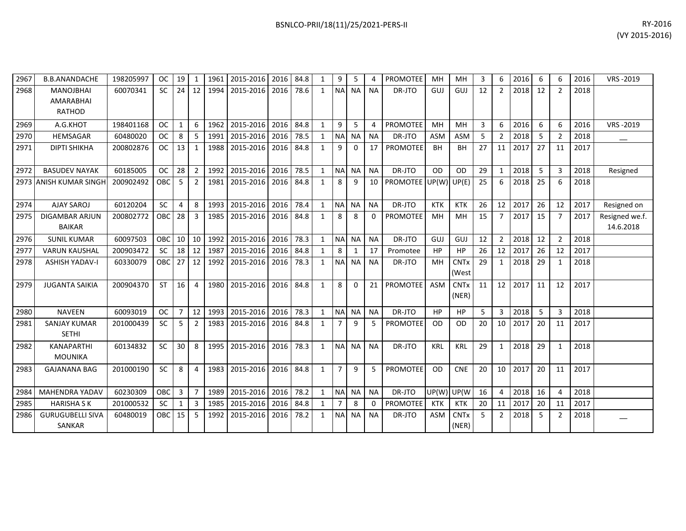| 2967 | <b>B.B.ANANDACHE</b>                                  | 198205997 | <b>OC</b> | 19             | 1              | 1961 | 2015-2016 | 2016 | 84.8 | 1            | 9              | 5         | 4         | <b>PROMOTEE</b> | MH         | <b>MH</b>                       | 3  | 6              | 2016 | 6  | 6             | 2016 | VRS-2019                    |
|------|-------------------------------------------------------|-----------|-----------|----------------|----------------|------|-----------|------|------|--------------|----------------|-----------|-----------|-----------------|------------|---------------------------------|----|----------------|------|----|---------------|------|-----------------------------|
| 2968 | <b>MANOJBHAI</b><br><b>AMARABHAI</b><br><b>RATHOD</b> | 60070341  | <b>SC</b> | 24             | 12             | 1994 | 2015-2016 | 2016 | 78.6 | $\mathbf{1}$ | <b>NA</b>      | <b>NA</b> | <b>NA</b> | DR-JTO          | GUJ        | GUJ                             | 12 | $\overline{2}$ | 2018 | 12 |               | 2018 |                             |
| 2969 | A.G.KHOT                                              | 198401168 | <b>OC</b> | 1              | 6              | 1962 | 2015-2016 | 2016 | 84.8 | $\mathbf{1}$ | 9              | 5         | 4         | <b>PROMOTEE</b> | MH         | <b>MH</b>                       | 3  | 6              | 2016 | 6  | 6             | 2016 | VRS-2019                    |
| 2970 | <b>HEMSAGAR</b>                                       | 60480020  | <b>OC</b> | 8              | 5              | 1991 | 2015-2016 | 2016 | 78.5 | $\mathbf{1}$ | <b>NA</b>      | <b>NA</b> | <b>NA</b> | DR-JTO          | <b>ASM</b> | <b>ASM</b>                      | 5  | $\overline{2}$ | 2018 | 5  | $\mathcal{P}$ | 2018 |                             |
| 2971 | <b>DIPTI SHIKHA</b>                                   | 200802876 | <b>OC</b> | 13             | $\mathbf{1}$   | 1988 | 2015-2016 | 2016 | 84.8 | $\mathbf{1}$ | 9              | 0         | 17        | PROMOTEE        | <b>BH</b>  | <b>BH</b>                       | 27 | 11             | 2017 | 27 | 11            | 2017 |                             |
| 2972 | <b>BASUDEV NAYAK</b>                                  | 60185005  | <b>OC</b> | 28             | $\overline{2}$ | 1992 | 2015-2016 | 2016 | 78.5 | $\mathbf{1}$ | N <sub>A</sub> | <b>NA</b> | <b>NA</b> | DR-JTO          | <b>OD</b>  | <b>OD</b>                       | 29 | 1              | 2018 | 5  | 3             | 2018 | Resigned                    |
| 2973 | <b>ANISH KUMAR SINGH</b>                              | 200902492 | OBC       | 5              | 2              | 1981 | 2015-2016 | 2016 | 84.8 | $\mathbf{1}$ | 8              | 9         | 10        | PROMOTEE UP(W)  |            | UP(E)                           | 25 | 6              | 2018 | 25 | 6             | 2018 |                             |
| 2974 | <b>AJAY SAROJ</b>                                     | 60120204  | <b>SC</b> | 4              | 8              | 1993 | 2015-2016 | 2016 | 78.4 | 1            | <b>NA</b>      | <b>NA</b> | <b>NA</b> | DR-JTO          | <b>KTK</b> | <b>KTK</b>                      | 26 | 12             | 2017 | 26 | 12            | 2017 | Resigned on                 |
| 2975 | <b>DIGAMBAR ARJUN</b><br><b>BAIKAR</b>                | 200802772 | OBC       | 28             | 3              | 1985 | 2015-2016 | 2016 | 84.8 | $\mathbf{1}$ | 8              | 8         | 0         | <b>PROMOTEE</b> | MH         | MH                              | 15 | $\overline{7}$ | 2017 | 15 | 7             | 2017 | Resigned we.f.<br>14.6.2018 |
| 2976 | <b>SUNIL KUMAR</b>                                    | 60097503  | OBC       | 10             | 10             | 1992 | 2015-2016 | 2016 | 78.3 | $\mathbf{1}$ | <b>NA</b>      | <b>NA</b> | <b>NA</b> | DR-JTO          | GUJ        | GUJ                             | 12 | $2^{\circ}$    | 2018 | 12 | 2             | 2018 |                             |
| 2977 | <b>VARUN KAUSHAL</b>                                  | 200903472 | <b>SC</b> | 18             | 12             | 1987 | 2015-2016 | 2016 | 84.8 | 1            | 8              | 1         | 17        | Promotee        | HP         | HP                              | 26 | 12             | 2017 | 26 | 12            | 2017 |                             |
| 2978 | <b>ASHISH YADAV-I</b>                                 | 60330079  | OBC       | 27             | 12             | 1992 | 2015-2016 | 2016 | 78.3 | $\mathbf{1}$ | <b>NA</b>      | <b>NA</b> | <b>NA</b> | DR-JTO          | MH         | <b>CNTx</b><br>(West            | 29 | 1              | 2018 | 29 | 1             | 2018 |                             |
| 2979 | <b>JUGANTA SAIKIA</b>                                 | 200904370 | <b>ST</b> | 16             | $\overline{4}$ | 1980 | 2015-2016 | 2016 | 84.8 | $\mathbf{1}$ | 8              | 0         | 21        | <b>PROMOTEE</b> | <b>ASM</b> | <b>CNT<sub>x</sub></b><br>(NER) | 11 | 12             | 2017 | 11 | 12            | 2017 |                             |
| 2980 | <b>NAVEEN</b>                                         | 60093019  | <b>OC</b> | $\overline{7}$ | 12             | 1993 | 2015-2016 | 2016 | 78.3 | $\mathbf{1}$ | <b>NA</b>      | <b>NA</b> | <b>NA</b> | DR-JTO          | HP         | <b>HP</b>                       | 5  | $\overline{3}$ | 2018 | 5  | 3             | 2018 |                             |
| 2981 | <b>SANJAY KUMAR</b><br><b>SETHI</b>                   | 201000439 | <b>SC</b> | 5              | 2              | 1983 | 2015-2016 | 2016 | 84.8 | 1            | 7              | 9         | 5         | <b>PROMOTEE</b> | <b>OD</b>  | 0D                              | 20 | 10             | 2017 | 20 | 11            | 2017 |                             |
| 2982 | <b>KANAPARTHI</b><br><b>MOUNIKA</b>                   | 60134832  | <b>SC</b> | 30             | 8              | 1995 | 2015-2016 | 2016 | 78.3 | $\mathbf{1}$ | <b>NA</b>      | <b>NA</b> | <b>NA</b> | DR-JTO          | <b>KRL</b> | <b>KRL</b>                      | 29 | 1              | 2018 | 29 |               | 2018 |                             |
| 2983 | <b>GAJANANA BAG</b>                                   | 201000190 | <b>SC</b> | 8              | $\overline{4}$ | 1983 | 2015-2016 | 2016 | 84.8 | $\mathbf{1}$ | $\overline{7}$ | 9         | 5         | <b>PROMOTEE</b> | OD         | <b>CNE</b>                      | 20 | 10             | 2017 | 20 | 11            | 2017 |                             |
| 2984 | <b>MAHENDRA YADAV</b>                                 | 60230309  | OBC       | 3              | $\overline{7}$ | 1989 | 2015-2016 | 2016 | 78.2 | $\mathbf{1}$ | <b>NA</b>      | <b>NA</b> | <b>NA</b> | DR-JTO          | UP(W)      | UP(W                            | 16 | $\overline{4}$ | 2018 | 16 | Δ             | 2018 |                             |
| 2985 | <b>HARISHA SK</b>                                     | 201000532 | <b>SC</b> | 1              | 3              | 1985 | 2015-2016 | 2016 | 84.8 | $\mathbf{1}$ | $\overline{7}$ | 8         | $\Omega$  | <b>PROMOTEE</b> | <b>KTK</b> | <b>KTK</b>                      | 20 | 11             | 2017 | 20 | 11            | 2017 |                             |
| 2986 | <b>GURUGUBELLI SIVA</b><br>SANKAR                     | 60480019  | OBC       | 15             | 5              | 1992 | 2015-2016 | 2016 | 78.2 | 1            | <b>NA</b>      | <b>NA</b> | <b>NA</b> | DR-JTO          | <b>ASM</b> | <b>CNT<sub>x</sub></b><br>(NER) | 5  | 2              | 2018 | 5  |               | 2018 |                             |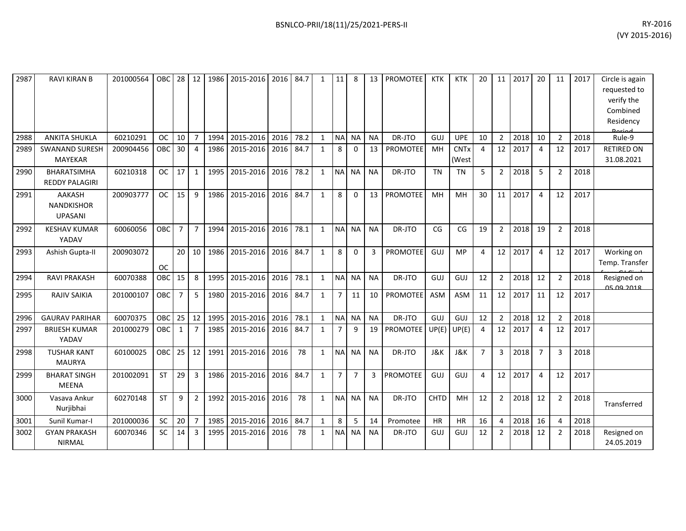| 2987 | <b>RAVI KIRAN B</b>                                  | 201000564 | OBC.       | 28             | 12             | 1986 | 2015-2016      | 2016 | 84.7 | $\mathbf{1}$ | 11             | 8              | 13        | <b>PROMOTEE</b> | <b>KTK</b>     | <b>KTK</b>     | 20             | 11             | 2017 | 20             | 11             | 2017 | Circle is again              |
|------|------------------------------------------------------|-----------|------------|----------------|----------------|------|----------------|------|------|--------------|----------------|----------------|-----------|-----------------|----------------|----------------|----------------|----------------|------|----------------|----------------|------|------------------------------|
|      |                                                      |           |            |                |                |      |                |      |      |              |                |                |           |                 |                |                |                |                |      |                |                |      | requested to<br>verify the   |
|      |                                                      |           |            |                |                |      |                |      |      |              |                |                |           |                 |                |                |                |                |      |                |                |      | Combined                     |
|      |                                                      |           |            |                |                |      |                |      |      |              |                |                |           |                 |                |                |                |                |      |                |                |      | Residency                    |
| 2988 | <b>ANKITA SHUKLA</b>                                 | 60210291  | <b>OC</b>  | 10             | $\overline{7}$ | 1994 | 2015-2016      | 2016 | 78.2 | $\mathbf{1}$ | <b>NA</b>      | <b>NA</b>      | <b>NA</b> | DR-JTO          | GUJ            | <b>UPE</b>     | 10             | $\overline{2}$ | 2018 | 10             | $\overline{2}$ | 2018 | Doriod<br>Rule-9             |
| 2989 | <b>SWANAND SURESH</b>                                | 200904456 | OBC        | 30             | $\overline{4}$ | 1986 | 2015-2016      | 2016 | 84.7 | $\mathbf{1}$ | 8              | $\Omega$       | 13        | <b>PROMOTEE</b> | MH             | <b>CNTx</b>    | 4              | 12             | 2017 | $\overline{a}$ | 12             | 2017 | <b>RETIRED ON</b>            |
|      | <b>MAYEKAR</b>                                       |           |            |                |                |      |                |      |      |              |                |                |           |                 |                | (West          |                |                |      |                |                |      | 31.08.2021                   |
| 2990 | <b>BHARATSIMHA</b><br><b>REDDY PALAGIRI</b>          | 60210318  | <b>OC</b>  | 17             | $\mathbf{1}$   | 1995 | 2015-2016      | 2016 | 78.2 | $\mathbf{1}$ | <b>NA</b>      | <b>NA</b>      | <b>NA</b> | DR-JTO          | <b>TN</b>      | <b>TN</b>      | 5              | $\overline{2}$ | 2018 | 5              | $\overline{2}$ | 2018 |                              |
| 2991 | <b>AAKASH</b><br><b>NANDKISHOR</b><br><b>UPASANI</b> | 200903777 | <b>OC</b>  | 15             | 9              | 1986 | 2015-2016      | 2016 | 84.7 | $\mathbf{1}$ | 8              | $\mathbf{0}$   | 13        | PROMOTEE        | MH             | MH             | 30             | 11             | 2017 | 4              | 12             | 2017 |                              |
| 2992 | <b>KESHAV KUMAR</b><br>YADAV                         | 60060056  | <b>OBC</b> | $\overline{7}$ | $\overline{7}$ | 1994 | 2015-2016      | 2016 | 78.1 | $\mathbf{1}$ | <b>NA</b>      | <b>NA</b>      | <b>NA</b> | DR-JTO          | CG             | CG             | 19             | $\overline{2}$ | 2018 | 19             | $\overline{2}$ | 2018 |                              |
| 2993 | Ashish Gupta-II                                      | 200903072 | <b>OC</b>  | 20             | 10             |      | 1986 2015-2016 | 2016 | 84.7 | $\mathbf{1}$ | 8              | $\Omega$       | 3         | <b>PROMOTEE</b> | GUJ            | <b>MP</b>      | 4              | 12             | 2017 | 4              | 12             | 2017 | Working on<br>Temp. Transfer |
| 2994 | RAVI PRAKASH                                         | 60070388  | OBC        | 15             | 8              | 1995 | 2015-2016      | 2016 | 78.1 | $\mathbf{1}$ | <b>NA</b>      | <b>NA</b>      | <b>NA</b> | DR-JTO          | GUJ            | GUJ            | 12             | $\overline{2}$ | 2018 | 12             | $\overline{2}$ | 2018 | Resigned on<br>05.00.2018    |
| 2995 | <b>RAJIV SAIKIA</b>                                  | 201000107 | <b>OBC</b> | $\overline{7}$ | 5              | 1980 | 2015-2016      | 2016 | 84.7 | $\mathbf{1}$ | $\overline{7}$ | 11             | 10        | <b>PROMOTEE</b> | <b>ASM</b>     | <b>ASM</b>     | 11             | 12             | 2017 | 11             | 12             | 2017 |                              |
| 2996 | <b>GAURAV PARIHAR</b>                                | 60070375  | OBC        | 25             | 12             | 1995 | 2015-2016      | 2016 | 78.1 | $\mathbf{1}$ | <b>NA</b>      | <b>NA</b>      | <b>NA</b> | DR-JTO          | GUJ            | GUJ            | 12             | $\overline{2}$ | 2018 | 12             | $\overline{2}$ | 2018 |                              |
| 2997 | <b>BRIJESH KUMAR</b><br>YADAV                        | 201000279 | OBC        | $\mathbf{1}$   | 7              | 1985 | 2015-2016      | 2016 | 84.7 | $\mathbf{1}$ | $\overline{7}$ | 9              | 19        | PROMOTEE        | UP(E)          | UP(E)          | 4              | 12             | 2017 | 4              | 12             | 2017 |                              |
| 2998 | <b>TUSHAR KANT</b><br><b>MAURYA</b>                  | 60100025  | OBC        | 25             | 12             | 1991 | 2015-2016      | 2016 | 78   | $\mathbf{1}$ | <b>NA</b>      | <b>NA</b>      | <b>NA</b> | DR-JTO          | <b>J&amp;K</b> | <b>J&amp;K</b> | $\overline{7}$ | 3              | 2018 | $\overline{7}$ | 3              | 2018 |                              |
| 2999 | <b>BHARAT SINGH</b><br><b>MEENA</b>                  | 201002091 | <b>ST</b>  | 29             | 3              | 1986 | 2015-2016      | 2016 | 84.7 | $\mathbf{1}$ | $\overline{7}$ | $\overline{7}$ | 3         | <b>PROMOTEE</b> | GUJ            | GUJ            | 4              | 12             | 2017 | 4              | 12             | 2017 |                              |
| 3000 | Vasava Ankur<br>Nurjibhai                            | 60270148  | <b>ST</b>  | 9              | $\overline{2}$ | 1992 | 2015-2016      | 2016 | 78   | $\mathbf{1}$ | <b>NA</b>      | <b>NA</b>      | <b>NA</b> | DR-JTO          | <b>CHTD</b>    | MH             | 12             | $\overline{2}$ | 2018 | 12             | $\overline{2}$ | 2018 | Transferred                  |
| 3001 | Sunil Kumar-I                                        | 201000036 | <b>SC</b>  | 20             | 7              | 1985 | 2015-2016      | 2016 | 84.7 | $\mathbf{1}$ | 8              | 5              | 14        | Promotee        | <b>HR</b>      | <b>HR</b>      | 16             | 4              | 2018 | 16             | 4              | 2018 |                              |
| 3002 | <b>GYAN PRAKASH</b><br><b>NIRMAL</b>                 | 60070346  | <b>SC</b>  | 14             | 3              | 1995 | 2015-2016      | 2016 | 78   | $\mathbf{1}$ | <b>NA</b>      | <b>NA</b>      | <b>NA</b> | DR-JTO          | GUJ            | <b>GUJ</b>     | 12             | $\overline{2}$ | 2018 | 12             | 2              | 2018 | Resigned on<br>24.05.2019    |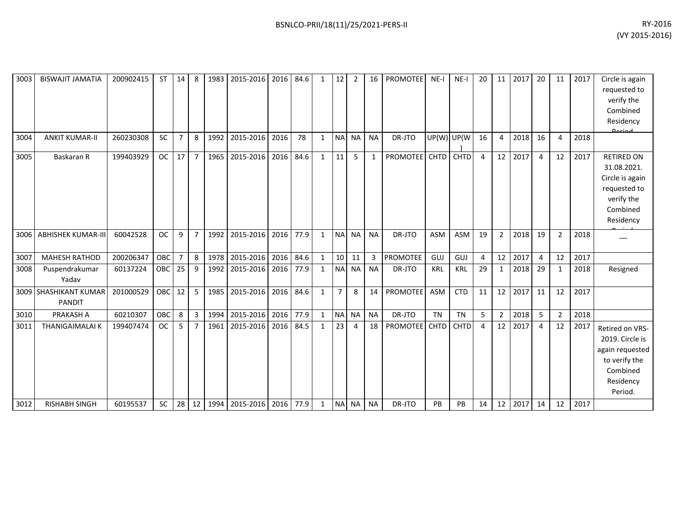| 3003 | <b>BISWAJIT JAMATIA</b>                  | 200902415 | <b>ST</b> | 14              | 8              |      | 1983 2015-2016 2016 84.6 |      |      | $\mathbf{1}$ | 12             | $\overline{2}$ | 16           | <b>PROMOTEE</b> | $NE-I$      | $NE-I$      | 20 | 11             | 2017 | 20             | 11             | 2017 | Circle is again<br>requested to<br>verify the<br>Combined<br>Residency                                     |
|------|------------------------------------------|-----------|-----------|-----------------|----------------|------|--------------------------|------|------|--------------|----------------|----------------|--------------|-----------------|-------------|-------------|----|----------------|------|----------------|----------------|------|------------------------------------------------------------------------------------------------------------|
| 3004 | <b>ANKIT KUMAR-II</b>                    | 260230308 | <b>SC</b> | $\overline{7}$  | 8              | 1992 | 2015-2016 2016           |      | 78   | $\mathbf{1}$ | <b>NA</b>      | <b>NA</b>      | <b>NA</b>    | DR-JTO          |             | UP(W) UP(W) | 16 | $\overline{4}$ | 2018 | 16             | $\overline{4}$ | 2018 |                                                                                                            |
| 3005 | Baskaran R                               | 199403929 | <b>OC</b> | 17              | $\overline{7}$ | 1965 | 2015-2016                | 2016 | 84.6 | $\mathbf{1}$ | 11             | 5              | $\mathbf{1}$ | <b>PROMOTEE</b> | CHTD        | <b>CHTD</b> | 4  | 12             | 2017 | $\overline{4}$ | 12             | 2017 | <b>RETIRED ON</b><br>31.08.2021.<br>Circle is again<br>requested to<br>verify the<br>Combined<br>Residency |
| 3006 | <b>ABHISHEK KUMAR-III</b>                | 60042528  | <b>OC</b> | 9               | $\overline{7}$ | 1992 | 2015-2016                | 2016 | 77.9 | $\mathbf{1}$ | <b>NA</b>      | <b>NA</b>      | <b>NA</b>    | DR-JTO          | ASM         | <b>ASM</b>  | 19 | $\overline{2}$ | 2018 | 19             | $\overline{2}$ | 2018 |                                                                                                            |
| 3007 | <b>MAHESH RATHOD</b>                     | 200206347 | OBC       | 7               | 8              | 1978 | 2015-2016                | 2016 | 84.6 | $\mathbf{1}$ | 10             | 11             | 3            | <b>PROMOTEE</b> | GUJ         | GUJ         | 4  | 12             | 2017 | 4              | 12             | 2017 |                                                                                                            |
| 3008 | Puspendrakumar<br>Yadav                  | 60137224  | OBC       | 25              | 9              | 1992 | 2015-2016                | 2016 | 77.9 | $\mathbf{1}$ | <b>NA</b>      | <b>NA</b>      | <b>NA</b>    | DR-JTO          | <b>KRL</b>  | <b>KRL</b>  | 29 | $\mathbf{1}$   | 2018 | 29             | 1              | 2018 | Resigned                                                                                                   |
| 3009 | <b>SHASHIKANT KUMAR</b><br><b>PANDIT</b> | 201000529 | OBC       | 12              | 5              | 1985 | 2015-2016                | 2016 | 84.6 | $\mathbf{1}$ | $\overline{7}$ | 8              | 14           | <b>PROMOTEE</b> | ASM         | <b>CTD</b>  | 11 | 12             | 2017 | 11             | 12             | 2017 |                                                                                                            |
| 3010 | <b>PRAKASH A</b>                         | 60210307  | OBC       | 8               | 3              | 1994 | 2015-2016                | 2016 | 77.9 | $\mathbf{1}$ | N <sub>A</sub> | <b>NA</b>      | <b>NA</b>    | DR-JTO          | <b>TN</b>   | <b>TN</b>   | 5  | $\overline{2}$ | 2018 | 5              | $\overline{2}$ | 2018 |                                                                                                            |
| 3011 | <b>THANIGAIMALAI K</b>                   | 199407474 | <b>OC</b> | 5               | 7              | 1961 | 2015-2016                | 2016 | 84.5 | $\mathbf{1}$ | 23             | 4              | 18           | <b>PROMOTEE</b> | <b>CHTD</b> | <b>CHTD</b> | 4  | 12             | 2017 | $\overline{4}$ | 12             | 2017 | Retired on VRS-<br>2019. Circle is<br>again requested<br>to verify the<br>Combined<br>Residency<br>Period. |
| 3012 | <b>RISHABH SINGH</b>                     | 60195537  | <b>SC</b> | 28 <sup>1</sup> | 12             |      | 1994 2015-2016 2016 77.9 |      |      | $\mathbf{1}$ |                | NA NA          | <b>NA</b>    | DR-JTO          | PB          | PB          | 14 | 12             | 2017 | 14             | 12             | 2017 |                                                                                                            |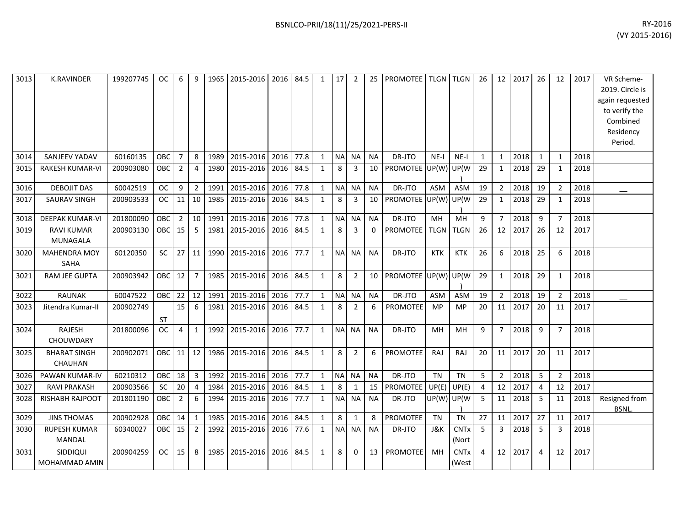| 3013 | <b>K.RAVINDER</b>                    | 199207745 | OC.        | 6              | 9              | 1965 | 2015-2016      | 2016 | 84.5 | 1            | 17             | $\overline{2}$ | 25              | <b>PROMOTEE</b> |             | TLGN   TLGN                     | 26           | 12             | 2017 | 26             | 12             | 2017 | VR Scheme-<br>2019. Circle is<br>again requested<br>to verify the<br>Combined<br>Residency<br>Period. |
|------|--------------------------------------|-----------|------------|----------------|----------------|------|----------------|------|------|--------------|----------------|----------------|-----------------|-----------------|-------------|---------------------------------|--------------|----------------|------|----------------|----------------|------|-------------------------------------------------------------------------------------------------------|
| 3014 | SANJEEV YADAV                        | 60160135  | OBC        | $\overline{7}$ | 8              | 1989 | 2015-2016      | 2016 | 77.8 | $\mathbf{1}$ | <b>NA</b>      | <b>NA</b>      | <b>NA</b>       | DR-JTO          | $NE-I$      | $NE-I$                          | $\mathbf{1}$ | $\mathbf{1}$   | 2018 | $\mathbf{1}$   | $\mathbf{1}$   | 2018 |                                                                                                       |
| 3015 | <b>RAKESH KUMAR-VI</b>               | 200903080 | OBC        | $\overline{2}$ | $\overline{4}$ | 1980 | 2015-2016      | 2016 | 84.5 | $\mathbf{1}$ | 8              | 3              | 10              | <b>PROMOTEE</b> | UP(W)       | UP(W                            | 29           | 1              | 2018 | 29             | 1              | 2018 |                                                                                                       |
| 3016 | <b>DEBOJIT DAS</b>                   | 60042519  | <b>OC</b>  | 9              | $\overline{2}$ | 1991 | 2015-2016      | 2016 | 77.8 | $\mathbf{1}$ | <b>NA</b>      | <b>NA</b>      | <b>NA</b>       | DR-JTO          | ASM         | <b>ASM</b>                      | 19           | $\overline{2}$ | 2018 | 19             | $\overline{2}$ | 2018 |                                                                                                       |
| 3017 | <b>SAURAV SINGH</b>                  | 200903533 | <b>OC</b>  | 11             | 10             | 1985 | 2015-2016      | 2016 | 84.5 | $\mathbf{1}$ | 8              | 3              | 10              | <b>PROMOTEE</b> | UP(W)       | UP(W                            | 29           | $\mathbf{1}$   | 2018 | 29             | $\mathbf{1}$   | 2018 |                                                                                                       |
| 3018 | <b>DEEPAK KUMAR-VI</b>               | 201800090 | OBC        | $\overline{2}$ | 10             | 1991 | 2015-2016      | 2016 | 77.8 | $\mathbf{1}$ | N <sub>A</sub> | <b>NA</b>      | <b>NA</b>       | DR-JTO          | MH          | MH                              | 9            | $\overline{7}$ | 2018 | 9              | $\overline{7}$ | 2018 |                                                                                                       |
| 3019 | <b>RAVI KUMAR</b><br>MUNAGALA        | 200903130 | OBC        | 15             | 5              | 1981 | 2015-2016      | 2016 | 84.5 | $\mathbf{1}$ | 8              | 3              | $\mathbf{0}$    | PROMOTEE        | <b>TLGN</b> | <b>TLGN</b>                     | 26           | 12             | 2017 | 26             | 12             | 2017 |                                                                                                       |
| 3020 | <b>MAHENDRA MOY</b><br><b>SAHA</b>   | 60120350  | <b>SC</b>  | 27             | 11             | 1990 | 2015-2016      | 2016 | 77.7 | $\mathbf{1}$ | <b>NA</b>      | <b>NA</b>      | <b>NA</b>       | DR-JTO          | <b>KTK</b>  | <b>KTK</b>                      | 26           | 6              | 2018 | 25             | 6              | 2018 |                                                                                                       |
| 3021 | RAM JEE GUPTA                        | 200903942 | OBC        | 12             | $\overline{7}$ | 1985 | 2015-2016      | 2016 | 84.5 | $\mathbf{1}$ | 8              | $\overline{2}$ | 10 <sup>1</sup> | PROMOTEE UP(W)  |             | UP(W                            | 29           | $\mathbf{1}$   | 2018 | 29             | $\mathbf{1}$   | 2018 |                                                                                                       |
| 3022 | <b>RAUNAK</b>                        | 60047522  | <b>OBC</b> | 22             | 12             | 1991 | 2015-2016 2016 |      | 77.7 | $\mathbf{1}$ |                | NA NA          | <b>NA</b>       | DR-JTO          | <b>ASM</b>  | ASM                             | 19           | $\overline{2}$ | 2018 | 19             | $\overline{2}$ | 2018 |                                                                                                       |
| 3023 | Jitendra Kumar-II                    | 200902749 | <b>ST</b>  | 15             | 6              | 1981 | 2015-2016      | 2016 | 84.5 | $\mathbf{1}$ | 8              | $\overline{2}$ | 6               | <b>PROMOTEE</b> | <b>MP</b>   | <b>MP</b>                       | 20           | 11             | 2017 | 20             | 11             | 2017 |                                                                                                       |
| 3024 | <b>RAJESH</b><br>CHOUWDARY           | 201800096 | <b>OC</b>  | 4              | 1              | 1992 | 2015-2016      | 2016 | 77.7 | 1            |                | NA NA          | <b>NA</b>       | DR-JTO          | MН          | MН                              | 9            | $\overline{7}$ | 2018 | 9              | $\overline{7}$ | 2018 |                                                                                                       |
| 3025 | <b>BHARAT SINGH</b><br>CHAUHAN       | 200902071 | OBC        | 11             | 12             | 1986 | 2015-2016      | 2016 | 84.5 | $\mathbf{1}$ | 8              | $\overline{2}$ | 6               | <b>PROMOTEE</b> | RAJ         | RAJ                             | 20           | 11             | 2017 | 20             | 11             | 2017 |                                                                                                       |
| 3026 | PAWAN KUMAR-IV                       | 60210312  | OBC        | 18             | $\overline{3}$ | 1992 | 2015-2016      | 2016 | 77.7 | $\mathbf{1}$ |                | NA NA          | <b>NA</b>       | DR-JTO          | <b>TN</b>   | <b>TN</b>                       | 5            | $\overline{2}$ | 2018 | 5              | $\overline{2}$ | 2018 |                                                                                                       |
| 3027 | RAVI PRAKASH                         | 200903566 | <b>SC</b>  | 20             | $\overline{4}$ | 1984 | 2015-2016      | 2016 | 84.5 | $\mathbf{1}$ | 8              | 1              | 15              | <b>PROMOTEE</b> | UP(E)       | UP(E)                           | 4            | 12             | 2017 | 4              | 12             | 2017 |                                                                                                       |
| 3028 | RISHABH RAJPOOT                      | 201801190 | OBC        | $\overline{2}$ | 6              | 1994 | 2015-2016      | 2016 | 77.7 | $\mathbf{1}$ |                | NA NA          | <b>NA</b>       | DR-JTO          | UP(W)I      | UP(W                            | 5            | 11             | 2018 | -5             | 11             | 2018 | Resigned from<br><b>BSNL</b>                                                                          |
| 3029 | <b>JINS THOMAS</b>                   | 200902928 | OBC        | 14             | $\mathbf{1}$   | 1985 | 2015-2016      | 2016 | 84.5 | $\mathbf{1}$ | 8              | $\mathbf{1}$   | 8               | PROMOTEE        | <b>TN</b>   | <b>TN</b>                       | 27           | 11             | 2017 | 27             | 11             | 2017 |                                                                                                       |
| 3030 | <b>RUPESH KUMAR</b><br><b>MANDAL</b> | 60340027  | <b>OBC</b> | 15             | $\overline{2}$ | 1992 | 2015-2016      | 2016 | 77.6 | 1            | <b>NA</b>      | <b>NA</b>      | <b>NA</b>       | DR-JTO          | J&K         | <b>CNT<sub>x</sub></b><br>(Nort | 5            | 3              | 2018 | -5             | 3              | 2018 |                                                                                                       |
| 3031 | SIDDIQUI<br>MOHAMMAD AMIN            | 200904259 | OC.        | 15             | 8              | 1985 | 2015-2016      | 2016 | 84.5 | $\mathbf{1}$ | 8              | 0              | 13              | PROMOTEE        | MH          | <b>CNTx</b><br>(West            | 4            | 12             | 2017 | $\overline{4}$ | 12             | 2017 |                                                                                                       |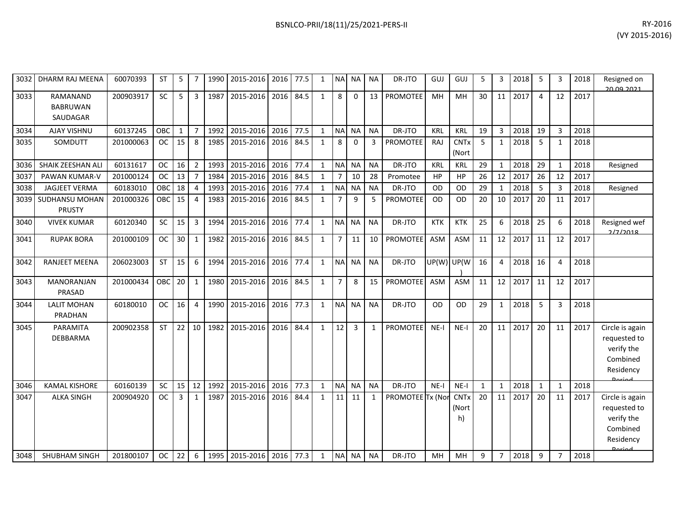| 3032 | DHARM RAJ MEENA                         | 60070393  | <b>ST</b> | 5            | 7              | 1990 | 2015-2016                | 2016 | 77.5 | $\mathbf{1}$ | <b>NA</b>      | <b>NA</b>      | <b>NA</b>    | DR-JTO           | GUJ        | GUJ                        | 5  | 3              | 2018 | 5              | 3              | 2018 | Resigned on<br>20.09.2021                                                               |
|------|-----------------------------------------|-----------|-----------|--------------|----------------|------|--------------------------|------|------|--------------|----------------|----------------|--------------|------------------|------------|----------------------------|----|----------------|------|----------------|----------------|------|-----------------------------------------------------------------------------------------|
| 3033 | RAMANAND<br><b>BABRUWAN</b><br>SAUDAGAR | 200903917 | SC        | 5            | 3              | 1987 | 2015-2016                | 2016 | 84.5 | $\mathbf{1}$ | 8              | 0              | 13           | <b>PROMOTEE</b>  | MH         | MH                         | 30 | 11             | 2017 | $\overline{4}$ | 12             | 2017 |                                                                                         |
| 3034 | AJAY VISHNU                             | 60137245  | OBC       | $\mathbf{1}$ | $\overline{7}$ | 1992 | 2015-2016                | 2016 | 77.5 | $\mathbf{1}$ | <b>NA</b>      | <b>NA</b>      | <b>NA</b>    | DR-JTO           | <b>KRL</b> | <b>KRL</b>                 | 19 | 3              | 2018 | 19             | 3              | 2018 |                                                                                         |
| 3035 | SOMDUTT                                 | 201000063 | <b>OC</b> | 15           | 8              | 1985 | 2015-2016                | 2016 | 84.5 | $\mathbf{1}$ | 8              | $\Omega$       | 3            | PROMOTEE         | <b>RAJ</b> | <b>CNTx</b><br>(Nort       | 5  | $\mathbf{1}$   | 2018 | 5              |                | 2018 |                                                                                         |
| 3036 | SHAIK ZEESHAN ALI                       | 60131617  | <b>OC</b> | 16           | $\overline{2}$ | 1993 | 2015-2016                | 2016 | 77.4 | $\mathbf{1}$ | <b>NA</b>      | <b>NA</b>      | <b>NA</b>    | DR-JTO           | KRL        | <b>KRL</b>                 | 29 | $\mathbf{1}$   | 2018 | 29             | $\mathbf{1}$   | 2018 | Resigned                                                                                |
| 3037 | <b>PAWAN KUMAR-V</b>                    | 201000124 | <b>OC</b> | 13           | $\overline{7}$ | 1984 | 2015-2016                | 2016 | 84.5 | $\mathbf{1}$ | 7              | 10             | 28           | Promotee         | HP         | HP                         | 26 | 12             | 2017 | 26             | 12             | 2017 |                                                                                         |
| 3038 | <b>JAGJEET VERMA</b>                    | 60183010  | OBC       | 18           | $\overline{4}$ | 1993 | 2015-2016                | 2016 | 77.4 | $\mathbf{1}$ | <b>NA</b>      | <b>NA</b>      | <b>NA</b>    | DR-JTO           | OD         | <b>OD</b>                  | 29 | $\mathbf{1}$   | 2018 | 5              | 3              | 2018 | Resigned                                                                                |
| 3039 | SUDHANSU MOHAN<br>PRUSTY                | 201000326 | OBC       | 15           | $\overline{a}$ | 1983 | 2015-2016                | 2016 | 84.5 | $\mathbf{1}$ | $\overline{7}$ | 9              | 5            | <b>PROMOTEE</b>  | <b>OD</b>  | <b>OD</b>                  | 20 | 10             | 2017 | 20             | 11             | 2017 |                                                                                         |
| 3040 | <b>VIVEK KUMAR</b>                      | 60120340  | SC        | 15           | 3              | 1994 | 2015-2016                | 2016 | 77.4 | $\mathbf{1}$ | <b>NA</b>      | <b>NA</b>      | <b>NA</b>    | DR-JTO           | <b>KTK</b> | <b>KTK</b>                 | 25 | 6              | 2018 | 25             | 6              | 2018 | Resigned wef<br>2/7/2018                                                                |
| 3041 | <b>RUPAK BORA</b>                       | 201000109 | <b>OC</b> | 30           | $\mathbf{1}$   | 1982 | 2015-2016                | 2016 | 84.5 | $\mathbf{1}$ | 7              | 11             | 10           | PROMOTEE         | ASM        | <b>ASM</b>                 | 11 | 12             | 2017 | 11             | 12             | 2017 |                                                                                         |
| 3042 | <b>RANJEET MEENA</b>                    | 206023003 | <b>ST</b> | 15           | 6              | 1994 | 2015-2016                | 2016 | 77.4 | $\mathbf{1}$ | <b>NA</b>      | <b>NA</b>      | <b>NA</b>    | DR-JTO           | UP(W) UP(W |                            | 16 | 4              | 2018 | 16             | 4              | 2018 |                                                                                         |
| 3043 | <b>MANORANJAN</b><br>PRASAD             | 201000434 | OBC       | 20           | $\mathbf{1}$   | 1980 | 2015-2016                | 2016 | 84.5 | $\mathbf{1}$ | $\overline{7}$ | 8              | 15           | <b>PROMOTEE</b>  | <b>ASM</b> | <b>ASM</b>                 | 11 | 12             | 2017 | 11             | 12             | 2017 |                                                                                         |
| 3044 | <b>LALIT MOHAN</b><br>PRADHAN           | 60180010  | <b>OC</b> | 16           | $\overline{4}$ | 1990 | 2015-2016                | 2016 | 77.3 | $\mathbf{1}$ | <b>NA</b>      | <b>NA</b>      | <b>NA</b>    | DR-JTO           | OD         | OD                         | 29 | $\mathbf{1}$   | 2018 | 5              | 3              | 2018 |                                                                                         |
| 3045 | PARAMITA<br>DEBBARMA                    | 200902358 | <b>ST</b> | 22           | 10             | 1982 | 2015-2016                | 2016 | 84.4 | $\mathbf{1}$ | 12             | $\overline{3}$ | $\mathbf{1}$ | <b>PROMOTEE</b>  | $NE-I$     | $NE-I$                     | 20 | 11             | 2017 | 20             | 11             | 2017 | Circle is again<br>requested to<br>verify the<br>Combined<br>Residency<br><b>Doriod</b> |
| 3046 | <b>KAMAL KISHORE</b>                    | 60160139  | SC        | 15           | 12             | 1992 | 2015-2016                | 2016 | 77.3 | $\mathbf{1}$ | <b>NA</b>      | <b>NA</b>      | <b>NA</b>    | DR-JTO           | $NE-I$     | NE-I                       | 1  | $\mathbf{1}$   | 2018 | 1              | -1             | 2018 |                                                                                         |
| 3047 | <b>ALKA SINGH</b>                       | 200904920 | <b>OC</b> | 3            | $\mathbf{1}$   | 1987 | 2015-2016                | 2016 | 84.4 | $\mathbf{1}$ | 11             | 11             | $\mathbf{1}$ | PROMOTEE Tx (Nor |            | <b>CNTx</b><br>(Nort<br>h) | 20 | 11             | 2017 | 20             | 11             | 2017 | Circle is again<br>requested to<br>verify the<br>Combined<br>Residency<br>Doriad        |
| 3048 | <b>SHUBHAM SINGH</b>                    | 201800107 | <b>OC</b> | 22           | 6              |      | 1995 2015-2016 2016 77.3 |      |      | $\mathbf{1}$ |                | NA NA          | <b>NA</b>    | DR-JTO           | MH         | <b>MH</b>                  | 9  | $\overline{7}$ | 2018 | 9              | $\overline{7}$ | 2018 |                                                                                         |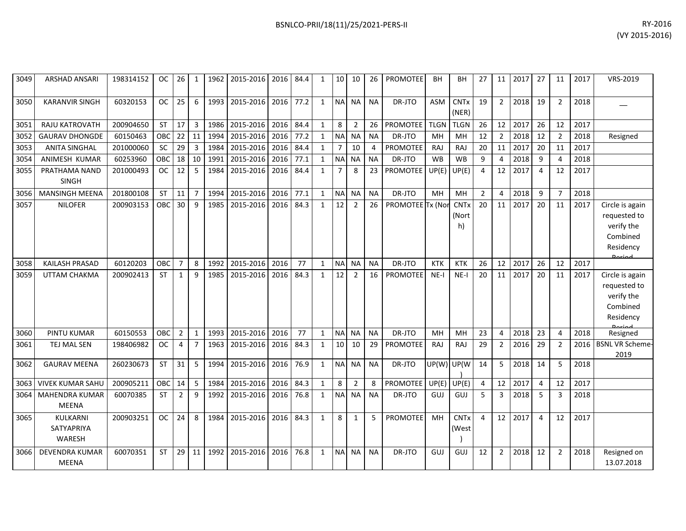| 3049 | <b>ARSHAD ANSARI</b>          | 198314152 | OС         | 26 I           | 1              | 1962 | 2015-2016   2016   84.4 |      |      | 1            | 10 <sup>1</sup> | 10             | 26        | PROMOTEE         | BH            | BН                     | 27             | 11             | 2017 | 27 | 11             | 2017 | VRS-2019               |
|------|-------------------------------|-----------|------------|----------------|----------------|------|-------------------------|------|------|--------------|-----------------|----------------|-----------|------------------|---------------|------------------------|----------------|----------------|------|----|----------------|------|------------------------|
| 3050 | <b>KARANVIR SINGH</b>         | 60320153  | <b>OC</b>  | 25             | 6              | 1993 | 2015-2016               | 2016 | 77.2 | $\mathbf{1}$ | <b>NA</b>       | <b>NA</b>      | <b>NA</b> | DR-JTO           | <b>ASM</b>    | <b>CNTx</b><br>(NER)   | 19             | $\overline{2}$ | 2018 | 19 | $\overline{2}$ | 2018 |                        |
| 3051 | RAJU KATROVATH                | 200904650 | <b>ST</b>  | 17             | 3              | 1986 | 2015-2016               | 2016 | 84.4 | $\mathbf{1}$ | 8               | $\mathcal{P}$  | 26        | <b>PROMOTEE</b>  | <b>TLGN</b>   | <b>TLGN</b>            | 26             | 12             | 2017 | 26 | 12             | 2017 |                        |
| 3052 | <b>GAURAV DHONGDE</b>         | 60150463  | OBC        | 22             | 11             | 1994 | 2015-2016               | 2016 | 77.2 | $\mathbf{1}$ | <b>NA</b>       | <b>NA</b>      | <b>NA</b> | DR-JTO           | MH            | MH                     | 12             | $\overline{2}$ | 2018 | 12 | $\overline{2}$ | 2018 | Resigned               |
| 3053 | <b>ANITA SINGHAL</b>          | 201000060 | <b>SC</b>  | 29             | $\mathbf{3}$   | 1984 | 2015-2016               | 2016 | 84.4 | $\mathbf{1}$ | $\overline{7}$  | 10             | 4         | <b>PROMOTEE</b>  | <b>RAJ</b>    | <b>RAJ</b>             | 20             | 11             | 2017 | 20 | 11             | 2017 |                        |
| 3054 | ANIMESH KUMAR                 | 60253960  | OBC        | 18             | 10             | 1991 | 2015-2016               | 2016 | 77.1 | $\mathbf{1}$ | <b>NA</b>       | <b>NA</b>      | <b>NA</b> | DR-JTO           | <b>WB</b>     | <b>WB</b>              | 9              | 4              | 2018 | 9  |                | 2018 |                        |
| 3055 | PRATHAMA NAND<br><b>SINGH</b> | 201000493 | <b>OC</b>  | 12             | 5              | 1984 | 2015-2016               | 2016 | 84.4 | $\mathbf{1}$ | $\overline{7}$  | 8              | 23        | <b>PROMOTEE</b>  | UP(E)         | UP(E)                  | 4              | 12             | 2017 | 4  | 12             | 2017 |                        |
| 3056 | <b>MANSINGH MEENA</b>         | 201800108 | <b>ST</b>  | 11             | $\overline{7}$ | 1994 | 2015-2016               | 2016 | 77.1 | 1            | <b>NA</b>       | <b>NA</b>      | <b>NA</b> | DR-JTO           | MH            | <b>MH</b>              | $\overline{2}$ | 4              | 2018 | 9  | $\overline{7}$ | 2018 |                        |
| 3057 | <b>NILOFER</b>                | 200903153 | <b>OBC</b> | 30             | 9              | 1985 | 2015-2016               | 2016 | 84.3 | $\mathbf{1}$ | 12              | $\overline{2}$ | 26        | PROMOTEE Tx (Nor |               | <b>CNTx</b>            | 20             | 11             | 2017 | 20 | 11             | 2017 | Circle is again        |
|      |                               |           |            |                |                |      |                         |      |      |              |                 |                |           |                  |               | (Nort                  |                |                |      |    |                |      | requested to           |
|      |                               |           |            |                |                |      |                         |      |      |              |                 |                |           |                  |               | h)                     |                |                |      |    |                |      | verify the             |
|      |                               |           |            |                |                |      |                         |      |      |              |                 |                |           |                  |               |                        |                |                |      |    |                |      | Combined               |
|      |                               |           |            |                |                |      |                         |      |      |              |                 |                |           |                  |               |                        |                |                |      |    |                |      | Residency              |
| 3058 | <b>KAILASH PRASAD</b>         | 60120203  | OBC        | $\overline{7}$ | 8              | 1992 | 2015-2016               | 2016 | 77   | $\mathbf{1}$ | <b>NA</b>       | <b>NA</b>      | <b>NA</b> | DR-JTO           | <b>KTK</b>    | <b>KTK</b>             | 26             | 12             | 2017 | 26 | 12             | 2017 |                        |
| 3059 | UTTAM CHAKMA                  | 200902413 | ST         | $\mathbf{1}$   | 9              | 1985 | 2015-2016               | 2016 | 84.3 | 1            | 12              | 2              | 16        | PROMOTEE         | $NE-I$        | $NE-I$                 | 20             | 11             | 2017 | 20 | 11             | 2017 | Circle is again        |
|      |                               |           |            |                |                |      |                         |      |      |              |                 |                |           |                  |               |                        |                |                |      |    |                |      | requested to           |
|      |                               |           |            |                |                |      |                         |      |      |              |                 |                |           |                  |               |                        |                |                |      |    |                |      | verify the             |
|      |                               |           |            |                |                |      |                         |      |      |              |                 |                |           |                  |               |                        |                |                |      |    |                |      | Combined               |
|      |                               |           |            |                |                |      |                         |      |      |              |                 |                |           |                  |               |                        |                |                |      |    |                |      | Residency              |
| 3060 | PINTU KUMAR                   | 60150553  | OBC        | $\overline{2}$ | 1              | 1993 | 2015-2016               | 2016 | 77   | 1            | <b>NA</b>       | <b>NA</b>      | <b>NA</b> | DR-JTO           | MH            | MH                     | 23             | $\overline{4}$ | 2018 | 23 | 4              | 2018 | Resigned               |
| 3061 | TEJ MAL SEN                   | 198406982 | <b>OC</b>  | 4              | $\overline{7}$ | 1963 | 2015-2016               | 2016 | 84.3 | 1            | 10              | 10             | 29        | <b>PROMOTEE</b>  | RAJ           | RAJ                    | 29             | $\overline{2}$ | 2016 | 29 | $\overline{2}$ | 2016 | <b>BSNL VR Scheme-</b> |
|      |                               |           |            |                |                |      |                         |      |      |              |                 |                |           |                  |               |                        |                |                |      |    |                |      | 2019                   |
| 3062 | <b>GAURAV MEENA</b>           | 260230673 | <b>ST</b>  | 31             | 5              | 1994 | 2015-2016               | 2016 | 76.9 | $\mathbf{1}$ | <b>NA</b>       | <b>NA</b>      | <b>NA</b> | DR-JTO           | UP(W) UP(W    |                        | 14             | 5              | 2018 | 14 | 5              | 2018 |                        |
| 3063 | <b>VIVEK KUMAR SAHU</b>       | 200905211 | OBC        | 14             | 5              | 1984 | 2015-2016               | 2016 | 84.3 | $\mathbf{1}$ | 8               | 2              | 8         | PROMOTEE         | $UP(E)$ UP(E) |                        | 4              | 12             | 2017 | 4  | 12             | 2017 |                        |
| 3064 | <b>MAHENDRA KUMAR</b>         | 60070385  | <b>ST</b>  | 2              | 9              | 1992 | 2015-2016               | 2016 | 76.8 | $\mathbf{1}$ | <b>NA</b>       | <b>NA</b>      | <b>NA</b> | DR-JTO           | GUJ           | GUJ                    | 5              | $\overline{3}$ | 2018 | 5  | 3              | 2018 |                        |
|      | <b>MEENA</b>                  |           |            |                |                |      |                         |      |      |              |                 |                |           |                  |               |                        |                |                |      |    |                |      |                        |
| 3065 | <b>KULKARNI</b>               | 200903251 | <b>OC</b>  | 24             | 8              | 1984 | 2015-2016               | 2016 | 84.3 | $\mathbf{1}$ | 8               | $\mathbf{1}$   | 5         | PROMOTEE         | MH            | <b>CNT<sub>x</sub></b> | 4              | 12             | 2017 | 4  | 12             | 2017 |                        |
|      | SATYAPRIYA                    |           |            |                |                |      |                         |      |      |              |                 |                |           |                  |               | (West                  |                |                |      |    |                |      |                        |
|      | <b>WARESH</b>                 |           |            |                |                |      |                         |      |      |              |                 |                |           |                  |               |                        |                |                |      |    |                |      |                        |
| 3066 | <b>DEVENDRA KUMAR</b>         | 60070351  | <b>ST</b>  | 29             | 11             | 1992 | 2015-2016               | 2016 | 76.8 | $\mathbf{1}$ | <b>NA</b>       | <b>NA</b>      | <b>NA</b> | DR-JTO           | GUJ           | GUJ                    | 12             | $\overline{2}$ | 2018 | 12 | $\overline{2}$ | 2018 | Resigned on            |
|      | <b>MEENA</b>                  |           |            |                |                |      |                         |      |      |              |                 |                |           |                  |               |                        |                |                |      |    |                |      | 13.07.2018             |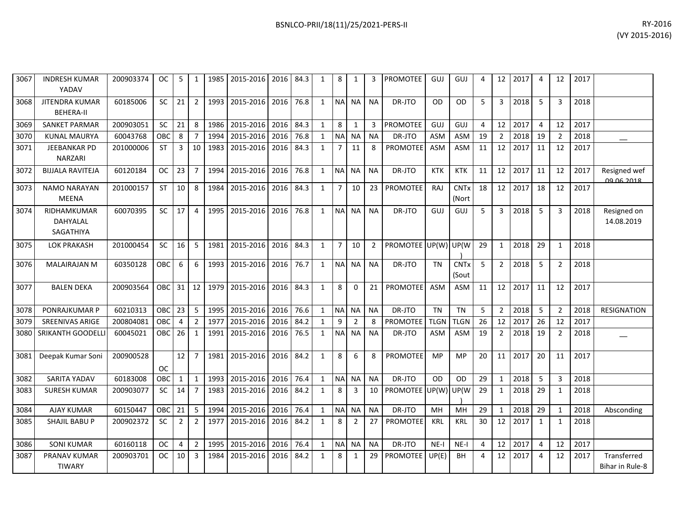| RY-2016        | BSNLCO-PRII/18(11)/25/2021-PERS-II |
|----------------|------------------------------------|
| (VY 2015-2016) |                                    |
|                |                                    |

| 3067 | <b>INDRESH KUMAR</b><br>YADAV         | 200903374 | OC.        | 5              | 1              | 1985 | 2015-2016 | 2016 | 84.3 | 1            | 8              | 1              |                 | <b>PROMOTEE</b>      | GUJ         | GUJ                             | 4  | 12             | 2017 | 4              | 12             | 2017 |                                   |
|------|---------------------------------------|-----------|------------|----------------|----------------|------|-----------|------|------|--------------|----------------|----------------|-----------------|----------------------|-------------|---------------------------------|----|----------------|------|----------------|----------------|------|-----------------------------------|
| 3068 | JITENDRA KUMAR<br><b>BEHERA-II</b>    | 60185006  | <b>SC</b>  | 21             | $\overline{2}$ | 1993 | 2015-2016 | 2016 | 76.8 | $\mathbf{1}$ | <b>NA</b>      | NA I           | <b>NA</b>       | DR-JTO               | OD          | <b>OD</b>                       | 5  | 3              | 2018 | 5              | 3              | 2018 |                                   |
| 3069 | <b>SANKET PARMAR</b>                  | 200903051 | <b>SC</b>  | 21             | 8              | 1986 | 2015-2016 | 2016 | 84.3 | $\mathbf{1}$ | 8              | 1              | 3               | <b>PROMOTEE</b>      | GUJ         | GUJ                             | 4  | 12             | 2017 | $\overline{4}$ | 12             | 2017 |                                   |
| 3070 | <b>KUNAL MAURYA</b>                   | 60043768  | OBC        | 8              | $\overline{7}$ | 1994 | 2015-2016 | 2016 | 76.8 | $\mathbf{1}$ | NA             | <b>NA</b>      | <b>NA</b>       | DR-JTO               | ASM         | ASM                             | 19 | $\overline{2}$ | 2018 | 19             | $\overline{2}$ | 2018 |                                   |
| 3071 | <b>JEEBANKAR PD</b><br><b>NARZARI</b> | 201000006 | <b>ST</b>  | 3              | 10             | 1983 | 2015-2016 | 2016 | 84.3 | 1            | $\overline{7}$ | 11             | 8               | <b>PROMOTEE</b>      | ASM         | <b>ASM</b>                      | 11 | 12             | 2017 | 11             | 12             | 2017 |                                   |
| 3072 | <b>BIJJALA RAVITEJA</b>               | 60120184  | OC.        | 23             | $\overline{7}$ | 1994 | 2015-2016 | 2016 | 76.8 | 1            | NA NA          |                | <b>NA</b>       | DR-JTO               | KTK         | <b>KTK</b>                      | 11 | 12             | 2017 | 11             | 12             | 2017 | Resigned wef<br><u>NO NG 2018</u> |
| 3073 | <b>NAMO NARAYAN</b><br><b>MEENA</b>   | 201000157 | <b>ST</b>  | 10             | 8              | 1984 | 2015-2016 | 2016 | 84.3 | $\mathbf{1}$ | 7              | 10             | 23 <sup>1</sup> | PROMOTEE             | <b>RAJ</b>  | <b>CNT<sub>x</sub></b><br>(Nort | 18 | 12             | 2017 | 18             | 12             | 2017 |                                   |
| 3074 | RIDHAMKUMAR<br>DAHYALAL<br>SAGATHIYA  | 60070395  | <b>SC</b>  | 17             | 4              | 1995 | 2015-2016 | 2016 | 76.8 | $\mathbf{1}$ | <b>NAI</b>     | NA I           | <b>NA</b>       | DR-JTO               | GUJ         | GUJ                             | -5 | $\overline{3}$ | 2018 | 5              | 3              | 2018 | Resigned on<br>14.08.2019         |
| 3075 | <b>LOK PRAKASH</b>                    | 201000454 | SC         | 16             | 5              | 1981 | 2015-2016 | 2016 | 84.3 | 1            | $\overline{7}$ | 10             | $\overline{2}$  | PROMOTEE UP(W) UP(W) |             |                                 | 29 | 1              | 2018 | 29             | $\mathbf{1}$   | 2018 |                                   |
| 3076 | <b>MALAIRAJAN M</b>                   | 60350128  | OBC        | 6              | 6              | 1993 | 2015-2016 | 2016 | 76.7 | $\mathbf{1}$ | <b>NA</b>      | NA I           | <b>NA</b>       | DR-JTO               | <b>TN</b>   | <b>CNTx</b><br>(Sout            | -5 | $\overline{2}$ | 2018 | 5              | $\overline{2}$ | 2018 |                                   |
| 3077 | <b>BALEN DEKA</b>                     | 200903564 | OBC        | 31             | 12             | 1979 | 2015-2016 | 2016 | 84.3 | $\mathbf{1}$ | 8              | $\mathbf{0}$   | 21              | <b>PROMOTEE</b>      | <b>ASM</b>  | <b>ASM</b>                      | 11 | 12             | 2017 | 11             | 12             | 2017 |                                   |
| 3078 | PONRAJKUMAR P                         | 60210313  | <b>OBC</b> | 23             | 5              | 1995 | 2015-2016 | 2016 | 76.6 | $\mathbf{1}$ | <b>NA</b>      | <b>NA</b>      | <b>NA</b>       | DR-JTO               | <b>TN</b>   | <b>TN</b>                       | 5  | $\overline{2}$ | 2018 | -5             | $\overline{2}$ | 2018 | <b>RESIGNATION</b>                |
| 3079 | <b>SREENIVAS ARIGE</b>                | 200804081 | <b>OBC</b> | 4              | $\overline{2}$ | 1977 | 2015-2016 | 2016 | 84.2 | $\mathbf{1}$ | 9              | $\overline{2}$ | 8               | <b>PROMOTEE</b>      | <b>TLGN</b> | <b>TLGN</b>                     | 26 | 12             | 2017 | 26             | 12             | 2017 |                                   |
| 3080 | SRIKANTH GOODELLI                     | 60045021  | <b>OBC</b> | 26             | $\mathbf{1}$   | 1991 | 2015-2016 | 2016 | 76.5 | $\mathbf{1}$ | N <sub>A</sub> | <b>NA</b>      | <b>NA</b>       | DR-JTO               | <b>ASM</b>  | ASM                             | 19 | $\overline{2}$ | 2018 | 19             | $\overline{2}$ | 2018 |                                   |
| 3081 | Deepak Kumar Soni                     | 200900528 | <b>OC</b>  | 12             | $\overline{7}$ | 1981 | 2015-2016 | 2016 | 84.2 | $\mathbf{1}$ | 8              | 6              | 8               | <b>PROMOTEE</b>      | <b>MP</b>   | <b>MP</b>                       | 20 | 11             | 2017 | 20             | 11             | 2017 |                                   |
| 3082 | SARITA YADAV                          | 60183008  | OBC        | $\mathbf{1}$   | $\mathbf{1}$   | 1993 | 2015-2016 | 2016 | 76.4 | 1            | N <sub>A</sub> | <b>NA</b>      | <b>NA</b>       | DR-JTO               | <b>OD</b>   | <b>OD</b>                       | 29 | $\mathbf{1}$   | 2018 | 5              | 3              | 2018 |                                   |
| 3083 | <b>SURESH KUMAR</b>                   | 200903077 | <b>SC</b>  | 14             | $\overline{7}$ | 1983 | 2015-2016 | 2016 | 84.2 | $\mathbf{1}$ | 8              | 3              | 10              | PROMOTEE UP(W)       |             | UP(W                            | 29 | 1              | 2018 | 29             | 1              | 2018 |                                   |
| 3084 | <b>AJAY KUMAR</b>                     | 60150447  | <b>OBC</b> | 21             | 5              | 1994 | 2015-2016 | 2016 | 76.4 | $\mathbf{1}$ | <b>NA</b>      | <b>NA</b>      | <b>NA</b>       | DR-JTO               | MH          | MH                              | 29 | $\mathbf{1}$   | 2018 | 29             | $\mathbf{1}$   | 2018 | Absconding                        |
| 3085 | SHAJIL BABU P                         | 200902372 | <b>SC</b>  | $\overline{2}$ | $\overline{2}$ | 1977 | 2015-2016 | 2016 | 84.2 | 1            | 8              | $\overline{2}$ | 27              | <b>PROMOTEE</b>      | <b>KRL</b>  | <b>KRL</b>                      | 30 | 12             | 2017 | 1              | 1              | 2018 |                                   |
| 3086 | <b>SONI KUMAR</b>                     | 60160118  | OC.        | 4              | $\overline{2}$ | 1995 | 2015-2016 | 2016 | 76.4 | $\mathbf{1}$ | <b>NAI</b>     | <b>NA</b>      | <b>NA</b>       | DR-JTO               | $NE-I$      | $NE-I$                          | 4  | 12             | 2017 | 4              | 12             | 2017 |                                   |
| 3087 | PRANAV KUMAR<br><b>TIWARY</b>         | 200903701 | <b>OC</b>  | 10             | $\overline{3}$ | 1984 | 2015-2016 | 2016 | 84.2 | $\mathbf{1}$ | 8              | $\mathbf{1}$   | 29              | <b>PROMOTEE</b>      | UP(E)       | <b>BH</b>                       | 4  | 12             | 2017 | $\overline{4}$ | 12             | 2017 | Transferred<br>Bihar in Rule-8    |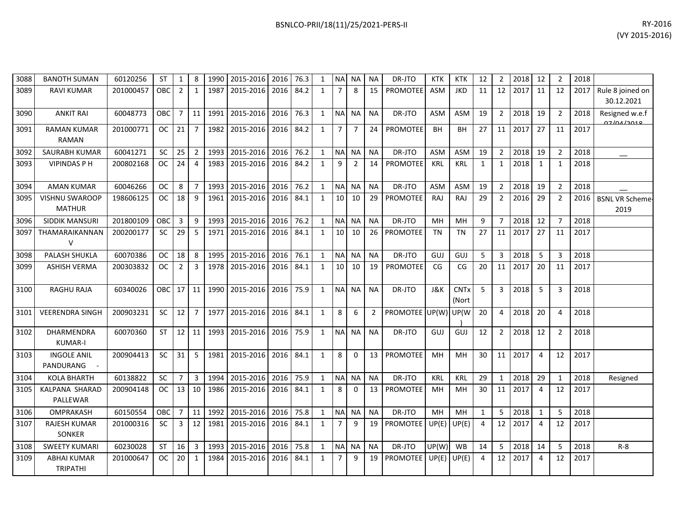| BSNLCO-PRII/18(11)/25/2021-PERS-II | RY-2016                                                                                                                                                                                                                                                                                                                                                                                                                                                                                                          |
|------------------------------------|------------------------------------------------------------------------------------------------------------------------------------------------------------------------------------------------------------------------------------------------------------------------------------------------------------------------------------------------------------------------------------------------------------------------------------------------------------------------------------------------------------------|
|                                    | $\mathbf{A} \times \mathbf{A} \times \mathbf{A} \times \mathbf{A} \times \mathbf{A} \times \mathbf{A} \times \mathbf{A} \times \mathbf{A} \times \mathbf{A} \times \mathbf{A} \times \mathbf{A} \times \mathbf{A} \times \mathbf{A} \times \mathbf{A} \times \mathbf{A} \times \mathbf{A} \times \mathbf{A} \times \mathbf{A} \times \mathbf{A} \times \mathbf{A} \times \mathbf{A} \times \mathbf{A} \times \mathbf{A} \times \mathbf{A} \times \mathbf{A} \times \mathbf{A} \times \mathbf{A} \times \mathbf{$ |

| 3088 | <b>BANOTH SUMAN</b>                    | 60120256  | ST         | $\mathbf{1}$   | 8               | 1990 | 2015-2016 2016 |      | 76.3 | 1            |                | NA NA          | NA             | DR-JTO          | <b>KTK</b> | <b>KTK</b>           | 12             | 2              | 2018 | 12             | $\overline{2}$ | 2018 |                                |
|------|----------------------------------------|-----------|------------|----------------|-----------------|------|----------------|------|------|--------------|----------------|----------------|----------------|-----------------|------------|----------------------|----------------|----------------|------|----------------|----------------|------|--------------------------------|
| 3089 | <b>RAVI KUMAR</b>                      | 201000457 | <b>OBC</b> | $\overline{2}$ | 1               | 1987 | 2015-2016      | 2016 | 84.2 | $\mathbf{1}$ | $\overline{7}$ | 8              | 15             | PROMOTEE        | <b>ASM</b> | <b>JKD</b>           | 11             | 12             | 2017 | 11             | 12             | 2017 | Rule 8 joined on<br>30.12.2021 |
| 3090 | <b>ANKIT RAI</b>                       | 60048773  | OBC        | $\overline{7}$ | 11              | 1991 | 2015-2016      | 2016 | 76.3 | $\mathbf{1}$ | <b>NA</b>      | <b>NA</b>      | <b>NA</b>      | DR-JTO          | <b>ASM</b> | <b>ASM</b>           | 19             | $\overline{2}$ | 2018 | 19             | $\overline{2}$ | 2018 | Resigned w.e.f<br>07/04/2010   |
| 3091 | <b>RAMAN KUMAR</b><br><b>RAMAN</b>     | 201000771 | OC.        | 21             | 7               | 1982 | 2015-2016      | 2016 | 84.2 | $\mathbf{1}$ | $\overline{7}$ | $\overline{7}$ | 24             | PROMOTEE        | <b>BH</b>  | BH                   | 27             | 11             | 2017 | 27             | 11             | 2017 |                                |
| 3092 | <b>SAURABH KUMAR</b>                   | 60041271  | <b>SC</b>  | 25             | $2^{\circ}$     | 1993 | 2015-2016      | 2016 | 76.2 | $\mathbf{1}$ | <b>NA</b>      | <b>NA</b>      | <b>NA</b>      | DR-JTO          | <b>ASM</b> | ASM                  | 19             | $\overline{2}$ | 2018 | 19             | $\overline{2}$ | 2018 |                                |
| 3093 | <b>VIPINDAS P H</b>                    | 200802168 | <b>OC</b>  | 24             | $\overline{4}$  | 1983 | 2015-2016      | 2016 | 84.2 | $\mathbf{1}$ | 9              | $\overline{2}$ | 14             | <b>PROMOTEE</b> | <b>KRL</b> | <b>KRL</b>           | $\mathbf{1}$   | $\mathbf{1}$   | 2018 | $\mathbf{1}$   | $\mathbf{1}$   | 2018 |                                |
| 3094 | <b>AMAN KUMAR</b>                      | 60046266  | <b>OC</b>  | 8              | $\overline{7}$  | 1993 | 2015-2016      | 2016 | 76.2 | $\mathbf{1}$ | <b>NA</b>      | <b>NA</b>      | <b>NA</b>      | DR-JTO          | <b>ASM</b> | <b>ASM</b>           | 19             | $\overline{2}$ | 2018 | 19             | $\overline{2}$ | 2018 |                                |
| 3095 | <b>VISHNU SWAROOP</b><br><b>MATHUR</b> | 198606125 | <b>OC</b>  | 18             | 9               | 1961 | 2015-2016      | 2016 | 84.1 | $\mathbf{1}$ | 10             | 10             | 29             | PROMOTEE        | RAJ        | RAJ                  | 29             | $\overline{2}$ | 2016 | 29             | 2              | 2016 | <b>BSNL VR Scheme-</b><br>2019 |
| 3096 | <b>SIDDIK MANSURI</b>                  | 201800109 | OBC        | 3              | 9               | 1993 | 2015-2016      | 2016 | 76.2 | $\mathbf{1}$ | <b>NA</b>      | <b>NA</b>      | <b>NA</b>      | DR-JTO          | MH         | MH                   | 9              | $\overline{7}$ | 2018 | 12             | $\overline{7}$ | 2018 |                                |
| 3097 | THAMARAIKANNAN<br>V                    | 200200177 | SC         | 29             | 5               | 1971 | 2015-2016      | 2016 | 84.1 | $\mathbf{1}$ | 10             | 10             | 26             | PROMOTEE        | <b>TN</b>  | <b>TN</b>            | 27             | 11             | 2017 | 27             | 11             | 2017 |                                |
| 3098 | PALASH SHUKLA                          | 60070386  | <b>OC</b>  | 18             | 8               | 1995 | 2015-2016      | 2016 | 76.1 | $\mathbf{1}$ | <b>NA</b>      | <b>NA</b>      | <b>NA</b>      | DR-JTO          | <b>GUJ</b> | GUJ                  | 5              | 3              | 2018 | 5              | 3              | 2018 |                                |
| 3099 | <b>ASHISH VERMA</b>                    | 200303832 | <b>OC</b>  | $\overline{2}$ | 3               | 1978 | 2015-2016      | 2016 | 84.1 | $\mathbf{1}$ | 10             | 10             | 19             | <b>PROMOTEE</b> | CG         | CG                   | 20             | 11             | 2017 | 20             | 11             | 2017 |                                |
| 3100 | <b>RAGHU RAJA</b>                      | 60340026  | OBC        | 17             | 11              | 1990 | 2015-2016      | 2016 | 75.9 | $\mathbf{1}$ | <b>NA</b>      | <b>NA</b>      | <b>NA</b>      | DR-JTO          | J&K        | <b>CNTx</b><br>(Nort | 5              | 3              | 2018 | 5              | 3              | 2018 |                                |
| 3101 | <b>VEERENDRA SINGH</b>                 | 200903231 | <b>SC</b>  | 12             | $\overline{7}$  | 1977 | 2015-2016      | 2016 | 84.1 | $\mathbf{1}$ | 8              | 6              | $\overline{2}$ | PROMOTEE UP(W)  |            | UP(W                 | 20             | 4              | 2018 | 20             | 4              | 2018 |                                |
| 3102 | <b>DHARMENDRA</b><br><b>KUMAR-I</b>    | 60070360  | <b>ST</b>  | 12             | 11              | 1993 | 2015-2016      | 2016 | 75.9 | $\mathbf{1}$ | <b>NA</b>      | <b>NA</b>      | <b>NA</b>      | DR-JTO          | GUJ        | GUJ                  | 12             | $\overline{2}$ | 2018 | 12             | $\overline{2}$ | 2018 |                                |
| 3103 | <b>INGOLE ANIL</b><br>PANDURANG        | 200904413 | <b>SC</b>  | 31             | 5               | 1981 | 2015-2016      | 2016 | 84.1 | $\mathbf{1}$ | 8              | $\Omega$       | 13             | <b>PROMOTEE</b> | MH         | MH                   | 30             | 11             | 2017 | $\overline{4}$ | 12             | 2017 |                                |
| 3104 | <b>KOLA BHARTH</b>                     | 60138822  | <b>SC</b>  | $\overline{7}$ | $\overline{3}$  | 1994 | 2015-2016      | 2016 | 75.9 | $\mathbf{1}$ | <b>NA</b>      | <b>NA</b>      | <b>NA</b>      | DR-JTO          | KRL        | <b>KRL</b>           | 29             | $\mathbf{1}$   | 2018 | 29             | $\mathbf{1}$   | 2018 | Resigned                       |
| 3105 | KALPANA SHARAD<br>PALLEWAR             | 200904148 | <b>OC</b>  | 13             | 10 <sup>1</sup> | 1986 | 2015-2016      | 2016 | 84.1 | $\mathbf{1}$ | 8              | $\Omega$       | 13             | <b>PROMOTEE</b> | MH         | MH                   | 30             | 11             | 2017 | $\overline{4}$ | 12             | 2017 |                                |
| 3106 | OMPRAKASH                              | 60150554  | OBC        | $\overline{7}$ | 11              | 1992 | 2015-2016      | 2016 | 75.8 | $\mathbf{1}$ | N <sub>A</sub> | <b>NA</b>      | <b>NA</b>      | DR-JTO          | MH         | MH                   | $\mathbf{1}$   | 5              | 2018 | $\mathbf{1}$   | 5              | 2018 |                                |
| 3107 | <b>RAJESH KUMAR</b><br>SONKER          | 201000316 | <b>SC</b>  | $\mathbf{3}$   | 12              | 1981 | 2015-2016      | 2016 | 84.1 | $\mathbf{1}$ | $\overline{7}$ | 9              | 19             | <b>PROMOTEE</b> | UP(E)      | UP(E)                | $\overline{4}$ | 12             | 2017 | $\overline{4}$ | 12             | 2017 |                                |
| 3108 | <b>SWEETY KUMARI</b>                   | 60230028  | <b>ST</b>  | 16             | $\overline{3}$  | 1993 | 2015-2016      | 2016 | 75.8 | 1            | <b>NA</b>      | <b>NA</b>      | <b>NA</b>      | DR-JTO          | UP(W)      | <b>WB</b>            | 14             | 5              | 2018 | 14             | 5              | 2018 | $R - 8$                        |
| 3109 | <b>ABHAI KUMAR</b><br><b>TRIPATHI</b>  | 201000647 | <b>OC</b>  | 20             | 1               | 1984 | 2015-2016      | 2016 | 84.1 | $\mathbf{1}$ | $\overline{7}$ | 9              | 19             | <b>PROMOTEE</b> | UP(E)      | UP(E)                | $\overline{4}$ | 12             | 2017 | $\overline{4}$ | 12             | 2017 |                                |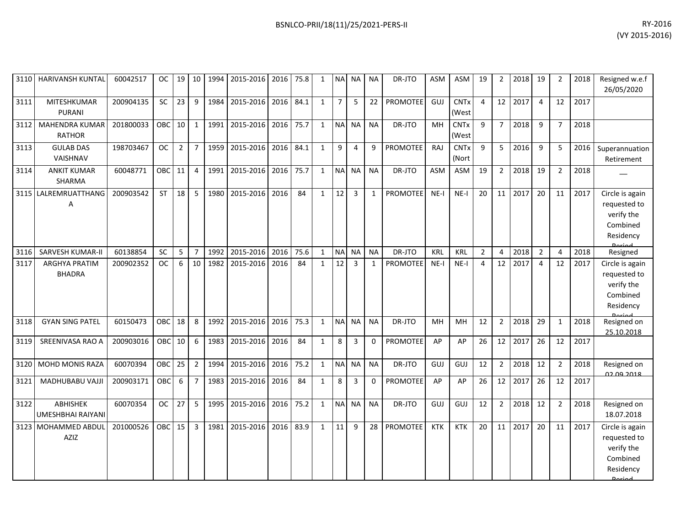| RY-2016        |
|----------------|
| (VY 2015-2016) |

| 3110 | HARIVANSH KUNTAL                     | 60042517  | OC.        | 19              | 10             | 1994 | 2015-2016      | 2016 | 75.8 | 1            |                | NA NA          | <b>NA</b>    | DR-JTO          | <b>ASM</b> | ASM                             | 19             | 2              | 2018    | 19             | $\overline{2}$ | 2018 | Resigned w.e.f<br>26/05/2020                                           |
|------|--------------------------------------|-----------|------------|-----------------|----------------|------|----------------|------|------|--------------|----------------|----------------|--------------|-----------------|------------|---------------------------------|----------------|----------------|---------|----------------|----------------|------|------------------------------------------------------------------------|
| 3111 | MITESHKUMAR<br><b>PURANI</b>         | 200904135 | <b>SC</b>  | 23              | 9              | 1984 | 2015-2016      | 2016 | 84.1 | $\mathbf{1}$ | 7 <sup>1</sup> | 5              | 22           | <b>PROMOTEE</b> | GUJ        | <b>CNT<sub>x</sub></b><br>(West | $\overline{4}$ |                | 12 2017 | $\overline{4}$ | 12             | 2017 |                                                                        |
| 3112 | MAHENDRA KUMAR<br><b>RATHOR</b>      | 201800033 | OBC        | 10 <sup>1</sup> | $\mathbf{1}$   | 1991 | 2015-2016 2016 |      | 75.7 | $\mathbf{1}$ |                | NA NA          | <b>NA</b>    | DR-JTO          | MH         | <b>CNTx</b><br>(West            | 9              | $7^{\circ}$    | 2018    | 9              | $\overline{7}$ | 2018 |                                                                        |
| 3113 | <b>GULAB DAS</b><br>VAISHNAV         | 198703467 | <b>OC</b>  | $\overline{2}$  | $\overline{7}$ | 1959 | 2015-2016      | 2016 | 84.1 | 1            | 9              | 4              | 9            | <b>PROMOTEE</b> | <b>RAJ</b> | <b>CNT<sub>x</sub></b><br>(Nort | $\mathbf{q}$   | 5              | 2016    | 9              | 5              | 2016 | Superannuation<br>Retirement                                           |
| 3114 | <b>ANKIT KUMAR</b><br>SHARMA         | 60048771  | OBC        | 11              | $\overline{4}$ | 1991 | 2015-2016      | 2016 | 75.7 | $\mathbf{1}$ |                | NA NA          | <b>NA</b>    | DR-JTO          | <b>ASM</b> | <b>ASM</b>                      | 19             | $\overline{2}$ | 2018    | 19             | 2              | 2018 |                                                                        |
| 3115 | LALREMRUATTHANG<br>Α                 | 200903542 | <b>ST</b>  | 18              | 5              | 1980 | 2015-2016 2016 |      | 84   | $\mathbf{1}$ | 12             | 3              | $\mathbf{1}$ | <b>PROMOTEE</b> | $NE-I$     | $NE-I$                          | 20             | 11             | 2017    | 20             | 11             | 2017 | Circle is again<br>requested to<br>verify the<br>Combined<br>Residency |
| 3116 | <b>SARVESH KUMAR-II</b>              | 60138854  | SC         | 5               | $\overline{7}$ | 1992 | 2015-2016      | 2016 | 75.6 | $\mathbf{1}$ | <b>NA</b>      | <b>NA</b>      | <b>NA</b>    | DR-JTO          | KRL        | KRL                             | $\overline{2}$ | 4              | 2018    | $\overline{2}$ | $\overline{4}$ | 2018 | Resigned                                                               |
| 3117 | ARGHYA PRATIM<br><b>BHADRA</b>       | 200902352 | <b>OC</b>  | 6               | 10             | 1982 | 2015-2016      | 2016 | 84   | $\mathbf{1}$ | 12             | $\overline{3}$ | $\mathbf{1}$ | <b>PROMOTEE</b> | $NE-I$     | $NE-I$                          | 4              | 12             | 2017    | $\overline{4}$ | 12             | 2017 | Circle is again<br>requested to<br>verify the<br>Combined<br>Residency |
| 3118 | <b>GYAN SING PATEL</b>               | 60150473  | <b>OBC</b> | 18              | 8              | 1992 | 2015-2016      | 2016 | 75.3 | 1            | NA NA          |                | <b>NA</b>    | DR-JTO          | MH         | MH                              | 12             | 2              | 2018    | 29             | $\mathbf{1}$   | 2018 | Resigned on<br>25.10.2018                                              |
| 3119 | SREENIVASA RAO A                     | 200903016 | OBC        | 10              | 6              | 1983 | 2015-2016      | 2016 | 84   | $\mathbf{1}$ | 8              | 3              | $\mathbf 0$  | <b>PROMOTEE</b> | AP         | AP                              | 26             | 12             | 2017    | 26             | 12             | 2017 |                                                                        |
| 3120 | MOHD MONIS RAZA                      | 60070394  | <b>OBC</b> | 25              | $\overline{2}$ | 1994 | 2015-2016 2016 |      | 75.2 | $\mathbf{1}$ | NA NA          |                | <b>NA</b>    | DR-JTO          | GUJ        | GUJ                             | 12             | $\overline{2}$ | 2018    | 12             | $\overline{2}$ | 2018 | Resigned on<br><u>ne na entr</u>                                       |
| 3121 | MADHUBABU VAJJI                      | 200903171 | OBC        | 6               | $\overline{7}$ | 1983 | 2015-2016 2016 |      | 84   | 1            | 8              | 3              | $\Omega$     | PROMOTEE        | AP         | AP                              | 26             | 12             | 2017    | 26             | 12             | 2017 |                                                                        |
| 3122 | <b>ABHISHEK</b><br>UMESHBHAI RAIYANI | 60070354  | <b>OC</b>  | 27              | 5              | 1995 | 2015-2016      | 2016 | 75.2 | $\mathbf{1}$ | <b>NA</b>      | <b>NA</b>      | <b>NA</b>    | DR-JTO          | GUJ        | GUJ                             | 12             | $\overline{2}$ | 2018    | 12             | $\overline{2}$ | 2018 | Resigned on<br>18.07.2018                                              |
| 3123 | MOHAMMED ABDUL<br>AZIZ               | 201000526 | <b>OBC</b> | 15              | $\overline{3}$ | 1981 | 2015-2016      | 2016 | 83.9 | $\mathbf{1}$ | 11             | 9              | 28           | <b>PROMOTEE</b> | <b>KTK</b> | <b>KTK</b>                      | 20             | 11             | 2017    | 20             | 11             | 2017 | Circle is again<br>requested to<br>verify the<br>Combined<br>Residency |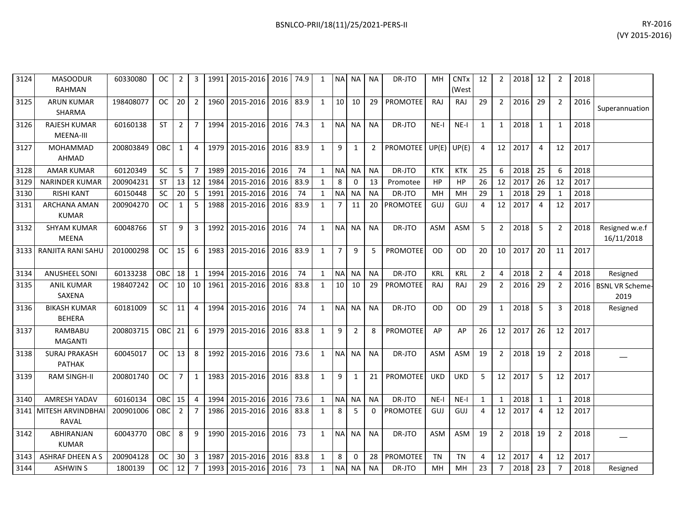| 3124 | <b>MASOODUR</b><br><b>RAHMAN</b>      | 60330080  | 0C         | 2               | 3              | 1991 | 2015-2016                | 2016 | 74.9 | $\mathbf{1}$ | <b>NA</b>       | NA I           | <b>NA</b>      | DR-JTO               | MH         | <b>CNTx</b><br>(West | 12             | $\overline{2}$  | 2018    | 12             | $\overline{2}$ | 2018 |                                |
|------|---------------------------------------|-----------|------------|-----------------|----------------|------|--------------------------|------|------|--------------|-----------------|----------------|----------------|----------------------|------------|----------------------|----------------|-----------------|---------|----------------|----------------|------|--------------------------------|
| 3125 | <b>ARUN KUMAR</b><br><b>SHARMA</b>    | 198408077 | <b>OC</b>  | 20              | $\overline{2}$ | 1960 | 2015-2016                | 2016 | 83.9 | 1            | 10 <sup>1</sup> | 10             | 29             | <b>PROMOTEE</b>      | RAJ        | RAJ                  | 29             | 2 <sup>1</sup>  | 2016    | 29             | $\overline{2}$ | 2016 | Superannuation                 |
| 3126 | <b>RAJESH KUMAR</b><br>MEENA-III      | 60160138  | <b>ST</b>  | $\overline{2}$  | $\overline{7}$ | 1994 | 2015-2016                | 2016 | 74.3 | $\mathbf{1}$ | <b>NA</b>       | <b>NA</b>      | <b>NA</b>      | DR-JTO               | $NE-I$     | NE-I                 | 1              | $1 \vert$       | 2018    | 1              | $\mathbf{1}$   | 2018 |                                |
| 3127 | <b>MOHAMMAD</b><br><b>AHMAD</b>       | 200803849 | <b>OBC</b> | $\mathbf{1}$    | $\overline{4}$ |      | 1979 2015-2016           | 2016 | 83.9 | $\mathbf{1}$ | 9               | $\mathbf{1}$   | $\overline{2}$ | PROMOTEE UP(E) UP(E) |            |                      | $\overline{4}$ |                 | 12 2017 | $\overline{4}$ | 12             | 2017 |                                |
| 3128 | <b>AMAR KUMAR</b>                     | 60120349  | SC         | 5               | $\overline{7}$ | 1989 | 2015-2016                | 2016 | 74   | $\mathbf{1}$ | <b>NA</b>       | <b>NA</b>      | <b>NA</b>      | DR-JTO               | <b>KTK</b> | <b>KTK</b>           | 25             | 6               | 2018    | 25             | 6              | 2018 |                                |
| 3129 | <b>NARINDER KUMAR</b>                 | 200904231 | <b>ST</b>  | 13              | 12             | 1984 | 2015-2016                | 2016 | 83.9 | $\mathbf{1}$ | 8               | 0              | 13             | Promotee             | <b>HP</b>  | <b>HP</b>            | 26             | 12              | 2017    | 26             | 12             | 2017 |                                |
| 3130 | <b>RISHI KANT</b>                     | 60150448  | <b>SC</b>  | 20              | 5              | 1991 | 2015-2016                | 2016 | 74   | $\mathbf{1}$ | N <sub>A</sub>  | <b>NA</b>      | <b>NA</b>      | DR-JTO               | MН         | MН                   | 29             | 1               | 2018    | 29             | -1             | 2018 |                                |
| 3131 | <b>ARCHANA AMAN</b><br><b>KUMAR</b>   | 200904270 | <b>OC</b>  | 1               | 5              | 1988 | 2015-2016                | 2016 | 83.9 | $\mathbf{1}$ | $7^{\circ}$     | 11             | 20             | <b>PROMOTEE</b>      | GUJ        | GUJ                  | $\overline{4}$ | 12 <sup>1</sup> | 2017    | $\overline{4}$ | 12             | 2017 |                                |
| 3132 | <b>SHYAM KUMAR</b><br><b>MEENA</b>    | 60048766  | ST         | 9               | 3              |      | 1992 2015-2016           | 2016 | 74   | $\mathbf{1}$ | <b>NA</b>       | NA I           | <b>NA</b>      | DR-JTO               | <b>ASM</b> | <b>ASM</b>           | 5              | $\overline{2}$  | 2018    | 5              | $\overline{2}$ | 2018 | Resigned w.e.f<br>16/11/2018   |
| 3133 | RANJITA RANI SAHU                     | 201000298 | <b>OC</b>  | 15              | 6              | 1983 | 2015-2016                | 2016 | 83.9 | $\mathbf{1}$ | $\overline{7}$  | 9              | 5              | PROMOTEE             | <b>OD</b>  | 0D                   | 20             | 10 <sup>1</sup> | 2017    | 20             | 11             | 2017 |                                |
| 3134 | <b>ANUSHEEL SONI</b>                  | 60133238  | OBC        | 18              | $\mathbf{1}$   | 1994 | 2015-2016                | 2016 | 74   | $\mathbf{1}$ | <b>NA</b>       | <b>NA</b>      | <b>NA</b>      | DR-JTO               | KRL        | <b>KRL</b>           | $\overline{2}$ | 4               | 2018    | $\overline{2}$ | $\Delta$       | 2018 | Resigned                       |
| 3135 | <b>ANIL KUMAR</b><br>SAXENA           | 198407242 | <b>OC</b>  | 10 <sub>1</sub> | 10             |      | 1961 2015-2016           | 2016 | 83.8 | $\mathbf{1}$ | 10 <sup>1</sup> | 10             | 29             | <b>PROMOTEE</b>      | RAJ        | <b>RAJ</b>           | 29             | $\overline{2}$  | 2016    | 29             | $\overline{2}$ | 2016 | <b>BSNL VR Scheme-</b><br>2019 |
| 3136 | <b>BIKASH KUMAR</b><br><b>BEHERA</b>  | 60181009  | <b>SC</b>  | 11              | $\overline{4}$ |      | 1994 2015-2016           | 2016 | 74   | $\mathbf{1}$ | <b>NA</b>       | <b>NA</b>      | <b>NA</b>      | DR-JTO               | <b>OD</b>  | <b>OD</b>            | 29             | $\mathbf{1}$    | 2018    | 5              | 3              | 2018 | Resigned                       |
| 3137 | <b>RAMBABU</b><br><b>MAGANTI</b>      | 200803715 | OBC        | 21              | 6              | 1979 | 2015-2016                | 2016 | 83.8 | $\mathbf{1}$ | 9               | $\overline{2}$ | 8              | <b>PROMOTEE</b>      | AP         | AP                   | 26             |                 | 12 2017 | 26             | 12             | 2017 |                                |
| 3138 | <b>SURAJ PRAKASH</b><br><b>PATHAK</b> | 60045017  | <b>OC</b>  | 13              | 8              | 1992 | 2015-2016 2016           |      | 73.6 | 1            | <b>NA</b>       | <b>NA</b>      | <b>NA</b>      | DR-JTO               | <b>ASM</b> | <b>ASM</b>           | 19             | $2^{\circ}$     | 2018    | 19             | $\overline{2}$ | 2018 |                                |
| 3139 | <b>RAM SINGH-II</b>                   | 200801740 | <b>OC</b>  | $\overline{7}$  | $\mathbf{1}$   | 1983 | 2015-2016                | 2016 | 83.8 | 1            | 9               | 1              | 21             | PROMOTEE             | <b>UKD</b> | <b>UKD</b>           | 5              | 12              | 2017    | 5              | 12             | 2017 |                                |
| 3140 | <b>AMRESH YADAV</b>                   | 60160134  | OBC        | 15              | $\overline{4}$ | 1994 | 2015-2016                | 2016 | 73.6 | $\mathbf{1}$ | <b>NA</b>       | NA             | <b>NA</b>      | DR-JTO               | $NE-I$     | $NE-I$               | 1              | $\mathbf{1}$    | 2018    | 1              | $\mathbf{1}$   | 2018 |                                |
|      | 3141 MITESH ARVINDBHAI<br>RAVAL       | 200901006 | OBC        | $\overline{2}$  | $\overline{7}$ | 1986 | 2015-2016                | 2016 | 83.8 | $\mathbf{1}$ | 8               | 5              | $\mathbf{0}$   | <b>PROMOTEE</b>      | GUJ        | GUJ                  | $\overline{4}$ | 12 <sup>1</sup> | 2017    | $\overline{4}$ | 12             | 2017 |                                |
| 3142 | ABHIRANJAN<br><b>KUMAR</b>            | 60043770  | OBC        | 8               | 9              | 1990 | 2015-2016                | 2016 | 73   | $\mathbf{1}$ | <b>NAI</b>      | <b>NA</b>      | <b>NA</b>      | DR-JTO               | ASM        | <b>ASM</b>           | 19             | $\overline{2}$  | 2018    | 19             | $\overline{2}$ | 2018 |                                |
|      | 3143 ASHRAF DHEEN A S                 | 200904128 |            | $OC$ 30         | $\overline{3}$ |      | 1987 2015-2016 2016 83.8 |      |      | 1            | 8               | 0              | 28             | PROMOTEE             | <b>TN</b>  | <b>TN</b>            | 4              |                 | 12 2017 | $\overline{4}$ | 12             | 2017 |                                |

3144 ASHWIN S 1800139 OC 12 7 1993 2015-2016 2016 73 1 NA NA NA DR-JTO MH MH 23 7 2018 23 7 2018 Resigned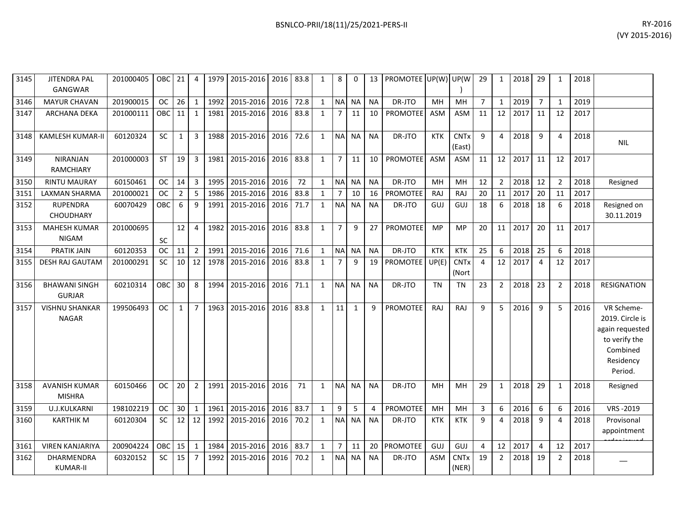| 3145 | <b>JITENDRA PAL</b><br><b>GANGWAR</b> | 201000405 | OBC       | 21              | 4              | 1979 | 2015-2016 2016 83.8 |           |      | 1            | 8              | 0         | 13        | PROMOTEE UP(W) UP(W) |            |                       | 29             | 1              | 2018 | 29             |                | 2018 |                                                                                                       |
|------|---------------------------------------|-----------|-----------|-----------------|----------------|------|---------------------|-----------|------|--------------|----------------|-----------|-----------|----------------------|------------|-----------------------|----------------|----------------|------|----------------|----------------|------|-------------------------------------------------------------------------------------------------------|
| 3146 | <b>MAYUR CHAVAN</b>                   | 201900015 | <b>OC</b> | 26              | $\mathbf{1}$   | 1992 | 2015-2016           | 2016      | 72.8 | $\mathbf{1}$ | NA             | <b>NA</b> | <b>NA</b> | DR-JTO               | MH         | MH                    | $\overline{7}$ | $\mathbf{1}$   | 2019 | $\overline{7}$ | 1              | 2019 |                                                                                                       |
| 3147 | <b>ARCHANA DEKA</b>                   | 201000111 | OBC       | 11              | $\mathbf{1}$   | 1981 | 2015-2016 2016 83.8 |           |      | 1            | $\overline{7}$ | 11        | 10        | <b>PROMOTEE</b>      | <b>ASM</b> | <b>ASM</b>            | 11             | 12             | 2017 | 11             | 12             | 2017 |                                                                                                       |
| 3148 | <b>KAMLESH KUMAR-II</b>               | 60120324  | SC        | $\mathbf{1}$    | $\mathbf{3}$   | 1988 | 2015-2016           | 2016      | 72.6 | $\mathbf{1}$ | <b>NA</b>      | <b>NA</b> | <b>NA</b> | DR-JTO               | <b>KTK</b> | <b>CNTx</b><br>(East) | 9              | $\overline{4}$ | 2018 | -9             | 4              | 2018 | <b>NIL</b>                                                                                            |
| 3149 | <b>NIRANJAN</b><br>RAMCHIARY          | 201000003 | <b>ST</b> | 19              | 3              | 1981 | 2015-2016           | 2016 83.8 |      | $\mathbf{1}$ | $7^{\circ}$    | 11        | 10        | <b>PROMOTEE</b>      | <b>ASM</b> | <b>ASM</b>            | 11             | 12             | 2017 | 11             | 12             | 2017 |                                                                                                       |
| 3150 | <b>RINTU MAURAY</b>                   | 60150461  | <b>OC</b> | 14              | $\overline{3}$ | 1995 | 2015-2016 2016      |           | 72   | $\mathbf{1}$ | <b>NAI</b>     | <b>NA</b> | <b>NA</b> | DR-JTO               | MH         | MH                    | 12             | 2              | 2018 | 12             | $\overline{2}$ | 2018 | Resigned                                                                                              |
| 3151 | <b>LAXMAN SHARMA</b>                  | 201000021 | <b>OC</b> | $\overline{2}$  | 5              | 1986 | 2015-2016           | 2016      | 83.8 | $\mathbf{1}$ | $\overline{7}$ | 10        | 16        | <b>PROMOTEE</b>      | RAJ        | <b>RAJ</b>            | 20             | 11             | 2017 | 20             | 11             | 2017 |                                                                                                       |
| 3152 | <b>RUPENDRA</b><br><b>CHOUDHARY</b>   | 60070429  | OBC       | 6               | 9              | 1991 | 2015-2016 2016 71.7 |           |      | $\mathbf{1}$ | <b>NA</b>      | <b>NA</b> | <b>NA</b> | DR-JTO               | GUJ        | GUJ                   | 18             | 6              | 2018 | 18             | 6              | 2018 | Resigned on<br>30.11.2019                                                                             |
| 3153 | <b>MAHESH KUMAR</b><br><b>NIGAM</b>   | 201000695 | <b>SC</b> | 12              | $\overline{4}$ | 1982 | 2015-2016 2016 83.8 |           |      | $\mathbf{1}$ | $\overline{7}$ | 9         | 27        | <b>PROMOTEE</b>      | <b>MP</b>  | <b>MP</b>             | 20             | 11             | 2017 | 20             | 11             | 2017 |                                                                                                       |
| 3154 | <b>PRATIK JAIN</b>                    | 60120353  | <b>OC</b> | 11              | $\overline{2}$ | 1991 | 2015-2016           | 2016      | 71.6 | $\mathbf{1}$ | <b>NA</b>      | <b>NA</b> | <b>NA</b> | DR-JTO               | <b>KTK</b> | <b>KTK</b>            | 25             | 6              | 2018 | 25             | 6              | 2018 |                                                                                                       |
| 3155 | <b>DESH RAJ GAUTAM</b>                | 201000291 | <b>SC</b> | 10 <sup>1</sup> | 12             | 1978 | 2015-2016 2016      |           | 83.8 | $\mathbf{1}$ | $\overline{7}$ | 9         | 19        | PROMOTEE             | UP(E)      | <b>CNTx</b><br>(Nort  | $\overline{4}$ | 12             | 2017 | $\overline{4}$ | 12             | 2017 |                                                                                                       |
| 3156 | <b>BHAWANI SINGH</b><br><b>GURJAR</b> | 60210314  | OBC       | 30              | 8              | 1994 | 2015-2016           | 2016      | 71.1 | $\mathbf{1}$ | <b>NA</b>      | <b>NA</b> | <b>NA</b> | DR-JTO               | <b>TN</b>  | <b>TN</b>             | 23             | $\overline{2}$ | 2018 | 23             | $\overline{2}$ | 2018 | <b>RESIGNATION</b>                                                                                    |
| 3157 | <b>VISHNU SHANKAR</b><br><b>NAGAR</b> | 199506493 | <b>OC</b> | $\mathbf{1}$    | $\overline{7}$ | 1963 | 2015-2016           | 2016      | 83.8 | $\mathbf{1}$ | 11             | 1         | 9         | <b>PROMOTEE</b>      | <b>RAJ</b> | RAJ                   | 9              | 5              | 2016 | 9              | 5              | 2016 | VR Scheme-<br>2019. Circle is<br>again requested<br>to verify the<br>Combined<br>Residency<br>Period. |
| 3158 | <b>AVANISH KUMAR</b><br><b>MISHRA</b> | 60150466  | <b>OC</b> | 20              | $\overline{2}$ | 1991 | 2015-2016           | 2016      | 71   | $\mathbf{1}$ | N <sub>A</sub> | <b>NA</b> | <b>NA</b> | DR-JTO               | MH         | MH                    | 29             | $\mathbf{1}$   | 2018 | 29             | $\mathbf{1}$   | 2018 | Resigned                                                                                              |
| 3159 | U.J.KULKARNI                          | 198102219 | <b>OC</b> | 30              | $\mathbf{1}$   | 1961 | 2015-2016           | 2016      | 83.7 | $\mathbf{1}$ | 9              | 5         | 4         | <b>PROMOTEE</b>      | MH         | <b>MH</b>             | 3              | 6              | 2016 | 6              | 6              | 2016 | VRS-2019                                                                                              |
| 3160 | <b>KARTHIK M</b>                      | 60120304  | <b>SC</b> | 12              | 12             | 1992 | 2015-2016           | 2016      | 70.2 | $\mathbf{1}$ | <b>NA</b>      | <b>NA</b> | <b>NA</b> | DR-JTO               | <b>KTK</b> | <b>KTK</b>            | 9              | 4              | 2018 | 9              |                | 2018 | Provisonal<br>appointment                                                                             |

order 15 1 12 2009 10224 002 15 1 1984 2015-2016 2016 83.7 1 7 11 20 PROMOTEE GUJ GUJ 4 12 2017 4 12 2017

(NER)

19 2 2018 19 2 2018 \_\_

60320152 SC 15 7 1992 2015-2016 2016 70.2 1 NA NA NA DR-JTO ASM CNTx

3162 DHARMENDRA

KUMAR-II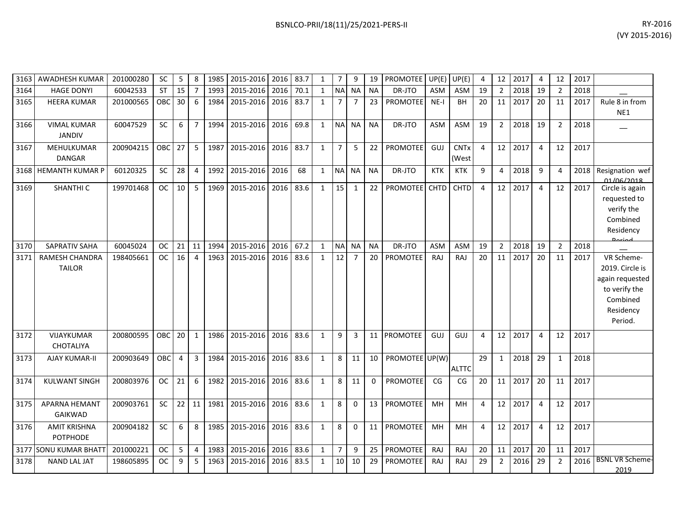|      | 3163   AWADHESH KUMAR                  | 201000280 | <b>SC</b>  | 5              | 8              | 1985 | 2015-2016   2016   83.7 |           |      | 1            | 7              | 9              | 19        | PROMOTEE UP(E) UP(E) |            |                      | 4  |                 | 12 2017 | 4              | 12             | 2017 |                                                                                                       |
|------|----------------------------------------|-----------|------------|----------------|----------------|------|-------------------------|-----------|------|--------------|----------------|----------------|-----------|----------------------|------------|----------------------|----|-----------------|---------|----------------|----------------|------|-------------------------------------------------------------------------------------------------------|
| 3164 | <b>HAGE DONYI</b>                      | 60042533  | ST         | 15             | $\overline{7}$ | 1993 | 2015-2016               | 2016      | 70.1 | $\mathbf{1}$ |                | NA NA          | <b>NA</b> | DR-JTO               | <b>ASM</b> | <b>ASM</b>           | 19 | $\overline{2}$  | 2018    | 19             | $\overline{2}$ | 2018 |                                                                                                       |
| 3165 | <b>HEERA KUMAR</b>                     | 201000565 | OBC.       | 30             | 6              | 1984 | 2015-2016               | 2016      | 83.7 | $\mathbf{1}$ | $\overline{7}$ | $\overline{7}$ | 23        | <b>PROMOTEE</b>      | $NE-I$     | <b>BH</b>            | 20 | 11 <sup>1</sup> | 2017    | 20             | 11             | 2017 | Rule 8 in from<br>NE1                                                                                 |
| 3166 | <b>VIMAL KUMAR</b><br><b>JANDIV</b>    | 60047529  | <b>SC</b>  | 6              | $\overline{7}$ | 1994 | 2015-2016               | 2016      | 69.8 | 1            |                | NA NA          | <b>NA</b> | DR-JTO               | <b>ASM</b> | ASM                  | 19 | $\overline{2}$  | 2018    | 19             | 2              | 2018 |                                                                                                       |
| 3167 | MEHULKUMAR<br><b>DANGAR</b>            | 200904215 | OBC        | 27             | 5              | 1987 | 2015-2016               | 2016      | 83.7 | $\mathbf{1}$ | $\overline{7}$ | 5              | 22        | <b>PROMOTEE</b>      | GUJ        | <b>CNTx</b><br>(West | 4  | 12 <sup>1</sup> | 2017    | $\overline{4}$ | 12             | 2017 |                                                                                                       |
|      | 3168 HEMANTH KUMAR P                   | 60120325  | <b>SC</b>  | 28             | $\overline{4}$ | 1992 | 2015-2016               | 2016      | 68   | $\mathbf{1}$ |                | NA NA          | NA.       | DR-JTO               | <b>KTK</b> | <b>KTK</b>           | 9  | $\overline{4}$  | 2018    | -9             | 4              | 2018 | Resignation wef<br>01/06/2018                                                                         |
| 3169 | SHANTHI C                              | 199701468 | <b>OC</b>  | 10             | 5              | 1969 | 2015-2016               | 2016 83.6 |      | $\mathbf{1}$ | 15             | 1              | 22        | PROMOTEE CHTD        |            | <b>CHTD</b>          | 4  | 12              | 2017    | $\overline{4}$ | 12             | 2017 | Circle is again<br>requested to<br>verify the<br>Combined<br>Residency<br><b>Doriad</b>               |
| 3170 | <b>SAPRATIV SAHA</b>                   | 60045024  | <b>OC</b>  | 21             | 11             | 1994 | 2015-2016               | 2016      | 67.2 | $\mathbf{1}$ | <b>NA</b>      | <b>NA</b>      | <b>NA</b> | DR-JTO               | <b>ASM</b> | <b>ASM</b>           | 19 | $\overline{2}$  | 2018    | 19             | $\overline{2}$ | 2018 |                                                                                                       |
| 3171 | RAMESH CHANDRA<br><b>TAILOR</b>        | 198405661 | OC.        | 16             | $\overline{4}$ | 1963 | 2015-2016               | 2016      | 83.6 | 1            | 12             | $\overline{7}$ | 20        | <b>PROMOTEE</b>      | RAJ        | RAJ                  | 20 | 11              | 2017    | 20             | 11             | 2017 | VR Scheme-<br>2019. Circle is<br>again requested<br>to verify the<br>Combined<br>Residency<br>Period. |
| 3172 | VIJAYKUMAR<br><b>CHOTALIYA</b>         | 200800595 | <b>OBC</b> | 20             | 1              | 1986 | 2015-2016               | 2016      | 83.6 | $\mathbf{1}$ | 9              | $\overline{3}$ |           | 11 PROMOTEE          | GUJ        | GUJ                  | 4  | 12              | 2017    | $\overline{4}$ | 12             | 2017 |                                                                                                       |
| 3173 | <b>AJAY KUMAR-II</b>                   | 200903649 | OBC        | $\overline{4}$ | 3              | 1984 | 2015-2016               | 2016 83.6 |      | $\mathbf{1}$ | 8              | 11             | 10        | PROMOTEE UP(W)       |            | <b>ALTTC</b>         | 29 | 1               | 2018    | 29             | $\mathbf{1}$   | 2018 |                                                                                                       |
| 3174 | <b>KULWANT SINGH</b>                   | 200803976 | <b>OC</b>  | 21             | 6              | 1982 | 2015-2016               | 2016      | 83.6 | $\mathbf{1}$ | 8              | 11             | $\Omega$  | <b>PROMOTEE</b>      | CG         | CG                   | 20 |                 | 11 2017 | 20             | 11             | 2017 |                                                                                                       |
| 3175 | <b>APARNA HEMANT</b><br>GAIKWAD        | 200903761 | <b>SC</b>  | 22             | 11             | 1981 | 2015-2016               | 2016      | 83.6 | $\mathbf{1}$ | 8              | $\Omega$       |           | 13 PROMOTEE          | MH         | MH                   | 4  | 12              | 2017    | $\overline{4}$ | 12             | 2017 |                                                                                                       |
| 3176 | <b>AMIT KRISHNA</b><br><b>POTPHODE</b> | 200904182 | <b>SC</b>  | 6              | 8              | 1985 | 2015-2016               | 2016 83.6 |      | $\mathbf{1}$ | 8              | $\Omega$       | 11        | <b>PROMOTEE</b>      | MH         | MH                   | 4  | 12              | 2017    | $\overline{4}$ | 12             | 2017 |                                                                                                       |
|      | 3177 SONU KUMAR BHATT                  | 201000221 | <b>OC</b>  | 5              | 4              | 1983 | 2015-2016               | 2016      | 83.6 | 1            | 7              | 9              | 25        | <b>PROMOTEE</b>      | RAJ        | RAJ                  | 20 | 11              | 2017    | 20             | 11             | 2017 |                                                                                                       |
| 3178 | <b>NAND LAL JAT</b>                    | 198605895 | <b>OC</b>  | 9              | 5              | 1963 | 2015-2016               | 2016      | 83.5 | $\mathbf{1}$ | 10             | 10             | 29        | PROMOTEE             | RAJ        | RAJ                  | 29 | $\overline{2}$  | 2016    | 29             | $\overline{2}$ | 2016 | <b>BSNL VR Scheme-</b><br>2019                                                                        |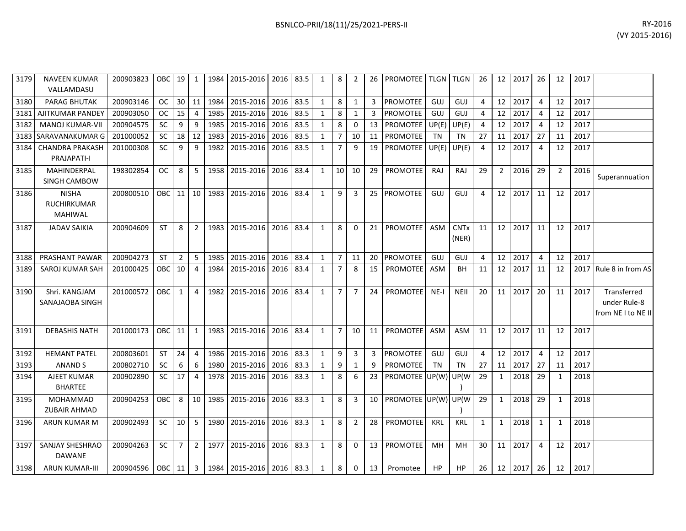| 3179 | <b>NAVEEN KUMAR</b><br>VALLAMDASU                    | 200903823 | OBC 19 1  |                |                |      | 1984   2015-2016   2016   83.5 |      |      | 1            | 8              | 2              | 26 | <b>PROMOTEE   TLGN   TLGN  </b> |            |                      | 26 |              | 12 2017 | 26             | 12             | 2017 |                                                   |
|------|------------------------------------------------------|-----------|-----------|----------------|----------------|------|--------------------------------|------|------|--------------|----------------|----------------|----|---------------------------------|------------|----------------------|----|--------------|---------|----------------|----------------|------|---------------------------------------------------|
| 3180 | <b>PARAG BHUTAK</b>                                  | 200903146 | <b>OC</b> |                | $30$ 11        | 1984 | 2015-2016                      | 2016 | 83.5 | $\mathbf{1}$ | 8              | $\mathbf{1}$   | 3  | <b>PROMOTEE</b>                 | GUJ        | GUJ                  | 4  | 12           | 2017    | $\overline{4}$ | 12             | 2017 |                                                   |
| 3181 | AJITKUMAR PANDEY                                     | 200903050 | <b>OC</b> | 15             | $\overline{4}$ | 1985 | 2015-2016                      | 2016 | 83.5 | $\mathbf{1}$ | 8              | $\mathbf{1}$   | 3  | <b>PROMOTEE</b>                 | GUJ        | GUJ                  | 4  | 12           | 2017    | $\overline{4}$ | 12             | 2017 |                                                   |
| 3182 | <b>MANOJ KUMAR-VII</b>                               | 200904575 | <b>SC</b> | 9              | 9              | 1985 | 2015-2016                      | 2016 | 83.5 | 1            | 8              | 0              | 13 | PROMOTEE                        | UP(E)      | UP(E)                | 4  | 12           | 2017    | $\overline{4}$ | 12             | 2017 |                                                   |
| 3183 | SARAVANAKUMAR G                                      | 201000052 | <b>SC</b> | 18             | 12             | 1983 | 2015-2016                      | 2016 | 83.5 | 1            | $\overline{7}$ | 10             | 11 | PROMOTEE                        | <b>TN</b>  | TN                   | 27 | 11           | 2017    | 27             | 11             | 2017 |                                                   |
| 3184 | <b>CHANDRA PRAKASH</b><br>PRAJAPATI-I                | 201000308 | SC        | 9              | 9              | 1982 | 2015-2016                      | 2016 | 83.5 | 1            | $\overline{7}$ | 9              | 19 | <b>PROMOTEE</b>                 | UP(E)      | UP(E)                | 4  | 12           | 2017    | $\overline{4}$ | 12             | 2017 |                                                   |
| 3185 | MAHINDERPAL<br>SINGH CAMBOW                          | 198302854 | <b>OC</b> | 8              | -5             | 1958 | 2015-2016                      | 2016 | 83.4 | $\mathbf{1}$ | 10             | 10             | 29 | PROMOTEE                        | <b>RAJ</b> | RAJ                  | 29 | $2^{\circ}$  | 2016    | 29             | $\overline{2}$ | 2016 | Superannuation                                    |
| 3186 | <b>NISHA</b><br><b>RUCHIRKUMAR</b><br><b>MAHIWAL</b> | 200800510 | OBC 11 10 |                |                |      | 1983 2015-2016                 | 2016 | 83.4 | 1            | 9              | 3              |    | 25 PROMOTEE                     | GUJ        | GUJ                  | 4  | 12           | 2017    | 11             | 12             | 2017 |                                                   |
| 3187 | <b>JADAV SAIKIA</b>                                  | 200904609 | <b>ST</b> | 8              | $\overline{2}$ | 1983 | 2015-2016                      | 2016 | 83.4 | 1            | 8              | 0              | 21 | <b>PROMOTEE</b>                 | ASM        | <b>CNTx</b><br>(NER) | 11 | 12           | 2017    | 11             | 12             | 2017 |                                                   |
| 3188 | PRASHANT PAWAR                                       | 200904273 | <b>ST</b> | 2              | 5              | 1985 | 2015-2016                      | 2016 | 83.4 | 1            | $\overline{7}$ | 11             | 20 | <b>PROMOTEE</b>                 | GUJ        | GUJ                  | 4  | 12           | 2017    | 4              | 12             | 2017 |                                                   |
| 3189 | SAROJ KUMAR SAH                                      | 201000425 | OBC 10 4  |                |                | 1984 | 2015-2016                      | 2016 | 83.4 | 1            | $\overline{7}$ | 8              | 15 | <b>PROMOTEE</b>                 | ASM        | BH                   | 11 | 12           | 2017    | 11             | 12             | 2017 | Rule 8 in from AS                                 |
| 3190 | Shri. KANGJAM<br>SANAJAOBA SINGH                     | 201000572 | OBC I     | $\mathbf{1}$   | $\overline{4}$ | 1982 | 2015-2016                      | 2016 | 83.4 | 1            | $\overline{7}$ | $\overline{7}$ | 24 | <b>PROMOTEE</b>                 | $NE-I$     | <b>NEII</b>          | 20 | 11           | 2017    | 20             | 11             | 2017 | Transferred<br>under Rule-8<br>from NE I to NE II |
| 3191 | <b>DEBASHIS NATH</b>                                 | 201000173 | OBC 11    |                | $\overline{1}$ |      | 1983 2015-2016                 | 2016 | 83.4 | $\mathbf{1}$ | $\overline{7}$ | 10             | 11 | <b>PROMOTEE</b>                 | ASM        | <b>ASM</b>           | 11 | 12           | 2017    | 11             | 12             | 2017 |                                                   |
| 3192 | <b>HEMANT PATEL</b>                                  | 200803601 | <b>ST</b> | 24             | $\overline{4}$ | 1986 | 2015-2016                      | 2016 | 83.3 | $\mathbf{1}$ | 9              | 3              | 3  | <b>PROMOTEE</b>                 | GUJ        | GUJ                  | 4  | 12           | 2017    | $\overline{4}$ | 12             | 2017 |                                                   |
| 3193 | <b>ANAND S</b>                                       | 200802710 | SC        | 6              | 6              | 1980 | 2015-2016                      | 2016 | 83.3 | 1            | 9              | $\mathbf{1}$   | 9  | PROMOTEE                        | <b>TN</b>  | TN                   | 27 | 11           | 2017    | 27             | 11             | 2017 |                                                   |
| 3194 | AJEET KUMAR<br><b>BHARTEE</b>                        | 200902890 | SC        | 17             | $\overline{4}$ | 1978 | 2015-2016                      | 2016 | 83.3 | 1            | 8              | 6              | 23 | PROMOTEE UP(W)                  |            | UP(W                 | 29 | 1            | 2018    | 29             | 1              | 2018 |                                                   |
| 3195 | MOHAMMAD<br>ZUBAIR AHMAD                             | 200904253 | OBC I     | 8              | 10             | 1985 | 2015-2016                      | 2016 | 83.3 | $\mathbf{1}$ | 8              | 3              | 10 | PROMOTEE UP(W)                  |            | UP(W                 | 29 | 1            | 2018    | 29             | $\mathbf{1}$   | 2018 |                                                   |
| 3196 | ARUN KUMAR M                                         | 200902493 | <b>SC</b> | $10 \mid 5$    |                | 1980 | 2015-2016                      | 2016 | 83.3 | $\mathbf{1}$ | 8              | $\overline{2}$ | 28 | PROMOTEE                        | <b>KRL</b> | <b>KRL</b>           | 1  | $\mathbf{1}$ | 2018    | $\mathbf{1}$   | 1              | 2018 |                                                   |
| 3197 | <b>SANJAY SHESHRAO</b><br><b>DAWANE</b>              | 200904263 | <b>SC</b> | 7 <sup>1</sup> | $\overline{2}$ | 1977 | 2015-2016                      | 2016 | 83.3 | $\mathbf{1}$ | 8              | $\mathbf 0$    | 13 | PROMOTEE                        | <b>MH</b>  | MH                   | 30 | 11           | 2017    | $\overline{4}$ | 12             | 2017 |                                                   |
| 3198 | <b>ARUN KUMAR-III</b>                                | 200904596 | OBC 11 3  |                |                |      | 1984 2015-2016 2016 83.3       |      |      | 1            | 8              | $\mathbf{0}$   | 13 | Promotee                        | HP         | <b>HP</b>            | 26 | 12           | 2017    | 26             | 12             | 2017 |                                                   |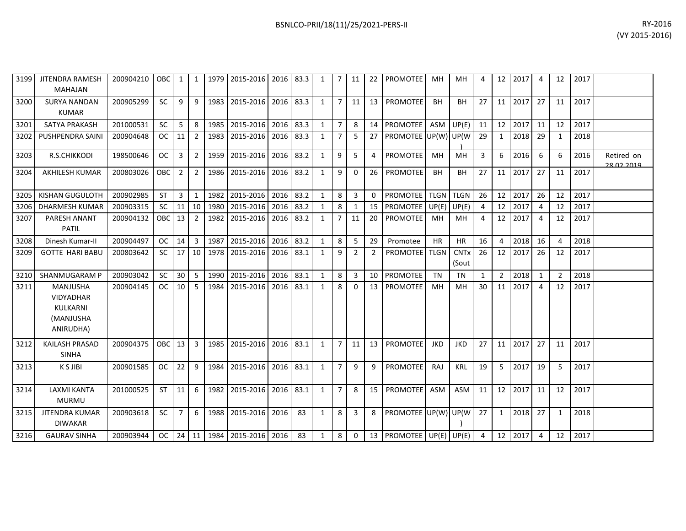| RY-2016        |
|----------------|
| (VY 2015-2016) |

| 3199 | <b>JITENDRA RAMESH</b><br><b>MAHAJAN</b>                           | 200904210 | <b>OBC</b>       | 1              | 1              | 1979 | 2015-2016 2016      |      | 83.3 | 1            | 7              | 11             | 22       | <b>PROMOTEE</b>           | MН          | MН                              | 4              |                 | 12 2017 | $\overline{4}$ | 12             | 2017 |                          |
|------|--------------------------------------------------------------------|-----------|------------------|----------------|----------------|------|---------------------|------|------|--------------|----------------|----------------|----------|---------------------------|-------------|---------------------------------|----------------|-----------------|---------|----------------|----------------|------|--------------------------|
| 3200 | <b>SURYA NANDAN</b><br><b>KUMAR</b>                                | 200905299 | <b>SC</b>        | 9              | 9              | 1983 | 2015-2016 2016 83.3 |      |      | $\mathbf{1}$ | $\overline{7}$ | 11             | 13       | <b>PROMOTEE</b>           | <b>BH</b>   | <b>BH</b>                       | 27             |                 | 11 2017 | 27             | 11             | 2017 |                          |
| 3201 | <b>SATYA PRAKASH</b>                                               | 201000531 | <b>SC</b>        | 5              | 8              | 1985 | 2015-2016           | 2016 | 83.3 | $\mathbf{1}$ | $\overline{7}$ | 8              |          | 14 PROMOTEE               | ASM         | UP(E)                           | 11             | 12              | 2017    | 11             | 12             | 2017 |                          |
| 3202 | <b>PUSHPENDRA SAINI</b>                                            | 200904648 | OC.              | 11             | $\overline{2}$ | 1983 | 2015-2016           | 2016 | 83.3 | 1            |                | -5             | 27       | PROMOTEE UP(W) UP(W)      |             |                                 | 29             | 1               | 2018    | 29             | 1              | 2018 |                          |
| 3203 | R.S.CHIKKODI                                                       | 198500646 | <sub>OC</sub>    | 3              | $\overline{2}$ |      | 1959 2015-2016      | 2016 | 83.2 | 1            | 9              | 5              | 4        | <b>PROMOTEE</b>           | <b>MH</b>   | <b>MH</b>                       | 3              | 6               | 2016    | 6              | 6              | 2016 | Retired on<br>28.02.2019 |
| 3204 | <b>AKHILESH KUMAR</b>                                              | 200803026 | OBC              | $\overline{2}$ | $\overline{2}$ | 1986 | 2015-2016           | 2016 | 83.2 | $\mathbf{1}$ | 9              | $\Omega$       | 26       | <b>PROMOTEE</b>           | <b>BH</b>   | BH                              | 27             |                 | 11 2017 | 27             | 11             | 2017 |                          |
| 3205 | <b>KISHAN GUGULOTH</b>                                             | 200902985 | <b>ST</b>        | 3              | $\mathbf{1}$   | 1982 | 2015-2016           | 2016 | 83.2 | $\mathbf{1}$ | 8              | 3              | $\Omega$ | PROMOTEE TLGN             |             | <b>TLGN</b>                     | 26             | 12              | 2017    | 26             | 12             | 2017 |                          |
| 3206 | <b>DHARMESH KUMAR</b>                                              | 200903315 | <b>SC</b>        | 11             | 10             | 1980 | 2015-2016           | 2016 | 83.2 | 1            | 8              | $\mathbf 1$    | 15       | <b>PROMOTEE</b>           | UP(E)       | UP(E)                           | 4              | 12              | 2017    | 4              | 12             | 2017 |                          |
| 3207 | PARESH ANANT<br><b>PATIL</b>                                       | 200904132 | <b>OBC</b>       | 13             | $\overline{2}$ | 1982 | 2015-2016           | 2016 | 83.2 | $\mathbf{1}$ | $\overline{7}$ | 11             | 20       | <b>PROMOTEE</b>           | MH          | <b>MH</b>                       | 4              | 12 <sup>1</sup> | 2017    | $\overline{4}$ | 12             | 2017 |                          |
| 3208 | Dinesh Kumar-II                                                    | 200904497 | <b>OC</b>        | 14             | $\overline{3}$ | 1987 | 2015-2016           | 2016 | 83.2 | 1            | 8              | 5              | 29       | Promotee                  | <b>HR</b>   | <b>HR</b>                       | 16             | $\overline{4}$  | 2018    | 16             | $\Delta$       | 2018 |                          |
| 3209 | <b>GOTTE HARI BABU</b>                                             | 200803642 | <b>SC</b>        | 17             | 10             | 1978 | 2015-2016           | 2016 | 83.1 | 1            | 9              | $\overline{2}$ | 2        | <b>PROMOTEE</b>           | <b>TLGN</b> | <b>CNT<sub>x</sub></b><br>(Sout | 26             | 12 <sup>1</sup> | 2017    | 26             | 12             | 2017 |                          |
| 3210 | <b>SHANMUGARAM P</b>                                               | 200903042 | <b>SC</b>        | 30             | 5              | 1990 | 2015-2016           | 2016 | 83.1 | $\mathbf{1}$ | 8              | 3              |          | 10 PROMOTEE               | <b>TN</b>   | <b>TN</b>                       | 1              | $\overline{2}$  | 2018    | 1              | $\overline{2}$ | 2018 |                          |
| 3211 | MANJUSHA<br><b>VIDYADHAR</b><br>KULKARNI<br>(MANJUSHA<br>ANIRUDHA) | 200904145 | <b>OC</b>        | 10             | 5              | 1984 | 2015-2016           | 2016 | 83.1 | $\mathbf{1}$ | 8              | $\Omega$       | 13       | PROMOTEE                  | MH          | MH                              | 30             |                 | 11 2017 | $\overline{4}$ | 12             | 2017 |                          |
| 3212 | <b>KAILASH PRASAD</b><br><b>SINHA</b>                              | 200904375 | OBC <sup>I</sup> | 13             | 3              | 1985 | 2015-2016           | 2016 | 83.1 | 1            | $\overline{7}$ | 11             | 13       | <b>PROMOTEE</b>           | <b>JKD</b>  | <b>JKD</b>                      | 27             |                 | 11 2017 | 27             | 11             | 2017 |                          |
| 3213 | K S JIBI                                                           | 200901585 | <b>OC</b>        | 22             | 9              | 1984 | 2015-2016           | 2016 | 83.1 | 1            | $\overline{7}$ | 9              | 9        | <b>PROMOTEE</b>           | RAJ         | <b>KRL</b>                      | 19             |                 | 5 2017  | 19             | 5              | 2017 |                          |
| 3214 | <b>LAXMI KANTA</b><br><b>MURMU</b>                                 | 201000525 | <b>ST</b>        | 11             | 6              | 1982 | 2015-2016           | 2016 | 83.1 | 1            | $\overline{7}$ | 8              | 15       | <b>PROMOTEE</b>           | ASM         | ASM                             | 11             |                 | 12 2017 | 11             | 12             | 2017 |                          |
| 3215 | <b>JITENDRA KUMAR</b><br><b>DIWAKAR</b>                            | 200903618 | <b>SC</b>        | $\overline{7}$ | 6              |      | 1988 2015-2016      | 2016 | 83   | $\mathbf{1}$ | 8              | $\overline{3}$ | 8        | PROMOTEE UP(W) UP(W)      |             |                                 | 27             | 1               | 2018    | 27             | 1              | 2018 |                          |
| 3216 | <b>GAURAV SINHA</b>                                                | 200903944 | OC.              | 24             | 11             |      | 1984 2015-2016      | 2016 | 83   | $\mathbf{1}$ | 8              | $\Omega$       |          | 13   PROMOTEE UP(E) UP(E) |             |                                 | $\overline{4}$ |                 | 12 2017 | 4              | 12             | 2017 |                          |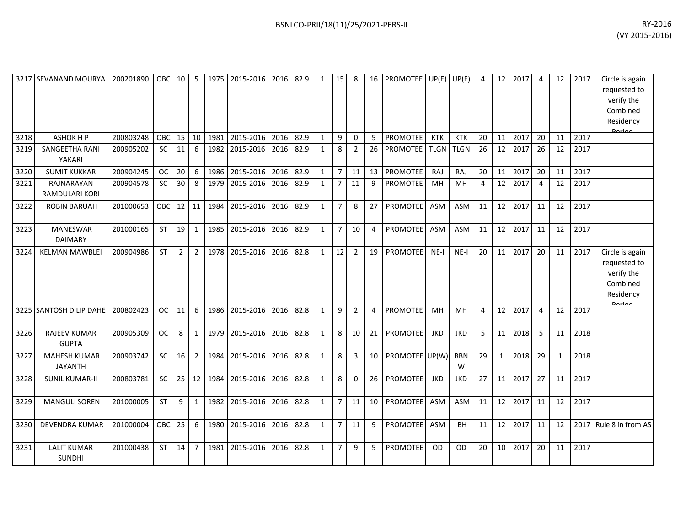| 3217 | <b>SEVANAND MOURYA</b>                | 200201890 | OBC I     | 10 <sup>1</sup> | -5             | 1975 | 2015-2016 | 2016 | 82.9 | $\mathbf{1}$ | 15             | 8              | 16             | PROMOTEE UP(E)  |             | UP(E)           | 4  | 12           | 2017 | 4  | 12 | 2017 | Circle is again<br>requested to<br>verify the<br>Combined<br>Residency<br><b>المعنوم</b> |
|------|---------------------------------------|-----------|-----------|-----------------|----------------|------|-----------|------|------|--------------|----------------|----------------|----------------|-----------------|-------------|-----------------|----|--------------|------|----|----|------|------------------------------------------------------------------------------------------|
| 3218 | <b>ASHOK H P</b>                      | 200803248 | OBC       | 15              | 10             | 1981 | 2015-2016 | 2016 | 82.9 | $\mathbf{1}$ | 9              | $\mathbf 0$    | 5              | PROMOTEE        | <b>KTK</b>  | <b>KTK</b>      | 20 | 11           | 2017 | 20 | 11 | 2017 |                                                                                          |
| 3219 | <b>SANGEETHA RANI</b><br>YAKARI       | 200905202 | <b>SC</b> | 11              | 6              | 1982 | 2015-2016 | 2016 | 82.9 | $\mathbf{1}$ | 8              | $\overline{2}$ | 26             | <b>PROMOTEE</b> | <b>TLGN</b> | <b>TLGN</b>     | 26 | 12           | 2017 | 26 | 12 | 2017 |                                                                                          |
| 3220 | <b>SUMIT KUKKAR</b>                   | 200904245 | <b>OC</b> | 20              | 6              | 1986 | 2015-2016 | 2016 | 82.9 | $\mathbf{1}$ | $\overline{7}$ | 11             | 13             | PROMOTEE        | RAJ         | RAJ             | 20 | 11           | 2017 | 20 | 11 | 2017 |                                                                                          |
| 3221 | RAJNARAYAN<br><b>RAMDULARI KORI</b>   | 200904578 | <b>SC</b> | 30              | 8              | 1979 | 2015-2016 | 2016 | 82.9 | $\mathbf{1}$ | $\overline{7}$ | 11             | 9              | PROMOTEE        | MH          | <b>MH</b>       | 4  | 12           | 2017 | 4  | 12 | 2017 |                                                                                          |
| 3222 | <b>ROBIN BARUAH</b>                   | 201000653 | OBC       | 12 <sup>1</sup> | 11             | 1984 | 2015-2016 | 2016 | 82.9 | $\mathbf{1}$ | $\overline{7}$ | 8              | 27             | PROMOTEE        | ASM         | <b>ASM</b>      | 11 | 12           | 2017 | 11 | 12 | 2017 |                                                                                          |
| 3223 | <b>MANESWAR</b><br><b>DAIMARY</b>     | 201000165 | <b>ST</b> | 19              | 1              | 1985 | 2015-2016 | 2016 | 82.9 | $\mathbf{1}$ | $\overline{7}$ | 10             | 4              | <b>PROMOTEE</b> | ASM         | ASM             | 11 | 12           | 2017 | 11 | 12 | 2017 |                                                                                          |
| 3224 | <b>KELMAN MAWBLEI</b>                 | 200904986 | <b>ST</b> | $\overline{2}$  | $\overline{2}$ | 1978 | 2015-2016 | 2016 | 82.8 | $\mathbf{1}$ | 12             | $\overline{2}$ | 19             | PROMOTEE        | $NE-I$      | $NE-I$          | 20 | 11           | 2017 | 20 | 11 | 2017 | Circle is again<br>requested to<br>verify the<br>Combined<br>Residency<br>لممنعمه        |
|      | 3225 SANTOSH DILIP DAHE               | 200802423 | <b>OC</b> | 11              | 6              | 1986 | 2015-2016 | 2016 | 82.8 | $\mathbf{1}$ | 9              | $\overline{2}$ | $\overline{4}$ | PROMOTEE        | <b>MH</b>   | <b>MH</b>       | 4  | 12           | 2017 | 4  | 12 | 2017 |                                                                                          |
| 3226 | <b>RAJEEV KUMAR</b><br><b>GUPTA</b>   | 200905309 | <b>OC</b> | 8               | $\mathbf{1}$   | 1979 | 2015-2016 | 2016 | 82.8 | $\mathbf{1}$ | 8              | 10             | 21             | PROMOTEE        | <b>JKD</b>  | <b>JKD</b>      | 5  | 11           | 2018 | 5  | 11 | 2018 |                                                                                          |
| 3227 | <b>MAHESH KUMAR</b><br><b>JAYANTH</b> | 200903742 | SC        | 16              | $\overline{2}$ | 1984 | 2015-2016 | 2016 | 82.8 | $\mathbf{1}$ | 8              | 3              | 10             | PROMOTEE UP(W)  |             | <b>BBN</b><br>W | 29 | $\mathbf{1}$ | 2018 | 29 | 1  | 2018 |                                                                                          |
| 3228 | <b>SUNIL KUMAR-II</b>                 | 200803781 | SC        | 25              | 12             | 1984 | 2015-2016 | 2016 | 82.8 | $\mathbf{1}$ | 8              | 0              | 26             | PROMOTEE        | <b>JKD</b>  | <b>JKD</b>      | 27 | 11           | 2017 | 27 | 11 | 2017 |                                                                                          |
| 3229 | <b>MANGULI SOREN</b>                  | 201000005 | <b>ST</b> | 9               | $\mathbf{1}$   | 1982 | 2015-2016 | 2016 | 82.8 | $\mathbf{1}$ | $\overline{7}$ | 11             | 10             | PROMOTEE        | ASM         | ASM             | 11 | 12           | 2017 | 11 | 12 | 2017 |                                                                                          |
| 3230 | <b>DEVENDRA KUMAR</b>                 | 201000004 | OBC       | 25              | 6              | 1980 | 2015-2016 | 2016 | 82.8 | $\mathbf{1}$ | $\overline{7}$ | 11             | 9              | <b>PROMOTEE</b> | ASM         | <b>BH</b>       | 11 | 12           | 2017 | 11 | 12 | 2017 | Rule 8 in from AS                                                                        |
| 3231 | <b>LALIT KUMAR</b><br><b>SUNDHI</b>   | 201000438 | <b>ST</b> | 14              | $\overline{7}$ | 1981 | 2015-2016 | 2016 | 82.8 | $\mathbf{1}$ | $\overline{7}$ | 9              | 5              | <b>PROMOTEE</b> | <b>OD</b>   | <b>OD</b>       | 20 | 10           | 2017 | 20 | 11 | 2017 |                                                                                          |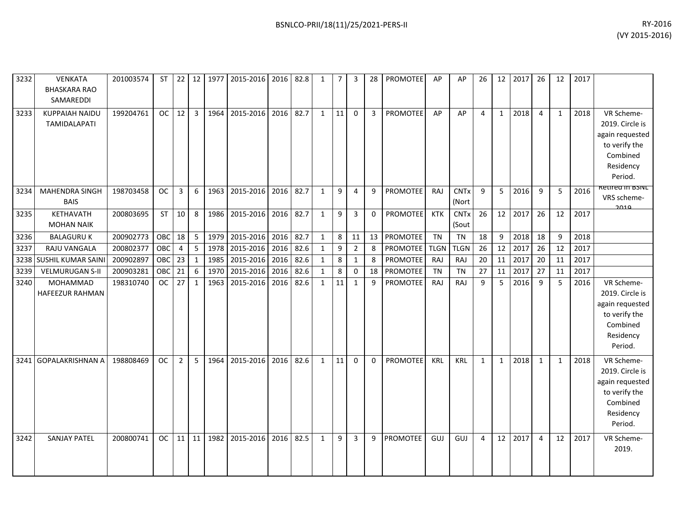| 3232 | <b>VENKATA</b><br><b>BHASKARA RAO</b><br>SAMAREDDI | 201003574 | <b>ST</b>       | 22             | 12             | 1977 | 2015-2016 2016 |      | 82.8 | $\mathbf{1}$ | $\overline{7}$ | 3              | 28           | PROMOTEE        | AP          | AP                   | 26             | 12           | 2017 | 26             | 12           | 2017 |                                                                                                       |
|------|----------------------------------------------------|-----------|-----------------|----------------|----------------|------|----------------|------|------|--------------|----------------|----------------|--------------|-----------------|-------------|----------------------|----------------|--------------|------|----------------|--------------|------|-------------------------------------------------------------------------------------------------------|
| 3233 | <b>KUPPAIAH NAIDU</b><br><b>TAMIDALAPATI</b>       | 199204761 | oc <sub>1</sub> | 12             | $\overline{3}$ | 1964 | 2015-2016 2016 |      | 82.7 | $\mathbf{1}$ | 11             | $\Omega$       | $\mathbf{3}$ | <b>PROMOTEE</b> | AP          | AP                   | $\overline{4}$ | $\mathbf{1}$ | 2018 | 4              | $\mathbf{1}$ | 2018 | VR Scheme-<br>2019. Circle is<br>again requested<br>to verify the<br>Combined<br>Residency<br>Period. |
| 3234 | MAHENDRA SINGH<br><b>BAIS</b>                      | 198703458 | <b>OC</b>       | 3              | 6              | 1963 | 2015-2016 2016 |      | 82.7 | $\mathbf{1}$ | 9              | 4              | 9            | PROMOTEE        | <b>RAJ</b>  | <b>CNTx</b><br>(Nort | 9              | 5            | 2016 | 9              | 5            | 2016 | ketired in BSNL<br>VRS scheme-<br>2010                                                                |
| 3235 | <b>KETHAVATH</b><br><b>MOHAN NAIK</b>              | 200803695 | ST              | 10             | 8              | 1986 | 2015-2016 2016 |      | 82.7 | $\mathbf{1}$ | 9              | 3              | 0            | <b>PROMOTEE</b> | KTK         | <b>CNTx</b><br>(Sout | 26             | 12           | 2017 | 26             | 12           | 2017 |                                                                                                       |
| 3236 | <b>BALAGURUK</b>                                   | 200902773 | OBC             | 18             | -5             | 1979 | 2015-2016 2016 |      | 82.7 | $\mathbf{1}$ | 8              | 11             | 13           | <b>PROMOTEE</b> | TN          | <b>TN</b>            | 18             | 9            | 2018 | 18             | 9            | 2018 |                                                                                                       |
| 3237 | RAJU VANGALA                                       | 200802377 | OBC             | $\overline{4}$ | 5              | 1978 | 2015-2016 2016 |      | 82.6 | $\mathbf{1}$ | 9              | $\overline{2}$ | 8            | <b>PROMOTEE</b> | <b>TLGN</b> | <b>TLGN</b>          | 26             | 12           | 2017 | 26             | 12           | 2017 |                                                                                                       |
| 3238 | SUSHIL KUMAR SAINI                                 | 200902897 | OBC             | 23             | $\mathbf{1}$   | 1985 | 2015-2016 2016 |      | 82.6 | $\mathbf{1}$ | 8              | $\mathbf{1}$   | 8            | <b>PROMOTEE</b> | RAJ         | <b>RAJ</b>           | 20             | 11           | 2017 | 20             | 11           | 2017 |                                                                                                       |
| 3239 | <b>VELMURUGAN S-II</b>                             | 200903281 | OBC             | 21             | 6              | 1970 | 2015-2016 2016 |      | 82.6 | $\mathbf{1}$ | 8              | 0              | 18           | PROMOTEE        | <b>TN</b>   | <b>TN</b>            | 27             | 11           | 2017 | 27             | 11           | 2017 |                                                                                                       |
| 3240 | MOHAMMAD<br><b>HAFEEZUR RAHMAN</b>                 | 198310740 | <b>OC</b>       | 27             | $\mathbf{1}$   | 1963 | 2015-2016      | 2016 | 82.6 | 1            | 11             | $\mathbf{1}$   | 9            | PROMOTEE        | RAJ         | RAJ                  | 9              | 5            | 2016 | 9              | 5            | 2016 | VR Scheme-<br>2019. Circle is<br>again requested<br>to verify the<br>Combined<br>Residency<br>Period. |
| 3241 | <b>GOPALAKRISHNAN A</b>                            | 198808469 | OC              | $\overline{2}$ | 5              | 1964 | 2015-2016      | 2016 | 82.6 | $\mathbf{1}$ | 11             | $\mathbf 0$    | $\mathbf 0$  | PROMOTEE        | <b>KRL</b>  | <b>KRL</b>           | $\mathbf{1}$   | $\mathbf{1}$ | 2018 | $\mathbf{1}$   | $\mathbf{1}$ | 2018 | VR Scheme-<br>2019. Circle is<br>again requested<br>to verify the<br>Combined<br>Residency<br>Period. |
| 3242 | <b>SANJAY PATEL</b>                                | 200800741 | <b>OC</b>       | 11             | 11             | 1982 | 2015-2016      | 2016 | 82.5 | $\mathbf{1}$ | 9              | $\mathbf{3}$   | 9            | <b>PROMOTEE</b> | GUJ         | GUJ                  | 4              | 12           | 2017 | $\overline{4}$ | 12           | 2017 | VR Scheme-<br>2019.                                                                                   |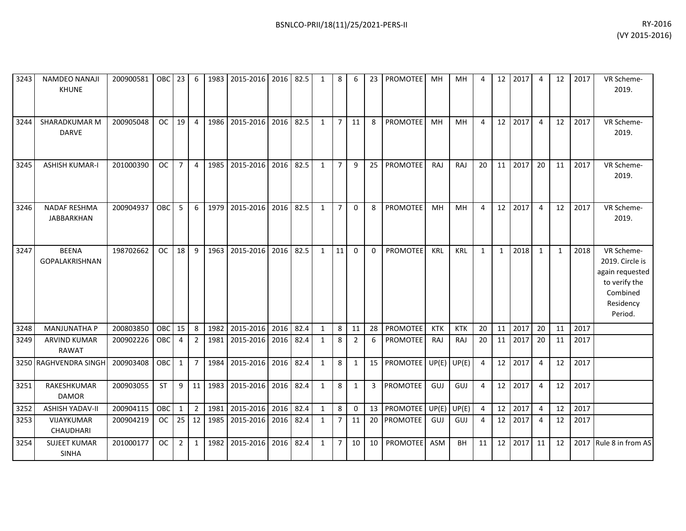| 3243 | <b>NAMDEO NANAJI</b><br><b>KHUNE</b> | 200900581 | OBC        | 23             | 6              | 1983 | 2015-2016      | 2016      | 82.5      | $\mathbf{1}$ | 8              | 6           | 23           | <b>PROMOTEE</b> | MH         | <b>MH</b>     | 4              | 12           | 2017 | $\boldsymbol{\Delta}$ | 12           | 2017 | VR Scheme-<br>2019.                                                                                   |
|------|--------------------------------------|-----------|------------|----------------|----------------|------|----------------|-----------|-----------|--------------|----------------|-------------|--------------|-----------------|------------|---------------|----------------|--------------|------|-----------------------|--------------|------|-------------------------------------------------------------------------------------------------------|
| 3244 | SHARADKUMAR M<br><b>DARVE</b>        | 200905048 | <b>OC</b>  | 19             | $\overline{4}$ | 1986 | 2015-2016      | 2016      | 82.5      | $\mathbf{1}$ | $\overline{7}$ | 11          | 8            | <b>PROMOTEE</b> | MH         | MH            | 4              | 12           | 2017 | $\overline{4}$        | 12           | 2017 | VR Scheme-<br>2019.                                                                                   |
| 3245 | <b>ASHISH KUMAR-I</b>                | 201000390 | <b>OC</b>  | $\overline{7}$ | $\overline{4}$ | 1985 | 2015-2016      | 2016      | 82.5      | $\mathbf{1}$ | $\overline{7}$ | 9           | 25           | PROMOTEE        | RAJ        | RAJ           | 20             | 11           | 2017 | 20                    | 11           | 2017 | VR Scheme-<br>2019.                                                                                   |
| 3246 | <b>NADAF RESHMA</b><br>JABBARKHAN    | 200904937 | <b>OBC</b> | 5              | 6              | 1979 | 2015-2016      | 2016      | 82.5      | $\mathbf{1}$ | $\overline{7}$ | $\mathbf 0$ | 8            | PROMOTEE        | MH         | <b>MH</b>     | 4              | 12           | 2017 | 4                     | 12           | 2017 | VR Scheme-<br>2019.                                                                                   |
| 3247 | <b>BEENA</b><br>GOPALAKRISHNAN       | 198702662 | <b>OC</b>  | 18             | 9              | 1963 | 2015-2016      | 2016      | 82.5      | $\mathbf{1}$ | 11             | $\Omega$    | $\mathbf 0$  | PROMOTEE        | <b>KRL</b> | <b>KRL</b>    | $\mathbf{1}$   | $\mathbf{1}$ | 2018 | 1                     | $\mathbf{1}$ | 2018 | VR Scheme-<br>2019. Circle is<br>again requested<br>to verify the<br>Combined<br>Residency<br>Period. |
| 3248 | <b>MANJUNATHA P</b>                  | 200803850 | OBC        | 15             | 8              | 1982 | 2015-2016      | 2016      | 82.4      | $\mathbf{1}$ | 8              | 11          | 28           | PROMOTEE        | <b>KTK</b> | <b>KTK</b>    | 20             | 11           | 2017 | 20                    | 11           | 2017 |                                                                                                       |
| 3249 | <b>ARVIND KUMAR</b><br><b>RAWAT</b>  | 200902226 | OBC        | 4              | $\overline{2}$ | 1981 | 2015-2016      | 2016      | 82.4      | $\mathbf{1}$ | 8              | 2           | 6            | PROMOTEE        | RAJ        | RAJ           | 20             | 11           | 2017 | 20                    | 11           | 2017 |                                                                                                       |
|      | 3250 RAGHVENDRA SINGH                | 200903408 | <b>OBC</b> | $\mathbf{1}$   | $\overline{7}$ | 1984 | 2015-2016      |           | 2016 82.4 | $\mathbf{1}$ | 8              | 1           | 15           | <b>PROMOTEE</b> |            | $UP(E)$ UP(E) | 4              | 12           | 2017 | 4                     | 12           | 2017 |                                                                                                       |
| 3251 | RAKESHKUMAR<br><b>DAMOR</b>          | 200903055 | <b>ST</b>  | 9              | 11             | 1983 | 2015-2016      | 2016 82.4 |           | $\mathbf{1}$ | 8              | 1           | $\mathbf{3}$ | <b>PROMOTEE</b> | GUJ        | GUJ           | 4              | 12           | 2017 | 4                     | 12           | 2017 |                                                                                                       |
| 3252 | <b>ASHISH YADAV-II</b>               | 200904115 | OBC        | $\mathbf{1}$   | $\overline{2}$ | 1981 | 2015-2016 2016 |           | 82.4      | $\mathbf{1}$ | 8              | 0           | 13           | <b>PROMOTEE</b> |            | $UP(E)$ UP(E) | $\overline{4}$ | 12           | 2017 | 4                     | 12           | 2017 |                                                                                                       |
| 3253 | VIJAYKUMAR<br>CHAUDHARI              | 200904219 | <b>OC</b>  | 25             | 12             | 1985 | 2015-2016      | 2016      | 82.4      | $\mathbf{1}$ | $\overline{7}$ | 11          | 20           | <b>PROMOTEE</b> | <b>GUJ</b> | GUJ           | 4              | 12           | 2017 | -4                    | 12           | 2017 |                                                                                                       |
| 3254 | <b>SUJEET KUMAR</b><br><b>SINHA</b>  | 201000177 | <b>OC</b>  | 2              | $\mathbf{1}$   | 1982 | 2015-2016      | 2016      | 82.4      | $\mathbf{1}$ | $\overline{7}$ | 10          | 10           | PROMOTEE        | ASM        | BH            | 11             | 12           | 2017 | 11                    | 12           |      | 2017 Rule 8 in from AS                                                                                |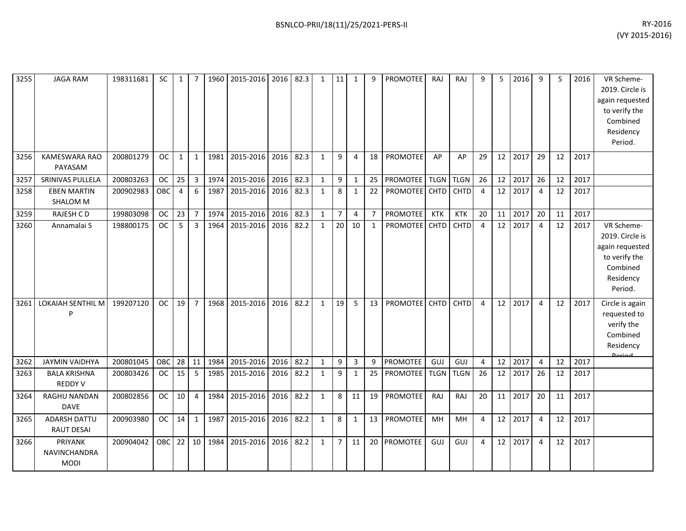| 3255 | <b>JAGA RAM</b>                          | 198311681 | SC.        | 1              | $\overline{7}$ | 1960       | 2015-2016 2016 82.3 |      |      | $\mathbf{1}$ | 11             | 1              | 9              | <b>PROMOTEE</b> | <b>RAJ</b>  | RAJ         | q              | 5  | 2016 | 9              | 5  | 2016 | VR Scheme-<br>2019. Circle is<br>again requested<br>to verify the<br>Combined<br>Residency<br>Period. |
|------|------------------------------------------|-----------|------------|----------------|----------------|------------|---------------------|------|------|--------------|----------------|----------------|----------------|-----------------|-------------|-------------|----------------|----|------|----------------|----|------|-------------------------------------------------------------------------------------------------------|
| 3256 | <b>KAMESWARA RAO</b><br>PAYASAM          | 200801279 | OC         | $\mathbf{1}$   | $\mathbf{1}$   | 1981       | 2015-2016           | 2016 | 82.3 | $\mathbf{1}$ | 9              | $\overline{4}$ | 18             | PROMOTEE        | AP          | AP          | 29             | 12 | 2017 | 29             | 12 | 2017 |                                                                                                       |
| 3257 | SRINIVAS PULLELA                         | 200803263 | <b>OC</b>  | 25             | $\overline{3}$ | 1974       | 2015-2016 2016      |      | 82.3 | $\mathbf{1}$ | 9              | $\mathbf{1}$   | 25             | PROMOTEE TLGN   |             | <b>TLGN</b> | 26             | 12 | 2017 | 26             | 12 | 2017 |                                                                                                       |
| 3258 | <b>EBEN MARTIN</b><br><b>SHALOM M</b>    | 200902983 | OBC        | $\overline{4}$ | 6              | 1987       | 2015-2016           | 2016 | 82.3 | $\mathbf{1}$ | 8              | 1              | 22             | <b>PROMOTEE</b> | <b>CHTD</b> | <b>CHTD</b> | $\overline{4}$ | 12 | 2017 | 4              | 12 | 2017 |                                                                                                       |
| 3259 | <b>RAJESH CD</b>                         | 199803098 | <b>OC</b>  | 23             | $\overline{7}$ | 1974       | 2015-2016           | 2016 | 82.3 | $\mathbf{1}$ | $\overline{7}$ | $\overline{4}$ | $\overline{7}$ | PROMOTEE        | <b>KTK</b>  | <b>KTK</b>  | 20             | 11 | 2017 | 20             | 11 | 2017 |                                                                                                       |
| 3260 | Annamalai S                              | 198800175 | <b>OC</b>  | 5              | $\overline{3}$ | 1964       | 2015-2016           | 2016 | 82.2 | $\mathbf{1}$ | 20             | 10             | $\mathbf{1}$   | PROMOTEE        | <b>CHTD</b> | CHTD        | $\overline{4}$ | 12 | 2017 | $\overline{4}$ | 12 | 2017 | VR Scheme-<br>2019. Circle is<br>again requested<br>to verify the<br>Combined<br>Residency<br>Period. |
| 3261 | <b>LOKAIAH SENTHIL M</b><br>P            | 199207120 | <b>OC</b>  | 19             | $\overline{7}$ | 1968       | 2015-2016           | 2016 | 82.2 | $\mathbf{1}$ | 19             | 5              | 13             | <b>PROMOTEE</b> | <b>CHTD</b> | <b>CHTD</b> | 4              | 12 | 2017 | 4              | 12 | 2017 | Circle is again<br>requested to<br>verify the<br>Combined<br>Residency                                |
| 3262 | <b>JAYMIN VAIDHYA</b>                    | 200801045 | OBC        | 28             | 11             | 1984       | 2015-2016           | 2016 | 82.2 | $\mathbf{1}$ | 9              | $\mathbf{3}$   | 9              | <b>PROMOTEE</b> | GUJ         | GUJ         | 4              | 12 | 2017 | $\overline{4}$ | 12 | 2017 |                                                                                                       |
| 3263 | <b>BALA KRISHNA</b><br><b>REDDY V</b>    | 200803426 | <b>OC</b>  | 15             | 5              | 1985       | 2015-2016           | 2016 | 82.2 | $\mathbf{1}$ | 9              | $\mathbf{1}$   | 25             | <b>PROMOTEE</b> | <b>TLGN</b> | <b>TLGN</b> | 26             | 12 | 2017 | 26             | 12 | 2017 |                                                                                                       |
| 3264 | RAGHU NANDAN<br><b>DAVE</b>              | 200802856 | OC         | 10             | $\overline{4}$ | 1984       | 2015-2016           | 2016 | 82.2 | $\mathbf{1}$ | 8              | 11             | 19             | PROMOTEE        | RAJ         | RAJ         | 20             | 11 | 2017 | 20             | 11 | 2017 |                                                                                                       |
| 3265 | <b>ADARSH DATTU</b><br><b>RAUT DESAI</b> | 200903980 | <b>OC</b>  | 14             | $\mathbf{1}$   | 1987       | 2015-2016           | 2016 | 82.2 | $\mathbf{1}$ | 8              | 1              | 13             | PROMOTEE        | MH          | MH          | 4              | 12 | 2017 | 4              | 12 | 2017 |                                                                                                       |
| 3266 | PRIYANK<br>NAVINCHANDRA<br><b>MODI</b>   | 200904042 | <b>OBC</b> |                |                | 22 10 1984 | 2015-2016 2016      |      | 82.2 | $\mathbf{1}$ | $\overline{7}$ | 11             | 20             | <b>PROMOTEE</b> | GUJ         | GUJ         | 4              | 12 | 2017 | $\overline{4}$ | 12 | 2017 |                                                                                                       |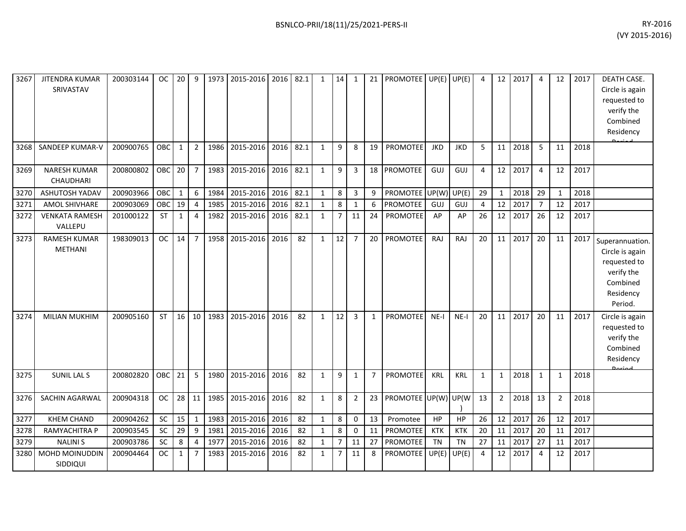| 3267 | <b>JITENDRA KUMAR</b><br>SRIVASTAV    | 200303144 | OC.       | 20           | 9              | 1973 | 2015-2016      |      | 2016 82.1 | $\mathbf{1}$ | 14             | 1              | 21             | PROMOTEE UP(E) UP(E) |            |            | 4            | 12             | 2017 | $\overline{4}$ | 12             | 2017 | DEATH CASE.<br>Circle is again<br>requested to<br>verify the<br>Combined<br>Residency                |
|------|---------------------------------------|-----------|-----------|--------------|----------------|------|----------------|------|-----------|--------------|----------------|----------------|----------------|----------------------|------------|------------|--------------|----------------|------|----------------|----------------|------|------------------------------------------------------------------------------------------------------|
| 3268 | SANDEEP KUMAR-V                       | 200900765 | OBC       | $\mathbf{1}$ | $\overline{2}$ | 1986 | 2015-2016      | 2016 | 82.1      | $\mathbf{1}$ | 9              | 8              | 19             | PROMOTEE             | <b>JKD</b> | <b>JKD</b> | 5            | 11             | 2018 | 5              | 11             | 2018 |                                                                                                      |
| 3269 | <b>NARESH KUMAR</b><br>CHAUDHARI      | 200800802 | OBC       | 20           | $\overline{7}$ | 1983 | 2015-2016 2016 |      | 82.1      | $\mathbf{1}$ | 9              | 3              | 18             | <b>PROMOTEE</b>      | GUJ        | GUJ        | 4            | 12             | 2017 | 4              | 12             | 2017 |                                                                                                      |
| 3270 | <b>ASHUTOSH YADAV</b>                 | 200903966 | OBC       | $\mathbf{1}$ | 6              | 1984 | 2015-2016      | 2016 | 82.1      | $\mathbf{1}$ | 8              | 3              | 9              | PROMOTEE             | UP(W)      | UP(E)      | 29           | $\mathbf{1}$   | 2018 | 29             | $\mathbf{1}$   | 2018 |                                                                                                      |
| 3271 | AMOL SHIVHARE                         | 200903069 | OBC       | 19           | $\overline{4}$ | 1985 | 2015-2016      | 2016 | 82.1      | $\mathbf{1}$ | 8              | $\mathbf{1}$   | 6              | PROMOTEE             | GUJ        | <b>GUJ</b> | 4            | 12             | 2017 | $\overline{7}$ | 12             | 2017 |                                                                                                      |
| 3272 | <b>VENKATA RAMESH</b><br>VALLEPU      | 201000122 | <b>ST</b> | $\mathbf{1}$ | $\overline{4}$ | 1982 | 2015-2016      | 2016 | 82.1      | $\mathbf{1}$ | $\overline{7}$ | 11             | 24             | <b>PROMOTEE</b>      | AP         | AP         | 26           | 12             | 2017 | 26             | 12             | 2017 |                                                                                                      |
| 3273 | <b>RAMESH KUMAR</b><br><b>METHANI</b> | 198309013 | <b>OC</b> | 14           | $\overline{7}$ | 1958 | 2015-2016      | 2016 | 82        | $\mathbf{1}$ | 12             | $\overline{7}$ | 20             | PROMOTEE             | <b>RAJ</b> | <b>RAJ</b> | 20           | 11             | 2017 | 20             | 11             | 2017 | Superannuation.<br>Circle is again<br>requested to<br>verify the<br>Combined<br>Residency<br>Period. |
| 3274 | <b>MILIAN MUKHIM</b>                  | 200905160 | <b>ST</b> | 16           | 10             | 1983 | 2015-2016      | 2016 | 82        | $\mathbf{1}$ | 12             | $\overline{3}$ | $\mathbf{1}$   | <b>PROMOTEE</b>      | $NE-I$     | $NE-I$     | 20           | 11             | 2017 | 20             | 11             | 2017 | Circle is again<br>requested to<br>verify the<br>Combined<br>Residency<br>لمهنعها                    |
| 3275 | <b>SUNIL LAL S</b>                    | 200802820 | OBC       | 21           | 5              | 1980 | 2015-2016      | 2016 | 82        | $\mathbf{1}$ | 9              | 1              | $\overline{7}$ | <b>PROMOTEE</b>      | <b>KRL</b> | <b>KRL</b> | $\mathbf{1}$ | 1              | 2018 | 1              | $\mathbf{1}$   | 2018 |                                                                                                      |
| 3276 | SACHIN AGARWAL                        | 200904318 | <b>OC</b> | 28           | 11             | 1985 | 2015-2016      | 2016 | 82        | $\mathbf{1}$ | 8              | $\overline{2}$ | 23             | PROMOTEE UP(W) UP(W  |            |            | 13           | $\overline{2}$ | 2018 | 13             | $\overline{2}$ | 2018 |                                                                                                      |
| 3277 | <b>KHEM CHAND</b>                     | 200904262 | SC        | 15           | $\mathbf{1}$   | 1983 | 2015-2016      | 2016 | 82        | $\mathbf{1}$ | 8              | $\mathbf 0$    | 13             | Promotee             | HP         | <b>HP</b>  | 26           | 12             | 2017 | 26             | 12             | 2017 |                                                                                                      |
| 3278 | RAMYACHITRA P                         | 200903545 | SC        | 29           | 9              | 1981 | 2015-2016      | 2016 | 82        | $\mathbf{1}$ | 8              | 0              | 11             | PROMOTEE             | <b>KTK</b> | <b>KTK</b> | 20           | 11             | 2017 | 20             | 11             | 2017 |                                                                                                      |
| 3279 | <b>NALINIS</b>                        | 200903786 | SC        | 8            | $\overline{4}$ | 1977 | 2015-2016      | 2016 | 82        | $\mathbf{1}$ | $\overline{7}$ | 11             | 27             | PROMOTEE             | <b>TN</b>  | TN         | 27           | 11             | 2017 | 27             | 11             | 2017 |                                                                                                      |
| 3280 | <b>MOHD MOINUDDIN</b><br>SIDDIQUI     | 200904464 | <b>OC</b> | $\mathbf{1}$ | $\overline{7}$ | 1983 | 2015-2016      | 2016 | 82        | $\mathbf{1}$ | $\overline{7}$ | 11             | 8              | PROMOTEE             | UP(E)      | UP(E)      | 4            | 12             | 2017 | 4              | 12             | 2017 |                                                                                                      |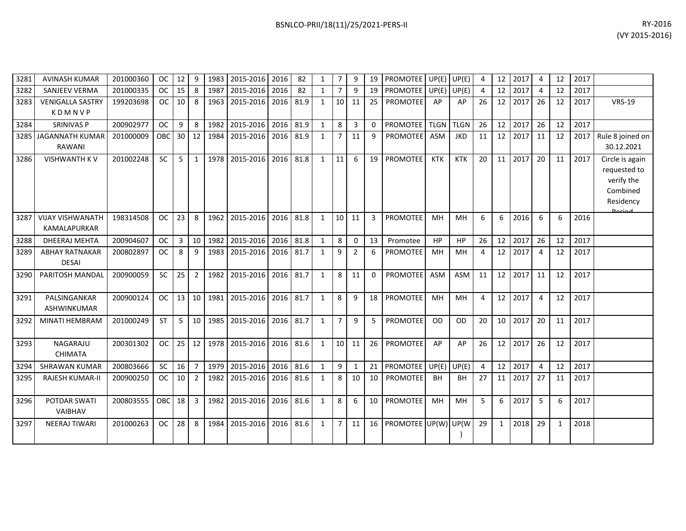| 3281 | <b>AVINASH KUMAR</b>                           | 201000360 | <b>OC</b>  | 12 | 9              | 1983 | 2015-2016 2016 |      | 82   | $\mathbf{1}$ | $\overline{7}$ | 9              | 19       | <b>PROMOTEE</b>      |             | $UP(E)$ UP $(E)$ |    | 12              | 2017 |                       | 12           | 2017 |                                                                                          |
|------|------------------------------------------------|-----------|------------|----|----------------|------|----------------|------|------|--------------|----------------|----------------|----------|----------------------|-------------|------------------|----|-----------------|------|-----------------------|--------------|------|------------------------------------------------------------------------------------------|
| 3282 | <b>SANJEEV VERMA</b>                           | 201000335 | <b>OC</b>  | 15 | 8              | 1987 | 2015-2016      | 2016 | 82   | $\mathbf{1}$ | $\overline{7}$ | 9              | 19       | <b>PROMOTEE</b>      |             | $UP(E)$ UP(E)    | 4  | 12              | 2017 | $\boldsymbol{\Delta}$ | 12           | 2017 |                                                                                          |
| 3283 | <b>VENIGALLA SASTRY</b><br>KDMNVP              | 199203698 | <b>OC</b>  | 10 | 8              | 1963 | 2015-2016      | 2016 | 81.9 | $\mathbf{1}$ | 10             | 11             | 25       | <b>PROMOTEE</b>      | AP          | AP               | 26 | 12              | 2017 | 26                    | 12           | 2017 | <b>VRS-19</b>                                                                            |
| 3284 | <b>SRINIVAS P</b>                              | 200902977 | <b>OC</b>  | 9  | 8              | 1982 | 2015-2016 2016 |      | 81.9 | $\mathbf{1}$ | 8              | $\overline{3}$ | $\Omega$ | <b>PROMOTEE</b>      | <b>TLGN</b> | <b>TLGN</b>      | 26 | 12              | 2017 | 26                    | 12           | 2017 |                                                                                          |
|      | 3285 JAGANNATH KUMAR<br>RAWANI                 | 201000009 | <b>OBC</b> | 30 | 12             | 1984 | 2015-2016      | 2016 | 81.9 | $\mathbf{1}$ | $\overline{7}$ | 11             | 9        | <b>PROMOTEE</b>      | <b>ASM</b>  | <b>JKD</b>       | 11 | 12              | 2017 | 11                    | 12           | 2017 | Rule 8 joined on<br>30.12.2021                                                           |
| 3286 | <b>VISHWANTH KV</b>                            | 201002248 | <b>SC</b>  | 5  | 1              | 1978 | 2015-2016      | 2016 | 81.8 | $\mathbf{1}$ | 11             | 6              | 19       | PROMOTEE             | <b>KTK</b>  | <b>KTK</b>       | 20 | 11              | 2017 | 20                    | 11           | 2017 | Circle is again<br>requested to<br>verify the<br>Combined<br>Residency<br><b>Dorigal</b> |
| 3287 | <b>VIJAY VISHWANATH</b><br><b>KAMALAPURKAR</b> | 198314508 | <b>OC</b>  | 23 | 8              | 1962 | 2015-2016      | 2016 | 81.8 | $\mathbf{1}$ | 10             | 11             | 3        | PROMOTEE             | MH          | MH               | 6  | 6               | 2016 | 6                     | 6            | 2016 |                                                                                          |
| 3288 | DHEERAJ MEHTA                                  | 200904607 | <b>OC</b>  | 3  | 10             | 1982 | 2015-2016 2016 |      | 81.8 | $\mathbf{1}$ | 8              | $\Omega$       | 13       | Promotee             | HP          | <b>HP</b>        | 26 | 12              | 2017 | 26                    | 12           | 2017 |                                                                                          |
| 3289 | <b>ABHAY RATNAKAR</b><br><b>DESAI</b>          | 200802897 | <b>OC</b>  | 8  | 9              | 1983 | 2015-2016 2016 |      | 81.7 | $\mathbf{1}$ | 9              | 2              | 6        | <b>PROMOTEE</b>      | MH          | MH               | 4  | 12              | 2017 | $\overline{4}$        | 12           | 2017 |                                                                                          |
| 3290 | PARITOSH MANDAL                                | 200900059 | <b>SC</b>  | 25 | $\overline{2}$ | 1982 | 2015-2016      | 2016 | 81.7 | $\mathbf{1}$ | 8              | 11             | $\Omega$ | <b>PROMOTEE</b>      | ASM         | <b>ASM</b>       | 11 | 12              | 2017 | 11                    | 12           | 2017 |                                                                                          |
| 3291 | PALSINGANKAR<br>ASHWINKUMAR                    | 200900124 | <b>OC</b>  | 13 | 10             | 1981 | 2015-2016 2016 |      | 81.7 | $\mathbf{1}$ | 8              | 9              | 18       | PROMOTEE             | <b>MH</b>   | MH               | 4  | 12 <sup>1</sup> | 2017 | $\overline{4}$        | 12           | 2017 |                                                                                          |
| 3292 | <b>MINATI HEMBRAM</b>                          | 201000249 | <b>ST</b>  | 5  | 10             | 1985 | 2015-2016 2016 |      | 81.7 | $\mathbf{1}$ | $\overline{7}$ | 9              | 5        | PROMOTEE             | <b>OD</b>   | <b>OD</b>        | 20 | 10              | 2017 | 20                    | 11           | 2017 |                                                                                          |
| 3293 | NAGARAJU<br><b>CHIMATA</b>                     | 200301302 | <b>OC</b>  | 25 | 12             | 1978 | 2015-2016      | 2016 | 81.6 | $\mathbf{1}$ | 10             | 11             | 26       | <b>PROMOTEE</b>      | AP          | AP               | 26 | 12              | 2017 | 26                    | 12           | 2017 |                                                                                          |
| 3294 | <b>SHRAWAN KUMAR</b>                           | 200803666 | <b>SC</b>  | 16 | $\overline{7}$ | 1979 | 2015-2016      | 2016 | 81.6 | $\mathbf{1}$ | 9              | 1              | 21       | <b>PROMOTEE</b>      | UP(E)       | UP(E)            | 4  | 12              | 2017 | $\overline{a}$        | 12           | 2017 |                                                                                          |
| 3295 | <b>RAJESH KUMAR-II</b>                         | 200900250 | <b>OC</b>  | 10 | $\overline{2}$ | 1982 | 2015-2016      | 2016 | 81.6 | $\mathbf{1}$ | 8              | 10             | 10       | PROMOTEE             | <b>BH</b>   | <b>BH</b>        | 27 | 11              | 2017 | 27                    | 11           | 2017 |                                                                                          |
| 3296 | POTDAR SWATI<br>VAIBHAV                        | 200803555 | OBC        | 18 | $\overline{3}$ | 1982 | 2015-2016      | 2016 | 81.6 | $\mathbf{1}$ | 8              | 6              | 10       | <b>PROMOTEE</b>      | <b>MH</b>   | MH               | 5  | 6               | 2017 | 5                     | 6            | 2017 |                                                                                          |
| 3297 | <b>NEERAJ TIWARI</b>                           | 201000263 | <b>OC</b>  | 28 | 8              | 1984 | 2015-2016      | 2016 | 81.6 | $\mathbf{1}$ | $\overline{7}$ | 11             | 16       | PROMOTEE UP(W) UP(W) |             |                  | 29 | $\mathbf{1}$    | 2018 | 29                    | $\mathbf{1}$ | 2018 |                                                                                          |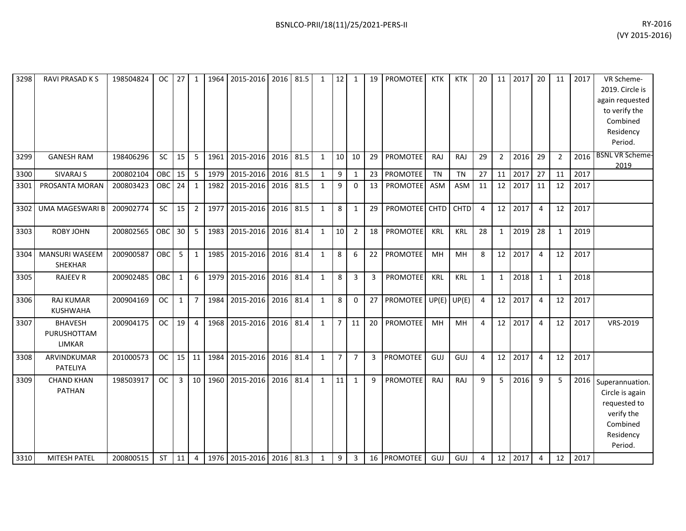| 3298 | <b>RAVI PRASAD KS</b>                   | 198504824 | <b>OC</b>  | 27             | $\mathbf{1}$   | 1964 | 2015-2016 2016 |      | 81.5 | $\mathbf{1}$ | 12             | 1              | 19 | PROMOTEE        | <b>KTK</b> | <b>KTK</b>    | 20 | 11             | 2017    | 20             | 11           | 2017 | VR Scheme-<br>2019. Circle is<br>again requested<br>to verify the<br>Combined<br>Residency<br>Period. |
|------|-----------------------------------------|-----------|------------|----------------|----------------|------|----------------|------|------|--------------|----------------|----------------|----|-----------------|------------|---------------|----|----------------|---------|----------------|--------------|------|-------------------------------------------------------------------------------------------------------|
| 3299 | <b>GANESH RAM</b>                       | 198406296 | SC         | 15             | 5              | 1961 | 2015-2016 2016 |      | 81.5 | $\mathbf{1}$ | 10             | 10             | 29 | <b>PROMOTEE</b> | RAJ        | RAJ           | 29 | $\overline{2}$ | 2016    | 29             | 2            | 2016 | <b>BSNL VR Scheme-</b><br>2019                                                                        |
| 3300 | <b>SIVARAJ S</b>                        | 200802104 | OBC        | 15             | 5              | 1979 | 2015-2016 2016 |      | 81.5 | $\mathbf{1}$ | 9              | 1              | 23 | PROMOTEE        | <b>TN</b>  | <b>TN</b>     | 27 | 11             | 2017    | 27             | 11           | 2017 |                                                                                                       |
| 3301 | PROSANTA MORAN                          | 200803423 | OBC        | 24             | $\mathbf{1}$   | 1982 | 2015-2016      | 2016 | 81.5 | $\mathbf{1}$ | 9              | $\Omega$       | 13 | <b>PROMOTEE</b> | <b>ASM</b> | <b>ASM</b>    | 11 | 12             | 2017    | 11             | 12           | 2017 |                                                                                                       |
| 3302 | <b>UMA MAGESWARI B</b>                  | 200902774 | SC         | 15             | $\overline{2}$ | 1977 | 2015-2016 2016 |      | 81.5 | $\mathbf{1}$ | 8              | 1              | 29 | PROMOTEE CHTD   |            | <b>CHTD</b>   | 4  |                | 12 2017 | $\overline{4}$ | 12           | 2017 |                                                                                                       |
| 3303 | <b>ROBY JOHN</b>                        | 200802565 | OBC        | 30             | 5              | 1983 | 2015-2016 2016 |      | 81.4 | $\mathbf{1}$ | 10             | $\overline{2}$ | 18 | <b>PROMOTEE</b> | <b>KRL</b> | <b>KRL</b>    | 28 | $\mathbf{1}$   | 2019    | 28             | 1            | 2019 |                                                                                                       |
| 3304 | <b>MANSURI WASEEM</b><br><b>SHEKHAR</b> | 200900587 | <b>OBC</b> | 5              | $\mathbf{1}$   | 1985 | 2015-2016      | 2016 | 81.4 | $\mathbf{1}$ | 8              | 6              | 22 | PROMOTEE        | MH         | MH            | 8  | 12             | 2017    | $\overline{4}$ | 12           | 2017 |                                                                                                       |
| 3305 | <b>RAJEEV R</b>                         | 200902485 | OBC        | $\mathbf{1}$   | 6              | 1979 | 2015-2016 2016 |      | 81.4 | $\mathbf{1}$ | 8              | 3              | 3  | <b>PROMOTEE</b> | <b>KRL</b> | KRL           | 1  | $\mathbf{1}$   | 2018    | 1              | $\mathbf{1}$ | 2018 |                                                                                                       |
| 3306 | <b>RAJ KUMAR</b><br><b>KUSHWAHA</b>     | 200904169 | <b>OC</b>  | $\mathbf{1}$   | $\overline{7}$ | 1984 | 2015-2016 2016 |      | 81.4 | $\mathbf{1}$ | 8              | $\mathbf 0$    | 27 | <b>PROMOTEE</b> |            | $UP(E)$ UP(E) | 4  | 12             | 2017    | $\overline{4}$ | 12           | 2017 |                                                                                                       |
| 3307 | <b>BHAVESH</b><br>PURUSHOTTAM<br>LIMKAR | 200904175 | <b>OC</b>  | 19             | $\overline{4}$ | 1968 | 2015-2016 2016 |      | 81.4 | $\mathbf{1}$ | $\overline{7}$ | 11             | 20 | PROMOTEE        | MH         | MH            | 4  | 12             | 2017    | $\overline{4}$ | 12           | 2017 | VRS-2019                                                                                              |
| 3308 | ARVINDKUMAR<br>PATELIYA                 | 201000573 | <b>OC</b>  | 15             | 11             | 1984 | 2015-2016 2016 |      | 81.4 | $\mathbf{1}$ | $\overline{7}$ | $\overline{7}$ | 3  | PROMOTEE        | GUJ        | GUJ           | 4  | 12             | 2017    | $\overline{4}$ | 12           | 2017 |                                                                                                       |
| 3309 | <b>CHAND KHAN</b><br><b>PATHAN</b>      | 198503917 | <b>OC</b>  | $\overline{3}$ | 10             | 1960 | 2015-2016      | 2016 | 81.4 | $\mathbf{1}$ | 11             | 1              | 9  | <b>PROMOTEE</b> | RAJ        | RAJ           | 9  | 5              | 2016    | 9              | 5            | 2016 | Superannuation.<br>Circle is again<br>requested to<br>verify the<br>Combined<br>Residency<br>Period.  |
| 3310 | <b>MITESH PATEL</b>                     | 200800515 | <b>ST</b>  | 11             | $\overline{4}$ | 1976 | 2015-2016 2016 |      | 81.3 | $\mathbf{1}$ | 9              | 3              | 16 | <b>PROMOTEE</b> | GUJ        | GUJ           | 4  | 12             | 2017    | $\overline{a}$ | 12           | 2017 |                                                                                                       |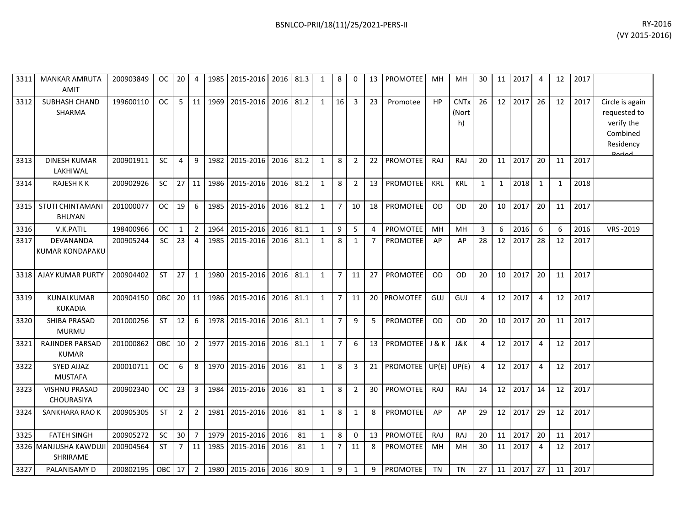| 3311 | <b>MANKAR AMRUTA</b><br><b>AMIT</b>      | 200903849 | OC.       | 20             | 4              | 1985 | 2015-2016                | 2016 | 81.3 | $\mathbf{1}$ | 8              | $\mathbf{0}$   | 13 | <b>PROMOTEE</b> | MH         | MН                         | 30           | 11              | 2017 | $\overline{4}$ | 12           | 2017 |                                                                                  |
|------|------------------------------------------|-----------|-----------|----------------|----------------|------|--------------------------|------|------|--------------|----------------|----------------|----|-----------------|------------|----------------------------|--------------|-----------------|------|----------------|--------------|------|----------------------------------------------------------------------------------|
| 3312 | <b>SUBHASH CHAND</b><br><b>SHARMA</b>    | 199600110 | <b>OC</b> | 5              | 11             | 1969 | 2015-2016                | 2016 | 81.2 | $\mathbf{1}$ | 16             | 3              | 23 | Promotee        | HP         | <b>CNTx</b><br>(Nort<br>h) | 26           | 12              | 2017 | 26             | 12           | 2017 | Circle is again<br>requested to<br>verify the<br>Combined<br>Residency<br>Doriad |
| 3313 | <b>DINESH KUMAR</b><br>LAKHIWAL          | 200901911 | <b>SC</b> | $\overline{4}$ | 9              | 1982 | 2015-2016                | 2016 | 81.2 | 1            | 8              | $\overline{2}$ | 22 | <b>PROMOTEE</b> | <b>RAJ</b> | RAJ                        | 20           | 11              | 2017 | 20             | 11           | 2017 |                                                                                  |
| 3314 | RAJESH K K                               | 200902926 | <b>SC</b> | 27             | 11             | 1986 | 2015-2016                | 2016 | 81.2 | $\mathbf{1}$ | 8              | $\overline{2}$ | 13 | <b>PROMOTEE</b> | <b>KRL</b> | KRL                        | $\mathbf{1}$ | $\mathbf{1}$    | 2018 | 1              | $\mathbf{1}$ | 2018 |                                                                                  |
| 3315 | <b>STUTI CHINTAMANI</b><br><b>BHUYAN</b> | 201000077 | OC.       | 19             | 6              | 1985 | 2015-2016                | 2016 | 81.2 | $\mathbf{1}$ | $\overline{7}$ | 10             | 18 | <b>PROMOTEE</b> | OD         | <b>OD</b>                  | 20           | 10              | 2017 | 20             | 11           | 2017 |                                                                                  |
| 3316 | V.K.PATIL                                | 198400966 | <b>OC</b> | $\mathbf{1}$   | $\overline{2}$ | 1964 | 2015-2016                | 2016 | 81.1 | $\mathbf{1}$ | 9              | 5              | 4  | PROMOTEE        | MH         | MH                         | 3            | 6               | 2016 | 6              | 6            | 2016 | VRS-2019                                                                         |
| 3317 | DEVANANDA<br>KUMAR KONDAPAKU             | 200905244 | SC        | 23             | 4              | 1985 | 2015-2016                | 2016 | 81.1 | 1            | 8              | 1              | 7  | PROMOTEE        | AP         | AP                         | 28           | 12              | 2017 | 28             | 12           | 2017 |                                                                                  |
| 3318 | <b>AJAY KUMAR PURTY</b>                  | 200904402 | <b>ST</b> | 27             | $\mathbf{1}$   | 1980 | 2015-2016                | 2016 | 81.1 | 1            | 7 <sup>7</sup> | 11             | 27 | <b>PROMOTEE</b> | <b>OD</b>  | <b>OD</b>                  | 20           | 10              | 2017 | 20             | 11           | 2017 |                                                                                  |
| 3319 | <b>KUNALKUMAR</b><br><b>KUKADIA</b>      | 200904150 | OBC       | $20$ 11        |                |      | 1986 2015-2016           | 2016 | 81.1 | $\mathbf{1}$ | 7 <sup>1</sup> | 11             |    | 20 PROMOTEE     | GUJ        | GUJ                        | 4            | 12              | 2017 | $\overline{a}$ | 12           | 2017 |                                                                                  |
| 3320 | SHIBA PRASAD<br><b>MURMU</b>             | 201000256 | <b>ST</b> | 12             | 6              |      | 1978 2015-2016 2016      |      | 81.1 | 1            | $\overline{7}$ | 9              | 5  | <b>PROMOTEE</b> | <b>OD</b>  | <b>OD</b>                  | 20           | 10 <sup>°</sup> | 2017 | 20             | 11           | 2017 |                                                                                  |
| 3321 | <b>RAJINDER PARSAD</b><br><b>KUMAR</b>   | 201000862 | OBC       | 10             | $\overline{2}$ | 1977 | 2015-2016                | 2016 | 81.1 | $\mathbf{1}$ | $\overline{7}$ | 6              | 13 | <b>PROMOTEE</b> | J & K      | J&K                        | 4            | 12              | 2017 | 4              | 12           | 2017 |                                                                                  |
| 3322 | <b>SYED AIJAZ</b><br><b>MUSTAFA</b>      | 200010711 | OC.       | 6              | 8              | 1970 | 2015-2016                | 2016 | 81   | $\mathbf{1}$ | 8              | 3              | 21 | <b>PROMOTEE</b> | UP(E)      | UP(E)                      | 4            | 12              | 2017 | $\overline{4}$ | 12           | 2017 |                                                                                  |
| 3323 | <b>VISHNU PRASAD</b><br>CHOURASIYA       | 200902340 | OC.       | 23             | 3              | 1984 | 2015-2016                | 2016 | 81   | $\mathbf{1}$ | 8              | $\overline{2}$ | 30 | <b>PROMOTEE</b> | RAJ        | RAJ                        | 14           | 12              | 2017 | 14             | 12           | 2017 |                                                                                  |
| 3324 | SANKHARA RAO K                           | 200905305 | <b>ST</b> | $\overline{2}$ | $\overline{2}$ | 1981 | 2015-2016 2016           |      | 81   | $\mathbf{1}$ | 8              | 1              | 8  | PROMOTEE        | AP         | AP                         | 29           | 12              | 2017 | 29             | 12           | 2017 |                                                                                  |
| 3325 | <b>FATEH SINGH</b>                       | 200905272 | <b>SC</b> | 30             | $\overline{7}$ | 1979 | 2015-2016                | 2016 | 81   | 1            | 8              | $\mathbf{0}$   | 13 | <b>PROMOTEE</b> | RAJ        | RAJ                        | 20           | 11              | 2017 | -20            | 11           | 2017 |                                                                                  |
|      | 3326 MANJUSHA KAWDUJI<br>SHRIRAME        | 200904564 | <b>ST</b> | 7              | $11\,$         | 1985 | 2015-2016                | 2016 | 81   | $\mathbf{1}$ | $\overline{7}$ | 11             | 8  | <b>PROMOTEE</b> | MH         | MН                         | 30           | 11              | 2017 | 4              | 12           | 2017 |                                                                                  |
| 3327 | PALANISAMY D                             | 200802195 | OBC       | 17             | $\overline{2}$ |      | 1980 2015-2016 2016 80.9 |      |      | $\mathbf{1}$ | 9              | 1              | 9  | <b>PROMOTEE</b> | <b>TN</b>  | <b>TN</b>                  | 27           | 11              | 2017 | 27             | 11           | 2017 |                                                                                  |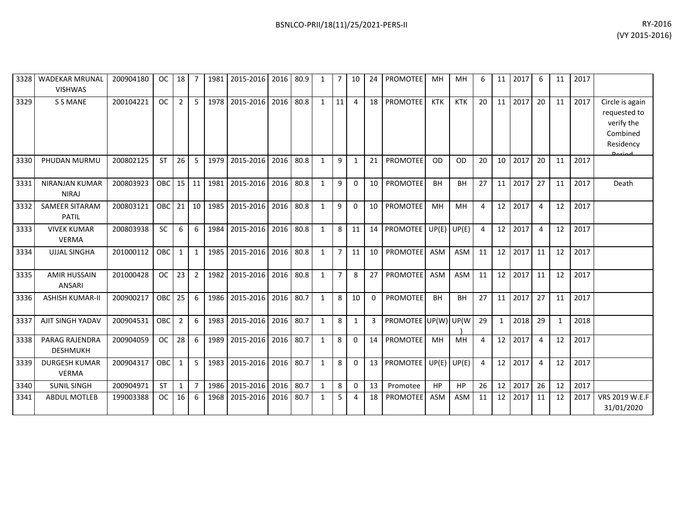| 3328 | <b>WADEKAR MRUNAL</b><br><b>VISHWAS</b>  | 200904180 | <b>OC</b> | 18              | 7              | 1981 | 2015-2016 | 2016 | 80.9 | 1            | $\overline{7}$ | 10           | 24           | <b>PROMOTEE</b> | MН         | MH         | 6  | 11           | 2017 | 6              | 11 | 2017 |                                                                                   |
|------|------------------------------------------|-----------|-----------|-----------------|----------------|------|-----------|------|------|--------------|----------------|--------------|--------------|-----------------|------------|------------|----|--------------|------|----------------|----|------|-----------------------------------------------------------------------------------|
| 3329 | <b>S S MANE</b>                          | 200104221 | <b>OC</b> | $\overline{2}$  | 5              | 1978 | 2015-2016 | 2016 | 80.8 | $\mathbf{1}$ | 11             | 4            | 18           | PROMOTEE        | <b>KTK</b> | <b>KTK</b> | 20 | 11           | 2017 | 20             | 11 | 2017 | Circle is again<br>requested to<br>verify the<br>Combined<br>Residency<br>لممنعمه |
| 3330 | PHUDAN MURMU                             | 200802125 | <b>ST</b> | 26              | 5              | 1979 | 2015-2016 | 2016 | 80.8 | $\mathbf{1}$ | 9              | 1            | 21           | PROMOTEE        | <b>OD</b>  | <b>OD</b>  | 20 | 10           | 2017 | 20             | 11 | 2017 |                                                                                   |
| 3331 | <b>NIRANJAN KUMAR</b><br><b>NIRAJ</b>    | 200803923 | OBC       | 15 <sup>1</sup> | 11             | 1981 | 2015-2016 | 2016 | 80.8 | 1            | 9              | 0            | 10           | PROMOTEE        | <b>BH</b>  | <b>BH</b>  | 27 | 11           | 2017 | 27             | 11 | 2017 | Death                                                                             |
| 3332 | <b>SAMEER SITARAM</b><br><b>PATIL</b>    | 200803121 | OBC       | 21              | 10             | 1985 | 2015-2016 | 2016 | 80.8 | $\mathbf{1}$ | 9              | $\mathbf{0}$ | 10           | <b>PROMOTEE</b> | MH         | MH         | 4  | 12           | 2017 | $\overline{4}$ | 12 | 2017 |                                                                                   |
| 3333 | <b>VIVEK KUMAR</b><br><b>VERMA</b>       | 200803938 | <b>SC</b> | 6               | 6              | 1984 | 2015-2016 | 2016 | 80.8 | $\mathbf{1}$ | 8              | 11           | 14           | <b>PROMOTEE</b> | UP(E)      | UP(E)      | 4  | 12           | 2017 | $\overline{4}$ | 12 | 2017 |                                                                                   |
| 3334 | <b>UJJAL SINGHA</b>                      | 201000112 | OBC       | 1               | $\mathbf{1}$   | 1985 | 2015-2016 | 2016 | 80.8 | $\mathbf{1}$ | $\overline{7}$ | 11           | 10           | <b>PROMOTEE</b> | ASM        | <b>ASM</b> | 11 | 12           | 2017 | 11             | 12 | 2017 |                                                                                   |
| 3335 | <b>AMIR HUSSAIN</b><br><b>ANSARI</b>     | 201000428 | <b>OC</b> | 23              | $\overline{2}$ | 1982 | 2015-2016 | 2016 | 80.8 | $\mathbf{1}$ | $\overline{7}$ | 8            | 27           | <b>PROMOTEE</b> | ASM        | ASM        | 11 | 12           | 2017 | 11             | 12 | 2017 |                                                                                   |
| 3336 | <b>ASHISH KUMAR-II</b>                   | 200900217 | OBC       | 25              | 6              | 1986 | 2015-2016 | 2016 | 80.7 | $\mathbf{1}$ | 8              | 10           | $\mathbf{0}$ | PROMOTEE        | <b>BH</b>  | <b>BH</b>  | 27 | 11           | 2017 | 27             | 11 | 2017 |                                                                                   |
| 3337 | AJIT SINGH YADAV                         | 200904531 | OBC       | $\overline{2}$  | 6              | 1983 | 2015-2016 | 2016 | 80.7 | $\mathbf{1}$ | 8              | 1            | 3            | PROMOTEE UP(W)  |            | UP(W       | 29 | $\mathbf{1}$ | 2018 | 29             | 1  | 2018 |                                                                                   |
| 3338 | <b>PARAG RAJENDRA</b><br><b>DESHMUKH</b> | 200904059 | <b>OC</b> | 28              | 6              | 1989 | 2015-2016 | 2016 | 80.7 | $\mathbf{1}$ | 8              | 0            | 14           | PROMOTEE        | MH         | MH         | 4  | 12           | 2017 | 4              | 12 | 2017 |                                                                                   |
| 3339 | <b>DURGESH KUMAR</b><br><b>VERMA</b>     | 200904317 | OBC       | 1               | 5              | 1983 | 2015-2016 | 2016 | 80.7 | $\mathbf{1}$ | 8              | 0            | 13           | PROMOTEE        | UP(E)      | UP(E)      | 4  | 12           | 2017 | $\overline{4}$ | 12 | 2017 |                                                                                   |
| 3340 | <b>SUNIL SINGH</b>                       | 200904971 | <b>ST</b> | 1               | 7              | 1986 | 2015-2016 | 2016 | 80.7 | $\mathbf{1}$ | 8              | $\mathbf 0$  | 13           | Promotee        | HP         | HP         | 26 | 12           | 2017 | 26             | 12 | 2017 |                                                                                   |
| 3341 | <b>ABDUL MOTLEB</b>                      | 199003388 | <b>OC</b> | 16              | 6              | 1968 | 2015-2016 | 2016 | 80.7 | $\mathbf{1}$ | 5              | 4            | 18           | <b>PROMOTEE</b> | <b>ASM</b> | <b>ASM</b> | 11 | 12           | 2017 | 11             | 12 | 2017 | VRS 2019 W.E.F<br>31/01/2020                                                      |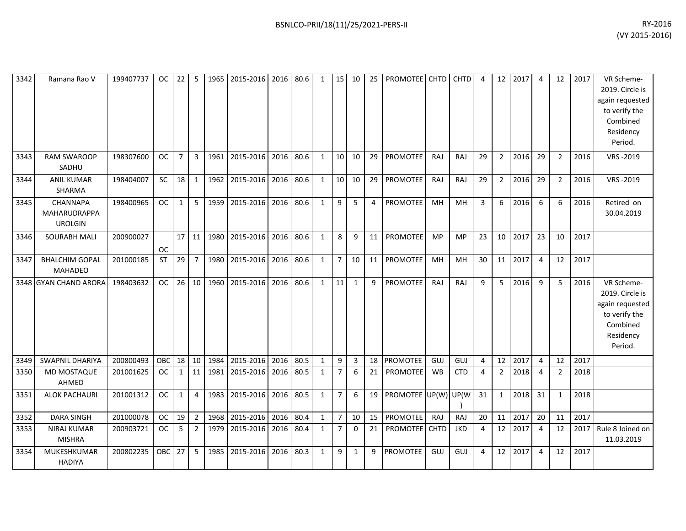| 3342 | Ramana Rao V                               | 199407737 | <sub>OC</sub> | 22              | 5              | 1965 | 2015-2016 | 2016 | 80.6 | $\mathbf{1}$ | 15             | 10           | 25 | <b>PROMOTEE</b> | <b>CHTD</b> | <b>CHTD</b> | 4  | 12             | 2017 | $\overline{4}$ | 12             | 2017 | VR Scheme-<br>2019. Circle is<br>again requested<br>to verify the<br>Combined<br>Residency<br>Period. |
|------|--------------------------------------------|-----------|---------------|-----------------|----------------|------|-----------|------|------|--------------|----------------|--------------|----|-----------------|-------------|-------------|----|----------------|------|----------------|----------------|------|-------------------------------------------------------------------------------------------------------|
| 3343 | <b>RAM SWAROOP</b><br>SADHU                | 198307600 | <b>OC</b>     | $\overline{7}$  | $\overline{3}$ | 1961 | 2015-2016 | 2016 | 80.6 | $\mathbf{1}$ | 10             | 10           | 29 | PROMOTEE        | RAJ         | RAJ         | 29 | $2^{\circ}$    | 2016 | 29             | $\overline{2}$ | 2016 | VRS-2019                                                                                              |
| 3344 | <b>ANIL KUMAR</b><br>SHARMA                | 198404007 | <b>SC</b>     | 18              | 1              | 1962 | 2015-2016 | 2016 | 80.6 | $\mathbf{1}$ | 10             | 10           | 29 | PROMOTEE        | RAJ         | RAJ         | 29 | $\overline{2}$ | 2016 | 29             | $\overline{2}$ | 2016 | VRS-2019                                                                                              |
| 3345 | CHANNAPA<br>MAHARUDRAPPA<br><b>UROLGIN</b> | 198400965 | <b>OC</b>     | $\mathbf{1}$    | 5              | 1959 | 2015-2016 | 2016 | 80.6 | $\mathbf{1}$ | 9              | 5            | 4  | <b>PROMOTEE</b> | MH          | MH          | 3  | 6              | 2016 | 6              | 6              | 2016 | Retired on<br>30.04.2019                                                                              |
| 3346 | <b>SOURABH MALI</b>                        | 200900027 | <b>OC</b>     | 17              | 11             | 1980 | 2015-2016 | 2016 | 80.6 | $\mathbf{1}$ | 8              | 9            | 11 | PROMOTEE        | MP          | <b>MP</b>   | 23 | 10             | 2017 | 23             | 10             | 2017 |                                                                                                       |
| 3347 | <b>BHALCHIM GOPAL</b><br>MAHADEO           | 201000185 | <b>ST</b>     | 29              | $\overline{7}$ | 1980 | 2015-2016 | 2016 | 80.6 | $\mathbf{1}$ | $\overline{7}$ | 10           | 11 | PROMOTEE        | MH          | <b>MH</b>   | 30 | 11             | 2017 | $\overline{4}$ | 12             | 2017 |                                                                                                       |
|      | 3348 GYAN CHAND ARORA                      | 198403632 | <b>OC</b>     | 26 <sup>1</sup> | 10             | 1960 | 2015-2016 | 2016 | 80.6 | $\mathbf{1}$ | 11             | 1            | 9  | <b>PROMOTEE</b> | RAJ         | RAJ         | 9  | 5              | 2016 | 9              | 5              | 2016 | VR Scheme-<br>2019. Circle is<br>again requested<br>to verify the<br>Combined<br>Residency<br>Period. |
| 3349 | <b>SWAPNIL DHARIYA</b>                     | 200800493 | OBC           | 18              | 10             | 1984 | 2015-2016 | 2016 | 80.5 | $\mathbf{1}$ | 9              | 3            | 18 | <b>PROMOTEE</b> | GUJ         | GUJ         | 4  | 12             | 2017 | 4              | 12             | 2017 |                                                                                                       |
| 3350 | <b>MD MOSTAQUE</b><br>AHMED                | 201001625 | <b>OC</b>     | $\mathbf{1}$    | 11             | 1981 | 2015-2016 | 2016 | 80.5 | $\mathbf{1}$ | $\overline{7}$ | 6            | 21 | <b>PROMOTEE</b> | <b>WB</b>   | <b>CTD</b>  | 4  | $\overline{2}$ | 2018 | 4              | $\overline{2}$ | 2018 |                                                                                                       |
| 3351 | <b>ALOK PACHAURI</b>                       | 201001312 | <b>OC</b>     | 1               | $\overline{4}$ | 1983 | 2015-2016 | 2016 | 80.5 | $\mathbf{1}$ | $\overline{7}$ | 6            | 19 | PROMOTEE UP(W)  |             | UP(W        | 31 | 1              | 2018 | 31             | 1              | 2018 |                                                                                                       |
| 3352 | <b>DARA SINGH</b>                          | 201000078 | <b>OC</b>     | 19              | $\overline{2}$ | 1968 | 2015-2016 | 2016 | 80.4 | $\mathbf{1}$ | $7^{\circ}$    | 10           | 15 | PROMOTEE        | RAJ         | RAJ         | 20 | 11             | 2017 | 20             | 11             | 2017 |                                                                                                       |
| 3353 | <b>NIRAJ KUMAR</b><br><b>MISHRA</b>        | 200903721 | <b>OC</b>     | 5               | $\overline{2}$ | 1979 | 2015-2016 | 2016 | 80.4 | $\mathbf{1}$ | $\overline{7}$ | 0            | 21 | <b>PROMOTEE</b> | <b>CHTD</b> | <b>JKD</b>  | 4  | 12             | 2017 | $\overline{4}$ | 12             | 2017 | Rule 8 Joined on<br>11.03.2019                                                                        |
| 3354 | MUKESHKUMAR<br><b>HADIYA</b>               | 200802235 | OBC           | 27              | 5              | 1985 | 2015-2016 | 2016 | 80.3 | $\mathbf{1}$ | 9              | $\mathbf{1}$ | 9  | PROMOTEE        | GUJ         | GUJ         | 4  | 12             | 2017 | $\overline{4}$ | 12             | 2017 |                                                                                                       |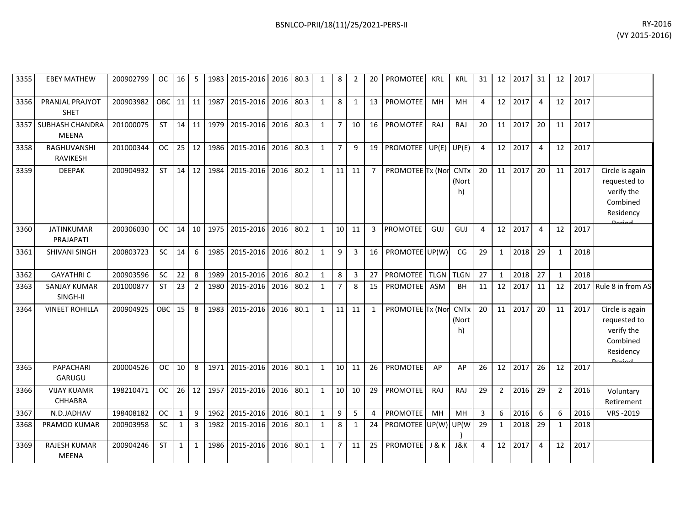| 3355 | <b>EBEY MATHEW</b>                     | 200902799 | <b>OC</b>  | 16 I            | 5              |      | 1983 2015-2016 2016 80.3 |      |      | 1            | 8               | 2            | 20             | PROMOTEE             | <b>KRL</b>  | <b>KRL</b>                 | 31             |                 | 12 2017 | 31             | 12           | 2017 |                                                                                         |
|------|----------------------------------------|-----------|------------|-----------------|----------------|------|--------------------------|------|------|--------------|-----------------|--------------|----------------|----------------------|-------------|----------------------------|----------------|-----------------|---------|----------------|--------------|------|-----------------------------------------------------------------------------------------|
| 3356 | PRANJAL PRAJYOT<br><b>SHET</b>         | 200903982 | OBC        | 11 <sup>1</sup> | 11             | 1987 | 2015-2016                | 2016 | 80.3 | 1            | 8               | 1            | 13             | PROMOTEE             | MH          | MH                         | 4              | 12              | 2017    | $\overline{4}$ | 12           | 2017 |                                                                                         |
| 3357 | <b>SUBHASH CHANDRA</b><br><b>MEENA</b> | 201000075 | <b>ST</b>  | 14              | 11             | 1979 | 2015-2016                | 2016 | 80.3 | 1            | $\overline{7}$  | 10           | 16             | PROMOTEE             | RAJ         | RAJ                        | 20             | 11              | 2017    | 20             | 11           | 2017 |                                                                                         |
| 3358 | RAGHUVANSHI<br><b>RAVIKESH</b>         | 201000344 | <b>OC</b>  | 25              | 12             | 1986 | 2015-2016                | 2016 | 80.3 | 1            | $\overline{7}$  | 9            | 19             | PROMOTEE UP(E) UP(E) |             |                            | $\overline{a}$ | 12              | 2017    | $\overline{4}$ | 12           | 2017 |                                                                                         |
| 3359 | <b>DEEPAK</b>                          | 200904932 | <b>ST</b>  | 14              | 12             | 1984 | 2015-2016                | 2016 | 80.2 | 1            | 11              | 11           | 7              | PROMOTEE Tx (Nor     |             | <b>CNTx</b><br>(Nort<br>h) | 20             | 11 <sup>1</sup> | 2017    | 20             | 11           | 2017 | Circle is again<br>requested to<br>verify the<br>Combined<br>Residency<br><b>Doriod</b> |
| 3360 | <b>JATINKUMAR</b><br>PRAJAPATI         | 200306030 | <b>OC</b>  | 14              | 10             | 1975 | 2015-2016                | 2016 | 80.2 | $\mathbf{1}$ | 10              | 11           | $\overline{3}$ | <b>PROMOTEE</b>      | GUJ         | GUJ                        | $\Delta$       | 12              | 2017    | $\overline{4}$ | 12           | 2017 |                                                                                         |
| 3361 | <b>SHIVANI SINGH</b>                   | 200803723 | <b>SC</b>  | 14              | 6              | 1985 | 2015-2016                | 2016 | 80.2 | 1            | 9               | 3            | 16             | PROMOTEE UP(W)       |             | CG                         | 29             | $\mathbf{1}$    | 2018    | 29             | $\mathbf 1$  | 2018 |                                                                                         |
| 3362 | <b>GAYATHRIC</b>                       | 200903596 | SC         | 22              | 8              | 1989 | 2015-2016                | 2016 | 80.2 | $\mathbf{1}$ | $\bf 8$         | 3            | 27             | PROMOTEE             | <b>TLGN</b> | <b>TLGN</b>                | 27             | $\mathbf{1}$    | 2018    | 27             | $\mathbf{1}$ | 2018 |                                                                                         |
| 3363 | <b>SANJAY KUMAR</b><br>SINGH-II        | 201000877 | <b>ST</b>  | 23              | $\overline{2}$ | 1980 | 2015-2016                | 2016 | 80.2 | 1            | $\overline{7}$  | 8            | 15             | <b>PROMOTEE</b>      | <b>ASM</b>  | BH                         | 11             | 12              | 2017    | 11             | 12           | 2017 | Rule 8 in from AS                                                                       |
| 3364 | <b>VINEET ROHILLA</b>                  | 200904925 | <b>OBC</b> | 15              | 8              | 1983 | 2015-2016                | 2016 | 80.1 | $\mathbf{1}$ | 11              | 11           | 1              | PROMOTEE Tx (Nor     |             | <b>CNTx</b><br>(Nort<br>h) | 20             | 11 <sup>1</sup> | 2017    | 20             | 11           | 2017 | Circle is again<br>requested to<br>verify the<br>Combined<br>Residency<br>لممنعمه       |
| 3365 | PAPACHARI<br>GARUGU                    | 200004526 | <b>OC</b>  | 10              | 8              | 1971 | 2015-2016                | 2016 | 80.1 | $\mathbf{1}$ | 10              | 11           | 26             | <b>PROMOTEE</b>      | AP          | AP                         | 26             | 12              | 2017    | 26             | 12           | 2017 |                                                                                         |
| 3366 | <b>VIJAY KUAMR</b><br><b>CHHABRA</b>   | 198210471 | <b>OC</b>  | 26              | 12             | 1957 | 2015-2016                | 2016 | 80.1 | 1            | 10 <sup>1</sup> | 10           | 29             | <b>PROMOTEE</b>      | <b>RAJ</b>  | RAJ                        | 29             | $\overline{2}$  | 2016    | 29             | 2            | 2016 | Voluntary<br>Retirement                                                                 |
| 3367 | N.D.JADHAV                             | 198408182 | <b>OC</b>  | $\mathbf{1}$    | 9              | 1962 | 2015-2016                | 2016 | 80.1 | $\mathbf{1}$ | 9               | 5            | 4              | <b>PROMOTEE</b>      | MH          | MH                         | 3              | 6               | 2016    | 6              | 6            | 2016 | VRS-2019                                                                                |
| 3368 | PRAMOD KUMAR                           | 200903958 | <b>SC</b>  | $\mathbf{1}$    | 3              | 1982 | 2015-2016                | 2016 | 80.1 | 1            | 8               | $\mathbf{1}$ | 24             | PROMOTEE UP(W)       |             | UP(W                       | 29             | $\mathbf{1}$    | 2018    | 29             | 1            | 2018 |                                                                                         |
| 3369 | RAJESH KUMAR<br><b>MEENA</b>           | 200904246 | <b>ST</b>  | $\mathbf{1}$    | $\mathbf{1}$   | 1986 | 2015-2016                | 2016 | 80.1 | $\mathbf{1}$ | $\overline{7}$  | 11           | 25             | PROMOTEE             | J & K       | J&K                        | Δ              | 12              | 2017    | 4              | 12           | 2017 |                                                                                         |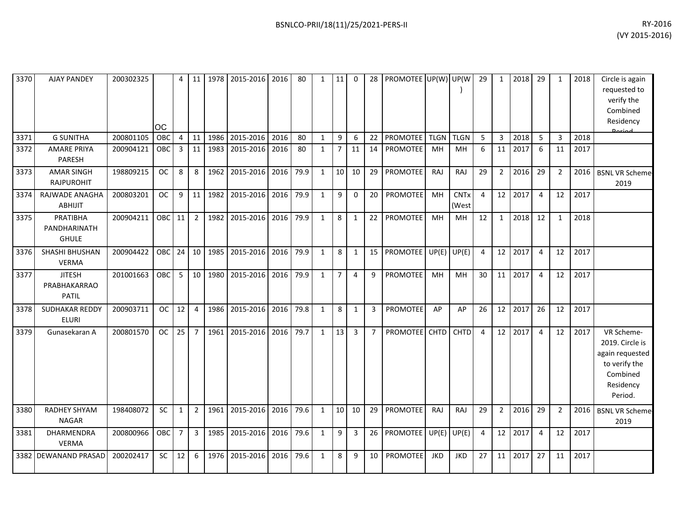| 3370 | <b>AJAY PANDEY</b>                            | 200302325 | ЮC        | 4              | 11             | 1978 | 2015-2016      | 2016 | 80   | $\mathbf{1}$ | 11              | $\mathbf 0$ | 28             | PROMOTEE UP(W) UP(W) |             |                      | 29             | $\mathbf{1}$ | 2018 | 29             | $\mathbf{1}$   | 2018 | Circle is again<br>requested to<br>verify the<br>Combined<br>Residency<br>لممنعمه                     |
|------|-----------------------------------------------|-----------|-----------|----------------|----------------|------|----------------|------|------|--------------|-----------------|-------------|----------------|----------------------|-------------|----------------------|----------------|--------------|------|----------------|----------------|------|-------------------------------------------------------------------------------------------------------|
| 3371 | <b>G SUNITHA</b>                              | 200801105 | OBC       | $\overline{4}$ | 11             | 1986 | 2015-2016      | 2016 | 80   | $\mathbf{1}$ | 9               | 6           | 22             | <b>PROMOTEE</b>      | <b>TLGN</b> | <b>TLGN</b>          | 5              | 3            | 2018 | 5              | 3              | 2018 |                                                                                                       |
| 3372 | <b>AMARE PRIYA</b><br>PARESH                  | 200904121 | OBC       | 3              | 11             | 1983 | 2015-2016      | 2016 | 80   | $\mathbf{1}$ | $\overline{7}$  | 11          | 14             | PROMOTEE             | MH          | <b>MH</b>            | 6              | 11           | 2017 | 6              | 11             | 2017 |                                                                                                       |
| 3373 | <b>AMAR SINGH</b><br><b>RAJPUROHIT</b>        | 198809215 | <b>OC</b> | 8              | 8              | 1962 | 2015-2016      | 2016 | 79.9 | $\mathbf{1}$ | 10              | 10          | 29             | <b>PROMOTEE</b>      | RAJ         | RAJ                  | 29             | $2^{\circ}$  | 2016 | 29             | $\overline{2}$ | 2016 | <b>BSNL VR Scheme</b><br>2019                                                                         |
| 3374 | RAJWADE ANAGHA<br><b>ABHIJIT</b>              | 200803201 | <b>OC</b> | 9              | 11             | 1982 | 2015-2016      | 2016 | 79.9 | $\mathbf{1}$ | 9               | $\mathbf 0$ | 20             | PROMOTEE             | MH          | <b>CNTx</b><br>(West | $\overline{4}$ | 12           | 2017 | 4              | 12             | 2017 |                                                                                                       |
| 3375 | PRATIBHA<br>PANDHARINATH<br><b>GHULE</b>      | 200904211 | OBC       | 11             | $\overline{2}$ | 1982 | 2015-2016 2016 |      | 79.9 | $\mathbf{1}$ | 8               | 1           | 22             | <b>PROMOTEE</b>      | MH          | <b>MH</b>            | 12             | 1            | 2018 | 12             | 1              | 2018 |                                                                                                       |
| 3376 | SHASHI BHUSHAN<br><b>VERMA</b>                | 200904422 | OBC       | 24             | 10             | 1985 | 2015-2016      | 2016 | 79.9 | $\mathbf{1}$ | 8               | 1           | 15             | PROMOTEE             | UP(E)       | UP(E)                | 4              | 12           | 2017 | 4              | 12             | 2017 |                                                                                                       |
| 3377 | <b>JITESH</b><br>PRABHAKARRAO<br><b>PATIL</b> | 201001663 | OBC       | 5              | 10             | 1980 | 2015-2016      | 2016 | 79.9 | $\mathbf{1}$ | $\overline{7}$  | 4           | 9              | <b>PROMOTEE</b>      | MH          | MH                   | 30             | 11           | 2017 | 4              | 12             | 2017 |                                                                                                       |
| 3378 | <b>SUDHAKAR REDDY</b><br><b>ELURI</b>         | 200903711 | <b>OC</b> | 12             | $\overline{4}$ | 1986 | 2015-2016 2016 |      | 79.8 | $\mathbf{1}$ | 8               | 1           | 3              | <b>PROMOTEE</b>      | AP          | AP                   | 26             | 12           | 2017 | 26             | 12             | 2017 |                                                                                                       |
| 3379 | Gunasekaran A                                 | 200801570 | <b>OC</b> | 25             | $\overline{7}$ | 1961 | 2015-2016      | 2016 | 79.7 | $\mathbf{1}$ | 13              | 3           | $\overline{7}$ | <b>PROMOTEE</b>      | CHTD        | <b>CHTD</b>          | 4              | 12           | 2017 | $\overline{4}$ | 12             | 2017 | VR Scheme-<br>2019. Circle is<br>again requested<br>to verify the<br>Combined<br>Residency<br>Period. |
| 3380 | RADHEY SHYAM<br><b>NAGAR</b>                  | 198408072 | SC        | 1              | $\overline{2}$ | 1961 | 2015-2016      | 2016 | 79.6 | $\mathbf{1}$ | 10 <sup>1</sup> | 10          | 29             | <b>PROMOTEE</b>      | RAJ         | RAJ                  | 29             | $2^{\circ}$  | 2016 | 29             | $\overline{2}$ | 2016 | <b>BSNL VR Scheme</b><br>2019                                                                         |
| 3381 | DHARMENDRA<br><b>VERMA</b>                    | 200800966 | OBC       | $\overline{7}$ | 3              | 1985 | 2015-2016 2016 |      | 79.6 | $\mathbf{1}$ | 9               | 3           | 26             | <b>PROMOTEE</b>      | UP(E)       | UP(E)                | 4              | 12           | 2017 | 4              | 12             | 2017 |                                                                                                       |
|      | 3382 DEWANAND PRASAD                          | 200202417 | SC        | 12             | 6              | 1976 | 2015-2016      | 2016 | 79.6 | $\mathbf{1}$ | 8               | 9           | 10             | PROMOTEE             | <b>JKD</b>  | <b>JKD</b>           | 27             | 11           | 2017 | 27             | 11             | 2017 |                                                                                                       |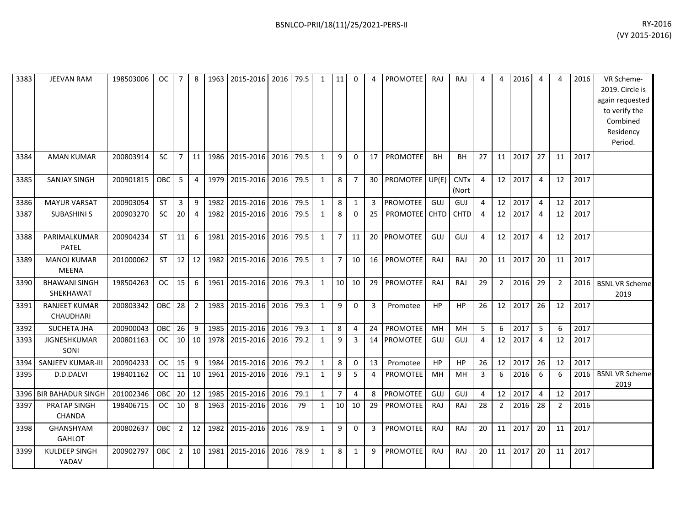| 3383 | <b>JEEVAN RAM</b>                    | 198503006 | OC.        | -7             | 8              | 1963 | 2015-2016      | 2016 | 79.5 | 1            | 11             | $\Omega$       | 4              | <b>PROMOTEE</b> | <b>RAJ</b>  | RAJ                  | 4              | 4              | 2016 | 4              | 4              | 2016 | VR Scheme-<br>2019. Circle is<br>again requested<br>to verify the<br>Combined<br>Residency<br>Period. |
|------|--------------------------------------|-----------|------------|----------------|----------------|------|----------------|------|------|--------------|----------------|----------------|----------------|-----------------|-------------|----------------------|----------------|----------------|------|----------------|----------------|------|-------------------------------------------------------------------------------------------------------|
| 3384 | <b>AMAN KUMAR</b>                    | 200803914 | SC         | $\overline{7}$ | 11             | 1986 | 2015-2016      | 2016 | 79.5 | $\mathbf{1}$ | 9              | $\mathbf 0$    | 17             | <b>PROMOTEE</b> | <b>BH</b>   | <b>BH</b>            | 27             | 11             | 2017 | 27             | 11             | 2017 |                                                                                                       |
| 3385 | <b>SANJAY SINGH</b>                  | 200901815 | OBC        | 5              | $\overline{4}$ | 1979 | 2015-2016 2016 |      | 79.5 | $\mathbf{1}$ | 8              | $\overline{7}$ | 30             | PROMOTEE UP(E)  |             | <b>CNTx</b><br>(Nort | $\overline{4}$ | 12             | 2017 | 4              | 12             | 2017 |                                                                                                       |
| 3386 | <b>MAYUR VARSAT</b>                  | 200903054 | <b>ST</b>  | 3              | 9              | 1982 | 2015-2016 2016 |      | 79.5 | $\mathbf{1}$ | 8              | $\mathbf{1}$   | $\overline{3}$ | <b>PROMOTEE</b> | GUJ         | GUJ                  | 4              | 12             | 2017 | $\overline{4}$ | 12             | 2017 |                                                                                                       |
| 3387 | <b>SUBASHINI S</b>                   | 200903270 | SC         | 20             | $\overline{4}$ | 1982 | 2015-2016      | 2016 | 79.5 | $\mathbf{1}$ | 8              | $\Omega$       | 25             | <b>PROMOTEE</b> | <b>CHTD</b> | <b>CHTD</b>          | 4              | 12             | 2017 | $\overline{4}$ | 12             | 2017 |                                                                                                       |
| 3388 | PARIMALKUMAR<br><b>PATEL</b>         | 200904234 | ST         | 11             | 6              | 1981 | 2015-2016      | 2016 | 79.5 | $\mathbf{1}$ | $\overline{7}$ | 11             | 20             | <b>PROMOTEE</b> | GUJ         | GUJ                  | 4              | 12             | 2017 | $\overline{4}$ | 12             | 2017 |                                                                                                       |
| 3389 | MANOJ KUMAR<br><b>MEENA</b>          | 201000062 | <b>ST</b>  | 12             | 12             | 1982 | 2015-2016 2016 |      | 79.5 | $\mathbf{1}$ | $\overline{7}$ | 10             | 16             | <b>PROMOTEE</b> | <b>RAJ</b>  | RAJ                  | 20             | 11             | 2017 | 20             | 11             | 2017 |                                                                                                       |
| 3390 | <b>BHAWANI SINGH</b><br>SHEKHAWAT    | 198504263 | <b>OC</b>  | 15             | 6              | 1961 | 2015-2016      | 2016 | 79.3 | $\mathbf{1}$ | 10             | 10             | 29             | PROMOTEE        | RAJ         | RAJ                  | 29             | $2^{\circ}$    | 2016 | 29             | $\overline{2}$ | 2016 | <b>BSNL VR Scheme</b><br>2019                                                                         |
| 3391 | <b>RANJEET KUMAR</b><br>CHAUDHARI    | 200803342 | <b>OBC</b> | 28             | $\overline{2}$ | 1983 | 2015-2016 2016 |      | 79.3 | $\mathbf{1}$ | 9              | $\mathbf 0$    | 3              | Promotee        | <b>HP</b>   | HP                   | 26             | 12             | 2017 | 26             | 12             | 2017 |                                                                                                       |
| 3392 | <b>SUCHETA JHA</b>                   | 200900043 | <b>OBC</b> | 26             | 9              | 1985 | 2015-2016 2016 |      | 79.3 | $\mathbf{1}$ | 8              | 4              | 24             | PROMOTEE        | MH          | MH                   | 5              | 6              | 2017 | 5              | 6              | 2017 |                                                                                                       |
| 3393 | JIGNESHKUMAR<br>SONI                 | 200801163 | OC         | 10             | 10             | 1978 | 2015-2016      | 2016 | 79.2 | $\mathbf{1}$ | 9              | 3              | 14             | <b>PROMOTEE</b> | GUJ         | GUJ                  | 4              | 12             | 2017 | 4              | 12             | 2017 |                                                                                                       |
| 3394 | SANJEEV KUMAR-III                    | 200904233 | <b>OC</b>  | 15             | 9              | 1984 | 2015-2016      | 2016 | 79.2 | $\mathbf{1}$ | 8              | 0              | 13             | Promotee        | HP          | <b>HP</b>            | 26             | 12             | 2017 | 26             | 12             | 2017 |                                                                                                       |
| 3395 | D.D.DALVI                            | 198401162 | <b>OC</b>  | 11             | 10             | 1961 | 2015-2016 2016 |      | 79.1 | $\mathbf{1}$ | 9              | 5              | 4              | PROMOTEE        | MН          | MН                   | 3              | 6              | 2016 | 6              | 6              | 2016 | <b>BSNL VR Scheme</b><br>2019                                                                         |
| 3396 | <b>BIR BAHADUR SINGH</b>             | 201002346 | OBC        | 20             | 12             | 1985 | 2015-2016      | 2016 | 79.1 | $\mathbf{1}$ | $\overline{7}$ | 4              | 8              | <b>PROMOTEE</b> | GUJ         | <b>GUJ</b>           | 4              | 12             | 2017 | $\overline{4}$ | 12             | 2017 |                                                                                                       |
| 3397 | <b>PRATAP SINGH</b><br><b>CHANDA</b> | 198406715 | <b>OC</b>  | 10             | 8              | 1963 | 2015-2016      | 2016 | 79   | $\mathbf{1}$ | 10             | 10             | 29             | <b>PROMOTEE</b> | <b>RAJ</b>  | <b>RAJ</b>           | 28             | $\overline{2}$ | 2016 | 28             | $\overline{2}$ | 2016 |                                                                                                       |
| 3398 | GHANSHYAM<br><b>GAHLOT</b>           | 200802637 | OBC        | $\overline{2}$ | 12             | 1982 | 2015-2016      | 2016 | 78.9 | $\mathbf{1}$ | 9              | $\Omega$       | 3              | PROMOTEE        | <b>RAJ</b>  | RAJ                  | 20             | 11             | 2017 | 20             | 11             | 2017 |                                                                                                       |
| 3399 | <b>KULDEEP SINGH</b><br>YADAV        | 200902797 | OBC        | $\overline{2}$ | 10             | 1981 | 2015-2016 2016 |      | 78.9 | 1            | 8              | 1              | 9              | PROMOTEE        | <b>RAJ</b>  | RAJ                  | 20             | 11             | 2017 | 20             | 11             | 2017 |                                                                                                       |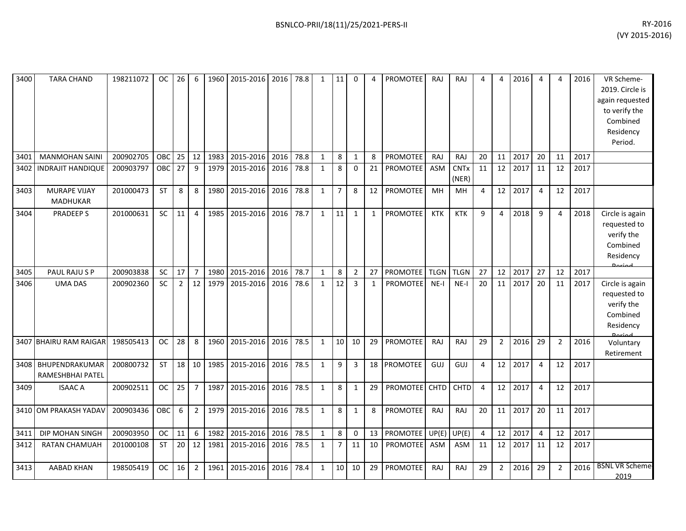| 3400 | <b>TARA CHAND</b>                      | 198211072 | oc I       | $26 \mid 6$ |                 |      | 1960   2015-2016   2016   78.8 |      |      | 1            | -11 I          | $\Omega$       | 4            | <b>PROMOTEE</b> | RAJ         | RAJ                             | 4              | 4              | 2016 | 4              | 4              | 2016 | VR Scheme-<br>2019. Circle is<br>again requested<br>to verify the<br>Combined<br>Residency<br>Period. |
|------|----------------------------------------|-----------|------------|-------------|-----------------|------|--------------------------------|------|------|--------------|----------------|----------------|--------------|-----------------|-------------|---------------------------------|----------------|----------------|------|----------------|----------------|------|-------------------------------------------------------------------------------------------------------|
| 3401 | <b>MANMOHAN SAINI</b>                  | 200902705 | OBC        | 25          | 12              | 1983 | 2015-2016                      | 2016 | 78.8 | $\mathbf{1}$ | 8              | $\mathbf{1}$   | 8            | PROMOTEE        | RAJ         | RAJ                             | 20             | 11             | 2017 | 20             | 11             | 2017 |                                                                                                       |
| 3402 | <b>INDRAJIT HANDIQUE</b>               | 200903797 | <b>OBC</b> | 27          | 9               | 1979 | 2015-2016                      | 2016 | 78.8 | 1            | 8              | $\mathbf{0}$   | 21           | <b>PROMOTEE</b> | <b>ASM</b>  | <b>CNT<sub>x</sub></b><br>(NER) | 11             | 12             | 2017 | 11             | 12             | 2017 |                                                                                                       |
| 3403 | <b>MURAPE VIJAY</b><br><b>MADHUKAR</b> | 201000473 | ST         | 8           | 8               | 1980 | 2015-2016                      | 2016 | 78.8 | $\mathbf{1}$ | $\overline{7}$ | 8              | 12           | <b>PROMOTEE</b> | MH          | MH                              | 4              | 12             | 2017 | $\overline{4}$ | 12             | 2017 |                                                                                                       |
| 3404 | PRADEEP S                              | 201000631 | SC         | 11          | 4               | 1985 | 2015-2016                      | 2016 | 78.7 | $\mathbf{1}$ | 11             | $\mathbf{1}$   | 1            | <b>PROMOTEE</b> | <b>KTK</b>  | <b>KTK</b>                      | 9              | 4              | 2018 | 9              | 4              | 2018 | Circle is again<br>requested to<br>verify the<br>Combined<br>Residency<br><b>Doriad</b>               |
| 3405 | PAUL RAJU S P                          | 200903838 | SC         | 17          | $\overline{7}$  | 1980 | 2015-2016                      | 2016 | 78.7 | 1            | 8              | $\overline{2}$ | 27           | <b>PROMOTEE</b> | <b>TLGN</b> | <b>TLGN</b>                     | 27             | 12             | 2017 | 27             | 12             | 2017 |                                                                                                       |
| 3406 | <b>UMA DAS</b>                         | 200902360 | <b>SC</b>  | $2^{\circ}$ | 12              | 1979 | 2015-2016                      | 2016 | 78.6 | $\mathbf{1}$ | 12             | $\overline{3}$ | $\mathbf{1}$ | <b>PROMOTEE</b> | $NE-I$      | $NE-I$                          | 20             | 11             | 2017 | 20             | 11             | 2017 | Circle is again<br>requested to<br>verify the<br>Combined<br>Residency                                |
|      | 3407 BHAIRU RAM RAIGAR                 | 198505413 | <b>OC</b>  | 28          | 8               | 1960 | 2015-2016                      | 2016 | 78.5 | 1            | 10             | 10             | 29           | <b>PROMOTEE</b> | RAJ         | RAJ                             | 29             | $\overline{2}$ | 2016 | 29             | $\overline{2}$ | 2016 | Voluntary<br>Retirement                                                                               |
| 3408 | BHUPENDRAKUMAR<br>RAMESHBHAI PATEL     | 200800732 | ST         | 18          | 10 <sup>1</sup> | 1985 | 2015-2016                      | 2016 | 78.5 | $\mathbf{1}$ | 9              | 3              |              | 18 PROMOTEE     | GUJ         | GUJ                             | 4              | 12             | 2017 | $\overline{4}$ | 12             | 2017 |                                                                                                       |
| 3409 | <b>ISAAC A</b>                         | 200902511 | <b>OC</b>  | 25          | $\overline{7}$  | 1987 | 2015-2016                      | 2016 | 78.5 | $\mathbf{1}$ | 8              | 1              | 29           | PROMOTEE CHTD   |             | <b>CHTD</b>                     | 4              | 12             | 2017 | $\overline{4}$ | 12             | 2017 |                                                                                                       |
|      | 3410 OM PRAKASH YADAV                  | 200903436 | <b>OBC</b> | 6           | $\overline{2}$  | 1979 | 2015-2016                      | 2016 | 78.5 | $\mathbf{1}$ | 8              | 1              | 8            | <b>PROMOTEE</b> | RAJ         | RAJ                             | 20             | 11             | 2017 | 20             | 11             | 2017 |                                                                                                       |
| 3411 | DIP MOHAN SINGH                        | 200903950 | <b>OC</b>  | 11          | 6               | 1982 | 2015-2016                      | 2016 | 78.5 | $\mathbf{1}$ | 8              | $\mathbf 0$    | 13           | <b>PROMOTEE</b> | UP(E)       | UP(E)                           | $\overline{4}$ | 12             | 2017 | $\overline{4}$ | 12             | 2017 |                                                                                                       |
| 3412 | <b>RATAN CHAMUAH</b>                   | 201000108 | <b>ST</b>  | 20          | 12              | 1981 | 2015-2016                      | 2016 | 78.5 | 1            | $\overline{7}$ | 11             | 10           | <b>PROMOTEE</b> | <b>ASM</b>  | ASM                             | 11             | 12             | 2017 | 11             | 12             | 2017 |                                                                                                       |
| 3413 | <b>AABAD KHAN</b>                      | 198505419 | <b>OC</b>  | 16          | $\overline{2}$  | 1961 | 2015-2016                      | 2016 | 78.4 | $\mathbf{1}$ | 10             | 10             | 29           | <b>PROMOTEE</b> | RAJ         | RAJ                             | 29             | $2^{\circ}$    | 2016 | 29             | $\overline{2}$ | 2016 | <b>BSNL VR Scheme</b><br>2019                                                                         |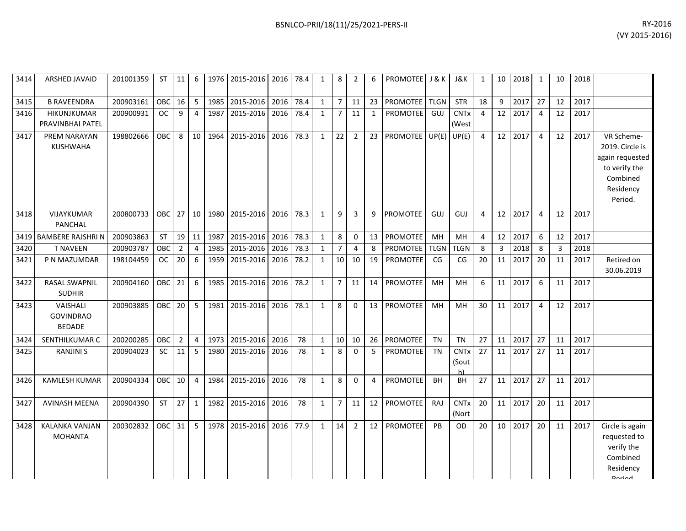|      |                                 |           |           |                |                |                             |           |  |                |               |   |                         |                  |                      |    |    |      |    |    |      | (VY 2015-2016)                                                                                              |
|------|---------------------------------|-----------|-----------|----------------|----------------|-----------------------------|-----------|--|----------------|---------------|---|-------------------------|------------------|----------------------|----|----|------|----|----|------|-------------------------------------------------------------------------------------------------------------|
| 3414 | <b>ARSHED JAVAID</b>            | 201001359 | <b>ST</b> | 11             |                | 6 1976 2015-2016 2016 78.4  |           |  | 8              | $\mathcal{P}$ | 6 | <b>PROMOTEE</b>         | <b>J &amp; K</b> | J&K                  |    | 10 | 2018 |    | 10 | 2018 |                                                                                                             |
| 3415 | <b>B RAVEENDRA</b>              | 200903161 | OBC 16    |                | 5 <sup>1</sup> | 1985 2015-2016              | 2016 78.4 |  |                | 11            |   | 23 PROMOTEE TLGN        |                  | <b>STR</b>           | 18 | 9  | 2017 | 27 | 12 | 2017 |                                                                                                             |
| 3416 | HIKUNJKUMAR<br>PRAVINBHAI PATEL | 200900931 | OC        | 9              | 4              | 1987 2015-2016 2016 78.4    |           |  | $\overline{7}$ | 11            |   | <b>PROMOTEE</b>         | GUJ              | <b>CNTx</b><br>(West | 4  | 12 | 2017 |    | 12 | 2017 |                                                                                                             |
| 3417 | PREM NARAYAN<br>KUSHWAHA        | 198802666 | OBC       | 8 <sup>1</sup> |                | 10 1964 2015-2016 2016 78.3 |           |  | 22             | $2^{\circ}$   |   | 23 PROMOTEE UP(E) UP(E) |                  |                      | 4  | 12 | 2017 | 4  | 12 | 2017 | VR Scheme-<br>2019. Circle is<br>again requested<br>to verify the<br>Combined<br>Residency<br><b>Dariod</b> |

| 3415 | B RAVEENDRA                                   | 700903161 | <b>OBC</b> | 1b.            | 5               | 1985 | 2015-2016   2016 |      | 78.4 | T            |                | 11             | 23.             | <b>IPROMOTEE LILGN</b> |             | <b>SIR</b>                            | 18             | У              | 2017 | 21             | 12 | 2017 |                                                                                                       |
|------|-----------------------------------------------|-----------|------------|----------------|-----------------|------|------------------|------|------|--------------|----------------|----------------|-----------------|------------------------|-------------|---------------------------------------|----------------|----------------|------|----------------|----|------|-------------------------------------------------------------------------------------------------------|
| 3416 | HIKUNJKUMAR<br>PRAVINBHAI PATEL               | 200900931 | <b>OC</b>  | 9              | 4               | 1987 | 2015-2016        | 2016 | 78.4 | $\mathbf{1}$ | $\overline{7}$ | 11             | $\mathbf{1}$    | <b>PROMOTEE</b>        | GUJ         | <b>CNTx</b><br>(West                  | $\overline{4}$ | 12             | 2017 | $\overline{4}$ | 12 | 2017 |                                                                                                       |
| 3417 | PREM NARAYAN<br><b>KUSHWAHA</b>               | 198802666 | OBC        | 8              | 10 <sup>1</sup> | 1964 | 2015-2016        | 2016 | 78.3 | $\mathbf{1}$ | 22             | $\overline{2}$ |                 | 23 PROMOTEE            | UP(E)       | UP(E)                                 | $\overline{4}$ | 12             | 2017 | $\overline{4}$ | 12 | 2017 | VR Scheme-<br>2019. Circle is<br>again requested<br>to verify the<br>Combined<br>Residency<br>Period. |
| 3418 | VIJAYKUMAR<br><b>PANCHAL</b>                  | 200800733 | OBC I      | 27             | 10 <sup>1</sup> | 1980 | 2015-2016        | 2016 | 78.3 | $\mathbf{1}$ | 9              | 3              | 9               | <b>PROMOTEE</b>        | GUJ         | GUJ                                   | 4              | 12             | 2017 | 4              | 12 | 2017 |                                                                                                       |
| 3419 | <b>BAMBERE RAJSHRIN</b>                       | 200903863 | <b>ST</b>  | 19             | 11              | 1987 | 2015-2016        | 2016 | 78.3 | $\mathbf{1}$ | 8              | $\Omega$       | 13              | <b>PROMOTEE</b>        | MH          | MH                                    | $\overline{4}$ | 12             | 2017 | 6              | 12 | 2017 |                                                                                                       |
| 3420 | <b>T NAVEEN</b>                               | 200903787 | <b>OBC</b> | $\overline{2}$ | $\overline{4}$  | 1985 | 2015-2016        | 2016 | 78.3 | $\mathbf{1}$ | $\overline{7}$ | $\overline{a}$ | 8               | <b>PROMOTEE</b>        | <b>TLGN</b> | <b>TLGN</b>                           | -8             | $\overline{3}$ | 2018 | 8              | 3  | 2018 |                                                                                                       |
| 3421 | P N MAZUMDAR                                  | 198104459 | <b>OC</b>  | 20             | 6               | 1959 | 2015-2016 2016   |      | 78.2 | $\mathbf{1}$ | 10             | 10             | 19              | <b>PROMOTEE</b>        | CG          | CG                                    | 20             | 11             | 2017 | 20             | 11 | 2017 | Retired on<br>30.06.2019                                                                              |
| 3422 | <b>RASAL SWAPNIL</b><br><b>SUDHIR</b>         | 200904160 | OBC        | 21             | 6               | 1985 | 2015-2016        | 2016 | 78.2 | $\mathbf{1}$ | $\overline{7}$ | 11             | 14              | <b>PROMOTEE</b>        | MH          | <b>MH</b>                             | 6              | 11             | 2017 | 6              | 11 | 2017 |                                                                                                       |
| 3423 | VAISHALI<br><b>GOVINDRAO</b><br><b>BEDADE</b> | 200903885 | OBC        | 20             | 5 <sub>1</sub>  | 1981 | 2015-2016        | 2016 | 78.1 | $\mathbf{1}$ | 8              | $\Omega$       | 13              | PROMOTEE               | MH          | MH                                    | 30             | 11             | 2017 | $\overline{4}$ | 12 | 2017 |                                                                                                       |
| 3424 | SENTHILKUMAR C                                | 200200285 | OBC        | $\overline{2}$ | $\overline{4}$  | 1973 | 2015-2016        | 2016 | 78   | $\mathbf{1}$ | 10             | 10             | 26              | <b>PROMOTEE</b>        | <b>TN</b>   | <b>TN</b>                             | 27             | 11             | 2017 | 27             | 11 | 2017 |                                                                                                       |
| 3425 | <b>RANJINI S</b>                              | 200904023 | <b>SC</b>  | 11             | 5               | 1980 | 2015-2016        | 2016 | 78   | $\mathbf{1}$ | 8              | $\Omega$       | .5              | <b>PROMOTEE</b>        | <b>TN</b>   | <b>CNT<sub>x</sub></b><br>(Sout<br>h) | 27             | 11             | 2017 | 27             | 11 | 2017 |                                                                                                       |
| 3426 | <b>KAMLESH KUMAR</b>                          | 200904334 | OBC        | 10             | $\overline{4}$  | 1984 | 2015-2016        | 2016 | 78   | $\mathbf{1}$ | 8              | $\Omega$       | $\overline{4}$  | <b>PROMOTEE</b>        | <b>BH</b>   | BH                                    | 27             | 11             | 2017 | 27             | 11 | 2017 |                                                                                                       |
| 3427 | <b>AVINASH MEENA</b>                          | 200904390 | <b>ST</b>  | 27             | 1               | 1982 | 2015-2016 2016   |      | 78   | $\mathbf{1}$ | 7              | 11             | 12              | <b>PROMOTEE</b>        | RAJ         | <b>CNTx</b><br>(Nort                  | 20             | 11             | 2017 | 20             | 11 | 2017 |                                                                                                       |
| 3428 | <b>KALANKA VANJAN</b><br><b>MOHANTA</b>       | 200302832 | OBC        | 31             | 5 <sup>5</sup>  | 1978 | 2015-2016        | 2016 | 77.9 | $\mathbf{1}$ | 14             | $\overline{2}$ | 12 <sup>1</sup> | PROMOTEE               | PB          | <b>OD</b>                             | 20             | 10             | 2017 | 20             | 11 | 2017 | Circle is again<br>requested to<br>verify the<br>Combined<br>Residency<br>لممنعمه                     |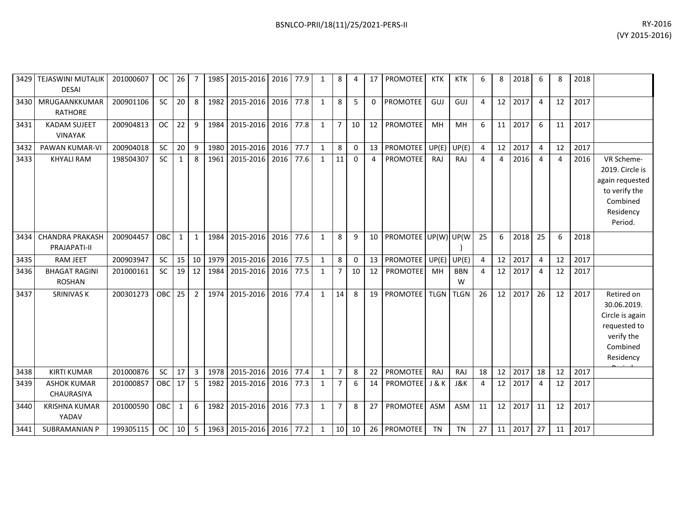| 3429 | <b>TEJASWINI MUTALIK</b><br><b>DESAI</b> | 201000607 | <b>OC</b>  | 26           | - 7            | 1985 | 2015-2016                      | 2016 | 77.9 | 1            | 8              | 4            | 17             | <b>PROMOTEE</b>      | KTK              | <b>KTK</b>      | 6              | 8              | 2018 | 6  | 8              | 2018 |                                                                                                       |
|------|------------------------------------------|-----------|------------|--------------|----------------|------|--------------------------------|------|------|--------------|----------------|--------------|----------------|----------------------|------------------|-----------------|----------------|----------------|------|----|----------------|------|-------------------------------------------------------------------------------------------------------|
| 3430 | MRUGAANKKUMAR<br><b>RATHORE</b>          | 200901106 | SC         | 20           | 8              | 1982 | 2015-2016                      | 2016 | 77.8 | $\mathbf{1}$ | 8              | 5            | $\Omega$       | <b>PROMOTEE</b>      | GUJ              | GUJ             | 4              | 12             | 2017 | 4  | 12             | 2017 |                                                                                                       |
| 3431 | <b>KADAM SUJEET</b><br><b>VINAYAK</b>    | 200904813 | <b>OC</b>  | 22           | 9              | 1984 | 2015-2016                      | 2016 | 77.8 | $\mathbf{1}$ | $\overline{7}$ | 10           | 12             | <b>PROMOTEE</b>      | MH               | MH              | 6              | 11             | 2017 | 6  | 11             | 2017 |                                                                                                       |
| 3432 | <b>PAWAN KUMAR-VI</b>                    | 200904018 | <b>SC</b>  | 20           | 9              | 1980 | 2015-2016                      | 2016 | 77.7 | $\mathbf{1}$ | 8              | $\mathbf 0$  | 13             | <b>PROMOTEE</b>      | UP(E)            | UP(E)           | $\overline{4}$ | 12             | 2017 | 4  | 12             | 2017 |                                                                                                       |
| 3433 | <b>KHYALI RAM</b>                        | 198504307 | SC         | $\mathbf{1}$ | 8              | 1961 | 2015-2016                      | 2016 | 77.6 | $\mathbf{1}$ | 11             | $\mathbf{0}$ | $\overline{4}$ | <b>PROMOTEE</b>      | RAJ              | RAJ             | $\overline{4}$ | $\overline{4}$ | 2016 | 4  | $\overline{4}$ | 2016 | VR Scheme-<br>2019. Circle is<br>again requested<br>to verify the<br>Combined<br>Residency<br>Period. |
| 3434 | <b>CHANDRA PRAKASH</b><br>PRAJAPATI-II   | 200904457 | OBC        | $\mathbf{1}$ | $\mathbf{1}$   | 1984 | 2015-2016                      | 2016 | 77.6 | $\mathbf{1}$ | 8              | 9            | 10             | PROMOTEE UP(W) UP(W) |                  |                 | 25             | 6              | 2018 | 25 | 6              | 2018 |                                                                                                       |
| 3435 | <b>RAM JEET</b>                          | 200903947 | <b>SC</b>  | 15           | 10             | 1979 | 2015-2016                      | 2016 | 77.5 | $\mathbf{1}$ | 8              | $\mathbf 0$  | 13             | <b>PROMOTEE</b>      | UP(E)            | UP(E)           | 4              | 12             | 2017 | 4  | 12             | 2017 |                                                                                                       |
| 3436 | <b>BHAGAT RAGINI</b><br><b>ROSHAN</b>    | 201000161 | <b>SC</b>  | 19           | 12             | 1984 | 2015-2016                      | 2016 | 77.5 | $\mathbf{1}$ | $\overline{7}$ | 10           | 12             | <b>PROMOTEE</b>      | MH               | <b>BBN</b><br>W | $\overline{4}$ | 12             | 2017 | 4  | 12             | 2017 |                                                                                                       |
| 3437 | <b>SRINIVAS K</b>                        | 200301273 | OBC        | 25           | $\overline{2}$ | 1974 | 2015-2016                      | 2016 | 77.4 | $\mathbf{1}$ | 14             | 8            | 19             | PROMOTEE             | <b>TLGN</b>      | <b>TLGN</b>     | 26             | 12             | 2017 | 26 | 12             | 2017 | Retired on<br>30.06.2019.<br>Circle is again<br>requested to<br>verify the<br>Combined<br>Residency   |
| 3438 | <b>KIRTI KUMAR</b>                       | 201000876 | <b>SC</b>  | 17           | 3              | 1978 | 2015-2016                      | 2016 | 77.4 | $\mathbf{1}$ | $\overline{7}$ | 8            | 22             | <b>PROMOTEE</b>      | RAJ              | <b>RAJ</b>      | 18             | 12             | 2017 | 18 | 12             | 2017 |                                                                                                       |
| 3439 | <b>ASHOK KUMAR</b><br>CHAURASIYA         | 201000857 | OBC        | 17           | 5              | 1982 | 2015-2016                      | 2016 | 77.3 | $\mathbf{1}$ | $\overline{7}$ | 6            | 14             | <b>PROMOTEE</b>      | <b>J &amp; K</b> | J&K             | $\overline{4}$ | 12             | 2017 | 4  | 12             | 2017 |                                                                                                       |
| 3440 | <b>KRISHNA KUMAR</b><br>YADAV            | 201000590 | <b>OBC</b> | $\mathbf{1}$ | 6              | 1982 | 2015-2016                      | 2016 | 77.3 | $\mathbf{1}$ | $\overline{7}$ | 8            | 27             | <b>PROMOTEE</b>      | <b>ASM</b>       | <b>ASM</b>      | 11             | 12             | 2017 | 11 | 12             | 2017 |                                                                                                       |
| 3441 | <b>SUBRAMANIAN P</b>                     | 199305115 | <b>OC</b>  | 10           | 5              |      | 1963   2015-2016   2016   77.2 |      |      | $\mathbf{1}$ | 10             | 10           |                | 26 PROMOTEE          | <b>TN</b>        | <b>TN</b>       | 27             | 11             | 2017 | 27 | 11             | 2017 |                                                                                                       |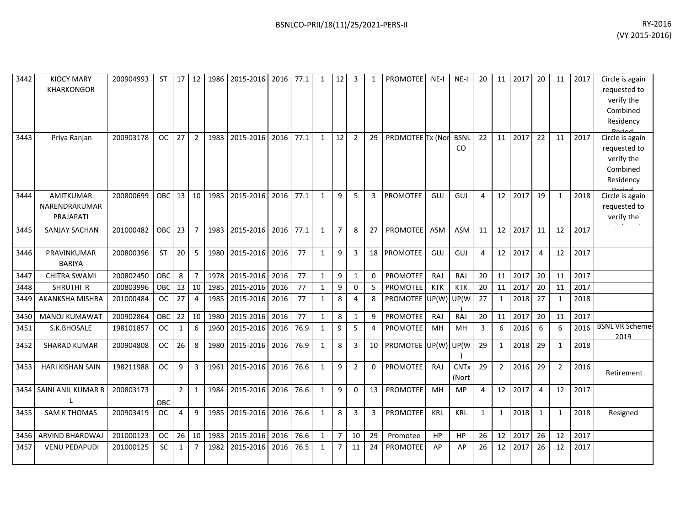| 3442 | <b>KIOCY MARY</b><br><b>KHARKONGOR</b>         | 200904993 | <b>ST</b>  |                |                 |      | 17   12   1986   2015-2016   2016   77.1 |      |      | $\mathbf{1}$ | 12             | 3              | 1            | <b>PROMOTEE</b>   | $NE-I$     | $NE-I$               | 20           |                 | 11 2017 | 20             | 11           | 2017 | Circle is again<br>requested to<br>verify the<br>Combined<br>Residency |
|------|------------------------------------------------|-----------|------------|----------------|-----------------|------|------------------------------------------|------|------|--------------|----------------|----------------|--------------|-------------------|------------|----------------------|--------------|-----------------|---------|----------------|--------------|------|------------------------------------------------------------------------|
| 3443 | Priya Ranjan                                   | 200903178 | <b>OC</b>  | 27             | $\overline{2}$  | 1983 | 2015-2016                                | 2016 | 77.1 | $\mathbf{1}$ | 12             | $\overline{2}$ | 29           | PROMOTEE Tx (Nor  |            | <b>BSNL</b><br>CO.   | 22           | 11 <sup>1</sup> | 2017    | 22             | 11           | 2017 | Circle is again<br>requested to<br>verify the<br>Combined<br>Residency |
| 3444 | <b>AMITKUMAR</b><br>NARENDRAKUMAR<br>PRAJAPATI | 200800699 | OBC I      | 13             | 10 <sup>1</sup> | 1985 | 2015-2016                                | 2016 | 77.1 | $\mathbf{1}$ | 9              | 5              | 3            | <b>PROMOTEE</b>   | GUJ        | GUJ                  | 4            | 12              | 2017    | 19             | $\mathbf{1}$ | 2018 | Circle is again<br>requested to<br>verify the                          |
| 3445 | SANJAY SACHAN                                  | 201000482 | <b>OBC</b> | 23             | $\overline{7}$  | 1983 | 2015-2016                                | 2016 | 77.1 | 1            | $\overline{7}$ | 8              | 27           | <b>PROMOTEE</b>   | ASM        | <b>ASM</b>           | 11           | 12              | 2017    | 11             | 12           | 2017 |                                                                        |
| 3446 | PRAVINKUMAR<br><b>BARIYA</b>                   | 200800396 | <b>ST</b>  | 20             | 5               | 1980 | 2015-2016                                | 2016 | 77   | $\mathbf{1}$ | 9              | 3              |              | 18 PROMOTEE       | GUJ        | GUJ                  | 4            | 12              | 2017    | $\overline{4}$ | 12           | 2017 |                                                                        |
| 3447 | <b>CHITRA SWAMI</b>                            | 200802450 | OBC        | 8              | $\overline{7}$  | 1978 | 2015-2016                                | 2016 | 77   | $\mathbf{1}$ | 9              | $\mathbf{1}$   | $\Omega$     | <b>PROMOTEE</b>   | RAJ        | RAJ                  | 20           | 11              | 2017    | 20             | 11           | 2017 |                                                                        |
| 3448 | SHRUTHI R                                      | 200803996 | OBC        | 13             | 10              | 1985 | 2015-2016                                | 2016 | 77   | 1            | 9              | $\Omega$       |              | <b>PROMOTEE</b>   | <b>KTK</b> | <b>KTK</b>           | 20           | 11              | 2017    | 20             | 11           | 2017 |                                                                        |
| 3449 | AKANKSHA MISHRA                                | 201000484 | <b>OC</b>  | 27             | $\overline{4}$  | 1985 | 2015-2016                                | 2016 | 77   | $\mathbf{1}$ | 8              | 4              | 8            | PROMOTEE UP(W)    |            | UP(W                 | 27           | 1               | 2018    | 27             | 1            | 2018 |                                                                        |
| 3450 | <b>MANOJ KUMAWAT</b>                           | 200902864 | OBC        | 22             | 10 <sup>1</sup> | 1980 | 2015-2016                                | 2016 | 77   | $\mathbf{1}$ | 8              | $\mathbf{1}$   | $\mathbf{q}$ | <b>PROMOTEE</b>   | RAJ        | RAJ                  | 20           | 11              | 2017    | 20             | 11           | 2017 |                                                                        |
| 3451 | S.K.BHOSALE                                    | 198101857 | <b>OC</b>  | 1              | 6               | 1960 | 2015-2016                                | 2016 | 76.9 | 1            | 9              | 5              | 4            | <b>PROMOTEE</b>   | MH         | MH                   | 3            | 6               | 2016    | 6              | 6            | 2016 | <b>BSNL VR Scheme-</b><br>2019                                         |
| 3452 | <b>SHARAD KUMAR</b>                            | 200904808 | <b>OC</b>  | 26             | 8               | 1980 | 2015-2016                                | 2016 | 76.9 | $\mathbf{1}$ | 8              | 3              |              | 10 PROMOTEE UP(W) |            | UP(W                 | 29           | $\mathbf{1}$    | 2018    | 29             | 1            | 2018 |                                                                        |
| 3453 | <b>HARI KISHAN SAIN</b>                        | 198211988 | <b>OC</b>  | 9              | $\overline{3}$  | 1961 | 2015-2016                                | 2016 | 76.6 | $\mathbf{1}$ | 9              | $\overline{2}$ | $\Omega$     | <b>PROMOTEE</b>   | RAJ        | <b>CNTx</b><br>(Nort | 29           | $\overline{2}$  | 2016    | 29             | 2            | 2016 | Retirement                                                             |
|      | 3454 SAINI ANIL KUMAR B                        | 200803173 | OBC        | $\overline{2}$ | $\mathbf{1}$    | 1984 | 2015-2016                                | 2016 | 76.6 | $\mathbf{1}$ | 9              | $\mathbf{0}$   | 13           | <b>PROMOTEE</b>   | MH         | <b>MP</b>            | 4            | 12              | 2017    | $\overline{4}$ | 12           | 2017 |                                                                        |
| 3455 | <b>SAM K THOMAS</b>                            | 200903419 | <b>OC</b>  | 4              | 9               | 1985 | 2015-2016                                | 2016 | 76.6 | $\mathbf{1}$ | 8              | 3              | 3            | <b>PROMOTEE</b>   | <b>KRL</b> | <b>KRL</b>           | $\mathbf{1}$ | $\mathbf{1}$    | 2018    | 1              |              | 2018 | Resigned                                                               |
| 3456 | ARVIND BHARDWAJ                                | 201000123 | <b>OC</b>  | 26             | 10 <sup>1</sup> | 1983 | 2015-2016                                | 2016 | 76.6 | $\mathbf{1}$ | $\overline{7}$ | 10             | 29           | Promotee          | <b>HP</b>  | HP.                  | 26           | 12              | 2017    | 26             | 12           | 2017 |                                                                        |
| 3457 | <b>VENU PEDAPUDI</b>                           | 201000125 | <b>SC</b>  | 1              |                 | 1982 | 2015-2016                                | 2016 | 76.5 | 1            |                | 11             | 24           | <b>PROMOTEE</b>   | AP         | АP                   | 26           | 12              | 2017    | 26             | 12           | 2017 |                                                                        |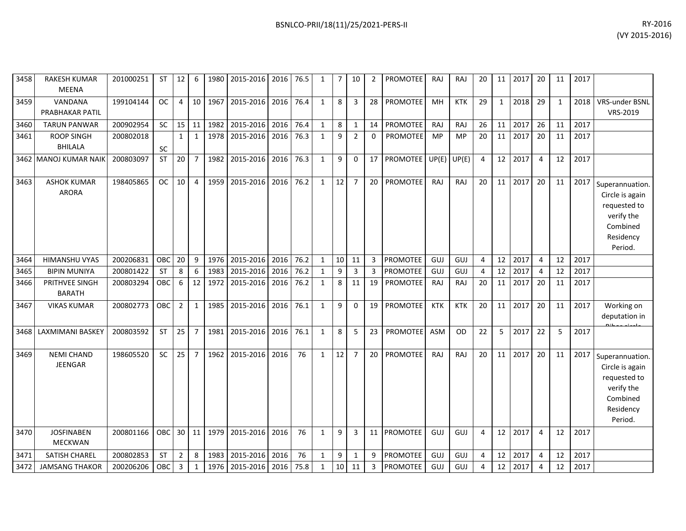| 3458 | <b>RAKESH KUMAR</b><br><b>MEENA</b> | 201000251 | ST        | 12             | 6              | 1980 | 2015-2016   2016    |      | 76.5 | 1            | 7               | 10             | 2            | <b>PROMOTEE</b> | <b>RAJ</b> | RAJ        | 20 | 11           | 2017 | 20             | 11           | 2017 |                                                                                                      |
|------|-------------------------------------|-----------|-----------|----------------|----------------|------|---------------------|------|------|--------------|-----------------|----------------|--------------|-----------------|------------|------------|----|--------------|------|----------------|--------------|------|------------------------------------------------------------------------------------------------------|
| 3459 | VANDANA<br>PRABHAKAR PATIL          | 199104144 | <b>OC</b> | $\overline{4}$ | 10             | 1967 | 2015-2016           | 2016 | 76.4 | $\mathbf{1}$ | 8               | 3              | 28           | <b>PROMOTEE</b> | MH         | <b>KTK</b> | 29 | $\mathbf{1}$ | 2018 | 29             | $\mathbf{1}$ | 2018 | VRS-under BSNL<br>VRS-2019                                                                           |
| 3460 | <b>TARUN PANWAR</b>                 | 200902954 | SC        | 15             | 11             | 1982 | 2015-2016           | 2016 | 76.4 | $\mathbf{1}$ | 8               | $\mathbf{1}$   | 14           | PROMOTEE        | RAJ        | RAJ        | 26 | 11           | 2017 | 26             | 11           | 2017 |                                                                                                      |
| 3461 | <b>ROOP SINGH</b><br><b>BHILALA</b> | 200802018 | SC        | $\mathbf{1}$   | $\mathbf{1}$   | 1978 | 2015-2016           | 2016 | 76.3 | $\mathbf{1}$ | 9               | $\overline{2}$ | $\mathbf{0}$ | <b>PROMOTEE</b> | MP         | MP         | 20 | 11           | 2017 | 20             | 11           | 2017 |                                                                                                      |
|      | 3462 MANOJ KUMAR NAIK               | 200803097 | ST        | 20             | $\overline{7}$ | 1982 | 2015-2016           | 2016 | 76.3 | $\mathbf{1}$ | 9               | $\mathbf 0$    | 17           | <b>PROMOTEE</b> | UP(E)      | UP(E)      | 4  | 12           | 2017 | 4              | 12           | 2017 |                                                                                                      |
| 3463 | <b>ASHOK KUMAR</b><br><b>ARORA</b>  | 198405865 | <b>OC</b> | 10             | 4              | 1959 | 2015-2016           | 2016 | 76.2 | 1            | 12              | $\overline{7}$ | 20           | PROMOTEE        | RAJ        | RAJ        | 20 | 11           | 2017 | 20             | 11           | 2017 | Superannuation.<br>Circle is again<br>requested to<br>verify the<br>Combined<br>Residency<br>Period. |
| 3464 | <b>HIMANSHU VYAS</b>                | 200206831 | OBC       | 20             | 9              | 1976 | 2015-2016           | 2016 | 76.2 | $\mathbf{1}$ | 10              | 11             | 3            | <b>PROMOTEE</b> | GUJ        | GUJ        | 4  | 12           | 2017 | $\overline{4}$ | 12           | 2017 |                                                                                                      |
| 3465 | <b>BIPIN MUNIYA</b>                 | 200801422 | ST        | 8              | 6              | 1983 | 2015-2016           | 2016 | 76.2 | $\mathbf{1}$ | 9               | 3              | 3            | <b>PROMOTEE</b> | GUJ        | GUJ        | 4  | 12           | 2017 | 4              | 12           | 2017 |                                                                                                      |
| 3466 | PRITHVEE SINGH<br><b>BARATH</b>     | 200803294 | OBC       | 6              | 12             | 1972 | 2015-2016           | 2016 | 76.2 | 1            | 8               | 11             | 19           | PROMOTEE        | <b>RAJ</b> | RAJ        | 20 | 11           | 2017 | 20             | 11           | 2017 |                                                                                                      |
| 3467 | <b>VIKAS KUMAR</b>                  | 200802773 | OBC       | $\overline{2}$ | $\mathbf{1}$   | 1985 | 2015-2016           | 2016 | 76.1 | 1            | 9               | $\mathbf{0}$   | 19           | <b>PROMOTEE</b> | <b>KTK</b> | <b>KTK</b> | 20 | 11           | 2017 | 20             | 11           | 2017 | Working on<br>deputation in                                                                          |
| 3468 | LAXMIMANI BASKEY                    | 200803592 | <b>ST</b> | 25             | $\overline{7}$ | 1981 | 2015-2016           | 2016 | 76.1 | 1            | 8               | 5              | 23           | <b>PROMOTEE</b> | <b>ASM</b> | <b>OD</b>  | 22 | 5            | 2017 | 22             | 5            | 2017 |                                                                                                      |
| 3469 | <b>NEMI CHAND</b><br><b>JEENGAR</b> | 198605520 | SC        | 25             | $\overline{7}$ | 1962 | 2015-2016           | 2016 | 76   | $\mathbf{1}$ | 12              | $\overline{7}$ | 20           | <b>PROMOTEE</b> | RAJ        | RAJ        | 20 | 11           | 2017 | 20             | 11           | 2017 | Superannuation.<br>Circle is again<br>requested to<br>verify the<br>Combined<br>Residency<br>Period. |
| 3470 | <b>JOSFINABEN</b><br><b>MECKWAN</b> | 200801166 | OBC       | 30             | 11             | 1979 | 2015-2016           | 2016 | 76   | $\mathbf{1}$ | 9               | 3              | 11           | <b>PROMOTEE</b> | GUJ        | GUJ        | 4  | 12           | 2017 | 4              | 12           | 2017 |                                                                                                      |
| 3471 | <b>SATISH CHAREL</b>                | 200802853 | <b>ST</b> | $\overline{2}$ | 8              | 1983 | 2015-2016           | 2016 | 76   | $\mathbf{1}$ | 9               | $\mathbf{1}$   | 9            | <b>PROMOTEE</b> | GUJ        | GUJ        | 4  | 12           | 2017 | 4              | 12           | 2017 |                                                                                                      |
| 3472 | <b>JAMSANG THAKOR</b>               | 200206206 | OBC       | $\overline{3}$ | $\mathbf{1}$   |      | 1976 2015-2016 2016 |      | 75.8 | $\mathbf{1}$ | 10 <sup>1</sup> | 11             | 3            | <b>PROMOTEE</b> | GUJ        | GUJ        | 4  | 12           | 2017 | $\overline{a}$ | 12           | 2017 |                                                                                                      |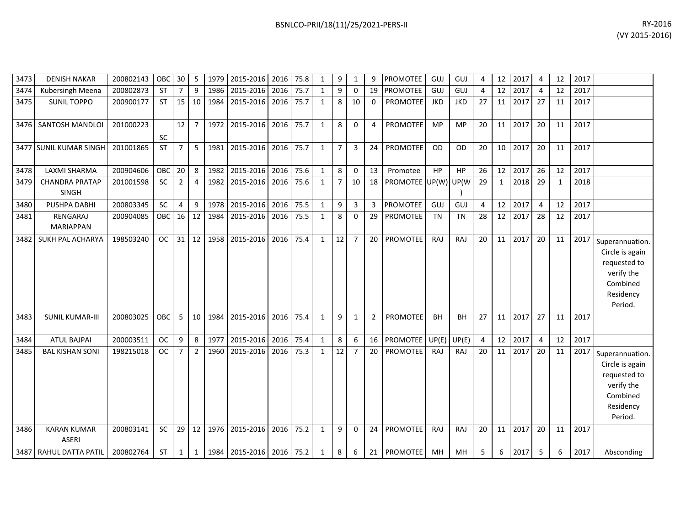| BSNLCO-PRII/18(11)/25/2021-PERS-II | RY-2016                                                                                                                                                                                                                                                                                                                                                                                                                                                                                                          |
|------------------------------------|------------------------------------------------------------------------------------------------------------------------------------------------------------------------------------------------------------------------------------------------------------------------------------------------------------------------------------------------------------------------------------------------------------------------------------------------------------------------------------------------------------------|
|                                    | $\mathbf{A} \times \mathbf{A} \times \mathbf{A} \times \mathbf{A} \times \mathbf{A} \times \mathbf{A} \times \mathbf{A} \times \mathbf{A} \times \mathbf{A} \times \mathbf{A} \times \mathbf{A} \times \mathbf{A} \times \mathbf{A} \times \mathbf{A} \times \mathbf{A} \times \mathbf{A} \times \mathbf{A} \times \mathbf{A} \times \mathbf{A} \times \mathbf{A} \times \mathbf{A} \times \mathbf{A} \times \mathbf{A} \times \mathbf{A} \times \mathbf{A} \times \mathbf{A} \times \mathbf{A} \times \mathbf{$ |

| 3473 | <b>DENISH NAKAR</b>                   | 200802143 | OBC        | 30             | 5              | 1979 | 2015-2016           | 2016 | 75.8 | $\mathbf{1}$ | 9              | $\mathbf{1}$   | q              | PROMOTEE            | GUJ        | GUJ        | 4              | 12 | 2017 | $\overline{4}$ | 12 | 2017 |                                                                                                      |
|------|---------------------------------------|-----------|------------|----------------|----------------|------|---------------------|------|------|--------------|----------------|----------------|----------------|---------------------|------------|------------|----------------|----|------|----------------|----|------|------------------------------------------------------------------------------------------------------|
| 3474 | Kubersingh Meena                      | 200802873 | <b>ST</b>  | 7              | 9              | 1986 | 2015-2016           | 2016 | 75.7 | 1            | 9              | 0              | 19             | <b>PROMOTEE</b>     | GUJ        | GUJ        | 4              | 12 | 2017 | 4              | 12 | 2017 |                                                                                                      |
| 3475 | <b>SUNIL TOPPO</b>                    | 200900177 | <b>ST</b>  | 15             | 10             | 1984 | 2015-2016           | 2016 | 75.7 | $\mathbf{1}$ | 8              | 10             | $\Omega$       | <b>PROMOTEE</b>     | <b>JKD</b> | <b>JKD</b> | 27             | 11 | 2017 | 27             | 11 | 2017 |                                                                                                      |
| 3476 | SANTOSH MANDLOI                       | 201000223 | <b>SC</b>  | 12             | $\overline{7}$ |      | 1972 2015-2016      | 2016 | 75.7 | $\mathbf{1}$ | 8              | $\Omega$       | 4              | <b>PROMOTEE</b>     | <b>MP</b>  | <b>MP</b>  | 20             | 11 | 2017 | 20             | 11 | 2017 |                                                                                                      |
|      | 3477 SUNIL KUMAR SINGH                | 201001865 | <b>ST</b>  | $\overline{7}$ | 5              | 1981 | 2015-2016           | 2016 | 75.7 | $\mathbf{1}$ | $\overline{7}$ | 3              | 24             | <b>PROMOTEE</b>     | <b>OD</b>  | <b>OD</b>  | 20             | 10 | 2017 | 20             | 11 | 2017 |                                                                                                      |
| 3478 | LAXMI SHARMA                          | 200904606 | OBC        | 20             | 8              | 1982 | 2015-2016           | 2016 | 75.6 | $\mathbf{1}$ | 8              | $\mathbf 0$    | 13             | Promotee            | HP         | HP         | 26             | 12 | 2017 | 26             | 12 | 2017 |                                                                                                      |
| 3479 | <b>CHANDRA PRATAP</b><br><b>SINGH</b> | 201001598 | <b>SC</b>  | $\overline{2}$ | $\overline{4}$ | 1982 | 2015-2016           | 2016 | 75.6 | 1            | $\overline{7}$ | 10             | 18             | PROMOTEE UP(W) UP(W |            |            | 29             | 1  | 2018 | 29             | 1  | 2018 |                                                                                                      |
| 3480 | PUSHPA DABHI                          | 200803345 | SC         | 4              | 9              | 1978 | 2015-2016           | 2016 | 75.5 | $\mathbf{1}$ | 9              | 3              | 3              | <b>PROMOTEE</b>     | GUJ        | GUJ        | $\overline{4}$ | 12 | 2017 | $\overline{4}$ | 12 | 2017 |                                                                                                      |
| 3481 | RENGARAJ<br><b>MARIAPPAN</b>          | 200904085 | OBC        | 16             | 12             | 1984 | 2015-2016           | 2016 | 75.5 | $\mathbf{1}$ | 8              | $\Omega$       | 29             | <b>PROMOTEE</b>     | <b>TN</b>  | <b>TN</b>  | 28             | 12 | 2017 | 28             | 12 | 2017 |                                                                                                      |
| 3482 | <b>SUKH PAL ACHARYA</b>               | 198503240 | <b>OC</b>  | 31             | 12             | 1958 | 2015-2016           | 2016 | 75.4 | $\mathbf{1}$ | 12             | $\overline{7}$ | 20             | PROMOTEE            | <b>RAJ</b> | RAJ        | 20             | 11 | 2017 | 20             | 11 | 2017 | Superannuation.<br>Circle is again<br>requested to<br>verify the<br>Combined<br>Residency<br>Period. |
| 3483 | <b>SUNIL KUMAR-III</b>                | 200803025 | <b>OBC</b> | 5              | 10             | 1984 | 2015-2016           | 2016 | 75.4 | $\mathbf{1}$ | 9              | $\mathbf{1}$   | $\overline{2}$ | <b>PROMOTEE</b>     | <b>BH</b>  | <b>BH</b>  | 27             | 11 | 2017 | 27             | 11 | 2017 |                                                                                                      |
| 3484 | <b>ATUL BAJPAI</b>                    | 200003511 | <b>OC</b>  | 9              | 8              | 1977 | 2015-2016           | 2016 | 75.4 | $\mathbf{1}$ | 8              | 6              | 16             | <b>PROMOTEE</b>     | UP(E)      | UP(E)      | $\overline{4}$ | 12 | 2017 | $\overline{a}$ | 12 | 2017 |                                                                                                      |
| 3485 | <b>BAL KISHAN SONI</b>                | 198215018 | <b>OC</b>  | $\overline{7}$ | $\overline{2}$ | 1960 | 2015-2016           | 2016 | 75.3 | 1            | 12             | $\overline{7}$ | 20             | PROMOTEE            | RAJ        | RAJ        | 20             | 11 | 2017 | 20             | 11 | 2017 | Superannuation.<br>Circle is again<br>requested to<br>verify the<br>Combined<br>Residency<br>Period. |
| 3486 | <b>KARAN KUMAR</b><br><b>ASERI</b>    | 200803141 | SC         | 29             | 12             |      | 1976 2015-2016      | 2016 | 75.2 | $\mathbf{1}$ | 9              | $\mathbf{0}$   | 24             | <b>PROMOTEE</b>     | <b>RAJ</b> | RAJ        | 20             | 11 | 2017 | 20             | 11 | 2017 |                                                                                                      |
|      | 3487 RAHUL DATTA PATIL                | 200802764 | <b>ST</b>  | $\mathbf{1}$   | $\mathbf{1}$   |      | 1984 2015-2016 2016 |      | 75.2 | $\mathbf{1}$ | 8              | 6              | 21             | <b>PROMOTEE</b>     | MH         | MH         | 5              | 6  | 2017 | 5              | 6  | 2017 | Absconding                                                                                           |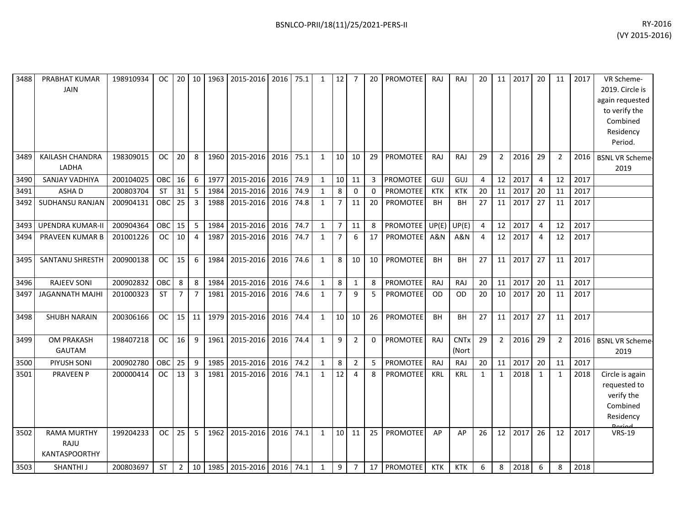| 3488 | PRABHAT KUMAR<br><b>JAIN</b>                       | 198910934 | OC.        | 20             | 10             | 1963 | 2015-2016                | 2016 | 75.1 | $\mathbf{1}$ | 12              | $\overline{7}$ | 20 | <b>PROMOTEE</b> | RAJ            | <b>RAJ</b>           | 20 | 11              | 2017 | 20             | 11             | 2017 | VR Scheme-<br>2019. Circle is<br>again requested<br>to verify the<br>Combined<br>Residency<br>Period. |
|------|----------------------------------------------------|-----------|------------|----------------|----------------|------|--------------------------|------|------|--------------|-----------------|----------------|----|-----------------|----------------|----------------------|----|-----------------|------|----------------|----------------|------|-------------------------------------------------------------------------------------------------------|
| 3489 | KAILASH CHANDRA<br>LADHA                           | 198309015 | <b>OC</b>  | 20             | 8              | 1960 | 2015-2016                | 2016 | 75.1 | $\mathbf{1}$ | 10 <sup>1</sup> | 10             | 29 | PROMOTEE        | <b>RAJ</b>     | <b>RAJ</b>           | 29 | $\overline{2}$  | 2016 | 29             | $\overline{2}$ | 2016 | <b>BSNL VR Scheme-</b><br>2019                                                                        |
| 3490 | SANJAY VADHIYA                                     | 200104025 | <b>OBC</b> | 16             | 6              | 1977 | 2015-2016                | 2016 | 74.9 | $\mathbf{1}$ | 10              | 11             |    | 3 PROMOTEE      | GUJ            | GUJ                  | 4  | 12              | 2017 | $\overline{4}$ | 12             | 2017 |                                                                                                       |
| 3491 | ASHA D                                             | 200803704 | <b>ST</b>  | 31             | 5              | 1984 | 2015-2016                | 2016 | 74.9 | $\mathbf{1}$ | 8               | 0              | 0  | PROMOTEE        | <b>KTK</b>     | <b>KTK</b>           | 20 | 11              | 2017 | 20             | 11             | 2017 |                                                                                                       |
| 3492 | SUDHANSU RANJAN                                    | 200904131 | OBC        | 25             | $\overline{3}$ | 1988 | 2015-2016                | 2016 | 74.8 | $\mathbf{1}$ | 7               | 11             | 20 | PROMOTEE        | <b>BH</b>      | BН                   | 27 | 11              | 2017 | 27             | 11             | 2017 |                                                                                                       |
| 3493 | <b>UPENDRA KUMAR-II</b>                            | 200904364 | OBC        | 15             | 5              | 1984 | 2015-2016                | 2016 | 74.7 | 1            | $7^{\circ}$     | 11             | 8  | <b>PROMOTEE</b> | UP(E)          | UP(E)                | 4  | 12              | 2017 | $\overline{4}$ | 12             | 2017 |                                                                                                       |
| 3494 | PRAVEEN KUMAR B                                    | 201001226 | <b>OC</b>  | 10             | $\overline{4}$ | 1987 | 2015-2016                | 2016 | 74.7 | $\mathbf{1}$ | $\overline{7}$  | 6              | 17 | <b>PROMOTEE</b> | <b>A&amp;N</b> | A&N                  | 4  | 12              | 2017 | $\overline{4}$ | 12             | 2017 |                                                                                                       |
| 3495 | SANTANU SHRESTH                                    | 200900138 | <b>OC</b>  | 15             | 6              | 1984 | 2015-2016                | 2016 | 74.6 | $\mathbf{1}$ | 8               | 10             | 10 | PROMOTEE        | <b>BH</b>      | BH                   | 27 | 11              | 2017 | 27             | 11             | 2017 |                                                                                                       |
| 3496 | <b>RAJEEV SONI</b>                                 | 200902832 | OBC        | 8              | 8              | 1984 | 2015-2016                | 2016 | 74.6 | $\mathbf{1}$ | 8               | $\mathbf{1}$   | 8  | PROMOTEE        | <b>RAJ</b>     | RAJ                  | 20 | 11              | 2017 | 20             | 11             | 2017 |                                                                                                       |
| 3497 | <b>JAGANNATH MAJHI</b>                             | 201000323 | <b>ST</b>  | $\overline{7}$ | $\overline{7}$ | 1981 | 2015-2016                | 2016 | 74.6 | $\mathbf{1}$ | $\overline{7}$  | 9              | 5  | <b>PROMOTEE</b> | <b>OD</b>      | <b>OD</b>            | 20 | 10 <sup>1</sup> | 2017 | 20             | 11             | 2017 |                                                                                                       |
| 3498 | <b>SHUBH NARAIN</b>                                | 200306166 | <b>OC</b>  | $15$   11      |                | 1979 | 2015-2016                | 2016 | 74.4 | $\mathbf{1}$ | 10 <sup>1</sup> | 10             | 26 | <b>PROMOTEE</b> | <b>BH</b>      | BH                   | 27 | 11              | 2017 | 27             | 11             | 2017 |                                                                                                       |
| 3499 | <b>OM PRAKASH</b><br>GAUTAM                        | 198407218 | <b>OC</b>  | 16             | 9              | 1961 | 2015-2016                | 2016 | 74.4 | $\mathbf{1}$ | 9               | $\overline{2}$ | 0  | PROMOTEE        | <b>RAJ</b>     | <b>CNTx</b><br>(Nort | 29 | $\overline{2}$  | 2016 | 29             | 2              | 2016 | <b>BSNL VR Scheme-</b><br>2019                                                                        |
| 3500 | PIYUSH SONI                                        | 200902780 | OBC        | 25             | 9              | 1985 | 2015-2016                | 2016 | 74.2 | $\mathbf{1}$ | 8               | $\overline{2}$ | 5  | PROMOTEE        | <b>RAJ</b>     | RAJ                  | 20 | 11              | 2017 | 20             | 11             | 2017 |                                                                                                       |
| 3501 | <b>PRAVEEN P</b>                                   | 200000414 | <b>OC</b>  | 13             | 3              | 1981 | 2015-2016                | 2016 | 74.1 | $\mathbf{1}$ | 12              | 4              | 8  | PROMOTEE        | KRL            | <b>KRL</b>           | 1  | 1               | 2018 | 1              | 1              | 2018 | Circle is again<br>requested to<br>verify the<br>Combined<br>Residency<br>Doriod                      |
| 3502 | <b>RAMA MURTHY</b><br>RAJU<br><b>KANTASPOORTHY</b> | 199204233 | OC         | 25             | 5              | 1962 | 2015-2016                | 2016 | 74.1 | $\mathbf{1}$ | 10 <sup>1</sup> | 11             | 25 | PROMOTEE        | AP             | AP                   | 26 | 12              | 2017 | 26             | 12             | 2017 | <b>VRS-19</b>                                                                                         |
| 3503 | SHANTHI J                                          | 200803697 | <b>ST</b>  | $\overline{2}$ | 10             |      | 1985 2015-2016 2016 74.1 |      |      | 1            | 9               | $\overline{7}$ | 17 | PROMOTEE        | <b>KTK</b>     | <b>KTK</b>           | 6  | 8               | 2018 | 6              | 8              | 2018 |                                                                                                       |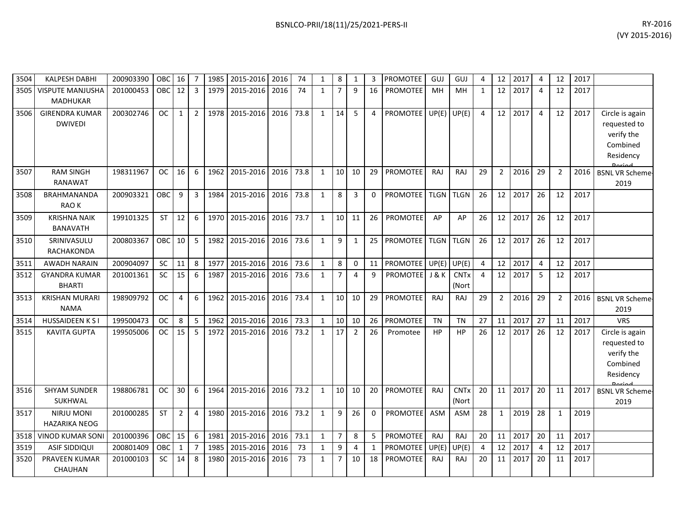| 3504 | <b>KALPESH DABHI</b>                       | 200903390 | OBC        | 16             | $\overline{7}$ | 1985 | 2015-2016      | 2016 | 74   | $\mathbf{1}$ | 8              | 1              | 3            | <b>PROMOTEE</b> | GUJ              | GUJ                  | 4              | 12             | 2017 | 4              | 12             | 2017 |                                                                        |
|------|--------------------------------------------|-----------|------------|----------------|----------------|------|----------------|------|------|--------------|----------------|----------------|--------------|-----------------|------------------|----------------------|----------------|----------------|------|----------------|----------------|------|------------------------------------------------------------------------|
| 3505 | <b>VISPUTE MANJUSHA</b><br><b>MADHUKAR</b> | 201000453 | <b>OBC</b> | 12             | 3              | 1979 | 2015-2016      | 2016 | 74   | $\mathbf{1}$ | $\overline{7}$ | 9              | 16           | <b>PROMOTEE</b> | MH               | <b>MH</b>            | 1              | 12             | 2017 | 4              | 12             | 2017 |                                                                        |
| 3506 | <b>GIRENDRA KUMAR</b><br><b>DWIVEDI</b>    | 200302746 | <b>OC</b>  | $\mathbf{1}$   | 2              | 1978 | 2015-2016      | 2016 | 73.8 | $\mathbf{1}$ | 14             | 5              | 4            | <b>PROMOTEE</b> | UP(E)            | UP(E)                | 4              | 12             | 2017 | $\overline{4}$ | 12             | 2017 | Circle is again<br>requested to<br>verify the<br>Combined<br>Residency |
| 3507 | <b>RAM SINGH</b><br><b>RANAWAT</b>         | 198311967 | <b>OC</b>  | 16             | 6              | 1962 | 2015-2016      | 2016 | 73.8 | $\mathbf{1}$ | 10             | 10             | 29           | PROMOTEE        | <b>RAJ</b>       | RAJ                  | 29             | $\overline{2}$ | 2016 | 29             | $\overline{2}$ | 2016 | <b>BSNL VR Scheme-</b><br>2019                                         |
| 3508 | BRAHMANANDA<br><b>RAOK</b>                 | 200903321 | ОВС        | 9              | 3              | 1984 | 2015-2016      | 2016 | 73.8 | $\mathbf{1}$ | 8              | 3              | 0            | <b>PROMOTEE</b> | <b>TLGN</b>      | <b>TLGN</b>          | 26             | 12             | 2017 | 26             | 12             | 2017 |                                                                        |
| 3509 | <b>KRISHNA NAIK</b><br><b>BANAVATH</b>     | 199101325 | <b>ST</b>  | 12             | 6              | 1970 | 2015-2016      | 2016 | 73.7 | $\mathbf{1}$ | 10             | 11             | 26           | <b>PROMOTEE</b> | AP               | AP                   | 26             | 12             | 2017 | 26             | 12             | 2017 |                                                                        |
| 3510 | SRINIVASULU<br>RACHAKONDA                  | 200803367 | OBC        | 10             | 5              |      | 1982 2015-2016 | 2016 | 73.6 | $\mathbf{1}$ | 9              | 1              | 25           | <b>PROMOTEE</b> | <b>TLGN</b>      | <b>TLGN</b>          | 26             | 12             | 2017 | 26             | 12             | 2017 |                                                                        |
| 3511 | <b>AWADH NARAIN</b>                        | 200904097 | <b>SC</b>  | 11             | 8              | 1977 | 2015-2016      | 2016 | 73.6 | $\mathbf{1}$ | 8              | $\mathbf{0}$   | 11           | <b>PROMOTEE</b> | UP(E)            | UP(E)                | 4              | 12             | 2017 | $\overline{4}$ | 12             | 2017 |                                                                        |
| 3512 | <b>GYANDRA KUMAR</b><br><b>BHARTI</b>      | 201001361 | SC         | 15             | 6              | 1987 | 2015-2016      | 2016 | 73.6 | $\mathbf{1}$ | $\overline{7}$ | 4              | 9            | <b>PROMOTEE</b> | <b>J &amp; K</b> | <b>CNTx</b><br>(Nort | $\overline{4}$ | 12             | 2017 | 5              | 12             | 2017 |                                                                        |
| 3513 | <b>KRISHAN MURARI</b><br><b>NAMA</b>       | 198909792 | <b>OC</b>  | 4              | 6              | 1962 | 2015-2016      | 2016 | 73.4 | $\mathbf{1}$ | 10             | 10             | 29           | <b>PROMOTEE</b> | <b>RAJ</b>       | RAJ                  | 29             | $2^{\circ}$    | 2016 | 29             | $\overline{2}$ | 2016 | <b>BSNL VR Scheme-</b><br>2019                                         |
| 3514 | <b>HUSSAIDEEN K S I</b>                    | 199500473 | <b>OC</b>  | 8              | 5              | 1962 | 2015-2016      | 2016 | 73.3 | $\mathbf{1}$ | 10             | 10             | 26           | <b>PROMOTEE</b> | <b>TN</b>        | <b>TN</b>            | 27             | 11             | 2017 | 27             | 11             | 2017 | <b>VRS</b>                                                             |
| 3515 | <b>KAVITA GUPTA</b>                        | 199505006 | <b>OC</b>  | 15             | 5              | 1972 | 2015-2016      | 2016 | 73.2 | $\mathbf{1}$ | 17             | $\overline{2}$ | 26           | Promotee        | <b>HP</b>        | HP                   | 26             | 12             | 2017 | 26             | 12             | 2017 | Circle is again<br>requested to<br>verify the<br>Combined<br>Residency |
| 3516 | <b>SHYAM SUNDER</b><br><b>SUKHWAL</b>      | 198806781 | <b>OC</b>  | 30             | 6              | 1964 | 2015-2016      | 2016 | 73.2 | $\mathbf{1}$ | 10             | 10             | 20           | PROMOTEE        | <b>RAJ</b>       | <b>CNTx</b><br>(Nort | 20             | 11             | 2017 | 20             | 11             | 2017 | <b>BSNL VR Scheme-</b><br>2019                                         |
| 3517 | <b>NIRJU MONI</b><br><b>HAZARIKA NEOG</b>  | 201000285 | <b>ST</b>  | $\overline{2}$ | $\overline{4}$ | 1980 | 2015-2016      | 2016 | 73.2 | $\mathbf{1}$ | 9              | 26             | $\mathbf{0}$ | <b>PROMOTEE</b> | <b>ASM</b>       | <b>ASM</b>           | 28             | $\mathbf{1}$   | 2019 | 28             | $\mathbf{1}$   | 2019 |                                                                        |
| 3518 | <b>VINOD KUMAR SONI</b>                    | 201000396 | OBC        | 15             | 6              | 1981 | 2015-2016      | 2016 | 73.1 | $\mathbf{1}$ | $\overline{7}$ | 8              | 5            | PROMOTEE        | RAJ              | RAJ                  | 20             | 11             | 2017 | 20             | 11             | 2017 |                                                                        |
| 3519 | <b>ASIF SIDDIQUI</b>                       | 200801409 | OBC        | $\mathbf{1}$   | 7              | 1985 | 2015-2016      | 2016 | 73   | $\mathbf{1}$ | 9              | 4              | 1            | PROMOTEE        | UP(E)            | UP(E)                | 4              | 12             | 2017 | $\overline{4}$ | 12             | 2017 |                                                                        |
| 3520 | <b>PRAVEEN KUMAR</b><br>CHAUHAN            | 201000103 | <b>SC</b>  | 14             | 8              | 1980 | 2015-2016      | 2016 | 73   | $\mathbf{1}$ | $\overline{7}$ | 10             | 18           | <b>PROMOTEE</b> | RAJ              | RAJ                  | 20             | 11             | 2017 | 20             | 11             | 2017 |                                                                        |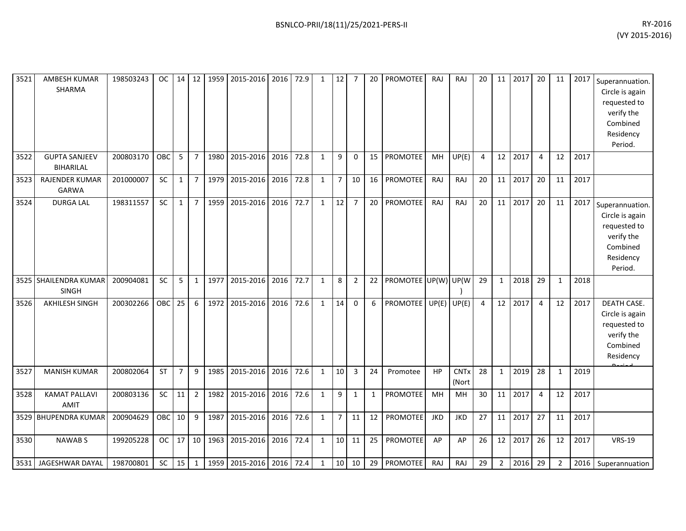| 3521 | <b>AMBESH KUMAR</b><br>SHARMA            | 198503243 | OC         |                |                |      | 14   12   1959   2015-2016   2016   72.9 |           |      | $\mathbf{1}$ | $\vert$ 12     | 7              | 20           | PROMOTEE             | RAJ        | RAJ                  | 20              |              | 11 2017 | 20             | 11             |      | 2017 Superannuation.<br>Circle is again<br>requested to<br>verify the<br>Combined<br>Residency<br>Period. |
|------|------------------------------------------|-----------|------------|----------------|----------------|------|------------------------------------------|-----------|------|--------------|----------------|----------------|--------------|----------------------|------------|----------------------|-----------------|--------------|---------|----------------|----------------|------|-----------------------------------------------------------------------------------------------------------|
| 3522 | <b>GUPTA SANJEEV</b><br><b>BIHARILAL</b> | 200803170 | <b>OBC</b> | 5              | $\overline{7}$ | 1980 | 2015-2016                                | 2016      | 72.8 | $\mathbf{1}$ | 9              | $\mathbf 0$    | 15           | <b>PROMOTEE</b>      | <b>MH</b>  | UP(E)                | $\overline{4}$  | 12           | 2017    | 4              | 12             | 2017 |                                                                                                           |
| 3523 | <b>RAJENDER KUMAR</b><br>GARWA           | 201000007 | <b>SC</b>  | $\mathbf{1}$   | $\overline{7}$ |      | 1979 2015-2016                           | 2016      | 72.8 | $\mathbf{1}$ | $\overline{7}$ | 10             | 16           | PROMOTEE             | RAJ        | RAJ                  | 20              | 11           | 2017    | 20             | 11             | 2017 |                                                                                                           |
| 3524 | <b>DURGA LAL</b>                         | 198311557 | <b>SC</b>  | 1              | $\overline{7}$ | 1959 | 2015-2016                                | 2016      | 72.7 | $\mathbf{1}$ | 12             | $\overline{7}$ | 20           | PROMOTEE             | <b>RAJ</b> | RAJ                  | 20              | 11           | 2017    | 20             | 11             | 2017 | Superannuation.<br>Circle is again<br>requested to<br>verify the<br>Combined<br>Residency<br>Period.      |
|      | 3525 SHAILENDRA KUMAR<br><b>SINGH</b>    | 200904081 | <b>SC</b>  | 5              | $\mathbf{1}$   |      | 1977 2015-2016                           | 2016      | 72.7 | $\mathbf{1}$ | 8              | 2              | 22           | PROMOTEE UP(W) UP(W) |            |                      | 29              | $\mathbf{1}$ | 2018    | 29             | $\mathbf{1}$   | 2018 |                                                                                                           |
| 3526 | AKHILESH SINGH                           | 200302266 | OBC        | 25             | 6              |      | 1972 2015-2016                           | 2016 72.6 |      | $\mathbf{1}$ | 14             | $\mathbf 0$    | 6            | PROMOTEE UP(E) UP(E) |            |                      | $\overline{4}$  | 12           | 2017    | $\overline{4}$ | 12             | 2017 | DEATH CASE.<br>Circle is again<br>requested to<br>verify the<br>Combined<br>Residency                     |
| 3527 | <b>MANISH KUMAR</b>                      | 200802064 | <b>ST</b>  | $\overline{7}$ | 9              | 1985 | 2015-2016                                | 2016      | 72.6 | $\mathbf{1}$ | 10             | 3              | 24           | Promotee             | HP         | <b>CNTx</b><br>(Nort | 28              | $\mathbf{1}$ | 2019    | 28             | 1              | 2019 |                                                                                                           |
| 3528 | <b>KAMAT PALLAVI</b><br>AMIT             | 200803136 | <b>SC</b>  | 11             | $\overline{2}$ | 1982 | 2015-2016 2016                           |           | 72.6 | $\mathbf{1}$ | 9              | 1              | $\mathbf{1}$ | <b>PROMOTEE</b>      | MH         | MH                   | 30 <sup>°</sup> | 11           | 2017    | 4              | 12             | 2017 |                                                                                                           |
| 3529 | <b>BHUPENDRA KUMAR</b>                   | 200904629 | OBC 10     |                | $\overline{9}$ |      | 1987 2015-2016                           | 2016      | 72.6 | $\mathbf{1}$ | $7^{\circ}$    | 11             | 12           | PROMOTEE             | <b>JKD</b> | <b>JKD</b>           | 27              | 11           | 2017    | 27             | 11             | 2017 |                                                                                                           |
| 3530 | <b>NAWABS</b>                            | 199205228 |            | OC 17 10       |                |      | 1963 2015-2016 2016 72.4                 |           |      | $\mathbf{1}$ | 10             | 11             | 25           | PROMOTEE             | AP         | AP                   | 26              | 12           | 2017    | 26             | 12             | 2017 | <b>VRS-19</b>                                                                                             |
|      | 3531 JAGESHWAR DAYAL                     | 198700801 | SC         | $15$ 1         |                |      | 1959 2015-2016 2016 72.4                 |           |      | 1            | 10             | 10             | 29           | PROMOTEE             | RAJ        | RAJ                  | 29              | $2^{\circ}$  | 2016    | 29             | $\overline{2}$ |      | 2016 Superannuation                                                                                       |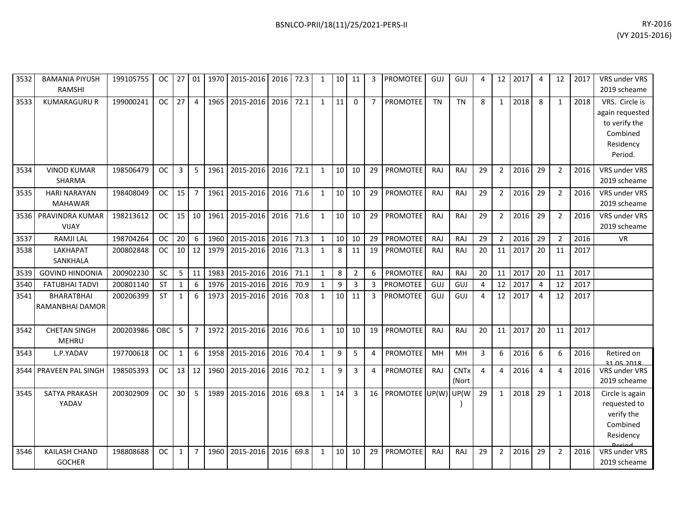| 3532 | <b>BAMANIA PIYUSH</b><br><b>RAMSHI</b> | 199105755 | OC.       | 27              | 01               |      | 1970 2015-2016 | 2016 | 72.3 | 1            | 10 | 11             | 3              | <b>PROMOTEE</b> | GUJ       | GUJ                  | 4  | 12             | 2017 | 4              | 12             | 2017 | VRS under VRS<br>2019 scheame                                                          |
|------|----------------------------------------|-----------|-----------|-----------------|------------------|------|----------------|------|------|--------------|----|----------------|----------------|-----------------|-----------|----------------------|----|----------------|------|----------------|----------------|------|----------------------------------------------------------------------------------------|
| 3533 | <b>KUMARAGURU R</b>                    | 199000241 | OC.       | 27              | $\overline{4}$   | 1965 | 2015-2016      | 2016 | 72.1 | $\mathbf{1}$ | 11 | $\Omega$       | $\overline{7}$ | <b>PROMOTEE</b> | <b>TN</b> | <b>TN</b>            | 8  | $\mathbf{1}$   | 2018 | 8              | $\mathbf{1}$   | 2018 | VRS. Circle is<br>again requested<br>to verify the<br>Combined<br>Residency<br>Period. |
| 3534 | <b>VINOD KUMAR</b><br><b>SHARMA</b>    | 198506479 | <b>OC</b> | 3               | 5                | 1961 | 2015-2016 2016 |      | 72.1 | $\mathbf{1}$ | 10 | 10             | 29             | PROMOTEE        | RAJ       | RAJ                  | 29 | $\overline{2}$ | 2016 | 29             | $\overline{2}$ | 2016 | VRS under VRS<br>2019 scheame                                                          |
| 3535 | <b>HARI NARAYAN</b><br><b>MAHAWAR</b>  | 198408049 | <b>OC</b> | 15              | $\overline{7}$   | 1961 | 2015-2016      | 2016 | 71.6 | $\mathbf{1}$ | 10 | 10             | 29             | PROMOTEE        | RAJ       | RAJ                  | 29 | $\overline{2}$ | 2016 | 29             | $\overline{2}$ | 2016 | VRS under VRS<br>2019 scheame                                                          |
| 3536 | PRAVINDRA KUMAR<br><b>VIJAY</b>        | 198213612 | <b>OC</b> | 15              | 10               | 1961 | 2015-2016      | 2016 | 71.6 | $\mathbf{1}$ | 10 | 10             | 29             | <b>PROMOTEE</b> | RAJ       | RAJ                  | 29 | $\overline{2}$ | 2016 | 29             | $\overline{2}$ | 2016 | VRS under VRS<br>2019 scheame                                                          |
| 3537 | <b>RAMJI LAL</b>                       | 198704264 | <b>OC</b> | 20              | 6                | 1960 | 2015-2016      | 2016 | 71.3 | $\mathbf{1}$ | 10 | 10             | 29             | PROMOTEE        | RAJ       | RAJ                  | 29 | $\overline{2}$ | 2016 | 29             | 2              | 2016 | <b>VR</b>                                                                              |
| 3538 | LAKHAPAT<br>SANKHALA                   | 200802848 | <b>OC</b> | 10 <sup>1</sup> | 12               | 1979 | 2015-2016      | 2016 | 71.3 | 1            | 8  | 11             | 19             | PROMOTEE        | RAJ       | RAJ                  | 20 | 11             | 2017 | 20             | 11             | 2017 |                                                                                        |
| 3539 | <b>GOVIND HINDONIA</b>                 | 200902230 | SC        | 5               | 11               | 1983 | 2015-2016      | 2016 | 71.1 | $\mathbf{1}$ | 8  | $\overline{2}$ | 6              | PROMOTEE        | RAJ       | RAJ                  | 20 | 11             | 2017 | 20             | 11             | 2017 |                                                                                        |
| 3540 | <b>FATUBHAI TADVI</b>                  | 200801140 | <b>ST</b> | $\mathbf{1}$    | $\boldsymbol{6}$ | 1976 | 2015-2016      | 2016 | 70.9 | $\mathbf{1}$ | 9  | $\overline{3}$ | 3              | <b>PROMOTEE</b> | GUJ       | GUJ                  | 4  | 12             | 2017 | $\overline{a}$ | 12             | 2017 |                                                                                        |
| 3541 | <b>BHARATBHAI</b><br>RAMANBHAI DAMOR   | 200206399 | <b>ST</b> | $\mathbf{1}$    | 6                |      | 1973 2015-2016 | 2016 | 70.8 | $\mathbf{1}$ | 10 | 11             | 3              | <b>PROMOTEE</b> | GUJ       | GUJ                  | 4  | 12             | 2017 | $\overline{4}$ | 12             | 2017 |                                                                                        |
| 3542 | <b>CHETAN SINGH</b><br><b>MEHRU</b>    | 200203986 | OBC       | 5               | $\overline{7}$   | 1972 | 2015-2016      | 2016 | 70.6 | $\mathbf{1}$ | 10 | 10             | 19             | <b>PROMOTEE</b> | RAJ       | RAJ                  | 20 | 11             | 2017 | 20             | 11             | 2017 |                                                                                        |
| 3543 | L.P.YADAV                              | 197700618 | <b>OC</b> | 1               | 6                | 1958 | 2015-2016      | 2016 | 70.4 | $\mathbf{1}$ | 9  | 5              | 4              | <b>PROMOTEE</b> | MH        | MH                   | 3  | 6              | 2016 | 6              | 6              | 2016 | Retired on                                                                             |
| 3544 | PRAVEEN PAL SINGH                      | 198505393 | <b>OC</b> | 13              | 12               | 1960 | 2015-2016      | 2016 | 70.2 | 1            | 9  | 3              | 4              | PROMOTEE        | RAJ       | <b>CNTx</b><br>(Nort | 4  | $\overline{4}$ | 2016 | 4              | 4              | 2016 | 31.05.2018<br>VRS under VRS<br>2019 scheame                                            |
| 3545 | SATYA PRAKASH<br>YADAV                 | 200302909 | <b>OC</b> | 30              | 5                | 1989 | 2015-2016      | 2016 | 69.8 | $\mathbf{1}$ | 14 | 3              | 16             | <b>PROMOTEE</b> | UP(W)     | UP(W                 | 29 | 1              | 2018 | 29             | $\mathbf{1}$   | 2018 | Circle is again<br>requested to<br>verify the<br>Combined<br>Residency                 |
| 3546 | KAILASH CHAND<br><b>GOCHER</b>         | 198808688 | <b>OC</b> | $\mathbf{1}$    | $\overline{7}$   |      | 1960 2015-2016 | 2016 | 69.8 | $\mathbf{1}$ | 10 | 10             | 29             | PROMOTEE        | RAJ       | RAJ                  | 29 | $\overline{2}$ | 2016 | 29             | $\overline{2}$ | 2016 | VRS under VRS<br>2019 scheame                                                          |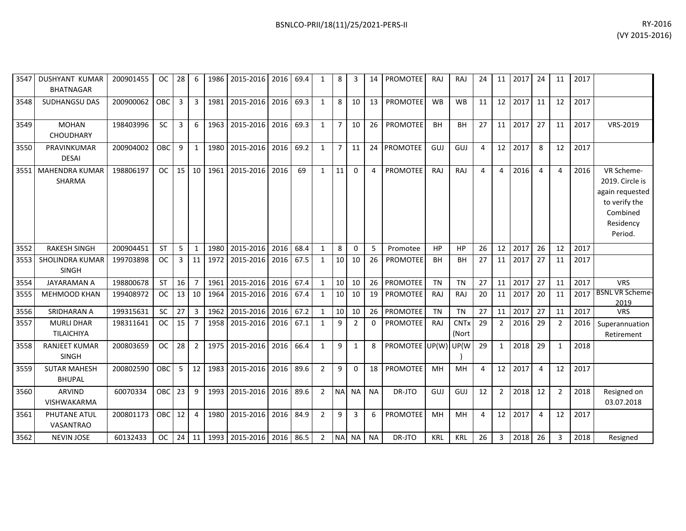|      | 3547 I DUSHYANT KUMAR<br><b>BHATNAGAR</b> | 200901455 | <b>OC</b>  | 28          | 6               |      | 1986 2015-2016 2016 69.4       |      |      | 1              | 8               | 3              | 14        | <b>PROMOTEE</b>             | RAJ        | RAJ                             | 24             |                 | 11 2017 | 24             | 11             | 2017 |                                                                                                       |
|------|-------------------------------------------|-----------|------------|-------------|-----------------|------|--------------------------------|------|------|----------------|-----------------|----------------|-----------|-----------------------------|------------|---------------------------------|----------------|-----------------|---------|----------------|----------------|------|-------------------------------------------------------------------------------------------------------|
| 3548 | SUDHANGSU DAS                             | 200900062 | OBC        | 3           | 3 <sup>7</sup>  | 1981 | 2015-2016                      | 2016 | 69.3 | $\mathbf{1}$   | 8               | 10             |           | 13   PROMOTEE               | <b>WB</b>  | <b>WB</b>                       | 11             |                 | 12 2017 | 11             | 12             | 2017 |                                                                                                       |
| 3549 | <b>MOHAN</b><br><b>CHOUDHARY</b>          | 198403996 | <b>SC</b>  | 3           | 6               | 1963 | 2015-2016 2016                 |      | 69.3 | $\mathbf{1}$   | $\overline{7}$  | 10             |           | 26   PROMOTEE               | <b>BH</b>  | <b>BH</b>                       | 27             |                 | 11 2017 | 27             | 11             | 2017 | VRS-2019                                                                                              |
| 3550 | PRAVINKUMAR<br><b>DESAI</b>               | 200904002 | OBC        | 9           | $\mathbf{1}$    | 1980 | 2015-2016                      | 2016 | 69.2 | $\mathbf{1}$   | $\overline{7}$  | 11             |           | 24 PROMOTEE                 | GUJ        | GUJ                             | $\overline{4}$ | 12              | 2017    | 8              | 12             | 2017 |                                                                                                       |
|      | 3551   MAHENDRA KUMAR<br>SHARMA           | 198806197 | <b>OC</b>  | 15          | 10 <sup>1</sup> | 1961 | 2015-2016                      | 2016 | 69   | $\mathbf{1}$   | 11              | $\Omega$       |           | <b>PROMOTEE</b>             | RAJ        | RAJ                             | 4              | 4               | 2016    | $\overline{4}$ | 4              | 2016 | VR Scheme-<br>2019. Circle is<br>again requested<br>to verify the<br>Combined<br>Residency<br>Period. |
| 3552 | <b>RAKESH SINGH</b>                       | 200904451 | <b>ST</b>  | 5           | $\mathbf{1}$    | 1980 | 2015-2016                      | 2016 | 68.4 | $\mathbf{1}$   | 8               | $\Omega$       | 5         | Promotee                    | HP         | <b>HP</b>                       | 26             | 12 <sup>1</sup> | 2017    | 26             | 12             | 2017 |                                                                                                       |
| 3553 | <b>SHOLINDRA KUMAR</b><br><b>SINGH</b>    | 199703898 | <b>OC</b>  | 3           | 11              | 1972 | 2015-2016                      | 2016 | 67.5 | 1              | 10 <sup>1</sup> | 10             | 26        | PROMOTEE                    | <b>BH</b>  | <b>BH</b>                       | 27             | 11              | 2017    | 27             | 11             | 2017 |                                                                                                       |
| 3554 | <b>JAYARAMAN A</b>                        | 198800678 | <b>ST</b>  | 16          | 7 <sup>7</sup>  | 1961 | 2015-2016                      | 2016 | 67.4 | $\mathbf{1}$   | 10 <sup>1</sup> | 10             |           | 26 PROMOTEE                 | <b>TN</b>  | <b>TN</b>                       | 27             |                 | 11 2017 | 27             | 11             | 2017 | <b>VRS</b>                                                                                            |
| 3555 | <b>MEHMOOD KHAN</b>                       | 199408972 | <b>OC</b>  | 13          | 10 <sup>1</sup> | 1964 | 2015-2016                      | 2016 | 67.4 | 1              |                 | $10 \mid 10$   | 19        | <b>PROMOTEE</b>             | <b>RAJ</b> | RAJ                             | 20             | 11              | 2017    | 20             | 11             | 2017 | <b>BSNL VR Scheme-</b><br>2019                                                                        |
| 3556 | SRIDHARAN A                               | 199315631 | <b>SC</b>  | 27          | $\overline{3}$  | 1962 | 2015-2016                      | 2016 | 67.2 | 1              | 10              | 10             |           | 26 PROMOTEE                 | <b>TN</b>  | <b>TN</b>                       | 27             | 11              | 2017    | 27             | 11             | 2017 | <b>VRS</b>                                                                                            |
| 3557 | <b>MURLI DHAR</b><br><b>TILAICHIYA</b>    | 198311641 | <b>OC</b>  | 15          | $\overline{7}$  | 1958 | 2015-2016                      | 2016 | 67.1 | $\mathbf{1}$   | 9               | 2              | $\Omega$  | PROMOTEE                    | <b>RAJ</b> | <b>CNT<sub>x</sub></b><br>(Nort | 29             | $\overline{2}$  | 2016    | 29             | $\overline{2}$ | 2016 | Superannuation<br>Retirement                                                                          |
| 3558 | <b>RANJEET KUMAR</b><br><b>SINGH</b>      | 200803659 | <b>OC</b>  | 28          | $\overline{2}$  | 1975 | 2015-2016                      | 2016 | 66.4 | 1              | 9               | 1              | 8         | <b>PROMOTEE</b> UP(W) UP(W) |            |                                 | 29             | $\mathbf{1}$    | 2018    | 29             | 1              | 2018 |                                                                                                       |
| 3559 | <b>SUTAR MAHESH</b><br><b>BHUPAL</b>      | 200802590 | OBC        | $5^{\circ}$ | 12              | 1983 | 2015-2016                      | 2016 | 89.6 | $\overline{2}$ | 9               | $\Omega$       |           | 18 PROMOTEE                 | MH         | MH                              | $\overline{a}$ |                 | 12 2017 | $\overline{4}$ | 12             | 2017 |                                                                                                       |
| 3560 | <b>ARVIND</b><br>VISHWAKARMA              | 60070334  | <b>OBC</b> | 23          | 9               | 1993 | 2015-2016                      | 2016 | 89.6 | $2^{\circ}$    |                 | NA NA          | <b>NA</b> | DR-JTO                      | GUJ        | GUJ                             | 12             | $2^{\circ}$     | 2018    | 12             | $\overline{2}$ | 2018 | Resigned on<br>03.07.2018                                                                             |
| 3561 | PHUTANE ATUL<br><b>VASANTRAO</b>          | 200801173 | OBC        | 12          | $\overline{4}$  | 1980 | 2015-2016                      | 2016 | 84.9 | $\overline{2}$ | 9               | $\overline{3}$ | 6         | <b>PROMOTEE</b>             | MH         | MH                              | 4              |                 | 12 2017 | $\overline{4}$ | 12             | 2017 |                                                                                                       |
| 3562 | <b>NEVIN JOSE</b>                         | 60132433  | OC.        |             |                 |      | 24 11 1993 2015-2016 2016 86.5 |      |      | $\overline{2}$ |                 | NA NA          | <b>NA</b> | DR-JTO                      | <b>KRL</b> | <b>KRL</b>                      | 26             | $\overline{3}$  | 2018 26 |                | 3              | 2018 | Resigned                                                                                              |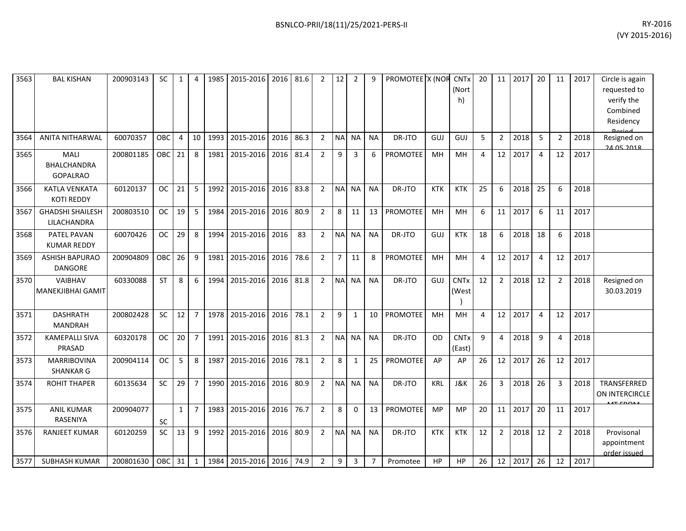| 3563 | <b>BAL KISHAN</b>                             | 200903143 | <b>SC</b> | $\mathbf{1}$   | $\overline{4}$ | 1985 | 2015-2016        | 2016 | 81.6 | $\overline{2}$ | 12             | $\overline{2}$ | 9              | PROMOTEE X (NOR |            | <b>CNT<sub>x</sub></b><br>(Nort<br>h) | 20             | 11             | 2017 | 20             | 11             | 2017 | Circle is again<br>requested to<br>verify the<br>Combined<br>Residency |
|------|-----------------------------------------------|-----------|-----------|----------------|----------------|------|------------------|------|------|----------------|----------------|----------------|----------------|-----------------|------------|---------------------------------------|----------------|----------------|------|----------------|----------------|------|------------------------------------------------------------------------|
| 3564 | <b>ANITA NITHARWAL</b>                        | 60070357  | OBC       | $\overline{4}$ | 10             | 1993 | 2015-2016        | 2016 | 86.3 | $\overline{2}$ | <b>NA</b>      | <b>NA</b>      | <b>NA</b>      | DR-JTO          | GUJ        | GUJ                                   | 5              | $\overline{2}$ | 2018 | 5              | $\overline{2}$ | 2018 | Resigned on<br>24.05.2018                                              |
| 3565 | <b>MALI</b><br>BHALCHANDRA<br><b>GOPALRAO</b> | 200801185 | OBC       | 21             | 8              | 1981 | 2015-2016        | 2016 | 81.4 | $\overline{2}$ | 9              | 3              | 6              | <b>PROMOTEE</b> | MH         | MH                                    | 4              | 12             | 2017 | 4              | 12             | 2017 |                                                                        |
| 3566 | <b>KATLA VENKATA</b><br><b>KOTI REDDY</b>     | 60120137  | <b>OC</b> | 21             | 5              | 1992 | 2015-2016        | 2016 | 83.8 | $\overline{2}$ | <b>NA</b>      | <b>NA</b>      | <b>NA</b>      | DR-JTO          | <b>KTK</b> | <b>KTK</b>                            | 25             | 6              | 2018 | 25             | 6              | 2018 |                                                                        |
| 3567 | <b>GHADSHI SHAILESH</b><br>LILACHANDRA        | 200803510 | <b>OC</b> | 19             | 5              | 1984 | 2015-2016        | 2016 | 80.9 | $\overline{2}$ | 8              | 11             | 13             | <b>PROMOTEE</b> | MH         | MH                                    | 6              | 11             | 2017 | 6              | 11             | 2017 |                                                                        |
| 3568 | PATEL PAVAN<br><b>KUMAR REDDY</b>             | 60070426  | <b>OC</b> | 29             | 8              | 1994 | 2015-2016        | 2016 | 83   | $\overline{2}$ | <b>NA</b>      | <b>NA</b>      | <b>NA</b>      | DR-JTO          | GUJ        | <b>KTK</b>                            | 18             | 6              | 2018 | 18             | 6              | 2018 |                                                                        |
| 3569 | <b>ASHISH BAPURAO</b><br><b>DANGORE</b>       | 200904809 | OBC       | 26             | 9              | 1981 | 2015-2016        | 2016 | 78.6 | $\overline{2}$ | $\overline{7}$ | 11             | 8              | <b>PROMOTEE</b> | MH         | MH                                    | $\overline{4}$ | 12             | 2017 | 4              | 12             | 2017 |                                                                        |
| 3570 | VAIBHAV<br><b>MANEKJIBHAI GAMIT</b>           | 60330088  | <b>ST</b> | 8              | 6              | 1994 | 2015-2016        | 2016 | 81.8 | $\overline{2}$ | <b>NA</b>      | <b>NA</b>      | <b>NA</b>      | DR-JTO          | GUJ        | <b>CNTx</b><br>(West                  | 12             | $\overline{2}$ | 2018 | 12             | $\overline{2}$ | 2018 | Resigned on<br>30.03.2019                                              |
| 3571 | <b>DASHRATH</b><br><b>MANDRAH</b>             | 200802428 | SC        | 12             | $\overline{7}$ | 1978 | 2015-2016        | 2016 | 78.1 | $\overline{2}$ | 9              | 1              | 10             | <b>PROMOTEE</b> | MH         | MH                                    | $\overline{4}$ | 12             | 2017 | $\overline{4}$ | 12             | 2017 |                                                                        |
| 3572 | <b>KAMEPALLI SIVA</b><br>PRASAD               | 60320178  | <b>OC</b> | 20             | $\overline{7}$ | 1991 | 2015-2016        | 2016 | 81.3 | $\overline{2}$ | <b>NA</b>      | <b>NA</b>      | <b>NA</b>      | DR-JTO          | <b>OD</b>  | <b>CNTx</b><br>(East)                 | 9              | $\overline{4}$ | 2018 | 9              | 4              | 2018 |                                                                        |
| 3573 | <b>MARRIBOVINA</b><br><b>SHANKAR G</b>        | 200904114 | <b>OC</b> | 5              | 8              | 1987 | 2015-2016        | 2016 | 78.1 | $\overline{2}$ | 8              | $\mathbf{1}$   | 25             | <b>PROMOTEE</b> | AP         | AP                                    | 26             | 12             | 2017 | 26             | 12             | 2017 |                                                                        |
| 3574 | <b>ROHIT THAPER</b>                           | 60135634  | <b>SC</b> | 29             | $\overline{7}$ | 1990 | 2015-2016        | 2016 | 80.9 | $2^{\circ}$    | <b>NA</b>      | <b>NA</b>      | <b>NA</b>      | DR-JTO          | <b>KRL</b> | <b>J&amp;K</b>                        | 26             | 3              | 2018 | 26             | 3              | 2018 | TRANSFERRED<br>ON INTERCIRCLE                                          |
| 3575 | <b>ANIL KUMAR</b><br><b>RASENIYA</b>          | 200904077 | SC        | $\mathbf{1}$   | $\overline{7}$ | 1983 | 2015-2016        | 2016 | 76.7 | $\overline{2}$ | 8              | 0              | 13             | <b>PROMOTEE</b> | MP         | <b>MP</b>                             | 20             | 11             | 2017 | 20             | 11             | 2017 |                                                                        |
| 3576 | <b>RANJEET KUMAR</b>                          | 60120259  | SC        | 13             | 9              | 1992 | 2015-2016        | 2016 | 80.9 | $\overline{2}$ | <b>NA</b>      | <b>NA</b>      | <b>NA</b>      | DR-JTO          | <b>KTK</b> | <b>KTK</b>                            | 12             | $\overline{2}$ | 2018 | 12             | $\overline{2}$ | 2018 | Provisonal<br>appointment<br>order issued                              |
| 3577 | <b>SUBHASH KUMAR</b>                          | 200801630 | OBC 31    |                | $\overline{1}$ | 1984 | 2015-2016   2016 |      | 74.9 | $\overline{2}$ | 9              | 3              | $\overline{7}$ | Promotee        | <b>HP</b>  | <b>HP</b>                             | 26             | 12             | 2017 | 26             | 12             | 2017 |                                                                        |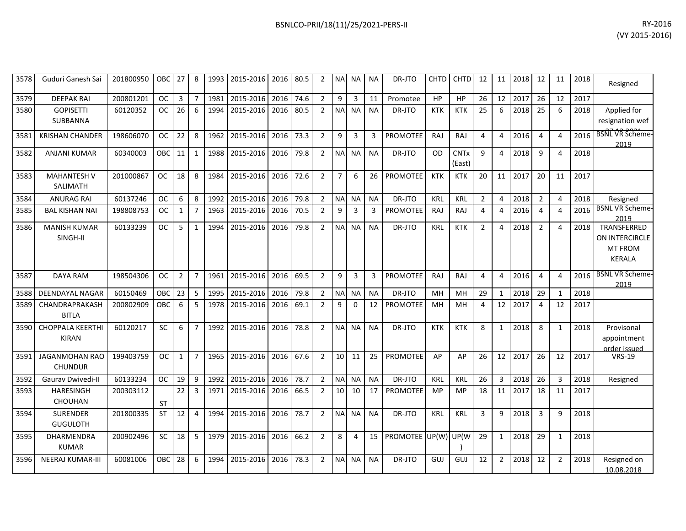| 3578 | Guduri Ganesh Sai                       | 201800950 | OBC       | 27             | 8              | 1993 | 2015-2016 | 2016 | 80.5 | 2              |                 | NA NA          | ΝA        | DR-JTO          | <b>CHTD</b> | <b>CHTD</b>           | 12             | 11             | 2018 | 12             | 11           | 2018 | Resigned                                                         |
|------|-----------------------------------------|-----------|-----------|----------------|----------------|------|-----------|------|------|----------------|-----------------|----------------|-----------|-----------------|-------------|-----------------------|----------------|----------------|------|----------------|--------------|------|------------------------------------------------------------------|
| 3579 | <b>DEEPAK RAI</b>                       | 200801201 | <b>OC</b> | 3              | $\overline{7}$ | 1981 | 2015-2016 | 2016 | 74.6 | $\overline{2}$ | 9               | 3              | 11        | Promotee        | HP          | <b>HP</b>             | 26             | 12             | 2017 | 26             | 12           | 2017 |                                                                  |
| 3580 | <b>GOPISETTI</b><br>SUBBANNA            | 60120352  | <b>OC</b> | 26             | 6              | 1994 | 2015-2016 | 2016 | 80.5 | $\overline{2}$ | <b>NA</b>       | <b>NA</b>      | <b>NA</b> | DR-JTO          | <b>KTK</b>  | <b>KTK</b>            | 25             | 6              | 2018 | 25             | 6            | 2018 | Applied for<br>resignation wef                                   |
| 3581 | <b>KRISHAN CHANDER</b>                  | 198606070 | <b>OC</b> | 22             | 8              | 1962 | 2015-2016 | 2016 | 73.3 | $\overline{2}$ | 9               | $\overline{3}$ | 3         | <b>PROMOTEE</b> | RAJ         | RAJ                   | $\overline{4}$ | 4              | 2016 | $\overline{4}$ | Δ            | 2016 | <b>BSNL VR Scheme-</b><br>2019                                   |
| 3582 | <b>ANJANI KUMAR</b>                     | 60340003  | OBC       | 11             | $\mathbf{1}$   | 1988 | 2015-2016 | 2016 | 79.8 | $\overline{2}$ | <b>NA</b>       | <b>NA</b>      | <b>NA</b> | DR-JTO          | OD          | <b>CNTx</b><br>(East) | 9              | 4              | 2018 | 9              | Δ            | 2018 |                                                                  |
| 3583 | <b>MAHANTESH V</b><br>SALIMATH          | 201000867 | <b>OC</b> | 18             | 8              | 1984 | 2015-2016 | 2016 | 72.6 | $\overline{2}$ | $\overline{7}$  | 6              | 26        | <b>PROMOTEE</b> | <b>KTK</b>  | <b>KTK</b>            | 20             | 11             | 2017 | 20             | 11           | 2017 |                                                                  |
| 3584 | <b>ANURAG RAI</b>                       | 60137246  | ОC        | 6              | 8              | 1992 | 2015-2016 | 2016 | 79.8 | $\overline{2}$ | ΝA              | <b>NA</b>      | <b>NA</b> | DR-JTO          | KRL         | <b>KRL</b>            | $\overline{2}$ | $\Delta$       | 2018 | $\overline{2}$ | 4            | 2018 | Resigned                                                         |
| 3585 | <b>BAL KISHAN NAI</b>                   | 198808753 | <b>OC</b> | $\mathbf{1}$   | $\overline{7}$ | 1963 | 2015-2016 | 2016 | 70.5 | $\overline{2}$ | 9               | 3              | 3         | <b>PROMOTEE</b> | <b>RAJ</b>  | RAJ                   | $\overline{4}$ | 4              | 2016 | $\overline{4}$ | 4            | 2016 | <b>BSNL VR Scheme-</b><br>2019                                   |
| 3586 | <b>MANISH KUMAR</b><br>SINGH-II         | 60133239  | <b>OC</b> | 5              | 1              | 1994 | 2015-2016 | 2016 | 79.8 | $\overline{2}$ | <b>NA</b>       | <b>NA</b>      | <b>NA</b> | DR-JTO          | KRL         | <b>KTK</b>            | $\overline{2}$ | Δ              | 2018 | $\overline{2}$ | Δ            | 2018 | TRANSFERRED<br>ON INTERCIRCLE<br><b>MT FROM</b><br><b>KERALA</b> |
| 3587 | <b>DAYA RAM</b>                         | 198504306 | OC.       | $\overline{2}$ | $\overline{7}$ | 1961 | 2015-2016 | 2016 | 69.5 | $\overline{2}$ | 9               | 3              | 3         | <b>PROMOTEE</b> | RAJ         | RAJ                   | $\overline{4}$ | 4              | 2016 | $\overline{4}$ | 4            | 2016 | <b>BSNL VR Scheme-</b><br>2019                                   |
| 3588 | <b>DEENDAYAL NAGAR</b>                  | 60150469  | OBC       | 23             | 5              | 1995 | 2015-2016 | 2016 | 79.8 | $\overline{2}$ | <b>NA</b>       | <b>NA</b>      | <b>NA</b> | DR-JTO          | MH          | MH                    | 29             | 1              | 2018 | 29             | $\mathbf{1}$ | 2018 |                                                                  |
| 3589 | CHANDRAPRAKASH<br><b>BITLA</b>          | 200802909 | OBC       | 6              | 5              | 1978 | 2015-2016 | 2016 | 69.1 | $\overline{2}$ | 9               | $\Omega$       | 12        | <b>PROMOTEE</b> | MH          | MH                    | 4              | 12             | 2017 | $\overline{a}$ | 12           | 2017 |                                                                  |
| 3590 | <b>CHOPPALA KEERTHI</b><br><b>KIRAN</b> | 60120217  | <b>SC</b> | 6              | $\overline{7}$ | 1992 | 2015-2016 | 2016 | 78.8 | $\overline{2}$ | NA <sup>I</sup> | <b>NA</b>      | <b>NA</b> | DR-JTO          | <b>KTK</b>  | <b>KTK</b>            | 8              | $\mathbf{1}$   | 2018 | 8              | $\mathbf{1}$ | 2018 | Provisonal<br>appointment<br>order issued                        |
| 3591 | <b>JAGANMOHAN RAO</b><br><b>CHUNDUR</b> | 199403759 | <b>OC</b> | $\mathbf{1}$   | $\overline{7}$ | 1965 | 2015-2016 | 2016 | 67.6 | $\overline{2}$ | 10              | 11             | 25        | <b>PROMOTEE</b> | AP          | AP                    | 26             | 12             | 2017 | 26             | 12           | 2017 | <b>VRS-19</b>                                                    |
| 3592 | <b>Gauray Dwivedi-II</b>                | 60133234  | <b>OC</b> | 19             | 9              | 1992 | 2015-2016 | 2016 | 78.7 | $\overline{2}$ | <b>NA</b>       | <b>NA</b>      | <b>NA</b> | DR-JTO          | <b>KRL</b>  | <b>KRL</b>            | 26             | 3              | 2018 | 26             | 3            | 2018 | Resigned                                                         |
| 3593 | <b>HARESINGH</b><br>CHOUHAN             | 200303112 | ST        | 22             | 3              | 1971 | 2015-2016 | 2016 | 66.5 | $\overline{2}$ | 10              | 10             | 17        | <b>PROMOTEE</b> | MP          | MP                    | 18             | 11             | 2017 | 18             | 11           | 2017 |                                                                  |
| 3594 | <b>SURENDER</b><br><b>GUGULOTH</b>      | 201800335 | <b>ST</b> | 12             | 4              | 1994 | 2015-2016 | 2016 | 78.7 | $\overline{2}$ |                 | NA NA          | <b>NA</b> | DR-JTO          | KRL         | <b>KRL</b>            | $\overline{3}$ | 9              | 2018 | 3              | 9            | 2018 |                                                                  |
| 3595 | <b>DHARMENDRA</b><br><b>KUMAR</b>       | 200902496 | <b>SC</b> | 18             | 5              | 1979 | 2015-2016 | 2016 | 66.2 | $\overline{2}$ | 8               | $\overline{a}$ | 15        | PROMOTEE UP(W)  |             | UP(W                  | 29             | $\mathbf{1}$   | 2018 | 29             | $\mathbf{1}$ | 2018 |                                                                  |
| 3596 | <b>NEERAJ KUMAR-III</b>                 | 60081006  | OBC       | 28             | 6              | 1994 | 2015-2016 | 2016 | 78.3 | $\overline{2}$ | NΑ              | <b>NA</b>      | <b>NA</b> | DR-JTO          | GUJ         | GUJ                   | 12             | $\overline{2}$ | 2018 | 12             | 2            | 2018 | Resigned on<br>10.08.2018                                        |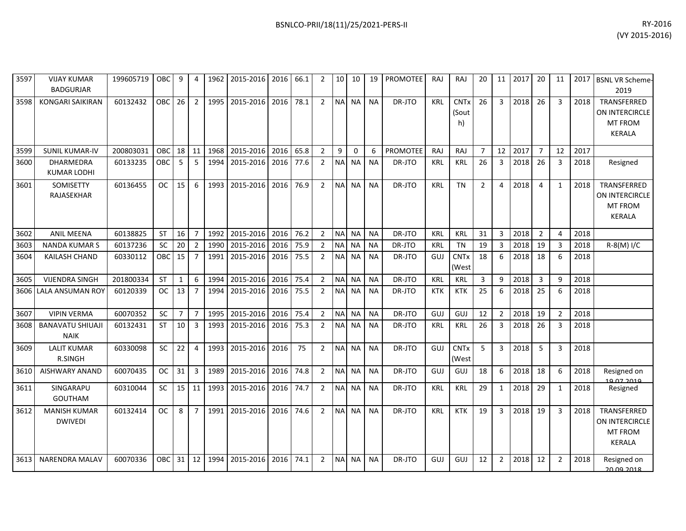| 3597 | <b>VIJAY KUMAR</b><br><b>BADGURJAR</b> | 199605719 | OBC I      | 9              | 4              |      | 1962   2015-2016   2016 |      | 66.1 | 2              | 10 <sup>1</sup> | 10           | 19        | <b>PROMOTEE</b> | RAJ        | RAJ                             | 20             | 11             | 2017 | 20             | 11             |      | 2017 BSNL VR Scheme-<br>2019                              |
|------|----------------------------------------|-----------|------------|----------------|----------------|------|-------------------------|------|------|----------------|-----------------|--------------|-----------|-----------------|------------|---------------------------------|----------------|----------------|------|----------------|----------------|------|-----------------------------------------------------------|
| 3598 | <b>KONGARI SAIKIRAN</b>                | 60132432  | <b>OBC</b> | 26             | $\overline{2}$ | 1995 | 2015-2016               | 2016 | 78.1 | $\overline{2}$ | <b>NA</b>       | <b>NA</b>    | <b>NA</b> | DR-JTO          | <b>KRL</b> | <b>CNTx</b><br>(Sout<br>h)      | 26             | $\overline{3}$ | 2018 | 26             | 3              | 2018 | TRANSFERRED<br>ON INTERCIRCLE<br><b>MT FROM</b><br>KERALA |
| 3599 | <b>SUNIL KUMAR-IV</b>                  | 200803031 | <b>OBC</b> | 18             | 11             | 1968 | 2015-2016               | 2016 | 65.8 | $\overline{2}$ | 9               | $\mathbf{0}$ | 6         | <b>PROMOTEE</b> | RAJ        | RAJ                             | 7              | 12             | 2017 | $\overline{7}$ | 12             | 2017 |                                                           |
| 3600 | DHARMEDRA<br><b>KUMAR LODHI</b>        | 60133235  | <b>OBC</b> | 5              | 5              | 1994 | 2015-2016               | 2016 | 77.6 | $\overline{2}$ |                 | NA NA        | <b>NA</b> | DR-JTO          | KRL        | <b>KRL</b>                      | 26             | 3              | 2018 | 26             | 3              | 2018 | Resigned                                                  |
| 3601 | SOMISETTY<br>RAJASEKHAR                | 60136455  | OC.        | 15             | 6              | 1993 | 2015-2016               | 2016 | 76.9 | $\overline{2}$ | <b>NA</b>       | <b>NA</b>    | <b>NA</b> | DR-JTO          | <b>KRL</b> | <b>TN</b>                       | $\overline{2}$ | 4              | 2018 | 4              | $\mathbf{1}$   | 2018 | TRANSFERRED<br>ON INTERCIRCLE<br><b>MT FROM</b><br>KERALA |
| 3602 | <b>ANIL MEENA</b>                      | 60138825  | <b>ST</b>  | 16             | $7^{\circ}$    | 1992 | 2015-2016               | 2016 | 76.2 | $\overline{2}$ | NA NA           |              | <b>NA</b> | DR-JTO          | KRL        | <b>KRL</b>                      | 31             | $\overline{3}$ | 2018 | $\overline{2}$ | 4              | 2018 |                                                           |
| 3603 | <b>NANDA KUMAR S</b>                   | 60137236  | <b>SC</b>  | 20             | $\overline{2}$ | 1990 | 2015-2016               | 2016 | 75.9 | $\overline{2}$ | <b>NA</b>       | <b>NA</b>    | <b>NA</b> | DR-JTO          | KRL        | <b>TN</b>                       | 19             | 3              | 2018 | 19             | 3              | 2018 | $R-8(M)$ I/C                                              |
| 3604 | KAILASH CHAND                          | 60330112  | OBC        | 15             | $\overline{7}$ | 1991 | 2015-2016               | 2016 | 75.5 | $\overline{2}$ | <b>NA</b>       | <b>NA</b>    | <b>NA</b> | DR-JTO          | GUJ        | <b>CNT<sub>x</sub></b><br>(West | 18             | 6              | 2018 | 18             | 6              | 2018 |                                                           |
| 3605 | <b>VIJENDRA SINGH</b>                  | 201800334 | <b>ST</b>  | $\mathbf{1}$   | 6              | 1994 | 2015-2016               | 2016 | 75.4 | $\overline{2}$ | <b>NA</b>       | <b>NA</b>    | <b>NA</b> | DR-JTO          | <b>KRL</b> | KRL                             | 3              | 9              | 2018 | $\overline{3}$ | 9              | 2018 |                                                           |
| 3606 | <b>LALA ANSUMAN ROY</b>                | 60120339  | <b>OC</b>  | 13             | $\overline{7}$ | 1994 | 2015-2016               | 2016 | 75.5 | $\overline{2}$ | <b>NA</b>       | NA           | <b>NA</b> | DR-JTO          | KTK        | <b>KTK</b>                      | 25             | 6              | 2018 | 25             | 6              | 2018 |                                                           |
| 3607 | <b>VIPIN VERMA</b>                     | 60070352  | <b>SC</b>  | $\overline{7}$ | 7              | 1995 | 2015-2016               | 2016 | 75.4 | $\overline{2}$ | <b>NA</b>       | <b>NA</b>    | <b>NA</b> | DR-JTO          | GUJ        | GUJ                             | 12             | $\overline{2}$ | 2018 | 19             | $\overline{2}$ | 2018 |                                                           |
| 3608 | <b>BANAVATU SHIUAJI</b><br><b>NAIK</b> | 60132431  | <b>ST</b>  | 10             | 3              | 1993 | 2015-2016               | 2016 | 75.3 | $\overline{2}$ | <b>NA</b>       | <b>NA</b>    | <b>NA</b> | DR-JTO          | <b>KRL</b> | <b>KRL</b>                      | 26             | 3              | 2018 | 26             | 3              | 2018 |                                                           |
| 3609 | <b>LALIT KUMAR</b><br><b>R.SINGH</b>   | 60330098  | <b>SC</b>  | 22             | 4              | 1993 | 2015-2016               | 2016 | 75   | $\overline{2}$ | <b>NA</b>       | <b>NA</b>    | <b>NA</b> | DR-JTO          | GUJ        | <b>CNTx</b><br>(West            | 5              | 3              | 2018 | 5              | 3              | 2018 |                                                           |
| 3610 | <b>AISHWARY ANAND</b>                  | 60070435  | <b>OC</b>  | 31             | $\mathbf{3}$   | 1989 | 2015-2016               | 2016 | 74.8 | $\overline{2}$ |                 | NA NA        | <b>NA</b> | DR-JTO          | GUJ        | GUJ                             | 18             | 6              | 2018 | 18             | 6              | 2018 | Resigned on<br>19 07 2019                                 |
| 3611 | SINGARAPU<br><b>GOUTHAM</b>            | 60310044  | SC         | 15             | 11             | 1993 | 2015-2016               | 2016 | 74.7 | $\overline{2}$ |                 | NA NA        | <b>NA</b> | DR-JTO          | <b>KRL</b> | <b>KRL</b>                      | 29             | 1              | 2018 | 29             | $\mathbf{1}$   | 2018 | Resigned                                                  |
| 3612 | <b>MANISH KUMAR</b><br><b>DWIVEDI</b>  | 60132414  | <b>OC</b>  | 8              | $\overline{7}$ | 1991 | 2015-2016               | 2016 | 74.6 | $\overline{2}$ | <b>NA</b>       | <b>NA</b>    | <b>NA</b> | DR-JTO          | <b>KRL</b> | <b>KTK</b>                      | 19             | 3              | 2018 | 19             | 3              | 2018 | TRANSFERRED<br>ON INTERCIRCLE<br><b>MT FROM</b><br>KERALA |
| 3613 | <b>NARENDRA MALAV</b>                  | 60070336  | <b>OBC</b> | 31             | 12             | 1994 | 2015-2016               | 2016 | 74.1 | $\overline{2}$ | <b>NA</b>       | NA.          | <b>NA</b> | DR-JTO          | GUJ        | GUJ                             | 12             | $\overline{2}$ | 2018 | 12             | $\overline{2}$ | 2018 | Resigned on<br>20.09.2018                                 |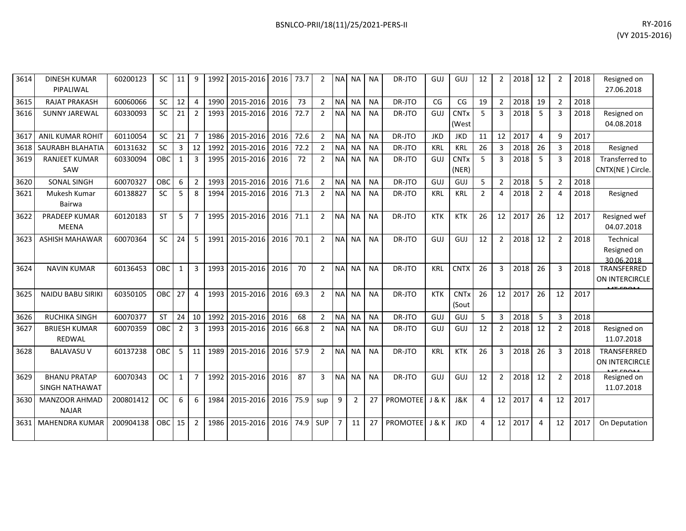| 3614 | <b>DINESH KUMAR</b><br>PIPALIWAL             | 60200123  | <b>SC</b>  | 11             | 9              | 1992 | 2015-2016 | 2016 | 73.7 | $\overline{2}$ | <b>NA</b>      | NA.            | <b>NA</b> | DR-JTO          | GUJ        | GUJ                  | 12             | 2              | 2018 | 12             | $\overline{2}$ | 2018 | Resigned on<br>27.06.2018              |
|------|----------------------------------------------|-----------|------------|----------------|----------------|------|-----------|------|------|----------------|----------------|----------------|-----------|-----------------|------------|----------------------|----------------|----------------|------|----------------|----------------|------|----------------------------------------|
| 3615 | <b>RAJAT PRAKASH</b>                         | 60060066  | <b>SC</b>  | 12             | $\overline{4}$ | 1990 | 2015-2016 | 2016 | 73   | $\overline{2}$ | <b>NA</b>      | <b>NA</b>      | <b>NA</b> | DR-JTO          | CG         | CG                   | 19             | $\overline{2}$ | 2018 | 19             | $\overline{2}$ | 2018 |                                        |
| 3616 | <b>SUNNY JAREWAL</b>                         | 60330093  | <b>SC</b>  | 21             | $\overline{2}$ | 1993 | 2015-2016 | 2016 | 72.7 | $\overline{2}$ | <b>NA</b>      | <b>NA</b>      | <b>NA</b> | DR-JTO          | GUJ        | <b>CNTx</b><br>(West | 5              | 3              | 2018 | 5              | 3              | 2018 | Resigned on<br>04.08.2018              |
| 3617 | <b>ANIL KUMAR ROHIT</b>                      | 60110054  | <b>SC</b>  | 21             | $\overline{7}$ | 1986 | 2015-2016 | 2016 | 72.6 | $2^{\circ}$    | <b>NA</b>      | <b>NA</b>      | <b>NA</b> | DR-JTO          | <b>JKD</b> | <b>JKD</b>           | 11             | 12             | 2017 | $\Delta$       | q              | 2017 |                                        |
| 3618 | SAURABH BLAHATIA                             | 60131632  | <b>SC</b>  | 3              | 12             | 1992 | 2015-2016 | 2016 | 72.2 | $\overline{2}$ | <b>NA</b>      | <b>NA</b>      | <b>NA</b> | DR-JTO          | <b>KRL</b> | <b>KRL</b>           | 26             | 3              | 2018 | 26             | 3              | 2018 | Resigned                               |
| 3619 | <b>RANJEET KUMAR</b><br>SAW                  | 60330094  | OBC        | $\mathbf{1}$   | 3              | 1995 | 2015-2016 | 2016 | 72   | $\overline{2}$ | <b>NA</b>      | <b>NA</b>      | <b>NA</b> | DR-JTO          | GUJ        | <b>CNTx</b><br>(NER) | 5              | 3              | 2018 | 5              | 3              | 2018 | Transferred to<br>CNTX(NE) Circle.     |
| 3620 | SONAL SINGH                                  | 60070327  | <b>OBC</b> | 6              | $\overline{2}$ | 1993 | 2015-2016 | 2016 | 71.6 | $\overline{2}$ | <b>NA</b>      | <b>NA</b>      | <b>NA</b> | DR-JTO          | GUJ        | GUJ                  | 5              | $\overline{2}$ | 2018 | 5              | $\overline{2}$ | 2018 |                                        |
| 3621 | Mukesh Kumar<br>Bairwa                       | 60138827  | <b>SC</b>  | 5              | 8              | 1994 | 2015-2016 | 2016 | 71.3 | $\overline{2}$ | <b>NA</b>      | <b>NA</b>      | <b>NA</b> | DR-JTO          | <b>KRL</b> | <b>KRL</b>           | $\overline{2}$ | 4              | 2018 | $\overline{2}$ | $\Delta$       | 2018 | Resigned                               |
| 3622 | <b>PRADEEP KUMAR</b><br><b>MEENA</b>         | 60120183  | <b>ST</b>  | 5              | $\overline{7}$ | 1995 | 2015-2016 | 2016 | 71.1 | $\overline{2}$ | <b>NA</b>      | <b>NA</b>      | <b>NA</b> | DR-JTO          | <b>KTK</b> | <b>KTK</b>           | 26             | 12             | 2017 | 26             | 12             | 2017 | Resigned wef<br>04.07.2018             |
| 3623 | <b>ASHISH MAHAWAR</b>                        | 60070364  | <b>SC</b>  | 24             | 5              | 1991 | 2015-2016 | 2016 | 70.1 | $\overline{2}$ | <b>NA</b>      | <b>NA</b>      | <b>NA</b> | DR-JTO          | GUJ        | GUJ                  | 12             | $\overline{2}$ | 2018 | 12             | $\overline{2}$ | 2018 | Technical<br>Resigned on<br>30.06.2018 |
| 3624 | <b>NAVIN KUMAR</b>                           | 60136453  | OBC        | 1              | $\overline{3}$ | 1993 | 2015-2016 | 2016 | 70   | $\overline{2}$ | <b>NA</b>      | <b>NA</b>      | <b>NA</b> | DR-JTO          | <b>KRL</b> | <b>CNTX</b>          | 26             | 3              | 2018 | 26             | 3              | 2018 | TRANSFERRED<br>ON INTERCIRCLE          |
| 3625 | <b>NAIDU BABU SIRIKI</b>                     | 60350105  | <b>OBC</b> | 27             | $\overline{4}$ | 1993 | 2015-2016 | 2016 | 69.3 | $\overline{2}$ | <b>NA</b>      | <b>NA</b>      | <b>NA</b> | DR-JTO          | <b>KTK</b> | <b>CNTx</b><br>(Sout | 26             | 12             | 2017 | 26             | 12             | 2017 |                                        |
| 3626 | <b>RUCHIKA SINGH</b>                         | 60070377  | <b>ST</b>  | 24             | 10             | 1992 | 2015-2016 | 2016 | 68   | $\overline{2}$ | <b>NA</b>      | <b>NA</b>      | <b>NA</b> | DR-JTO          | GUI        | GUJ                  | 5              | $\overline{3}$ | 2018 | 5              | 3              | 2018 |                                        |
| 3627 | <b>BRIJESH KUMAR</b><br><b>REDWAL</b>        | 60070359  | <b>OBC</b> | $\overline{2}$ | 3              | 1993 | 2015-2016 | 2016 | 66.8 | $\overline{2}$ | <b>NA</b>      | <b>NA</b>      | <b>NA</b> | DR-JTO          | GUJ        | GUJ                  | 12             | $\overline{2}$ | 2018 | 12             | $\mathcal{P}$  | 2018 | Resigned on<br>11.07.2018              |
| 3628 | <b>BALAVASU V</b>                            | 60137238  | OBC        | 5              | 11             | 1989 | 2015-2016 | 2016 | 57.9 | $\overline{2}$ | <b>NA</b>      | <b>NA</b>      | <b>NA</b> | DR-JTO          | <b>KRL</b> | <b>KTK</b>           | 26             | 3              | 2018 | 26             | 3              | 2018 | TRANSFERRED<br>ON INTERCIRCLE          |
| 3629 | <b>BHANU PRATAP</b><br><b>SINGH NATHAWAT</b> | 60070343  | <b>OC</b>  | $\mathbf{1}$   | $\overline{7}$ | 1992 | 2015-2016 | 2016 | 87   | 3              | <b>NA</b>      | <b>NA</b>      | <b>NA</b> | DR-JTO          | GUJ        | GUJ                  | 12             | $\overline{2}$ | 2018 | 12             | 2              | 2018 | Resigned on<br>11.07.2018              |
| 3630 | <b>MANZOOR AHMAD</b><br><b>NAJAR</b>         | 200801412 | <b>OC</b>  | 6              | 6              | 1984 | 2015-2016 | 2016 | 75.9 | sup            | 9              | $\overline{2}$ | 27        | PROMOTEE        | J & K      | <b>J&amp;K</b>       | 4              | 12             | 2017 | $\overline{4}$ | 12             | 2017 |                                        |
| 3631 | <b>MAHENDRA KUMAR</b>                        | 200904138 | <b>OBC</b> | 15             | $\overline{2}$ | 1986 | 2015-2016 | 2016 | 74.9 | SUP            | $\overline{7}$ | 11             | 27        | <b>PROMOTEE</b> | J & K      | <b>JKD</b>           | $\Delta$       | 12             | 2017 | $\Delta$       | 12             | 2017 | On Deputation                          |